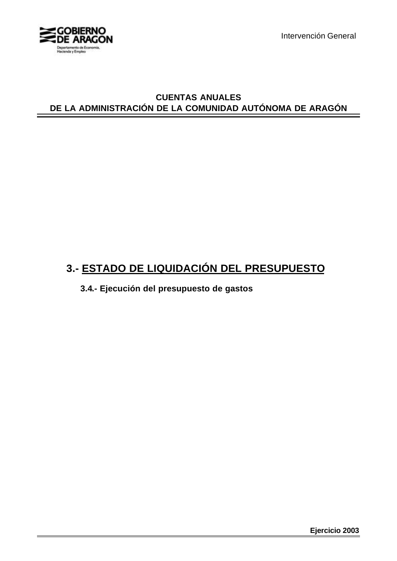

Intervención General

## **CUENTAS ANUALES DE LA ADMINISTRACIÓN DE LA COMUNIDAD AUTÓNOMA DE ARAGÓN**

# **3.- ESTADO DE LIQUIDACIÓN DEL PRESUPUESTO**

**3.4.- Ejecución del presupuesto de gastos**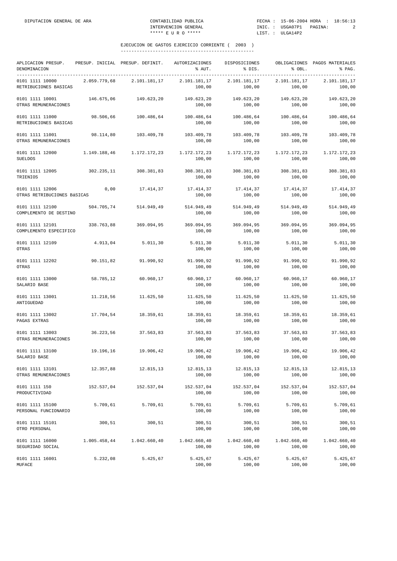| APLICACION PRESUP.<br>DENOMINACION             |              | PRESUP. INICIAL PRESUP. DEFINIT. | AUTORIZACIONES<br>% AUT. | DISPOSICIONES<br>% DIS. | % OBL.                 | OBLIGACIONES PAGOS MATERIALES<br>% PAG. |
|------------------------------------------------|--------------|----------------------------------|--------------------------|-------------------------|------------------------|-----------------------------------------|
| 0101 1111 10000<br>RETRIBUCIONES BASICAS       | 2.059.779,68 | 2.101.181,17                     | 2.101.181,17<br>100,00   | 2.101.181,17<br>100,00  | 2.101.181,17<br>100,00 | 2.101.181,17<br>100,00                  |
| 0101 1111 10001<br>OTRAS REMUNERACIONES        | 146.675,06   | 149.623,20                       | 149.623,20<br>100,00     | 149.623,20<br>100,00    | 149.623,20<br>100,00   | 149.623,20<br>100,00                    |
| 0101 1111 11000<br>RETRIBUCIONES BASICAS       | 98.506,66    | 100.486,64                       | 100.486,64<br>100,00     | 100.486,64<br>100,00    | 100.486,64<br>100,00   | 100.486,64<br>100,00                    |
| 0101 1111 11001<br>OTRAS REMUNERACIONES        | 98.114,80    | 103.409,78                       | 103.409,78<br>100,00     | 103.409,78<br>100,00    | 103.409,78<br>100,00   | 103.409,78<br>100,00                    |
| 0101 1111 12000<br><b>SUELDOS</b>              | 1.149.188,46 | 1.172.172,23                     | 1.172.172,23<br>100,00   | 1.172.172,23<br>100,00  | 1.172.172,23<br>100,00 | 1.172.172,23<br>100,00                  |
| 0101 1111 12005<br>TRIENIOS                    | 302.235,11   | 308.381,83                       | 308.381,83<br>100,00     | 308.381,83<br>100,00    | 308.381,83<br>100,00   | 308.381,83<br>100,00                    |
| 0101 1111 12006<br>OTRAS RETRIBUCIONES BÁSICAS | 0,00         | 17.414,37                        | 17.414,37<br>100,00      | 17.414,37<br>100,00     | 17.414,37<br>100,00    | 17.414,37<br>100,00                     |
| 0101 1111 12100<br>COMPLEMENTO DE DESTINO      | 504.705,74   | 514.949,49                       | 514.949,49<br>100,00     | 514.949,49<br>100,00    | 514.949,49<br>100,00   | 514.949,49<br>100,00                    |
| 0101 1111 12101<br>COMPLEMENTO ESPECIFICO      | 338.763,88   | 369.094,95                       | 369.094,95<br>100,00     | 369.094,95<br>100,00    | 369.094,95<br>100,00   | 369.094,95<br>100,00                    |
| 0101 1111 12109<br>OTRAS                       | 4.913,04     | 5.011,30                         | 5.011,30<br>100,00       | 5.011,30<br>100,00      | 5.011,30<br>100,00     | 5.011, 30<br>100,00                     |
| 0101 1111 12202<br>OTRAS                       | 90.151,82    | 91.990,92                        | 91.990,92<br>100,00      | 91.990,92<br>100,00     | 91.990,92<br>100,00    | 91.990,92<br>100,00                     |
| 0101 1111 13000<br>SALARIO BASE                | 58.785,12    | 60.960,17                        | 60.960,17<br>100,00      | 60.960,17<br>100,00     | 60.960,17<br>100,00    | 60.960,17<br>100,00                     |
| 0101 1111 13001<br>ANTIGUEDAD                  | 11.218,56    | 11.625,50                        | 11.625,50<br>100,00      | 11.625,50<br>100,00     | 11.625,50<br>100,00    | 11.625,50<br>100,00                     |
| 0101 1111 13002<br>PAGAS EXTRAS                | 17.704,54    | 18.359,61                        | 18.359,61<br>100,00      | 18.359,61<br>100,00     | 18.359,61<br>100,00    | 18.359,61<br>100,00                     |
| 0101 1111 13003<br>OTRAS REMUNERACIONES        | 36.223,56    | 37.563,83                        | 37.563,83<br>100,00      | 37.563,83<br>100,00     | 37.563,83<br>100,00    | 37.563,83<br>100,00                     |
| 0101 1111 13100<br>SALARIO BASE                | 19.196,16    | 19.906,42                        | 19.906,42<br>100,00      | 19.906,42<br>100,00     | 19.906,42<br>100,00    | 19.906,42<br>100,00                     |
| 0101 1111 13101<br>OTRAS REMUNERACIONES        | 12.357,88    | 12.815,13                        | 12.815,13<br>100,00      | 12.815,13<br>100,00     | 12.815,13<br>100,00    | 12.815,13<br>100,00                     |
| 0101 1111 150<br>PRODUCTIVIDAD                 | 152.537,04   | 152.537,04                       | 152.537,04<br>100,00     | 152.537,04<br>100,00    | 152.537,04<br>100,00   | 152.537,04<br>100,00                    |
| 0101 1111 15100<br>PERSONAL FUNCIONARIO        | 5.709,61     | 5.709,61                         | 5.709,61<br>100,00       | 5.709,61<br>100,00      | 5.709,61<br>100,00     | 5.709,61<br>100,00                      |
| 0101 1111 15101<br>OTRO PERSONAL               | 300, 51      | 300,51                           | 300,51<br>100,00         | 300, 51<br>100,00       | 300,51<br>100,00       | 300,51<br>100,00                        |
| 0101 1111 16000<br>SEGURIDAD SOCIAL            | 1.005.458,44 | 1.042.660,40                     | 1.042.660,40<br>100,00   | 1.042.660,40<br>100,00  | 1.042.660,40<br>100,00 | 1.042.660,40<br>100,00                  |
| 0101 1111 16001<br>MUFACE                      | 5.232,08     | 5.425,67                         | 5.425,67<br>100,00       | 5.425,67<br>100,00      | 5.425,67<br>100,00     | 5.425,67<br>100,00                      |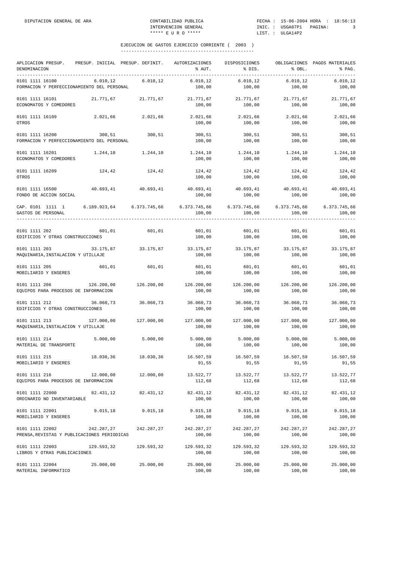| APLICACION PRESUP.<br>DENOMINACION                                                                      | PRESUP. INICIAL PRESUP. DEFINIT. |                         | AUTORIZACIONES<br>% AUT.                | DISPOSICIONES<br>% DIS. | % OBL.               | OBLIGACIONES PAGOS MATERIALES<br>% PAG. |
|---------------------------------------------------------------------------------------------------------|----------------------------------|-------------------------|-----------------------------------------|-------------------------|----------------------|-----------------------------------------|
| 0101 1111 16100<br>FORMACION Y PERFECCIONAMIENTO DEL PERSONAL                                           | 6.010, 12                        | 6.010,12                | 6.010, 12<br>100,00                     | 6.010, 12<br>100,00     | 6.010, 12<br>100,00  | 6.010, 12<br>100,00                     |
| 0101 1111 16101<br>ECONOMATOS Y COMEDORES                                                               |                                  | 21.771,67 21.771,67     | 21.771,67<br>100,00                     | 21.771,67<br>100,00     | 21.771,67<br>100,00  | 21.771,67<br>100,00                     |
| 0101 1111 16109<br>OTROS                                                                                | 2.021,66                         | 2.021,66                | 2.021,66<br>100,00                      | 2.021,66<br>100,00      | 2.021,66<br>100,00   | 2.021,66<br>100,00                      |
| 0101 1111 16200<br>FORMACION Y PERFECCIONAMIENTO DEL PERSONAL                                           | 300,51                           | 300,51                  | 300,51<br>100,00                        | 300,51<br>100,00        | 300,51<br>100,00     | 300,51<br>100,00                        |
| 0101 1111 16201<br>ECONOMATOS Y COMEDORES                                                               | 1.244,10                         | 1.244,10                | 1.244,10<br>100,00                      | 1.244,10<br>100,00      | 1,244,10<br>100,00   | 1.244,10<br>100,00                      |
| 0101 1111 16209<br>OTROS                                                                                | 124,42                           | 124,42                  | 124,42<br>100,00                        | 124,42<br>100,00        | 124,42<br>100,00     | 124,42<br>100,00                        |
| 0101 1111 16500<br>FONDO DE ACCION SOCIAL                                                               | 40.693,41                        | 40.693,41               | 40.693,41 40.693,41 40.693,41<br>100,00 | 100,00                  | 100,00               | 40.693,41<br>100,00                     |
| CAP. 0101 1111 1 6.189.923,64 6.373.745,66 6.373.745,66 6.373.745,66 6.373.745,66<br>GASTOS DE PERSONAL |                                  |                         | 100,00                                  | 100,00                  | 100,00               | 6.373.745,66<br>100,00                  |
| 0101 1111 202<br>EDIFICIOS Y OTRAS CONSTRUCCIONES                                                       | 601,01                           | 601,01                  | 601,01<br>100,00                        | 601,01<br>100,00        | 601,01<br>100,00     | 601,01<br>100,00                        |
| 0101 1111 203<br>MAQUINARIA, INSTALACION Y UTILLAJE                                                     |                                  | $33.175,87$ $33.175,87$ | 33.175,87 33.175,87<br>100,00           | 100,00                  | 33.175,87<br>100,00  | 33.175,87<br>100,00                     |
| 0101 1111 205<br>MOBILIARIO Y ENSERES                                                                   | 601,01                           | 601,01                  | 601,01<br>100,00                        | 601,01<br>100,00        | 601,01<br>100,00     | 601,01<br>100,00                        |
| 0101 1111 206<br>EQUIPOS PARA PROCESOS DE INFORMACION                                                   | 126.200,00                       | 126.200,00              | 126.200,00<br>100,00                    | 126.200,00<br>100,00    | 126.200,00<br>100,00 | 126.200,00<br>100,00                    |
| 0101 1111 212<br>EDIFICIOS Y OTRAS CONSTRUCCIONES                                                       | 36.060,73                        | 36.060,73               | 36.060,73<br>100,00                     | 36.060,73<br>100,00     | 36.060,73<br>100,00  | 36.060,73<br>100,00                     |
| 0101 1111 213<br>MAQUINARIA, INSTALACION Y UTILLAJE                                                     | 127.000,00                       | 127.000,00              | 127.000,00<br>100,00                    | 127.000,00<br>100,00    | 127.000,00<br>100,00 | 127.000,00<br>100,00                    |
| 0101 1111 214<br>MATERIAL DE TRANSPORTE                                                                 | 5.000,00                         | 5.000,00                | 5.000,00<br>100,00                      | 5.000,00<br>100,00      | 5.000,00<br>100,00   | 5.000,00<br>100,00                      |
| 0101 1111 215<br>MOBILIARIO Y ENSERES                                                                   | 18.030,36                        | 18.030,36               | 16.507,59<br>91,55                      | 16.507,59<br>91,55      | 16.507,59<br>91,55   | 16.507,59<br>91,55                      |
| 0101 1111 216<br>EQUIPOS PARA PROCESOS DE INFORMACION                                                   | 12.000,00                        | 12.000,00               | 13.522,77<br>112,68                     | 13.522,77<br>112,68     | 13.522,77<br>112,68  | 13.522,77<br>112,68                     |
| 0101 1111 22000<br>ORDINARIO NO INVENTARIABLE                                                           | 82.431,12                        | 82.431,12               | 82.431,12<br>100,00                     | 82.431,12<br>100,00     | 82.431,12<br>100,00  | 82.431,12<br>100,00                     |
| 0101 1111 22001<br>MOBILIARIO Y ENSERES                                                                 | 9.015, 18                        | 9.015, 18               | 9.015,18<br>100,00                      | 9.015, 18<br>100,00     | 9.015, 18<br>100,00  | 9.015,18<br>100,00                      |
| 0101 1111 22002<br>PRENSA, REVISTAS Y PUBLICACIONES PERIODICAS                                          | 242.287,27                       | 242.287,27              | 242.287,27<br>100,00                    | 242.287,27<br>100,00    | 242.287,27<br>100,00 | 242.287,27<br>100,00                    |
| 0101 1111 22003<br>LIBROS Y OTRAS PUBLICACIONES                                                         | 129.593,32                       | 129.593,32              | 129.593,32<br>100,00                    | 129.593,32<br>100,00    | 129.593,32<br>100,00 | 129.593,32<br>100,00                    |
| 0101 1111 22004<br>MATERIAL INFORMATICO                                                                 | 25.000,00                        | 25.000,00               | 25.000,00<br>100,00                     | 25.000,00<br>100,00     | 25.000,00<br>100,00  | 25.000,00<br>100,00                     |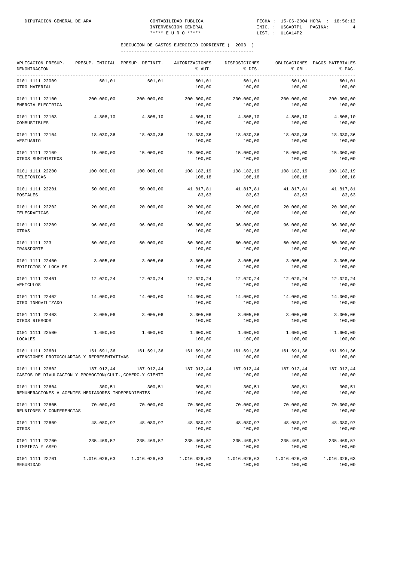| APLICACION PRESUP.<br>DENOMINACION<br>------------------------------------  |              | PRESUP. INICIAL PRESUP. DEFINIT. | AUTORIZACIONES<br>% AUT. | DISPOSICIONES<br>% DIS. | % OBL.                 | OBLIGACIONES PAGOS MATERIALES<br>% PAG. |
|-----------------------------------------------------------------------------|--------------|----------------------------------|--------------------------|-------------------------|------------------------|-----------------------------------------|
| 0101 1111 22009<br>OTRO MATERIAL                                            | 601,01       | 601,01                           | 601,01<br>100,00         | 601,01<br>100,00        | 601,01<br>100,00       | 601,01<br>100,00                        |
| 0101 1111 22100<br>ENERGIA ELECTRICA                                        | 200.000,00   | 200.000,00                       | 200.000,00<br>100,00     | 200.000,00<br>100,00    | 200.000,00<br>100,00   | 200.000,00<br>100,00                    |
| 0101 1111 22103<br>COMBUSTIBLES                                             | 4.808,10     | 4.808,10                         | 4.808,10<br>100,00       | 4.808,10<br>100,00      | 4.808, 10<br>100,00    | 4.808,10<br>100,00                      |
| 0101 1111 22104<br>VESTUARIO                                                | 18.030,36    | 18.030,36                        | 18.030,36<br>100,00      | 18.030,36<br>100,00     | 18.030,36<br>100,00    | 18.030,36<br>100,00                     |
| 0101 1111 22109<br>OTROS SUMINISTROS                                        | 15.000,00    | 15.000,00                        | 15.000,00<br>100,00      | 15.000,00<br>100,00     | 15.000,00<br>100,00    | 15.000,00<br>100,00                     |
| 0101 1111 22200<br>TELEFONICAS                                              | 100.000,00   | 100.000,00                       | 108.182,19<br>108,18     | 108.182,19<br>108,18    | 108.182,19<br>108,18   | 108.182,19<br>108,18                    |
| 0101 1111 22201<br>POSTALES                                                 | 50.000,00    | 50.000,00                        | 41.817,81<br>83,63       | 41.817,81<br>83,63      | 41.817,81<br>83,63     | 41.817,81<br>83,63                      |
| 0101 1111 22202<br>TELEGRAFICAS                                             | 20.000,00    | 20.000,00                        | 20.000,00<br>100,00      | 20.000,00<br>100,00     | 20.000,00<br>100,00    | 20.000,00<br>100,00                     |
| 0101 1111 22209<br>OTRAS                                                    | 96.000,00    | 96.000,00                        | 96.000,00<br>100,00      | 96.000,00<br>100,00     | 96.000,00<br>100,00    | 96.000,00<br>100,00                     |
| 0101 1111 223<br>TRANSPORTE                                                 | 60.000,00    | 60.000,00                        | 60.000,00<br>100,00      | 60.000,00<br>100,00     | 60.000,00<br>100,00    | 60.000,00<br>100,00                     |
| 0101 1111 22400<br>EDIFICIOS Y LOCALES                                      | 3.005,06     | 3.005,06                         | 3.005,06<br>100,00       | 3.005,06<br>100,00      | 3.005,06<br>100,00     | 3.005,06<br>100,00                      |
| 0101 1111 22401<br>VEHICULOS                                                | 12.020,24    | 12.020,24                        | 12.020,24<br>100,00      | 12.020,24<br>100,00     | 12.020,24<br>100,00    | 12.020,24<br>100,00                     |
| 0101 1111 22402<br>OTRO INMOVILIZADO                                        | 14.000,00    | 14.000,00                        | 14.000,00<br>100,00      | 14.000,00<br>100,00     | 14.000,00<br>100,00    | 14.000,00<br>100,00                     |
| 0101 1111 22403<br>OTROS RIESGOS                                            | 3.005,06     | 3.005,06                         | 3.005,06<br>100,00       | 3.005,06<br>100,00      | 3.005,06<br>100,00     | 3.005,06<br>100,00                      |
| 0101 1111 22500<br>LOCALES                                                  | 1.600,00     | 1.600,00                         | 1.600,00<br>100,00       | 1.600,00<br>100,00      | 1.600,00<br>100,00     | 1.600,00<br>100,00                      |
| 0101 1111 22601<br>ATENCIONES PROTOCOLARIAS Y REPRESENTATIVAS               | 161.691,36   | 161.691,36                       | 161.691,36<br>100,00     | 161.691,36<br>100,00    | 161.691,36<br>100,00   | 161.691,36<br>100,00                    |
| 0101 1111 22602<br>GASTOS DE DIVULGACION Y PROMOCION(CULT., COMERC.Y CIENTI | 187.912,44   | 187.912,44                       | 187.912,44<br>100,00     | 187.912,44<br>100,00    | 187.912,44<br>100,00   | 187.912,44<br>100,00                    |
| 0101 1111 22604<br>REMUNERACIONES A AGENTES MEDIADORES INDEPENDIENTES       | 300,51       | 300, 51                          | 300,51<br>100,00         | 300, 51<br>100,00       | 300,51<br>100,00       | 300,51<br>100,00                        |
| 0101 1111 22605<br>REUNIONES Y CONFERENCIAS                                 | 70.000,00    | 70.000,00                        | 70.000,00<br>100,00      | 70.000,00<br>100,00     | 70.000,00<br>100,00    | 70.000,00<br>100,00                     |
| 0101 1111 22609<br>OTROS                                                    | 48.080,97    | 48.080,97                        | 48.080,97<br>100,00      | 48.080,97<br>100,00     | 48.080,97<br>100,00    | 48.080,97<br>100,00                     |
| 0101 1111 22700<br>LIMPIEZA Y ASEO                                          | 235.469,57   | 235.469,57                       | 235.469,57<br>100,00     | 235.469,57<br>100,00    | 235.469,57<br>100,00   | 235.469,57<br>100,00                    |
| 0101 1111 22701<br>SEGURIDAD                                                | 1.016.026,63 | 1.016.026,63                     | 1.016.026,63<br>100,00   | 1.016.026,63<br>100,00  | 1.016.026,63<br>100,00 | 1.016.026,63<br>100,00                  |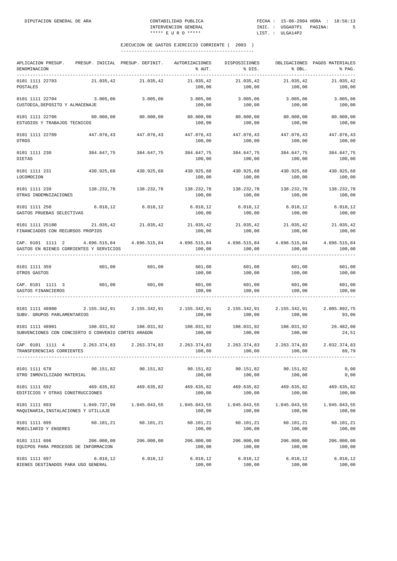| APLICACION PRESUP.<br>DENOMINACION                                                                             |                       | PRESUP. INICIAL PRESUP. DEFINIT.                                           | AUTORIZACIONES<br>% AUT. | DISPOSICIONES<br>% DIS.       | \$OBL.                 | OBLIGACIONES PAGOS MATERIALES<br>% PAG. |
|----------------------------------------------------------------------------------------------------------------|-----------------------|----------------------------------------------------------------------------|--------------------------|-------------------------------|------------------------|-----------------------------------------|
| 0101 1111 22703<br>POSTALES                                                                                    | 21.035,42             | 21.035,42                                                                  | 21.035,42<br>100,00      | 21.035,42<br>100,00           | 21.035,42<br>100,00    | 21.035,42<br>100,00                     |
| 0101 1111 22704<br>CUSTODIA, DEPOSITO Y ALMACENAJE                                                             | 3.005,06              | 3.005,06                                                                   | 3.005,06<br>100,00       | 3.005,06<br>100,00            | 3.005,06<br>100,00     | 3.005,06<br>100,00                      |
| 0101 1111 22706<br>ESTUDIOS Y TRABAJOS TECNICOS                                                                | 80.000,00             | 80.000,00                                                                  | 80.000,00<br>100,00      | 80.000,00<br>100,00           | 80.000,00<br>100,00    | 80.000,00<br>100,00                     |
| 0101 1111 22709<br>OTROS                                                                                       | 447.076,43 447.076,43 |                                                                            | 447.076,43<br>100,00     | 447.076,43<br>100,00          | 447.076,43<br>100,00   | 447.076,43<br>100,00                    |
| 0101 1111 230<br><b>DIETAS</b>                                                                                 | 384.647,75            | 384.647,75                                                                 | 384.647,75<br>100,00     | 384.647,75<br>100,00          | 384.647,75<br>100,00   | 384.647,75<br>100,00                    |
| 0101 1111 231<br>LOCOMOCION                                                                                    | 430.925,68            | 430.925,68                                                                 | 430.925,68<br>100,00     | 430.925,68<br>100,00          | 430.925,68<br>100,00   | 430.925,68<br>100,00                    |
| 0101 1111 239<br>OTRAS INDEMNIZACIONES                                                                         |                       | 138.232,78 138.232,78                                                      | 138.232,78<br>100,00     | 138.232,78<br>100,00          | 138.232,78<br>100,00   | 138.232,78<br>100,00                    |
| 0101 1111 250<br>GASTOS PRUEBAS SELECTIVAS                                                                     |                       | 6.010,12 6.010,12                                                          | 6.010, 12<br>100,00      | 6.010, 12<br>100,00           | 6.010, 12<br>100,00    | 6.010, 12<br>100,00                     |
| 0101 1111 25100<br>FINANCIADOS CON RECURSOS PROPIOS                                                            |                       | $21.035, 42 \hspace{35mm} 21.035, 42 \hspace{35mm} 21.035, 42$             | 100,00                   | 21.035,42 21.035,42<br>100,00 | 100,00                 | 21.035,42<br>100,00                     |
| CAP. 0101 1111 2<br>GASTOS EN BIENES CORRIENTES Y SERVICIOS                                                    |                       | $4.696.515,84$ $4.696.515,84$ $4.696.515,84$ $4.696.515,84$ $4.696.515,84$ | 100,00                   | 100,00                        | 100,00                 | 4.696.515,84<br>100,00                  |
| 0101 1111 359<br>OTROS GASTOS                                                                                  | 601,00                | 601,00                                                                     | 601,00<br>100,00         | 601,00<br>100,00              | 601,00<br>100,00       | 601,00<br>100,00                        |
| CAP. 0101 1111 3<br>GASTOS FINANCIEROS                                                                         | 601,00 601,00         |                                                                            | 601,00<br>100,00         | 601,00<br>100,00              | 601,00<br>100,00       | 601,00<br>100,00                        |
| 0101 1111 48900<br>SUBV. GRUPOS PARLAMENTARIOS                                                                 |                       | $2.155.342.91$ $2.155.342.91$ $2.155.342.91$ $2.155.342.91$ $2.155.342.91$ | 100,00                   | 100,00                        | 100,00                 | 2.005.892,75<br>93,06                   |
| 0101 1111 48901<br>SUBVENCIONES CON CONCIERTO O CONVENIO CORTES ARAGON                                         | 108.031,92            |                                                                            | 100,00                   | 100,00                        | 100,00                 | 26.482,08<br>24,51                      |
| CAP. 0101 1111 4 2.263.374,83 2.263.374,83 2.263.374,83 2.263.374,83 2.263.374,83<br>TRANSFERENCIAS CORRIENTES |                       |                                                                            | 100,00                   | 100,00                        | 100,00                 | 2.032.374,83<br>89,79                   |
| 0101 1111 678<br>OTRO INMOVILIZADO MATERIAL                                                                    | 90.151,82             | 90.151,82                                                                  | 90.151,82<br>100,00      | 90.151,82<br>100,00           | 90.151,82<br>100,00    | 0,00<br>0,00                            |
| 0101 1111 692<br>EDIFICIOS Y OTRAS CONSTRUCCIONES                                                              | 469.635,82            | 469.635,82                                                                 | 469.635,82<br>100,00     | 469.635,82<br>100,00          | 469.635,82<br>100,00   | 469.635,82<br>100,00                    |
| 0101 1111 693<br>MAQUINARIA, INSTALACIONES Y UTILLAJE                                                          | 1.049.737,99          | 1.045.043,55                                                               | 1.045.043,55<br>100,00   | 1.045.043,55<br>100,00        | 1.045.043,55<br>100,00 | 1.045.043,55<br>100,00                  |
| 0101 1111 695<br>MOBILIARIO Y ENSERES                                                                          | 60.101,21             | 60.101,21                                                                  | 60.101,21<br>100,00      | 60.101,21<br>100,00           | 60.101,21<br>100,00    | 60.101,21<br>100,00                     |
| 0101 1111 696<br>EQUIPOS PARA PROCESOS DE INFORMACION                                                          | 206.000,00            | 206.000,00                                                                 | 206.000,00<br>100,00     | 206.000,00<br>100,00          | 206.000,00<br>100,00   | 206.000,00<br>100,00                    |
| 0101 1111 697<br>BIENES DESTINADOS PARA USO GENERAL                                                            | 6.010, 12             | 6.010, 12                                                                  | 6.010, 12<br>100,00      | 6.010, 12<br>100,00           | 6.010, 12<br>100,00    | 6.010, 12<br>100,00                     |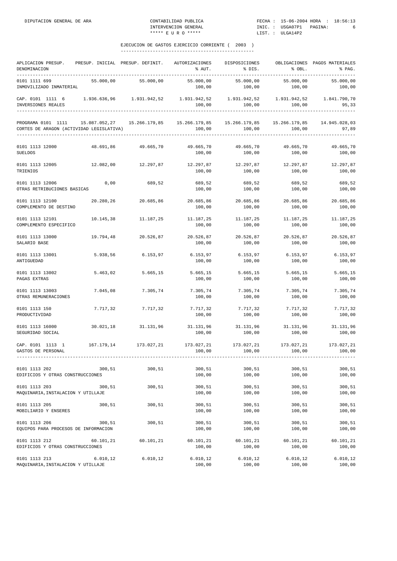| APLICACION PRESUP.<br>DENOMINACION                                                                                     | PRESUP. INICIAL PRESUP. DEFINIT. |            | AUTORIZACIONES<br>% AUT. | DISPOSICIONES<br>% DIS. | % OBL.                  | OBLIGACIONES PAGOS MATERIALES<br>% PAG. |
|------------------------------------------------------------------------------------------------------------------------|----------------------------------|------------|--------------------------|-------------------------|-------------------------|-----------------------------------------|
| 0101 1111 699<br>INMOVILIZADO INMATERIAL                                                                               | 55.000,00                        | 55.000,00  | 55.000,00<br>100,00      | 55.000,00<br>100,00     | 55.000,00<br>100,00     | 55.000,00<br>100,00                     |
| CAP. 0101 1111 6 1.936.636,96 1.931.942,52 1.931.942,52 1.931.942,52 1.931.942,52 1.841.790,70<br>INVERSIONES REALES   |                                  |            | 100,00                   | 100,00                  | 100,00                  | 95,33                                   |
| PROGRAMA 0101 1111 15.087.052,27 15.266.179,85 15.266.179,85 15.266.179,85<br>CORTES DE ARAGON (ACTIVIDAD LEGISLATIVA) |                                  |            | 100,00                   | 100,00                  | 15.266.179,85<br>100,00 | 14.945.028,03<br>97,89                  |
| 0101 1113 12000<br><b>SUELDOS</b>                                                                                      | 48.691,86                        | 49.665,70  | 49.665,70<br>100,00      | 49.665,70<br>100,00     | 49.665,70<br>100,00     | 49.665,70<br>100,00                     |
| 0101 1113 12005<br>TRIENIOS                                                                                            | 12.082,00                        | 12.297,87  | 12.297,87<br>100,00      | 12.297,87<br>100,00     | 12.297,87<br>100,00     | 12.297,87<br>100,00                     |
| 0101 1113 12006<br>OTRAS RETRIBUCIONES BASICAS                                                                         | 0,00                             | 689,52     | 689,52<br>100,00         | 689,52<br>100,00        | 689,52<br>100,00        | 689,52<br>100,00                        |
| 0101 1113 12100<br>COMPLEMENTO DE DESTINO                                                                              | 20.280,26                        | 20.685,86  | 20.685,86<br>100,00      | 20.685,86<br>100,00     | 20.685,86<br>100,00     | 20.685,86<br>100,00                     |
| 0101 1113 12101<br>COMPLEMENTO ESPECIFICO                                                                              | 10.145,38                        | 11.187,25  | 11.187,25<br>100,00      | 11.187,25<br>100,00     | 11.187,25<br>100,00     | 11.187,25<br>100,00                     |
| 0101 1113 13000<br>SALARIO BASE                                                                                        | 19.794,48                        | 20.526,87  | 20.526,87<br>100,00      | 20.526,87<br>100,00     | 20.526,87<br>100,00     | 20.526,87<br>100,00                     |
| 0101 1113 13001<br>ANTIGUEDAD                                                                                          | 5.938,56                         | 6.153,97   | 6.153,97<br>100,00       | 6.153,97<br>100,00      | 6.153,97<br>100,00      | 6.153,97<br>100,00                      |
| 0101 1113 13002<br>PAGAS EXTRAS                                                                                        | 5.463,02                         | 5.665,15   | 5.665,15<br>100,00       | 5.665,15<br>100,00      | 5.665,15<br>100,00      | 5.665,15<br>100,00                      |
| 0101 1113 13003<br>OTRAS REMUNERACIONES                                                                                | 7.045,08                         | 7.305,74   | 7.305,74<br>100,00       | 7.305,74<br>100,00      | 7.305,74<br>100,00      | 7.305,74<br>100,00                      |
| 0101 1113 150<br>PRODUCTIVIDAD                                                                                         | 7.717,32                         | 7.717,32   | 7.717,32<br>100,00       | 7.717,32<br>100,00      | 7.717,32<br>100,00      | 7.717,32<br>100,00                      |
| 0101 1113 16000<br>SEGURIDAD SOCIAL                                                                                    | 30.021,18                        | 31.131,96  | 31.131,96<br>100,00      | 31.131,96<br>100,00     | 31.131,96<br>100,00     | 31.131,96<br>100,00                     |
| CAP. 0101 1113 1<br>GASTOS DE PERSONAL                                                                                 | 167.179,14                       | 173.027,21 | 173.027,21<br>100,00     | 173.027,21<br>100,00    | 173.027,21<br>100,00    | 173.027,21<br>100,00<br>-------------   |
| 0101 1113 202<br>EDIFICIOS Y OTRAS CONSTRUCCIONES                                                                      | 300,51                           | 300,51     | 300,51<br>100,00         | 300,51<br>100,00        | 300,51<br>100,00        | 300,51<br>100,00                        |
| 0101 1113 203<br>MAQUINARIA, INSTALACION Y UTILLAJE                                                                    | 300,51                           | 300,51     | 300,51<br>100,00         | 300,51<br>100,00        | 300,51<br>100,00        | 300, 51<br>100,00                       |
| 0101 1113 205<br>MOBILIARIO Y ENSERES                                                                                  | 300,51                           | 300, 51    | 300,51<br>100,00         | 300,51<br>100,00        | 300,51<br>100,00        | 300,51<br>100,00                        |
| 0101 1113 206<br>EQUIPOS PARA PROCESOS DE INFORMACION                                                                  | 300, 51                          | 300, 51    | 300,51<br>100,00         | 300,51<br>100,00        | 300,51<br>100,00        | 300, 51<br>100,00                       |
| 0101 1113 212<br>EDIFICIOS Y OTRAS CONSTRUCCIONES                                                                      | 60.101,21                        | 60.101,21  | 60.101,21<br>100,00      | 60.101,21<br>100,00     | 60.101,21<br>100,00     | 60.101,21<br>100,00                     |
| 0101 1113 213<br>MAQUINARIA, INSTALACION Y UTILLAJE                                                                    | 6.010, 12                        | 6.010, 12  | 6.010, 12<br>100,00      | 6.010, 12<br>100,00     | 6.010, 12<br>100,00     | 6.010,12<br>100,00                      |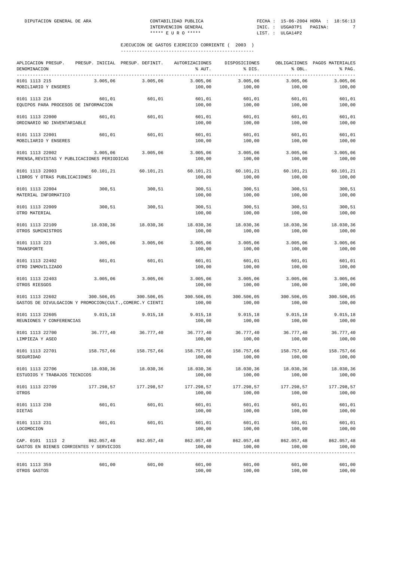| APLICACION PRESUP.<br>DENOMINACION<br>-----------                           |            | PRESUP. INICIAL PRESUP. DEFINIT. | <b>AUTORIZACIONES</b><br>% AUT. | DISPOSICIONES<br>% DIS. | % OBL.               | OBLIGACIONES PAGOS MATERIALES<br>% PAG. |
|-----------------------------------------------------------------------------|------------|----------------------------------|---------------------------------|-------------------------|----------------------|-----------------------------------------|
| 0101 1113 215<br>MOBILIARIO Y ENSERES                                       | 3.005,06   | 3.005,06                         | 3.005,06<br>100,00              | 3.005,06<br>100,00      | 3.005,06<br>100,00   | 3.005,06<br>100,00                      |
| 0101 1113 216<br>EQUIPOS PARA PROCESOS DE INFORMACION                       | 601,01     | 601,01                           | 601,01<br>100,00                | 601,01<br>100,00        | 601,01<br>100,00     | 601,01<br>100,00                        |
| 0101 1113 22000<br>ORDINARIO NO INVENTARIABLE                               | 601,01     | 601,01                           | 601,01<br>100,00                | 601,01<br>100,00        | 601,01<br>100,00     | 601,01<br>100,00                        |
| 0101 1113 22001<br>MOBILIARIO Y ENSERES                                     | 601,01     | 601,01                           | 601,01<br>100,00                | 601,01<br>100,00        | 601,01<br>100,00     | 601,01<br>100,00                        |
| 0101 1113 22002<br>PRENSA, REVISTAS Y PUBLICACIONES PERIODICAS              | 3.005,06   | 3.005,06                         | 3.005,06<br>100,00              | 3.005,06<br>100,00      | 3.005,06<br>100,00   | 3.005,06<br>100,00                      |
| 0101 1113 22003<br>LIBROS Y OTRAS PUBLICACIONES                             | 60.101,21  | 60.101,21                        | 60.101,21<br>100,00             | 60.101,21<br>100,00     | 60.101,21<br>100,00  | 60.101,21<br>100,00                     |
| 0101 1113 22004<br>MATERIAL INFORMATICO                                     | 300,51     | 300,51                           | 300,51<br>100,00                | 300,51<br>100,00        | 300,51<br>100,00     | 300,51<br>100,00                        |
| 0101 1113 22009<br>OTRO MATERIAL                                            | 300,51     | 300,51                           | 300,51<br>100,00                | 300,51<br>100,00        | 300,51<br>100,00     | 300,51<br>100,00                        |
| 0101 1113 22109<br>OTROS SUMINISTROS                                        | 18.030,36  | 18.030,36                        | 18.030,36<br>100,00             | 18.030,36<br>100,00     | 18.030,36<br>100,00  | 18.030,36<br>100,00                     |
| 0101 1113 223<br>TRANSPORTE                                                 | 3.005,06   | 3.005,06                         | 3.005,06<br>100,00              | 3.005,06<br>100,00      | 3.005,06<br>100,00   | 3.005,06<br>100,00                      |
| 0101 1113 22402<br>OTRO INMOVILIZADO                                        | 601,01     | 601,01                           | 601,01<br>100,00                | 601,01<br>100,00        | 601,01<br>100,00     | 601,01<br>100,00                        |
| 0101 1113 22403<br>OTROS RIESGOS                                            | 3.005,06   | 3.005,06                         | 3.005,06<br>100,00              | 3.005,06<br>100,00      | 3.005,06<br>100,00   | 3.005,06<br>100,00                      |
| 0101 1113 22602<br>GASTOS DE DIVULGACION Y PROMOCION(CULT., COMERC.Y CIENTI | 300.506,05 | 300.506,05                       | 300.506,05<br>100,00            | 300.506,05<br>100,00    | 300.506,05<br>100,00 | 300.506,05<br>100,00                    |
| 0101 1113 22605<br>REUNIONES Y CONFERENCIAS                                 | 9.015, 18  | 9.015, 18                        | 9.015, 18<br>100,00             | 9.015, 18<br>100,00     | 9.015, 18<br>100,00  | 9.015, 18<br>100,00                     |
| 0101 1113 22700<br>LIMPIEZA Y ASEO                                          | 36.777,40  | 36.777,40                        | 36.777,40<br>100,00             | 36.777,40<br>100,00     | 36.777,40<br>100,00  | 36.777,40<br>100,00                     |
| 0101 1113 22701<br>SEGURIDAD                                                | 158.757,66 | 158.757,66                       | 158.757,66<br>100,00            | 158.757,66<br>100,00    | 158.757,66<br>100,00 | 158.757,66<br>100,00                    |
| 0101 1113 22706<br>ESTUDIOS Y TRABAJOS TECNICOS                             | 18.030,36  | 18.030,36                        | 18.030,36<br>100,00             | 18.030,36<br>100,00     | 18.030,36<br>100,00  | 18.030,36<br>100,00                     |
| 0101 1113 22709<br>OTROS                                                    | 177.298,57 | 177.298,57                       | 177.298,57<br>100,00            | 177.298,57<br>100,00    | 177.298,57<br>100,00 | 177.298,57<br>100,00                    |
| 0101 1113 230<br>DIETAS                                                     | 601,01     | 601,01                           | 601,01<br>100,00                | 601,01<br>100,00        | 601,01<br>100,00     | 601,01<br>100,00                        |
| 0101 1113 231<br>LOCOMOCION                                                 | 601,01     | 601,01                           | 601,01<br>100,00                | 601,01<br>100,00        | 601,01<br>100,00     | 601,01<br>100,00                        |
| CAP. 0101 1113 2 862.057,48<br>GASTOS EN BIENES CORRIENTES Y SERVICIOS      |            | 862.057,48                       | 862.057,48<br>100,00            | 862.057,48<br>100,00    | 862.057,48<br>100,00 | 862.057,48<br>100,00                    |
| 0101 1113 359<br>OTROS GASTOS                                               | 601,00     | 601,00                           | 601,00<br>100,00                | 601,00<br>100,00        | 601,00<br>100,00     | 601,00<br>100,00                        |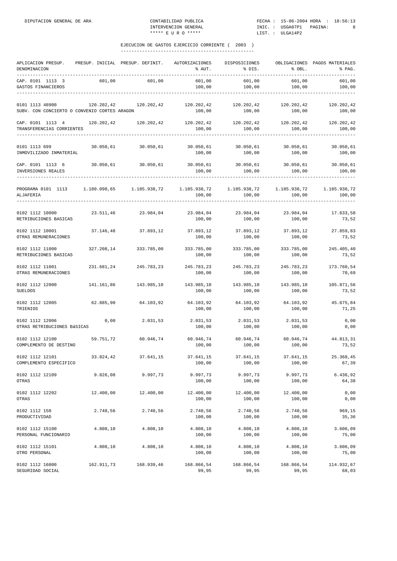| APLICACION PRESUP.<br>DENOMINACION<br>---------------                                                                             |            | PRESUP. INICIAL PRESUP. DEFINIT. | AUTORIZACIONES<br>% AUT. | DISPOSICIONES<br>% DIS.                          | % OBL.               | OBLIGACIONES PAGOS MATERIALES<br>% PAG.                        |
|-----------------------------------------------------------------------------------------------------------------------------------|------------|----------------------------------|--------------------------|--------------------------------------------------|----------------------|----------------------------------------------------------------|
| CAP. 0101 1113 3<br>GASTOS FINANCIEROS                                                                                            | 601,00     | 601,00                           | 601,00<br>100,00         | 601,00<br>100,00                                 | 601,00<br>100,00     | 601,00<br>100,00                                               |
| 0101 1113 48900<br>SUBV. CON CONCIERTO O CONVENIO CORTES ARAGON                                                                   | 120.202,42 | 120.202,42                       | 120.202,42<br>100,00     | 120.202,42<br>100,00                             | 120.202,42<br>100,00 | 120.202,42<br>100,00                                           |
| CAP. 0101 1113 4<br>TRANSFERENCIAS CORRIENTES                                                                                     |            | 120.202,42 120.202,42            | 100,00                   | 120.202,42 120.202,42<br>100,00                  | 120.202,42<br>100,00 | 120.202,42<br>100,00<br>-------------------------------------- |
| 0101 1113 699<br>INMOVILIZADO INMATERIAL                                                                                          | 30.050,61  | 30.050,61                        | 30.050,61<br>100,00      | 30.050,61<br>100,00                              | 30.050,61<br>100,00  | 30.050,61<br>100,00                                            |
| CAP. 0101 1113 6<br>INVERSIONES REALES                                                                                            |            | 30.050,61 30.050,61              | 30.050,61<br>100,00      | $30.050, 61$ $30.050, 61$ $30.050, 61$<br>100,00 | 100,00               | 100,00                                                         |
| PROGRAMA 0101 1113 1.180.090,65 1.185.938,72 1.185.938,72 1.185.938,72 1.185.938,72 1.185.938,72<br>ALJAFERIA<br>---------------- |            |                                  | 100,00                   | 100,00                                           | 100,00               | 100,00                                                         |
| 0102 1112 10000<br>RETRIBUCIONES BASICAS                                                                                          |            | 23.511,46 23.984,04              | 100,00                   | 23.984,04 23.984,04 23.984,04<br>100,00          | 100,00               | 17.633,58<br>73,52                                             |
| 0102 1112 10001<br>OTRAS REMUNERACIONES                                                                                           | 37.146,48  | 37.893,12                        | 37.893,12<br>100,00      | 37.893,12<br>100,00                              | 37.893,12<br>100,00  | 27.859,83<br>73,52                                             |
| 0102 1112 11000<br>RETRIBUCIONES BASICAS                                                                                          |            | 327.208.14 333.785.00            | 333.785,00<br>100,00     | 333.785,00<br>100,00                             | 333.785,00<br>100,00 | 245.405,40<br>73,52                                            |
| 0102 1112 11001<br>OTRAS REMUNERACIONES                                                                                           | 231.681,24 | 245.783,23                       | 245.783,23<br>100,00     | 245.783,23<br>100,00                             | 245.783,23<br>100,00 | 173.760,54<br>70,69                                            |
| 0102 1112 12000<br><b>SUELDOS</b>                                                                                                 | 141.161,86 | 143.985,10                       | 143.985,10<br>100,00     | 143.985,10<br>100,00                             | 143.985,10<br>100,00 | 105.871,56<br>73,52                                            |
| 0102 1112 12005<br>TRIENIOS                                                                                                       | 62.885,90  | 64.103,92                        | 64.103,92<br>100,00      | 64.103,92<br>100,00                              | 64.103,92<br>100,00  | 45.675,84<br>71,25                                             |
| 0102 1112 12006<br>OTRAS RETRIBUCIONES BÁSICAS                                                                                    | 0,00       | 2.031,53                         | 2.031,53<br>100,00       | 2.031,53<br>100,00                               | 2.031,53<br>100,00   | 0,00<br>0,00                                                   |
| 0102 1112 12100<br>COMPLEMENTO DE DESTINO                                                                                         | 59.751,72  | 60.946,74                        | 60.946,74<br>100,00      | 60.946,74<br>100,00                              | 60.946,74<br>100,00  | 44.813,31<br>73,52                                             |
| 0102 1112 12101<br>COMPLEMENTO ESPECIFICO                                                                                         | 33.824,42  | 37.641,15                        | 37.641,15<br>100,00      | 37.641,15<br>100,00                              | 37.641,15<br>100,00  | 25.368,45<br>67,39                                             |
| 0102 1112 12109<br>OTRAS                                                                                                          | 9.826,08   | 9.997,73                         | 9.997,73<br>100,00       | 9.997,73<br>100,00                               | 9.997,73<br>100,00   | 6.436,92<br>64,38                                              |
| 0102 1112 12202<br>OTRAS                                                                                                          | 12.400,00  | 12.400,00                        | 12.400,00<br>100,00      | 12.400,00<br>100,00                              | 12.400,00<br>100,00  | 0,00<br>0,00                                                   |
| 0102 1112 150<br>PRODUCTIVIDAD                                                                                                    | 2.740,56   | 2.740,56                         | 2.740,56<br>100,00       | 2.740,56<br>100,00                               | 2.740,56<br>100,00   | 969,15<br>35,36                                                |
| 0102 1112 15100<br>PERSONAL FUNCIONARIO                                                                                           | 4.808,10   | 4.808,10                         | 4.808,10<br>100,00       | 4.808,10<br>100,00                               | 4.808,10<br>100,00   | 3.606,09<br>75,00                                              |
| 0102 1112 15101<br>OTRO PERSONAL                                                                                                  | 4.808,10   | 4.808,10                         | 4.808,10<br>100,00       | 4.808,10<br>100,00                               | 4.808,10<br>100,00   | 3.606,09<br>75,00                                              |
| 0102 1112 16000<br>SEGURIDAD SOCIAL                                                                                               | 162.911,73 | 168.939,46                       | 168.866,54<br>99,95      | 168.866,54<br>99,95                              | 168.866,54<br>99,95  | 114.932,67<br>68,03                                            |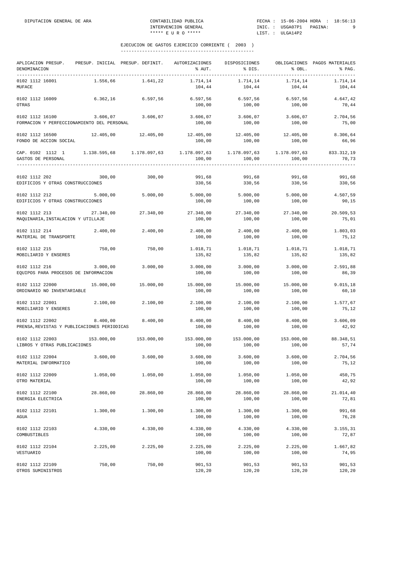| APLICACION PRESUP.<br>DENOMINACION                             |            | PRESUP. INICIAL PRESUP. DEFINIT. | AUTORIZACIONES<br>% AUT.                               | DISPOSICIONES<br>% DIS. | % OBL.               | OBLIGACIONES PAGOS MATERIALES<br>% PAG. |
|----------------------------------------------------------------|------------|----------------------------------|--------------------------------------------------------|-------------------------|----------------------|-----------------------------------------|
| 0102 1112 16001<br>MUFACE                                      | 1.556,66   | 1.641,22                         | 1.714,14<br>104,44                                     | 1.714,14<br>104,44      | 1.714,14<br>104,44   | 1.714,14<br>104,44                      |
| 0102 1112 16009<br>OTRAS                                       | 6.362,16   | 6.597,56                         | 6.597,56<br>100,00                                     | 6.597,56<br>100,00      | 6.597,56<br>100,00   | 4.647,42<br>70,44                       |
| 0102 1112 16100<br>FORMACION Y PERFECCIONAMIENTO DEL PERSONAL  |            | 3.606,07 3.606,07                | 3.606,07<br>100,00                                     | 3.606,07<br>100,00      | 3.606,07<br>100,00   | 2.704,56<br>75,00                       |
| 0102 1112 16500<br>FONDO DE ACCION SOCIAL                      |            | 12.405,00 12.405,00              | 12.405,00<br>100,00                                    | 12.405,00<br>100,00     | 12.405,00<br>100,00  | 8.306,64<br>66,96                       |
| CAP. 0102 1112 1<br>GASTOS DE PERSONAL                         |            |                                  | $1.178.097,63$ $1.178.097,63$ $1.178.097,63$<br>100,00 | 100,00                  | 100,00               | 833.312,19<br>70,73                     |
| 0102 1112 202<br>EDIFICIOS Y OTRAS CONSTRUCCIONES              | 300,00     | 300,00                           | 991,68<br>330,56                                       | 991,68<br>330,56        | 991,68<br>330,56     | 991,68<br>330,56                        |
| 0102 1112 212<br>EDIFICIOS Y OTRAS CONSTRUCCIONES              | 5.000,00   | 5.000,00                         | 5.000,00<br>100,00                                     | 5.000,00<br>100,00      | 5.000,00<br>100,00   | 4.507,59<br>90, 15                      |
| 0102 1112 213<br>MAQUINARIA, INSTALACION Y UTILLAJE            | 27.340,00  | 27.340,00                        | 27.340,00<br>100,00                                    | 27.340,00<br>100,00     | 27.340,00<br>100,00  | 20.509,53<br>75,01                      |
| 0102 1112 214<br>MATERIAL DE TRANSPORTE                        | 2.400,00   | 2.400,00                         | 2.400,00<br>100,00                                     | 2.400,00<br>100,00      | 2.400,00<br>100,00   | 1.803,03<br>75,12                       |
| 0102 1112 215<br>MOBILIARIO Y ENSERES                          | 750,00     | 750,00                           | 1.018,71<br>135,82                                     | 1.018,71<br>135,82      | 1.018,71<br>135,82   | 1.018,71<br>135,82                      |
| 0102 1112 216<br>EQUIPOS PARA PROCESOS DE INFORMACION          | 3.000,00   | 3.000,00                         | 3.000,00<br>100,00                                     | 3.000,00<br>100,00      | 3.000,00<br>100,00   | 2.591,88<br>86,39                       |
| 0102 1112 22000<br>ORDINARIO NO INVENTARIABLE                  | 15.000,00  | 15.000,00                        | 15.000,00<br>100,00                                    | 15.000,00<br>100,00     | 15.000,00<br>100,00  | 9.015, 18<br>60,10                      |
| 0102 1112 22001<br>MOBILIARIO Y ENSERES                        | 2.100,00   | 2.100,00                         | 2.100,00<br>100,00                                     | 2.100,00<br>100,00      | 2.100,00<br>100,00   | 1.577,67<br>75,12                       |
| 0102 1112 22002<br>PRENSA, REVISTAS Y PUBLICACIONES PERIODICAS | 8.400,00   | 8.400,00                         | 8.400,00<br>100,00                                     | 8.400,00<br>100,00      | 8.400,00<br>100,00   | 3.606,09<br>42,92                       |
| 0102 1112 22003<br>LIBROS Y OTRAS PUBLICACIONES                | 153.000,00 | 153.000,00                       | 153.000,00<br>100,00                                   | 153.000,00<br>100,00    | 153.000,00<br>100,00 | 88.348,51<br>57,74                      |
| 0102 1112 22004<br>MATERIAL INFORMATICO                        | 3.600,00   | 3.600,00                         | 3.600,00<br>100,00                                     | 3.600,00<br>100,00      | 3.600,00<br>100,00   | 2.704,56<br>75,12                       |
| 0102 1112 22009<br>OTRO MATERIAL                               | 1.050,00   | 1.050,00                         | 1.050,00<br>100,00                                     | 1.050,00<br>100,00      | 1.050,00<br>100,00   | 450,75<br>42,92                         |
| 0102 1112 22100<br>ENERGIA ELECTRICA                           | 28.860,00  | 28.860,00                        | 28.860,00<br>100,00                                    | 28.860,00<br>100,00     | 28.860,00<br>100,00  | 21.014,40<br>72,81                      |
| 0102 1112 22101<br>AGUA                                        | 1.300,00   | 1.300,00                         | 1.300,00<br>100,00                                     | 1.300,00<br>100,00      | 1.300,00<br>100,00   | 991,68<br>76,28                         |
| 0102 1112 22103<br>COMBUSTIBLES                                | 4.330,00   | 4.330,00                         | 4.330,00<br>100,00                                     | 4.330,00<br>100,00      | 4.330,00<br>100,00   | 3.155,31<br>72,87                       |
| 0102 1112 22104<br>VESTUARIO                                   | 2.225,00   | 2.225,00                         | 2.225,00<br>100,00                                     | 2.225,00<br>100,00      | 2.225,00<br>100,00   | 1.667,82<br>74,95                       |
| 0102 1112 22109<br>OTROS SUMINISTROS                           | 750,00     | 750,00                           | 901,53<br>120,20                                       | 901,53<br>120,20        | 901,53<br>120,20     | 901,53<br>120,20                        |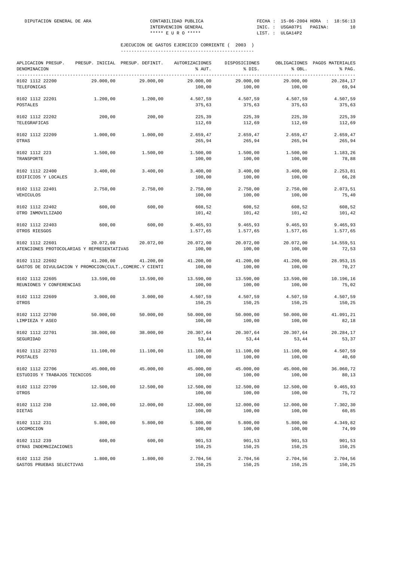| APLICACION PRESUP.<br>DENOMINACION                                          |           | PRESUP. INICIAL PRESUP. DEFINIT. | AUTORIZACIONES<br>% AUT. | DISPOSICIONES<br>% DIS. | % OBL.               | OBLIGACIONES PAGOS MATERIALES<br>% PAG. |
|-----------------------------------------------------------------------------|-----------|----------------------------------|--------------------------|-------------------------|----------------------|-----------------------------------------|
| ---------------------------------<br>0102 1112 22200<br>TELEFONICAS         | 29.000,00 | 29.000,00                        | 29.000,00<br>100,00      | 29.000,00<br>100,00     | 29.000,00<br>100,00  | 20.284,17<br>69,94                      |
| 0102 1112 22201<br><b>POSTALES</b>                                          | 1.200,00  | 1,200,00                         | 4.507,59<br>375,63       | 4.507,59<br>375,63      | 4.507,59<br>375,63   | 4.507,59<br>375,63                      |
| 0102 1112 22202<br>TELEGRAFICAS                                             | 200,00    | 200,00                           | 225,39<br>112,69         | 225,39<br>112,69        | 225,39<br>112,69     | 225,39<br>112,69                        |
| 0102 1112 22209<br><b>OTRAS</b>                                             | 1.000,00  | 1.000,00                         | 2.659,47<br>265,94       | 2.659,47<br>265,94      | 2.659,47<br>265,94   | 2.659,47<br>265,94                      |
| 0102 1112 223<br>TRANSPORTE                                                 | 1.500,00  | 1.500,00                         | 1.500,00<br>100,00       | 1.500,00<br>100,00      | 1.500,00<br>100,00   | 1.183,26<br>78,88                       |
| 0102 1112 22400<br>EDIFICIOS Y LOCALES                                      | 3.400,00  | 3.400,00                         | 3.400,00<br>100,00       | 3.400,00<br>100,00      | 3.400,00<br>100,00   | 2.253,81<br>66,28                       |
| 0102 1112 22401<br>VEHICULOS                                                | 2.750,00  | 2.750,00                         | 2.750,00<br>100,00       | 2.750,00<br>100,00      | 2.750,00<br>100,00   | 2.073,51<br>75,40                       |
| 0102 1112 22402<br>OTRO INMOVILIZADO                                        | 600,00    | 600,00                           | 608,52<br>101,42         | 608,52<br>101,42        | 608,52<br>101,42     | 608,52<br>101,42                        |
| 0102 1112 22403<br>OTROS RIESGOS                                            | 600,00    | 600,00                           | 9.465,93<br>1.577,65     | 9.465,93<br>1.577,65    | 9.465,93<br>1.577,65 | 9.465,93<br>1.577,65                    |
| 0102 1112 22601<br>ATENCIONES PROTOCOLARIAS Y REPRESENTATIVAS               | 20.072,00 | 20.072,00                        | 20.072,00<br>100,00      | 20.072,00<br>100,00     | 20.072,00<br>100,00  | 14.559,51<br>72,53                      |
| 0102 1112 22602<br>GASTOS DE DIVULGACION Y PROMOCION(CULT., COMERC.Y CIENTI | 41.200,00 | 41.200,00                        | 41.200,00<br>100,00      | 41.200,00<br>100,00     | 41.200,00<br>100,00  | 28.953,15<br>70,27                      |
| 0102 1112 22605<br>REUNIONES Y CONFERENCIAS                                 | 13.590,00 | 13.590,00                        | 13.590,00<br>100,00      | 13.590,00<br>100,00     | 13.590,00<br>100,00  | 10.196,16<br>75,02                      |
| 0102 1112 22609<br>OTROS                                                    | 3.000,00  | 3.000,00                         | 4.507,59<br>150,25       | 4.507,59<br>150,25      | 4.507,59<br>150,25   | 4.507,59<br>150,25                      |
| 0102 1112 22700<br>LIMPIEZA Y ASEO                                          | 50.000,00 | 50.000,00                        | 50.000,00<br>100,00      | 50.000,00<br>100,00     | 50.000,00<br>100,00  | 41.091,21<br>82,18                      |
| 0102 1112 22701<br>SEGURIDAD                                                | 38.000,00 | 38.000,00                        | 20.307,64<br>53,44       | 20.307,64<br>53,44      | 20.307,64<br>53,44   | 20.284,17<br>53,37                      |
| 0102 1112 22703<br>POSTALES                                                 | 11,100,00 | 11.100,00                        | 11.100,00<br>100,00      | 11,100,00<br>100,00     | 11.100,00<br>100,00  | 4.507,59<br>40,60                       |
| 0102 1112 22706<br>ESTUDIOS Y TRABAJOS TECNICOS                             | 45.000,00 | 45.000,00                        | 45.000,00<br>100,00      | 45.000,00<br>100,00     | 45.000,00<br>100,00  | 36.060,72<br>80,13                      |
| 0102 1112 22709<br>OTROS                                                    | 12.500,00 | 12.500,00                        | 12.500,00<br>100,00      | 12.500,00<br>100,00     | 12.500,00<br>100,00  | 9.465,93<br>75,72                       |
| 0102 1112 230<br><b>DIETAS</b>                                              | 12.000,00 | 12.000,00                        | 12.000,00<br>100,00      | 12.000,00<br>100,00     | 12.000,00<br>100,00  | 7.302,30<br>60,85                       |
| 0102 1112 231<br>LOCOMOCION                                                 | 5.800,00  | 5.800,00                         | 5.800,00<br>100,00       | 5.800,00<br>100,00      | 5.800,00<br>100,00   | 4.349,82<br>74,99                       |
| 0102 1112 239<br>OTRAS INDEMNIZACIONES                                      | 600,00    | 600,00                           | 901,53<br>150,25         | 901,53<br>150,25        | 901,53<br>150,25     | 901,53<br>150,25                        |
| 0102 1112 250<br>GASTOS PRUEBAS SELECTIVAS                                  | 1.800,00  | 1.800,00                         | 2.704,56<br>150,25       | 2.704,56<br>150,25      | 2.704,56<br>150,25   | 2.704,56<br>150,25                      |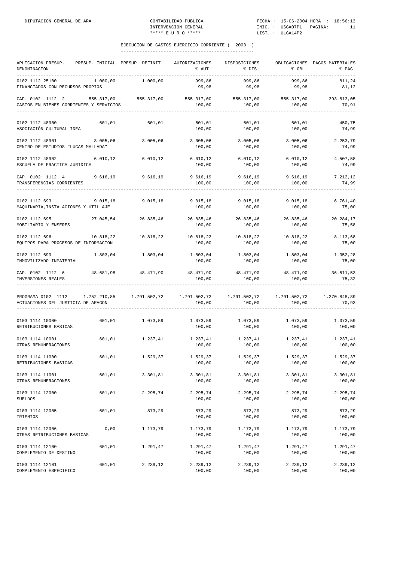| APLICACION PRESUP. PRESUP. INICIAL PRESUP. DEFINIT. AUTORIZACIONES DISPOSICIONES<br>DENOMINACION<br>-------------------------------      |           |                                                                         | % AUT.                                            | % DIS.                      | % OBL.                                           | OBLIGACIONES PAGOS MATERIALES<br>% PAG. |
|------------------------------------------------------------------------------------------------------------------------------------------|-----------|-------------------------------------------------------------------------|---------------------------------------------------|-----------------------------|--------------------------------------------------|-----------------------------------------|
| 0102 1112 25100<br>FINANCIADOS CON RECURSOS PROPIOS                                                                                      | 1.000,00  | 1.000,00                                                                | 999,86<br>99,98                                   | 999,86<br>99,98             | 999,86<br>99,98                                  | 811,24<br>81,12                         |
| CAP. 0102 1112 2 555.317,00 555.317,00 555.317,00 555.317,00 555.317,00 555.317,00 393.813,05<br>GASTOS EN BIENES CORRIENTES Y SERVICIOS |           |                                                                         | 100,00                                            | 100,00                      | 100,00                                           | 70,91                                   |
| 0102 1112 48900<br>ASOCIACIÓN CULTURAL IDEA                                                                                              | 601,01    | 601,01                                                                  | 601,01<br>100,00                                  | 601,01<br>100,00            | 601,01<br>100,00                                 | 450,75<br>74,99                         |
| 0102 1112 48901 3.005,06<br>CENTRO DE ESTUDIOS "LUCAS MALLADA"                                                                           |           | 3.005,06                                                                | 3.005,06<br>100,00                                | 3.005,06<br>100,00          | 3.005,06<br>100,00                               | 2.253,79<br>74,99                       |
| 0102 1112 48902 6.010,12<br>ESCUELA DE PRACTICA JURIDICA                                                                                 |           | 6.010, 12                                                               |                                                   | 100,00 100,00               | $6.010, 12$ $6.010, 12$ $6.010, 12$<br>100,00    | 4.507,58<br>74,99                       |
| CAP. 0102 1112 4 9.616,19 9.616,19<br>TRANSFERENCIAS CORRIENTES                                                                          |           |                                                                         | $9.616,19$ $9.616,19$ $9.616,19$<br>100,00        | 100,00                      | 100,00                                           | 7.212,12<br>74,99                       |
| 0102 1112 693<br>MAQUINARIA, INSTALACIONES Y UTILLAJE                                                                                    | 9.015, 18 | 9.015, 18                                                               | 9.015,18<br>100,00                                | 9.015, 18<br>100,00         | 9.015, 18<br>100,00                              | 6.761, 40<br>75,00                      |
| 0102 1112 695<br>MOBILIARIO Y ENSERES                                                                                                    |           | $27.045,54$ $26.835,46$ $26.835,46$ $26.835,46$ $26.835,46$ $26.835,46$ | 100,00                                            | 100,00                      | 100,00                                           | 20.284,17<br>75,58                      |
| 0102 1112 696 10.818,22<br>EQUIPOS PARA PROCESOS DE INFORMACION                                                                          |           | 10.818,22                                                               | 100,00                                            | 100,00                      | $10.818, 22$ $10.818, 22$ $10.818, 22$<br>100,00 | 8.113,68<br>75,00                       |
| 0102 1112 699<br>INMOVILIZADO INMATERIAL                                                                                                 |           | 1.803,04 1.803,04                                                       | 100,00                                            | 100,00                      | $1.803,04$ $1.803,04$ $1.803,04$<br>100,00       | 1.352,28<br>75,00                       |
| CAP. 0102 1112 6 48.681,98 48.471,90<br>INVERSIONES REALES                                                                               |           |                                                                         | 48.471,90 48.471,90 48.471,90 36.511,53<br>100,00 | 100,00                      | 100,00                                           | 75,32                                   |
| PROGRAMA 0102 1112 1.752.210,85 1.791.502,72 1.791.502,72 1.791.502,72 1.791.502,72 1.270.848,89<br>ACTUACIONES DEL JUSTICIA DE ARAGON   |           |                                                                         | 100,00                                            | 100,00                      | 100,00                                           | 70,93                                   |
| 0103 1114 10000<br>RETRIBUCIONES BASICAS                                                                                                 |           | 601,01 1.073,59                                                         | 1.073,59 1.073,59 1.073,59<br>100,00              | 100,00                      | 100,00                                           | 1.073,59<br>100,00                      |
| 0103 1114 10001<br>OTRAS REMUNERACIONES                                                                                                  |           | 601,01 1.237,41                                                         | 100,00                                            | 1.237,41 1.237,41<br>100,00 | 1.237,41<br>100,00                               | 1.237,41<br>100,00                      |
| 0103 1114 11000<br>RETRIBUCIONES BASICAS                                                                                                 | 601,01    | 1.529,37                                                                | 1.529,37<br>100,00                                | 1.529,37<br>100,00          | 1.529,37<br>100,00                               | 1.529,37<br>100,00                      |
| 0103 1114 11001<br>OTRAS REMUNERACIONES                                                                                                  | 601,01    | 3.301,81                                                                | 3.301,81<br>100,00                                | 3.301,81<br>100,00          | 3.301,81<br>100,00                               | 3.301,81<br>100,00                      |
| 0103 1114 12000<br><b>SUELDOS</b>                                                                                                        | 601,01    | 2.295,74                                                                | 2.295,74<br>100,00                                | 2.295,74<br>100,00          | 2.295,74<br>100,00                               | 2.295,74<br>100,00                      |
| 0103 1114 12005<br>TRIENIOS                                                                                                              | 601,01    | 873,29                                                                  | 873,29<br>100,00                                  | 873,29<br>100,00            | 873,29<br>100,00                                 | 873,29<br>100,00                        |
| 0103 1114 12006<br>OTRAS RETRIBUCIONES BASICAS                                                                                           | 0,00      | 1.173,79                                                                | 1.173,79<br>100,00                                | 1.173,79<br>100,00          | 1.173,79<br>100,00                               | 1.173,79<br>100,00                      |
| 0103 1114 12100<br>COMPLEMENTO DE DESTINO                                                                                                | 601,01    | 1.291,47                                                                | 1.291,47<br>100,00                                | 1.291,47<br>100,00          | 1.291,47<br>100,00                               | 1.291,47<br>100,00                      |
| 0103 1114 12101<br>COMPLEMENTO ESPECIFICO                                                                                                | 601,01    | 2.239,12                                                                | 2.239,12<br>100,00                                | 2.239,12<br>100,00          | 2.239,12<br>100,00                               | 2.239,12<br>100,00                      |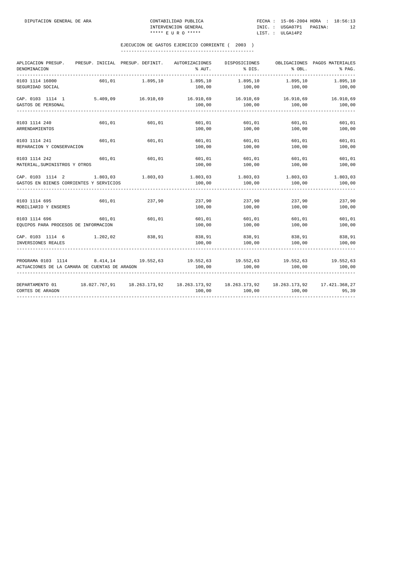| APLICACION PRESUP.<br>DENOMINACION                                                                                                         | PRESUP. INICIAL PRESUP. DEFINIT. |        | AUTORIZACIONES                                                                   | DISPOSICIONES<br>$\text{\$~AUT$}$ . $\text{\$~DIS$}$ . | 8 OBL.           | OBLIGACIONES PAGOS MATERIALES<br>% PAG. |
|--------------------------------------------------------------------------------------------------------------------------------------------|----------------------------------|--------|----------------------------------------------------------------------------------|--------------------------------------------------------|------------------|-----------------------------------------|
| 0103 1114 16000<br>SEGURIDAD SOCIAL                                                                                                        |                                  |        | 601,01 1.895,10 1.895,10 1.895,10 1.895,10 1.895,10                              |                                                        |                  |                                         |
| CAP. 0103 1114 1<br>GASTOS DE PERSONAL                                                                                                     |                                  |        | $5.409,09$ $16.910,69$ $16.910,69$ $16.910,69$ $16.910,69$ $16.910,69$<br>100,00 | 100,00                                                 | 100,00           | 100,00                                  |
| 0103 1114 240<br>ARRENDAMIENTOS                                                                                                            | 601,01                           | 601,01 | 100,00                                                                           | 601,01 601,01 601,01<br>100,00                         | 100,00           | 601,01<br>100,00                        |
| 0103 1114 241<br>REPARACION Y CONSERVACION                                                                                                 | 601,01                           | 601,01 | 601,01<br>100,00                                                                 | 601,01<br>100,00                                       | 601,01<br>100,00 | 601,01<br>100,00                        |
| 0103 1114 242<br>MATERIAL, SUMINISTROS Y OTROS                                                                                             | 601,01                           | 601,01 | 601,01<br>100,00                                                                 | 601,01<br>100,00                                       | 601,01<br>100,00 | 601,01<br>100,00                        |
| $CRP.$ 0103 1114 2 $1.803,03$ $1.803,03$ $1.803,03$ $1.803,03$ $1.803,03$ $1.803,03$ $1.803,03$<br>GASTOS EN BIENES CORRIENTES Y SERVICIOS |                                  |        | 100,00                                                                           | 100,00                                                 | 100,00           | 100,00                                  |
| 0103 1114 695 601,01<br>MOBILIARIO Y ENSERES                                                                                               |                                  | 237,90 | $237,90$ $237,90$ $237,90$<br>100,00                                             | 100,00                                                 | 100,00           | 237,90<br>100,00                        |
| 0103 1114 696 601,01<br>EQUIPOS PARA PROCESOS DE INFORMACION                                                                               |                                  | 601,01 | 601,01<br>100,00                                                                 | 601,01<br>100,00                                       | 601,01<br>100,00 | 601,01<br>100,00                        |
| CAP. 0103 1114 6 1.202,02<br>INVERSIONES REALES                                                                                            |                                  |        | $838,91$ $838,91$ $838,91$ $838,91$ $838,91$<br>100,00                           |                                                        |                  | 838,91<br>100,00                        |
| PROGRAMA 0103 1114 8.414,14 19.552,63 19.552,63 19.552,63 19.552,63 19.552,63 19.552,63<br>ACTUACIONES DE LA CAMARA DE CUENTAS DE ARAGON   |                                  |        | 100,00                                                                           | 100,00                                                 | 100,00           | 100,00                                  |
| DEPARTAMENTO 01 18.027.767,91 18.263.173,92 18.263.173,92 18.263.173,92 18.263.173,92 17.421.368,27<br>CORTES DE ARAGON                    |                                  |        | 100,00                                                                           | 100,00                                                 | 100,00           | 95,39                                   |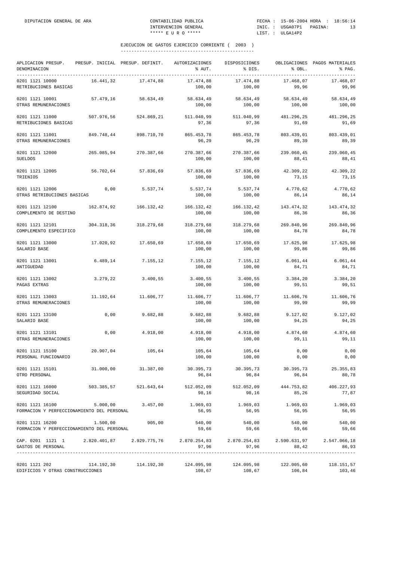| APLICACION PRESUP.<br>DENOMINACION                                                                                                             |            | PRESUP. INICIAL PRESUP. DEFINIT.                                        | AUTORIZACIONES<br>% AUT. | DISPOSICIONES<br>% DIS. | % OBL.              | OBLIGACIONES PAGOS MATERIALES<br>% PAG.   |
|------------------------------------------------------------------------------------------------------------------------------------------------|------------|-------------------------------------------------------------------------|--------------------------|-------------------------|---------------------|-------------------------------------------|
| 0201 1121 10000<br>RETRIBUCIONES BASICAS                                                                                                       | 16.441,32  | 17.474,88                                                               | 17.474,88<br>100,00      | 17.474,88<br>100,00     | 17.468,07<br>99,96  | 17.468,07<br>99,96                        |
| 0201 1121 10001<br>OTRAS REMUNERACIONES                                                                                                        | 57.479,16  | 58.634,49                                                               | 58.634,49<br>100,00      | 58.634,49<br>100,00     | 58.634,49<br>100,00 | 58.634,49<br>100,00                       |
| 0201 1121 11000<br>RETRIBUCIONES BASICAS                                                                                                       | 507.976,56 | 524.869,21                                                              | 511.040,99<br>97,36      | 511.040,99<br>97,36     | 481.296,25<br>91,69 | 481.296,25<br>91,69                       |
| 0201 1121 11001<br>OTRAS REMUNERACIONES                                                                                                        | 849.748,44 | 898.710,70                                                              | 865.453,78<br>96,29      | 865.453,78<br>96,29     | 803.439,01<br>89,39 | 803.439,01<br>89,39                       |
| 0201 1121 12000<br><b>SUELDOS</b>                                                                                                              | 265.085,94 | 270.387,66                                                              | 270.387,66<br>100,00     | 270.387,66<br>100,00    | 239.060,45<br>88,41 | 239.060,45<br>88,41                       |
| 0201 1121 12005<br>TRIENIOS                                                                                                                    | 56.702,64  | 57.836,69                                                               | 57.836,69<br>100,00      | 57.836,69<br>100,00     | 42.309,22<br>73,15  | 42.309,22<br>73,15                        |
| 0201 1121 12006<br>OTRAS RETRIBUCIONES BASICAS                                                                                                 | 0,00       | 5.537,74                                                                | 5.537,74<br>100,00       | 5.537,74<br>100,00      | 4.770,62<br>86,14   | 4.770,62<br>86,14                         |
| 0201 1121 12100<br>COMPLEMENTO DE DESTINO                                                                                                      | 162.874,92 | 166.132,42                                                              | 166.132,42<br>100,00     | 166.132,42<br>100,00    | 143.474,32<br>86,36 | 143.474,32<br>86,36                       |
| 0201 1121 12101<br>COMPLEMENTO ESPECIFICO                                                                                                      | 304.318,36 | 318.279,68                                                              | 318.279,68<br>100,00     | 318.279,68<br>100,00    | 269.840,96<br>84,78 | 269.840,96<br>84,78                       |
| 0201 1121 13000<br>SALARIO BASE                                                                                                                | 17.020,92  | 17.650,69                                                               | 17.650,69<br>100,00      | 17.650,69<br>100,00     | 17.625,98<br>99,86  | 17.625,98<br>99,86                        |
| 0201 1121 13001<br>ANTIGUEDAD                                                                                                                  | 6.489,14   | 7.155,12                                                                | 7.155,12<br>100,00       | 7.155,12<br>100,00      | 6.061,44<br>84,71   | 6.061, 44<br>84,71                        |
| 0201 1121 13002<br>PAGAS EXTRAS                                                                                                                | 3.279,22   | 3.400,55                                                                | 3.400,55<br>100,00       | 3.400,55<br>100,00      | 3.384,20<br>99,51   | 3.384,20<br>99,51                         |
| 0201 1121 13003<br>OTRAS REMUNERACIONES                                                                                                        | 11.192,64  | 11.606,77                                                               | 11.606,77<br>100,00      | 11.606,77<br>100,00     | 11.606,76<br>99,99  | 11.606,76<br>99,99                        |
| 0201 1121 13100<br>SALARIO BASE                                                                                                                | 0,00       | 9.682,88                                                                | 9.682,88<br>100,00       | 9.682,88<br>100,00      | 9.127,02<br>94,25   | 9.127,02<br>94,25                         |
| 0201 1121 13101<br>OTRAS REMUNERACIONES                                                                                                        | 0,00       | 4.918,00                                                                | 4.918,00<br>100,00       | 4.918,00<br>100,00      | 4.874,60<br>99,11   | 4.874,60<br>99,11                         |
| 0201 1121 15100<br>PERSONAL FUNCIONARIO                                                                                                        | 20.907,04  | 105,64                                                                  | 105,64<br>100,00         | 105,64<br>100,00        | 0,00<br>0,00        | 0,00<br>0,00                              |
| 0201 1121 15101<br>OTRO PERSONAL                                                                                                               |            | $31.000,00$ $31.387,00$ $30.395,73$ $30.395,73$ $30.395,73$ $25.355,83$ | 96,84                    | 96,84                   | 96,84               | 80,78                                     |
| 0201 1121 16000<br>SEGURIDAD SOCIAL                                                                                                            |            | 503.385,57 521.643,64                                                   | 512.052,09<br>98,16      | 512.052,09<br>98,16     | 444.753,82<br>85,26 | 406.227,93<br>77,87                       |
| 0201 1121 16100<br>FORMACION Y PERFECCIONAMIENTO DEL PERSONAL                                                                                  | 5.000,00   | 3.457,00                                                                | 1.969,03<br>56,95        | 1,969,03<br>56,95       | 1.969,03<br>56,95   | 1.969,03<br>56,95                         |
| 0201 1121 16200<br>FORMACION Y PERFECCIONAMIENTO DEL PERSONAL                                                                                  | 1.500,00   | 905,00                                                                  | 540,00<br>59,66          | 540,00<br>59,66         | 540,00<br>59,66     | 540,00<br>59,66                           |
| CAP. 0201 1121 1 2.820.401,87 2.929.775,76 2.870.254,83 2.870.254,83 2.590.631,97 2.547.066,18<br>GASTOS DE PERSONAL                           |            |                                                                         | 97,96                    | 97,96                   | 88,42               | 86,93<br>________________________________ |
| $0201$ 1121 202 $114.192.30$ $114.192.30$ $124.095.98$ $124.095.98$ $124.095.98$ $122.005.60$ $118.151.57$<br>EDIFICIOS Y OTRAS CONSTRUCCIONES |            |                                                                         | 108,67                   | 108,67                  | 106,84              | 103,46                                    |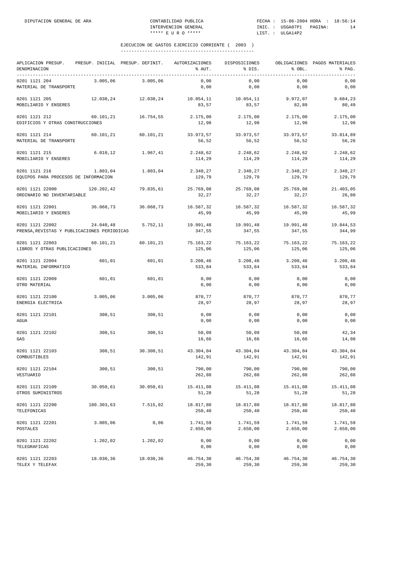| APLICACION PRESUP. PRESUP. INICIAL PRESUP. DEFINIT.<br>DENOMINACION |            |                                                                 | AUTORIZACIONES<br>% AUT.     | DISPOSICIONES<br>$\texttt{\$DIS}.$      | % OBL.               | OBLIGACIONES PAGOS MATERIALES<br>% PAG. |
|---------------------------------------------------------------------|------------|-----------------------------------------------------------------|------------------------------|-----------------------------------------|----------------------|-----------------------------------------|
| 0201 1121 204<br>MATERIAL DE TRANSPORTE                             | 3.005,06   | 3.005,06                                                        | 0,00<br>0,00                 | 0,00<br>0,00                            | 0,00<br>0,00         | 0,00<br>0,00                            |
| 0201 1121 205<br>MOBILIARIO Y ENSERES                               |            | $12.030, 24$ $12.030, 24$ $10.054, 11$ $10.054, 11$ $9.972, 07$ | 83,57                        | 83,57                                   | 82,89                | 9.684,23<br>80,49                       |
| 0201 1121 212<br>EDIFICIOS Y OTRAS CONSTRUCCIONES                   |            | 60.101,21 16.754,55                                             | 2.175,00 2.175,00<br>12,98   | 12,98                                   | 2.175,00<br>12,98    | 2.175,00<br>12,98                       |
| 0201 1121 214<br>MATERIAL DE TRANSPORTE                             |            | 60.101,21 60.101,21                                             | 33.973,57<br>56,52           | 33.973,57<br>56,52                      | 33.973,57<br>56,52   | 33.814,89<br>56,26                      |
| 0201 1121 215<br>MOBILIARIO Y ENSERES                               | 6.010, 12  | 1.967,41                                                        | 2.248,62<br>114,29           | 2.248,62<br>114,29                      | 2.248,62<br>114,29   | 2.248,62<br>114,29                      |
| 0201 1121 216<br>EQUIPOS PARA PROCESOS DE INFORMACION               | 1.803,04   | 1.803,04                                                        | 2.340,27<br>129,79           | 2.340,27<br>129,79                      | 2.340,27<br>129,79   | 2.340,27<br>129,79                      |
| 0201 1121 22000<br>ORDINARIO NO INVENTARIABLE                       |            | 120.202,42 79.835,61                                            | 25.769,08 25.769,08<br>32,27 | 32,27                                   | 25.769,08<br>32,27   | 21.403,05<br>26,80                      |
| 0201 1121 22001<br>MOBILIARIO Y ENSERES                             |            | 36.060,73 36.060,73                                             | 16.587,32<br>45,99           | 16.587,32<br>45,99                      | 16.587,32<br>45,99   | 16.587,32<br>45,99                      |
| 0201 1121 22002<br>PRENSA, REVISTAS Y PUBLICACIONES PERIODICAS      | 24.040,48  | 5.752,11                                                        | 19.991,48<br>347,55          | 19.991,48<br>347,55                     | 19.991,48<br>347,55  | 19.844,53<br>344,99                     |
| 0201 1121 22003<br>LIBROS Y OTRAS PUBLICACIONES                     |            | 60.101,21 60.101,21                                             | 125,06                       | 75.163,22 75.163,22 75.163,22<br>125,06 | 125,06               | 75.163,22<br>125,06                     |
| 0201 1121 22004<br>MATERIAL INFORMATICO                             | 601,01     | 601,01                                                          | 3.208,46 3.208,46<br>533,84  | 533,84                                  | 3.208, 46<br>533,84  | 3.208,46<br>533,84                      |
| 0201 1121 22009<br>OTRO MATERIAL                                    | 601,01     | 601,01                                                          | 0,00<br>0,00                 | 0,00<br>0,00                            | 0,00<br>0,00         | 0,00<br>0,00                            |
| 0201 1121 22100<br>ENERGIA ELECTRICA                                | 3.005,06   | 3.005,06                                                        | 870,77<br>28,97              | 870,77<br>28,97                         | 870,77<br>28,97      | 870,77<br>28,97                         |
| 0201 1121 22101<br>AGUA                                             | 300,51     | 300,51                                                          | 0,00<br>0,00                 | 0,00<br>0,00                            | 0,00<br>0,00         | 0,00<br>0,00                            |
| 0201 1121 22102<br>GAS                                              | 300,51     | 300,51                                                          | 50,09<br>16,66               | 50,09<br>16,66                          | 50,09<br>16,66       | 42,34<br>14,08                          |
| 0201 1121 22103<br>COMBUSTIBLES                                     | 300,51     | 30.300,51                                                       | 43.304,04<br>142,91          | 43.304,04<br>142,91                     | 43.304,04<br>142,91  | 43.304,04<br>142,91                     |
| 0201 1121 22104<br>VESTUARIO                                        | 300,51     | 300,51                                                          | 790,00<br>262,88             | 790,00<br>262,88                        | 790,00<br>262,88     | 790,00<br>262,88                        |
| 0201 1121 22109<br>OTROS SUMINISTROS                                | 30.050,61  | 30.050,61                                                       | 15.411,08<br>51,28           | 15.411,08<br>51,28                      | 15.411,08<br>51,28   | 15.411,08<br>51,28                      |
| 0201 1121 22200<br>TELEFONICAS                                      | 180.303,63 | 7.515,02                                                        | 18.817,80<br>250,40          | 18.817,80<br>250,40                     | 18.817,80<br>250,40  | 18.817,80<br>250,40                     |
| 0201 1121 22201<br>POSTALES                                         | 3.005,06   | 0,06                                                            | 1.741,59<br>2.650,00         | 1.741,59<br>2.650,00                    | 1.741,59<br>2.650,00 | 1.741,59<br>2.650,00                    |
| 0201 1121 22202<br>TELEGRAFICAS                                     | 1.202,02   | 1.202,02                                                        | 0,00<br>0,00                 | 0,00<br>0,00                            | 0,00<br>0,00         | 0,00<br>0,00                            |
| 0201 1121 22203<br>TELEX Y TELEFAX                                  | 18.030,36  | 18.030,36                                                       | 46.754,30<br>259,30          | 46.754,30<br>259,30                     | 46.754,30<br>259,30  | 46.754,30<br>259,30                     |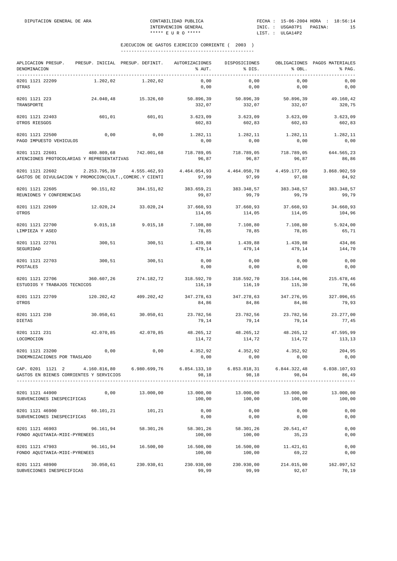| APLICACION PRESUP.<br>DENOMINACION                                                                                                        |            | PRESUP. INICIAL PRESUP. DEFINIT. | AUTORIZACIONES<br>% AUT.       | DISPOSICIONES<br>% DIS.         | % OBL.                | OBLIGACIONES PAGOS MATERIALES<br>% PAG. |
|-------------------------------------------------------------------------------------------------------------------------------------------|------------|----------------------------------|--------------------------------|---------------------------------|-----------------------|-----------------------------------------|
| 0201 1121 22209<br>OTRAS                                                                                                                  | 1.202,02   | 1.202,02                         | 0,00<br>0,00                   | 0,00<br>0,00                    | 0,00<br>0,00          | 0,00<br>0,00                            |
| 0201 1121 223<br>TRANSPORTE                                                                                                               | 24.040,48  | 15.326,60                        | 50.896,39<br>332,07            | 50.896,39<br>332,07             | 50.896,39<br>332,07   | 49.160,42<br>320,75                     |
| 0201 1121 22403<br>OTROS RIESGOS                                                                                                          | 601,01     | 601,01                           | 3.623,09<br>602,83             | 3.623,09<br>602,83              | 3.623,09<br>602,83    | 3.623,09<br>602,83                      |
| 0201 1121 22500<br>PAGO IMPUESTO VEHICULOS                                                                                                | 0,00       | 0,00                             | 1.282,11<br>0,00               | 1.282,11<br>0,00                | 1.282,11<br>0,00      | 1.282,11<br>0,00                        |
| 0201 1121 22601<br>ATENCIONES PROTOCOLARIAS Y REPRESENTATIVAS                                                                             | 480.809,68 | 742.001,68                       | 718.789,05<br>96,87            | 718.789,05<br>96,87             | 718.789,05<br>96,87   | 644.565,23<br>86,86                     |
| 0201 1121 22602<br>GASTOS DE DIVULGACION Y PROMOCION(CULT., COMERC.Y CIENTI                                                               |            | 2.253.795,39 4.555.462,93        | 4.464.054,93<br>97,99          | 4.464.050,78<br>97,99           | 4.459.177,69<br>97,88 | 3.868.902,59<br>84,92                   |
| 0201 1121 22605<br>REUNIONES Y CONFERENCIAS                                                                                               |            | 90.151,82 384.151,82             | 383.659,21 383.348,57<br>99,87 | 99,79                           | 383.348,57<br>99,79   | 383.348,57<br>99,79                     |
| 0201 1121 22609<br>OTROS                                                                                                                  |            | 12.020.24 33.020.24              | 37.660,93<br>114,05            | 37.660,93<br>114,05             | 37.660,93<br>114,05   | 34.660,93<br>104,96                     |
| 0201 1121 22700<br>LIMPIEZA Y ASEO                                                                                                        | 9.015, 18  | 9.015, 18                        | 7.108,80<br>78,85              | 7.108,80<br>78,85               | 7.108,80<br>78,85     | 5.924,00<br>65,71                       |
| 0201 1121 22701<br>SEGURIDAD                                                                                                              | 300,51     | 300,51                           | 1.439,88<br>479,14             | 1,439,88<br>479,14              | 1,439,88<br>479,14    | 434,86<br>144,70                        |
| 0201 1121 22703<br>POSTALES                                                                                                               | 300,51     | 300,51                           | 0,00<br>0,00                   | 0,00<br>0,00                    | 0,00<br>0,00          | 0,00<br>0,00                            |
| 0201 1121 22706<br>ESTUDIOS Y TRABAJOS TECNICOS                                                                                           | 360.607,26 | 274.182,72                       | 116,19                         | 318.592,70 318.592,70<br>116,19 | 316.144,06<br>115,30  | 215.678,46<br>78,66                     |
| 0201 1121 22709<br>OTROS                                                                                                                  | 120.202,42 | 409.202,42                       | 347.278,63<br>84,86            | 347.278,63<br>84,86             | 347.276,95<br>84,86   | 327.096,65<br>79,93                     |
| 0201 1121 230<br><b>DIETAS</b>                                                                                                            | 30.050,61  | 30.050,61                        | 23.782,56<br>79,14             | 23.782,56<br>79,14              | 23.782,56<br>79,14    | 23.277,00<br>77,45                      |
| 0201 1121 231<br>LOCOMOCION                                                                                                               | 42.070,85  | 42.070,85                        | 48.265,12<br>114,72            | 48.265,12<br>114,72             | 48.265,12<br>114,72   | 47.595,99<br>113,13                     |
| 0201 1121 23200<br>INDEMNIZACIONES POR TRASLADO                                                                                           | 0,00       | 0,00                             | 4.352,92<br>0,00               | 4.352,92<br>0,00                | 4.352,92<br>0,00      | 204,95<br>0,00                          |
| CAP. 0201 1121 2 4.160.816,80 6.980.699,76 6.854.133,10 6.853.818,31 6.844.322,48 6.038.107,93<br>GASTOS EN BIENES CORRIENTES Y SERVICIOS |            |                                  | 98,18                          | 98,18                           | 98,04                 | 86,49                                   |
| 0201 1121 44900<br>SUBVENCIONES INESPECIFICAS                                                                                             | 0,00       | 13.000,00                        | 13.000,00<br>100,00            | 13.000,00<br>100,00             | 13.000,00<br>100,00   | 13.000,00<br>100,00                     |
| 0201 1121 46900<br>SUBVENCIONES INESPECIFICAS                                                                                             | 60.101, 21 | 101,21                           | 0,00<br>0,00                   | 0,00<br>0,00                    | 0,00<br>0,00          | 0,00<br>0,00                            |
| 0201 1121 46903<br>FONDO AQUITANIA-MIDI-PYRENEES                                                                                          | 96.161,94  | 58.301,26                        | 58.301,26<br>100,00            | 58.301,26<br>100,00             | 20.541,47<br>35, 23   | 0,00<br>0,00                            |
| 0201 1121 47903<br>FONDO AQUITANIA-MIDI-PYRENEES                                                                                          | 96.161,94  | 16.500,00                        | 16.500,00<br>100,00            | 16.500,00<br>100,00             | 11.421,61<br>69,22    | 0,00<br>0,00                            |
| 0201 1121 48900<br>SUBVECIONES INESPECIFICAS                                                                                              | 30.050,61  | 230.930,61                       | 230.930,00<br>99,99            | 230.930,00<br>99,99             | 214.015,00<br>92,67   | 162.097,52<br>70,19                     |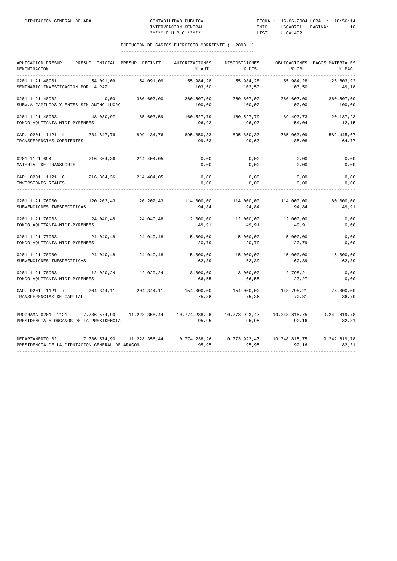| APLICACION PRESUP.<br>DENOMINACION<br>----------                                                       | PRESUP. INICIAL PRESUP. DEFINIT. |                       | AUTORIZACIONES<br>% AUT.                  | DISPOSICIONES<br>% DIS. | % OBL.               | OBLIGACIONES PAGOS MATERIALES<br>% PAG. |
|--------------------------------------------------------------------------------------------------------|----------------------------------|-----------------------|-------------------------------------------|-------------------------|----------------------|-----------------------------------------|
| 0201 1121 48901<br>SEMINARIO INVESTIGACION POR LA PAZ                                                  | 54.091,09                        | 54.091,09             | 55.984,28<br>103,50                       | 55.984,28<br>103,50     | 55.984,28<br>103,50  | 26.603,92<br>49,18                      |
| 0201 1121 48902<br>SUBV.A FAMILIAS Y ENTES SIN ANIMO LUCRO                                             | 0,00                             | 360.607,00            | 360.607,00<br>100,00                      | 360.607,00<br>100,00    | 360.607,00<br>100,00 | 360.607,00<br>100,00                    |
| 0201 1121 48903<br>FONDO AQUITANIA-MIDI-PYRENEES                                                       | 48.080,97                        | 165.603,59            | 160.527,79<br>96,93                       | 160.527,79<br>96,93     | 89.493,73<br>54,04   | 20.137,23<br>12,15                      |
| CAP. 0201 1121 4 384.647,76 899.134,76<br>TRANSFERENCIAS CORRIENTES                                    |                                  |                       | 895.850,33<br>99,63                       | 895.850,33<br>99,63     | 765.063,09<br>85,08  | 582.445,67<br>64,77                     |
| 0201 1121 694<br>MATERIAL DE TRANSPORTE                                                                | 216.364,36                       | 214.404,05            | 0,00<br>0,00                              | 0,00<br>0,00            | 0,00<br>0,00         | 0,00<br>0,00                            |
| CAP. 0201 1121 6<br>INVERSIONES REALES                                                                 |                                  | 216.364,36 214.404,05 | 0,00<br>0,00                              | 0,00<br>0,00            | 0,00<br>0,00         | 0,00<br>0,00                            |
| 0201 1121 76900<br>SUBVENCIONES INESPECIFICAS                                                          |                                  | 120.202,43 120.202,43 | 114.000,00<br>94,84                       | 114.000,00<br>94,84     | 114.000,00<br>94,84  | 60.000,00<br>49,91                      |
| 0201 1121 76903<br>FONDO AQUITANIA-MIDI-PYRENEES                                                       | 24.040,48                        | 24.040,48             | 12.000,00<br>49,91                        | 12.000,00<br>49,91      | 12.000,00<br>49,91   | 0,00<br>0,00                            |
| 0201 1121 77903<br>FONDO AQUITANIA-MIDI-PYRENEES                                                       | 24.040,48                        | 24.040,48             | 5.000,00<br>20,79                         | 5.000,00<br>20,79       | 5.000,00<br>20,79    | 0,00<br>0,00                            |
| 0201 1121 78900<br>SUBVENCIONES INESPECIFICAS                                                          | 24.040,48                        | 24.040,48             | 15.000,00<br>62,39                        | 15.000,00<br>62,39      | 15.000,00<br>62,39   | 15.000,00<br>62,39                      |
| 0201 1121 78903<br>FONDO AOUITANIA-MIDI-PYRENEES                                                       | 12.020,24                        | 12.020,24             | 8.000,00<br>66,55                         | 8.000,00<br>66,55       | 2.798,21<br>23,27    | 0,00<br>0,00                            |
| CAP. 0201 1121 7 204.344,11 204.344,11<br>TRANSFERENCIAS DE CAPITAL                                    |                                  |                       | 154.000,00 154.000,00 148.798,21<br>75,36 | 75,36                   | 72,81                | 75.000,00<br>36,70                      |
| PROGRAMA 0201 1121 7.786.574,90 11.228.358,44 10.774.238,26<br>PRESIDENCIA Y ORGANOS DE LA PRESIDENCIA |                                  |                       | 95,95                                     | 95,95                   | 92,16                | 9.242.619,78<br>82,31                   |
| DEPARTAMENTO 02<br>PRESIDENCIA DE LA DIPUTACION GENERAL DE ARAGON                                      | 7.786.574,90                     |                       | 11.228.358,44   10.774.238,26<br>95,95    | 95,95                   | 92,16                | 9.242.619,78<br>82,31                   |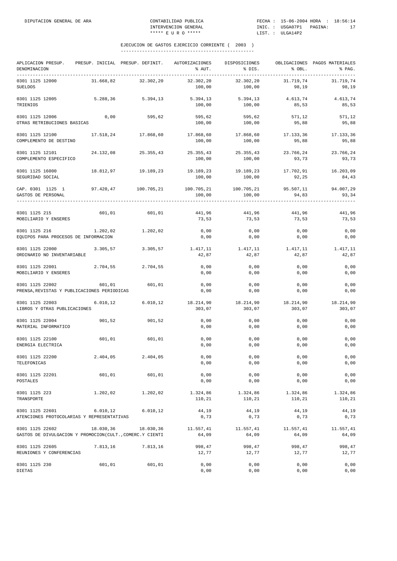| APLICACION PRESUP. PRESUP. INICIAL PRESUP. DEFINIT. AUTORIZACIONES<br>DENOMINACION |           |                                                                            | % AUT.                        | DISPOSICIONES<br>8 DIS.          | % OBL.                       | OBLIGACIONES PAGOS MATERIALES<br>% PAG. |
|------------------------------------------------------------------------------------|-----------|----------------------------------------------------------------------------|-------------------------------|----------------------------------|------------------------------|-----------------------------------------|
| 0301 1125 12000<br><b>SUELDOS</b>                                                  | 31.668,82 | 32.302,20                                                                  | 32.302,20<br>100,00           | 32.302,20<br>100,00              | 31.719,74<br>98,19           | 31.719,74<br>98,19                      |
| 0301 1125 12005<br>TRIENIOS                                                        | 5.288,36  | 5.394, 13                                                                  | 5.394,13<br>100,00            | 5.394,13<br>100,00               | 4.613,74<br>85,53            | 4.613,74<br>85,53                       |
| 0301 1125 12006<br>OTRAS RETRIBUCIONES BASICAS                                     | 0,00      | 595,62                                                                     | 595,62<br>100,00              | 595,62<br>100,00                 | 571,12<br>95,88              | 571,12<br>95,88                         |
| 0301 1125 12100<br>COMPLEMENTO DE DESTINO                                          |           | 17.518,24 17.868,60                                                        | 17.868,60<br>100,00           | 17.868,60<br>100,00              | 17.133,36<br>95,88           | 17.133,36<br>95,88                      |
| 0301 1125 12101<br>COMPLEMENTO ESPECIFICO                                          | 24.132,08 | 25.355,43                                                                  | 25.355,43 25.355,43<br>100,00 | 100,00                           | 23.766,24<br>93,73           | 23.766,24<br>93,73                      |
| 0301 1125 16000<br>SEGURIDAD SOCIAL                                                |           | 18.812,97 19.189,23                                                        | 19.189,23<br>100,00           | 100,00                           | 19.189,23 17.702,91<br>92,25 | 16.203,09<br>84,43                      |
| CAP. 0301 1125 1<br>GASTOS DE PERSONAL                                             |           | $97.420,47$ $100.705,21$ $100.705,21$ $100.705,21$ $95.507,11$ $94.007,29$ | 100,00                        | 100,00                           | 94,83                        | 93,34                                   |
| 0301 1125 215<br>MOBILIARIO Y ENSERES                                              | 601,01    | 601,01                                                                     | 441,96<br>73,53               | 441,96<br>73,53                  | 441,96<br>73,53              | 441,96<br>73,53                         |
| 0301 1125 216<br>EQUIPOS PARA PROCESOS DE INFORMACION                              |           | 1.202,02 1.202,02                                                          | 0,00<br>0,00                  | 0,00<br>0,00                     | 0,00<br>0,00                 | 0,00<br>0,00                            |
| 0301 1125 22000<br>ORDINARIO NO INVENTARIABLE                                      | 3.305, 57 | 3.305,57                                                                   | 1.417,11 1.417,11<br>42,87    | 42,87                            | 1.417,11<br>42,87            | 1.417,11<br>42,87                       |
| 0301 1125 22001<br>MOBILIARIO Y ENSERES                                            |           | 2.704,55 2.704,55                                                          | 0,00<br>0,00                  | 0,00<br>0,00                     | 0,00<br>0,00                 | 0,00<br>0,00                            |
| 0301 1125 22002<br>PRENSA, REVISTAS Y PUBLICACIONES PERIODICAS                     | 601,01    | 601, 01                                                                    | 0,00<br>0,00                  | 0,00<br>0,00                     | 0,00<br>0,00                 | 0,00<br>0,00                            |
| 0301 1125 22003<br>LIBROS Y OTRAS PUBLICACIONES                                    | 6.010, 12 | 6.010, 12                                                                  | 303,07                        | 18.214,90    18.214,90<br>303,07 | 18.214,90<br>303,07          | 18.214,90<br>303,07                     |
| 0301 1125 22004<br>MATERIAL INFORMATICO                                            | 901,52    | 901,52                                                                     | 0,00<br>0,00                  | 0,00<br>0,00                     | 0,00<br>0,00                 | 0,00<br>0,00                            |
| 0301 1125 22100<br>ENERGIA ELECTRICA                                               | 601,01    | 601,01                                                                     | 0,00<br>0,00                  | 0,00<br>0,00                     | 0,00<br>0,00                 | 0,00<br>0,00                            |
| 0301 1125 22200<br>TELEFONICAS                                                     | 2.404,05  | 2.404,05                                                                   | 0,00<br>0,00                  | 0,00<br>0,00                     | 0,00<br>0,00                 | 0,00<br>0,00                            |
| 0301 1125 22201<br>POSTALES                                                        | 601,01    | 601,01                                                                     | 0,00<br>0,00                  | 0,00<br>0,00                     | 0,00<br>0,00                 | 0,00<br>0,00                            |
| 0301 1125 223<br>TRANSPORTE                                                        | 1.202,02  | 1,202,02                                                                   | 1.324,86<br>110,21            | 1.324,86<br>110,21               | 1.324,86<br>110,21           | 1.324,86<br>110,21                      |
| 0301 1125 22601<br>ATENCIONES PROTOCOLARIAS Y REPRESENTATIVAS                      | 6.010, 12 | 6.010, 12                                                                  | 44,19<br>0,73                 | 44,19<br>0,73                    | 44,19<br>0,73                | 44,19<br>0,73                           |
| 0301 1125 22602<br>GASTOS DE DIVULGACION Y PROMOCION(CULT., COMERC.Y CIENTI        | 18.030,36 | 18.030,36                                                                  | 11.557,41<br>64,09            | 11.557,41<br>64,09               | 11.557,41<br>64,09           | 11.557,41<br>64,09                      |
| 0301 1125 22605<br>REUNIONES Y CONFERENCIAS                                        | 7.813,16  | 7.813,16                                                                   | 998,47<br>12,77               | 998,47<br>12,77                  | 998,47<br>12,77              | 998,47<br>12,77                         |
| 0301 1125 230<br>DIETAS                                                            | 601,01    | 601,01                                                                     | 0,00<br>0,00                  | 0,00<br>0,00                     | 0,00<br>0,00                 | 0,00<br>0,00                            |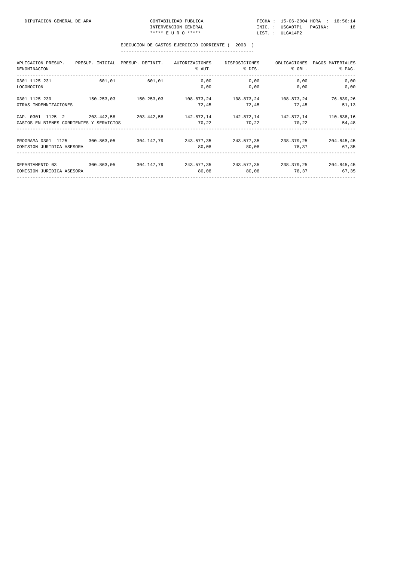| APLICACION PRESUP.<br>DENOMINACION                                                                                | PRESUP. INICIAL PRESUP. DEFINIT. |                       | AUTORIZACIONES<br>% AUT.                            | DISPOSICIONES<br>% DIS. | OBLIGACIONES<br>% OBL. | PAGOS MATERIALES<br>% PAG.              |
|-------------------------------------------------------------------------------------------------------------------|----------------------------------|-----------------------|-----------------------------------------------------|-------------------------|------------------------|-----------------------------------------|
| 0301 1125 231<br>LOCOMOCION                                                                                       | 601,01                           | 601,01                | 0,00<br>0,00                                        | 0,00<br>0,00            | 0,00<br>0,00           | 0,00<br>0,00                            |
| 0301 1125 239<br>OTRAS INDEMNIZACIONES                                                                            |                                  | 150.253,03 150.253,03 | 108.873,24 108.873,24<br>72,45                      | 72,45                   | 108.873,24<br>72,45    | 76.839,26<br>51,13                      |
| CAP. 0301 1125 2<br>GASTOS EN BIENES CORRIENTES Y SERVICIOS                                                       | 203.442.58 203.442.58            |                       | $142.872.14$ $142.872.14$ $142.872.14$ $110.838.16$ | 70,22 70,22             | 70,22                  | 54,48                                   |
| PROGRAMA 0301 1125 300.863,05 304.147,79 243.577,35 243.577,35 238.379,25 204.845,45<br>COMISION JURIDICA ASESORA |                                  |                       | 80,08                                               | 80,08 78,37             |                        | 67,35                                   |
| DEPARTAMENTO 03<br>COMISION JURIDICA ASESORA                                                                      |                                  | 300.863,05 304.147,79 | 243.577,35 243.577,35<br>80,08                      |                         | 80,08                  | 238.379.25 204.845,45<br>67,35<br>78,37 |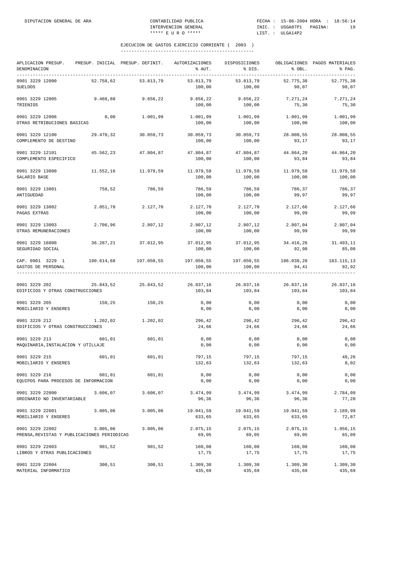| APLICACION PRESUP.<br>DENOMINACION                             |           | PRESUP. INICIAL PRESUP. DEFINIT. AUTORIZACIONES | % AUT.                                                | DISPOSICIONES<br>% DIS. | % OBL.              | OBLIGACIONES PAGOS MATERIALES<br>% PAG. |
|----------------------------------------------------------------|-----------|-------------------------------------------------|-------------------------------------------------------|-------------------------|---------------------|-----------------------------------------|
| 0901 3229 12000<br><b>SUELDOS</b>                              | 52.758,62 | 53.813,79                                       | 53.813,79<br>100,00                                   | 53.813,79<br>100,00     | 52.775,38<br>98,07  | 52.775,38<br>98,07                      |
| 0901 3229 12005<br>TRIENIOS                                    | 9.466,88  | 9.656,22                                        | 9.656,22<br>100,00                                    | 9.656,22<br>100,00      | 7.271,24<br>75,30   | 7.271,24<br>75,30                       |
| 0901 3229 12006<br>OTRAS RETRIBUCIONES BASICAS                 | 0,00      | 1.001,99                                        | 1.001,99<br>100,00                                    | 1.001,99<br>100,00      | 1.001,99<br>100,00  | 1.001,99<br>100,00                      |
| 0901 3229 12100<br>COMPLEMENTO DE DESTINO                      | 29.470,32 | 30.059,73                                       | 30.059,73<br>100,00                                   | 30.059,73<br>100,00     | 28.008,55<br>93,17  | 28.008,55<br>93,17                      |
| 0901 3229 12101<br>COMPLEMENTO ESPECIFICO                      | 45.562,23 | 47.804,87                                       | 47.804,87<br>100,00                                   | 47.804,87<br>100,00     | 44.864,20<br>93,84  | 44.864,20<br>93,84                      |
| 0901 3229 13000<br>SALARIO BASE                                | 11.552,16 | 11.979,59                                       | 11.979,59<br>100,00                                   | 11.979,59<br>100,00     | 11.979,59<br>100,00 | 11.979,59<br>100,00                     |
| 0901 3229 13001<br>ANTIGUEDAD                                  | 758,52    | 786,59                                          | 786,59<br>100,00                                      | 786,59<br>100,00        | 786,37<br>99,97     | 786,37<br>99,97                         |
| 0901 3229 13002<br>PAGAS EXTRAS                                | 2.051,78  | 2.127,70                                        | 2.127,70<br>100,00                                    | 2.127,70<br>100,00      | 2.127,66<br>99,99   | 2.127,66<br>99,99                       |
| 0901 3229 13003<br>OTRAS REMUNERACIONES                        | 2.706,96  | 2.807,12                                        | 2.807,12<br>100,00                                    | 2.807,12<br>100,00      | 2.807,04<br>99,99   | 2.807,04<br>99,99                       |
| 0901 3229 16000<br>SEGURIDAD SOCIAL                            | 36.287,21 | 37.012,95                                       | 37.012,95<br>100,00                                   | 37.012,95<br>100,00     | 34.416,26<br>92,98  | 31.493,11<br>85,08                      |
| CAP. 0901 3229 1<br>GASTOS DE PERSONAL                         |           | 190.614,68 197.050,55                           | 197.050,55 197.050,55 186.038,28 183.115,13<br>100,00 | 100,00                  | 94,41               | 92,92                                   |
| 0901 3229 202<br>EDIFICIOS Y OTRAS CONSTRUCCIONES              |           | 25.843,52 25.843,52                             | 26.837,16 26.837,16 26.837,16 26.837,16<br>103,84     | 103,84                  | 103,84              | 103,84                                  |
| 0901 3229 205<br>MOBILIARIO Y ENSERES                          | 150,25    | 150,25                                          | 0,00<br>0,00                                          | 0,00<br>0,00            | 0,00<br>0,00        | 0,00<br>0,00                            |
| 0901 3229 212<br>EDIFICIOS Y OTRAS CONSTRUCCIONES              | 1.202,02  | 1.202,02                                        | 296,42<br>24,66                                       | 296,42<br>24,66         | 296,42<br>24,66     | 296,42<br>24,66                         |
| 0901 3229 213<br>MAQUINARIA, INSTALACION Y UTILLAJE            | 601,01    | 601,01                                          | 0,00<br>0,00                                          | 0,00<br>0,00            | 0,00<br>0,00        | 0,00<br>0,00                            |
| 0901 3229 215<br>MOBILIARIO Y ENSERES                          | 601,01    | 601,01                                          | 797,15<br>132,63                                      | 797,15<br>132,63        | 797,15<br>132,63    | 48,26<br>8,02                           |
| 0901 3229 216<br>EQUIPOS PARA PROCESOS DE INFORMACION          | 601,01    | 601,01                                          | 0,00<br>0,00                                          | 0,00<br>0,00            | 0,00<br>0,00        | 0,00<br>0,00                            |
| 0901 3229 22000<br>ORDINARIO NO INVENTARIABLE                  | 3.606,07  | 3.606,07                                        | 3.474,99<br>96,36                                     | 3.474,99<br>96,36       | 3.474,99<br>96,36   | 2.784,09<br>77,20                       |
| 0901 3229 22001<br>MOBILIARIO Y ENSERES                        | 3.005,06  | 3.005,06                                        | 19.041,59<br>633,65                                   | 19.041,59<br>633,65     | 19.041,59<br>633,65 | 2.189,99<br>72,87                       |
| 0901 3229 22002<br>PRENSA, REVISTAS Y PUBLICACIONES PERIODICAS | 3.005,06  | 3.005,06                                        | 2.075,15<br>69,05                                     | 2.075,15<br>69,05       | 2.075,15<br>69,05   | 1.956,15<br>65,09                       |
| 0901 3229 22003<br>LIBROS Y OTRAS PUBLICACIONES                | 901,52    | 901,52                                          | 160,08<br>17,75                                       | 160,08<br>17,75         | 160,08<br>17,75     | 160,08<br>17,75                         |
| 0901 3229 22004<br>MATERIAL INFORMATICO                        | 300,51    | 300,51                                          | 1.309,30<br>435,69                                    | 1.309, 30<br>435,69     | 1.309,30<br>435,69  | 1.309,30<br>435,69                      |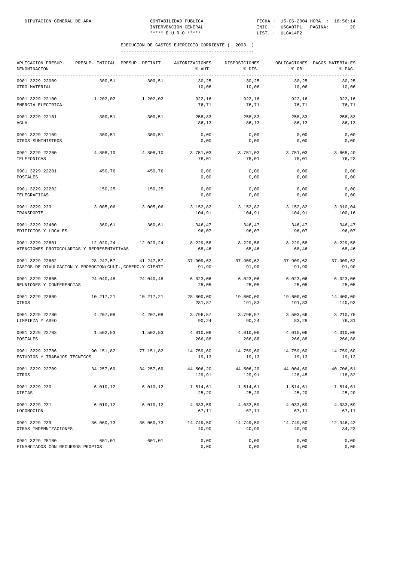| APLICACION PRESUP.<br>DENOMINACION                                          |           | PRESUP. INICIAL PRESUP. DEFINIT. | AUTORIZACIONES<br>% AUT.     | DISPOSICIONES<br>% DIS. | % OBL.              | OBLIGACIONES PAGOS MATERIALES<br>% PAG. |
|-----------------------------------------------------------------------------|-----------|----------------------------------|------------------------------|-------------------------|---------------------|-----------------------------------------|
| 0901 3229 22009<br>OTRO MATERIAL                                            | 300,51    | 300, 51                          | 30,25<br>10,06               | 30,25<br>10,06          | 30,25<br>10,06      | 30,25<br>10,06                          |
| 0901 3229 22100<br>ENERGIA ELECTRICA                                        | 1.202,02  | 1.202,02                         | 922,16<br>76,71              | 922,16<br>76,71         | 922,16<br>76,71     | 922,16<br>76,71                         |
| 0901 3229 22101<br>AGUA                                                     | 300,51    | 300,51                           | 258,83<br>86,13              | 258,83<br>86,13         | 258,83<br>86,13     | 258,83<br>86,13                         |
| 0901 3229 22109<br>OTROS SUMINISTROS                                        | 300,51    | 300,51                           | 0,00<br>0,00                 | $0$ , $00$<br>0,00      | 0,00<br>0,00        | 0,00<br>0,00                            |
| 0901 3229 22200<br>TELEFONICAS                                              | 4.808,10  | 4.808,10                         | 3.751,03<br>78,01            | 3.751,03<br>78,01       | 3.751,03<br>78,01   | 3.665,40<br>76,23                       |
| 0901 3229 22201<br>POSTALES                                                 | 450,76    | 450,76                           | 0,00<br>0,00                 | 0,00<br>0,00            | 0,00<br>0,00        | 0,00<br>0,00                            |
| 0901 3229 22202<br>TELEGRAFICAS                                             | 150,25    | 150,25                           | 0,00<br>0,00                 | 0,00<br>0,00            | 0,00<br>0,00        | 0,00<br>0,00                            |
| 0901 3229 223<br>TRANSPORTE                                                 | 3.005,06  | 3.005,06                         | 3.152,82<br>104,91           | 3.152,82<br>104,91      | 3.152,82<br>104,91  | 3.010,04<br>100,16                      |
| 0901 3229 22400<br>EDIFICIOS Y LOCALES                                      | 360,61    | 360,61                           | 346,47<br>96,07              | 346,47<br>96,07         | 346,47<br>96,07     | 346,47<br>96,07                         |
| 0901 3229 22601<br>ATENCIONES PROTOCOLARIAS Y REPRESENTATIVAS               |           | 12.020,24 12.020,24              | 8.229,58<br>68,46            | 8.229,58<br>68,46       | 8.229,58<br>68,46   | 8.229,58<br>68,46                       |
| 0901 3229 22602<br>GASTOS DE DIVULGACION Y PROMOCION(CULT., COMERC.Y CIENTI |           | 28.247,57 41.247,57              | 37.909,62 37.909,62<br>91,90 | 91,90                   | 37.909,62<br>91,90  | 37.909,62<br>91,90                      |
| 0901 3229 22605<br>REUNIONES Y CONFERENCIAS                                 | 24.040,48 | 24.040,48                        | 6.023,06<br>25,05            | 6.023,06<br>25,05       | 6.023,06<br>25,05   | 6.023,06<br>25,05                       |
| 0901 3229 22609<br>OTROS                                                    | 10.217,21 | 10.217,21                        | 28.800,00<br>281,87          | 19.600,00<br>191,83     | 19.600,00<br>191,83 | 14.400,00<br>140,93                     |
| 0901 3229 22700<br>LIMPIEZA Y ASEO                                          | 4.207,08  | 4.207,08                         | 3.796,57<br>90,24            | 3.796,57<br>90,24       | 3.503,66<br>83,28   | 3.210,75<br>76,31                       |
| 0901 3229 22703<br>POSTALES                                                 | 1.502,53  | 1.502,53                         | 4.010,06<br>266,88           | 4.010,06<br>266,88      | 4.010,06<br>266,88  | 4.010,06<br>266,88                      |
| 0901 3229 22706<br>ESTUDIOS Y TRABAJOS TECNICOS                             | 90.151,82 | 77.151,82                        | 14.759,60<br>19,13           | 14.759,60<br>19,13      | 14.759,60<br>19,13  | 14.759,60<br>19,13                      |
| 0901 3229 22709<br>OTROS                                                    | 34.257,69 | 34.257,69                        | 44.506,20<br>129,91          | 44.506,20<br>129,91     | 44.004,60<br>128,45 | 40.706,51<br>118,82                     |
| 0901 3229 230<br>DIETAS                                                     | 6.010, 12 | 6.010, 12                        | 1.514,61<br>25,20            | 1.514,61<br>25,20       | 1.514,61<br>25,20   | 1.514,61<br>25,20                       |
| 0901 3229 231<br>LOCOMOCION                                                 | 6.010, 12 | 6.010, 12                        | 4.033,59<br>67,11            | 4.033,59<br>67,11       | 4.033,59<br>67,11   | 4.033,59<br>67,11                       |
| 0901 3229 239<br>OTRAS INDEMNIZACIONES                                      | 36.060,73 | 36.060,73                        | 14.749,50<br>40,90           | 14.749,50<br>40,90      | 14.749,50<br>40,90  | 12.346,42<br>34,23                      |
| 0901 3229 25100<br>FINANCIADOS CON RECURSOS PROPIOS                         | 601,01    | 601,01                           | 0,00<br>0,00                 | 0,00<br>0,00            | 0,00<br>0,00        | 0,00<br>0,00                            |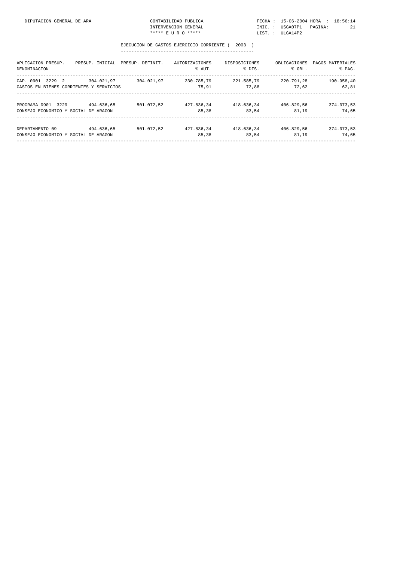| APLICACION PRESUP.<br>DENOMINACION                             | PRESUP. INICIAL | PRESUP. DEFINIT. | AUTORIZACIONES<br>% AUT. | DISPOSICIONES<br>% DIS. | OBLIGACIONES<br>% OBL. | PAGOS MATERIALES<br>% PAG. |
|----------------------------------------------------------------|-----------------|------------------|--------------------------|-------------------------|------------------------|----------------------------|
| 3229 2<br>CAP. 0901<br>GASTOS EN BIENES CORRIENTES Y SERVICIOS | 304.021.97      | 304.021.97       | 230.785.79<br>75,91      | 221.585.79<br>72,88     | 220.791.28<br>72,62    | 190.958,40<br>62,81        |
| PROGRAMA 0901 3229<br>CONSEJO ECONOMICO Y SOCIAL DE ARAGON     | 494.636.65      | 501.072.52       | 427.836.34<br>85,38      | 418.636.34<br>83.54     | 406.829.56<br>81,19    | 374.073,53<br>74,65        |
| DEPARTAMENTO 09<br>CONSEJO ECONOMICO Y SOCIAL DE ARAGON        | 494.636.65      | 501.072.52       | 427.836.34<br>85,38      | 418.636.34<br>83,54     | 406.829.56<br>81,19    | 374.073,53<br>74,65        |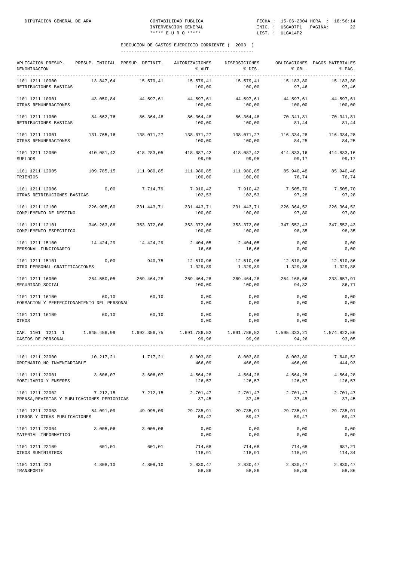| APLICACION PRESUP.<br>DENOMINACION<br>____________             |              | PRESUP. INICIAL PRESUP. DEFINIT. | AUTORIZACIONES<br>% AUT. | DISPOSICIONES<br>% DIS. | % OBL.                | OBLIGACIONES PAGOS MATERIALES<br>% PAG. |
|----------------------------------------------------------------|--------------|----------------------------------|--------------------------|-------------------------|-----------------------|-----------------------------------------|
| 1101 1211 10000<br>RETRIBUCIONES BASICAS                       | 13.847,64    | 15.579,41                        | 15.579,41<br>100,00      | 15.579,41<br>100,00     | 15.183,80<br>97,46    | 15.183,80<br>97,46                      |
| 1101 1211 10001<br>OTRAS REMUNERACIONES                        | 43.050.84    | 44.597,61                        | 44.597,61<br>100,00      | 44.597,61<br>100,00     | 44.597,61<br>100,00   | 44.597,61<br>100,00                     |
| 1101 1211 11000<br>RETRIBUCIONES BASICAS                       | 84.662,76    | 86.364,48                        | 86.364,48<br>100,00      | 86.364,48<br>100,00     | 70.341,81<br>81,44    | 70.341,81<br>81,44                      |
| 1101 1211 11001<br>OTRAS REMUNERACIONES                        | 131.765,16   | 138.071,27                       | 138.071,27<br>100,00     | 138.071,27<br>100,00    | 116.334,28<br>84,25   | 116.334,28<br>84,25                     |
| 1101 1211 12000<br><b>SUELDOS</b>                              | 410.081,42   | 418.283,05                       | 418.087,42<br>99,95      | 418.087,42<br>99,95     | 414.833,16<br>99,17   | 414.833,16<br>99,17                     |
| 1101 1211 12005<br>TRIENIOS                                    | 109.785,15   | 111.980,85                       | 111.980,85<br>100,00     | 111.980,85<br>100,00    | 85.940,48<br>76,74    | 85.940,48<br>76,74                      |
| 1101 1211 12006<br>OTRAS RETRIBUCIONES BASICAS                 | 0,00         | 7.714,79                         | 7.910,42<br>102,53       | 7.910,42<br>102,53      | 7.505,70<br>97,28     | 7.505,70<br>97,28                       |
| 1101 1211 12100<br>COMPLEMENTO DE DESTINO                      | 226.905,60   | 231.443,71                       | 231.443,71<br>100,00     | 231.443,71<br>100,00    | 226.364,52<br>97,80   | 226.364,52<br>97,80                     |
| 1101 1211 12101<br>COMPLEMENTO ESPECIFICO                      | 346.263,88   | 353.372,06                       | 353.372,06<br>100,00     | 353.372,06<br>100,00    | 347.552,43<br>98,35   | 347.552,43<br>98,35                     |
| 1101 1211 15100<br>PERSONAL FUNCIONARIO                        | 14.424,29    | 14.424,29                        | 2.404,05<br>16,66        | 2.404,05<br>16,66       | 0,00<br>0,00          | 0,00<br>0,00                            |
| 1101 1211 15101<br>OTRO PERSONAL-GRATIFICACIONES               | 0,00         | 940,75                           | 12.510,96<br>1.329,89    | 12.510,96<br>1.329,89   | 12.510,86<br>1.329,88 | 12.510,86<br>1.329,88                   |
| 1101 1211 16000<br>SEGURIDAD SOCIAL                            | 264.550,05   | 269.464,28                       | 269.464,28<br>100,00     | 269.464,28<br>100,00    | 254.168,56<br>94,32   | 233.657,91<br>86,71                     |
| 1101 1211 16100<br>FORMACION Y PERFECCIONAMIENTO DEL PERSONAL  | 60,10        | 60,10                            | 0,00<br>0,00             | 0,00<br>0,00            | 0,00<br>0,00          | 0,00<br>0,00                            |
| 1101 1211 16109<br>OTROS                                       | 60,10        | 60,10                            | 0,00<br>0,00             | 0,00<br>0,00            | 0,00<br>0,00          | 0,00<br>0,00                            |
| CAP. 1101 1211 1<br>GASTOS DE PERSONAL                         | 1.645.456,99 | 1.692.356.75                     | 1.691.786,52<br>99,96    | 1.691.786,52<br>99,96   | 1.595.333,21<br>94,26 | 1.574.822,56<br>93,05                   |
| 1101 1211 22000<br>ORDINARIO NO INVENTARIABLE                  | 10.217.21    | 1.717,21                         | 8.003, 80<br>466,09      | 8,003,80<br>466,09      | 8.003,80<br>466,09    | 7.640.52<br>444,93                      |
| 1101 1211 22001<br>MOBILIARIO Y ENSERES                        | 3.606,07     | 3.606,07                         | 4.564,28<br>126,57       | 4.564,28<br>126,57      | 4.564,28<br>126,57    | 4.564,28<br>126,57                      |
| 1101 1211 22002<br>PRENSA, REVISTAS Y PUBLICACIONES PERIODICAS |              | 7.212.15 7.212.15                | 2.701,47<br>37,45        | 2.701,47<br>37,45       | 2.701,47<br>37,45     | 2.701,47<br>37,45                       |
| 1101 1211 22003<br>LIBROS Y OTRAS PUBLICACIONES                |              | 54.091,09 49.995,09              | 29.735,91<br>59,47       | 29.735,91<br>59,47      | 29.735,91<br>59,47    | 29.735,91<br>59,47                      |
| 1101 1211 22004<br>MATERIAL INFORMATICO                        | 3.005,06     | 3.005,06                         | 0,00<br>0,00             | 0,00<br>0,00            | 0,00<br>0,00          | 0,00<br>0,00                            |
| 1101 1211 22109<br>OTROS SUMINISTROS                           | 601,01       | 601,01                           | 714,68<br>118,91         | 714,68<br>118,91        | 714,68<br>118,91      | 687,21<br>114,34                        |
| 1101 1211 223<br>TRANSPORTE                                    | 4.808,10     | 4.808,10                         | 2.830,47<br>58,86        | 2.830,47<br>58,86       | 2.830,47<br>58,86     | 2.830,47<br>58,86                       |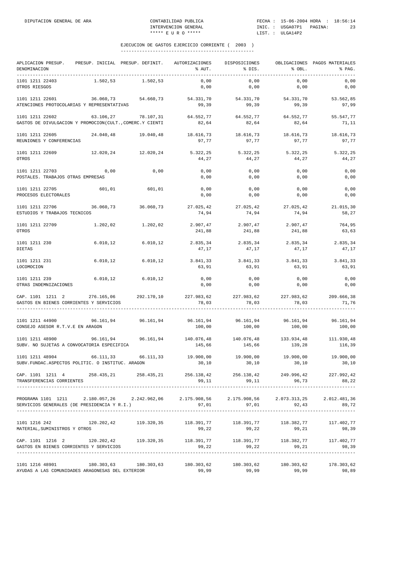| APLICACION PRESUP. PRESUP. INICIAL PRESUP. DEFINIT. AUTORIZACIONES DISPOSICIONES OBLIGACIONES PAGOS MATERIALES<br>DENOMINACION                                                                                                             |                                                                                     |               | % AUT.                                                                                     | % DIS.                               | $\text{\$}$ OBL.           | % PAG.                |
|--------------------------------------------------------------------------------------------------------------------------------------------------------------------------------------------------------------------------------------------|-------------------------------------------------------------------------------------|---------------|--------------------------------------------------------------------------------------------|--------------------------------------|----------------------------|-----------------------|
| 1101 1211 22403<br>OTROS RIESGOS                                                                                                                                                                                                           | $1.502, 53$ $1.502, 53$                                                             |               | 0,00<br>0,00                                                                               | 0,00<br>0,00                         | 0,00<br>0,00               | 0,00<br>0,00          |
| 1101 1211 22601<br>ATENCIONES PROTOCOLARIAS Y REPRESENTATIVAS                                                                                                                                                                              | 36.060,73     54.660,73     54.331,70     54.331,70     54.331,70     53.562,85     |               | 99,39                                                                                      | 99,39                                | 99,39                      | 97,99                 |
| $1101 \quad 1211 \quad 22602 \qquad \qquad 63.106 \, , 27 \qquad \qquad 78.107 \, , 31 \qquad \qquad 64.552 \, , 77 \qquad \qquad 64.552 \, , 77 \qquad \qquad 64.552 \, , 77$<br>GASTOS DE DIVULGACION Y PROMOCION(CULT., COMERC.Y CIENTI |                                                                                     |               | 82,64                                                                                      | 82,64                                | 82,64                      | 55.547,77<br>71,11    |
| 1101 1211 22605 24.040,48 19.040,48 18.616,73 18.616,73<br>REUNIONES Y CONFERENCIAS                                                                                                                                                        |                                                                                     |               | 97,77                                                                                      | 97,77                                | 18.616,73<br>97,77         | 18.616,73<br>97,77    |
| 1101 1211 22609<br>OTROS                                                                                                                                                                                                                   | $12.020, 24$ $12.020, 24$ $5.322, 25$ $5.322, 25$                                   |               | 44,27                                                                                      | 44,27                                | 5.322,25<br>44,27          | 5.322,25<br>44,27     |
| 1101 1211 22703<br>POSTALES. TRABAJOS OTRAS EMPRESAS                                                                                                                                                                                       | 0,00                                                                                | 0,00          | 0,00<br>0,00                                                                               | 0,00<br>0,00                         | 0,00<br>0,00               | 0,00<br>0,00          |
| 1101 1211 22705<br>PROCESOS ELECTORALES                                                                                                                                                                                                    |                                                                                     | 601,01 601,01 | 0,00<br>0,00                                                                               | 0,00<br>0,00                         | 0,00<br>0,00               | 0,00<br>0,00          |
| 1101 1211 22706<br>ESTUDIOS Y TRABAJOS TECNICOS                                                                                                                                                                                            | $36.060,73$ $36.060,73$ $27.025,42$ $27.025,42$ $27.025,42$ $27.025,42$ $21.015,30$ |               | 74,94                                                                                      | 74,94                                | 74,94                      | 58,27                 |
| 1101 1211 22709<br>OTROS                                                                                                                                                                                                                   | $1.202,02$ $1.202,02$ $2.907,47$ $2.907,47$                                         |               | 241,88                                                                                     | 241,88                               | 2.907,47<br>241,88         | 764,95<br>63,63       |
| 1101 1211 230<br>DIETAS                                                                                                                                                                                                                    | 6.010, 12                                                                           |               | 6.010,12 2.835,34<br>47,17                                                                 | 47,17                                | 2.835,34 2.835,34<br>47,17 | 2.835,34<br>47,17     |
| 1101 1211 231<br>LOCOMOCION                                                                                                                                                                                                                |                                                                                     |               | $6.010,12$ $6.010,12$ $3.841,33$ $3.841,33$ $3.841,33$<br>63,91                            | 63,91                                | 63,91                      | 3.841,33<br>63,91     |
| 1101 1211 239<br>OTRAS INDEMNIZACIONES                                                                                                                                                                                                     | $6.010, 12$ $6.010, 12$                                                             |               | 0,00<br>0,00                                                                               | 0,00<br>0,00                         | 0,00<br>0,00               | 0,00<br>0,00          |
| CAP. 1101 1211 2 276.165,06 292.170,10 227.983,62 227.983,62 227.983,62 209.666,38<br>GASTOS EN BIENES CORRIENTES Y SERVICIOS                                                                                                              |                                                                                     |               | 78,03                                                                                      | 78,03                                | 78,03                      | 71,76                 |
| 1101 1211 44900<br>CONSEJO ASESOR R.T.V.E EN ARAGON                                                                                                                                                                                        |                                                                                     |               | 96.161,94 96.161,94 96.161,94 96.161,94 96.161,94 96.161,94<br>100,00                      | 100,00                               | 100,00                     | 100,00                |
| 1101 1211 48900<br>SUBV. NO SUJETAS A CONVOCATORIA ESPECIFICA                                                                                                                                                                              | 96.161,94  96.161,94  140.076,48  140.076,48  133.934,48  111.930,48                |               | 145,66                                                                                     | 145,66                               | 139,28                     | 116,39                |
| 1101 1211 48904<br>SUBV. FUNDAC. ASPECTOS POLITIC. O INSTITUC. ARAGON                                                                                                                                                                      | 66.111,33                                                                           | 66.111,33     | 19.900,00                                                                                  | 19.900,00<br>$30,10$ $30,10$ $30,10$ | 19.900,00                  | 19.900,00<br>30,10    |
| CAP. 1101 1211 4 258.435,21 258.435,21 256.138,42 256.138,42 249.996,42 227.992,42<br>TRANSFERENCIAS CORRIENTES                                                                                                                            |                                                                                     |               |                                                                                            | 99, 11 99, 11                        |                            | 96,73<br>88,22        |
| PROGRAMA 1101 1211 2.180.057,26 2.242.962,06 2.175.908,56 2.175.908,56 2.073.313,25<br>SERVICIOS GENERALES (DE PRESIDENCIA Y R.I.)                                                                                                         |                                                                                     |               |                                                                                            | $97,01$ $97,01$ $92,43$              |                            | 2.012.481,36<br>89,72 |
| 1101 1216 242<br>MATERIAL, SUMINISTROS Y OTROS                                                                                                                                                                                             |                                                                                     |               | $120.202,42$ $119.320,35$ $118.391,77$ $118.391,77$ $118.391,77$ $118.382,77$ $117.402,77$ | 99,22 99,22 99,21                    |                            | 98,39                 |
| CAP. 1101 1216 2 120.202,42 119.320,35 118.391,77 118.391,77 118.382,77 117.402,77<br>GASTOS EN BIENES CORRIENTES Y SERVICIOS                                                                                                              |                                                                                     |               | 99,22                                                                                      | 99,22                                | 99,21                      | 98,39                 |
| $1101 1216 48901$ $180.303.63$ $180.303.63$ $180.303.62$ $180.303.62$ $180.303.62$ $180.303.62$ $178.303.62$<br>AYUDAS A LAS COMUNIDADES ARAGONESAS DEL EXTERIOR                                                                           |                                                                                     |               | 99,99                                                                                      | 99,99                                | 99,99                      | 98,89                 |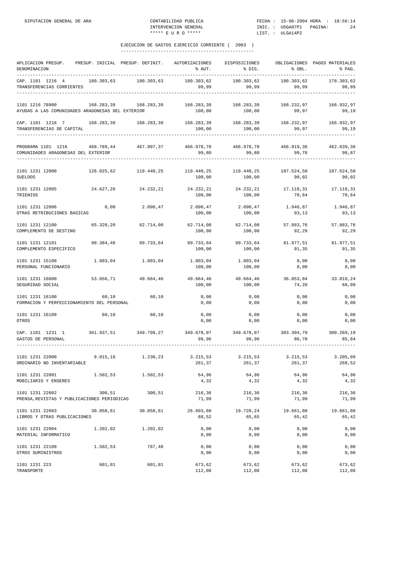| APLICACION PRESUP.<br>DENOMINACION                                                        |            | PRESUP. INICIAL PRESUP. DEFINIT. | AUTORIZACIONES<br>% AUT. | DISPOSICIONES<br>% DIS. | % OBL.              | OBLIGACIONES PAGOS MATERIALES<br>% PAG. |
|-------------------------------------------------------------------------------------------|------------|----------------------------------|--------------------------|-------------------------|---------------------|-----------------------------------------|
| CAP. 1101 1216 4<br>TRANSFERENCIAS CORRIENTES                                             | 180.303,63 | 180.303,63                       | 180.303,62<br>99,99      | 180.303,62<br>99,99     | 180.303,62<br>99,99 | 178.303,62<br>98,89                     |
| 1101 1216 78900<br>AYUDAS A LAS COMUNIDADES ARAGONESAS DEL EXTERIOR                       | 168.283,39 | 168.283,39                       | 168.283,39<br>100,00     | 168.283,39<br>100,00    | 168.232,97<br>99,97 | 166.932,97<br>99,19                     |
| CAP. 1101 1216 7 168.283,39 168.283,39<br>TRANSFERENCIAS DE CAPITAL<br>------------------ |            |                                  | 168.283,39<br>100,00     | 168.283,39<br>100,00    | 168.232,97<br>99,97 | 166.932,97<br>99,19                     |
| PROGRAMA 1101 1216<br>COMUNIDADES ARAGONESAS DEL EXTERIOR                                 | 468.789,44 | 467.907,37                       | 466.978,78<br>99,80      | 466.978,78<br>99,80     | 466.919,36<br>99,78 | 462.639,36<br>98,87                     |
| 1101 1231 12000<br><b>SUELDOS</b>                                                         | 126.025,62 | 119.440,25                       | 119.440,25<br>100,00     | 119.440,25<br>100,00    | 107.524,50<br>90,02 | 107.524,50<br>90,02                     |
| 1101 1231 12005<br>TRIENIOS                                                               | 24.627,26  | 24.232,21                        | 24.232,21<br>100,00      | 24.232,21<br>100,00     | 17.118,31<br>70,64  | 17.118,31<br>70,64                      |
| 1101 1231 12006<br>OTRAS RETRIBUCIONES BASICAS                                            | 0,00       | 2.090,47                         | 2.090,47<br>100,00       | 2.090,47<br>100,00      | 1.946,87<br>93,13   | 1.946,87<br>93,13                       |
| 1101 1231 12100<br>COMPLEMENTO DE DESTINO                                                 | 65.320,20  | 62.714,00                        | 62.714,00<br>100,00      | 62.714,00<br>100,00     | 57.883,76<br>92,29  | 57.883,76<br>92,29                      |
| 1101 1231 12101<br>COMPLEMENTO ESPECIFICO                                                 | 90.384,48  | 89.733,64                        | 89.733,64<br>100,00      | 89.733,64<br>100,00     | 81.977,51<br>91,35  | 81.977,51<br>91,35                      |
| 1101 1231 15100<br>PERSONAL FUNCIONARIO                                                   | 1.803,04   | 1.803,04                         | 1.803,04<br>100,00       | 1.803,04<br>100,00      | 0,00<br>0,00        | 0,00<br>0,00                            |
| 1101 1231 16000<br>SEGURIDAD SOCIAL                                                       | 53.656,71  | 49.664,46                        | 49.664,46<br>100,00      | 49.664,46<br>100,00     | 36.853,84<br>74,20  | 33.818,24<br>68,09                      |
| 1101 1231 16100<br>FORMACION Y PERFECCIONAMIENTO DEL PERSONAL                             | 60,10      | 60,10                            | 0,00<br>0,00             | 0,00<br>0,00            | 0,00<br>0,00        | 0,00<br>0,00                            |
| 1101 1231 16109<br>OTROS                                                                  | 60,10      | 60,10                            | 0,00<br>0,00             | 0,00<br>0,00            | 0,00<br>0,00        | 0,00<br>0,00                            |
| CAP. 1101 1231 1<br>GASTOS DE PERSONAL                                                    | 361.937,51 | 349.798,27                       | 349.678,07<br>99,96      | 349.678,07<br>99,96     | 303.304,79<br>86,70 | 300.269,19<br>85,84                     |
| 1101 1231 22000<br>ORDINARIO NO INVENTARIABLE                                             | 9.015, 18  | 1.230,23                         | 3.215,53<br>261,37       | 3.215,53<br>261,37      | 3.215,53<br>261,37  | 3.205,09<br>260,52                      |
| 1101 1231 22001<br>MOBILIARIO Y ENSERES                                                   | 1.502,53   | 1.502,53                         | 64,96<br>4,32            | 64,96<br>4,32           | 64,96<br>4,32       | 64,96<br>4,32                           |
| 1101 1231 22002<br>PRENSA, REVISTAS Y PUBLICACIONES PERIODICAS                            | 300,51     | 300,51                           | 216,36<br>71,99          | 216,36<br>71,99         | 216,36<br>71,99     | 216,36<br>71,99                         |
| 1101 1231 22003<br>LIBROS Y OTRAS PUBLICACIONES                                           |            | 30.050,61 30.050,61              | 26.603,60<br>88,52       | 19.728,24<br>65,65      | 19.661,80<br>65,42  | 19.661,80<br>65,42                      |
| 1101 1231 22004<br>MATERIAL INFORMATICO                                                   | 1.202,02   | 1.202,02                         | 0,00<br>0,00             | 0,00<br>0,00            | 0,00<br>0,00        | 0,00<br>0,00                            |
| 1101 1231 22109<br>OTROS SUMINISTROS                                                      | 1.502,53   | 787,48                           | 0,00<br>0,00             | 0,00<br>0,00            | 0,00<br>0,00        | 0,00<br>0,00                            |
| 1101 1231 223<br>TRANSPORTE                                                               | 601,01     | 601,01                           | 673,62<br>112,08         | 673,62<br>112,08        | 673,62<br>112,08    | 673,62<br>112,08                        |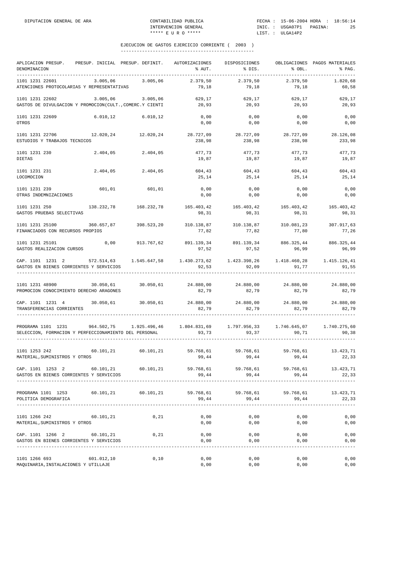| APLICACION PRESUP.<br>DENOMINACION                                                                                                                      | PRESUP. INICIAL PRESUP. DEFINIT.                                                    |                       | AUTORIZACIONES<br>% AUT.      | DISPOSICIONES<br>% DIS.                                        | % OBL.              | OBLIGACIONES PAGOS MATERIALES<br>$\mathcal{E}$ PAG. |
|---------------------------------------------------------------------------------------------------------------------------------------------------------|-------------------------------------------------------------------------------------|-----------------------|-------------------------------|----------------------------------------------------------------|---------------------|-----------------------------------------------------|
| 1101 1231 22601<br>ATENCIONES PROTOCOLARIAS Y REPRESENTATIVAS                                                                                           | 3.005,06                                                                            | 3.005,06              | 2.379,50<br>79,18             | 2.379,50<br>79,18                                              | 2.379,50<br>79,18   | 1.820.68<br>60,58                                   |
| 1101 1231 22602<br>GASTOS DE DIVULGACION Y PROMOCION(CULT., COMERC.Y CIENTI                                                                             | 3.005,06                                                                            | 3.005,06              | 629,17<br>20,93               | 629,17<br>20,93                                                | 629,17<br>20,93     | 629,17<br>20,93                                     |
| 1101 1231 22609<br>OTROS                                                                                                                                | $6.010, 12$ $6.010, 12$                                                             |                       | 0,00<br>0,00                  | 0,00<br>0,00                                                   | 0,00<br>0,00        | 0,00<br>0,00                                        |
| 1101 1231 22706<br>ESTUDIOS Y TRABAJOS TECNICOS                                                                                                         | 12.020.24 12.020.24                                                                 |                       | 28.727,09<br>238,98           | 28.727,09<br>238,98                                            | 28.727,09<br>238,98 | 28.126,08<br>233,98                                 |
| 1101 1231 230<br><b>DIETAS</b>                                                                                                                          |                                                                                     | 2.404,05 2.404,05     | 477,73<br>19,87               | 477,73<br>19,87                                                | 477,73<br>19,87     | 477,73<br>19,87                                     |
| 1101 1231 231<br>LOCOMOCION                                                                                                                             |                                                                                     | 2.404,05 2.404,05     | 604,43<br>25,14               | 604,43<br>25,14                                                | 604,43<br>25,14     | 604,43<br>25,14                                     |
| 1101 1231 239<br>OTRAS INDEMNIZACIONES                                                                                                                  | 601,01                                                                              | 601,01                | 0,00<br>0,00                  | 0,00<br>0,00                                                   | 0,00<br>0,00        | 0,00<br>0,00                                        |
| 1101 1231 250<br>GASTOS PRUEBAS SELECTIVAS                                                                                                              |                                                                                     | 138.232,78 168.232,78 | 165.403,42<br>98,31           | 165.403,42<br>98,31                                            | 165.403,42<br>98,31 | 165.403,42<br>98,31                                 |
| 1101 1231 25100<br>FINANCIADOS CON RECURSOS PROPIOS                                                                                                     | 360.657,87                                                                          | 398.523,20            | 310.138,87<br>77,82           | 310.138,87<br>77,82                                            | 310.081,23<br>77,80 | 307.917,63<br>77,26                                 |
| 1101 1231 25101<br>GASTOS REALIZACION CURSOS                                                                                                            |                                                                                     | 0,00 913.767,62       | 97,52                         | 891.139,34 891.139,34 886.325,44 886.325,44<br>97,52           | 96, 99              | 96,99                                               |
| CAP. 1101 1231 2 572.514,63 1.545.647,58 1.430.273,62 1.423.398,26 1.418.460,28 1.415.126,41<br>GASTOS EN BIENES CORRIENTES Y SERVICIOS                 |                                                                                     |                       | 92,53                         | 92,09                                                          | 91,77               | 91,55                                               |
| 1101 1231 48900<br>PROMOCION CONOCIMIENTO DERECHO ARAGONES                                                                                              | $30.050,61$ $30.050,61$ $24.880,00$ $24.880,00$ $24.880,00$ $24.880,00$ $24.880,00$ |                       | 82,79                         | 82,79                                                          | 82,79               | 82,79                                               |
| CAP. 1101 1231 4 30.050,61 30.050,61<br>TRANSFERENCIAS CORRIENTES                                                                                       |                                                                                     |                       | 24.880,00<br>82,79            | 24.880,00<br>82,79                                             | 24.880,00<br>82,79  | 24.880,00<br>82,79                                  |
| PROGRAMA 1101 1231 964.502,75 1.925.496,46 1.804.831,69 1.797.956,33 1.746.645,07 1.740.275,60<br>SELECCION, FORMACION Y PERFECCIONAMIENTO DEL PERSONAL |                                                                                     |                       | 93,73                         | 93, 37                                                         | 90, 71              | 90,38                                               |
| 1101 1253 242<br>MATERIAL, SUMINISTROS Y OTROS                                                                                                          |                                                                                     |                       | 60.101,21 60.101,21 59.768,61 | 59.768,61 59.768,61<br>$99,44$ $99,44$ $99,44$ $99,44$ $22,33$ |                     | 13.423,71                                           |
| CAP. 1101 1253 2 60.101,21 60.101,21 59.768,61 59.768,61 59.768,61 13.423,71<br>GASTOS EN BIENES CORRIENTES Y SERVICIOS                                 |                                                                                     |                       | 99,44                         | 99,44                                                          | 99,44               | 22,33                                               |
| PROGRAMA 1101 1253 60.101,21 60.101,21<br>POLITICA DEMOGRAFICA                                                                                          |                                                                                     |                       | 59.768,61<br>99,44            | 99,44                                                          | 99,44               | 59.768,61 59.768,61 13.423,71<br>22,33              |
| 1101 1266 242 60.101,21<br>MATERIAL, SUMINISTROS Y OTROS                                                                                                |                                                                                     | 0,21                  | 0,00<br>0,00                  | 0,00<br>0,00                                                   | 0,00<br>0,00        | 0,00<br>0,00                                        |
| CAP. 1101 1266 2 60.101,21<br>GASTOS EN BIENES CORRIENTES Y SERVICIOS                                                                                   |                                                                                     | 0,21                  | 0,00<br>0,00                  | 0,00<br>0,00                                                   | 0,00<br>0,00        | 0,00<br>0,00                                        |
| 1101 1266 693<br>MAQUINARIA, INSTALACIONES Y UTILLAJE                                                                                                   | 601.012,10                                                                          | 0,10                  | 0,00<br>0,00                  | 0,00<br>0,00                                                   | 0,00<br>0,00        | 0,00<br>0,00                                        |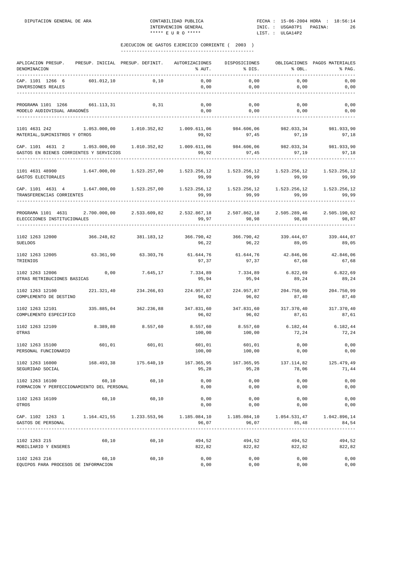| APLICACION PRESUP.<br>DENOMINACION                                                                                   | PRESUP. INICIAL PRESUP. DEFINIT. |              | AUTORIZACIONES<br>% AUT.                  | DISPOSICIONES<br>% DIS. | % OBL.                | OBLIGACIONES PAGOS MATERIALES<br>% PAG. |
|----------------------------------------------------------------------------------------------------------------------|----------------------------------|--------------|-------------------------------------------|-------------------------|-----------------------|-----------------------------------------|
| CAP. 1101 1266 6<br>INVERSIONES REALES                                                                               | 601.012,10                       | 0,10         | 0,00<br>0,00                              | 0,00<br>0,00            | 0,00<br>0,00          | 0,00<br>0,00                            |
| PROGRAMA 1101 1266<br>MODELO AUDIOVISUAL ARAGONÉS                                                                    | 661.113,31                       | 0,31         | 0,00<br>0,00                              | 0,00<br>0,00            | 0,00<br>0,00          | 0,00<br>0,00                            |
| 1101 4631 242<br>MATERIAL, SUMINISTROS Y OTROS                                                                       | 1.053.000,00                     | 1.010.352,82 | 1.009.611,06<br>99,92                     | 984.606,06<br>97,45     | 982.033,34<br>97,19   | 981.933,90<br>97,18                     |
| CAP. 1101 4631 2 1.053.000,00 1.010.352,82<br>GASTOS EN BIENES CORRIENTES Y SERVICIOS                                |                                  |              | 1.009.611,06<br>99,92                     | 984.606,06<br>97,45     | 982.033,34<br>97,19   | 981.933,90<br>97,18                     |
| 1101 4631 48900<br>GASTOS ELECTORALES                                                                                | 1.647.000,00                     | 1.523.257,00 | 1.523.256,12<br>99,99                     | 1.523.256,12<br>99,99   | 1.523.256,12<br>99,99 | 1.523.256,12<br>99,99                   |
| CAP. 1101 4631 4 1.647.000,00 1.523.257,00<br>TRANSFERENCIAS CORRIENTES                                              |                                  |              | 99,99                                     | 99,99                   | 99,99                 | 1.523.256,12<br>99,99                   |
| PROGRAMA 1101 4631 2.700.000,00 2.533.609,82 2.532.867,18 2.507.862,18<br>ELECCCIONES INSTITUCIONALES                |                                  |              | 99,97                                     | 98,98                   | 2.505.289,46<br>98,88 | 2.505.190,02<br>98,87                   |
| 1102 1263 12000<br>SUELDOS                                                                                           | 366.248,82                       | 381.183,12   | 366.790,42 366.790,42<br>96,22            | 96,22                   | 339.444,07<br>89,05   | 339.444,07<br>89,05                     |
| 1102 1263 12005<br>TRIENIOS                                                                                          | 63.361,90                        | 63.303,76    | 61.644,76<br>97,37                        | 61.644,76<br>97,37      | 42.846,06<br>67,68    | 42.846,06<br>67,68                      |
| 1102 1263 12006<br>OTRAS RETRIBUCIONES BASICAS                                                                       | 0,00                             | 7.645,17     | 7.334,89<br>95,94                         | 7.334,89<br>95,94       | 6.822,69<br>89,24     | 6.822, 69<br>89,24                      |
| 1102 1263 12100<br>COMPLEMENTO DE DESTINO                                                                            | 221.321,40                       | 234.266,03   | 224.957,87<br>96,02                       | 224.957,87<br>96,02     | 204.750,99<br>87,40   | 204.750,99<br>87,40                     |
| 1102 1263 12101<br>COMPLEMENTO ESPECIFICO                                                                            | 335.885,04                       | 362.236,88   | 347.831,60<br>96,02                       | 347.831,60<br>96,02     | 317.370,40<br>87,61   | 317.370,40<br>87,61                     |
| 1102 1263 12109<br>OTRAS                                                                                             | 8.389,80                         | 8.557,60     | 8.557,60<br>100,00                        | 8.557,60<br>100,00      | 6.182,44<br>72,24     | 6.182,44<br>72,24                       |
| 1102 1263 15100<br>PERSONAL FUNCIONARIO                                                                              | 601,01                           | 601,01       | 601,01<br>100,00                          | 601,01<br>100,00        | 0,00<br>0,00          | 0,00<br>0,00                            |
| 1102 1263 16000<br>SEGURIDAD SOCIAL                                                                                  |                                  |              | 168.493,38 175.640,19 167.365,95<br>95,28 | 167.365,95<br>95,28     | 137.114,82<br>78,06   | 125.479,49<br>71,44                     |
| 1102 1263 16100<br>FORMACION Y PERFECCIONAMIENTO DEL PERSONAL                                                        | 60,10                            | 60,10        | 0,00<br>0,00                              | 0,00<br>0,00            | 0,00<br>0,00          | 0,00<br>0,00                            |
| 1102 1263 16109<br>OTROS                                                                                             | 60,10                            | 60,10        | 0,00<br>0,00                              | 0,00<br>0,00            | 0,00<br>0,00          | 0,00<br>0,00                            |
| CAP. 1102 1263 1 1.164.421,55 1.233.553,96 1.185.084,10 1.185.084,10 1.054.531,47 1.042.896,14<br>GASTOS DE PERSONAL |                                  |              | 96,07                                     | 96,07                   | 85,48                 | 84,54                                   |
| 1102 1263 215<br>MOBILIARIO Y ENSERES                                                                                | 60,10                            | 60,10        | 494,52<br>822,82                          | 494,52<br>822,82        | 494,52<br>822,82      | 494,52<br>822,82                        |
| 1102 1263 216<br>EQUIPOS PARA PROCESOS DE INFORMACION                                                                | 60,10                            | 60,10        | 0,00<br>0,00                              | 0,00<br>0,00            | 0,00<br>0,00          | 0,00<br>0,00                            |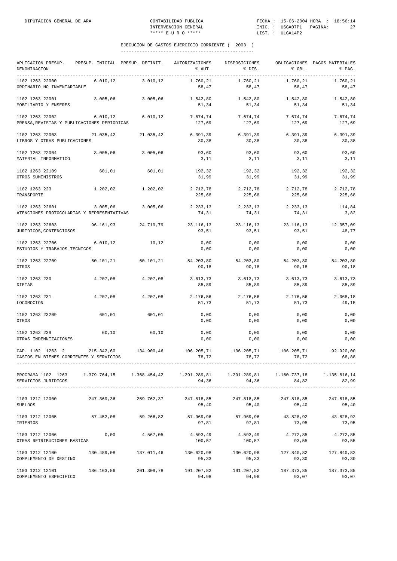| APLICACION PRESUP. PRESUP. INICIAL PRESUP. DEFINIT. AUTORIZACIONES<br>DENOMINACION |            |                   | % AUT.                                                                              | DISPOSICIONES<br>% DIS.                | % OBL.              | OBLIGACIONES PAGOS MATERIALES<br>% PAG. |
|------------------------------------------------------------------------------------|------------|-------------------|-------------------------------------------------------------------------------------|----------------------------------------|---------------------|-----------------------------------------|
| 1102 1263 22000<br>ORDINARIO NO INVENTARIABLE                                      | 6.010, 12  | 3.010, 12         | 1.760,21<br>58,47                                                                   | 1.760,21<br>58,47                      | 1.760,21<br>58,47   | 1.760,21<br>58,47                       |
| 1102 1263 22001<br>MOBILIARIO Y ENSERES                                            | 3.005,06   | 3.005,06          | 1.542,80<br>51,34                                                                   | 1.542,80<br>51,34                      | 1.542,80<br>51,34   | 1.542,80<br>51,34                       |
| 1102 1263 22002<br>PRENSA, REVISTAS Y PUBLICACIONES PERIODICAS                     |            | 6.010,12 6.010,12 | 127,69                                                                              | 7.674,74 7.674,74<br>127,69            | 7.674,74<br>127,69  | 7.674,74<br>127,69                      |
| 1102 1263 22003<br>LIBROS Y OTRAS PUBLICACIONES                                    | 21.035,42  | 21.035,42         | 6.391,39<br>30,38                                                                   | 6.391,39<br>30,38                      | 6.391,39<br>30,38   | 6.391,39<br>30,38                       |
| 1102 1263 22004<br>MATERIAL INFORMATICO                                            | 3.005,06   | 3.005,06          | 93,60<br>3,11                                                                       | 93,60<br>3,11                          | 93,60<br>3,11       | 93,60<br>3,11                           |
| 1102 1263 22109<br>OTROS SUMINISTROS                                               | 601,01     | 601,01            | 192,32<br>31,99                                                                     | 192,32<br>31,99                        | 192,32<br>31,99     | 192,32<br>31,99                         |
| 1102 1263 223<br>TRANSPORTE                                                        | 1.202,02   | 1.202,02          | 225,68                                                                              | 2.712,78 2.712,78<br>225,68            | 2.712,78<br>225,68  | 2.712,78<br>225,68                      |
| 1102 1263 22601<br>ATENCIONES PROTOCOLARIAS Y REPRESENTATIVAS                      | 3.005,06   | 3.005,06          | 2.233,13<br>74,31                                                                   | 2.233,13<br>74,31                      | 2.233,13<br>74,31   | 114,84<br>3,82                          |
| 1102 1263 22603<br>JURIDICOS, CONTENCIOSOS                                         | 96.161,93  | 24.719,79         | 23.116,13<br>93,51                                                                  | 23.116,13<br>93,51                     | 23.116,13<br>93,51  | 12.057,09<br>48,77                      |
| 1102 1263 22706<br>ESTUDIOS Y TRABAJOS TECNICOS                                    | 6.010, 12  | 10,12             | 0,00<br>0,00                                                                        | 0,00<br>0,00                           | 0,00<br>0,00        | 0,00<br>0,00                            |
| 1102 1263 22709<br>OTROS                                                           | 60.101, 21 | 60.101,21         | 90,18                                                                               | 54.203,80 54.203,80<br>90,18           | 54.203,80<br>90,18  | 54.203,80<br>90,18                      |
| 1102 1263 230<br><b>DIETAS</b>                                                     | 4.207,08   | 4.207,08          | 3.613,73<br>85,89                                                                   | 3.613,73<br>85,89                      | 3.613,73<br>85,89   | 3.613,73<br>85,89                       |
| 1102 1263 231<br>LOCOMOCION                                                        | 4.207,08   | 4.207,08          | 2.176,56<br>51,73                                                                   | 2.176,56<br>51,73                      | 2.176,56<br>51,73   | 2.068,18<br>49,15                       |
| 1102 1263 23209<br>OTROS                                                           | 601,01     | 601,01            | 0,00<br>0,00                                                                        | 0,00<br>0,00                           | 0,00<br>0,00        | 0,00<br>0,00                            |
| 1102 1263 239<br>OTRAS INDEMNIZACIONES                                             | 60,10      | 60,10             | 0,00<br>0,00                                                                        | 0,00<br>0,00                           | 0,00<br>0,00        | 0,00<br>0,00                            |
| CAP. 1102 1263 2<br>GASTOS EN BIENES CORRIENTES Y SERVICIOS                        | 215.342,60 | 134.900,46        | 106.205,71<br>78,72                                                                 | 106.205,71<br>78,72                    | 106.205,71<br>78,72 | 92.920,00<br>68,88                      |
| PROGRAMA 1102 1263<br>SERVICIOS JURIDICOS                                          |            |                   | $1.379.764,15$ $1.368.454,42$ $1.291.289,81$ $1.291.289,81$ $1.160.737,18$<br>94,36 | 94,36                                  | 84,82               | 1.135.816,14<br>82,99                   |
| 1103 1212 12000<br><b>SUELDOS</b>                                                  | 247.369,36 | 259.762,37        | 247.818,85<br>95,40                                                                 | 247.818,85<br>95,40                    | 247.818,85<br>95,40 | 247.818,85<br>95,40                     |
| 1103 1212 12005<br>TRIENIOS                                                        | 57.452,08  | 59.266,82         | 97,81                                                                               | 57.969,96 57.969,96 43.828,92<br>97,81 | 73,95               | 43.828,92<br>73,95                      |
| 1103 1212 12006<br>OTRAS RETRIBUCIONES BASICAS                                     | 0,00       | 4.567,05          | 4.593,49<br>100,57                                                                  | 4.593,49<br>100,57                     | 4.272,85<br>93,55   | 4.272,85<br>93,55                       |
| 1103 1212 12100<br>COMPLEMENTO DE DESTINO                                          | 130.489,08 | 137.011,46        | 130.620,98<br>95,33                                                                 | 130.620,98<br>95,33                    | 127.840,82<br>93,30 | 127.840,82<br>93,30                     |
| 1103 1212 12101<br>COMPLEMENTO ESPECIFICO                                          | 186.163,56 | 201.309,78        | 191.207,82<br>94,98                                                                 | 191.207,82<br>94,98                    | 187.373,85<br>93,07 | 187.373,85<br>93,07                     |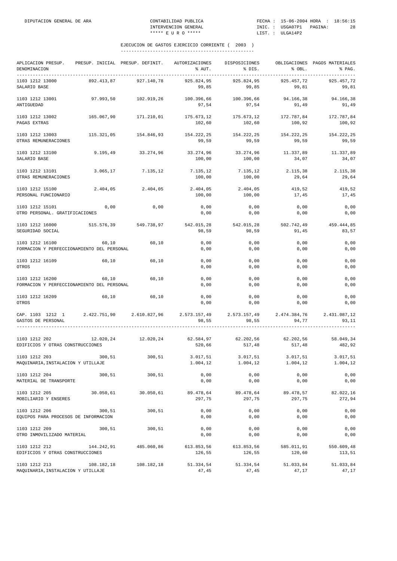| APLICACION PRESUP.<br>DENOMINACION                                                                      | PRESUP. INICIAL PRESUP. DEFINIT. |                       | AUTORIZACIONES<br>% AUT.        | DISPOSICIONES<br>% DIS.                                   | % OBL.               | OBLIGACIONES PAGOS MATERIALES<br>% PAG. |
|---------------------------------------------------------------------------------------------------------|----------------------------------|-----------------------|---------------------------------|-----------------------------------------------------------|----------------------|-----------------------------------------|
| 1103 1212 13000<br>SALARIO BASE                                                                         | 892.413,87                       | 927.140,78            | 925.824,95<br>99,85             | 925.824,95<br>99,85                                       | 925.457,72<br>99,81  | 925.457,72<br>99,81                     |
| 1103 1212 13001<br>ANTIGUEDAD                                                                           | 97.993,50                        | 102.919,26            | 97,54                           | 100.396,66 100.396,66<br>97,54                            | 94.166,38<br>91,49   | 94.166,38<br>91,49                      |
| 1103 1212 13002<br>PAGAS EXTRAS                                                                         | 165.067,90                       | 171.210,01            | 175.673,12 175.673,12<br>102,60 | 102,60                                                    | 172.787,84<br>100,92 | 172.787,84<br>100,92                    |
| 1103 1212 13003<br>OTRAS REMUNERACIONES                                                                 |                                  | 115.321,05 154.846,93 | 154.222,25<br>99,59             | 154.222,25<br>99,59                                       | 154.222,25<br>99,59  | 154.222,25<br>99,59                     |
| 1103 1212 13100<br>SALARIO BASE                                                                         | 9.195,49                         | 33.274,96             | 33.274,96<br>100,00             | 33.274,96<br>100,00                                       | 11.337,89<br>34,07   | 11.337,89<br>34,07                      |
| 1103 1212 13101<br>OTRAS REMUNERACIONES                                                                 | 3.065, 17                        | 7.135,12              | 7.135,12<br>100,00              | 7.135,12<br>100,00                                        | 2.115,38<br>29,64    | 2.115,38<br>29,64                       |
| 1103 1212 15100<br>PERSONAL FUNCIONARIO                                                                 |                                  | 2.404,05 2.404,05     | 2.404,05<br>100,00              | 2.404,05<br>100,00                                        | 419,52<br>17,45      | 419,52<br>17,45                         |
| 1103 1212 15101<br>OTRO PERSONAL. GRATIFICACIONES                                                       | 0,00                             | 0,00                  | 0,00<br>0,00                    | 0,00<br>0,00                                              | 0,00<br>0,00         | 0,00<br>0,00                            |
| 1103 1212 16000<br>SEGURIDAD SOCIAL                                                                     |                                  | 515.576,39 549.738,97 | 542.015,28<br>98,59             | 542.015,28<br>98,59                                       | 502.742,49<br>91,45  | 459.444,85<br>83,57                     |
| 1103 1212 16100<br>FORMACION Y PERFECCIONAMIENTO DEL PERSONAL                                           | 60,10                            | 60,10                 | 0,00<br>0,00                    | 0,00<br>0,00                                              | 0,00<br>0,00         | 0,00<br>0,00                            |
| 1103 1212 16109<br>OTROS                                                                                | 60,10                            | 60,10                 | 0,00<br>0,00                    | 0,00<br>0,00                                              | 0,00<br>0,00         | 0,00<br>0,00                            |
| 1103 1212 16200<br>FORMACION Y PERFECCIONAMIENTO DEL PERSONAL                                           | 60,10                            | 60,10                 | 0,00<br>0,00                    | 0,00<br>0,00                                              | 0,00<br>0,00         | 0,00<br>0,00                            |
| 1103 1212 16209<br>OTROS                                                                                | 60,10                            | 60,10                 | 0,00<br>0,00                    | 0,00<br>0,00                                              | 0,00<br>0,00         | 0,00<br>0,00                            |
| CAP. 1103 1212 1 2.422.751,90 2.610.827,96 2.573.157,49 2.573.157,49 2.474.384,76<br>GASTOS DE PERSONAL |                                  |                       | 98,55                           | 98,55                                                     | 94,77                | 2.431.087,12<br>93,11                   |
| 1103 1212 202<br>EDIFICIOS Y OTRAS CONSTRUCCIONES                                                       |                                  | 12.020.24 12.020.24   | 520,66                          | $62.584,97$ $62.202,56$ $62.202,56$ $58.049,34$<br>517,48 | 517,48               | 482,92                                  |
| 1103 1212 203<br>MAQUINARIA, INSTALACION Y UTILLAJE                                                     | 300,51                           | 300,51                | 3.017,51<br>1.004,12            | 3.017,51<br>1.004,12                                      | 3.017,51<br>1.004,12 | 3.017,51<br>1.004,12                    |
| 1103 1212 204<br>MATERIAL DE TRANSPORTE                                                                 | 300,51                           | 300,51                | 0,00<br>0,00                    | 0,00<br>0,00                                              | 0,00<br>0,00         | 0,00<br>0,00                            |
| 1103 1212 205<br>MOBILIARIO Y ENSERES                                                                   | 30.050,61                        | 30.050,61             | 89.478,64<br>297,75             | 89.478,64<br>297,75                                       | 89.478,57<br>297,75  | 82.022,16<br>272,94                     |
| 1103 1212 206<br>EQUIPOS PARA PROCESOS DE INFORMACION                                                   | 300,51                           | 300,51                | 0,00<br>0,00                    | 0,00<br>0,00                                              | 0,00<br>0,00         | 0,00<br>0,00                            |
| 1103 1212 209<br>OTRO INMOVILIZADO MATERIAL                                                             | 300, 51                          | 300,51                | 0,00<br>0,00                    | 0,00<br>0,00                                              | 0,00<br>0,00         | 0,00<br>0,00                            |
| 1103 1212 212<br>EDIFICIOS Y OTRAS CONSTRUCCIONES                                                       | 144.242,91                       | 485.060,86            | 613.853,56<br>126,55            | 613.853,56<br>126,55                                      | 585.011,91<br>120,60 | 550.609,48<br>113,51                    |
| 1103 1212 213<br>MAQUINARIA, INSTALACION Y UTILLAJE                                                     | 108.182,18                       | 108.182,18            | 51.334,54<br>47,45              | 51.334,54<br>47,45                                        | 51.033,84<br>47,17   | 51.033,84<br>47,17                      |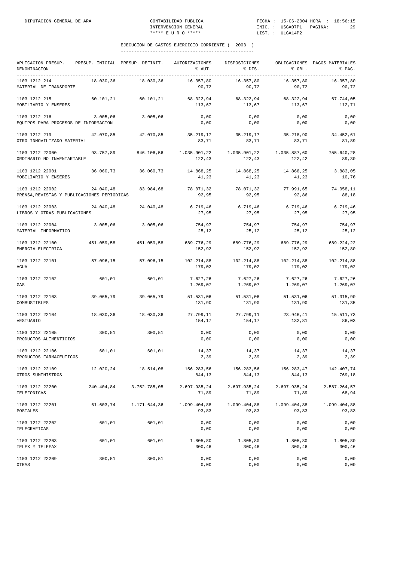| APLICACION PRESUP.<br>DENOMINACION                             |            | PRESUP. INICIAL PRESUP. DEFINIT. | AUTORIZACIONES<br>% AUT. | DISPOSICIONES<br>% DIS. | % OBL.                 | OBLIGACIONES PAGOS MATERIALES<br>% PAG. |
|----------------------------------------------------------------|------------|----------------------------------|--------------------------|-------------------------|------------------------|-----------------------------------------|
| 1103 1212 214<br>MATERIAL DE TRANSPORTE                        | 18.030,36  | 18.030,36                        | 16.357,80<br>90,72       | 16.357,80<br>90,72      | 16.357,80<br>90,72     | 16.357,80<br>90,72                      |
| 1103 1212 215<br>MOBILIARIO Y ENSERES                          | 60.101,21  | 60.101.21                        | 68.322,94<br>113,67      | 68.322,94<br>113,67     | 68.322,94<br>113,67    | 67.744,05<br>112,71                     |
| 1103 1212 216<br>EQUIPOS PARA PROCESOS DE INFORMACION          | 3.005,06   | 3.005,06                         | 0,00<br>0,00             | 0,00<br>0,00            | 0,00<br>0,00           | 0,00<br>0,00                            |
| 1103 1212 219<br>OTRO INMOVILIZADO MATERIAL                    | 42.070.85  | 42.070,85                        | 35.219,17<br>83,71       | 35.219,17<br>83,71      | 35.218,90<br>83,71     | 34.452,61<br>81,89                      |
| 1103 1212 22000<br>ORDINARIO NO INVENTARIABLE                  | 93.757,89  | 846.106,56                       | 1.035.901,22<br>122,43   | 1.035.901,22<br>122,43  | 1.035.887,60<br>122,42 | 755.640,28<br>89,30                     |
| 1103 1212 22001<br>MOBILIARIO Y ENSERES                        | 36.060,73  | 36.060,73                        | 14.868,25<br>41,23       | 14.868,25<br>41,23      | 14.868,25<br>41,23     | 3.883,05<br>10,76                       |
| 1103 1212 22002<br>PRENSA, REVISTAS Y PUBLICACIONES PERIODICAS | 24.040,48  | 83.984,68                        | 78.071,32<br>92,95       | 78.071,32<br>92,95      | 77.991,65<br>92,86     | 74.058,11<br>88,18                      |
| 1103 1212 22003<br>LIBROS Y OTRAS PUBLICACIONES                | 24.040.48  | 24.040,48                        | 6.719,46<br>27,95        | 6.719,46<br>27,95       | 6.719, 46<br>27,95     | 6.719, 46<br>27,95                      |
| 1103 1212 22004<br>MATERIAL INFORMATICO                        | 3.005,06   | 3.005,06                         | 754,97<br>25,12          | 754,97<br>25,12         | 754,97<br>25, 12       | 754,97<br>25,12                         |
| 1103 1212 22100<br>ENERGIA ELECTRICA                           | 451.059,58 | 451.059,58                       | 689.776,29<br>152,92     | 689.776,29<br>152,92    | 689.776,29<br>152,92   | 689.224,22<br>152,80                    |
| 1103 1212 22101<br>AGUA                                        | 57.096,15  | 57.096,15                        | 102.214,88<br>179,02     | 102.214,88<br>179,02    | 102.214,88<br>179,02   | 102.214,88<br>179,02                    |
| 1103 1212 22102<br>GAS                                         | 601,01     | 601,01                           | 7.627,26<br>1.269,07     | 7.627,26<br>1.269,07    | 7.627,26<br>1.269,07   | 7.627,26<br>1.269,07                    |
| 1103 1212 22103<br>COMBUSTIBLES                                | 39.065,79  | 39.065,79                        | 51.531,06<br>131,90      | 51.531,06<br>131,90     | 51.531,06<br>131,90    | 51.315,90<br>131,35                     |
| 1103 1212 22104<br>VESTUARIO                                   | 18.030,36  | 18.030,36                        | 27.799,11<br>154,17      | 27.799,11<br>154,17     | 23.946,41<br>132,81    | 15.511,73<br>86,03                      |
| 1103 1212 22105<br>PRODUCTOS ALIMENTICIOS                      | 300,51     | 300,51                           | 0,00<br>0,00             | 0,00<br>0,00            | 0,00<br>0,00           | 0,00<br>0,00                            |
| 1103 1212 22106<br>PRODUCTOS FARMACEUTICOS                     | 601,01     | 601,01                           | 14,37<br>2,39            | 14,37<br>2,39           | 14,37<br>2,39          | 14,37<br>2,39                           |
| 1103 1212 22109<br>OTROS SUMINISTROS                           | 12.020,24  | 18.514,08                        | 156.283,56<br>844,13     | 156.283,56<br>844,13    | 156.283,47<br>844,13   | 142.407,74<br>769,18                    |
| 1103 1212 22200<br>TELEFONICAS                                 | 240.404,84 | 3.752.785,05                     | 2.697.935,24<br>71,89    | 2.697.935,24<br>71,89   | 2.697.935,24<br>71,89  | 2.587.264,57<br>68,94                   |
| 1103 1212 22201<br>POSTALES                                    | 61.603,74  | 1.171.644,36                     | 1.099.404,88<br>93,83    | 1.099.404,88<br>93,83   | 1.099.404,88<br>93,83  | 1.099.404,88<br>93,83                   |
| 1103 1212 22202<br>TELEGRAFICAS                                | 601,01     | 601,01                           | 0,00<br>0,00             | 0,00<br>0,00            | 0,00<br>0,00           | 0,00<br>0,00                            |
| 1103 1212 22203<br>TELEX Y TELEFAX                             | 601,01     | 601,01                           | 1.805,80<br>300,46       | 1.805,80<br>300,46      | 1.805,80<br>300,46     | 1.805,80<br>300,46                      |
| 1103 1212 22209<br>OTRAS                                       | 300,51     | 300,51                           | 0,00<br>0,00             | 0,00<br>0,00            | 0,00<br>0,00           | 0,00<br>0,00                            |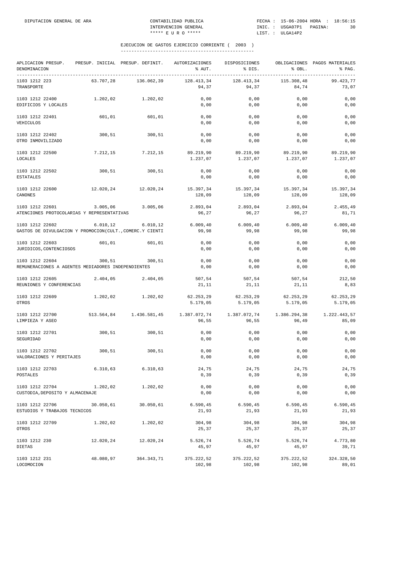| APLICACION PRESUP.<br>DENOMINACION<br>____________________________________  |           | PRESUP. INICIAL PRESUP. DEFINIT. | AUTORIZACIONES<br>% AUT. | DISPOSICIONES<br>% DIS. | % OBL.                | OBLIGACIONES PAGOS MATERIALES<br>% PAG. |
|-----------------------------------------------------------------------------|-----------|----------------------------------|--------------------------|-------------------------|-----------------------|-----------------------------------------|
| 1103 1212 223<br>TRANSPORTE                                                 | 63.707,28 | 136.062,39                       | 128.413,34<br>94,37      | 128.413,34<br>94,37     | 115.308,48<br>84,74   | ----------<br>99.423,77<br>73,07        |
| 1103 1212 22400<br>EDIFICIOS Y LOCALES                                      | 1.202,02  | 1.202,02                         | 0,00<br>0,00             | 0,00<br>0,00            | 0,00<br>0,00          | 0,00<br>0,00                            |
| 1103 1212 22401<br>VEHICULOS                                                | 601,01    | 601,01                           | 0,00<br>0,00             | 0,00<br>0,00            | 0,00<br>0,00          | 0,00<br>0,00                            |
| 1103 1212 22402<br>OTRO INMOVILIZADO                                        | 300,51    | 300,51                           | 0,00<br>0,00             | 0,00<br>0,00            | 0,00<br>0,00          | 0,00<br>0,00                            |
| 1103 1212 22500<br>LOCALES                                                  | 7.212,15  | 7.212,15                         | 89.219,90<br>1.237,07    | 89.219,90<br>1.237,07   | 89.219,90<br>1.237,07 | 89.219,90<br>1.237,07                   |
| 1103 1212 22502<br><b>ESTATALES</b>                                         | 300,51    | 300,51                           | 0,00<br>0,00             | 0,00<br>0,00            | 0,00<br>0,00          | 0,00<br>0,00                            |
| 1103 1212 22600<br>CANONES                                                  | 12.020,24 | 12.020,24                        | 15.397,34<br>128,09      | 15.397,34<br>128,09     | 15.397,34<br>128,09   | 15.397,34<br>128,09                     |
| 1103 1212 22601<br>ATENCIONES PROTOCOLARIAS Y REPRESENTATIVAS               | 3.005,06  | 3.005,06                         | 2.893,04<br>96,27        | 2.893,04<br>96,27       | 2.893,04<br>96,27     | 2.455,49<br>81,71                       |
| 1103 1212 22602<br>GASTOS DE DIVULGACION Y PROMOCION(CULT., COMERC.Y CIENTI | 6.010, 12 | 6.010, 12                        | 6.009, 40<br>99,98       | 6.009, 40<br>99,98      | 6.009, 40<br>99,98    | 6.009, 40<br>99,98                      |
| 1103 1212 22603<br>JURIDICOS, CONTENCIOSOS                                  | 601,01    | 601,01                           | 0,00<br>0,00             | 0,00<br>0,00            | 0,00<br>0,00          | 0,00<br>0,00                            |
| 1103 1212 22604<br>REMUNERACIONES A AGENTES MEDIADORES INDEPENDIENTES       | 300,51    | 300, 51                          | 0,00<br>0,00             | 0,00<br>0,00            | 0,00<br>0,00          | 0,00<br>0,00                            |
| 1103 1212 22605<br>REUNIONES Y CONFERENCIAS                                 | 2.404,05  | 2.404,05                         | 507,54<br>21,11          | 507,54<br>21,11         | 507,54<br>21,11       | 212,50<br>8,83                          |
| 1103 1212 22609<br>OTROS                                                    | 1.202,02  | 1.202,02                         | 62.253,29<br>5.179,05    | 62.253,29<br>5.179,05   | 62.253,29<br>5.179,05 | 62.253,29<br>5.179,05                   |
| 1103 1212 22700<br>LIMPIEZA Y ASEO                                          |           | 513.564,84 1.436.581,45          | 1.387.072,74<br>96,55    | 1.387.072,74<br>96,55   | 1.386.294,38<br>96,49 | 1.222.443,57<br>85,09                   |
| 1103 1212 22701<br>SEGURIDAD                                                | 300,51    | 300,51                           | 0,00<br>0,00             | 0,00<br>0,00            | 0,00<br>0,00          | 0,00<br>0,00                            |
| 1103 1212 22702<br>VALORACIONES Y PERITAJES                                 | 300, 51   | 300,51                           | 0,00<br>0,00             | 0,00<br>0,00            | 0,00<br>0,00          | 0,00<br>0,00                            |
| 1103 1212 22703<br>POSTALES                                                 | 6.310, 63 | 6.310, 63                        | 24,75<br>0, 39           | 24,75<br>0, 39          | 24,75<br>0, 39        | 24,75<br>0, 39                          |
| 1103 1212 22704<br>CUSTODIA, DEPOSITO Y ALMACENAJE                          | 1.202,02  | 1.202,02                         | 0,00<br>0,00             | 0,00<br>0,00            | 0,00<br>0,00          | 0,00<br>0,00                            |
| 1103 1212 22706<br>ESTUDIOS Y TRABAJOS TECNICOS                             | 30.050,61 | 30.050,61                        | 6.590, 45<br>21,93       | 6.590, 45<br>21,93      | 6.590, 45<br>21,93    | 6.590,45<br>21,93                       |
| 1103 1212 22709<br>OTROS                                                    | 1.202,02  | 1.202,02                         | 304,98<br>25,37          | 304,98<br>25,37         | 304,98<br>25,37       | 304,98<br>25,37                         |
| 1103 1212 230<br>DIETAS                                                     | 12.020,24 | 12.020,24                        | 5.526,74<br>45,97        | 5.526,74<br>45,97       | 5.526,74<br>45,97     | 4.773,80<br>39,71                       |
| 1103 1212 231<br>LOCOMOCION                                                 | 48.080,97 | 364.343,71                       | 375.222,52<br>102,98     | 375.222,52<br>102,98    | 375.222,52<br>102,98  | 324.328,50<br>89,01                     |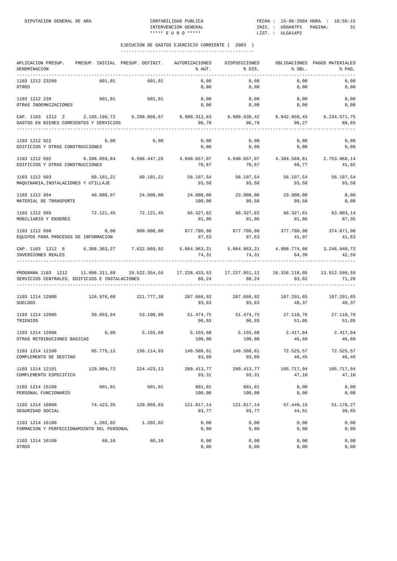| APLICACION PRESUP.<br>DENOMINACION                                                                                                                       |            | PRESUP. INICIAL PRESUP. DEFINIT. | AUTORIZACIONES<br>% AUT.                                                         | DISPOSICIONES<br>8 DIS. | % OBL.                       | OBLIGACIONES PAGOS MATERIALES<br>% PAG. |
|----------------------------------------------------------------------------------------------------------------------------------------------------------|------------|----------------------------------|----------------------------------------------------------------------------------|-------------------------|------------------------------|-----------------------------------------|
| 1103 1212 23209<br>OTROS                                                                                                                                 | 601,01     | 601,01                           | 0,00<br>0,00                                                                     | 0,00<br>$0$ , $00$      | 0,00<br>0,00                 | 0,00<br>0,00                            |
| 1103 1212 239<br>OTRAS INDEMNIZACIONES                                                                                                                   |            | 601,01 601,01                    | 0,00                                                                             | 0,00<br>$0,00$ 0,00     | 0,00<br>0,00                 | 0,00<br>0,00                            |
| CAP. 1103 1212 2 2.195.196.72 9.288.856.67 8.990.312.83 8.989.930.42 8.942.958.43 8.234.571.75<br>GASTOS EN BIENES CORRIENTES Y SERVICIOS                |            |                                  | 96,78                                                                            | 96,78                   | 96, 27                       | 88,65                                   |
| 1103 1212 622<br>EDIFICIOS Y OTRAS CONSTRUCCIONES                                                                                                        | 0,00       | 0,00                             | 0,00<br>0,00                                                                     | 0,00<br>0,00            | 0,00<br>0,00                 | 0,00<br>0,00                            |
| 1103 1212 692 6.208.059,64 6.566.447,26 4.640.657,07 4.640.657,07<br>EDIFICIOS Y OTRAS CONSTRUCCIONES                                                    |            |                                  | 70,67                                                                            | 70,67                   | 4.384.568,81<br>66,77        | 2.753.068,14<br>41,92                   |
| 1103 1212 693<br>MAQUINARIA, INSTALACIONES Y UTILLAJE                                                                                                    | 60.101,21  | 60.101,21                        | 56.197,54 56.197,54<br>93,50                                                     | 93,50                   | 56.197,54<br>93,50           | 56.197,54<br>93,50                      |
| 1103 1212 694<br>MATERIAL DE TRANSPORTE                                                                                                                  |            | 48.080,97 24.000,00              | 24.000,00<br>100,00                                                              | 99,58                   | 23.900,00 23.900,00<br>99,58 | 0,00<br>0,00                            |
| 1103 1212 695<br>MOBILIARIO Y ENSERES                                                                                                                    |            |                                  | $72.121,45$ $72.121,45$ $66.327,62$ $66.327,62$ $66.327,61$ $63.003,14$<br>91,96 | 91,96                   | 91,96                        | 87,35                                   |
| 1103 1212 696<br>EQUIPOS PARA PROCESOS DE INFORMACION                                                                                                    | 0,00       | 900.000,00                       | 877.780,98<br>97,53                                                              | 877.780,98<br>97,53     | 377.780,90<br>41,97          | 374.671,90<br>41,63                     |
| CAP. 1103 1212 6 6.388.363,27 7.622.669,92 5.664.963,21 5.664.863,21 4.908.774,86 3.246.940,72<br>INVERSIONES REALES                                     |            |                                  | 74,31                                                                            | 74,31                   | 64, 39<br>---------------    | 42,59                                   |
| PROGRAMA 1103 1212 11.006.311,89 19.522.354,55 17.228.433,53 17.227.951,12 16.326.118,05 13.912.599,59<br>SERVICIOS CENTRALES, EDIFICIOS E INSTALACIONES |            |                                  | 88,24                                                                            | 88,24                   | 83,62                        | 71,26                                   |
| 1103 1214 12000<br><b>SUELDOS</b>                                                                                                                        |            |                                  | 126.976,08 221.777,38 207.666,92 207.666,92 107.291,65 107.291,65<br>93,63       | 93,63                   | 48,37                        | 48,37                                   |
| 1103 1214 12005 39.853,94 53.100,99 51.474,75 51.474,75 27.110,76 27.110,76<br>TRIENIOS                                                                  |            |                                  | 96,93                                                                            | 96,93                   | 51,05                        | 51,05                                   |
| 1103 1214 12006<br>OTRAS RETRIBUCIONES BASICAS                                                                                                           | 0,00       | 5.155,68                         | 5.155,68 5.155,68 2.417,84 2.417,84<br>100,00                                    | 100,00                  | 46,89                        | 46,89                                   |
| 1103 1214 12100<br>COMPLEMENTO DE DESTINO                                                                                                                |            | 95.775,12 156.114,93             | 146.588,61 146.588,61<br>93,89                                                   | 93,89                   | 72.525,57<br>46,45           | 72.525,57<br>46, 45                     |
| 1103 1214 12101<br>COMPLEMENTO ESPECIFICO                                                                                                                | 129.804,72 | 224.423,13                       | 209.413,77<br>93,31                                                              | 209.413,77<br>93,31     | 105.717,94<br>47,10          | 105.717,94<br>47,10                     |
| 1103 1214 15100<br>PERSONAL FUNCIONARIO                                                                                                                  | 601,01     | 601,01                           | 601,01<br>100,00                                                                 | 601,01<br>100,00        | 0,00<br>0,00                 | 0,00<br>0,00                            |
| 1103 1214 16000<br>SEGURIDAD SOCIAL                                                                                                                      | 74.423,35  | 129.050,83                       | 121.017,14<br>93,77                                                              | 121.017,14<br>93,77     | 57.449,15<br>44,51           | 51.178,27<br>39,65                      |
| 1103 1214 16100<br>FORMACION Y PERFECCIONAMIENTO DEL PERSONAL                                                                                            | 1.202,02   | 1.202,02                         | 0,00<br>0,00                                                                     | 0,00<br>0,00            | 0,00<br>0,00                 | 0,00<br>0,00                            |
| 1103 1214 16109<br>OTROS                                                                                                                                 | 60,10      | 60,10                            | 0,00<br>0,00                                                                     | 0,00<br>0,00            | 0,00<br>0,00                 | 0,00<br>0,00                            |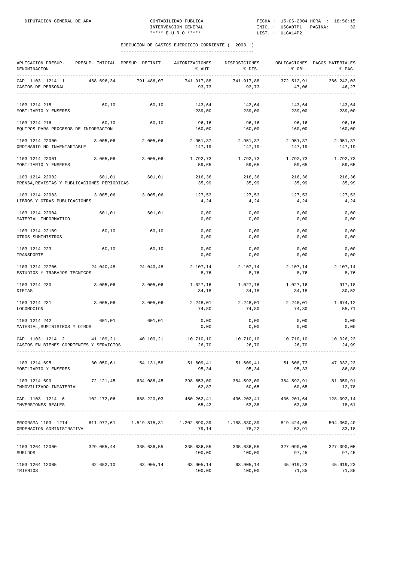| APLICACION PRESUP.<br>DENOMINACION                                                                                  |            | PRESUP. INICIAL PRESUP. DEFINIT. | AUTORIZACIONES<br>% AUT.                                      | DISPOSICIONES<br>% DIS.             | % OBL.              | OBLIGACIONES PAGOS MATERIALES<br>% PAG. |
|---------------------------------------------------------------------------------------------------------------------|------------|----------------------------------|---------------------------------------------------------------|-------------------------------------|---------------------|-----------------------------------------|
| CAP. 1103 1214 1<br>GASTOS DE PERSONAL                                                                              | 468.696,34 | 791.486,07                       | 741.917.88<br>93,73                                           | 741.917.88<br>93,73                 | 372.512,91<br>47,06 | 366.242.03<br>46,27                     |
| 1103 1214 215<br>MOBILIARIO Y ENSERES                                                                               | 60,10      | 60,10                            | 143,64<br>239,00                                              | 143,64<br>239,00                    | 143,64<br>239,00    | 143,64<br>239,00                        |
| 1103 1214 216<br>EQUIPOS PARA PROCESOS DE INFORMACION                                                               | 60,10      | 60,10                            | 96,16<br>160,00                                               | 96,16<br>160,00                     | 96,16<br>160,00     | 96,16<br>160,00                         |
| 1103 1214 22000<br>ORDINARIO NO INVENTARIABLE                                                                       | 3.005,06   | 2.005.06                         | 2.951,37<br>147,19                                            | 2.951,37<br>147,19                  | 2.951,37<br>147,19  | 2.951,37<br>147,19                      |
| 1103 1214 22001<br>MOBILIARIO Y ENSERES                                                                             | 3.005,06   | 3.005,06                         | 1.792,73<br>59,65                                             | 1.792,73<br>59,65                   | 1.792,73<br>59,65   | 1.792,73<br>59,65                       |
| 1103 1214 22002<br>PRENSA, REVISTAS Y PUBLICACIONES PERIODICAS                                                      | 601,01     | 601,01                           | 216,36<br>35,99                                               | 216,36<br>35,99                     | 216,36<br>35,99     | 216,36<br>35,99                         |
| 1103 1214 22003<br>LIBROS Y OTRAS PUBLICACIONES                                                                     | 3.005,06   | 3.005,06                         | 127,53<br>4,24                                                | 127,53<br>4,24                      | 127.53<br>4,24      | 127,53<br>4,24                          |
| 1103 1214 22004<br>MATERIAL INFORMATICO                                                                             | 601,01     | 601,01                           | 0,00<br>0,00                                                  | 0,00<br>0,00                        | 0,00<br>0,00        | 0,00<br>0,00                            |
| 1103 1214 22109<br>OTROS SUMINISTROS                                                                                | 60,10      | 60,10                            | 0,00<br>0,00                                                  | 0,00<br>0,00                        | 0,00<br>0,00        | 0,00<br>0,00                            |
| 1103 1214 223<br>TRANSPORTE                                                                                         | 60,10      | 60,10                            | 0,00<br>0,00                                                  | 0,00<br>0,00                        | 0,00<br>0,00        | 0,00<br>0,00                            |
| 1103 1214 22706<br>ESTUDIOS Y TRABAJOS TECNICOS                                                                     | 24.040,48  | 24.040,48                        | 2.107,14<br>8,76                                              | 2.107,14<br>8,76                    | 2.107,14<br>8,76    | 2.107,14<br>8,76                        |
| 1103 1214 230<br>DIETAS                                                                                             | 3.005,06   | 3.005,06                         | 34,18                                                         | 1.027,16 1.027,16 1.027,16<br>34,18 | 34,18               | 917,18<br>30,52                         |
| 1103 1214 231<br>LOCOMOCION                                                                                         | 3.005,06   | 3.005,06                         | 2.248,01<br>74,80                                             | 2.248,01<br>74,80                   | 2.248,01<br>74,80   | 1.674,12<br>55,71                       |
| 1103 1214 242<br>MATERIAL, SUMINISTROS Y OTROS                                                                      | 601,01     | 601,01                           | 0,00<br>0,00                                                  | 0,00<br>0,00                        | 0,00<br>0,00        | 0,00<br>0,00                            |
| CAP. 1103 1214 2 41.109,21 40.109,21 10.710,10 10.710,10 10.710,10<br>GASTOS EN BIENES CORRIENTES Y SERVICIOS       |            |                                  | 26,70                                                         | 26,70                               | 26,70               | 10.026,23<br>24,99                      |
| 1103 1214 695<br>MOBILIARIO Y ENSERES                                                                               |            | 30.050,61 54.131,58              | 51.609,41<br>95,34                                            | 51.609,41<br>95,34                  | 51.608,73<br>95,33  | 47.032,23<br>86,88                      |
| 1103 1214 699<br>INMOVILIZADO INMATERIAL                                                                            |            | 72.121,45 634.088,45             | 62,87                                                         | 398.653,00 384.593,00<br>60,65      | 60,65               | 384.592,91 81.059,91<br>12,78           |
| $\texttt{CAP. 1103}$ 1214 6 102.172,06 688.220,03 450.262,41 436.202,41 436.201,64 128.092,14<br>INVERSIONES REALES |            |                                  |                                                               | $65,42$ $63,38$                     | 63,38               | 18,61                                   |
| PROGRAMA 1103 1214 611.977,61 1.519.815,31 1.202.890,39 1.188.830,39<br>ORDENACION ADMINISTRATIVA                   |            |                                  |                                                               | $79,14$ $78,22$                     | 819.424,65<br>53,91 | 504.360,40<br>33,18                     |
| 1103 1264 12000<br><b>SUELDOS</b>                                                                                   |            | 329.055,44 335.636,55            | 335.636,55<br>100,00                                          | 335.636,55<br>100,00                | 327.090,05<br>97,45 | 327.090,05<br>97,45                     |
| 1103 1264 12005<br>TRIENIOS                                                                                         | 62.652,10  | 63.905,14                        | $63.905, 14$ $63.905, 14$ $45.919, 23$ $45.919, 23$<br>100,00 | 100,00                              | 71,85               | 71,85                                   |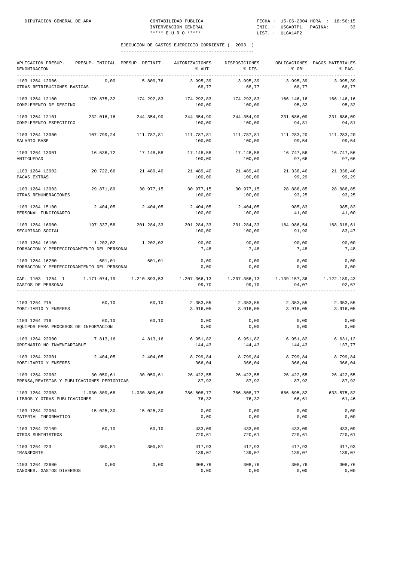| APLICACION PRESUP.<br>DENOMINACION                               | PRESUP. INICIAL PRESUP. DEFINIT. |                       | AUTORIZACIONES<br>% AUT. | DISPOSICIONES<br>% DIS. | % OBL.               | OBLIGACIONES PAGOS MATERIALES<br>% PAG. |
|------------------------------------------------------------------|----------------------------------|-----------------------|--------------------------|-------------------------|----------------------|-----------------------------------------|
| 1103 1264 12006<br>OTRAS RETRIBUCIONES BASICAS                   | 0,00                             | 5.809,76              | 3.995.39<br>68,77        | 3.995,39<br>68,77       | 3.995,39<br>68,77    | 3.995.39<br>68,77                       |
| 1103 1264 12100<br>COMPLEMENTO DE DESTINO                        | 170.875,32                       | 174.292,83            | 174.292,83<br>100,00     | 174.292,83<br>100,00    | 166.146,16<br>95,32  | 166.146,16<br>95,32                     |
| 1103 1264 12101<br>COMPLEMENTO ESPECIFICO                        | 232.016,16                       | 244.354,90            | 244.354,90<br>100,00     | 244.354,90<br>100,00    | 231.686,09<br>94,81  | 231.686,09<br>94,81                     |
| 1103 1264 13000<br>SALARIO BASE                                  |                                  | 107.799,24 111.787,81 | 111.787,81<br>100,00     | 111.787,81<br>100,00    | 111.283,20<br>99,54  | 111.283,20<br>99,54                     |
| 1103 1264 13001<br>ANTIGUEDAD                                    | 16.536,72                        | 17.148,58             | 17.148,58<br>100,00      | 17.148,58<br>100,00     | 16.747,56<br>97,66   | 16.747,56<br>97,66                      |
| 1103 1264 13002<br>PAGAS EXTRAS                                  | 20.722,66                        | 21.489,40             | 21.489,40<br>100,00      | 21.489,40<br>100,00     | 21.338,46<br>99,29   | 21.338,46<br>99,29                      |
| 1103 1264 13003<br>OTRAS REMUNERACIONES                          | 29.871,89                        | 30.977,15             | 30.977,15<br>100,00      | 30.977,15<br>100,00     | 28.888,85<br>93,25   | 28.888,85<br>93,25                      |
| 1103 1264 15100<br>PERSONAL FUNCIONARIO                          | 2.404,05                         | 2.404,05              | 2.404,05<br>100,00       | 2.404,05<br>100,00      | 985,83<br>41,00      | 985,83<br>41,00                         |
| 1103 1264 16000<br>SEGURIDAD SOCIAL                              | 197.337,58                       | 201.284,33            | 201.284,33<br>100,00     | 201.284,33<br>100,00    | 184.986,54<br>91,90  | 168.018,61<br>83,47                     |
| 1103 1264 16100<br>FORMACION Y PERFECCIONAMIENTO DEL PERSONAL    | 1.202,02                         | 1.202,02              | 90,00<br>7,48            | 90,00<br>7,48           | 90,00<br>7,48        | 90,00<br>7,48                           |
| 1103 1264 16200<br>FORMACION Y PERFECCIONAMIENTO DEL PERSONAL    | 601,01                           | 601,01                | 0,00<br>0,00             | 0,00<br>0,00            | 0,00<br>0,00         | 0,00<br>0,00                            |
| CAP. 1103 1264 1 1.171.074,19 1.210.893,53<br>GASTOS DE PERSONAL |                                  |                       | 99,70                    | 99,70                   | 94,07                | 1.122.189,43<br>92,67                   |
| 1103 1264 215<br>MOBILIARIO Y ENSERES                            | 60,10                            | 60,10                 | 2.353,55<br>3.916,05     | 2.353,55<br>3.916,05    | 2.353,55<br>3.916,05 | 2.353,55<br>3.916,05                    |
| 1103 1264 216<br>EQUIPOS PARA PROCESOS DE INFORMACION            | 60,10                            | 60,10                 | 0,00<br>0,00             | 0,00<br>0,00            | 0,00<br>0,00         | 0,00<br>0,00                            |
| 1103 1264 22000<br>ORDINARIO NO INVENTARIABLE                    | 7.813,16                         | 4.813,16              | 6.951,82<br>144,43       | 6.951,82<br>144,43      | 6.951,82<br>144,43   | 6.631,12<br>137,77                      |
| 1103 1264 22001<br>MOBILIARIO Y ENSERES                          | 2.404,05                         | 2.404,05              | 8.799,84<br>366,04       | 8.799,84<br>366,04      | 8.799,84<br>366,04   | 8.799,84<br>366,04                      |
| 1103 1264 22002<br>PRENSA, REVISTAS Y PUBLICACIONES PERIODICAS   | 30.050,61                        | 30.050,61             | 26.422,55<br>87,92       | 26.422,55<br>87,92      | 26.422,55<br>87,92   | 26.422,55<br>87,92                      |
| 1103 1264 22003<br>LIBROS Y OTRAS PUBLICACIONES                  | 1.030.809,68                     | 1.030.809,68          | 786.808,77<br>76,32      | 786.808,77<br>76,32     | 686.695,82<br>66,61  | 633.575,82<br>61,46                     |
| 1103 1264 22004<br>MATERIAL INFORMATICO                          | 15.025,30                        | 15.025,30             | 0,00<br>0,00             | 0,00<br>0,00            | 0,00<br>0,00         | 0,00<br>0,00                            |
| 1103 1264 22109<br>OTROS SUMINISTROS                             | 60,10                            | 60,10                 | 433,09<br>720,61         | 433,09<br>720,61        | 433,09<br>720,61     | 433,09<br>720,61                        |
| 1103 1264 223<br>TRANSPORTE                                      | 300,51                           | 300,51                | 417,93<br>139,07         | 417,93<br>139,07        | 417,93<br>139,07     | 417,93<br>139,07                        |
| 1103 1264 22600<br>CANONES. GASTOS DIVERSOS                      | 0,00                             | 0,00                  | 308,76<br>0,00           | 308,76<br>0,00          | 308,76<br>0,00       | 308,76<br>0,00                          |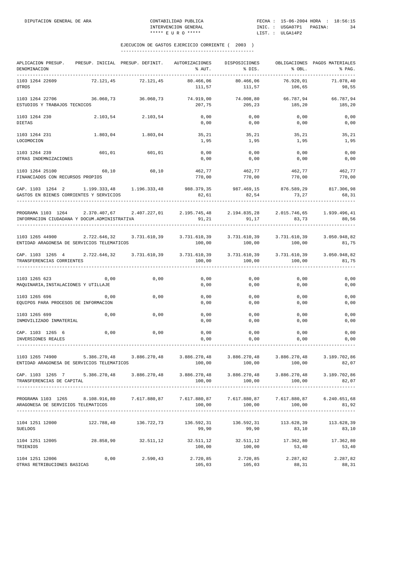| APLICACION PRESUP.<br>DENOMINACION                                                                                                                                                                                                                                                                                                                                                                                    |              | PRESUP. INICIAL PRESUP. DEFINIT. | AUTORIZACIONES<br>% AUT. | DISPOSICIONES<br>% DIS.                   | % OBL.                 | OBLIGACIONES PAGOS MATERIALES<br>% PAG. |
|-----------------------------------------------------------------------------------------------------------------------------------------------------------------------------------------------------------------------------------------------------------------------------------------------------------------------------------------------------------------------------------------------------------------------|--------------|----------------------------------|--------------------------|-------------------------------------------|------------------------|-----------------------------------------|
| -----------------------------------<br>1103 1264 22609<br>OTROS                                                                                                                                                                                                                                                                                                                                                       | 72.121,45    | 72.121,45                        | 80.466,06<br>111,57      | 80.466.06<br>111,57                       | 76.920,01<br>106,65    | 71.078,40<br>98,55                      |
| 1103 1264 22706<br>ESTUDIOS Y TRABAJOS TECNICOS                                                                                                                                                                                                                                                                                                                                                                       | 36.060,73    | 36.060,73                        | 74.919,00<br>207,75      | 74.008,80<br>205,23                       | 66.787,94<br>185,20    | 66.787,94<br>185,20                     |
| 1103 1264 230<br><b>DIETAS</b>                                                                                                                                                                                                                                                                                                                                                                                        | 2.103,54     | 2.103,54                         | 0,00<br>0,00             | 0,00<br>0,00                              | 0,00<br>0,00           | 0,00<br>0,00                            |
| 1103 1264 231                                                                                                                                                                                                                                                                                                                                                                                                         | 1.803,04     | 1.803,04                         | 35,21                    | 35,21                                     | 35,21                  | 35,21                                   |
| LOCOMOCION<br>1103 1264 239                                                                                                                                                                                                                                                                                                                                                                                           | 601,01       | 601,01                           | 1,95<br>0,00             | 1,95<br>0,00                              | 1,95<br>0,00           | 1,95<br>0,00                            |
| OTRAS INDEMNIZACIONES                                                                                                                                                                                                                                                                                                                                                                                                 |              |                                  | 0,00                     | 0,00                                      | 0,00                   | 0,00                                    |
| 1103 1264 25100<br>FINANCIADOS CON RECURSOS PROPIOS                                                                                                                                                                                                                                                                                                                                                                   | 60,10        | 60,10                            | 462,77<br>770,00         | 462,77<br>770,00                          | 462,77<br>770,00       | 462,77<br>770,00                        |
| CAP. 1103 1264 2 1.199.333,48 1.196.333,48 988.379,35 987.469,15 876.589,29<br>GASTOS EN BIENES CORRIENTES Y SERVICIOS                                                                                                                                                                                                                                                                                                |              |                                  | 82,61                    | 82,54                                     | 73,27                  | 817.306,98<br>68,31                     |
| PROGRAMA 1103 1264 2.370.407,67 2.407.227,01 2.195.745,48 2.194.835,28 2.015.746,65 1.939.496,41<br>INFORMACION CIUDADANA Y DOCUM.ADMINISTRATIVA                                                                                                                                                                                                                                                                      |              |                                  | 91,21                    | 91, 17                                    | 83,73                  | 80,56                                   |
| 1103 1265 44900 2.722.646,32 3.731.610,39 3.731.610,39 3.731.610,39 3.731.610,39<br>ENTIDAD ARAGONESA DE SERVICIOS TELEMATICOS                                                                                                                                                                                                                                                                                        |              |                                  | 100,00                   | 100,00                                    | 100,00                 | 3.050.948,82<br>81,75                   |
| CAP. 1103 1265 4 2.722.646,32 3.731.610,39 3.731.610,39 3.731.610,39<br>TRANSFERENCIAS CORRIENTES                                                                                                                                                                                                                                                                                                                     |              |                                  | 100,00                   | 100,00                                    | 3.731.610,39<br>100,00 | 3.050.948,82<br>81,75                   |
| 1103 1265 623<br>MAQUINARIA, INSTALACIONES Y UTILLAJE                                                                                                                                                                                                                                                                                                                                                                 | 0,00         | 0,00                             | 0,00<br>0,00             | 0,00<br>0,00                              | 0,00<br>0,00           | 0,00<br>0,00                            |
| 1103 1265 696<br>EQUIPOS PARA PROCESOS DE INFORMACION                                                                                                                                                                                                                                                                                                                                                                 | 0,00         | 0,00                             | 0,00<br>0,00             | 0,00<br>0,00                              | 0,00<br>0,00           | 0,00<br>0,00                            |
| 1103 1265 699<br>INMOVILIZADO INMATERIAL                                                                                                                                                                                                                                                                                                                                                                              | 0,00         | 0,00                             | 0,00<br>0,00             | 0,00<br>0,00                              | 0,00<br>0,00           | 0,00<br>0,00                            |
| CAP. 1103 1265 6<br>INVERSIONES REALES                                                                                                                                                                                                                                                                                                                                                                                | 0,00         | 0,00                             | 0,00<br>0,00             | 0,00<br>0,00                              | 0,00<br>0,00           | 0,00<br>0,00                            |
| 1103 1265 74900<br>ENTIDAD ARAGONESA DE SERVICIOS TELEMATICOS                                                                                                                                                                                                                                                                                                                                                         | 5.386.270,48 | 3.886.270,48                     | 3.886.270,48             | 3.886.270,48<br>100,00 100,00             | 3.886.270,48<br>100,00 | 3.189.702,86<br>82,07                   |
| CAP. 1103 1265 7 5.386.270,48 3.886.270,48 3.886.270,48 3.886.270,48 3.886.270,48 3.886.270,48 3.189.702,86<br>TRANSFERENCIAS DE CAPITAL                                                                                                                                                                                                                                                                              |              |                                  |                          | $100,00$ $100,00$ $100,00$                |                        | 82,07                                   |
| PROGRAMA 1103 1265 8.108.916,80 7.617.880,87 7.617.880,87 7.617.880,87 7.617.880,87 6.240.651,68<br>ARAGONESA DE SERVICIOS TELEMATICOS 100,00 100,00 100,00 81,92                                                                                                                                                                                                                                                     |              |                                  |                          |                                           |                        | 81,92                                   |
| 1104 1251 12000 122.788,40 136.722,73<br>SUELDOS                                                                                                                                                                                                                                                                                                                                                                      |              |                                  | 99,90                    | 136.592,31 136.592,31 113.628,39<br>99,90 | 83,10                  | 113.628,39<br>83,10                     |
| $1104 \quad 1251 \quad 12005 \qquad \qquad 28.858 \, , \nonumber \\ 90 \qquad \qquad 32.511 \, , \nonumber \\ 12 \qquad \qquad 32.511 \, , \nonumber \\ 12 \qquad \qquad 32.511 \, , \nonumber \\ 12 \qquad \qquad 32.511 \, , \nonumber \\ 12 \qquad \qquad 32.511 \, , \nonumber \\ 12 \qquad \qquad 17.362 \, , \nonumber \\ 80 \qquad \qquad 17.362 \, , \nonumber \\ 80 \qquad \qquad 17.362 \, , \$<br>TRIENIOS |              |                                  | 100,00                   | 100,00                                    | 53,40                  | 53,40                                   |
| 1104 1251 12006<br>OTRAS RETRIBUCIONES BASICAS                                                                                                                                                                                                                                                                                                                                                                        | 0,00         | 2.590,43                         | 2.720,85<br>105,03       | 2.720,85<br>105,03                        | 2.287,82<br>88,31      | 2.287,82<br>88,31                       |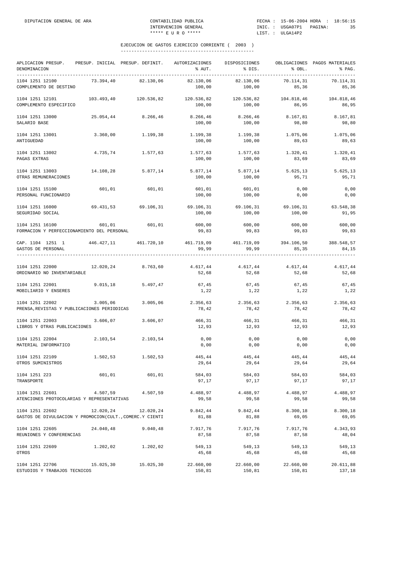| APLICACION PRESUP.<br>DENOMINACION<br>___________________________________       |            | PRESUP. INICIAL PRESUP. DEFINIT. | AUTORIZACIONES<br>% AUT. | DISPOSICIONES<br>% DIS.                   | % OBL.                     | OBLIGACIONES PAGOS MATERIALES<br>% PAG. |
|---------------------------------------------------------------------------------|------------|----------------------------------|--------------------------|-------------------------------------------|----------------------------|-----------------------------------------|
| 1104 1251 12100<br>COMPLEMENTO DE DESTINO                                       | 73.394,40  | 82.130,06                        | 82.130,06<br>100,00      | 82.130,06<br>100,00                       | 70.114,31<br>85,36         | 70.114,31<br>85,36                      |
| 1104 1251 12101<br>COMPLEMENTO ESPECIFICO                                       | 103.493,40 | 120.536,82                       | 120.536,82<br>100,00     | 120.536,82<br>100,00                      | 104.818,46<br>86,95        | 104.818,46<br>86,95                     |
| 1104 1251 13000<br>SALARIO BASE                                                 | 25.054,44  | 8.266,46                         | 8.266,46<br>100,00       | 8.266,46<br>100,00                        | 8.167,81<br>98,80          | 8.167,81<br>98,80                       |
| 1104 1251 13001<br>ANTIGUEDAD                                                   | 3.360,00   | 1.199,38                         | 1.199,38<br>100,00       | 1.199,38<br>100,00                        | 1.075,06<br>89,63          | 1.075,06<br>89,63                       |
| 1104 1251 13002<br>PAGAS EXTRAS                                                 | 4.735,74   | 1.577,63                         | 1.577,63<br>100,00       | 1.577,63<br>100,00                        | 1.320,41<br>83,69          | 1.320,41<br>83,69                       |
| 1104 1251 13003<br>OTRAS REMUNERACIONES                                         | 14.108,28  | 5.877,14                         | 5.877,14<br>100,00       | 5.877,14<br>100,00                        | 5.625,13<br>95,71          | 5.625,13<br>95,71                       |
| 1104 1251 15100<br>PERSONAL FUNCIONARIO                                         | 601,01     | 601,01                           | 601,01<br>100,00         | 601,01<br>100,00                          | 0,00<br>0,00               | 0,00<br>0,00                            |
| 1104 1251 16000<br>SEGURIDAD SOCIAL                                             | 69.431,53  | 69.106,31                        | 69.106,31<br>100,00      | 69.106,31<br>100,00                       | 69.106,31<br>100,00        | 63.548,38<br>91,95                      |
| 1104 1251 16100<br>FORMACION Y PERFECCIONAMIENTO DEL PERSONAL                   | 601,01     | 601,01                           | 600,00<br>99,83          | 600,00<br>99,83                           | 600,00<br>99,83            | 600,00<br>99,83                         |
| CAP. 1104 1251 1<br>GASTOS DE PERSONAL<br>------------------                    |            | 446.427,11 461.720,10            | 99,99                    | 461.719,09 461.719,09 394.106,50<br>99,99 | 85,35                      | 388.548,57<br>84,15                     |
| 1104 1251 22000<br>ORDINARIO NO INVENTARIABLE                                   |            | 12.020,24 8.763,60               | 4.617,44<br>52,68        | 4.617,44<br>52,68                         | 4.617,44<br>52,68          | 4.617,44<br>52,68                       |
| 1104 1251 22001<br>MOBILIARIO Y ENSERES                                         | 9.015, 18  | 5.497,47                         | 67,45<br>1,22            | 67,45<br>1,22                             | 67,45<br>1,22              | 67,45<br>1,22                           |
| 1104 1251 22002<br>PRENSA, REVISTAS Y PUBLICACIONES PERIODICAS                  | 3.005,06   | 3.005,06                         | 2.356,63<br>78,42        | 2.356,63<br>78,42                         | 2.356,63<br>78,42          | 2.356,63<br>78,42                       |
| 1104 1251 22003<br>LIBROS Y OTRAS PUBLICACIONES                                 | 3.606,07   | 3.606,07                         | 466,31<br>12,93          | 466,31<br>12,93                           | 466,31<br>12,93            | 466,31<br>12,93                         |
| 1104 1251 22004<br>MATERIAL INFORMATICO                                         | 2.103,54   | 2.103,54                         | 0,00<br>0,00             | 0,00<br>0,00                              | 0,00<br>0,00               | 0,00<br>0,00                            |
| 1104 1251 22109<br>OTROS SUMINISTROS                                            | 1.502,53   | 1.502,53                         | 445,44<br>29,64          | 445,44<br>29,64                           | 445,44<br>29,64            | 445,44<br>29,64                         |
| 1104 1251 223<br>TRANSPORTE                                                     | 601,01     | 601,01                           | 584,03<br>97,17          | 584,03<br>97,17                           | 584,03<br>97,17            | 584,03<br>97,17                         |
| 1104 1251 22601 4.507,59 4.507,59<br>ATENCIONES PROTOCOLARIAS Y REPRESENTATIVAS |            |                                  | 4.488,97<br>99,58        | 99,58                                     | 4.488,97 4.488,97<br>99,58 | 4.488,97<br>99,58                       |
| 1104 1251 22602<br>GASTOS DE DIVULGACION Y PROMOCION(CULT., COMERC.Y CIENTI     |            | 12.020,24 12.020,24              | 9.842,44<br>81,88        | 9.842,44<br>81,88                         | 8.300,18<br>69,05          | 8.300,18<br>69,05                       |
| 1104 1251 22605<br>REUNIONES Y CONFERENCIAS                                     | 24.040,48  | 9.040, 48                        | 7.917,76<br>87,58        | 7.917,76<br>87,58                         | 7.917,76<br>87,58          | 4.343,93<br>48,04                       |
| 1104 1251 22609<br>OTROS                                                        |            | 1.202,02 1.202,02                | 549,13<br>45,68          | 549,13<br>45,68                           | 549,13<br>45,68            | 549,13<br>45,68                         |
| 1104 1251 22706<br>ESTUDIOS Y TRABAJOS TECNICOS                                 | 15.025,30  | 15.025,30                        | 22.660,00<br>150,81      | 22.660,00<br>150,81                       | 22.660,00<br>150,81        | 20.611,88<br>137,18                     |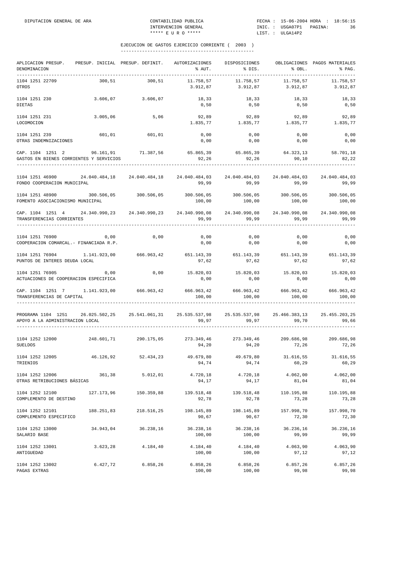| APLICACION PRESUP.<br>DENOMINACION<br>-----------                                                                                 | PRESUP. INICIAL PRESUP. DEFINIT. |            | AUTORIZACIONES<br>% AUT.                                                       | DISPOSICIONES<br>% DIS.                    | % OBL.                | OBLIGACIONES PAGOS MATERIALES<br>% PAG. |
|-----------------------------------------------------------------------------------------------------------------------------------|----------------------------------|------------|--------------------------------------------------------------------------------|--------------------------------------------|-----------------------|-----------------------------------------|
| 1104 1251 22709<br>OTROS                                                                                                          | 300.51                           | 300,51     | 11.758,57<br>3.912,87                                                          | 11.758,57<br>3.912,87                      | 11.758,57<br>3.912,87 | 11.758,57<br>3.912,87                   |
| 1104 1251 230<br><b>DIETAS</b>                                                                                                    | 3.606,07                         | 3.606,07   | 18,33<br>0,50                                                                  | 18, 33<br>0,50                             | 18,33<br>0,50         | 18,33<br>0,50                           |
| 1104 1251 231<br>LOCOMOCION                                                                                                       | 3.005,06                         | 5,06       | 92,89                                                                          | 92,89<br>1.835,77 1.835,77                 | 92,89<br>1.835,77     | 92,89<br>1.835,77                       |
| 1104 1251 239<br>OTRAS INDEMNIZACIONES                                                                                            | 601,01                           | 601,01     | 0,00<br>0,00                                                                   | 0,00<br>0,00                               | 0,00<br>0,00          | 0,00<br>0,00                            |
| CAP. 1104 1251 2<br>GASTOS EN BIENES CORRIENTES Y SERVICIOS                                                                       | 96.161,91 71.387,56              |            | 65.865,39 65.865,39 64.323,13 58.701,18<br>92,26                               | 92, 26                                     | 90,10                 | 82,22                                   |
| 1104 1251 46900<br>FONDO COOPERACION MUNICIPAL                                                                                    |                                  |            | 24.040.484,18 24.040.484,18 24.040.484,03 24.040.484,03 24.040.484,03<br>99,99 | 99,99                                      | 99,99                 | 24.040.484,03<br>99,99                  |
| 1104 1251 48900<br>FOMENTO ASOCIACIONISMO MUNICIPAL                                                                               | 300.506,05                       | 300.506,05 | 100,00                                                                         | 300.506,05 300.506,05 300.506,05<br>100,00 | 100,00                | 300.506,05<br>100,00                    |
| CAP. 1104 1251 4 24.340.990,23 24.340.990,23 24.340.990,08 24.340.990,08 24.340.990,08 24.340.990,08<br>TRANSFERENCIAS CORRIENTES |                                  |            | 99,99                                                                          | 99,99                                      | 99,99                 | 99,99                                   |
| 1104 1251 76900<br>COOPERACION COMARCAL. - FINANCIADA R.P.                                                                        | 0,00                             | 0,00       | 0,00<br>0,00                                                                   | 0,00<br>0,00                               | 0,00<br>0,00          | 0,00<br>0,00                            |
| 1104 1251 76904 1.141.923,00<br>PUNTOS DE INTERES DEUDA LOCAL                                                                     |                                  | 666.963,42 | 651.143,39 651.143,39 651.143,39<br>97,62                                      | 97,62                                      | 97,62                 | 651.143,39<br>97,62                     |
| 1104 1251 76905<br>ACTUACIONES DE COOPERACION ESPECIFICA                                                                          | 0,00                             | 0,00       | 15.820,03<br>0,00                                                              | 15.820,03<br>0,00                          | 15.820,03<br>0,00     | 15.820,03<br>0,00                       |
| CAP. 1104 1251 7 1.141.923,00 666.963,42<br>TRANSFERENCIAS DE CAPITAL                                                             |                                  |            | 100,00                                                                         | 666.963,42 666.963,42 666.963,42<br>100,00 | 100,00                | 666.963,42<br>100,00                    |
| PROGRAMA 1104 1251 26.025.502,25 25.541.061,31 25.535.537,98 25.535.537,98 25.466.383,13<br>APOYO A LA ADMINISTRACION LOCAL       |                                  |            | 99,97                                                                          | 99,97                                      | 99,70                 | 25.455.203,25<br>99,66                  |
| 1104 1252 12000 248.601,71 290.175,05<br><b>SUELDOS</b>                                                                           |                                  |            | 273.349,46 273.349,46 209.686,98<br>94,20                                      | 94,20                                      | 72,26                 | 209.686,98<br>72,26                     |
| 1104 1252 12005<br>TRIENIOS                                                                                                       | 46.126,92                        | 52.434,23  | 49.679,80<br>94,74                                                             | 49.679,80<br>94,74                         | 31.616,55<br>60,29    | 31.616,55<br>60,29                      |
| 1104 1252 12006<br>OTRAS RETRIBUCIONES BÁSICAS                                                                                    | 361,38                           | 5.012,01   | 4.720,18<br>94,17                                                              | 4.720,18<br>94,17                          | 4.062,00<br>81,04     | 4.062,00<br>81,04                       |
| 1104 1252 12100<br>COMPLEMENTO DE DESTINO                                                                                         | 127.173,96                       | 150.359,88 | 139.518,48<br>92,78                                                            | 139.518,48<br>92,78                        | 110.195,88<br>73,28   | 110.195,88<br>73,28                     |
| 1104 1252 12101<br>COMPLEMENTO ESPECIFICO                                                                                         | 188.251,83                       | 218.516,25 | 198.145,89<br>90,67                                                            | 198.145,89<br>90,67                        | 157.998,70<br>72,30   | 157.998,70<br>72,30                     |
| 1104 1252 13000<br>SALARIO BASE                                                                                                   | 34.943,04                        | 36.238,16  | 36.238,16<br>100,00                                                            | 36.238,16<br>100,00                        | 36.236,16<br>99,99    | 36.236,16<br>99,99                      |
| 1104 1252 13001<br>ANTIGUEDAD                                                                                                     | 3.623,28                         | 4.184,40   | 4.184,40<br>100,00                                                             | 4.184,40<br>100,00                         | 4.063,90<br>97,12     | 4.063,90<br>97,12                       |
| 1104 1252 13002<br>PAGAS EXTRAS                                                                                                   | 6.427,72                         | 6.858, 26  | 6.858,26<br>100,00                                                             | 6.858,26<br>100,00                         | 6.857, 26<br>99,98    | 6.857,26<br>99,98                       |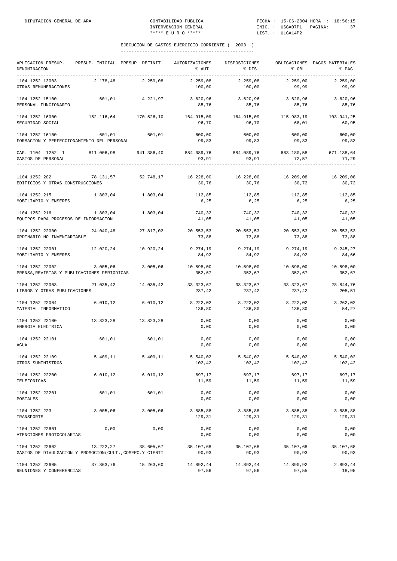| APLICACION PRESUP.<br>DENOMINACION                                          |           | PRESUP. INICIAL PRESUP. DEFINIT. | AUTORIZACIONES<br>% AUT.       | DISPOSICIONES<br>% DIS. | % OBL.              | OBLIGACIONES PAGOS MATERIALES<br>% PAG. |
|-----------------------------------------------------------------------------|-----------|----------------------------------|--------------------------------|-------------------------|---------------------|-----------------------------------------|
| 1104 1252 13003<br>OTRAS REMUNERACIONES                                     | 2.178,48  | 2.259,08                         | 2.259,08<br>100,00             | 2.259,08<br>100,00      | 2.259,00<br>99,99   | 2.259,00<br>99,99                       |
| 1104 1252 15100<br>PERSONAL FUNCIONARIO                                     | 601,01    | 4.221,97                         | 3.620,96<br>85,76              | 3.620,96<br>85,76       | 3.620,96<br>85,76   | 3.620,96<br>85,76                       |
| 1104 1252 16000<br>SEGURIDAD SOCIAL                                         |           | 152.116,64 170.526,10            | 164.915,09<br>96,70            | 164.915,09<br>96,70     | 115.983,19<br>68,01 | 103.941,25<br>60,95                     |
| 1104 1252 16100<br>FORMACION Y PERFECCIONAMIENTO DEL PERSONAL               | 601,01    | 601,01                           | 600,00<br>99,83                | 600,00<br>99,83         | 600,00<br>99,83     | 600,00<br>99,83                         |
| CAP. 1104 1252 1<br>GASTOS DE PERSONAL                                      |           | 811.006,98 941.386,40            | 884.089,76 884.089,76<br>93,91 | 93,91                   | 72,57               | 683.180,58 671.138,64<br>71,29          |
| 1104 1252 202<br>EDIFICIOS Y OTRAS CONSTRUCCIONES                           |           | 78.131,57 52.748,17              | 16.228,00<br>30,76             | 16.228,00<br>30,76      | 16.209,08<br>30,72  | 16.209,08<br>30,72                      |
| 1104 1252 215<br>MOBILIARIO Y ENSERES                                       | 1.803,04  | 1.803,04                         | 112,85<br>6,25                 | 112,85<br>6,25          | 112,85<br>6,25      | 112,85<br>6,25                          |
| 1104 1252 216<br>EQUIPOS PARA PROCESOS DE INFORMACION                       | 1.803,04  | 1.803,04                         | 740,32<br>41,05                | 740,32<br>41,05         | 740,32<br>41,05     | 740,32<br>41,05                         |
| 1104 1252 22000<br>ORDINARIO NO INVENTARIABLE                               | 24.040,48 | 27.817,02                        | 20.553,53<br>73,88             | 20.553,53<br>73,88      | 20.553,53<br>73,88  | 20.553,53<br>73,88                      |
| 1104 1252 22001<br>MOBILIARIO Y ENSERES                                     |           | 12.020,24 10.920,24              | 9.274,19<br>84,92              | 9.274,19<br>84,92       | 9.274,19<br>84,92   | 9.245,27<br>84,66                       |
| 1104 1252 22002<br>PRENSA, REVISTAS Y PUBLICACIONES PERIODICAS              | 3.005,06  | 3.005,06                         | 10.598,00<br>352,67            | 10.598,00<br>352,67     | 10.598,00<br>352,67 | 10.598,00<br>352,67                     |
| 1104 1252 22003<br>LIBROS Y OTRAS PUBLICACIONES                             |           | 21.035,42 14.035,42              | 33.323,67<br>237,42            | 33.323,67<br>237,42     | 33.323,67<br>237,42 | 28.844,76<br>205,51                     |
| 1104 1252 22004<br>MATERIAL INFORMATICO                                     | 6.010, 12 | 6.010, 12                        | 8.222,02<br>136,80             | 8.222,02<br>136,80      | 8.222,02<br>136,80  | 3.262,02<br>54,27                       |
| 1104 1252 22100<br>ENERGIA ELECTRICA                                        | 13.823,28 | 13.823,28                        | 0,00<br>0,00                   | 0,00<br>0,00            | 0,00<br>0,00        | 0,00<br>0,00                            |
| 1104 1252 22101<br>AGUA                                                     | 601,01    | 601,01                           | 0,00<br>0,00                   | 0,00<br>0,00            | 0,00<br>0,00        | 0,00<br>0,00                            |
| 1104 1252 22109<br>OTROS SUMINISTROS                                        | 5.409,11  | 5.409,11                         | 5.540,02<br>102,42             | 5.540,02<br>102,42      | 5.540,02<br>102,42  | 5.540,02<br>102,42                      |
| 1104 1252 22200<br>TELEFONICAS                                              | 6.010,12  | 6.010, 12                        | 697,17<br>11,59                | 697,17<br>11,59         | 697,17<br>11,59     | 697,17<br>11,59                         |
| 1104 1252 22201<br>POSTALES                                                 | 601,01    | 601,01                           | 0,00<br>0,00                   | 0,00<br>0,00            | 0,00<br>0,00        | 0,00<br>0,00                            |
| 1104 1252 223<br>TRANSPORTE                                                 | 3.005,06  | 3.005,06                         | 3.885,88<br>129,31             | 3.885,88<br>129,31      | 3.885,88<br>129,31  | 3.885,88<br>129,31                      |
| 1104 1252 22601<br>ATENCIONES PROTOCOLARIAS                                 | 0,00      | 0,00                             | 0,00<br>0,00                   | 0,00<br>0,00            | 0,00<br>0,00        | 0,00<br>0,00                            |
| 1104 1252 22602<br>GASTOS DE DIVULGACION Y PROMOCION(CULT., COMERC.Y CIENTI | 13.222,27 | 38.605,67                        | 35.107,68<br>90,93             | 35.107,68<br>90,93      | 35.107,68<br>90,93  | 35.107,68<br>90,93                      |
| 1104 1252 22605<br>REUNIONES Y CONFERENCIAS                                 | 37.863,76 | 15.263,60                        | 14.892,44<br>97,56             | 14.892,44<br>97,56      | 14.890,92<br>97,55  | 2.893,44<br>18,95                       |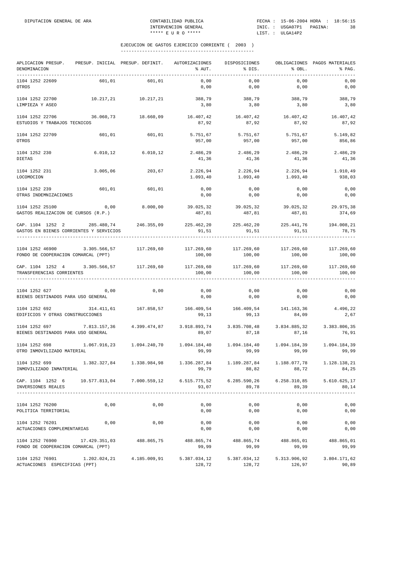| APLICACION PRESUP.<br>DENOMINACION                                                                                                                                                                                                                                                                                                                                      | PRESUP. INICIAL PRESUP. DEFINIT. |                     | AUTORIZACIONES<br>% AUT.                                     | DISPOSICIONES<br>% DIS.            | % OBL.                | OBLIGACIONES PAGOS MATERIALES<br>% PAG. |
|-------------------------------------------------------------------------------------------------------------------------------------------------------------------------------------------------------------------------------------------------------------------------------------------------------------------------------------------------------------------------|----------------------------------|---------------------|--------------------------------------------------------------|------------------------------------|-----------------------|-----------------------------------------|
| 1104 1252 22609<br>OTROS                                                                                                                                                                                                                                                                                                                                                | 601,01                           | 601,01              | 0,00<br>0,00                                                 | 0,00<br>0,00                       | 0,00<br>0,00          | 0,00<br>0,00                            |
| 1104 1252 22700<br>LIMPIEZA Y ASEO                                                                                                                                                                                                                                                                                                                                      |                                  | 10.217,21 10.217,21 | 388,79<br>3,80                                               | 388,79<br>3,80                     | 388,79<br>3,80        | 388,79<br>3,80                          |
| 1104 1252 22706<br>ESTUDIOS Y TRABAJOS TECNICOS                                                                                                                                                                                                                                                                                                                         | 36.060,73                        | 18.660,09           | 16.407,42 16.407,42<br>87,92                                 | 87,92                              | 87,92                 | 16.407,42 16.407,42<br>87,92            |
| 1104 1252 22709<br>OTROS                                                                                                                                                                                                                                                                                                                                                | 601,01                           | 601,01              | 5.751,67<br>957,00                                           | 5.751,67<br>957,00                 | 5.751,67<br>957,00    | 5.149,82<br>856,86                      |
| 1104 1252 230<br><b>DIETAS</b>                                                                                                                                                                                                                                                                                                                                          | 6.010, 12                        | 6.010, 12           | 2.486,29<br>41,36                                            | 2.486,29<br>41,36                  | 2.486,29<br>41,36     | 2.486,29<br>41,36                       |
| 1104 1252 231<br>LOCOMOCION                                                                                                                                                                                                                                                                                                                                             | 3.005,06                         | 203,67              | 2.226,94<br>1.093,40                                         | 2.226,94<br>1.093, 40              | 2.226,94<br>1.093,40  | 1.910,49<br>938,03                      |
| 1104 1252 239<br>OTRAS INDEMNIZACIONES                                                                                                                                                                                                                                                                                                                                  | 601,01                           | 601,01              | 0,00<br>0,00                                                 | 0,00<br>0,00                       | 0,00<br>0,00          | 0,00<br>0,00                            |
| 1104 1252 25100<br>GASTOS REALIZACION DE CURSOS (R.P.)                                                                                                                                                                                                                                                                                                                  | 0,00                             | 8.000,00            | 39.025,32<br>487,81                                          | 39.025,32<br>487,81                | 39.025,32<br>487,81   | 29.975,38<br>374,69                     |
| CAP. 1104 1252 2<br>GASTOS EN BIENES CORRIENTES Y SERVICIOS                                                                                                                                                                                                                                                                                                             | 285.480,74 246.355,09            |                     | 225.462,20 225.462,20 225.441,76<br>91,51                    | 91,51                              | 91,51                 | 194.008,21<br>78,75                     |
| 1104 1252 46900<br>FONDO DE COOPERACION COMARCAL (PPT)                                                                                                                                                                                                                                                                                                                  | 3.305.566,57                     | 117.269,60          | 117.269,60<br>100,00                                         | 117.269,60<br>100,00               | 100,00                | 117.269,60 117.269,60<br>100,00         |
| CAP. 1104 1252 4 3.305.566,57 117.269,60<br>TRANSFERENCIAS CORRIENTES                                                                                                                                                                                                                                                                                                   |                                  |                     | 100,00                                                       | 117.269,60 117.269,60<br>100,00    | 117.269,60<br>100,00  | 117.269,60<br>100,00                    |
| 1104 1252 627<br>BIENES DESTINADOS PARA USO GENERAL                                                                                                                                                                                                                                                                                                                     | 0,00                             | 0,00                | 0,00<br>0,00                                                 | 0,00<br>0,00                       | 0,00<br>0,00          | 0,00<br>0,00                            |
| 1104 1252 692<br>EDIFICIOS Y OTRAS CONSTRUCCIONES                                                                                                                                                                                                                                                                                                                       | 314.411,61                       | 167.858,57          | 166.409,54 166.409,54 141.163,36 4.496,22<br>99,13           | 99,13                              | 84,09                 | 2,67                                    |
| 1104 1252 697<br>BIENES DESTINADOS PARA USO GENERAL                                                                                                                                                                                                                                                                                                                     | 7.813.157,36                     | 4.399.474,87        | 89,07                                                        | 3.918.893,74 3.835.708,48<br>87,18 | 3.834.885,32<br>87,16 | 3.383.806,35<br>76,91                   |
| 1104 1252 698<br>OTRO INMOVILIZADO MATERIAL                                                                                                                                                                                                                                                                                                                             | 1.067.916,23   1.094.240,70      |                     | 1.094.184,40<br>99,99                                        | 99,99                              | 99,99                 | 1.094.184,39<br>99,99                   |
| $1104 \quad 1252 \quad 699 \qquad \qquad 1.382 \, .327 \, ,84 \qquad \qquad 1.338 \, .984 \, ,98 \qquad \qquad 1.336 \, .287 \, ,84 \qquad \qquad 1.189 \, .287 \, ,84 \qquad \qquad 1.188 \, .077 \, ,78 \qquad \qquad 1.128 \, .138 \, ,21 \qquad \qquad 1.128 \, .21 \, .21 \, .22 \, .23 \, .24 \, .25 \, .26 \, .27 \, .27 \, .28 \, .$<br>INMOVILIZADO INMATERIAL |                                  |                     | 99,79                                                        | 88,82                              | 88,72                 | 84,25                                   |
| CAP. 1104 1252 6 10.577.813,04 7.000.559,12 6.515.775,52 6.285.590,26 6.258.310,85<br>INVERSIONES REALES                                                                                                                                                                                                                                                                |                                  |                     | 93,07                                                        | 89,78                              | 89,39                 | 5.610.625,17<br>80,14                   |
| 1104 1252 76200<br>POLITICA TERRITORIAL                                                                                                                                                                                                                                                                                                                                 | 0,00                             | 0,00                | 0,00<br>0,00                                                 | 0,00<br>0,00                       | 0,00<br>0,00          | 0,00<br>0,00                            |
| 1104 1252 76201<br>ACTUACIONES COMPLEMENTARIAS                                                                                                                                                                                                                                                                                                                          | 0,00                             | 0,00                | 0,00<br>0,00                                                 | 0,00<br>0,00                       | 0,00<br>0,00          | 0,00<br>0,00                            |
| 1104 1252 76900 17.429.351,03 488.865,75<br>FONDO DE COOPERACION COMARCAL (PPT)                                                                                                                                                                                                                                                                                         |                                  |                     | $488.865,74$ $488.865,74$ $488.865,01$ $488.865,01$<br>99,99 | 99,99                              | 99,99                 | 99,99                                   |
| $1104$ 1252 76901 1.202.024,21 4.185.009,91 5.387.034,12 5.387.034,12 5.313.906,92<br>ACTUACIONES ESPECIFICAS (PPT)                                                                                                                                                                                                                                                     |                                  |                     | 128,72                                                       | 128,72                             | 126,97                | 3.804.171,62<br>90,89                   |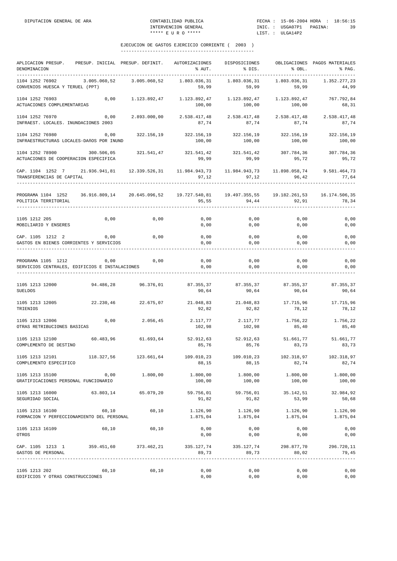| APLICACION PRESUP.<br>DENOMINACION                                        | PRESUP. INICIAL PRESUP. DEFINIT. |                     | AUTORIZACIONES<br>% AUT. | DISPOSICIONES<br>% DIS.      | % OBL.                 | OBLIGACIONES PAGOS MATERIALES<br>% PAG. |
|---------------------------------------------------------------------------|----------------------------------|---------------------|--------------------------|------------------------------|------------------------|-----------------------------------------|
| 1104 1252 76902<br>CONVENIOS HUESCA Y TERUEL (PPT)                        | 3.005.060,52                     | 3.005.060,52        | 1.803.036,31<br>59,99    | 1.803.036,31<br>59,99        | 1.803.036,31<br>59,99  | 1.352.277,23<br>44,99                   |
| 1104 1252 76903<br>ACTUACIONES COMPLEMENTARIAS                            | 0,00                             | 1.123.892,47        | 1.123.892,47<br>100,00   | 1.123.892,47<br>100,00       | 1.123.892,47<br>100,00 | 767.792,84<br>68,31                     |
| 1104 1252 76970<br>INFRAEST. LOCALES. INUNDACIONES 2003                   | 0,00                             | 2.893.000,00        | 2.538.417,48<br>87,74    | 2.538.417,48<br>87,74        | 2.538.417,48<br>87,74  | 2.538.417,48<br>87,74                   |
| 1104 1252 76980<br>INFRAESTRUCTURAS LOCALES-DAñOS POR INUND               | 0,00                             | 322.156,19          | 322.156,19<br>100,00     | 322.156,19<br>100,00         | 322.156,19<br>100,00   | 322.156,19<br>100,00                    |
| 1104 1252 78900<br>ACTUACIONES DE COOPERACION ESPECIFICA                  | 300.506,05                       | 321.541,47          | 321.541,42<br>99,99      | 321.541,42<br>99,99          | 307.784,36<br>95,72    | 307.784,36<br>95,72                     |
| CAP. 1104 1252 7 21.936.941,81 12.339.526,31<br>TRANSFERENCIAS DE CAPITAL |                                  |                     | 11.984.943,73<br>97,12   | 11.984.943,73<br>97,12       | 11.898.058,74<br>96,42 | 9.581.464,73<br>77,64                   |
| PROGRAMA 1104 1252<br>POLITICA TERRITORIAL                                | 36.916.809,14 20.645.096,52      |                     | 19.727.540,81<br>95,55   | 19.497.355,55<br>94,44       | 92,91                  | 19.182.261,53   16.174.506,35<br>78,34  |
| 1105 1212 205<br>MOBILIARIO Y ENSERES                                     | 0,00                             | 0,00                | 0,00<br>0,00             | 0,00<br>0,00                 | 0,00<br>0,00           | 0,00<br>0,00                            |
| CAP. 1105 1212 2<br>GASTOS EN BIENES CORRIENTES Y SERVICIOS               | 0,00                             | 0,00                | 0,00<br>0,00             | 0,00<br>0,00                 | 0,00<br>0,00           | 0,00<br>0,00                            |
| PROGRAMA 1105 1212<br>SERVICIOS CENTRALES, EDIFICIOS E INSTALACIONES      | 0,00                             | 0,00                | 0,00<br>0,00             | 0,00<br>0,00                 | 0,00<br>0,00           | 0,00<br>0,00                            |
| 1105 1213 12000<br><b>SUELDOS</b>                                         | 94.486,28                        | 96.376,01           | 87.355,37<br>90,64       | 87.355,37 87.355,37<br>90,64 | 90,64                  | 87.355,37<br>90,64                      |
| 1105 1213 12005<br>TRIENIOS                                               | 22.230,46                        | 22.675,07           | 21.048,83<br>92,82       | 21.048,83<br>92,82           | 17.715,96<br>78,12     | 17.715,96<br>78,12                      |
| 1105 1213 12006<br>OTRAS RETRIBUCIONES BASICAS                            | 0,00                             | 2.056,45            | 2.117,77<br>102,98       | 2.117,77<br>102,98           | 1.756,22<br>85,40      | 1.756,22<br>85,40                       |
| 1105 1213 12100<br>COMPLEMENTO DE DESTINO                                 | 60.483,96                        | 61.693,64           | 52.912,63<br>85,76       | 52.912,63<br>85,76           | 51.661,77<br>83,73     | 51.661,77<br>83,73                      |
| 1105 1213 12101<br>COMPLEMENTO ESPECIFICO                                 | 118.327,56                       | 123.661,64          | 109.010,23<br>88,15      | 109.010,23<br>88,15          | 102.318,97<br>82,74    | 102.318,97<br>82,74                     |
| 1105 1213 15100<br>GRATIFICACIONES PERSONAL FUNCIONARIO                   | 0,00                             | 1,800,00            | 1,800,00<br>100,00       | 1.800,00<br>100,00           | 1.800,00<br>100,00     | 1,800,00<br>100,00                      |
| 1105 1213 16000<br>SEGURIDAD SOCIAL                                       |                                  | 63.803,14 65.079,20 | 59.756,01<br>91,82       | 59.756,01<br>91,82           | 35.142,51<br>53,99     | 32.984,92<br>50,68                      |
| 1105 1213 16100<br>FORMACION Y PERFECCIONAMIENTO DEL PERSONAL             | 60,10                            | 60,10               | 1.126,90<br>1.875,04     | 1.126,90<br>1.875,04         | 1.126,90<br>1.875,04   | 1.126,90<br>1.875,04                    |
| 1105 1213 16109<br>OTROS                                                  | 60,10                            | 60,10               | 0,00<br>0,00             | 0,00<br>0,00                 | 0,00<br>0,00           | 0,00<br>0,00                            |
| CAP. 1105 1213 1 359.451,60 373.462,21<br>GASTOS DE PERSONAL              |                                  |                     | 335.127,74<br>89,73      | 335.127,74<br>89,73          | 298.877,70<br>80,02    | 296.720,11<br>79,45<br>-------------    |
| 1105 1213 202<br>EDIFICIOS Y OTRAS CONSTRUCCIONES                         | 60,10                            | 60,10               | 0,00<br>0,00             | 0,00<br>0,00                 | 0,00<br>0,00           | 0,00<br>0,00                            |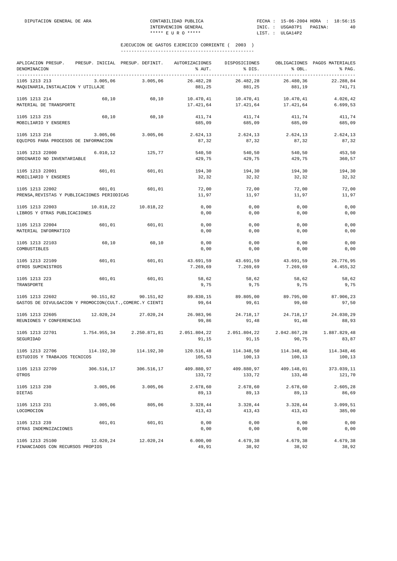| APLICACION PRESUP.<br>DENOMINACION                                          |            | PRESUP. INICIAL PRESUP. DEFINIT. | AUTORIZACIONES<br>% AUT. | DISPOSICIONES<br>% DIS.                         | % OBL.                 | OBLIGACIONES PAGOS MATERIALES<br>% PAG. |
|-----------------------------------------------------------------------------|------------|----------------------------------|--------------------------|-------------------------------------------------|------------------------|-----------------------------------------|
| 1105 1213 213<br>MAQUINARIA, INSTALACION Y UTILLAJE                         | 3.005,06   | 3.005,06                         | 26.482,28<br>881,25      | 26.482,28<br>881,25                             | 26.480,36<br>881,19    | 22.288,84<br>741,71                     |
| 1105 1213 214<br>MATERIAL DE TRANSPORTE                                     | 60,10      | 60,10                            | 10.470,41<br>17.421,64   | 10.470,41<br>17.421,64                          | 10.470,41<br>17.421,64 | 4.026,42<br>6.699, 53                   |
| 1105 1213 215<br>MOBILIARIO Y ENSERES                                       | 60,10      | 60, 10                           | 411,74<br>685,09         | 411,74<br>685,09                                | 411,74<br>685,09       | 411,74<br>685,09                        |
| 1105 1213 216<br>EQUIPOS PARA PROCESOS DE INFORMACION                       | 3.005,06   | 3.005,06                         | 2.624,13<br>87,32        | 2.624,13<br>87,32                               | 2.624,13<br>87,32      | 2.624,13<br>87,32                       |
| 1105 1213 22000<br>ORDINARIO NO INVENTARIABLE                               | 6.010, 12  | 125,77                           | 540,50<br>429,75         | 540,50<br>429,75                                | 540,50<br>429,75       | 453,50<br>360,57                        |
| 1105 1213 22001<br>MOBILIARIO Y ENSERES                                     | 601,01     | 601,01                           | 194,30<br>32,32          | 194,30<br>32,32                                 | 194,30<br>32,32        | 194,30<br>32,32                         |
| 1105 1213 22002<br>PRENSA, REVISTAS Y PUBLICACIONES PERIODICAS              | 601,01     | 601,01                           | 72,00<br>11,97           | 72,00<br>11,97                                  | 72,00<br>11,97         | 72,00<br>11,97                          |
| 1105 1213 22003<br>LIBROS Y OTRAS PUBLICACIONES                             | 10.818,22  | 10.818,22                        | 0,00<br>0,00             | 0,00<br>0,00                                    | 0,00<br>0,00           | 0,00<br>0,00                            |
| 1105 1213 22004<br>MATERIAL INFORMATICO                                     | 601,01     | 601,01                           | 0,00<br>0,00             | 0,00<br>0,00                                    | 0,00<br>0,00           | 0,00<br>0,00                            |
| 1105 1213 22103<br>COMBUSTIBLES                                             | 60,10      | 60,10                            | 0,00<br>0,00             | 0,00<br>0,00                                    | 0,00<br>0,00           | 0,00<br>0,00                            |
| 1105 1213 22109<br>OTROS SUMINISTROS                                        | 601,01     | 601,01                           | 43.691,59<br>7.269,69    | 43.691,59<br>7.269,69                           | 43.691,59<br>7.269,69  | 26.776,95<br>4.455,32                   |
| 1105 1213 223<br>TRANSPORTE                                                 | 601,01     | 601,01                           | 58,62<br>9,75            | 58,62<br>9,75                                   | 58,62<br>9,75          | 58,62<br>9,75                           |
| 1105 1213 22602<br>GASTOS DE DIVULGACION Y PROMOCION(CULT., COMERC.Y CIENTI | 90.151,82  | 90.151,82                        | 89.830,15<br>99,64       | 89.805,00<br>99,61                              | 89.795,00<br>99,60     | 87.906,23<br>97,50                      |
| 1105 1213 22605<br>REUNIONES Y CONFERENCIAS                                 |            | 12.020,24 27.020,24              | 26.983,96<br>99,86       | 24.718,17<br>91,48                              | 24.718,17<br>91,48     | 24.030,29<br>88,93                      |
| 1105 1213 22701<br>SEGURIDAD                                                |            | 1.754.955,34 2.250.871,81        | 91,15                    | 2.051.804,22 2.051.804,22 2.042.867,28<br>91,15 | 90,75                  | 1.887.829,48<br>83,87                   |
| 1105 1213 22706<br>ESTUDIOS Y TRABAJOS TECNICOS                             | 114.192,30 | 114.192,30                       | 120.516,48<br>105,53     | 114.348,50<br>100,13                            | 114.348,46<br>100,13   | 114.348,46<br>100,13                    |
| 1105 1213 22709<br>OTROS                                                    | 306.516,17 | 306.516,17                       | 409.880,97<br>133,72     | 409.880,97<br>133,72                            | 409.148,01<br>133,48   | 373.039,11<br>121,70                    |
| 1105 1213 230<br>DIETAS                                                     | 3.005,06   | 3.005,06                         | 2.678,60<br>89,13        | 2.678,60<br>89,13                               | 2.678,60<br>89,13      | 2.605,28<br>86,69                       |
| 1105 1213 231<br>LOCOMOCION                                                 | 3.005,06   | 805,06                           | 3.328,44<br>413,43       | 3.328,44<br>413,43                              | 3.328,44<br>413,43     | 3.099,51<br>385,00                      |
| 1105 1213 239<br>OTRAS INDEMNIZACIONES                                      | 601,01     | 601,01                           | 0,00<br>0,00             | 0,00<br>0,00                                    | 0,00<br>0,00           | 0,00<br>0,00                            |
| 1105 1213 25100<br>FINANCIADOS CON RECURSOS PROPIOS                         | 12.020,24  | 12.020,24                        | 6.000,00<br>49,91        | 4.679,38<br>38,92                               | 4.679,38<br>38,92      | 4.679,38<br>38,92                       |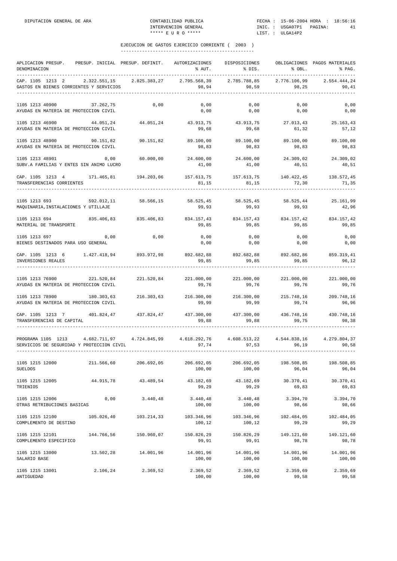| APLICACION PRESUP.<br>DENOMINACION<br>.                                                                                                       |            | PRESUP. INICIAL PRESUP. DEFINIT. | AUTORIZACIONES<br>% AUT.                         | DISPOSICIONES<br>% DIS. | % OBL.                         | OBLIGACIONES PAGOS MATERIALES<br>% PAG.<br>$- - - -$ |
|-----------------------------------------------------------------------------------------------------------------------------------------------|------------|----------------------------------|--------------------------------------------------|-------------------------|--------------------------------|------------------------------------------------------|
| CAP. 1105 1213 2<br>GASTOS EN BIENES CORRIENTES Y SERVICIOS                                                                                   |            |                                  | 2.322.551,15 2.825.383,27 2.795.568,39<br>98, 94 | 2.785.788,85<br>98,59   | 2.776.106,99<br>98,25          | 2.554.444,24<br>90,41                                |
| 1105 1213 40900<br>37.262,75<br>AYUDAS EN MATERIA DE PROTECCION CIVIL                                                                         |            | 0,00                             | 0,00<br>0,00                                     | 0,00<br>0,00            | 0,00<br>0,00                   | 0,00<br>0,00                                         |
| 1105 1213 46900<br>AYUDAS EN MATERIA DE PROTECCION CIVIL                                                                                      | 44.051,24  |                                  | 44.051,24 43.913,75<br>99,68                     | 43.913,75<br>99,68      | 27.013,43<br>61,32             | 25.163,43<br>57,12                                   |
| 1105 1213 48900<br>90.151,82<br>AYUDAS EN MATERIA DE PROTECCION CIVIL                                                                         |            | 90.151,82                        | 89.100,00<br>98,83                               | 89.100,00<br>98,83      | 89.100,00<br>98,83             | 89.100,00<br>98,83                                   |
| 1105 1213 48901<br>SUBV.A FAMILIAS Y ENTES SIN ANIMO LUCRO                                                                                    | 0,00       | 60.000,00                        | $24.600,00$ $24.600,00$ $24.309,02$<br>41,00     | 41,00                   | 40,51                          | 24.309,02<br>40,51                                   |
| CAP. 1105 1213 4 171.465,81 194.203,06<br>TRANSFERENCIAS CORRIENTES                                                                           |            |                                  | 157.613,75<br>81,15                              | 157.613,75<br>81,15     | 140.422,45<br>72, 30           | 138.572,45<br>71,35                                  |
| 1105 1213 693<br>MAQUINARIA, INSTALACIONES Y UTILLAJE                                                                                         |            | 592.012.11 58.566.15             | 58.525,45<br>99,93                               | 58.525,45<br>99,93      | 58.525,44<br>99,93             | 25.161,99<br>42,96                                   |
| 1105 1213 694<br>MATERIAL DE TRANSPORTE                                                                                                       |            |                                  | 835.406,83 835.406,83 834.157,43<br>99,85        | 99,85                   | 834.157,43 834.157,42<br>99,85 | 834.157,42<br>99,85                                  |
| 1105 1213 697<br>BIENES DESTINADOS PARA USO GENERAL                                                                                           | 0,00       | 0,00                             | 0,00<br>0,00                                     | 0,00<br>0,00            | 0,00<br>0,00                   | 0,00<br>0,00                                         |
| CAP. 1105 1213 6 1.427.418,94 893.972,98 892.682,88 892.682,88 892.682,86 859.319,41<br>INVERSIONES REALES                                    |            |                                  | 99,85                                            | 99,85                   | 99,85                          | 96,12                                                |
| 221.520,84<br>1105 1213 76900<br>AYUDAS EN MATERIA DE PROTECCION CIVIL                                                                        |            |                                  | 221.520,84 221.000,00<br>99,76                   | 221.000,00<br>99,76     | 221.000,00<br>99,76            | 221.000,00<br>99,76                                  |
| 1105 1213 78900<br>180.303,63<br>AYUDAS EN MATERIA DE PROTECCION CIVIL                                                                        |            | 216.303,63                       | 216.300,00<br>99,99                              | 216.300,00<br>99,99     | 215.748,16<br>99,74            | 209.748,16<br>96,96                                  |
| CAP. 1105 1213 7 401.824,47 437.824,47 437.300,00 437.300,00 436.748,16 430.748,16<br>TRANSFERENCIAS DE CAPITAL                               |            |                                  | 99,88                                            | 99,88                   | 99,75                          | 98,38                                                |
| PROGRAMA 1105 1213 4.682.711,97 4.724.845,99 4.618.292,76 4.608.513,22 4.544.838,16 4.279.804,37<br>SERVICIOS DE SEGURIDAD Y PROTECCION CIVIL |            |                                  | 97,74                                            | 97,53                   | 96,19                          | 90,58                                                |
| 1105 1215 12000<br><b>SUELDOS</b>                                                                                                             | 211.566,60 | 206.692,05                       | 206.692,05<br>100,00                             | 206.692,05<br>100,00    | 198.508,85<br>96,04            | 198.508,85<br>96,04                                  |
| 1105 1215 12005<br>TRIENIOS                                                                                                                   | 44.915,78  | 43.489,54                        | 43.182,69<br>99,29                               | 43.182,69<br>99,29      | 30.370,41<br>69,83             | 30.370,41<br>69,83                                   |
| 1105 1215 12006<br>OTRAS RETRIBUCIONES BASICAS                                                                                                | 0,00       | 3.440,48                         | 3.440,48<br>100,00                               | 3.440, 48<br>100,00     | 3.394,70<br>98,66              | 3.394,70<br>98,66                                    |
| 1105 1215 12100<br>COMPLEMENTO DE DESTINO                                                                                                     | 105.026,40 | 103.214,33                       | 103.346,96<br>100,12                             | 103.346,96<br>100,12    | 102.484,05<br>99,29            | 102.484,05<br>99,29                                  |
| 1105 1215 12101<br>COMPLEMENTO ESPECIFICO                                                                                                     | 144.766,56 | 150.960,07                       | 150.826,29<br>99,91                              | 150.826,29<br>99,91     | 149.121,60<br>98,78            | 149.121,60<br>98,78                                  |
| 1105 1215 13000<br>SALARIO BASE                                                                                                               | 13.502,28  | 14.001,96                        | 14.001,96<br>100,00                              | 14.001,96<br>100,00     | 14.001,96<br>100,00            | 14.001,96<br>100,00                                  |
| 1105 1215 13001<br>ANTIGUEDAD                                                                                                                 | 2.106,24   | 2.369,52                         | 2.369,52<br>100,00                               | 2.369,52<br>100,00      | 2.359,69<br>99,58              | 2.359,69<br>99,58                                    |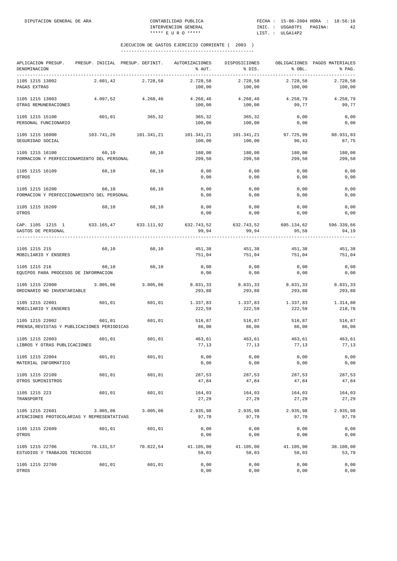| APLICACION PRESUP.<br>DENOMINACION                             |            | PRESUP. INICIAL PRESUP. DEFINIT. | AUTORIZACIONES<br>% AUT. | DISPOSICIONES<br>% DIS.<br>---------------------------- | % OBL.              | OBLIGACIONES PAGOS MATERIALES<br>% PAG.<br>---------------------------------- |
|----------------------------------------------------------------|------------|----------------------------------|--------------------------|---------------------------------------------------------|---------------------|-------------------------------------------------------------------------------|
| 1105 1215 13002<br>PAGAS EXTRAS                                | 2.601,42   | 2.728,58                         | 2.728,58<br>100,00       | 2.728,58<br>100,00                                      | 2.728,58<br>100,00  | 2.728,58<br>100,00                                                            |
| 1105 1215 13003<br>OTRAS REMUNERACIONES                        | 4.097,52   | 4.268,46                         | 4.268,46<br>100,00       | 4.268,46<br>100,00                                      | 4.258,79<br>99,77   | 4.258,79<br>99,77                                                             |
| 1105 1215 15100<br>PERSONAL FUNCIONARIO                        | 601,01     | 365,32                           | 365,32<br>100,00         | 365,32<br>100,00                                        | 0,00<br>0,00        | 0,00<br>0,00                                                                  |
| 1105 1215 16000<br>SEGURIDAD SOCIAL                            | 103.741,26 | 101.341,21                       | 101.341,21<br>100,00     | 101.341,21<br>100,00                                    | 97.725,99<br>96,43  | 88.931,03<br>87,75                                                            |
| 1105 1215 16100<br>FORMACION Y PERFECCIONAMIENTO DEL PERSONAL  | 60,10      | 60,10                            | 180,00<br>299,50         | 180,00<br>299,50                                        | 180,00<br>299,50    | 180,00<br>299,50                                                              |
| 1105 1215 16109<br>OTROS                                       | 60,10      | 60,10                            | 0,00<br>0,00             | 0,00<br>0,00                                            | 0,00<br>0,00        | 0,00<br>0,00                                                                  |
| 1105 1215 16200<br>FORMACION Y PERFECCIONAMIENTO DEL PERSONAL  | 60,10      | 60,10                            | 0,00<br>0,00             | 0,00<br>0,00                                            | 0,00<br>0,00        | 0,00<br>0,00                                                                  |
| 1105 1215 16209<br>OTROS                                       | 60,10      | 60,10                            | 0,00<br>0,00             | 0,00<br>0,00                                            | 0,00<br>0,00        | 0,00<br>0,00                                                                  |
| CAP. 1105 1215 1<br>GASTOS DE PERSONAL                         | 633.165,47 | 633.111,92                       | 632.743,52<br>99,94      | 632.743,52<br>99,94                                     | 605.134,62<br>95,58 | 596.339,66<br>94,19                                                           |
| 1105 1215 215<br>MOBILIARIO Y ENSERES                          | 60,10      | 60,10                            | 451,38<br>751,04         | 451,38<br>751,04                                        | 451,38<br>751,04    | 451,38<br>751,04                                                              |
| 1105 1215 216<br>EQUIPOS PARA PROCESOS DE INFORMACION          | 60, 10     | 60,10                            | 0,00<br>0,00             | 0,00<br>0,00                                            | 0,00<br>0,00        | 0,00<br>0,00                                                                  |
| 1105 1215 22000<br>ORDINARIO NO INVENTARIABLE                  | 3.005,06   | 3.005,06                         | 8.831,33<br>293,88       | 8.831,33<br>293,88                                      | 8.831,33<br>293,88  | 8.831,33<br>293,88                                                            |
| 1105 1215 22001<br>MOBILIARIO Y ENSERES                        | 601,01     | 601,01                           | 1.337,83<br>222,59       | 1.337,83<br>222,59                                      | 1.337,83<br>222,59  | 1.314,80<br>218,76                                                            |
| 1105 1215 22002<br>PRENSA, REVISTAS Y PUBLICACIONES PERIODICAS | 601,01     | 601,01                           | 516,87<br>86,00          | 516,87<br>86,00                                         | 516,87<br>86,00     | 516,87<br>86,00                                                               |
| 1105 1215 22003<br>LIBROS Y OTRAS PUBLICACIONES                | 601,01     | 601,01                           | 463,61<br>77,13          | 463,61<br>77,13                                         | 463,61<br>77,13     | 463,61<br>77,13                                                               |
| 1105 1215 22004<br>MATERIAL INFORMATICO                        | 601,01     | 601,01                           | 0,00<br>0,00             | 0,00<br>0,00                                            | 0,00<br>0,00        | 0,00<br>0,00                                                                  |
| 1105 1215 22109<br>OTROS SUMINISTROS                           | 601,01     | 601,01                           | 287,53<br>47,84          | 287,53<br>47,84                                         | 287,53<br>47,84     | 287,53<br>47,84                                                               |
| 1105 1215 223<br>TRANSPORTE                                    | 601,01     | 601,01                           | 164,03<br>27,29          | 164,03<br>27,29                                         | 164,03<br>27,29     | 164,03<br>27,29                                                               |
| 1105 1215 22601<br>ATENCIONES PROTOCOLARIAS Y REPRESENTATIVAS  | 3.005,06   | 3.005,06                         | 2.935,98<br>97,70        | 2.935,98<br>97,70                                       | 2.935,98<br>97,70   | 2.935,98<br>97,70                                                             |
| 1105 1215 22609<br>OTROS                                       | 601,01     | 601,01                           | 0,00<br>0,00             | 0,00<br>0,00                                            | 0,00<br>0,00        | 0,00<br>0,00                                                                  |
| 1105 1215 22706<br>ESTUDIOS Y TRABAJOS TECNICOS                | 78.131,57  | 70.822,54                        | 41.105,00<br>58,03       | 41.105,00<br>58,03                                      | 41.105,00<br>58,03  | 38.100,00<br>53,79                                                            |
| 1105 1215 22709<br>OTROS                                       | 601,01     | 601,01                           | 0,00<br>0,00             | 0,00<br>0,00                                            | 0,00<br>0,00        | 0,00<br>0,00                                                                  |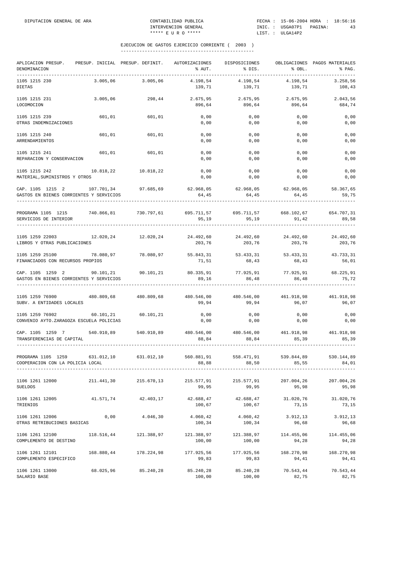| APLICACION PRESUP.<br>DENOMINACION<br>.                                          |            | PRESUP. INICIAL PRESUP. DEFINIT. | AUTORIZACIONES<br>% AUT.                         | DISPOSICIONES<br>% DIS.                              | % OBL.              | OBLIGACIONES PAGOS MATERIALES<br>% PAG.<br>-------------- |
|----------------------------------------------------------------------------------|------------|----------------------------------|--------------------------------------------------|------------------------------------------------------|---------------------|-----------------------------------------------------------|
| 1105 1215 230<br><b>DIETAS</b>                                                   | 3.005,06   | 3.005,06                         | 4.198,54<br>139,71                               | 4.198,54<br>139,71                                   | 4.198,54<br>139,71  | 3.258,56<br>108,43                                        |
| 1105 1215 231<br>LOCOMOCION                                                      | 3.005,06   | 298.44                           | 2.675,95<br>896,64                               | 2.675,95<br>896,64                                   | 2.675,95<br>896,64  | 2.043,56<br>684,74                                        |
| 1105 1215 239<br>OTRAS INDEMNIZACIONES                                           | 601,01     | 601,01                           | 0,00<br>0,00                                     | 0,00<br>0,00                                         | 0,00<br>0,00        | 0,00<br>0,00                                              |
| 1105 1215 240<br>ARRENDAMIENTOS                                                  | 601,01     | 601,01                           | 0,00<br>0,00                                     | 0,00<br>0,00                                         | 0,00<br>0,00        | 0,00<br>0,00                                              |
| 1105 1215 241<br>REPARACION Y CONSERVACION                                       | 601,01     | 601,01                           | 0,00<br>0,00                                     | 0,00<br>0,00                                         | 0,00<br>0,00        | 0,00<br>0,00                                              |
| 1105 1215 242<br>MATERIAL, SUMINISTROS Y OTROS                                   |            | 10.818,22 10.818,22              | 0,00<br>0,00                                     | 0,00<br>0,00                                         | 0,00<br>0,00        | 0,00<br>0,00                                              |
| CAP. 1105 1215 2 107.701,34 97.685,69<br>GASTOS EN BIENES CORRIENTES Y SERVICIOS |            |                                  | 62.968,05 62.968,05 62.968,05 58.367,65<br>64,45 | 64,45                                                | 64,45               | 59,75                                                     |
| PROGRAMA 1105 1215 740.866,81 730.797,61<br>SERVICIOS DE INTERIOR                |            |                                  | 95,19                                            | 695.711,57 695.711,57 668.102,67 654.707,31<br>95,19 | 91,42               | 89,58                                                     |
| 1105 1259 22003<br>LIBROS Y OTRAS PUBLICACIONES                                  |            | 12.020,24 12.020,24              | 24.492,60<br>203,76                              | 24.492,60 24.492,60<br>203,76                        | 203,76              | 24.492,60<br>203,76                                       |
| 1105 1259 25100<br>FINANCIADOS CON RECURSOS PROPIOS                              | 78.080,97  | 78.080,97                        | 55.843,31<br>71,51                               | 53.433,31<br>68,43                                   | 53.433,31<br>68,43  | 43.733,31<br>56,01                                        |
| CAP. 1105 1259 2<br>GASTOS EN BIENES CORRIENTES Y SERVICIOS                      |            | 90.101,21 90.101,21              | 89,16                                            | 80.335,91 77.925,91<br>86,48                         | 77.925,91<br>86,48  | 68.225,91<br>75,72                                        |
| 1105 1259 76900<br>SUBV. A ENTIDADES LOCALES                                     |            | 480.809,68 480.809,68            | 480.546,00<br>99,94                              | 480.546,00<br>99,94                                  | 461.918,98<br>96,07 | 461.918,98<br>96,07                                       |
| 1105 1259 76902<br>CONVENIO AYTO. ZARAGOZA ESCUELA POLICIAS                      | 60.101, 21 | 60.101,21                        | 0,00<br>0,00                                     | 0,00<br>0,00                                         | 0,00<br>0,00        | 0,00<br>0,00                                              |
| CAP. 1105 1259 7 540.910,89<br>TRANSFERENCIAS DE CAPITAL                         |            | 540.910,89                       | 88,84                                            | 480.546,00 480.546,00 461.918,98<br>88,84            | 85,39               | 461.918,98<br>85,39                                       |
| PROGRAMA 1105 1259<br>COOPERACION CON LA POLICIA LOCAL                           | 631.012,10 | 631.012,10                       | 560.881,91<br>88,88                              | 558.471,91<br>88,50                                  | 539.844,89<br>85,55 | 530.144,89<br>84,01                                       |
| 1106 1261 12000<br><b>SUELDOS</b>                                                | 211.441,30 | 215.670,13                       | 215.577,91<br>99,95                              | 215.577,91<br>99,95                                  | 207.004,26<br>95,98 | 207.004,26<br>95,98                                       |
| 1106 1261 12005<br>TRIENIOS                                                      | 41.571,74  | 42.403,17                        | 42.688,47<br>100,67                              | 42.688,47<br>100,67                                  | 31.020,76<br>73,15  | 31.020,76<br>73,15                                        |
| 1106 1261 12006<br>OTRAS RETRIBUCIONES BASICAS                                   | 0,00       | 4.046,30                         | 4.060,42<br>100,34                               | 4.060,42<br>100,34                                   | 3.912,13<br>96,68   | 3.912,13<br>96,68                                         |
| 1106 1261 12100<br>COMPLEMENTO DE DESTINO                                        | 118.516,44 | 121.388,97                       | 121.388,97<br>100,00                             | 121.388,97<br>100,00                                 | 114.455,06<br>94,28 | 114.455,06<br>94,28                                       |
| 1106 1261 12101<br>COMPLEMENTO ESPECIFICO                                        | 168.880,44 | 178.224,98                       | 177.925,56<br>99,83                              | 177.925,56<br>99,83                                  | 168.270,98<br>94,41 | 168.270,98<br>94,41                                       |
| 1106 1261 13000<br>SALARIO BASE                                                  | 68.025,96  | 85.240,28                        | 85.240,28<br>100,00                              | 85.240,28<br>100,00                                  | 70.543,44<br>82,75  | 70.543,44<br>82,75                                        |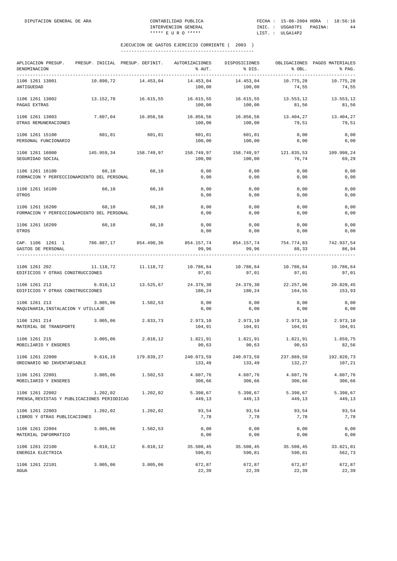| APLICACION PRESUP.<br>DENOMINACION                             | PRESUP. INICIAL PRESUP. DEFINIT. |                     | AUTORIZACIONES<br>% AUT.        | DISPOSICIONES<br>% DIS. | % OBL.               | OBLIGACIONES PAGOS MATERIALES<br>% PAG. |
|----------------------------------------------------------------|----------------------------------|---------------------|---------------------------------|-------------------------|----------------------|-----------------------------------------|
| 1106 1261 13001<br>ANTIGUEDAD                                  | 10.890,72                        | 14.453,04           | 14.453,04<br>100,00             | 14.453,04<br>100,00     | 10.775,28<br>74,55   | 10.775,28<br>74,55                      |
| 1106 1261 13002<br>PAGAS EXTRAS                                | 13.152,78                        | 16.615,55           | 16.615,55<br>100,00             | 16.615,55<br>100,00     | 13.553,12<br>81,56   | 13.553,12<br>81,56                      |
| 1106 1261 13003<br>OTRAS REMUNERACIONES                        | 7.607,04                         | 16.856,56           | 16.856,56<br>100,00             | 16.856,56<br>100,00     | 13.404,27<br>79,51   | 13.404,27<br>79,51                      |
| 1106 1261 15100<br>PERSONAL FUNCIONARIO                        | 601,01                           | 601,01              | 601,01<br>100,00                | 601,01<br>100,00        | 0,00<br>0,00         | 0,00<br>0,00                            |
| 1106 1261 16000<br>SEGURIDAD SOCIAL                            | 145.959,34                       | 158.749,97          | 158.749,97 158.749,97<br>100,00 | 100,00                  | 121.835,53<br>76,74  | 109.998,24<br>69,29                     |
| 1106 1261 16100<br>FORMACION Y PERFECCIONAMIENTO DEL PERSONAL  | 60,10                            | 60,10               | 0,00<br>0,00                    | 0,00<br>0,00            | 0,00<br>0,00         | 0,00<br>0,00                            |
| 1106 1261 16109<br>OTROS                                       | 60,10                            | 60,10               | 0,00<br>0,00                    | 0,00<br>0,00            | 0,00<br>0,00         | 0,00<br>0,00                            |
| 1106 1261 16200<br>FORMACION Y PERFECCIONAMIENTO DEL PERSONAL  | 60.10                            | 60,10               | 0,00<br>0,00                    | 0,00<br>0,00            | 0,00<br>0,00         | 0,00<br>0,00                            |
| 1106 1261 16209<br>OTROS                                       | 60,10                            | 60,10               | 0,00<br>0,00                    | 0,00<br>0,00            | 0,00<br>0,00         | 0,00<br>0,00                            |
| CAP. 1106 1261 1<br>GASTOS DE PERSONAL                         | 786.887,17 854.490,36            |                     | 854.157,74 854.157,74<br>99,96  | 99,96                   | 754.774,83<br>88,33  | 742.937,54<br>86,94                     |
| 1106 1261 202<br>EDIFICIOS Y OTRAS CONSTRUCCIONES              |                                  | 11.118,72 11.118,72 | 10.786,64<br>97,01              | 10.786,64<br>97,01      | 10.786,64<br>97,01   | 10.786,64<br>97,01                      |
| 1106 1261 212<br>EDIFICIOS Y OTRAS CONSTRUCCIONES              | 6.010, 12                        | 13.525,67           | 24.379,30<br>180,24             | 24.379,30<br>180,24     | 22.257,06<br>164,55  | 20.820,45<br>153,93                     |
| 1106 1261 213<br>MAQUINARIA, INSTALACION Y UTILLAJE            | 3.005,06                         | 1.502,53            | 0,00<br>0,00                    | 0,00<br>0,00            | 0,00<br>0,00         | 0,00<br>0,00                            |
| 1106 1261 214<br>MATERIAL DE TRANSPORTE                        | 3.005,06                         | 2.833,73            | 2.973,10<br>104,91              | 2.973,10<br>104,91      | 2.973,10<br>104,91   | 2.973,10<br>104,91                      |
| 1106 1261 215<br>MOBILIARIO Y ENSERES                          | 3.005,06                         | 2.010, 12           | 1.821,91<br>90,63               | 1.821,91<br>90,63       | 1.821,91<br>90,63    | 1.659,75<br>82,56                       |
| 1106 1261 22000<br>ORDINARIO NO INVENTARIABLE                  | 9.616,19                         | 179.839,27          | 240.073,59<br>133,49            | 240.073,59<br>133,49    | 237.889,59<br>132,27 | 192.820,73<br>107,21                    |
| 1106 1261 22001<br>MOBILIARIO Y ENSERES                        | 3.005,06                         | 1.502,53            | 4.607,76<br>306,66              | 4.607,76<br>306,66      | 4.607,76<br>306,66   | 4.607,76<br>306,66                      |
| 1106 1261 22002<br>PRENSA, REVISTAS Y PUBLICACIONES PERIODICAS | 1.202,02                         | 1.202,02            | 5.398,67<br>449,13              | 5.398,67<br>449,13      | 5.398,67<br>449,13   | 5.398,67<br>449,13                      |
| 1106 1261 22003<br>LIBROS Y OTRAS PUBLICACIONES                |                                  | 1.202,02 1.202,02   | 93,54<br>7,78                   | 93,54<br>7,78           | 93,54<br>7,78        | 93,54<br>7,78                           |
| 1106 1261 22004<br>MATERIAL INFORMATICO                        | 3.005,06                         | 1.502,53            | 0,00<br>0,00                    | 0,00<br>0,00            | 0,00<br>0,00         | 0,00<br>0,00                            |
| 1106 1261 22100<br>ENERGIA ELECTRICA                           | 6.010, 12                        | 6.010, 12           | 35.508,45<br>590,81             | 35.508,45<br>590,81     | 35.508,45<br>590,81  | 33.821,01<br>562,73                     |
| 1106 1261 22101<br>AGUA                                        | 3.005,06                         | 3.005,06            | 672,87<br>22,39                 | 672,87<br>22,39         | 672,87<br>22,39      | 672,87<br>22,39                         |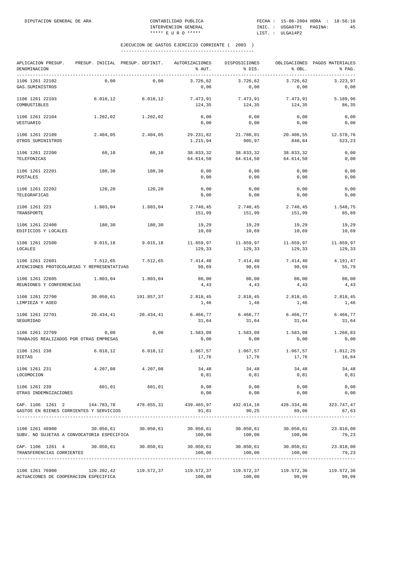| APLICACION PRESUP.<br>DENOMINACION                                                                                             |            | PRESUP. INICIAL PRESUP. DEFINIT. | AUTORIZACIONES<br>% AUT.                | DISPOSICIONES<br>% DIS. | % OBL.                 | OBLIGACIONES PAGOS MATERIALES<br>% PAG. |
|--------------------------------------------------------------------------------------------------------------------------------|------------|----------------------------------|-----------------------------------------|-------------------------|------------------------|-----------------------------------------|
| 1106 1261 22102<br>GAS. SUMINISTROS                                                                                            | 0,00       | 0,00                             | 3.726,62<br>0,00                        | 3.726,62<br>0,00        | 3.726,62<br>0,00       | 3.223,97<br>0,00                        |
| 1106 1261 22103<br>COMBUSTIBLES                                                                                                | 6.010, 12  | 6.010, 12                        | 7.473,91<br>124,35                      | 7.473,91<br>124,35      | 7.473,91<br>124,35     | 5.189,96<br>86,35                       |
| 1106 1261 22104<br>VESTUARIO                                                                                                   | 1.202,02   | 1.202,02                         | 0,00<br>0,00                            | 0,00<br>0,00            | 0,00<br>0,00           | 0,00<br>0,00                            |
| 1106 1261 22109<br>OTROS SUMINISTROS                                                                                           | 2.404,05   | 2.404,05                         | 29.231,82<br>1.215,94                   | 21.780,01<br>905,97     | 20.406,55<br>848,84    | 12.578,76<br>523,23                     |
| 1106 1261 22200<br>TELEFONICAS                                                                                                 | 60,10      | 60,10                            | 38.833,32<br>64.614,50                  | 38.833,32<br>64.614,50  | 38.833,32<br>64.614,50 | 0,00<br>0,00                            |
| 1106 1261 22201<br>POSTALES                                                                                                    | 180,30     | 180,30                           | 0,00<br>0,00                            | 0,00<br>0,00            | 0,00<br>0,00           | 0,00<br>0,00                            |
| 1106 1261 22202<br>TELEGRAFICAS                                                                                                | 120,20     | 120,20                           | 0,00<br>0,00                            | 0,00<br>0,00            | 0,00<br>0,00           | 0,00<br>0,00                            |
| 1106 1261 223<br>TRANSPORTE                                                                                                    | 1.803,04   | 1.803,04                         | 2.740,45<br>151,99                      | 2.740,45<br>151,99      | 2.740,45<br>151,99     | 1.548,75<br>85,89                       |
| 1106 1261 22400<br>EDIFICIOS Y LOCALES                                                                                         | 180,30     | 180,30                           | 19,29<br>10,69                          | 19,29<br>10,69          | 19,29<br>10,69         | 19,29<br>10,69                          |
| 1106 1261 22500<br>LOCALES                                                                                                     | 9.015,18   | 9.015, 18                        | 11.659,97<br>129,33                     | 11.659,97<br>129,33     | 11.659,97<br>129,33    | 11.659,97<br>129,33                     |
| 1106 1261 22601<br>ATENCIONES PROTOCOLARIAS Y REPRESENTATIVAS                                                                  | 7.512,65   | 7.512,65                         | 7.414,40<br>98,69                       | 7.414,40<br>98,69       | 7.414,40<br>98,69      | 4.191,47<br>55,79                       |
| 1106 1261 22605<br>REUNIONES Y CONFERENCIAS                                                                                    | 1.803,04   | 1.803,04                         | 80,00<br>4,43                           | 80,00<br>4,43           | 80,00<br>4,43          | 80,00<br>4,43                           |
| 1106 1261 22700<br>LIMPIEZA Y ASEO                                                                                             | 30.050,61  | 191.857,37                       | 2.818,45<br>1,46                        | 2.818,45<br>1,46        | 2.818,45<br>1,46       | 2.818,45<br>1,46                        |
| 1106 1261 22701<br>SEGURIDAD                                                                                                   | 20.434,41  | 20.434,41                        | 6.466,77<br>31,64                       | 6.466,77<br>31,64       | 6.466,77<br>31,64      | 6.466,77<br>31,64                       |
| 1106 1261 22709<br>TRABAJOS REALIZADOS POR OTRAS EMPRESAS                                                                      | 0,00       | 0,00                             | 1.583,09<br>0,00                        | 1.583,09<br>0,00        | 1.583,09<br>0,00       | 1.268,83<br>0,00                        |
| 1106 1261 230<br><b>DIETAS</b>                                                                                                 | 6.010, 12  | 6.010, 12                        | 1.067,57<br>17,76                       | 1.067,57<br>17,76       | 1.067,57<br>17,76      | 1.012,25<br>16,84                       |
| 1106 1261 231<br>LOCOMOCION                                                                                                    |            | $4.207,08$ $4.207,08$            | 34,48<br>0,81                           | $34,48$<br>0,81         | 34,48<br>0,81          | 34,48<br>0,81                           |
| 1106 1261 239<br>OTRAS INDEMNIZACIONES                                                                                         | 601,01     | 601,01                           | 0,00<br>0,00                            | 0,00<br>0,00            | 0,00<br>0,00           | 0,00<br>0,00                            |
| CAP. 1106 1261 2 144.783,78 478.655,31 439.465,97 432.014,16 426.334,46 323.747,47<br>GASTOS EN BIENES CORRIENTES Y SERVICIOS  |            |                                  | 91,81                                   | 90, 25                  | 89,06                  | 67,63                                   |
| 1106 1261 48900<br>SUBV. NO SUJETAS A CONVOCATORIA ESPECIFICA                                                                  |            | 30.050,61 30.050,61              | 30.050,61 30.050,61 30.050,61<br>100,00 | 100,00                  | 100,00                 | 23.810,00<br>79,23                      |
| $\texttt{CAP. 1106}$ 1261 4 30.050,61 30.050,61 30.050,61 30.050,61 30.050,61 30.050,61 23.810,00<br>TRANSFERENCIAS CORRIENTES |            |                                  | 100,00                                  | 100,00                  | 100,00                 | 79,23                                   |
| 1106 1261 76900<br>ACTUACIONES DE COOPERACION ESPECIFICA                                                                       | 120.202,42 |                                  | 119.572,37 119.572,37                   | 119.572,37              | 119.572,36             | 119.572,36<br>99,99                     |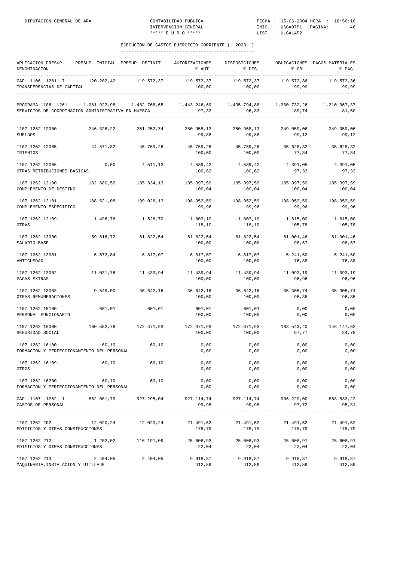| APLICACION PRESUP. PRESUP. INICIAL PRESUP. DEFINIT. AUTORIZACIONES DISPOSICIONES<br>DENOMINACION                                                             |            |                   |                                                                                  | $\text{\$~AUT$}.$ $\text{\$~DIS$}.$ $\text{\$~OBL$}.$ |                      | OBLIGACIONES PAGOS MATERIALES<br>% PAG. |
|--------------------------------------------------------------------------------------------------------------------------------------------------------------|------------|-------------------|----------------------------------------------------------------------------------|-------------------------------------------------------|----------------------|-----------------------------------------|
| CAP. 1106 1261 7 120.202,42<br>TRANSFERENCIAS DE CAPITAL                                                                                                     |            | 119.572,37        | 119.572,37     119.572,37     119.572,36     119.572,36                          |                                                       |                      |                                         |
| PROGRAMA 1106 1261  1.081.923,98  1.482.768,65  1.443.246,69  1.435.794,88  1.330.732,26  1.210.067,37<br>SERVICIOS DE COORDINACION ADMINISTRATIVA EN HUESCA |            |                   |                                                                                  |                                                       |                      |                                         |
| 1107 1262 12000<br><b>SUELDOS</b>                                                                                                                            | 246.326,22 |                   | 251.252,74 250.958,13 250.958,13 249.059,06<br>99,88                             | 99,88                                                 | 99,12                | 249.059,06<br>99,12                     |
| 1107 1262 12005 44.871,82 45.769,26<br>TRIENIOS                                                                                                              |            |                   | 100,00                                                                           | 45.769,26 45.769,26 35.628,32<br>100,00               | 77,84                | 35.628,32<br>77,84                      |
| 1107 1262 12006<br>OTRAS RETRIBUCIONES BASICAS                                                                                                               |            |                   | $0,00$ $4.511,13$ $4.539,42$ $4.539,42$ $4.391,05$<br>100,62                     | 100,62                                                | 97,33                | 4.391,05<br>97,33                       |
| 1107 1262 12100<br>COMPLEMENTO DE DESTINO                                                                                                                    |            |                   | $132.680,52$ $135.334,13$ $135.397,59$<br>100,04                                 | 135.397,59<br>100,04                                  | 135.397,59<br>100,04 | 135.397,59<br>100,04                    |
| 1107 1262 12101<br>COMPLEMENTO ESPECIFICO                                                                                                                    | 188.521,08 |                   | 199.026,13 198.952,59 198.952,59<br>99,96                                        | 99,96                                                 | 198.952,59<br>99,96  | 198.952,59<br>99,96                     |
| 1107 1262 12109<br>OTRAS                                                                                                                                     |            | 1.496,76 1.526,70 | 118,10                                                                           | 118,10                                                | 105,78               | 1.615,00<br>105,78                      |
| 1107 1262 13000<br>SALARIO BASE                                                                                                                              |            |                   | 59.616,72 61.822,54 61.822,54 61.822,54 61.001,46<br>100,00                      | 100,00                                                | 98,67                | 61.001,46<br>98,67                      |
| 1107 1262 13001<br>ANTIGUEDAD                                                                                                                                | 6.573,84   | 6.817,07          | 6.817,07<br>100,00                                                               | 6.817,07<br>100,00                                    | 5.241,60<br>76,88    | 5.241,60<br>76,88                       |
| 1107 1262 13002<br>PAGAS EXTRAS                                                                                                                              | 11.031,76  |                   | 11.439,94 11.439,94 11.439,94<br>100,00                                          | 100,00                                                | 11.093, 19<br>96,96  | 11.093,19<br>96,96                      |
| 1107 1262 13003<br>OTRAS REMUNERACIONES                                                                                                                      |            |                   | $9.549,00$ $36.642,16$ $36.642,16$ $36.642,16$ $36.642,16$ $35.305,74$<br>100,00 | 100,00                                                | 96,35                | 35.305,74<br>96,35                      |
| 1107 1262 15100<br>PERSONAL FUNCIONARIO                                                                                                                      | 601,01     | 601,01            | 601,01<br>100,00                                                                 | 601,01<br>100,00                                      | 0,00<br>0,00         | 0,00<br>0,00                            |
| 1107 1262 16000<br>SEGURIDAD SOCIAL                                                                                                                          |            |                   | $160.552,76$ $172.371,93$ $172.371,93$ $172.371,93$ $168.543,40$<br>100,00       | 100,00                                                | 97,77                | 146.147,62<br>84,78                     |
| 1107 1262 16100<br>FORMACION Y PERFECCIONAMIENTO DEL PERSONAL                                                                                                | 60,10      | 60, 10            | 0,00<br>0,00                                                                     | 0,00<br>0,00                                          | 0,00<br>0,00         | 0,00<br>0,00                            |
| 1107 1262 16109<br>OTROS                                                                                                                                     | 60,10      | 60,10             | 0,00<br>0,00                                                                     | 0,00<br>0,00                                          | 0,00<br>0,00         | 0,00<br>0,00                            |
| 1107 1262 16200<br>FORMACION Y PERFECCIONAMIENTO DEL PERSONAL                                                                                                | 60,10      | 60,10             | 0,00<br>0,00                                                                     | 0,00<br>0,00                                          | 0,00<br>0,00         | 0,00<br>0,00                            |
| CAP. 1107 1262 1 862.001,79 927.295,04<br>GASTOS DE PERSONAL                                                                                                 |            |                   | 927.114,74<br>99,98                                                              | 927.114,74<br>99,98                                   | 906.229,00<br>97,72  | 883.833,22<br>95,31                     |
| 1107 1262 202<br>EDIFICIOS Y OTRAS CONSTRUCCIONES                                                                                                            | 12.020,24  | 12.020,24         | 21.491,52<br>178,79                                                              | 21.491,52<br>178,79                                   | 21.491,52<br>178,79  | 21.491,52<br>178,79                     |
| 1107 1262 212 1.202,02 116.191,09<br>EDIFICIOS Y OTRAS CONSTRUCCIONES                                                                                        |            |                   | 22,04                                                                            | 25.608,93 25.608,93 25.608,91<br>22,04                | 22,04                | 25.608,91<br>22,04                      |
| 1107 1262 213<br>MAQUINARIA, INSTALACION Y UTILLAJE                                                                                                          | 2.404,05   | 2.404,05          | 9.918,87<br>412,59                                                               | 9.918,87<br>412,59                                    | 9.918,87<br>412,59   | 9.918,87<br>412,59                      |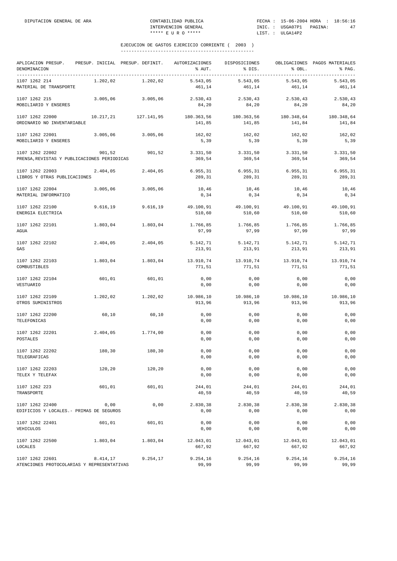| APLICACION PRESUP.<br>DENOMINACION                             | PRESUP. INICIAL PRESUP. DEFINIT. |            | AUTORIZACIONES<br>% AUT. | DISPOSICIONES<br>% DIS. | % OBL.               | OBLIGACIONES PAGOS MATERIALES<br>% PAG. |
|----------------------------------------------------------------|----------------------------------|------------|--------------------------|-------------------------|----------------------|-----------------------------------------|
| 1107 1262 214<br>MATERIAL DE TRANSPORTE                        | 1.202,02                         | 1.202,02   | 5.543,05<br>461,14       | 5.543,05<br>461,14      | 5.543,05<br>461,14   | 5.543,05<br>461,14                      |
| 1107 1262 215<br>MOBILIARIO Y ENSERES                          | 3.005,06                         | 3.005,06   | 2.530,43<br>84,20        | 2.530,43<br>84,20       | 2.530,43<br>84,20    | 2.530,43<br>84,20                       |
| 1107 1262 22000<br>ORDINARIO NO INVENTARIABLE                  | 10.217,21                        | 127.141,95 | 180.363,56<br>141,85     | 180.363,56<br>141,85    | 180.348,64<br>141,84 | 180.348,64<br>141,84                    |
| 1107 1262 22001<br>MOBILIARIO Y ENSERES                        | 3.005,06                         | 3.005,06   | 162,02<br>5,39           | 162,02<br>5,39          | 162,02<br>5,39       | 162,02<br>5,39                          |
| 1107 1262 22002<br>PRENSA, REVISTAS Y PUBLICACIONES PERIODICAS | 901,52                           | 901,52     | 3.331,50<br>369,54       | 3.331,50<br>369,54      | 3.331,50<br>369,54   | 3.331,50<br>369,54                      |
| 1107 1262 22003<br>LIBROS Y OTRAS PUBLICACIONES                | 2.404,05                         | 2.404,05   | 6.955,31<br>289,31       | 6.955,31<br>289,31      | 6.955,31<br>289,31   | 6.955, 31<br>289,31                     |
| 1107 1262 22004<br>MATERIAL INFORMATICO                        | 3.005,06                         | 3.005,06   | 10,46<br>0,34            | 10,46<br>0, 34          | 10,46<br>0, 34       | 10,46<br>0,34                           |
| 1107 1262 22100<br>ENERGIA ELECTRICA                           | 9.616, 19                        | 9.616, 19  | 49.100,91<br>510,60      | 49.100,91<br>510,60     | 49.100,91<br>510,60  | 49.100,91<br>510,60                     |
| 1107 1262 22101<br><b>AGUA</b>                                 | 1.803,04                         | 1.803,04   | 1.766,85<br>97,99        | 1.766,85<br>97,99       | 1.766,85<br>97,99    | 1.766,85<br>97,99                       |
| 1107 1262 22102<br>GAS                                         | 2.404,05                         | 2.404,05   | 5.142,71<br>213,91       | 5.142,71<br>213,91      | 5.142,71<br>213,91   | 5.142,71<br>213,91                      |
| 1107 1262 22103<br>COMBUSTIBLES                                | 1.803,04                         | 1.803,04   | 13.910,74<br>771,51      | 13.910,74<br>771,51     | 13.910,74<br>771,51  | 13.910,74<br>771,51                     |
| 1107 1262 22104<br>VESTUARIO                                   | 601,01                           | 601,01     | 0,00<br>0,00             | 0,00<br>0,00            | 0,00<br>0,00         | 0,00<br>0,00                            |
| 1107 1262 22109<br>OTROS SUMINISTROS                           | 1.202,02                         | 1.202,02   | 10.986,10<br>913,96      | 10.986,10<br>913,96     | 10.986,10<br>913,96  | 10.986,10<br>913,96                     |
| 1107 1262 22200<br>TELEFONICAS                                 | 60,10                            | 60,10      | 0,00<br>0,00             | 0,00<br>0,00            | 0,00<br>0,00         | 0,00<br>0,00                            |
| 1107 1262 22201<br>POSTALES                                    | 2.404,05                         | 1.774,00   | 0,00<br>0,00             | 0,00<br>0,00            | 0,00<br>0,00         | 0,00<br>0,00                            |
| 1107 1262 22202<br>TELEGRAFICAS                                | 180,30                           | 180,30     | 0,00<br>0,00             | 0,00<br>0,00            | 0,00<br>0,00         | 0,00<br>0,00                            |
| 1107 1262 22203<br>TELEX Y TELEFAX                             | 120,20                           | 120,20     | 0,00<br>0,00             | 0,00<br>0,00            | 0,00<br>0,00         | 0,00<br>0,00                            |
| 1107 1262 223<br>TRANSPORTE                                    | 601,01                           | 601,01     | 244,01<br>40,59          | 244,01<br>40,59         | 244,01<br>40,59      | 244,01<br>40,59                         |
| 1107 1262 22400<br>EDIFICIOS Y LOCALES. - PRIMAS DE SEGUROS    | 0,00                             | 0,00       | 2.830,38<br>0,00         | 2.830,38<br>0,00        | 2.830,38<br>0,00     | 2.830,38<br>0,00                        |
| 1107 1262 22401<br>VEHICULOS                                   | 601,01                           | 601,01     | 0,00<br>0,00             | 0,00<br>0,00            | 0,00<br>0,00         | 0,00<br>0,00                            |
| 1107 1262 22500<br>LOCALES                                     | 1.803,04                         | 1.803,04   | 12.043,01<br>667,92      | 12.043,01<br>667,92     | 12.043,01<br>667,92  | 12.043,01<br>667,92                     |
| 1107 1262 22601<br>ATENCIONES PROTOCOLARIAS Y REPRESENTATIVAS  | 8.414,17                         | 9.254,17   | 9.254,16<br>99,99        | 9.254,16<br>99,99       | 9.254,16<br>99,99    | 9.254, 16<br>99,99                      |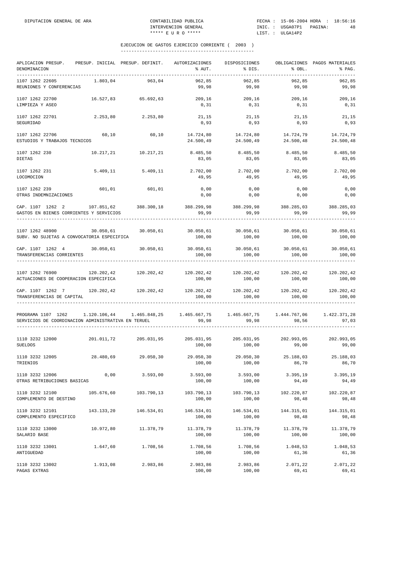| APLICACION PRESUP.<br>DENOMINACION                                                                                                                                                                                                                                                                    | PRESUP. INICIAL PRESUP. DEFINIT. |                   | AUTORIZACIONES<br>% AUT.                                                   | DISPOSICIONES<br>% DIS. | % OBL.                           | OBLIGACIONES PAGOS MATERIALES<br>% PAG. |
|-------------------------------------------------------------------------------------------------------------------------------------------------------------------------------------------------------------------------------------------------------------------------------------------------------|----------------------------------|-------------------|----------------------------------------------------------------------------|-------------------------|----------------------------------|-----------------------------------------|
| 1107 1262 22605<br>REUNIONES Y CONFERENCIAS                                                                                                                                                                                                                                                           | 1.803,04                         | 963,04            | 962,85<br>99,98                                                            | 962,85<br>99,98         | 962,85<br>99,98                  | 962,85<br>99,98                         |
| 1107 1262 22700<br>LIMPIEZA Y ASEO                                                                                                                                                                                                                                                                    | 16.527,83                        | 65.692,63         | 209,16<br>0, 31                                                            | 209,16<br>0, 31         | 209,16<br>0, 31                  | 209,16<br>0, 31                         |
| 1107 1262 22701<br>SEGURIDAD                                                                                                                                                                                                                                                                          | 2.253,80                         | 2.253,80          | 21, 15<br>0,93                                                             | 21, 15<br>0,93          | 21,15<br>0,93                    | 21,15<br>0,93                           |
| 1107 1262 22706<br>ESTUDIOS Y TRABAJOS TECNICOS                                                                                                                                                                                                                                                       | 60,10                            | 60,10             | 14.724,80<br>24.500,49                                                     | 14.724,80               | 14.724,79<br>24.500,49 24.500,48 | 14.724,79<br>24.500,48                  |
| 1107 1262 230<br><b>DIETAS</b>                                                                                                                                                                                                                                                                        | 10.217,21                        | 10.217,21         | 8.485,50<br>83,05                                                          | 8.485,50<br>83,05       | 8.485,50<br>83,05                | 8.485,50<br>83,05                       |
| 1107 1262 231<br>LOCOMOCION                                                                                                                                                                                                                                                                           |                                  | 5.409,11 5.409,11 | 2.702,00<br>49,95                                                          | 2.702,00<br>49,95       | 2.702,00<br>49,95                | 2.702,00<br>49,95                       |
| 1107 1262 239<br>OTRAS INDEMNIZACIONES                                                                                                                                                                                                                                                                | 601,01 601,01                    |                   | 0,00<br>0,00                                                               | 0,00<br>0,00            | 0,00<br>0,00                     | 0,00<br>0,00                            |
| CAP. 1107 1262 2 107.851,62 388.300,18<br>GASTOS EN BIENES CORRIENTES Y SERVICIOS                                                                                                                                                                                                                     |                                  |                   | 388.299,98 388.299,98<br>99,99                                             | 99,99                   | 388.285,03<br>99,99              | 388.285,03<br>99,99                     |
| 1107 1262 48900<br>SUBV. NO SUJETAS A CONVOCATORIA ESPECIFICA                                                                                                                                                                                                                                         | 30.050,61                        | 30.050,61         | 30.050,61 30.050,61<br>100,00                                              | 100,00                  | 30.050,61<br>100,00              | 30.050,61<br>100,00                     |
| CAP. 1107 1262 4 30.050,61 30.050,61<br>TRANSFERENCIAS CORRIENTES                                                                                                                                                                                                                                     |                                  |                   | $30.050, 61$ $30.050, 61$ $30.050, 61$ $30.050, 61$ $30.050, 61$<br>100,00 | 100,00                  | 100,00                           | 100,00                                  |
| 1107 1262 76900<br>ACTUACIONES DE COOPERACION ESPECIFICA                                                                                                                                                                                                                                              | 120.202,42                       | 120.202,42        | 120.202,42 120.202,42 120.202,42<br>100,00                                 | 100,00                  | 100,00                           | 120.202,42<br>100,00                    |
| $\verb CAP. 1107 1262 7  120.202, 42   120.202, 42   120.202, 42   120.202, 42   120.202, 42   120.202, 42   120.202, 42   120.202, 42   120.202, 42   120.202, 42   120.202, 42   120.202, 42   120.202, 42   120.202, 42   120.202, 42   120.20$<br>TRANSFERENCIAS DE CAPITAL<br>------------------ |                                  |                   | 100,00                                                                     | 100,00                  | 100,00                           | 120.202,42<br>100,00                    |
| PROGRAMA 1107 1262 1.120.106,44 1.465.848,25 1.465.667,75 1.465.667,75 1.444.767,06 1.422.371,28<br>SERVICIOS DE COORDINACION ADMINISTRATIVA EN TERUEL                                                                                                                                                |                                  |                   | 99,98                                                                      | 99,98                   | 98,56                            | 97,03                                   |
| $1110 3232 12000 \t\t 201.011.72 \t\t 205.031.95 \t\t 205.031.95 \t\t 205.031.95 \t\t 202.993.05$<br><b>SUELDOS</b>                                                                                                                                                                                   |                                  |                   | 100,00                                                                     | 100,00                  | 99,00                            | 202.993,05<br>99,00                     |
| 1110 3232 12005<br>TRIENIOS                                                                                                                                                                                                                                                                           | 28.480,69                        | 29.050,30         | 29.050,30<br>100,00                                                        | 29.050,30<br>100,00     | 25.188,03<br>86,70               | 25.188.03<br>86,70                      |
| 1110 3232 12006<br>OTRAS RETRIBUCIONES BASICAS                                                                                                                                                                                                                                                        | 0,00                             | 3.593,00          | 3.593,00<br>100,00                                                         | 3.593,00<br>100,00      | 3.395, 19<br>94,49               | 3.395, 19<br>94,49                      |
| 1110 3232 12100<br>COMPLEMENTO DE DESTINO                                                                                                                                                                                                                                                             | 105.676,60                       | 103.790,13        | 103.790,13<br>100,00                                                       | 103.790,13<br>100,00    | 102.220,87<br>98,48              | 102.220,87<br>98,48                     |
| 1110 3232 12101<br>COMPLEMENTO ESPECIFICO                                                                                                                                                                                                                                                             | 143.133,20                       | 146.534,01        | 146.534,01<br>100,00                                                       | 146.534,01<br>100,00    | 144.315,01<br>98,48              | 144.315,01<br>98,48                     |
| 1110 3232 13000<br>SALARIO BASE                                                                                                                                                                                                                                                                       | 10.972,80                        | 11.378,79         | 11.378,79<br>100,00                                                        | 11.378,79<br>100,00     | 11.378,79<br>100,00              | 11.378,79<br>100,00                     |
| 1110 3232 13001<br>ANTIGUEDAD                                                                                                                                                                                                                                                                         | 1.647,60                         | 1.708,56          | 1.708,56<br>100,00                                                         | 1.708,56<br>100,00      | 1.048,53<br>61,36                | 1.048,53<br>61,36                       |
| 1110 3232 13002<br>PAGAS EXTRAS                                                                                                                                                                                                                                                                       | 1.913,08                         | 2.983,86          | 2.983,86<br>100,00                                                         | 2.983,86<br>100,00      | 2.071,22<br>69,41                | 2.071,22<br>69,41                       |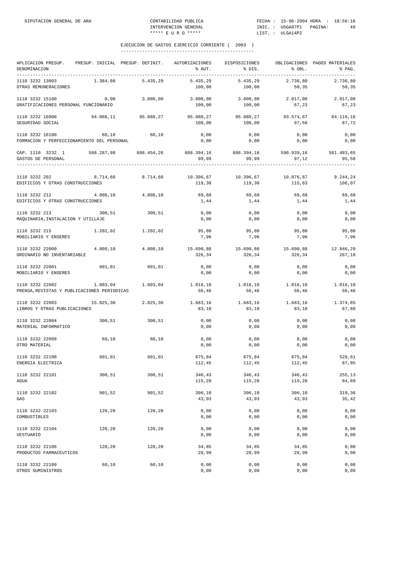| APLICACION PRESUP.<br>DENOMINACION<br>----------------------------------- | PRESUP. INICIAL PRESUP. DEFINIT. |            | AUTORIZACIONES<br>% AUT. | DISPOSICIONES<br>% DIS. | % OBL.              | OBLIGACIONES PAGOS MATERIALES<br>% PAG. |
|---------------------------------------------------------------------------|----------------------------------|------------|--------------------------|-------------------------|---------------------|-----------------------------------------|
| 1110 3232 13003<br>OTRAS REMUNERACIONES                                   | 1.384,08                         | 5.435,29   | 5.435,29<br>100,00       | 5.435,29<br>100,00      | 2.736,80<br>50,35   | 2.736,80<br>50,35                       |
| 1110 3232 15100<br>GRATIFICACIONES PERSONAL FUNCIONARIO                   | 0,00                             | 3.000,00   | 3.000,00<br>100,00       | 3.000,00<br>100,00      | 2.017,00<br>67,23   | 2.017,00<br>67,23                       |
| 1110 3232 16000<br>SEGURIDAD SOCIAL                                       | 94.008,11                        | 95.888,27  | 95.888,27<br>100,00      | 95.888,27<br>100,00     | 93.574,67<br>97,58  | 84.119,16<br>87,72                      |
| 1110 3232 16100<br>FORMACION Y PERFECCIONAMIENTO DEL PERSONAL             | 60,10                            | 60,10      | 0,00<br>0,00             | 0,00<br>0,00            | 0,00<br>0,00        | 0,00<br>0,00                            |
| CAP. 1110 3232 1<br>GASTOS DE PERSONAL                                    | 588.287,98                       | 608.454,26 | 608.394,16<br>99,99      | 608.394,16<br>99,99     | 590.939,16<br>97,12 | 581.483,65<br>95,56                     |
| 1110 3232 202<br>EDIFICIOS Y OTRAS CONSTRUCCIONES                         | 8.714,68                         | 8.714,68   | 10.396,67<br>119,30      | 10.396,67<br>119,30     | 10.076,87<br>115,63 | 9.244,24<br>106,07                      |
| 1110 3232 212<br>EDIFICIOS Y OTRAS CONSTRUCCIONES                         | 4.808,10                         | 4.808,10   | 69,60<br>1,44            | 69,60<br>1,44           | 69,60<br>1,44       | 69,60<br>1,44                           |
| 1110 3232 213<br>MAQUINARIA, INSTALACION Y UTILLAJE                       | 300,51                           | 300,51     | 0,00<br>0,00             | 0,00<br>0,00            | 0,00<br>0,00        | 0,00<br>0,00                            |
| 1110 3232 215<br>MOBILIARIO Y ENSERES                                     | 1.202,02                         | 1.202,02   | 95,80<br>7,96            | 95,80<br>7,96           | 95,80<br>7,96       | 95,80<br>7,96                           |
| 1110 3232 22000<br>ORDINARIO NO INVENTARIABLE                             | 4.808,10                         | 4.808,10   | 15.690,88<br>326,34      | 15.690,88<br>326,34     | 15.690,88<br>326,34 | 12.846,29<br>267,18                     |
| 1110 3232 22001<br>MOBILIARIO Y ENSERES                                   | 601,01                           | 601,01     | 0,00<br>0,00             | 0,00<br>0,00            | 0,00<br>0,00        | 0,00<br>0,00                            |
| 1110 3232 22002<br>PRENSA, REVISTAS Y PUBLICACIONES PERIODICAS            | 1.803,04                         | 1.803,04   | 1.018,10<br>56,46        | 1.018,10<br>56,46       | 1.018,10<br>56,46   | 1.018,10<br>56,46                       |
| 1110 3232 22003<br>LIBROS Y OTRAS PUBLICACIONES                           | 15.025,30                        | 2.025,30   | 1.683,16<br>83,10        | 1.683,16<br>83,10       | 1.683,16<br>83,10   | 1.374,85<br>67,88                       |
| 1110 3232 22004<br>MATERIAL INFORMATICO                                   | 300, 51                          | 300,51     | 0,00<br>0,00             | 0,00<br>0,00            | 0,00<br>0,00        | 0,00<br>0,00                            |
| 1110 3232 22009<br>OTRO MATERIAL                                          | 60,10                            | 60,10      | 0,00<br>0,00             | 0,00<br>0,00            | 0,00<br>0,00        | 0,00<br>0,00                            |
| 1110 3232 22100<br>ENERGIA ELECTRICA                                      | 601,01                           | 601,01     | 675,84<br>112,45         | 675,84<br>112,45        | 675,84<br>112,45    | 528,61<br>87,95                         |
| 1110 3232 22101<br>AGUA                                                   | 300,51                           | 300,51     | 346,43<br>115,28         | 346,43<br>115,28        | 346,43<br>115,28    | 255,13<br>84,89                         |
| 1110 3232 22102<br>GAS                                                    | 901,52                           | 901,52     | 396,10<br>43,93          | 396,10<br>43,93         | 396,10<br>43,93     | 319,36<br>35,42                         |
| 1110 3232 22103<br>COMBUSTIBLES                                           | 120,20                           | 120,20     | 0,00<br>0,00             | 0,00<br>0,00            | 0,00<br>0,00        | 0,00<br>0,00                            |
| 1110 3232 22104<br>VESTUARIO                                              | 120,20                           | 120,20     | 0,00<br>0,00             | 0,00<br>0,00            | 0,00<br>0,00        | 0,00<br>0,00                            |
| 1110 3232 22106<br>PRODUCTOS FARMACEUTICOS                                | 120,20                           | 120,20     | 34,85<br>28,99           | 34,85<br>28,99          | 34,85<br>28,99      | 0,00<br>0,00                            |
| 1110 3232 22109<br>OTROS SUMINISTROS                                      | 60,10                            | 60,10      | 0,00<br>0,00             | 0,00<br>0,00            | 0,00<br>0,00        | 0,00<br>0,00                            |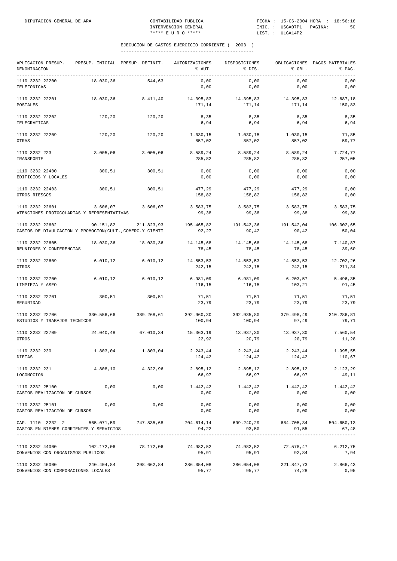| APLICACION PRESUP.<br>DENOMINACION                                                                           |            |                       | PRESUP. INICIAL PRESUP. DEFINIT. AUTORIZACIONES<br>% AUT. | DISPOSICIONES<br>and the set of the set of the set of the set of the set of the set of the set of the set of the set of the set of the set of the set of the set of the set of the set of the set of the set of the set of the set of the set o | % OBL.              | OBLIGACIONES PAGOS MATERIALES<br>% PAG. |
|--------------------------------------------------------------------------------------------------------------|------------|-----------------------|-----------------------------------------------------------|-------------------------------------------------------------------------------------------------------------------------------------------------------------------------------------------------------------------------------------------------|---------------------|-----------------------------------------|
| 1110 3232 22200<br>TELEFONICAS                                                                               | 18.030,36  | 544.63                | 0,00<br>0,00                                              | 0,00<br>0,00                                                                                                                                                                                                                                    | 0,00<br>0,00        | 0,00<br>0,00                            |
| 1110 3232 22201<br>POSTALES                                                                                  | 18.030,36  | 8.411, 40             | 14.395,83<br>171,14                                       | 14.395,83<br>171,14                                                                                                                                                                                                                             | 14.395,83<br>171,14 | 12.687,18<br>150,83                     |
| 1110 3232 22202<br>TELEGRAFICAS                                                                              | 120,20     | 120, 20               | 8,35<br>6,94                                              | 8,35<br>6,94                                                                                                                                                                                                                                    | 8,35<br>6,94        | 8,35<br>6,94                            |
| 1110 3232 22209<br>OTRAS                                                                                     | 120,20     | 120,20                | 1.030,15<br>857,02                                        | 1.030,15<br>857,02                                                                                                                                                                                                                              | 1.030,15<br>857,02  | 71,85<br>59,77                          |
| 1110 3232 223<br>TRANSPORTE                                                                                  | 3.005,06   | 3.005,06              | 8.589,24<br>285,82                                        | 8.589,24<br>285,82                                                                                                                                                                                                                              | 8.589,24<br>285,82  | 7.724,77<br>257,05                      |
| 1110 3232 22400<br>EDIFICIOS Y LOCALES                                                                       | 300,51     | 300,51                | 0,00<br>0,00                                              | 0,00<br>0,00                                                                                                                                                                                                                                    | 0,00<br>0,00        | 0,00<br>0,00                            |
| 1110 3232 22403<br>OTROS RIESGOS                                                                             | 300,51     | 300, 51               | 477,29<br>158,82                                          | 477,29<br>158,82                                                                                                                                                                                                                                | 477,29<br>158,82    | 0,00<br>0,00                            |
| 1110 3232 22601<br>ATENCIONES PROTOCOLARIAS Y REPRESENTATIVAS                                                | 3.606,07   | 3.606,07              | 3.583,75<br>99,38                                         | 3.583,75<br>99,38                                                                                                                                                                                                                               | 3.583,75<br>99,38   | 3.583,75<br>99,38                       |
| 1110 3232 22602<br>GASTOS DE DIVULGACION Y PROMOCION(CULT., COMERC.Y CIENTI                                  | 90.151,82  | 211.823,93            | 195.465,82<br>92,27                                       | 191.542,36<br>90,42                                                                                                                                                                                                                             | 191.542,04<br>90,42 | 106.002,65<br>50,04                     |
| 1110 3232 22605<br>REUNIONES Y CONFERENCIAS                                                                  |            | 18.030,36 18.030,36   | 14.145,68<br>78,45                                        | 14.145,68<br>78,45                                                                                                                                                                                                                              | 14.145,68<br>78,45  | 7.140,87<br>39,60                       |
| 1110 3232 22609<br>OTROS                                                                                     | 6.010, 12  | 6.010, 12             | 14.553,53<br>242,15                                       | 14.553,53<br>242,15                                                                                                                                                                                                                             | 14.553,53<br>242,15 | 12.702,26<br>211,34                     |
| 1110 3232 22700<br>LIMPIEZA Y ASEO                                                                           | 6.010, 12  | 6.010, 12             | 6.981,09<br>116,15                                        | 6.981,09<br>116,15                                                                                                                                                                                                                              | 6.203,57<br>103,21  | 5.496,35<br>91,45                       |
| 1110 3232 22701<br>SEGURIDAD                                                                                 | 300,51     | 300, 51               | 71,51<br>23,79                                            | 71,51<br>23,79                                                                                                                                                                                                                                  | 71,51<br>23,79      | 71,51<br>23,79                          |
| 1110 3232 22706<br>ESTUDIOS Y TRABAJOS TECNICOS                                                              |            | 330.556,66 389.268,61 | 392.960,30<br>100,94                                      | 392.935,80<br>100,94                                                                                                                                                                                                                            | 379.498,49<br>97,49 | 310.286,81<br>79,71                     |
| 1110 3232 22709<br>OTROS                                                                                     | 24.040,48  | 67.010,34             | 15.363,19<br>22,92                                        | 13.937,30<br>20,79                                                                                                                                                                                                                              | 13.937,30<br>20,79  | 7.560,54<br>11,28                       |
| 1110 3232 230<br>DIETAS                                                                                      | 1.803,04   | 1.803,04              | 2.243,44<br>124,42                                        | 2.243,44<br>124,42                                                                                                                                                                                                                              | 2.243,44<br>124,42  | 1.995,55<br>110,67                      |
| 1110 3232 231<br>LOCOMOCION                                                                                  |            | 4.808.10 4.322.96     | 66,97                                                     | 2.895,12 2.895,12 2.895,12<br>66,97                                                                                                                                                                                                             | 66,97               | 2.123,29<br>49,11                       |
| 1110 3232 25100<br>GASTOS REALIZACIÓN DE CURSOS                                                              | 0,00       | 0,00                  | 1.442,42<br>0,00                                          | 1.442,42<br>0,00                                                                                                                                                                                                                                | 1.442,42<br>0,00    | 1.442,42<br>0,00                        |
| 1110 3232 25101<br>GASTOS REALIZACIÓN DE CURSOS                                                              | 0,00       | 0,00                  | 0,00<br>0,00                                              | 0,00<br>0,00                                                                                                                                                                                                                                    | 0,00<br>0,00        | 0,00<br>0,00                            |
| CAP. 1110 3232 2 565.071,59 747.835,68 704.614,14 699.240,29<br>GASTOS EN BIENES CORRIENTES Y SERVICIOS      |            |                       | 94,22                                                     | 93,50                                                                                                                                                                                                                                           | 91,55               | 684.705,34 504.650,13<br>67,48          |
| 1110 3232 44000<br>CONVENIOS CON ORGANISMOS PUBLICOS                                                         | 102.172,06 | 78.172,06             | 74.982,52<br>95,91                                        | 74.982,52<br>95,91                                                                                                                                                                                                                              | 72.578,47<br>92,84  | 6.212,75<br>7,94                        |
| $1110$ 3232 46000 $240.404,84$ $298.662,84$ $286.054,08$ $286.054,08$<br>CONVENIOS CON CORPORACIONES LOCALES |            |                       | 95,77                                                     | 95,77                                                                                                                                                                                                                                           | 221.847,73<br>74,28 | 2.866,43<br>0,95                        |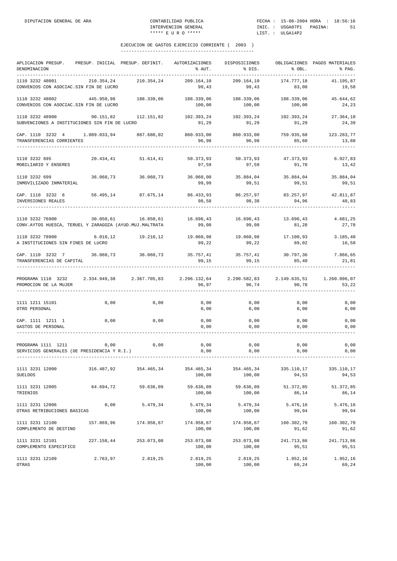| APLICACION PRESUP.<br>DENOMINACION<br>-----------------------------                                                       |            | PRESUP. INICIAL PRESUP. DEFINIT.                  | AUTORIZACIONES<br>% AUT.                  | DISPOSICIONES<br>% DIS.                | % OBL.                       | OBLIGACIONES PAGOS MATERIALES<br>% PAG.   |
|---------------------------------------------------------------------------------------------------------------------------|------------|---------------------------------------------------|-------------------------------------------|----------------------------------------|------------------------------|-------------------------------------------|
| 1110 3232 48001<br>CONVENIOS CON ASOCIAC. SIN FIN DE LUCRO                                                                | 210.354,24 | 210.354,24                                        | 209.164,10<br>99,43                       | 209.164,10<br>99,43                    | 174.777,18<br>83,08          | 41.195,87<br>19,58                        |
| 1110 3232 48002<br>CONVENIOS CON ASOCIAC. SIN FIN DE LUCRO                                                                | 445.950,98 | 188.339,06                                        | 188.339,06<br>100,00                      | 188.339,06<br>100,00                   | 188.339,06<br>100,00         | 45.644,62<br>24,23                        |
| 1110 3232 48900<br>SUBVENCIONES A INSTITUCIONES SIN FIN DE LUCRO                                                          | 90.151,82  |                                                   | 112.151,82 102.393,24 102.393,24<br>91,29 | 91,29                                  | 102.393,24<br>91,29          | 27.364,10<br>24,39                        |
| CAP. 1110 3232 4 1.089.033,94 887.680,02 860.933,00<br>TRANSFERENCIAS CORRIENTES                                          |            |                                                   | 96,98                                     | 96,98                                  | 85,60                        | 860.933,00 759.935,68 123.283,77<br>13,88 |
| 1110 3232 695<br>MOBILIARIO Y ENSERES                                                                                     | 20.434, 41 | 51.614,41                                         | 50.373,93<br>97,59                        | 50.373,93 47.373,93<br>97,59           | 91,78                        | 6.927,83<br>13,42                         |
| 1110 3232 699<br>INMOVILIZADO INMATERIAL                                                                                  | 36.060,73  | 36.060,73                                         | 36.060,00<br>99,99                        | 35.884,04<br>99,51                     | 35.884,04<br>99,51           | 35.884,04<br>99,51                        |
| CAP. 1110 3232 6<br>INVERSIONES REALES                                                                                    |            | 56.495,14 87.675,14 86.433,93 86.257,97 83.257,97 | 98,58                                     | 98,38                                  | 94,96                        | 42.811,87<br>48,83                        |
| 1110 3232 76900<br>CONV.AYTOS HUESCA, TERUEL Y ZARAGOZA (AYUD.MUJ.MALTRATA                                                | 30.050,61  | 16.850,61                                         | 16.696,43<br>99,08                        | 99,08                                  | 16.696.43 13.696.43<br>81,28 | 4.681,25<br>27,78                         |
| 1110 3232 78900 6.010,12<br>A INSTITUCIONES SIN FINES DE LUCRO                                                            |            | 19.210,12 19.060,98 19.060,98 17.100,93           | 99,22                                     | 99,22                                  | 89,02                        | 3.185,40<br>16,58                         |
| CAP. 1110 3232 7 36.060,73 36.060,73<br>TRANSFERENCIAS DE CAPITAL                                                         |            |                                                   | 99,15                                     | 35.757,41 35.757,41 30.797,36<br>99,15 | 85,40                        | 7.866,65<br>21,81                         |
| PROGRAMA 1110 3232 2.334.949,38 2.367.705,83 2.296.132,64 2.290.582,83 2.149.635,51 1.260.096,07<br>PROMOCION DE LA MUJER |            |                                                   | 96,97                                     | 96,74                                  | 90,78                        | 53, 22                                    |
| 1111 1211 15101<br>OTRO PERSONAL                                                                                          | 0,00       | 0,00                                              | 0,00<br>0,00                              | 0,00<br>0,00                           | 0,00<br>0,00                 | 0,00<br>0,00                              |
| CAP. 1111 1211 1<br>GASTOS DE PERSONAL                                                                                    | 0,00       | 0,00                                              | $0,00$<br>0,00                            | 0,00<br>0,00                           | 0,00<br>0,00                 | 0,00<br>0,00                              |
| PROGRAMA 1111 1211<br>SERVICIOS GENERALES (DE PRESIDENCIA Y R.I.)                                                         | 0,00       | 0,00                                              | $0,00$<br>0,00                            | 0,00<br>0,00                           | 0,00<br>0,00                 | 0,00<br>0,00                              |
| 1111 3231 12000<br><b>SUELDOS</b>                                                                                         | 316.487,92 | 354.465,34                                        | 354.465,34<br>100,00                      | 354.465,34<br>100,00                   | 335.110,17<br>94,53          | 335.110,17<br>94,53                       |
| 1111 3231 12005<br>TRIENIOS                                                                                               | 64.694,72  | 59.636,09                                         | 59.636,09<br>100,00                       | 59.636,09<br>100,00                    | 51.372,85<br>86,14           | 51.372,85<br>86,14                        |
| 1111 3231 12006<br>OTRAS RETRIBUCIONES BASICAS                                                                            | 0,00       | 5.479,34                                          | 5.479,34<br>100,00                        | 5.479,34<br>100,00                     | 5.476,16<br>99,94            | 5.476,16<br>99,94                         |
| 1111 3231 12100<br>COMPLEMENTO DE DESTINO                                                                                 | 157.869,96 | 174.958,67                                        | 174.958,67<br>100,00                      | 174.958,67<br>100,00                   | 160.302,70<br>91,62          | 160.302,70<br>91,62                       |
| 1111 3231 12101<br>COMPLEMENTO ESPECIFICO                                                                                 | 227.158,44 | 253.073,08                                        | 253.073,08<br>100,00                      | 253.073,08<br>100,00                   | 241.713,86<br>95,51          | 241.713,86<br>95,51                       |
| 1111 3231 12109<br>OTRAS                                                                                                  | 2.763,97   | 2.819,25                                          | 2.819,25<br>100,00                        | 2.819,25<br>100,00                     | 1.952,16<br>69,24            | 1.952,16<br>69,24                         |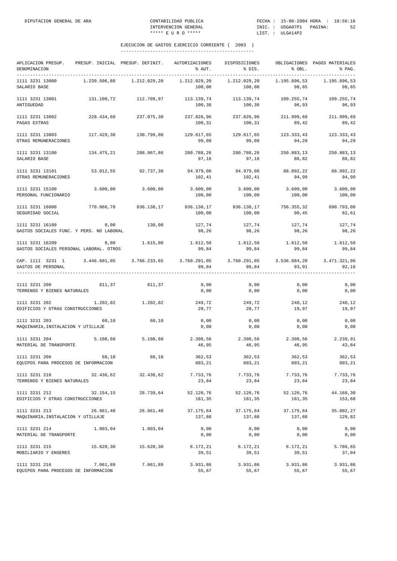| APLICACION PRESUP.<br>DENOMINACION<br>------------------------------------                                           | PRESUP. INICIAL PRESUP. DEFINIT. |                       | AUTORIZACIONES<br>% AUT. | DISPOSICIONES<br>% DIS.                               | % OBL.                | OBLIGACIONES PAGOS MATERIALES<br>% PAG. |
|----------------------------------------------------------------------------------------------------------------------|----------------------------------|-----------------------|--------------------------|-------------------------------------------------------|-----------------------|-----------------------------------------|
| 1111 3231 13000<br>SALARIO BASE                                                                                      | 1.239.506,88                     | 1.212.029,20          | 1.212.029,20<br>100,00   | 1.212.029,20<br>100,00                                | 1.195.696,53<br>98,65 | 1.195.696,53<br>98,65                   |
| 1111 3231 13001<br>ANTIGUEDAD                                                                                        | 131.100,72                       | 112.709,97            | 113.139,74<br>100,38     | 113.139,74<br>100,38                                  | 109.255,74<br>96,93   | 109.255,74<br>96,93                     |
| 1111 3231 13002<br>PAGAS EXTRAS                                                                                      | 228.434,60                       | 237.075,30            | 100,31                   | 237.826,96 237.826,96 211.999,69 211.999,69<br>100,31 | 89,42                 | 89,42                                   |
| 1111 3231 13003<br>OTRAS REMUNERACIONES                                                                              |                                  | 117.429,38 130.799,08 | 129.617,65<br>99,09      | 129.617,65<br>99,09                                   | 123.333,43<br>94,29   | 123.333,43<br>94,29                     |
| 1111 3231 13100<br>SALARIO BASE                                                                                      | 134.475,21                       | 288.967,86            | 280.788,26<br>97,16      | 280.788,26<br>97,16                                   | 250.883,13<br>86,82   | 250.883,13<br>86,82                     |
| 1111 3231 13101<br>OTRAS REMUNERACIONES                                                                              |                                  | 53.012,55 92.737,30   | 94.979,06<br>102,41      | 94.979,06<br>102,41                                   | 88.092,22<br>94,99    | 88.092,22<br>94,99                      |
| 1111 3231 15100<br>PERSONAL FUNCIONARIO                                                                              | $3.600,00$ $3.600,00$            |                       | 100,00                   | $3.600,00$ $3.600,00$ $3.600,00$ $3.600,00$<br>100,00 | 100,00                | 100,00                                  |
| 1111 3231 16000<br>SEGURIDAD SOCIAL                                                                                  |                                  | 770.066,70 836.138,17 | 100,00                   | 836.138,17 836.138,17<br>100,00                       | 756.355,32<br>90,45   | 690.793,08<br>82,61                     |
| 1111 3231 16109<br>GASTOS SOCIALES FUNC. Y PERS. NO LABORAL                                                          | 0,00                             | 130,00                | 127,74<br>98,26          | 127,74<br>98,26                                       | 127,74<br>98,26       | 127,74<br>98,26                         |
| 1111 3231 16209<br>GASTOS SOCIALES PERSONAL LABORAL. OTROS                                                           | 0,00                             | 1.615,00              | 1.612,50<br>99,84        | 1.612,50<br>99,84                                     | 1.612,50<br>99,84     | 1.612,50<br>99,84                       |
| CAP. 1111 3231 1 3.446.601,05 3.766.233,65 3.760.291,05 3.760.291,05 3.536.884,20 3.471.321,96<br>GASTOS DE PERSONAL |                                  |                       | 99,84                    | 99,84                                                 | 93,91                 | 92,16                                   |
| 1111 3231 200<br>TERRENOS Y BIENES NATURALES                                                                         | 811, 37 811, 37                  |                       | 0,00<br>0,00             | 0,00<br>0,00                                          | 0,00<br>0,00          | 0,00<br>0,00                            |
| 1111 3231 202<br>EDIFICIOS Y OTRAS CONSTRUCCIONES                                                                    | 1.202,02                         | 1.202,02              | 249,72<br>20,77          | 249,72<br>20,77                                       | 240,12<br>19,97       | 240,12<br>19,97                         |
| 1111 3231 203<br>MAQUINARIA, INSTALACION Y UTILLAJE                                                                  | 60,10                            | 60, 10                | 0,00<br>0,00             | 0,00<br>0,00                                          | 0,00<br>0,00          | 0,00<br>0,00                            |
| 1111 3231 204<br>MATERIAL DE TRANSPORTE                                                                              | 5.108,60                         | 5.108,60              | 2.398,56<br>46,95        | 46,95                                                 | 46,95                 | 2.398,56 2.398,56 2.239,91<br>43,84     |
| 1111 3231 206<br>EQUIPOS PARA PROCESOS DE INFORMACION                                                                | 60,10                            | 60,10                 | 362,53<br>603,21         | 362,53<br>603,21                                      | 362,53<br>603,21      | 362,53<br>603,21                        |
| 1111 3231 210<br>TERRENOS Y BIENES NATURALES                                                                         | 32.436,62                        | 32.436,62             | 7.733,76<br>23,84        | 7.733,76<br>23,84                                     | 7.733,76<br>23,84     | 7.733,76<br>23,84                       |
| 1111 3231 212<br>EDIFICIOS Y OTRAS CONSTRUCCIONES                                                                    | 32.154,15                        | 28.739,64             | 52.120,76<br>181,35      | 52.120,76<br>181,35                                   | 52.120,76<br>181,35   | 44.168,30<br>153,68                     |
| 1111 3231 213<br>MAQUINARIA, INSTALACION Y UTILLAJE                                                                  | 26.961,40                        | 26.961,40             | 37.175,64<br>137,88      | 37.175,64<br>137,88                                   | 37.175,64<br>137,88   | 35.002,27<br>129,82                     |
| 1111 3231 214<br>MATERIAL DE TRANSPORTE                                                                              | 1.803,04                         | 1.803,04              | 0,00<br>0,00             | 0,00<br>0,00                                          | 0,00<br>0,00          | 0,00<br>0,00                            |
| 1111 3231 215<br>MOBILIARIO Y ENSERES                                                                                | 15.620,30                        | 15.620,30             | 6.172,21<br>39,51        | 6.172,21<br>39,51                                     | 6.172, 21<br>39,51    | 5.786,65<br>37,04                       |
| 1111 3231 216<br>EQUIPOS PARA PROCESOS DE INFORMACION                                                                | 7.061,89                         | 7.061,89              | 3.931,86<br>55,67        | 3.931,86<br>55,67                                     | 3.931,86<br>55,67     | 3.931,86<br>55,67                       |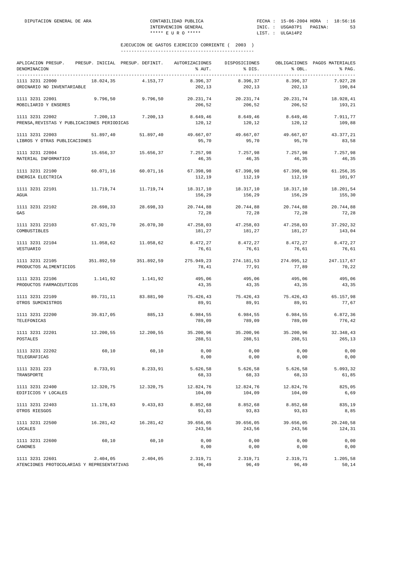| APLICACION PRESUP.<br>DENOMINACION                             |           | PRESUP. INICIAL PRESUP. DEFINIT. | AUTORIZACIONES<br>% AUT. | DISPOSICIONES<br>% DIS. | % OBL.                         | OBLIGACIONES PAGOS MATERIALES<br>% PAG. |
|----------------------------------------------------------------|-----------|----------------------------------|--------------------------|-------------------------|--------------------------------|-----------------------------------------|
| 1111 3231 22000<br>ORDINARIO NO INVENTARIABLE                  | 18.024,35 | 4.153,77                         | 8.396,37<br>202,13       | 8.396,37<br>202,13      | 8.396,37<br>202,13             | 7.927,28<br>190,84                      |
| 1111 3231 22001<br>MOBILIARIO Y ENSERES                        | 9.796,50  | 9.796,50                         | 20.231,74<br>206,52      | 20.231,74<br>206,52     | 20.231,74<br>206,52            | 18.928,41<br>193,21                     |
| 1111 3231 22002<br>PRENSA, REVISTAS Y PUBLICACIONES PERIODICAS | 7.200, 13 | 7.200, 13                        | 8.649,46<br>120,12       | 8.649,46<br>120,12      | 8.649,46<br>120,12             | 7.911,77<br>109,88                      |
| 1111 3231 22003<br>LIBROS Y OTRAS PUBLICACIONES                | 51.897,40 | 51.897,40                        | 49.667,07<br>95,70       | 49.667,07<br>95,70      | 49.667,07<br>95,70             | 43.377,21<br>83,58                      |
| 1111 3231 22004<br>MATERIAL INFORMATICO                        | 15.656,37 | 15.656,37                        | 7.257,98<br>46,35        | 7.257,98<br>46,35       | 7.257,98<br>46,35              | 7.257,98<br>46,35                       |
| 1111 3231 22100<br>ENERGIA ELECTRICA                           | 60.071,16 | 60.071,16                        | 67.398,98<br>112,19      | 67.398,98<br>112,19     | 67.398,98<br>112,19            | 61.256,35<br>101,97                     |
| 1111 3231 22101<br>AGUA                                        | 11.719,74 | 11.719,74                        | 18.317,10<br>156,29      | 18.317,10<br>156,29     | 18.317,10<br>156,29            | 18.201,54<br>155,30                     |
| 1111 3231 22102<br>GAS                                         | 28.698,33 | 28.698,33                        | 20.744,88<br>72,28       | 20.744,88<br>72,28      | 20.744,88<br>72,28             | 20.744,88<br>72,28                      |
| 1111 3231 22103<br>COMBUSTIBLES                                | 67.921,70 | 26.070,30                        | 47.258,03<br>181,27      | 47.258,03<br>181,27     | 47.258,03<br>181,27            | 37.292,32<br>143,04                     |
| 1111 3231 22104<br>VESTUARIO                                   | 11.058,62 | 11.058,62                        | 8.472,27<br>76,61        | 8.472,27<br>76,61       | 8.472,27<br>76,61              | 8.472,27<br>76,61                       |
| 1111 3231 22105<br>PRODUCTOS ALIMENTICIOS                      |           | 351.892,59 351.892,59            | 275.949,23<br>78,41      | 77,91                   | 274.181,53 274.095,12<br>77,89 | 247.117,67<br>70,22                     |
| 1111 3231 22106<br>PRODUCTOS FARMACEUTICOS                     | 1.141,92  | 1.141,92                         | 495,06<br>43,35          | 495,06<br>43,35         | 495,06<br>43,35                | 495,06<br>43,35                         |
| 1111 3231 22109<br>OTROS SUMINISTROS                           | 89.731,11 | 83.881,90                        | 75.426,43<br>89,91       | 75.426,43<br>89,91      | 75.426,43<br>89,91             | 65.157,98<br>77,67                      |
| 1111 3231 22200<br>TELEFONICAS                                 | 39.817,05 | 885,13                           | 6.984,55<br>789,09       | 6.984,55<br>789,09      | 6.984,55<br>789,09             | 6.872,36<br>776,42                      |
| 1111 3231 22201<br>POSTALES                                    | 12.200,55 | 12.200,55                        | 35.200,96<br>288,51      | 35.200,96<br>288,51     | 35.200,96<br>288,51            | 32.348,43<br>265,13                     |
| 1111 3231 22202<br>TELEGRAFICAS                                | 60, 10    | 60,10                            | 0,00<br>0,00             | 0,00<br>0,00            | 0,00<br>0,00                   | 0,00<br>0,00                            |
| 1111 3231 223<br>TRANSPORTE                                    | 8.733,91  | 8.233,91                         | 5.626,58<br>68,33        | 5.626,58<br>68,33       | 5.626,58<br>68,33              | 5.093,32<br>61,85                       |
| 1111 3231 22400<br>EDIFICIOS Y LOCALES                         | 12.320,75 | 12.320,75                        | 12.824,76<br>104,09      | 12.824,76<br>104,09     | 12.824,76<br>104,09            | 825,05<br>6,69                          |
| 1111 3231 22403<br>OTROS RIESGOS                               | 11.178,83 | 9.433,83                         | 8.852,68<br>93,83        | 8.852,68<br>93,83       | 8.852,68<br>93,83              | 835,19<br>8,85                          |
| 1111 3231 22500<br><b>LOCALES</b>                              | 16.281,42 | 16.281,42                        | 39.656,05<br>243,56      | 39.656,05<br>243,56     | 39.656,05<br>243,56            | 20.240,58<br>124,31                     |
| 1111 3231 22600<br>CANONES                                     | 60,10     | 60,10                            | 0,00<br>0,00             | 0,00<br>0,00            | 0,00<br>0,00                   | 0,00<br>0,00                            |
| 1111 3231 22601<br>ATENCIONES PROTOCOLARIAS Y REPRESENTATIVAS  | 2.404,05  | 2.404,05                         | 2.319,71<br>96,49        | 2.319,71<br>96,49       | 2.319,71<br>96,49              | 1.205,58<br>50,14                       |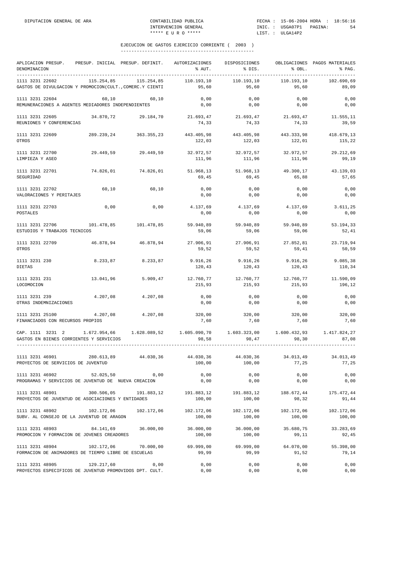| APLICACION PRESUP.<br>DENOMINACION                                                                                                                                                                    | PRESUP. INICIAL PRESUP. DEFINIT. |                       | AUTORIZACIONES<br>% AUT. | DISPOSICIONES<br>% DIS.         | % OBL.               | OBLIGACIONES PAGOS MATERIALES<br>% PAG. |
|-------------------------------------------------------------------------------------------------------------------------------------------------------------------------------------------------------|----------------------------------|-----------------------|--------------------------|---------------------------------|----------------------|-----------------------------------------|
| 1111 3231 22602<br>GASTOS DE DIVULGACION Y PROMOCION(CULT., COMERC.Y CIENTI                                                                                                                           | 115.254,85                       | 115.254,85            | 110.193,10<br>95,60      | 110.193,10<br>95,60             | 110.193.10<br>95,60  | 102.690,69<br>89,09                     |
| 1111 3231 22604<br>REMUNERACIONES A AGENTES MEDIADORES INDEPENDIENTES                                                                                                                                 | 60.10                            | 60,10                 | 0,00<br>0,00             | 0,00<br>0,00                    | 0,00<br>0,00         | 0,00<br>0,00                            |
| 1111 3231 22605<br>REUNIONES Y CONFERENCIAS                                                                                                                                                           |                                  | 34.870,72 29.184,70   | 74,33                    | 21.693,47 21.693,47<br>74,33    | 21.693,47<br>74,33   | 11.555,11<br>39,59                      |
| 1111 3231 22609<br>OTROS                                                                                                                                                                              |                                  | 289.239.24 363.355.23 | 122,03                   | 443.405,98 443.405,98<br>122,03 | 122,01               | 443.333,98 418.679,13<br>115,22         |
| 1111 3231 22700<br>LIMPIEZA Y ASEO                                                                                                                                                                    |                                  | 29.449,59 29.449,59   | 32.972,57<br>111,96      | 32.972,57<br>111,96             | 32.972,57<br>111,96  | 29.212,69<br>99,19                      |
| 1111 3231 22701<br>SEGURIDAD                                                                                                                                                                          | 74.826,01                        | 74.826,01             | 51.968,13<br>69,45       | 51.968,13<br>69,45              | 49.300,17<br>65,88   | 43.139,03<br>57,65                      |
| 1111 3231 22702<br>VALORACIONES Y PERITAJES                                                                                                                                                           | 60,10                            | 60,10                 | 0,00<br>0,00             | 0,00<br>0,00                    | 0,00<br>0,00         | 0,00<br>0,00                            |
| 1111 3231 22703<br>POSTALES                                                                                                                                                                           | 0,00                             | 0,00                  | 4.137,69<br>0,00         | 4.137,69<br>0,00                | 4.137,69<br>0,00     | 3.611,25<br>0,00                        |
| 1111 3231 22706<br>ESTUDIOS Y TRABAJOS TECNICOS                                                                                                                                                       |                                  | 101.478,85 101.478,85 | 59.940,89<br>59,06       | 59.940,89<br>59,06              | 59.940,89<br>59,06   | 53.194,33<br>52,41                      |
| 1111 3231 22709<br>OTROS                                                                                                                                                                              |                                  | 46.878,94 46.878,94   | 27.906,91<br>59,52       | 27.906,91<br>59,52              | 27.852,81<br>59,41   | 23.719,94<br>50,59                      |
| 1111 3231 230<br>DIETAS                                                                                                                                                                               | 8.233,87                         | 8.233,87              | 9.916,26<br>120,43       | 9.916,26<br>120,43              | 9.916,26<br>120,43   | 9.085,38<br>110,34                      |
| 1111 3231 231<br>LOCOMOCION                                                                                                                                                                           | 13.041,96                        | 5.909,47              | 12.760,77<br>215,93      | 12.760,77<br>215,93             | 12.760,77<br>215,93  | 11.590,09<br>196,12                     |
| 1111 3231 239<br>OTRAS INDEMNIZACIONES                                                                                                                                                                | 4.207,08                         | 4.207,08              | 0,00<br>0,00             | 0,00<br>0,00                    | 0,00<br>0,00         | 0,00<br>0,00                            |
| 1111 3231 25100<br>FINANCIADOS CON RECURSOS PROPIOS                                                                                                                                                   | 4.207,08                         | 4.207,08              | 320,00<br>7,60           | 320,00<br>7,60                  | 320,00<br>7,60       | 320,00<br>7,60                          |
| $\texttt{CAP. } 1111 \quad 3231 \quad 2 \quad 1.672.954.66 \quad 1.628.089.52 \quad 1.605.090.70 \quad 1.603.323.00 \quad 1.600.432.93 \quad 1.417.824.27$<br>GASTOS EN BIENES CORRIENTES Y SERVICIOS |                                  |                       | 98,58                    | 98,47                           | 98,30                | 87,08                                   |
| 1111 3231 46901<br>PROYECTOS DE SERVICIOS DE JUVENTUD                                                                                                                                                 | 280.613,89                       | 44.030,36             | 44.030,36<br>100,00      | 44.030,36<br>100,00             | 34.013,49<br>77,25   | 34.013,49<br>77,25                      |
| 1111 3231 46902<br>PROGRAMAS Y SERVICIOS DE JUVENTUD DE NUEVA CREACION                                                                                                                                | 52.025,50                        | 0,00                  | 0,00<br>0,00             | 0,00<br>0,00                    | 0,00<br>0,00         | 0,00<br>0,00                            |
| 1111 3231 48901<br>PROYECTOS DE JUVENTUD DE ASOCIACIONES Y ENTIDADES                                                                                                                                  | 300.506,05                       | 191.883,12            | 191.883,12<br>100,00     | 191.883,12<br>100,00            | 188.672,44<br>98,32  | 175.472,44<br>91,44                     |
| 1111 3231 48902<br>SUBV. AL CONSEJO DE LA JUVENTUD DE ARAGON                                                                                                                                          | 102.172,06                       | 102.172,06            | 102.172,06<br>100,00     | 102.172,06<br>100,00            | 102.172,06<br>100,00 | 102.172,06<br>100,00                    |
| 1111 3231 48903<br>PROMOCION Y FORMACION DE JOVENES CREADORES                                                                                                                                         | 84.141,69                        | 36.000,00             | 36.000,00<br>100,00      | 36.000,00<br>100,00             | 35.680,75<br>99,11   | 33.283,69<br>92,45                      |
| 1111 3231 48904<br>FORMACION DE ANIMADORES DE TIEMPO LIBRE DE ESCUELAS                                                                                                                                | 102.172,06                       | 70.000,00             | 69.999,00<br>99,99       | 69.999,00<br>99,99              | 64.070,00<br>91,52   | 55.398,00<br>79,14                      |
| 1111 3231 48905<br>PROYECTOS ESPECIFICOS DE JUVENTUD PROMOVIDOS DPT. CULT.                                                                                                                            | 129.217,60                       | 0,00                  | 0,00<br>0,00             | 0,00<br>0,00                    | 0,00<br>0,00         | 0,00<br>0,00                            |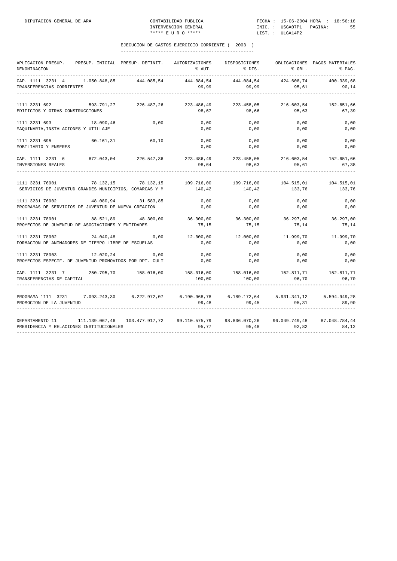| APLICACION PRESUP.<br>PRESUP. INICIAL PRESUP. DEFINIT.                                                                                      | AUTORIZACIONES | DISPOSICIONES                                   |                  | OBLIGACIONES PAGOS MATERIALES |
|---------------------------------------------------------------------------------------------------------------------------------------------|----------------|-------------------------------------------------|------------------|-------------------------------|
| DENOMINACION                                                                                                                                | % AUT.         | % DIS.                                          | $\text{\$}$ OBL. | $\mathcal{E}$ PAG.            |
| CAP. 1111 3231 4 1.050.848,85 444.085,54                                                                                                    | 444.084,54     | 444.084,54                                      | 424.608,74       | 400.339,68                    |
| TRANSFERENCIAS CORRIENTES                                                                                                                   |                | 99,99 99,99                                     |                  | 95,61<br>90,14                |
| $1111 \quad 3231 \quad 692 \qquad 593.791.27 \qquad 226.487.26 \qquad 223.486.49 \qquad 223.458.05 \qquad 216.603.54 \qquad 152.651.663.56$ |                |                                                 |                  |                               |
| EDIFICIOS Y OTRAS CONSTRUCCIONES                                                                                                            | 98,67          | 98,66                                           | 95,63            | 67,39                         |
| 1111 3231 693<br>18.090,46<br>0,00                                                                                                          | 0,00           | 0,00                                            | 0,00             | 0,00                          |
| MAQUINARIA, INSTALACIONES Y UTILLAJE                                                                                                        | 0,00           | 0,00                                            | 0,00             | 0,00                          |
| 60.161,31 60,10<br>1111 3231 695                                                                                                            | 0,00           | 0,00                                            | 0,00             | 0,00                          |
| MOBILIARIO Y ENSERES                                                                                                                        | 0,00           | 0,00                                            | 0,00             | 0,00                          |
| CAP. 1111 3231 6 672.043,04 226.547,36 223.486,49 223.458,05 216.603,54 152.651,66<br>INVERSIONES REALES 98,64 98,63 95,61 67,38            |                |                                                 |                  |                               |
|                                                                                                                                             |                |                                                 |                  |                               |
| 78.132,15 78.132,15 109.716,00 109.716,00 104.515,01 104.515,01<br>1111 3231 76901                                                          |                |                                                 |                  |                               |
| SERVICIOS DE JUVENTUD GRANDES MUNICIPIOS, COMARCAS Y M $140,42$ 140,42 133,76 133,76 133,76                                                 |                |                                                 |                  |                               |
| 1111 3231 76902 48.080,94 31.583,85                                                                                                         | 0,00           | 0,00                                            | 0,00             | 0,00                          |
| PROGRAMAS DE SERVICIOS DE JUVENTUD DE NUEVA CREACION                                                                                        | 0,00           | 0,00                                            | 0,00             | 0,00                          |
| $88.521.89$ $48.300.00$ $36.300.00$ $36.300.00$ $36.297.00$ $36.297.00$<br>1111 3231 78901                                                  |                |                                                 |                  |                               |
| PROYECTOS DE JUVENTUD DE ASOCIACIONES Y ENTIDADES                                                                                           | 75,15          | 75, 15                                          | 75,14            | 75,14                         |
| 1111 3231 78902 24.040,48 0,00                                                                                                              |                | $12.000,00$ $12.000,00$ $11.999,70$ $11.999,70$ |                  |                               |
| FORMACION DE ANIMADORES DE TIEMPO LIBRE DE ESCUELAS                                                                                         | 0,00           | 0,00                                            | 0,00             | 0,00                          |
| 1111 3231 78903<br>12.020, 24<br>0,00                                                                                                       | 0,00           | 0,00                                            | 0,00             | 0,00                          |
| PROYECTOS ESPECIF. DE JUVENTUD PROMOVIDOS POR DPT. CULT                                                                                     | 0,00           | 0,00                                            | 0,00             | 0,00                          |
| CAP. 1111 3231 7 250.795,70 158.016,00 158.016,00 158.016,00 158.016,00 152.811,71 152.811,71                                               |                |                                                 |                  |                               |
| TRANSFERENCIAS DE CAPITAL                                                                                                                   | 100,00         | 100,00                                          | 96,70            | 96,70                         |
| PROGRAMA 1111 3231 7.093.243,30 6.222.972,07 6.190.968,78 6.189.172,64 5.931.341,12 5.594.949,28                                            |                |                                                 |                  |                               |
| PROMOCION DE LA JUVENTUD                                                                                                                    | 99,48          | 99,45                                           |                  | 95,31 89,90                   |
| DEPARTAMENTO 11 111.139.067,46 103.477.917,72 99.110.575,79 98.806.070,26 96.049.749,48 87.048.784,44                                       |                |                                                 |                  |                               |
| PRESIDENCIA Y RELACIONES INSTITUCIONALES                                                                                                    | 95,77          | 95,48                                           | 92,82            | 84,12                         |
|                                                                                                                                             |                |                                                 |                  |                               |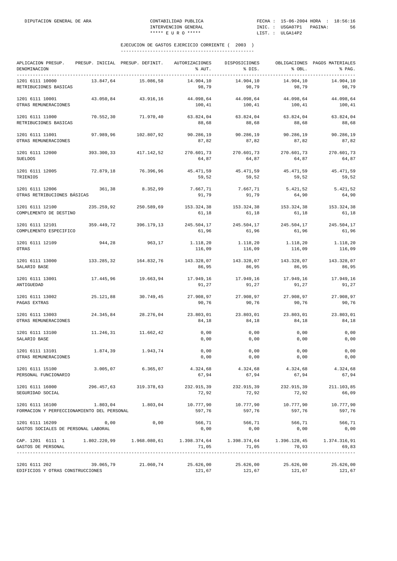| APLICACION PRESUP.<br>DENOMINACION<br>______________                                                                 |            | PRESUP. INICIAL PRESUP. DEFINIT. | AUTORIZACIONES<br>% AUT. | DISPOSICIONES<br>% DIS. | % OBL.                     | OBLIGACIONES PAGOS MATERIALES<br>% PAG. |
|----------------------------------------------------------------------------------------------------------------------|------------|----------------------------------|--------------------------|-------------------------|----------------------------|-----------------------------------------|
| 1201 6111 10000<br>RETRIBUCIONES BASICAS                                                                             | 13.847,64  | 15.086,58                        | 14.904,10<br>98,79       | 14.904,10<br>98,79      | 14.904,10<br>98,79         | 14.904,10<br>98,79                      |
| 1201 6111 10001<br>OTRAS REMUNERACIONES                                                                              | 43.050,84  | 43.916,16                        | 44.098,64<br>100,41      | 44.098,64<br>100,41     | 44.098,64<br>100,41        | 44.098,64<br>100,41                     |
| 1201 6111 11000<br>RETRIBUCIONES BASICAS                                                                             | 70.552,30  | 71.970,40                        | 63.824,04<br>88,68       | 63.824,04<br>88,68      | 63.824,04<br>88,68         | 63.824,04<br>88,68                      |
| 1201 6111 11001<br>OTRAS REMUNERACIONES                                                                              | 97.989,96  | 102.807,92                       | 90.286,19<br>87,82       | 90.286,19<br>87,82      | 90.286,19<br>87,82         | 90.286,19<br>87,82                      |
| 1201 6111 12000<br><b>SUELDOS</b>                                                                                    | 393.300,33 | 417.142,52                       | 270.601,73<br>64,87      | 270.601,73<br>64,87     | 270.601,73<br>64,87        | 270.601,73<br>64,87                     |
| 1201 6111 12005<br>TRIENIOS                                                                                          | 72.879,18  | 76.396,96                        | 45.471,59<br>59,52       | 45.471,59<br>59,52      | 45.471,59<br>59,52         | 45.471,59<br>59,52                      |
| 1201 6111 12006<br>OTRAS RETRIBUCIONES BÁSICAS                                                                       | 361,38     | 8.352,99                         | 7.667,71<br>91,79        | 7.667,71<br>91,79       | 5.421,52<br>64,90          | 5.421,52<br>64,90                       |
| 1201 6111 12100<br>COMPLEMENTO DE DESTINO                                                                            | 235.259,92 | 250.589,69                       | 153.324,38<br>61,18      | 153.324,38<br>61,18     | 153.324,38<br>61,18        | 153.324,38<br>61,18                     |
| 1201 6111 12101<br>COMPLEMENTO ESPECIFICO                                                                            | 359.449,72 | 396.179,13                       | 245.504,17<br>61,96      | 245.504,17<br>61,96     | 245.504,17<br>61,96        | 245.504,17<br>61,96                     |
| 1201 6111 12109<br>OTRAS                                                                                             | 944,28     | 963,17                           | 1.118,20<br>116,09       | 1.118,20<br>116,09      | 1.118,20<br>116,09         | 1.118,20<br>116,09                      |
| 1201 6111 13000<br>SALARIO BASE                                                                                      | 133.285,32 | 164.832,76                       | 143.328,07<br>86,95      | 143.328,07<br>86,95     | 143.328,07<br>86,95        | 143.328,07<br>86,95                     |
| 1201 6111 13001<br>ANTIGUEDAD                                                                                        | 17.445,96  | 19.663,94                        | 17.949,16<br>91,27       | 17.949,16<br>91,27      | 17.949,16<br>91,27         | 17.949,16<br>91,27                      |
| 1201 6111 13002<br>PAGAS EXTRAS                                                                                      | 25.121,88  | 30.749,45                        | 27.908,97<br>90,76       | 27.908,97<br>90,76      | 27.908,97<br>90,76         | 27.908,97<br>90,76                      |
| 1201 6111 13003<br>OTRAS REMUNERACIONES                                                                              | 24.345,84  | 28.276,04                        | 23.803,01<br>84,18       | 23.803,01<br>84,18      | 23.803,01<br>84,18         | 23.803,01<br>84,18                      |
| 1201 6111 13100<br>SALARIO BASE                                                                                      | 11.246,31  | 11.662,42                        | 0,00<br>0,00             | 0,00<br>0,00            | 0,00<br>0,00               | 0,00<br>0,00                            |
| 1201 6111 13101<br>OTRAS REMUNERACIONES                                                                              | 1.874,39   | 1.943,74                         | 0,00<br>0,00             | 0,00<br>0,00            | 0,00<br>0,00               | 0,00<br>0,00                            |
| 1201 6111 15100<br>PERSONAL FUNCIONARIO                                                                              | 3.005,07   | 6.365,07                         | 4.324,68<br>67,94        | 67,94                   | 4.324,68 4.324,68<br>67,94 | 4.324,68<br>67,94                       |
| 1201 6111 16000<br>SEGURIDAD SOCIAL                                                                                  |            | 296.457,63 319.378,63            | 232.915,39<br>72,92      | 232.915,39<br>72,92     | 232.915,39<br>72,92        | 211.103,85<br>66,09                     |
| 1201 6111 16100<br>FORMACION Y PERFECCIONAMIENTO DEL PERSONAL                                                        | 1.803,04   | 1.803,04                         | 10.777,90<br>597,76      | 10.777,90<br>597,76     | 10.777,90<br>597,76        | 10.777,90<br>597,76                     |
| 1201 6111 16209<br>GASTOS SOCIALES DE PERSONAL LABORAL                                                               | 0,00       | 0,00                             | 566,71<br>0,00           | 566,71<br>0,00          | 566,71<br>0,00             | 566,71<br>0,00                          |
| CAP. 1201 6111 1 1.802.220,99 1.968.080,61 1.398.374,64 1.398.374,64 1.398.128,45 1.374.316,91<br>GASTOS DE PERSONAL |            |                                  | 71,05                    | 71,05                   | 70,93                      | 69,83                                   |
| 1201 6111 202<br>EDIFICIOS Y OTRAS CONSTRUCCIONES                                                                    | 39.065,79  | 21.060,74                        | 25.626,00<br>121,67      | 25.626,00<br>121,67     | 121,67                     | 25.626,00 25.626,00<br>121,67           |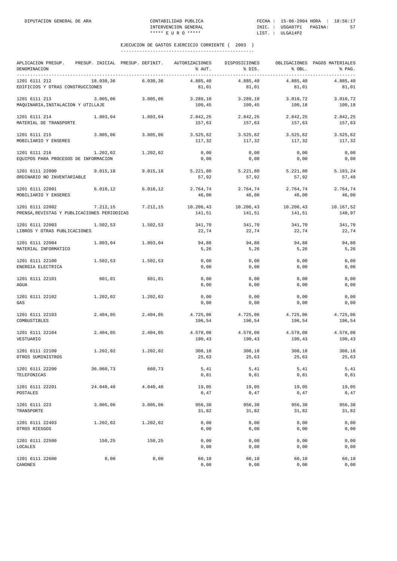| APLICACION PRESUP.<br>DENOMINACION                             |           | PRESUP. INICIAL PRESUP. DEFINIT. | AUTORIZACIONES<br>% AUT. | DISPOSICIONES<br>% DIS. | % OBL.              | OBLIGACIONES PAGOS MATERIALES<br>% PAG.<br>--------- |
|----------------------------------------------------------------|-----------|----------------------------------|--------------------------|-------------------------|---------------------|------------------------------------------------------|
| 1201 6111 212<br>EDIFICIOS Y OTRAS CONSTRUCCIONES              | 18.030,36 | 6.030, 36                        | 4.885,40<br>81,01        | 4.885,40<br>81,01       | 4.885,40<br>81,01   | 4.885,40<br>81,01                                    |
| 1201 6111 213<br>MAQUINARIA, INSTALACION Y UTILLAJE            | 3.005,06  | 3.005,06                         | 3.289,10<br>109,45       | 3.289, 10<br>109,45     | 3.010, 72<br>100,18 | 3.010,72<br>100,18                                   |
| 1201 6111 214<br>MATERIAL DE TRANSPORTE                        | 1.803,04  | 1.803,04                         | 2.842,25<br>157,63       | 2.842,25<br>157,63      | 2.842,25<br>157,63  | 2.842,25<br>157,63                                   |
| 1201 6111 215<br>MOBILIARIO Y ENSERES                          | 3.005,06  | 3.005,06                         | 3.525,62<br>117,32       | 3.525,62<br>117,32      | 3.525,62<br>117,32  | 3.525,62<br>117,32                                   |
| 1201 6111 216<br>EQUIPOS PARA PROCESOS DE INFORMACION          | 1.202,02  | 1.202,02                         | 0,00<br>0,00             | 0,00<br>0,00            | 0,00<br>0,00        | 0,00<br>0,00                                         |
| 1201 6111 22000<br>ORDINARIO NO INVENTARIABLE                  | 9.015, 18 | 9.015, 18                        | 5.221,80<br>57,92        | 5.221,80<br>57,92       | 5.221,80<br>57,92   | 5.183,24<br>57,49                                    |
| 1201 6111 22001<br>MOBILIARIO Y ENSERES                        | 6.010, 12 | 6.010, 12                        | 2.764,74<br>46,00        | 2.764,74<br>46,00       | 2.764,74<br>46,00   | 2.764,74<br>46,00                                    |
| 1201 6111 22002<br>PRENSA, REVISTAS Y PUBLICACIONES PERIODICAS | 7.212,15  | 7.212,15                         | 10.206,43<br>141,51      | 10.206,43<br>141,51     | 10.206,43<br>141,51 | 10.167,52<br>140,97                                  |
| 1201 6111 22003<br>LIBROS Y OTRAS PUBLICACIONES                | 1.502,53  | 1.502,53                         | 341,70<br>22,74          | 341,70<br>22,74         | 341,70<br>22,74     | 341,70<br>22,74                                      |
| 1201 6111 22004<br>MATERIAL INFORMATICO                        | 1.803,04  | 1.803,04                         | 94,88<br>5, 26           | 94,88<br>5,26           | 94,88<br>5, 26      | 94,88<br>5, 26                                       |
| 1201 6111 22100<br>ENERGIA ELECTRICA                           | 1.502,53  | 1.502,53                         | 0,00<br>0,00             | 0,00<br>0,00            | 0,00<br>0,00        | 0,00<br>0,00                                         |
| 1201 6111 22101<br>AGUA                                        | 601,01    | 601,01                           | 0,00<br>0,00             | 0,00<br>0,00            | 0,00<br>0,00        | 0,00<br>0,00                                         |
| 1201 6111 22102<br>GAS                                         | 1.202,02  | 1.202,02                         | 0,00<br>0,00             | 0,00<br>0,00            | 0,00<br>0,00        | 0,00<br>0,00                                         |
| 1201 6111 22103<br>COMBUSTIBLES                                | 2.404,05  | 2.404,05                         | 4.725,06<br>196,54       | 4.725,06<br>196,54      | 4.725,06<br>196,54  | 4.725,06<br>196,54                                   |
| 1201 6111 22104<br>VESTUARIO                                   | 2.404,05  | 2.404,05                         | 4.578,08<br>190,43       | 4.578,08<br>190,43      | 4.578,08<br>190,43  | 4.578,08<br>190,43                                   |
| 1201 6111 22109<br>OTROS SUMINISTROS                           | 1.202,02  | 1.202,02                         | 308,18<br>25,63          | 308,18<br>25,63         | 308,18<br>25,63     | 308,18<br>25,63                                      |
| 1201 6111 22200<br>TELEFONICAS                                 | 36.060,73 | 660,73                           | 5,41<br>0,81             | 5,41<br>0,81            | 5,41<br>0,81        | 5,41<br>0,81                                         |
| 1201 6111 22201<br>POSTALES                                    | 24.040,48 | 4.040,48                         | 19,05<br>0,47            | 19,05<br>0,47           | 19,05<br>0,47       | 19,05<br>0,47                                        |
| 1201 6111 223<br>TRANSPORTE                                    | 3.005,06  | 3.005,06                         | 956,38<br>31,82          | 956,38<br>31,82         | 956,38<br>31,82     | 956,38<br>31,82                                      |
| 1201 6111 22403<br>OTROS RIESGOS                               | 1.202,02  | 1.202,02                         | 0,00<br>0,00             | 0,00<br>0,00            | 0,00<br>0,00        | 0,00<br>0,00                                         |
| 1201 6111 22500<br>LOCALES                                     | 150,25    | 150,25                           | 0,00<br>0,00             | 0,00<br>0,00            | 0,00<br>0,00        | 0,00<br>0,00                                         |
| 1201 6111 22600<br>CANONES                                     | 0,00      | 0,00                             | 60,10<br>0,00            | 60,10<br>0,00           | 60,10<br>0,00       | 60,10<br>0,00                                        |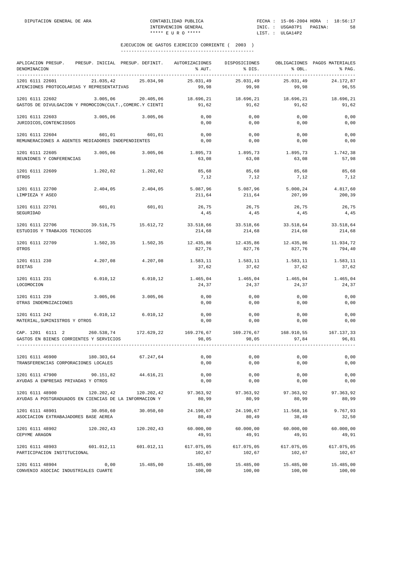| APLICACION PRESUP.<br>DENOMINACION<br>__________________________________    | PRESUP. INICIAL PRESUP. DEFINIT. |            | AUTORIZACIONES<br>% AUT. | DISPOSICIONES<br>% DIS. | % OBL.               | OBLIGACIONES PAGOS MATERIALES<br>% PAG. |
|-----------------------------------------------------------------------------|----------------------------------|------------|--------------------------|-------------------------|----------------------|-----------------------------------------|
| 1201 6111 22601<br>ATENCIONES PROTOCOLARIAS Y REPRESENTATIVAS               | 21.035,42                        | 25.034,98  | 25.031,49<br>99,98       | 25.031,49<br>99,98      | 25.031,49<br>99,98   | 24.172,87<br>96,55                      |
| 1201 6111 22602<br>GASTOS DE DIVULGACION Y PROMOCION(CULT., COMERC.Y CIENTI | 3.005,06                         | 20.405,06  | 18.696,21<br>91,62       | 18.696,21<br>91.62      | 18.696,21<br>91,62   | 18.696,21<br>91,62                      |
| 1201 6111 22603<br>JURIDICOS, CONTENCIOSOS                                  | 3.005,06                         | 3.005,06   | 0,00<br>0,00             | 0,00<br>0,00            | 0,00<br>0,00         | 0,00<br>0,00                            |
| 1201 6111 22604<br>REMUNERACIONES A AGENTES MEDIADORES INDEPENDIENTES       | 601,01                           | 601,01     | 0,00<br>0,00             | 0,00<br>0,00            | 0,00<br>0,00         | 0,00<br>0,00                            |
| 1201 6111 22605<br>REUNIONES Y CONFERENCIAS                                 | 3.005,06                         | 3.005,06   | 1.895,73<br>63,08        | 1.895,73<br>63,08       | 1.895,73<br>63,08    | 1.742,38<br>57,98                       |
| 1201 6111 22609<br>OTROS                                                    | 1.202,02                         | 1.202,02   | 85,68<br>7,12            | 85,68<br>7,12           | 85,68<br>7,12        | 85,68<br>7,12                           |
| 1201 6111 22700<br>LIMPIEZA Y ASEO                                          | 2.404,05                         | 2.404,05   | 5.087,96<br>211,64       | 5.087,96<br>211,64      | 5.000,24<br>207,99   | 4.817,60<br>200,39                      |
| 1201 6111 22701<br>SEGURIDAD                                                | 601,01                           | 601,01     | 26.75<br>4,45            | 26,75<br>4,45           | 26,75<br>4,45        | 26,75<br>4,45                           |
| 1201 6111 22706<br>ESTUDIOS Y TRABAJOS TECNICOS                             | 39.516,75                        | 15.612,72  | 33.518,66<br>214,68      | 33.518,66<br>214,68     | 33.518,64<br>214,68  | 33.518,64<br>214,68                     |
| 1201 6111 22709<br>OTROS                                                    | 1.502,35                         | 1.502,35   | 12.435,86<br>827,76      | 12.435,86<br>827,76     | 12.435,86<br>827,76  | 11.934,72<br>794,40                     |
| 1201 6111 230<br><b>DIETAS</b>                                              | 4.207,08                         | 4.207,08   | 1.583,11<br>37,62        | 1.583,11<br>37,62       | 1.583,11<br>37,62    | 1.583,11<br>37,62                       |
| 1201 6111 231<br>LOCOMOCION                                                 | 6.010, 12                        | 6.010, 12  | 1.465,04<br>24,37        | 1.465,04<br>24,37       | 1.465,04<br>24,37    | 1.465,04<br>24,37                       |
| 1201 6111 239<br>OTRAS INDEMNIZACIONES                                      | 3.005,06                         | 3.005,06   | 0,00<br>0,00             | 0,00<br>0,00            | 0,00<br>0,00         | 0,00<br>0,00                            |
| 1201 6111 242<br>MATERIAL, SUMINISTROS Y OTROS                              | 6.010, 12                        | 6.010, 12  | 0,00<br>0,00             | 0,00<br>0,00            | 0,00<br>0,00         | 0,00<br>0,00                            |
| CAP. 1201 6111 2<br>GASTOS EN BIENES CORRIENTES Y SERVICIOS                 | 260.538,74                       | 172.629,22 | 169.276,67<br>98,05      | 169.276,67<br>98,05     | 168.910,55<br>97,84  | 167.137,33<br>96,81                     |
| 1201 6111 46900<br>TRANSFERENCIAS CORPORACIONES LOCALES                     | 180.303,64                       | 67.247,64  | 0,00<br>0,00             | 0,00<br>0,00            | 0,00<br>0,00         | 0,00<br>0,00                            |
| 1201 6111 47900<br>AYUDAS A ENPRESAS PRIVADAS Y OTROS                       | 90.151,82                        | 44.616,21  | 0,00<br>0,00             | 0,00<br>0,00            | 0,00<br>0,00         | 0,00<br>0,00                            |
| 1201 6111 48900<br>AYUDAS A POSTGRADUADOS EN CIENCIAS DE LA INFORMACION Y   | 120.202,42                       | 120.202,42 | 97.363,92<br>80,99       | 97.363,92<br>80,99      | 97.363,92<br>80,99   | 97.363,92<br>80,99                      |
| 1201 6111 48901<br>ASOCIACION EXTRABAJADORES BASE AEREA                     | 30.050,60                        | 30.050,60  | 24.190,67<br>80,49       | 24.190,67<br>80,49      | 11.568,16<br>38,49   | 9.767,93<br>32,50                       |
| 1201 6111 48902<br>CEPYME ARAGON                                            | 120.202,43                       | 120.202,43 | 60.000,00<br>49,91       | 60.000,00<br>49,91      | 60.000,00<br>49,91   | 60.000,00<br>49,91                      |
| 1201 6111 48903<br>PARTICIPACION INSTITUCIONAL                              | 601.012,11                       | 601.012,11 | 617.075,05<br>102,67     | 617.075,05<br>102,67    | 617.075,05<br>102,67 | 617.075,05<br>102,67                    |
| 1201 6111 48904<br>CONVENIO ASOCIAC INDUSTRIALES CUARTE                     | 0,00                             | 15.485,00  | 15.485,00<br>100,00      | 15.485,00<br>100,00     | 15.485,00<br>100,00  | 15.485,00<br>100,00                     |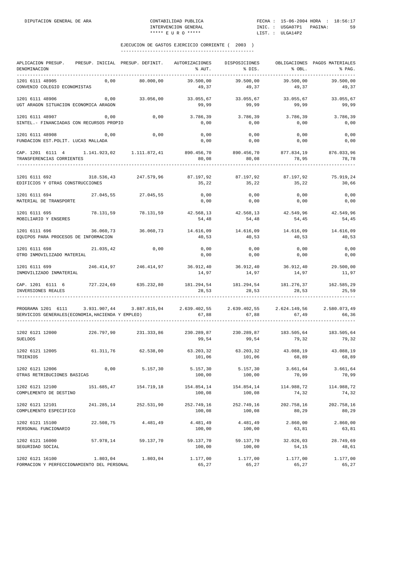| APLICACION PRESUP.<br>DENOMINACION<br>.                                                                                                  |            | PRESUP. INICIAL PRESUP. DEFINIT.                                              | AUTORIZACIONES<br>% AUT.       | DISPOSICIONES<br>% DIS.                                      | % OBL.              | OBLIGACIONES PAGOS MATERIALES<br>% PAG. |
|------------------------------------------------------------------------------------------------------------------------------------------|------------|-------------------------------------------------------------------------------|--------------------------------|--------------------------------------------------------------|---------------------|-----------------------------------------|
| 1201 6111 48905<br>CONVENIO COLEGIO ECONOMISTAS                                                                                          | 0,00       | 80.000,00                                                                     | 39.500,00<br>49,37             | 39.500,00<br>49,37                                           | 39.500.00<br>49,37  | 39.500,00<br>49,37                      |
| 1201 6111 48906<br>UGT ARAGON SITUACION ECONOMICA ARAGON                                                                                 | 0,00       | 33.056,00                                                                     | 33.055,67<br>99,99             | 33.055,67<br>99,99                                           | 33.055,67<br>99,99  | 33.055.67<br>99,99                      |
| 1201 6111 48907<br>SINTEL. - FINANCIADAS CON RECURSOS PROPIO                                                                             | 0,00       | 0,00                                                                          | 3.786,39<br>0,00               | 3.786,39<br>0,00                                             | 3.786,39<br>0,00    | 3.786,39<br>0,00                        |
| 1201 6111 48908<br>FUNDACION EST. POLIT. LUCAS MALLADA                                                                                   | 0,00       | 0,00                                                                          | 0,00<br>0,00                   | 0,00<br>0,00                                                 | 0,00<br>0,00        | 0,00<br>0,00                            |
| CAP. 1201 6111 4 1.141.923,02 1.111.872,41<br>TRANSFERENCIAS CORRIENTES                                                                  |            |                                                                               | 890.456,70 890.456,70<br>80,08 | 80,08                                                        | 877.834,19<br>78,95 | 876.033,96<br>78,78                     |
| 1201 6111 692<br>EDIFICIOS Y OTRAS CONSTRUCCIONES                                                                                        | 318.536,43 | 247.579,96                                                                    | 87.197,92<br>35,22             | 87.197,92<br>35,22                                           | 87.197,92<br>35,22  | 75.919,24<br>30,66                      |
| 1201 6111 694<br>MATERIAL DE TRANSPORTE                                                                                                  |            | 27.045,55 27.045,55                                                           | 0,00<br>0,00                   | 0,00<br>0,00                                                 | 0,00<br>0,00        | 0,00<br>0,00                            |
| 1201 6111 695<br>MOBILIARIO Y ENSERES                                                                                                    | 78.131,59  | 78.131,59                                                                     | 42.568,13<br>54,48             | 42.568,13<br>54,48                                           | 42.549,96<br>54,45  | 42.549,96<br>54,45                      |
| 1201 6111 696<br>EQUIPOS PARA PROCESOS DE INFORMACION                                                                                    | 36.060,73  | 36.060,73                                                                     | 40,53                          | 14.616,09 14.616,09<br>40,53                                 | 40,53               | 14.616,09 14.616,09<br>40,53            |
| 1201 6111 698<br>OTRO INMOVILIZADO MATERIAL                                                                                              | 21.035,42  | 0,00                                                                          | 0,00<br>0,00                   | 0,00<br>0,00                                                 | 0,00<br>0,00        | 0,00<br>0,00                            |
| 1201 6111 699<br>INMOVILIZADO INMATERIAL                                                                                                 |            | 246.414,97 246.414,97 36.912,40 36.912,40                                     | 14,97                          | 14,97                                                        | 36.912,40<br>14,97  | 29.500,00<br>11,97                      |
| CAP. 1201 6111 6 727.224,69 635.232,80<br>INVERSIONES REALES                                                                             |            |                                                                               | 28,53                          | $181.294,54$ $181.294,54$ $181.276,37$ $162.585,29$<br>28,53 | 28,53               | 25,59                                   |
| PROGRAMA 1201 6111 3.931.907,44 3.887.815,04 2.639.402,55 2.639.402,55 2.624.149,56<br>SERVICIOS GENERALES (ECONOMIA, HACIENDA Y EMPLEO) |            |                                                                               | 67,88                          | 67,88                                                        | 67,49               | 2.580.073,49<br>66,36                   |
| 1202 6121 12000<br><b>SUELDOS</b>                                                                                                        |            | $226.797,90$ $231.333,86$ $230.289,87$ $230.289,87$ $183.505,64$ $183.505,64$ | 99,54                          | 99,54                                                        | 79,32               | 79,32                                   |
| 1202 6121 12005<br>TRIENIOS                                                                                                              | 61.311,76  | 62.538,00                                                                     | 101,06                         | 63.203,32 63.203,32<br>101,06                                | 43.088,19<br>68,89  | 43.088.19<br>68,89                      |
| 1202 6121 12006<br>OTRAS RETRIBUCIONES BASICAS                                                                                           | 0,00       | 5.157,30                                                                      | 5.157,30<br>100,00             | 5.157,30<br>100,00                                           | 3.661,64<br>70,99   | 3.661,64<br>70,99                       |
| 1202 6121 12100<br>COMPLEMENTO DE DESTINO                                                                                                | 151.685,47 | 154.719,18                                                                    | 154.854,14<br>100,08           | 154.854,14<br>100,08                                         | 114.988,72<br>74,32 | 114.988,72<br>74,32                     |
| 1202 6121 12101<br>COMPLEMENTO ESPECIFICO                                                                                                | 241.285,14 | 252.531,90                                                                    | 252.749,16<br>100,08           | 252.749,16<br>100,08                                         | 202.758,16<br>80,29 | 202.758,16<br>80,29                     |
| 1202 6121 15100<br>PERSONAL FUNCIONARIO                                                                                                  | 22.508,75  | 4.481,49                                                                      | 4.481,49<br>100,00             | 4.481,49<br>100,00                                           | 2.860,00<br>63,81   | 2.860,00<br>63,81                       |
| 1202 6121 16000<br>SEGURIDAD SOCIAL                                                                                                      | 57.978,14  | 59.137,70                                                                     | 59.137,70<br>100,00            | 59.137,70<br>100,00                                          | 32.026,03<br>54,15  | 28.749,69<br>48,61                      |
| 1202 6121 16100<br>FORMACION Y PERFECCIONAMIENTO DEL PERSONAL                                                                            | 1.803,04   | 1.803,04                                                                      | 1.177,00<br>65,27              | 1.177,00<br>65,27                                            | 1.177,00<br>65,27   | 1.177,00<br>65,27                       |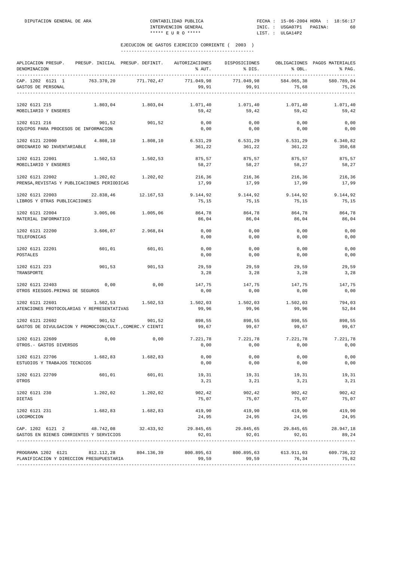| APLICACION PRESUP. PRESUP. INICIAL PRESUP. DEFINIT. AUTORIZACIONES DISPOSICIONES<br>DENOMINACION                                 |           |                       | % AUT.              | % DIS.              | % OBL.              | OBLIGACIONES PAGOS MATERIALES<br>% PAG. |
|----------------------------------------------------------------------------------------------------------------------------------|-----------|-----------------------|---------------------|---------------------|---------------------|-----------------------------------------|
| CAP. 1202 6121 1<br>GASTOS DE PERSONAL                                                                                           |           | 763.370,20 771.702,47 | 771.049,98<br>99,91 | 771.049,98<br>99,91 | 584.065,38<br>75,68 | 580.789,04<br>75,26                     |
| 1202 6121 215<br>MOBILIARIO Y ENSERES                                                                                            | 1.803,04  | 1.803,04              | 1.071,40<br>59,42   | 1.071,40<br>59,42   | 1.071,40<br>59,42   | 1.071,40<br>59,42                       |
| 1202 6121 216<br>EQUIPOS PARA PROCESOS DE INFORMACION                                                                            | 901,52    | 901,52                | 0,00<br>0,00        | 0,00<br>0,00        | 0,00<br>0,00        | 0,00<br>0,00                            |
| 1202 6121 22000<br>ORDINARIO NO INVENTARIABLE                                                                                    | 4.808,10  | 1.808,10              | 6.531,29<br>361,22  | 6.531,29<br>361,22  | 6.531,29<br>361,22  | 6.340,82<br>350,68                      |
| 1202 6121 22001<br>MOBILIARIO Y ENSERES                                                                                          | 1.502,53  | 1.502,53              | 875,57<br>58,27     | 875,57<br>58,27     | 875,57<br>58,27     | 875,57<br>58,27                         |
| 1202 6121 22002<br>PRENSA, REVISTAS Y PUBLICACIONES PERIODICAS                                                                   | 1.202,02  | 1.202,02              | 216,36<br>17,99     | 216,36<br>17,99     | 216,36<br>17,99     | 216,36<br>17,99                         |
| 1202 6121 22003<br>LIBROS Y OTRAS PUBLICACIONES                                                                                  | 22.838,46 | 12.167,53             | 9.144,92<br>75,15   | 9.144,92<br>75,15   | 9.144,92<br>75,15   | 9.144,92<br>75,15                       |
| 1202 6121 22004<br>MATERIAL INFORMATICO                                                                                          | 3.005,06  | 1.005,06              | 864,78<br>86,04     | 864,78<br>86,04     | 864,78<br>86,04     | 864,78<br>86,04                         |
| 1202 6121 22200<br>TELEFONICAS                                                                                                   | 3.606,07  | 2.968,84              | 0,00<br>0,00        | 0,00<br>0,00        | 0,00<br>0,00        | 0,00<br>0,00                            |
| 1202 6121 22201<br>POSTALES                                                                                                      | 601,01    | 601,01                | 0,00<br>0,00        | 0,00<br>0,00        | 0,00<br>0,00        | 0,00<br>0,00                            |
| 1202 6121 223<br>TRANSPORTE                                                                                                      | 901,53    | 901,53                | 29,59<br>3,28       | 29,59<br>3,28       | 29,59<br>3,28       | 29,59<br>3,28                           |
| 1202 6121 22403<br>OTROS RIESGOS. PRIMAS DE SEGUROS                                                                              | 0,00      | 0,00                  | 147,75<br>0,00      | 147,75<br>0,00      | 147,75<br>0,00      | 147,75<br>0,00                          |
| 1202 6121 22601<br>ATENCIONES PROTOCOLARIAS Y REPRESENTATIVAS                                                                    | 1.502,53  | 1.502,53              | 1.502,03<br>99,96   | 1.502,03<br>99,96   | 1.502,03<br>99,96   | 794,03<br>52,84                         |
| 1202 6121 22602<br>GASTOS DE DIVULGACION Y PROMOCION(CULT., COMERC.Y CIENTI                                                      | 901,52    | 901,52                | 898,55<br>99,67     | 898,55<br>99,67     | 898,55<br>99,67     | 898,55<br>99,67                         |
| 1202 6121 22609<br>OTROS. - GASTOS DIVERSOS                                                                                      | 0,00      | 0,00                  | 7.221,78<br>0,00    | 7.221,78<br>0,00    | 7.221,78<br>0,00    | 7.221,78<br>0,00                        |
| 1202 6121 22706<br>ESTUDIOS Y TRABAJOS TECNICOS                                                                                  | 1.682,83  | 1.682,83              | 0,00<br>0,00        | 0,00<br>0,00        | 0,00<br>0,00        | 0,00<br>0,00                            |
| 1202 6121 22709<br>OTROS                                                                                                         |           | 601,01 601,01         | 19,31<br>3,21       | 19,31<br>3, 21      | 19,31<br>3, 21      | 19,31<br>3,21                           |
| 1202 6121 230<br><b>DIETAS</b>                                                                                                   | 1.202,02  | 1, 202, 02            | 902,42<br>75,07     | 902,42<br>75,07     | 902,42<br>75,07     | 902,42<br>75,07                         |
| 1202 6121 231<br>LOCOMOCION                                                                                                      | 1.682,83  | 1.682,83              | 419,90<br>24,95     | 419,90<br>24,95     | 419,90<br>24,95     | 419,90<br>24,95                         |
| CAP. 1202 6121 2 48.742.08 32.433.92 29.845.65 29.845.65 29.845.65 28.947.18<br>GASTOS EN BIENES CORRIENTES Y SERVICIOS          |           |                       | 92,01               | 92,01               | 92,01               | 89,24                                   |
| PROGRAMA 1202 6121 812.112,28 804.136,39 800.895,63 800.895,63 613.911,03 609.736,22<br>PLANIFICACION Y DIRECCION PRESUPUESTARIA |           |                       | 99,59               | 99,59               | 76,34               | 75,82                                   |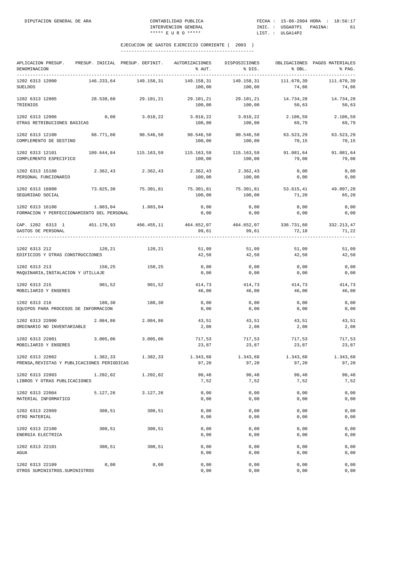| APLICACION PRESUP.<br>DENOMINACION<br>-------------------------------------                              | PRESUP. INICIAL PRESUP. DEFINIT. AUTORIZACIONES |                   | % AUT.                          | DISPOSICIONES<br>$\frac{1}{2}$ bis.               | % OBL.             | OBLIGACIONES PAGOS MATERIALES<br>% PAG. |
|----------------------------------------------------------------------------------------------------------|-------------------------------------------------|-------------------|---------------------------------|---------------------------------------------------|--------------------|-----------------------------------------|
| 1202 6313 12000<br><b>SUELDOS</b>                                                                        | 146.233,64                                      | 149.158,31        | 149.158,31<br>100,00            | 149.158,31<br>100,00                              | 74,86              | 111.670,39 111.670,39<br>74,86          |
| 1202 6313 12005<br>TRIENIOS                                                                              | 28.530,60 29.101,21                             |                   | 29.101,21<br>100,00             | 29.101,21<br>100,00                               | 14.734,28<br>50,63 | 14.734,28<br>50,63                      |
| 1202 6313 12006<br>OTRAS RETRIBUCIONES BASICAS                                                           | 0,00                                            | 3.018, 22         | 3.018,22 3.018,22<br>100,00     | 100,00                                            | 2.106,59<br>69,79  | 2.106,59<br>69,79                       |
| 1202 6313 12100<br>COMPLEMENTO DE DESTINO                                                                | 88.771,08                                       | 90.546,50         | 90.546,50<br>100,00             | 90.546,50<br>100,00                               | 63.523,29<br>70,15 | 63.523,29<br>70,15                      |
| 1202 6313 12101<br>COMPLEMENTO ESPECIFICO                                                                | 109.644,84 115.163,59                           |                   | 115.163,59 115.163,59<br>100,00 | 100,00                                            | 91.081,64<br>79,08 | 91.081,64<br>79,08                      |
| 1202 6313 15100<br>PERSONAL FUNCIONARIO                                                                  | 2.362,43                                        | 2.362,43          | 2.362,43<br>100,00              | 2.362,43<br>100,00                                | 0,00<br>0,00       | $0$ , $00$<br>0,00                      |
| 1202 6313 16000<br>SEGURIDAD SOCIAL                                                                      | 73.825,30 75.301,81                             |                   | 100,00                          | 75.301,81 75.301,81 53.615,41 49.097,28<br>100,00 | 71,20              | 65,20                                   |
| 1202 6313 16100<br>FORMACION Y PERFECCIONAMIENTO DEL PERSONAL                                            |                                                 | 1.803,04 1.803,04 | 0,00<br>0,00                    | 0,00<br>0,00                                      | 0,00<br>0,00       | 0,00<br>0,00                            |
| CAP. 1202 6313 1 451.170,93 466.455,11 464.652,07 464.652,07 336.731,60 332.213,47<br>GASTOS DE PERSONAL |                                                 |                   | 99,61                           | 99,61                                             | 72,18              | 71,22                                   |
| 1202 6313 212<br>EDIFICIOS Y OTRAS CONSTRUCCIONES                                                        | 120,21                                          | 120, 21           | 51,09<br>42,50                  | 51,09<br>42,50                                    | 51,09<br>42,50     | 51,09<br>42,50                          |
| 1202 6313 213<br>MAQUINARIA, INSTALACION Y UTILLAJE                                                      | 150,25                                          | 150,25            | 0,00<br>0,00                    | 0,00<br>0,00                                      | 0,00<br>0,00       | 0,00<br>0,00                            |
| 1202 6313 215<br>MOBILIARIO Y ENSERES                                                                    | 901,52                                          | 901,52            | 414,73<br>46,00                 | 414,73<br>46,00                                   | 414,73<br>46,00    | 414,73<br>46,00                         |
| 1202 6313 216<br>EQUIPOS PARA PROCESOS DE INFORMACION                                                    | 180,30                                          | 180,30            | 0,00<br>0,00                    | 0,00<br>0,00                                      | 0,00<br>0,00       | 0,00<br>0,00                            |
| 1202 6313 22000<br>ORDINARIO NO INVENTARIABLE                                                            | 2.084,86                                        | 2.084,86          | 43,51<br>2,08                   | 43,51<br>2,08                                     | 43,51<br>2,08      | 43,51<br>2,08                           |
| 1202 6313 22001<br>MOBILIARIO Y ENSERES                                                                  | 3.005,06                                        | 3.005,06          | 717,53<br>23,87                 | 717,53<br>23,87                                   | 717,53<br>23,87    | 717,53<br>23,87                         |
| 1202 6313 22002<br>PRENSA, REVISTAS Y PUBLICACIONES PERIODICAS                                           | 1.382,33                                        | 1.382,33          | 1.343,68<br>97,20               | 1.343,68<br>97,20                                 | 1.343,68<br>97,20  | 1.343,68<br>97,20                       |
| 1202 6313 22003<br>LIBROS Y OTRAS PUBLICACIONES                                                          | 1.202,02                                        | 1.202,02          | 90,48<br>7,52                   | 90,48<br>7,52                                     | 90,48<br>7,52      | 90,48<br>7,52                           |
| 1202 6313 22004<br>MATERIAL INFORMATICO                                                                  | 5.127,26                                        | 3.127,26          | 0,00<br>0,00                    | 0,00<br>0,00                                      | 0,00<br>0,00       | 0,00<br>0,00                            |
| 1202 6313 22009<br>OTRO MATERIAL                                                                         | 300,51                                          | 300,51            | 0,00<br>0,00                    | 0,00<br>0,00                                      | 0,00<br>0,00       | 0,00<br>0,00                            |
| 1202 6313 22100<br>ENERGIA ELECTRICA                                                                     | 300,51                                          | 300,51            | 0,00<br>0,00                    | 0,00<br>0,00                                      | 0,00<br>0,00       | 0,00<br>0,00                            |
| 1202 6313 22101<br>AGUA                                                                                  | 300,51                                          | 300,51            | 0,00<br>0,00                    | 0,00<br>0,00                                      | 0,00<br>0,00       | 0,00<br>0,00                            |
| 1202 6313 22109<br>OTROS SUMINISTROS. SUMINISTROS                                                        | 0,00                                            | 0,00              | 0,00<br>0,00                    | 0,00<br>0,00                                      | 0,00<br>0,00       | 0,00<br>0,00                            |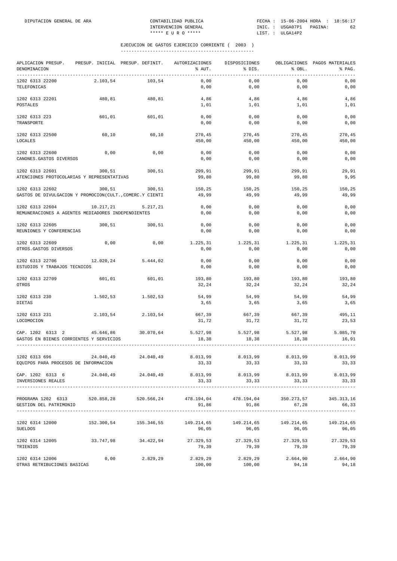| APLICACION PRESUP.<br>DENOMINACION                                                                  |           | PRESUP. INICIAL PRESUP. DEFINIT. | AUTORIZACIONES<br>% AUT. | DISPOSICIONES<br>% DIS.                | % OBL.              | OBLIGACIONES PAGOS MATERIALES<br>% PAG. |
|-----------------------------------------------------------------------------------------------------|-----------|----------------------------------|--------------------------|----------------------------------------|---------------------|-----------------------------------------|
| _______________________________<br>1202 6313 22200<br>TELEFONICAS                                   | 2.103,54  | 103,54                           | 0,00<br>0,00             | 0,00<br>0,00                           | 0,00<br>0,00        | 0,00<br>0,00                            |
| 1202 6313 22201<br><b>POSTALES</b>                                                                  | 480,81    | 480,81                           | 4,86<br>1,01             | 4,86<br>1,01                           | 4,86<br>1,01        | 4,86<br>1,01                            |
| 1202 6313 223<br>TRANSPORTE                                                                         | 601,01    | 601,01                           | 0,00<br>0,00             | 0,00<br>0,00                           | 0,00<br>0,00        | 0,00<br>0,00                            |
| 1202 6313 22500<br>LOCALES                                                                          | 60,10     | 60,10                            | 270,45<br>450,00         | 270,45<br>450,00                       | 270,45<br>450,00    | 270,45<br>450,00                        |
| 1202 6313 22600                                                                                     | 0,00      | 0,00                             | 0,00                     | 0,00                                   | 0,00                | 0,00                                    |
| CANONES. GASTOS DIVERSOS<br>1202 6313 22601                                                         | 300,51    | 300,51                           | 0,00<br>299,91           | 0,00<br>299,91                         | 0,00<br>299,91      | 0,00<br>29,91                           |
| ATENCIONES PROTOCOLARIAS Y REPRESENTATIVAS                                                          |           |                                  | 99,80                    | 99,80                                  | 99,80               | 9,95                                    |
| 1202 6313 22602<br>GASTOS DE DIVULGACION Y PROMOCION(CULT., COMERC.Y CIENTI                         | 300.51    | 300,51                           | 150.25<br>49,99          | 150,25<br>49,99                        | 150.25<br>49,99     | 150,25<br>49,99                         |
| 1202 6313 22604<br>REMUNERACIONES A AGENTES MEDIADORES INDEPENDIENTES                               | 10.217,21 | 5.217,21                         | 0,00<br>0,00             | 0,00<br>0,00                           | 0,00<br>0,00        | 0,00<br>0,00                            |
| 1202 6313 22605                                                                                     | 300,51    | 300,51                           | 0,00                     | 0,00                                   | 0,00                | 0,00                                    |
| REUNIONES Y CONFERENCIAS                                                                            |           |                                  | 0,00                     | 0,00                                   | 0,00                | 0,00                                    |
| 1202 6313 22609<br>OTROS.GASTOS DIVERSOS                                                            | 0,00      | 0,00                             | 1.225,31<br>0,00         | 1.225,31<br>0,00                       | 1.225,31<br>0,00    | 1.225,31<br>0,00                        |
| 1202 6313 22706<br>ESTUDIOS Y TRABAJOS TECNICOS                                                     | 12.020,24 | 5.444,02                         | 0,00<br>0,00             | 0,00<br>0,00                           | 0,00<br>0,00        | 0,00<br>0,00                            |
| 1202 6313 22709<br>OTROS                                                                            | 601,01    | 601,01                           | 193,80<br>32,24          | 193,80<br>32,24                        | 193,80<br>32,24     | 193,80<br>32,24                         |
| 1202 6313 230<br><b>DIETAS</b>                                                                      | 1.502,53  | 1.502,53                         | 54,99<br>3,65            | 54,99<br>3,65                          | 54,99<br>3,65       | 54,99<br>3,65                           |
| 1202 6313 231<br>LOCOMOCION                                                                         | 2.103,54  | 2.103,54                         | 667,39<br>31,72          | 667,39<br>31,72                        | 667,39<br>31,72     | 495,11<br>23,53                         |
| CAP. 1202 6313 2<br>GASTOS EN BIENES CORRIENTES Y SERVICIOS                                         | 45.646,86 | 30.070,64                        | 5.527,98<br>18,38        | 5.527,98<br>18,38                      | 5.527,98<br>18,38   | 5.085.70<br>16,91                       |
| 1202 6313 696                                                                                       | 24.040,49 | 24.040,49                        | 8.013,99                 | 8.013,99                               | 8.013,99            | 8.013,99                                |
| EQUIPOS PARA PROCESOS DE INFORMACION                                                                |           |                                  | 33,33                    | 33,33                                  | 33,33               | 33,33                                   |
| CAP. 1202 6313 6 24.040,49 24.040,49 8.013,99 8.013,99 8.013,99<br>INVERSIONES REALES               |           |                                  | 33,33                    | 33,33                                  | 33,33               | 8.013,99<br>33,33                       |
| PROGRAMA 1202 6313 520.858,28 520.566,24 478.194,04 478.194,04 350.273,57<br>GESTION DEL PATRIMONIO |           |                                  |                          | 91,86 91,86 67,28                      |                     | 345.313,16<br>66,33                     |
| 1202 6314 12000<br><b>SUELDOS</b>                                                                   |           | 152.300,54 155.346,55            | 149.214,65<br>96,05      | 149.214,65<br>96,05                    | 149.214,65<br>96,05 | 149.214,65<br>96,05                     |
| 1202 6314 12005<br>TRIENIOS                                                                         |           | 33.747.98 34.422.94              | 79,39                    | 27.329,53 27.329,53 27.329,53<br>79,39 | 79,39               | 27.329,53<br>79,39                      |
| 1202 6314 12006<br>OTRAS RETRIBUCIONES BASICAS                                                      | 0,00      | 2.829,29                         | 2.829,29<br>100,00       | 2.829,29<br>100,00                     | 2.664,90<br>94,18   | 2.664,90<br>94,18                       |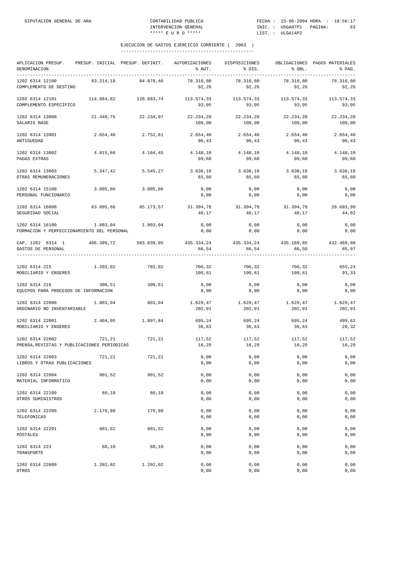| APLICACION PRESUP. PRESUP. INICIAL PRESUP. DEFINIT. AUTORIZACIONES<br>DENOMINACION |            |                       | % AUT.              | DISPOSICIONES<br>% DIS.                                      | % OBL.              | OBLIGACIONES PAGOS MATERIALES<br>% PAG. |
|------------------------------------------------------------------------------------|------------|-----------------------|---------------------|--------------------------------------------------------------|---------------------|-----------------------------------------|
| 1202 6314 12100<br>COMPLEMENTO DE DESTINO                                          | 83.214,18  | 84.878,46             | 78.316,80<br>92,26  | 78.316,80<br>92,26                                           | 78.316,80<br>92,26  | 78.316,80<br>92,26                      |
| 1202 6314 12101<br>COMPLEMENTO ESPECIFICO                                          | 114.884,82 | 120.883,74            | 93,95               | $113.574.33$ $113.574.33$ $113.574.33$ $113.574.33$<br>93,95 | 93,95               | 93,95                                   |
| 1202 6314 13000<br>SALARIO BASE                                                    | 21.440,76  | 22.234,07             | 22.234,20<br>100,00 | 22.234,20<br>100,00                                          | 22.234,20<br>100,00 | 22.234,20<br>100,00                     |
| 1202 6314 13001<br>ANTIGUEDAD                                                      | 2.654,40   | 2.752,61              | 2.654,40<br>96,43   | 2.654,40<br>96,43                                            | 2.654,40<br>96,43   | 2.654,40<br>96,43                       |
| 1202 6314 13002<br>PAGAS EXTRAS                                                    | 4.015,86   | 4.164,45              | 4.148,10<br>99,60   | 4.148,10<br>99,60                                            | 4.148,10<br>99,60   | 4.148,10<br>99,60                       |
| 1202 6314 13003<br>OTRAS REMUNERACIONES                                            | 5.347,42   | 5.545,27              | 3.638,16<br>65,60   | 3.638,16<br>65,60                                            | 3.638,16<br>65,60   | 3.638,16<br>65,60                       |
| 1202 6314 15100<br>PERSONAL FUNCIONARIO                                            | 3.005,06   | 3.005,06              | 0,00<br>0,00        | 0,00<br>0,00                                                 | 0,00<br>0,00        | 0,00<br>0,00                            |
| 1202 6314 16000<br>SEGURIDAD SOCIAL                                                |            | 63.895,66 65.173,57   | 31.394,78<br>48,17  | 31.394,78<br>48,17                                           | 31.394,78<br>48,17  | 28.693,99<br>44,02                      |
| 1202 6314 16100<br>FORMACION Y PERFECCIONAMIENTO DEL PERSONAL                      | 1.803,04   | 1.803,04              | 0,00<br>0,00        | 0,00<br>0,00                                                 | 0,00<br>0,00        | 0,00<br>0,00                            |
| CAP. 1202 6314 1<br>GASTOS DE PERSONAL                                             |            | 486.309,72 503.039,05 | 86,54               | 435.334,24 435.334,24 435.169,85<br>86,54                    | 86,50               | 432.469,06<br>85,97<br>-------------    |
| 1202 6314 215<br>MOBILIARIO Y ENSERES                                              | 1.202,02   | 702,02                | 706,32<br>100,61    | 706,32<br>100,61                                             | 706,32<br>100,61    | 655,24<br>93,33                         |
| 1202 6314 216<br>EQUIPOS PARA PROCESOS DE INFORMACION                              | 300,51     | 300,51                | 0,00<br>0,00        | 0,00<br>0,00                                                 | 0,00<br>0,00        | 0,00<br>0,00                            |
| 1202 6314 22000<br>ORDINARIO NO INVENTARIABLE                                      | 1.803,04   | 803,04                | 1.629,47<br>202,91  | 1.629,47<br>202,91                                           | 1.629,47<br>202,91  | 1.629,47<br>202,91                      |
| 1202 6314 22001<br>MOBILIARIO Y ENSERES                                            | 2.404,05   | 1.897,84              | 695,24<br>36,63     | 695,24<br>36,63                                              | 695,24<br>36,63     | 499,62<br>26,32                         |
| 1202 6314 22002<br>PRENSA, REVISTAS Y PUBLICACIONES PERIODICAS                     | 721,21     | 721,21                | 117,52<br>16,29     | 117,52<br>16,29                                              | 117,52<br>16,29     | 117,52<br>16,29                         |
| 1202 6314 22003<br>LIBROS Y OTRAS PUBLICACIONES                                    | 721,21     | 721,21                | 0,00<br>0,00        | 0,00<br>0,00                                                 | 0,00<br>0,00        | 0,00<br>0,00                            |
| 1202 6314 22004<br>MATERIAL INFORMATICO                                            | 901,52     | 901,52                | 0,00<br>0,00        | 0,00<br>0,00                                                 | 0,00<br>0,00        | 0,00<br>0,00                            |
| 1202 6314 22109<br>OTROS SUMINISTROS                                               | 60,10      | 60,10                 | 0,00<br>0,00        | 0,00<br>0,00                                                 | 0,00<br>0,00        | 0,00<br>0,00                            |
| 1202 6314 22200<br>TELEFONICAS                                                     | 2.179,80   | 179,80                | 0,00<br>0,00        | 0,00<br>0,00                                                 | 0,00<br>0,00        | 0,00<br>0,00                            |
| 1202 6314 22201<br>POSTALES                                                        | 601,52     | 601,52                | 0,00<br>0,00        | 0,00<br>0,00                                                 | 0,00<br>0,00        | 0,00<br>0,00                            |
| 1202 6314 223<br>TRANSPORTE                                                        | 60,10      | 60,10                 | 0,00<br>0,00        | 0,00<br>0,00                                                 | 0,00<br>0,00        | 0,00<br>0,00                            |
| 1202 6314 22609<br>OTROS                                                           | 1.202,02   | 1.202,02              | 0,00<br>0,00        | 0,00<br>0,00                                                 | 0,00<br>0,00        | 0,00<br>0,00                            |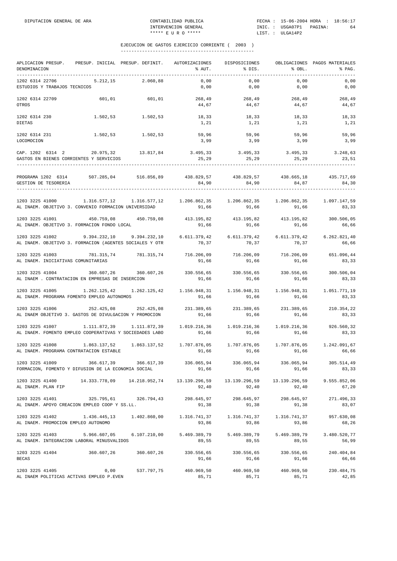| APLICACION PRESUP.<br>DENOMINACION                                                                                                                                                                              | PRESUP. INICIAL PRESUP. DEFINIT.                                                          |                       | AUTORIZACIONES<br>% AUT.                        | DISPOSICIONES<br>$\frac{1}{2}$ DIS. | % OBL.              | OBLIGACIONES PAGOS MATERIALES<br>% PAG. |
|-----------------------------------------------------------------------------------------------------------------------------------------------------------------------------------------------------------------|-------------------------------------------------------------------------------------------|-----------------------|-------------------------------------------------|-------------------------------------|---------------------|-----------------------------------------|
| 1202 6314 22706<br>ESTUDIOS Y TRABAJOS TECNICOS                                                                                                                                                                 | 5.212,15                                                                                  | 2.060,88              | 0,00<br>0,00                                    | 0,00<br>0,00                        | 0,00<br>0,00        | 0,00<br>0,00                            |
| 1202 6314 22709<br>OTROS                                                                                                                                                                                        | 601,01 601,01                                                                             |                       | 268,49<br>$4\,4$ , $6\,7$                       | 268,49<br>44,67                     | 268,49<br>44,67     | 268,49<br>44,67                         |
| 1202 6314 230<br>DIETAS                                                                                                                                                                                         | $1.502, 53$ $1.502, 53$                                                                   |                       | 18, 33<br>1,21                                  | 18, 33<br>1,21                      | 18,33<br>1,21       | 18,33<br>1,21                           |
| 1202 6314 231<br>LOCOMOCION                                                                                                                                                                                     | 1.502,53 1.502,53                                                                         |                       | 59,96<br>3,99                                   | 59,96<br>3,99                       | 59,96<br>3,99       | 59,96<br>3,99                           |
| CAP. 1202 6314 2 20.975,32 13.817,84 3.495,33 3.495,33 3.495,33 3.248,63<br>GASTOS EN BIENES CORRIENTES Y SERVICIOS                                                                                             |                                                                                           |                       | 25,29                                           | 25, 29                              | 25,29               | 23,51                                   |
| PROGRAMA 1202 6314 507.285,04 516.856,89 438.829,57 438.829,57 438.665,18 435.717,69<br>GESTION DE TESORERIA                                                                                                    |                                                                                           |                       | 84,90                                           | 84,90                               | 84,87               | 84,30                                   |
| 1203 3225 41000<br>AL INAEM. OBJETIVO 3. CONVENIO FORMACION UNIVERSIDAD                                                                                                                                         | $1.316.577, 12$ $1.316.577, 12$ $1.206.862, 35$ $1.206.862, 35$ $1.206.862, 35$           |                       | 91,66                                           | 91,66                               | 91,66               | 1.097.147,59<br>83,33                   |
| $1203$ 3225 41001 $450.759.08$ $450.759.08$ $413.195.82$ $413.195.82$ $413.195.82$ $413.195.82$ $300.506.05$<br>AL INAEM. OBJETIVO 3. FORMACION FONDO LOCAL                                                     |                                                                                           |                       | 91,66                                           | 91,66                               | 91,66               | 66,66                                   |
| 1203 3225 41002 9.394.232,10 9.394.232,10 6.611.379,42 6.611.379,42 6.611.379,42<br>AL INAEM. OBJETIVO 3. FORMACION (AGENTES SOCIALES Y OTR                                                                     |                                                                                           |                       | 70,37                                           | 70,37                               | 70,37               | 6.262.821,40<br>66,66                   |
| 1203 3225 41003<br>AL INAEM. INICIATIVAS COMUNITARIAS                                                                                                                                                           | 781.315,74 781.315,74                                                                     |                       | 716.206,09<br>91,66                             | 716.206,09<br>91,66                 | 716.206,09<br>91,66 | 651.096,44<br>83,33                     |
| 1203 3225 41004<br>AL INAEM . CONTRATACION EN EMPRESAS DE INSERCION                                                                                                                                             | 360.607,26 360.607,26 330.556,65 330.556,65 330.556,65                                    |                       | 91,66                                           | 91,66                               | 91,66               | 300.506,04<br>83,33                     |
| $1.262.125, 42 \hspace{1.5mm} 1.262.125, 42 \hspace{1.5mm} 1.262.125, 42 \hspace{1.5mm} 1.156.948, 31 \hspace{1.5mm} 1.156.948, 31 \hspace{1.5mm} 1.156.948, 31$<br>AL INAEM. PROGRAMA FOMENTO EMPLEO AUTONOMOS |                                                                                           |                       | 91,66                                           | 91,66                               | 91,66               | 1.051.771,19<br>83,33                   |
| 1203 3225 41006<br>AL INAEM OBJETIVO 3. GASTOS DE DIVULGACION Y PROMOCION                                                                                                                                       | 252.425,08 252.425,08 231.389,65 231.389,65 231.389,65 231.389,65 210.354,22              |                       | 91,66                                           | 91,66                               | 91,66               | 83,33                                   |
| 1203 3225 41007<br>AL INAEM. FOMENTO EMPLEO COOPERATIVAS Y SOCIEDADES LABO                                                                                                                                      | $1.111.872,39$ $1.111.872,39$ $1.019.216,36$ $1.019.216,36$ $1.019.216,36$                |                       | 91,66                                           | 91,66                               | 91,66               | 926.560,32<br>83,33                     |
| 1203 3225 41008<br>AL INAEM. PROGRAMA CONTRATACION ESTABLE                                                                                                                                                      | $1.863.137.52$ $1.863.137.52$ $1.707.876.05$ $1.707.876.05$ $1.707.876.05$ $1.242.091.67$ |                       | 91,66                                           | 91,66                               | 91,66               | 66,66                                   |
| 1203 3225 41009<br>FORMACION, FOMENTO Y DIFUSION DE LA ECONOMIA SOCIAL                                                                                                                                          | 366.617,39 366.617,39 336.065,94                                                          |                       | 91,66                                           | 336.065,94<br>91,66                 | 336.065,94<br>91,66 | 305.514,49<br>83,33                     |
| 1203 3225 41400<br>AL INAEM. PLAN FIP                                                                                                                                                                           | 14.333.778,09   14.218.952,74   13.139.296,59   13.139.296,59   13.139.296,59             |                       | 92,40                                           | 92,40                               | 92,40               | 9.555.852,06<br>67,20                   |
| 1203 3225 41401<br>AL INAEM. APOYO CREACION EMPLEO COOP Y SS.LL.                                                                                                                                                |                                                                                           | 325.795,61 326.794,43 | 298.645,97<br>91,38                             | 298.645,97<br>91,38                 | 298.645,97<br>91,38 | 271.496,33<br>83,07                     |
| 1203 3225 41402 1.436.445,13 1.402.860,00<br>AL INAEM. PROMOCION EMPLEO AUTONOMO                                                                                                                                |                                                                                           |                       | 93,86                                           | 93,86                               | 93,86               | 957.630,08<br>68,26                     |
| 1203 3225 41403 5.966.607,05<br>AL INAEM. INTEGRACION LABORAL MINUSVALIDOS                                                                                                                                      |                                                                                           | 6.107.210,00          | 5.469.389,79 5.469.389,79 5.469.389,79<br>89,55 | 89,55                               | 89,55               | 3.480.520,77<br>56,99                   |
| 1203 3225 41404<br><b>BECAS</b>                                                                                                                                                                                 | 360.607,26    360.607,26    330.556,65    330.556,65    330.556,65                        |                       | 91,66                                           | 91,66                               | 91,66               | 240.404,84<br>66,66                     |
| 1203 3225 41405<br>AL INAEM POLITICAS ACTIVAS EMPLEO P.EVEN                                                                                                                                                     | 0,00                                                                                      | 537.797,75            | 460.969,50<br>85,71                             | 460.969,50<br>85,71                 | 460.969,50<br>85,71 | 230.484,75<br>42,85                     |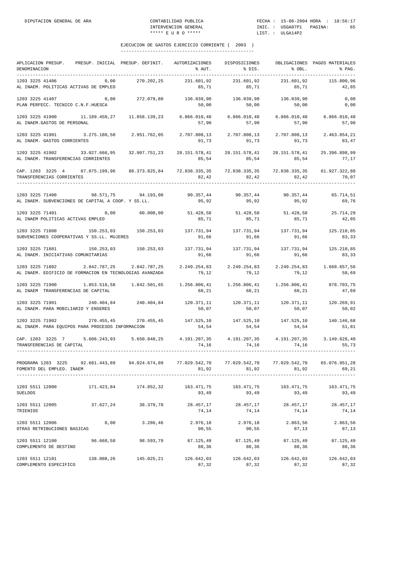| APLICACION PRESUP. PRESUP. INICIAL PRESUP. DEFINIT. AUTORIZACIONES<br>DENOMINACION                                                                                                                                                                                                                                                                                                                                               |      |                                                                                                        | % AUT.                                                     | DISPOSICIONES<br>% DIS.                | % OBL.              | OBLIGACIONES PAGOS MATERIALES<br>% PAG. |
|----------------------------------------------------------------------------------------------------------------------------------------------------------------------------------------------------------------------------------------------------------------------------------------------------------------------------------------------------------------------------------------------------------------------------------|------|--------------------------------------------------------------------------------------------------------|------------------------------------------------------------|----------------------------------------|---------------------|-----------------------------------------|
| 1203 3225 41406<br>AL INAEM. POLITICAS ACTIVAS DE EMPLEO                                                                                                                                                                                                                                                                                                                                                                         | 0,00 | 270.202,25                                                                                             | 231.601,92<br>85,71                                        | 231.601,92<br>85,71                    | 231.601,92          | 115.800,96<br>42,85                     |
| 1203 3225 41407<br>PLAN PERFECC. TECNICO C.N.F.HUESCA                                                                                                                                                                                                                                                                                                                                                                            | 0,00 |                                                                                                        | 272.079,80 136.039,90 136.039,90 136.039,90<br>50,00       | 50,00                                  | 50,00               | 0,00<br>0,00                            |
| 1203 3225 41900 11.189.450,27 11.858.139,23 6.866.010,48 6.866.010,48 6.866.010,48 6.866.010,48<br>AL INAEM.GASTOS DE PERSONAL                                                                                                                                                                                                                                                                                                   |      |                                                                                                        | 57,90                                                      | 57,90                                  | 57,90               | 57,90                                   |
| 1203 3225 41901 3.275.180,50 2.951.762,05<br>AL INAEM. GASTOS CORRIENTES                                                                                                                                                                                                                                                                                                                                                         |      |                                                                                                        | 91,73                                                      | 2.707.808,13 2.707.808,13 2.707.808,13 | 91,73 91,73         | 2.463.854,21<br>83,47                   |
| 1203 3225 41902 33.027.666,95 32.907.751,23 28.151.578,41 28.151.578,41 28.151.578,41<br>AL INAEM. TRANSFERENCIAS CORRIENTES                                                                                                                                                                                                                                                                                                     |      |                                                                                                        | 85,54                                                      | 85,54                                  | 85,54               | 25.396.898,99<br>77,17                  |
| CAP. 1203 3225 4 87.075.199,96 88.373.825,84 72.838.335,35 72.838.335,35 72.838.335,35 61.927.322,88<br>TRANSFERENCIAS CORRIENTES                                                                                                                                                                                                                                                                                                |      |                                                                                                        | 82,42                                                      | 82,42                                  | 82,42               | 70,07                                   |
| $1203\ 3225\ 71400\qquad \qquad 98.571,75\qquad \qquad 94.193,00\qquad \qquad 90.357,44\qquad \qquad 90.357,44\qquad \qquad 90.357,44\qquad \qquad 65.714,512.52\qquad \qquad 90.357.544\qquad \qquad 65.714.512\qquad \qquad 65.714.512\qquad \qquad 65.714.522\qquad \qquad 65.714.532\qquad \qquad 65.714.5532$<br>AL INAEM. SUBVENCIONES DE CAPITAL A COOP. Y SS.LL.                                                         |      |                                                                                                        |                                                            | 95,92 95,92 95,92                      |                     | 69,76                                   |
| $1203\ 3225\ 71401 \hskip 1.8cm 0,00 \hskip 1.8cm 60.000,00 \hskip 1.8cm 51.428,58 \hskip 1.8cm 51.428,58 \hskip 1.8cm 51.428,58 \hskip 1.8cm 51.428,58 \hskip 1.8cm 51.428,58 \hskip 1.8cm 51.428,58$<br>AL INAEM POLITICAS ACTIVAS EMPLEO                                                                                                                                                                                      |      |                                                                                                        | 85,71                                                      | 85,71                                  | 85,71               | 42,85                                   |
| $1203$ $3225$ $71800$ $150.253.03$ $150.253.03$ $150.253.03$ $137.731.94$ $137.731.94$ $137.731.94$<br>SUBVENCIONES COOPERATIVAS Y SS.LL. MUJERES                                                                                                                                                                                                                                                                                |      |                                                                                                        | 91,66                                                      | 91,66                                  | 91,66               | 125.210,85<br>83,33                     |
| 1203 3225 71801<br>AL INAEM. INICIATIVAS COMUNITARIAS                                                                                                                                                                                                                                                                                                                                                                            |      | $150.253.03$ $150.253.03$ $137.731.94$ $137.731.94$ $137.731.94$ $125.210.85$                          | 91,66                                                      | 91,66                                  | 91,66               | 83,33                                   |
| 1203 3225 71802 2.842.787,25 2.842.787,25 2.249.254,83 2.249.254,83 2.249.254,83 1.668.657,56<br>AL INAEM. EDIFICIO DE FORMACION EN TECNOLOGIAS AVANZADA                                                                                                                                                                                                                                                                         |      |                                                                                                        | 79,12                                                      | 79,12                                  | 79,12               | 58,69                                   |
| $1.203\ 3225\ 71900\ \ 1.853.518\ 58\ 1.842.501\ 65\ 1.256.806\ 41\ 1.256.806\ 41\ 1.256.806\ 41\ 878.703\ 75\ 88.000\ 89.0000$<br>AL INAEM TRANSFERENCIAS DE CAPITAL                                                                                                                                                                                                                                                            |      |                                                                                                        |                                                            | 68,21 68,21                            | 68,21               | 47,69                                   |
| 1203 3225 71901<br>AL INAEM. PARA MOBILIARIO Y ENSERES                                                                                                                                                                                                                                                                                                                                                                           |      | $240.404,84 \qquad 240.404,84 \qquad 120.371,11 \qquad 120.371,11 \qquad 120.371,11 \qquad 120.371,12$ | 50,07                                                      | 50,07                                  | 50,07               | 50,02                                   |
| 1203 3225 71902<br>AL INAEM. PARA EQUIPOS PARA PROCESOS INFORMACION                                                                                                                                                                                                                                                                                                                                                              |      | 270.455,45 270.455,45 147.525,10 147.525,10 147.525,10 140.146,68                                      | 54,54                                                      | 54,54                                  | 54,54               | 51,81                                   |
| CAP. 1203 3225 7 5.606.243,93 5.650.848,25 4.191.207,35 4.191.207,35 4.191.207,35 3.149.628,40<br>TRANSFERENCIAS DE CAPITAL 55.73<br>TRANSFERENCIAS DE CAPITAL                                                                                                                                                                                                                                                                   |      |                                                                                                        | 74,16                                                      | 74,16                                  | 74,16               | 55,73                                   |
| PROGRAMA 1203 3225 92.681.443,89 94.024.674,09 77.029.542,70 77.029.542,70 77.029.542,70 65.076.951,28<br>FOMENTO DEL EMPLEO. INAEM                                                                                                                                                                                                                                                                                              |      |                                                                                                        | 81,92                                                      | 81,92                                  | 81,92               | 69,21                                   |
| 1203 5511 12000 171.423,84 174.852,32 163.471,75 163.471,75 163.471,75 163.471,75<br>SUELDOS                                                                                                                                                                                                                                                                                                                                     |      |                                                                                                        | 93,49                                                      | 93,49                                  | 93,49               | 93,49                                   |
| $1203 \quad 5511 \quad 12005 \qquad \qquad 37 \quad 627 \quad , 24 \qquad \qquad 38 \quad .379 \quad , 78 \qquad \qquad 28 \quad .457 \quad , 17 \qquad \qquad 28 \quad .457 \quad , 17 \qquad \qquad 28 \quad .457 \quad , 17 \qquad \qquad 28 \quad .457 \quad , 17 \qquad \qquad 28 \quad .457 \quad , 17 \qquad \qquad 28 \quad .457 \quad , 17 \qquad \qquad 28 \quad .457 \quad , 17 \qquad \qquad 28 \quad .$<br>TRIENIOS |      |                                                                                                        | 74,14                                                      | 74,14                                  | 74,14               | 74,14                                   |
| 1203 5511 12006<br>OTRAS RETRIBUCIONES BASICAS                                                                                                                                                                                                                                                                                                                                                                                   | 0,00 | 3.286,46                                                                                               | 2.976,18<br>90,55                                          | 2.976,18<br>90,55                      | 2.863,56<br>87,13   | 2.863,56<br>87,13                       |
| 1203 5511 12100 96.660,58<br>COMPLEMENTO DE DESTINO                                                                                                                                                                                                                                                                                                                                                                              |      |                                                                                                        | 98.593,79 87.125,49 87.125,49 87.125,49 87.125,49<br>88,36 | 88,36                                  | 88,36               | 88,36                                   |
| 1203 5511 12101 138.008,26 145.025,21 126.642,03 126.642,03<br>COMPLEMENTO ESPECIFICO                                                                                                                                                                                                                                                                                                                                            |      |                                                                                                        | 87,32                                                      | 87,32                                  | 126.642,03<br>87,32 | 126.642,03<br>87,32                     |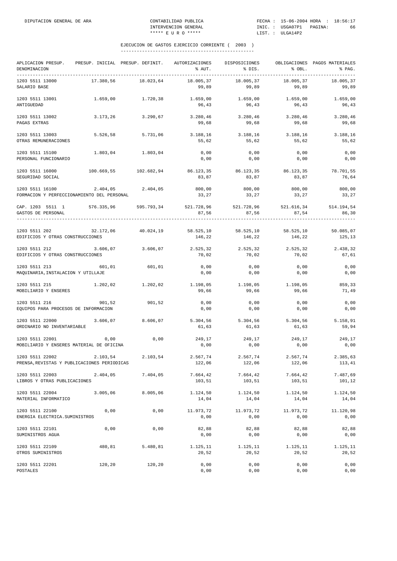| APLICACION PRESUP.<br>DENOMINACION                             |            | PRESUP. INICIAL PRESUP. DEFINIT. | AUTORIZACIONES<br>% AUT.                                                        | DISPOSICIONES<br>% DIS.                   | % OBL.             | OBLIGACIONES PAGOS MATERIALES<br>% PAG. |
|----------------------------------------------------------------|------------|----------------------------------|---------------------------------------------------------------------------------|-------------------------------------------|--------------------|-----------------------------------------|
| 1203 5511 13000<br>SALARIO BASE                                | 17.380,56  | 18.023,64                        | 18.005,37<br>99,89                                                              | 18.005,37<br>99,89                        | 18.005,37<br>99,89 | 18.005,37<br>99,89                      |
| 1203 5511 13001<br>ANTIGUEDAD                                  | 1.659,00   | 1.720,38                         | 1.659,00<br>96,43                                                               | 1.659,00<br>96,43                         | 1.659,00<br>96,43  | 1.659,00<br>96,43                       |
| 1203 5511 13002<br>PAGAS EXTRAS                                | 3.173,26   | 3.290,67                         | 99,68                                                                           | 3.280,46 3.280,46<br>99,68                | 3.280,46<br>99,68  | 3.280,46<br>99,68                       |
| 1203 5511 13003<br>OTRAS REMUNERACIONES                        | 5.526,58   | 5.731,06                         | 3.188,16<br>55,62                                                               | 3.188,16<br>55,62                         | 3.188,16<br>55,62  | 3.188,16<br>55,62                       |
| 1203 5511 15100<br>PERSONAL FUNCIONARIO                        |            | 1.803,04 1.803,04                | 0,00<br>0,00                                                                    | 0,00<br>0,00                              | 0,00<br>0,00       | 0,00<br>0,00                            |
| 1203 5511 16000<br>SEGURIDAD SOCIAL                            | 100.669,55 | 102.682,94                       | 86.123,35<br>83,87                                                              | 86.123,35<br>83,87                        | 86.123,35<br>83,87 | 78.701,55<br>76,64                      |
| 1203 5511 16100<br>FORMACION Y PERFECCIONAMIENTO DEL PERSONAL  |            | 2.404,05 2.404,05                | 800,00<br>33,27                                                                 | 800,00<br>33,27                           | 800,00<br>33,27    | 800,00<br>33,27                         |
| CAP. 1203 5511 1 576.335,96 595.793,34<br>GASTOS DE PERSONAL   |            |                                  | 87,56                                                                           | 521.728,96 521.728,96 521.616,34<br>87,56 | 87,54              | 514.194,54<br>86,30                     |
| 1203 5511 202<br>EDIFICIOS Y OTRAS CONSTRUCCIONES              |            |                                  | 32.172,06 40.024,19 58.525,10 58.525,10 58.525,10 58.525,10 50.085,07<br>146,22 | 146,22                                    | 146,22             | 125,13                                  |
| 1203 5511 212<br>EDIFICIOS Y OTRAS CONSTRUCCIONES              | 3.606,07   | 3.606,07                         | 2.525,32<br>70,02                                                               | 2.525,32<br>70,02                         | 2.525,32<br>70,02  | 2.438,32<br>67,61                       |
| 1203 5511 213<br>MAQUINARIA, INSTALACION Y UTILLAJE            | 601,01     | 601,01                           | 0,00<br>0,00                                                                    | 0,00<br>0,00                              | 0,00<br>0,00       | 0,00<br>0,00                            |
| 1203 5511 215 1.202,02 1.202,02<br>MOBILIARIO Y ENSERES        |            |                                  | $1.198,05$ $1.198,05$ $1.198,05$<br>99,66                                       | 99,66                                     | 99,66              | 859,33<br>71,49                         |
| 1203 5511 216<br>EQUIPOS PARA PROCESOS DE INFORMACION          | 901,52     | 901,52                           | 0,00<br>0,00                                                                    | 0,00<br>0,00                              | 0,00<br>0,00       | 0,00<br>0,00                            |
| 1203 5511 22000<br>ORDINARIO NO INVENTARIABLE                  | 3.606,07   | 8.606,07                         | 5.304, 56<br>61,63                                                              | 5.304,56<br>61,63                         | 5.304,56<br>61,63  | 5.158,91<br>59,94                       |
| 1203 5511 22001<br>MOBILIARIO Y ENSERES MATERIAL DE OFICINA    | 0,00       | 0,00                             | 249,17<br>0,00                                                                  | 249,17<br>0,00                            | 249,17<br>0,00     | 249,17<br>0,00                          |
| 1203 5511 22002<br>PRENSA, REVISTAS Y PUBLICACIONES PERIODICAS | 2.103,54   | 2.103,54                         | 2.567,74<br>122,06                                                              | 2.567,74<br>122,06                        | 2.567,74<br>122,06 | 2.385,63<br>113,41                      |
| 1203 5511 22003<br>LIBROS Y OTRAS PUBLICACIONES                | 2.404,05   | 7.404,05                         | 7.664,42<br>103,51                                                              | 7.664,42<br>103,51                        | 7.664,42<br>103,51 | 7.487,69<br>101,12                      |
| 1203 5511 22004<br>MATERIAL INFORMATICO                        | 3.005,06   | 8.005,06                         | 1.124,50<br>14,04                                                               | 1.124,50<br>14,04                         | 1.124,50<br>14,04  | 1.124,50<br>14,04                       |
| 1203 5511 22100<br>ENERGIA ELECTRICA. SUMINISTROS              | 0,00       | 0,00                             | 11.973,72<br>0,00                                                               | 11.973,72<br>0,00                         | 11.973,72<br>0,00  | 11.120,98<br>0,00                       |
| 1203 5511 22101<br>SUMINISTROS AGUA                            | 0,00       | 0,00                             | 82,88<br>0,00                                                                   | 82,88<br>0,00                             | 82,88<br>0,00      | 82,88<br>0,00                           |
| 1203 5511 22109<br>OTROS SUMINISTROS                           | 480,81     | 5.480,81                         | 1.125,11<br>20,52                                                               | 1.125,11<br>20,52                         | 1.125,11<br>20,52  | 1.125,11<br>20,52                       |
| 1203 5511 22201<br>POSTALES                                    | 120,20     | 120,20                           | 0,00<br>0,00                                                                    | 0,00<br>0,00                              | 0,00<br>0,00       | 0,00<br>0,00                            |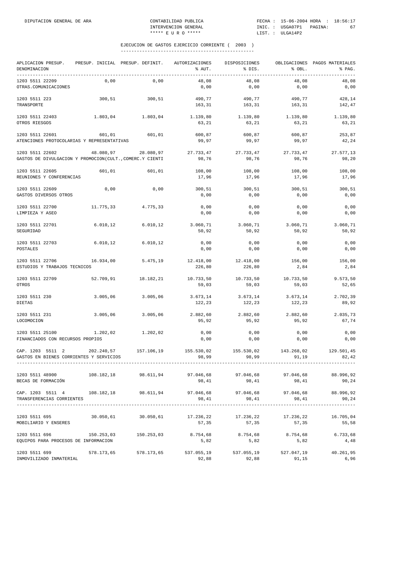| APLICACION PRESUP.<br>DENOMINACION<br>-------------                                                        | PRESUP. INICIAL PRESUP. DEFINIT. |            | AUTORIZACIONES<br>% AUT. | DISPOSICIONES<br>% DIS. | % OBL.              | OBLIGACIONES PAGOS MATERIALES<br>% PAG.<br>-------------- |
|------------------------------------------------------------------------------------------------------------|----------------------------------|------------|--------------------------|-------------------------|---------------------|-----------------------------------------------------------|
| 1203 5511 22209<br>OTRAS.COMUNICACIONES                                                                    | 0,00                             | 0,00       | 48,08<br>0,00            | 48,08<br>0,00           | 48,08<br>0,00       | 48,08<br>0,00                                             |
| 1203 5511 223<br>TRANSPORTE                                                                                | 300,51                           | 300,51     | 490,77<br>163,31         | 490,77<br>163,31        | 490,77<br>163,31    | 428,14<br>142,47                                          |
| 1203 5511 22403<br>OTROS RIESGOS                                                                           | 1.803,04                         | 1.803,04   | 1.139,80<br>63,21        | 1.139,80<br>63,21       | 1.139,80<br>63,21   | 1.139,80<br>63,21                                         |
| 1203 5511 22601<br>ATENCIONES PROTOCOLARIAS Y REPRESENTATIVAS                                              | 601,01                           | 601,01     | 600,87<br>99,97          | 600,87<br>99,97         | 600,87<br>99,97     | 253,87<br>42,24                                           |
| 1203 5511 22602<br>GASTOS DE DIVULGACION Y PROMOCION(CULT., COMERC.Y CIENTI                                | 48.080,97                        | 28.080,97  | 27.733,47<br>98,76       | 27.733,47<br>98,76      | 27.733,47<br>98,76  | 27.577,13<br>98,20                                        |
| 1203 5511 22605<br>REUNIONES Y CONFERENCIAS                                                                | 601,01                           | 601,01     | 108,00<br>17,96          | 108,00<br>17,96         | 108,00<br>17,96     | 108,00<br>17,96                                           |
| 1203 5511 22609<br>GASTOS DIVERSOS OTROS                                                                   | 0,00                             | 0,00       | 300,51<br>0,00           | 300,51<br>0,00          | 300,51<br>0,00      | 300,51<br>0,00                                            |
| 1203 5511 22700<br>LIMPIEZA Y ASEO                                                                         | 11.775,33                        | 4.775,33   | 0,00<br>0,00             | 0,00<br>0,00            | 0,00<br>0,00        | 0,00<br>0,00                                              |
| 1203 5511 22701<br>SEGURIDAD                                                                               | 6.010,12                         | 6.010, 12  | 3.060,71<br>50,92        | 3.060,71<br>50,92       | 3.060,71<br>50,92   | 3.060,71<br>50,92                                         |
| 1203 5511 22703<br>POSTALES                                                                                | 6.010, 12                        | 6.010, 12  | 0,00<br>0,00             | 0,00<br>0,00            | 0,00<br>0,00        | 0,00<br>0,00                                              |
| 1203 5511 22706<br>ESTUDIOS Y TRABAJOS TECNICOS                                                            | 16.934,00                        | 5.475,19   | 12.418,00<br>226,80      | 12.418,00<br>226,80     | 156,00<br>2,84      | 156,00<br>2,84                                            |
| 1203 5511 22709<br>OTROS                                                                                   | 52.709,91                        | 18.182,21  | 10.733,50<br>59,03       | 10.733,50<br>59,03      | 10.733,50<br>59,03  | 9.573,50<br>52,65                                         |
| 1203 5511 230<br>DIETAS                                                                                    | 3.005,06                         | 3.005,06   | 3.673,14<br>122,23       | 3.673,14<br>122,23      | 3.673,14<br>122,23  | 2.702,39<br>89,92                                         |
| 1203 5511 231<br>LOCOMOCION                                                                                | 3.005,06                         | 3.005,06   | 2.882,60<br>95,92        | 2.882,60<br>95,92       | 2.882,60<br>95,92   | 2.035,73<br>67,74                                         |
| 1203 5511 25100<br>FINANCIADOS CON RECURSOS PROPIOS                                                        | 1.202,02                         | 1.202,02   | 0,00<br>0,00             | 0,00<br>0,00            | 0,00<br>0,00        | 0,00<br>0,00                                              |
| CAP. 1203 5511 2<br>GASTOS EN BIENES CORRIENTES Y SERVICIOS                                                | 202.240,57                       | 157.106,19 | 155.530,02<br>98,99      | 155.530,02<br>98,99     | 143.268,02<br>91,19 | 129.501,45<br>82,42                                       |
| 1203 5511 48900<br>BECAS DE FORMACIÓN                                                                      | 108.182,18                       | 98.611,94  | 97.046,68<br>98,41       | 97.046,68<br>98,41      | 97.046,68<br>98,41  | 88.996,92<br>90,24                                        |
| CAP. 1203 5511 4 108.182,18 98.611,94 97.046,68 97.046,68 97.046,68 88.996,92<br>TRANSFERENCIAS CORRIENTES |                                  |            | 98,41                    | 98,41                   | 98,41               | 90,24                                                     |
| 1203 5511 695<br>MOBILIARIO Y ENSERES                                                                      | 30.050,61                        | 30.050,61  | 17.236,22<br>57,35       | 17.236,22<br>57,35      | 17.236,22<br>57,35  | 16.705,04<br>55,58                                        |
| 1203 5511 696<br>EQUIPOS PARA PROCESOS DE INFORMACION                                                      | 150.253,03                       | 150.253,03 | 8.754,68<br>5,82         | 8.754,68<br>5,82        | 8.754,68<br>5,82    | 6.733,68<br>4,48                                          |
| 1203 5511 699<br>INMOVILIZADO INMATERIAL                                                                   | 578.173,65                       | 578.173,65 | 537.055,19<br>92,88      | 537.055,19<br>92,88     | 527.047,19<br>91,15 | 40.261,95<br>6,96                                         |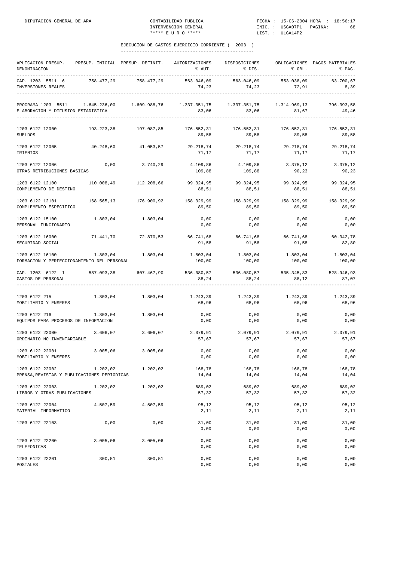| APLICACION PRESUP.<br>DENOMINACION                                                 |            | PRESUP. INICIAL PRESUP. DEFINIT. | AUTORIZACIONES<br>% AUT.                              | DISPOSICIONES<br>8 DIS.              | 8 OBL.                     | OBLIGACIONES PAGOS MATERIALES<br>% PAG. |
|------------------------------------------------------------------------------------|------------|----------------------------------|-------------------------------------------------------|--------------------------------------|----------------------------|-----------------------------------------|
| CAP. 1203 5511 6<br>INVERSIONES REALES                                             | 758.477,29 | 758.477,29                       | 563.046,09<br>74,23                                   | 563.046,09<br>74, 23<br>____________ | 553.038,09<br>72,91        | 63.700,67<br>8,39                       |
| PROGRAMA 1203 5511 1.645.236,00 1.609.988,76<br>ELABORACION Y DIFUSION ESTADISTICA |            |                                  | $1.337.351,75$ $1.337.351,75$ $1.314.969,13$<br>83,06 | 83,06                                | 81,67                      | 796.393,58<br>49,46                     |
| 1203 6122 12000<br><b>SUELDOS</b>                                                  | 193.223,38 | 197.087,85                       | 176.552,31<br>89,58                                   | 176.552,31<br>89,58                  | 176.552,31<br>89,58        | 176.552,31<br>89,58                     |
| 1203 6122 12005<br>TRIENIOS                                                        | 40.248,60  | 41.053,57                        | 71,17                                                 | 29.218,74 29.218,74<br>71,17         | 29.218,74<br>71,17         | 29.218,74<br>71,17                      |
| 1203 6122 12006<br>OTRAS RETRIBUCIONES BASICAS                                     | 0,00       | 3.740,29                         | 4.109,86<br>109,88                                    | 109,88                               | 4.109,86 3.375,12<br>90,23 | 3.375,12<br>90,23                       |
| 1203 6122 12100<br>COMPLEMENTO DE DESTINO                                          |            | 110.008,49 112.208,66            | 99.324,95<br>88,51                                    | 99.324,95<br>88,51                   | 99.324,95<br>88,51         | 99.324,95<br>88,51                      |
| 1203 6122 12101<br>COMPLEMENTO ESPECIFICO                                          | 168.565,13 | 176.900,92                       | 158.329,99<br>89,50                                   | 158.329,99<br>89,50                  | 158.329,99<br>89,50        | 158.329,99<br>89,50                     |
| 1203 6122 15100<br>PERSONAL FUNCIONARIO                                            | 1.803,04   | 1.803,04                         | 0,00<br>0,00                                          | 0,00<br>0,00                         | 0,00<br>0,00               | 0,00<br>0,00                            |
| 1203 6122 16000<br>SEGURIDAD SOCIAL                                                | 71.441,70  | 72.870,53                        | 66.741,68 66.741,68<br>91,58                          | 91,58                                | 91,58                      | 66.741,68 60.342,78<br>82,80            |
| 1203 6122 16100<br>FORMACION Y PERFECCIONAMIENTO DEL PERSONAL                      | 1.803,04   | 1.803,04                         | 1.803,04<br>100,00                                    | 1.803,04<br>100,00                   | 1.803,04<br>100,00         | 1.803,04<br>100,00                      |
| CAP. 1203 6122 1<br>GASTOS DE PERSONAL                                             | 587.093,38 | 607.467,90                       | 536.080,57 536.080,57 535.345,83 528.946,93<br>88,24  | 88,24                                | 88,12                      | 87,07<br>--------                       |
| 1203 6122 215<br>MOBILIARIO Y ENSERES                                              |            | 1.803,04 1.803,04                | 1.243,39<br>68,96                                     | 1.243,39<br>68,96                    | 1.243,39<br>68,96          | 1.243,39<br>68,96                       |
| 1203 6122 216<br>EQUIPOS PARA PROCESOS DE INFORMACION                              | 1.803,04   | 1.803,04                         | 0,00<br>0,00                                          | 0,00<br>0,00                         | 0,00<br>0,00               | 0,00<br>0,00                            |
| 1203 6122 22000<br>ORDINARIO NO INVENTARIABLE                                      | 3.606,07   | 3.606,07                         | 2.079,91<br>57,67                                     | 57,67                                | 2.079,91 2.079,91<br>57,67 | 2.079,91<br>57,67                       |
| 1203 6122 22001<br>MOBILIARIO Y ENSERES                                            | 3.005,06   | 3.005,06                         | 0,00<br>0,00                                          | 0,00<br>0,00                         | 0,00<br>0,00               | 0,00<br>0,00                            |
| 1203 6122 22002<br>PRENSA, REVISTAS Y PUBLICACIONES PERIODICAS                     | 1.202,02   | 1.202,02                         | 168,78<br>14,04                                       | 168,78<br>14,04                      | 168,78<br>14,04            | 168,78<br>14,04                         |
| 1203 6122 22003<br>LIBROS Y OTRAS PUBLICACIONES                                    | 1.202,02   | 1.202,02                         | 689,02<br>57,32                                       | 689,02<br>57,32                      | 689,02<br>57,32            | 689,02<br>57,32                         |
| 1203 6122 22004<br>MATERIAL INFORMATICO                                            | 4.507,59   | 4.507,59                         | 95,12<br>2,11                                         | 95,12<br>2,11                        | 95,12<br>2,11              | 95,12<br>2,11                           |
| 1203 6122 22103                                                                    | 0,00       | 0,00                             | 31,00<br>0,00                                         | 31,00<br>0,00                        | 31,00<br>0,00              | 31,00<br>0,00                           |
| 1203 6122 22200<br>TELEFONICAS                                                     | 3.005,06   | 3.005,06                         | 0,00<br>0,00                                          | 0,00<br>0,00                         | 0,00<br>0,00               | 0,00<br>0,00                            |
| 1203 6122 22201<br>POSTALES                                                        | 300,51     | 300,51                           | 0,00<br>0,00                                          | 0,00<br>0,00                         | 0,00<br>0,00               | 0,00<br>0,00                            |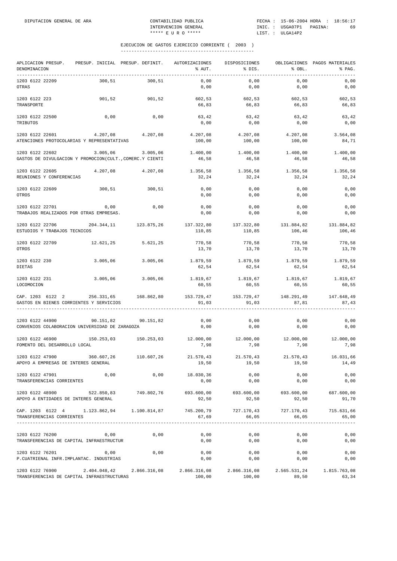| APLICACION PRESUP.<br>DENOMINACION                                                                                                                                                                                | PRESUP. INICIAL PRESUP. DEFINIT. AUTORIZACIONES |            | % AUT.               | DISPOSICIONES<br>% DIS.        | % OBL.               | OBLIGACIONES PAGOS MATERIALES<br>% PAG. |
|-------------------------------------------------------------------------------------------------------------------------------------------------------------------------------------------------------------------|-------------------------------------------------|------------|----------------------|--------------------------------|----------------------|-----------------------------------------|
| 1203 6122 22209<br>OTRAS                                                                                                                                                                                          | 300,51                                          | 300,51     | 0,00<br>0,00         | 0,00<br>0,00                   | 0,00<br>0,00         | 0,00<br>0,00                            |
| 1203 6122 223<br>TRANSPORTE                                                                                                                                                                                       | 901,52                                          | 901,52     | 602,53<br>66,83      | 602,53<br>66,83                | 602,53<br>66,83      | 602,53<br>66,83                         |
| 1203 6122 22500<br>TRIBUTOS                                                                                                                                                                                       | 0,00                                            | 0,00       | 63,42<br>0,00        | 63,42<br>0,00                  | 63,42<br>0,00        | 63,42<br>0,00                           |
| 1203 6122 22601<br>ATENCIONES PROTOCOLARIAS Y REPRESENTATIVAS                                                                                                                                                     | 4.207,08                                        | 4.207,08   | 4.207,08<br>100,00   | 4.207,08<br>100,00             | 4.207,08<br>100,00   | 3.564,08<br>84,71                       |
| 1203 6122 22602<br>GASTOS DE DIVULGACION Y PROMOCION(CULT., COMERC.Y CIENTI                                                                                                                                       | 3.005,06                                        | 3.005,06   | 1.400,00<br>46,58    | 1.400,00<br>46,58              | 1.400,00<br>46,58    | 1.400,00<br>46,58                       |
| 1203 6122 22605<br>REUNIONES Y CONFERENCIAS                                                                                                                                                                       | 4.207,08                                        | 4.207,08   | 1.356,58<br>32,24    | 1.356,58<br>32,24              | 1.356,58<br>32,24    | 1.356,58<br>32,24                       |
| 1203 6122 22609<br>OTROS                                                                                                                                                                                          | 300,51                                          | 300,51     | 0,00<br>0,00         | 0,00<br>0,00                   | 0,00<br>0,00         | 0,00<br>0,00                            |
| 1203 6122 22701<br>TRABAJOS REALIZADOS POR OTRAS EMPRESAS.                                                                                                                                                        | 0,00                                            | 0,00       | 0,00<br>0,00         | 0,00<br>0,00                   | 0,00<br>0,00         | 0,00<br>0,00                            |
| 1203 6122 22706<br>ESTUDIOS Y TRABAJOS TECNICOS                                                                                                                                                                   | 204.344,11                                      | 123.875,26 | 137.322,80<br>110,85 | 137.322,80<br>110,85           | 131.884,82<br>106,46 | 131.884,82<br>106,46                    |
| 1203 6122 22709<br>OTROS                                                                                                                                                                                          | 12.621,25                                       | 5.621,25   | 770,58<br>13,70      | 770,58<br>13,70                | 770,58<br>13,70      | 770,58<br>13,70                         |
| 1203 6122 230<br><b>DIETAS</b>                                                                                                                                                                                    | 3.005,06                                        | 3.005,06   | 1.879,59<br>62,54    | 1.879,59<br>62,54              | 1.879,59<br>62,54    | 1.879,59<br>62,54                       |
| 1203 6122 231<br>LOCOMOCION                                                                                                                                                                                       | 3.005,06                                        | 3.005,06   | 1.819,67<br>60,55    | 1.819,67<br>60,55              | 1.819,67<br>60,55    | 1.819,67<br>60,55                       |
| CAP. 1203 6122 2<br>GASTOS EN BIENES CORRIENTES Y SERVICIOS                                                                                                                                                       | 256.331,65 168.862,80                           |            | 91,03                | 153.729,47 153.729,47<br>91,03 | 148.291,49<br>87,81  | 147.648,49<br>87,43                     |
| 1203 6122 44900<br>CONVENIOS COLABORACION UNIVERSIDAD DE ZARAGOZA                                                                                                                                                 | 90.151,82                                       | 90.151,82  | 0,00<br>0,00         | 0,00<br>0,00                   | 0,00<br>0,00         | 0,00<br>0,00                            |
| 1203 6122 46900<br>FOMENTO DEL DESARROLLO LOCAL                                                                                                                                                                   | 150.253,03 150.253,03                           |            | 12.000,00<br>7,98    | 12.000,00<br>7,98              | 12.000,00<br>7,98    | 12.000,00<br>7,98                       |
| 1203 6122 47900<br>APOYO A EMPRESAS DE INTERES GENERAL                                                                                                                                                            | 360.607,26                                      | 110.607,26 | 21.570,43<br>19,50   | 21.570.43<br>19,50             | 19,50                | 21.570,43 16.031,66<br>14,49            |
| 1203 6122 47901<br>TRANSFERENCIAS CORRIENTES                                                                                                                                                                      | 0,00                                            | 0,00       | 18.030,36<br>0,00    | 0,00<br>0,00                   | 0,00<br>0,00         | 0,00<br>0,00                            |
| $1203\ 6122\ 48900 \hskip 1.8cm 522.850\ 83 \hskip 1.8cm 749.802\ 76 \hskip 1.8cm 693.600\ 00 \hskip 1.8cm 693.600\ 00 \hskip 1.8cm 693.600\ 00 \hskip 1.8cm 693.600\ 00$<br>APOYO A ENTIDADES DE INTERES GENERAL |                                                 |            | 92,50                | 92,50                          | 92,50                | 91,70                                   |
| CAP. 1203 6122 4 1.123.862,94 1.100.814,87 745.200,79 727.170,43<br>TRANSFERENCIAS CORRIENTES                                                                                                                     |                                                 |            | 67,69                | 66,05                          | 727.170,43<br>66,05  | 715.631,66<br>65,00                     |
| 1203 6122 76200<br>TRANSFERENCIAS DE CAPITAL INFRAESTRUCTUR                                                                                                                                                       | 0,00                                            | 0,00       | 0,00<br>0,00         | 0,00<br>0,00                   | 0,00<br>0,00         | 0,00<br>0,00                            |
| 1203 6122 76201<br>P. CUATRIENAL INFR. IMPLANTAC. INDUSTRIAS                                                                                                                                                      | 0,00                                            | 0,00       | 0,00<br>0,00         | 0,00<br>0,00                   | 0,00<br>0,00         | 0,00<br>0,00                            |
| 1203 6122 76900 2.404.048,42 2.866.316,08 2.866.316,08 2.866.316,08 2.565.531,24 1.815.763,08<br>TRANSFERENCIAS DE CAPITAL INFRAESTRUCTURAS                                                                       |                                                 |            | 100,00               | 100,00                         | 89,50                | 63,34                                   |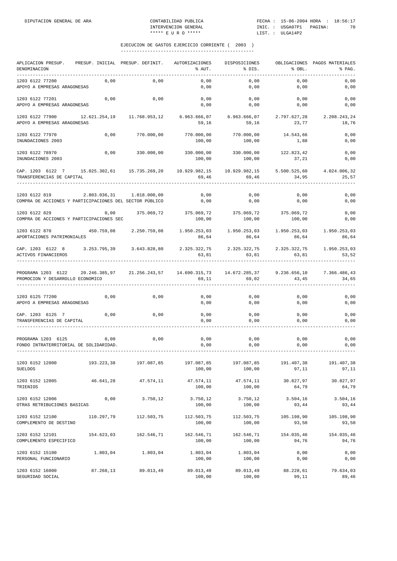| APLICACION PRESUP.<br>DENOMINACION                                       |                             | PRESUP. INICIAL PRESUP. DEFINIT. | AUTORIZACIONES<br>% AUT. | DISPOSICIONES<br>% DIS. | % OBL.                | OBLIGACIONES PAGOS MATERIALES<br>% PAG. |
|--------------------------------------------------------------------------|-----------------------------|----------------------------------|--------------------------|-------------------------|-----------------------|-----------------------------------------|
| 1203 6122 77200<br>APOYO A EMPRESAS ARAGONESAS                           | 0,00                        | 0,00                             | 0,00<br>0,00             | 0,00<br>0,00            | 0,00<br>0,00          | 0,00<br>0,00                            |
| 1203 6122 77201<br>APOYO A EMPRESAS ARAGONESAS                           | 0,00                        | 0,00                             | 0,00<br>0,00             | 0,00<br>0,00            | 0,00<br>0,00          | 0,00<br>0,00                            |
| 1203 6122 77900<br>APOYO A EMPRESAS ARAGONESAS                           | 12.621.254,19               | 11.768.953,12                    | 6.963.666,07<br>59,16    | 6.963.666,07<br>59,16   | 2.797.627,28<br>23,77 | 2.208.243,24<br>18,76                   |
| 1203 6122 77970<br>INUNDACIONES 2003                                     | 0,00                        | 770.000,00                       | 770.000,00<br>100,00     | 770.000,00<br>100,00    | 14.543,66<br>1,88     | 0,00<br>0,00                            |
| 1203 6122 78970<br>INUNDACIONES 2003                                     | 0,00                        | 330.000,00                       | 330.000,00<br>100,00     | 330.000,00<br>100,00    | 122.823,42<br>37,21   | 0,00<br>0,00                            |
| CAP. 1203 6122 7<br>TRANSFERENCIAS DE CAPITAL                            | 15.025.302,61 15.735.269,20 |                                  | 10.929.982,15<br>69,46   | 10.929.982,15<br>69,46  | 5.500.525,60<br>34,95 | 4.024.006,32<br>25,57                   |
| 1203 6122 819<br>COMPRA DE ACCIONES Y PARTICIPACIONES DEL SECTOR PÚBLICO | 2.803.036,31                | 1.018.000,00                     | 0,00<br>0,00             | 0,00<br>0,00            | 0,00<br>0,00          | 0,00<br>0,00                            |
| 1203 6122 829<br>COMPRA DE ACCIONES Y PARTICIPACIONES SEC                | 0,00                        | 375.069,72                       | 375.069,72<br>100,00     | 375.069,72<br>100,00    | 375.069,72<br>100,00  | 0,00<br>0,00                            |
| 1203 6122 870<br>APORTACIONES PATRIMONIALES                              | 450.759,08                  | 2.250.759,08                     | 1.950.253,03<br>86,64    | 1.950.253,03<br>86,64   | 1.950.253,03<br>86,64 | 1.950.253,03<br>86,64                   |
| CAP. 1203 6122 8<br>ACTIVOS FINANCIEROS                                  |                             | 3.253.795,39 3.643.828,80        | 2.325.322,75<br>63,81    | 2.325.322,75<br>63,81   | 2.325.322,75<br>63,81 | 1.950.253,03<br>53,52                   |
| PROGRAMA 1203 6122<br>PROMOCION Y DESARROLLO ECONOMICO                   | 20.246.385,97               | 21.256.243,57                    | 14.690.315,73<br>69,11   | 14.672.285,37<br>69,02  | 9.236.656,10<br>43,45 | 7.366.486,43<br>34,65                   |
| 1203 6125 77200<br>APOYO A EMPRESAS ARAGONESAS                           | 0,00                        | 0,00                             | 0,00<br>0,00             | 0,00<br>0,00            | 0,00<br>0,00          | 0,00<br>0,00                            |
| CAP. 1203 6125 7<br>TRANSFERENCIAS DE CAPITAL                            | 0,00                        | 0,00                             | 0,00<br>0,00             | 0,00<br>0,00            | 0,00<br>0,00          | 0,00<br>0,00                            |
| PROGRAMA 1203 6125<br>FONDO INTRATERRITORIAL DE SOLIDARIDAD.             | 0,00                        | 0,00                             | 0,00<br>0,00             | 0,00<br>0,00            | 0,00<br>0,00          | 0,00<br>0,00                            |
| 1203 6152 12000<br><b>SUELDOS</b>                                        | 193.223,38                  | 197.087,85                       | 197.087,85<br>100,00     | 197.087,85<br>100,00    | 191.407,38<br>97,11   | 191.407,38<br>97,11                     |
| 1203 6152 12005<br>TRIENIOS                                              | 46.641,28                   | 47.574,11                        | 47.574,11<br>100,00      | 47.574,11<br>100,00     | 30.827,97<br>64,79    | 30.827,97<br>64,79                      |
| 1203 6152 12006<br>OTRAS RETRIBUCIONES BASICAS                           | 0,00                        | 3.750,12                         | 3.750,12<br>100,00       | 3.750,12<br>100,00      | 3.504, 16<br>93,44    | 3.504,16<br>93,44                       |
| 1203 6152 12100<br>COMPLEMENTO DE DESTINO                                | 110.297,79                  | 112.503,75                       | 112.503,75<br>100,00     | 112.503,75<br>100,00    | 105.198,90<br>93,50   | 105.198,90<br>93,50                     |
| 1203 6152 12101<br>COMPLEMENTO ESPECIFICO                                | 154.623,03                  | 162.546,71                       | 162.546,71<br>100,00     | 162.546,71<br>100,00    | 154.035,46<br>94,76   | 154.035,46<br>94,76                     |
| 1203 6152 15100<br>PERSONAL FUNCIONARIO                                  | 1.803,04                    | 1.803,04                         | 1.803,04<br>100,00       | 1.803,04<br>100,00      | 0,00<br>0,00          | 0,00<br>0,00                            |
| 1203 6152 16000<br>SEGURIDAD SOCIAL                                      | 87.268,13                   | 89.013,49                        | 89.013,49<br>100,00      | 89.013,49<br>100,00     | 88.228,61<br>99,11    | 79.634,03<br>89,46                      |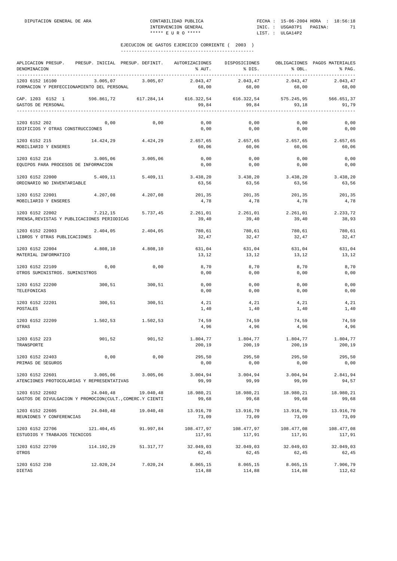| APLICACION PRESUP. PRESUP. INICIAL PRESUP. DEFINIT. AUTORIZACIONES DISPOSICIONES OBLIGACIONES PAGOS MATERIALES<br>DENOMINACION |                                                        |                   | % AUT.                                                 | % DIS.                      | % OBL.               | % PAG.               |
|--------------------------------------------------------------------------------------------------------------------------------|--------------------------------------------------------|-------------------|--------------------------------------------------------|-----------------------------|----------------------|----------------------|
| 1203 6152 16100<br>FORMACION Y PERFECCIONAMIENTO DEL PERSONAL                                                                  |                                                        | 3.005,07 3.005,07 | 68,00                                                  | 2.043,47 2.043,47<br>68,00  | 2.043,47<br>68,00    | 2.043,47<br>68,00    |
| CAP. 1203 6152 1<br>GASTOS DE PERSONAL                                                                                         | 596.861,72 617.284,14 616.322,54 616.322,54 575.245,95 |                   | 99,84                                                  | 99,84                       | 93,18                | 566.651,37<br>91.79  |
| 1203 6152 202<br>EDIFICIOS Y OTRAS CONSTRUCCIONES                                                                              | 0,00                                                   | 0,00              | 0,00<br>0,00                                           | 0,00<br>0, 00               | 0,00<br>0,00         | 0,00<br>0,00         |
| 1203 6152 215<br>MOBILIARIO Y ENSERES                                                                                          |                                                        |                   | 14.424,29 4.424,29 2.657,65 2.657,65 2.657,65<br>60,06 | 60,06                       | 60,06                | 2.657,65<br>60,06    |
| 1203 6152 216<br>EQUIPOS PARA PROCESOS DE INFORMACION                                                                          | 3.005,06                                               | 3.005,06          | 0,00<br>0,00                                           | 0,00<br>0,00                | 0,00<br>0,00         | 0,00<br>0,00         |
| 1203 6152 22000<br>ORDINARIO NO INVENTARIABLE                                                                                  |                                                        | 5.409,11 5.409,11 | 3.438,20 3.438,20<br>63,56                             | 63,56                       | 3.438,20<br>63,56    | 3.438,20<br>63,56    |
| 1203 6152 22001<br>MOBILIARIO Y ENSERES                                                                                        | 4.207,08                                               | 4.207,08          | 201,35<br>4,78                                         | 201,35<br>4,78              | 201,35<br>4,78       | 201,35<br>4,78       |
| $1203$ 6152 22002 $7.212,15$ 5.737,45 2.261,01 2.261,01 2.261,01<br>PRENSA, REVISTAS Y PUBLICACIONES PERIODICAS                |                                                        |                   | 39,40                                                  | 39,40                       | 39,40                | 2.233,72<br>38,93    |
| 1203 6152 22003 2.404,05<br>LIBROS Y OTRAS PUBLICACIONES                                                                       |                                                        | 2.404,05          | 780,61<br>32,47                                        | 780,61<br>32,47             | 780,61<br>32,47      | 780,61<br>32,47      |
| 1203 6152 22004<br>MATERIAL INFORMATICO                                                                                        | 4.808,10                                               | 4.808,10          | 631,04<br>13,12                                        | 631,04<br>13,12             | 631,04<br>13,12      | 631,04<br>13,12      |
| 1203 6152 22109<br>OTROS SUMINISTROS. SUMINISTROS                                                                              | 0,00                                                   | 0,00              | 8,70<br>0,00                                           | 8,70<br>0,00                | 8,70<br>0,00         | 8,70<br>0,00         |
| 1203 6152 22200<br>TELEFONICAS                                                                                                 | 300,51                                                 | 300,51            | 0,00<br>0,00                                           | 0,00<br>0,00                | 0,00<br>0,00         | 0,00<br>0,00         |
| 1203 6152 22201<br>POSTALES                                                                                                    | 300,51                                                 | 300,51            | 4,21<br>1,40                                           | 4,21<br>1,40                | 4,21<br>1,40         | 4,21<br>1,40         |
| 1203 6152 22209<br>OTRAS                                                                                                       | 1.502, 53                                              | 1.502,53          | 74,59<br>4,96                                          | 74,59<br>4,96               | 74,59<br>4,96        | 74,59<br>4,96        |
| 1203 6152 223<br>TRANSPORTE                                                                                                    | 901,52                                                 | 901,52            | 200,19                                                 | 1.804,77 1.804,77<br>200,19 | 1.804,77<br>200,19   | 1.804,77<br>200, 19  |
| 1203 6152 22403<br>PRIMAS DE SEGUROS                                                                                           | 0,00                                                   | 0,00              | 295,50<br>0,00                                         | 295,50<br>0,00              | 295,50<br>0,00       | 295,50<br>0,00       |
| 1203 6152 22601<br>ATENCIONES PROTOCOLARIAS Y REPRESENTATIVAS                                                                  | 3.005,06                                               | 3.005,06          | 3.004,94<br>99,99                                      | 3.004,94<br>99,99           | 3.004,94<br>99,99    | 2.841,94<br>94,57    |
| 1203 6152 22602<br>GASTOS DE DIVULGACION Y PROMOCION(CULT., COMERC.Y CIENTI                                                    | 24.040,48                                              | 19.040,48         | 18.980,21<br>99,68                                     | 18.980,21<br>99,68          | 18.980,21<br>99,68   | 18.980,21<br>99,68   |
| 1203 6152 22605<br>REUNIONES Y CONFERENCIAS                                                                                    | 24.040,48                                              | 19.040,48         | 13.916,70<br>73,09                                     | 13.916,70<br>73,09          | 13.916,70<br>73,09   | 13.916,70<br>73,09   |
| 1203 6152 22706<br>ESTUDIOS Y TRABAJOS TECNICOS                                                                                | 121.404,45                                             | 91.997,84         | 108.477,97<br>117,91                                   | 108.477,97<br>117,91        | 108.477,08<br>117,91 | 108.477,08<br>117,91 |
| 1203 6152 22709<br>OTROS                                                                                                       | 114.192,29                                             | 51.317,77         | 32.049,03<br>62,45                                     | 32.049,03<br>62,45          | 32.049,03<br>62,45   | 32.049,03<br>62,45   |
| 1203 6152 230<br>DIETAS                                                                                                        | 12.020,24                                              | 7.020,24          | 8.065,15<br>114,88                                     | 8.065,15<br>114,88          | 8.065,15<br>114,88   | 7.906,79<br>112,62   |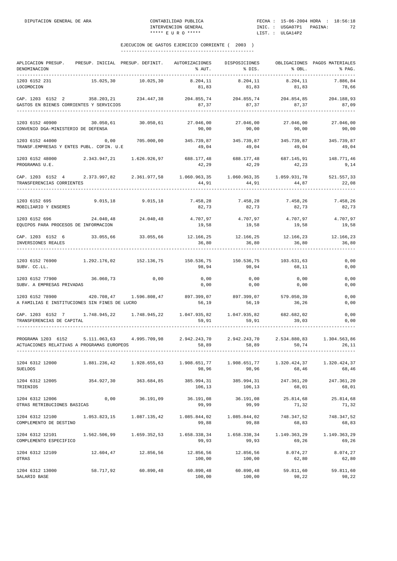| APLICACION PRESUP.<br>DENOMINACION<br>-----------                                                                                              |              | PRESUP. INICIAL PRESUP. DEFINIT. | AUTORIZACIONES<br>% AUT.                               | DISPOSICIONES<br>% DIS. | % OBL.                     | OBLIGACIONES PAGOS MATERIALES<br>% PAG. |
|------------------------------------------------------------------------------------------------------------------------------------------------|--------------|----------------------------------|--------------------------------------------------------|-------------------------|----------------------------|-----------------------------------------|
| 1203 6152 231<br>LOCOMOCION                                                                                                                    | 15.025,30    | 10.025,30                        | 8.204,11<br>81,83                                      | 8.204,11<br>81,83       | 8.204,11<br>81,83          | 7.886,84<br>78,66                       |
| $\verb CAP. 1203 6152 2 358.203, 21 234.447, 38 204.855, 74 204.855, 74 204.854, 85$<br>GASTOS EN BIENES CORRIENTES Y SERVICIOS                |              |                                  | 87,37                                                  | 87,37                   | 87,37                      | 204.188,93<br>87,09                     |
| 1203 6152 40900 30.050,61<br>CONVENIO DGA-MINISTERIO DE DEFENSA                                                                                |              | 30.050,61                        | 27.046,00<br>90,00                                     | 27.046,00<br>90,00      | 27.046,00<br>90,00         | 27.046,00<br>90,00                      |
| 1203 6152 44000 0,00<br>TRANSF.EMPRESAS Y ENTES PUBL. COFIN. U.E                                                                               |              |                                  | 705.000,00 345.739,87 345.739,87 345.739,87<br>49,04   | 49,04                   | 49,04                      | 345.739,87<br>49,04                     |
| 1203 6152 48000<br>PROGRAMAS U.E.                                                                                                              |              | 2.343.947,21 1.626.926,97        | 688.177,48<br>42,29                                    | 688.177,48<br>42,29     | 687.145,91<br>42,23        | 148.771,46<br>9,14                      |
| CAP. 1203 6152 4 2.373.997,82 2.361.977,58 1.060.963,35 1.060.963,35 1.059.931,78<br>TRANSFERENCIAS CORRIENTES                                 |              |                                  | 44,91                                                  | 44,91                   | 44,87                      | 521.557,33<br>22,08                     |
| 1203 6152 695<br>MOBILIARIO Y ENSERES                                                                                                          |              | 9.015,18 9.015,18 7.458,28       | 82,73                                                  | 7.458,28<br>82,73       | 7.458,26<br>82,73          | 7.458,26<br>82,73                       |
| 1203 6152 696<br>EQUIPOS PARA PROCESOS DE INFORMACION                                                                                          | 24.040,48    | 24.040,48                        | 4.707,97<br>19,58                                      | 19,58                   | 4.707.97 4.707.97<br>19,58 | 4.707,97<br>19,58                       |
| CAP. 1203 6152 6 33.055,66<br>INVERSIONES REALES                                                                                               |              |                                  | 33.055,66 12.166,25 12.166,25 12.166,23<br>36,80       | 36,80                   | 36,80                      | 12.166,23<br>36,80                      |
| 1203 6152 76900 1.292.176,02 152.136,75 150.536,75 150.536,75 103.631,63<br>SUBV. CC.LL.                                                       |              |                                  | 98,94                                                  | 98,94                   | 68,11                      | 0,00<br>0,00                            |
| 1203 6152 77900<br>SUBV. A EMPRESAS PRIVADAS                                                                                                   | 36.060,73    | 0,00                             | 0,00<br>0,00                                           | 0,00<br>0,00            | 0,00<br>0,00               | 0,00<br>0,00                            |
| 1203 6152 78900<br>A FAMILIAS E INSTITUCIONES SIN FINES DE LUCRO                                                                               |              |                                  | 420.708,47 1.596.808,47 897.399,07 897.399,07<br>56,19 | 56,19                   | 579.050,39<br>36,26        | 0,00<br>0,00                            |
| CAP. 1203 6152 7 1.748.945,22 1.748.945,22 1.047.935,82 1.047.935,82 682.682,02<br>TRANSFERENCIAS DE CAPITAL                                   |              |                                  | 59,91                                                  | 59, 91                  | 39,03                      | 0,00<br>0,00                            |
| PROGRAMA 1203 6152 5.111.063,63 4.995.709,98 2.942.243,70 2.942.243,70 2.534.880,83 1.304.563,86<br>ACTUACIONES RELATIVAS A PROGRAMAS EUROPEOS |              |                                  | 58,89                                                  | 58,89                   | 50,74                      | 26,11                                   |
| 1204 6312 12000<br><b>SUELDOS</b>                                                                                                              |              | 1.881.236,42 1.928.655,63        | 1.908.651,77<br>98,96                                  | 1.908.651,77<br>98,96   | 1.320.424,37<br>68,46      | 1.320.424,37<br>68,46                   |
| 1204 6312 12005<br>TRIENIOS                                                                                                                    | 354.927,30   | 363.684,85                       | 385.994,31<br>106,13                                   | 385.994,31<br>106,13    | 247.361,20<br>68,01        | 247.361,20<br>68,01                     |
| 1204 6312 12006<br>OTRAS RETRIBUCIONES BASICAS                                                                                                 | 0,00         | 36.191,09                        | 36.191,08<br>99,99                                     | 36.191,08<br>99,99      | 25.814,68<br>71,32         | 25.814,68<br>71,32                      |
| 1204 6312 12100 1.053.823,15<br>COMPLEMENTO DE DESTINO                                                                                         |              | 1.087.135,42                     | 1.085.844,02<br>99,88                                  | 1.085.844,02<br>99,88   | 748.347,52<br>68,83        | 748.347,52<br>68,83                     |
| 1204 6312 12101<br>COMPLEMENTO ESPECIFICO                                                                                                      | 1.562.506,99 | 1.659.352,53                     | 1.658.338,34<br>99,93                                  | 1.658.338,34<br>99,93   | 1.149.363,29<br>69,26      | 1.149.363,29<br>69,26                   |
| 1204 6312 12109<br>OTRAS                                                                                                                       | 12.604,47    | 12.856,56                        | 12.856,56<br>100,00                                    | 12.856,56<br>100,00     | 8.074, 27<br>62,80         | 8.074,27<br>62,80                       |
| 1204 6312 13000<br>SALARIO BASE                                                                                                                | 58.717,92    | 60.890,48                        | 60.890,48<br>100,00                                    | 60.890,48<br>100,00     | 59.811,60<br>98,22         | 59.811,60<br>98,22                      |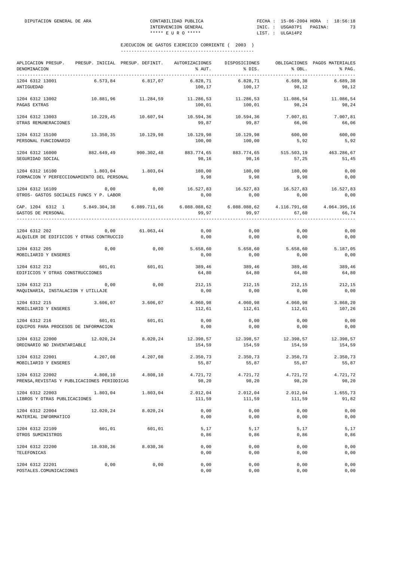| APLICACION PRESUP.<br>DENOMINACION                               | PRESUP. INICIAL PRESUP. DEFINIT. |            | AUTORIZACIONES<br>% AUT. | DISPOSICIONES<br>% DIS.                                   | % OBL.              | OBLIGACIONES PAGOS MATERIALES<br>% PAG. |
|------------------------------------------------------------------|----------------------------------|------------|--------------------------|-----------------------------------------------------------|---------------------|-----------------------------------------|
| 1204 6312 13001<br>ANTIGUEDAD                                    | 6.573,84                         | 6.817,07   | 6.828,71<br>100,17       | 6.828,71<br>100,17                                        | 6.689, 38<br>98,12  | 6.689,38<br>98,12                       |
| 1204 6312 13002<br>PAGAS EXTRAS                                  | 10.881,96                        | 11.284,59  | 11.286,53<br>100,01      | 11.286,53<br>100,01                                       | 11.086,54<br>98,24  | 11.086,54<br>98,24                      |
| 1204 6312 13003<br>OTRAS REMUNERACIONES                          | 10.229,45                        | 10.607,94  | 10.594,36<br>99,87       | 10.594,36<br>99,87                                        | 7.007,81<br>66,06   | 7.007,81<br>66,06                       |
| 1204 6312 15100<br>PERSONAL FUNCIONARIO                          | 13.350,35                        | 10.129,98  | 10.129,98<br>100,00      | 10.129,98<br>100,00                                       | 600,00<br>5,92      | 600,00<br>5,92                          |
| 1204 6312 16000<br>SEGURIDAD SOCIAL                              | 882.649,49                       | 900.302,48 | 883.774,65<br>98,16      | 883.774,65<br>98,16                                       | 515.503,19<br>57,25 | 463.286,67<br>51,45                     |
| 1204 6312 16100<br>FORMACION Y PERFECCIONAMIENTO DEL PERSONAL    | 1.803,04                         | 1.803,04   | 180,00<br>9,98           | 180,00<br>9,98                                            | 180,00<br>9,98      | 0,00<br>0,00                            |
| 1204 6312 16109<br>OTROS- GASTOS SOCIALES FUNCS Y P. LABOR       | 0,00                             | 0,00       | 0,00                     | 16.527,83 16.527,83 16.527,83<br>0,00                     | 0,00                | 16.527,83<br>0,00                       |
| CAP. 1204 6312 1 5.849.304,38 6.089.711,66<br>GASTOS DE PERSONAL |                                  |            | 99,97                    | $6.088.088, 62$ $6.088.088, 62$ $4.116.791, 68$<br>99, 97 | 67,60               | 4.064.395,16<br>66,74                   |
| 1204 6312 202<br>ALQUILER DE EDIFICIOS Y OTRAS CONTRUCCIO        | 0,00                             | 61.063,44  | 0,00<br>0,00             | 0,00<br>0,00                                              | 0,00<br>0,00        | 0,00<br>0,00                            |
| 1204 6312 205<br>MOBILIARIO Y ENSERES                            | 0,00                             | 0,00       | 5.658,60<br>0,00         | 5.658,60<br>0,00                                          | 5.658,60<br>0,00    | 5.187,05<br>0,00                        |
| 1204 6312 212<br>EDIFICIOS Y OTRAS CONSTRUCCIONES                | 601,01                           | 601,01     | 389,46<br>64,80          | 389,46<br>64,80                                           | 389,46<br>64,80     | 389,46<br>64,80                         |
| 1204 6312 213<br>MAQUINARIA, INSTALACION Y UTILLAJE              | 0,00                             | 0,00       | 212,15<br>0,00           | 212,15<br>0,00                                            | 212,15<br>0,00      | 212,15<br>0,00                          |
| 1204 6312 215<br>MOBILIARIO Y ENSERES                            | 3.606,07                         | 3.606,07   | 4.060,98<br>112,61       | 4.060,98<br>112,61                                        | 4.060,98<br>112,61  | 3.868,20<br>107,26                      |
| 1204 6312 216<br>EQUIPOS PARA PROCESOS DE INFORMACION            | 601,01                           | 601,01     | 0,00<br>0,00             | 0,00<br>0,00                                              | 0,00<br>0,00        | 0,00<br>0,00                            |
| 1204 6312 22000<br>ORDINARIO NO INVENTARIABLE                    | 12.020,24                        | 8.020,24   | 12.398,57<br>154,59      | 12.398,57<br>154,59                                       | 12.398,57<br>154,59 | 12.398,57<br>154,59                     |
| 1204 6312 22001<br>MOBILIARIO Y ENSERES                          | 4.207,08                         | 4.207,08   | 2.350,73<br>55,87        | 2.350,73<br>55,87                                         | 2.350,73<br>55,87   | 2.350,73<br>55,87                       |
| 1204 6312 22002<br>PRENSA, REVISTAS Y PUBLICACIONES PERIODICAS   | 4.808,10                         | 4.808,10   | 4.721,72<br>98,20        | 4.721,72<br>98,20                                         | 4.721,72<br>98,20   | 4.721,72<br>98,20                       |
| 1204 6312 22003<br>LIBROS Y OTRAS PUBLICACIONES                  | 1.803,04                         | 1.803,04   | 2.012,04<br>111,59       | 2.012,04<br>111,59                                        | 2.012,04<br>111,59  | 1.655,73<br>91,82                       |
| 1204 6312 22004<br>MATERIAL INFORMATICO                          | 12.020,24                        | 8.020,24   | 0,00<br>0,00             | 0,00<br>0,00                                              | 0,00<br>0,00        | 0,00<br>0,00                            |
| 1204 6312 22109<br>OTROS SUMINISTROS                             | 601,01                           | 601,01     | $5,17$<br>0,86           | $5,17$<br>0,86                                            | 5,17<br>0,86        | 5,17<br>0,86                            |
| 1204 6312 22200<br>TELEFONICAS                                   | 18.030,36                        | 8.030,36   | 0,00<br>0,00             | 0,00<br>0,00                                              | 0,00<br>0,00        | 0,00<br>0,00                            |
| 1204 6312 22201<br>POSTALES.COMUNICACIONES                       | 0,00                             | 0,00       | 0,00<br>0,00             | 0,00<br>0,00                                              | 0,00<br>0,00        | 0,00<br>0,00                            |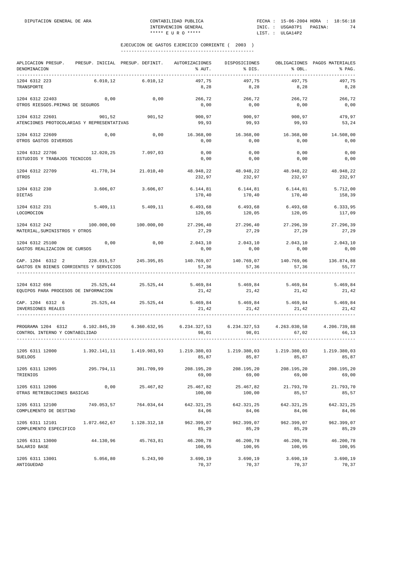| APLICACION PRESUP.<br>DENOMINACION                                                                                                                                                                                                    |              | PRESUP. INICIAL PRESUP. DEFINIT.                                           | AUTORIZACIONES<br>% AUT.    | DISPOSICIONES<br>% DIS.                                      | % OBL.              | OBLIGACIONES PAGOS MATERIALES<br>% PAG. |
|---------------------------------------------------------------------------------------------------------------------------------------------------------------------------------------------------------------------------------------|--------------|----------------------------------------------------------------------------|-----------------------------|--------------------------------------------------------------|---------------------|-----------------------------------------|
| 1204 6312 223<br>TRANSPORTE                                                                                                                                                                                                           | 6.010, 12    | 6.010,12                                                                   | 497,75<br>8,28              | 497,75<br>8,28                                               | 497.75<br>8,28      | 497,75<br>8,28                          |
| 1204 6312 22403<br>OTROS RIESGOS. PRIMAS DE SEGUROS                                                                                                                                                                                   | 0,00         | 0,00                                                                       | 266,72<br>0,00              | 266,72<br>0,00                                               | 266,72<br>0,00      | 266,72<br>0,00                          |
| 1204 6312 22601<br>ATENCIONES PROTOCOLARIAS Y REPRESENTATIVAS                                                                                                                                                                         | 901,52       | 901,52                                                                     | 900,97<br>99,93             | 900,97<br>99,93                                              | 900,97<br>99,93     | 479,97<br>53,24                         |
| 1204 6312 22609<br>OTROS GASTOS DIVERSOS                                                                                                                                                                                              | 0,00         | 0,00                                                                       | 16.368,00<br>0,00           | 16.368,00<br>0,00                                            | 16.368,00<br>0,00   | 14.508,00<br>0,00                       |
| 1204 6312 22706<br>ESTUDIOS Y TRABAJOS TECNICOS                                                                                                                                                                                       | 12.020,25    | 7.097,03                                                                   | 0,00<br>0,00                | 0,00<br>0,00                                                 | 0,00<br>0,00        | 0,00<br>0,00                            |
| 1204 6312 22709<br>OTROS                                                                                                                                                                                                              |              | 41.770,34 21.010,40                                                        | 48.948,22<br>232,97         | 48.948,22<br>232,97                                          | 48.948,22<br>232,97 | 48.948,22<br>232,97                     |
| 1204 6312 230<br>DIETAS                                                                                                                                                                                                               |              | $3.606,07$ $3.606,07$                                                      | 6.144,81 6.144,81<br>170,40 | 170,40                                                       | 6.144.81<br>170,40  | 5.712,00<br>158,39                      |
| 1204 6312 231<br>LOCOMOCION                                                                                                                                                                                                           | 5.409,11     | 5.409,11                                                                   | 6.493,68<br>120,05          | 6.493,68<br>120,05                                           | 6.493,68<br>120,05  | 6.333,95<br>117,09                      |
| 1204 6312 242<br>MATERIAL, SUMINISTROS Y OTROS                                                                                                                                                                                        | 100.000,00   | 100.000,00                                                                 | 27.296,40<br>27,29          | 27.296,40<br>27,29                                           | 27.296,39<br>27,29  | 27.296,39<br>27,29                      |
| 1204 6312 25100<br>GASTOS REALIZACION DE CURSOS                                                                                                                                                                                       | 0,00         | 0,00                                                                       | 2.043,10<br>0,00            | 2.043,10<br>0,00                                             | 2.043, 10<br>0,00   | 2.043, 10<br>0,00                       |
| $\verb CAP. 1204 6312 2 \hspace*{0.2in} 228.015,57 \hspace*{0.2in} 245.395,85 \hspace*{0.2in} 140.769,07 \hspace*{0.2in} 140.769,07 \hspace*{0.2in} 140.769,07 \hspace*{0.2in} 140.769,06$<br>GASTOS EN BIENES CORRIENTES Y SERVICIOS |              |                                                                            | 57,36                       | 57,36                                                        | 57,36               | 136.874,88<br>55,77                     |
| 1204 6312 696<br>EQUIPOS PARA PROCESOS DE INFORMACION                                                                                                                                                                                 |              | 25.525,44 25.525,44 5.469,84 5.469,84 5.469,84 5.469,84                    | 21,42                       | 21,42                                                        | 21,42               | 21,42                                   |
| CAP. 1204 6312 6<br>INVERSIONES REALES                                                                                                                                                                                                |              | 25.525,44 25.525,44                                                        | 21, 42                      | $5.469,84$ $5.469,84$ $5.469,84$ $5.469,84$<br>21,42         | 21,42               | 21,42                                   |
| PROGRAMA 1204 6312 6.102.845,39 6.360.632,95<br>CONTROL INTERNO Y CONTABILIDAD                                                                                                                                                        |              |                                                                            | 98,01                       | 6.234.327,53 6.234.327,53 4.263.030,58 4.206.739,88<br>98,01 | 67,02               | 66,13                                   |
| 1205 6311 12000<br><b>SUELDOS</b>                                                                                                                                                                                                     |              | $1.392.141,11$ $1.419.983,93$ $1.219.380,03$ $1.219.380,03$ $1.219.380,03$ |                             | 85,87 85,87 85,87 85,87 85,87                                |                     | 1.219.380,03                            |
| 1205 6311 12005<br>TRIENIOS                                                                                                                                                                                                           | 295.794,11   | 301.709,99                                                                 | 208.195,20<br>69,00         | 208.195,20<br>69,00                                          | 208.195,20<br>69,00 | 208.195,20<br>69,00                     |
| 1205 6311 12006<br>OTRAS RETRIBUCIONES BASICAS                                                                                                                                                                                        | 0,00         | 25.467,82                                                                  | 25.467,82<br>100,00         | 25.467,82<br>100,00                                          | 21.793,70<br>85,57  | 21.793,70<br>85,57                      |
| 1205 6311 12100<br>COMPLEMENTO DE DESTINO                                                                                                                                                                                             | 749.053,57   | 764.034,64                                                                 | 642.321,25<br>84,06         | 642.321,25<br>84,06                                          | 642.321,25<br>84,06 | 642.321,25<br>84,06                     |
| 1205 6311 12101<br>COMPLEMENTO ESPECIFICO                                                                                                                                                                                             | 1.072.662,67 | 1.128.312,18                                                               | 962.399,07<br>85,29         | 962.399,07<br>85,29                                          | 962.399,07<br>85,29 | 962.399,07<br>85,29                     |
| 1205 6311 13000<br>SALARIO BASE                                                                                                                                                                                                       | 44.130,96    | 45.763,81                                                                  | 46.200,78<br>100,95         | 46.200,78<br>100,95                                          | 46.200,78<br>100,95 | 46.200,78<br>100,95                     |
| 1205 6311 13001<br>ANTIGUEDAD                                                                                                                                                                                                         | 5.056,80     | 5.243,90                                                                   | 3.690,19<br>70,37           | 3.690,19<br>70,37                                            | 3.690,19<br>70,37   | 3.690,19<br>70,37                       |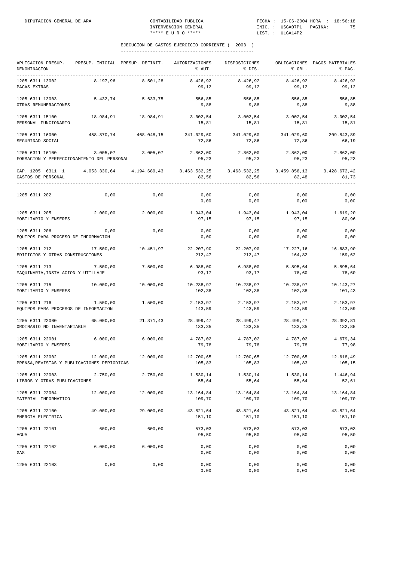| APLICACION PRESUP.<br>DENOMINACION                             |              | PRESUP. INICIAL PRESUP. DEFINIT. | AUTORIZACIONES<br>% AUT. | DISPOSICIONES<br>% DIS. | % OBL.                | OBLIGACIONES PAGOS MATERIALES<br>% PAG. |
|----------------------------------------------------------------|--------------|----------------------------------|--------------------------|-------------------------|-----------------------|-----------------------------------------|
| 1205 6311 13002<br>PAGAS EXTRAS                                | 8.197,96     | 8.501,28                         | 8.426,92<br>99,12        | 8.426,92<br>99,12       | 8.426,92<br>99,12     | 8.426,92<br>99,12                       |
| 1205 6311 13003<br>OTRAS REMUNERACIONES                        | 5.432,74     | 5.633,75                         | 556,85<br>9,88           | 556,85<br>9,88          | 556,85<br>9,88        | 556,85<br>9,88                          |
| 1205 6311 15100<br>PERSONAL FUNCIONARIO                        | 18.984,91    | 18.984,91                        | 3.002,54<br>15,81        | 3.002,54<br>15,81       | 3.002, 54<br>15,81    | 3.002, 54<br>15,81                      |
| 1205 6311 16000<br>SEGURIDAD SOCIAL                            | 458.870,74   | 468.048,15                       | 341.029,60<br>72,86      | 341.029,60<br>72,86     | 341.029,60<br>72,86   | 309.843,89<br>66,19                     |
| 1205 6311 16100<br>FORMACION Y PERFECCIONAMIENTO DEL PERSONAL  | 3.005,07     | 3.005,07                         | 2.862,00<br>95,23        | 2.862,00<br>95,23       | 2.862,00<br>95,23     | 2.862,00<br>95,23                       |
| CAP. 1205 6311 1<br>GASTOS DE PERSONAL                         | 4.053.330,64 | 4.194.689,43                     | 3.463.532,25<br>82,56    | 3.463.532,25<br>82,56   | 3.459.858,13<br>82,48 | 3.428.672,42<br>81,73                   |
| 1205 6311 202                                                  | 0,00         | 0,00                             | 0,00<br>0,00             | 0,00<br>0,00            | 0,00<br>0,00          | 0,00<br>0,00                            |
| 1205 6311 205<br>MOBILIARIO Y ENSERES                          | 2.000,00     | 2.000,00                         | 1.943,04<br>97,15        | 1.943,04<br>97,15       | 1.943,04<br>97,15     | 1.619,20<br>80,96                       |
| 1205 6311 206<br>EQUIPOS PARA PROCESO DE INFORMACION           | 0,00         | 0,00                             | 0,00<br>0,00             | 0,00<br>0,00            | 0,00<br>0,00          | 0,00<br>0,00                            |
| 1205 6311 212<br>EDIFICIOS Y OTRAS CONSTRUCCIONES              | 17.500,00    | 10.451,97                        | 22.207,90<br>212,47      | 22.207,90<br>212,47     | 17.227,16<br>164,82   | 16.683,90<br>159,62                     |
| 1205 6311 213<br>MAQUINARIA, INSTALACION Y UTILLAJE            | 7.500,00     | 7.500,00                         | 6.988,00<br>93,17        | 6.988,00<br>93,17       | 5.895,64<br>78,60     | 5.895,64<br>78,60                       |
| 1205 6311 215<br>MOBILIARIO Y ENSERES                          | 10.000,00    | 10.000,00                        | 10.238,97<br>102,38      | 10.238,97<br>102,38     | 10.238,97<br>102,38   | 10.143,27<br>101,43                     |
| 1205 6311 216<br>EQUIPOS PARA PROCESOS DE INFORMACION          | 1.500,00     | 1.500,00                         | 2.153,97<br>143,59       | 2.153,97<br>143,59      | 2.153,97<br>143,59    | 2.153,97<br>143,59                      |
| 1205 6311 22000<br>ORDINARIO NO INVENTARIABLE                  | 65.000,00    | 21.371,43                        | 28.499,47<br>133,35      | 28.499,47<br>133,35     | 28.499,47<br>133,35   | 28.392,81<br>132,85                     |
| 1205 6311 22001<br>MOBILIARIO Y ENSERES                        | 6.000,00     | 6.000,00                         | 4.787,02<br>79,78        | 4.787,02<br>79,78       | 4.787,02<br>79,78     | 4.679,34<br>77,98                       |
| 1205 6311 22002<br>PRENSA, REVISTAS Y PUBLICACIONES PERIODICAS | 12.000,00    | 12.000,00                        | 12.700,65<br>105,83      | 12.700,65<br>105,83     | 12.700,65<br>105,83   | 12.618,49<br>105,15                     |
| 1205 6311 22003<br>LIBROS Y OTRAS PUBLICACIONES                | 2.750,00     | 2.750,00                         | 1.530,14<br>55,64        | 1.530,14<br>55,64       | 1.530,14<br>55,64     | 1.446,94<br>52,61                       |
| 1205 6311 22004<br>MATERIAL INFORMATICO                        | 12.000,00    | 12.000,00                        | 13.164,84<br>109,70      | 13.164,84<br>109,70     | 13.164,84<br>109,70   | 13.164,84<br>109,70                     |
| 1205 6311 22100<br>ENERGIA ELECTRICA                           | 49.000,00    | 29.000,00                        | 43.821,64<br>151,10      | 43.821,64<br>151,10     | 43.821,64<br>151,10   | 43.821,64<br>151,10                     |
| 1205 6311 22101<br>AGUA                                        | 600,00       | 600,00                           | 573,03<br>95,50          | 573,03<br>95,50         | 573,03<br>95,50       | 573,03<br>95,50                         |
| 1205 6311 22102<br>GAS                                         | 6.000,00     | 6.000,00                         | 0,00<br>0,00             | 0,00<br>0,00            | 0,00<br>0,00          | 0,00<br>0,00                            |
| 1205 6311 22103                                                | 0,00         | 0,00                             | 0,00<br>0,00             | 0,00<br>0,00            | 0,00<br>0,00          | 0,00<br>0,00                            |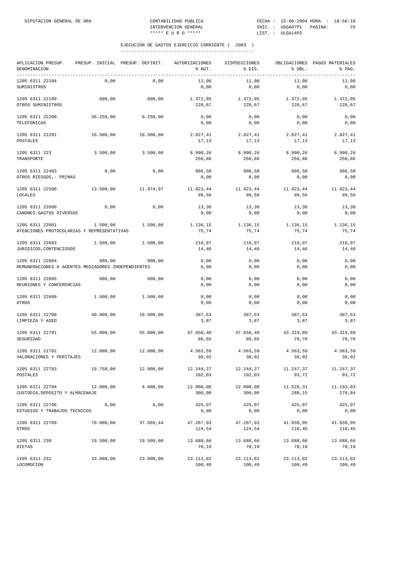| APLICACION PRESUP.<br>DENOMINACION<br>------------                    |           | PRESUP. INICIAL PRESUP. DEFINIT. | AUTORIZACIONES<br>% AUT. | DISPOSICIONES<br>% DIS. | % OBL.              | OBLIGACIONES PAGOS MATERIALES<br>% PAG. |
|-----------------------------------------------------------------------|-----------|----------------------------------|--------------------------|-------------------------|---------------------|-----------------------------------------|
| 1205 6311 22104<br>SUMINISTROS                                        | 0,00      | 0,00                             | 11,00<br>0,00            | 11,00<br>0,00           | 11,00<br>0,00       | 11,00<br>0,00                           |
| 1205 6311 22109<br>OTROS SUMINISTROS                                  | 600,00    | 600,00                           | 1.372,05<br>228,67       | 1.372,05<br>228,67      | 1.372,05<br>228,67  | 1.372,05<br>228,67                      |
| 1205 6311 22200<br>TELEFONICAS                                        | 36.250,00 | 6.250,00                         | 0,00<br>0,00             | 0,00<br>0,00            | 0,00<br>0,00        | 0,00<br>0,00                            |
| 1205 6311 22201<br>POSTALES                                           | 16.500,00 | 16.500,00                        | 2.827,41<br>17,13        | 2.827,41<br>17,13       | 2.827,41<br>17,13   | 2.827,41<br>17,13                       |
| 1205 6311 223<br>TRANSPORTE                                           | 3.500,00  | 3.500,00                         | 8.990,26<br>256,86       | 8.990,26<br>256,86      | 8.990,26<br>256,86  | 8.990,26<br>256,86                      |
| 1205 6311 22403<br>OTROS RIESGOS, - PRIMAS                            | 0,00      | 0,00                             | 886,50<br>0,00           | 886,50<br>0,00          | 886,50<br>0,00      | 886,50<br>0,00                          |
| 1205 6311 22500<br>LOCALES                                            | 13.500,00 | 11.974,97                        | 11.923,44<br>99,56       | 11.923,44<br>99,56      | 11.923,44<br>99,56  | 11.923,44<br>99,56                      |
| 1205 6311 22600<br>CANONES. GASTOS DIVERSOS                           | 0,00      | 0,00                             | 13,30<br>0,00            | 13,30<br>0,00           | 13,30<br>0,00       | 13,30<br>0,00                           |
| 1205 6311 22601<br>ATENCIONES PROTOCOLARIAS Y REPRESENTATIVAS         | 1.500,00  | 1.500,00                         | 1.136,15<br>75,74        | 1.136,15<br>75,74       | 1.136,15<br>75,74   | 1.136,15<br>75,74                       |
| 1205 6311 22603<br>JURIDICOS, CONTENCIOSOS                            | 1.500,00  | 1.500,00                         | 216,97<br>14,46          | 216,97<br>14,46         | 216,97<br>14,46     | 216,97<br>14,46                         |
| 1205 6311 22604<br>REMUNERACIONES A AGENTES MEDIADORES INDEPENDIENTES | 900,00    | 900,00                           | 0,00<br>0,00             | 0,00<br>0,00            | 0,00<br>0,00        | 0,00<br>0,00                            |
| 1205 6311 22605<br>REUNIONES Y CONFERENCIAS                           | 600,00    | 600,00                           | 0,00<br>0,00             | 0,00<br>0,00            | 0,00<br>0,00        | 0,00<br>0,00                            |
| 1205 6311 22609<br>OTROS                                              | 1.500,00  | 1.500,00                         | 0,00<br>0,00             | 0,00<br>0,00            | 0,00<br>0,00        | 0,00<br>0,00                            |
| 1205 6311 22700<br>LIMPIEZA Y ASEO                                    | 40.000,00 | 10.000,00                        | 387,53<br>3,87           | 387,53<br>3,87          | 387,53<br>3,87      | 387,53<br>3,87                          |
| 1205 6311 22701<br>SEGURIDAD                                          | 55.000,00 | 55,000,00                        | 47.658,40<br>86,65       | 47.658,40<br>86,65      | 43.319,89<br>78,76  | 43.319,89<br>78,76                      |
| 1205 6311 22702<br>VALORACIONES Y PERITAJES                           | 12.000,00 | 12.000,00                        | 4.563,59<br>38,02        | 4.563,59<br>38,02       | 4.563,59<br>38,02   | 4.563,59<br>38,02                       |
| 1205 6311 22703<br><b>POSTALES</b>                                    | 19.750,00 | 12.000,00                        | 12.244,27<br>102,03      | 12.244,27<br>102,03     | 11.247,37<br>93,72  | 11.247,37<br>93,72                      |
| 1205 6311 22704<br>CUSTODIA, DEPOSITO Y ALMACENAJE                    | 12.000,00 | 4.000,00                         | 12.000,00<br>300,00      | 12.000,00<br>300,00     | 11.526,31<br>288,15 | 11.193,83<br>279,84                     |
| 1205 6311 22706<br>ESTUDIOS Y TRABAJOS TECNICOS                       | 0,00      | 0,00                             | 425,07<br>0,00           | 425,07<br>0,00          | 425,07<br>0,00      | 425,07<br>0,00                          |
| 1205 6311 22709<br>OTROS                                              | 70.000,00 | 37.969,44                        | 47.287,93<br>124,54      | 47.287,93<br>124,54     | 41.938,95<br>110,45 | 41.938,95<br>110,45                     |
| 1205 6311 230<br>DIETAS                                               | 19.500,00 | 19.500,00                        | 13.688,66<br>70,19       | 13.688,66<br>70,19      | 13.688,66<br>70,19  | 13.688,66<br>70,19                      |
| 1205 6311 231<br>LOCOMOCION                                           | 33.000,00 | 23.000,00                        | 23.113,82<br>100,49      | 23.113,82<br>100,49     | 23.113,82<br>100,49 | 23.113,82<br>100,49                     |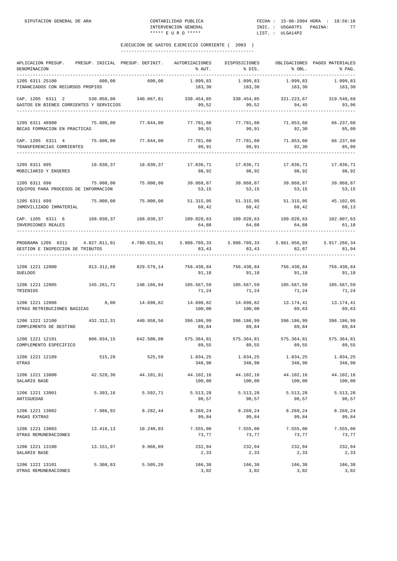| APLICACION PRESUP. PRESUP. INICIAL PRESUP. DEFINIT. AUTORIZACIONES DISPOSICIONES OBLIGACIONES PAGOS MATERIALES<br>DENOMINACION<br>---------------------------------                                               |                                                             | ______________ | % AUT.              | % DIS.                                          | % OBL.                         | % PAG.              |
|-------------------------------------------------------------------------------------------------------------------------------------------------------------------------------------------------------------------|-------------------------------------------------------------|----------------|---------------------|-------------------------------------------------|--------------------------------|---------------------|
| 1205 6311 25100<br>FINANCIADOS CON RECURSOS PROPIOS                                                                                                                                                               | 600,00                                                      | 600,00         | 1.099,83<br>183,30  | 1.099,83<br>183,30                              | 1.099,83<br>183,30             | 1.099,83<br>183,30  |
| CAP. 1205 6311 2 530.050,00 340.067,81 338.454,85 338.454,85 321.223,67 319.548,69<br>GASTOS EN BIENES CORRIENTES Y SERVICIOS                                                                                     |                                                             |                | 99,52               | 99,52                                           | 94,45                          | 93,96               |
| 1205 6311 48900 75.600,00<br>BECAS FORMACION EN PRACTICAS                                                                                                                                                         |                                                             |                | 77.844,00 77.781,60 | 77.781,60 71.853,60<br>99,91 99,91 99,91        |                                | 66.237,60<br>85,09  |
| CAP. 1205 6311 4 75.600,00 77.844,00 77.781,60 77.781,60 71.853,60 66.237,60<br>TRANSFERENCIAS CORRIENTES<br>--------------------                                                                                 |                                                             |                | 99,91               | 99,91                                           | 92,30                          | 85,09               |
| $1205 \t6311 \t695 \t18.030,37 \t18.030,37 \t19.030,37 \t17.836,71 \t17.836,71 \t17.836,71 \t17.836,71 \t17.836,71$<br>MOBILIARIO Y ENSERES                                                                       |                                                             |                | 98,92               | 98,92                                           | 98,92                          | 98,92               |
| 1205 6311 696<br>EQUIPOS PARA PROCESOS DE INFORMACION                                                                                                                                                             |                                                             |                | 53,15               |                                                 | 53, 15 53, 15                  | 53,15               |
| 1205 6311 699<br>INMOVILIZADO INMATERIAL                                                                                                                                                                          | 75.000,00 75.000,00 51.315,05 51.315,05 51.315,05 45.102,05 |                | 68,42               | 68,42                                           | 68,42                          | 60,13               |
| $\texttt{CAP. 1205} \quad 6311 \quad 6 \quad 168.030, 37 \quad 168.030, 37 \quad 109.020, 63 \quad 109.020, 63 \quad 109.020, 63 \quad 102.807, 63$<br>INVERSIONES REALES                                         |                                                             |                | 64,88               | 64,88                                           | 64,88                          | 61,18               |
| PROGRAMA 1205 6311 4.827.011.01 4.780.631.61 3.988.789.33 3.988.789.33 3.961.956.03 3.917.266.34<br>GESTION E INSPECCION DE TRIBUTOS                                                                              |                                                             |                | 83,43               | 83,43 82,87                                     |                                | 81,94               |
| $1206 \quad 1221 \quad 12000 \qquad \qquad 813.312\,,88 \qquad \qquad 829.579\,,14 \qquad \qquad 756.430\,,84 \qquad \qquad 756.430\,,84 \qquad \qquad 756.430\,,84 \qquad \qquad 756.430\,,84$<br><b>SUELDOS</b> |                                                             |                |                     | 91,18 91,18 91,18                               |                                | 91,18               |
| $1206 \quad 1221 \quad 12005 \qquad \qquad 145.261,71 \qquad \qquad 148.166,94 \qquad \qquad 105.567,59 \qquad \qquad 105.567,59 \qquad \qquad 105.567,59 \qquad \qquad 105.567,59$<br>TRIENIOS                   |                                                             |                | 71,24               | 71,24                                           | 71,24                          | 71,24               |
| 1206 1221 12006<br>OTRAS RETRIBUCIONES BASICAS                                                                                                                                                                    | 0,00                                                        | 14.698,62      | 100,00              | $14.698,62$ $14.698,62$ $13.174,41$ $13.174,41$ | 100,00 89,63                   | 89,63               |
| 1206 1221 12100<br>COMPLEMENTO DE DESTINO                                                                                                                                                                         | 432.312,31 440.958,56 396.186,99                            |                | 89,84               | 89,84                                           | 396.186,99 396.186,99<br>89,84 | 396.186,99<br>89,84 |
| $1206 \quad 1221 \quad 12101 \qquad \qquad 606.934,15 \qquad \qquad 642.500,08 \qquad \qquad 575.364,81 \qquad \qquad 575.364,81 \qquad \qquad 575.364,81$<br>COMPLEMENTO ESPECIFICO                              |                                                             |                | 89,55               | 89,55                                           | 89,55                          | 575.364,81<br>89,55 |
| 1206 1221 12109<br>OTRAS                                                                                                                                                                                          | 515,28                                                      | 525,59         | 1.834,25<br>348,98  | 1.834,25<br>348,98                              | 1.834,25<br>348,98             | 1.834,25<br>348,98  |
| 1206 1221 13000<br>SALARIO BASE                                                                                                                                                                                   | 42.528,36                                                   | 44.101,91      | 44.102,16<br>100,00 | 44.102,16<br>100,00                             | 44.102,16<br>100,00            | 44.102,16<br>100,00 |
| 1206 1221 13001<br>ANTIGUEDAD                                                                                                                                                                                     | 5.393,16                                                    | 5.592,71       | 5.513,28<br>98,57   | 5.513,28<br>98,57                               | 5.513,28<br>98,57              | 5.513,28<br>98,57   |
| 1206 1221 13002<br>PAGAS EXTRAS                                                                                                                                                                                   | 7.986,92                                                    | 8.282,44       | 8.269,24<br>99,84   | 8.269,24<br>99,84                               | 8.269,24<br>99,84              | 8.269,24<br>99,84   |
| 1206 1221 13003<br>OTRAS REMUNERACIONES                                                                                                                                                                           | 13.416,13                                                   | 10.240,03      | 7.555,08<br>73,77   | 7.555,08<br>73,77                               | 7.555,08<br>73,77              | 7.555,08<br>73,77   |
| 1206 1221 13100<br>SALARIO BASE                                                                                                                                                                                   | 13.151,97                                                   | 9.966,09       | 232,94<br>2,33      | 232,94<br>2,33                                  | 232,94<br>2,33                 | 232,94<br>2,33      |
| 1206 1221 13101<br>OTRAS REMUNERACIONES                                                                                                                                                                           | 5.308,83                                                    | 5.505,26       | 166,38<br>3,02      | 166,38<br>3,02                                  | 166,38<br>3,02                 | 166,38<br>3,02      |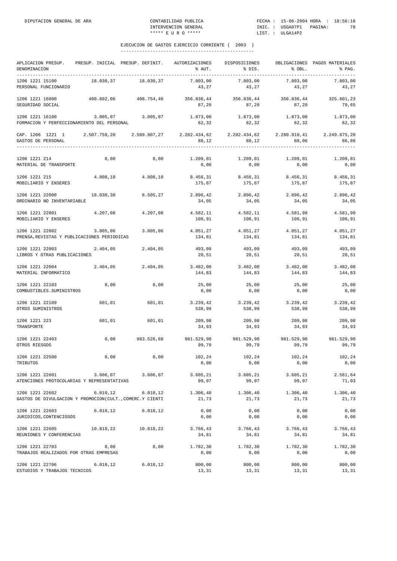| APLICACION PRESUP. PRESUP. INICIAL PRESUP. DEFINIT. AUTORIZACIONES DISPOSICIONES<br>DENOMINACION                     |           |                       | % AUT.                                                                                 | % DIS.                          | % OBL.              | OBLIGACIONES PAGOS MATERIALES<br>% PAG. |
|----------------------------------------------------------------------------------------------------------------------|-----------|-----------------------|----------------------------------------------------------------------------------------|---------------------------------|---------------------|-----------------------------------------|
| 1206 1221 15100<br>PERSONAL FUNCIONARIO                                                                              |           | 18.030,37 18.030,37   | 7.803,00<br>43,27                                                                      | 7.803,00<br>43,27               | 7.803,00<br>43,27   | 7.803,00<br>43,27                       |
| 1206 1221 16000<br>SEGURIDAD SOCIAL                                                                                  |           |                       | $400.602.06$ $408.754.46$ $356.836.44$ $356.836.44$ $356.836.44$ $325.601.23$<br>87,29 | 87,29                           | 87,29               | 79,65                                   |
| 1206 1221 16100<br>FORMACION Y PERFECCIONAMIENTO DEL PERSONAL                                                        |           | $3.005,07$ $3.005,07$ | 62,32                                                                                  | 1.873,00 1.873,00<br>62,32      | 1.873,00<br>62,32   | 1.873,00<br>62,32                       |
| CAP. 1206 1221 1 2.507.759,20 2.589.907,27 2.282.434,62 2.282.434,62 2.280.910,41 2.249.675,20<br>GASTOS DE PERSONAL |           |                       | 88,12                                                                                  | 88,12                           | 88,06               | 86,86                                   |
| 1206 1221 214<br>MATERIAL DE TRANSPORTE                                                                              | 0,00      |                       | $0,00$ $1.209,01$ $1.209,01$ $1.209,01$ $1.209,01$ $1.209,01$<br>0,00                  | 0,00                            | 0,00                | 0,00                                    |
| 1206 1221 215<br>MOBILIARIO Y ENSERES                                                                                |           | 4.808,10 4.808,10     | 8.456,31<br>175,87                                                                     | 8.456,31<br>175,87              | 8.456, 31<br>175,87 | 8.456,31<br>175,87                      |
| 1206 1221 22000<br>ORDINARIO NO INVENTARIABLE                                                                        | 18.030,30 | 8.505,27              | 2.896,42<br>34,05                                                                      | 2.896,42<br>34,05               | 2.896,42<br>34,05   | 2.896,42<br>34,05                       |
| 1206 1221 22001<br>MOBILIARIO Y ENSERES                                                                              |           | 4.207,08 4.207,08     | 108,91                                                                                 | 4.582,11 4.582,11<br>108,91     | 4.581,99<br>108,91  | 4.581,99<br>108,91                      |
| 1206 1221 22002 3.005,06<br>PRENSA, REVISTAS Y PUBLICACIONES PERIODICAS                                              |           | 3.005,06              | 4.051,27<br>134,81                                                                     | 4.051,27<br>134,81              | 4.051,27<br>134,81  | 4.051,27<br>134,81                      |
| 1206 1221 22003<br>LIBROS Y OTRAS PUBLICACIONES                                                                      | 2.404,05  | 2.404,05              | 493,09<br>20,51                                                                        | 493,09<br>20,51                 | 493,09<br>20,51     | 493,09<br>20,51                         |
| 1206 1221 22004<br>MATERIAL INFORMATICO                                                                              | 2.404,05  | 2.404,05              | $3.482,00$ $3.482,00$ $3.482,00$<br>144,83                                             | 144,83                          | 144,83              | 3.482,00<br>144,83                      |
| 1206 1221 22103<br>COMBUSTIBLES. SUMINISTROS                                                                         | 0,00      | 0,00                  | 25,00<br>0,00                                                                          | 25,00<br>0,00                   | 25,00<br>0,00       | 25,00<br>0,00                           |
| 1206 1221 22109<br>OTROS SUMINISTROS                                                                                 | 601,01    | 601,01                | 538,99                                                                                 | $3.239,42$ $3.239,42$<br>538,99 | 3.239,42<br>538,99  | 3.239,42<br>538,99                      |
| 1206 1221 223<br>TRANSPORTE                                                                                          | 601,01    | 601,01                | 209,98<br>34,93                                                                        | 209,98<br>34,93                 | 209,98<br>34,93     | 209,98<br>34,93                         |
| 1206 1221 22403<br>OTROS RIESGOS                                                                                     | 0,00      |                       | 983.526,68 981.529,90 981.529,90 981.529,90<br>99,79                                   | 99,79                           | 99,79               | 981.529,90<br>99,79                     |
| 1206 1221 22500<br>TRIBUTOS                                                                                          | 0,00      | 0,00                  | 102,24<br>0,00                                                                         | 102,24<br>0,00                  | 102,24<br>0,00      | 102,24<br>0,00                          |
| 1206 1221 22601<br>ATENCIONES PROTOCOLARIAS Y REPRESENTATIVAS                                                        | 3.606,07  | 3.606,07              | 3.605, 21<br>99,97                                                                     | 3.605, 21<br>99,97              | 3.605, 21<br>99,97  | 2.561,64<br>71,03                       |
| 1206 1221 22602<br>GASTOS DE DIVULGACION Y PROMOCION(CULT., COMERC.Y CIENTI                                          | 6.010, 12 | 6.010, 12             | 1.306,40<br>21,73                                                                      | 1.306,40<br>21,73               | 1.306,40<br>21,73   | 1.306,40<br>21,73                       |
| 1206 1221 22603<br>JURIDICOS, CONTENCIOSOS                                                                           | 6.010, 12 | 6.010, 12             | 0,00<br>0,00                                                                           | 0,00<br>0,00                    | 0,00<br>0,00        | 0,00<br>0,00                            |
| 1206 1221 22605<br>REUNIONES Y CONFERENCIAS                                                                          | 10.818,22 | 10.818,22             | 3.766,43<br>34,81                                                                      | 3.766,43<br>34,81               | 3.766,43<br>34,81   | 3.766,43<br>34,81                       |
| 1206 1221 22703<br>TRABAJOS REALIZADOS POR OTRAS EMPRESAS                                                            | 0,00      | 0,00                  | 1.782,30<br>0,00                                                                       | 1.782,30<br>0,00                | 1.782,30<br>0,00    | 1.782,30<br>0,00                        |
| 1206 1221 22706<br>ESTUDIOS Y TRABAJOS TECNICOS                                                                      | 6.010, 12 | 6.010, 12             | 800,00<br>13,31                                                                        | 800,00<br>13,31                 | 800,00<br>13,31     | 800,00<br>13,31                         |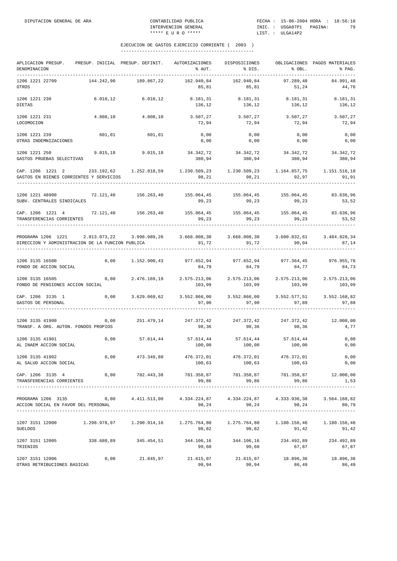| APLICACION PRESUP.<br>DENOMINACION<br>------------                                                                                                   |            | PRESUP. INICIAL PRESUP. DEFINIT. | AUTORIZACIONES<br>% AUT.                                                                           | DISPOSICIONES<br>% DIS.                       | $8$ OBL.                        | OBLIGACIONES PAGOS MATERIALES<br>% PAG. |
|------------------------------------------------------------------------------------------------------------------------------------------------------|------------|----------------------------------|----------------------------------------------------------------------------------------------------|-----------------------------------------------|---------------------------------|-----------------------------------------|
| 1206 1221 22709<br>OTROS                                                                                                                             | 144.242,90 | 189.867,22                       | 162.940,84<br>85,81                                                                                | 162.940,84<br>85,81                           | 97.289,48<br>51,24              | 84.991,48<br>44,76                      |
| 1206 1221 230<br><b>DIETAS</b>                                                                                                                       | 6.010, 12  | 6.010, 12                        | 136,12                                                                                             | 8.181,31 8.181,31<br>136,12                   | 8.181,31<br>136,12              | 8.181,31<br>136,12                      |
| 1206 1221 231<br>LOCOMOCION                                                                                                                          | 4.808,10   | 4.808,10                         | $3.507, 27$ $3.507, 27$ $3.507, 27$<br>72,94                                                       | 72,94                                         | 72,94                           | 3.507,27<br>72,94                       |
| 1206 1221 239<br>OTRAS INDEMNIZACIONES                                                                                                               | 601,01     | 601,01                           | 0,00<br>0,00                                                                                       | 0,00<br>0,00                                  | 0,00<br>0,00                    | 0,00<br>0,00                            |
| 1206 1221 250<br>GASTOS PRUEBAS SELECTIVAS                                                                                                           | 9.015, 18  | 9.015, 18                        | 34.342,72 34.342,72 34.342,72<br>380,94                                                            | 380,94                                        | 380,94                          | 34.342,72<br>380,94                     |
| CAP. 1206 1221 2 233.192.62 1.252.818.59 1.230.509.23 1.230.509.23 1.164.857.75 1.151.516.18<br>GASTOS EN BIENES CORRIENTES Y SERVICIOS              |            |                                  | 98,21                                                                                              | 98,21                                         | 92,97                           | 91,91                                   |
| 1206 1221 48900<br>SUBV. CENTRALES SINDICALES                                                                                                        |            | 72.121,40 156.263,40             | 155.064,45 155.064,45 155.064,45<br>99,23                                                          | 99,23                                         | 99, 23                          | 83.636,96<br>53,52                      |
| CAP. 1206 1221 4 72.121,40 156.263,40<br>TRANSFERENCIAS CORRIENTES                                                                                   |            |                                  | 155.064,45 155.064,45 155.064,45 83.636,96<br>99,23                                                | 99,23                                         | 99, 23                          | 53,52                                   |
| PROGRAMA 1206 1221 2.813.073,22 3.998.989,26 3.668.008,30 3.668.008,30 3.600.832,61 3.484.828,34<br>DIRECCION Y ADMINISTRACION DE LA FUNCION PUBLICA |            |                                  | 91,72                                                                                              | 91,72                                         | 90,04                           | 87,14                                   |
| 1206 3135 16500<br>FONDO DE ACCION SOCIAL                                                                                                            | 0,00       |                                  | $1.152.900,43$ $977.652,94$ $977.652,94$ $979.5364,45$ $976.955,76$<br>84,79                       | 84,79                                         | 84,77                           | 84,73                                   |
| 1206 3135 16505<br>FONDO DE PENSIONES ACCION SOCIAL                                                                                                  | 0,00       | 2.476.169,19                     | 2.575.213,06 2.575.213,06<br>103,99                                                                | 103,99                                        | 2.575.213,06<br>103,99          | 2.575.213,06<br>103,99                  |
| CAP. 1206 3135 1<br>GASTOS DE PERSONAL                                                                                                               |            |                                  | $0,00$ $3.629.069,62$ $3.552.866,00$ $3.552.866,00$ $3.552.577,51$<br>97,90                        | 97,90                                         | 97,89                           | 3.552.168,82<br>97,88                   |
| 1206 3135 41900<br>TRANSF. A ORG. AUTON. FONDOS PROPIOS                                                                                              |            |                                  | $0,00$ 251.479,14 247.372,42 247.372,42 247.372,42<br>98,36                                        | 98,36                                         | 98,36                           | 12.000,00<br>4,77                       |
| 1206 3135 41901<br>AL INAEM ACCION SOCIAL                                                                                                            | 0,00       | 57.614,44                        | 100,00                                                                                             | $57.614,44$ $57.614,44$ $57.614,44$<br>100,00 | 100,00                          | 0,00<br>0,00                            |
| 1206 3135 41902<br>AL SALUD ACCION SOCIAL                                                                                                            | 0,00       | 473.349,80                       | 476.372,01<br>100,63                                                                               | 100,63                                        | 476.372,01 476.372,01<br>100,63 | 0,00<br>0,00                            |
| CAP. 1206 3135 4<br>TRANSFERENCIAS CORRIENTES                                                                                                        |            |                                  | $0,00$ $782.443,38$ $781.358,87$ $781.358,87$ $781.358,87$ $12.000,00$<br>99,86                    | 99,86                                         | 99,86                           | 1,53                                    |
| PROGRAMA 1206 3135 0,00 4.411.513,00 4.334.224,87 4.334.224,87 4.333.936,38 3.564.168,82<br>ACCION SOCIAL EN FAVOR DEL PERSONAL                      |            |                                  | 98,24                                                                                              | 98,24                                         | 98,24                           | 80,79                                   |
| 1207 3151 12000<br>SUELDOS                                                                                                                           |            |                                  | $1.298.978.97$ $1.290.914.16$ $1.275.764.80$ $1.275.764.80$ $1.180.156.46$ $1.180.156.46$<br>98,82 | 98,82                                         | 91,42                           | 91,42                                   |
| 1207 3151 12005<br>TRIENIOS                                                                                                                          |            |                                  | 338.680,89 345.454,51 344.106,16 344.106,16 234.492,89 234.492,89<br>99,60                         | 99,60                                         | 67,87                           | 67,87                                   |
| 1207 3151 12006<br>OTRAS RETRIBUCIONES BASICAS                                                                                                       |            |                                  | $0,00$ 21.845,97 21.615,07 21.615,07 18.896,36<br>98,94                                            | 98,94                                         | 86,49                           | 18.896,36<br>86,49                      |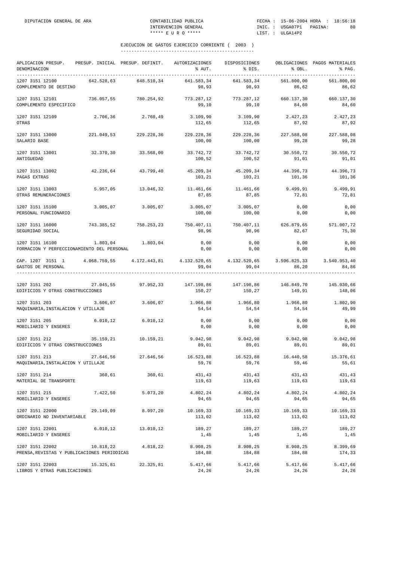| APLICACION PRESUP.<br>DENOMINACION                                                                                                                                                                                                                                                                                                                           |            | PRESUP. INICIAL PRESUP. DEFINIT. | AUTORIZACIONES<br>% AUT.                               | DISPOSICIONES<br>8 DIS.                              | % OBL.                        | OBLIGACIONES PAGOS MATERIALES<br>% PAG. |
|--------------------------------------------------------------------------------------------------------------------------------------------------------------------------------------------------------------------------------------------------------------------------------------------------------------------------------------------------------------|------------|----------------------------------|--------------------------------------------------------|------------------------------------------------------|-------------------------------|-----------------------------------------|
| 1207 3151 12100<br>COMPLEMENTO DE DESTINO                                                                                                                                                                                                                                                                                                                    | 642.528,63 | 648.510,34                       | 641.583.34<br>98,93                                    | 641.583,34<br>98,93                                  | 561.800,00<br>86,62           | 561.800,00<br>86,62                     |
| 1207 3151 12101<br>COMPLEMENTO ESPECIFICO                                                                                                                                                                                                                                                                                                                    | 736.057,55 | 780.254,92                       | 99,10                                                  | 773.287,12 773.287,12 660.137,30 660.137,30<br>99,10 | 84,60                         | 84,60                                   |
| 1207 3151 12109<br>OTRAS                                                                                                                                                                                                                                                                                                                                     |            | 2.706,36 2.760,49                | 3.109,90<br>112,65                                     | 3.109,90 2.427,23 2.427,23<br>112,65                 | 87,92                         | 87,92                                   |
| 1207 3151 13000<br>SALARIO BASE                                                                                                                                                                                                                                                                                                                              |            | 221.049,53 229.228,36            | 229.228,36<br>100,00                                   | 229.228,36<br>100,00                                 | 227.588,08<br>99,28           | 227.588,08<br>99,28                     |
| 1207 3151 13001<br>ANTIGUEDAD                                                                                                                                                                                                                                                                                                                                | 32.370,30  | 33.568,00                        | 33.742,72<br>100,52                                    | 33.742,72<br>100,52                                  | 30.550,72<br>91,01            | 30.550,72<br>91,01                      |
| 1207 3151 13002<br>PAGAS EXTRAS                                                                                                                                                                                                                                                                                                                              | 42.236,64  | 43.799,40                        | 45.209,34<br>103,21                                    | 103,21                                               | 45.209,34 44.396,73<br>101,36 | 44.396,73<br>101,36                     |
| 1207 3151 13003<br>OTRAS REMUNERACIONES                                                                                                                                                                                                                                                                                                                      |            | 5.957,05 13.046,32               | $11.461,66$ $11.461,66$ $9.499,91$ $9.499,91$<br>87,85 | 87,85                                                | 72,81                         | 72,81                                   |
| 1207 3151 15100<br>PERSONAL FUNCIONARIO                                                                                                                                                                                                                                                                                                                      |            | 3.005,07 3.005,07                | 3.005,07<br>100,00                                     | 3.005,07<br>100,00                                   | 0,00<br>0,00                  | 0,00<br>0,00                            |
| 1207 3151 16000<br>SEGURIDAD SOCIAL                                                                                                                                                                                                                                                                                                                          |            | 743.385,52 758.253,23            | 750.407,11<br>98.96                                    | 750.407,11 626.879,65 571.007,72<br>98,96            | 82,67                         | 75,30                                   |
| 1207 3151 16100<br>FORMACION Y PERFECCIONAMIENTO DEL PERSONAL                                                                                                                                                                                                                                                                                                |            | 1.803,04 1.803,04                | 0,00<br>0,00                                           | 0,00<br>0,00                                         | 0,00<br>0,00                  | 0,00<br>0,00                            |
| CAP. 1207 3151 1 4.068.759,55 4.172.443,81 4.132.520,65 4.132.520,65 3.596.825,33 3.540.953,40<br>GASTOS DE PERSONAL                                                                                                                                                                                                                                         |            |                                  | 99,04                                                  | 99,04                                                | 86,20                         | 84,86                                   |
| $1207 \hspace{0.2cm} 3151 \hspace{0.2cm} 202 \hspace{2.7cm} 27.045 \hspace{0.2cm} 55 \hspace{2.7cm} 97.952 \hspace{0.2cm} 33 \hspace{2.7cm} 147.198 \hspace{0.2cm} 86 \hspace{2.7cm} 147.198 \hspace{0.2cm} 86 \hspace{2.7cm} 147.198 \hspace{0.2cm} 86 \hspace{2.7cm} 146.849 \hspace{0.2cm} 70 \hspace{0.2cm} 145.030$<br>EDIFICIOS Y OTRAS CONSTRUCCIONES |            |                                  | 150,27                                                 | 150,27                                               | 149,91                        | 148,06                                  |
| 1207 3151 203<br>MAQUINARIA, INSTALACION Y UTILLAJE                                                                                                                                                                                                                                                                                                          |            | 3.606,07 3.606,07                | 1.966,80<br>54,54                                      | 1.966,80<br>54,54                                    | 1.966,80<br>54,54             | 1.802,90<br>49,99                       |
| 1207 3151 205<br>MOBILIARIO Y ENSERES                                                                                                                                                                                                                                                                                                                        |            | $6.010, 12$ $6.010, 12$          | 0,00<br>0,00                                           | 0,00<br>0,00                                         | 0,00<br>0,00                  | 0,00<br>0,00                            |
| 1207 3151 212<br>EDIFICIOS Y OTRAS CONSTRUCCIONES                                                                                                                                                                                                                                                                                                            |            | 35.159,21 10.159,21              | 9.042,98<br>89,01                                      | 9.042,98<br>89,01                                    | 9.042,98<br>89,01             | 9.042,98<br>89,01                       |
| 1207 3151 213<br>MAQUINARIA, INSTALACION Y UTILLAJE                                                                                                                                                                                                                                                                                                          | 27.646,56  | 27.646,56                        | 59,76                                                  | 16.523,88 16.523,88<br>59,76                         | 16.440,58<br>59,46            | 15.376,61<br>55,61                      |
| 1207 3151 214<br>MATERIAL DE TRANSPORTE                                                                                                                                                                                                                                                                                                                      | 360,61     | 360,61                           | 431,43<br>119,63                                       | 431,43<br>119,63                                     | 431,43<br>119,63              | 431,43<br>119,63                        |
| 1207 3151 215<br>MOBILIARIO Y ENSERES                                                                                                                                                                                                                                                                                                                        | 7.422,50   | 5.073,20                         | 4.802,24<br>94,65                                      | 4.802,24<br>94,65                                    | 4.802,24<br>94,65             | 4.802,24<br>94,65                       |
| 1207 3151 22000<br>ORDINARIO NO INVENTARIABLE                                                                                                                                                                                                                                                                                                                | 29.149,09  | 8.997,20                         | 10.169,33<br>113,02                                    | 10.169,33<br>113,02                                  | 10.169,33<br>113,02           | 10.169,33<br>113,02                     |
| 1207 3151 22001<br>MOBILIARIO Y ENSERES                                                                                                                                                                                                                                                                                                                      | 6.010, 12  | 13.010,12                        | 189,27<br>1,45                                         | 189,27<br>1,45                                       | 189,27<br>1,45                | 189,27<br>1,45                          |
| 1207 3151 22002<br>PRENSA, REVISTAS Y PUBLICACIONES PERIODICAS                                                                                                                                                                                                                                                                                               | 10.818,22  | 4.818,22                         | 8.908,25<br>184,88                                     | 8.908,25<br>184,88                                   | 8.908,25<br>184,88            | 8.399,69<br>174,33                      |
| 1207 3151 22003<br>LIBROS Y OTRAS PUBLICACIONES                                                                                                                                                                                                                                                                                                              | 15.325,81  | 22.325,81                        | 5.417,66<br>24,26                                      | 5.417,66<br>24,26                                    | 5.417,66<br>24,26             | 5.417,66<br>24,26                       |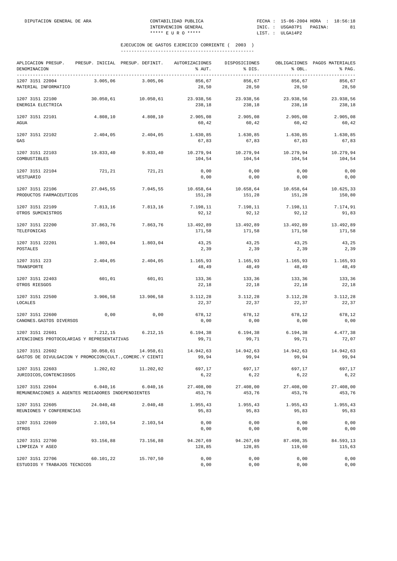| APLICACION PRESUP.<br>DENOMINACION<br>-----------------------------------   |           | PRESUP. INICIAL PRESUP. DEFINIT. | AUTORIZACIONES<br>% AUT. | DISPOSICIONES<br>% DIS. | % OBL.              | OBLIGACIONES PAGOS MATERIALES<br>% PAG. |
|-----------------------------------------------------------------------------|-----------|----------------------------------|--------------------------|-------------------------|---------------------|-----------------------------------------|
| 1207 3151 22004<br>MATERIAL INFORMATICO                                     | 3.005,06  | 3.005,06                         | 856,67<br>28,50          | 856,67<br>28,50         | 856,67<br>28,50     | 856,67<br>28,50                         |
| 1207 3151 22100<br>ENERGIA ELECTRICA                                        | 30.050,61 | 10.050,61                        | 23.938,56<br>238,18      | 23.938,56<br>238,18     | 23.938,56<br>238,18 | 23.938,56<br>238,18                     |
| 1207 3151 22101<br>AGUA                                                     | 4.808,10  | 4.808,10                         | 2.905,08<br>60,42        | 2.905,08<br>60,42       | 2.905,08<br>60,42   | 2.905,08<br>60,42                       |
| 1207 3151 22102<br>GAS                                                      | 2.404,05  | 2.404,05                         | 1.630,85<br>67,83        | 1.630,85<br>67,83       | 1.630,85<br>67,83   | 1.630,85<br>67,83                       |
| 1207 3151 22103<br>COMBUSTIBLES                                             | 19.833,40 | 9.833,40                         | 10.279,94<br>104,54      | 10.279,94<br>104,54     | 10.279,94<br>104,54 | 10.279,94<br>104,54                     |
| 1207 3151 22104<br>VESTUARIO                                                | 721,21    | 721,21                           | 0,00<br>0,00             | 0,00<br>0,00            | 0,00<br>0,00        | 0,00<br>0,00                            |
| 1207 3151 22106<br>PRODUCTOS FARMACEUTICOS                                  | 27.045,55 | 7.045,55                         | 10.658,64<br>151,28      | 10.658,64<br>151,28     | 10.658,64<br>151,28 | 10.625,33<br>150,80                     |
| 1207 3151 22109<br>OTROS SUMINISTROS                                        | 7.813,16  | 7.813,16                         | 7.198,11<br>92,12        | 7.198,11<br>92,12       | 7.198,11<br>92,12   | 7.174,91<br>91,83                       |
| 1207 3151 22200<br>TELEFONICAS                                              | 37.863,76 | 7.863,76                         | 13.492,89<br>171,58      | 13.492,89<br>171,58     | 13.492,89<br>171,58 | 13.492,89<br>171,58                     |
| 1207 3151 22201<br>POSTALES                                                 | 1.803,04  | 1.803,04                         | 43,25<br>2,39            | 43,25<br>2,39           | 43,25<br>2,39       | 43,25<br>2,39                           |
| 1207 3151 223<br>TRANSPORTE                                                 | 2.404,05  | 2.404,05                         | 1.165,93<br>48,49        | 1.165,93<br>48,49       | 1.165,93<br>48,49   | 1.165,93<br>48,49                       |
| 1207 3151 22403<br>OTROS RIESGOS                                            | 601,01    | 601,01                           | 133,36<br>22,18          | 133,36<br>22,18         | 133,36<br>22,18     | 133,36<br>22,18                         |
| 1207 3151 22500<br>LOCALES                                                  | 3.906,58  | 13.906,58                        | 3.112,28<br>22,37        | 3.112, 28<br>22,37      | 3.112,28<br>22,37   | 3.112,28<br>22,37                       |
| 1207 3151 22600<br>CANONES. GASTOS DIVERSOS                                 | 0,00      | 0,00                             | 678,12<br>0,00           | 678,12<br>0,00          | 678,12<br>0,00      | 678,12<br>0,00                          |
| 1207 3151 22601<br>ATENCIONES PROTOCOLARIAS Y REPRESENTATIVAS               | 7.212,15  | 6.212, 15                        | 6.194, 38<br>99,71       | 6.194,38<br>99,71       | 6.194,38<br>99,71   | 4.477,38<br>72,07                       |
| 1207 3151 22602<br>GASTOS DE DIVULGACION Y PROMOCION(CULT., COMERC.Y CIENTI | 30.050,61 | 14.950,61                        | 14.942,63<br>99,94       | 14.942,63<br>99,94      | 14.942,63<br>99,94  | 14.942,63<br>99,94                      |
| 1207 3151 22603<br>JURIDICOS, CONTENCIOSOS                                  | 1.202,02  | 11.202,02                        | 697,17<br>6,22           | 697,17<br>6,22          | 697,17<br>6,22      | 697,17<br>6, 22                         |
| 1207 3151 22604<br>REMUNERACIONES A AGENTES MEDIADORES INDEPENDIENTES       | 6.040, 16 | 6.040, 16                        | 27.408,00<br>453,76      | 27.408,00<br>453,76     | 27.408,00<br>453,76 | 27.408,00<br>453,76                     |
| 1207 3151 22605<br>REUNIONES Y CONFERENCIAS                                 | 24.040,48 | 2.040,48                         | 1.955,43<br>95,83        | 1.955,43<br>95,83       | 1.955,43<br>95,83   | 1.955,43<br>95,83                       |
| 1207 3151 22609<br>OTROS                                                    | 2.103,54  | 2.103,54                         | 0,00<br>0,00             | 0,00<br>0,00            | 0,00<br>0,00        | 0,00<br>0,00                            |
| 1207 3151 22700<br>LIMPIEZA Y ASEO                                          | 93.156,88 | 73.156,88                        | 94.267,69<br>128,85      | 94.267,69<br>128,85     | 87.498,35<br>119,60 | 84.593,13<br>115,63                     |
| 1207 3151 22706<br>ESTUDIOS Y TRABAJOS TECNICOS                             | 60.101,22 | 15.707,50                        | 0,00<br>0,00             | 0,00<br>0,00            | 0,00<br>0,00        | 0,00<br>0,00                            |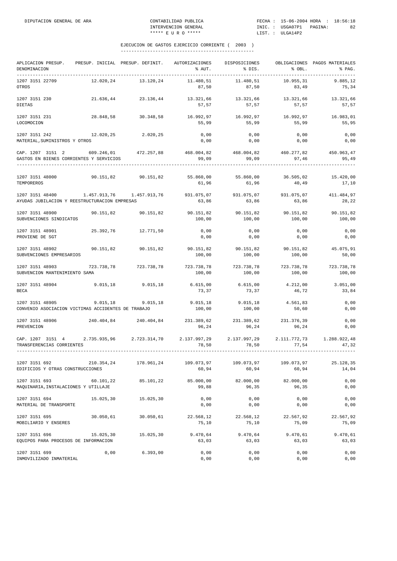| APLICACION PRESUP. PRESUP. INICIAL PRESUP. DEFINIT. AUTORIZACIONES                             |            |                     |                                                                 | DISPOSICIONES                 |                       | OBLIGACIONES PAGOS MATERIALES |
|------------------------------------------------------------------------------------------------|------------|---------------------|-----------------------------------------------------------------|-------------------------------|-----------------------|-------------------------------|
| DENOMINACION<br>_____________________                                                          |            |                     | % AUT.                                                          | % DIS.                        | $8$ OBL.              | % PAG.                        |
| 1207 3151 22709                                                                                |            | 12.020.24 13.120.24 | 11.480,51                                                       | 11.480,51                     | 10.955,31             | 9.885,12                      |
| OTROS                                                                                          |            |                     | 87,50                                                           | 87,50                         | 83,49                 | 75,34                         |
| 1207 3151 230                                                                                  |            | 21.636,44 23.136,44 | 13.321,66                                                       | 13.321,66                     | 13.321,66             | 13.321,66                     |
| <b>DIETAS</b>                                                                                  |            |                     | 57,57                                                           | 57,57                         | 57,57                 | 57,57                         |
| 1207 3151 231                                                                                  | 28.848,58  | 30.348,58           |                                                                 | 16.992,97 16.992,97           | 16.992,97             | 16.983,01                     |
| LOCOMOCION                                                                                     |            |                     | 55,99                                                           | 55,99                         | 55,99                 | 55,95                         |
| 1207 3151 242<br>12.020, 25                                                                    |            | 2.020,25            | 0,00                                                            | 0,00                          | 0,00                  | 0,00                          |
| MATERIAL, SUMINISTROS Y OTROS                                                                  |            |                     | 0,00                                                            | 0,00                          | 0,00                  | 0,00                          |
| CAP. 1207 3151 2 609.246,01 472.257,88                                                         |            |                     | 468.004,82 468.004,82 460.277,82 450.963,47                     |                               |                       |                               |
| GASTOS EN BIENES CORRIENTES Y SERVICIOS                                                        |            |                     | 99,09                                                           | 99,09                         | 97,46                 | 95,49                         |
| 1207 3151 48000                                                                                |            | 90.151,82 90.151,82 | 55.860,00                                                       | 55.860,00                     | 36.505,02             | 15.420,00                     |
| TEMPOREROS                                                                                     |            |                     | 61,96                                                           | 61,96                         | 40,49                 | 17,10                         |
| 1207 3151 48400                                                                                |            |                     | 931.075,07                                                      |                               | 931.075,07 931.075,07 | 411.484,97                    |
| AYUDAS JUBILACION Y REESTRUCTURACION EMPRESAS                                                  |            |                     | 63,86                                                           | 63,86                         | 63,86                 | 28,22                         |
|                                                                                                |            |                     |                                                                 |                               |                       |                               |
| 1207 3151 48900<br>SUBVENCIONES SINDICATOS                                                     |            | 90.151,82 90.151,82 | 100,00                                                          | 90.151,82 90.151,82<br>100,00 | 90.151,82<br>100,00   | 90.151,82<br>100,00           |
|                                                                                                |            |                     |                                                                 |                               |                       |                               |
| 1207 3151 48901                                                                                | 25.392,76  | 12.771,50           | 0,00                                                            | 0,00                          | 0,00                  | 0,00                          |
| PROVIENE DE SGT                                                                                |            |                     | 0,00                                                            | 0,00                          | 0,00                  | 0,00                          |
| 1207 3151 48902                                                                                | 90.151.82  | 90.151,82           | 90.151,82                                                       | 90.151,82                     | 90.151,82             | 45.075,91                     |
| SUBVENCIONES EMPRESARIOS                                                                       |            |                     | 100,00                                                          | 100,00                        | 100,00                | 50,00                         |
| 1207 3151 48903                                                                                | 723.738,78 | 723.738,78          | 723.738,78                                                      | 723.738,78                    | 723.738,78            | 723.738,78                    |
| SUBVENCION MANTENIMIENTO SAMA                                                                  |            |                     | 100,00                                                          | 100,00                        | 100,00                | 100,00                        |
| 1207 3151 48904 9.015,18 9.015,18                                                              |            |                     | $6.615,00$ $6.615,00$                                           |                               | 4.212,00              | 3.051,00                      |
| <b>BECA</b>                                                                                    |            |                     | 73,37                                                           | 73,37                         | 46,72                 | 33,84                         |
| 1207 3151 48905                                                                                | 9.015,18   | 9.015, 18           | 9.015, 18                                                       | 9.015, 18                     | 4.561,83              | 0,00                          |
| CONVENIO ASOCIACION VICTIMAS ACCIDENTES DE TRABAJO                                             |            |                     | 100,00                                                          | 100,00                        | 50,60                 | 0,00                          |
|                                                                                                |            |                     |                                                                 |                               |                       |                               |
| 1207 3151 48906<br>PREVENCION                                                                  |            |                     | 240.404,84 240.404,84 231.389,62 231.389,62 231.376,39<br>96,24 | 96,24                         | 96,24                 | 0,00<br>0,00                  |
|                                                                                                |            |                     |                                                                 |                               |                       |                               |
| CAP. 1207 3151 4 2.735.935,96 2.723.314,70 2.137.997,29 2.137.997,29 2.111.772,73 1.288.922,48 |            |                     |                                                                 |                               |                       |                               |
| TRANSFERENCIAS CORRIENTES                                                                      |            |                     | 78,50                                                           | 78,50                         | 77,54                 | 47.32                         |
|                                                                                                |            |                     |                                                                 |                               |                       |                               |
| 1207 3151 692<br>EDIFICIOS Y OTRAS CONSTRUCCIONES                                              | 210.354,24 | 178.961,24          | 109.073,97<br>60,94                                             | 109.073,97<br>60,94           | 109.073,97<br>60,94   | 25.128,35<br>14,04            |
|                                                                                                |            |                     |                                                                 |                               |                       |                               |
| 1207 3151 693                                                                                  | 60.101,22  | 85.101,22           | 85.000,00                                                       | 82.000,00                     | 82.000,00             | 0,00                          |
| MAQUINARIA, INSTALACIONES Y UTILLAJE                                                           |            |                     | 99,88                                                           | 96,35                         | 96,35                 | 0,00                          |
| 1207 3151 694                                                                                  | 15.025,30  | 15.025,30           | 0,00                                                            | 0,00                          | 0,00                  | 0,00                          |
| MATERIAL DE TRANSPORTE                                                                         |            |                     | 0,00                                                            | 0,00                          | 0,00                  | 0,00                          |
| 1207 3151 695                                                                                  | 30.050,61  | 30.050,61           | 22.568,12                                                       | 22.568,12                     | 22.567,92             | 22.567,92                     |
| MOBILIARIO Y ENSERES                                                                           |            |                     | 75,10                                                           | 75,10                         | 75,09                 | 75,09                         |
| 1207 3151 696                                                                                  | 15.025,30  | 15.025,30           | 9.470,64                                                        | 9.470,64                      | 9.470,61              | 9.470,61                      |
| EQUIPOS PARA PROCESOS DE INFORMACION                                                           |            |                     | 63,03                                                           | 63,03                         | 63,03                 | 63,03                         |
| 1207 3151 699                                                                                  | 0,00       | 6.393,00            | 0,00                                                            | 0,00                          | 0,00                  | 0,00                          |
| INMOVILIZADO INMATERIAL                                                                        |            |                     | 0,00                                                            | 0,00                          | 0,00                  | 0,00                          |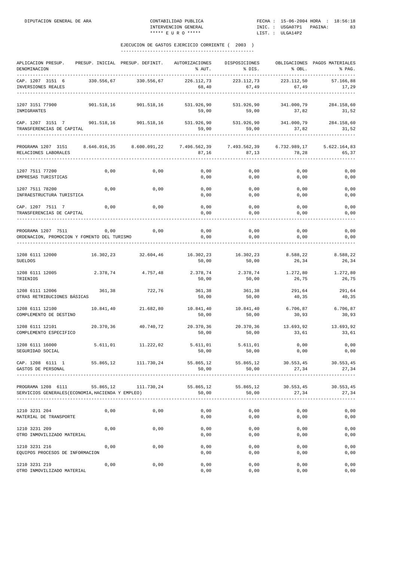| APLICACION PRESUP.<br>DENOMINACION<br>------------                      |            | PRESUP. INICIAL PRESUP. DEFINIT. | AUTORIZACIONES<br>% AUT. | DISPOSICIONES<br>% DIS. | % OBL.                | OBLIGACIONES PAGOS MATERIALES<br>% PAG. |
|-------------------------------------------------------------------------|------------|----------------------------------|--------------------------|-------------------------|-----------------------|-----------------------------------------|
| CAP. 1207 3151 6<br>INVERSIONES REALES                                  |            | 330.556,67 330.556,67            | 226.112,73<br>68,40      | 223.112,73<br>67,49     | 223.112,50<br>67,49   | 57.166,88<br>17,29                      |
| 1207 3151 77900<br>INMIGRANTES                                          |            | 901.518,16 901.518,16            | 531.926,90<br>59,00      | 531.926,90<br>59,00     | 341.000,79<br>37,82   | 284.158,60<br>31,52                     |
| CAP. 1207 3151 7<br>TRANSFERENCIAS DE CAPITAL                           | 901.518,16 | 901.518,16                       | 531.926,90<br>59,00      | 531.926,90<br>59,00     | 341.000,79<br>37,82   | 284.158,60<br>31,52                     |
| PROGRAMA 1207 3151<br>RELACIONES LABORALES                              |            | 8.646.016,35 8.600.091,22        | 7.496.562,39<br>87,16    | 7.493.562,39<br>87,13   | 6.732.989,17<br>78,28 | 5.622.164,83<br>65,37                   |
| 1207 7511 77200<br>EMPRESAS TURISTICAS                                  | 0,00       | 0,00                             | 0,00<br>0,00             | 0,00<br>0,00            | 0,00<br>0,00          | 0,00<br>0,00                            |
| 1207 7511 78200<br>INFRAESTRUCTURA TURISTICA                            | 0,00       | 0,00                             | 0,00<br>0,00             | 0,00<br>0,00            | 0,00<br>0,00          | 0,00<br>0,00                            |
| CAP. 1207 7511 7 0,00<br>TRANSFERENCIAS DE CAPITAL                      |            | 0,00                             | 0,00<br>0,00             | 0,00<br>0,00            | 0,00<br>0,00          | 0,00<br>0,00                            |
| PROGRAMA 1207 7511<br>ORDENACION, PROMOCION Y FOMENTO DEL TURISMO       | 0,00       | 0,00                             | 0,00<br>0,00             | 0,00<br>0,00            | 0,00<br>0,00          | 0,00<br>0,00                            |
| 1208 6111 12000<br>SUELDOS                                              | 16.302,23  | 32.604,46                        | 16.302,23<br>50,00       | 16.302,23<br>50,00      | 8.588,22<br>26,34     | 8.588,22<br>26,34                       |
| 1208 6111 12005<br>TRIENIOS                                             | 2.378,74   | 4.757,48                         | 2.378,74<br>50,00        | 2.378,74<br>50,00       | 1.272,80<br>26,75     | 1.272,80<br>26,75                       |
| 1208 6111 12006<br>OTRAS RETRIBUCIONES BÁSICAS                          | 361,38     | 722,76                           | 361,38<br>50,00          | 361,38<br>50,00         | 291,64<br>40,35       | 291,64<br>40,35                         |
| 1208 6111 12100<br>COMPLEMENTO DE DESTINO                               | 10.841,40  | 21.682,80                        | 10.841,40<br>50,00       | 10.841,40<br>50,00      | 6.706,87<br>30,93     | 6.706,87<br>30,93                       |
| 1208 6111 12101<br>COMPLEMENTO ESPECIFICO                               | 20.370,36  | 40.740.72                        | 20.370,36<br>50,00       | 20.370,36<br>50,00      | 13.693,92<br>33,61    | 13.693,92<br>33,61                      |
| 1208 6111 16000<br>SEGURIDAD SOCIAL                                     |            | 5.611,01 11.222,02               | 5.611,01<br>50,00        | 5.611,01<br>50,00       | 0,00<br>0,00          | 0,00<br>0,00                            |
| CAP. 1208 6111 1<br>GASTOS DE PERSONAL                                  | 55.865,12  | 111.730,24                       | 55.865,12<br>50,00       | 55.865,12<br>50,00      | 30.553,45<br>27,34    | 30.553,45<br>27,34                      |
| PROGRAMA 1208 6111<br>SERVICIOS GENERALES (ECONOMIA, HACIENDA Y EMPLEO) |            | 55.865,12 111.730,24             | 55.865,12<br>50,00       | 55.865,12<br>50,00      | 30.553,45<br>27,34    | 30.553,45<br>27,34                      |
| 1210 3231 204<br>MATERIAL DE TRANSPORTE                                 | 0,00       | 0,00                             | 0,00<br>0,00             | 0,00<br>0,00            | 0,00<br>0,00          | 0,00<br>0,00                            |
| 1210 3231 209<br>OTRO INMOVILIZADO MATERIAL                             | 0,00       | 0,00                             | 0,00<br>0,00             | 0,00<br>0,00            | 0,00<br>0,00          | 0,00<br>0,00                            |
| 1210 3231 216<br>EQUIPOS PROCESOS DE INFORMACION                        | 0,00       | 0,00                             | 0,00<br>0,00             | 0,00<br>0,00            | 0,00<br>0,00          | 0,00<br>0,00                            |
| 1210 3231 219<br>OTRO INMOVILIZADO MATERIAL                             | 0,00       | 0,00                             | 0,00<br>0,00             | 0,00<br>0,00            | 0,00<br>0,00          | 0,00<br>0,00                            |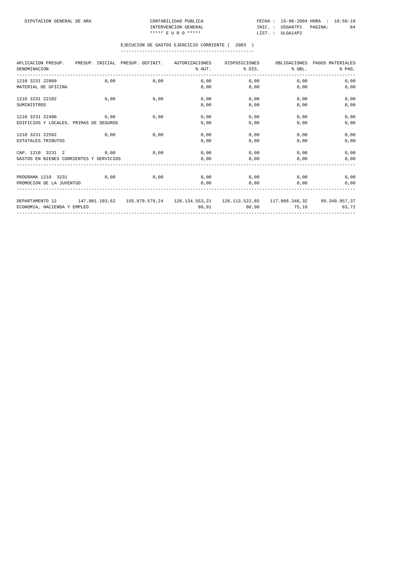CONTABILIDAD PUBLICA<br>INTERVENCION GENERAL<br>\*\*\*\*\* E U R O \*\*\*\*\*

DIPUTACION GENERAL DE ARA CONTABILIDAD PUBLICA FECHA : 15-06-2004 HORA : 18:56:19 INTERVENCION GENERAL **INIC. : USGA07P1** PAGINA: 84

| APLICACION PRESUP. PRESUP. INICIAL PRESUP. DEFINIT.<br>DENOMINACION                                      |      |      | AUTORIZACIONES | $\text{\$ }$ AUT. $\text{\$ }$ DIS. $\text{\$ }$ OBL. | DISPOSICIONES OBLIGACIONES PAGOS MATERIALES | % PAG. |
|----------------------------------------------------------------------------------------------------------|------|------|----------------|-------------------------------------------------------|---------------------------------------------|--------|
| 1210 3231 22009                                                                                          | 0.00 | 0,00 |                | $0,00$ 0,00                                           | 0.00                                        | 0,00   |
| MATERIAL DE OFICINA                                                                                      |      |      | 0.00           | 0,00                                                  | 0.00                                        | 0,00   |
| 1210 3231 22102                                                                                          | 0.00 | 0.00 | 0.00           | 0,00                                                  | 0.00                                        | 0.00   |
| SUMINISTROS                                                                                              |      |      | 0,00           | 0,00                                                  | 0,00                                        | 0,00   |
| 1210 3231 22400                                                                                          | 0,00 | 0,00 | 0,00           | 0,00                                                  | 0,00                                        | 0,00   |
| EDIFICIOS Y LOCALES. PRIMAS DE SEGUROS                                                                   |      |      | 0.00           | 0,00                                                  | 0,00                                        | 0,00   |
| 1210 3231 22502                                                                                          | 0.00 | 0,00 | 0.00           | 0,00                                                  | 0,00                                        | 0,00   |
| ESTATALES. TRIBUTOS                                                                                      |      |      | 0.00           | 0,00                                                  | 0.00                                        | 0,00   |
| CAP. 1210 3231 2                                                                                         | 0,00 | 0,00 | 0,00           | 0,00                                                  | 0,00                                        | 0,00   |
| GASTOS EN BIENES CORRIENTES Y SERVICIOS                                                                  |      |      | 0,00           | 0,00                                                  | 0,00                                        | 0,00   |
|                                                                                                          |      |      |                |                                                       |                                             |        |
| PROGRAMA 1210 3231 0.00                                                                                  |      | 0.00 | $0,00$ 0.00    |                                                       | 0.00                                        | 0,00   |
| PROMOCION DE LA JUVENTUD                                                                                 |      |      | 0,00           | 0,00                                                  | 0,00                                        | 0,00   |
| DEPARTAMENTO 12 147.901.103,62 155.879.579,24 126.134.553,21 126.113.522,85 117.066.346,32 99.340.957,37 |      |      |                |                                                       |                                             |        |
| ECONOMIA, HACIENDA Y EMPLEO                                                                              |      |      |                | 80,91 80,90 75,10                                     |                                             | 63,72  |
|                                                                                                          |      |      |                |                                                       |                                             |        |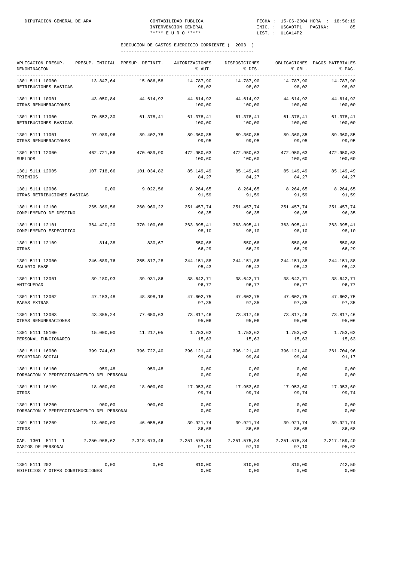| APLICACION PRESUP.<br>DENOMINACION                                                                                   |            | PRESUP. INICIAL PRESUP. DEFINIT. | AUTORIZACIONES<br>% AUT. | DISPOSICIONES<br>% DIS. | % OBL.               | OBLIGACIONES PAGOS MATERIALES<br>% PAG. |
|----------------------------------------------------------------------------------------------------------------------|------------|----------------------------------|--------------------------|-------------------------|----------------------|-----------------------------------------|
| 1301 5111 10000<br>RETRIBUCIONES BASICAS                                                                             | 13.847,64  | 15.086,58                        | 14.787,90<br>98,02       | 14.787,90<br>98,02      | 14.787,90<br>98,02   | 14.787,90<br>98,02                      |
| 1301 5111 10001<br>OTRAS REMUNERACIONES                                                                              | 43.050,84  | 44.614,92                        | 44.614,92<br>100,00      | 44.614,92<br>100,00     | 44.614,92<br>100,00  | 44.614,92<br>100,00                     |
| 1301 5111 11000<br>RETRIBUCIONES BASICAS                                                                             | 70.552,30  | 61.378,41                        | 61.378,41<br>100,00      | 61.378,41<br>100,00     | 61.378,41<br>100,00  | 61.378,41<br>100,00                     |
| 1301 5111 11001<br>OTRAS REMUNERACIONES                                                                              | 97.989,96  | 89.402,78                        | 89.360,85<br>99,95       | 89.360,85<br>99,95      | 89.360,85<br>99,95   | 89.360,85<br>99,95                      |
| 1301 5111 12000<br><b>SUELDOS</b>                                                                                    | 462.721,56 | 470.089,90                       | 472.950,63<br>100,60     | 472.950,63<br>100,60    | 472.950,63<br>100,60 | 472.950,63<br>100,60                    |
| 1301 5111 12005<br>TRIENIOS                                                                                          | 107.718,66 | 101.034,82                       | 85.149,49<br>84,27       | 85.149,49<br>84,27      | 85.149,49<br>84,27   | 85.149,49<br>84,27                      |
| 1301 5111 12006<br>OTRAS RETRIBUCIONES BASICAS                                                                       | 0,00       | 9.022,56                         | 8.264,65<br>91,59        | 8.264,65<br>91,59       | 8.264,65<br>91,59    | 8.264,65<br>91,59                       |
| 1301 5111 12100<br>COMPLEMENTO DE DESTINO                                                                            | 265.369,56 | 260.960,22                       | 251.457,74<br>96,35      | 251.457,74<br>96,35     | 251.457,74<br>96,35  | 251.457,74<br>96,35                     |
| 1301 5111 12101<br>COMPLEMENTO ESPECIFICO                                                                            | 364.420,20 | 370.100,08                       | 363.095,41<br>98,10      | 363.095,41<br>98,10     | 363.095,41<br>98,10  | 363.095,41<br>98,10                     |
| 1301 5111 12109<br>OTRAS                                                                                             | 814,38     | 830,67                           | 550,68<br>66,29          | 550,68<br>66,29         | 550,68<br>66,29      | 550,68<br>66,29                         |
| 1301 5111 13000<br>SALARIO BASE                                                                                      | 246.689,76 | 255.817,28                       | 244.151,88<br>95,43      | 244.151,88<br>95,43     | 244.151,88<br>95,43  | 244.151,88<br>95,43                     |
| 1301 5111 13001<br>ANTIGUEDAD                                                                                        | 39.180,93  | 39.931,86                        | 38.642,71<br>96,77       | 38.642,71<br>96,77      | 38.642,71<br>96,77   | 38.642,71<br>96,77                      |
| 1301 5111 13002<br>PAGAS EXTRAS                                                                                      | 47.153,48  | 48.898,16                        | 47.602,75<br>97,35       | 47.602,75<br>97,35      | 47.602,75<br>97,35   | 47.602,75<br>97,35                      |
| 1301 5111 13003<br>OTRAS REMUNERACIONES                                                                              | 43.855,24  | 77.650,63                        | 73.817,46<br>95,06       | 73.817,46<br>95,06      | 73.817,46<br>95,06   | 73.817,46<br>95,06                      |
| 1301 5111 15100<br>PERSONAL FUNCIONARIO                                                                              | 15.000,00  | 11.217,05                        | 1.753,62<br>15,63        | 1.753,62<br>15,63       | 1.753,62<br>15,63    | 1.753,62<br>15,63                       |
| 1301 5111 16000<br>SEGURIDAD SOCIAL                                                                                  | 399.744,63 | 396.722,40                       | 396.121,40<br>99,84      | 396.121,40<br>99,84     | 396.121,40<br>99,84  | 361.704,96<br>91, 17                    |
| 1301 5111 16100<br>FORMACION Y PERFECCIONAMIENTO DEL PERSONAL                                                        |            | 959,48 959,48                    | 0,00<br>0,00             | 0,00<br>0,00            | 0,00<br>0,00         | 0,00<br>0,00                            |
| 1301 5111 16109<br>OTROS                                                                                             |            | 18.000,00 18.000,00              | 17.953,60<br>99,74       | 17.953,60<br>99,74      | 17.953,60<br>99,74   | 17.953,60<br>99,74                      |
| 1301 5111 16200<br>FORMACION Y PERFECCIONAMIENTO DEL PERSONAL                                                        | 900,00     | 900,00                           | 0,00<br>0,00             | 0,00<br>0,00            | 0,00<br>0,00         | 0,00<br>0,00                            |
| 1301 5111 16209<br>OTROS                                                                                             |            | 13.000,00 46.055,66              | 39.921,74<br>86,68       | 39.921,74<br>86,68      | 39.921,74<br>86,68   | 39.921,74<br>86,68                      |
| CAP. 1301 5111 1 2.250.968,62 2.318.673,46 2.251.575,84 2.251.575,84 2.251.575,84 2.217.159,40<br>GASTOS DE PERSONAL |            |                                  | 97,10                    | 97,10                   | 97,10                | 95,62                                   |
| 1301 5111 202<br>EDIFICIOS Y OTRAS CONSTRUCCIONES                                                                    | 0,00       | 0,00                             | 810,00<br>0,00           | 810,00<br>0,00          | 810,00<br>0,00       | 742,50<br>0,00                          |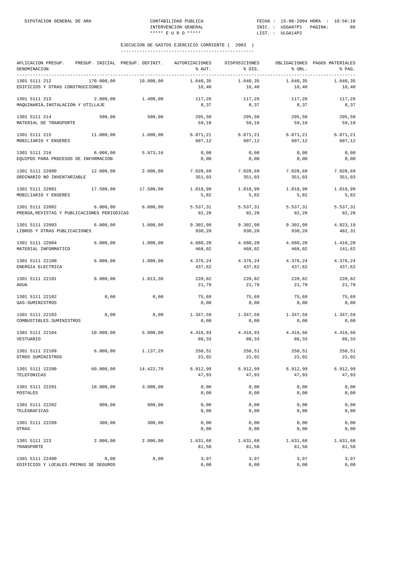| APLICACION PRESUP.<br>DENOMINACION<br>--------------------------------- |            | PRESUP. INICIAL PRESUP. DEFINIT. | AUTORIZACIONES<br>% AUT. | DISPOSICIONES<br>% DIS. | % OBL.              | OBLIGACIONES PAGOS MATERIALES<br>% PAG. |
|-------------------------------------------------------------------------|------------|----------------------------------|--------------------------|-------------------------|---------------------|-----------------------------------------|
| 1301 5111 212<br>EDIFICIOS Y OTRAS CONSTRUCCIONES                       | 170.000,00 | 10.000,00                        | 1.640,35<br>16,40        | 1.640,35<br>16,40       | 1.640,35<br>16,40   | 1.640,35<br>16,40                       |
| 1301 5111 213<br>MAQUINARIA, INSTALACION Y UTILLAJE                     | 2.800,00   | 1.400,00                         | 117,26<br>8,37           | 117,26<br>8,37          | 117,26<br>8,37      | 117,26<br>8,37                          |
| 1301 5111 214<br>MATERIAL DE TRANSPORTE                                 | 500,00     | 500,00                           | 295,50<br>59,10          | 295,50<br>59,10         | 295,50<br>59,10     | 295,50<br>59,10                         |
| 1301 5111 215<br>MOBILIARIO Y ENSERES                                   | 11.000,00  | 1.000,00                         | 6.071, 21<br>607,12      | 6.071, 21<br>607,12     | 6.071, 21<br>607,12 | 6.071, 21<br>607,12                     |
| 1301 5111 216<br>EQUIPOS PARA PROCESOS DE INFORMACION                   | 6.000,00   | 5.973,16                         | 0,00<br>0,00             | 0,00<br>0,00            | 0,00<br>0,00        | 0,00<br>0,00                            |
| 1301 5111 22000<br>ORDINARIO NO INVENTARIABLE                           | 12.000,00  | 2.000,00                         | 7.020,69<br>351,03       | 7.020,69<br>351,03      | 7.020,69<br>351,03  | 7.020,69<br>351,03                      |
| 1301 5111 22001<br>MOBILIARIO Y ENSERES                                 | 17.500,00  | 17.500,00                        | 1.018,99<br>5,82         | 1.018,99<br>5,82        | 1.018,99<br>5,82    | 1.018,99<br>5,82                        |
| 1301 5111 22002<br>PRENSA, REVISTAS Y PUBLICACIONES PERIODICAS          | 6.000,00   | 6.000,00                         | 5.537,31<br>92,28        | 5.537,31<br>92,28       | 5.537,31<br>92,28   | 5.537,31<br>92,28                       |
| 1301 5111 22003<br>LIBROS Y OTRAS PUBLICACIONES                         | 6.000,00   | 1.000,00                         | 9.302,09<br>930,20       | 9.302,09<br>930,20      | 9.302,09<br>930,20  | 4.823,19<br>482,31                      |
| 1301 5111 22004<br>MATERIAL INFORMATICO                                 | 6.000,00   | 1.000,00                         | 4.680,20<br>468,02       | 4.680,20<br>468,02      | 4.680,20<br>468,02  | 1.416,20<br>141,62                      |
| 1301 5111 22100<br>ENERGIA ELECTRICA                                    | 6.000,00   | 1.000,00                         | 4.376,24<br>437,62       | 4.376,24<br>437,62      | 4.376,24<br>437,62  | 4.376,24<br>437,62                      |
| 1301 5111 22101<br><b>AGUA</b>                                          | 8.000,00   | 1.013,30                         | 220,82<br>21,79          | 220,82<br>21,79         | 220,82<br>21,79     | 220,82<br>21,79                         |
| 1301 5111 22102<br>GAS-SUMINISTROS                                      | 0,00       | 0,00                             | 75,69<br>0,00            | 75,69<br>0,00           | 75,69<br>0,00       | 75,69<br>0,00                           |
| 1301 5111 22103<br>COMBUSTIBLES. SUMINISTROS                            | 0,00       | 0,00                             | 1.347,59<br>0,00         | 1.347,59<br>0,00        | 1.347,59<br>0,00    | 1.347,59<br>0,00                        |
| 1301 5111 22104<br>VESTUARIO                                            | 10.000,00  | 5.000,00                         | 4.416,93<br>88,33        | 4.416,93<br>88,33       | 4.416,66<br>88,33   | 4.416,66<br>88,33                       |
| 1301 5111 22109<br>OTROS SUMINISTROS                                    | 6.000,00   | 1.137,29                         | 250,51<br>22,02          | 250,51<br>22,02         | 250,51<br>22,02     | 250,51<br>22,02                         |
| 1301 5111 22200<br>TELEFONICAS                                          | 60.000,00  | 14.422,70                        | 6.912,99<br>47,93        | 6.912,99<br>47,93       | 6.912,99<br>47,93   | 6.912,99<br>47,93                       |
| 1301 5111 22201<br>POSTALES                                             | 18.000,00  | 3.000,00                         | 0,00<br>0,00             | 0,00<br>0,00            | 0,00<br>0,00        | 0,00<br>0,00                            |
| 1301 5111 22202<br>TELEGRAFICAS                                         | 900,00     | 900,00                           | 0,00<br>0,00             | 0,00<br>0,00            | 0,00<br>0,00        | 0,00<br>0,00                            |
| 1301 5111 22209<br>OTRAS                                                | 300,00     | 300,00                           | 0,00<br>0,00             | 0,00<br>0,00            | 0,00<br>0,00        | 0,00<br>0,00                            |
| 1301 5111 223<br>TRANSPORTE                                             | 2.000,00   | 2.000,00                         | 1.631,68<br>81,58        | 1.631,68<br>81,58       | 1.631,68<br>81,58   | 1.631,68<br>81,58                       |
| 1301 5111 22400<br>EDIFICIOS Y LOCALES. PRIMAS DE SEGUROS               | 0,00       | 0,00                             | 3,97<br>0,00             | 3,97<br>0,00            | 3,97<br>0,00        | 3,97<br>0,00                            |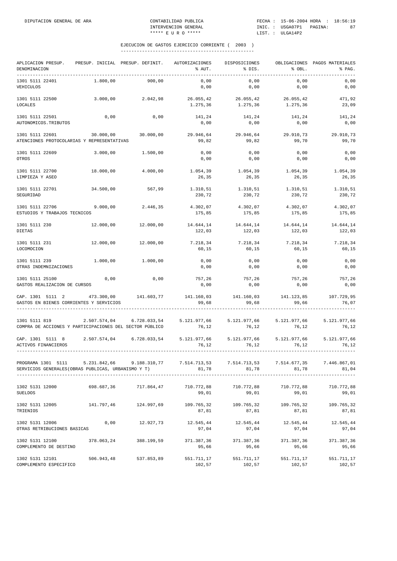| APLICACION PRESUP. PRESUP. INICIAL PRESUP. DEFINIT. AUTORIZACIONES<br>DENOMINACION                                                                      |            |                                                                  | % AUT.                                                                          | DISPOSICIONES<br>% DIS.    | % OBL.                          | OBLIGACIONES PAGOS MATERIALES<br>% PAG. |
|---------------------------------------------------------------------------------------------------------------------------------------------------------|------------|------------------------------------------------------------------|---------------------------------------------------------------------------------|----------------------------|---------------------------------|-----------------------------------------|
| 1301 5111 22401<br>VEHICULOS                                                                                                                            | 1.800,00   | 900,00                                                           | 0,00<br>0,00                                                                    | 0,00<br>0,00               | 0,00<br>0,00                    | 0,00<br>0,00                            |
| 1301 5111 22500<br>LOCALES                                                                                                                              | 3.000,00   |                                                                  | $2.042,98$ $26.055,42$ $26.055,42$ $26.055,42$                                  | 1.275,36 1.275,36 1.275,36 |                                 | 471,92<br>23,09                         |
| 1301 5111 22501<br>AUTONOMICOS.TRIBUTOS                                                                                                                 | 0,00       | 0,00                                                             | 141,24<br>0,00                                                                  | 141, 24 141, 24<br>0,00    | 0,00                            | 141,24<br>0,00                          |
| 1301 5111 22601 30.000,00 30.000,00 29.946,64<br>ATENCIONES PROTOCOLARIAS Y REPRESENTATIVAS                                                             |            |                                                                  | 99,82                                                                           | 29.946,64<br>99,82         | 29.910,73<br>99,70              | 29.910,73<br>99,70                      |
| 1301 5111 22609<br>OTROS                                                                                                                                | 3.000,00   | 1.500,00                                                         | 0,00<br>0,00                                                                    | 0,00<br>0,00               | 0,00<br>0,00                    | 0,00<br>0,00                            |
| 1301 5111 22700<br>LIMPIEZA Y ASEO                                                                                                                      | 18.000,00  | 4.000,00                                                         | 1.054,39<br>26,35                                                               | 1.054,39<br>26,35          | 1.054,39<br>26,35               | 1.054,39<br>26,35                       |
| 1301 5111 22701<br>SEGURIDAD                                                                                                                            | 34.500,00  |                                                                  | 567,99 1.310,51 1.310,51 1.310,51<br>230,72                                     | 230,72                     | 230,72                          | 1.310,51<br>230,72                      |
| 1301 5111 22706<br>ESTUDIOS Y TRABAJOS TECNICOS                                                                                                         | 9.000,00   | 2.446,35                                                         | 4.302,07<br>175,85                                                              | 4.302,07<br>175,85         | 4.302,07<br>175,85              | 4.302,07<br>175,85                      |
| 1301 5111 230<br><b>DIETAS</b>                                                                                                                          | 12.000,00  |                                                                  | 12.000,00 14.644,14 14.644,14 14.644,14<br>122,03                               | 122,03                     | 122,03                          | 14.644,14<br>122,03                     |
| 1301 5111 231<br>LOCOMOCION                                                                                                                             | 12.000,00  | 12.000,00                                                        | 7.218,34<br>60,15                                                               | 60,15                      | 7.218,34 7.218,34<br>60,15      | 7.218,34<br>60,15                       |
| 1301 5111 239<br>OTRAS INDEMNIZACIONES                                                                                                                  | 1.000,00   | 1.000,00                                                         | 0,00<br>0,00                                                                    | 0,00<br>0,00               | 0,00<br>0,00                    | 0,00<br>0,00                            |
| 1301 5111 25100<br>GASTOS REALIZACION DE CURSOS                                                                                                         | 0,00       | 0,00                                                             | 757,26<br>0,00                                                                  | 757,26<br>0,00             | 757,26<br>0,00                  | 757,26<br>0,00                          |
| $\verb CAP. 1301 5111 2   473.300,00   141.603,77   141.160,03   141.160,03   141.123,85   107.729,95 \\$<br>GASTOS EN BIENES CORRIENTES Y SERVICIOS    |            |                                                                  | 99,68                                                                           | 99,68                      | 99,66                           | 76,07                                   |
| 1301 5111 819<br>COMPRA DE ACCIONES Y PARTICIPACIONES DEL SECTOR PÚBLICO                                                                                |            | 2.507.574,04 6.728.033,54 5.121.977,66 5.121.977,66 5.121.977,66 | 76, 12                                                                          | 76, 12                     | 76, 12                          | 5.121.977,66<br>76,12                   |
| CAP. 1301 5111 8 2.507.574,04 6.728.033,54 5.121.977,66 5.121.977,66 5.121.977,66 5.121.977,66<br>ACTIVOS FINANCIEROS                                   |            |                                                                  | 76,12                                                                           | 76,12                      | 76,12                           | 76,12                                   |
| PROGRAMA 1301 5111 5.231.842,66 9.188.310,77 7.514.713,53 7.514.713,53 7.514.677,35 7.446.867,01<br>SERVICIOS GENERALES (OBRAS PUBLICAS, URBANISMO Y T) |            |                                                                  | 81,78                                                                           | 81,78                      | 81,78                           | 81,04                                   |
| 1302 5131 12000<br><b>SUELDOS</b>                                                                                                                       | 698.687,36 |                                                                  | 717.864,47 710.772,88<br>99,01                                                  | 99,01                      | 710.772,88 710.772,88<br>99,01  | 710.772,88<br>99,01                     |
| 1302 5131 12005<br>TRIENIOS                                                                                                                             | 141.797,46 |                                                                  | 124.997,69     109.765,32     109.765,32     109.765,32     109.765,32<br>87,81 | 87,81                      | 87,81                           | 87,81                                   |
| 1302 5131 12006<br>OTRAS RETRIBUCIONES BASICAS                                                                                                          | 0,00       | 12.927,73                                                        | 12.545,44<br>97,04                                                              | 12.545,44<br>97,04         | 12.545,44<br>97,04              | 12.545,44<br>97,04                      |
| 1302 5131 12100 378.063,24<br>COMPLEMENTO DE DESTINO                                                                                                    |            |                                                                  | 388.199,59 371.387,36 371.387,36 371.387,36<br>95,66                            | 95,66                      | 95,66                           | 371.387,36<br>95,66                     |
| 1302 5131 12101 506.943,48<br>COMPLEMENTO ESPECIFICO                                                                                                    |            |                                                                  | 537.853,89 551.711,17<br>102,57                                                 | 102,57                     | 551.711,17 551.711,17<br>102,57 | 551.711,17<br>102,57                    |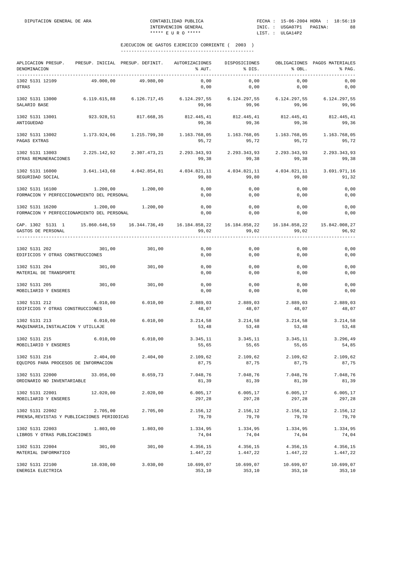| APLICACION PRESUP.<br>DENOMINACION                                                                           | PRESUP. INICIAL PRESUP. DEFINIT. |                           | AUTORIZACIONES<br>% AUT. | DISPOSICIONES<br>% DIS.                                            | % OBL.                | OBLIGACIONES PAGOS MATERIALES<br>% PAG. |
|--------------------------------------------------------------------------------------------------------------|----------------------------------|---------------------------|--------------------------|--------------------------------------------------------------------|-----------------------|-----------------------------------------|
| 1302 5131 12109<br>OTRAS                                                                                     | 49.000,00                        | 49.980,00                 | 0,00<br>0,00             | 0,00<br>0,00                                                       | 0,00<br>0,00          | 0,00<br>0,00                            |
| 1302 5131 13000<br>SALARIO BASE                                                                              |                                  | 6.119.615,88 6.126.717,45 | 99,96                    | 6.124.297,55   6.124.297,55   6.124.297,55   6.124.297,55<br>99,96 | 99,96                 | 99,96                                   |
| 1302 5131 13001<br>ANTIGUEDAD                                                                                | 923.928,51                       | 817.668,35                | 99,36                    | 812.445,41 812.445,41 812.445,41 812.445,41<br>99,36               | 99,36                 | 99,36                                   |
| 1302 5131 13002<br>PAGAS EXTRAS                                                                              |                                  | 1.173.924.06 1.215.799.30 | 1.163.768,05<br>95,72    | 1.163.768,05<br>95,72                                              | 1.163.768,05<br>95,72 | 1.163.768,05<br>95,72                   |
| 1302 5131 13003<br>OTRAS REMUNERACIONES                                                                      |                                  | 2.225.142,92 2.307.473,21 | 2.293.343,93<br>99,38    | 2.293.343,93<br>99,38                                              | 2.293.343,93<br>99,38 | 2.293.343,93<br>99,38                   |
| 1302 5131 16000<br>SEGURIDAD SOCIAL                                                                          |                                  | 3.641.143,68 4.042.854,81 | 4.034.821,11<br>99,80    | 4.034.821,11<br>99,80                                              | 4.034.821,11<br>99,80 | 3.691.971,16<br>91,32                   |
| 1302 5131 16100<br>FORMACION Y PERFECCIONAMIENTO DEL PERSONAL                                                | 1.200,00                         | 1.200,00                  | 0,00<br>0,00             | 0,00<br>0,00                                                       | 0,00<br>0,00          | 0,00<br>0,00                            |
| 1302 5131 16200<br>FORMACION Y PERFECCIONAMIENTO DEL PERSONAL                                                | 1.200,00                         | 1.200,00                  | 0,00<br>0,00             | 0,00<br>0,00                                                       | 0,00<br>0,00          | 0,00<br>0,00                            |
| CAP. 1302 5131 1 15.860.646,59 16.344.736,49 16.184.858,22 16.184.858,22 16.184.858,22<br>GASTOS DE PERSONAL |                                  |                           | 99,02                    | 99,02                                                              | 99,02                 | 15.842.008,27<br>96,92                  |
| 1302 5131 202<br>EDIFICIOS Y OTRAS CONSTRUCCIONES                                                            | 301,00                           | 301,00                    | 0,00<br>0,00             | 0,00<br>0,00                                                       | 0,00<br>0,00          | 0,00<br>0,00                            |
| 1302 5131 204<br>MATERIAL DE TRANSPORTE                                                                      | 301,00                           | 301,00                    | 0,00<br>0,00             | 0,00<br>0,00                                                       | 0,00<br>0,00          | 0,00<br>0,00                            |
| 1302 5131 205<br>MOBILIARIO Y ENSERES                                                                        | 301,00                           | 301,00                    | 0,00<br>0,00             | 0,00<br>0,00                                                       | 0,00<br>0,00          | 0,00<br>0,00                            |
| 1302 5131 212<br>EDIFICIOS Y OTRAS CONSTRUCCIONES                                                            | 6.010,00                         | 6.010,00                  | 2.889,03<br>48,07        | 2.889,03<br>48,07                                                  | 2.889,03<br>48,07     | 2.889,03<br>48,07                       |
| 1302 5131 213<br>MAQUINARIA, INSTALACION Y UTILLAJE                                                          | 6.010,00                         | 6.010,00                  | 3.214,58<br>53,48        | 3.214,58<br>53,48                                                  | 3.214,58<br>53,48     | 3.214,58<br>53,48                       |
| 1302 5131 215<br>MOBILIARIO Y ENSERES                                                                        | 6.010,00                         | 6.010,00                  | 3.345,11<br>55,65        | 3.345,11<br>55,65                                                  | 3.345,11<br>55,65     | 3.296,49<br>54,85                       |
| 1302 5131 216<br>EQUIPOS PARA PROCESOS DE INFORMACION                                                        | 2.404,00                         | 2.404,00                  | 2.109,62<br>87,75        | 2.109,62<br>87,75                                                  | 2.109,62<br>87,75     | 2.109,62<br>87,75                       |
| 1302 5131 22000<br>ORDINARIO NO INVENTARIABLE                                                                | 33.056,00                        | 8.659,73                  | 7.048,76<br>81,39        | 7.048,76<br>81,39                                                  | 7.048,76<br>81,39     | 7.048,76<br>81,39                       |
| 1302 5131 22001<br>MOBILIARIO Y ENSERES                                                                      | 12.020,00                        | 2.020,00                  | 6.005, 17<br>297,28      | 6.005, 17<br>297,28                                                | 6.005, 17<br>297,28   | 6.005, 17<br>297,28                     |
| 1302 5131 22002<br>PRENSA, REVISTAS Y PUBLICACIONES PERIODICAS                                               | 2.705,00                         | 2.705,00                  | 2.156,12<br>79,70        | 2.156,12<br>79,70                                                  | 2.156,12<br>79,70     | 2.156,12<br>79,70                       |
| 1302 5131 22003<br>LIBROS Y OTRAS PUBLICACIONES                                                              | 1.803,00                         | 1.803,00                  | 1.334,95<br>74,04        | 1.334,95<br>74,04                                                  | 1.334,95<br>74,04     | 1.334,95<br>$74\,, 04$                  |
| 1302 5131 22004<br>MATERIAL INFORMATICO                                                                      | 301,00                           | 301,00                    | 4.356,15<br>1.447,22     | 4.356,15<br>1.447,22                                               | 4.356,15<br>1.447,22  | 4.356,15<br>1.447,22                    |
| 1302 5131 22100<br>ENERGIA ELECTRICA                                                                         | 18.030,00                        | 3.030,00                  | 10.699,07<br>353,10      | 10.699,07<br>353,10                                                | 10.699,07<br>353,10   | 10.699,07<br>353,10                     |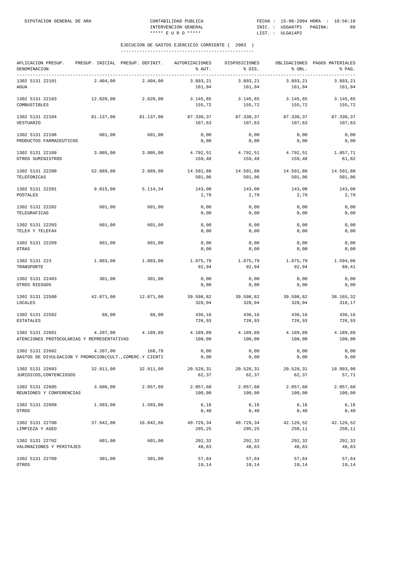| APLICACION PRESUP.<br>DENOMINACION                                          |           | PRESUP. INICIAL PRESUP. DEFINIT. | <b>AUTORIZACIONES</b><br>% AUT. | DISPOSICIONES<br>% DIS. | % OBL.              | OBLIGACIONES PAGOS MATERIALES<br>% PAG. |
|-----------------------------------------------------------------------------|-----------|----------------------------------|---------------------------------|-------------------------|---------------------|-----------------------------------------|
| ------------------------------------<br>1302 5131 22101<br>AGUA             | 2.404,00  | 2.404,00                         | 3.893,21<br>161,94              | 3.893,21<br>161,94      | 3.893,21<br>161,94  | 3.893,21<br>161,94                      |
| 1302 5131 22103<br>COMBUSTIBLES                                             | 12.020,00 | 2.020,00                         | 3.145,65<br>155,72              | 3.145,65<br>155,72      | 3.145,65<br>155,72  | 3.145,65<br>155,72                      |
| 1302 5131 22104<br>VESTUARIO                                                | 81.137,00 | 81.137,00                        | 87.330,37<br>107,63             | 87.330,37<br>107,63     | 87.330,37<br>107,63 | 87.330,37<br>107,63                     |
| 1302 5131 22106<br>PRODUCTOS FARMACEUTICOS                                  | 601,00    | 601,00                           | 0,00<br>0,00                    | 0,00<br>0,00            | 0,00<br>0,00        | 0,00<br>0,00                            |
| 1302 5131 22109<br>OTROS SUMINISTROS                                        | 3.005,00  | 3.005,00                         | 4.792,51<br>159,48              | 4.792,51<br>159,48      | 4.792,51<br>159,48  | 1.857,71<br>61,82                       |
| 1302 5131 22200<br>TELEFONICAS                                              | 52.889,00 | 2.889,00                         | 14.501,88<br>501,96             | 14.501,88<br>501,96     | 14.501,88<br>501,96 | 14.501,88<br>501,96                     |
| 1302 5131 22201<br>POSTALES                                                 | 9.015,00  | 5.114,34                         | 143,00<br>2,79                  | 143,00<br>2,79          | 143,00<br>2,79      | 143,00<br>2,79                          |
| 1302 5131 22202<br>TELEGRAFICAS                                             | 601,00    | 601,00                           | 0,00<br>0,00                    | 0,00<br>0,00            | 0,00<br>0,00        | 0,00<br>0,00                            |
| 1302 5131 22203<br>TELEX Y TELEFAX                                          | 601,00    | 601,00                           | 0,00<br>0,00                    | 0,00<br>0,00            | 0,00<br>0,00        | 0,00<br>0,00                            |
| 1302 5131 22209<br>OTRAS                                                    | 601,00    | 601,00                           | 0,00<br>0,00                    | 0,00<br>0,00            | 0,00<br>0,00        | 0,00<br>0,00                            |
| 1302 5131 223<br>TRANSPORTE                                                 | 1.803,00  | 1.803,00                         | 1.675,79<br>92,94               | 1.675,79<br>92,94       | 1.675,79<br>92,94   | 1.594,06<br>88,41                       |
| 1302 5131 22403<br>OTROS RIESGOS                                            | 301,00    | 301,00                           | 0,00<br>0,00                    | 0,00<br>0,00            | 0,00<br>0,00        | 0,00<br>0,00                            |
| 1302 5131 22500<br>LOCALES                                                  | 42.071,00 | 12.071,00                        | 39.598,82<br>328,04             | 39.598,82<br>328,04     | 39.598,82<br>328,04 | 38.165,32<br>316,17                     |
| 1302 5131 22502<br><b>ESTATALES</b>                                         | 60,00     | 60,00                            | 436,16<br>726,93                | 436,16<br>726,93        | 436,16<br>726,93    | 436,16<br>726,93                        |
| 1302 5131 22601<br>ATENCIONES PROTOCOLARIAS Y REPRESENTATIVAS               | 4.207,00  | 4.189,89                         | 4.189,89<br>100,00              | 4.189,89<br>100,00      | 4.189,89<br>100,00  | 4.189,89<br>100,00                      |
| 1302 5131 22602<br>GASTOS DE DIVULGACION Y PROMOCION(CULT., COMERC.Y CIENTI | 4.207,00  | 168,78                           | 0,00<br>0,00                    | 0,00<br>0,00            | 0,00<br>0,00        | 0,00<br>0,00                            |
| 1302 5131 22603<br>JURIDICOS, CONTENCIOSOS                                  | 32.911,00 | 32.911,00                        | 20.528,31<br>62,37              | 20.528,31<br>62,37      | 20.528,31<br>62,37  | 18.993,90<br>57,71                      |
| 1302 5131 22605<br>REUNIONES Y CONFERENCIAS                                 | 3.606,00  | 2.057,60                         | 2.057,60<br>100,00              | 2.057,60<br>100,00      | 2.057,60<br>100,00  | 2.057,60<br>100,00                      |
| 1302 5131 22609<br>OTROS                                                    | 1.503,00  | 1.503,00                         | 6,16<br>0,40                    | 6,16<br>0,40            | 6,16<br>0,40        | 6,16<br>0,40                            |
| 1302 5131 22700<br>LIMPIEZA Y ASEO                                          | 37.942,00 | 16.842,66                        | 49.729,34<br>295,25             | 49.729,34<br>295,25     | 42.126,52<br>250,11 | 42.126,52<br>250,11                     |
| 1302 5131 22702<br>VALORACIONES Y PERITAJES                                 | 601,00    | 601,00                           | 292,32<br>48,63                 | 292,32<br>48,63         | 292,32<br>48,63     | 292,32<br>48,63                         |
| 1302 5131 22709<br>OTROS                                                    | 301,00    | 301,00                           | 57,64<br>19,14                  | 57,64<br>19,14          | 57,64<br>19,14      | 57,64<br>19,14                          |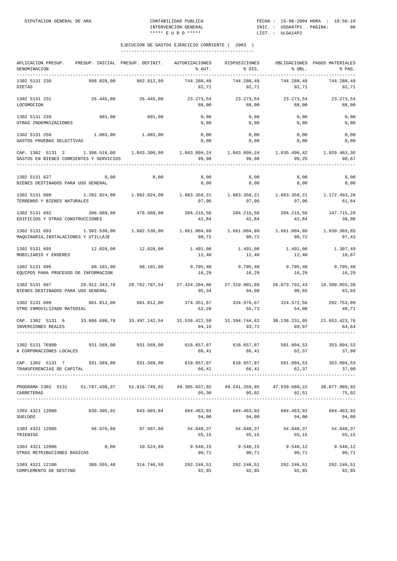| APLICACION PRESUP.<br>DENOMINACION                                                                                   |                       | PRESUP. INICIAL PRESUP. DEFINIT. | AUTORIZACIONES<br>% AUT.                                                                           | DISPOSICIONES<br>% DIS. | % OBL.                               | OBLIGACIONES PAGOS MATERIALES<br>% PAG.            |
|----------------------------------------------------------------------------------------------------------------------|-----------------------|----------------------------------|----------------------------------------------------------------------------------------------------|-------------------------|--------------------------------------|----------------------------------------------------|
| 1302 5131 230<br><b>DIETAS</b>                                                                                       | 898.028,00            | 802.812,99                       | 744.288,49<br>92,71                                                                                | 744.288,49<br>92,71     | 744.288.49<br>92,71                  | 744.288,49<br>92,71                                |
| 1302 5131 231<br>LOCOMOCION                                                                                          |                       | 26.445,00 26.445,00              | 23.273,54<br>88,00                                                                                 | 23.273,54<br>88,00      | 23.273,54<br>88,00                   | 23.273,54<br>88,00                                 |
| 1302 5131 239<br>OTRAS INDEMNIZACIONES                                                                               | 601,00                | 601,00                           | 0,00<br>0,00                                                                                       | 0,00<br>0,00            | 0,00<br>0,00                         | 0,00<br>0,00                                       |
| 1302 5131 250<br>GASTOS PRUEBAS SELECTIVAS                                                                           |                       | 1.803,00 1.803,00                | 0,00<br>0,00                                                                                       | 0,00<br>0,00            | 0,00<br>0,00                         | 0,00<br>0,00                                       |
| CAP. 1302 5131 2<br>GASTOS EN BIENES CORRIENTES Y SERVICIOS                                                          |                       |                                  | $1.308.516,00$ $1.043.300,99$ $1.043.099,24$ $1.043.099,24$ $1.035.496,42$<br>99,98                | 99,98                   | 99,25                                | 1.029.463,36<br>98,67                              |
| 1302 5131 627<br>BIENES DESTINADOS PARA USO GENERAL                                                                  | 0,00                  | 0,00                             | 0,00<br>0,00                                                                                       | 0,00<br>0,00            | 0,00<br>0,00                         | 0,00<br>0,00                                       |
| 1302 5131 690<br>TERRENOS Y BIENES NATURALES                                                                         |                       |                                  | $1.202.024.00$ $1.902.024.00$ $1.863.358.21$ $1.863.358.21$ $1.863.358.21$ $1.172.493.26$<br>97,96 | 97,96                   | 97.96                                | 61.64                                              |
| 1302 5131 692 396.668,00<br>EDIFICIOS Y OTRAS CONSTRUCCIONES                                                         |                       | 476.668,00                       | 204.216,56 204.216,56 204.216,56 147.715,29<br>42,84                                               | 42,84                   | 42,84                                | 30,98                                              |
| 1302 5131 693<br>MAQUINARIA, INSTALACIONES Y UTILLAJE                                                                |                       | 1.502.530,00 1.682.530,00        | 1.661.004,89<br>98,72                                                                              | 1.661.004,89<br>98,72   | 1.661.004,89<br>98,72                | 1.639.303,85<br>97,43                              |
| 1302 5131 695<br>MOBILIARIO Y ENSERES                                                                                |                       | 12.020,00 12.020,00              | 1.491,00<br>12,40                                                                                  | 1.491,00<br>12,40       | 1.491,00<br>12,40                    | 1.307,49<br>10,87                                  |
| 1302 5131 696<br>EQUIPOS PARA PROCESOS DE INFORMACION                                                                | 60.101,00             | 60.101,00                        | 9.795,40<br>16,29                                                                                  | 9.795,40<br>16,29       | 9.795,40<br>16,29                    | 9.795, 40<br>16,29                                 |
| 1302 5131 697 29.912.343,78<br>BIENES DESTINADOS PARA USO GENERAL                                                    |                       |                                  | 28.762.787,54 27.424.204,86<br>95,34                                                               | 94,98                   | 90,65                                | 27.319.901,89 26.073.792,43 18.390.055,38<br>63,93 |
| 1302 5131 698<br>OTRO INMOVILIZADO MATERIAL                                                                          | 601.012,00            | 601.012,00                       | 374.351,67<br>62,28                                                                                | 334.976,67<br>55,73     | 324.572,56<br>54,00                  | 292.753,09<br>48,71                                |
| CAP. 1302 5131 6 33.686.698,78 33.497.142,54 31.538.422,59<br>INVERSIONES REALES                                     |                       |                                  | 94,15                                                                                              | 93,72                   | 31.394.744,62 30.138.231,05<br>89,97 | 21.653.423,76<br>64,64                             |
| 1302 5131 76900<br>A CORPORACIONES LOCALES                                                                           | 931.569,00 931.569,00 |                                  | 618.657,87 618.657,87 581.094,53 353.094,53<br>66,41                                               | 66,41                   | 62, 37                               | 37,90                                              |
| CAP. 1302 5131 7 931.569,00 931.569,00 618.657,87 618.657,87 581.094,53 353.094,53<br>TRANSFERENCIAS DE CAPITAL      |                       |                                  | 66,41                                                                                              | 66,41                   | 62,37                                | 37,90                                              |
| PROGRAMA 1302 5131 51.787.430,37 51.816.749,02 49.385.037,92 49.241.359,95 47.939.680,22 38.877.989,92<br>CARRETERAS |                       |                                  | 95,30                                                                                              | 95,02                   | 92,51                                | 75,02                                              |
| 1303 4321 12000<br>SUELDOS                                                                                           |                       | 630.395,92 643.003,84            | 604.463,93<br>94,00                                                                                | 94,00                   | 604.463,93 604.463,93<br>94,00       | 604.463,93<br>94,00                                |
| 1303 4321 12005<br>TRIENIOS                                                                                          | 96.076,08             | 97.997,60                        | 54.048,37 54.048,37 54.048,37<br>55,15                                                             | 55,15                   | 55,15                                | 54.048,37<br>55,15                                 |
| 1303 4321 12006<br>OTRAS RETRIBUCIONES BASICAS                                                                       | 0,00                  | 10.524,89                        | 9.548,15<br>90,71                                                                                  | 9.548,15<br>90,71       | 9.548,12<br>90,71                    | 9.548,12<br>90,71                                  |
| 1303 4321 12100 309.555,48 314.746,59<br>COMPLEMENTO DE DESTINO                                                      |                       |                                  | 292.246,51 292.246,51 292.246,51 292.246,51<br>92,85                                               | 92,85                   | 92,85                                | 92,85                                              |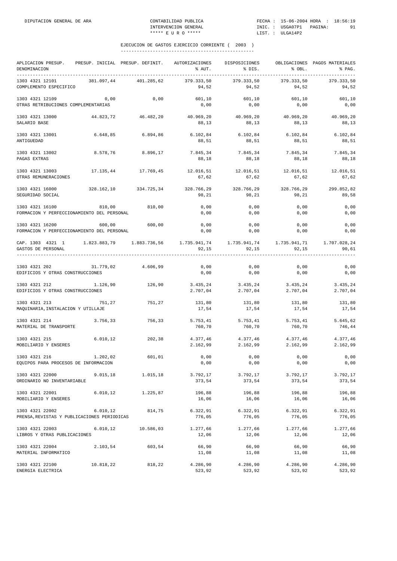| APLICACION PRESUP.<br>DENOMINACION<br>------------     | PRESUP. INICIAL PRESUP. DEFINIT.                                                  |            | AUTORIZACIONES<br>% AUT. | DISPOSICIONES<br>% DIS.       | % OBL.                         | OBLIGACIONES PAGOS MATERIALES<br>% PAG. |
|--------------------------------------------------------|-----------------------------------------------------------------------------------|------------|--------------------------|-------------------------------|--------------------------------|-----------------------------------------|
| 1303 4321 12101<br>COMPLEMENTO ESPECIFICO              | 381.097,44                                                                        | 401.285,62 | 379.333,50<br>94,52      | 379.333,50<br>94,52           | 379.333,50<br>94,52            | 379.333,50<br>94,52                     |
| 1303 4321 12109<br>OTRAS RETRIBUCIONES COMPLEMENTARIAS | 0,00                                                                              | 0,00       | 601,10<br>0,00           | 601,10<br>0,00                | 601,10<br>0,00                 | 601,10<br>0,00                          |
| 1303 4321 13000<br>SALARIO BASE                        | 44.823,72                                                                         | 46.482,20  | 88,13                    | 40.969,20 40.969,20<br>88,13  | 40.969,20<br>88,13             | 40.969,20<br>88,13                      |
| 1303 4321 13001<br>ANTIGUEDAD                          | 6.648,85                                                                          | 6.894,86   | 6.102,84<br>88,51        | 6.102,84<br>88,51             | 6.102, 84<br>88,51             | 6.102, 84<br>88,51                      |
| 1303 4321 13002<br>PAGAS EXTRAS                        | 8.578,76                                                                          | 8.896,17   | 7.845,34<br>88,18        | 7.845,34<br>88,18             | 7.845,34<br>88,18              | 7.845,34<br>88,18                       |
| 1303 4321 13003<br>OTRAS REMUNERACIONES                | 17.135,44                                                                         | 17.769,45  | 12.016,51<br>67,62       | 12.016,51<br>67,62            | 12.016,51<br>67,62             | 12.016,51<br>67,62                      |
| 1303 4321 16000<br>SEGURIDAD SOCIAL                    | 328.162,10                                                                        | 334.725,34 | 328.766,29<br>98,21      | 98,21                         | 328.766,29 328.766,29<br>98,21 | 299.852,82<br>89,58                     |
| 1303 4321 16100                                        | 810,00<br>FORMACION Y PERFECCIONAMIENTO DEL PERSONAL                              | 810,00     | 0,00<br>0,00             | 0,00<br>0,00                  | 0,00<br>0,00                   | 0,00<br>0,00                            |
| 1303 4321 16200                                        | 600,00<br>FORMACION Y PERFECCIONAMIENTO DEL PERSONAL                              | 600,00     | 0,00<br>0,00             | 0,00<br>0,00                  | 0,00<br>0,00                   | 0,00<br>0,00                            |
| GASTOS DE PERSONAL                                     | CAP. 1303 4321 1 1.823.883,79 1.883.736,56 1.735.941,74 1.735.941,74 1.735.941,71 |            | 92,15                    | 92,15                         | 92,15                          | 1.707.028,24<br>90,61                   |
| 1303 4321 202<br>EDIFICIOS Y OTRAS CONSTRUCCIONES      | 31.779,02                                                                         | 4.606,99   | 0,00<br>0,00             | 0,00<br>0,00                  | 0,00<br>0,00                   | 0,00<br>0,00                            |
| 1303 4321 212<br>EDIFICIOS Y OTRAS CONSTRUCCIONES      | 1.126,90                                                                          | 126,90     | 2.707,04                 | 3.435,24 3.435,24<br>2.707,04 | 3.435, 24<br>2.707,04          | 3.435,24<br>2.707,04                    |
| 1303 4321 213<br>MAQUINARIA, INSTALACION Y UTILLAJE    | 751,27                                                                            | 751,27     | 131,80<br>17,54          | 131,80<br>17,54               | 131,80<br>17,54                | 131,80<br>17,54                         |
| 1303 4321 214<br>MATERIAL DE TRANSPORTE                | 3.756,33                                                                          | 756,33     | 5.753,41<br>760,70       | 5.753,41<br>760,70            | 5.753,41<br>760,70             | 5.645,62<br>746,44                      |
| 1303 4321 215<br>MOBILIARIO Y ENSERES                  | 6.010, 12                                                                         | 202,38     | 4.377,46<br>2.162,99     | 4.377,46<br>2.162,99          | 4.377,46<br>2.162,99           | 4.377,46<br>2.162,99                    |
| 1303 4321 216<br>EQUIPOS PARA PROCESOS DE INFORMACION  | 1.202,02                                                                          | 601,01     | 0,00<br>0,00             | 0,00<br>0,00                  | 0,00<br>0,00                   | $0$ , $00$<br>0,00                      |
| 1303 4321 22000<br>ORDINARIO NO INVENTARIABLE          | 9.015, 18                                                                         | 1.015,18   | 3.792,17<br>373,54       | 3.792,17<br>373,54            | 3.792,17<br>373,54             | 3.792,17<br>373,54                      |
| 1303 4321 22001<br>MOBILIARIO Y ENSERES                | 6.010, 12                                                                         | 1.225,87   | 196,88<br>16,06          | 196,88<br>16,06               | 196,88<br>16,06                | 196,88<br>16,06                         |
| 1303 4321 22002                                        | 6.010, 12<br>PRENSA, REVISTAS Y PUBLICACIONES PERIODICAS                          | 814,75     | 6.322,91<br>776,05       | 6.322,91<br>776,05            | 6.322,91<br>776,05             | 6.322,91<br>776,05                      |
| 1303 4321 22003<br>LIBROS Y OTRAS PUBLICACIONES        | 6.010, 12                                                                         | 10.586,03  | 1.277,66<br>12,06        | 1.277,66<br>12,06             | 1.277,66<br>12,06              | 1.277,66<br>12,06                       |
| 1303 4321 22004<br>MATERIAL INFORMATICO                | 2.103,54                                                                          | 603,54     | 66,90<br>11,08           | 66,90<br>11,08                | 66,90<br>11,08                 | 66,90<br>11,08                          |
| 1303 4321 22100<br>ENERGIA ELECTRICA                   | 10.818,22                                                                         | 818,22     | 4.286,90<br>523,92       | 4.286,90<br>523,92            | 4.286,90<br>523,92             | 4.286,90<br>523,92                      |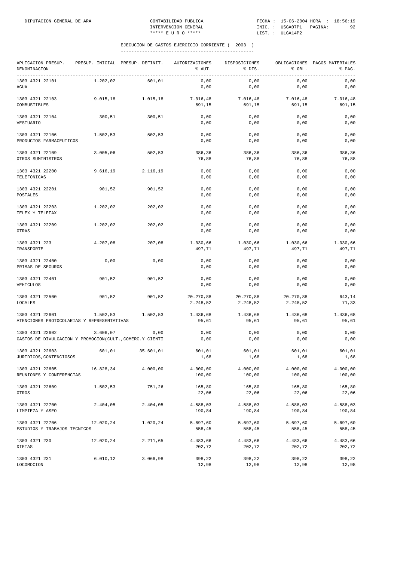| APLICACION PRESUP.<br>DENOMINACION                                          | PRESUP. INICIAL PRESUP. DEFINIT. |           | AUTORIZACIONES<br>% AUT. | DISPOSICIONES<br>% DIS. | % OBL.                | OBLIGACIONES PAGOS MATERIALES<br>% PAG. |
|-----------------------------------------------------------------------------|----------------------------------|-----------|--------------------------|-------------------------|-----------------------|-----------------------------------------|
| 1303 4321 22101<br>AGUA                                                     | 1.202,02                         | 601,01    | 0,00<br>0,00             | 0,00<br>0,00            | 0,00<br>0,00          | 0,00<br>0,00                            |
| 1303 4321 22103<br>COMBUSTIBLES                                             | 9.015, 18                        | 1.015,18  | 7.016,48<br>691,15       | 7.016,48<br>691,15      | 7.016,48<br>691,15    | 7.016,48<br>691,15                      |
| 1303 4321 22104<br>VESTUARIO                                                | 300,51                           | 300,51    | 0,00<br>0,00             | 0,00<br>0,00            | 0,00<br>0,00          | 0,00<br>0,00                            |
| 1303 4321 22106<br>PRODUCTOS FARMACEUTICOS                                  | 1.502,53                         | 502,53    | 0,00<br>0,00             | 0,00<br>0,00            | 0,00<br>0,00          | 0,00<br>0,00                            |
| 1303 4321 22109<br>OTROS SUMINISTROS                                        | 3.005,06                         | 502,53    | 386,36<br>76,88          | 386,36<br>76,88         | 386,36<br>76,88       | 386,36<br>76,88                         |
| 1303 4321 22200<br>TELEFONICAS                                              | 9.616, 19                        | 2.116,19  | 0,00<br>0,00             | 0,00<br>0,00            | 0,00<br>0,00          | 0,00<br>0,00                            |
| 1303 4321 22201<br>POSTALES                                                 | 901,52                           | 901,52    | 0,00<br>0,00             | 0,00<br>0,00            | 0,00<br>0,00          | 0,00<br>0,00                            |
| 1303 4321 22203<br>TELEX Y TELEFAX                                          | 1.202,02                         | 202,02    | 0,00<br>0,00             | 0,00<br>0,00            | 0,00<br>0,00          | 0,00<br>0,00                            |
| 1303 4321 22209<br>OTRAS                                                    | 1.202,02                         | 202,02    | 0,00<br>0,00             | 0,00<br>0,00            | 0,00<br>0,00          | 0,00<br>0,00                            |
| 1303 4321 223<br>TRANSPORTE                                                 | 4.207,08                         | 207,08    | 1.030,66<br>497,71       | 1.030,66<br>497,71      | 1.030,66<br>497,71    | 1.030,66<br>497,71                      |
| 1303 4321 22400<br>PRIMAS DE SEGUROS                                        | 0,00                             | 0,00      | 0,00<br>0,00             | 0,00<br>0,00            | 0,00<br>0,00          | 0,00<br>0,00                            |
| 1303 4321 22401<br>VEHICULOS                                                | 901,52                           | 901,52    | 0,00<br>0,00             | 0,00<br>0,00            | 0,00<br>0,00          | 0,00<br>0,00                            |
| 1303 4321 22500<br>LOCALES                                                  | 901,52                           | 901,52    | 20.270,88<br>2.248,52    | 20.270,88<br>2.248,52   | 20.270,88<br>2.248,52 | 643,14<br>71,33                         |
| 1303 4321 22601<br>ATENCIONES PROTOCOLARIAS Y REPRESENTATIVAS               | 1.502,53                         | 1.502,53  | 1.436,68<br>95,61        | 1.436,68<br>95,61       | 1.436,68<br>95,61     | 1.436,68<br>95,61                       |
| 1303 4321 22602<br>GASTOS DE DIVULGACION Y PROMOCION(CULT., COMERC.Y CIENTI | 3.606,07                         | 0,00      | 0,00<br>0,00             | 0,00<br>0,00            | 0,00<br>0,00          | 0,00<br>0,00                            |
| 1303 4321 22603<br>JURIDICOS, CONTENCIOSOS                                  | 601,01                           | 35.601,01 | 601,01<br>1,68           | 601,01<br>1,68          | 601,01<br>1,68        | 601,01<br>1,68                          |
| 1303 4321 22605<br>REUNIONES Y CONFERENCIAS                                 | 16.828,34                        | 4.000,00  | 4.000,00<br>100,00       | 4.000,00<br>100,00      | 4.000,00<br>100,00    | 4.000,00<br>100,00                      |
| 1303 4321 22609<br>OTROS                                                    | 1.502,53                         | 751,26    | 165,80<br>22,06          | 165,80<br>22,06         | 165,80<br>22,06       | 165,80<br>22,06                         |
| 1303 4321 22700<br>LIMPIEZA Y ASEO                                          | 2.404,05                         | 2.404,05  | 4.588,03<br>190,84       | 4.588,03<br>190,84      | 4.588,03<br>190,84    | 4.588,03<br>190,84                      |
| 1303 4321 22706<br>ESTUDIOS Y TRABAJOS TECNICOS                             | 12.020,24                        | 1.020,24  | 5.697,60<br>558,45       | 5.697,60<br>558,45      | 5.697,60<br>558,45    | 5.697,60<br>558,45                      |
| 1303 4321 230<br>DIETAS                                                     | 12.020,24                        | 2.211,65  | 4.483,66<br>202,72       | 4.483,66<br>202,72      | 4.483,66<br>202,72    | 4.483,66<br>202,72                      |
| 1303 4321 231<br>LOCOMOCION                                                 | 6.010, 12                        | 3.066,98  | 398,22<br>12,98          | 398,22<br>12,98         | 398,22<br>12,98       | 398,22<br>12,98                         |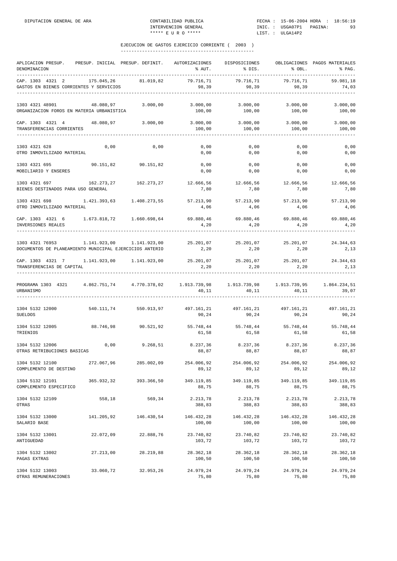| APLICACION PRESUP.<br>DENOMINACION                                                                            | PRESUP. INICIAL PRESUP. DEFINIT. |                       | AUTORIZACIONES<br>% AUT.                                | DISPOSICIONES<br>% DIS. | % OBL.               | OBLIGACIONES PAGOS MATERIALES<br>% PAG. |
|---------------------------------------------------------------------------------------------------------------|----------------------------------|-----------------------|---------------------------------------------------------|-------------------------|----------------------|-----------------------------------------|
| CAP. 1303 4321 2<br>GASTOS EN BIENES CORRIENTES Y SERVICIOS                                                   | 175.045,26                       | 81.019,82             | 79.716,71<br>98,39                                      | 79.716,71<br>98,39      | 79.716,71<br>98,39   | 59.981,18<br>74,03                      |
| 1303 4321 48901<br>ORGANIZACION FOROS EN MATERIA URBANISTICA                                                  | 48.080,97                        | 3.000,00              | 3.000,00<br>100,00                                      | 3.000,00<br>100,00      | 3.000,00<br>100,00   | 3.000,00<br>100,00                      |
| CAP. 1303 4321 4<br>TRANSFERENCIAS CORRIENTES                                                                 | 48.080,97                        | 3.000,00              | 3.000,00<br>100,00                                      | 3.000,00<br>100,00      | 3.000,00<br>100,00   | 3.000,00<br>100,00                      |
| 1303 4321 628<br>OTRO INMOVILIZADO MATERIAL                                                                   | 0,00                             | 0,00                  | 0,00<br>0,00                                            | 0,00<br>0,00            | 0,00<br>0,00         | 0,00<br>0,00                            |
| 1303 4321 695 90.151,82 90.151,82<br>MOBILIARIO Y ENSERES                                                     |                                  |                       | 0,00<br>0,00                                            | 0,00<br>0,00            | 0,00<br>0,00         | 0,00<br>0,00                            |
| 1303 4321 697<br>BIENES DESTINADOS PARA USO GENERAL                                                           | 162.273,27                       | 162.273,27            | 12.666,56<br>7,80                                       | 12.666,56<br>7,80       | 12.666,56<br>7,80    | 12.666,56<br>7,80                       |
| 1303 4321 698<br>OTRO INMOVILIZADO MATERIAL                                                                   | 1.421.393,63 1.408.273,55        |                       | 57.213,90<br>4,06                                       | 57.213,90<br>4,06       | 57.213,90<br>4,06    | 57.213,90<br>4,06                       |
| CAP. 1303 4321 6<br>INVERSIONES REALES                                                                        |                                  |                       | 69.880,46<br>4,20                                       | 69.880,46<br>4,20       | 69.880,46<br>4,20    | 69.880,46<br>4,20                       |
| 1303 4321 76953<br>DOCUMENTOS DE PLANEAMIENTO MUNICIPAL EJERCICIOS ANTERIO                                    | 1.141.923,00   1.141.923,00      |                       | 25.201,07<br>2,20                                       | 25.201,07<br>2,20       | 25.201,07<br>2, 20   | 24.344,63<br>2,13                       |
| CAP. 1303 4321 7 1.141.923,00 1.141.923,00<br>TRANSFERENCIAS DE CAPITAL                                       |                                  |                       | $25.201,07$ $25.201,07$ $25.201,07$ $24.344,63$<br>2,20 | 2, 20                   | 2, 20                | 2,13                                    |
| PROGRAMA 1303 4321 4.862.751,74 4.770.378,02 1.913.739,98 1.913.739,98 1.913.739,95 1.864.234,51<br>URBANISMO |                                  |                       | 40,11                                                   | 40,11                   | 40,11                | 39,07                                   |
| 1304 5132 12000<br><b>SUELDOS</b>                                                                             |                                  | 540.111,74 550.913,97 | 497.161,21 497.161,21 497.161,21<br>90,24               | 90,24                   | 90,24                | 497.161,21<br>90,24                     |
| 1304 5132 12005<br>TRIENIOS                                                                                   | 88.746,98                        | 90.521,92             | 55.748,44<br>61,58                                      | 55.748,44<br>61,58      | 55.748,44<br>61,58   | 55.748,44<br>61,58                      |
| 1304 5132 12006<br>OTRAS RETRIBUCIONES BASICAS                                                                | 0,00                             | 9.268, 51             | 8.237,36<br>88,87                                       | 8.237,36<br>88,87       | 8.237,36<br>88,87    | 8.237,36<br>88,87                       |
| 1304 5132 12100<br>COMPLEMENTO DE DESTINO                                                                     | 272.067,96                       | 285.002,09            | 254.006,92<br>89,12                                     | 254.006,92<br>89,12     | 254.006,92<br>89,12  | 254.006,92<br>89,12                     |
| 1304 5132 12101<br>COMPLEMENTO ESPECIFICO                                                                     | 365.932,32                       | 393.366,50            | 349.119,85<br>88,75                                     | 349.119,85<br>88,75     | 349.119,85<br>88,75  | 349.119,85<br>88,75                     |
| 1304 5132 12109<br>OTRAS                                                                                      | 558,18                           | 569,34                | 2.213,78<br>388,83                                      | 2.213,78<br>388,83      | 2.213,78<br>388,83   | 2.213,78<br>388,83                      |
| 1304 5132 13000<br>SALARIO BASE                                                                               | 141.205,92                       | 146.430,54            | 146.432,28<br>100,00                                    | 146.432,28<br>100,00    | 146.432,28<br>100,00 | 146.432,28<br>100,00                    |
| 1304 5132 13001<br>ANTIGUEDAD                                                                                 | 22.072,09                        | 22.888,76             | 23.740,82<br>103,72                                     | 23.740,82<br>103,72     | 23.740,82<br>103,72  | 23.740,82<br>103,72                     |
| 1304 5132 13002<br>PAGAS EXTRAS                                                                               | 27.213,00                        | 28.219,88             | 28.362,18<br>100,50                                     | 28.362,18<br>100,50     | 28.362,18<br>100,50  | 28.362,18<br>100,50                     |
| 1304 5132 13003<br>OTRAS REMUNERACIONES                                                                       | 33.060,72                        | 32.953,26             | 24.979,24<br>75,80                                      | 24.979,24<br>75,80      | 24.979,24<br>75,80   | 24.979,24<br>75,80                      |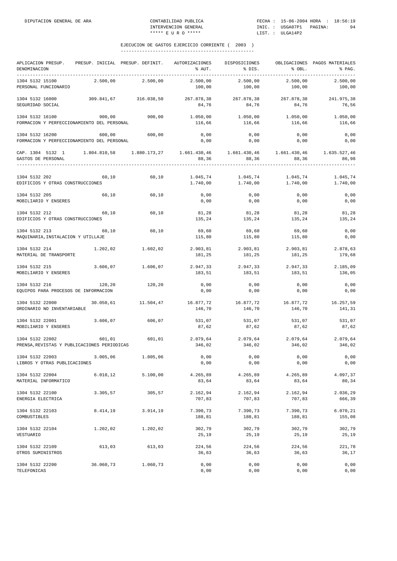| APLICACION PRESUP.<br>DENOMINACION<br>-----------------------------------                                            | PRESUP. INICIAL PRESUP. DEFINIT. |                       | AUTORIZACIONES<br>% AUT.          | DISPOSICIONES<br>% DIS.                                          | % OBL.               | OBLIGACIONES PAGOS MATERIALES<br>% PAG. |
|----------------------------------------------------------------------------------------------------------------------|----------------------------------|-----------------------|-----------------------------------|------------------------------------------------------------------|----------------------|-----------------------------------------|
| 1304 5132 15100<br>PERSONAL FUNCIONARIO                                                                              | 2.500,00                         | 2.500,00              | 2.500,00<br>100,00                | 2.500,00<br>100,00                                               | 2.500,00<br>100,00   | 2.500,00<br>100,00                      |
| 1304 5132 16000<br>SEGURIDAD SOCIAL                                                                                  |                                  | 309.841,67 316.038,50 | 267.878,38<br>84,76               | 267.878,38<br>84,76                                              | 267.878,38<br>84,76  | 241.975,38<br>76,56                     |
| 1304 5132 16100<br>FORMACION Y PERFECCIONAMIENTO DEL PERSONAL                                                        |                                  | 900,00 900,00         | 1.050,00 1.050,00<br>116,66       | 116,66                                                           | 1.050,00<br>116,66   | 1.050,00<br>116,66                      |
| 1304 5132 16200<br>FORMACION Y PERFECCIONAMIENTO DEL PERSONAL                                                        | 600,00                           | 600,00                | 0,00<br>0,00                      | 0,00<br>0,00                                                     | 0,00<br>0,00         | 0,00<br>0,00                            |
| CAP. 1304 5132 1 1.804.810,58 1.880.173,27 1.661.430,46 1.661.430,46 1.661.430,46 1.655.527,46<br>GASTOS DE PERSONAL |                                  |                       | 88,36                             | 88,36                                                            | 88,36                | 86,98                                   |
| 1304 5132 202<br>EDIFICIOS Y OTRAS CONSTRUCCIONES                                                                    | 60,10                            | 60,10                 | 1.045,74<br>1.740,00              | 1.045,74<br>1.740,00                                             | 1.045,74<br>1.740,00 | 1.045,74<br>1.740,00                    |
| 1304 5132 205<br>MOBILIARIO Y ENSERES                                                                                | 60,10                            | 60,10                 | 0,00<br>0,00                      | 0,00<br>0,00                                                     | 0,00<br>0,00         | 0,00<br>0,00                            |
| 1304 5132 212<br>EDIFICIOS Y OTRAS CONSTRUCCIONES                                                                    | 60,10                            | 60,10                 | 135,24                            | 81,28 81,28<br>135,24                                            | 81,28<br>135,24      | 81,28<br>135,24                         |
| 1304 5132 213<br>MAQUINARIA, INSTALACION Y UTILLAJE                                                                  | 60,10                            | 60,10                 | 69,60<br>115,80                   | 69,60<br>115,80                                                  | 69,60<br>115,80      | 0,00<br>0,00                            |
| 1304 5132 214<br>MATERIAL DE TRANSPORTE                                                                              | 1.202,02                         | 1.602,02              | $2.903, 81$ $2.903, 81$<br>181,25 | 181,25                                                           | 2.903,81<br>181,25   | 2.878,63<br>179,68                      |
| 1304 5132 215<br>MOBILIARIO Y ENSERES                                                                                | 3.606,07                         | 1.606,07              | 2.947,33<br>183,51                | 2.947,33<br>183,51                                               | 2.947,33<br>183,51   | 2.185,09<br>136,05                      |
| 1304 5132 216<br>EQUIPOS PARA PROCESOS DE INFORMACION                                                                | 120,20                           | 120, 20               | 0,00<br>0,00                      | 0,00<br>0,00                                                     | 0,00<br>0,00         | 0,00<br>0,00                            |
| 1304 5132 22000<br>ORDINARIO NO INVENTARIABLE                                                                        | 30.050, 61                       | 11.504,47             | 146,70                            | 16.877,72 16.877,72 16.877,72<br>146,70                          | 146,70               | 16.257,59<br>141,31                     |
| 1304 5132 22001<br>MOBILIARIO Y ENSERES                                                                              | 3.606,07                         | 606,07                | 531,07<br>87,62                   | 531,07<br>87,62                                                  | 531,07<br>87,62      | 531,07<br>87,62                         |
| 1304 5132 22002<br>PRENSA, REVISTAS Y PUBLICACIONES PERIODICAS                                                       | 601,01                           | 601,01                | 346,02                            | $2.079,64$ $2.079,64$ $2.079,64$ $2.079,64$ $2.079,64$<br>346,02 | 346,02               | 346,02                                  |
| 1304 5132 22003<br>LIBROS Y OTRAS PUBLICACIONES                                                                      | 3.005,06                         | 1.005,06              | 0,00<br>0,00                      | 0,00<br>0,00                                                     | 0,00<br>0,00         | 0,00<br>0,00                            |
| 1304 5132 22004<br>MATERIAL INFORMATICO                                                                              | 6.010, 12                        | 5.100,00              | 4.265,89<br>83,64                 | 4.265,89<br>83,64                                                | 4.265,89<br>83,64    | 4.097,37<br>80,34                       |
| 1304 5132 22100<br>ENERGIA ELECTRICA                                                                                 | 3.305,57                         | 305,57                | 2.162,94<br>707,83                | 2.162,94<br>707,83                                               | 2.162,94<br>707,83   | 2.036,29<br>666,39                      |
| 1304 5132 22103<br>COMBUSTIBLES                                                                                      | 8.414,19                         | 3.914,19              | 7.390,73<br>188,81                | 7.390,73<br>188,81                                               | 7.390,73<br>188,81   | 6.070,21<br>155,08                      |
| 1304 5132 22104<br>VESTUARIO                                                                                         | 1.202,02                         | 1.202,02              | 302,79<br>25,19                   | 302,79<br>25,19                                                  | 302,79<br>25,19      | 302,79<br>25,19                         |
| 1304 5132 22109<br>OTROS SUMINISTROS                                                                                 | 613,03                           | 613,03                | 224,56<br>36,63                   | 224,56<br>36,63                                                  | 224,56<br>36,63      | 221,78<br>36,17                         |
| 1304 5132 22200<br>TELEFONICAS                                                                                       | 36.060,73                        | 1.060,73              | 0,00<br>0,00                      | 0,00<br>0,00                                                     | 0,00<br>0,00         | 0,00<br>0,00                            |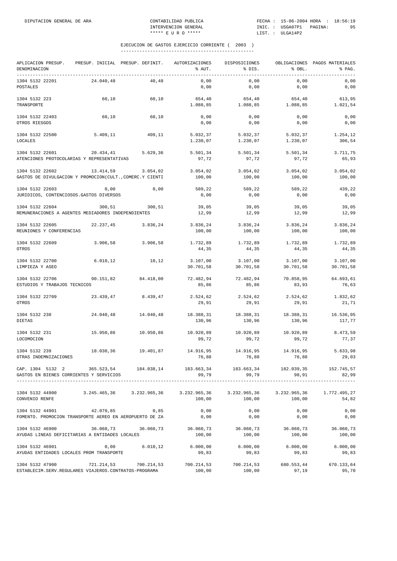| APLICACION PRESUP.<br>DENOMINACION<br>--------------------------------- | PRESUP. INICIAL PRESUP. DEFINIT.                                                   |           | AUTORIZACIONES<br>% AUT. | DISPOSICIONES<br>% DIS. | % OBL.                | OBLIGACIONES PAGOS MATERIALES<br>% PAG. |
|-------------------------------------------------------------------------|------------------------------------------------------------------------------------|-----------|--------------------------|-------------------------|-----------------------|-----------------------------------------|
| 1304 5132 22201<br>POSTALES                                             | 24.040,48                                                                          | 40,48     | 0,00<br>0,00             | 0,00<br>0,00            | 0,00<br>0,00          | 0,00<br>0,00                            |
| 1304 5132 223<br>TRANSPORTE                                             | 60,10                                                                              | 60,10     | 654,40<br>1.088,85       | 654,40<br>1.088,85      | 654,40<br>1.088,85    | 613,95<br>1.021,54                      |
| 1304 5132 22403<br>OTROS RIESGOS                                        | 60,10                                                                              | 60,10     | 0,00<br>0,00             | 0,00<br>0,00            | 0,00<br>0,00          | 0,00<br>0,00                            |
| 1304 5132 22500<br>LOCALES                                              | 5.409,11                                                                           | 409,11    | 5.032,37<br>1.230,07     | 5.032,37<br>1.230,07    | 5.032,37<br>1.230,07  | 1.254,12<br>306,54                      |
| 1304 5132 22601                                                         | 20.434,41<br>ATENCIONES PROTOCOLARIAS Y REPRESENTATIVAS                            | 5.629,36  | 5.501,34<br>97,72        | 5.501,34<br>97,72       | 5.501,34<br>97,72     | 3.711,75<br>65,93                       |
| 1304 5132 22602                                                         | 13.414,59<br>GASTOS DE DIVULGACION Y PROMOCION(CULT., COMERC.Y CIENTI              | 3.054,02  | 3.054,02<br>100,00       | 3.054,02<br>100,00      | 3.054,02<br>100,00    | 3.054,02<br>100,00                      |
| 1304 5132 22603<br>JURIDICOS, CONTENCIOSOS.GASTOS DIVERSOS              | 0,00                                                                               | 0,00      | 589,22<br>0,00           | 589,22<br>0,00          | 589,22<br>0,00        | 439,22<br>0,00                          |
| 1304 5132 22604                                                         | 300,51<br>REMUNERACIONES A AGENTES MEDIADORES INDEPENDIENTES                       | 300,51    | 39,05<br>12,99           | 39,05<br>12,99          | 39,05<br>12,99        | 39,05<br>12,99                          |
| 1304 5132 22605<br>REUNIONES Y CONFERENCIAS                             | 22.237,45                                                                          | 3.836,24  | 3.836,24<br>100,00       | 3.836,24<br>100,00      | 3.836,24<br>100,00    | 3.836,24<br>100,00                      |
| 1304 5132 22609<br>OTROS                                                | 3.906,58                                                                           | 3.906,58  | 1.732,89<br>44,35        | 1.732,89<br>44,35       | 1.732,89<br>44,35     | 1.732,89<br>44,35                       |
| 1304 5132 22700<br>LIMPIEZA Y ASEO                                      | 6.010, 12                                                                          | 10,12     | 3.107,00<br>30.701,58    | 3.107,00<br>30.701,58   | 3.107,00<br>30.701,58 | 3.107,00<br>30.701,58                   |
| 1304 5132 22706<br>ESTUDIOS Y TRABAJOS TECNICOS                         | 90.151,82                                                                          | 84.418,00 | 72.482,94<br>85,86       | 72.482,94<br>85,86      | 70.858,95<br>83,93    | 64.693,61<br>76,63                      |
| 1304 5132 22709<br>OTROS                                                | 23.439,47                                                                          | 8.439,47  | 2.524,62<br>29,91        | 2.524,62<br>29,91       | 2.524,62<br>29,91     | 1.832,62<br>21,71                       |
| 1304 5132 230<br><b>DIETAS</b>                                          | 24.040,48                                                                          | 14.040,48 | 18.388,31<br>130,96      | 18.388,31<br>130,96     | 18.388,31<br>130,96   | 16.536,05<br>117,77                     |
| 1304 5132 231<br>LOCOMOCION                                             | 15.950,86                                                                          | 10.950,86 | 10.920,89<br>99,72       | 10.920,89<br>99,72      | 10.920,89<br>99,72    | 8.473,59<br>77,37                       |
| 1304 5132 239<br>OTRAS INDEMNIZACIONES                                  | 18.030,36                                                                          | 19.401,87 | 14.916,95<br>76,88       | 14.916,95<br>76,88      | 14.916,95<br>76,88    | 5.633,98<br>29,03                       |
| GASTOS EN BIENES CORRIENTES Y SERVICIOS                                 | CAP. 1304 5132 2 365.523,54 184.038,14 183.663,34 183.663,34 182.039,35 152.745,57 |           | 99,79                    | 99,79                   | 98,91                 | 82,99                                   |
| 1304 5132 44900<br>CONVENIO RENFE                                       | 3.245.465,36 3.232.965,36 3.232.965,36 3.232.965,36 3.232.965,36 1.772.495,27      |           | 100,00                   | 100,00                  | 100,00                | 54,82                                   |
| 1304 5132 44901                                                         | 42.070,85<br>FOMENTO. PROMOCION TRANSPORTE AEREO EN AEROPUERTO DE ZA               | 0,85      | 0,00<br>0,00             | 0,00<br>0,00            | 0,00<br>0,00          | 0,00<br>0,00                            |
| 1304 5132 46900                                                         | 36.060,73<br>AYUDAS LINEAS DEFICITARIAS A ENTIDADES LOCALES                        | 36.060,73 | 36.060,73<br>100,00      | 36.060,73<br>100,00     | 36.060,73<br>100,00   | 36.060,73<br>100,00                     |
| 1304 5132 46901<br>AYUDAS ENTIDADES LOCALES PROM TRANSPORTE             | 0,00                                                                               | 6.010,12  | 6.000,00<br>99,83        | 6.000,00<br>99,83       | 6.000,00<br>99,83     | 6.000,00<br>99,83                       |
| 1304 5132 47900                                                         | 721.214,53 700.214,53<br>ESTABLECIM. SERV. REGULARES VIAJEROS. CONTRATOS-PROGRAMA  |           | 700.214,53<br>100,00     | 700.214,53<br>100,00    | 680.553,44<br>97,19   | 670.133,64<br>95,70                     |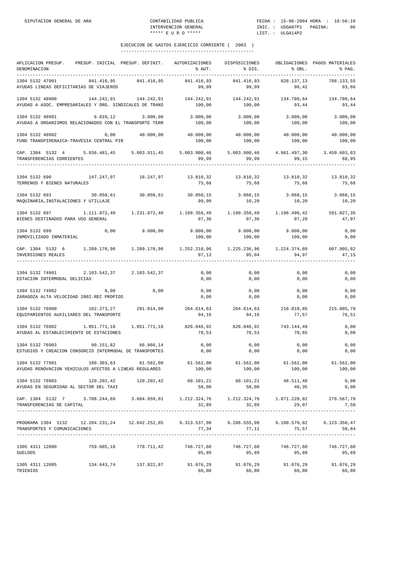| APLICACION PRESUP. PRESUP. INICIAL PRESUP. DEFINIT. AUTORIZACIONES<br>DENOMINACION                                                                                                                                                                                                                                                                                     |                                                                                            |                       | % AUT.                                                                                      | DISPOSICIONES<br>% DIS.                                                     | % OBL.              | OBLIGACIONES PAGOS MATERIALES<br>% PAG. |
|------------------------------------------------------------------------------------------------------------------------------------------------------------------------------------------------------------------------------------------------------------------------------------------------------------------------------------------------------------------------|--------------------------------------------------------------------------------------------|-----------------------|---------------------------------------------------------------------------------------------|-----------------------------------------------------------------------------|---------------------|-----------------------------------------|
| 1304 5132 47901<br>AYUDAS LINEAS DEFICITARIAS DE VIAJEROS                                                                                                                                                                                                                                                                                                              |                                                                                            | 841.416,95 841.416,95 | 841.416,93<br>99,99                                                                         | 841.416,93<br>99,99                                                         | 828.137,13<br>98,42 | 788.133,55<br>93,66                     |
| 1304 5132 48900<br>AYUDAS A ASOC. EMPRESARIALES Y ORG. SINDICALES DE TRANS                                                                                                                                                                                                                                                                                             | $144.242.91$ $144.242.91$ $144.242.91$ $144.242.91$ $144.242.91$ $134.780.64$ $134.780.64$ |                       |                                                                                             | 100,00 100,00                                                               | 93,44               | 93,44                                   |
| 1304 5132 48901<br>AYUDAS A ORGANISMOS RELACIONADOS CON EL TRANSPORTE TERR                                                                                                                                                                                                                                                                                             | $6.010, 12$ 3.000,00                                                                       |                       | 3.000,00<br>100,00                                                                          | 3.000,00<br>100,00                                                          | 3.000,00<br>100,00  | 3.000,00<br>100,00                      |
| 1304 5132 48902<br>FUND TRANSPIRENAICA-TRAVESIA CENTRAL PIR                                                                                                                                                                                                                                                                                                            | $0\,,00$ $40\,.000\,,00$ $40\,.000\,,00$ $40\,.000\,,00$ $40\,.000\,,00$ $40\,.000\,,00$   |                       | 100,00                                                                                      | 100,00                                                                      | 100,00              | 100,00                                  |
| CAP. 1304 5132 4 5.036.481,45 5.003.911,45 5.003.900,46 5.003.900,46 4.961.497,30 3.450.603,83<br>TRANSFERENCIAS CORRIENTES 99,99 99,99 99,99 99,99 99,15 68,95                                                                                                                                                                                                        |                                                                                            |                       |                                                                                             |                                                                             |                     |                                         |
| $1304 \quad 5132 \quad 690 \qquad \qquad 147.247, 97 \qquad \qquad 18.247, 97 \qquad \qquad 13.810, 32 \qquad \qquad 13.810, 32 \qquad \qquad 13.810, 32$<br>TERRENOS Y BIENES NATURALES                                                                                                                                                                               |                                                                                            |                       | 75,68                                                                                       | 75,68                                                                       | 75,68               | 13.810,32<br>75,68                      |
| 1304 5132 693<br>MAQUINARIA, INSTALACIONES Y UTILLAJE                                                                                                                                                                                                                                                                                                                  |                                                                                            |                       | $30.050,61$ $30.050,61$ $30.050,15$ $3.068,15$ $3.068,15$<br>99,99                          | 10, 20                                                                      | 10, 20              | 3.068,15<br>10,20                       |
| $1304 \hspace{0.2cm} 591 \hspace{0.2cm} 591 \hspace{0.2cm} 027 \hspace{0.2cm} 1.111 \hspace{0.2cm} 872 \hspace{0.2cm} 40 \hspace{0.2cm} 1.231 \hspace{0.2cm} 872 \hspace{0.2cm} 40 \hspace{0.2cm} 1.199 \hspace{0.2cm} 358 \hspace{0.2cm} 49 \hspace{0.2cm} 1.199 \hspace{0.2cm} 358 \hspace{0.2cm} 49 \hspace{0.2cm} 1.199 \hs$<br>BIENES DESTINADOS PARA USO GENERAL |                                                                                            |                       | 97,36                                                                                       | 97,36                                                                       | 97,29               | 47,97                                   |
| 1304 5132 699<br>INMOVILIZADO INMATERIAL                                                                                                                                                                                                                                                                                                                               | $0,00$ $9.000,00$ $9.000,00$ $9.000,00$ $9.000,00$ $9.000,00$                              |                       | 100,00                                                                                      | 100,00                                                                      | 100,00              | 0,00<br>0,00                            |
| CAP. 1304 5132 6 1.289.170,98 1.289.170,98 1.252.218,96 1.225.236,96 1.224.374,89 607.905,82<br>INVERSIONES REALES 97,13 95,04 94,97 47,15                                                                                                                                                                                                                             |                                                                                            |                       |                                                                                             |                                                                             |                     |                                         |
| 1304 5132 74901 2.103.542,37 2.103.542,37<br>ESTACION INTERMODAL DELICIAS                                                                                                                                                                                                                                                                                              |                                                                                            |                       | 0,00<br>0,00                                                                                | $\begin{array}{c} 0 \, , \, 0 \, 0 \, \ 0 \, \, , \, 0 \, 0 \, \end{array}$ | 0,00<br>0,00        | 0,00<br>0,00                            |
| 1304 5132 74902<br>ZARAGOZA ALTA VELOCIDAD 2002.REC PROPIOS                                                                                                                                                                                                                                                                                                            | 0,00                                                                                       | 0,00                  | 0,00<br>0,00                                                                                | 0,00<br>0,00                                                                | 0,00<br>0,00        | 0,00<br>0,00                            |
| $1304 \quad 5132 \quad 76900$ $162.273.27$ $281.014.90$ $264.614.63$ $264.614.63$ $264.614.63$ $218.010.85$ $218.010.85$ $215.005.79$<br>EQUIPAMIENTOS AUXILIARES DEL TRANSPORTE                                                                                                                                                                                       |                                                                                            |                       | 94,16                                                                                       | 94,16                                                                       | 77,57               | 76,51                                   |
| 1304 5132 76902 1.051.771,18 1.051.771,18 826.046,92 826.046,92 743.144,49<br>AYUDAS AL ESTABLECIMIENTO DE ESTACIONES                                                                                                                                                                                                                                                  |                                                                                            |                       | 78,53                                                                                       | 78,53                                                                       | 70,65               | 0,00<br>0,00                            |
| 1304 5132 76903<br>ESTUDIOS Y CREACION CONSORCIO INTERMODAL DE TRANSPORTES                                                                                                                                                                                                                                                                                             | 90.151,82                                                                                  | 66.866,14             | 0,00<br>0,00                                                                                | $0$ , $00$<br>0,00                                                          | 0,00<br>0,00        | 0,00<br>0,00                            |
| 1304 5132 77901 180.303,63 61.562,00 61.562,00 61.562,00 61.562,00 61.562,00<br>AYUDAS RENOVACION VEHICULOS AFECTOS A LINEAS REGULARES                                                                                                                                                                                                                                 |                                                                                            |                       | 100,00                                                                                      | 100,00                                                                      | 100,00              | 61.562,00<br>100,00                     |
| $120.202.42 \t\t 120.202.42 \t\t 120.202.42 \t\t 60.101.21 \t\t 60.101.21 \t\t 48.511.48$<br>AYUDAS EN SEGURIDAD AL SECTOR DEL TAXI                                                                                                                                                                                                                                    |                                                                                            |                       | 50,00                                                                                       | 50,00                                                                       | 40,35               | 0,00<br>0,00                            |
| CAP. 1304 5132 7 3.708.244,69 3.684.959,01 1.212.324,76 1.212.324,76 1.071.228,82 276.567,79<br>TRANSFERENCIAS DE CAPITAL                                                                                                                                                                                                                                              |                                                                                            |                       |                                                                                             | 32,89 32,89                                                                 | 29,07               | 7,50                                    |
| PROGRAMA 1304 5132<br>TRANSPORTES Y COMUNICACIONES                                                                                                                                                                                                                                                                                                                     |                                                                                            |                       | $12.204.231.24$ $12.042.252.85$ $9.313.537.98$ $9.286.555.98$ $9.100.570.82$ $6.123.350.47$ | $77,34$ $77,11$ $75,57$                                                     |                     | 50,84                                   |
| $1305$ 4311 12000 $146.727,60$ 759.085,18 778.711,42 746.727,60 746.727,60 746.727,60 746.727,60 746.727,60<br><b>SUELDOS</b>                                                                                                                                                                                                                                          |                                                                                            |                       | 95,89                                                                                       | 95,89                                                                       | 95,89               | 95,89                                   |
| $1305 \quad 4311 \quad 12005 \quad 134.643 \, , 74 \quad 137.822 \, , 87 \quad 91.076 \, , 29 \quad 91.076 \, , 29 \quad 91.076 \, , 29 \quad 91.076 \, , 29 \quad 91.076 \, , 29$<br>TRIENIOS                                                                                                                                                                         |                                                                                            |                       | 66,08                                                                                       | 66,08                                                                       | 66,08               | 66,08                                   |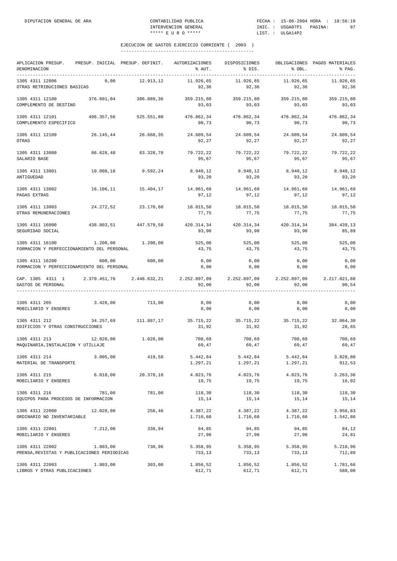| APLICACION PRESUP.<br>DENOMINACION<br>----------------------------------- | PRESUP. INICIAL PRESUP. DEFINIT. |                     | AUTORIZACIONES<br>% AUT. | <b>DISPOSICIONES</b><br>% DIS. | % OBL.                             | OBLIGACIONES PAGOS MATERIALES<br>% PAG. |
|---------------------------------------------------------------------------|----------------------------------|---------------------|--------------------------|--------------------------------|------------------------------------|-----------------------------------------|
| 1305 4311 12006<br>OTRAS RETRIBUCIONES BASICAS                            | 0,00                             | 12.913,12           | 11.926,65<br>92,36       | 11.926,65<br>92,36             | 11.926,65<br>92,36                 | 11.926,65<br>92,36                      |
| 1305 4311 12100<br>COMPLEMENTO DE DESTINO                                 | 376.601,04                       | 386.089,36          | 359.215,80<br>93,03      | 359.215,80<br>93,03            | 359.215,80<br>93,03                | 359.215,80<br>93,03                     |
| 1305 4311 12101<br>COMPLEMENTO ESPECIFICO                                 | 496.357,56                       | 525.551,80          | 476.862,34<br>90,73      | 476.862,34<br>90,73            | 476.862,34<br>90,73                | 476.862,34<br>90,73                     |
| 1305 4311 12109<br>OTRAS                                                  |                                  | 26.145,44 26.668,35 | 24.609,54<br>92,27       | 24.609,54<br>92,27             | 24.609,54<br>92,27                 | 24.609,54<br>92,27                      |
| 1305 4311 13000<br>SALARIO BASE                                           | 86.628,48                        | 83.328,70           | 79.722,22<br>95,67       | 79.722,22<br>95,67             | 79.722,22<br>95,67                 | 79.722.22<br>95,67                      |
| 1305 4311 13001<br>ANTIGUEDAD                                             | 10.008,18                        | 9.592,24            | 8.940,12<br>93,20        | 8.940,12<br>93,20              | 8.940,12<br>93,20                  | 8.940,12<br>93,20                       |
| 1305 4311 13002<br>PAGAS EXTRAS                                           |                                  | 16.106,11 15.404,17 | 14.961,69<br>97,12       | 14.961.69 14.961.69<br>97,12   | 97,12                              | 14.961,69<br>97,12                      |
| 1305 4311 13003<br>OTRAS REMUNERACIONES                                   |                                  | 24.272,52 23.170,60 | 18.015,50<br>77,75       | 18.015,50<br>77,75             | 18.015,50<br>77,75                 | 18.015,50<br>77,75                      |
| 1305 4311 16000<br>SEGURIDAD SOCIAL                                       | 438.803,51                       | 447.579,58          | 420.314,34<br>93,90      | 420.314,34<br>93,90            | 420.314,34<br>93,90                | 384.439,13<br>85,89                     |
| 1305 4311 16100<br>FORMACION Y PERFECCIONAMIENTO DEL PERSONAL             | 1.200,00                         | 1.200,00            | 525,00<br>43,75          | 525,00<br>43,75                | 525,00<br>43,75                    | 525,00<br>43,75                         |
| 1305 4311 16200<br>FORMACION Y PERFECCIONAMIENTO DEL PERSONAL             | 600,00                           | 600,00              | 0,00<br>0,00             | 0,00<br>0,00                   | 0,00<br>0,00                       | 0,00<br>0,00                            |
| CAP. 1305 4311 1 2.370.451,76 2.448.632,21<br>GASTOS DE PERSONAL          |                                  |                     | 2.252.897,09<br>92,00    | 92,00                          | 2.252.897,09 2.252.897,09<br>92,00 | 2.217.021,88<br>90,54                   |
| 1305 4311 205<br>MOBILIARIO Y ENSERES                                     | 3.426,00                         | 713,00              | 0,00<br>0,00             | 0,00<br>0,00                   | 0,00<br>0,00                       | 0,00<br>0,00                            |
| 1305 4311 212<br>EDIFICIOS Y OTRAS CONSTRUCCIONES                         | 34.257,69                        | 111.887,17          | 35.715,22<br>31,92       | 35.715,22<br>31,92             | 31,92                              | 35.715,22 32.064,30<br>28,65            |
| 1305 4311 213<br>MAQUINARIA, INSTALACION Y UTILLAJE                       | 12.020,00                        | 1.020,00            | 708,69<br>69,47          | 708,69<br>69,47                | 708,69<br>69,47                    | 708,69<br>69,47                         |
| 1305 4311 214<br>MATERIAL DE TRANSPORTE                                   | 3.005,00                         | 419,58              | 5.442,84<br>1.297,21     | 5.442,84<br>1.297,21           | 5.442,84<br>1.297,21               | 3.828,80<br>912,53                      |
| 1305 4311 215<br>MOBILIARIO Y ENSERES                                     | 6.010,00                         | 20.370,10           | 4.023,76<br>19,75        | 4.023,76<br>19,75              | 4.023,76<br>19,75                  | 3.263,36<br>16,02                       |
| 1305 4311 216<br>EQUIPOS PARA PROCESOS DE INFORMACION                     | 781,00                           | 781,00              | 118,30<br>15,14          | 118,30<br>15,14                | 118,30<br>15,14                    | 118,30<br>15,14                         |
| 1305 4311 22000<br>ORDINARIO NO INVENTARIABLE                             | 12.020,00                        | 256,46              | 4.387,22<br>1.710,68     | 4.387,22<br>1.710,68           | 4.387,22<br>1.710,68               | 3.956,83<br>1.542,86                    |
| 1305 4311 22001<br>MOBILIARIO Y ENSERES                                   | 7.212,00                         | 338,94              | 94,85<br>27,98           | 94,85<br>27,98                 | 94,85<br>27,98                     | 84,12<br>24,81                          |
| 1305 4311 22002<br>PRENSA, REVISTAS Y PUBLICACIONES PERIODICAS            | 1.803,00                         | 730,96              | 5.358,95<br>733,13       | 5.358,95<br>733,13             | 5.358,95<br>733,13                 | 5.210,96<br>712,89                      |
| 1305 4311 22003<br>LIBROS Y OTRAS PUBLICACIONES                           | 1.803,00                         | 303,00              | 1.856,52<br>612,71       | 1.856,52<br>612,71             | 1.856,52<br>612,71                 | 1.781,66<br>588,00                      |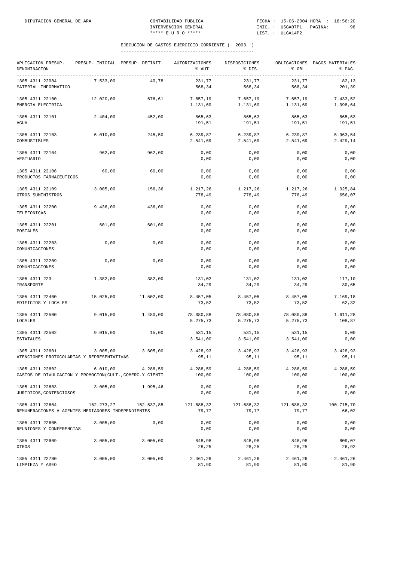| APLICACION PRESUP.<br>DENOMINACION                                            |            | PRESUP. INICIAL PRESUP. DEFINIT. | AUTORIZACIONES<br>% AUT. | DISPOSICIONES<br>% DIS. | % OBL.                | OBLIGACIONES PAGOS MATERIALES<br>% PAG. |
|-------------------------------------------------------------------------------|------------|----------------------------------|--------------------------|-------------------------|-----------------------|-----------------------------------------|
| ----------------------------------<br>1305 4311 22004<br>MATERIAL INFORMATICO | 7.533,00   | 40,78                            | 231,77<br>568,34         | 231,77<br>568,34        | 231,77<br>568,34      | 82,13<br>201,39                         |
| 1305 4311 22100<br>ENERGIA ELECTRICA                                          | 12.020,00  | 676,61                           | 7.657,19<br>1.131,69     | 7.657,19<br>1.131,69    | 7.657,19<br>1.131,69  | 7.433,52<br>1.098,64                    |
| 1305 4311 22101<br>AGUA                                                       | 2.404,00   | 452,00                           | 865,63<br>191,51         | 865,63<br>191,51        | 865,63<br>191,51      | 865,63<br>191,51                        |
| 1305 4311 22103<br>COMBUSTIBLES                                               | 6.010,00   | 245,50                           | 6.239,87<br>2.541,69     | 6.239,87<br>2.541,69    | 6.239,87<br>2.541,69  | 5.963,54<br>2.429,14                    |
| 1305 4311 22104<br>VESTUARIO                                                  | 962,00     | 962,00                           | 0,00<br>0,00             | 0,00<br>0,00            | 0,00<br>0,00          | 0,00<br>0,00                            |
| 1305 4311 22106<br>PRODUCTOS FARMACEUTICOS                                    | 60,00      | 60,00                            | 0,00<br>0,00             | 0,00<br>0,00            | 0,00<br>0,00          | 0,00<br>0,00                            |
| 1305 4311 22109<br>OTROS SUMINISTROS                                          | 3.005,00   | 156,36                           | 1.217,26<br>778,49       | 1.217,26<br>778,49      | 1.217,26<br>778,49    | 1.025,84<br>656,07                      |
| 1305 4311 22200<br>TELEFONICAS                                                | 9.436,00   | 436,00                           | 0,00<br>0,00             | 0,00<br>0,00            | 0,00<br>0,00          | 0,00<br>0,00                            |
| 1305 4311 22201<br>POSTALES                                                   | 601,00     | 601,00                           | 0,00<br>0,00             | 0,00<br>0,00            | 0,00<br>0,00          | 0,00<br>0,00                            |
| 1305 4311 22203<br>COMUNICACIONES                                             | 0,00       | 0,00                             | 0,00<br>0,00             | 0,00<br>0,00            | 0,00<br>0,00          | 0,00<br>0,00                            |
| 1305 4311 22209<br>COMUNICACIONES                                             | 0,00       | 0,00                             | 0,00<br>0,00             | 0,00<br>0,00            | 0,00<br>0,00          | 0,00<br>0,00                            |
| 1305 4311 223<br>TRANSPORTE                                                   | 1.382,00   | 382,00                           | 131,02<br>34,29          | 131,02<br>34,29         | 131,02<br>34,29       | 117,10<br>30,65                         |
| 1305 4311 22400<br>EDIFICIOS Y LOCALES                                        | 15.025,00  | 11.502,00                        | 8.457,05<br>73,52        | 8.457,05<br>73,52       | 8.457,05<br>73,52     | 7.169,18<br>62,32                       |
| 1305 4311 22500<br>LOCALES                                                    | 9.015,00   | 1.480,00                         | 78.080,88<br>5.275,73    | 78.080,88<br>5.275,73   | 78.080,88<br>5.275,73 | 1.611,28<br>108,87                      |
| 1305 4311 22502<br><b>ESTATALES</b>                                           | 9.015,00   | 15,00                            | 531,15<br>3.541,00       | 531,15<br>3.541,00      | 531,15<br>3.541,00    | 0,00<br>0,00                            |
| 1305 4311 22601<br>ATENCIONES PROTOCOLARIAS Y REPRESENTATIVAS                 | 3.005,00   | 3.605,00                         | 3.428,93<br>95,11        | 3.428,93<br>95,11       | 3.428,93<br>95,11     | 3.428,93<br>95,11                       |
| 1305 4311 22602<br>GASTOS DE DIVULGACION Y PROMOCION(CULT., COMERC.Y CIENTI   | 6.010,00   | 4.288,59                         | 4.288,59<br>100,00       | 4.288,59<br>100,00      | 4.288,59<br>100,00    | 4.288,59<br>100,00                      |
| 1305 4311 22603<br>JURIDICOS, CONTENCIOSOS                                    | 3.005,00   | 1.995,46                         | 0,00<br>0,00             | 0,00<br>0,00            | 0,00<br>0,00          | 0,00<br>0,00                            |
| 1305 4311 22604<br>REMUNERACIONES A AGENTES MEDIADORES INDEPENDIENTES         | 162.273,27 | 152.537,85                       | 121.688,32<br>79,77      | 121.688,32<br>79,77     | 121.688,32<br>79,77   | 100.715,70<br>66,02                     |
| 1305 4311 22605<br>REUNIONES Y CONFERENCIAS                                   | 3.005,00   | 0,00                             | 0,00<br>0,00             | 0,00<br>0,00            | 0,00<br>0,00          | 0,00<br>0,00                            |
| 1305 4311 22609<br>OTROS                                                      | 3.005,00   | 3.005,00                         | 848,98<br>28,25          | 848,98<br>28,25         | 848,98<br>28,25       | 809,07<br>26,92                         |
| 1305 4311 22700<br>LIMPIEZA Y ASEO                                            | 3.005,00   | 3.005,00                         | 2.461,26<br>81,90        | 2.461,26<br>81,90       | 2.461,26<br>81,90     | 2.461,26<br>81,90                       |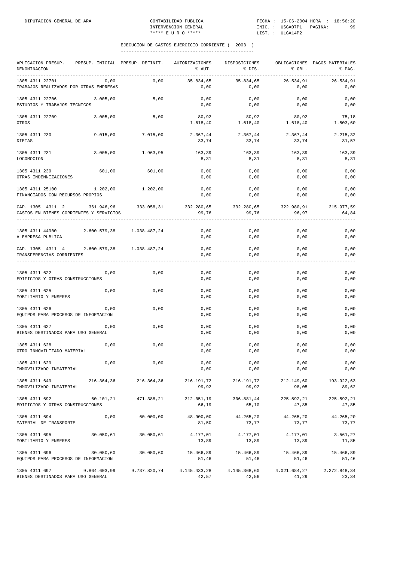| APLICACION PRESUP.<br>DENOMINACION                                                                      | PRESUP. INICIAL PRESUP. DEFINIT. |                           | AUTORIZACIONES<br>% AUT. | DISPOSICIONES<br>% DIS. | % OBL.                | OBLIGACIONES PAGOS MATERIALES<br>% PAG. |
|---------------------------------------------------------------------------------------------------------|----------------------------------|---------------------------|--------------------------|-------------------------|-----------------------|-----------------------------------------|
| 1305 4311 22701<br>TRABAJOS REALIZADOS POR OTRAS EMPRESAS                                               | 0,00                             | 0,00                      | 35.834,65<br>0,00        | 35.834,65<br>0,00       | 26.534,91<br>0,00     | 26.534,91<br>0,00                       |
| 1305 4311 22706<br>ESTUDIOS Y TRABAJOS TECNICOS                                                         | 3.005,00                         | 5,00                      | 0,00<br>0,00             | 0,00<br>0,00            | 0,00<br>0,00          | 0,00<br>0,00                            |
| 1305 4311 22709<br>OTROS                                                                                | 3.005,00                         | 5,00                      | 80,92<br>1.618,40        | 80,92<br>1.618,40       | 80,92<br>1.618,40     | 75,18<br>1.503,60                       |
| 1305 4311 230<br>DIETAS                                                                                 | 9.015,00                         | 7.015,00                  | 2.367,44<br>33,74        | 2.367,44<br>33,74       | 2.367,44<br>33,74     | 2.215,32<br>31,57                       |
| 1305 4311 231<br>LOCOMOCION                                                                             | 3.005,00                         | 1.963,95                  | 163,39<br>8,31           | 163,39<br>8,31          | 163,39<br>8,31        | 163,39<br>8,31                          |
| 1305 4311 239<br>OTRAS INDEMNIZACIONES                                                                  | 601,00                           | 601,00                    | 0,00<br>0,00             | 0,00<br>0,00            | 0,00<br>0,00          | 0,00<br>0,00                            |
| 1305 4311 25100 1.202,00 1.202,00<br>FINANCIADOS CON RECURSOS PROPIOS                                   |                                  |                           | 0,00<br>0,00             | 0,00<br>0,00            | 0,00<br>0,00          | 0,00<br>0,00                            |
| CAP. 1305 4311 2 361.946,96 333.058,31 332.280,65 332.280,65<br>GASTOS EN BIENES CORRIENTES Y SERVICIOS |                                  |                           | 99,76                    | 99,76                   | 322.980,91<br>96,97   | 215.977,59<br>64,84                     |
| 1305 4311 44900<br>A EMPRESA PUBLICA                                                                    |                                  | 2.600.579,38 1.038.487,24 | 0,00<br>0,00             | 0,00<br>0,00            | 0,00<br>0,00          | 0,00<br>0,00                            |
| CAP. 1305 4311 4 2.600.579,38 1.038.487,24<br>TRANSFERENCIAS CORRIENTES                                 |                                  |                           | 0,00<br>0,00             | 0,00<br>0,00            | 0,00<br>0,00          | 0,00<br>0,00                            |
| 1305 4311 622<br>EDIFICIOS Y OTRAS CONSTRUCCIONES                                                       | 0,00                             | 0,00                      | 0,00<br>0,00             | 0,00<br>0,00            | 0,00<br>0,00          | 0,00<br>0,00                            |
| 1305 4311 625<br>MOBILIARIO Y ENSERES                                                                   | 0,00                             | 0,00                      | 0,00<br>0,00             | 0,00<br>0,00            | 0,00<br>0,00          | 0,00<br>0,00                            |
| 1305 4311 626<br>EQUIPOS PARA PROCESOS DE INFORMACION                                                   | 0,00                             | 0,00                      | 0,00<br>0,00             | 0,00<br>0,00            | 0,00<br>0,00          | 0,00<br>0,00                            |
| 1305 4311 627<br>BIENES DESTINADOS PARA USO GENERAL                                                     | 0,00                             | 0,00                      | 0,00<br>0,00             | 0,00<br>0,00            | 0,00<br>0,00          | 0,00<br>0,00                            |
| 1305 4311 628<br>OTRO INMOVILIZADO MATERIAL                                                             | 0,00                             | 0,00                      | 0,00<br>0,00             | 0,00<br>0,00            | 0,00<br>0,00          | 0,00<br>0,00                            |
| 1305 4311 629<br>INMOVILIZADO INMATERIAL                                                                | 0,00                             | 0,00                      | 0,00<br>0,00             | 0,00<br>0,00            | 0,00<br>0,00          | 0,00<br>0,00                            |
| 1305 4311 649<br>INMOVILIZADO INMATERIAL                                                                | 216.364,36                       | 216.364,36                | 216.191,72<br>99,92      | 216.191,72<br>99,92     | 212.149,60<br>98,05   | 193.922,63<br>89,62                     |
| 1305 4311 692<br>EDIFICIOS Y OTRAS CONSTRUCCIONES                                                       | 60.101,21                        | 471.388,21                | 312.051,19<br>66,19      | 306.881,44<br>65,10     | 225.592,21<br>47,85   | 225.592,21<br>47,85                     |
| 1305 4311 694<br>MATERIAL DE TRANSPORTE                                                                 | 0,00                             | 60.000,00                 | 48.900,00<br>81,50       | 44.265,20<br>73,77      | 44.265,20<br>73,77    | 44.265,20<br>73,77                      |
| 1305 4311 695<br>MOBILIARIO Y ENSERES                                                                   | 30.050,61                        | 30.050,61                 | 4.177,01<br>13,89        | 4.177,01<br>13,89       | 4.177,01<br>13,89     | 3.561,27<br>11,85                       |
| 1305 4311 696<br>EQUIPOS PARA PROCESOS DE INFORMACION                                                   | 30.050,60                        | 30.050,60                 | 15.466,89<br>51,46       | 15.466,89<br>51,46      | 15.466,89<br>51,46    | 15.466,89<br>51,46                      |
| 1305 4311 697<br>BIENES DESTINADOS PARA USO GENERAL                                                     | 9.864.603,99                     | 9.737.820,74              | 4.145.433,28<br>42,57    | 4.145.368,60<br>42,56   | 4.021.684,27<br>41,29 | 2.272.848,34<br>23,34                   |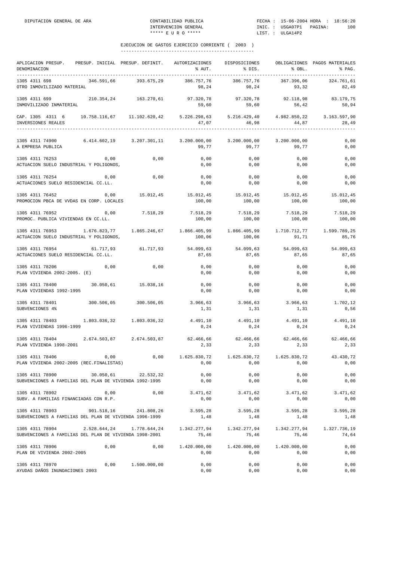| APLICACION PRESUP. PRESUP. INICIAL PRESUP. DEFINIT. AUTORIZACIONES DISPOSICIONES OBLIGACIONES PAGOS MATERIALES<br>DENOMINACION                  |                                                         |              | % AUT.                                                                                                                                                                               | % DIS.                      | $8$ OBL.                  | % PAG.                         |
|-------------------------------------------------------------------------------------------------------------------------------------------------|---------------------------------------------------------|--------------|--------------------------------------------------------------------------------------------------------------------------------------------------------------------------------------|-----------------------------|---------------------------|--------------------------------|
| 1305 4311 698<br>OTRO INMOVILIZADO MATERIAL                                                                                                     | 346.591,66 393.675,29                                   |              | 386.757,76<br>98,24                                                                                                                                                                  | 386.757,76<br>98,24         | 93,32                     | 367.396,06 324.761,61<br>82,49 |
| 1305 4311 699 210.354,24 163.270,61 97.320,78 97.320,78 92.118,98 83.179,75<br>INMOVILIZADO INMATERIAL                                          |                                                         |              | 59,60                                                                                                                                                                                | 59,60                       | 56, 42                    | 50,94                          |
| CAP. 1305 4311 6 10.758.116,67 11.102.620,42 5.226.298,63 5.216.429,40 4.982.850,22 3.163.597,90<br>INVERSIONES REALES<br>--------------------- |                                                         |              | 47,07                                                                                                                                                                                | 46,98                       | 44,87                     | 28,49                          |
| $1305$ 4311 74900 6.414.602,19 3.207.301,11 3.200.000,00 3.200.000,00 3.200.000,00<br>A EMPRESA PUBLICA                                         |                                                         |              | 99,77                                                                                                                                                                                | 99,77                       | 99,77                     | 0,00<br>0,00                   |
| 1305 4311 76253 0,00<br>ACTUACION SUELO INDUSTRIAL Y POLIGONOS,                                                                                 |                                                         | 0,00         | 0,00<br>0,00                                                                                                                                                                         | 0,00<br>0,00                | 0,00<br>0,00              | 0,00<br>0,00                   |
| 1305 4311 76254<br>ACTUACIONES SUELO RESIDENCIAL CC.LL.                                                                                         | 0.00                                                    | 0,00         | 0,00<br>0,00                                                                                                                                                                         | 0,00<br>0,00                | 0,00<br>0,00              | 0,00<br>0,00                   |
| 1305 4311 76452<br>PROMOCION PBCA DE VVDAS EN CORP. LOCALES                                                                                     |                                                         |              | $\begin{array}{cccccccc} 0\,, 00 & \quad & 15\, .012\, , 45 & \quad & 15\, .012\, , 45 & \quad & 15\, .012\, , 45 & \quad & 15\, .012\, , 45 & \quad & 15\, .012\, , 45 \end{array}$ | 100,00 100,00               | 100,00                    | 100,00                         |
| 1305 4311 76952 0,00<br>PROMOC. PUBLICA VIVIENDAS EN CC.LL.                                                                                     |                                                         | 7.518,29     | 100,00                                                                                                                                                                               | 7.518,29 7.518,29<br>100,00 | 7.518,29<br>100,00        | 7.518,29<br>100,00             |
| 1305 4311 76953 1.676.823,77 1.865.246,67 1.866.405,99 1.866.405,99 1.710.712,77 1.599.789,25<br>ACTUACION SUELO INDUSTRIAL Y POLIGONOS,        |                                                         |              | 100,06                                                                                                                                                                               | 100,06                      | 91, 71                    | 85,76                          |
| 1305 4311 76954<br>ACTUACIONES SUELO RESIDENCIAL CC.LL.                                                                                         | 61.717,93 61.717,93                                     |              | 54.099,63 54.099,63 54.099,63 54.099,63<br>87,65                                                                                                                                     | 87,65                       | 87,65                     | 87,65                          |
| 1305 4311 78206<br>PLAN VIVIENDA 2002-2005. (E)                                                                                                 | 0,00                                                    | 0,00         | 0,00<br>0,00                                                                                                                                                                         | 0,00<br>0,00                | 0,00<br>0,00              | 0,00<br>0,00                   |
| 1305 4311 78400 30.050,61 15.038,16<br>PLAN VIVIENDAS 1992-1995                                                                                 |                                                         |              | 0,00<br>0,00                                                                                                                                                                         | 0,00<br>0,00                | 0,00<br>0,00              | 0,00<br>0,00                   |
| $1305$ 4311 78401 300.506,05 300.506,05 3.966,63 3.966,63 3.966,63<br>SUBVENCIONES 4%                                                           |                                                         |              | 1,31                                                                                                                                                                                 | 1,31                        | 1,31                      | 1.702,12<br>0,56               |
| 1305 4311 78403<br>PLAN VIVIENDAS 1996-1999                                                                                                     |                                                         |              | 0,24                                                                                                                                                                                 | 0, 24                       | 4.491,10 4.491,10<br>0,24 | 4.491,10<br>0,24               |
| 1305 4311 78404<br>PLAN VIVIENDA 1998-2001                                                                                                      | 2.674.503,87 2.674.503,87 62.466,66 62.466,66 62.466,66 |              | 2,33                                                                                                                                                                                 | 2,33                        | 2,33                      | 62.466,66<br>2,33              |
| 1305 4311 78406<br>PLAN VIVIENDA 2002-2005 (REC.FINALISTAS)                                                                                     | 0,00                                                    | 0,00         | 1.625.830,72<br>0,00                                                                                                                                                                 | 1.625.830,72<br>0,00        | 1.625.830,72<br>0,00      | 43.430,72<br>0,00              |
| 1305 4311 78900<br>SUBVENCIONES A FAMILIAS DEL PLAN DE VIVIENDA 1992-1995                                                                       | 30.050,61                                               | 22.532,32    | 0,00<br>0,00                                                                                                                                                                         | 0,00<br>0,00                | 0,00<br>0,00              | 0,00<br>0,00                   |
| 1305 4311 78902<br>SUBV. A FAMILIAS FINANCIADAS CON R.P.                                                                                        | 0,00                                                    | 0,00         | 3.471,62<br>0,00                                                                                                                                                                     | 3.471,62<br>0,00            | 3.471,62<br>0,00          | 3.471,62<br>0,00               |
| 1305 4311 78903<br>SUBVENCIONES A FAMILIAS DEL PLAN DE VIVIENDA 1996-1999                                                                       | 901.518,16                                              | 241.808,26   | 3.595,28<br>1,48                                                                                                                                                                     | 3.595, 28<br>1,48           | 3.595, 28<br>1,48         | 3.595,28<br>1,48               |
| 1305 4311 78904<br>SUBVENCIONES A FAMILIAS DEL PLAN DE VIVIENDA 1998-2001                                                                       | 2.528.644,24                                            | 1.778.644,24 | 1.342.277,94<br>75,46                                                                                                                                                                | 1.342.277,94<br>75,46       | 1.342.277,94<br>75,46     | 1.327.736,19<br>74,64          |
| 1305 4311 78906<br>PLAN DE VIVIENDA 2002-2005                                                                                                   | 0,00                                                    | 0,00         | 1.420.000,00<br>0,00                                                                                                                                                                 | 1.420.000,00<br>0,00        | 1.420.000,00<br>0,00      | 0,00<br>0,00                   |
| 1305 4311 78970<br>AYUDAS DAÑOS INUNDACIONES 2003                                                                                               | 0,00                                                    | 1.500.000,00 | 0,00<br>0,00                                                                                                                                                                         | 0,00<br>0,00                | 0,00<br>0,00              | 0,00<br>0,00                   |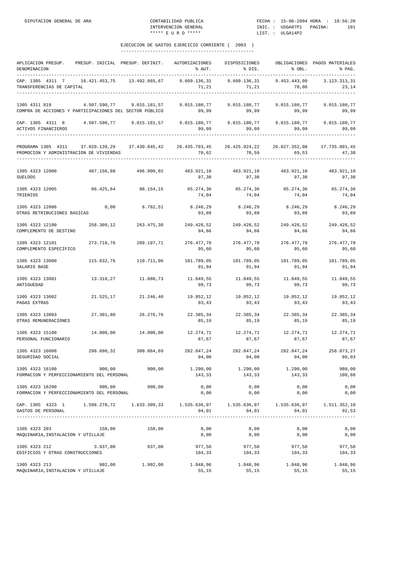| APLICACION PRESUP.<br>DENOMINACION                                                                      | PRESUP. INICIAL PRESUP. DEFINIT. |                     | AUTORIZACIONES<br>% AUT.                              | DISPOSICIONES<br>% DIS.                 | % OBL.                             | OBLIGACIONES PAGOS MATERIALES<br>% PAG. |
|---------------------------------------------------------------------------------------------------------|----------------------------------|---------------------|-------------------------------------------------------|-----------------------------------------|------------------------------------|-----------------------------------------|
| CAP. 1305 4311 7<br>TRANSFERENCIAS DE CAPITAL                                                           | 16.421.453,75 13.492.865,67      |                     | 9.609.136,31<br>71,21                                 | 71,21                                   | 9.609.136,31 9.453.443,09<br>70,06 | 3.123.313,31<br>23,14                   |
| 1305 4311 819<br>COMPRA DE ACCIONES Y PARTICIPACIONES DEL SECTOR PÚBLICO                                | 4.507.590,77                     | 9.015.181,57        | 9.015.180,77<br>99,99                                 | 99,99                                   | 9.015.180,77 9.015.180,77<br>99,99 | 9.015.180,77<br>99,99                   |
| CAP. 1305 4311 8 4.507.590,77 9.015.181,57<br>ACTIVOS FINANCIEROS                                       |                                  |                     | $9.015.180,77$ $9.015.180,77$ $9.015.180,77$<br>99,99 | 99,99                                   | 99,99                              | 9.015.180,77<br>99,99                   |
| PROGRAMA 1305 4311 37.020.139,29 37.430.845,42 26.435.793,45<br>PROMOCION Y ADMINISTRACION DE VIVIENDAS |                                  |                     | 70,62<br>--------------------                         | 26.425.924,22<br>70,59                  | 69,53<br>-----------------         | 26.027.352,08 17.735.091,45<br>47,38    |
| 1305 4323 12000<br><b>SUELDOS</b>                                                                       | 487.156,88                       | 496.900,02          | 483.921,10 483.921,10 483.921,10<br>97,38             | 97,38                                   | 97,38                              | 483.921,10<br>97,38                     |
| 1305 4323 12005<br>TRIENIOS                                                                             | 86.425,64                        | 88.154,15           | 65.274,36<br>74,04                                    | 74,04                                   | 65.274,36 65.274,36<br>74,04       | 65.274,36<br>74,04                      |
| 1305 4323 12006<br>OTRAS RETRIBUCIONES BASICAS                                                          | 0,00                             | 8.782,51            | 8.246,29<br>93,89                                     | 8.246,29<br>93,89                       | 8.246,29<br>93,89                  | 8.246,29<br>93,89                       |
| 1305 4323 12100<br>COMPLEMENTO DE DESTINO                                                               | 258.309,12                       | 263.475,30          | 249.428,52<br>94,66                                   | 249.428,52<br>94,66                     | 249.428,52<br>94,66                | 249.428,52<br>94,66                     |
| 1305 4323 12101<br>COMPLEMENTO ESPECIFICO                                                               | 273.710,76                       | 289.197,71          | 276.477,79<br>95,60                                   | 276.477,79<br>95,60                     | 276.477,79<br>95,60                | 276.477,79<br>95,60                     |
| 1305 4323 13000<br>SALARIO BASE                                                                         | 115.832,76                       | 110.711,06          | 101.789,05<br>91,94                                   | 101.789,05<br>91,94                     | 101.789,05<br>91,94                | 101.789,05<br>91,94                     |
| 1305 4323 13001<br>ANTIGUEDAD                                                                           | 13.318,27                        | 11.880,73           | 11.849,55<br>99,73                                    | 11.849,55<br>99,73                      | 11.849,55<br>99,73                 | 11.849,55<br>99,73                      |
| 1305 4323 13002<br>PAGAS EXTRAS                                                                         |                                  | 21.525,17 21.246,40 | 19.852,12<br>93,43                                    | 19.852,12<br>93,43                      | 19.852,12<br>93,43                 | 19.852,12<br>93,43                      |
| 1305 4323 13003<br>OTRAS REMUNERACIONES                                                                 | 27.301,80                        | 26.276,76           | 22.385,34<br>85,19                                    | 22.385,34<br>85,19                      | 22.385,34<br>85,19                 | 22.385,34<br>85,19                      |
| 1305 4323 15100<br>PERSONAL FUNCIONARIO                                                                 | 14.000,00                        | 14.000,00           | 12.274,71<br>87,67                                    | 12.274,71<br>87,67                      | 12.274,71<br>87,67                 | 12.274,71<br>87,67                      |
| 1305 4323 16000<br>SEGURIDAD SOCIAL                                                                     | 298.890,32                       | 300.884,69          | 282.847,24<br>94,00                                   | 282.847,24<br>94,00                     | 282.847,24<br>94,00                | 258.873,27<br>86,03                     |
| 1305 4323 16100<br>FORMACION Y PERFECCIONAMIENTO DEL PERSONAL                                           | 900,00                           | 900,00              | 1.290,00<br>143,33                                    | 1.290,00<br>143,33                      | 1.290,00<br>143,33                 | 980,00<br>108,88                        |
| 1305 4323 16200<br>FORMACION Y PERFECCIONAMIENTO DEL PERSONAL                                           | 900,00                           | 900,00              | 0,00<br>0,00                                          | 0,00<br>0,00                            | 0,00<br>0,00                       | 0,00<br>0,00                            |
| CAP. 1305 4323 1<br>GASTOS DE PERSONAL                                                                  | 1.598.270,72                     | 1.633.309,33        | 1.535.636,07<br>94,01<br>-------------                | 1.535.636,07<br>94,01<br>-------------- | 1.535.636,07<br>94,01              | 1.511.352,10<br>92,53                   |
| 1305 4323 203<br>MAQUINARIA, INSTALACION Y UTILLAJE                                                     | 150,00                           | 150,00              | 0,00<br>0,00                                          | 0,00<br>0,00                            | 0,00<br>0,00                       | 0,00<br>0,00                            |
| 1305 4323 212<br>EDIFICIOS Y OTRAS CONSTRUCCIONES                                                       | 3.937,00                         | 937,00              | 977,58<br>104,33                                      | 977,58<br>104,33                        | 977,58<br>104,33                   | 977,58<br>104,33                        |
| 1305 4323 213<br>MAQUINARIA, INSTALACION Y UTILLAJE                                                     | 902,00                           | 1.902,00            | 1.048,96<br>55,15                                     | 1.048,96<br>55,15                       | 1.048,96<br>55,15                  | 1.048,96<br>55,15                       |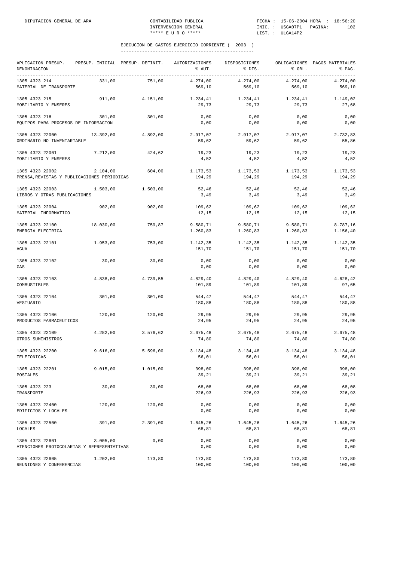| APLICACION PRESUP. PRESUP. INICIAL PRESUP. DEFINIT.<br>DENOMINACION |           |          | AUTORIZACIONES<br>% AUT. | DISPOSICIONES<br>% DIS. | % OBL.               | OBLIGACIONES PAGOS MATERIALES<br>% PAG. |
|---------------------------------------------------------------------|-----------|----------|--------------------------|-------------------------|----------------------|-----------------------------------------|
| 1305 4323 214<br>MATERIAL DE TRANSPORTE                             | 331,00    | 751,00   | 4.274,00<br>569,10       | 4.274,00<br>569,10      | 4.274,00<br>569,10   | 4.274,00<br>569,10                      |
| 1305 4323 215<br>MOBILIARIO Y ENSERES                               | 911,00    | 4.151,00 | 1.234,41<br>29.73        | 1.234,41<br>29,73       | 1.234,41<br>29.73    | 1.149,02<br>27,68                       |
| 1305 4323 216<br>EQUIPOS PARA PROCESOS DE INFORMACION               | 301,00    | 301,00   | 0,00<br>0,00             | 0,00<br>0,00            | 0,00<br>0,00         | 0,00<br>0,00                            |
| 1305 4323 22000<br>ORDINARIO NO INVENTARIABLE                       | 13.392,00 | 4.892,00 | 2.917,07<br>59,62        | 2.917,07<br>59,62       | 2.917,07<br>59,62    | 2.732,83<br>55,86                       |
| 1305 4323 22001<br>MOBILIARIO Y ENSERES                             | 7.212,00  | 424,62   | 19,23<br>4,52            | 19,23<br>4,52           | 19,23<br>4,52        | 19,23<br>4,52                           |
| 1305 4323 22002<br>PRENSA, REVISTAS Y PUBLICACIONES PERIODICAS      | 2.104,00  | 604,00   | 1.173,53<br>194,29       | 1.173,53<br>194,29      | 1.173,53<br>194,29   | 1.173,53<br>194,29                      |
| 1305 4323 22003<br>LIBROS Y OTRAS PUBLICACIONES                     | 1.503,00  | 1.503,00 | 52,46<br>3,49            | 52,46<br>3,49           | 52,46<br>3,49        | 52,46<br>3,49                           |
| 1305 4323 22004<br>MATERIAL INFORMATICO                             | 902,00    | 902,00   | 109,62<br>12,15          | 109,62<br>12,15         | 109,62<br>12,15      | 109,62<br>12,15                         |
| 1305 4323 22100<br>ENERGIA ELECTRICA                                | 18.030,00 | 759.87   | 9.580,71<br>1.260,83     | 9.580, 71<br>1.260,83   | 9.580,71<br>1.260,83 | 8.787,16<br>1.156,40                    |
| 1305 4323 22101<br>AGUA                                             | 1.953,00  | 753,00   | 1.142,35<br>151,70       | 1.142,35<br>151,70      | 1.142,35<br>151,70   | 1.142,35<br>151,70                      |
| 1305 4323 22102<br>GAS                                              | 30,00     | 30,00    | 0,00<br>0,00             | 0,00<br>0,00            | 0,00<br>0,00         | 0,00<br>0,00                            |
| 1305 4323 22103<br>COMBUSTIBLES                                     | 4.838,00  | 4.739,55 | 4.829,40<br>101,89       | 4.829,40<br>101,89      | 4.829,40<br>101,89   | 4.628,42<br>97,65                       |
| 1305 4323 22104<br>VESTUARIO                                        | 301,00    | 301,00   | 544,47<br>180,88         | 544,47<br>180,88        | 544,47<br>180,88     | 544,47<br>180,88                        |
| 1305 4323 22106<br>PRODUCTOS FARMACEUTICOS                          | 120,00    | 120,00   | 29,95<br>24,95           | 29,95<br>24,95          | 29,95<br>24,95       | 29,95<br>24,95                          |
| 1305 4323 22109<br>OTROS SUMINISTROS                                | 4.282,00  | 3.576,62 | 2.675,48<br>74,80        | 2.675,48<br>74,80       | 2.675,48<br>74,80    | 2.675,48<br>74,80                       |
| 1305 4323 22200<br>TELEFONICAS                                      | 9.616,00  | 5.596,00 | 3.134,48<br>56,01        | 3.134,48<br>56,01       | 3.134, 48<br>56,01   | 3.134,48<br>56,01                       |
| 1305 4323 22201<br>POSTALES                                         | 9.015,00  | 1.015,00 | 398,00<br>39,21          | 398,00<br>39,21         | 398,00<br>39,21      | 398,00<br>39,21                         |
| 1305 4323 223<br>TRANSPORTE                                         | 30,00     | 30,00    | 68,08<br>226,93          | 68,08<br>226,93         | 68,08<br>226,93      | 68,08<br>226,93                         |
| 1305 4323 22400<br>EDIFICIOS Y LOCALES                              | 120,00    | 120,00   | 0,00<br>0,00             | 0,00<br>0,00            | 0,00<br>0,00         | 0,00<br>0,00                            |
| 1305 4323 22500<br>LOCALES                                          | 391,00    | 2.391,00 | 1.645,26<br>68,81        | 1.645,26<br>68,81       | 1.645,26<br>68,81    | 1.645,26<br>68,81                       |
| 1305 4323 22601<br>ATENCIONES PROTOCOLARIAS Y REPRESENTATIVAS       | 3.005,00  | 0,00     | 0,00<br>0,00             | 0,00<br>0,00            | 0,00<br>0,00         | 0,00<br>0,00                            |
| 1305 4323 22605<br>REUNIONES Y CONFERENCIAS                         | 1.202,00  | 173,80   | 173,80<br>100,00         | 173,80<br>100,00        | 173,80<br>100,00     | 173,80<br>100,00                        |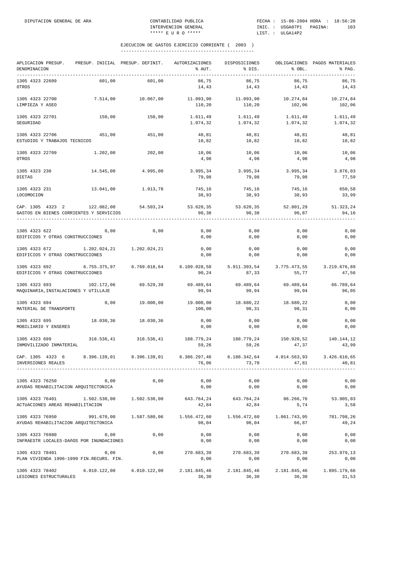| APLICACION PRESUP.<br>DENOMINACION<br>___________________________________        | PRESUP. INICIAL PRESUP. DEFINIT. |                           | AUTORIZACIONES<br>% AUT. | DISPOSICIONES<br>% DIS.                                      | % OBL.                 | OBLIGACIONES PAGOS MATERIALES<br>% PAG. |
|----------------------------------------------------------------------------------|----------------------------------|---------------------------|--------------------------|--------------------------------------------------------------|------------------------|-----------------------------------------|
| 1305 4323 22609<br>OTROS                                                         | 601,00                           | 601,00                    | 86,75<br>14,43           | 86,75<br>14,43                                               | 86,75<br>14,43         | 86,75<br>14,43                          |
| 1305 4323 22700<br>LIMPIEZA Y ASEO                                               | 7.514,00                         | 10.067,00                 | 11.093,90<br>110,20      | 11.093,90<br>110,20                                          | 10.274,84<br>102,06    | 10.274,84<br>102,06                     |
| 1305 4323 22701<br>SEGURIDAD                                                     | 150,00                           | 150,00                    | 1.611,49<br>1.074,32     | 1.611,49<br>1.074,32                                         | 1.611,49<br>1.074,32   | 1.611,49<br>1.074,32                    |
| 1305 4323 22706<br>ESTUDIOS Y TRABAJOS TECNICOS                                  | 451,00                           | 451,00                    | 48,81<br>10,82           | 48,81<br>10,82                                               | 48,81<br>10,82         | 48,81<br>10,82                          |
| 1305 4323 22709<br>OTROS                                                         | 1.202,00                         | 202,00                    | 10,06<br>4,98            | 10,06<br>4,98                                                | 10,06<br>4,98          | 10,06<br>4,98                           |
| 1305 4323 230<br>DIETAS                                                          | 14.545,00                        | 4.995,00                  | 3.995,34<br>79,98        | 3.995,34<br>79,98                                            | 3.995,34<br>79,98      | 3.876,03<br>77,59                       |
| 1305 4323 231<br>LOCOMOCION                                                      | 13.041,00                        | 1.913,78                  | 745,16<br>38,93          | 745,16<br>38,93                                              | 745,16<br>38,93        | 650,58<br>33,99                         |
| CAP. 1305 4323 2 122.082,00 54.503,24<br>GASTOS EN BIENES CORRIENTES Y SERVICIOS |                                  |                           | 53.620,35<br>98,38       | 53.620,35<br>98,38                                           | 52.801,29<br>96,87     | 51.323,24<br>94,16                      |
| 1305 4323 622<br>EDIFICIOS Y OTRAS CONSTRUCCIONES                                | 0,00                             | 0,00                      | 0,00<br>0,00             | 0,00<br>0,00                                                 | 0,00<br>0,00           | 0,00<br>0,00                            |
| 1305 4323 672<br>EDIFICIOS Y OTRAS CONSTRUCCIONES                                |                                  | 1.202.024,21 1.202.024,21 | 0,00<br>0,00             | 0,00<br>0,00                                                 | 0,00<br>0,00           | 0,00<br>0,00                            |
| 1305 4323 692<br>EDIFICIOS Y OTRAS CONSTRUCCIONES                                |                                  |                           | 90,24                    | 6.109.028,58 5.911.393,54 3.775.473,55 3.219.676,89<br>87,33 | 55,77                  | 47,56                                   |
| 1305 4323 693<br>MAQUINARIA, INSTALACIONES Y UTILLAJE                            | 102.172,06                       | 69.529,39                 | 69.489,64<br>99,94       | 69.489,64<br>99,94                                           | 69.489,64<br>99,94     | 66.789,64<br>96,05                      |
| 1305 4323 694<br>MATERIAL DE TRANSPORTE                                          | 0,00                             | 19.000,00                 | 19.000,00<br>100,00      | 18.680,22<br>98,31                                           | 18.680,22<br>98,31     | 0,00<br>0,00                            |
| 1305 4323 695<br>MOBILIARIO Y ENSERES                                            | 18.030,36                        | 18.030,36                 | 0,00<br>0,00             | 0,00<br>0,00                                                 | 0,00<br>0,00           | 0,00<br>0,00                            |
| 1305 4323 699<br>INMOVILIZADO INMATERIAL                                         | 318.536,41                       | 318.536,41                | 59,26                    | 188.779,24 188.779,24<br>59,26                               | 150.920,52<br>47,37    | 140.144,12<br>43,99                     |
| CAP. 1305 4323 6<br>INVERSIONES REALES                                           | 8.396.139,01                     | 8.396.139,01              | 76,06                    | 6.386.297,46 6.188.342,64<br>73,70                           | 4.014.563,93<br>47,81  | 3.426.610,65<br>40,81                   |
| 1305 4323 76250<br>AYUDAS REHABILITACION ARQUITECTONICA                          | 0,00                             | 0,00                      | 0,00<br>0,00             | 0,00<br>0,00                                                 | 0,00<br>0,00           | 0,00<br>0,00                            |
| 1305 4323 76401<br>ACTUACIONES AREAS REHABILITACION                              | 1.502.530,00                     | 1.502.530,00              | 643.764,24<br>42,84      | 643.764,24<br>42,84                                          | 86.266,76<br>5,74      | 53.905,03<br>3,58                       |
| 1305 4323 76950<br>AYUDAS REHABILITACION ARQUITECTONICA                          | 991.670,00                       | 1.587.580,06              | 1.556.472,60<br>98,04    | 1.556.472,60<br>98,04                                        | 1.061.743,95<br>66,87  | 781.798,26<br>49,24                     |
| 1305 4323 76980<br>INFRAESTR LOCALES-DAñOS POR INUNDACIONES                      | 0,00                             | 0,00                      | 0,00<br>0,00             | 0,00<br>0,00                                                 | 0,00<br>0,00           | 0,00<br>0,00                            |
| 1305 4323 78401<br>PLAN VIVIENDA 1996-1999 FIN.RECURS. FIN.                      | 0,00                             | 0,00                      | 270.683,39<br>0,00       | 270.683,39<br>0,00                                           | 270.683,39<br>0,00     | 253.979,13<br>0,00                      |
| 1305 4323 78402<br>LESIONES ESTRUCTURALES                                        | 6.010.122,00                     | 6.010.122,00              | 2.181.845,46<br>36, 30   | 2.181.845,46<br>36, 30                                       | 2.181.845,46<br>36, 30 | 1.895.179,66<br>31,53                   |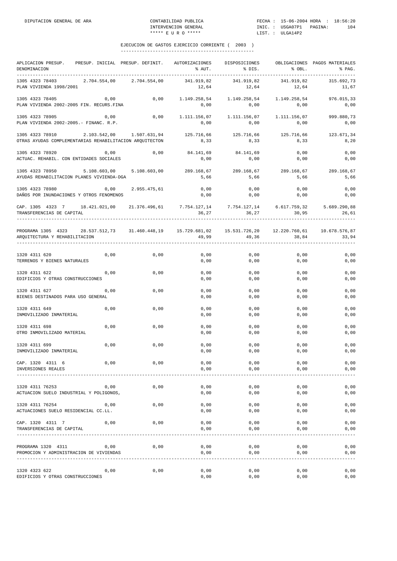| APLICACION PRESUP. PRESUP. INICIAL PRESUP. DEFINIT. AUTORIZACIONES<br>DENOMINACION                                                      |      |                               | % AUT.              | DISPOSICIONES<br>% DIS.                                      | % OBL.                        | OBLIGACIONES PAGOS MATERIALES<br>% PAG. |
|-----------------------------------------------------------------------------------------------------------------------------------------|------|-------------------------------|---------------------|--------------------------------------------------------------|-------------------------------|-----------------------------------------|
| 1305 4323 78403 2.704.554,00 2.704.554,00<br>PLAN VIVIENDA 1998/2001                                                                    |      |                               | 341.919,82<br>12,64 | 341.919,82<br>12,64                                          | 341.919,82<br>12,64           | 315.692,73<br>11,67                     |
| 1305 4323 78405<br>PLAN VIVIENDA 2002-2005 FIN. RECURS.FINA                                                                             | 0,00 | 0,00                          | 0,00                | 1.149.258,54 1.149.258,54<br>0,00                            | 1.149.258,54<br>0,00          | 976.015,33<br>0,00                      |
| 1305 4323 78905<br>PLAN VIVIENDA 2002-2005.- FINANC. R.P.                                                                               | 0,00 | 0,00                          | 0,00                | $1.111.156,07$ $1.111.156,07$ $1.111.156,07$<br>0,00         | 0,00                          | 999.880,73<br>0,00                      |
| 1305 4323 78910 2.103.542,00 1.507.631,94<br>OTRAS AYUDAS COMPLEMENTARIAS REHABILITACION ARQUITECTON                                    |      |                               | 125.716,66<br>8,33  | 8,33                                                         | 125.716,66 125.716,66<br>8,33 | 123.671,34<br>8,20                      |
| 1305 4323 78920<br>ACTUAC. REHABIL. CON ENTIDADES SOCIALES                                                                              | 0,00 | 0,00                          | 84.141,69<br>0,00   | 84.141,69<br>0,00                                            | 0,00<br>0,00                  | 0,00<br>0,00                            |
| 1305 4323 78950<br>AYUDAS REHABILITACION PLANES VIVIENDA-DGA                                                                            |      | $5.108.603,00$ $5.108.603,00$ | 289.168,67<br>5,66  | 289.168,67<br>5,66                                           | 289.168,67<br>5,66            | 289.168,67<br>5,66                      |
| 1305 4323 78980<br>DAÑOS POR INUNDACIONES Y OTROS FENOMENOS                                                                             | 0,00 | 2.955.475,61                  | 0,00<br>0,00        | 0,00<br>0,00                                                 | 0,00<br>0,00                  | 0,00<br>0,00                            |
| CAP. 1305 4323 7 18.421.021,00 21.376.496,61<br>TRANSFERENCIAS DE CAPITAL                                                               |      |                               | 36,27               | 7.754.127,14 7.754.127,14 6.617.759,32 5.689.290,88<br>36,27 | 30,95                         | 26,61                                   |
| PROGRAMA 1305 4323 28.537.512,73 31.460.448,19 15.729.681,02 15.531.726,20 12.220.760,61 10.678.576,87<br>AROUITECTURA Y REHABILITACION |      |                               | 49,99               | 49,36                                                        | 38,84                         | 33,94                                   |
| 1320 4311 620<br>TERRENOS Y BIENES NATURALES                                                                                            | 0,00 | 0,00                          | 0,00<br>0,00        | 0,00<br>0,00                                                 | 0,00<br>0,00                  | 0,00<br>0,00                            |
| 1320 4311 622<br>EDIFICIOS Y OTRAS CONSTRUCCIONES                                                                                       | 0,00 | 0,00                          | 0,00<br>0,00        | 0,00<br>0,00                                                 | 0,00<br>0,00                  | 0,00<br>0,00                            |
| 1320 4311 627<br>BIENES DESTINADOS PARA USO GENERAL                                                                                     | 0,00 | 0,00                          | 0,00<br>0,00        | 0,00<br>0,00                                                 | 0,00<br>0,00                  | 0,00<br>0,00                            |
| 1320 4311 649<br>INMOVILIZADO INMATERIAL                                                                                                | 0,00 | 0,00                          | 0,00<br>0,00        | 0,00<br>0,00                                                 | 0,00<br>0,00                  | 0,00<br>0,00                            |
| 1320 4311 698<br>OTRO INMOVILIZADO MATERIAL                                                                                             | 0,00 | 0,00                          | 0,00<br>0,00        | 0,00<br>0,00                                                 | 0,00<br>0,00                  | 0,00<br>0,00                            |
| 1320 4311 699<br>INMOVILIZADO INMATERIAL                                                                                                | 0,00 | 0,00                          | 0,00<br>0,00        | 0,00<br>0,00                                                 | 0,00<br>0,00                  | 0,00<br>0,00                            |
| CAP. 1320 4311 6<br>INVERSIONES REALES                                                                                                  | 0,00 | 0,00                          | 0,00<br>0,00        | 0,00<br>0,00                                                 | 0,00<br>0,00                  | 0,00<br>0,00                            |
| 1320 4311 76253<br>ACTUACION SUELO INDUSTRIAL Y POLIGONOS,                                                                              | 0,00 | 0,00                          | 0,00<br>0,00        | 0,00<br>0,00                                                 | 0,00<br>0,00                  | 0,00<br>0,00                            |
| 1320 4311 76254<br>ACTUACIONES SUELO RESIDENCIAL CC.LL.                                                                                 | 0,00 | 0,00                          | 0,00<br>0,00        | 0,00<br>0,00                                                 | 0,00<br>0,00                  | 0,00<br>0,00                            |
| CAP. 1320 4311 7<br>TRANSFERENCIAS DE CAPITAL                                                                                           | 0,00 | 0,00                          | 0,00<br>0,00        | 0,00<br>0,00                                                 | 0,00<br>0,00                  | 0,00<br>0,00                            |
| PROGRAMA 1320 4311<br>PROMOCION Y ADMINISTRACION DE VIVIENDAS                                                                           | 0,00 | 0,00                          | 0,00<br>0,00        | 0,00<br>0,00                                                 | 0,00<br>0,00                  | 0,00<br>0,00                            |
| 1320 4323 622<br>EDIFICIOS Y OTRAS CONSTRUCCIONES                                                                                       | 0,00 | 0,00                          | 0,00<br>0,00        | 0,00<br>0,00                                                 | 0,00<br>0,00                  | 0,00<br>0,00                            |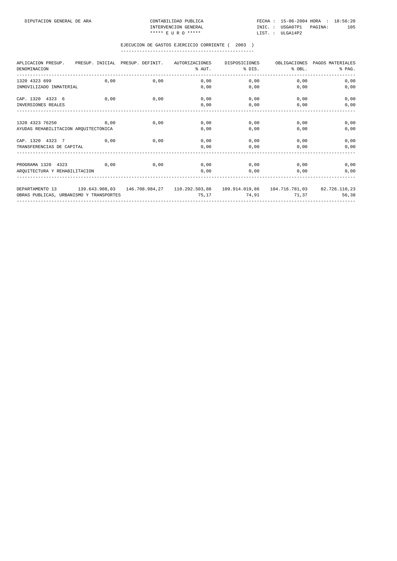| APLICACION PRESUP. PRESUP. INICIAL PRESUP. DEFINIT.<br>DENOMINACION                                      |      | AUTORIZACIONES | DISPOSICIONES<br>$N$ $\sim$ $N$ $\sim$ $N$ | OBLIGACIONES<br>$\text{\$DIS.}$ $\text{\$OBL.}$ | PAGOS MATERIALES<br>% PAG. |
|----------------------------------------------------------------------------------------------------------|------|----------------|--------------------------------------------|-------------------------------------------------|----------------------------|
| 0,00<br>1320 4323 699                                                                                    | 0,00 | 0,00           | 0,00                                       | 0,00                                            | 0,00                       |
| INMOVILIZADO INMATERIAL                                                                                  |      | 0.00           | 0,00                                       | 0,00                                            | 0,00                       |
| 0,00<br>CAP. 1320 4323 6                                                                                 | 0,00 | 0.00           | 0.00                                       | 0.00                                            | 0.00                       |
| INVERSIONES REALES                                                                                       |      | 0,00           | 0,00                                       | 0,00                                            | 0,00                       |
| 1320 4323 76250 0,00                                                                                     | 0,00 | 0,00           | 0,00                                       | 0.00                                            | 0,00                       |
| AYUDAS REHABILITACION ARQUITECTONICA                                                                     |      | 0.00           | 0,00                                       | 0.00                                            | 0,00                       |
| CAP. 1320 4323 7 0.00                                                                                    | 0.00 | 0.00           | 0,00                                       | 0.00                                            | 0,00                       |
| TRANSFERENCIAS DE CAPITAL                                                                                |      | 0,00           | 0,00                                       | 0.00                                            | 0,00                       |
| PROGRAMA 1320 4323 0,00 0,00                                                                             |      |                | $0,00$ 0.00                                | 0.00                                            | 0,00                       |
| AROUITECTURA Y REHABILITACION                                                                            |      |                | $0,00$ 0,00                                | 0.00                                            | 0.00                       |
| DEPARTAMENTO 13 139.643.908.03 146.708.984.27 110.292.503.88 109.914.019.86 104.716.781.03 82.726.110.23 |      |                |                                            |                                                 |                            |
| OBRAS PUBLICAS, URBANISMO Y TRANSPORTES                                                                  |      |                | 75,17 74,91 71,37                          |                                                 | 56,38                      |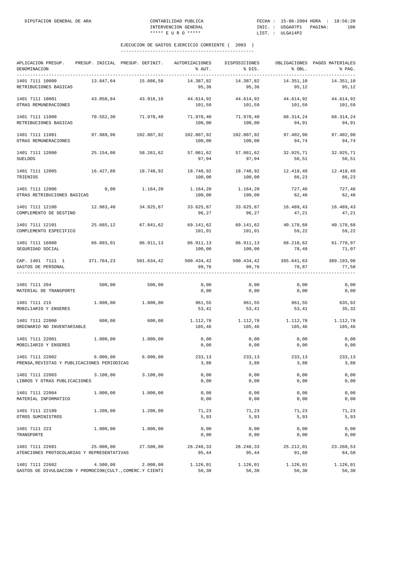| APLICACION PRESUP.<br>DENOMINACION<br>--------------                        |           | PRESUP. INICIAL PRESUP. DEFINIT. AUTORIZACIONES | % AUT.               | DISPOSICIONES<br>% DIS. | % OBL.              | OBLIGACIONES PAGOS MATERIALES<br>% PAG. |
|-----------------------------------------------------------------------------|-----------|-------------------------------------------------|----------------------|-------------------------|---------------------|-----------------------------------------|
| 1401 7111 10000<br>RETRIBUCIONES BASICAS                                    | 13.847,64 | 15.086,58                                       | 14.387,82<br>95,36   | 14.387,82<br>95,36      | 14.351,10<br>95,12  | 14.351.10<br>95,12                      |
| 1401 7111 10001<br>OTRAS REMUNERACIONES                                     | 43.050,84 | 43.916,16                                       | 44.614,92<br>101,59  | 44.614,92<br>101,59     | 44.614,92<br>101,59 | 44.614,92<br>101,59                     |
| 1401 7111 11000<br>RETRIBUCIONES BASICAS                                    | 70.552,30 | 71.970,40                                       | 71.970,40<br>100,00  | 71.970,40<br>100,00     | 68.314,24<br>94,91  | 68.314,24<br>94,91                      |
| 1401 7111 11001<br>OTRAS REMUNERACIONES                                     | 97.989,96 | 102.807,92                                      | 102.807,92<br>100,00 | 102.807,92<br>100,00    | 97.402,98<br>94,74  | 97.402,98<br>94,74                      |
| 1401 7111 12000<br><b>SUELDOS</b>                                           | 25.154,08 | 58.261,62                                       | 57.061,62<br>97,94   | 57.061,62<br>97,94      | 32.925,71<br>56,51  | 32.925,71<br>56,51                      |
| 1401 7111 12005<br>TRIENIOS                                                 | 16.427,88 | 18.748,92                                       | 18.748,92<br>100,00  | 18.748,92<br>100,00     | 12.418,49<br>66,23  | 12.418,49<br>66,23                      |
| 1401 7111 12006<br>OTRAS RETRIBUCIONES BASICAS                              | 0,00      | 1.164,20                                        | 1.164,20<br>100,00   | 1.164,20<br>100,00      | 727,46<br>62,48     | 727,46<br>62,48                         |
| 1401 7111 12100<br>COMPLEMENTO DE DESTINO                                   | 12.983,40 | 34.925,87                                       | 33.625,87<br>96,27   | 33.625,87<br>96,27      | 16.489,43<br>47,21  | 16.489,43<br>47,21                      |
| 1401 7111 12101<br>COMPLEMENTO ESPECIFICO                                   | 25.665,12 | 67.841,62                                       | 69.141,62<br>101,91  | 69.141,62<br>101,91     | 40.178,68<br>59,22  | 40.178,68<br>59,22                      |
| 1401 7111 16000<br>SEGURIDAD SOCIAL                                         | 66.093,01 | 86.911,13                                       | 86.911,13<br>100,00  | 86.911,13<br>100,00     | 68.218,62<br>78,49  | 61.770,97<br>71,07                      |
| CAP. 1401 7111 1<br>GASTOS DE PERSONAL                                      |           | 371.764,23 501.634,42                           | 500.434,42<br>99,76  | 500.434,42<br>99,76     | 395.641,63<br>78,87 | 389.193,98<br>77,58                     |
| 1401 7111 204<br>MATERIAL DE TRANSPORTE                                     | 500,00    | 500,00                                          | 0,00<br>0,00         | 0,00<br>0,00            | 0,00<br>0,00        | 0,00<br>0,00                            |
| 1401 7111 215<br>MOBILIARIO Y ENSERES                                       | 1.800,00  | 1.800,00                                        | 961,55<br>53,41      | 961,55<br>53,41         | 961,55<br>53,41     | 635,92<br>35,32                         |
| 1401 7111 22000<br>ORDINARIO NO INVENTARIABLE                               | 600,00    | 600,00                                          | 1.112,78<br>185,46   | 1.112,78<br>185,46      | 1.112,78<br>185,46  | 1.112,78<br>185,46                      |
| 1401 7111 22001<br>MOBILIARIO Y ENSERES                                     | 1.800,00  | 1.800,00                                        | 0,00<br>0,00         | 0,00<br>0,00            | 0,00<br>0,00        | 0,00<br>0,00                            |
| 1401 7111 22002<br>PRENSA, REVISTAS Y PUBLICACIONES PERIODICAS              | 6.000.00  | 6.000,00                                        | 233,13<br>3,88       | 233,13<br>3,88          | 233,13<br>3,88      | 233,13<br>3,88                          |
| 1401 7111 22003<br>LIBROS Y OTRAS PUBLICACIONES                             | 3.100,00  | 3.100,00                                        | 0,00<br>0,00         | 0,00<br>0,00            | 0,00<br>0,00        | 0,00<br>0,00                            |
| 1401 7111 22004<br>MATERIAL INFORMATICO                                     | 1.000,00  | 1.000,00                                        | 0,00<br>0,00         | 0,00<br>0,00            | 0,00<br>0,00        | 0,00<br>0,00                            |
| 1401 7111 22109<br>OTROS SUMINISTROS                                        | 1.200,00  | 1,200,00                                        | 71,23<br>5,93        | 71,23<br>5,93           | 71,23<br>5,93       | 71,23<br>5,93                           |
| 1401 7111 223<br>TRANSPORTE                                                 | 1.800,00  | 1.800,00                                        | 0,00<br>0,00         | 0,00<br>0,00            | 0,00<br>0,00        | 0,00<br>0,00                            |
| 1401 7111 22601<br>ATENCIONES PROTOCOLARIAS Y REPRESENTATIVAS               | 25.000,00 | 27.500,00                                       | 26.246,33<br>95,44   | 26.246,33<br>95,44      | 25.212,01<br>91,68  | 23.260,53<br>84,58                      |
| 1401 7111 22602<br>GASTOS DE DIVULGACION Y PROMOCION(CULT., COMERC.Y CIENTI | 4.500,00  | 2.000,00                                        | 1.126,01<br>56,30    | 1.126,01<br>56,30       | 1.126,01<br>56,30   | 1.126,01<br>56,30                       |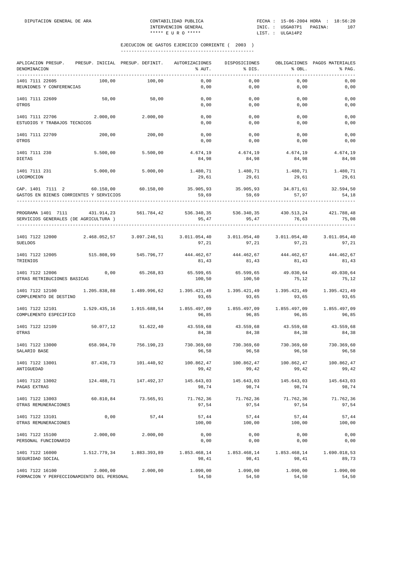| APLICACION PRESUP.<br>DENOMINACION<br>---------------------------------                                                       | PRESUP. INICIAL PRESUP. DEFINIT. |                           | AUTORIZACIONES<br>% AUT.                                             | DISPOSICIONES<br>% DIS. | $\&$ OBL.             | OBLIGACIONES PAGOS MATERIALES<br>% PAG. |
|-------------------------------------------------------------------------------------------------------------------------------|----------------------------------|---------------------------|----------------------------------------------------------------------|-------------------------|-----------------------|-----------------------------------------|
| 1401 7111 22605<br>REUNIONES Y CONFERENCIAS                                                                                   | 100,00                           | 100,00                    | 0,00<br>0,00                                                         | 0,00<br>0,00            | 0,00<br>0,00          | 0,00<br>0,00                            |
| 1401 7111 22609<br>OTROS                                                                                                      | 50,00                            | 50,00                     | 0,00<br>0,00                                                         | 0,00<br>0,00            | 0,00<br>0,00          | 0,00<br>0,00                            |
| 1401 7111 22706<br>ESTUDIOS Y TRABAJOS TECNICOS                                                                               | 2.000,00                         | 2.000,00                  | 0,00<br>0,00                                                         | 0,00<br>0,00            | 0,00<br>0,00          | 0,00<br>0,00                            |
| 1401 7111 22709<br>OTROS                                                                                                      | 200,00                           | 200,00                    | 0,00<br>0,00                                                         | 0,00<br>0,00            | 0,00<br>0,00          | 0,00<br>0,00                            |
| 1401 7111 230<br>DIETAS                                                                                                       | 5.500,00                         | 5.500,00                  | 4.674,19<br>84,98                                                    | 4.674,19<br>84,98       | 4.674,19<br>84,98     | 4.674,19<br>84,98                       |
| 1401 7111 231<br>LOCOMOCION                                                                                                   | 5.000,00                         | 5.000,00                  | 1.480,71<br>29,61                                                    | 1.480,71<br>29,61       | 1.480,71<br>29,61     | 1.480,71<br>29,61                       |
| CAP. 1401 7111 2 60.150,00 60.150,00<br>GASTOS EN BIENES CORRIENTES Y SERVICIOS                                               |                                  |                           | 35.905,93 35.905,93 34.871,61 32.594,50<br>59,69                     | 59,69                   | 57,97                 | 54,18                                   |
| PROGRAMA 1401 7111 431.914,23 561.784,42 536.340,35 536.340,35 430.513,24 421.788,48<br>SERVICIOS GENERALES (DE AGRICULTURA ) |                                  |                           | 95,47                                                                | 95,47                   | 76,63                 | 75,08                                   |
| 1401 7122 12000 2.468.052,57 3.097.246,51 3.011.054,40 3.011.054,40 3.011.054,40 3.011.054,40<br>SUELDOS                      |                                  |                           | 97,21                                                                | 97,21                   | 97,21                 | 97,21                                   |
| 1401 7122 12005<br>TRIENIOS                                                                                                   | 515.808,99                       | 545.796,77                | 444.462,67<br>81,43                                                  | 444.462,67<br>81,43     | 444.462,67<br>81,43   | 444.462,67<br>81,43                     |
| 1401 7122 12006<br>OTRAS RETRIBUCIONES BASICAS                                                                                |                                  | $0,00$ 65.268,83          | 65.599,65<br>100,50                                                  | 65.599,65<br>100,50     | 75,12                 | 49.030,64 49.030,64<br>75,12            |
| 1401 7122 12100 1.205.838,88 1.489.996,62 1.395.421,49<br>COMPLEMENTO DE DESTINO                                              |                                  |                           | 93,65                                                                | 93,65                   | 93,65                 | 93,65                                   |
| 1401 7122 12101<br>COMPLEMENTO ESPECIFICO                                                                                     |                                  | 1.529.435,16 1.915.688,54 | $1.855.497.09$ $1.855.497.09$ $1.855.497.09$ $1.855.497.09$<br>96,85 | 96,85                   | 96,85                 | 96,85                                   |
| 1401 7122 12109<br>OTRAS                                                                                                      | 50.077,12                        | 51.622,40                 | 43.559,68<br>84,38                                                   | 43.559,68<br>84,38      | 43.559,68<br>84,38    | 43.559,68<br>84,38                      |
| 1401 7122 13000<br>SALARIO BASE                                                                                               | 658.984,70                       | 756.190,23                | 730.369,60<br>96,58                                                  | 730.369,60<br>96,58     | 730.369,60<br>96,58   | 730.369,60<br>96,58                     |
| 1401 7122 13001<br>ANTIGUEDAD                                                                                                 | 87.436,73                        | 101.440,92                | 100.862,47<br>99,42                                                  | 100.862,47<br>99,42     | 100.862,47<br>99,42   | 100.862,47<br>99,42                     |
| 1401 7122 13002<br>PAGAS EXTRAS                                                                                               | 124.488,71                       | 147.492,37                | 145.643,03<br>98,74                                                  | 145.643,03<br>98,74     | 145.643,03<br>98,74   | 145.643,03<br>98,74                     |
| 1401 7122 13003<br>OTRAS REMUNERACIONES                                                                                       | 60.810,84                        | 73.565,91                 | 71.762,36<br>97,54                                                   | 71.762,36<br>97,54      | 71.762,36<br>97,54    | 71.762,36<br>97,54                      |
| 1401 7122 13101<br>OTRAS REMUNERACIONES                                                                                       | 0,00                             | 57,44                     | 57,44<br>100,00                                                      | 57,44<br>100,00         | 57,44<br>100,00       | 57,44<br>100,00                         |
| 1401 7122 15100<br>PERSONAL FUNCIONARIO                                                                                       | 2.000,00                         | 2.000,00                  | 0,00<br>0,00                                                         | 0,00<br>0,00            | 0,00<br>0,00          | 0,00<br>0,00                            |
| 1401 7122 16000<br>SEGURIDAD SOCIAL                                                                                           | 1.512.779,34                     | 1.883.393,89              | 1.853.468,14<br>98,41                                                | 1.853.468,14<br>98,41   | 1.853.468,14<br>98,41 | 1.690.018,53<br>89,73                   |
| 1401 7122 16100<br>FORMACION Y PERFECCIONAMIENTO DEL PERSONAL                                                                 | 2.000,00                         | 2.000,00                  | 1.090,00<br>54,50                                                    | 1.090,00<br>54,50       | 1.090,00<br>54,50     | 1.090,00<br>54,50                       |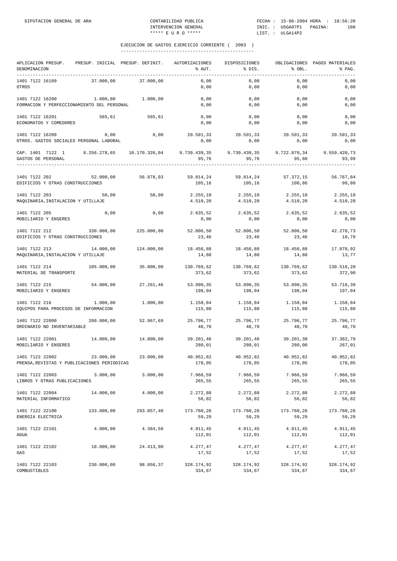| APLICACION PRESUP.<br>DENOMINACION<br>-----------              |            | PRESUP. INICIAL PRESUP. DEFINIT. | AUTORIZACIONES<br>% AUT.                                                             | DISPOSICIONES<br>% DIS.                    | % OBL.                          | OBLIGACIONES PAGOS MATERIALES<br>% PAG. |
|----------------------------------------------------------------|------------|----------------------------------|--------------------------------------------------------------------------------------|--------------------------------------------|---------------------------------|-----------------------------------------|
| 1401 7122 16109<br>OTROS                                       | 37.000,00  | 37.000,00                        | 0,00<br>0,00                                                                         | 0,00<br>0,00                               | 0,00<br>0,00                    | 0,00<br>0,00                            |
| 1401 7122 16200<br>FORMACION Y PERFECCIONAMIENTO DEL PERSONAL  | 1.000,00   | 1,000,00                         | 0,00<br>0,00                                                                         | 0,00<br>0,00                               | 0,00<br>0,00                    | 0,00<br>0,00                            |
| 1401 7122 16201<br>ECONOMATOS Y COMEDORES                      | 565,61     | 565,61                           | 0,00<br>0,00                                                                         | 0,00<br>0,00                               | 0,00<br>0,00                    | 0,00<br>0,00                            |
| 1401 7122 16209<br>OTROS. GASTOS SOCIALES PERSONAL LABORAL     | 0,00       | 0,00                             | 20.591,33<br>0,00                                                                    | 20.591,33<br>0,00                          | 20.591,33<br>0,00               | 20.591,33<br>0,00                       |
| CAP. 1401 7122 1<br>GASTOS DE PERSONAL                         |            |                                  | $8.256.278.65$ $10.170.326.04$ $9.739.439.35$ $9.739.439.35$ $9.722.870.34$<br>95,76 | 95,76                                      | 95,60                           | 9.559.420,73<br>93,99                   |
| 1401 7122 202<br>EDIFICIOS Y OTRAS CONSTRUCCIONES              | 52.000,00  | 56.878,03                        | 59.814,24<br>105,16                                                                  | 59.814,24<br>105,16                        | 57.372,15<br>100,86             | 56.767,84<br>99,80                      |
| 1401 7122 203<br>MAQUINARIA, INSTALACION Y UTILLAJE            | 50,00      | 50,00                            | 2.255,10<br>4.510,20                                                                 | 2.255,10<br>4.510,20                       | 2.255, 10<br>4.510,20           | 2.255,10<br>4.510,20                    |
| 1401 7122 205<br>MOBILIARIO Y ENSERES                          | 0,00       | 0,00                             | 0,00                                                                                 | 2.635,52 2.635,52<br>0,00                  | 2.635,52<br>0,00                | 2.635,52<br>0,00                        |
| 1401 7122 212<br>EDIFICIOS Y OTRAS CONSTRUCCIONES              | 330.000,00 | 225.000,00                       | 52.806,50<br>23,46                                                                   | 52.806,50<br>23,46                         | 52.806,50<br>23,46              | 42.278,73<br>18,79                      |
| 1401 7122 213<br>MAQUINARIA, INSTALACION Y UTILLAJE            | 14.000,00  | 124.000,00                       | 18.456,88<br>14,88                                                                   | 18.456,88<br>14,88                         | 18.456,88<br>14,88              | 17.078,92<br>13,77                      |
| 1401 7122 214<br>MATERIAL DE TRANSPORTE                        | 105.000,00 | 35.000,00                        | 373,62                                                                               | 130.769,62 130.769,62 130.769,62<br>373,62 | 373,62                          | 130.518,20<br>372,90                    |
| 1401 7122 215<br>MOBILIARIO Y ENSERES                          | 54.000,00  | 27.261,46                        | 53.990,35 53.990,35<br>198,04                                                        | 198,04                                     | 53.990, 35<br>198,04            | 53.716,39<br>197,04                     |
| 1401 7122 216<br>EQUIPOS PARA PROCESOS DE INFORMACION          | 1.000,00   | 1.000,00                         | 1.158,84<br>115,88                                                                   | 1.158,84<br>115,88                         | 1.158,84<br>115,88              | 1.158,84<br>115,88                      |
| 1401 7122 22000<br>ORDINARIO NO INVENTARIABLE                  | 200.000,00 | 52.967,69                        | 25.796,77<br>48,70                                                                   | 25.796,77<br>48,70                         | 25.796,77<br>48,70              | 25.796,77<br>48,70                      |
| 1401 7122 22001<br>MOBILIARIO Y ENSERES                        | 14.000,00  | 14,000,00                        | 39.201,46<br>280,01                                                                  | 39.201,46<br>280,01                        | 39.201,38<br>280,00             | 37.382,79<br>267,01                     |
| 1401 7122 22002<br>PRENSA, REVISTAS Y PUBLICACIONES PERIODICAS | 23.000,00  | 23.000,00                        | 40.952.82<br>178,05                                                                  | 40.952,82<br>178,05                        | 40.952,82<br>178,05             | 40.952,82<br>178,05                     |
| 1401 7122 22003<br>LIBROS Y OTRAS PUBLICACIONES                | 3.000,00   | 3.000,00                         | 7.966,59<br>265,55                                                                   | 7.966,59<br>265,55                         | 7.966,59<br>265,55              | 7.966,59<br>265,55                      |
| 1401 7122 22004<br>MATERIAL INFORMATICO                        | 14.000,00  | 4.000,00                         | 2.272,88<br>56,82                                                                    | 2.272,88<br>56,82                          | 2.272,88<br>56,82               | 2.272,88<br>56,82                       |
| 1401 7122 22100<br>ENERGIA ELECTRICA                           | 133.000,00 | 293.057,40                       | 173.760,26<br>59,29                                                                  | 173.760,26<br>59,29                        | 173.760,26<br>59,29             | 173.760,26<br>59,29                     |
| 1401 7122 22101<br>AGUA                                        | 4.000,00   | 4.384,58                         | 4.911,45<br>112,01                                                                   | 4.911,45<br>112,01                         | 4.911,45<br>112,01              | 4.911,45<br>112,01                      |
| 1401 7122 22102<br>GAS                                         | 18.000,00  | 24.413,90                        | 4.277,47<br>17,52                                                                    | 4.277,47<br>17,52                          | 4.277,47<br>17,52               | 4.277,47<br>17,52                       |
| 1401 7122 22103<br>COMBUSTIBLES                                | 230.000,00 | 98.056,37                        | 328.174,92<br>334,67                                                                 | 334,67                                     | 328.174,92 328.174,92<br>334,67 | 328.174,92<br>334,67                    |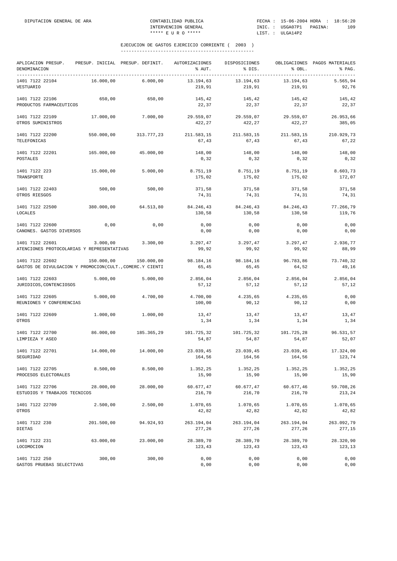| APLICACION PRESUP.<br>DENOMINACION                                          |            | PRESUP. INICIAL PRESUP. DEFINIT. | AUTORIZACIONES<br>% AUT. | DISPOSICIONES<br>% DIS. | % OBL.               | OBLIGACIONES PAGOS MATERIALES<br>% PAG. |
|-----------------------------------------------------------------------------|------------|----------------------------------|--------------------------|-------------------------|----------------------|-----------------------------------------|
| ---------------------------------<br>1401 7122 22104<br>VESTUARIO           | 16.000,00  | 6.000,00                         | 13.194,63<br>219,91      | 13.194,63<br>219,91     | 13.194,63<br>219,91  | 5.565,94<br>92,76                       |
| 1401 7122 22106<br>PRODUCTOS FARMACEUTICOS                                  | 650,00     | 650,00                           | 145,42<br>22,37          | 145,42<br>22,37         | 145,42<br>22,37      | 145,42<br>22,37                         |
| 1401 7122 22109<br>OTROS SUMINISTROS                                        | 17.000,00  | 7.000,00                         | 29.559,07<br>422,27      | 29.559,07<br>422,27     | 29.559,07<br>422,27  | 26.953,66<br>385,05                     |
| 1401 7122 22200<br>TELEFONICAS                                              | 550.000,00 | 313.777,23                       | 211.583,15<br>67,43      | 211.583,15<br>67,43     | 211.583,15<br>67,43  | 210.929,73<br>67,22                     |
| 1401 7122 22201<br>POSTALES                                                 | 165.000,00 | 45.000,00                        | 148,00<br>0, 32          | 148,00<br>0, 32         | 148,00<br>0, 32      | 148,00<br>0, 32                         |
| 1401 7122 223<br>TRANSPORTE                                                 | 15.000,00  | 5.000,00                         | 8.751,19<br>175,02       | 8.751,19<br>175,02      | 8.751,19<br>175,02   | 8.603,73<br>172,07                      |
| 1401 7122 22403<br>OTROS RIESGOS                                            | 500,00     | 500,00                           | 371,58<br>74,31          | 371,58<br>74,31         | 371,58<br>74,31      | 371,58<br>74,31                         |
| 1401 7122 22500<br>LOCALES                                                  | 380.000,00 | 64.513,80                        | 84.246,43<br>130,58      | 84.246,43<br>130,58     | 84.246,43<br>130,58  | 77.266,79<br>119,76                     |
| 1401 7122 22600<br>CANONES. GASTOS DIVERSOS                                 | 0,00       | 0,00                             | 0,00<br>0,00             | 0,00<br>0,00            | 0,00<br>0,00         | 0,00<br>0,00                            |
| 1401 7122 22601<br>ATENCIONES PROTOCOLARIAS Y REPRESENTATIVAS               | 3.000,00   | 3.300,00                         | 3.297,47<br>99,92        | 3.297,47<br>99,92       | 3.297,47<br>99,92    | 2.936,77<br>88,99                       |
| 1401 7122 22602<br>GASTOS DE DIVULGACION Y PROMOCION(CULT., COMERC.Y CIENTI | 150.000,00 | 150.000,00                       | 98.184,16<br>65,45       | 98.184,16<br>65,45      | 96.783,86<br>64,52   | 73.740,32<br>49,16                      |
| 1401 7122 22603<br>JURIDICOS, CONTENCIOSOS                                  | 5.000,00   | 5.000,00                         | 2.856,04<br>57,12        | 2.856,04<br>57,12       | 2.856,04<br>57,12    | 2.856,04<br>57,12                       |
| 1401 7122 22605<br>REUNIONES Y CONFERENCIAS                                 | 5.000,00   | 4.700,00                         | 4.700,00<br>100,00       | 4.235,65<br>90,12       | 4.235,65<br>90,12    | 0,00<br>0,00                            |
| 1401 7122 22609<br>OTROS                                                    | 1.000,00   | 1.000,00                         | 13,47<br>1,34            | 13,47<br>1,34           | 13,47<br>1,34        | 13,47<br>1,34                           |
| 1401 7122 22700<br>LIMPIEZA Y ASEO                                          | 86.000,00  | 185.365,29                       | 101.725,32<br>54,87      | 101.725,32<br>54,87     | 101.725,28<br>54,87  | 96.531,57<br>52,07                      |
| 1401 7122 22701<br>SEGURIDAD                                                | 14.000,00  | 14.000,00                        | 23.039,45<br>164,56      | 23.039,45<br>164,56     | 23.039,45<br>164,56  | 17.324,00<br>123,74                     |
| 1401 7122 22705<br>PROCESOS ELECTORALES                                     | 8.500,00   | 8.500,00                         | 1.352,25<br>15,90        | 1.352,25<br>15,90       | 1.352,25<br>15,90    | 1.352,25<br>15,90                       |
| 1401 7122 22706<br>ESTUDIOS Y TRABAJOS TECNICOS                             | 28.000,00  | 28.000,00                        | 60.677,47<br>216,70      | 60.677,47<br>216,70     | 60.677,46<br>216,70  | 59.708,26<br>213,24                     |
| 1401 7122 22709<br>OTROS                                                    | 2.500,00   | 2.500,00                         | 1.070,65<br>42,82        | 1.070,65<br>42,82       | 1.070,65<br>42,82    | 1.070,65<br>42,82                       |
| 1401 7122 230<br>DIETAS                                                     | 201.500,00 | 94.924,93                        | 263.194,04<br>277,26     | 263.194,04<br>277,26    | 263.194,04<br>277,26 | 263.092,79<br>277,15                    |
| 1401 7122 231<br>LOCOMOCION                                                 | 63.000,00  | 23.000,00                        | 28.389,70<br>123,43      | 28.389,70<br>123,43     | 28.389,70<br>123,43  | 28.320,90<br>123,13                     |
| 1401 7122 250<br>GASTOS PRUEBAS SELECTIVAS                                  | 300,00     | 300,00                           | 0,00<br>0,00             | 0,00<br>0,00            | 0,00<br>0,00         | 0,00<br>0,00                            |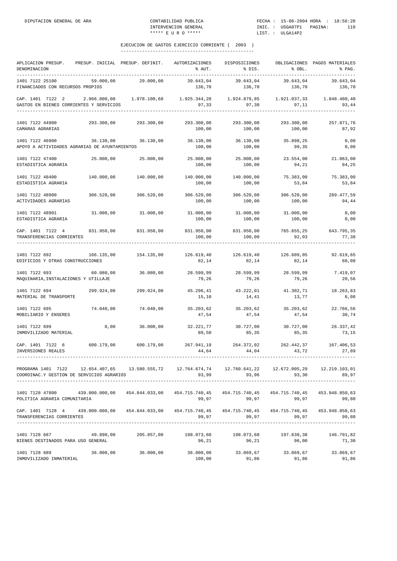| APLICACION PRESUP.<br>DENOMINACION                                                                                                                  | PRESUP. INICIAL PRESUP. DEFINIT. |                      | AUTORIZACIONES<br>% AUT.                                  | DISPOSICIONES<br>% DIS.        | % OBL.               | OBLIGACIONES PAGOS MATERIALES<br>% PAG. |
|-----------------------------------------------------------------------------------------------------------------------------------------------------|----------------------------------|----------------------|-----------------------------------------------------------|--------------------------------|----------------------|-----------------------------------------|
| 1401 7122 25100<br>FINANCIADOS CON RECURSOS PROPIOS                                                                                                 | 59.000,00                        | 29.000,00            | 39.643,04<br>136,70                                       | 39.643,04<br>136,70            | 39.643,04<br>136,70  | 39.643,04<br>136,70                     |
| CAP. 1401 7122 2 2.966.000,00 1.978.100,68 1.925.344,20 1.924.879,85 1.921.037,33<br>GASTOS EN BIENES CORRIENTES Y SERVICIOS                        |                                  |                      | 97,33                                                     | 97,30                          | 97,11                | 1.848.480,40<br>93,44                   |
| 1401 7122 44900<br>CAMARAS AGRARIAS                                                                                                                 | 293.300,00                       | 293.300,00           | 293.300,00<br>100,00                                      | 293.300,00<br>100,00           | 293.300,00<br>100,00 | 257.871,76<br>87,92                     |
| 1401 7122 46900<br>APOYO A ACTIVIDADES AGRARIAS DE AYUNTAMIENTOS                                                                                    | 36.130,00                        | 36.130,00            | 36.130,00 36.130,00<br>100,00                             | 100,00                         | 35.898,25<br>99,35   | 0,00<br>0,00                            |
| 1401 7122 47400<br>ESTADISTICA AGRARIA                                                                                                              | 25.000,00                        | 25.000,00            | 25.000,00<br>100,00                                       | 25.000,00<br>100,00            | 23.554,00<br>94,21   | 21.063,00<br>84,25                      |
| 1401 7122 48400<br>ESTADISTICA AGRARIA                                                                                                              | 140.000,00                       | 140.000,00           | 140.000,00<br>100,00                                      | 140.000,00<br>100,00           | 75.383,00<br>53,84   | 75.383,00<br>53,84                      |
| 1401 7122 48900<br>ACTIVIDADES AGRARIAS                                                                                                             | 306.520,00                       | 306.520,00           | 306.520,00<br>100,00                                      | 306.520,00<br>100,00           | 306.520,00<br>100,00 | 289.477,59<br>94,44                     |
| 1401 7122 48901<br>ESTADISTICA AGRARIA                                                                                                              | 31.000,00                        | 31.000,00            | 31.000,00<br>100,00                                       | 31.000,00<br>100,00            | 31,000,00<br>100,00  | 0,00<br>0,00                            |
| CAP. 1401 7122 4<br>TRANSFERENCIAS CORRIENTES                                                                                                       | 831.950,00                       | 831.950,00           | 831.950,00<br>100,00                                      | 831.950,00<br>100,00           | 765.655,25<br>92,03  | 643.795,35<br>77,38                     |
| 1401 7122 692<br>EDIFICIOS Y OTRAS CONSTRUCCIONES                                                                                                   | 166.135,00                       | 154.135,00           | 126.619,40<br>82,14                                       | 126.619,40<br>82,14            | 126.609,05<br>82,14  | 92.619,65<br>60,08                      |
| 1401 7122 693<br>MAQUINARIA, INSTALACIONES Y UTILLAJE                                                                                               | 60.080,00                        | 36.080,00            | 28.599,99<br>79,26                                        | 28.599,99<br>79,26             | 28.599,99<br>79,26   | 7.419,07<br>20,56                       |
| 1401 7122 694<br>MATERIAL DE TRANSPORTE                                                                                                             | 299.924,00                       | 299.924,00           | 45.296,41<br>15,10                                        | 43.222,01<br>14,41             | 41.302,71<br>13,77   | 18.263,83<br>6,08                       |
| 1401 7122 695<br>MOBILIARIO Y ENSERES                                                                                                               | 74.040,00                        | 74.040,00            | 35.203,62<br>47,54                                        | 35.203,62<br>47,54             | 35.203,62<br>47,54   | 22.766,56<br>30,74                      |
| 1401 7122 699<br>INMOVILIZADO MATERIAL                                                                                                              | 0,00                             | 36.000,00            | 32.221,77<br>89,50                                        | 30.727,00<br>85,35             | 30.727,00<br>85,35   | 26.337,42<br>73,15                      |
| CAP. 1401 7122 6<br>INVERSIONES REALES                                                                                                              | 600.179,00                       | 600.179,00           | 267.941,19<br>44,64                                       | 264.372,02<br>44,04            | 262.442,37<br>43,72  | 167.406,53<br>27,89                     |
| PROGRAMA 1401 7122 12.654.407,65 13.580.555,72 12.764.674,74 12.760.641,22 12.672.005,29 12.219.103,01<br>COORDINAC.Y GESTION DE SERVICIOS AGRARIOS |                                  |                      | 93,99                                                     | 93,96                          | 93,30                | 89.97                                   |
| 1401 7128 47800 439.000.000,00 454.844.033,00 454.715.740,45 454.715.740,45 454.715.740,45 453.948.850,63<br>POLITICA AGRARIA COMUNITARIA           |                                  |                      | 99,97                                                     | 99,97                          | 99,97                | 99,80                                   |
| CAP. 1401 7128 4 439.000.000,00 454.844.033,00 454.715.740,45 454.715.740,45 454.715.740,45 453.948.850,63<br>TRANSFERENCIAS CORRIENTES             |                                  |                      | 99,97                                                     | 99,97                          | 99,97                | 99,80                                   |
| 1401 7128 687<br>BIENES DESTINADOS PARA USO GENERAL                                                                                                 |                                  | 49.890,00 205.857,00 | 96,21                                                     | 198.073,60 198.073,60<br>96,21 | 197.638,38<br>96,00  | 146.791,82<br>71,30                     |
| 1401 7128 689<br>INMOVILIZADO INMATERIAL                                                                                                            |                                  | 36.000,00 36.000,00  | $36.000,00$ $33.069,67$ $33.069,67$ $33.069,67$<br>100,00 | 91,86                          | 91,86                | 91,86                                   |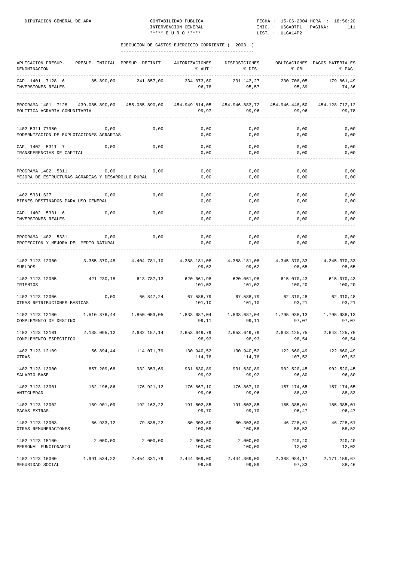| APLICACION PRESUP.<br>DENOMINACION                                      | PRESUP. INICIAL PRESUP. DEFINIT. |                | AUTORIZACIONES<br>% AUT. | DISPOSICIONES<br>% DIS. | % OBL.                  | OBLIGACIONES PAGOS MATERIALES<br>% PAG. |
|-------------------------------------------------------------------------|----------------------------------|----------------|--------------------------|-------------------------|-------------------------|-----------------------------------------|
| CAP. 1401 7128 6<br>INVERSIONES REALES                                  | 85.890,00                        | 241.857,00     | 234.073,60<br>96,78      | 231.143,27<br>95,57     | 230.708,05<br>95,39     | 179.861,49<br>74,36                     |
| PROGRAMA 1401 7128<br>POLITICA AGRARIA COMUNITARIA                      | 439.085.890,00                   | 455.085.890,00 | 454.949.814,05<br>99,97  | 454.946.883,72<br>99,96 | 454.946.448,50<br>99,96 | 454.128.712,12<br>99,78                 |
| 1402 5311 77950<br>MODERNIZACION DE EXPLOTACIONES AGRARIAS              | 0,00                             | 0,00           | 0,00<br>0,00             | 0,00<br>0,00            | 0,00<br>0,00            | 0,00<br>0,00                            |
| CAP. 1402 5311 7<br>TRANSFERENCIAS DE CAPITAL                           | 0,00                             | 0,00           | 0,00<br>0,00             | 0,00<br>0,00            | 0,00<br>0,00            | 0,00<br>0,00                            |
| PROGRAMA 1402 5311<br>MEJORA DE ESTRUCTURAS AGRARIAS Y DESARROLLO RURAL | 0,00                             | 0,00           | 0,00<br>0,00             | 0,00<br>0,00            | 0,00<br>0,00            | 0,00<br>0,00                            |
| 1402 5331 627<br>BIENES DESTINADOS PARA USO GENERAL                     | 0,00                             | 0,00           | 0,00<br>0,00             | 0,00<br>0,00            | 0,00<br>0,00            | 0,00<br>0,00                            |
| CAP. 1402 5331 6<br>INVERSIONES REALES                                  | 0,00                             | 0,00           | 0,00<br>0,00             | 0,00<br>0,00            | 0,00<br>0,00            | 0,00<br>0,00                            |
| PROGRAMA 1402 5331<br>PROTECCION Y MEJORA DEL MEDIO NATURAL             | 0,00                             | 0,00           | 0,00<br>0,00             | 0,00<br>0,00            | 0,00<br>0,00            | 0,00<br>0,00                            |
| 1402 7123 12000<br><b>SUELDOS</b>                                       | 3.355.370,48 4.404.781,10        |                | 4.388.181,08<br>99,62    | 4.388.181,08<br>99,62   | 4.345.370,33<br>98,65   | 4.345.370,33<br>98,65                   |
| 1402 7123 12005<br>TRIENIOS                                             | 421.230,18                       | 613.787,13     | 620.061,98<br>101,02     | 620.061,98<br>101,02    | 615.070,43<br>100,20    | 615.070,43<br>100,20                    |
| 1402 7123 12006<br>OTRAS RETRIBUCIONES BASICAS                          | 0,00                             | 66.847,24      | 67.588,79<br>101,10      | 67.588,79<br>101,10     | 62.310,48<br>93,21      | 62.310,48<br>93,21                      |
| 1402 7123 12100<br>COMPLEMENTO DE DESTINO                               | 1.510.876,44                     | 1.850.053,05   | 1.833.687,04<br>99,11    | 1.833.687,04<br>99,11   | 1.795.938,13<br>97,07   | 1.795.938,13<br>97,07                   |
| 1402 7123 12101<br>COMPLEMENTO ESPECIFICO                               | 2.138.095,12                     | 2.682.157,14   | 2.653.649,79<br>98,93    | 2.653.649,79<br>98,93   | 2.643.125,75<br>98,54   | 2.643.125,75<br>98,54                   |
| 1402 7123 12109<br>OTRAS                                                | 56.894,44                        | 114.071,79     | 130.940,52<br>114,78     | 130.940,52<br>114,78    | 122.660,49<br>107,52    | 122.660,49<br>107,52                    |
| 1402 7123 13000<br>SALARIO BASE                                         | 857.209,68                       | 932.353,69     | 931.630,89<br>99,92      | 931.630,89<br>99,92     | 902.520,45<br>96,80     | 902.520,45<br>96,80                     |
| 1402 7123 13001<br>ANTIGUEDAD                                           | 162.196,86                       | 176.921,12     | 176.867,10<br>99,96      | 176.867,10<br>99,96     | 157.174,65<br>88,83     | 157.174,65<br>88,83                     |
| 1402 7123 13002<br>PAGAS EXTRAS                                         | 169.901,09                       | 192.162,22     | 191.602,85<br>99,70      | 191.602,85<br>99,70     | 185.385,01<br>96,47     | 185.385,01<br>96,47                     |
| 1402 7123 13003<br>OTRAS REMUNERACIONES                                 | 66.933,12                        | 79.838,22      | 80.303,60<br>100,58      | 80.303,60<br>100,58     | 46.728,61<br>58,52      | 46.728,61<br>58,52                      |
| 1402 7123 15100<br>PERSONAL FUNCIONARIO                                 | 2.000,00                         | 2.000,00       | 2.000,00<br>100,00       | 2.000,00<br>100,00      | 240,40<br>12,02         | 240,40<br>12,02                         |
| 1402 7123 16000<br>SEGURIDAD SOCIAL                                     | 1.991.534,22                     | 2.454.331,79   | 2.444.369,00<br>99,59    | 2.444.369,00<br>99,59   | 2.388.984,17<br>97,33   | 2.171.159,67<br>88,46                   |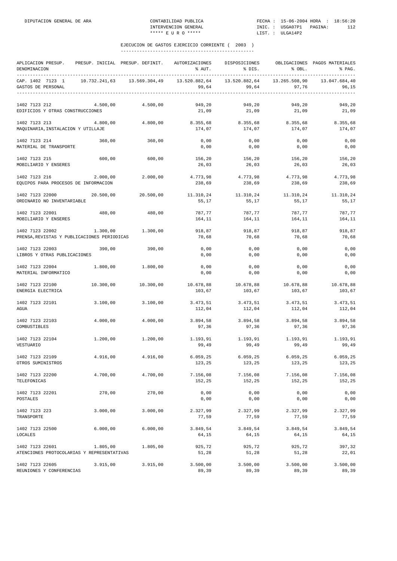| APLICACION PRESUP.<br>DENOMINACION<br>---------------          | PRESUP. INICIAL PRESUP. DEFINIT. |               | AUTORIZACIONES<br>% AUT. | DISPOSICIONES<br>% DIS. | % OBL.                 | OBLIGACIONES PAGOS MATERIALES<br>% PAG. |
|----------------------------------------------------------------|----------------------------------|---------------|--------------------------|-------------------------|------------------------|-----------------------------------------|
| CAP. 1402 7123 1<br>GASTOS DE PERSONAL                         | 10.732.241,63                    | 13.569.304,49 | 13.520.882,64<br>99,64   | 13.520.882,64<br>99,64  | 13.265.508,90<br>97,76 | 13.047.684,40<br>96,15                  |
| 1402 7123 212<br>EDIFICIOS Y OTRAS CONSTRUCCIONES              | 4.500,00                         | 4.500,00      | 949,20<br>21,09          | 949,20<br>21,09         | 949,20<br>21,09        | 949,20<br>21,09                         |
| 1402 7123 213<br>MAQUINARIA, INSTALACION Y UTILLAJE            | 4.800,00                         | 4.800,00      | 8.355,68<br>174,07       | 8.355,68<br>174,07      | 8.355,68<br>174,07     | 8.355,68<br>174,07                      |
| 1402 7123 214<br>MATERIAL DE TRANSPORTE                        | 360,00                           | 360,00        | 0,00<br>0,00             | 0,00<br>0,00            | 0,00<br>0,00           | 0,00<br>0,00                            |
| 1402 7123 215<br>MOBILIARIO Y ENSERES                          | 600,00                           | 600,00        | 156,20<br>26,03          | 156,20<br>26,03         | 156,20<br>26,03        | 156,20<br>26,03                         |
| 1402 7123 216<br>EQUIPOS PARA PROCESOS DE INFORMACION          | 2.000,00                         | 2.000,00      | 4.773,98<br>238,69       | 4.773,98<br>238,69      | 4.773,98<br>238,69     | 4.773,98<br>238,69                      |
| 1402 7123 22000<br>ORDINARIO NO INVENTARIABLE                  | 20.500,00                        | 20.500,00     | 11.310,24<br>55,17       | 11.310,24<br>55,17      | 11.310,24<br>55,17     | 11.310,24<br>55,17                      |
| 1402 7123 22001<br>MOBILIARIO Y ENSERES                        | 480,00                           | 480,00        | 787,77<br>164,11         | 787,77<br>164,11        | 787,77<br>164,11       | 787,77<br>164,11                        |
| 1402 7123 22002<br>PRENSA, REVISTAS Y PUBLICACIONES PERIODICAS | 1.300,00                         | 1.300,00      | 918,87<br>70,68          | 918,87<br>70,68         | 918,87<br>70,68        | 918,87<br>70,68                         |
| 1402 7123 22003<br>LIBROS Y OTRAS PUBLICACIONES                | 390,00                           | 390,00        | 0,00<br>0,00             | 0,00<br>0,00            | 0,00<br>0,00           | 0,00<br>0,00                            |
| 1402 7123 22004<br>MATERIAL INFORMATICO                        | 1.800,00                         | 1.800,00      | 0,00<br>0,00             | 0,00<br>0,00            | 0,00<br>0,00           | 0,00<br>0,00                            |
| 1402 7123 22100<br>ENERGIA ELECTRICA                           | 10.300,00                        | 10.300,00     | 10.678,88<br>103,67      | 10.678,88<br>103,67     | 10.678,88<br>103,67    | 10.678,88<br>103,67                     |
| 1402 7123 22101<br>AGUA                                        | 3.100,00                         | 3.100,00      | 3.473,51<br>112,04       | 3.473,51<br>112,04      | 3.473,51<br>112,04     | 3.473,51<br>112,04                      |
| 1402 7123 22103<br>COMBUSTIBLES                                | 4.000,00                         | 4.000,00      | 3.894,58<br>97,36        | 3.894,58<br>97,36       | 3.894,58<br>97,36      | 3.894,58<br>97,36                       |
| 1402 7123 22104<br>VESTUARIO                                   | 1.200,00                         | 1.200,00      | 1.193,91<br>99,49        | 1,193,91<br>99,49       | 1.193,91<br>99,49      | 1.193,91<br>99,49                       |
| 1402 7123 22109<br>OTROS SUMINISTROS                           | 4.916,00                         | 4.916,00      | 6.059, 25<br>123,25      | 6.059, 25<br>123,25     | 6.059, 25<br>123,25    | 6.059, 25<br>123,25                     |
| 1402 7123 22200<br>TELEFONICAS                                 | 4.700,00                         | 4.700,00      | 7.156,08<br>152,25       | 7.156,08<br>152,25      | 7.156,08<br>152,25     | 7.156,08<br>152,25                      |
| 1402 7123 22201<br>POSTALES                                    | 270,00                           | 270,00        | 0,00<br>0,00             | 0,00<br>0,00            | 0,00<br>0,00           | 0,00<br>0,00                            |
| 1402 7123 223<br>TRANSPORTE                                    | 3.000,00                         | 3.000,00      | 2.327,99<br>77,59        | 2.327,99<br>77,59       | 2.327,99<br>77,59      | 2.327,99<br>77,59                       |
| 1402 7123 22500<br>LOCALES                                     | 6.000,00                         | 6.000,00      | 3.849,54<br>64,15        | 3.849,54<br>64,15       | 3.849,54<br>64,15      | 3.849,54<br>64,15                       |
| 1402 7123 22601<br>ATENCIONES PROTOCOLARIAS Y REPRESENTATIVAS  | 1.805,00                         | 1.805,00      | 925,72<br>51,28          | 925,72<br>51,28         | 925,72<br>51,28        | 397,32<br>22,01                         |
| 1402 7123 22605<br>REUNIONES Y CONFERENCIAS                    | 3.915,00                         | 3.915,00      | 3.500,00<br>89,39        | 3.500,00<br>89,39       | 3.500,00<br>89,39      | 3.500,00<br>89,39                       |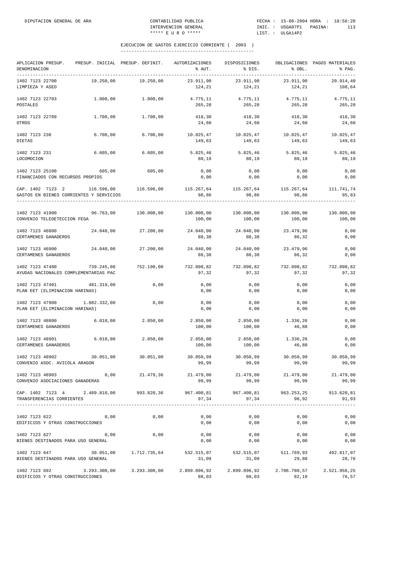| APLICACION PRESUP.<br>DENOMINACION<br>-----------------------------------                                                                                                                                                                                         | PRESUP. INICIAL PRESUP. DEFINIT. |                     | AUTORIZACIONES<br>% AUT.                                                                | DISPOSICIONES<br>$\frac{1}{2}$ bis.          | $\&$ OBL.           | OBLIGACIONES PAGOS MATERIALES<br>% PAG. |
|-------------------------------------------------------------------------------------------------------------------------------------------------------------------------------------------------------------------------------------------------------------------|----------------------------------|---------------------|-----------------------------------------------------------------------------------------|----------------------------------------------|---------------------|-----------------------------------------|
| 1402 7123 22700<br>LIMPIEZA Y ASEO                                                                                                                                                                                                                                | 19.250,00                        | 19.250,00           | 23.911,90<br>124,21                                                                     | 23.911,90<br>124,21                          | 23.911,90<br>124,21 | 20.914,40<br>108,64                     |
| 1402 7123 22703<br>POSTALES                                                                                                                                                                                                                                       | 1.800,00                         | 1.800,00            | 4.775,11<br>265,28                                                                      | 4.775,11<br>265,28                           | 4.775,11<br>265,28  | 4.775,11<br>265,28                      |
| 1402 7123 22709<br>OTROS                                                                                                                                                                                                                                          | 1.700,00                         | 1.700,00            | 418,30<br>24,60                                                                         | 418,30<br>24,60                              | 418,30<br>24,60     | 418,30<br>24,60                         |
| 1402 7123 230<br><b>DIETAS</b>                                                                                                                                                                                                                                    | 6.700,00                         | 6.700,00            | 10.025,47<br>149,63                                                                     | 10.025,47<br>149,63                          | 10.025,47<br>149,63 | 10.025,47<br>149,63                     |
| 1402 7123 231<br>LOCOMOCION                                                                                                                                                                                                                                       | 6.605,00                         | 6.605,00            | 5.825,46<br>88,19                                                                       | 5.825,46<br>88,19                            | 5.825,46<br>88,19   | 5.825,46<br>88,19                       |
| 1402 7123 25100<br>FINANCIADOS CON RECURSOS PROPIOS                                                                                                                                                                                                               | 605,00                           | 605,00              | 0,00<br>0,00                                                                            | 0,00<br>0,00                                 | 0,00<br>0,00        | 0,00<br>0,00                            |
| CAP. 1402 7123 2 116.596,00 116.596,00 115.267,64 115.267,64 115.267,64 111.741,74<br>GASTOS EN BIENES CORRIENTES Y SERVICIOS                                                                                                                                     |                                  |                     | 98,86                                                                                   | 98,86                                        | 98,86               | 95,83<br>--------                       |
| $1402 \hspace{.1cm} 7123 \hspace{.1cm} 41900 \hspace{5.7cm} 96.763,00 \hspace{5.7cm} 130.000,00 \hspace{5.7cm} 130.000,00 \hspace{5.7cm} 130.000,00 \hspace{5.7cm} 130.000,00 \hspace{5.7cm} 130.000,00 \hspace{5.7cm} 130.000,00$<br>CONVENIO TELEDETECCION FEGA |                                  |                     | 100,00                                                                                  | 100,00                                       | 100,00              | 100,00                                  |
| 1402 7123 46800<br>CERTAMENES GANADEROS                                                                                                                                                                                                                           |                                  | 24.040,00 27.200,00 | 24.040,00<br>88,38                                                                      | 24.040,00<br>88,38                           | 23.479,96<br>86,32  | 0,00<br>0,00                            |
| 1402 7123 46900<br>CERTAMENES GANADEROS                                                                                                                                                                                                                           | 24.040,00                        | 27.200,00           | 24.040,00 24.040,00<br>88,38                                                            | 88,38                                        | 23.479,96<br>86,32  | 0,00<br>0,00                            |
| 1402 7123 47400<br>AYUDAS NACIONALES COMPLEMENTARIAS PAC                                                                                                                                                                                                          | 739.245,00                       | 752.190,00          | 97,32                                                                                   | 732.090,82 732.090,82 732.090,82<br>97,32    | 97,32               | 732.090,82<br>97,32                     |
| 1402 7123 47401 481.319,00<br>PLAN EET (ELIMINACION HARINAS)                                                                                                                                                                                                      |                                  | 0,00                | 0,00<br>0,00                                                                            | 0,00<br>0,00                                 | 0,00<br>0,00        | 0,00<br>0,00                            |
| 1402 7123 47900<br>PLAN EET (ELIMINACION HARINAS)                                                                                                                                                                                                                 | 1.082.332,00                     | 0,00                | 0,00<br>0,00                                                                            | 0,00<br>0,00                                 | 0,00<br>0,00        | 0,00<br>0,00                            |
| 1402 7123 48800<br>CERTAMENES GANADEROS                                                                                                                                                                                                                           | 6.010,00                         | 2.850,00            | 2.850,00<br>100,00                                                                      | 2.850,00<br>100,00                           | 1.336,26<br>46,88   | 0,00<br>0,00                            |
| 1402 7123 48901<br>CERTAMENES GANADEROS                                                                                                                                                                                                                           | 6.010,00                         | 2.850,00            | 2.850,00<br>100,00                                                                      | 2.850,00<br>100,00                           | 1.336,26<br>46,88   | 0,00<br>0,00                            |
| 1402 7123 48902<br>CONVENIO ASOC. AVICOLA ARAGON                                                                                                                                                                                                                  | 30.051,00                        | 30.051,00           | 30.050,99<br>99,99                                                                      | 30.050,99<br>99,99                           | 30.050,99<br>99,99  | 30.050,99<br>99,99                      |
| 1402 7123 48903<br>CONVENIO ASOCIACIONES GANADERAS                                                                                                                                                                                                                | 0,00                             | 21.479,36           | 99,99                                                                                   | $21.479,00$ $21.479,00$ $21.479,00$<br>99,99 | 99,99               | 21.479,00<br>99,99                      |
| CAP. 1402 7123 4 2.489.810,00 993.820,36 967.400,81 967.400,81 963.253,25 913.620,81<br>TRANSFERENCIAS CORRIENTES                                                                                                                                                 |                                  |                     | 97,34                                                                                   | 97,34                                        | 96,92               | 91,93                                   |
| 1402 7123 622<br>EDIFICIOS Y OTRAS CONSTRUCCIONES                                                                                                                                                                                                                 | 0,00                             | 0,00                | 0,00<br>0,00                                                                            | 0,00<br>0,00                                 | 0,00<br>0,00        | 0,00<br>0,00                            |
| 1402 7123 627<br>BIENES DESTINADOS PARA USO GENERAL                                                                                                                                                                                                               | 0,00                             | 0,00                | 0,00<br>0,00                                                                            | 0,00<br>0,00                                 | 0,00<br>0,00        | 0,00<br>0,00                            |
| 1402 7123 647<br>BIENES DESTINADOS PARA USO GENERAL                                                                                                                                                                                                               |                                  |                     | $30.051,00$ $1.712.735,64$ $532.515,07$ $532.515,07$ $511.769,93$ $492.617,07$<br>31,09 | 31,09                                        | 29,88               | 28,76                                   |
| $1402 \t7123 \t692 \t3.293.300,00 \t3.293.300,00 \t2.899.096,92 \t2.899.096,92 \t2.706.780,57 \t2.521.956,25$<br>EDIFICIOS Y OTRAS CONSTRUCCIONES                                                                                                                 |                                  |                     | 88,03                                                                                   | 88,03                                        | 82,19               | 76,57                                   |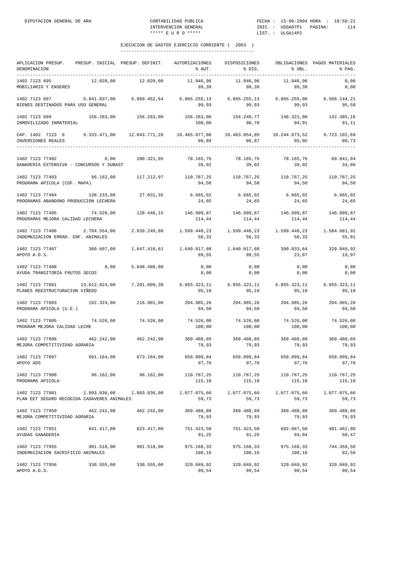| APLICACION PRESUP. PRESUP. INICIAL PRESUP. DEFINIT. AUTORIZACIONES<br>DENOMINACION                          |              |                       | % AUT.                                                                                 | DISPOSICIONES<br>% DIS.                         | % OBL.               | OBLIGACIONES PAGOS MATERIALES<br>% PAG. |
|-------------------------------------------------------------------------------------------------------------|--------------|-----------------------|----------------------------------------------------------------------------------------|-------------------------------------------------|----------------------|-----------------------------------------|
| 1402 7123 695<br>MOBILIARIO Y ENSERES                                                                       | 12.020,00    | 12.020,00             | 11.946,96<br>99,39                                                                     | 11.946,96<br>99,39                              | 11.946,96<br>99,39   | 0,00<br>0,00                            |
| 1402 7123 697<br>BIENES DESTINADOS PARA USO GENERAL                                                         |              |                       | 5.841.837,00 6.869.452,64 6.865.255,13 6.865.255,13 6.865.255,06 6.566.144,21<br>99,93 | 99,93                                           | 99,93                | 95,58                                   |
| 1402 7123 699 156.263,00 156.263,00<br>INMOVILIZADO INMATERIAL                                              |              |                       | 156.263,00  154.240,77  148.321,00  142.385,16<br>100,00                               | 98,70                                           | 94,91                | 91,11                                   |
| CAP. 1402 7123 6 9.333.471,00 12.043.771,28 10.465.077,08 10.463.054,85 10.244.073,52<br>INVERSIONES REALES |              |                       |                                                                                        | 86,89 86,87                                     | 85,05                | 9.723.102,69<br>80,73                   |
| 1402 7123 77402<br>GANADERIA EXTENSIVA - CONCURSOS Y SUBAST                                                 | 0,00         | 200.321,95            | 78.165,76<br>39,02                                                                     | 78.165,76<br>39,02                              | 78.165,76<br>39,02   | 69.841,94<br>34,86                      |
| 1402 7123 77403<br>PROGRAMA APICOLA (COF. MAPA)                                                             |              |                       | $96.162,00$ $117.212,97$ $110.767,25$ $110.767,25$ $110.767,25$<br>94,50               | 94,50                                           | 94,50                | 110.767,25<br>94,50                     |
| 1402 7123 77404<br>PROGRAMAS ABANDONO PRODUCCION LECHERA                                                    | 138.233,00   | 27.031,35             | 24,65                                                                                  | 6.665,92 6.665,92 6.665,92<br>24,65             | 24,65                | 6.665,92<br>24,65                       |
| 1402 7123 77405 74.526,00<br>PROGRAMAS MEJORA CALIDAD LECHERA                                               |              |                       | $128.446,15$ $146.999,87$ $146.999,87$ $146.999,87$ $146.999,87$<br>114,44             | 114,44                                          | 114,44               | 114,44                                  |
| 1402 7123 77406<br>INDEMNIZACION ERRAD. ENF. ANIMALES                                                       | 2.704.554,00 | 2.839.249,88          | 56,33                                                                                  | 1.599.448,23 1.599.448,23 1.599.448,23<br>56,33 | 56,33                | 1.584.681,92<br>55,81                   |
| 1402 7123 77407<br>APOYO A.D.S.                                                                             |              |                       | 360.607,00   1.647.410,61   1.640.017,88   1.640.017,88<br>99,55                       | 99,55                                           | 390.033,64<br>23,67  | 329.049,92<br>19,97                     |
| 1402 7123 77408<br>AYUDA TRANSITORIA FRUTOS SECOS                                                           | 0,00         | 5.048.486,00          | 0,00<br>0,00                                                                           | 0,00<br>0,00                                    | 0,00<br>0,00         | 0,00<br>0,00                            |
| 1402 7123 77801 13.612.924,00<br>PLANES REESTRUCTURACION VIÑEDO                                             |              | 7.201.609,30          | $6.855.323,11$ $6.855.323,11$ $6.855.323,11$ $6.855.323,11$<br>95,19                   | 95,19                                           | 95,19                | 95,19                                   |
| 1402 7123 77803<br>PROGRAMA APICOLA (U.E.)                                                                  |              | 192.324,00 216.901,00 | 94,50                                                                                  | 204.985,26 204.985,26 204.985,26<br>94,50       | 94,50                | 204.985,26<br>94,50                     |
| 1402 7123 77805<br>PROGRAM MEJORA CALIDAD LECHE                                                             |              | 74.526,00 74.526,00   | 74.526,00<br>100,00                                                                    | 74.526,00<br>100,00                             | 74.526,00<br>100,00  | 74.526,00<br>100,00                     |
| 1402 7123 77806<br>MEJORA COMPETITIVIDAD AGRARIA                                                            |              | 462.242,00 462.242,00 | 79,93                                                                                  | 369.488,89 369.488,89 369.488,89<br>79,93       | 79,93                | 369.488,89<br>79,93                     |
| 1402 7123 77807<br>APOYO ADS                                                                                | 691.164,00   | 673.164.00            | 658.099,84<br>97,76                                                                    | 658.099,84<br>97,76                             | 658.099,84<br>97,76  | 658,099,84<br>97,76                     |
| 1402 7123 77900<br>PROGRAMA APICOLA                                                                         |              |                       | 115,18                                                                                 | 115,18                                          | 110.767,25<br>115,18 | 110.767,25<br>115,18                    |
| 1402 7123 77901 1.803.036,00 1.803.036,00<br>PLAN EET SEGURO RECOGIDA CADAVERES ANIMALES                    |              |                       | $1.077.075,66$ $1.077.075,66$ $1.077.075,66$<br>59,73                                  | 59,73                                           | 59,73                | 1.077.075,66<br>59,73                   |
| 1402 7123 77950<br>MEJORA COMPETITIVIDAD AGRARIA                                                            |              | 462.242,00 462.242,00 | 369.488,89<br>79,93                                                                    | 369.488,89<br>79,93                             | 369.488,89<br>79,93  | 369.488,89<br>79,93                     |
| 1402 7123 77951<br>AYUDAS GANADERIA                                                                         |              | 841.417,00 823.417,00 | 751.423,50<br>91,25                                                                    | 751.423,50<br>91,25                             | 692.067,50<br>84,04  | 481.462,80<br>58,47                     |
| 1402 7123 77955<br>INDEMNIZACION SACRIFICIO ANIMALES                                                        | 901.518,00   | 901.518,00            | 975.168,33<br>108,16                                                                   | 975.168,33<br>108,16                            | 975.168,33<br>108,16 | 744.359,50<br>82,56                     |
| 1402 7123 77956 330.555,00 330.555,00<br>APOYO A.D.S.                                                       |              |                       | 329.049,92 329.049,92 329.049,92<br>99,54                                              | 99,54                                           | 99,54                | 329.049,92<br>99,54                     |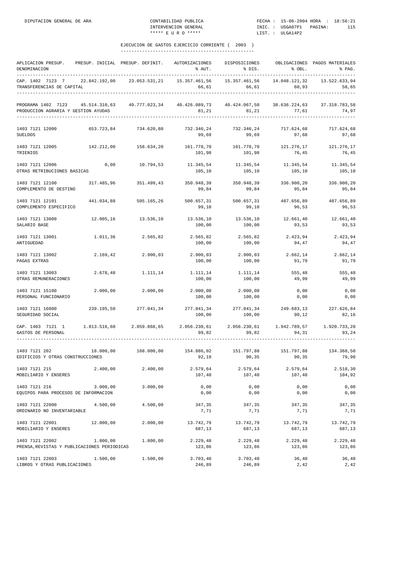| APLICACION PRESUP.<br>DENOMINACION                                                                                              |            | PRESUP. INICIAL PRESUP. DEFINIT. | AUTORIZACIONES<br>% AUT.                                  | DISPOSICIONES<br>8 DIS.                                  | % OBL.                 | OBLIGACIONES PAGOS MATERIALES<br>% PAG. |
|---------------------------------------------------------------------------------------------------------------------------------|------------|----------------------------------|-----------------------------------------------------------|----------------------------------------------------------|------------------------|-----------------------------------------|
| CAP. 1402 7123 7 22.842.192,00 23.053.531,21<br>TRANSFERENCIAS DE CAPITAL                                                       |            |                                  | 15.357.461,56                                             | 15.357.461,56<br>66,61<br>66,61                          | 14.048.121,32<br>60,93 | 13.522.633,94<br>58,65                  |
| PROGRAMA 1402 7123 45.514.310,63 49.777.023,34 40.426.089,73 40.424.067,50 38.636.224,63<br>PRODUCCION AGRARIA Y GESTION AYUDAS |            |                                  | 81,21                                                     | 81,21                                                    | 77,61                  | 37.318.783,58<br>74,97                  |
| 1403 7121 12000<br><b>SUELDOS</b>                                                                                               | 653.723,84 | 734.620,80                       | 732.346,24<br>99,69                                       | 732.346,24<br>99,69                                      | 717.624,68<br>97,68    | 717.624,68<br>97,68                     |
| 1403 7121 12005<br>TRIENIOS                                                                                                     | 142.212,00 | 158.634,20                       | 161.778,70<br>101,98                                      | 161.778,70<br>101,98                                     | 121.276,17<br>76,45    | 121.276,17<br>76,45                     |
| 1403 7121 12006<br>OTRAS RETRIBUCIONES BASICAS                                                                                  | 0,00       | 10.794,53                        | $11.345,54$ $11.345,54$ $11.345,54$ $11.345,54$<br>105,10 | 105,10                                                   | 105,10                 | 105,10                                  |
| 1403 7121 12100<br>COMPLEMENTO DE DESTINO                                                                                       |            | 317.485,96 351.499,43            | 350.948,39<br>99,84                                       | 350.948,39<br>99,84                                      | 336.900,20<br>95,84    | 336.900,20<br>95,84                     |
| 1403 7121 12101<br>COMPLEMENTO ESPECIFICO                                                                                       | 441.034,88 | 505.165,26                       | 500.657,31<br>99,10                                       | 500.657,31<br>99,10                                      | 487.656,89<br>96,53    | 487.656,89<br>96,53                     |
| 1403 7121 13000<br>SALARIO BASE                                                                                                 | 12.005,16  | 13.536,10                        | 13.536,10<br>100,00                                       | 13.536,10<br>100,00                                      | 12.661,40<br>93,53     | 12.661,40<br>93,53                      |
| 1403 7121 13001<br>ANTIGUEDAD                                                                                                   | 1.011,36   | 2.565,82                         | 2.565,82<br>100,00                                        | 2.565,82<br>100,00                                       | 94,47                  | 2.423,94 2.423,94<br>94,47              |
| 1403 7121 13002<br>PAGAS EXTRAS                                                                                                 | 2.169,42   | 2.900,03                         | 2.900,03<br>100,00                                        | 2.900,03<br>100,00                                       | 2.662,14<br>91,79      | 2.662,14<br>91,79                       |
| 1403 7121 13003<br>OTRAS REMUNERACIONES                                                                                         | 2.678,48   | 1.111,14                         | 1.111,14<br>100,00                                        | 1.111,14<br>100,00                                       | 555,48<br>49,99        | 555,48<br>49,99                         |
| 1403 7121 15100<br>PERSONAL FUNCIONARIO                                                                                         | 2.000,00   | 2.000,00                         | 2.000,00<br>100,00                                        | 2.000,00<br>100,00                                       | 0,00<br>0,00           | 0,00<br>0,00                            |
| 1403 7121 16000<br>SEGURIDAD SOCIAL                                                                                             | 239.195,50 | 277.041,34                       | 277.041,34 277.041,34 249.683,13 227.626,84<br>100,00     | 100,00                                                   | 90,12                  | 82,16                                   |
| CAP. 1403 7121 1<br>GASTOS DE PERSONAL                                                                                          |            | 1.813.516,60 2.059.868,65        | 99,82                                                     | $2.056.230, 61$ $2.056.230, 61$ $1.942.789, 57$<br>99,82 | 94,31                  | 1.920.733,28<br>93,24                   |
| 1403 7121 202<br>EDIFICIOS Y OTRAS CONSTRUCCIONES                                                                               | 18.000,00  | 168.000,00                       | 154.886,02<br>92, 19                                      | 151.797,88<br>90, 35                                     | 151.797,88             | 134.368,50<br>90,35 79,98               |
| 1403 7121 215<br>MOBILIARIO Y ENSERES                                                                                           | 2.400,00   | 2.400,00                         | 2.579,64<br>107,48                                        | 2.579,64<br>107,48                                       | 2.579,64<br>107,48     | 2.518,30<br>104,92                      |
| 1403 7121 216<br>EQUIPOS PARA PROCESOS DE INFORMACION                                                                           | 3.000,00   | 3.000,00                         | 0,00<br>0,00                                              | 0,00<br>0,00                                             | 0,00<br>0,00           | 0,00<br>0,00                            |
| 1403 7121 22000<br>ORDINARIO NO INVENTARIABLE                                                                                   | 4.500,00   | 4.500,00                         | 347,35<br>7,71                                            | 347,35<br>7,71                                           | 347,35<br>7,71         | 347,35<br>7,71                          |
| 1403 7121 22001<br>MOBILIARIO Y ENSERES                                                                                         | 12.000,00  | 2,000,00                         | 13.742,79<br>687,13                                       | 13.742,79<br>687,13                                      | 13.742,79<br>687,13    | 13.742,79<br>687,13                     |
| 1403 7121 22002<br>PRENSA, REVISTAS Y PUBLICACIONES PERIODICAS                                                                  | 1.800,00   | 1.800,00                         | 2.229,48<br>123,86                                        | 2.229,48<br>123,86                                       | 2.229,48<br>123,86     | 2.229,48<br>123,86                      |
| 1403 7121 22003<br>LIBROS Y OTRAS PUBLICACIONES                                                                                 | 1.500,00   | 1.500,00                         | 3.703,40<br>246,89                                        | 3.703, 40<br>246,89                                      | 36,40<br>2,42          | 36,40<br>2,42                           |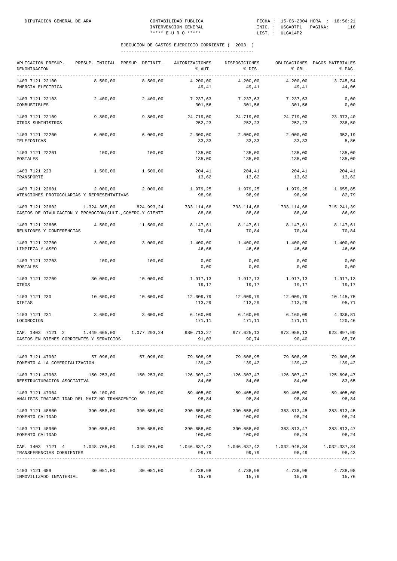| APLICACION PRESUP.<br>DENOMINACION                                                                             | PRESUP. INICIAL PRESUP. DEFINIT. |                           | AUTORIZACIONES<br>% AUT.                                 | DISPOSICIONES<br>% DIS. | % OBL.              | OBLIGACIONES PAGOS MATERIALES<br>% PAG. |
|----------------------------------------------------------------------------------------------------------------|----------------------------------|---------------------------|----------------------------------------------------------|-------------------------|---------------------|-----------------------------------------|
| 1403 7121 22100<br>ENERGIA ELECTRICA                                                                           | 8.500,00                         | 8.500,00                  | 4.200,00<br>49,41                                        | 4.200,00<br>49,41       | 4.200,00<br>49,41   | 3.745,54<br>44,06                       |
| 1403 7121 22103<br>COMBUSTIBLES                                                                                | 2.400,00                         | 2.400,00                  | 7.237,63<br>301,56                                       | 7.237,63<br>301,56      | 7.237,63<br>301,56  | 0,00<br>0,00                            |
| 1403 7121 22109<br>OTROS SUMINISTROS                                                                           | 9.800,00                         | 9.800,00                  | 24.719,00<br>252,23                                      | 24.719,00<br>252,23     | 24.719,00<br>252,23 | 23.373,40<br>238,50                     |
| 1403 7121 22200<br>TELEFONICAS                                                                                 | 6.000,00                         | 6.000,00                  | 2.000,00<br>33,33                                        | 2.000,00<br>33,33       | 2.000,00<br>33,33   | 352,19<br>5,86                          |
| 1403 7121 22201<br>POSTALES                                                                                    | 100,00                           | 100,00                    | 135,00<br>135,00                                         | 135,00<br>135,00        | 135,00<br>135,00    | 135,00<br>135,00                        |
| 1403 7121 223<br>TRANSPORTE                                                                                    | 1.500,00                         | 1.500,00                  | 204,41<br>13,62                                          | 204,41<br>13,62         | 204,41<br>13,62     | 204,41<br>13,62                         |
| 1403 7121 22601<br>ATENCIONES PROTOCOLARIAS Y REPRESENTATIVAS                                                  | 2.000,00                         | 2.000,00                  | 1.979,25<br>98,96                                        | 1.979,25<br>98,96       | 1.979,25<br>98,96   | 1.655,85<br>82,79                       |
| 1403 7121 22602<br>GASTOS DE DIVULGACION Y PROMOCION(CULT., COMERC.Y CIENTI                                    | 1.324.365,00                     | 824.993,24                | 733.114,68<br>88,86                                      | 733.114,68<br>88,86     | 733.114,68<br>88,86 | 715.241,39<br>86,69                     |
| 1403 7121 22605<br>REUNIONES Y CONFERENCIAS                                                                    | 4.500,00                         | 11.500,00                 | 8.147,61<br>70,84                                        | 8.147,61<br>70,84       | 8.147,61<br>70,84   | 8.147,61<br>70,84                       |
| 1403 7121 22700<br>LIMPIEZA Y ASEO                                                                             | 3.000,00                         | 3.000,00                  | 1.400,00<br>46,66                                        | 1.400,00<br>46,66       | 1.400,00<br>46,66   | 1.400,00<br>46,66                       |
| 1403 7121 22703<br>POSTALES                                                                                    | 100,00                           | 100,00                    | 0,00<br>0,00                                             | 0,00<br>0,00            | 0,00<br>0,00        | 0,00<br>0,00                            |
| 1403 7121 22709<br>OTROS                                                                                       | 30.000,00                        | 10.000,00                 | 1.917,13<br>19,17                                        | 1.917,13<br>19,17       | 1.917,13<br>19,17   | 1.917,13<br>19,17                       |
| 1403 7121 230<br>DIETAS                                                                                        | 10.600,00                        | 10.600,00                 | 12.009,79<br>113,29                                      | 12.009,79<br>113,29     | 12.009,79<br>113,29 | 10.145,75<br>95,71                      |
| 1403 7121 231<br>LOCOMOCION                                                                                    | 3.600,00                         | 3.600,00                  | 6.160,09<br>171,11                                       | 6.160,09<br>171,11      | 6.160,09<br>171,11  | 4.336,81<br>120,46                      |
| CAP. 1403 7121 2<br>GASTOS EN BIENES CORRIENTES Y SERVICIOS                                                    |                                  | 1.449.665,00 1.077.293,24 | 980.713,27<br>91,03                                      | 977.625,13<br>90,74     | 973.958,13<br>90,40 | 923.897,90<br>85,76                     |
| 1403 7121 47902<br>FOMENTO A LA COMERCIALIZACION                                                               | 57.096,00                        | 57.096,00                 | 79.608,95<br>139,42                                      | 79.608,95<br>139,42     | 79.608,95<br>139,42 | 79.608,95<br>139,42                     |
| 1403 7121 47903<br>REESTRUCTURACION ASOCIATIVA                                                                 | 150.253,00 150.253,00            |                           | 126.307,47<br>84,06                                      | 126.307,47<br>84,06     | 84,06               | 126.307,47 125.696,47<br>83,65          |
| 1403 7121 47904 60.100,00 60.100,00<br>ANALISIS TRATABILIDAD DEL MAIZ NO TRANSGENICO                           |                                  |                           | $59.405,00$ $59.405,00$ $59.405,00$ $59.405,00$<br>98,84 | 98,84                   | 98,84               | 98,84                                   |
| 1403 7121 48800<br>FOMENTO CALIDAD                                                                             |                                  | 390.658,00 390.658,00     | 390.658,00<br>100,00                                     | 390.658,00<br>100,00    | 383.813,45<br>98,24 | 383.813,45<br>98,24                     |
| 1403 7121 48900<br>FOMENTO CALIDAD                                                                             |                                  | 390.658,00 390.658,00     | 390.658,00 390.658,00<br>100,00                          | 100,00                  | 98,24               | 383.813,47 383.813,47<br>98,24          |
| CAP. 1403 7121 4 1.048.765,00 1.048.765,00 1.046.637,42 1.046.637,42 1.032.948,34<br>TRANSFERENCIAS CORRIENTES | ________________________         |                           | 99,79                                                    | 99,79                   | 98,49               | 1.032.337,34<br>98,43                   |
| 1403 7121 689<br>INMOVILIZADO INMATERIAL                                                                       |                                  | 30.051,00 30.051,00       | 4.738,98<br>15,76                                        | 4.738,98<br>15,76       | 4.738,98<br>15,76   | 4.738,98<br>15,76                       |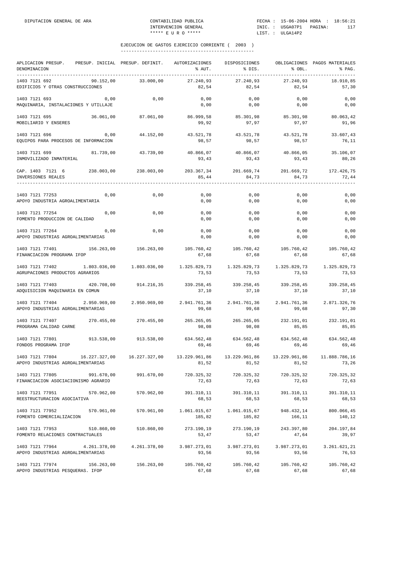| APLICACION PRESUP.<br>DENOMINACION                     |              | PRESUP. INICIAL PRESUP. DEFINIT. AUTORIZACIONES                                     | % AUT.                 | DISPOSICIONES<br>% DIS.            | % OBL.                | OBLIGACIONES PAGOS MATERIALES<br>% PAG. |
|--------------------------------------------------------|--------------|-------------------------------------------------------------------------------------|------------------------|------------------------------------|-----------------------|-----------------------------------------|
| 1403 7121 692<br>EDIFICIOS Y OTRAS CONSTRUCCIONES      | 90.152,00    | 33.000,00                                                                           | 27.240.93<br>82,54     | 27.240,93<br>82,54                 | 27.240,93<br>82,54    | 18.910.85<br>57,30                      |
| 1403 7121 693<br>MAQUINARIA, INSTALACIONES Y UTILLAJE  | 0,00         | 0,00                                                                                | 0,00<br>0,00           | 0,00<br>0,00                       | 0,00<br>0,00          | 0,00<br>0,00                            |
| 1403 7121 695<br>MOBILIARIO Y ENSERES                  | 36.061,00    | 87.061,00                                                                           | 86.999,58<br>99,92     | 85.301,98<br>97,97                 | 85.301,98<br>97,97    | 80.063,42<br>91,96                      |
| 1403 7121 696<br>EQUIPOS PARA PROCESOS DE INFORMACION  | 0,00         | 44.152,00                                                                           | 43.521,78<br>98,57     | 43.521,78<br>98,57                 | 43.521,78<br>98,57    | 33.607,43<br>76,11                      |
| 1403 7121 699<br>INMOVILIZADO INMATERIAL               | 81.739,00    | 43.739,00                                                                           | 40.866,07<br>93,43     | 40.866,07<br>93,43                 | 40.866,05<br>93,43    | 35.106,07<br>80,26                      |
| CAP. 1403 7121 6<br>INVERSIONES REALES                 |              | 238.003,00 238.003,00                                                               | 85,44                  | 203.367,34 201.669,74<br>84,73     | 201.669,72<br>84,73   | 172.426,75<br>72,44                     |
| 1403 7121 77253<br>APOYO INDUSTRIA AGROALIMENTARIA     | 0,00         | 0,00                                                                                | 0,00<br>0,00           | 0,00<br>0,00                       | 0,00<br>0,00          | 0,00<br>0,00                            |
| 1403 7121 77254<br>FOMENTO PRODUCCION DE CALIDAD       | 0,00         | 0,00                                                                                | 0,00<br>0,00           | 0,00<br>0,00                       | 0,00<br>0,00          | 0,00<br>0,00                            |
| 1403 7121 77264<br>APOYO INDUSTRIAS AGROALIMENTARIAS   | 0,00         | 0,00                                                                                | 0,00<br>0,00           | 0,00<br>0,00                       | 0,00<br>0,00          | 0,00<br>0,00                            |
| 1403 7121 77401<br>FINANCIACION PROGRAMA IFOP          | 156.263,00   | 156.263,00                                                                          | 105.760,42<br>67,68    | 105.760,42<br>67,68                | 105.760,42<br>67,68   | 105.760,42<br>67,68                     |
| 1403 7121 77402<br>AGRUPACIONES PRODUCTOS AGRARIOS     |              |                                                                                     | 73,53                  | 1.325.829,73 1.325.829,73<br>73,53 | 1.325.829,73<br>73,53 | 1.325.829,73<br>73,53                   |
| 1403 7121 77403<br>ADQUISICION MAQUINARIA EN COMUN     | 420.708,00   | 914.216,35                                                                          | 37,10                  | 339.258,45 339.258,45<br>37,10     | 339.258,45<br>37,10   | 339.258,45<br>37,10                     |
| 1403 7121 77404<br>APOYO INDUSTRIAS AGROALIMENTARIAS   | 2.950.969,00 | 2.950.969,00                                                                        | 2.941.761,36<br>99,68  | 2.941.761,36<br>99,68              | 2.941.761,36<br>99,68 | 2.871.326,76<br>97,30                   |
| 1403 7121 77407<br>PROGRAMA CALIDAD CARNE              | 270.455,00   | 270.455,00                                                                          | 265.265,05<br>98,08    | 265.265,05<br>98,08                | 232.191,01<br>85,85   | 232.191,01<br>85,85                     |
| 1403 7121 77801<br>FONDOS PROGRAMA IFOP                |              | 913.538,00 913.538,00                                                               | 69,46                  | 634.562,48 634.562,48<br>69,46     | 634.562,48<br>69,46   | 634.562,48<br>69,46                     |
| 1403 7121 77804<br>APOYO INDUSTRIAS AGROALIMENTARIAS   |              | 16.227.327,00 16.227.327,00 13.229.961,86 13.229.961,86 13.229.961,86 11.888.786,16 | 81,52                  | 81,52                              | 81,52                 | 73,26                                   |
| 1403 7121 77805<br>FINANCIACION ASOCIACIONISMO AGRARIO | 991.670,00   | 991.670,00                                                                          | 720.325,32<br>72,63    | 720.325,32<br>72,63                | 720.325,32<br>72,63   | 720.325,32<br>72,63                     |
| 1403 7121 77951<br>REESTRUCTURACION ASOCIATIVA         | 570.962,00   | 570.962,00                                                                          | 391.310,11<br>68,53    | 391.310,11<br>68,53                | 391.310,11<br>68,53   | 391.310,11<br>68,53                     |
| 1403 7121 77952<br>FOMENTO COMERCIALIZACION            | 570.961,00   | 570.961,00                                                                          | 1.061.015,67<br>185,82 | 1.061.015,67<br>185,82             | 948.432,14<br>166,11  | 800.066,45<br>140,12                    |
| 1403 7121 77953<br>FOMENTO RELACIONES CONTRACTUALES    | 510.860,00   | 510.860,00                                                                          | 273.190,19<br>53,47    | 273.190,19<br>53,47                | 243.397,80<br>47,64   | 204.197,84<br>39,97                     |
| 1403 7121 77964<br>APOYO INDUSTRIAS AGROALIMENTARIAS   | 4.261.378,00 | 4.261.378,00                                                                        | 3.987.273,01<br>93,56  | 3.987.273,01<br>93,56              | 3.987.273,01<br>93,56 | 3.261.621,21<br>76,53                   |
| 1403 7121 77974<br>APOYO INDUSTRIAS PESQUERAS. IFOP    | 156.263,00   | 156.263,00                                                                          | 105.760,42<br>67,68    | 105.760,42<br>67,68                | 105.760,42<br>67,68   | 105.760,42<br>67,68                     |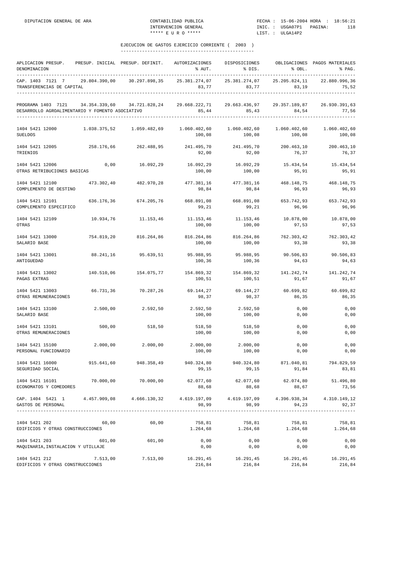DIPUTACION GENERAL DE ARA

| CONTABILIDAD PUBLICA | FECHA: 15-06-2004 HORA : 18:56:21 |  |     |
|----------------------|-----------------------------------|--|-----|
| INTERVENCION GENERAL | INIC.: USGA07P1 PAGINA:           |  | 118 |
| ***** E II R O ***** | LIST. : ULGA14P2                  |  |     |

| APLICACION PRESUP.<br>DENOMINACION                                                                                                                                                                                                                                                                                                                                         |            | PRESUP. INICIAL PRESUP. DEFINIT. AUTORIZACIONES | % AUT.                                                                                             | DISPOSICIONES<br>$$DIS.$ $$OBL.$                                                   |                      | OBLIGACIONES PAGOS MATERIALES<br>% PAG. |
|----------------------------------------------------------------------------------------------------------------------------------------------------------------------------------------------------------------------------------------------------------------------------------------------------------------------------------------------------------------------------|------------|-------------------------------------------------|----------------------------------------------------------------------------------------------------|------------------------------------------------------------------------------------|----------------------|-----------------------------------------|
| CAP. 1403 7121 7 29.804.390,00 30.297.898,35<br>TRANSFERENCIAS DE CAPITAL                                                                                                                                                                                                                                                                                                  |            |                                                 |                                                                                                    | 25.381.274,07 25.381.274,07 25.205.824,11 22.880.996,36<br>83,77 83,77 83,19 75,52 |                      |                                         |
| PROGRAMA 1403 7121 34.354.339,60 34.721.828,24 29.668.222,71 29.663.436,97 29.357.189,87 26.930.391,63<br>DESARROLLO AGROALIMENTARIO Y FOMENTO ASOCIATIVO                                                                                                                                                                                                                  |            |                                                 |                                                                                                    | 85,44 85,43 84,54 77,56                                                            | __________________   |                                         |
| 1404 5421 12000<br>SUELDOS                                                                                                                                                                                                                                                                                                                                                 |            |                                                 | $1.038.375.52$ $1.059.482.69$ $1.060.402.60$ $1.060.402.60$ $1.060.402.60$<br>100,08               | 100,08                                                                             | 100,08               | 1.060.402,60<br>100,08                  |
| $1404 \quad 5421 \quad 12005 \qquad \qquad 258.176 \quad 66 \qquad \qquad 262.488 \quad 95 \qquad \qquad 241.495 \quad 70 \qquad \qquad 241.495 \quad 70 \qquad \qquad 200.463 \quad 10 \qquad \qquad 200.463 \quad 10 \qquad \qquad 200.463 \quad 10 \qquad \qquad 200.464 \quad 200.465 \quad 100 \qquad \qquad 200.465 \quad 200.465 \quad 200.465 \quad 2$<br>TRIENIOS |            |                                                 | 92,00                                                                                              | 92,00                                                                              | 76,37                | 76,37                                   |
| 1404 5421 12006<br>OTRAS RETRIBUCIONES BASICAS                                                                                                                                                                                                                                                                                                                             |            |                                                 | $0\,,00$ $16\,.092\,,29$ $16\,.092\,,29$ $16\,.092\,,29$ $15\,.434\,,54$ $15\,.434\,,54$<br>100,00 | 100,00                                                                             | 95,91                | 95,91                                   |
| 1404 5421 12100 473.302,40 482.970,28<br>COMPLEMENTO DE DESTINO                                                                                                                                                                                                                                                                                                            |            |                                                 | 477.381,16<br>98,84                                                                                | 477.381,16<br>98,84                                                                | 468.148,75<br>96, 93 | 468.148,75<br>96,93                     |
| 1404 5421 12101<br>COMPLEMENTO ESPECIFICO                                                                                                                                                                                                                                                                                                                                  |            | 636.176,36 674.205,76                           | 668.891,08<br>99,21                                                                                | 668.891,08 653.742,93<br>99,21                                                     | 96,96                | 653.742,93<br>96,96                     |
| 1404 5421 12109<br>OTRAS                                                                                                                                                                                                                                                                                                                                                   |            |                                                 | $10.934,76$ $11.153,46$ $11.153,46$ $11.153,46$ $10.878,00$<br>100,00                              | 100,00                                                                             | 97,53                | 10.878,00<br>97,53                      |
| 1404 5421 13000<br>SALARIO BASE                                                                                                                                                                                                                                                                                                                                            |            |                                                 | 754.819,20 816.264,86 816.264,86 816.264,86 762.303,42<br>100,00                                   | 100,00                                                                             | 93,38                | 762.303,42<br>93,38                     |
| 1404 5421 13001<br>ANTIGUEDAD                                                                                                                                                                                                                                                                                                                                              |            | 88.241,16 95.639,51                             | 95.988,95<br>100,36                                                                                | 95.988,95<br>100,36                                                                | 90.506,83<br>94,63   | 90.506,83<br>94,63                      |
| 1404 5421 13002<br>PAGAS EXTRAS                                                                                                                                                                                                                                                                                                                                            | 140.510,06 |                                                 | $154.075,77$ $154.869,32$ $154.869,32$ $141.242,74$<br>100,51                                      | 100,51                                                                             | 91,67                | 141.242,74<br>91,67                     |
| 1404 5421 13003<br>OTRAS REMUNERACIONES                                                                                                                                                                                                                                                                                                                                    |            |                                                 | $66.731,36$ $70.287,26$ $69.144,27$ $69.144,27$ $60.699,82$<br>98,37                               | 98,37                                                                              | 86,35                | 60.699,82<br>86,35                      |
| 1404 5421 13100<br>SALARIO BASE                                                                                                                                                                                                                                                                                                                                            | 2.500,00   | 2.592,50                                        | 2.592,50 2.592,50<br>100,00                                                                        | 100,00                                                                             | 0,00<br>0,00         | 0,00<br>0,00                            |
| 1404 5421 13101<br>OTRAS REMUNERACIONES                                                                                                                                                                                                                                                                                                                                    | 500,00     | 518,50                                          | 518,50                                                                                             | 518,50<br>100,00 100,00                                                            | 0,00<br>0,00         | 0,00<br>0,00                            |
| 1404 5421 15100<br>PERSONAL FUNCIONARIO                                                                                                                                                                                                                                                                                                                                    | 2.000,00   | 2.000,00                                        | $2.000,00$ $2.000,00$<br>100,00                                                                    | 100,00                                                                             | 0,00<br>0,00         | 0,00<br>0,00                            |
| 1404 5421 16000<br>SEGURIDAD SOCIAL                                                                                                                                                                                                                                                                                                                                        |            | 915.641,60 948.358,49                           | 940.324,80<br>99,15                                                                                | 940.324,80<br>99,15                                                                | 871.040,81<br>91,84  | 794.829,59<br>83,81                     |
| 1404 5421 16101<br>ECONOMATOS Y COMEDORES                                                                                                                                                                                                                                                                                                                                  | 70.000,00  | 70.000,00                                       | 88,68                                                                                              | 62.077,60 62.077,60<br>88,68                                                       | 62.074,80<br>88,67   | 51.496,80<br>73,56                      |
| CAP. 1404 5421 1 4.457.909,08 4.666.130,32 4.619.197,09 4.619.197,09<br>GASTOS DE PERSONAL                                                                                                                                                                                                                                                                                 |            |                                                 | 98,99<br>-------------                                                                             | 98,99<br>______________                                                            | 94,23                | 4.396.938,34 4.310.149,12<br>92,37      |
| 1404 5421 202<br>EDIFICIOS Y OTRAS CONSTRUCCIONES                                                                                                                                                                                                                                                                                                                          | 60,00      | 60,00                                           | 758,81                                                                                             | 758,81<br>$1.264,68$ $1.264,68$                                                    | 758,81<br>1.264,68   | 758,81<br>1.264,68                      |
| 1404 5421 203<br>MAQUINARIA, INSTALACION Y UTILLAJE                                                                                                                                                                                                                                                                                                                        | 601,00     | 601,00                                          | 0,00<br>0,00                                                                                       | 0,00<br>0,00                                                                       | 0,00<br>0,00         | 0,00<br>0,00                            |
| 1404 5421 212<br>EDIFICIOS Y OTRAS CONSTRUCCIONES                                                                                                                                                                                                                                                                                                                          | 7.513,00   | 7.513,00                                        | 16.291,45<br>216,84                                                                                | 16.291,45<br>216,84                                                                | 16.291,45<br>216,84  | 16.291,45<br>216,84                     |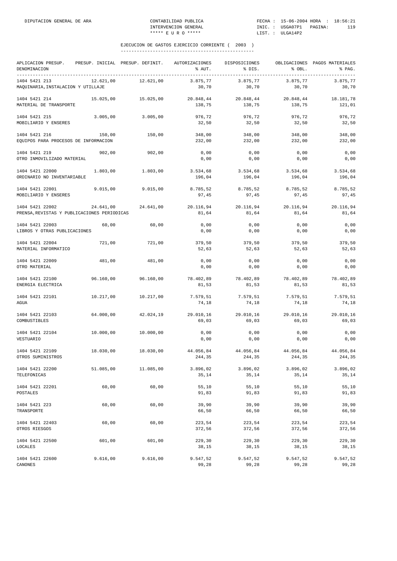| APLICACION PRESUP.<br>DENOMINACION                             |           | PRESUP. INICIAL PRESUP. DEFINIT. | AUTORIZACIONES<br>% AUT. | DISPOSICIONES<br>% DIS. | % OBL.              | OBLIGACIONES PAGOS MATERIALES<br>% PAG. |
|----------------------------------------------------------------|-----------|----------------------------------|--------------------------|-------------------------|---------------------|-----------------------------------------|
| 1404 5421 213<br>MAQUINARIA, INSTALACION Y UTILLAJE            | 12.621.00 | 12.621,00                        | 3.875.77<br>30,70        | 3.875,77<br>30,70       | 3.875,77<br>30,70   | 3.875,77<br>30,70                       |
| 1404 5421 214<br>MATERIAL DE TRANSPORTE                        | 15.025,00 | 15.025,00                        | 20.848,44<br>138,75      | 20.848,44<br>138,75     | 20.848,44<br>138,75 | 18.181,78<br>121,01                     |
| 1404 5421 215<br>MOBILIARIO Y ENSERES                          | 3.005,00  | 3.005,00                         | 976,72<br>32,50          | 976,72<br>32,50         | 976,72<br>32,50     | 976,72<br>32,50                         |
| 1404 5421 216<br>EQUIPOS PARA PROCESOS DE INFORMACION          | 150,00    | 150,00                           | 348,00<br>232,00         | 348,00<br>232,00        | 348,00<br>232,00    | 348,00<br>232,00                        |
| 1404 5421 219<br>OTRO INMOVILIZADO MATERIAL                    | 902,00    | 902,00                           | 0,00<br>0,00             | 0,00<br>0,00            | 0,00<br>0,00        | 0,00<br>0,00                            |
| 1404 5421 22000<br>ORDINARIO NO INVENTARIABLE                  | 1.803,00  | 1.803,00                         | 3.534,68<br>196,04       | 3.534,68<br>196,04      | 3.534,68<br>196,04  | 3.534,68<br>196,04                      |
| 1404 5421 22001<br>MOBILIARIO Y ENSERES                        | 9.015.00  | 9.015,00                         | 8.785,52<br>97,45        | 8.785,52<br>97,45       | 8.785,52<br>97,45   | 8.785.52<br>97,45                       |
| 1404 5421 22002<br>PRENSA, REVISTAS Y PUBLICACIONES PERIODICAS | 24.641,00 | 24.641,00                        | 20.116,94<br>81,64       | 20.116,94<br>81,64      | 20.116,94<br>81,64  | 20.116,94<br>81,64                      |
| 1404 5421 22003<br>LIBROS Y OTRAS PUBLICACIONES                | 60,00     | 60,00                            | 0,00<br>0,00             | 0,00<br>0,00            | 0,00<br>0,00        | 0,00<br>0,00                            |
| 1404 5421 22004<br>MATERIAL INFORMATICO                        | 721,00    | 721,00                           | 379,50<br>52,63          | 379,50<br>52,63         | 379,50<br>52,63     | 379,50<br>52,63                         |
| 1404 5421 22009<br>OTRO MATERIAL                               | 481,00    | 481,00                           | 0,00<br>0,00             | 0,00<br>0,00            | 0,00<br>0,00        | 0,00<br>0,00                            |
| 1404 5421 22100<br>ENERGIA ELECTRICA                           | 96.160,00 | 96.160,00                        | 78.402,89<br>81,53       | 78.402,89<br>81,53      | 78.402,89<br>81,53  | 78.402,89<br>81,53                      |
| 1404 5421 22101<br>AGUA                                        | 10.217,00 | 10.217,00                        | 7.579,51<br>74,18        | 7.579,51<br>74,18       | 7.579,51<br>74,18   | 7.579,51<br>74,18                       |
| 1404 5421 22103<br>COMBUSTIBLES                                | 64.000,00 | 42.024,19                        | 29.010,16<br>69,03       | 29.010,16<br>69,03      | 29.010,16<br>69,03  | 29.010,16<br>69,03                      |
| 1404 5421 22104<br>VESTUARIO                                   | 10,000,00 | 10.000.00                        | 0,00<br>0,00             | 0,00<br>0,00            | 0,00<br>0,00        | 0,00<br>0,00                            |
| 1404 5421 22109<br>OTROS SUMINISTROS                           | 18.030,00 | 18.030,00                        | 44.056,84<br>244,35      | 44.056,84<br>244,35     | 44.056,84<br>244,35 | 44.056,84<br>244,35                     |
| 1404 5421 22200<br>TELEFONICAS                                 | 51.085,00 | 11.085,00                        | 3.896,02<br>35,14        | 3.896,02<br>35,14       | 3.896,02<br>35,14   | 3.896,02<br>35,14                       |
| 1404 5421 22201<br><b>POSTALES</b>                             | 60,00     | 60,00                            | 55, 10<br>91,83          | 55,10<br>91,83          | 55, 10<br>91,83     | 55,10<br>91,83                          |
| 1404 5421 223<br>TRANSPORTE                                    | 60,00     | 60,00                            | 39,90<br>66,50           | 39,90<br>66,50          | 39,90<br>66,50      | 39,90<br>66,50                          |
| 1404 5421 22403<br>OTROS RIESGOS                               | 60,00     | 60,00                            | 223,54<br>372,56         | 223,54<br>372,56        | 223,54<br>372,56    | 223,54<br>372,56                        |
| 1404 5421 22500<br>LOCALES                                     | 601,00    | 601,00                           | 229,30<br>38,15          | 229,30<br>38,15         | 229,30<br>38,15     | 229,30<br>38,15                         |
| 1404 5421 22600<br>CANONES                                     | 9.616,00  | 9.616,00                         | 9.547,52<br>99,28        | 9.547,52<br>99,28       | 9.547,52<br>99,28   | 9.547,52<br>99,28                       |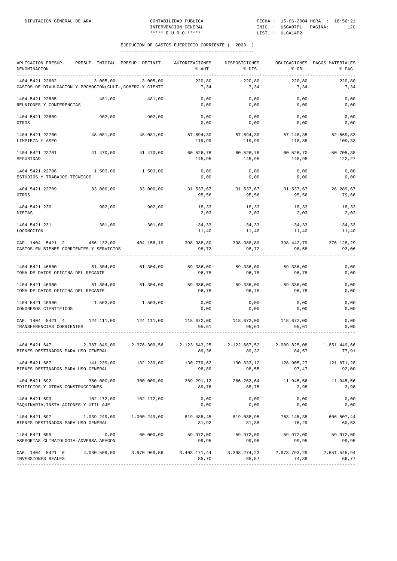| APLICACION PRESUP.<br>DENOMINACION                                                                                            |            | PRESUP. INICIAL PRESUP. DEFINIT.                                                          | AUTORIZACIONES<br>% AUT.                                 | DISPOSICIONES<br>% DIS.                               | % OBL.              | OBLIGACIONES PAGOS MATERIALES<br>% PAG. |
|-------------------------------------------------------------------------------------------------------------------------------|------------|-------------------------------------------------------------------------------------------|----------------------------------------------------------|-------------------------------------------------------|---------------------|-----------------------------------------|
| 1404 5421 22602<br>GASTOS DE DIVULGACION Y PROMOCION(CULT., COMERC.Y CIENTI                                                   | 3.005,00   | 3.005,00                                                                                  | 220,80<br>7,34                                           | 220,80<br>7,34                                        | 220,80<br>7,34      | 220,80<br>7,34                          |
| 1404 5421 22605<br>REUNIONES Y CONFERENCIAS                                                                                   | 481,00     | 481,00                                                                                    | 0,00<br>0,00                                             | 0,00<br>0,00                                          | 0,00<br>0,00        | 0,00<br>0,00                            |
| 1404 5421 22609<br>OTROS                                                                                                      | 902,00     | 902,00                                                                                    | 0,00<br>0,00                                             | 0,00<br>0,00                                          | 0,00<br>0,00        | 0,00<br>0,00                            |
| 1404 5421 22700<br>LIMPIEZA Y ASEO                                                                                            |            | 48.081,00 48.081,00                                                                       | 57.694,30<br>119,99                                      | 57.694,30<br>119,99                                   | 57.148,35<br>118,85 | 52.569,83<br>109,33                     |
| 1404 5421 22701<br>SEGURIDAD                                                                                                  | 41.470,00  | 41.470,00                                                                                 | 60.526,76 60.526,76<br>145,95                            | 145,95                                                | 60.526,70<br>145,95 | 50.705,38<br>122,27                     |
| 1404 5421 22706<br>ESTUDIOS Y TRABAJOS TECNICOS                                                                               | 1.503,00   | 1.503,00                                                                                  | 0,00<br>0,00                                             | 0,00<br>0,00                                          | 0,00<br>0,00        | 0,00<br>0,00                            |
| 1404 5421 22709<br>OTROS                                                                                                      |            | $33.000,00$ $33.000,00$                                                                   | $31.537,67$ $31.537,67$ $31.537,67$ $26.289,67$<br>95,56 | 95,56                                                 | 95,56               | 79,66                                   |
| 1404 5421 230<br><b>DIETAS</b>                                                                                                | 902,00     | 902,00                                                                                    | 18,33<br>2,03                                            | 18,33<br>2,03                                         | 18,33<br>2,03       | 18,33<br>2,03                           |
| 1404 5421 231<br>LOCOMOCION                                                                                                   | 301,00     | 301,00                                                                                    | 34,33<br>11,40                                           | 34,33<br>11,40                                        | 34,33<br>11,40      | 34,33<br>11,40                          |
| CAP. 1404 5421 2 466.132,00 404.156,19 398.988,80 398.988,80 398.442,79 376.128,29<br>GASTOS EN BIENES CORRIENTES Y SERVICIOS |            |                                                                                           | 98,72                                                    | 98,72                                                 | 98,58               | 93,06                                   |
| 1404 5421 46800<br>TOMA DE DATOS OFICINA DEL REGANTE                                                                          |            | 61.304,00 61.304,00                                                                       | 96,78                                                    | 59.336,00 59.336,00 59.336,00<br>96,78                | 96,78               | 0,00<br>0,00                            |
| 1404 5421 46900<br>TOMA DE DATOS OFICINA DEL REGANTE                                                                          | 61.304,00  | 61.304,00                                                                                 | 59.336,00 59.336,00<br>96,78                             | 96,78                                                 | 59.336,00<br>96,78  | 0,00<br>0,00                            |
| 1404 5421 48900<br>CONGRESOS CIENTIFICOS                                                                                      | 1.503,00   | 1.503,00                                                                                  | 0,00<br>0,00                                             | 0,00<br>0,00                                          | 0,00<br>0,00        | 0,00<br>0,00                            |
| CAP. 1404 5421 4<br>TRANSFERENCIAS CORRIENTES                                                                                 |            | 124.111,00    124.111,00                                                                  | 118.672,00   118.672,00   118.672,00<br>95,61            | 95,61                                                 | 95,61               | 0,00<br>0,00                            |
| 1404 5421 647<br>BIENES DESTINADOS PARA USO GENERAL                                                                           |            | $2.387.849,00$ $2.376.309,56$ $2.123.643,25$ $2.122.667,52$ $2.009.825,08$ $1.851.449,66$ | 89,36                                                    | 89,32                                                 | 84,57               | 77,91                                   |
| 1404 5421 687<br>BIENES DESTINADOS PARA USO GENERAL                                                                           | 141.239,00 | 132.239,00                                                                                | 130.779,62<br>98,89                                      | 130.333,12<br>98,55                                   | 128.905,27<br>97,47 | 121.671,28<br>92,00                     |
| 1404 5421 692<br>EDIFICIOS Y OTRAS CONSTRUCCIONES                                                                             | 360.000,00 | 300.000,00                                                                                | 269.291,12<br>89,76                                      | 266.262,64<br>88,75                                   | 11.945,56<br>3,98   | 11.945,56<br>3,98                       |
| 1404 5421 693<br>MAQUINARIA, INSTALACIONES Y UTILLAJE                                                                         | 102.172,00 | 102.172,00                                                                                | 0,00<br>0,00                                             | 0,00<br>0,00                                          | 0,00<br>0,00        | 0,00<br>0,00                            |
| 1404 5421 697 1.039.249,00 1.000.249,00<br>BIENES DESTINADOS PARA USO GENERAL                                                 |            |                                                                                           | 81,92                                                    | 819.485,45 819.038,95 763.145,38<br>81,88             | 76,29               | 606.507,44<br>60,63                     |
| 1404 5421 699<br>ASESORIAS CLIMATOLOGIA ADVERSA ARAGON                                                                        | 0,00       | 60.000,00                                                                                 | 59.972,00<br>99,95                                       | 59.972,00<br>99,95                                    | 59.972,00<br>99,95  | 59.972,00<br>99,95                      |
| CAP. 1404 5421 6 4.030.509,00 3.970.969,56<br>INVERSIONES REALES                                                              |            |                                                                                           | 85,70                                                    | $3.403.171,44$ $3.398.274,23$ $2.973.793,29$<br>85,57 | 74,88               | 2.651.545,94<br>66,77                   |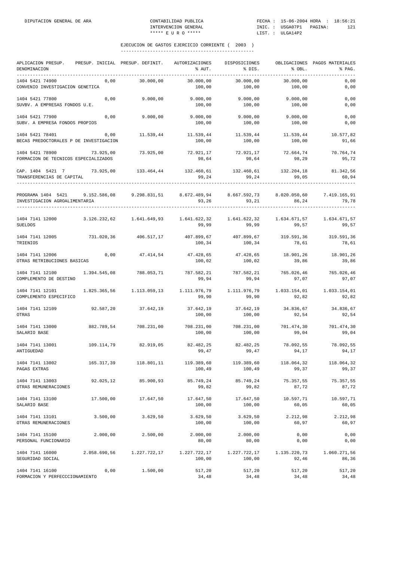| APLICACION PRESUP. PRESUP. INICIAL PRESUP. DEFINIT.<br>DENOMINACION<br>-----------                                   |                      |              | AUTORIZACIONES<br>% AUT.                             | DISPOSICIONES<br>% DIS.         | % OBL.                         | OBLIGACIONES PAGOS MATERIALES<br>% PAG. |
|----------------------------------------------------------------------------------------------------------------------|----------------------|--------------|------------------------------------------------------|---------------------------------|--------------------------------|-----------------------------------------|
| 1404 5421 74900<br>CONVENIO INVESTIGACION GENETICA                                                                   | 0,00                 | 30.000,00    | 30.000,00<br>100,00                                  | 30.000,00<br>100,00             | 30.000,00<br>100,00            | 0,00<br>0,00                            |
| 1404 5421 77800<br>SUVBV. A EMPRESAS FONDOS U.E.                                                                     | 0,00                 | 9.000,00     | 9.000,00                                             | 9.000,00<br>100,00 100,00       | 9.000,00<br>100,00             | 0,00<br>0,00                            |
| 1404 5421 77900<br>SUBV. A EMPRESA FONDOS PROPIOS                                                                    | 0,00                 | 9.000,00     | 100,00                                               | $9.000,00$ $9.000,00$<br>100,00 | 9.000,00<br>100,00             | 0,00<br>0,00                            |
| 1404 5421 78401<br>BECAS PREDOCTORALES P DE INVESTIGACION                                                            | 0,00                 | 11.539,44    | 11.539,44<br>100,00                                  | 11.539,44<br>100,00             | 11.539,44<br>100,00            | 10.577,82<br>91,66                      |
| 1404 5421 78900<br>FORMACION DE TECNICOS ESPECIALIZADOS                                                              | 73.925,00            | 73.925,00    | 72.921,17<br>98,64                                   | 72.921,17<br>98,64              | 72.664,74<br>98,29             | 70.764,74<br>95,72                      |
| CAP. 1404 5421 7<br>TRANSFERENCIAS DE CAPITAL                                                                        | 73.925,00            |              | 133.464,44 132.460,61 132.460,61 132.204,18<br>99,24 | 99,24                           | 99,05                          | 81.342,56<br>60,94                      |
| PROGRAMA 1404 5421 9.152.586,08 9.298.831,51 8.672.489,94 8.667.592,73 8.020.050,60<br>INVESTIGACION AGROALIMENTARIA |                      |              | 93,26                                                | 93,21                           | 86,24                          | 7.419.165,91<br>79,78                   |
| 1404 7141 12000 3.126.232,62 1.641.649,93 1.641.622,32 1.641.622,32 1.634.671,57<br><b>SUELDOS</b>                   |                      |              | 99,99                                                | 99,99                           | 99,57                          | 1.634.671,57<br>99,57                   |
| 1404 7141 12005 731.020,36 406.517,17<br>TRIENIOS                                                                    |                      |              | 407.899,67 407.899,67 319.591,36<br>100,34           | 100,34                          | 78,61                          | 319.591,36<br>78,61                     |
| 1404 7141 12006<br>OTRAS RETRIBUCIONES BASICAS                                                                       | 0,00                 | 47.414,54    | 47.428,65<br>100,02                                  | 47.428,65<br>100,02             | 18.901,26<br>39,86             | 18.901,26<br>39,86                      |
| 1404 7141 12100<br>COMPLEMENTO DE DESTINO                                                                            | 1.394.545,08         | 788.053,71   | 787.582,21<br>99,94                                  | 99,94                           | 787.582,21 765.026,46<br>97,07 | 765.026,46<br>97,07                     |
| 1404 7141 12101 1.825.365,56 1.113.059,13 1.111.976,79 1.111.976,79 1.033.154,01<br>COMPLEMENTO ESPECIFICO           |                      |              | 99,90                                                | 99,90                           | 92,82                          | 1.033.154,01<br>92,82                   |
| 1404 7141 12109<br>OTRAS                                                                                             | 92.587,20            | 37.642,19    | 37.642,19 37.642,19<br>100,00                        | 100,00                          | 34.836,67<br>92,54             | 34.836,67<br>92,54                      |
| 1404 7141 13000<br>SALARIO BASE                                                                                      | 882.789,54           | 708.231,00   | 100,00                                               | 708.231,00 708.231,00<br>100,00 | 701.474,30<br>99,04            | 701.474,30<br>99,04                     |
| 1404 7141 13001<br>ANTIGUEDAD                                                                                        | 109.114,79 82.919,05 |              | 82.482,25<br>99,47                                   | 82.482,25<br>99,47              | 78.092,55<br>94,17             | 78.092,55<br>94,17                      |
| 1404 7141 13002<br>PAGAS EXTRAS                                                                                      | 165.317,39           | 118.801,11   | 119.389,60<br>100,49                                 | 119.389,60<br>100,49            | 118.064,32<br>99,37            | 118.064,32<br>99,37                     |
| 1404 7141 13003<br>OTRAS REMUNERACIONES                                                                              | 92.025,12            | 85.900,93    | 85.749,24<br>99,82                                   | 85.749,24<br>99,82              | 75.357,55<br>87,72             | 75.357,55<br>87,72                      |
| 1404 7141 13100<br>SALARIO BASE                                                                                      | 17.500,00            | 17.647,50    | 17.647,50<br>100,00                                  | 17.647,50<br>100,00             | 10.597,71<br>60,05             | 10.597,71<br>60,05                      |
| 1404 7141 13101<br>OTRAS REMUNERACIONES                                                                              | 3.500,00             | 3.629, 50    | 3.629,50<br>100,00                                   | 3.629,50<br>100,00              | 2.212,98<br>60,97              | 2.212,98<br>60,97                       |
| 1404 7141 15100<br>PERSONAL FUNCIONARIO                                                                              | 2.000,00             | 2.500,00     | 2.000,00<br>80,00                                    | 2.000,00<br>80,00               | 0,00<br>0,00                   | 0,00<br>0,00                            |
| 1404 7141 16000<br>SEGURIDAD SOCIAL                                                                                  | 2.058.690,56         | 1.227.722,17 | 1.227.722,17<br>100,00                               | 1.227.722,17<br>100,00          | 1.135.220,73<br>92,46          | 1.060.271,56<br>86,36                   |
| 1404 7141 16100<br>FORMACION Y PERFECCCIONAMIENTO                                                                    | 0,00                 | 1.500,00     | 517,20<br>34,48                                      | 517,20<br>34,48                 | 517,20<br>34,48                | 517,20<br>34,48                         |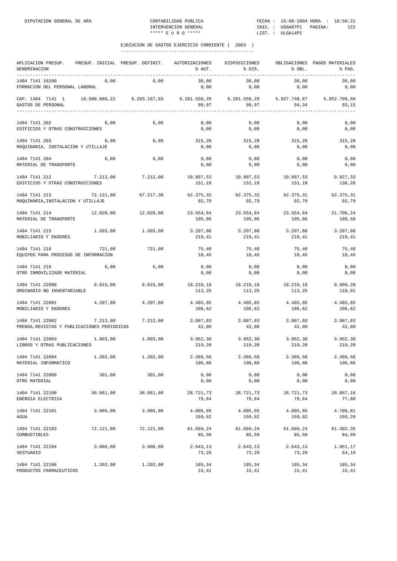| APLICACION PRESUP.<br>DENOMINACION<br>----------               |               | PRESUP. INICIAL PRESUP. DEFINIT. | AUTORIZACIONES<br>% AUT. | DISPOSICIONES<br>% DIS. | % OBL.              | OBLIGACIONES PAGOS MATERIALES<br>% PAG. |
|----------------------------------------------------------------|---------------|----------------------------------|--------------------------|-------------------------|---------------------|-----------------------------------------|
| 1404 7141 16200<br>FORMACION DEL PERSONAL LABORAL              | 0,00          | 0,00                             | 30,00<br>0,00            | 30,00<br>0,00           | 30,00<br>0,00       | 30,00<br>0,00                           |
| CAP. 1404 7141 1<br>GASTOS DE PERSONAL                         | 10.500.688,22 | 6.283.187,93                     | 99,97                    | 99,97                   | 94,34               | 5.852.799,50<br>93,15                   |
| 1404 7141 202<br>EDIFICIOS Y OTRAS CONSTRUCCIONES              | 6,00          | 6,00                             | 0,00<br>0,00             | 0,00<br>0,00            | 0,00<br>0,00        | 0,00<br>0,00                            |
| 1404 7141 203<br>MAQUINARIA, INSTALACION Y UTILLAJE            | 0,00          | 0,00                             | 315,28<br>0,00           | 315,28<br>0,00          | 315,28<br>0,00      | 315,28<br>0,00                          |
| 1404 7141 204<br>MATERIAL DE TRANSPORTE                        | 6,00          | 6,00                             | 0,00<br>0,00             | 0,00<br>0,00            | 0,00<br>0,00        | 0,00<br>0,00                            |
| 1404 7141 212<br>EDIFICIOS Y OTRAS CONSTRUCCIONES              | 7.212,00      | 7.212,00                         | 10.897,53<br>151,10      | 10.897,53<br>151,10     | 10.897,53<br>151,10 | 9.827,33<br>136,26                      |
| 1404 7141 213<br>MAQUINARIA, INSTALACION Y UTILLAJE            | 72.121,00     | 67.217,30                        | 62.375,32<br>92,79       | 62.375,32<br>92,79      | 62.375,31<br>92,79  | 62.375,31<br>92,79                      |
| 1404 7141 214<br>MATERIAL DE TRANSPORTE                        | 12.020,00     | 12.020,00                        | 23.554,64<br>195,96      | 23.554,64<br>195,96     | 23.554,64<br>195,96 | 21.706,24<br>180,58                     |
| 1404 7141 215<br>MOBILIARIO Y ENSERES                          | 1.503,00      | 1.503,00                         | 3.297,88<br>219,41       | 3.297,88<br>219,41      | 3.297,88<br>219,41  | 3.297,88<br>219,41                      |
| 1404 7141 216<br>EQUIPOS PARA PROCESOS DE INFORMACION          | 721,00        | 721,00                           | 75,40<br>10,45           | 75,40<br>10,45          | 75,40<br>10,45      | 75,40<br>10,45                          |
| 1404 7141 219<br>OTRO INMOVILIZADO MATERIAL                    | 6,00          | 6,00                             | 0,00<br>0,00             | 0,00<br>0,00            | 0,00<br>0,00        | 0,00<br>0,00                            |
| 1404 7141 22000<br>ORDINARIO NO INVENTARIABLE                  | 9.015,00      | 9.015,00                         | 10.210,18<br>113,25      | 10.210,18<br>113,25     | 10.210,18<br>113,25 | 9.999,20<br>110,91                      |
| 1404 7141 22001<br>MOBILIARIO Y ENSERES                        | 4.207,00      | 4.207,00                         | 4.485,85<br>106,62       | 4.485,85<br>106,62      | 4.485,85<br>106,62  | 4.485,85<br>106,62                      |
| 1404 7141 22002<br>PRENSA, REVISTAS Y PUBLICACIONES PERIODICAS | 7.212,00      | 7.212.00                         | 3.087,03<br>42,80        | 3.087,03<br>42,80       | 3.087,03<br>42,80   | 3.087,03<br>42,80                       |
| 1404 7141 22003<br>LIBROS Y OTRAS PUBLICACIONES                | 1.803,00      | 1.803,00                         | 3.952,30<br>219,20       | 3.952,30<br>219,20      | 3.952,30<br>219,20  | 3.952,30<br>219,20                      |
| 1404 7141 22004<br>MATERIAL INFORMATICO                        | 1.202,00      | 1.202,00                         | 2.366,58<br>196,88       | 2.366.58<br>196,88      | 2.366,58<br>196,88  | 2.366,58<br>196,88                      |
| 1404 7141 22009<br>OTRO MATERIAL                               | 301,00        | 301,00                           | 0,00<br>0,00             | 0,00<br>0,00            | 0,00<br>0,00        | 0,00<br>0,00                            |
| 1404 7141 22100<br>ENERGIA ELECTRICA                           | 36.061,00     | 36.061,00                        | 28.721,73<br>79,64       | 28.721,73<br>79,64      | 28.721,73<br>79,64  | 28.057,16<br>77,80                      |
| 1404 7141 22101<br>AGUA                                        | 3.005,00      | 3.005,00                         | 4.805,65<br>159,92       | 4.805,65<br>159,92      | 4.805,65<br>159,92  | 4.786,81<br>159,29                      |
| 1404 7141 22103<br>COMBUSTIBLES                                | 72.121,00     | 72.121,00                        | 61.669,24<br>85,50       | 61.669,24<br>85,50      | 61.669,24<br>85,50  | 61.302,35<br>84,99                      |
| 1404 7141 22104<br>VESTUARIO                                   | 3.606,00      | 3.606,00                         | 2.643,13<br>73,29        | 2.643,13<br>73,29       | 2.643,13<br>73,29   | 1.951,17<br>54,10                       |
| 1404 7141 22106<br>PRODUCTOS FARMACEUTICOS                     | 1.202,00      | 1.202,00                         | 185,34<br>15,41          | 185,34<br>15,41         | 185,34<br>15,41     | 185,34<br>15,41                         |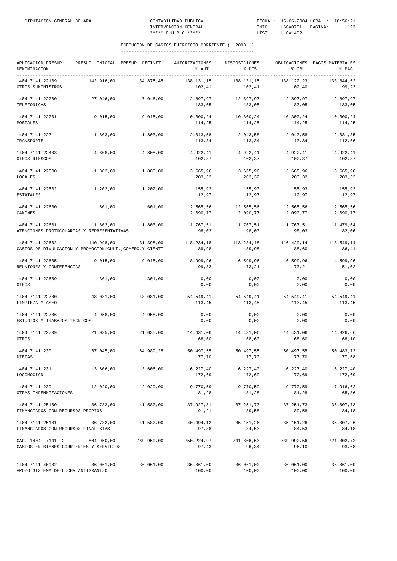| APLICACION PRESUP.<br>DENOMINACION                                                                                            | PRESUP. INICIAL PRESUP. DEFINIT. AUTORIZACIONES |            | % AUT.                | DISPOSICIONES<br>% DIS. | % OBL.                            | OBLIGACIONES PAGOS MATERIALES<br>% PAG. |
|-------------------------------------------------------------------------------------------------------------------------------|-------------------------------------------------|------------|-----------------------|-------------------------|-----------------------------------|-----------------------------------------|
| 1404 7141 22109<br>OTROS SUMINISTROS                                                                                          | 142.916.00                                      | 134.875,45 | 138.131,15<br>102,41  | 138.131,15<br>102,41    | 138.122,23<br>102,40              | 133.844,52<br>99,23                     |
| 1404 7141 22200<br>TELEFONICAS                                                                                                | 27.046,00                                       | 7.046,00   | 12.897,97<br>183,05   | 12.897,97<br>183,05     | 12.897,97<br>183,05               | 12.897,97<br>183,05                     |
| 1404 7141 22201<br>POSTALES                                                                                                   | 9.015,00                                        | 9.015,00   | 10.300,24<br>114,25   | 10.300,24<br>114,25     | 10.300,24<br>114,25               | 10.300,24<br>114,25                     |
| 1404 7141 223<br>TRANSPORTE                                                                                                   | 1.803,00                                        | 1.803,00   | 2.043,58<br>113,34    | 2.043,58<br>113,34      | 2.043,58<br>113,34                | 2.031,35<br>112,66                      |
| 1404 7141 22403<br>OTROS RIESGOS                                                                                              | 4.808,00                                        | 4.808,00   | 4.922,41<br>102,37    | 4.922,41<br>102,37      | 4.922,41<br>102,37                | 4.922,41<br>102,37                      |
| 1404 7141 22500<br>LOCALES                                                                                                    | 1.803,00                                        | 1.803,00   | 3.665,96<br>203,32    | 3.665,96<br>203,32      | 3.665,96<br>203,32                | 3.665,96<br>203,32                      |
| 1404 7141 22502<br><b>ESTATALES</b>                                                                                           | 1.202,00                                        | 1.202,00   | 155,93<br>12,97       | 155,93<br>12,97         | 155,93<br>12,97                   | 155,93<br>12,97                         |
| 1404 7141 22600<br>CANONES                                                                                                    | 601,00                                          | 601,00     | 12.565,56<br>2.090,77 | 12.565,56<br>2.090,77   | 12.565,56<br>2.090,77             | 12.565,56<br>2.090,77                   |
| 1404 7141 22601<br>ATENCIONES PROTOCOLARIAS Y REPRESENTATIVAS                                                                 | 1.803,00                                        | 1.803,00   | 1.767,51<br>98,03     | 1.767,51<br>98,03       | 1.767,51<br>98,03                 | 1.479,64<br>82,06                       |
| 1404 7141 22602<br>GASTOS DE DIVULGACION Y PROMOCION(CULT., COMERC.Y CIENTI                                                   | 140.998,00                                      | 131.398,00 | 118.234,18<br>89,98   | 118.234,18<br>89,98     | 116.429,14<br>88,60               | 113.549,14<br>86,41                     |
| 1404 7141 22605<br>REUNIONES Y CONFERENCIAS                                                                                   | 9.015,00                                        | 9.015,00   | 8.999,96<br>99,83     | 6.599,96<br>73,21       | 6.599,96<br>73,21                 | 4.599,96<br>51,02                       |
| 1404 7141 22609<br>OTROS                                                                                                      | 301,00                                          | 301,00     | 0,00<br>0,00          | 0,00<br>0,00            | 0,00<br>0,00                      | 0,00<br>0,00                            |
| 1404 7141 22700<br>LIMPIEZA Y ASEO                                                                                            | 48.081,00                                       | 48.081,00  | 54.549,41<br>113,45   | 54.549,41<br>113,45     | 54.549,41<br>113,45               | 54.549,41<br>113,45                     |
| 1404 7141 22706<br>ESTUDIOS Y TRABAJOS TECNICOS                                                                               | 4.958,00                                        | 4.958,00   | 0,00<br>0,00          | 0,00<br>0,00            | 0,00<br>0,00                      | 0,00<br>0,00                            |
| 1404 7141 22709<br>OTROS                                                                                                      | 21.035,00                                       | 21.035,00  | 14.431,06<br>68,60    | 14.431,06<br>68,60      | 14.431,06<br>68,60                | 14.326,66<br>68,10                      |
| 1404 7141 230<br>DIETAS                                                                                                       | 67.045,00                                       | 64.989,25  | 50.497,55<br>77,70    | 50.497,55<br>77,70      | 50.497,55<br>77,70                | 50.483,73<br>77,68                      |
| 1404 7141 231<br>LOCOMOCION                                                                                                   | 3.606,00                                        | 3.606,00   | 6.227, 40<br>172,69   | 172,69                  | $6.227, 40$ $6.227, 40$<br>172,69 | 6.227, 40<br>172,69                     |
| 1404 7141 239<br>OTRAS INDEMNIZACIONES                                                                                        | 12.020,00                                       | 12.020,00  | 9.770,59<br>81,28     | 9.770,59<br>81,28       | 9.770,59<br>81,28                 | 7.916,62<br>65,86                       |
| 1404 7141 25100<br>FINANCIADOS CON RECURSOS PROPIOS                                                                           | 36.782,00                                       | 41.582,00  | 37.927,31<br>91,21    | 37.251,73<br>89,58      | 37.251,73<br>89,58                | 35.007,73<br>84,18                      |
| 1404 7141 25101<br>FINANCIADOS CON RECURSOS FINALISTAS                                                                        | 36.782,00                                       | 41.582,00  | 40.494,12<br>97,38    | 35.151,26<br>84,53      | 35.151,26<br>84,53                | 35.007,26<br>84,18                      |
| CAP. 1404 7141 2 804.950,00 769.950,00 750.224,97 741.806,53 739.992,56 721.302,72<br>GASTOS EN BIENES CORRIENTES Y SERVICIOS |                                                 |            | 97,43                 | 96,34                   | 96,10                             | 93,68                                   |
| 1404 7141 46902<br>APOYO SISTEMA DE LUCHA ANTIGRANIZO                                                                         | 36.061,00                                       | 36.061,00  | 36.061,00<br>100,00   | 36.061,00<br>100,00     | 36.061,00<br>100,00               | 36.061,00<br>100,00                     |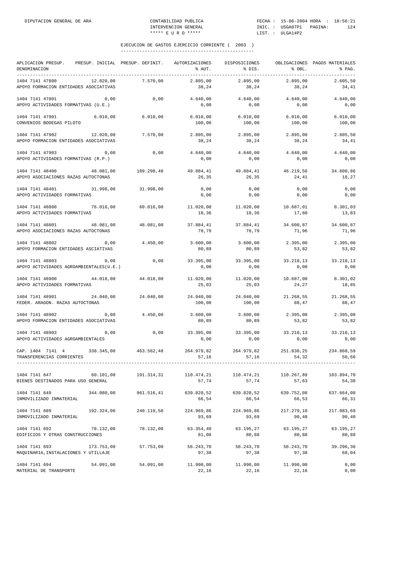| APLICACION PRESUP. PRESUP. INICIAL PRESUP. DEFINIT.<br>DENOMINACION |            |            |                     | AUTORIZACIONES<br>% AUT. | DISPOSICIONES<br>% DIS.                      | % OBL.              | OBLIGACIONES PAGOS MATERIALES<br>% PAG. |
|---------------------------------------------------------------------|------------|------------|---------------------|--------------------------|----------------------------------------------|---------------------|-----------------------------------------|
| 1404 7141 47800<br>APOYO FORMACION ENTIDADES ASOCIATIVAS            | 12.020,00  |            | 7.570,00            | 2.895,00<br>38,24        | 2.895.00<br>38,24                            | 2.895,00<br>38,24   | 2.605.50<br>34,41                       |
| 1404 7141 47801<br>APOYO ACTIVIDADES FORMATIVAS (U.E.)              |            | 0,00       | 0,00                | 4.640,00<br>0,00         | 4.640,00<br>0,00                             | 4.640,00<br>0,00    | 4.640,00<br>0,00                        |
| 1404 7141 47901<br>CONVENIOS BODEGAS PILOTO                         | 6.010,00   |            | 6.010,00            | 6.010,00<br>100,00       | 6.010,00<br>100,00                           | 6.010,00<br>100,00  | 6.010,00<br>100,00                      |
| 1404 7141 47902 12.020,00<br>APOYO FORMACION ENTIDADES ASOCIATIVAS  |            |            | 7.570,00            | 2.895,00<br>38,24        | 2.895,00<br>38,24                            | 2.895,00<br>38,24   | 2.605,50<br>34,41                       |
| 1404 7141 47903<br>APOYO ACTIVIDADES FORMATIVAS (R.P.)              |            | 0,00       | 0,00                | 4.640,00<br>0,00         | 4.640,00<br>0,00                             | 4.640,00<br>0,00    | 4.640,00<br>0,00                        |
| 1404 7141 48400<br>APOYO ASOCIACIONES RAZAS AUTOCTONAS              | 48.081,00  |            | 189.298,48          | 49.884,41<br>26,35       | 49.884,41<br>26,35                           | 46.219,56<br>24,41  | 34.600,86<br>18,27                      |
| 1404 7141 48401<br>APOYO ACTIVIDADES FORMATIVAS                     |            |            | 31.998,00 31.998,00 | 0,00<br>0,00             | 0,00<br>0,00                                 | 0,00<br>0,00        | 0,00<br>0,00                            |
| 1404 7141 48800<br>APOYO ACTIVIDADES FORMATIVAS                     | 76.016,00  |            | 60.016,00           | 18,36                    | $11.020,00$ $11.020,00$ $10.687,01$<br>18,36 | 17,80               | 8.301,03<br>13,83                       |
| 1404 7141 48801<br>APOYO ASOCIACIONES RAZAS AUTOCTONAS              | 48.081,00  |            | 48.081,00           | 37.884,41<br>78,79       | 37.884,41<br>78,79                           | 34.600,87<br>71,96  | 34.600,87<br>71,96                      |
| 1404 7141 48802<br>APOYO FORMACION ENTIDADES ASCIATIVAS             |            | 0,00       | 4.450,00            | 3.600,00<br>80,89        | 3.600,00<br>80,89                            | 2.395,00<br>53,82   | 2.395,00<br>53,82                       |
| 1404 7141 48803<br>APOYO ACTIVIDADES AGROAMBIENTALES(U.E.)          |            | 0,00       | 0,00                | 0,00                     | 33.395,00 33.395,00<br>0,00                  | 33.218,13<br>0,00   | 33.218,13<br>0,00                       |
| 1404 7141 48900<br>APOYO ACTIVIDADES FORMATIVAS                     | 44.018,00  |            | 44.018,00           | 11.020,00<br>25,03       | 11.020,00<br>25,03                           | 10.687,00<br>24,27  | 8.301,02<br>18,85                       |
| 1404 7141 48901<br>FEDER. ARAGON. RAZAS AUTOCTONAS                  |            | 24.040,00  | 24.040,00           | 24.040,00<br>100,00      | 24.040,00<br>100,00                          | 21.268,55<br>88,47  | 21.268,55<br>88,47                      |
| 1404 7141 48902<br>APOYO FORMACION ENTIDADES ASOCIATIVAS            |            | 0,00       | 4.450,00            | 3.600,00<br>80,89        | 3.600,00<br>80,89                            | 2.395,00<br>53,82   | 2.395,00<br>53,82                       |
| 1404 7141 48903<br>APOYO ACTIVIDADES AGROAMBIENTALES                |            | 0,00       | 0,00                | 0,00                     | 33.395,00 33.395,00 33.218,13<br>0,00        | 0,00                | 33.218,13<br>0,00                       |
| CAP. 1404 7141 4<br>TRANSFERENCIAS CORRIENTES                       | 338.345,00 |            | 463.562,48          | 264.979,82<br>57,16      | 264.979,82<br>57,16                          | 251.830,25<br>54,32 | 234.860,59<br>50,66                     |
| 1404 7141 647<br>BIENES DESTINADOS PARA USO GENERAL                 |            | 60.101,00  | 191.314,31          | 110.474,21<br>57,74      | 110.474,21<br>57,74                          | 110.267,89<br>57,63 | 103.894,70<br>54,30                     |
| 1404 7141 649<br>INMOVILIZADO INMATERIAL                            |            | 344.080,00 | 961.516,41          | 639.828,52<br>66,54      | 639.828,52<br>66,54                          | 639.752,08<br>66,53 | 637.664,08<br>66,31                     |
| 1404 7141 689<br>INMOVILIZADO INMATERIAL                            | 192.324,00 |            | 240.119,50          | 224.969,86<br>93,69      | 224.969,86<br>93,69                          | 217.279,10<br>90,48 | 217.083,69<br>90,40                     |
| 1404 7141 692<br>EDIFICIOS Y OTRAS CONSTRUCCIONES                   |            | 78.132,00  | 78.132,00           | 63.354,40<br>81,08       | 63.195,27<br>80,88                           | 63.195,27<br>80,88  | 63.195,27<br>80,88                      |
| 1404 7141 693<br>MAQUINARIA, INSTALACIONES Y UTILLAJE               | 173.753,00 |            | 57.753,00           | 56.243,70<br>97,38       | 56.243,70<br>97,38                           | 56.243,70<br>97,38  | 39.296,36<br>68,04                      |
| 1404 7141 694<br>MATERIAL DE TRANSPORTE                             |            | 54.091,00  | 54.091,00           | 11.990,00<br>22,16       | 11.990,00<br>22,16                           | 11.990,00<br>22,16  | 0,00<br>0,00                            |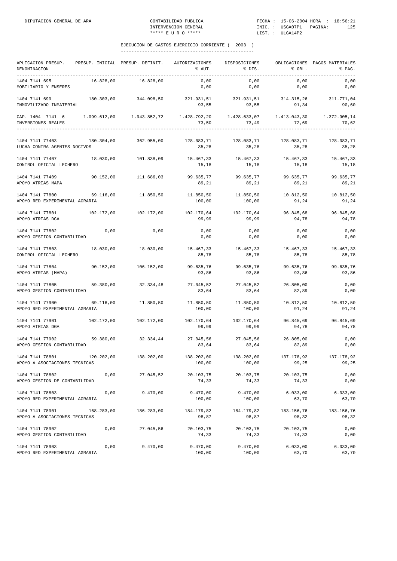| APLICACION PRESUP.<br>DENOMINACION<br>--------------------------------- |            | PRESUP. INICIAL PRESUP. DEFINIT.                                           | AUTORIZACIONES<br>% AUT.                  | DISPOSICIONES<br>% DIS.                   | % OBL.                       | OBLIGACIONES PAGOS MATERIALES<br>% PAG. |
|-------------------------------------------------------------------------|------------|----------------------------------------------------------------------------|-------------------------------------------|-------------------------------------------|------------------------------|-----------------------------------------|
| 1404 7141 695<br>MOBILIARIO Y ENSERES                                   | 16.828,00  | 16.828,00                                                                  | 0,00<br>0,00                              | 0,00<br>0,00                              | 0,00<br>0,00                 | 0,00<br>0,00                            |
| 1404 7141 699<br>INMOVILIZADO INMATERIAL                                | 180.303,00 | 344.098,50                                                                 | 93,55                                     | 321.931,51 321.931,51 314.315,26<br>93,55 | 91,34                        | 311.771,04<br>90,60                     |
| CAP. 1404 7141 6<br>INVERSIONES REALES                                  |            | $1.099.612,00$ $1.943.852,72$ $1.428.792,20$ $1.428.633,07$ $1.413.043,30$ | 73,50                                     | 73,49                                     | 72,69                        | 1.372.905,14<br>70,62<br>.              |
| 1404 7141 77403<br>LUCHA CONTRA AGENTES NOCIVOS                         |            | 180.304,00 362.955,00                                                      | 128.083,71 128.083,71 128.083,71<br>35,28 | 35,28                                     | 35,28                        | 128.083,71<br>35,28                     |
| 1404 7141 77407<br>CONTROL OFICIAL LECHERO                              | 18.030,00  | 101.838,09                                                                 | 15.467,33<br>15,18                        | 15.467,33<br>15,18                        | 15.467,33<br>15,18           | 15.467,33<br>15,18                      |
| 1404 7141 77409<br>APOYO ATRIAS MAPA                                    | 90.152,00  | 111.686,03                                                                 | 99.635,77<br>89,21                        | 99.635,77<br>89,21                        | 99.635,77<br>89,21           | 99.635,77<br>89,21                      |
| 1404 7141 77800<br>APOYO RED EXPERIMENTAL AGRARIA                       | 69.116,00  | 11.850,50                                                                  | 11.850,50<br>100,00                       | 11.850,50<br>100,00                       | 10.812,50<br>91,24           | 10.812,50<br>91,24                      |
| 1404 7141 77801 102.172,00<br>APOYO ATRIAS DGA                          |            | 102.172,00                                                                 | 102.170,64 102.170,64<br>99,99            | 99,99                                     | 96.845,68<br>94,78           | 96.845,68<br>94,78                      |
| 1404 7141 77802<br>APOYO GESTION CONTABILIDAD                           | 0,00       | 0,00                                                                       | 0,00<br>0,00                              | 0,00<br>0,00                              | 0,00<br>0,00                 | 0,00<br>0,00                            |
| 1404 7141 77803<br>CONTROL OFICIAL LECHERO                              | 18.030,00  | 18.030,00                                                                  | 15.467,33<br>85,78                        | 15.467,33<br>85,78                        | 15.467,33<br>85,78           | 15.467,33<br>85,78                      |
| 1404 7141 77804<br>APOYO ATRIAS (MAPA)                                  | 90.152,00  | 106.152,00                                                                 | 99.635,76<br>93,86                        | 99.635,76<br>93,86                        | 99.635,76<br>93,86           | 99.635,76<br>93,86                      |
| 1404 7141 77805<br>APOYO GESTION CONTABILIDAD                           | 59.380,00  | 32.334,48                                                                  | 27.045,52<br>83,64                        | 27.045,52<br>83,64                        | 26.805,00<br>82,89           | 0,00<br>0,00                            |
| 1404 7141 77900<br>APOYO RED EXPERIMENTAL AGRARIA                       | 69.116,00  | 11.850,50                                                                  | 11.850,50<br>100,00                       | 11.850,50<br>100,00                       | 10.812,50<br>91,24           | 10.812,50<br>91,24                      |
| 1404 7141 77901<br>APOYO ATRIAS DGA                                     | 102.172,00 | 102.172,00                                                                 | 102.170,64<br>99,99                       | 102.170,64<br>99,99                       | 96.845,69<br>94,78           | 96.845,69<br>94,78                      |
| 1404 7141 77902<br>APOYO GESTION CONTABILIDAD                           | 59.380,00  | 32.334,44                                                                  | 27.045,56<br>83,64                        | 27.045,56<br>83,64                        | 26.805,00<br>82,89           | 0,00<br>0,00                            |
| 1404 7141 78801<br>APOYO A ASOCIACIONES TECNICAS                        | 120.202,00 | 138.202,00                                                                 | 138.202,00<br>100,00                      | 138.202,00<br>100,00                      | 137.178,92<br>99,25          | 137.178,92<br>99,25                     |
| 1404 7141 78802<br>APOYO GESTION DE CONTABILIDAD                        | 0,00       | 27.045,52                                                                  | 20.103,75<br>74,33                        | 20.103,75<br>74,33                        | 20.103,75<br>74,33           | 0,00<br>0,00                            |
| 1404 7141 78803<br>APOYO RED EXPERIMENTAL AGRARIA                       | 0,00       | 9.470,00                                                                   | 9.470,00<br>100,00                        | 100,00                                    | $9.470,00$ 6.033,00<br>63,70 | 6.033,00<br>63,70                       |
| 1404 7141 78901 168.283,00 186.283,00<br>APOYO A ASOCIACIONES TECNICAS  |            |                                                                            | 184.179,82 184.179,82<br>98,87            | 98,87                                     | 183.156,76<br>98,32          | 183.156,76<br>98,32                     |
| 1404 7141 78902<br>APOYO GESTION CONTABILIDAD                           |            | 0,00 27.045,56                                                             | 20.103,75<br>74,33                        | 20.103,75<br>74,33                        | 20.103,75<br>74,33           | 0,00<br>0,00                            |
| 1404 7141 78903<br>APOYO RED EXPERIMENTAL AGRARIA                       | 0,00       | 9.470,00                                                                   | 9.470,00<br>100,00                        | 9.470,00<br>100,00                        | 6.033,00<br>63,70            | 6.033,00<br>63,70                       |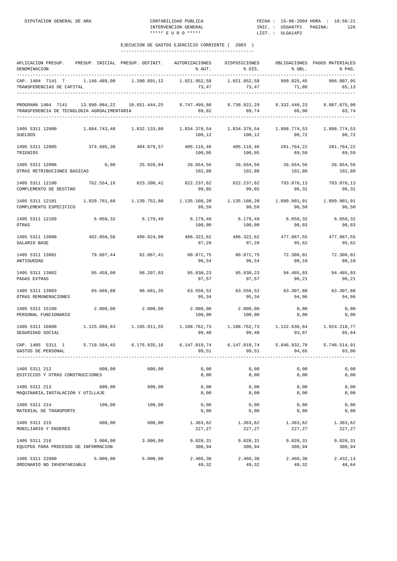| APLICACION PRESUP.<br>DENOMINACION<br>____________________________________ |              | PRESUP. INICIAL PRESUP. DEFINIT.                                             | AUTORIZACIONES<br>% AUT.                        | DISPOSICIONES<br>% DIS.              | % OBL.                             | OBLIGACIONES PAGOS MATERIALES<br>% PAG. |
|----------------------------------------------------------------------------|--------------|------------------------------------------------------------------------------|-------------------------------------------------|--------------------------------------|------------------------------------|-----------------------------------------|
| CAP. 1404 7141 7<br>TRANSFERENCIAS DE CAPITAL                              | 1.146.489,00 | 1.390.891,12                                                                 | 1.021.952,58<br>73,47                           | 1.021.952,58<br>73,47                | 999.825,45<br>71,88                | 906.007,95<br>65,13                     |
| PROGRAMA 1404 7141<br>TRANSFERENCIA DE TECNOLOGIA AGROALIMENTARIA          |              | $13.890.084,22$ $10.851.444,25$ $9.747.499,86$ $9.738.922,29$ $9.332.440,23$ | 89,82                                           | 89,74                                | 86,00                              | 9.087.875,90<br>83,74                   |
| 1405 5311 12000<br><b>SUELDOS</b>                                          |              | 1.684.743,48 1.832.133,80                                                    | 1.834.378,54<br>100,12                          | 100,12                               | 1.834.378,54 1.808.774,53<br>98,72 | 1.808.774,53<br>98,72                   |
| 1405 5311 12005<br>TRIENIOS                                                | 374.695,30   | 404.879,57                                                                   | 100,05                                          | 405.116,48 405.116,48<br>100,05      | 281.764,22<br>69,59                | 281.764,22<br>69,59                     |
| 1405 5311 12006<br>OTRAS RETRIBUCIONES BASICAS                             | 0,00         | 25.926,84                                                                    | 26.654,56 26.654,56<br>102,80                   | 102,80                               | 26.654,56<br>102,80                | 26.654,56<br>102,80                     |
| 1405 5311 12100<br>COMPLEMENTO DE DESTINO                                  | 762.554,16   | 823.390,42                                                                   | 822.237,62<br>99,85                             | 822.237,62<br>99,85                  | 793.076,13<br>96,31                | 793.076,13<br>96,31                     |
| 1405 5311 12101<br>COMPLEMENTO ESPECIFICO                                  |              | 1.020.761,68 1.139.752,80                                                    | 1.135.108,20<br>99,59                           | 1.135.108,20<br>99,59                | 1.099.901,91<br>96,50              | 1.099.901,91<br>96,50                   |
| 1405 5311 12109<br>OTRAS                                                   | 6.058,32     | 6.179,49                                                                     | 6.179,49<br>100,00                              | 6.179,49<br>100,00                   | 6.058, 32<br>98,03                 | 6.058,32<br>98,03                       |
| 1405 5311 13000<br>SALARIO BASE                                            | 492.850,56   | 499.824,90                                                                   | 486.322,62 486.322,62<br>97,29                  | 97,29                                | 477.967,55<br>95,62                | 477.967,55<br>95,62                     |
| 1405 5311 13001<br>ANTIGUEDAD                                              | 79.897,44    | 82.067,41                                                                    | 80.872,75<br>98,54                              | 80.872,75<br>98,54                   | 72.306,01<br>88,10                 | 72.306,01<br>88,10                      |
| 1405 5311 13002<br>PAGAS EXTRAS                                            | 95.458,00    | 98.207,03                                                                    | 95.830,23<br>97,57                              | 95.830,23<br>97,57                   | 94.485,03<br>96,21                 | 94.485,03<br>96,21                      |
| 1405 5311 13003<br>OTRAS REMUNERACIONES                                    | 65.666,88    | 66.661,35                                                                    | 95,34                                           | 63.556,52 63.556,52<br>95,34         | 63.307,88<br>94,96                 | 63.307,88<br>94,96                      |
| 1405 5311 15100<br>PERSONAL FUNCIONARIO                                    | 2.000,00     | 2.000,00                                                                     | 2.000,00<br>100,00                              | 2.000,00<br>100,00                   | 0,00<br>0,00                       | 0,00<br>0,00                            |
| 1405 5311 16000<br>SEGURIDAD SOCIAL                                        |              | 1.125.898,63 1.195.911,55                                                    | 1.188.762,73 1.188.762,73 1.122.636,64<br>99,40 | 99,40                                | 93,87                              | 1.024.218,77<br>85,64                   |
| CAP. 1405 5311 1<br>GASTOS DE PERSONAL                                     |              | 5.710.584,45    6.176.935,16    6.147.019,74                                 | 99,51                                           | 6.147.019,74<br>99,51<br>----------- | 5.846.932,78<br>94,65              | 5.748.514,91<br>93,06<br>-------------- |
| 1405 5311 212<br>EDIFICIOS Y OTRAS CONSTRUCCIONES                          | 600,00       | 600,00                                                                       | 0,00<br>0,00                                    | 0,00<br>0,00                         | 0,00<br>0,00                       | 0,00<br>0,00                            |
| 1405 5311 213<br>MAQUINARIA, INSTALACION Y UTILLAJE                        | 600,00       | 600,00                                                                       | 0,00<br>0,00                                    | 0,00<br>0,00                         | 0,00<br>0,00                       | 0,00<br>0,00                            |
| 1405 5311 214<br>MATERIAL DE TRANSPORTE                                    | 100,00       | 100,00                                                                       | 0,00<br>0,00                                    | 0,00<br>0,00                         | 0,00<br>0,00                       | 0,00<br>0,00                            |
| 1405 5311 215<br>MOBILIARIO Y ENSERES                                      | 600,00       | 600,00                                                                       | 1.363,62<br>227,27                              | 1.363,62<br>227,27                   | 1.363,62<br>227,27                 | 1.363,62<br>227,27                      |
| 1405 5311 216<br>EQUIPOS PARA PROCESOS DE INFORMACION                      | 3.000,00     | 3.000,00                                                                     | 9.028,31<br>300,94                              | 9.028,31<br>300,94                   | 9.028,31<br>300,94                 | 9.028,31<br>300,94                      |
| 1405 5311 22000<br>ORDINARIO NO INVENTARIABLE                              | 5.000,00     | 5.000,00                                                                     | 2.466,38<br>49,32                               | 2.466,38<br>49,32                    | 2.466,38<br>49,32                  | 2.432,13<br>48,64                       |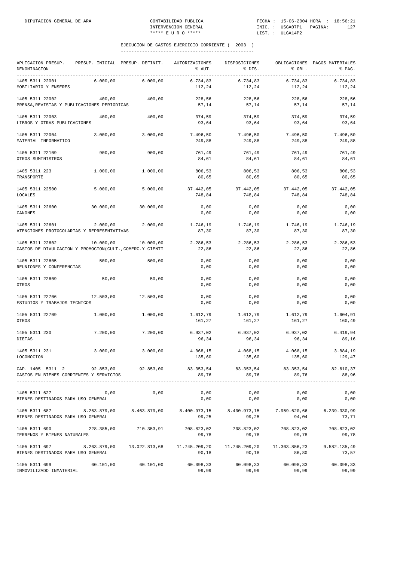| APLICACION PRESUP.<br>DENOMINACION<br>_____________                                                                     |              | PRESUP. INICIAL PRESUP. DEFINIT. AUTORIZACIONES                 | % AUT.              | DISPOSICIONES<br>% DIS.                                      | % OBL.              | OBLIGACIONES PAGOS MATERIALES<br>% PAG. |
|-------------------------------------------------------------------------------------------------------------------------|--------------|-----------------------------------------------------------------|---------------------|--------------------------------------------------------------|---------------------|-----------------------------------------|
| 1405 5311 22001<br>MOBILIARIO Y ENSERES                                                                                 | 6.000.00     | 6.000.00                                                        | 6.734,83<br>112,24  | 6.734,83<br>112,24                                           | 6.734,83<br>112,24  | 6.734,83<br>112,24                      |
| 1405 5311 22002<br>PRENSA, REVISTAS Y PUBLICACIONES PERIODICAS                                                          | 400,00       | 400,00                                                          | 228,56<br>57,14     | 228,56<br>57,14                                              | 228,56<br>57,14     | 228,56<br>57,14                         |
| 1405 5311 22003<br>LIBROS Y OTRAS PUBLICACIONES                                                                         | 400,00       | 400,00                                                          | 374,59<br>93,64     | 374,59<br>93,64                                              | 374,59<br>93,64     | 374,59<br>93,64                         |
| 1405 5311 22004<br>MATERIAL INFORMATICO                                                                                 | 3.000,00     | 3.000,00                                                        | 7.496,50<br>249,88  | 7.496,50<br>249,88                                           | 7.496,50<br>249,88  | 7.496,50<br>249,88                      |
| 1405 5311 22109<br>OTROS SUMINISTROS                                                                                    | 900,00       | 900,00                                                          | 761,49<br>84,61     | 761,49<br>84,61                                              | 761,49<br>84,61     | 761,49<br>84,61                         |
| 1405 5311 223<br>TRANSPORTE                                                                                             | 1.000,00     | 1.000,00                                                        | 806,53<br>80,65     | 806,53<br>80,65                                              | 806,53<br>80,65     | 806,53<br>80,65                         |
| 1405 5311 22500<br>LOCALES                                                                                              | 5.000,00     | 5,000,00                                                        | 37.442,05<br>748,84 | 37.442,05<br>748,84                                          | 37.442,05<br>748,84 | 37.442,05<br>748,84                     |
| 1405 5311 22600<br>CANONES                                                                                              | 30.000,00    | 30.000,00                                                       | 0,00<br>0,00        | 0,00<br>0,00                                                 | 0,00<br>0,00        | 0,00<br>0,00                            |
| 1405 5311 22601<br>ATENCIONES PROTOCOLARIAS Y REPRESENTATIVAS                                                           | 2.000,00     | 2.000,00                                                        | 1.746,19<br>87,30   | 1.746,19<br>87,30                                            | 1.746,19<br>87,30   | 1.746,19<br>87,30                       |
| 1405 5311 22602<br>GASTOS DE DIVULGACION Y PROMOCION(CULT., COMERC.Y CIENTI                                             | 10.000,00    | 10.000,00                                                       | 2.286,53<br>22,86   | 2.286,53<br>22,86                                            | 2.286,53<br>22,86   | 2.286,53<br>22,86                       |
| 1405 5311 22605<br>REUNIONES Y CONFERENCIAS                                                                             | 500,00       | 500,00                                                          | 0,00<br>0,00        | 0,00<br>0,00                                                 | 0,00<br>0,00        | 0,00<br>0,00                            |
| 1405 5311 22609<br>OTROS                                                                                                | 50,00        | 50,00                                                           | 0,00<br>0,00        | 0,00<br>0,00                                                 | 0,00<br>0,00        | 0,00<br>0,00                            |
| 1405 5311 22706<br>ESTUDIOS Y TRABAJOS TECNICOS                                                                         | 12.503,00    | 12.503,00                                                       | 0,00<br>0,00        | 0,00<br>0,00                                                 | 0,00<br>0,00        | 0,00<br>0,00                            |
| 1405 5311 22709<br>OTROS                                                                                                | 1.000,00     | 1.000,00                                                        | 1.612,79<br>161,27  | 1.612,79<br>161,27                                           | 1.612,79<br>161,27  | 1.604,91<br>160,49                      |
| 1405 5311 230<br>DIETAS                                                                                                 | 7.200,00     | 7.200,00                                                        | 6.937,02<br>96,34   | 6.937,02<br>96,34                                            | 6.937,02<br>96,34   | 6.419,94<br>89,16                       |
| 1405 5311 231<br>LOCOMOCION                                                                                             | 3.000,00     | 3.000,00                                                        | 4.068,15<br>135,60  | 4.068,15<br>135,60                                           | 4.068,15<br>135,60  | 3.884,19<br>129,47                      |
| CAP. 1405 5311 2 92.853,00 92.853,00 83.353,54 83.353,54 83.353,54 82.610,37<br>GASTOS EN BIENES CORRIENTES Y SERVICIOS |              |                                                                 | 89,76               | 89,76                                                        | 89,76               | 88,96                                   |
| 1405 5311 627<br>BIENES DESTINADOS PARA USO GENERAL                                                                     | 0,00         | 0,00                                                            | 0,00<br>0,00        | 0,00<br>0,00                                                 | 0,00<br>0,00        | 0,00<br>0,00                            |
| 1405 5311 687<br>BIENES DESTINADOS PARA USO GENERAL                                                                     |              | 8.263.879,00 8.463.879,00                                       | 99,25               | 8.400.973,15 8.400.973,15 7.959.620,66 6.239.330,99<br>99,25 | 94,04               | 73,71                                   |
| 1405 5311 690<br>TERRENOS Y BIENES NATURALES                                                                            | 228.385,00   | 710.353,91                                                      | 99,78               | 708.823,02 708.823,02 708.823,02<br>99,78                    | 99,78               | 708.823,02<br>99,78                     |
| 1405 5311 697<br>BIENES DESTINADOS PARA USO GENERAL                                                                     | 8.263.879,00 | $13.022.813,68$ $11.745.209,20$ $11.745.209,20$ $11.303.856,23$ | 90,18               | 90,18                                                        | 86,80               | 9.582.135,49<br>73,57                   |
| 1405 5311 699 60.101,00<br>INMOVILIZADO INMATERIAL                                                                      |              | 60.101,00                                                       | 60.098,33<br>99,99  | 99,99                                                        | 99,99               | 60.098,33 60.098,33 60.098,33<br>99,99  |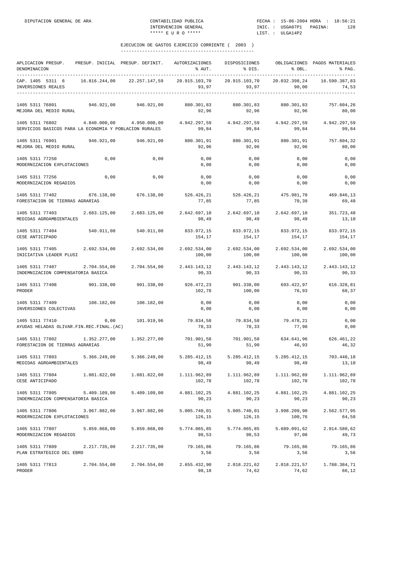| APLICACION PRESUP. PRESUP. INICIAL PRESUP. DEFINIT.<br>DENOMINACION                                                                                                                                           |              |                           | AUTORIZACIONES<br>% AUT.                                                                           | DISPOSICIONES<br>% DIS.                              | % OBL.                 | OBLIGACIONES PAGOS MATERIALES<br>% PAG. |
|---------------------------------------------------------------------------------------------------------------------------------------------------------------------------------------------------------------|--------------|---------------------------|----------------------------------------------------------------------------------------------------|------------------------------------------------------|------------------------|-----------------------------------------|
| CAP. 1405 5311 6 16.816.244,00<br>INVERSIONES REALES                                                                                                                                                          |              | 22.257.147,59             | 20.915.103,70                                                                                      | 20.915.103,70<br>$93,97$ $93,97$ $90,00$             | 20.032.398,24          | 16.590.387,83<br>74,53                  |
| 1405 5311 76801<br>MEJORA DEL MEDIO RURAL                                                                                                                                                                     |              | 946.921,00 946.921,00     | 880.301,83 880.301,83<br>92,96                                                                     | 92,96                                                | 880.301,83<br>92,96    | 757.604,26<br>80,00                     |
| 1405 5311 76802<br>SERVICIOS BASICOS PARA LA ECONOMIA Y POBLACION RURALES                                                                                                                                     |              |                           | $4.840.000,00$ $4.950.000,00$ $4.942.297,59$ $4.942.297,59$ $4.942.297,59$ $4.942.297,59$<br>99,84 |                                                      | 99,84 99,84            | 99,84                                   |
| 1405 5311 76901 946.921,00 946.921,00<br>MEJORA DEL MEDIO RURAL                                                                                                                                               |              |                           | 880.301,91 880.301,91 880.301,91<br>92,96                                                          | 92,96                                                | 92,96                  | 757.604,32<br>80,00                     |
| 1405 5311 77250<br>MODERNIZACION EXPLOTACIONES                                                                                                                                                                | 0,00         | 0,00                      | 0,00<br>0,00                                                                                       | 0,00<br>0,00                                         | 0,00<br>0,00           | 0,00<br>0,00                            |
| 1405 5311 77256<br>MODERNIZACION REGADIOS                                                                                                                                                                     | 0,00         | 0,00                      | 0,00<br>0,00                                                                                       | 0,00<br>0,00                                         | 0,00<br>0,00           | 0,00<br>0,00                            |
| 1405 5311 77402<br>FORESTACION DE TIERRAS AGRARIAS                                                                                                                                                            |              |                           | $676.138,00$ $676.138,00$ $526.426,21$ $526.426,21$ $475.981,70$<br>77,85                          | 77,85                                                | 70, 39                 | 469.846,13<br>69,48                     |
| $1405 \;\; 5311 \;\; 77403 \qquad \qquad 2.683 \, .125,00 \qquad \quad 2.683 \, .125,00 \qquad \quad 2.642 \, .697,10 \qquad \quad 2.642 \, .697,10 \qquad \quad 2.642 \, .697,10$<br>MEDIDAS AGROAMBIENTALES |              |                           | 98,49                                                                                              | 98,49                                                | 98,49                  | 351.723,48<br>13,10                     |
| 1405 5311 77404 540.911,00 540.911,00<br>CESE ANTICIPADO                                                                                                                                                      |              |                           | 154,17                                                                                             | 833.972,15 833.972,15 833.972,15<br>154,17           | 154,17                 | 833.972,15<br>154,17                    |
| 1405 5311 77405<br>INICIATIVA LEADER PLUSI                                                                                                                                                                    |              | 2.692.534,00 2.692.534,00 | 2.692.534,00 2.692.534,00<br>100,00                                                                | 100,00                                               | 2.692.534,00<br>100,00 | 2.692.534,00<br>100,00                  |
| 1405 5311 77407 2.704.554,00<br>INDEMNIZACION COMPENSATORIA BASICA                                                                                                                                            |              |                           | 2.704.554,00 2.443.143,12 2.443.143,12<br>90,33                                                    | 90, 33                                               | 2.443.143,12<br>90, 33 | 2.443.143,12<br>90,33                   |
| 1405 5311 77408<br>PRODER                                                                                                                                                                                     | 901.338,00   | 901.338,00                | 926.472,23 901.338,00 693.422,97<br>102,78                                                         | 100,00                                               | 76,93                  | 616.328,81<br>68,37                     |
| 1405 5311 77409<br>INVERSIONES COLECTIVAS                                                                                                                                                                     | 108.182,00   | 108.182,00                | 0,00<br>0,00                                                                                       | 0,00<br>0,00                                         | 0,00<br>0,00           | 0,00<br>0,00                            |
| 1405 5311 77410<br>AYUDAS HELADAS OLIVAR.FIN.REC.FINAL.(AC)                                                                                                                                                   | 0,00         | 101.919,96 79.834,58      | 78,33                                                                                              | 79.834,58<br>78,33                                   | 79.478,21<br>77,98     | 0,00<br>0,00                            |
| 1405 5311 77802 1.352.277,00 1.352.277,00<br>FORESTACION DE TIERRAS AGRARIAS                                                                                                                                  |              |                           | 51,90                                                                                              | 701.901,58 701.901,58 634.641,96 626.461,22<br>51,90 | 46,93                  | 46,32                                   |
| 1405 5311 77803<br>MEDIDAS AGROAMBIENTALES                                                                                                                                                                    | 5.366.249,00 | 5.366.249,00              | 98,49                                                                                              | 5.285.412,15 5.285.412,15<br>98,49                   | 5.285.412,15<br>98,49  | 703.448,18<br>13,10                     |
| 1405 5311 77804<br>CESE ANTICIPADO                                                                                                                                                                            | 1.081.822,00 | 1.081.822,00              | 1.111.962,89<br>102,78                                                                             | 1.111.962,89<br>102,78                               | 1.111.962,89<br>102,78 | 1.111.962,89<br>102,78                  |
| 1405 5311 77805<br>INDEMNIZACION COMPENSATORIA BASICA                                                                                                                                                         | 5.409.109,00 | 5.409.109,00              | 4.881.102,25<br>90,23                                                                              | 4.881.102,25<br>90,23                                | 4.881.102,25<br>90,23  | 4.881.102,25<br>90,23                   |
| 1405 5311 77806<br>MODERNIZACION EXPLOTACIONES                                                                                                                                                                | 3.967.882,00 | 3.967.882,00              | 5.005.740,01<br>126,15                                                                             | 5.005.740,01<br>126,15                               | 3.998.209,90<br>100,76 | 2.562.577,95<br>64,58                   |
| 1405 5311 77807<br>MODERNIZACION REGADIOS                                                                                                                                                                     | 5.859.868,00 | 5.859.868,00              | 5.774.065,85<br>98,53                                                                              | 5.774.065,85<br>98,53                                | 5.689.091,62<br>97,08  | 2.914.580,62<br>49,73                   |
| 1405 5311 77809<br>PLAN ESTRATEGICO DEL EBRO                                                                                                                                                                  | 2.217.735,00 | 2.217.735,00              | 79.165,86<br>3,56                                                                                  | 79.165,86<br>3,56                                    | 79.165,86<br>3,56      | 79.165,86<br>3,56                       |
| 1405 5311 77813<br>PRODER                                                                                                                                                                                     | 2.704.554,00 | 2.704.554,00              | 2.655.432,90<br>98,18                                                                              | 2.018.221,62<br>74,62                                | 2.018.221,57<br>74,62  | 1.788.384,71<br>66,12                   |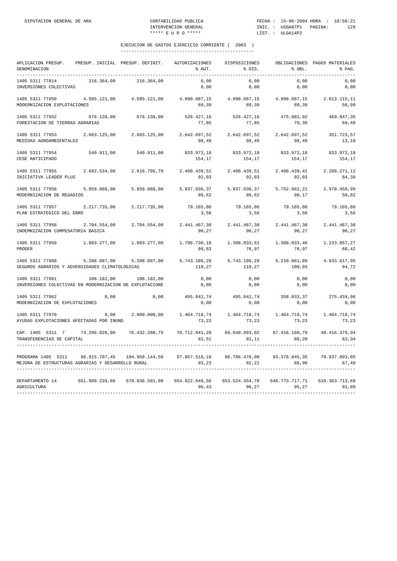| APLICACION PRESUP.<br>DENOMINACION<br>. _ _ _ _ _ _ _ _ _ _ _ .                                      | PRESUP. INICIAL PRESUP. DEFINIT. |               | AUTORIZACIONES<br>% AUT. | DISPOSICIONES<br>% DIS.                         | % OBL.                 | OBLIGACIONES PAGOS MATERIALES<br>% PAG. |
|------------------------------------------------------------------------------------------------------|----------------------------------|---------------|--------------------------|-------------------------------------------------|------------------------|-----------------------------------------|
| 1405 5311 77814<br>INVERSIONES COLECTIVAS                                                            | 216.364,00                       | 216.364,00    | 0,00<br>0,00             | 0,00<br>0,00                                    | 0,00<br>0,00           | 0,00<br>0,00                            |
| 1405 5311 77950<br>MODERNIZACION EXPLOTACIONES                                                       | 4.585.121,00                     | 4.585.121,00  | 89,39                    | 4.098.687,15 4.098.687,15 4.098.687,15<br>89,39 | 89,39                  | 2.613.115,11<br>56,99                   |
| 1405 5311 77952<br>FORESTACION DE TIERRAS AGRARIAS                                                   | 676.138,00                       | 676.138,00    | 77,85                    | 526.427,16 526.427,16 475.982,92<br>77,85       | 70,39                  | 469.847,35<br>69,48                     |
| 1405 5311 77953<br>MEDIDAS AGROAMBIENTALES                                                           | 2.683.125,00                     | 2.683.125,00  | 2.642.697,52<br>98,49    | 2.642.697,52<br>98,49                           | 2.642.697,52<br>98,49  | 351.723,57<br>13,10                     |
| 1405 5311 77954<br>CESE ANTICIPADO                                                                   | 540.911,00                       | 540.911,00    | 833.972,18<br>154,17     | 833.972,18<br>154,17                            | 833.972,18<br>154,17   | 833.972,18<br>154,17                    |
| 1405 5311 77955<br>INICIATIVA LEADER PLUS                                                            | 2.692.534,00                     | 2.616.796,79  | 2.408.439,51<br>92,03    | 2.408.439,51<br>92,03                           | 2.408.439,41<br>92,03  | 2.208.271,12<br>84,38                   |
| 1405 5311 77956<br>MODERNIZACION DE REGADIOS                                                         | 5.859.868,00                     | 5.859.868,00  | 5.837.936,37<br>99,62    | 5.837.936,37<br>99,62                           | 5.752.962,21<br>98,17  | 2.978.450,99<br>50,82                   |
| 1405 5311 77957 2.217.735,00<br>PLAN ESTRATEGICO DEL EBRO                                            |                                  | 2.217.735,00  | 79.165,86<br>3,56        | 79.165,86<br>3,56                               | 79.165,86<br>3,56      | 79.165,86<br>3,56                       |
| 1405 5311 77958<br>INDEMNIZACION COMPESATORIA BASICA                                                 | 2.704.554,00                     | 2.704.554,00  | 2.441.467,30<br>90,27    | 2.441.467,30<br>90,27                           | 2.441.467,30<br>90,27  | 2.441.467,30<br>90,27                   |
| 1405 5311 77959<br>PRODER                                                                            | 1.803.277,00                     | 1.803.277,00  | 1.796.736,18<br>99,63    | 1.388.033,51<br>76,97                           | 1.388.033,46<br>76,97  | 1.233.857,27<br>68,42                   |
| 1405 5311 77960<br>SEGUROS AGRARIOS Y ADVERSIDADES CLIMATOLOGICAS                                    | 5.208.097,00                     | 5.208.097,00  | 5.743.186,28<br>110,27   | 5.743.186,28<br>110,27                          | 5.210.061,89<br>100,03 | 4.933.617,95<br>94,72                   |
| 1405 5311 77961<br>INVERSIONES COLECTIVAS EN MODERNIZACION DE EXPLOTACIONE                           | 108.182,00                       | 108.182,00    | 0,00<br>0,00             | 0,00<br>0,00                                    | 0,00<br>0,00           | 0,00<br>0,00                            |
| 1405 5311 77962<br>MODERNIZACION DE EXPLOTACIONES                                                    | 0,00                             | 0,00          | 495.842,74<br>0,00       | 495.842,74<br>0,00                              | 358.033,37<br>0,00     | 275.434,96<br>0,00                      |
| 1405 5311 77970<br>AYUDAS EXPLOTACIONES AFECTADAS POR INUND                                          | 0.00                             | 2.000.000,00  | 73,23                    | 1.464.718.74 1.464.718.74<br>73,23              | 1.464.718,74<br>73,23  | 1.464.718,74<br>73,23                   |
| CAP. 1405 5311 7 74.296.026,00<br>TRANSFERENCIAS DE CAPITAL                                          |                                  | 76.432.208,75 | 70.712.041,20<br>92,51   | 69.640.993,02<br>91, 11                         | 67.416.160,79<br>88,20 | 48.416.379,94<br>63,34                  |
| PROGRAMA 1405 5311 96.915.707,45 104.959.144,50<br>MEJORA DE ESTRUCTURAS AGRARIAS Y DESARROLLO RURAL |                                  |               | 97.857.518,18<br>93,23   | 96.786.470,00<br>92,21                          | 93.378.845,35<br>88,96 | 70.837.893,05<br>67,49                  |
| DEPARTAMENTO 14<br>AGRICULTURA                                                                       |                                  |               | 96,43                    | 653.524.354,78<br>96,27                         | 95,27                  | 646.773.717,71 618.363.713,68<br>91,09  |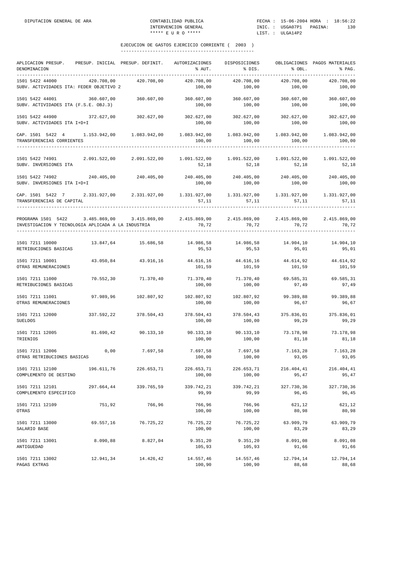| APLICACION PRESUP.<br>DENOMINACION<br>-----------                                                                                                                   |            | PRESUP. INICIAL PRESUP. DEFINIT. | AUTORIZACIONES<br>% AUT.                                                         | DISPOSICIONES<br>% DIS. | % OBL.                 | OBLIGACIONES PAGOS MATERIALES<br>% PAG. |
|---------------------------------------------------------------------------------------------------------------------------------------------------------------------|------------|----------------------------------|----------------------------------------------------------------------------------|-------------------------|------------------------|-----------------------------------------|
| 1501 5422 44000<br>SUBV. ACTIVIDADES ITA: FEDER OBJETIVO 2                                                                                                          | 420.708,00 | 420.708,00                       | 420.708,00<br>100,00                                                             | 420.708,00<br>100,00    | 420.708,00<br>100,00   | 420.708,00<br>100,00                    |
| 1501 5422 44001<br>SUBV. ACTIVIDADES ITA (F.S.E. OBJ.3)                                                                                                             | 360.607,00 | 360.607,00                       | 360.607,00<br>100,00                                                             | 360.607,00<br>100,00    | 360.607,00<br>100,00   | 360.607,00<br>100,00                    |
| 1501 5422 44900 372.627,00<br>SUBV. ACTIVIDADES ITA I+D+I                                                                                                           |            | 302.627,00                       | 302.627,00 302.627,00<br>100,00                                                  | 100,00                  | 302.627,00<br>100,00   | 302.627,00<br>100,00                    |
| CAP. 1501 5422 4 1.153.942,00 1.083.942,00<br>TRANSFERENCIAS CORRIENTES                                                                                             |            |                                  | 100,00                                                                           | 100,00                  | 1.083.942,00<br>100,00 | 1.083.942,00<br>100,00                  |
| 1501 5422 74901 2.091.522,00 2.091.522,00<br>SUBV. INVERSIONES ITA                                                                                                  |            |                                  | 52,18                                                                            | 52,18                   | 1.091.522,00<br>52,18  | 1.091.522,00<br>52,18                   |
| 1501 5422 74902<br>SUBV. INVERSIONES ITA I+D+I                                                                                                                      | 240.405,00 | 240.405,00                       | 240.405,00<br>100,00                                                             | 240.405,00<br>100,00    | 240.405,00<br>100,00   | 240.405,00<br>100,00                    |
| CAP. 1501 5422 7 2.331.927,00 2.331.927,00 1.331.927,00 1.331.927,00 1.331.927,00<br>TRANSFERENCIAS DE CAPITAL<br>-----------------------                           |            |                                  | 57,11                                                                            | 57, 11                  | 57,11                  | 1.331.927,00<br>57,11                   |
| PROGRAMA 1501 5422 3.485.869,00 3.415.869,00 2.415.869,00 2.415.869,00 2.415.869,00 2.415.869,00 2.415.869,00<br>INVESTIGACION Y TECNOLOGIA APLICADA A LA INDUSTRIA |            |                                  | 70,72                                                                            | 70,72                   | 70, 72                 | 70,72                                   |
| 1501 7211 10000<br>RETRIBUCIONES BASICAS                                                                                                                            |            |                                  | $13.847,64$ $15.686,58$ $14.986,58$ $14.986,58$ $14.986,58$ $14.904,10$<br>95,53 | 95,53                   | 95,01                  | 14.904,10<br>95,01                      |
| 1501 7211 10001<br>OTRAS REMUNERACIONES                                                                                                                             | 43.050,84  | 43.916,16                        | 44.616,16 44.616,16<br>101,59                                                    | 101,59                  | 44.614,92<br>101,59    | 44.614,92<br>101,59                     |
| 1501 7211 11000<br>RETRIBUCIONES BASICAS                                                                                                                            | 70.552,30  | 71.370,40                        | 71.370,40<br>100,00                                                              | 71.370,40<br>100,00     | 69.585,31<br>97,49     | 69.585,31<br>97,49                      |
| 1501 7211 11001<br>OTRAS REMUNERACIONES                                                                                                                             | 97.989,96  | 102.807,92                       | 102.807,92<br>100,00                                                             | 102.807,92<br>100,00    | 99.389,88<br>96,67     | 99.389,88<br>96,67                      |
| 1501 7211 12000<br><b>SUELDOS</b>                                                                                                                                   |            |                                  | $337.592,22$ $378.504,43$ $378.504,43$ $378.504,43$ $375.836,01$<br>100,00       | 100,00                  | 99,29                  | 375.836,01<br>99,29                     |
| 1501 7211 12005<br>TRIENIOS                                                                                                                                         | 81.690,42  | 90.133,10                        | 90.133,10<br>100,00                                                              | 90.133,10<br>100,00     | 73.178,98<br>81,18     | 73.178,98<br>81,18                      |
| 1501 7211 12006<br>OTRAS RETRIBUCIONES BASICAS                                                                                                                      | 0,00       | 7.697,58                         | 7.697,58<br>100,00                                                               | 7.697,58<br>100,00      | 7.163,28<br>93,05      | 7.163,28<br>93,05                       |
| 1501 7211 12100<br>COMPLEMENTO DE DESTINO                                                                                                                           | 196.611,76 | 226.653,71                       | 226.653,71<br>100,00                                                             | 226.653,71<br>100,00    | 216.404,41<br>95,47    | 216.404,41<br>95,47                     |
| 1501 7211 12101<br>COMPLEMENTO ESPECIFICO                                                                                                                           | 297.664,44 | 339.765,59                       | 339.742,21<br>99,99                                                              | 339.742,21<br>99,99     | 327.730,36<br>96,45    | 327.730,36<br>96,45                     |
| 1501 7211 12109<br>OTRAS                                                                                                                                            | 751,92     | 766,96                           | 766,96<br>100,00                                                                 | 766,96<br>100,00        | 621,12<br>80,98        | 621,12<br>80,98                         |
| 1501 7211 13000<br>SALARIO BASE                                                                                                                                     | 69.557,16  | 76.725,22                        | 76.725,22<br>100,00                                                              | 76.725,22<br>100,00     | 63.909,79<br>83,29     | 63.909,79<br>83,29                      |
| 1501 7211 13001<br>ANTIGUEDAD                                                                                                                                       | 8.090,88   | 8.827,04                         | 9.351, 20<br>105,93                                                              | 9.351, 20<br>105,93     | 8.091,08<br>91,66      | 8.091,08<br>91,66                       |
| 1501 7211 13002<br>PAGAS EXTRAS                                                                                                                                     | 12.941,34  | 14.426,42                        | 14.557,46<br>100,90                                                              | 14.557,46<br>100,90     | 12.794,14<br>88,68     | 12.794,14<br>88,68                      |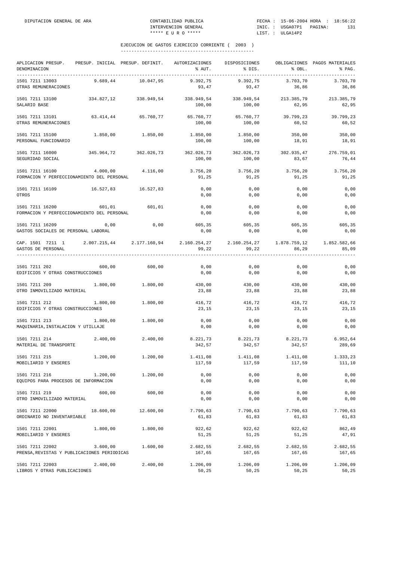| APLICACION PRESUP.<br>DENOMINACION                             | PRESUP. INICIAL PRESUP. DEFINIT.                                           |            | AUTORIZACIONES<br>% AUT. | DISPOSICIONES<br>% DIS. | % OBL.              | OBLIGACIONES PAGOS MATERIALES<br>% PAG. |
|----------------------------------------------------------------|----------------------------------------------------------------------------|------------|--------------------------|-------------------------|---------------------|-----------------------------------------|
| 1501 7211 13003<br>OTRAS REMUNERACIONES                        | 9.689,44                                                                   | 10.047,95  | 9.392.75<br>93,47        | 9.392,75<br>93,47       | 3.703,70<br>36,86   | 3.703,70<br>36,86                       |
| 1501 7211 13100<br>SALARIO BASE                                | 334.827,12                                                                 | 338.949,54 | 338.949,54<br>100,00     | 338.949,54<br>100,00    | 213.385,79<br>62,95 | 213.385,79<br>62,95                     |
| 1501 7211 13101<br>OTRAS REMUNERACIONES                        | 63.414,44                                                                  | 65.760,77  | 65.760,77<br>100,00      | 65.760,77<br>100,00     | 39.799,23<br>60,52  | 39.799,23<br>60,52                      |
| 1501 7211 15100<br>PERSONAL FUNCIONARIO                        | 1.850,00                                                                   | 1.850,00   | 1.850,00<br>100,00       | 1.850,00<br>100,00      | 350,00<br>18,91     | 350,00<br>18,91                         |
| 1501 7211 16000<br>SEGURIDAD SOCIAL                            | 345.964,72                                                                 | 362.026,73 | 362.026,73<br>100,00     | 362.026,73<br>100,00    | 302.935,47<br>83,67 | 276.759,01<br>76,44                     |
| 1501 7211 16100<br>FORMACION Y PERFECCIONAMIENTO DEL PERSONAL  | 4.000,00                                                                   | 4.116,00   | 3.756,20<br>91,25        | 3.756,20<br>91,25       | 3.756,20<br>91,25   | 3.756,20<br>91,25                       |
| 1501 7211 16109<br>OTROS                                       | 16.527,83                                                                  | 16.527,83  | 0,00<br>0,00             | 0,00<br>0,00            | 0,00<br>0,00        | 0,00<br>0,00                            |
| 1501 7211 16200<br>FORMACION Y PERFECCIONAMIENTO DEL PERSONAL  | 601,01                                                                     | 601,01     | 0,00<br>0,00             | 0,00<br>0,00            | 0,00<br>0,00        | 0,00<br>0,00                            |
| 1501 7211 16209<br>GASTOS SOCIALES DE PERSONAL LABORAL         | 0,00                                                                       | 0,00       | 605,35<br>0,00           | 605,35<br>0,00          | 605,35<br>0,00      | 605,35<br>0,00                          |
| CAP. 1501 7211 1<br>GASTOS DE PERSONAL                         | $2.007.215.44$ $2.177.160.94$ $2.160.254.27$ $2.160.254.27$ $1.878.759.12$ |            | 99,22                    | 99,22                   | 86,29               | 1.852.582,66<br>85,09                   |
| 1501 7211 202<br>EDIFICIOS Y OTRAS CONSTRUCCIONES              | 600,00                                                                     | 600,00     | 0,00<br>0,00             | 0,00<br>0,00            | 0,00<br>0,00        | 0,00<br>0,00                            |
| 1501 7211 209<br>OTRO INMOVILIZADO MATERIAL                    | 1.800,00                                                                   | 1.800,00   | 430,00<br>23,88          | 430,00<br>23,88         | 430,00<br>23,88     | 430,00<br>23,88                         |
| 1501 7211 212<br>EDIFICIOS Y OTRAS CONSTRUCCIONES              | 1,800,00                                                                   | 1,800,00   | 416,72<br>23,15          | 416,72<br>23,15         | 416,72<br>23,15     | 416,72<br>23,15                         |
| 1501 7211 213<br>MAQUINARIA, INSTALACION Y UTILLAJE            | 1.800,00                                                                   | 1.800,00   | 0,00<br>0,00             | 0,00<br>0,00            | 0,00<br>0,00        | 0,00<br>0,00                            |
| 1501 7211 214<br>MATERIAL DE TRANSPORTE                        | 2.400,00                                                                   | 2.400,00   | 8.221,73<br>342,57       | 8.221,73<br>342,57      | 8.221,73<br>342,57  | 6.952,64<br>289,69                      |
| 1501 7211 215<br>MOBILIARIO Y ENSERES                          | 1.200,00                                                                   | 1.200,00   | 1.411,08<br>117,59       | 1.411,08<br>117,59      | 1.411,08<br>117,59  | 1.333,23<br>111,10                      |
| 1501 7211 216<br>EQUIPOS PARA PROCESOS DE INFORMACION          | 1.200,00                                                                   | 1.200,00   | 0,00<br>0,00             | 0,00<br>0,00            | 0,00<br>0,00        | 0,00<br>0,00                            |
| 1501 7211 219<br>OTRO INMOVILIZADO MATERIAL                    | 600,00                                                                     | 600,00     | 0,00<br>0,00             | 0,00<br>0,00            | 0,00<br>0,00        | 0,00<br>0,00                            |
| 1501 7211 22000<br>ORDINARIO NO INVENTARIABLE                  | 18.600,00                                                                  | 12.600,00  | 7.790,63<br>61,83        | 7.790,63<br>61,83       | 7.790,63<br>61,83   | 7.790,63<br>61,83                       |
| 1501 7211 22001<br>MOBILIARIO Y ENSERES                        | 1.800,00                                                                   | 1.800,00   | 922,62<br>51,25          | 922,62<br>51,25         | 922,62<br>51,25     | 862,49<br>47,91                         |
| 1501 7211 22002<br>PRENSA, REVISTAS Y PUBLICACIONES PERIODICAS | 3.600,00                                                                   | 1.600,00   | 2.682,55<br>167,65       | 2.682,55<br>167,65      | 2.682,55<br>167,65  | 2.682,55<br>167,65                      |
| 1501 7211 22003<br>LIBROS Y OTRAS PUBLICACIONES                | 2.400,00                                                                   | 2.400,00   | 1.206,09<br>50,25        | 1.206,09<br>50,25       | 1.206,09<br>50,25   | 1.206,09<br>50,25                       |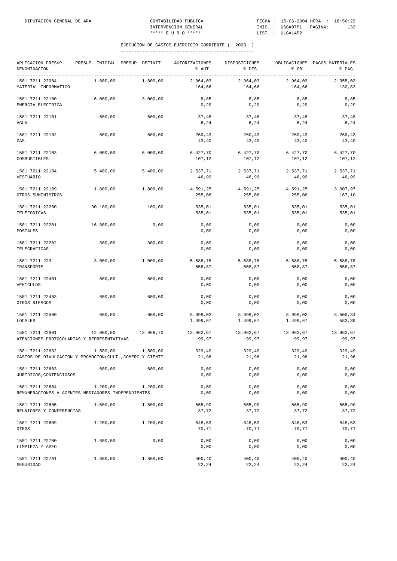| APLICACION PRESUP.<br>DENOMINACION                                          |           | PRESUP. INICIAL PRESUP. DEFINIT. | AUTORIZACIONES<br>% AUT. | DISPOSICIONES<br>% DIS. | % OBL.               | OBLIGACIONES PAGOS MATERIALES<br>% PAG. |
|-----------------------------------------------------------------------------|-----------|----------------------------------|--------------------------|-------------------------|----------------------|-----------------------------------------|
| 1501 7211 22004<br>MATERIAL INFORMATICO                                     | 1.800,00  | 1.800,00                         | 2.964,03<br>164,66       | 2.964,03<br>164,66      | 2.964,03<br>164,66   | 2.355,03<br>130,83                      |
| 1501 7211 22100<br>ENERGIA ELECTRICA                                        | 6.000,00  | 3.000,00                         | 8,85<br>0, 29            | 8,85<br>0, 29           | 8,85<br>0, 29        | 8,85<br>0, 29                           |
| 1501 7211 22101<br>AGUA                                                     | 600,00    | 600,00                           | 37,48<br>6,24            | 37,48<br>6,24           | 37,48<br>6,24        | 37,48<br>6, 24                          |
| 1501 7211 22102<br>GAS                                                      | 600,00    | 600,00                           | 260,43<br>43,40          | 260,43<br>43,40         | 260,43<br>43,40      | 260, 43<br>43,40                        |
| 1501 7211 22103<br>COMBUSTIBLES                                             | 6.000,00  | 6.000,00                         | 6.427,70<br>107,12       | 6.427,70<br>107,12      | 6.427,70<br>107,12   | 6.427,70<br>107,12                      |
| 1501 7211 22104<br>VESTUARIO                                                | 5.400,00  | 5.400,00                         | 2.537,71<br>46,99        | 2.537,71<br>46,99       | 2.537,71<br>46,99    | 2.537,71<br>46,99                       |
| 1501 7211 22109<br>OTROS SUMINISTROS                                        | 1.800,00  | 1,800,00                         | 4.591,25<br>255,06       | 4.591,25<br>255,06      | 4.591,25<br>255,06   | 3.007,97<br>167,10                      |
| 1501 7211 22200<br>TELEFONICAS                                              | 30.100,00 | 100,00                           | 535,01<br>535,01         | 535,01<br>535,01        | 535,01<br>535,01     | 535,01<br>535,01                        |
| 1501 7211 22201<br>POSTALES                                                 | 16.800,00 | 0,00                             | 0,00<br>0,00             | 0,00<br>0,00            | 0,00<br>0,00         | 0,00<br>0,00                            |
| 1501 7211 22202<br>TELEGRAFICAS                                             | 300,00    | 300,00                           | 0,00<br>0,00             | 0,00<br>0,00            | 0,00<br>0,00         | 0,00<br>0,00                            |
| 1501 7211 223<br>TRANSPORTE                                                 | 3.000,00  | 1.000,00                         | 5.588,78<br>558,87       | 5.588,78<br>558,87      | 5.588,78<br>558,87   | 5.588,78<br>558,87                      |
| 1501 7211 22401<br>VEHICULOS                                                | 600,00    | 600,00                           | 0,00<br>0,00             | 0,00<br>0,00            | 0,00<br>0,00         | 0,00<br>0,00                            |
| 1501 7211 22403<br>OTROS RIESGOS                                            | 600,00    | 600,00                           | 0,00<br>0,00             | 0,00<br>0,00            | 0,00<br>0,00         | 0,00<br>0,00                            |
| 1501 7211 22500<br>LOCALES                                                  | 600,00    | 600,00                           | 8.998,02<br>1.499,67     | 8.998,02<br>1.499,67    | 8.998,02<br>1.499,67 | 3.500,34<br>583,39                      |
| 1501 7211 22601<br>ATENCIONES PROTOCOLARIAS Y REPRESENTATIVAS               | 12.000,00 | 13.966,70                        | 13.962,67<br>99,97       | 13.962,67<br>99,97      | 13.962,67<br>99,97   | 13.962,67<br>99,97                      |
| 1501 7211 22602<br>GASTOS DE DIVULGACION Y PROMOCION(CULT., COMERC.Y CIENTI | 1.500,00  | 1.500,00                         | 329,49<br>21,96          | 329,49<br>21,96         | 329,49<br>21,96      | 329,49<br>21,96                         |
| 1501 7211 22603<br>JURIDICOS, CONTENCIOSOS                                  | 600,00    | 600,00                           | 0,00<br>0,00             | 0,00<br>0,00            | 0,00<br>0,00         | 0,00<br>0,00                            |
| 1501 7211 22604<br>REMUNERACIONES A AGENTES MEDIADORES INDEPENDIENTES       | 1.200,00  | 1.200,00                         | 0,00<br>0,00             | 0,00<br>0,00            | 0,00<br>0,00         | 0,00<br>0,00                            |
| 1501 7211 22605<br>REUNIONES Y CONFERENCIAS                                 | 1.500,00  | 1.500,00                         | 565,90<br>37,72          | 565,90<br>37,72         | 565,90<br>37,72      | 565,90<br>37,72                         |
| 1501 7211 22609<br>OTROS                                                    | 1.200,00  | 1.200,00                         | 848,53<br>70,71          | 848,53<br>70,71         | 848,53<br>70,71      | 848,53<br>70,71                         |
| 1501 7211 22700<br>LIMPIEZA Y ASEO                                          | 1.800,00  | 0,00                             | 0,00<br>0,00             | 0,00<br>0,00            | 0,00<br>0,00         | 0,00<br>0,00                            |
| 1501 7211 22701<br>SEGURIDAD                                                | 1.800,00  | 1.800,00                         | 400,40<br>22,24          | 400,40<br>22,24         | 400,40<br>22,24      | 400,40<br>22,24                         |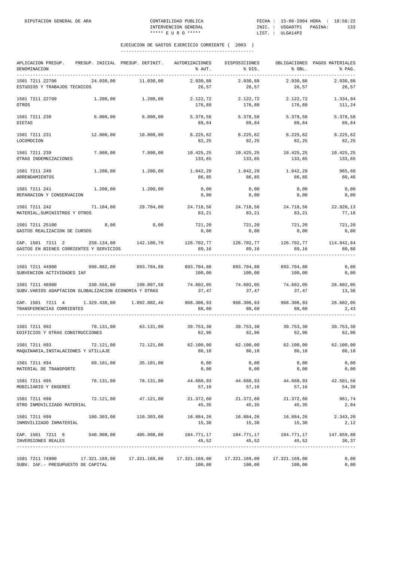| APLICACION PRESUP.<br>DENOMINACION                                                                                                                                                                                                       |           | PRESUP. INICIAL PRESUP. DEFINIT. | AUTORIZACIONES<br>% AUT.                     | DISPOSICIONES<br>% DIS.      | % OBL.                       | OBLIGACIONES PAGOS MATERIALES<br>% PAG. |
|------------------------------------------------------------------------------------------------------------------------------------------------------------------------------------------------------------------------------------------|-----------|----------------------------------|----------------------------------------------|------------------------------|------------------------------|-----------------------------------------|
| 1501 7211 22706<br>ESTUDIOS Y TRABAJOS TECNICOS                                                                                                                                                                                          | 24.030,00 | 11.030,00                        | 2.930,88<br>26,57                            | 2.930,88<br>26,57            | 2.930,88<br>26,57            | 2.930,88<br>26,57                       |
| 1501 7211 22709<br>OTROS                                                                                                                                                                                                                 | 1.200,00  | 1.200,00                         | 2.122,72<br>176,89                           | 2.122,72<br>176,89           | 2.122,72<br>176,89           | 1.334,94<br>111,24                      |
| 1501 7211 230<br><b>DIETAS</b>                                                                                                                                                                                                           | 6.000,00  | 6.000,00                         | 5.378,58<br>89,64                            | 5.378,58<br>89,64            | 5.378,58<br>89,64            | 5.378,58<br>89,64                       |
| 1501 7211 231<br>LOCOMOCION                                                                                                                                                                                                              | 12.000,00 | 10.000,00                        | 8.225,62<br>82,25                            | 8.225,62<br>82,25            | 8.225,62<br>82,25            | 8.225,62<br>82,25                       |
| 1501 7211 239<br>OTRAS INDEMNIZACIONES                                                                                                                                                                                                   | 7.800,00  | 7.800,00                         | 10.425,25<br>133,65                          | 10.425,25<br>133,65          | 10.425,25<br>133,65          | 10.425,25<br>133,65                     |
| 1501 7211 240<br>ARRENDAMIENTOS                                                                                                                                                                                                          | 1.200,00  | 1.200,00                         | 1.042,29<br>86,85                            | 1.042,29<br>86,85            | 1.042,29<br>86,85            | 965,60<br>80,46                         |
| 1501 7211 241<br>REPARACION Y CONSERVACION                                                                                                                                                                                               |           | $1.200,00$ $1.200,00$            | 0,00<br>0,00                                 | 0,00<br>0,00                 | 0,00<br>0,00                 | 0,00<br>0,00                            |
| 1501 7211 242<br>MATERIAL, SUMINISTROS Y OTROS                                                                                                                                                                                           | 71.104,00 | 29.704,00                        | 24.718,56<br>83,21                           | 24.718,56<br>83,21           | 24.718,56<br>83,21           | 22.920,13<br>77,16                      |
| 1501 7211 25100<br>GASTOS REALIZACION DE CURSOS                                                                                                                                                                                          | 0,00      | 0,00                             | 721,20<br>0,00                               | 721,20<br>0,00               | 721,20<br>0,00               | 721,20<br>0,00                          |
| $\texttt{CAP. 1501} \quad 7211 \quad 2 \qquad \qquad 258.134,00 \qquad \qquad 142.100,70 \qquad \qquad 126.702,77 \qquad \qquad 126.702,77 \qquad \qquad 126.702,77 \qquad \qquad 126.702,77$<br>GASTOS EN BIENES CORRIENTES Y SERVICIOS |           |                                  | 89,16                                        | 89,16                        | 89,16                        | 80,88                                   |
| 1501 7211 44900 398.882,00 393.704,88 893.704,88 893.704,88 893.704,88<br>SUBVENCION ACTIVIDADES IAF                                                                                                                                     |           |                                  | 100,00                                       | 100,00                       | 100,00                       | 0,00<br>0,00                            |
| 1501 7211 48900 330.556,00 199.097,58<br>SUBV.VARIOS ADAPTACION GLOBALIZACION ECONOMIA Y OTRAS                                                                                                                                           |           |                                  | $74.602,05$ $74.602,05$ $74.602,05$<br>37,47 | 37,47                        | 37,47                        | 26.602,05<br>13,36                      |
| CAP. 1501 7211 4 1.329.438,00 1.092.802,46<br>TRANSFERENCIAS CORRIENTES                                                                                                                                                                  |           |                                  | 968.306,93<br>88,60                          | 968.306,93<br>88,60          | 968.306,93<br>88,60          | 26.602,05<br>2,43                       |
| 1501 7211 692<br>EDIFICIOS Y OTRAS CONSTRUCCIONES                                                                                                                                                                                        |           | 78.131,00 63.131,00              | 39.753,38<br>62,96                           | 39.753,38<br>62,96           | 39.753,38<br>62,96           | 39.753,38<br>62,96                      |
| 1501 7211 693<br>MAQUINARIA, INSTALACIONES Y UTILLAJE                                                                                                                                                                                    |           | 72.121,00 72.121,00              | 62.100,00<br>86,10                           | 62.100,00<br>86,10           | 62.100,00<br>86,10           | 62.100,00<br>86,10                      |
| 1501 7211 694<br>MATERIAL DE TRANSPORTE                                                                                                                                                                                                  | 60.101,00 | 35.101,00                        | 0,00<br>0,00                                 | 0,00<br>0,00                 | 0,00<br>0,00                 | 0,00<br>0,00                            |
| 1501 7211 695<br>MOBILIARIO Y ENSERES                                                                                                                                                                                                    | 78.131,00 | 78.131,00                        | 57,16                                        | 44.660,93 44.660,93<br>57,16 | 44.660,93<br>57,16           | 42.501,56<br>54,39                      |
| 1501 7211 698<br>OTRO INMOVILIZADO MATERIAL                                                                                                                                                                                              | 72.121,00 | 47.121,00                        | 21.372,60<br>45,35                           | 21.372,60<br>45,35           | 21.372,60<br>45,35           | 961,74<br>2,04                          |
| 1501 7211 699 180.303,00 110.303,00<br>INMOVILIZADO INMATERIAL                                                                                                                                                                           |           |                                  | 16.884,26<br>15,30                           | 15,30                        | 16.884,26 16.884,26<br>15,30 | 2.343,20<br>2,12                        |
| CAP. 1501 7211 6<br>INVERSIONES REALES                                                                                                                                                                                                   |           | 540.908,00 405.908,00            | 184.771,17<br>45,52                          | 184.771,17<br>45,52          | 184.771,17<br>45,52          | 147.659,88<br>36,37                     |
| 1501 7211 74900 17.321.169,00 17.321.169,00 17.321.169,00 17.321.169,00 17.321.169,00<br>SUBV. IAF. - PRESUPUESTO DE CAPITAL                                                                                                             |           |                                  | 100,00                                       | 100,00                       | 100,00                       | 0,00<br>0,00                            |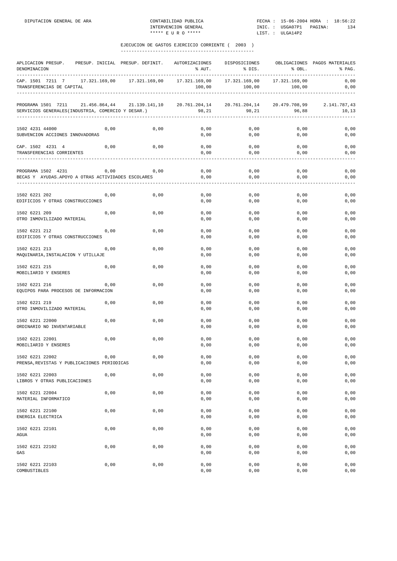| APLICACION PRESUP.<br>DENOMINACION                                       |      | PRESUP. INICIAL PRESUP. DEFINIT. | AUTORIZACIONES<br>% AUT. | DISPOSICIONES<br>% DIS. | % OBL.                               | OBLIGACIONES PAGOS MATERIALES<br>% PAG. |
|--------------------------------------------------------------------------|------|----------------------------------|--------------------------|-------------------------|--------------------------------------|-----------------------------------------|
| CAP. 1501 7211 7<br>TRANSFERENCIAS DE CAPITAL                            |      | 17.321.169,00 17.321.169,00      | 17.321.169,00<br>100,00  | 17.321.169,00<br>100,00 | 17.321.169,00<br>100,00              | 0,00<br>0,00                            |
| PROGRAMA 1501 7211<br>SERVICIOS GENERALES (INDUSTRIA, COMERCIO Y DESAR.) |      | 21.456.864,44 21.139.141,10      | 20.761.204,14<br>98,21   | 98,21                   | 20.761.204,14 20.479.708,99<br>96,88 | 2.141.787,43<br>10,13                   |
| 1502 4231 44000<br>SUBVENCION ACCIONES INNOVADORAS                       | 0,00 | 0,00                             | 0,00<br>0,00             | 0,00<br>0,00            | 0,00<br>0,00                         | 0,00<br>0,00                            |
| CAP. 1502 4231 4<br>TRANSFERENCIAS CORRIENTES                            | 0,00 | 0,00                             | 0,00<br>0,00             | 0,00<br>0,00            | 0,00<br>0,00                         | 0,00<br>0,00                            |
| PROGRAMA 1502 4231<br>BECAS Y AYUDAS.APOYO A OTRAS ACTIVIDADES ESCOLARES | 0,00 | 0,00                             | 0,00<br>0,00             | 0,00<br>0,00            | 0,00<br>0,00                         | 0,00<br>0,00                            |
| 1502 6221 202<br>EDIFICIOS Y OTRAS CONSTRUCCIONES                        | 0,00 | 0,00                             | 0,00<br>0,00             | 0,00<br>0,00            | 0,00<br>0,00                         | 0,00<br>0,00                            |
| 1502 6221 209<br>OTRO INMOVILIZADO MATERIAL                              | 0,00 | 0,00                             | 0,00<br>0,00             | 0,00<br>0,00            | 0,00<br>0,00                         | 0,00<br>0,00                            |
| 1502 6221 212<br>EDIFICIOS Y OTRAS CONSTRUCCIONES                        | 0,00 | 0,00                             | 0,00<br>0,00             | 0,00<br>0,00            | 0,00<br>0,00                         | 0,00<br>0,00                            |
| 1502 6221 213<br>MAQUINARIA, INSTALACION Y UTILLAJE                      | 0,00 | 0,00                             | 0,00<br>0,00             | 0,00<br>0,00            | 0,00<br>0,00                         | 0,00<br>0,00                            |
| 1502 6221 215<br>MOBILIARIO Y ENSERES                                    | 0,00 | 0,00                             | 0,00<br>0,00             | 0,00<br>0,00            | 0,00<br>0,00                         | 0,00<br>0,00                            |
| 1502 6221 216<br>EQUIPOS PARA PROCESOS DE INFORMACION                    | 0,00 | 0,00                             | 0,00<br>0,00             | 0,00<br>0,00            | 0,00<br>0,00                         | 0,00<br>0,00                            |
| 1502 6221 219<br>OTRO INMOVILIZADO MATERIAL                              | 0,00 | 0,00                             | 0,00<br>0,00             | 0,00<br>0,00            | 0,00<br>0,00                         | 0,00<br>0,00                            |
| 1502 6221 22000<br>ORDINARIO NO INVENTARIABLE                            | 0,00 | 0,00                             | 0,00<br>0,00             | 0,00<br>0,00            | 0,00<br>0,00                         | 0,00<br>0,00                            |
| 1502 6221 22001<br>MOBILIARIO Y ENSERES                                  | 0,00 | 0,00                             | 0,00<br>0,00             | 0,00<br>0,00            | 0,00<br>0,00                         | 0,00<br>0,00                            |
| 1502 6221 22002<br>PRENSA, REVISTAS Y PUBLICACIONES PERIODICAS           | 0,00 | 0,00                             | 0,00<br>0,00             | 0,00<br>0,00            | 0,00<br>0,00                         | 0,00<br>0,00                            |
| 1502 6221 22003<br>LIBROS Y OTRAS PUBLICACIONES                          | 0,00 | 0,00                             | 0,00<br>0,00             | 0,00<br>0,00            | 0,00<br>0,00                         | 0,00<br>0,00                            |
| 1502 6221 22004<br>MATERIAL INFORMATICO                                  | 0,00 | 0,00                             | 0,00<br>0,00             | 0,00<br>0,00            | 0,00<br>0,00                         | 0,00<br>0,00                            |
| 1502 6221 22100<br>ENERGIA ELECTRICA                                     | 0,00 | 0,00                             | 0,00<br>0,00             | 0,00<br>0,00            | 0,00<br>0,00                         | 0,00<br>0,00                            |
| 1502 6221 22101<br>AGUA                                                  | 0,00 | 0,00                             | 0,00<br>0,00             | 0,00<br>0,00            | 0,00<br>0,00                         | 0,00<br>0,00                            |
| 1502 6221 22102<br>GAS                                                   | 0,00 | 0,00                             | 0,00<br>0,00             | 0,00<br>0,00            | 0,00<br>0,00                         | 0,00<br>0,00                            |
| 1502 6221 22103<br>COMBUSTIBLES                                          | 0,00 | 0,00                             | 0,00<br>0,00             | 0,00<br>0,00            | 0,00<br>0,00                         | 0,00<br>0,00                            |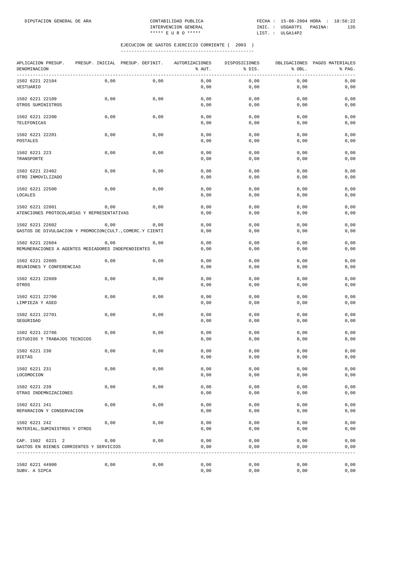| APLICACION PRESUP.<br>DENOMINACION                                          | PRESUP. INICIAL PRESUP. DEFINIT. |      | AUTORIZACIONES<br>% AUT. | DISPOSICIONES<br>% DIS. | % OBL.<br>_________________________________ | OBLIGACIONES PAGOS MATERIALES<br>% PAG.<br>----------------- |
|-----------------------------------------------------------------------------|----------------------------------|------|--------------------------|-------------------------|---------------------------------------------|--------------------------------------------------------------|
| 1502 6221 22104<br>VESTUARIO                                                | 0,00                             | 0,00 | 0,00<br>0,00             | 0,00<br>0,00            | 0,00<br>0,00                                | 0,00<br>0,00                                                 |
| 1502 6221 22109<br>OTROS SUMINISTROS                                        | 0,00                             | 0,00 | 0,00<br>0,00             | 0,00<br>0,00            | 0,00<br>0,00                                | 0,00<br>0,00                                                 |
| 1502 6221 22200<br>TELEFONICAS                                              | 0,00                             | 0,00 | 0,00<br>0,00             | 0,00<br>0,00            | 0,00<br>0,00                                | 0,00<br>0,00                                                 |
| 1502 6221 22201<br>POSTALES                                                 | 0,00                             | 0,00 | 0,00<br>0,00             | 0,00<br>0,00            | 0,00<br>0,00                                | 0,00<br>0,00                                                 |
| 1502 6221 223<br>TRANSPORTE                                                 | 0,00                             | 0,00 | 0,00<br>0,00             | 0,00<br>0,00            | 0,00<br>0,00                                | 0,00<br>0,00                                                 |
| 1502 6221 22402<br>OTRO INMOVILIZADO                                        | 0,00                             | 0,00 | 0,00<br>0,00             | 0,00<br>0,00            | 0,00<br>0,00                                | 0,00<br>0,00                                                 |
| 1502 6221 22500<br>LOCALES                                                  | 0,00                             | 0,00 | 0,00<br>0,00             | 0,00<br>0,00            | 0,00<br>0,00                                | 0,00<br>0,00                                                 |
| 1502 6221 22601<br>ATENCIONES PROTOCOLARIAS Y REPRESENTATIVAS               | 0,00                             | 0,00 | 0,00<br>0,00             | 0,00<br>0,00            | 0,00<br>0,00                                | 0,00<br>0,00                                                 |
| 1502 6221 22602<br>GASTOS DE DIVULGACION Y PROMOCION(CULT., COMERC.Y CIENTI | 0,00                             | 0,00 | 0,00<br>0,00             | 0,00<br>0,00            | 0,00<br>0,00                                | 0,00<br>0,00                                                 |
| 1502 6221 22604<br>REMUNERACIONES A AGENTES MEDIADORES INDEPENDIENTES       | 0,00                             | 0,00 | 0,00<br>0,00             | 0,00<br>0,00            | 0,00<br>0,00                                | 0,00<br>0,00                                                 |
| 1502 6221 22605<br>REUNIONES Y CONFERENCIAS                                 | 0,00                             | 0,00 | 0,00<br>0,00             | 0,00<br>0,00            | 0,00<br>0,00                                | 0,00<br>0,00                                                 |
| 1502 6221 22609<br>OTROS                                                    | 0,00                             | 0,00 | 0,00<br>0,00             | 0,00<br>0,00            | 0,00<br>0,00                                | 0,00<br>0,00                                                 |
| 1502 6221 22700<br>LIMPIEZA Y ASEO                                          | 0,00                             | 0,00 | 0,00<br>0,00             | 0,00<br>0,00            | 0,00<br>0,00                                | 0,00<br>0,00                                                 |
| 1502 6221 22701<br>SEGURIDAD                                                | 0,00                             | 0,00 | 0,00<br>0,00             | 0,00<br>0,00            | 0,00<br>0,00                                | 0,00<br>0,00                                                 |
| 1502 6221 22706<br>ESTUDIOS Y TRABAJOS TECNICOS                             | 0,00                             | 0,00 | 0,00<br>0,00             | 0,00<br>0,00            | 0,00<br>0,00                                | 0,00<br>0,00                                                 |
| 1502 6221 230<br>DIETAS                                                     | 0,00                             | 0,00 | 0,00<br>0,00             | 0,00<br>0,00            | 0,00<br>0,00                                | 0,00<br>${\bf 0}$ , ${\bf 0}$ ${\bf 0}$                      |
| 1502 6221 231<br>LOCOMOCION                                                 | 0,00                             | 0,00 | 0,00<br>0,00             | 0,00<br>0,00            | 0,00<br>0,00                                | 0,00<br>0,00                                                 |
| 1502 6221 239<br>OTRAS INDEMNIZACIONES                                      | 0,00                             | 0,00 | 0,00<br>0,00             | 0,00<br>0,00            | 0,00<br>0,00                                | 0,00<br>0,00                                                 |
| 1502 6221 241<br>REPARACION Y CONSERVACION                                  | 0,00                             | 0,00 | 0,00<br>0,00             | 0,00<br>0,00            | 0,00<br>0,00                                | 0,00<br>0,00                                                 |
| 1502 6221 242<br>MATERIAL, SUMINISTROS Y OTROS                              | 0,00                             | 0,00 | 0,00<br>0,00             | 0,00<br>0,00            | 0,00<br>0,00                                | 0,00<br>0,00                                                 |
| CAP. 1502 6221 2<br>GASTOS EN BIENES CORRIENTES Y SERVICIOS                 | 0,00                             | 0,00 | 0,00<br>0,00             | 0,00<br>0,00            | 0,00<br>0,00                                | 0,00<br>0,00                                                 |
| 1502 6221 44900<br>SUBV. A SIPCA                                            | 0,00                             | 0,00 | 0,00<br>0,00             | 0,00<br>0,00            | 0,00<br>0,00                                | 0,00<br>0,00                                                 |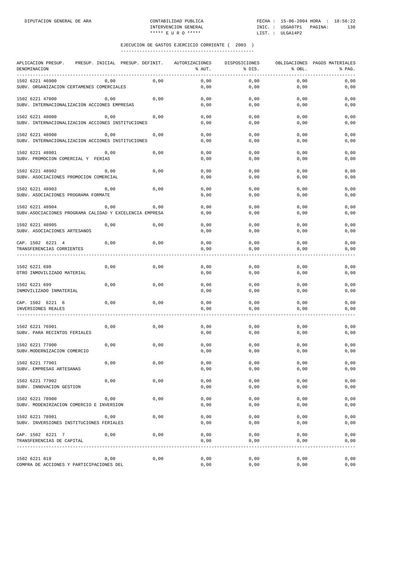| APLICACION PRESUP.<br>PRESUP. INICIAL<br>DENOMINACION                | PRESUP. DEFINIT. |      | AUTORIZACIONES<br>% AUT. | DISPOSICIONES<br>% DIS. | % OBL.             | OBLIGACIONES PAGOS MATERIALES<br>% PAG. |
|----------------------------------------------------------------------|------------------|------|--------------------------|-------------------------|--------------------|-----------------------------------------|
| 1502 6221 46900<br>SUBV. ORGANIZACION CERTAMENES COMERCIALES         | 0,00             | 0,00 | 0,00<br>0,00             | 0,00<br>0,00            | 0,00<br>0,00       | 0,00<br>0,00                            |
| 1502 6221 47000<br>SUBV. INTERNACIONALIZACION ACCIONES EMPRESAS      | 0,00             | 0,00 | 0,00<br>0,00             | 0,00<br>0,00            | 0,00<br>0,00       | 0,00<br>0,00                            |
| 1502 6221 48000<br>SUBV. INTERNACIONALIZACION ACCIONES INSTITUCIONES | 0,00             | 0,00 | 0,00<br>0,00             | 0,00<br>0,00            | 0,00<br>0,00       | 0,00<br>0,00                            |
| 1502 6221 48900<br>SUBV. INTERNACIONALIZACION ACCIONES INSTITUCIONES | 0,00             | 0,00 | 0,00<br>0,00             | 0,00<br>0,00            | 0,00<br>0,00       | 0,00<br>0,00                            |
| 1502 6221 48901<br>SUBV. PROMOCION COMERCIAL Y FERIAS                | 0,00             | 0,00 | 0,00<br>0,00             | 0,00<br>0,00            | 0,00<br>0,00       | 0,00<br>0,00                            |
| 1502 6221 48902<br>SUBV. ASOCIACIONES PROMOCION COMERCIAL            | 0,00             | 0,00 | 0,00<br>0,00             | 0,00<br>0,00            | 0,00<br>0,00       | 0,00<br>0,00                            |
| 1502 6221 48903<br>SUBV. ASOCIACIONES PROGRAMA FORMATE               | 0,00             | 0,00 | 0,00<br>0,00             | 0,00<br>0,00            | 0,00<br>0,00       | 0,00<br>0,00                            |
| 1502 6221 48904                                                      | 0,00             | 0,00 | 0,00                     | 0,00                    | 0,00               | 0,00                                    |
| SUBV.ASOCIACIONES PROGRAMA CALIDAD Y EXCELENCIA EMPRESA              |                  |      | 0,00                     | 0,00                    | 0,00               | 0,00                                    |
| 1502 6221 48905<br>SUBV. ASOCIACIONES ARTESANOS                      | 0,00             | 0,00 | 0,00<br>0,00             | 0,00<br>0,00            | 0,00<br>0,00       | 0,00<br>0,00                            |
| CAP. 1502 6221 4<br>TRANSFERENCIAS CORRIENTES                        | 0,00             | 0,00 | 0,00<br>0,00             | 0,00<br>0,00            | 0,00<br>0,00       | 0,00<br>0,00                            |
| 1502 6221 698<br>OTRO INMOVILIZADO MATERIAL                          | 0,00             | 0,00 | 0,00<br>0,00             | 0,00<br>0,00            | 0,00<br>0,00       | 0,00<br>0,00                            |
| 1502 6221 699<br>INMOVILIZADO INMATERIAL                             | 0,00             | 0,00 | 0,00<br>0,00             | 0,00<br>0,00            | 0,00<br>0,00       | 0,00<br>0,00                            |
| CAP. 1502 6221 6<br>INVERSIONES REALES                               | 0,00             | 0,00 | 0,00<br>0,00             | 0,00<br>0,00            | 0,00<br>0,00       | 0,00<br>0,00                            |
| 1502 6221 76901<br>SUBV. PARA RECINTOS FERIALES                      | 0,00             | 0,00 | 0,00<br>0,00             | 0,00<br>0,00            | 0,00<br>0,00       | 0,00<br>0,00                            |
| 1502 6221 77900<br>SUBV.MODERNIZACION COMERCIO                       | 0,00             | 0,00 | 0,00<br>0,00             | 0,00<br>0,00            | 0,00<br>0,00       | 0,00<br>0,00                            |
| 1502 6221 77901<br>SUBV. EMPRESAS ARTESANAS                          | 0,00             | 0,00 | 0,00<br>0,00             | 0,00<br>0,00            | 0,00<br>0,00       | 0,00<br>0,00                            |
| 1502 6221 77902<br>SUBV. INNOVACION GESTION                          | 0,00             | 0,00 | 0,00<br>0,00             | 0,00<br>0,00            | 0,00<br>$0$ , $00$ | 0,00<br>0,00                            |
| 1502 6221 78900<br>SUBV. MODENIRZACION COMERCIO E INVERSION          | 0,00             | 0,00 | 0,00<br>0,00             | 0,00<br>0,00            | 0,00<br>0,00       | 0,00<br>0,00                            |
| 1502 6221 78901<br>SUBV. INVERSIONES INSTITUCIONES FERIALES          | 0,00             | 0,00 | 0,00<br>0,00             | 0,00<br>0,00            | 0,00<br>0,00       | 0,00<br>0,00                            |
| CAP. 1502 6221 7<br>TRANSFERENCIAS DE CAPITAL                        | 0,00             | 0,00 | 0,00<br>0,00             | 0,00<br>0,00            | 0,00<br>0,00       | 0,00<br>0,00                            |
| 1502 6221 819                                                        | 0,00             | 0,00 | 0,00                     | 0,00                    | 0,00               | 0,00                                    |
| COMPRA DE ACCIONES Y PARTICIPACIONES DEL                             |                  |      | 0,00                     | 0,00                    | 0,00               | 0,00                                    |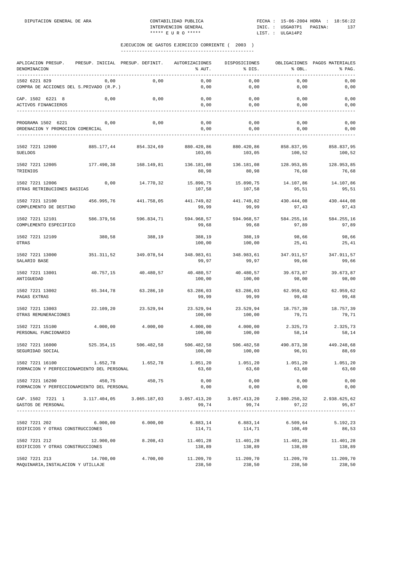| APLICACION PRESUP.<br>DENOMINACION<br>-----------                                                                    | PRESUP. INICIAL PRESUP. DEFINIT. |                       | AUTORIZACIONES<br>% AUT. | DISPOSICIONES<br>% DIS.                 | % OBL.               | OBLIGACIONES PAGOS MATERIALES<br>% PAG. |
|----------------------------------------------------------------------------------------------------------------------|----------------------------------|-----------------------|--------------------------|-----------------------------------------|----------------------|-----------------------------------------|
| 1502 6221 829<br>COMPRA DE ACCIONES DEL S.PRIVADO (R.P.)                                                             | 0,00                             | 0,00                  | 0,00<br>0,00             | 0,00<br>0,00                            | 0,00<br>0,00         | 0,00<br>0,00                            |
| CAP. 1502 6221 8<br>ACTIVOS FINANCIEROS                                                                              | 0,00                             | 0,00                  | 0,00<br>0,00             | 0,00<br>0,00                            | 0,00<br>0,00         | 0,00<br>0,00                            |
| PROGRAMA 1502 6221<br>ORDENACION Y PROMOCION COMERCIAL                                                               | 0,00                             | 0,00                  | 0,00<br>0,00             | 0,00<br>0,00                            | 0,00<br>0,00         | 0,00<br>0,00                            |
| 1502 7221 12000<br><b>SUELDOS</b>                                                                                    |                                  | 885.177.44 854.324,69 | 880.420,86<br>103,05     | 880.420,86<br>103,05                    | 858.837,95<br>100,52 | 858.837,95<br>100,52                    |
| 1502 7221 12005<br>TRIENIOS                                                                                          | 177.490,38                       | 168.149,81            | 136.181,08<br>80,98      | 136.181,08<br>80,98                     | 128.953,85<br>76,68  | 128.953,85<br>76,68                     |
| 1502 7221 12006<br>OTRAS RETRIBUCIONES BASICAS                                                                       | 0,00                             | 14.770,32             | 15.890,75<br>107,58      | 15.890,75<br>107,58                     | 14.107,86<br>95,51   | 14.107,86<br>95,51                      |
| 1502 7221 12100<br>COMPLEMENTO DE DESTINO                                                                            | 456.995,76                       | 441.758,05            | 441.749,82<br>99,99      | 441.749,82<br>99,99                     | 430.444,08<br>97,43  | 430.444,08<br>97,43                     |
| 1502 7221 12101<br>COMPLEMENTO ESPECIFICO                                                                            | 586.379,56                       | 596.834,71            | 594.968,57<br>99,68      | 594.968,57<br>99,68                     | 584.255,16<br>97,89  | 584.255,16<br>97,89                     |
| 1502 7221 12109<br>OTRAS                                                                                             | 380,58                           | 388,19                | 388,19<br>100,00         | 388,19<br>100,00                        | 98,66<br>25,41       | 98,66<br>25,41                          |
| 1502 7221 13000<br>SALARIO BASE                                                                                      | 351.311,52                       | 349.078,54            | 348.983,61<br>99,97      | 348.983,61<br>99,97                     | 347.911,57<br>99,66  | 347.911,57<br>99,66                     |
| 1502 7221 13001<br>ANTIGUEDAD                                                                                        | 40.757,15                        | 40.480,57             | 40.480,57<br>100,00      | 40.480,57<br>100,00                     | 39.673,87<br>98,00   | 39.673,87<br>98,00                      |
| 1502 7221 13002<br>PAGAS EXTRAS                                                                                      | 65.344,78                        | 63.286,10             | 63.286,03<br>99,99       | 63.286,03<br>99,99                      | 62.959,62<br>99,48   | 62.959,62<br>99,48                      |
| 1502 7221 13003<br>OTRAS REMUNERACIONES                                                                              | 22.109,20                        | 23.529,94             | 23.529,94<br>100,00      | 23.529,94<br>100,00                     | 18.757,39<br>79,71   | 18.757,39<br>79,71                      |
| 1502 7221 15100<br>PERSONAL FUNCIONARIO                                                                              | 4.000,00                         | 4.000,00              | 4.000,00<br>100,00       | 4.000,00<br>100,00                      | 2.325,73<br>58,14    | 2.325,73<br>58,14                       |
| 1502 7221 16000<br>SEGURIDAD SOCIAL                                                                                  | 525.354,15                       | 506.482,58            | 506.482,58<br>100,00     | 506.482,58<br>100,00                    | 490.873,38<br>96,91  | 449.248,68<br>88,69                     |
| 1502 7221 16100<br>FORMACION Y PERFECCIONAMIENTO DEL PERSONAL                                                        |                                  | 1.652,78 1.652,78     | 1.051,20<br>63,60        | 1.051,20<br>63,60                       | 1.051,20<br>63,60    | 1.051,20<br>63,60                       |
| 1502 7221 16200<br>FORMACION Y PERFECCIONAMIENTO DEL PERSONAL                                                        | 450,75                           | 450,75                | 0,00<br>0,00             | 0,00<br>0,00                            | 0,00<br>0,00         | 0,00<br>0,00                            |
| CAP. 1502 7221 1 3.117.404,05 3.065.187,03 3.057.413,20 3.057.413,20 2.980.250,32 2.938.625,62<br>GASTOS DE PERSONAL |                                  |                       | 99,74                    |                                         | 99,74                | 97,22<br>95,87                          |
| 1502 7221 202<br>EDIFICIOS Y OTRAS CONSTRUCCIONES                                                                    | 6.000,00                         | 6.000,00              | 6.883,14<br>114,71       | 6.883,14<br>114,71                      | 6.509, 64<br>108,49  | 5.192,23<br>86,53                       |
| 1502 7221 212 12.900,00<br>EDIFICIOS Y OTRAS CONSTRUCCIONES                                                          |                                  | 8.208,43              | 138,89                   | 11.401,28 11.401,28 11.401,28<br>138,89 | 138,89               | 11.401,28<br>138,89                     |
| 1502 7221 213<br>MAQUINARIA, INSTALACION Y UTILLAJE                                                                  | 14.700,00                        | 4.700,00              | 11.209,70<br>238,50      | 11.209,70<br>238,50                     | 11.209,70<br>238,50  | 11.209,70<br>238,50                     |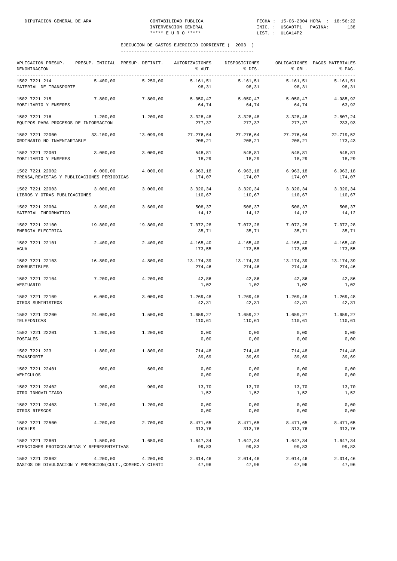| APLICACION PRESUP.<br>DENOMINACION                                          | PRESUP. INICIAL PRESUP. DEFINIT. |           | AUTORIZACIONES<br>% AUT. | DISPOSICIONES<br>% DIS. | % OBL.              | OBLIGACIONES PAGOS MATERIALES<br>% PAG. |
|-----------------------------------------------------------------------------|----------------------------------|-----------|--------------------------|-------------------------|---------------------|-----------------------------------------|
| 1502 7221 214<br>MATERIAL DE TRANSPORTE                                     | 5.400,00                         | 5.250,00  | 5.161,51<br>98,31        | 5.161, 51<br>98,31      | 5.161,51<br>98,31   | 5.161,51<br>98,31                       |
| 1502 7221 215<br>MOBILIARIO Y ENSERES                                       | 7.800,00                         | 7.800,00  | 5.050, 47<br>64,74       | 5.050, 47<br>64,74      | 5.050, 47<br>64,74  | 4.985,92<br>63,92                       |
| 1502 7221 216<br>EQUIPOS PARA PROCESOS DE INFORMACION                       | 1.200,00                         | 1.200,00  | 3.328,48<br>277,37       | 3.328,48<br>277,37      | 3.328,48<br>277,37  | 2.807,24<br>233,93                      |
| 1502 7221 22000<br>ORDINARIO NO INVENTARIABLE                               | 33.100,00                        | 13.099,99 | 27.276,64<br>208,21      | 27.276,64<br>208,21     | 27.276,64<br>208,21 | 22.719,52<br>173,43                     |
| 1502 7221 22001<br>MOBILIARIO Y ENSERES                                     | 3.000,00                         | 3.000,00  | 548,81<br>18,29          | 548,81<br>18,29         | 548,81<br>18,29     | 548,81<br>18,29                         |
| 1502 7221 22002<br>PRENSA, REVISTAS Y PUBLICACIONES PERIODICAS              | 6.000,00                         | 4.000,00  | 6.963, 18<br>174,07      | 6.963, 18<br>174,07     | 6.963, 18<br>174,07 | 6.963, 18<br>174,07                     |
| 1502 7221 22003<br>LIBROS Y OTRAS PUBLICACIONES                             | 3.000,00                         | 3.000,00  | 3.320,34<br>110,67       | 3.320,34<br>110,67      | 3.320,34<br>110,67  | 3.320,34<br>110,67                      |
| 1502 7221 22004<br>MATERIAL INFORMATICO                                     | 3.600,00                         | 3.600,00  | 508,37<br>14,12          | 508,37<br>14,12         | 508,37<br>14,12     | 508,37<br>14,12                         |
| 1502 7221 22100<br>ENERGIA ELECTRICA                                        | 19.800,00                        | 19.800,00 | 7.072,28<br>35,71        | 7.072,28<br>35,71       | 7.072,28<br>35,71   | 7.072,28<br>35,71                       |
| 1502 7221 22101<br>AGUA                                                     | 2.400,00                         | 2.400,00  | 4.165,40<br>173,55       | 4.165,40<br>173,55      | 4.165,40<br>173,55  | 4.165,40<br>173,55                      |
| 1502 7221 22103<br>COMBUSTIBLES                                             | 16.800,00                        | 4.800,00  | 13.174,39<br>274,46      | 13.174,39<br>274,46     | 13.174,39<br>274,46 | 13.174,39<br>274,46                     |
| 1502 7221 22104<br>VESTUARIO                                                | 7.200,00                         | 4.200,00  | 42,86<br>1,02            | 42,86<br>1,02           | 42,86<br>1,02       | 42,86<br>1,02                           |
| 1502 7221 22109<br>OTROS SUMINISTROS                                        | 6.000,00                         | 3.000,00  | 1.269,48<br>42,31        | 1.269,48<br>42,31       | 1.269,48<br>42,31   | 1.269,48<br>42,31                       |
| 1502 7221 22200<br>TELEFONICAS                                              | 24.000,00                        | 1.500,00  | 1.659,27<br>110,61       | 1.659,27<br>110,61      | 1.659,27<br>110,61  | 1.659,27<br>110,61                      |
| 1502 7221 22201<br>POSTALES                                                 | 1.200,00                         | 1.200,00  | 0,00<br>0,00             | 0,00<br>0,00            | 0,00<br>0,00        | 0,00<br>0,00                            |
| 1502 7221 223<br>TRANSPORTE                                                 | 1.800,00                         | 1.800,00  | 714,48<br>39,69          | 714,48<br>39,69         | 714,48<br>39,69     | 714,48<br>39,69                         |
| 1502 7221 22401<br>VEHICULOS                                                | 600,00                           | 600,00    | 0,00<br>0,00             | 0,00<br>0,00            | 0,00<br>0,00        | 0,00<br>0,00                            |
| 1502 7221 22402<br>OTRO INMOVILIZADO                                        | 900,00                           | 900,00    | 13,70<br>1,52            | 13,70<br>1,52           | 13,70<br>1,52       | 13,70<br>1,52                           |
| 1502 7221 22403<br>OTROS RIESGOS                                            | 1.200,00                         | 1.200,00  | 0,00<br>0,00             | 0,00<br>0,00            | 0,00<br>0,00        | 0,00<br>0,00                            |
| 1502 7221 22500<br>LOCALES                                                  | 4.200,00                         | 2.700,00  | 8.471,65<br>313,76       | 8.471,65<br>313,76      | 8.471,65<br>313,76  | 8.471,65<br>313,76                      |
| 1502 7221 22601<br>ATENCIONES PROTOCOLARIAS Y REPRESENTATIVAS               | 1.500,00                         | 1.650,00  | 1.647,34<br>99,83        | 1.647,34<br>99,83       | 1.647,34<br>99,83   | 1.647,34<br>99,83                       |
| 1502 7221 22602<br>GASTOS DE DIVULGACION Y PROMOCION(CULT., COMERC.Y CIENTI | 4.200,00                         | 4.200,00  | 2.014,46<br>47,96        | 2.014,46<br>47,96       | 2.014,46<br>47,96   | 2.014,46<br>47,96                       |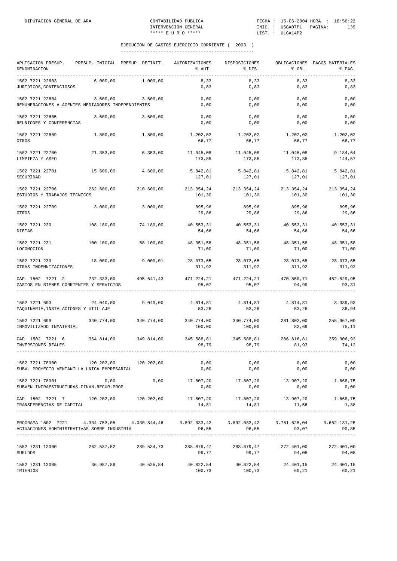| APLICACION PRESUP.<br>DENOMINACION<br>-----------                                                                                                                                                                                                                                                                                    | PRESUP. INICIAL PRESUP. DEFINIT. |            | AUTORIZACIONES<br>% AUT.                                                          | DISPOSICIONES<br>% DIS.               | % OBL.               | OBLIGACIONES PAGOS MATERIALES<br>% PAG.           |
|--------------------------------------------------------------------------------------------------------------------------------------------------------------------------------------------------------------------------------------------------------------------------------------------------------------------------------------|----------------------------------|------------|-----------------------------------------------------------------------------------|---------------------------------------|----------------------|---------------------------------------------------|
| 1502 7221 22603<br>JURIDICOS, CONTENCIOSOS                                                                                                                                                                                                                                                                                           | 6.000,00                         | 1,000,00   | 8,33<br>0,83                                                                      | 8,33<br>0,83                          | 8,33<br>0,83         | 8, 33<br>0,83                                     |
| 1502 7221 22604<br>REMUNERACIONES A AGENTES MEDIADORES INDEPENDIENTES                                                                                                                                                                                                                                                                | 3.600,00                         | 3.600,00   | 0,00<br>0,00                                                                      | 0,00<br>0,00                          | 0,00<br>0,00         | 0,00<br>0,00                                      |
| 1502 7221 22605<br>REUNIONES Y CONFERENCIAS                                                                                                                                                                                                                                                                                          | 3.600,00                         | 3.600,00   | 0,00<br>0,00                                                                      | 0,00<br>0,00                          | 0,00<br>0,00         | 0,00<br>0,00                                      |
| 1502 7221 22609<br>OTROS                                                                                                                                                                                                                                                                                                             | 1.800,00                         | 1.800,00   | 1.202,02<br>66,77                                                                 | 1.202,02<br>66,77                     | 1.202,02<br>66,77    | 1.202,02<br>66,77                                 |
| 1502 7221 22700                                                                                                                                                                                                                                                                                                                      | 21.353,00                        | 6.353,00   | 11.045,08                                                                         | 11.045,08                             | 11.045,08            | 9.184,64                                          |
| LIMPIEZA Y ASEO<br>1502 7221 22701                                                                                                                                                                                                                                                                                                   | 15.600,00                        | 4.600,00   | 173,85<br>5.842,81                                                                | 173,85<br>5.842,81                    | 173,85<br>5.842,81   | 144,57<br>5.842,81                                |
| SEGURIDAD                                                                                                                                                                                                                                                                                                                            |                                  |            | 127,01                                                                            | 127,01                                | 127,01               | 127,01                                            |
| 1502 7221 22706<br>ESTUDIOS Y TRABAJOS TECNICOS                                                                                                                                                                                                                                                                                      | 262.600,00                       | 210.600,00 | 213.354,24 213.354,24<br>101,30                                                   | 101,30                                | 213.354,24<br>101,30 | 213.354,24<br>101,30                              |
| 1502 7221 22709<br>OTROS                                                                                                                                                                                                                                                                                                             | 3.000,00                         | 3.000,00   | 895,96<br>29,86                                                                   | 895,96<br>29,86                       | 895,96<br>29,86      | 895,96<br>29,86                                   |
| 1502 7221 230<br>DIETAS                                                                                                                                                                                                                                                                                                              | 108.180,00                       | 74.180,00  | 40.553,31<br>54,66                                                                | 40.553,31<br>54,66                    | 40.553,31<br>54,66   | 40.553,31<br>54,66                                |
| 1502 7221 231<br>LOCOMOCION                                                                                                                                                                                                                                                                                                          | 100.100,00                       | 68.100,00  | 48.351,58<br>71,00                                                                | 48.351,58<br>71,00                    | 48.351,58<br>71,00   | 48.351,58<br>71,00                                |
| 1502 7221 239<br>OTRAS INDEMNIZACIONES                                                                                                                                                                                                                                                                                               | 18.000,00                        | 9.000,01   | 28.073,65 28.073,65<br>311,92                                                     | 311,92                                | 28.073,65<br>311,92  | 28.073,65<br>311,92                               |
| CAP. 1502 7221 2<br>GASTOS EN BIENES CORRIENTES Y SERVICIOS                                                                                                                                                                                                                                                                          | 732.333,00 495.641,43            |            | 471.224,21<br>95,07                                                               | 471.224,21<br>95,07                   | 470.850,71<br>94,99  | 462.529,95<br>93,31                               |
| 1502 7221 693                                                                                                                                                                                                                                                                                                                        | 24.040,00                        | 9.040,00   | 4.814,81                                                                          | 4.814,81                              | 4.814,81             | 3.339,93                                          |
| MAQUINARIA, INSTALACIONES Y UTILLAJE                                                                                                                                                                                                                                                                                                 |                                  |            | 53,26                                                                             | 53,26                                 | 53,26                | 36,94                                             |
| 1502 7221 699<br>INMOVILIZADO INMATERIAL                                                                                                                                                                                                                                                                                             | 340.774,00                       | 340.774,00 | 340.774,00 340.774,00<br>100,00                                                   | 100,00                                | 281.802,00<br>82,69  | 255.967,00<br>75,11                               |
| CAP. 1502 7221 6<br>INVERSIONES REALES                                                                                                                                                                                                                                                                                               | 364.814,00 349.814,00            |            | 98,79                                                                             | 345.588,81 345.588,81<br>98,79        | 286.616,81<br>81,93  | 259.306,93<br>74,12                               |
| 1502 7221 78900<br>SUBV. PROYECTO VENTANILLA UNICA EMPRESARIAL                                                                                                                                                                                                                                                                       | 120.202,00 120.202,00            |            | 0,00<br>0,00                                                                      | 0,00<br>0,00                          | 0,00<br>0,00         | 0,00<br>0,00                                      |
| 1502 7221 78901<br>SUBVEN. INFRAESTRUCTURAS-FINAN.RECUR.PROP                                                                                                                                                                                                                                                                         | 0,00                             | 0,00       | 0,00                                                                              | 17.807,20 17.807,20 13.907,20<br>0,00 | 0,00                 | 1.668,75<br>0,00                                  |
| CAP. 1502 7221 7 120.202,00 120.202,00 17.807,20<br>TRANSFERENCIAS DE CAPITAL                                                                                                                                                                                                                                                        |                                  |            | 14,81                                                                             | 17.807,20<br>14,81                    | 13.907,20<br>11,56   | 1.668,75<br>1,38                                  |
| ${\tt PROGRAMA~1502~7221} \hspace{1.5cm} 4.334.753 \mbox{,} 05 \hspace{1.5cm} 4.030.844 \mbox{,} 46 \hspace{1.5cm} 3.892.033 \mbox{,} 42 \hspace{1.5cm} 3.892.033 \mbox{,} 42 \hspace{1.5cm} 3.892.033 \mbox{,} 42 \hspace{1.5cm} 3.751. \\ {\tt ACTUACIONES ADMINISTRATIVAS SOBRE INDUSTRIA} \hspace{1.5cm} 96.55 \hspace{1.5cm} 9$ |                                  |            |                                                                                   |                                       | 93,07                | 3.751.625,04 3.662.131,25<br>93.07 90.85<br>90,85 |
| 1502 7231 12000<br><b>SUELDOS</b>                                                                                                                                                                                                                                                                                                    | 262.537,52                       | 289.534,73 | 288.879,47<br>99,77                                                               | 288.879,47<br>99,77                   | 272.401,00<br>94,08  | 272.401,00<br>94,08                               |
| 1502 7231 12005<br>TRIENIOS                                                                                                                                                                                                                                                                                                          |                                  |            | $36.987,86$ $40.525,84$ $40.822,54$ $40.822,54$ $24.401,15$ $24.401,15$<br>100,73 | 100,73                                | 60,21                | 60,21                                             |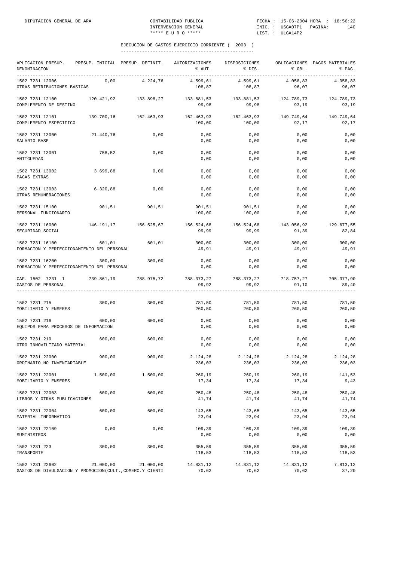| APLICACION PRESUP. PRESUP. INICIAL PRESUP. DEFINIT. AUTORIZACIONES<br>DENOMINACION |           |                       | % AUT.              | DISPOSICIONES<br>% DIS.                   | % OBL.              | OBLIGACIONES PAGOS MATERIALES<br>% PAG. |
|------------------------------------------------------------------------------------|-----------|-----------------------|---------------------|-------------------------------------------|---------------------|-----------------------------------------|
| 1502 7231 12006<br>OTRAS RETRIBUCIONES BASICAS                                     | 0,00      | 4.224,76              | 4.599,61<br>108,87  | 4.599,61<br>108,87                        | 4.058,83<br>96,07   | 4.058,83<br>96,07                       |
| 1502 7231 12100<br>COMPLEMENTO DE DESTINO                                          |           | 120.421,92 133.898,27 | 99,98               | 133.881,53 133.881,53<br>99,98            | 93,19               | 124.789,73 124.789,73<br>93,19          |
| 1502 7231 12101<br>COMPLEMENTO ESPECIFICO                                          |           | 139.700,16 162.463,93 | 100,00              | 162.463,93 162.463,93<br>100,00           | 149.749,64<br>92,17 | 149.749,64<br>92,17                     |
| 1502 7231 13000<br>SALARIO BASE                                                    | 21.440,76 | 0,00                  | 0,00<br>0,00        | 0,00<br>0,00                              | 0,00<br>0,00        | 0,00<br>0,00                            |
| 1502 7231 13001<br>ANTIGUEDAD                                                      | 758,52    | 0,00                  | 0,00<br>0,00        | 0,00<br>0,00                              | 0,00<br>0,00        | 0,00<br>0,00                            |
| 1502 7231 13002<br>PAGAS EXTRAS                                                    | 3.699,88  | 0,00                  | 0,00<br>0,00        | 0,00<br>0,00                              | 0,00<br>0,00        | 0,00<br>0,00                            |
| 1502 7231 13003<br>OTRAS REMUNERACIONES                                            | 6.320,88  | 0,00                  | 0,00<br>0,00        | 0,00<br>0,00                              | 0,00<br>0,00        | 0,00<br>0,00                            |
| 1502 7231 15100<br>PERSONAL FUNCIONARIO                                            | 901,51    | 901,51                | 901,51<br>100,00    | 901,51<br>100,00                          | 0,00<br>0,00        | 0,00<br>0,00                            |
| 1502 7231 16000<br>SEGURIDAD SOCIAL                                                |           | 146.191,17 156.525,67 | 156.524,68<br>99,99 | 156.524,68<br>99,99                       | 143.056,92<br>91,39 | 129.677,55<br>82,84                     |
| 1502 7231 16100<br>FORMACION Y PERFECCIONAMIENTO DEL PERSONAL                      | 601,01    | 601,01                | 300,00<br>49,91     | 300,00<br>49,91                           | 300,00<br>49,91     | 300,00<br>49,91                         |
| 1502 7231 16200<br>FORMACION Y PERFECCIONAMIENTO DEL PERSONAL                      | 300,00    | 300,00                | 0,00<br>0,00        | 0,00<br>0,00                              | 0,00<br>0,00        | 0,00<br>0,00                            |
| CAP. 1502 7231 1 739.861,19 788.975,72<br>GASTOS DE PERSONAL                       |           |                       | 99,92               | 788.373,27 788.373,27 718.757,27<br>99,92 | 91,10               | 705.377,90<br>89,40                     |
| 1502 7231 215<br>MOBILIARIO Y ENSERES                                              | 300,00    | 300,00                | 781,50<br>260,50    | 781,50<br>260, 50                         | 781,50<br>260, 50   | 781,50<br>260,50                        |
| 1502 7231 216<br>EQUIPOS PARA PROCESOS DE INFORMACION                              | 600,00    | 600,00                | 0,00<br>0,00        | 0,00<br>0,00                              | 0,00<br>0,00        | 0,00<br>0,00                            |
| 1502 7231 219<br>OTRO INMOVILIZADO MATERIAL                                        | 600,00    | 600,00                | 0,00<br>0,00        | 0,00<br>0,00                              | 0,00<br>0,00        | 0,00<br>0,00                            |
| 1502 7231 22000<br>ORDINARIO NO INVENTARIABLE                                      | 900,00    | 900,00                | 2.124,28<br>236,03  | 2.124,28<br>236,03                        | 2.124,28<br>236,03  | 2.124,28<br>236,03                      |
| 1502 7231 22001<br>MOBILIARIO Y ENSERES                                            | 1.500,00  | 1.500,00              | 260,19<br>17,34     | 260,19<br>17,34                           | 260,19<br>17,34     | 141,53<br>9,43                          |
| 1502 7231 22003<br>LIBROS Y OTRAS PUBLICACIONES                                    | 600,00    | 600,00                | 250,48<br>41,74     | 250,48<br>41,74                           | 250,48<br>41,74     | 250,48<br>41,74                         |
| 1502 7231 22004<br>MATERIAL INFORMATICO                                            | 600,00    | 600,00                | 143,65<br>23,94     | 143,65<br>23,94                           | 143,65<br>23,94     | 143,65<br>23,94                         |
| 1502 7231 22109<br>SUMINISTROS                                                     | 0,00      | 0,00                  | 109,39<br>0,00      | 109,39<br>0,00                            | 109,39<br>0,00      | 109,39<br>0,00                          |
| 1502 7231 223<br>TRANSPORTE                                                        | 300,00    | 300,00                | 355,59<br>118,53    | 355,59<br>118,53                          | 355,59<br>118,53    | 355,59<br>118,53                        |
| 1502 7231 22602<br>GASTOS DE DIVULGACION Y PROMOCION(CULT., COMERC.Y CIENTI        | 21.000,00 | 21.000,00             | 14.831,12<br>70,62  | 14.831,12<br>70,62                        | 14.831,12<br>70,62  | 7.813,12<br>37,20                       |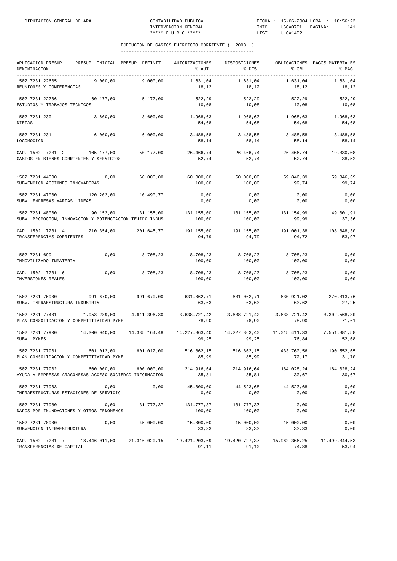| APLICACION PRESUP.<br>PRESUP. INICIAL PRESUP. DEFINIT.<br>DENOMINACION<br>-----------                                             |               | AUTORIZACIONES<br>% AUT.                                         | DISPOSICIONES<br>% DIS.                         | % OBL.                         | OBLIGACIONES PAGOS MATERIALES<br>% PAG. |
|-----------------------------------------------------------------------------------------------------------------------------------|---------------|------------------------------------------------------------------|-------------------------------------------------|--------------------------------|-----------------------------------------|
| 1502 7231 22605<br>9.000.00<br>REUNIONES Y CONFERENCIAS                                                                           | 9.000,00      | 1.631,04<br>18,12                                                | 1.631,04<br>18,12                               | 1.631,04<br>18,12              | 1.631,04<br>18,12                       |
| 1502 7231 22706<br>60.177,00<br>ESTUDIOS Y TRABAJOS TECNICOS                                                                      | 5.177,00      | 522,29<br>10,08                                                  | 522,29<br>10,08                                 | 522,29<br>10,08                | 522,29<br>10,08                         |
| 1502 7231 230<br>3.600,00<br>DIETAS                                                                                               | 3.600,00      | 1.968,63<br>54,68                                                | 1.968,63<br>54,68                               | 1.968,63<br>54,68              | 1.968,63<br>54,68                       |
| 6.000,00<br>1502 7231 231<br>LOCOMOCION                                                                                           | 6.000,00      | 3.488,58<br>58,14                                                | 3.488,58<br>58,14                               | 3.488,58<br>58,14              | 3.488,58<br>58,14                       |
| CAP. 1502 7231 2 105.177,00 50.177,00<br>GASTOS EN BIENES CORRIENTES Y SERVICIOS                                                  |               | 26.466,74 26.466,74 26.466,74<br>52,74                           | 52,74                                           | 52,74                          | 19.330,08<br>38,52                      |
| 0,00<br>1502 7231 44000<br>SUBVENCION ACCIONES INNOVADORAS                                                                        | 60.000,00     | 60.000,00<br>100,00                                              | 60.000,00<br>100,00                             | 59.846,39<br>99,74             | 59.846,39<br>99,74                      |
| 120.202,00 10.490,77<br>1502 7231 47000<br>SUBV. EMPRESAS VARIAS LINEAS                                                           |               | 0,00<br>0,00                                                     | 0,00<br>0,00                                    | 0,00<br>0,00                   | 0,00<br>0,00                            |
| 90.152,00 131.155,00<br>1502 7231 48000<br>SUBV. PROMOCION, INNOVACION Y POTENCIACION TEJIDO INDUS                                |               | 131.155,00 131.155,00 131.154,99<br>100,00                       | 100,00                                          | 99,99                          | 49.001,91<br>37,36                      |
| CAP. 1502 7231 4 210.354,00 201.645,77<br>TRANSFERENCIAS CORRIENTES                                                               |               | 94,79                                                            | 191.155,00    191.155,00<br>94,79               | 191.001,38<br>94,72            | 108.848,30<br>53,97                     |
| 1502 7231 699<br>0,00<br>INMOVILIZADO INMATERIAL                                                                                  | 8.708,23      | 8.708,23<br>100,00                                               | 100,00                                          | 8.708,23 8.708,23<br>100,00    | 0,00<br>0,00                            |
| $0,00$ 8.708,23<br>CAP. 1502 7231 6<br>INVERSIONES REALES                                                                         |               | 8.708,23 8.708,23 8.708,23<br>100,00                             | 100,00                                          | 100,00                         | 0,00<br>0,00                            |
| 1502 7231 76900<br>991.670,00 991.670,00<br>SUBV. INFRAESTRUCTURA INDUSTRIAL                                                      |               | $631.062, 71$ $631.062, 71$ $630.921, 02$ $270.313, 76$<br>63,63 | 63,63                                           | 63,62                          | 27,25                                   |
| 1502 7231 77401 1.953.289,00 4.611.396,30<br>PLAN CONSOLIDACION Y COMPETITIVIDAD PYME                                             |               | 78,90                                                            | 3.638.721,42 3.638.721,42 3.638.721,42<br>78,90 | 78,90                          | 3.302.568,30<br>71,61                   |
| 1502 7231 77900<br>14.300.040,00<br>SUBV. PYMES                                                                                   | 14.335.164,48 | 14.227.863,40<br>99,25                                           | 99,25                                           | 76,84                          | 7.551.881,58<br>52,68                   |
| 1502 7231 77901<br>601.012,00<br>PLAN CONSOLIDACION Y COMPETITIVIDAD PYME                                                         | 601.012,00    | 516.862,15<br>85,99                                              | 516.862,15<br>85,99                             | 433.760,56<br>72, 17           | 190.552,65<br>31,70                     |
| 1502 7231 77902 600.000,00 600.000,00<br>AYUDA A EMPRESAS ARAGONESAS ACCESO SOCIEDAD INFORMACION                                  |               | 214.916,64<br>35,81                                              | 35,81                                           | 214.916,64 184.028,24<br>30,67 | 184.028,24<br>30,67                     |
| 1502 7231 77903<br>0,00<br>INFRAESTRUCTURAS ESTACIONES DE SERVICIO                                                                | 0,00          | 45.000,00<br>0,00                                                | 44.523,68<br>0,00                               | 44.523,68<br>0,00              | 0,00<br>0,00                            |
| 1502 7231 77980<br>0,00<br>DAÑOS POR INUNDACIONES Y OTROS FENOMENOS                                                               | 131.777,37    | 131.777,37<br>100,00                                             | 131.777,37<br>100,00                            | 0,00<br>0,00                   | 0,00<br>0,00                            |
| 1502 7231 78900<br>0,00<br>SUBVENCION INFRAESTRUCTURA                                                                             | 45.000,00     | 15.000,00<br>33,33                                               | 15.000,00<br>33,33                              | 15.000,00<br>33,33             | 0,00<br>0,00                            |
| CAP. 1502 7231 7 18.446.011,00 21.316.020,15 19.421.203,69 19.420.727,37 15.962.366,25 11.499.344,53<br>TRANSFERENCIAS DE CAPITAL |               | 91,11                                                            | 91,10                                           | 74,88                          | 53,94                                   |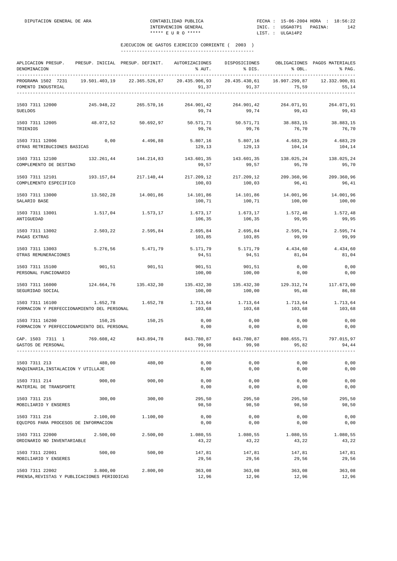| APLICACION PRESUP.<br>DENOMINACION                             |               | PRESUP. INICIAL PRESUP. DEFINIT. | AUTORIZACIONES<br>% AUT. | DISPOSICIONES<br>% DIS.         | % OBL.                 | OBLIGACIONES PAGOS MATERIALES<br>% PAG. |
|----------------------------------------------------------------|---------------|----------------------------------|--------------------------|---------------------------------|------------------------|-----------------------------------------|
| PROGRAMA 1502 7231<br>FOMENTO INDUSTRIAL                       | 19.501.403,19 | 22.365.526,87                    | 20.435.906,93<br>91,37   | 20.435.430,61<br>91,37          | 16.907.299,87<br>75,59 | 12.332.900,81<br>55,14                  |
| 1503 7311 12000<br><b>SUELDOS</b>                              | 245.948,22    | 265.570,16                       | 264.901,42<br>99,74      | 264.901,42<br>99,74             | 264.071,91<br>99,43    | 264.071,91<br>99,43                     |
| 1503 7311 12005<br>TRIENIOS                                    | 48.072,52     | 50.692,97                        | 50.571,71<br>99,76       | 50.571,71<br>99,76              | 38.883,15<br>76,70     | 38.883,15<br>76,70                      |
| 1503 7311 12006<br>OTRAS RETRIBUCIONES BASICAS                 | 0,00          | 4.496,88                         | 5.807,16<br>129,13       | 5.807,16<br>129,13              | 4.683,29<br>104,14     | 4.683,29<br>104,14                      |
| 1503 7311 12100<br>COMPLEMENTO DE DESTINO                      | 132.261,44    | 144.214,83                       | 143.601,35<br>99,57      | 143.601,35<br>99,57             | 138.025,24<br>95,70    | 138.025,24<br>95,70                     |
| 1503 7311 12101<br>COMPLEMENTO ESPECIFICO                      |               | 193.157,84 217.140,44            | 217.209,12<br>100,03     | 217.209,12<br>100,03            | 209.360,96<br>96,41    | 209.360,96<br>96,41                     |
| 1503 7311 13000<br>SALARIO BASE                                | 13.502,28     | 14.001,86                        | 14.101,86<br>100,71      | 14.101,86<br>100,71             | 14.001,96<br>100,00    | 14.001,96<br>100,00                     |
| 1503 7311 13001<br>ANTIGUEDAD                                  | 1.517,04      | 1.573,17                         | 1.673,17<br>106,35       | 1.673,17<br>106,35              | 1.572,48<br>99,95      | 1.572,48<br>99,95                       |
| 1503 7311 13002<br>PAGAS EXTRAS                                | 2.503,22      | 2.595,84                         | 2.695,84<br>103,85       | 2.695,84<br>103,85              | 2.595,74<br>99,99      | 2.595,74<br>99,99                       |
| 1503 7311 13003<br>OTRAS REMUNERACIONES                        | 5.276,56      | 5.471,79                         | 5.171,79<br>94,51        | 5.171,79<br>94,51               | 4.434,60<br>81,04      | 4.434,60<br>81,04                       |
| 1503 7311 15100<br>PERSONAL FUNCIONARIO                        | 901,51        | 901,51                           | 901,51<br>100,00         | 901,51<br>100,00                | 0,00<br>0,00           | 0,00<br>0,00                            |
| 1503 7311 16000<br>SEGURIDAD SOCIAL                            |               | 124.664.76 135.432.30            | 100,00                   | 135.432,30 135.432,30<br>100,00 | 95,48                  | 129.312,74 117.673,00<br>86,88          |
| 1503 7311 16100<br>FORMACION Y PERFECCIONAMIENTO DEL PERSONAL  | 1.652,78      | 1.652,78                         | 1.713,64<br>103,68       | 1.713,64<br>103,68              | 1.713,64<br>103,68     | 1.713,64<br>103,68                      |
| 1503 7311 16200<br>FORMACION Y PERFECCIONAMIENTO DEL PERSONAL  | 150,25        | 150,25                           | 0,00<br>0,00             | 0,00<br>0,00                    | 0,00<br>0,00           | 0,00<br>0,00                            |
| CAP. 1503 7311 1 769.608,42 843.894,78<br>GASTOS DE PERSONAL   |               |                                  | 99,98                    | 843.780,87 843.780,87<br>99,98  | 808.655,71<br>95,82    | 797.015,97<br>94,44                     |
| 1503 7311 213<br>MAQUINARIA, INSTALACION Y UTILLAJE            | 480,00        | 480,00                           | 0,00<br>0,00             | 0,00<br>0,00                    | 0,00<br>0,00           | 0,00<br>0,00                            |
| 1503 7311 214<br>MATERIAL DE TRANSPORTE                        | 900,00        | 900,00                           | 0,00<br>0,00             | 0,00<br>0,00                    | 0,00<br>0,00           | 0,00<br>0,00                            |
| 1503 7311 215<br>MOBILIARIO Y ENSERES                          | 300,00        | 300,00                           | 295,50<br>98,50          | 295,50<br>98,50                 | 295,50<br>98,50        | 295,50<br>98,50                         |
| 1503 7311 216<br>EQUIPOS PARA PROCESOS DE INFORMACION          | 2.100,00      | 1.100,00                         | 0,00<br>0,00             | 0,00<br>0,00                    | 0,00<br>0,00           | 0,00<br>0,00                            |
| 1503 7311 22000<br>ORDINARIO NO INVENTARIABLE                  | 2.500,00      | 2.500,00                         | 1.080,55<br>43,22        | 1.080,55<br>43,22               | 1.080,55<br>43,22      | 1.080,55<br>43,22                       |
| 1503 7311 22001<br>MOBILIARIO Y ENSERES                        | 500,00        | 500,00                           | 147,81<br>29,56          | 147,81<br>29,56                 | 147,81<br>29,56        | 147,81<br>29,56                         |
| 1503 7311 22002<br>PRENSA, REVISTAS Y PUBLICACIONES PERIODICAS | 3.800,00      | 2.800,00                         | 363,08<br>12,96          | 363,08<br>12,96                 | 363,08<br>12,96        | 363,08<br>12,96                         |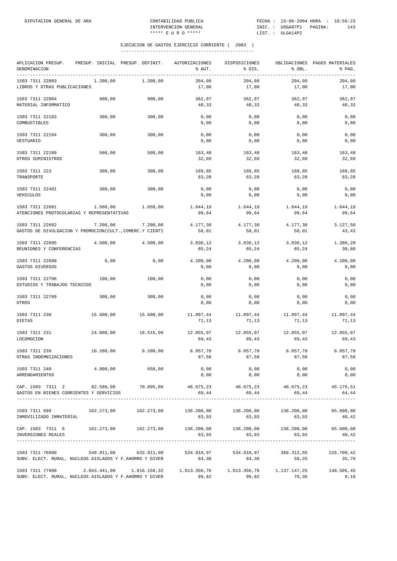| APLICACION PRESUP.<br>DENOMINACION<br>------------                                                      |              | PRESUP. INICIAL PRESUP. DEFINIT. | AUTORIZACIONES<br>% AUT.       | DISPOSICIONES<br>% DIS.                                     | % OBL.              | OBLIGACIONES PAGOS MATERIALES<br>% PAG. |
|---------------------------------------------------------------------------------------------------------|--------------|----------------------------------|--------------------------------|-------------------------------------------------------------|---------------------|-----------------------------------------|
| 1503 7311 22003<br>LIBROS Y OTRAS PUBLICACIONES                                                         | 1.200,00     | 1.200,00                         | 204,09<br>17,00                | 204,09<br>17,00                                             | 204,09<br>17,00     | 204,09<br>17,00                         |
| 1503 7311 22004<br>MATERIAL INFORMATICO                                                                 | 900,00       | 900,00                           | 362,97<br>40,33                | 362,97<br>40,33                                             | 362,97<br>40,33     | 362,97<br>40,33                         |
| 1503 7311 22103<br>COMBUSTIBLES                                                                         | 300,00       | 300,00                           | 0,00<br>0,00                   | 0,00<br>0,00                                                | 0,00<br>0,00        | 0,00<br>0,00                            |
| 1503 7311 22104<br>VESTUARIO                                                                            | 300,00       | 300,00                           | 0,00<br>0,00                   | 0,00<br>0,00                                                | 0,00<br>0,00        | 0,00<br>0,00                            |
| 1503 7311 22109<br>OTROS SUMINISTROS                                                                    | 500,00       | 500,00                           | 163,48<br>32,69                | 163,48<br>32,69                                             | 163,48<br>32,69     | 163,48<br>32,69                         |
| 1503 7311 223<br>TRANSPORTE                                                                             | 300,00       | 300,00                           | 189,85<br>63,28                | 189,85<br>63,28                                             | 189,85<br>63,28     | 189,85<br>63,28                         |
| 1503 7311 22401<br>VEHICULOS                                                                            | 300,00       | 300,00                           | 0,00<br>0,00                   | 0,00<br>0,00                                                | 0,00<br>0,00        | 0,00<br>0,00                            |
| 1503 7311 22601<br>ATENCIONES PROTOCOLARIAS Y REPRESENTATIVAS                                           | 1.500,00     | 1.650,00                         | 1.644,19<br>99,64              | 1.644,19<br>99,64                                           | 1.644,19<br>99,64   | 1.644,19<br>99,64                       |
| 1503 7311 22602<br>GASTOS DE DIVULGACION Y PROMOCION(CULT., COMERC.Y CIENTI                             | 7.200,00     | 7.200,00                         | 4.177,30<br>58,01              | 4.177,30<br>58,01                                           | 4.177,30<br>58,01   | 3.127,50<br>43,43                       |
| 1503 7311 22605<br>REUNIONES Y CONFERENCIAS                                                             | 4.500,00     | 4.500,00                         | 3.836,12<br>85,24              | 3.836,12<br>85,24                                           | 3.836,12<br>85,24   | 1.386,20<br>30,80                       |
| 1503 7311 22609<br>GASTOS DIVERSOS                                                                      | 0,00         | 0,00                             | 4.200,00<br>0,00               | 4.200,00<br>0,00                                            | 4.200,00<br>0,00    | 4.200,00<br>0,00                        |
| 1503 7311 22706<br>ESTUDIOS Y TRABAJOS TECNICOS                                                         | 100,00       | 100,00                           | 0,00<br>0,00                   | 0,00<br>0,00                                                | 0,00<br>0,00        | 0,00<br>0,00                            |
| 1503 7311 22709<br>OTROS                                                                                | 300,00       | 300,00                           | 0,00<br>0,00                   | 0,00<br>0,00                                                | 0,00<br>0,00        | 0,00<br>0,00                            |
| 1503 7311 230<br>DIETAS                                                                                 | 15.600,00    | 15.600,00                        | 11.097,44<br>71,13             | 11.097,44<br>71,13                                          | 11.097,44<br>71,13  | 11.097,44<br>71,13                      |
| 1503 7311 231<br>LOCOMOCION                                                                             | 24.000,00    | 18.515,06                        | 12.855,07<br>69,43             | 12.855,07<br>69,43                                          | 12.855,07<br>69,43  | 12.855,07<br>69,43                      |
| 1503 7311 239<br>OTRAS INDEMNIZACIONES                                                                  | 10.200,00    | 9.200,00                         | 8.057,78<br>87,58              | 8.057,78<br>87,58                                           | 8.057,78<br>87,58   | 8.057,78<br>87,58                       |
| 1503 7311 240<br>ARRENDAMIENTOS                                                                         | 4.800,00     | 650,00                           | 0,00<br>0,00                   | 0,00<br>0,00                                                | 0,00<br>0,00        | 0,00<br>0,00                            |
| CAP. 1503 7311 2 82.580,00<br>GASTOS EN BIENES CORRIENTES Y SERVICIOS                                   |              |                                  | 70.095,06 48.675,23<br>69,44   | 69,44                                                       | 69,44               | 48.675,23 48.675,23 45.175,51<br>64,44  |
| 1503 7311 699<br>INMOVILIZADO INMATERIAL                                                                |              |                                  | 83,93                          | $136.200,00$ $136.200,00$ $136.200,00$ $65.600,00$<br>83,93 | 83,93               | 40,42                                   |
| CAP. 1503 7311 6 162.273,00 162.273,00 136.200,00 136.200,00 136.200,00 65.600,00<br>INVERSIONES REALES |              |                                  | 83,93                          | 83,93                                                       | 83,93               | 40,42                                   |
| 1503 7311 76900<br>SUBV. ELECT. RURAL, NUCLEOS AISLADOS Y F.AHORRO Y DIVER                              |              | 540.911,00 633.911,00            | 534.910,97 534.910,97<br>84,38 | 84,38                                                       | 369.312,55<br>58,25 | 226.709,42<br>35,76                     |
| 1503 7311 77900<br>SUBV. ELECT. RURAL, NUCLEOS AISLADOS Y F.AHORRO Y DIVER                              | 2.043.441,00 | 1.616.159,32                     | 1.613.356,76<br>99,82          | 99,82                                                       | 70,36               | 148.505,45<br>9,18                      |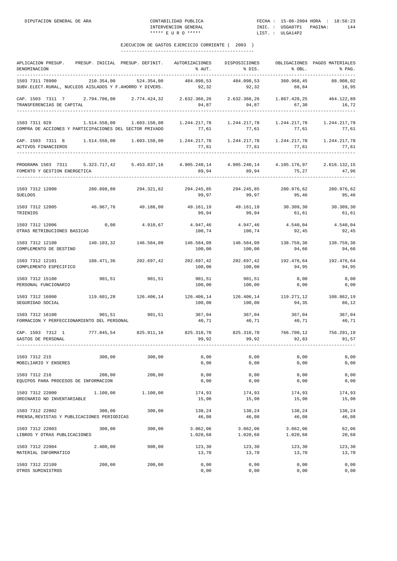| APLICACION PRESUP. PRESUP. INICIAL PRESUP. DEFINIT.<br>DENOMINACION                                                                                                                                                                                                                                        |                                |                          | AUTORIZACIONES<br>% AUT.                  | DISPOSICIONES<br>% DIS. | % OBL.                | OBLIGACIONES PAGOS MATERIALES<br>% PAG. |
|------------------------------------------------------------------------------------------------------------------------------------------------------------------------------------------------------------------------------------------------------------------------------------------------------------|--------------------------------|--------------------------|-------------------------------------------|-------------------------|-----------------------|-----------------------------------------|
| -----------<br>1503 7311 78900<br>SUBV.ELECT.RURAL, NUCLEOS AISLADOS Y F.AHORRO Y DIVERS.                                                                                                                                                                                                                  | ________________<br>210.354,00 | ----------<br>524.354,00 | 484.098,53<br>92, 32                      | 484.098,53<br>92, 32    | 360.968,45<br>68,84   | 88.908,02<br>16,95                      |
| CAP. 1503 7311 7 2.794.706,00 2.774.424,32 2.632.366,26 2.632.366,26 1.867.428,25 464.122,89<br>TRANSFERENCIAS DE CAPITAL                                                                                                                                                                                  |                                |                          | 94,87                                     | 94,87                   | 67,30                 | 16,72                                   |
| 1503 7311 829<br>COMPRA DE ACCIONES Y PARTICIPACIONES DEL SECTOR PRIVADO                                                                                                                                                                                                                                   | 1.514.550,00                   | 1.603.150,00             | 1.244.217,78<br>77,61                     | 1.244.217,78<br>77,61   | 1.244.217,78<br>77,61 | 1.244.217,78<br>77,61                   |
| CAP. 1503 7311 8 1.514.550,00 1.603.150,00<br>ACTIVOS FINANCIEROS                                                                                                                                                                                                                                          |                                |                          | 77,61                                     | 77,61                   | 77,61                 | 77,61                                   |
| PROGRAMA 1503 7311 5.323.717,42 5.453.837,16 4.905.240,14 4.905.240,14 4.105.176,97<br>FOMENTO Y GESTION ENERGETICA<br>--------------------------                                                                                                                                                          |                                |                          | 89,94                                     | 89,94                   | 75,27                 | 2.616.132,15<br>47,96                   |
| $1503\ 7312\ 12000 \hskip 1.8cm 280.898\, , 80 \hskip 1.8cm 294.321\, , 82 \hskip 1.8cm 294.245\, , 85 \hskip 1.8cm 294.245\, , 85 \hskip 1.8cm 294.245\, , 85 \hskip 1.8cm 280.976\, , 62 \hskip 1.8cm 236.976\, , 62 \hskip 1.8cm 236.976\, , 62 \hskip 1.8cm 236.976\, , 62 \hskip 1$<br><b>SUELDOS</b> |                                |                          | 99,97                                     | 99,97                   | 95,46                 | 280.976,62<br>95,46                     |
| 1503 7312 12005<br>TRIENIOS                                                                                                                                                                                                                                                                                | 46.967,76                      | 49.188,00                | 49.161,19<br>99,94                        | 49.161,19<br>99,94      | 30.309,30<br>61,61    | 30.309,30<br>61,61                      |
| 1503 7312 12006<br>OTRAS RETRIBUCIONES BASICAS                                                                                                                                                                                                                                                             | 0,00                           | 4.910,67                 | 4.947,46<br>100,74                        | 4.947,46<br>100,74      | 4.540,04<br>92,45     | 4.540,04<br>92,45                       |
| 1503 7312 12100<br>COMPLEMENTO DE DESTINO                                                                                                                                                                                                                                                                  | 140.103,32                     | 146.584,09               | 146.584,09<br>100,00                      | 146.584,09<br>100,00    | 138.759,36<br>94,66   | 138.759,36<br>94,66                     |
| 1503 7312 12101<br>COMPLEMENTO ESPECIFICO                                                                                                                                                                                                                                                                  |                                | 188.471,36 202.697,42    | 202.697,42<br>100,00                      | 202.697,42<br>100,00    | 192.476,64<br>94,95   | 192.476,64<br>94,95                     |
| 1503 7312 15100<br>PERSONAL FUNCIONARIO                                                                                                                                                                                                                                                                    | 901,51                         | 901,51                   | 901,51<br>100,00                          | 901,51<br>100,00        | 0,00<br>0,00          | 0,00<br>0,00                            |
| 1503 7312 16000<br>SEGURIDAD SOCIAL                                                                                                                                                                                                                                                                        | 119.601,28                     | 126.406,14               | 126.406,14 126.406,14<br>100,00           | 100,00                  | 119.271,12<br>94,35   | 108.862,19<br>86,12                     |
| 1503 7312 16100<br>FORMACION Y PERFECCIONAMIENTO DEL PERSONAL                                                                                                                                                                                                                                              | 901,51                         | 901,51                   | 367,04<br>40,71                           | 367,04<br>40,71         | 367,04<br>40,71       | 367,04<br>40,71                         |
| CAP. 1503 7312 1 777.845,54 825.911,16<br>GASTOS DE PERSONAL                                                                                                                                                                                                                                               |                                |                          | 825.310,70 825.310,70 766.700,12<br>99,92 | 99,92                   | 92,83                 | 756.291,19<br>91,57                     |
| 1503 7312 215<br>MOBILIARIO Y ENSERES                                                                                                                                                                                                                                                                      | 300,00                         | 300,00                   | 0,00<br>0,00                              | 0,00<br>0,00            | 0,00<br>0,00          | 0,00<br>0,00                            |
| 1503 7312 216<br>EQUIPOS PARA PROCESOS DE INFORMACION                                                                                                                                                                                                                                                      | 200,00                         | 200,00                   | 0,00<br>0,00                              | 0,00<br>0,00            | 0,00<br>0,00          | 0,00<br>0,00                            |
| 1503 7312 22000<br>ORDINARIO NO INVENTARIABLE                                                                                                                                                                                                                                                              | 1.100,00                       | 1.100,00                 | 174,93<br>15,90                           | 174,93<br>15,90         | 174,93<br>15,90       | 174,93<br>15,90                         |
| 1503 7312 22002<br>PRENSA, REVISTAS Y PUBLICACIONES PERIODICAS                                                                                                                                                                                                                                             | 300,00                         | 300,00                   | 138,24<br>46,08                           | 138,24<br>46,08         | 138,24<br>46,08       | 138,24<br>46,08                         |
| 1503 7312 22003<br>LIBROS Y OTRAS PUBLICACIONES                                                                                                                                                                                                                                                            | 300,00                         | 300,00                   | 3.062,06<br>1.020,68                      | 3.062,06<br>1.020,68    | 3.062,06<br>1.020,68  | 62,06<br>20,68                          |
| 1503 7312 22004<br>MATERIAL INFORMATICO                                                                                                                                                                                                                                                                    | 2.400,00                       | 900,00                   | 123,30<br>13,70                           | 123,30<br>13,70         | 123,30<br>13,70       | 123,30<br>13,70                         |
| 1503 7312 22109<br>OTROS SUMINISTROS                                                                                                                                                                                                                                                                       | 200,00                         | 200,00                   | 0,00<br>0,00                              | 0,00<br>0,00            | 0,00<br>0,00          | 0,00<br>0,00                            |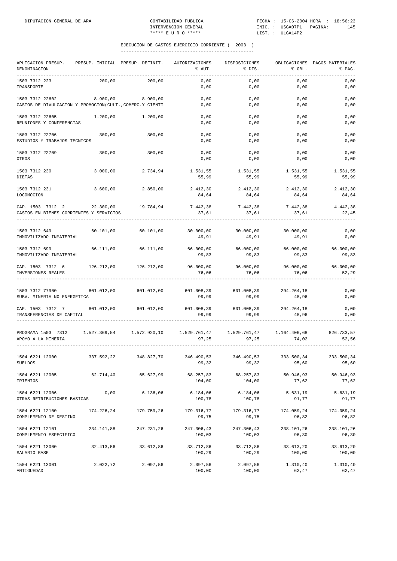| APLICACION PRESUP.<br>DENOMINACION                                          | PRESUP. INICIAL PRESUP. DEFINIT. |                       | AUTORIZACIONES<br>% AUT. | DISPOSICIONES<br>% DIS.        | % OBL.              | OBLIGACIONES PAGOS MATERIALES<br>% PAG. |
|-----------------------------------------------------------------------------|----------------------------------|-----------------------|--------------------------|--------------------------------|---------------------|-----------------------------------------|
| 1503 7312 223<br>TRANSPORTE                                                 | 200,00                           | 200,00                | 0,00<br>0,00             | 0,00<br>0,00                   | 0,00<br>0,00        | 0,00<br>0,00                            |
| 1503 7312 22602<br>GASTOS DE DIVULGACION Y PROMOCION(CULT., COMERC.Y CIENTI | 8.900,00                         | 8.900,00              | 0,00<br>0,00             | 0,00<br>0,00                   | 0,00<br>0,00        | 0,00<br>0,00                            |
| 1503 7312 22605<br>REUNIONES Y CONFERENCIAS                                 | 1.200,00                         | 1.200,00              | 0,00<br>0,00             | 0,00<br>0,00                   | 0,00<br>0,00        | 0,00<br>0,00                            |
| 1503 7312 22706<br>ESTUDIOS Y TRABAJOS TECNICOS                             | 300,00                           | 300,00                | 0,00<br>0,00             | 0,00<br>0,00                   | 0,00<br>0,00        | 0,00<br>0,00                            |
| 1503 7312 22709<br>OTROS                                                    | 300,00                           | 300,00                | 0,00<br>0,00             | 0,00<br>0,00                   | 0,00<br>0,00        | 0,00<br>0,00                            |
| 1503 7312 230<br>DIETAS                                                     | 3.000,00                         | 2.734,94              | 1.531,55<br>55,99        | 1.531,55<br>55,99              | 1.531,55<br>55,99   | 1.531,55<br>55,99                       |
| 1503 7312 231<br>LOCOMOCION                                                 | 3.600,00                         | 2.850,00              | 2.412,30<br>84,64        | 2.412,30<br>84,64              | 2.412,30<br>84,64   | 2.412,30<br>84,64                       |
| CAP. 1503 7312 2<br>GASTOS EN BIENES CORRIENTES Y SERVICIOS                 | 22.300,00                        | 19.784,94             | 7.442,38<br>37,61        | 7.442,38<br>37,61              | 7.442,38<br>37,61   | 4.442,38<br>22,45                       |
| 1503 7312 649<br>INMOVILIZADO INMATERIAL                                    | 60.101,00                        | 60.101,00             | 30.000,00<br>49,91       | 30.000,00<br>49,91             | 30.000,00<br>49,91  | 0,00<br>0,00                            |
| 1503 7312 699<br>INMOVILIZADO INMATERIAL                                    | 66.111,00                        | 66.111,00             | 66.000,00<br>99,83       | 66.000,00<br>99,83             | 66.000,00<br>99,83  | 66.000,00<br>99,83                      |
| CAP. 1503 7312 6<br>INVERSIONES REALES<br>---------------                   |                                  | 126.212,00 126.212,00 | 96.000,00<br>76,06       | 96.000,00<br>76,06             | 96.000,00<br>76,06  | 66.000,00<br>52,29                      |
| 1503 7312 77900<br>SUBV. MINERIA NO ENERGETICA                              |                                  | 601.012,00 601.012,00 | 99,99                    | 601.008,39 601.008,39<br>99,99 | 294.264,18<br>48,96 | 0,00<br>0,00                            |
| CAP. 1503 7312 7<br>TRANSFERENCIAS DE CAPITAL                               | 601.012,00                       | 601.012,00            | 601.008,39<br>99,99      | 601.008,39<br>99,99            | 294.264,18<br>48,96 | 0,00<br>0,00                            |
| PROGRAMA 1503 7312<br>APOYO A LA MINERIA                                    | 1.527.369,54 1.572.920,10        |                       | 1.529.761,47<br>97,25    | 97,25                          | 74,02               | 826.733,57<br>52,56                     |
| 1504 6221 12000<br>SUELDOS                                                  | 337.592,22                       | 348.827,70            | 346.490,53<br>99,32      | 346.490,53<br>99,32            | 333.500,34<br>95,60 | 333.500,34<br>95,60                     |
| 1504 6221 12005<br>TRIENIOS                                                 | 62.714,40                        | 65.627,99             | 68.257,83<br>104,00      | 68.257,83<br>104,00            | 50.946,93<br>77,62  | 50.946,93<br>77,62                      |
| 1504 6221 12006<br>OTRAS RETRIBUCIONES BASICAS                              | 0,00                             | 6.136,06              | 6.184,06<br>100,78       | 6.184,06<br>100,78             | 5.631,19<br>91,77   | 5.631,19<br>91,77                       |
| 1504 6221 12100<br>COMPLEMENTO DE DESTINO                                   |                                  | 174.226.24 179.759.26 | 179.316,77<br>99,75      | 179.316,77<br>99,75            | 174.059,24<br>96,82 | 174.059,24<br>96,82                     |
| 1504 6221 12101<br>COMPLEMENTO ESPECIFICO                                   | 234.141,88                       | 247.231,26            | 247.306,43<br>100,03     | 247.306,43<br>100,03           | 238.101,26<br>96,30 | 238.101,26<br>96,30                     |
| 1504 6221 13000<br>SALARIO BASE                                             | 32.413,56                        | 33.612,86             | 33.712,86<br>100,29      | 33.712,86<br>100,29            | 33.613,20<br>100,00 | 33.613,20<br>100,00                     |
| 1504 6221 13001<br>ANTIGUEDAD                                               | 2.022,72                         | 2.097,56              | 2.097,56<br>100,00       | 2.097,56<br>100,00             | 1.310,40<br>62,47   | 1.310,40<br>62,47                       |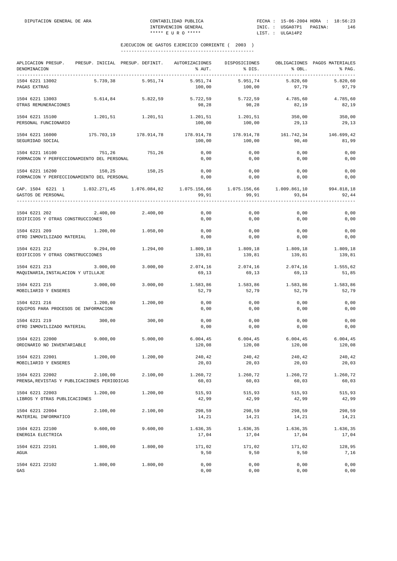| PRESUP. INICIAL PRESUP. DEFINIT. AUTORIZACIONES<br>APLICACION PRESUP.<br>DENOMINACION<br>------------------------------------ |          | % AUT.                      | DISPOSICIONES<br>$\text{S}$ DIS. | % OBL.                      | OBLIGACIONES PAGOS MATERIALES<br>% PAG. |
|-------------------------------------------------------------------------------------------------------------------------------|----------|-----------------------------|----------------------------------|-----------------------------|-----------------------------------------|
| 1504 6221 13002<br>5.739,38<br>PAGAS EXTRAS                                                                                   | 5.951,74 | 5.951,74<br>100,00          | 5.951,74<br>100,00               | 5.820,60<br>97,79           | 5.820,60<br>97,79                       |
| 1504 6221 13003<br>5.614,84<br>OTRAS REMUNERACIONES                                                                           | 5.822,59 | 5.722,59<br>98,28           | 5.722,59<br>98,28                | 4.785,60<br>82,19           | 4.785,60<br>82,19                       |
| 1504 6221 15100<br>1.201, 51<br>PERSONAL FUNCIONARIO                                                                          | 1.201,51 | 1.201,51 1.201,51<br>100,00 | 100,00                           | 350,00<br>29,13             | 350,00<br>29,13                         |
| 1504 6221 16000<br>175.703,19 178.914,78<br>SEGURIDAD SOCIAL                                                                  |          | 178.914,78<br>100,00        | 178.914,78<br>100,00             | 161.742,34<br>90,40         | 146.699,42<br>81,99                     |
| 1504 6221 16100<br>751,26<br>FORMACION Y PERFECCIONAMIENTO DEL PERSONAL                                                       | 751,26   | 0,00<br>0,00                | 0,00<br>0,00                     | 0,00<br>0,00                | 0,00<br>0,00                            |
| 1504 6221 16200<br>150,25<br>FORMACION Y PERFECCIONAMIENTO DEL PERSONAL                                                       | 150,25   | 0,00<br>0,00                | 0,00<br>0,00                     | 0,00<br>0,00                | 0,00<br>0,00                            |
| CAP. 1504 6221 1 1.032.271,45 1.076.084,82 1.075.156,66 1.075.156,66 1.009.861,10 994.818,18<br>GASTOS DE PERSONAL            |          | 99,91                       | 99,91                            | 93,84                       | 92,44                                   |
| 1504 6221 202 2.400,00 2.400,00<br>EDIFICIOS Y OTRAS CONSTRUCCIONES                                                           |          | 0,00<br>0,00                | 0,00<br>0,00                     | 0,00<br>0,00                | 0,00<br>0,00                            |
| 1504 6221 209<br>1.200,00<br>OTRO INMOVILIZADO MATERIAL                                                                       | 1.050,00 | 0,00<br>0,00                | 0,00<br>0,00                     | 0,00<br>0,00                | 0,00<br>0,00                            |
| 1504 6221 212<br>9.294,00<br>EDIFICIOS Y OTRAS CONSTRUCCIONES                                                                 | 1.294,00 | 1.809,18 1.809,18<br>139,81 | 139,81                           | 1.809,18<br>139,81          | 1.809,18<br>139,81                      |
| 1504 6221 213<br>3.000,00<br>MAQUINARIA, INSTALACION Y UTILLAJE                                                               | 3.000,00 | 2.074,16<br>69,13           | 2.074,16<br>69,13                | 2.074,16<br>69,13           | 1.555,62<br>51,85                       |
| 1504 6221 215<br>3.000,00<br>MOBILIARIO Y ENSERES                                                                             | 3.000,00 | 1.583,86<br>52,79           | 1.583,86<br>52,79                | 1.583,86<br>52,79           | 1.583,86<br>52,79                       |
| 1.200,00<br>1504 6221 216<br>EQUIPOS PARA PROCESOS DE INFORMACION                                                             | 1.200,00 | 0,00<br>0,00                | 0,00<br>0,00                     | 0,00<br>0,00                | 0,00<br>0,00                            |
| 1504 6221 219<br>300,00<br>OTRO INMOVILIZADO MATERIAL                                                                         | 300,00   | 0,00<br>0,00                | 0,00<br>0,00                     | 0,00<br>0,00                | 0,00<br>0,00                            |
| 9.000,00<br>1504 6221 22000<br>ORDINARIO NO INVENTARIABLE                                                                     | 5.000,00 | 6.004, 45<br>120,08         | 120,08                           | 6.004.45 6.004.45<br>120,08 | 6.004, 45<br>120,08                     |
| 1504 6221 22001<br>1.200,00<br>MOBILIARIO Y ENSERES                                                                           | 1.200,00 | 240,42<br>20,03             | 240,42<br>20,03                  | 240.42<br>20,03             | 240,42<br>20,03                         |
| 1504 6221 22002<br>2.100,00<br>PRENSA, REVISTAS Y PUBLICACIONES PERIODICAS                                                    | 2.100,00 | 1.260,72<br>60,03           | 1.260,72<br>60,03                | 1.260,72<br>60,03           | 1.260,72<br>60,03                       |
| 1504 6221 22003<br>1.200,00<br>LIBROS Y OTRAS PUBLICACIONES                                                                   | 1.200,00 | 515,93<br>42,99             | 515,93<br>42,99                  | 515,93<br>42,99             | 515,93<br>42,99                         |
| 1504 6221 22004<br>2.100,00<br>MATERIAL INFORMATICO                                                                           | 2.100,00 | 298,59<br>14,21             | 298,59<br>14,21                  | 298,59<br>14,21             | 298,59<br>14,21                         |
| 1504 6221 22100<br>9.600,00<br>ENERGIA ELECTRICA                                                                              | 9.600,00 | 1.636,35<br>17,04           | 1.636,35<br>17,04                | 1.636,35<br>17,04           | 1.636,35<br>17,04                       |
| 1504 6221 22101<br>1.800,00<br>AGUA                                                                                           | 1.800,00 | 171,02<br>9,50              | 171,02<br>9,50                   | 171,02<br>9,50              | 128,95<br>7,16                          |
| 1504 6221 22102<br>1.800,00<br>GAS                                                                                            | 1.800,00 | 0,00<br>0,00                | 0,00<br>0,00                     | 0,00<br>0,00                | 0,00<br>0,00                            |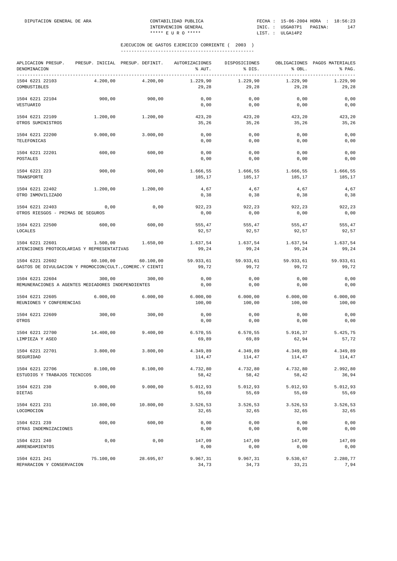| APLICACION PRESUP.<br>DENOMINACION<br>--------------------------------      |           | PRESUP. INICIAL PRESUP. DEFINIT. | AUTORIZACIONES<br>% AUT. | DISPOSICIONES<br>% DIS. | % OBL.             | OBLIGACIONES PAGOS MATERIALES<br>% PAG. |
|-----------------------------------------------------------------------------|-----------|----------------------------------|--------------------------|-------------------------|--------------------|-----------------------------------------|
| 1504 6221 22103<br>COMBUSTIBLES                                             | 4.200,00  | 4.200,00                         | 1.229,90<br>29,28        | 1.229,90<br>29,28       | 1.229,90<br>29,28  | 1.229,90<br>29,28                       |
| 1504 6221 22104<br><b>VESTUARIO</b>                                         | 900,00    | 900,00                           | 0,00<br>0,00             | 0,00<br>0,00            | 0,00<br>0,00       | 0,00<br>0,00                            |
| 1504 6221 22109<br>OTROS SUMINISTROS                                        | 1.200,00  | 1.200,00                         | 423,20<br>35,26          | 423,20<br>35,26         | 423,20<br>35,26    | 423,20<br>35,26                         |
| 1504 6221 22200<br>TELEFONICAS                                              | 9.000,00  | 3.000,00                         | 0,00<br>0,00             | 0,00<br>0,00            | 0,00<br>0,00       | 0,00<br>0,00                            |
| 1504 6221 22201<br>POSTALES                                                 | 600,00    | 600,00                           | 0,00<br>0,00             | 0,00<br>0,00            | 0,00<br>0,00       | 0,00<br>0,00                            |
| 1504 6221 223<br>TRANSPORTE                                                 | 900,00    | 900,00                           | 1.666,55<br>185,17       | 1.666,55<br>185,17      | 1.666,55<br>185,17 | 1.666,55<br>185,17                      |
| 1504 6221 22402<br>OTRO INMOVILIZADO                                        | 1.200,00  | 1.200,00                         | 4,67<br>0, 38            | 4,67<br>0, 38           | 4,67<br>0, 38      | 4,67<br>0, 38                           |
| 1504 6221 22403<br>OTROS RIESGOS - PRIMAS DE SEGUROS                        | 0,00      | 0,00                             | 922,23<br>0,00           | 922,23<br>0,00          | 922,23<br>0,00     | 922,23<br>0,00                          |
| 1504 6221 22500<br><b>LOCALES</b>                                           | 600,00    | 600,00                           | 555,47<br>92,57          | 555,47<br>92,57         | 555,47<br>92,57    | 555,47<br>92,57                         |
| 1504 6221 22601<br>ATENCIONES PROTOCOLARIAS Y REPRESENTATIVAS               | 1.500,00  | 1.650,00                         | 1.637,54<br>99,24        | 1.637,54<br>99,24       | 1.637,54<br>99,24  | 1.637,54<br>99,24                       |
| 1504 6221 22602<br>GASTOS DE DIVULGACION Y PROMOCION(CULT., COMERC.Y CIENTI | 60.100,00 | 60.100,00                        | 59.933,61<br>99,72       | 59.933,61<br>99,72      | 59.933,61<br>99,72 | 59.933,61<br>99,72                      |
| 1504 6221 22604<br>REMUNERACIONES A AGENTES MEDIADORES INDEPENDIENTES       | 300,00    | 300,00                           | 0,00<br>0,00             | 0,00<br>0,00            | 0,00<br>0,00       | 0,00<br>0,00                            |
| 1504 6221 22605<br>REUNIONES Y CONFERENCIAS                                 | 6.000,00  | 6.000,00                         | 6.000,00<br>100,00       | 6.000,00<br>100,00      | 6.000,00<br>100,00 | 6.000,00<br>100,00                      |
| 1504 6221 22609<br>OTROS                                                    | 300,00    | 300,00                           | 0,00<br>0,00             | 0,00<br>0,00            | 0,00<br>0,00       | 0,00<br>0,00                            |
| 1504 6221 22700<br>LIMPIEZA Y ASEO                                          | 14.400,00 | 9.400,00                         | 6.570,55<br>69,89        | 6.570,55<br>69,89       | 5.916,37<br>62,94  | 5.425,75<br>57,72                       |
| 1504 6221 22701<br>SEGURIDAD                                                | 3.800,00  | 3.800,00                         | 4.349,89<br>114,47       | 4.349,89<br>114,47      | 4.349,89<br>114,47 | 4.349,89<br>114,47                      |
| 1504 6221 22706<br>ESTUDIOS Y TRABAJOS TECNICOS                             | 8.100,00  | 8.100,00                         | 4.732,80<br>58,42        | 4.732,80<br>58,42       | 4.732,80<br>58,42  | 2.992,80<br>36,94                       |
| 1504 6221 230<br>DIETAS                                                     | 9.000,00  | 9.000,00                         | 5.012,93<br>55,69        | 5.012,93<br>55,69       | 5.012,93<br>55,69  | 5.012,93<br>55,69                       |
| 1504 6221 231<br>LOCOMOCION                                                 | 10.800,00 | 10.800,00                        | 3.526,53<br>32,65        | 3.526,53<br>32,65       | 3.526,53<br>32,65  | 3.526,53<br>32,65                       |
| 1504 6221 239<br>OTRAS INDEMNIZACIONES                                      | 600,00    | 600,00                           | 0,00<br>0,00             | 0,00<br>0,00            | 0,00<br>0,00       | 0,00<br>0,00                            |
| 1504 6221 240<br>ARRENDAMIENTOS                                             | 0,00      | 0,00                             | 147,09<br>0,00           | 147,09<br>0,00          | 147,09<br>0,00     | 147,09<br>0,00                          |
| 1504 6221 241<br>REPARACION Y CONSERVACION                                  | 75.100,00 | 28.695,07                        | 9.967,31<br>34,73        | 9.967,31<br>34,73       | 9.530,67<br>33,21  | 2.280,77<br>7,94                        |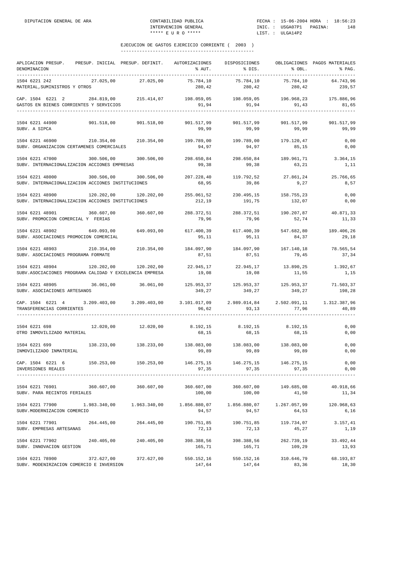| APLICACION PRESUP. PRESUP. INICIAL PRESUP. DEFINIT.<br>DENOMINACION<br>----------<br>-------------------                                                                                                                                                                                                                                     |                           |                     | AUTORIZACIONES<br>% AUT.                                                                                                                 | DISPOSICIONES<br>% DIS.                                       | % OBL.                     | OBLIGACIONES PAGOS MATERIALES<br>% PAG. |
|----------------------------------------------------------------------------------------------------------------------------------------------------------------------------------------------------------------------------------------------------------------------------------------------------------------------------------------------|---------------------------|---------------------|------------------------------------------------------------------------------------------------------------------------------------------|---------------------------------------------------------------|----------------------------|-----------------------------------------|
| 1504 6221 242<br>MATERIAL, SUMINISTROS Y OTROS                                                                                                                                                                                                                                                                                               | 27.025,00                 | 27.025,00           | 75.784,10<br>280,42                                                                                                                      | 75.784,10<br>280,42                                           | 75.784,10<br>280,42        | 64.743,96<br>239,57                     |
| CAP. 1504 6221 2 284.819,00 215.414,07 198.059,05 198.059,05 196.968,23 175.886,96<br>GASTOS EN BIENES CORRIENTES Y SERVICIOS                                                                                                                                                                                                                |                           |                     | 91,94                                                                                                                                    | 91,94                                                         | 91,43                      | 81,65                                   |
| 1504 6221 44900<br>SUBV. A SIPCA                                                                                                                                                                                                                                                                                                             | 901.518,00 901.518,00     |                     | 901.517,99<br>99,99                                                                                                                      | 901.517,99<br>99,99                                           | 901.517,99<br>99,99        | 901.517,99<br>99,99                     |
| $1504\hspace{0.1cm} 6221\hspace{0.1cm} 46900 \hspace{3cm} 210.354\hspace{0.1cm}, 00 \hspace{1.1cm} 210.354\hspace{0.1cm}, 00 \hspace{3cm} 199.789\hspace{0.1cm}, 00 \hspace{1.1cm} 199.789\hspace{0.1cm}, 00 \hspace{1.1cm} 199.789\hspace{0.1cm}, 00 \hspace{1.1cm} 179.120\hspace{0.1cm}, 47$<br>SUBV. ORGANIZACION CERTAMENES COMERCIALES |                           |                     | 94,97                                                                                                                                    | 94,97                                                         | 85,15                      | 0,00<br>0,00                            |
| 1504 6221 47000 300.506,00 300.506,00<br>SUBV. INTERNACIONALIZACION ACCIONES EMPRESAS                                                                                                                                                                                                                                                        |                           |                     | 298.650,84<br>99,38                                                                                                                      | 298.650,84<br>99,38                                           | 189.961,71<br>63,21        | 3.364,15<br>1,11                        |
| 1504 6221 48000<br>SUBV. INTERNACIONALIZACION ACCIONES INSTITUCIONES                                                                                                                                                                                                                                                                         | 300.506,00                | 300.506,00          | 207.228,40<br>68,95                                                                                                                      | 119.792,52<br>39,86                                           | 27.861,24<br>9,27          | 25.766,65<br>8,57                       |
| 1504 6221 48900<br>SUBV. INTERNACIONALIZACION ACCIONES INSTITUCIONES                                                                                                                                                                                                                                                                         | 120.202,00 120.202,00     |                     | 212,19                                                                                                                                   | 255.061,52 230.495,15 158.755,23<br>191,75                    | 132,07                     | 0,00<br>0,00                            |
| 1504 6221 48901 360.607,00<br>SUBV. PROMOCION COMERCIAL Y FERIAS                                                                                                                                                                                                                                                                             |                           | 360.607,00          | 288.372,51 288.372,51 190.207,87 40.871,33<br>79,96                                                                                      | 79,96                                                         | 52,74                      | 11,33                                   |
| 1504 6221 48902 649.093,00<br>SUBV. ASOCIACIONES PROMOCION COMERCIAL                                                                                                                                                                                                                                                                         |                           | 649.093,00          | 617.400,39<br>95,11                                                                                                                      | 617.400,39<br>95,11                                           | 547.682,80<br>84,37        | 189.406,26<br>29,18                     |
| 1504 6221 48903<br>SUBV. ASOCIACIONES PROGRAMA FORMATE                                                                                                                                                                                                                                                                                       | 210.354,00                |                     | 210.354,00 184.097,90<br>87,51                                                                                                           | 184.097,90<br>87,51                                           | 167.140,18<br>79,45        | 78.565,54<br>37,34                      |
| 1504 6221 48904<br>SUBV.ASOCIACIONES PROGRAMA CALIDAD Y EXCELENCIA EMPRESA                                                                                                                                                                                                                                                                   | 120.202,00 120.202,00     |                     | 22.945,17<br>19,08                                                                                                                       | 22.945,17<br>19,08                                            | 13.890,25<br>11,55         | 1.392,67<br>1,15                        |
| 1504 6221 48905 36.061,00 36.061,00<br>SUBV. ASOCIACIONES ARTESANOS                                                                                                                                                                                                                                                                          |                           |                     | 125.953,37 125.953,37 125.953,37 71.503,37<br>349,27                                                                                     | 349,27                                                        | 349,27                     | 198,28                                  |
| CAP. 1504 6221 4 3.209.403,00 3.209.403,00<br>TRANSFERENCIAS CORRIENTES                                                                                                                                                                                                                                                                      |                           |                     | 96,62                                                                                                                                    | 3.101.017,09 2.989.014,84 2.502.091,11 1.312.387,96<br>93, 13 | 77,96                      | 40,89                                   |
| 1504 6221 698<br>OTRO INMOVILIZADO MATERIAL                                                                                                                                                                                                                                                                                                  |                           | 12.020,00 12.020,00 | 8.192,15<br>68,15                                                                                                                        | 68,15                                                         | 8.192,15 8.192,15<br>68,15 | 0,00<br>0,00                            |
| 1504 6221 699<br>INMOVILIZADO INMATERIAL                                                                                                                                                                                                                                                                                                     |                           |                     | $138.233\,, 00 \qquad \qquad 138.233\,, 00 \qquad \qquad 138.083\,, 00 \qquad \qquad 138.083\,, 00 \qquad \qquad 138.083\,, 00$<br>99,89 | 99,89                                                         | 99,89                      | 0,00<br>0,00                            |
| CAP. 1504 6221 6<br>INVERSIONES REALES                                                                                                                                                                                                                                                                                                       |                           |                     | 150.253,00 150.253,00 146.275,15 146.275,15 146.275,15<br>97,35                                                                          | 97,35                                                         | 97,35                      | 0,00<br>0,00                            |
| 1504 6221 76901 360.607,00<br>SUBV. PARA RECINTOS FERIALES                                                                                                                                                                                                                                                                                   |                           | 360.607,00          | 360.607,00<br>100,00                                                                                                                     | 360.607,00<br>100,00                                          | 149.685,08<br>41,50        | 40.918,66<br>11,34                      |
| 1504 6221 77900<br>SUBV.MODERNIZACION COMERCIO                                                                                                                                                                                                                                                                                               | 1.983.340,00 1.963.340,00 |                     | 94,57                                                                                                                                    | 94,57                                                         | 1.267.057,99<br>64,53      | 120.968,63<br>6,16                      |
| 1504 6221 77901<br>SUBV. EMPRESAS ARTESANAS                                                                                                                                                                                                                                                                                                  | 264.445,00                | 264.445,00          | 190.751,85<br>72,13                                                                                                                      | 190.751,85<br>72,13                                           | 119.734,07<br>45,27        | 3.157,41<br>1,19                        |
| 1504 6221 77902<br>SUBV. INNOVACION GESTION                                                                                                                                                                                                                                                                                                  | 240.405,00                | 240.405,00          | 165,71                                                                                                                                   | 398.388,56 398.388,56<br>165,71                               | 262.739,19<br>109,29       | 33.492,44<br>13,93                      |
| 1504 6221 78900<br>SUBV. MODENIRZACION COMERCIO E INVERSION                                                                                                                                                                                                                                                                                  | 372.627,00                | 372.627,00          | 550.152,16<br>147,64                                                                                                                     | 550.152,16<br>147,64                                          | 310.646,79<br>83,36        | 68.193,87<br>18,30                      |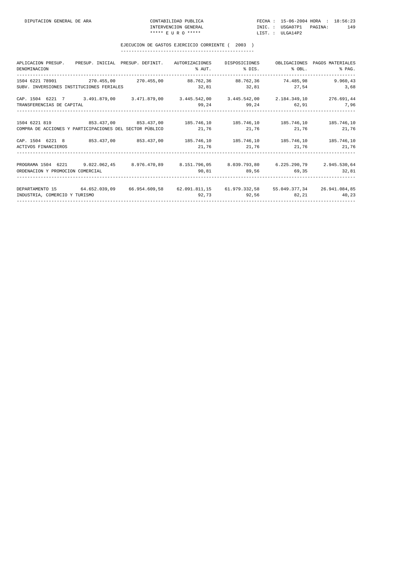| APLICACION PRESUP. PRESUP. INICIAL PRESUP. DEFINIT.     |                | OBLIGACIONES PAGOS MATERIALES                                                                                                                                                                                                                                                                                                                                                                                                                                                                                                                                                                                                                                                                                                                                                                   |
|---------------------------------------------------------|----------------|-------------------------------------------------------------------------------------------------------------------------------------------------------------------------------------------------------------------------------------------------------------------------------------------------------------------------------------------------------------------------------------------------------------------------------------------------------------------------------------------------------------------------------------------------------------------------------------------------------------------------------------------------------------------------------------------------------------------------------------------------------------------------------------------------|
|                                                         |                | 9.960,43                                                                                                                                                                                                                                                                                                                                                                                                                                                                                                                                                                                                                                                                                                                                                                                        |
|                                                         |                |                                                                                                                                                                                                                                                                                                                                                                                                                                                                                                                                                                                                                                                                                                                                                                                                 |
|                                                         |                |                                                                                                                                                                                                                                                                                                                                                                                                                                                                                                                                                                                                                                                                                                                                                                                                 |
|                                                         |                |                                                                                                                                                                                                                                                                                                                                                                                                                                                                                                                                                                                                                                                                                                                                                                                                 |
|                                                         |                |                                                                                                                                                                                                                                                                                                                                                                                                                                                                                                                                                                                                                                                                                                                                                                                                 |
| COMPRA DE ACCIONES Y PARTICIPACIONES DEL SECTOR PÚBLICO |                |                                                                                                                                                                                                                                                                                                                                                                                                                                                                                                                                                                                                                                                                                                                                                                                                 |
|                                                         |                |                                                                                                                                                                                                                                                                                                                                                                                                                                                                                                                                                                                                                                                                                                                                                                                                 |
|                                                         |                | 21,76                                                                                                                                                                                                                                                                                                                                                                                                                                                                                                                                                                                                                                                                                                                                                                                           |
|                                                         |                |                                                                                                                                                                                                                                                                                                                                                                                                                                                                                                                                                                                                                                                                                                                                                                                                 |
|                                                         |                |                                                                                                                                                                                                                                                                                                                                                                                                                                                                                                                                                                                                                                                                                                                                                                                                 |
|                                                         |                |                                                                                                                                                                                                                                                                                                                                                                                                                                                                                                                                                                                                                                                                                                                                                                                                 |
|                                                         |                |                                                                                                                                                                                                                                                                                                                                                                                                                                                                                                                                                                                                                                                                                                                                                                                                 |
|                                                         |                |                                                                                                                                                                                                                                                                                                                                                                                                                                                                                                                                                                                                                                                                                                                                                                                                 |
|                                                         | AUTORIZACIONES | DISPOSICIONES<br>1504 6221 78901 270.455,00 270.455,00 88.762,36 88.762,36 74.485,98<br>$32,81$ $32,81$ $27,54$ $3,68$<br>CAP. 1504 6221 7 3.491.879,00 3.471.879,00 3.445.542,00 3.445.542,00 2.184.349,10 276.691,44<br>99,24 52,91 7,96<br>1504 6221 819 6221 819 6221 819 623.437,00 653.437,00 653.437,00 653.437,00 655.746,10 665.746,10 665.746,10<br>$21,76$ $21,76$ $21,76$ $21,76$<br>CAP. 1504 6221 8 853.437,00 853.437,00 185.746,10 185.746,10 185.746,10 185.746,10<br>$21,76$ $21,76$ $21,76$<br>PROGRAMA 1504 6221 9.022.062,45 8.976.470,89 8.151.796,05 8.039.793,80 6.225.290,79 2.945.530,64<br>$90,81$ $89,56$ $69,35$ $32,81$<br>DEPARTAMENTO 15 64.652.039,09 66.954.609,58 62.091.811,15 61.979.332,58 55.049.377,34 26.941.084,85<br>$92,73$ $92,56$ $82,21$ $40,23$ |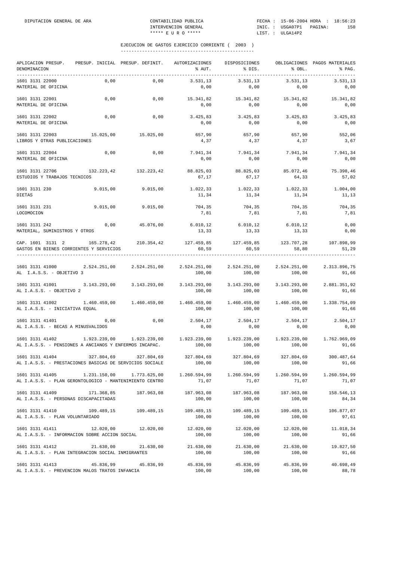| APLICACION PRESUP.<br>DENOMINACION<br>----------                           | PRESUP. INICIAL PRESUP. DEFINIT. |                           | AUTORIZACIONES<br>% AUT.                                                                                        | DISPOSICIONES<br>% DIS. | % OBL.                 | OBLIGACIONES PAGOS MATERIALES<br>% PAG. |
|----------------------------------------------------------------------------|----------------------------------|---------------------------|-----------------------------------------------------------------------------------------------------------------|-------------------------|------------------------|-----------------------------------------|
| 1601 3131 22000<br>MATERIAL DE OFICINA                                     | 0,00                             | 0,00                      | 3.531,13<br>0,00                                                                                                | 3.531,13<br>0,00        | 3.531,13<br>0,00       | 3.531,13<br>0,00                        |
| 1601 3131 22001<br>MATERIAL DE OFICINA                                     | 0,00                             | 0,00                      | 15.341,82<br>0,00                                                                                               | 15.341,82<br>0,00       | 15.341,82<br>0,00      | 15.341,82<br>0,00                       |
| 1601 3131 22002<br>MATERIAL DE OFICINA                                     | 0,00                             | 0,00                      | 3.425,83<br>0,00                                                                                                | 3.425,83<br>0,00        | 3.425,83<br>0,00       | 3.425,83<br>0,00                        |
| 1601 3131 22003<br>LIBROS Y OTRAS PUBLICACIONES                            | 15.025,00                        | 15.025,00                 | 657,90<br>4,37                                                                                                  | 657,90<br>4,37          | 657,90<br>4,37         | 552,06<br>3,67                          |
| 1601 3131 22004<br>MATERIAL DE OFICINA                                     | 0,00                             | 0,00                      | 7.941,34<br>0,00                                                                                                | 7.941,34<br>0,00        | 7.941,34<br>0,00       | 7.941,34<br>0,00                        |
| 1601 3131 22706<br>ESTUDIOS Y TRABAJOS TECNICOS                            | 132.223,42                       | 132.223,42                | 88.825,03<br>67,17                                                                                              | 88.825,03<br>67,17      | 85.072,46<br>64,33     | 75.398,46<br>57,02                      |
| 1601 3131 230<br>DIETAS                                                    | 9.015,00                         | 9.015,00                  | 1.022,33<br>11,34                                                                                               | 1.022,33<br>11,34       | 1.022,33<br>11,34      | 1.004,00<br>11,13                       |
| 1601 3131 231<br>LOCOMOCION                                                | 9.015,00                         | 9.015,00                  | 704,35<br>7,81                                                                                                  | 704,35<br>7,81          | 704,35<br>7,81         | 704,35<br>7,81                          |
| 1601 3131 242<br>MATERIAL, SUMINISTROS Y OTROS                             | 0,00                             | 45.076,00                 | 6.010, 12<br>13,33                                                                                              | 6.010, 12<br>13,33      | 6.010,12<br>13,33      | 0,00<br>0,00                            |
| CAP. 1601 3131 2 165.278,42<br>GASTOS EN BIENES CORRIENTES Y SERVICIOS     |                                  | 210.354,42                | 127.459,85<br>60,59                                                                                             | 127.459,85<br>60,59     | 123.707,28<br>58,80    | 107.898,99<br>51,29                     |
| 1601 3131 41000<br>AL I.A.S.S. - OBJETIVO 3                                |                                  | 2.524.251,00 2.524.251,00 | 2.524.251,00<br>100,00                                                                                          | 2.524.251,00<br>100,00  | 2.524.251,00<br>100,00 | 2.313.896,75<br>91,66                   |
| 1601 3131 41001<br>AL I.A.S.S. - OBJETIVO 2                                | 3.143.293,00                     | 3.143.293,00              | 3.143.293,00<br>100,00                                                                                          | 3.143.293,00<br>100,00  | 3.143.293,00<br>100,00 | 2.881.351,92<br>91,66                   |
| 1601 3131 41002<br>AL I.A.S.S. - INICIATIVA EQUAL                          | 1.460.459,00                     | 1.460.459,00              | 1.460.459,00<br>100,00                                                                                          | 1.460.459,00<br>100,00  | 1.460.459,00<br>100,00 | 1.338.754,09<br>91,66                   |
| 1601 3131 41401<br>AL I.A.S.S. - BECAS A MINUSVALIDOS                      | 0,00                             | 0,00                      | 2.504,17<br>0,00                                                                                                | 2.504,17<br>0,00        | 2.504,17<br>0,00       | 2.504,17<br>0,00                        |
| 1601 3131 41402<br>AL I.A.S.S. - PENSIONES A ANCIANOS Y ENFERMOS INCAPAC.  |                                  |                           | $1.923.239\,,00$ $1.923.239\,,00$ $1.923.239\,,00$ $1.923.239\,,00$ $1.923.239\,,00$ $1.762.969\,,09$<br>100,00 | 100,00                  | 100,00                 | 91,66                                   |
| 1601 3131 41404<br>AL I.A.S.S. - PRESTACIONES BASICAS DE SERVICIOS SOCIALE | 327.804,69                       | 327.804,69                | 327.804.69<br>100,00                                                                                            | 327.804,69<br>100,00    | 327.804,69<br>100,00   | 300.487,64<br>91,66                     |
| 1601 3131 41405<br>AL I.A.S.S. - PLAN GERONTOLOGICO - MANTENIMIENTO CENTRO | 1.231.150,00                     | 1.773.625,00              | 1.260.594,99<br>71,07                                                                                           | 1.260.594,99<br>71,07   | 1.260.594,99<br>71,07  | 1.260.594,99<br>71,07                   |
| 1601 3131 41409<br>AL I.A.S.S. - PERSONAS DISCAPACITADAS                   | 171.368,85                       | 187.963,08                | 187.963,08<br>100,00                                                                                            | 187.963,08<br>100,00    | 187.963,08<br>100,00   | 158.546,13<br>84,34                     |
| 1601 3131 41410<br>AL I.A.S.S. - PLAN VOLUNTARIADO                         | 109.489,15                       | 109.489,15                | 109.489,15<br>100,00                                                                                            | 109.489,15<br>100,00    | 109.489,15<br>100,00   | 106.877,07<br>97,61                     |
| 1601 3131 41411<br>AL I.A.S.S. - INFORMACION SOBRE ACCION SOCIAL           | 12.020,00                        | 12.020,00                 | 12.020,00<br>100,00                                                                                             | 12.020,00<br>100,00     | 12.020,00<br>100,00    | 11.018,34<br>91,66                      |
| 1601 3131 41412<br>AL I.A.S.S. - PLAN INTEGRACION SOCIAL INMIGRANTES       | 21.630,00                        | 21.630,00                 | 21.630,00<br>100,00                                                                                             | 21.630,00<br>100,00     | 21.630,00<br>100,00    | 19.827,50<br>91,66                      |
| 1601 3131 41413<br>AL I.A.S.S. - PREVENCION MALOS TRATOS INFANCIA          | 45.836,99                        | 45.836,99                 | 45.836,99<br>100,00                                                                                             | 45.836,99<br>100,00     | 45.836,99<br>100,00    | 40.698,49<br>88,78                      |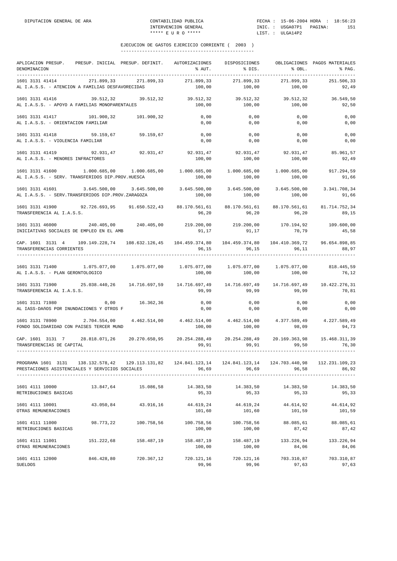| APLICACION PRESUP. PRESUP. INICIAL PRESUP. DEFINIT.<br>DENOMINACION<br>-----------------------------                                                                                                                                                                                              |              |                               | AUTORIZACIONES<br>% AUT.                                              | DISPOSICIONES<br>% DIS.                                       | % OBL.                  | OBLIGACIONES PAGOS MATERIALES<br>% PAG.            |
|---------------------------------------------------------------------------------------------------------------------------------------------------------------------------------------------------------------------------------------------------------------------------------------------------|--------------|-------------------------------|-----------------------------------------------------------------------|---------------------------------------------------------------|-------------------------|----------------------------------------------------|
| 1601 3131 41414<br>AL I.A.S.S. - ATENCION A FAMILIAS DESFAVORECIDAS                                                                                                                                                                                                                               | 271.899,33   | 271.899,33                    | 271.899,33<br>100,00                                                  | 271.899,33<br>100,00                                          | 271.899,33<br>100,00    | 251.506,33<br>92,49                                |
| 1601 3131 41416<br>AL I.A.S.S. - APOYO A FAMILIAS MONOPARENTALES                                                                                                                                                                                                                                  | 39.512,32    | 39.512,32                     | 39.512,32<br>100,00                                                   | 39.512,32<br>100,00                                           | 39.512,32<br>100,00     | 36.549,50<br>92,50                                 |
| 1601 3131 41417 101.900,32<br>AL I.A.S.S. - ORIENTACION FAMILIAR                                                                                                                                                                                                                                  |              | 101.900,32                    | 0,00<br>0,00                                                          | 0,00<br>0,00                                                  | 0,00<br>0,00            | 0,00<br>0,00                                       |
| 1601 3131 41418 59.159,67<br>AL I.A.S.S. - VIOLENCIA FAMILIAR                                                                                                                                                                                                                                     |              | 59.159,67                     | 0,00<br>0,00                                                          | 0,00<br>0,00                                                  | 0,00<br>0,00            | 0,00<br>0,00                                       |
| 1601 3131 41419<br>AL I.A.S.S. - MENORES INFRACTORES                                                                                                                                                                                                                                              |              | 92.931,47 92.931,47           | 100,00                                                                | 92.931,47 92.931,47 92.931,47<br>100,00                       | 100,00                  | 85.961,57<br>92,49                                 |
| 1601 3131 41600 1.000.685,00 1.000.685,00 1.000.685,00 1.000.685,00<br>AL I.A.S.S. - SERV. TRANSFERIDOS DIP.PROV.HUESCA                                                                                                                                                                           |              |                               | 100,00                                                                | 100,00                                                        | 1.000.685,00<br>100,00  | 917.294,59<br>91,66                                |
| $1601 \hspace{0.2cm} 3131 \hspace{0.2cm} 41601 \hspace{1.8cm} 3.645.500\,, 00 \hspace{1.8cm} 3.645.500\,, 00 \hspace{1.8cm} 3.645.500\,, 00 \hspace{1.8cm} 3.645.500\,, 00 \hspace{1.8cm} 3.645.500\,, 00 \hspace{1.8cm} 3.645.500\,, 00$<br>AL I.A.S.S. - SERV. TRANSFERIDOS DIP. PROV. ZARAGOZA |              |                               | 100,00                                                                | 100,00                                                        | 100,00                  | 91,66                                              |
| 1601 3131 41900 92.726.693,95 91.650.522,43<br>TRANSFERENCIA AL I.A.S.S.                                                                                                                                                                                                                          |              |                               | 88.170.561,61<br>96,20                                                | 88.170.561,61<br>96,20                                        | 96, 20                  | 88.170.561,61 81.714.752,34<br>89,15               |
| 1601 3131 46000<br>INICIATIVAS SOCIALES DE EMPLEO EN EL AMB                                                                                                                                                                                                                                       | 240.405,00   | 240.405,00                    | 91,17                                                                 | $219.200,00$ $219.200,00$ $170.194,92$ $109.600,00$<br>91, 17 | 70, 79                  | 45,58                                              |
| CAP. 1601 3131 4<br>TRANSFERENCIAS CORRIENTES                                                                                                                                                                                                                                                     |              | 109.149.228,74 108.632.126,45 | 104.459.374,80<br>96,15                                               | 104.459.374,80<br>96,15                                       | 104.410.369,72<br>96,11 | 96.654.898,85<br>88,97                             |
| 1601 3131 71400 1.075.077,00 1.075.077,00 1.075.077,00<br>AL I.A.S.S. - PLAN GERONTOLOGICO                                                                                                                                                                                                        |              |                               | 100,00                                                                | 100,00                                                        | 100,00                  | 818.445,59<br>76, 12                               |
| 1601 3131 71900 25.038.440,26 14.716.697,59 14.716.697,49 14.716.697,49 14.716.697,49 10.422.276,31<br>TRANSFERENCIA AL I.A.S.S.                                                                                                                                                                  |              |                               | 99,99                                                                 | 99,99                                                         | 99,99                   | 70,81                                              |
| 1601 3131 71980<br>AL IASS-DAñOS POR INUNDACIONES Y OTROS F                                                                                                                                                                                                                                       | 0,00         | 16.362,36                     | 0,00                                                                  | 0,00<br>0,00<br>0,00                                          | 0,00<br>0,00            | 0,00<br>0,00                                       |
| 1601 3131 78900<br>FONDO SOLIDARIDAD CON PAISES TERCER MUND                                                                                                                                                                                                                                       | 2.704.554,00 | 4.462.514,00                  | $4.462.514,00$ $4.462.514,00$ $4.377.589,49$ $4.227.589,49$<br>100,00 | 100,00                                                        | 98,09                   | 94,73                                              |
| CAP. 1601 3131 7 28.818.071,26 20.270.650,95 20.254.288,49<br>TRANSFERENCIAS DE CAPITAL                                                                                                                                                                                                           |              |                               | 99.91                                                                 | 99.91                                                         | 99,50                   | 20.254.288,49 20.169.363,98 15.468.311,39<br>76,30 |
| PROGRAMA 1601 3131 138.132.578,42 129.113.131,82 124.841.123,14 124.841.123,14 124.703.440,98 112.231.109,23<br>PRESTACIONES ASISTENCIALES Y SERVICIOS SOCIALES                                                                                                                                   |              |                               | 96,69                                                                 | 96,69                                                         | 96,58                   | 86.92                                              |
| 1601 4111 10000<br>RETRIBUCIONES BASICAS                                                                                                                                                                                                                                                          | 13.847,64    | 15.086,58                     | 14.383,50<br>95,33                                                    | 14.383,50<br>95,33                                            | 14.383,50<br>95,33      | 14.383,50<br>95,33                                 |
| 1601 4111 10001<br>OTRAS REMUNERACIONES                                                                                                                                                                                                                                                           | 43.050,84    | 43.916,16                     | 44.619,24<br>101,60                                                   | 44.619,24<br>101,60                                           | 44.614,92<br>101,59     | 44.614,92<br>101,59                                |
| 1601 4111 11000<br>RETRIBUCIONES BASICAS                                                                                                                                                                                                                                                          | 98.773,22    | 100.758,56                    | 100.758,56<br>100,00                                                  | 100.758,56<br>100,00                                          | 88.085,61<br>87,42      | 88.085,61<br>87,42                                 |
| 1601 4111 11001<br>OTRAS REMUNERACIONES                                                                                                                                                                                                                                                           | 151.222,68   | 158.487,19                    | 158.487,19<br>100,00                                                  | 158.487,19<br>100,00                                          | 133.226,94<br>84,06     | 133.226,94<br>84,06                                |
| 1601 4111 12000<br><b>SUELDOS</b>                                                                                                                                                                                                                                                                 | 846.428,80   | 720.367,12                    | 720.121,16<br>99,96                                                   | 720.121,16<br>99,96                                           | 703.310,87<br>97,63     | 703.310,87<br>97,63                                |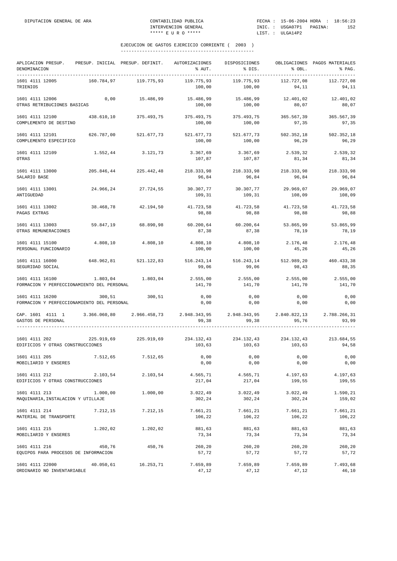| APLICACION PRESUP.<br>DENOMINACION                                                                                                                                                                                                                                                                                                                                 |            | PRESUP. INICIAL PRESUP. DEFINIT. | AUTORIZACIONES<br>% AUT.        | DISPOSICIONES<br>% DIS. | % OBL.              | OBLIGACIONES PAGOS MATERIALES<br>% PAG. |
|--------------------------------------------------------------------------------------------------------------------------------------------------------------------------------------------------------------------------------------------------------------------------------------------------------------------------------------------------------------------|------------|----------------------------------|---------------------------------|-------------------------|---------------------|-----------------------------------------|
| 1601 4111 12005<br>TRIENIOS                                                                                                                                                                                                                                                                                                                                        | 160.784,97 | 119.775,93                       | 119.775,93<br>100,00            | 119.775,93<br>100,00    | 112.727,08<br>94,11 | 112.727,08<br>94,11                     |
| 1601 4111 12006<br>OTRAS RETRIBUCIONES BASICAS                                                                                                                                                                                                                                                                                                                     | 0,00       | 15.486,99                        | 15.486,99<br>100,00             | 15.486,99<br>100,00     | 12.401,02<br>80,07  | 12.401,02<br>80,07                      |
| 1601 4111 12100<br>COMPLEMENTO DE DESTINO                                                                                                                                                                                                                                                                                                                          | 438.610,10 | 375.493,75                       | 375.493,75 375.493,75<br>100,00 | 100,00                  | 365.567,39<br>97,35 | 365.567,39<br>97,35                     |
| 1601 4111 12101<br>COMPLEMENTO ESPECIFICO                                                                                                                                                                                                                                                                                                                          |            | 626.787,00 521.677,73            | 521.677,73<br>100,00            | 521.677,73<br>100,00    | 502.352,18<br>96,29 | 502.352,18<br>96,29                     |
| 1601 4111 12109<br>OTRAS                                                                                                                                                                                                                                                                                                                                           | 1.552,44   | 3.121,73                         | 3.367,69<br>107,87              | 3.367,69<br>107,87      | 2.539,32<br>81,34   | 2.539,32<br>81,34                       |
| 1601 4111 13000<br>SALARIO BASE                                                                                                                                                                                                                                                                                                                                    | 205.846,44 | 225.442,48                       | 218.333,98<br>96,84             | 218.333,98<br>96,84     | 218.333,98<br>96,84 | 218.333,98<br>96,84                     |
| 1601 4111 13001<br>ANTIGUEDAD                                                                                                                                                                                                                                                                                                                                      |            | 24.966,24 27.724,55              | 30.307,77<br>109,31             | 30.307,77<br>109,31     | 29.969,07<br>108,09 | 29.969,07<br>108,09                     |
| 1601 4111 13002<br>PAGAS EXTRAS                                                                                                                                                                                                                                                                                                                                    | 38.468,78  | 42.194,50                        | 41.723,58<br>98,88              | 41.723,58<br>98,88      | 41.723,58<br>98,88  | 41.723,58<br>98,88                      |
| 1601 4111 13003<br>OTRAS REMUNERACIONES                                                                                                                                                                                                                                                                                                                            | 59.847,19  | 68.890,98                        | 60.200,64<br>87,38              | 60.200,64<br>87,38      | 53.865,99<br>78,19  | 53.865,99<br>78,19                      |
| 1601 4111 15100<br>PERSONAL FUNCIONARIO                                                                                                                                                                                                                                                                                                                            | 4.808,10   | 4.808,10                         | 4.808,10<br>100,00              | 4.808,10<br>100,00      | 2.176,48<br>45,26   | 2.176,48<br>45,26                       |
| 1601 4111 16000<br>SEGURIDAD SOCIAL                                                                                                                                                                                                                                                                                                                                |            | 648.962,81 521.122,83            | 516.243,14 516.243,14<br>99,06  | 99,06                   | 512.989,20<br>98,43 | 460.433,38<br>88,35                     |
| 1601 4111 16100<br>FORMACION Y PERFECCIONAMIENTO DEL PERSONAL                                                                                                                                                                                                                                                                                                      | 1.803,04   | 1.803,04                         | 2.555,00<br>141,70              | 2.555,00<br>141,70      | 2.555,00<br>141,70  | 2.555,00<br>141,70                      |
| 1601 4111 16200<br>FORMACION Y PERFECCIONAMIENTO DEL PERSONAL                                                                                                                                                                                                                                                                                                      | 300,51     | 300,51                           | 0,00<br>0,00                    | 0,00<br>0,00            | 0,00<br>0,00        | 0,00<br>0,00                            |
| CAP. 1601 4111 1 3.366.060,80 2.966.458,73 2.948.343,95 2.948.343,95 2.840.822,13 2.788.266,31<br>GASTOS DE PERSONAL                                                                                                                                                                                                                                               |            |                                  | 99,38                           | 99,38                   | 95,76               | 93,99                                   |
| $1601 \hspace{0.2cm} 4111 \hspace{0.2cm} 202 \hspace{0.2cm} 24.919 \hspace{0.2cm}, 69 \hspace{1.4cm} 225.919 \hspace{0.2cm}, 69 \hspace{0.2cm} 234.132 \hspace{0.2cm}, 43 \hspace{0.2cm} 234.132 \hspace{0.2cm}, 43 \hspace{0.2cm} 234.132 \hspace{0.2cm}, 43 \hspace{0.2cm} 234.132 \hspace{0.2cm}, 43 \hspace{0.2cm} 234.13$<br>EDIFICIOS Y OTRAS CONSTRUCCIONES |            |                                  | 103,63                          | 103,63                  | 103,63              | 94,58                                   |
| 1601 4111 205<br>MOBILIARIO Y ENSERES                                                                                                                                                                                                                                                                                                                              | 7.512,65   | 7.512,65                         | 0,00<br>0,00                    | 0,00<br>0,00            | 0,00<br>0,00        | 0,00<br>0,00                            |
| 1601 4111 212<br>EDIFICIOS Y OTRAS CONSTRUCCIONES                                                                                                                                                                                                                                                                                                                  | 2.103,54   | 2.103,54                         | 4.565,71<br>217,04              | 4.565,71<br>217,04      | 4.197,63<br>199,55  | 4.197,63<br>199,55                      |
| 1601 4111 213<br>MAQUINARIA, INSTALACION Y UTILLAJE                                                                                                                                                                                                                                                                                                                | 1.000,00   | 1.000,00                         | 3.022,49<br>302,24              | 3.022,49<br>302,24      | 3.022, 49<br>302,24 | 1.590,21<br>159,02                      |
| 1601 4111 214<br>MATERIAL DE TRANSPORTE                                                                                                                                                                                                                                                                                                                            | 7.212,15   | 7.212,15                         | 7.661,21<br>106,22              | 7.661,21<br>106,22      | 7.661,21<br>106,22  | 7.661,21<br>106,22                      |
| 1601 4111 215<br>MOBILIARIO Y ENSERES                                                                                                                                                                                                                                                                                                                              | 1.202,02   | 1.202,02                         | 881,63<br>73,34                 | 881,63<br>73,34         | 881,63<br>73,34     | 881,63<br>73,34                         |
| 1601 4111 216<br>EQUIPOS PARA PROCESOS DE INFORMACION                                                                                                                                                                                                                                                                                                              | 450,76     | 450,76                           | 260,20<br>57,72                 | 260,20<br>57,72         | 260,20<br>57,72     | 260,20<br>57,72                         |
| 1601 4111 22000<br>ORDINARIO NO INVENTARIABLE                                                                                                                                                                                                                                                                                                                      | 40.050,61  | 16.253,71                        | 7.659,89<br>47,12               | 7.659,89<br>47,12       | 7.659,89<br>47,12   | 7.493,68<br>46,10                       |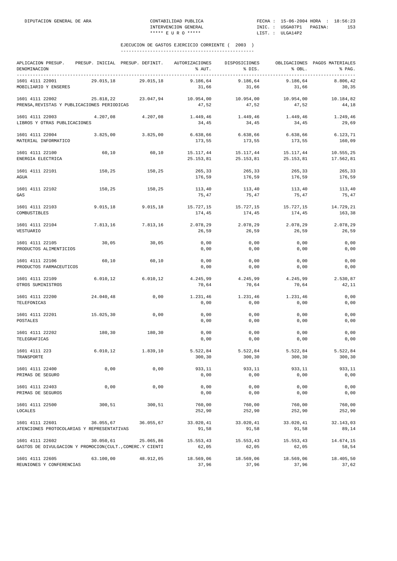| APLICACION PRESUP.<br>DENOMINACION                                          | PRESUP. INICIAL PRESUP. DEFINIT. |           | AUTORIZACIONES<br>% AUT. | DISPOSICIONES<br>% DIS. | % OBL.                 | OBLIGACIONES PAGOS MATERIALES<br>% PAG. |
|-----------------------------------------------------------------------------|----------------------------------|-----------|--------------------------|-------------------------|------------------------|-----------------------------------------|
| 1601 4111 22001<br>MOBILIARIO Y ENSERES                                     | 29.015,18                        | 29.015,18 | 9.186,64<br>31,66        | 9.186,64<br>31,66       | 9.186,64<br>31,66      | 8.806,42<br>30,35                       |
| 1601 4111 22002<br>PRENSA, REVISTAS Y PUBLICACIONES PERIODICAS              | 25.818,22                        | 23.047,94 | 10.954,00<br>47,52       | 10.954,00<br>47,52      | 10.954,00<br>47,52     | 10.184,82<br>44,18                      |
| 1601 4111 22003<br>LIBROS Y OTRAS PUBLICACIONES                             | 4.207,08                         | 4.207,08  | 1.449,46<br>34,45        | 1.449,46<br>34,45       | 1.449,46<br>34,45      | 1.249,46<br>29,69                       |
| 1601 4111 22004<br>MATERIAL INFORMATICO                                     | 3.825,00                         | 3.825,00  | 6.638,66<br>173,55       | 6.638,66<br>173,55      | 6.638,66<br>173,55     | 6.123,71<br>160,09                      |
| 1601 4111 22100<br>ENERGIA ELECTRICA                                        | 60,10                            | 60,10     | 15.117,44<br>25.153,81   | 15.117,44<br>25.153,81  | 15.117,44<br>25.153,81 | 10.555,25<br>17.562,81                  |
| 1601 4111 22101<br>AGUA                                                     | 150,25                           | 150,25    | 265,33<br>176,59         | 265,33<br>176,59        | 265,33<br>176,59       | 265,33<br>176,59                        |
| 1601 4111 22102<br>GAS                                                      | 150,25                           | 150,25    | 113,40<br>75,47          | 113,40<br>75,47         | 113,40<br>75,47        | 113,40<br>75,47                         |
| 1601 4111 22103<br>COMBUSTIBLES                                             | 9.015, 18                        | 9.015, 18 | 15.727,15<br>174,45      | 15.727,15<br>174,45     | 15.727,15<br>174,45    | 14.729,21<br>163,38                     |
| 1601 4111 22104<br>VESTUARIO                                                | 7.813,16                         | 7.813,16  | 2.078,29<br>26,59        | 2.078,29<br>26,59       | 2.078,29<br>26,59      | 2.078,29<br>26,59                       |
| 1601 4111 22105<br>PRODUCTOS ALIMENTICIOS                                   | 30,05                            | 30,05     | 0,00<br>0,00             | 0,00<br>0,00            | 0,00<br>0,00           | 0,00<br>0,00                            |
| 1601 4111 22106<br>PRODUCTOS FARMACEUTICOS                                  | 60, 10                           | 60,10     | 0,00<br>0,00             | 0,00<br>0,00            | 0,00<br>0,00           | 0,00<br>0,00                            |
| 1601 4111 22109<br>OTROS SUMINISTROS                                        | 6.010, 12                        | 6.010, 12 | 4.245,99<br>70,64        | 4.245,99<br>70,64       | 4.245,99<br>70,64      | 2.530,87<br>42,11                       |
| 1601 4111 22200<br>TELEFONICAS                                              | 24.040,48                        | 0,00      | 1.231,46<br>0,00         | 1.231,46<br>0,00        | 1.231,46<br>0,00       | 0,00<br>0,00                            |
| 1601 4111 22201<br>POSTALES                                                 | 15.025,30                        | 0,00      | 0,00<br>0,00             | 0,00<br>0,00            | 0,00<br>0,00           | 0,00<br>0,00                            |
| 1601 4111 22202<br>TELEGRAFICAS                                             | 180,30                           | 180,30    | 0,00<br>0,00             | 0,00<br>0,00            | 0,00<br>0,00           | 0,00<br>0,00                            |
| 1601 4111 223<br>TRANSPORTE                                                 | 6.010, 12                        | 1.839,10  | 5.522,84<br>300,30       | 5.522,84<br>300, 30     | 5.522,84<br>300,30     | 5.522,84<br>300,30                      |
| 1601 4111 22400<br>PRIMAS DE SEGURO                                         | 0,00                             | 0,00      | 933,11<br>0,00           | 933,11<br>0,00          | 933,11<br>0,00         | 933,11<br>0,00                          |
| 1601 4111 22403<br>PRIMAS DE SEGUROS                                        | 0,00                             | 0,00      | 0,00<br>0,00             | 0,00<br>0,00            | 0,00<br>0,00           | 0,00<br>0,00                            |
| 1601 4111 22500<br><b>LOCALES</b>                                           | 300,51                           | 300,51    | 760,00<br>252,90         | 760,00<br>252,90        | 760,00<br>252,90       | 760,00<br>252,90                        |
| 1601 4111 22601<br>ATENCIONES PROTOCOLARIAS Y REPRESENTATIVAS               | 36.055,67                        | 36.055,67 | 33.020,41<br>91,58       | 33.020,41<br>91,58      | 33.020,41<br>91,58     | 32.143,03<br>89,14                      |
| 1601 4111 22602<br>GASTOS DE DIVULGACION Y PROMOCION(CULT., COMERC.Y CIENTI | 30.050,61                        | 25.065,86 | 15.553,43<br>62,05       | 15.553,43<br>62,05      | 15.553,43<br>62,05     | 14.674,15<br>58,54                      |
| 1601 4111 22605<br>REUNIONES Y CONFERENCIAS                                 | 63.100,00                        | 48.912,05 | 18.569,06<br>37,96       | 18.569,06<br>37,96      | 18.569,06<br>37,96     | 18.405,50<br>37,62                      |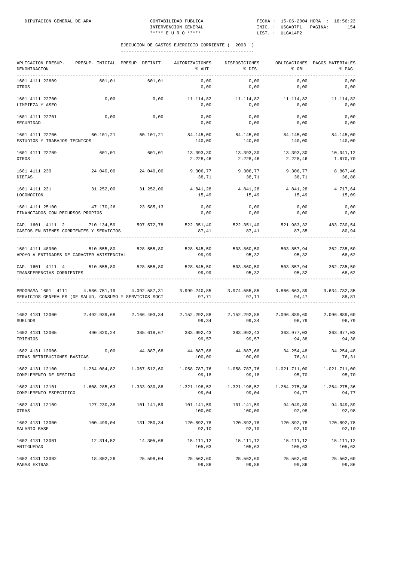| APLICACION PRESUP.<br>DENOMINACION                                                                                                                          | PRESUP. INICIAL PRESUP. DEFINIT. |                     | AUTORIZACIONES<br>% AUT.                             | DISPOSICIONES<br>$\frac{1}{2}$ DIS. | $8$ OBL.                           | OBLIGACIONES PAGOS MATERIALES<br>% PAG. |
|-------------------------------------------------------------------------------------------------------------------------------------------------------------|----------------------------------|---------------------|------------------------------------------------------|-------------------------------------|------------------------------------|-----------------------------------------|
| 1601 4111 22609<br>OTROS                                                                                                                                    | 601,01                           | 601,01              | 0,00<br>0,00                                         | 0,00<br>0,00                        | 0,00<br>0,00                       | 0,00<br>0,00                            |
| 1601 4111 22700<br>LIMPIEZA Y ASEO                                                                                                                          | 0,00                             | 0,00                | 11.114,82 11.114,82<br>0,00                          | 0,00                                | 11.114,82<br>0,00                  | 11.114,82<br>0,00                       |
| 1601 4111 22701<br>SEGURIDAD                                                                                                                                | 0,00                             | 0,00                | 0,00<br>0,00                                         | 0,00<br>0,00                        | 0,00<br>0,00                       | 0,00<br>0,00                            |
| 1601 4111 22706<br>ESTUDIOS Y TRABAJOS TECNICOS                                                                                                             |                                  |                     | $60.101, 21$ $60.101, 21$ $84.145, 00$<br>140,00     | 84.145,00<br>140,00                 | 84.145,00<br>140,00                | 84.145,00<br>140,00                     |
| 1601 4111 22709<br>OTROS                                                                                                                                    | 601,01                           | 601,01              | 13.393,30<br>2.228,46                                | 13.393,30<br>2.228,46               | 13.393,30<br>2.228,46              | 10.041,12<br>1.670,70                   |
| 1601 4111 230<br><b>DIETAS</b>                                                                                                                              | 24.040,00                        | 24.040,00           | 9.306,77<br>38,71                                    | 9.306,77<br>38,71                   | 9.306,77<br>38,71                  | 8.867,46<br>36,88                       |
| 1601 4111 231<br>LOCOMOCION                                                                                                                                 |                                  | 31.252,00 31.252,00 | 4.841,28 4.841,28<br>15,49                           | 15,49                               | 4.841,28<br>15,49                  | 4.717,64<br>15,09                       |
| 1601 4111 25100<br>FINANCIADOS CON RECURSOS PROPIOS                                                                                                         | 47.170,26 23.585,13              |                     | 0,00<br>0,00                                         | 0,00<br>0,00                        | 0,00<br>0,00                       | 0,00<br>0,00                            |
| CAP. 1601 4111 2<br>GASTOS EN BIENES CORRIENTES Y SERVICIOS                                                                                                 | 710.134,59 597.572,78            |                     | 522.351,40 522.351,40 521.983,32 483.730,54<br>87,41 | 87,41                               | 87,35                              | 80,94                                   |
| 1601 4111 48900<br>APOYO A ENTIDADES DE CARACTER ASISTENCIAL                                                                                                | 510.555,80                       | 528.555,80          | 528.545,50<br>99,99                                  | 503.860,50<br>95,32                 | 503.857,94<br>95,32                | 362.735,50<br>68,62                     |
| CAP. 1601 4111 4 510.555,80 528.555,80<br>TRANSFERENCIAS CORRIENTES                                                                                         |                                  |                     | 528.545,50 503.860,50 503.857,94 362.735,50<br>99,99 | 95,32                               | 95, 32                             | 68,62                                   |
| PROGRAMA 1601 4111 4.586.751,19 4.092.587,31 3.999.240,85 3.974.555,85 3.866.663,39 3.634.732,35<br>SERVICIOS GENERALES (DE SALUD, CONSUMO Y SERVICIOS SOCI |                                  |                     | 97,71                                                | 97,11                               | 94, 47                             | 88,81                                   |
| 1602 4131 12000 2.492.939,68 2.166.403,34 2.152.292,88<br><b>SUELDOS</b>                                                                                    |                                  |                     | 99,34                                                | 99,34                               | 2.152.292,88 2.096.889,60<br>96,79 | 2.096.889,60<br>96,79                   |
| 1602 4131 12005 490.820,24 385.618,67<br>TRIENIOS                                                                                                           |                                  |                     | 383.992,43 383.992,43 363.977,03 363.977,03<br>99,57 | 99,57                               | 94,38                              | 94,38                                   |
| 1602 4131 12006<br>OTRAS RETRIBUCIONES BASICAS                                                                                                              | 0,00                             | 44.887,68           | 44.887,68<br>100,00                                  | 44.887,68<br>100,00                 | 34.254,48<br>76,31                 | 34.254,48<br>76, 31                     |
| 1602 4131 12100<br>COMPLEMENTO DE DESTINO                                                                                                                   | 1.264.084,82                     | 1.067.512,60        | 1.058.787,76<br>99,18                                | 1.058.787,76<br>99,18               | 1.021.711,00<br>95,70              | 1.021.711,00<br>95,70                   |
| 1602 4131 12101<br>COMPLEMENTO ESPECIFICO                                                                                                                   | 1.608.285,63                     | 1.333.930,88        | 1.321.198,52<br>99,04                                | 1.321.198,52<br>99,04               | 1.264.275,36<br>94,77              | 1.264.275,36<br>94,77                   |
| 1602 4131 12109<br>OTRAS                                                                                                                                    | 127.230,38                       | 101.141,59          | 101.141,59<br>100,00                                 | 101.141,59<br>100,00                | 94.049,89<br>92,98                 | 94.049,89<br>92,98                      |
| 1602 4131 13000<br>SALARIO BASE                                                                                                                             | 100.499,04                       | 131.250,34          | 120.892,78<br>92,10                                  | 120.892,78<br>92,10                 | 120.892,78<br>92,10                | 120.892,78<br>92,10                     |
| 1602 4131 13001<br>ANTIGUEDAD                                                                                                                               | 12.314,52                        | 14.305,68           | 15.111,12<br>105,63                                  | 15.111,12<br>105,63                 | 15.111,12<br>105,63                | 15.111,12<br>105,63                     |
| 1602 4131 13002<br>PAGAS EXTRAS                                                                                                                             | 18.802,26                        | 25.598,04           | 25.562,60<br>99,86                                   | 25.562,60<br>99,86                  | 25.562,60<br>99,86                 | 25.562,60<br>99,86                      |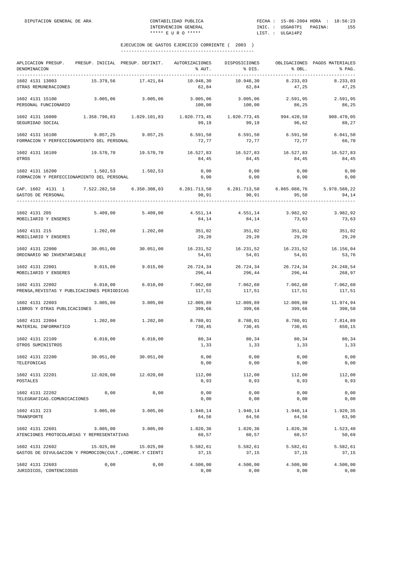| APLICACION PRESUP.<br>DENOMINACION                                                                                   |           | PRESUP. INICIAL PRESUP. DEFINIT. AUTORIZACIONES                                       | % AUT.              | DISPOSICIONES<br>% DIS. | % OBL.                        | OBLIGACIONES PAGOS MATERIALES<br>% PAG. |
|----------------------------------------------------------------------------------------------------------------------|-----------|---------------------------------------------------------------------------------------|---------------------|-------------------------|-------------------------------|-----------------------------------------|
| 1602 4131 13003<br>OTRAS REMUNERACIONES                                                                              | 15.379,56 | 17.421,84                                                                             | 10.948,30<br>62,84  | 10.948,30<br>62,84      | 8.233,03<br>47,25             | 8.233,03<br>47,25                       |
| 1602 4131 15100<br>PERSONAL FUNCIONARIO                                                                              |           | 3.005,06 3.005,06                                                                     | 3.005,06<br>100,00  | 3.005,06<br>100,00      | 2.591,95<br>86,25             | 2.591,95<br>86,25                       |
| 1602 4131 16000<br>SEGURIDAD SOCIAL                                                                                  |           | $1.358.790,83$ $1.029.101,83$ $1.020.773,45$ $1.020.773,45$ $994.420,59$ $908.470,05$ | 99,19               | 99,19                   | 96,62                         | 88,27                                   |
| 1602 4131 16100<br>FORMACION Y PERFECCIONAMIENTO DEL PERSONAL                                                        | 9.057,25  | 9.057, 25                                                                             | 6.591,50<br>72,77   | 6.591,50<br>72,77       | 6.591,50<br>72,77             | 6.041, 50<br>66,70                      |
| 1602 4131 16109<br>OTROS                                                                                             | 19.570,70 | 19.570,70                                                                             | 16.527,83<br>84,45  | 16.527,83<br>84,45      | 16.527,83<br>84,45            | 16.527,83<br>84,45                      |
| 1602 4131 16200<br>FORMACION Y PERFECCIONAMIENTO DEL PERSONAL                                                        | 1.502,53  | 1.502,53                                                                              | 0,00<br>0,00        | 0,00<br>0,00            | 0,00<br>0,00                  | 0,00<br>0,00                            |
| CAP. 1602 4131 1 7.522.282,50 6.350.308,03 6.281.713,50 6.281.713,50 6.065.088,76 5.978.588,22<br>GASTOS DE PERSONAL |           |                                                                                       | 98,91               | 98,91                   | 95,50                         | 94,14                                   |
| 1602 4131 205 5.409,00 5.409,00 4.551,14 4.551,14 3.982,92 3.982,92<br>MOBILIARIO Y ENSERES                          |           |                                                                                       | 84,14               | 84,14                   | 73,63                         | 73,63                                   |
| 1602 4131 215<br>MOBILIARIO Y ENSERES                                                                                |           | 1.202,00 1.202,00                                                                     | 351,02<br>29,20     | 351,02<br>29,20         | 351,02<br>29,20               | 351,02<br>29,20                         |
| 1602 4131 22000<br>ORDINARIO NO INVENTARIABLE                                                                        | 30.051,00 | 30.051,00                                                                             | 16.231,52<br>54,01  | 16.231,52<br>54,01      | 54,01                         | 16.231,52 16.156,04<br>53,76            |
| 1602 4131 22001<br>MOBILIARIO Y ENSERES                                                                              | 9.015,00  | 9.015,00                                                                              | 26.724,34<br>296,44 | 296,44                  | 26.724,34 26.724,34<br>296,44 | 24.248,54<br>268,97                     |
| 1602 4131 22002<br>PRENSA, REVISTAS Y PUBLICACIONES PERIODICAS                                                       | 6.010,00  | 6.010,00                                                                              | 7.062,60<br>117,51  | 7.062,60<br>117,51      | 117,51                        | $7.062,60$ $7.062,60$<br>117,51         |
| 1602 4131 22003<br>LIBROS Y OTRAS PUBLICACIONES                                                                      | 3.005,00  | 3.005,00                                                                              | 12.009,89<br>399,66 | 12.009,89<br>399,66     | 12.009,89<br>399,66           | 11.974,94<br>398,50                     |
| 1602 4131 22004<br>MATERIAL INFORMATICO                                                                              | 1.202,00  | 1.202,00                                                                              | 8.780,01<br>730,45  | 8.780,01<br>730,45      | 8.780,01<br>730,45            | 7.814,89<br>650,15                      |
| 1602 4131 22109<br>OTROS SUMINISTROS                                                                                 | 6.010,00  | 6.010,00                                                                              | 80,34<br>1,33       | 80,34<br>1,33           | 80,34<br>1, 33                | 80,34<br>1,33                           |
| 1602 4131 22200<br>TELEFONICAS                                                                                       | 30.051,00 | 30.051,00                                                                             | 0,00<br>0,00        | 0,00<br>0,00            | 0,00<br>0,00                  | 0,00<br>0,00                            |
| 1602 4131 22201<br><b>POSTALES</b>                                                                                   | 12.020,00 | 12.020,00                                                                             | 112,00<br>0,93      | 112,00<br>0,93          | 112,00<br>0,93                | 112,00<br>0,93                          |
| 1602 4131 22202<br>TELEGRAFICAS.COMUNICACIONES                                                                       | 0,00      | 0,00                                                                                  | 0,00<br>0,00        | 0,00<br>0,00            | 0,00<br>0,00                  | 0,00<br>0,00                            |
| 1602 4131 223<br>TRANSPORTE                                                                                          | 3.005,00  | 3.005,00                                                                              | 1.940,14<br>64,56   | 1.940,14<br>64,56       | 1.940,14<br>64,56             | 1.920,35<br>63,90                       |
| 1602 4131 22601<br>ATENCIONES PROTOCOLARIAS Y REPRESENTATIVAS                                                        | 3.005,00  | 3.005,00                                                                              | 1.820,36<br>60,57   | 1.820,36<br>60,57       | 1.820,36<br>60,57             | 1.523,40<br>50,69                       |
| 1602 4131 22602<br>GASTOS DE DIVULGACION Y PROMOCION(CULT., COMERC.Y CIENTI                                          | 15.025,00 | 15.025,00                                                                             | 5.582,61<br>37,15   | 5.582,61<br>37,15       | 5.582,61<br>37,15             | 5.582,61<br>37,15                       |
| 1602 4131 22603<br>JURIDICOS, CONTENCIOSOS                                                                           | 0,00      | 0,00                                                                                  | 4.500,00<br>0,00    | 4.500,00<br>0,00        | 4.500,00<br>0,00              | 4.500,00<br>0,00                        |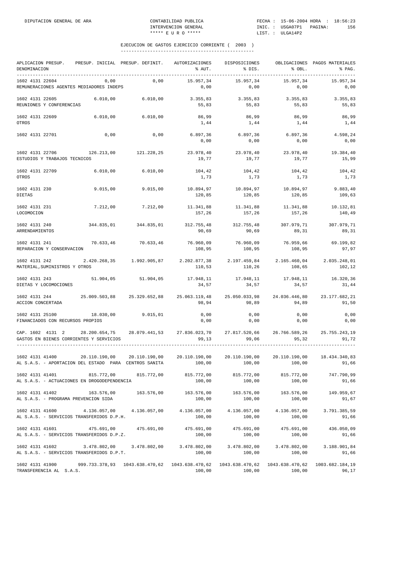| APLICACION PRESUP.<br>DENOMINACION                                       | PRESUP. INICIAL PRESUP. DEFINIT. |                                | <b>AUTORIZACIONES</b><br>% AUT. | DISPOSICIONES<br>% DIS.   | % OBL.                    | OBLIGACIONES PAGOS MATERIALES<br>% PAG. |
|--------------------------------------------------------------------------|----------------------------------|--------------------------------|---------------------------------|---------------------------|---------------------------|-----------------------------------------|
| 1602 4131 22604<br>REMUNERACIONES AGENTES MEDIADORES INDEPS              | 0,00                             | 0,00                           | 15.957,34<br>0,00               | 15.957,34<br>0,00         | 15.957,34<br>0,00         | 15.957,34<br>0,00                       |
| 1602 4131 22605<br>REUNIONES Y CONFERENCIAS                              | 6.010,00                         | 6.010,00                       | 3.355,83<br>55,83               | 3.355,83<br>55,83         | 3.355,83<br>55,83         | 3.355,83<br>55,83                       |
| 1602 4131 22609<br>OTROS                                                 | 6.010,00                         | 6.010,00                       | 86,99<br>1,44                   | 86,99<br>1,44             | 86,99<br>1,44             | 86,99<br>1,44                           |
| 1602 4131 22701                                                          | 0,00                             | 0,00                           | 6.897,36<br>0,00                | 6.897,36<br>0,00          | 6.897, 36<br>0,00         | 4.598,24<br>0,00                        |
| 1602 4131 22706<br>ESTUDIOS Y TRABAJOS TECNICOS                          | 126.213,00                       | 121.228,25                     | 23.978,40<br>19,77              | 23.978,40<br>19,77        | 23.978,40<br>19,77        | 19.384,40<br>15,99                      |
| 1602 4131 22709<br>OTROS                                                 | 6.010,00                         | 6.010,00                       | 104,42<br>1,73                  | 104,42<br>1,73            | 104,42<br>1,73            | 104,42<br>1,73                          |
| 1602 4131 230<br><b>DIETAS</b>                                           | 9.015,00                         | 9.015,00                       | 10.894,97<br>120,85             | 10.894,97<br>120,85       | 10.894,97<br>120,85       | 9.883,40<br>109,63                      |
| 1602 4131 231<br>LOCOMOCION                                              | 7.212,00                         | 7.212,00                       | 11.341,88<br>157,26             | 11.341,88<br>157,26       | 11.341,88<br>157,26       | 10.132,81<br>140,49                     |
| 1602 4131 240<br>ARRENDAMIENTOS                                          | 344.835,01                       | 344.835,01                     | 312.755,48<br>90,69             | 312.755,48<br>90,69       | 307.979,71<br>89,31       | 307.979,71<br>89,31                     |
| 1602 4131 241<br>REPARACION Y CONSERVACION                               | 70.633,46                        | 70.633,46                      | 76.960,09<br>108,95             | 76.960,09<br>108,95       | 76.959,66<br>108,95       | 69.199,82<br>97,97                      |
| 1602 4131 242<br>MATERIAL, SUMINISTROS Y OTROS                           |                                  | 2.420.268,35 1.992.905,87      | 2.202.877,38<br>110,53          | 2.197.459,84<br>110,26    | 2.165.460,04<br>108,65    | 2.035.248,01<br>102,12                  |
| 1602 4131 243<br>DIETAS Y LOCOMOCIONES                                   | 51.904,05                        | 51.904,05                      | 17.948,11<br>34,57              | 17.948,11<br>34,57        | 17.948,11<br>34,57        | 16.320,36<br>31,44                      |
| 1602 4131 244<br>ACCION CONCERTADA                                       | 25.009.503,88                    | 25.329.652,88                  | 25.063.119,48<br>98,94          | 25.050.033,98<br>98,89    | 24.036.446,80<br>94,89    | 23.177.682,21<br>91,50                  |
| 1602 4131 25100<br>FINANCIADOS CON RECURSOS PROPIOS                      | 18.030,00                        | 9.015,01                       | 0,00<br>0,00                    | 0,00<br>0,00              | 0,00<br>0,00              | 0,00<br>0,00                            |
| CAP. 1602 4131 2<br>GASTOS EN BIENES CORRIENTES Y SERVICIOS              | 28.200.654,75                    | 28.079.441,53                  | 27.836.023,70<br>99,13          | 27.817.520,66<br>99,06    | 26.766.589,26<br>95,32    | 25.755.243,19<br>91,72                  |
| 1602 4131 41400<br>AL S.A.S. - APORTACION DEL ESTADO PARA CENTROS SANITA | 20.110.190,00                    | 20.110.190,00                  | 20.110.190,00<br>100,00         | 20.110.190,00<br>100,00   | 20.110.190,00<br>100,00   | 18.434.340,83<br>91,66                  |
| 1602 4131 41401<br>AL S.A.S. - ACTUACIONES EN DROGODEPENDENCIA           | 815.772,00                       | 815.772,00                     | 815.772,00<br>100,00            | 815.772,00<br>100,00      | 815.772,00<br>100,00      | 747.790,99<br>91,66                     |
| 1602 4131 41402<br>AL S.A.S. - PROGRAMA PREVENCION SIDA                  | 163.576,00                       | 163.576,00                     | 163.576,00<br>100,00            | 163.576,00<br>100,00      | 163.576,00<br>100,00      | 149.959,67<br>91,67                     |
| 1602 4131 41600<br>AL S.A.S. - SERVICIOS TRANSFERIDOS D.P.H.             | 4.136.057,00                     | 4.136.057,00                   | 4.136.057,00<br>100,00          | 4.136.057,00<br>100,00    | 4.136.057,00<br>100,00    | 3.791.385,59<br>91,66                   |
| 1602 4131 41601<br>AL S.A.S. - SERVICIOS TRANSFERIDOS D.P.Z.             | 475.691,00                       | 475.691,00                     | 475.691,00<br>100,00            | 475.691,00<br>100,00      | 475.691,00<br>100,00      | 436.050,09<br>91,66                     |
| 1602 4131 41602<br>AL S.A.S. - SERVICIOS TRANSFERIDOS D.P.T.             | 3.478.802,00                     | 3.478.802,00                   | 3.478.802,00<br>100,00          | 3.478.802,00<br>100,00    | 3.478.802,00<br>100,00    | 3.188.901,84<br>91,66                   |
| 1602 4131 41900<br>TRANSFERENCIA AL S.A.S.                               |                                  | 999.733.378,93 1043.638.470,62 | 1043.638.470,62<br>100,00       | 1043.638.470,62<br>100,00 | 1043.638.470,62<br>100,00 | 1003.682.184,19<br>96,17                |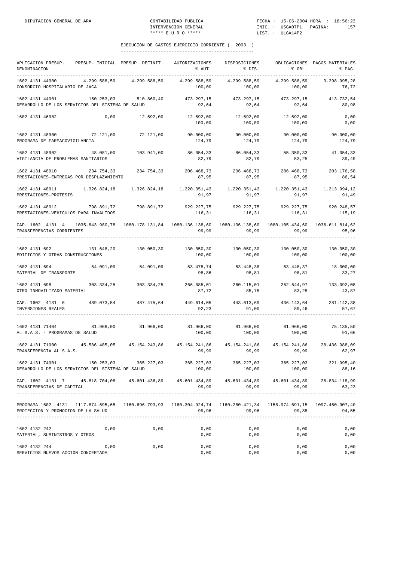| APLICACION PRESUP. PRESUP. INICIAL PRESUP. DEFINIT. AUTORIZACIONES DISPOSICIONES<br>DENOMINACION                                                                                                                                                                                                                                        |                                                                                     |      | % AUT.                                                                                        | % DIS.                                                                                                        | % OBL.       | OBLIGACIONES PAGOS MATERIALES<br>% PAG. |
|-----------------------------------------------------------------------------------------------------------------------------------------------------------------------------------------------------------------------------------------------------------------------------------------------------------------------------------------|-------------------------------------------------------------------------------------|------|-----------------------------------------------------------------------------------------------|---------------------------------------------------------------------------------------------------------------|--------------|-----------------------------------------|
| 1602 4131 44900 4.299.588,59 4.299.588,59 4.299.588,59 4.299.588,59 4.299.588,59 3.298.995,28<br>CONSORCIO HOSPITALARIO DE JACA                                                                                                                                                                                                         |                                                                                     |      | 100,00                                                                                        | 100,00                                                                                                        | 100,00       | 76,72                                   |
| 1602 4131 44901<br>DESARROLLO DE LOS SERVICIOS DEL SISTEMA DE SALUD                                                                                                                                                                                                                                                                     | 150.253,03 510.860,40 473.297,15 473.297,15 473.297,15 413.732,54                   |      |                                                                                               | $92,64$ $92,64$ $92,64$                                                                                       |              | 80,98                                   |
| 1602 4131 46902                                                                                                                                                                                                                                                                                                                         | $0,00$ 12.592,00 12.592,00 12.592,00 12.592,00                                      |      | 100,00                                                                                        | 100,00                                                                                                        | 100,00       | 0,00<br>0,00                            |
| $1602 \hspace{0.1cm} 4131 \hspace{0.1cm} 48900 \hspace{3.7cm} 90.000,00 \hspace{1.7cm} 90.000,00 \hspace{1.7cm} 90.000,00 \hspace{1.7cm} 90.000,00 \hspace{1.7cm} 90.000,00 \hspace{1.7cm} 90.000,00 \hspace{1.7cm} 90.000,00 \hspace{1.7cm} 90.000,00 \hspace{1.7cm} 90.000,00 \hspace{1.7cm} 90.000$<br>PROGRAMA DE FARMACOVIGILANCIA |                                                                                     |      | 124,79                                                                                        | 124,79                                                                                                        | 124,79       | 124,79                                  |
| 1602 4131 48902<br>VIGILANCIA DE PROBLEMAS SANITARIOS                                                                                                                                                                                                                                                                                   | 48.081,00 103.941,00 86.054,33 86.054,33 55.350,33                                  |      | 82,79                                                                                         | 82,79                                                                                                         | 53,25        | 41.054,33<br>39,49                      |
| 1602 4131 48910<br>PRESTACIONES-ENTREGAS POR DESPLAZAMIENTO                                                                                                                                                                                                                                                                             | 234.754,33 234.754,33 206.468,73 206.468,73 206.468,73 206.468,73 203.176,58        |      | 87,95                                                                                         | 87,95                                                                                                         | 87,95        | 86,54                                   |
| $1.326.824, 18 \hspace{11.5mm} 1.326.824, 18 \hspace{11.5mm} 1.326.824, 18 \hspace{11.5mm} 1.220.351, 43 \hspace{11.5mm} 1.220.351, 43 \hspace{11.5mm} 1.220.351, 43 \hspace{11.5mm} 1.220.351, 43 \hspace{11.5mm} 1.213.994, 123.994, 123.994, 123.994, 123.994, 123.9$<br>PRESTACIONES-PROTESIS                                       |                                                                                     |      | 91,97                                                                                         | 91,97                                                                                                         | 91,97        | 91,49                                   |
| 1602 4131 48912 798.891,72 798.891,72 929.227,75 929.227,75 929.227,75 920.248,57<br>PRESTACIONES-VEHICULOS PARA INVALIDOS                                                                                                                                                                                                              |                                                                                     |      |                                                                                               | $116, 31$ $116, 31$ $116, 31$ $115, 19$                                                                       |              |                                         |
| CAP. 1602 4131 4 1035.843.980,78 1080.178.131,84 1080.136.138,60 1080.136.138,60 1080.105.434,60 1036.611.814,62<br>TRANSFERENCIAS CORRIENTES                                                                                                                                                                                           |                                                                                     |      |                                                                                               | 99,99 في 99,99 في 199,99 بعد المستخدم المستخدم المستخدم المستخدم المستخدم المستخدم المستخدم المستخدم المستخدم |              | 95, 96                                  |
| 1602 4131 692<br>EDIFICIOS Y OTRAS CONSTRUCCIONES                                                                                                                                                                                                                                                                                       |                                                                                     |      | $131.648, 20$ $130.050, 30$ $130.050, 30$ $130.050, 30$ $130.050, 30$ $130.050, 30$<br>100,00 | 100,00                                                                                                        | 100,00       | 100,00                                  |
| 1602 4131 694<br>MATERIAL DE TRANSPORTE                                                                                                                                                                                                                                                                                                 | $54.091,09$ $54.091,09$ $53.478,74$ $53.448,38$ $53.448,37$ $18.000,00$             |      | 98,86                                                                                         | 98,81                                                                                                         | 98,81        | 33,27                                   |
| $1602 \t4131 \t698 \t\t 303.334, 25 \t\t 303.334, 25 \t\t 266.085, 01 \t\t 260.115, 01 \t\t 252.644, 97 \t\t 133.092, 082.082, 093.082, 000.0000, 001.0000, 000.0000, 000.0000, 000.0000, 000.0000, 000.0000, 000.0000, 000.0000, 000.0000,$<br>OTRO INMOVILIZADO MATERIAL                                                              |                                                                                     |      | 87,72                                                                                         | 85,75                                                                                                         | 83,28        | 43,87                                   |
| CAP. 1602 4131 6 489.073,54 487.475,64 449.614,05 443.613,69 436.143,64 281.142,38<br>INVERSIONES REALES                                                                                                                                                                                                                                |                                                                                     |      | 92,23                                                                                         | 91,00                                                                                                         | 89,46        | 57,67                                   |
| $1602\ 4131\ 71404 \hskip 1.8cm 81.966,00 \hskip 1.8cm 81.966,00 \hskip 1.8cm 81.966,00 \hskip 1.8cm 81.966,00 \hskip 1.8cm 81.966,00 \hskip 1.8cm 81.966,00 \hskip 1.8cm 81.966,00 \hskip 1.8cm 81.966,00 \hskip 1.8cm 81.966,00 \hskip 1.8cm 81.966,00 \hskip 1.8cm 81.966,00 \hskip 1$<br>AL S.A.S. - PROGRAMAS DE SALUD             |                                                                                     |      |                                                                                               |                                                                                                               |              | 91,66                                   |
| 1602 4131 71900<br>TRANSFERENCIA AL S.A.S.                                                                                                                                                                                                                                                                                              | 45.586.485,05 45.154.243,86 45.154.241,86 45.154.241,86 45.154.241,86 28.436.988,09 |      | 99,99                                                                                         | 99,99                                                                                                         | 99,99        | 62,97                                   |
| 1602 4131 74901 150.253,03 365.227,03 365.227,03 365.227,03 365.227,03<br>DESARROLLO DE LOS SERVICIOS DEL SISTEMA DE SALUD                                                                                                                                                                                                              |                                                                                     |      | 100,00                                                                                        | 100,00                                                                                                        | 100,00       | 321.995,40<br>88,16                     |
| CAP. 1602 4131 7 45.818.704.08 45.601.436.89 45.601.434.89 45.601.434.89 45.601.434.89 28.834.118.99<br>TRANSFERENCIAS DE CAPITAL                                                                                                                                                                                                       |                                                                                     |      |                                                                                               | 99,99 99,99                                                                                                   | 99,99        | 63,23                                   |
| PROGRAMA 1602 4131 117.874.695,65 1160.696.793,93 1160.304.924,74 1160.280.421,34 1158.974.691,15 1097.460.907,40<br>PROTECCION Y PROMOCION DE LA SALUD                                                                                                                                                                                 |                                                                                     |      |                                                                                               | 99,96 99,96                                                                                                   | 99,85        | 94,55                                   |
| 1602 4132 242<br>MATERIAL, SUMINISTROS Y OTROS                                                                                                                                                                                                                                                                                          | 0,00                                                                                | 0,00 | 0,00<br>0,00                                                                                  | 0,00<br>0,00                                                                                                  | 0,00<br>0,00 | 0,00<br>0,00                            |
| 1602 4132 244<br>SERVICIOS NUEVOS ACCION CONCERTADA                                                                                                                                                                                                                                                                                     | 0,00                                                                                | 0,00 | 0,00<br>0,00                                                                                  | 0,00<br>0,00                                                                                                  | 0,00<br>0,00 | 0,00<br>0,00                            |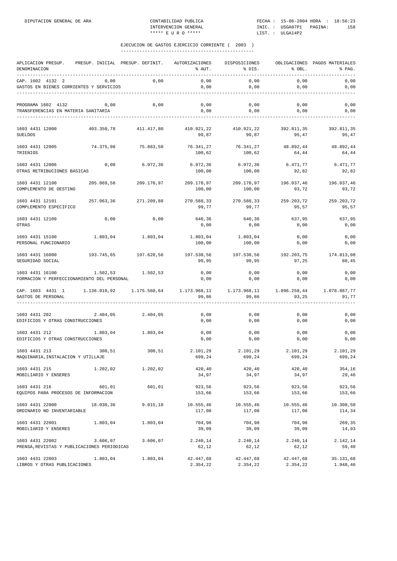| APLICACION PRESUP.<br>DENOMINACION                             |            | PRESUP. INICIAL PRESUP. DEFINIT. | AUTORIZACIONES<br>% AUT. | DISPOSICIONES<br>% DIS. | % OBL.                | OBLIGACIONES PAGOS MATERIALES<br>% PAG. |
|----------------------------------------------------------------|------------|----------------------------------|--------------------------|-------------------------|-----------------------|-----------------------------------------|
| CAP. 1602 4132 2<br>GASTOS EN BIENES CORRIENTES Y SERVICIOS    | 0,00       | 0,00                             | 0,00<br>0,00             | 0,00<br>0,00            | 0,00<br>0,00          | 0,00<br>0,00                            |
| PROGRAMA 1602 4132<br>TRANSFERENCIAS EN MATERIA SANITARIA      | 0,00       | 0,00                             | 0,00<br>0,00             | 0,00<br>0,00            | 0,00<br>0,00          | 0,00<br>0,00                            |
| 1603 4431 12000<br><b>SUELDOS</b>                              | 403.350,78 | 411.417,80                       | 410.921,22<br>99,87      | 410.921,22<br>99,87     | 392.811,35<br>95,47   | 392.811,35<br>95,47                     |
| 1603 4431 12005<br>TRIENIOS                                    | 74.375,98  | 75.863,50                        | 76.341,27<br>100,62      | 76.341,27<br>100,62     | 48.892.44<br>64,44    | 48.892,44<br>64,44                      |
| 1603 4431 12006<br>OTRAS RETRIBUCIONES BASICAS                 | 0,00       | 6.972,36                         | 6.972,36<br>100,00       | 6.972,36<br>100,00      | 6.471,77<br>92,82     | 6.471,77<br>92,82                       |
| 1603 4431 12100<br>COMPLEMENTO DE DESTINO                      | 205.069,58 | 209.170,97                       | 209.170,97<br>100,00     | 209.170,97<br>100,00    | 196.037,46<br>93,72   | 196.037,46<br>93,72                     |
| 1603 4431 12101<br>COMPLEMENTO ESPECIFICO                      | 257.063,36 | 271.209,88                       | 270.588,33<br>99,77      | 270.588,33<br>99,77     | 259.203,72<br>95,57   | 259.203,72<br>95,57                     |
| 1603 4431 12109<br>OTRAS                                       | 0,00       | 0,00                             | 640,36<br>0,00           | 640,36<br>0,00          | 637,95<br>0,00        | 637,95<br>0,00                          |
| 1603 4431 15100<br>PERSONAL FUNCIONARIO                        | 1.803,04   | 1.803,04                         | 1.803,04<br>100,00       | 1.803,04<br>100,00      | 0,00<br>0,00          | 0,00<br>0,00                            |
| 1603 4431 16000<br>SEGURIDAD SOCIAL                            | 193.745,65 | 197.620,56                       | 197.530,56<br>99,95      | 197.530,56<br>99,95     | 192.203,75<br>97,25   | 174.813,08<br>88,45                     |
| 1603 4431 16100<br>FORMACION Y PERFECCIONAMIENTO DEL PERSONAL  | 1.502,53   | 1.502,53                         | 0,00<br>0,00             | 0,00<br>0,00            | 0,00<br>0,00          | 0,00<br>0,00                            |
| CAP. 1603 4431 1<br>GASTOS DE PERSONAL                         |            |                                  | 1.173.968,11<br>99,86    | 1.173.968,11<br>99,86   | 1.096.258,44<br>93,25 | 1.078.867,77<br>91,77                   |
| 1603 4431 202<br>EDIFICIOS Y OTRAS CONSTRUCCIONES              | 2.404,05   | 2.404,05                         | 0,00<br>0,00             | 0,00<br>0,00            | 0,00<br>0,00          | 0,00<br>0,00                            |
| 1603 4431 212<br>EDIFICIOS Y OTRAS CONSTRUCCIONES              | 1.803,04   | 1.803,04                         | 0,00<br>0,00             | 0,00<br>0,00            | 0,00<br>0,00          | 0,00<br>0,00                            |
| 1603 4431 213<br>MAQUINARIA, INSTALACION Y UTILLAJE            | 300,51     | 300,51                           | 2.101,29<br>699,24       | 2.101,29<br>699,24      | 2.101,29<br>699,24    | 2.101,29<br>699,24                      |
| 1603 4431 215<br>MOBILIARIO Y ENSERES                          | 1.202,02   | 1.202,02                         | 420,40<br>34,97          | 420,40<br>34,97         | 420,40<br>34,97       | 354,16<br>29,46                         |
| 1603 4431 216<br>EQUIPOS PARA PROCESOS DE INFORMACION          | 601,01     | 601,01                           | 923,56<br>153,66         | 923,56<br>153,66        | 923,56<br>153,66      | 923,56<br>153,66                        |
| 1603 4431 22000<br>ORDINARIO NO INVENTARIABLE                  | 18.030,36  | 9.015, 18                        | 10.555,46<br>117,08      | 10.555,46<br>117,08     | 10.555,46<br>117,08   | 10.308,50<br>114,34                     |
| 1603 4431 22001<br>MOBILIARIO Y ENSERES                        | 1.803,04   | 1.803,04                         | 704,98<br>39,09          | 704,98<br>39,09         | 704,98<br>39,09       | 269,35<br>14,93                         |
| 1603 4431 22002<br>PRENSA, REVISTAS Y PUBLICACIONES PERIODICAS | 3.606,07   | 3.606,07                         | 2.240,14<br>62,12        | 2.240,14<br>62,12       | 2.240,14<br>62,12     | 2.142,14<br>59,40                       |
| 1603 4431 22003<br>LIBROS Y OTRAS PUBLICACIONES                | 1.803,04   | 1.803,04                         | 42.447,68<br>2.354,22    | 42.447,68<br>2.354,22   | 42.447,68<br>2.354,22 | 35.131,68<br>1.948,46                   |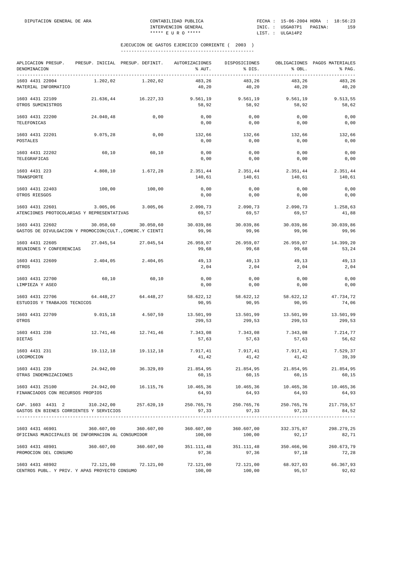| APLICACION PRESUP.<br>DENOMINACION<br>-----------                                                            | PRESUP. INICIAL PRESUP. DEFINIT. AUTORIZACIONES |                       | % AUT.               | DISPOSICIONES<br>% DIS. | % OBL.                         | OBLIGACIONES PAGOS MATERIALES<br>% PAG. |
|--------------------------------------------------------------------------------------------------------------|-------------------------------------------------|-----------------------|----------------------|-------------------------|--------------------------------|-----------------------------------------|
| 1603 4431 22004<br>MATERIAL INFORMATICO                                                                      | 1.202,02                                        | 1.202,02              | 483,26<br>40,20      | 483,26<br>40,20         | 483,26<br>40,20                | 483,26<br>40,20                         |
| 1603 4431 22109<br>OTROS SUMINISTROS                                                                         | 21.636,44                                       | 16.227,33             | 9.561,19<br>58,92    | 9.561,19<br>58,92       | 9.561,19<br>58,92              | 9.513,55<br>58,62                       |
| 1603 4431 22200<br>TELEFONICAS                                                                               | 24.040,48                                       | 0,00                  | 0,00<br>0,00         | 0,00<br>0,00            | 0,00<br>0,00                   | 0,00<br>0,00                            |
| 1603 4431 22201<br>POSTALES                                                                                  | 9.075,28                                        | 0,00                  | 132,66<br>0,00       | 132,66<br>0,00          | 132,66<br>0,00                 | 132,66<br>0,00                          |
| 1603 4431 22202<br>TELEGRAFICAS                                                                              | 60,10                                           | 60,10                 | 0,00<br>0,00         | 0,00<br>0,00            | 0,00<br>0,00                   | 0,00<br>0,00                            |
| 1603 4431 223<br>TRANSPORTE                                                                                  | 4.808,10                                        | 1,672,28              | 2.351,44<br>140,61   | 2.351,44<br>140,61      | 2.351,44<br>140,61             | 2.351,44<br>140,61                      |
| 1603 4431 22403<br>OTROS RIESGOS                                                                             | 100,00                                          | 100,00                | 0,00<br>0,00         | 0,00<br>0,00            | 0,00<br>0,00                   | 0,00<br>0,00                            |
| 1603 4431 22601<br>ATENCIONES PROTOCOLARIAS Y REPRESENTATIVAS                                                | 3.005,06                                        | 3.005,06              | 2.090,73<br>69,57    | 2.090,73<br>69,57       | 2.090,73<br>69,57              | 1.258,63<br>41,88                       |
| 1603 4431 22602<br>GASTOS DE DIVULGACION Y PROMOCION (CULT., COMERC.Y CIENTI                                 | 30.050,60                                       | 30.050,60             | 30.039,86<br>99,96   | 30.039,86<br>99,96      | 30.039,86<br>99,96             | 30.039,86<br>99,96                      |
| 1603 4431 22605<br>REUNIONES Y CONFERENCIAS                                                                  |                                                 | 27.045,54 27.045,54   | 26.959,07<br>99,68   | 26.959,07<br>99,68      | 26.959,07<br>99,68             | 14.399,20<br>53,24                      |
| 1603 4431 22609<br>OTROS                                                                                     | 2.404,05                                        | 2.404,05              | 49,13<br>2,04        | 49,13<br>2,04           | 49,13<br>2,04                  | 49,13<br>2,04                           |
| 1603 4431 22700<br>LIMPIEZA Y ASEO                                                                           | 60,10                                           | 60,10                 | 0,00<br>0,00         | 0,00<br>0,00            | 0,00<br>0,00                   | 0,00<br>0,00                            |
| 1603 4431 22706<br>ESTUDIOS Y TRABAJOS TECNICOS                                                              | 64.448,27                                       | 64.448,27             | 58.622,12<br>90,95   | 58.622,12<br>90,95      | 58.622,12<br>90,95             | 47.734,72<br>74,06                      |
| 1603 4431 22709<br>OTROS                                                                                     | 9.015, 18                                       | 4.507,59              | 13.501,99<br>299,53  | 13.501,99<br>299,53     | 13.501,99<br>299,53            | 13.501,99<br>299,53                     |
| 1603 4431 230<br>DIETAS                                                                                      | 12.741,46                                       | 12.741,46             | 7.343,08<br>57,63    | 7.343,08<br>57,63       | 7.343,08<br>57,63              | 7.214,77<br>56,62                       |
| 1603 4431 231<br>LOCOMOCION                                                                                  | 19.112,18                                       | 19.112,18             | 7.917,41<br>41,42    | 7.917,41<br>41,42       | 7.917,41<br>41,42              | 7.529,37<br>39,39                       |
| 1603 4431 239 24.942,00 36.329,89 21.854,95 21.854,95 21.854,95 21.854,95 21.854,95<br>OTRAS INDEMNIZACIONES |                                                 |                       | 60,15                | 60,15                   | 60,15                          | 60,15                                   |
| 1603 4431 25100 24.942,00 16.115,76<br>FINANCIADOS CON RECURSOS PROPIOS                                      |                                                 |                       | 10.465,36<br>64,93   | 10.465,36<br>64,93      | 10.465,36<br>64,93             | 10.465,36<br>64,93                      |
| CAP. 1603 4431 2 310.242,00 257.620,19<br>GASTOS EN BIENES CORRIENTES Y SERVICIOS                            |                                                 |                       | 250.765,76<br>97,33  | 97, 33                  | 250.765,76 250.765,76<br>97,33 | 217.759,57<br>84,52                     |
| 1603 4431 46901<br>OFICINAS MUNICIPALES DE INFORMACION AL CONSUMIDOR                                         | -------------------------<br>360.607,00         | 360.607,00            | 360.607,00<br>100,00 | 360.607,00<br>100,00    | 332.375,87<br>92,17            | 298.279,25<br>82,71                     |
| 1603 4431 48901<br>PROMOCION DEL CONSUMO                                                                     |                                                 | 360.607,00 360.607,00 | 351.111,48<br>97,36  | 351.111,48<br>97,36     | 350.466,96<br>97,18            | 260.673,79<br>72,28                     |
| 1603 4431 48902 72.121,00 72.121,00<br>CENTROS PUBL. Y PRIV. Y APAS PROYECTO CONSUMO                         |                                                 |                       | 72.121,00<br>100,00  | 100,00                  | 95,57                          | 72.121,00 68.927,03 66.367,93<br>92,02  |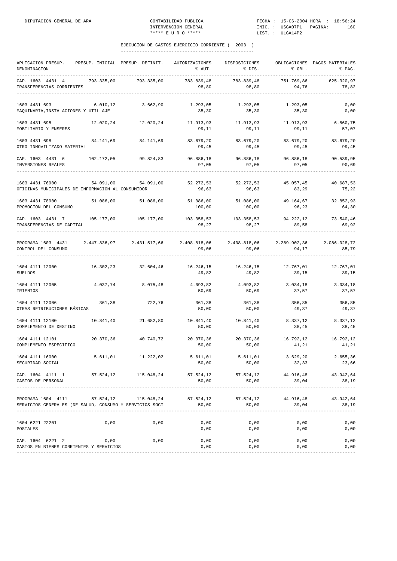| APLICACION PRESUP. PRESUP. INICIAL PRESUP. DEFINIT. AUTORIZACIONES DISPOSICIONES OBLIGACIONES PAGOS MATERIALES<br>DENOMINACION   |           |                                                                                | % AUT.                                    | % DIS.                                  | % OBL.              | % PAG.                |
|----------------------------------------------------------------------------------------------------------------------------------|-----------|--------------------------------------------------------------------------------|-------------------------------------------|-----------------------------------------|---------------------|-----------------------|
| CAP. 1603 4431 4 793.335,00 793.335,00<br>TRANSFERENCIAS CORRIENTES                                                              |           |                                                                                | 783.839,48<br>98,80                       | 783.839,48<br>98,80                     | 751.769,86<br>94,76 | 625.320,97<br>78,82   |
| 1603 4431 693<br>MAQUINARIA, INSTALACIONES Y UTILLAJE                                                                            | 6.010, 12 | 3.662,90                                                                       | 1.293,05<br>35, 30                        | 1.293,05<br>35, 30                      | 1.293,05<br>35,30   | 0,00<br>0,00          |
| 1603 4431 695<br>MOBILIARIO Y ENSERES                                                                                            |           | $12.020, 24$ $12.020, 24$ $11.913, 93$ $11.913, 93$ $11.913, 93$               | 99,11                                     | 99,11                                   | 99,11               | 6.860,75<br>57,07     |
| 1603 4431 698<br>OTRO INMOVILIZADO MATERIAL                                                                                      |           | 84.141,69 84.141,69                                                            | 99,45                                     | 83.679,20 83.679,20<br>99,45            | 83.679,20<br>99,45  | 83.679,20<br>99,45    |
| CAP. 1603 4431 6 102.172.05 99.824.83 96.886.18 96.886.18 96.886.18 96.886.18 90.539.95<br>INVERSIONES REALES                    |           |                                                                                | 97,05                                     | 97,05                                   | 97,05               | 90,69                 |
| 1603 4431 76900 54.091,00 54.091,00 52.272,53 52.272,53 45.057,45 40.687,53<br>OFICINAS MUNICIPALES DE INFORMACION AL CONSUMIDOR |           |                                                                                | 96,63                                     | 96,63                                   | 83,29               | 75,22                 |
| 1603 4431 78900<br>PROMOCION DEL CONSUMO                                                                                         |           | $51.086,00$ $51.086,00$                                                        | 100,00                                    | 51.086,00 51.086,00 49.164,67<br>100,00 | 96,23               | 32.852,93<br>64,30    |
| CAP. 1603 4431 7 105.177,00 105.177,00 103.358,53 103.358,53 94.222,12 73.540,46<br>TRANSFERENCIAS DE CAPITAL                    |           |                                                                                | 98,27                                     | 98,27                                   | 89,58               | 69,92                 |
| PROGRAMA 1603 4431 2.447.836,97 2.431.517,66 2.408.818,06 2.408.818,06 2.289.902,36<br>CONTROL DEL CONSUMO                       |           |                                                                                | 99,06                                     | 99,06                                   | 94,17               | 2.086.028,72<br>85,79 |
| $16.246, 15$ 12.000 $16.302, 23$ 32.604,46 $16.246, 15$ 16.246,15 $12.767, 01$ 12.767,01<br><b>SUELDOS</b>                       |           |                                                                                | 49,82                                     | 49,82                                   | 39,15               | 39,15                 |
| 1604 4111 12005<br>TRIENIOS                                                                                                      |           | 4.037,74 8.075,48                                                              | $4.093,82$ $4.093,82$ $3.034,18$<br>50,69 | 50,69                                   | 37,57               | 3.034,18<br>37,57     |
| 1604 4111 12006<br>OTRAS RETRIBUCIONES BÁSICAS                                                                                   | 361,38    | 722,76                                                                         | 361,38<br>50,00                           | 361,38<br>50,00                         | 356,85<br>49,37     | 356,85<br>49,37       |
| 1604 4111 12100<br>COMPLEMENTO DE DESTINO                                                                                        |           | $10.841,40 \qquad 21.682,80 \qquad 10.841,40 \qquad 10.841,40 \qquad 8.337,12$ | 50,00                                     | 50,00                                   | 38,45               | 8.337,12<br>38,45     |
| 1604 4111 12101<br>COMPLEMENTO ESPECIFICO                                                                                        |           | 20.370.36 40.740.72                                                            | 50,00                                     | 20.370,36 20.370,36 16.792,12<br>50,00  | 41,21               | 16.792,12<br>41,21    |
| 1604 4111 16000<br>SEGURIDAD SOCIAL                                                                                              | 5.611,01  | 11.222,02                                                                      | 5.611,01<br>50,00                         | 5.611,01<br>50,00                       | 3.629, 20<br>32,33  | 2.655,36<br>23,66     |
| CAP. 1604 4111 1<br>GASTOS DE PERSONAL                                                                                           |           | 57.524,12 115.048,24                                                           | 57.524,12 57.524,12 44.916,48<br>50,00    | 50,00                                   | 39,04               | 43.942,64<br>38,19    |
| PROGRAMA 1604 4111<br>SERVICIOS GENERALES (DE SALUD, CONSUMO Y SERVICIOS SOCI                                                    | 57.524,12 | 115.048,24                                                                     | 57.524,12<br>50,00                        | 57.524,12<br>50,00                      | 44.916,48<br>39,04  | 43.942,64<br>38,19    |
| 1604 6221 22201<br>POSTALES                                                                                                      | 0,00      | 0,00                                                                           | 0,00<br>0,00                              | 0,00<br>0,00                            | 0,00<br>0,00        | 0,00<br>0,00          |
| CAP. 1604 6221 2<br>GASTOS EN BIENES CORRIENTES Y SERVICIOS                                                                      | 0,00      | 0,00                                                                           | 0,00<br>0,00                              | 0,00<br>0,00                            | 0,00<br>0,00        | 0,00<br>0,00          |
|                                                                                                                                  |           |                                                                                |                                           |                                         |                     |                       |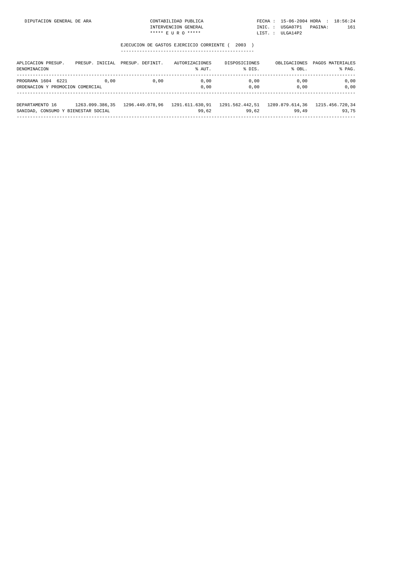| NERAL DE ARA | CONTABILIDAD PUBLICA |  | FECHA: 15-06-2004 HORA : 18:56:24 |  |     |
|--------------|----------------------|--|-----------------------------------|--|-----|
|              | INTERVENCION GENERAL |  | INIC.: USGA07P1 PAGINA:           |  | 161 |
|              | ***** E II R O ***** |  | LIST. : ULGA14P2                  |  |     |

| APLICACION PRESUP.<br>DENOMINACION                     |                 | PRESUP. INICIAL PRESUP. DEFINIT. | AUTORIZACIONES<br>% AUT. | DISPOSICIONES<br>% DIS.                                        | % OBL.       | OBLIGACIONES PAGOS MATERIALES<br>% PAG. |
|--------------------------------------------------------|-----------------|----------------------------------|--------------------------|----------------------------------------------------------------|--------------|-----------------------------------------|
| PROGRAMA 1604 6221<br>ORDENACION Y PROMOCION COMERCIAL | 0.00            | 0,00                             | 0.00<br>0.00             | 0.00<br>0.00                                                   | 0,00<br>0.00 | 0,00<br>0.00                            |
| DEPARTAMENTO 16<br>SANIDAD, CONSUMO Y BIENESTAR SOCIAL | 1263.099.386.35 | 1296.449.078.96                  | 99.62                    | 1291.611.630.91    1291.562.442.51    1289.879.614.36<br>99.62 | 99.49        | 1215.456.720,34<br>93.75                |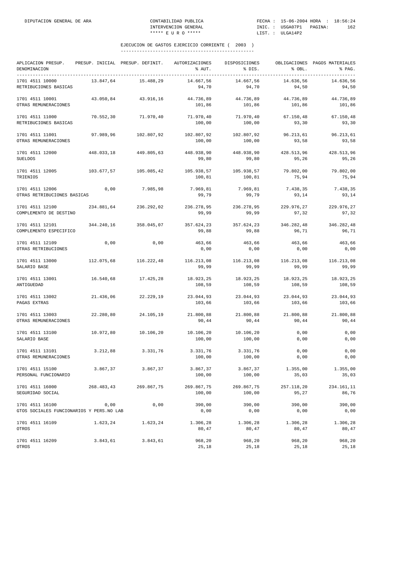| APLICACION PRESUP.<br>DENOMINACION                          |            | PRESUP. INICIAL PRESUP. DEFINIT. | AUTORIZACIONES<br>% AUT. | DISPOSICIONES<br>% DIS. | % OBL.              | OBLIGACIONES PAGOS MATERIALES<br>% PAG. |
|-------------------------------------------------------------|------------|----------------------------------|--------------------------|-------------------------|---------------------|-----------------------------------------|
| 1701 4511 10000<br>RETRIBUCIONES BASICAS                    | 13.847,64  | 15.488,29                        | 14.667,56<br>94,70       | 14.667,56<br>94,70      | 14.636,56<br>94,50  | 14.636,56<br>94,50                      |
| 1701 4511 10001<br>OTRAS REMUNERACIONES                     | 43.050,84  | 43.916,16                        | 44.736,89<br>101,86      | 44.736,89<br>101,86     | 44.736,89<br>101,86 | 44.736,89<br>101,86                     |
| 1701 4511 11000<br>RETRIBUCIONES BASICAS                    | 70.552,30  | 71.970,40                        | 71.970,40<br>100,00      | 71.970,40<br>100,00     | 67.150,48<br>93,30  | 67.150,48<br>93,30                      |
| 1701 4511 11001<br>OTRAS REMUNERACIONES                     | 97.989,96  | 102.807,92                       | 102.807,92<br>100,00     | 102.807,92<br>100,00    | 96.213,61<br>93,58  | 96.213,61<br>93,58                      |
| 1701 4511 12000<br><b>SUELDOS</b>                           | 448.033,18 | 449.805,63                       | 448.938,90<br>99,80      | 448.938,90<br>99,80     | 428.513,96<br>95,26 | 428.513,96<br>95,26                     |
| 1701 4511 12005<br>TRIENIOS                                 | 103.677,57 | 105.085,42                       | 105.938,57<br>100,81     | 105.938,57<br>100,81    | 79.802,00<br>75,94  | 79.802,00<br>75,94                      |
| 1701 4511 12006<br>OTRAS RETRIBUCIONES BASICAS              | 0,00       | 7.985,98                         | 7.969,81<br>99,79        | 7.969,81<br>99,79       | 7.438,35<br>93.14   | 7.438,35<br>93,14                       |
| 1701 4511 12100<br>COMPLEMENTO DE DESTINO                   | 234.881,64 | 236.292,02                       | 236.278,95<br>99,99      | 236.278,95<br>99,99     | 229.976,27<br>97,32 | 229.976,27<br>97,32                     |
| 1701 4511 12101<br>COMPLEMENTO ESPECIFICO                   | 344.240,16 | 358.045,07                       | 357.624,23<br>99,88      | 357.624,23<br>99,88     | 346.282,48<br>96,71 | 346.282,48<br>96,71                     |
| 1701 4511 12109<br>OTRAS RETRIBUCIONES                      | 0,00       | 0,00                             | 463,66<br>0,00           | 463,66<br>0,00          | 463,66<br>0,00      | 463,66<br>0,00                          |
| 1701 4511 13000<br>SALARIO BASE                             | 112.075,68 | 116.222,48                       | 116.213,08<br>99,99      | 116.213,08<br>99,99     | 116.213,08<br>99,99 | 116.213,08<br>99,99                     |
| 1701 4511 13001<br>ANTIGUEDAD                               | 16.540,68  | 17.425,28                        | 18.923,25<br>108,59      | 18.923,25<br>108,59     | 18.923,25<br>108,59 | 18.923,25<br>108,59                     |
| 1701 4511 13002<br>PAGAS EXTRAS                             | 21.436,06  | 22.229,19                        | 23.044,93<br>103,66      | 23.044,93<br>103,66     | 23.044,93<br>103,66 | 23.044,93<br>103,66                     |
| 1701 4511 13003<br>OTRAS REMUNERACIONES                     | 22.280,80  | 24.105,19                        | 21.800,88<br>90,44       | 21.800,88<br>90,44      | 21.800,88<br>90,44  | 21.800,88<br>90,44                      |
| 1701 4511 13100<br>SALARIO BASE                             | 10.972,80  | 10.106,20                        | 10.106,20<br>100,00      | 10.106,20<br>100,00     | 0,00<br>0,00        | 0,00<br>0,00                            |
| 1701 4511 13101<br>OTRAS REMUNERACIONES                     | 3.212,88   | 3.331,76                         | 3.331,76<br>100,00       | 3.331,76<br>100,00      | 0,00<br>0,00        | 0,00<br>0,00                            |
| 1701 4511 15100<br>PERSONAL FUNCIONARIO                     | 3.867,37   | 3.867,37                         | 3.867,37<br>100,00       | 3.867,37<br>100,00      | 1.355,00<br>35,03   | 1.355,00<br>35,03                       |
| 1701 4511 16000<br>SEGURIDAD SOCIAL                         | 268.483,43 | 269.867,75                       | 269.867,75<br>100,00     | 269.867,75<br>100,00    | 257.118,20<br>95,27 | 234.161,11<br>86,76                     |
| 1701 4511 16100<br>GTOS SOCIALES FUNCIONARIOS Y PERS.NO LAB | 0,00       | 0,00                             | 390,00<br>0,00           | 390,00<br>0,00          | 390,00<br>0,00      | 390,00<br>0,00                          |
| 1701 4511 16109<br>OTROS                                    | 1.623,24   | 1.623,24                         | 1.306,28<br>80,47        | 1.306,28<br>80,47       | 1.306,28<br>80,47   | 1.306,28<br>80,47                       |
| 1701 4511 16209<br>OTROS                                    | 3.843,61   | 3.843,61                         | 968,20<br>25,18          | 968,20<br>25,18         | 968,20<br>25,18     | 968,20<br>25,18                         |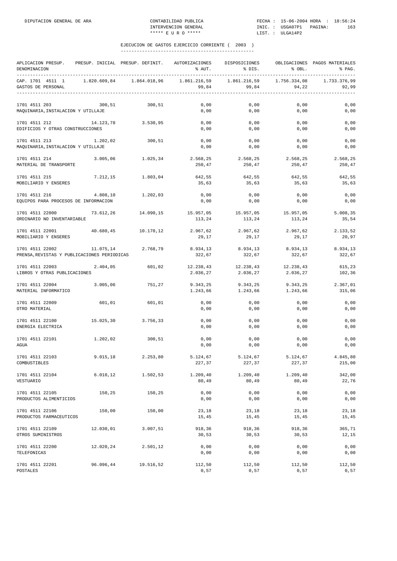| APLICACION PRESUP.<br>DENOMINACION                             | PRESUP. INICIAL PRESUP. DEFINIT. |              | AUTORIZACIONES<br>% AUT.      | DISPOSICIONES<br>% DIS.                                        | % OBL.                | OBLIGACIONES PAGOS MATERIALES<br>% PAG. |
|----------------------------------------------------------------|----------------------------------|--------------|-------------------------------|----------------------------------------------------------------|-----------------------|-----------------------------------------|
| CAP. 1701 4511 1<br>GASTOS DE PERSONAL                         | 1.820.609,84                     | 1.864.018,96 | 1.861.216,59<br>99,84         | 1.861.216,59<br>99,84<br>------------------------------------- | 1.756.334,08<br>94,22 | 1.733.376.99<br>92,99                   |
| 1701 4511 203<br>MAQUINARIA, INSTALACION Y UTILLAJE            | 300.51                           | 300,51       | 0,00<br>0,00                  | 0,00<br>0,00                                                   | 0,00<br>0,00          | 0,00<br>0,00                            |
| 1701 4511 212<br>EDIFICIOS Y OTRAS CONSTRUCCIONES              | 14.123,78                        | 3.530,95     | 0,00<br>0,00                  | 0,00<br>0,00                                                   | 0,00<br>0,00          | 0,00<br>0,00                            |
| 1701 4511 213<br>MAQUINARIA, INSTALACION Y UTILLAJE            | 1.202,02                         | 300,51       | 0,00<br>0,00                  | 0,00<br>0,00                                                   | 0,00<br>0,00          | 0,00<br>0,00                            |
| 1701 4511 214<br>MATERIAL DE TRANSPORTE                        | 3.005,06                         | 1.025,34     | 2.568,25<br>250,47            | 2.568,25<br>250,47                                             | 2.568,25<br>250,47    | 2.568,25<br>250,47                      |
| 1701 4511 215<br>MOBILIARIO Y ENSERES                          | 7.212,15                         | 1.803,04     | 642,55<br>35,63               | 642,55<br>35,63                                                | 642,55<br>35,63       | 642,55<br>35,63                         |
| 1701 4511 216<br>EQUIPOS PARA PROCESOS DE INFORMACION          | 4.808,10                         | 1.202,03     | 0,00<br>0,00                  | 0,00<br>0,00                                                   | 0,00<br>0,00          | 0,00<br>0,00                            |
| 1701 4511 22000<br>ORDINARIO NO INVENTARIABLE                  | 73.612,26                        | 14.090,15    | 15.957,05 15.957,05<br>113,24 | 113,24                                                         | 15.957,05<br>113,24   | 5.008,35<br>35,54                       |
| 1701 4511 22001<br>MOBILIARIO Y ENSERES                        | 40.680,45                        | 10.170,12    | 2.967,62<br>29,17             | 2.967,62<br>29,17                                              | 2.967,62<br>29,17     | 2.133,52<br>20,97                       |
| 1701 4511 22002<br>PRENSA, REVISTAS Y PUBLICACIONES PERIODICAS | 11.075,14                        | 2.768,79     | 8.934,13<br>322,67            | 8.934,13<br>322,67                                             | 8.934,13<br>322,67    | 8.934,13<br>322,67                      |
| 1701 4511 22003<br>LIBROS Y OTRAS PUBLICACIONES                | 2.404,05                         | 601,02       | 12.238,43<br>2.036,27         | 12.238,43<br>2.036,27                                          | 12.238,43<br>2.036,27 | 615,23<br>102,36                        |
| 1701 4511 22004<br>MATERIAL INFORMATICO                        | 3.005,06                         | 751,27       | 9.343,25<br>1.243,66          | 9.343,25<br>1.243,66                                           | 9.343,25<br>1.243,66  | 2.367,01<br>315,06                      |
| 1701 4511 22009<br>OTRO MATERIAL                               | 601,01                           | 601,01       | 0,00<br>0,00                  | 0,00<br>0,00                                                   | 0,00<br>0,00          | 0,00<br>0,00                            |
| 1701 4511 22100<br>ENERGIA ELECTRICA                           | 15.025,30                        | 3.756,33     | 0,00<br>0,00                  | 0,00<br>0,00                                                   | 0,00<br>0,00          | 0,00<br>0,00                            |
| 1701 4511 22101<br>AGUA                                        | 1.202,02                         | 300,51       | 0,00<br>0,00                  | 0,00<br>0,00                                                   | 0,00<br>0,00          | 0,00<br>0,00                            |
| 1701 4511 22103<br>COMBUSTIBLES                                | 9.015, 18                        | 2.253,80     | 5.124,67<br>227,37            | 5.124,67<br>227,37                                             | 5.124,67<br>227,37    | 4.845,80<br>215,00                      |
| 1701 4511 22104<br>VESTUARIO                                   | 6.010, 12                        | 1.502,53     | 1.209,40<br>80,49             | 1.209,40<br>80,49                                              | 1.209,40<br>80,49     | 342,00<br>22,76                         |
| 1701 4511 22105<br>PRODUCTOS ALIMENTICIOS                      | 150,25                           | 150,25       | 0,00<br>0,00                  | 0,00<br>0,00                                                   | 0,00<br>0,00          | 0,00<br>0,00                            |
| 1701 4511 22106<br>PRODUCTOS FARMACEUTICOS                     | 150,00                           | 150,00       | 23,18<br>15,45                | 23,18<br>15,45                                                 | 23,18<br>15,45        | 23,18<br>15,45                          |
| 1701 4511 22109<br>OTROS SUMINISTROS                           | 12.030,01                        | 3.007,51     | 918,36<br>30,53               | 918,36<br>30,53                                                | 918,36<br>30,53       | 365,71<br>12,15                         |
| 1701 4511 22200<br>TELEFONICAS                                 | 12.020,24                        | 2.501,12     | 0,00<br>0,00                  | 0,00<br>0,00                                                   | 0,00<br>0,00          | 0,00<br>0,00                            |
| 1701 4511 22201<br>POSTALES                                    | 96.096,44                        | 19.516,52    | 112,50<br>0,57                | 112,50<br>0,57                                                 | 112,50<br>0,57        | 112,50<br>0,57                          |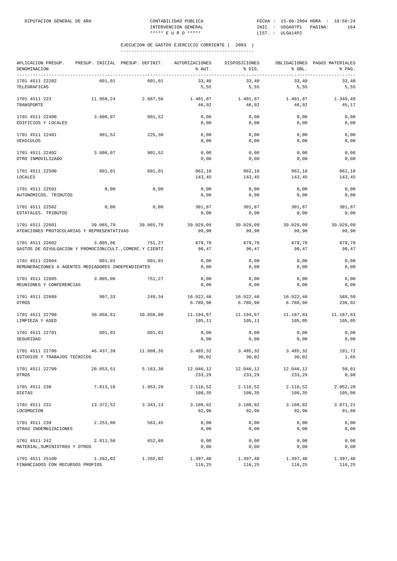| APLICACION PRESUP.<br>DENOMINACION<br>--------------                        |           | PRESUP. INICIAL PRESUP. DEFINIT. | AUTORIZACIONES<br>% AUT. | DISPOSICIONES<br>% DIS. | % OBL.                | OBLIGACIONES PAGOS MATERIALES<br>% PAG. |
|-----------------------------------------------------------------------------|-----------|----------------------------------|--------------------------|-------------------------|-----------------------|-----------------------------------------|
| 1701 4511 22202<br>TELEGRAFICAS                                             | 601,01    | 601,01                           | 33,40<br>5,55            | 33,40<br>5,55           | 33,40<br>5,55         | 33,40<br>5,55                           |
| 1701 4511 223<br>TRANSPORTE                                                 | 11.950,24 | 2.987,56                         | 1.401,87<br>46,92        | 1.401,87<br>46,92       | 1.401,87<br>46,92     | 1.349,49<br>45,17                       |
| 1701 4511 22400<br>EDIFICIOS Y LOCALES                                      | 3.606,07  | 901,52                           | 0,00<br>0,00             | 0,00<br>0,00            | 0,00<br>0,00          | 0,00<br>0,00                            |
| 1701 4511 22401<br>VEHICULOS                                                | 901,52    | 225,38                           | 0,00<br>0,00             | 0,00<br>0,00            | 0,00<br>0,00          | 0,00<br>0,00                            |
| 1701 4511 22402<br>OTRO INMOVILIZADO                                        | 3.606,07  | 901,52                           | 0,00<br>0,00             | 0,00<br>0,00            | 0,00<br>0,00          | 0,00<br>0,00                            |
| 1701 4511 22500<br>LOCALES                                                  | 601,01    | 601,01                           | 862,18<br>143,45         | 862,18<br>143,45        | 862,18<br>143,45      | 862,18<br>143,45                        |
| 1701 4511 22501<br>AUTONOMICOS. TRIBUTOS                                    | 0,00      | 0,00                             | 0,00<br>0,00             | 0,00<br>0,00            | 0,00<br>0,00          | 0,00<br>0,00                            |
| 1701 4511 22502<br>ESTATALES. TRIBUTOS                                      | 0,00      | 0,00                             | 381,87<br>0,00           | 381,87<br>0,00          | 381,87<br>0,00        | 381,87<br>0,00                          |
| 1701 4511 22601<br>ATENCIONES PROTOCOLARIAS Y REPRESENTATIVAS               | 39.065,79 | 39.065,79                        | 39.029,09<br>99,90       | 39.029,09<br>99,90      | 39.029,09<br>99,90    | 39.029,09<br>99,90                      |
| 1701 4511 22602<br>GASTOS DE DIVULGACION Y PROMOCION(CULT., COMERC.Y CIENTI | 3.005,06  | 751,27                           | 679,70<br>90,47          | 679,70<br>90,47         | 679,70<br>90,47       | 679,70<br>90,47                         |
| 1701 4511 22604<br>REMUNERACIONES A AGENTES MEDIADORES INDEPENDIENTES       | 601,01    | 601,01                           | 0,00<br>0,00             | 0,00<br>0,00            | 0,00<br>0,00          | 0,00<br>0,00                            |
| 1701 4511 22605<br>REUNIONES Y CONFERENCIAS                                 | 3.005,06  | 751,27                           | 0,00<br>0,00             | 0,00<br>0,00            | 0,00<br>0,00          | 0,00<br>0,00                            |
| 1701 4511 22609<br>OTROS                                                    | 997,33    | 249,34                           | 16.922,46<br>6.786,90    | 16.922,46<br>6.786,90   | 16.922,46<br>6.786,90 | 588,50<br>236,02                        |
| 1701 4511 22700<br>LIMPIEZA Y ASEO                                          | 30.050,61 | 10.650,00                        | 11.194,67<br>105,11      | 11.194,67<br>105,11     | 11.187,83<br>105,05   | 11.187,83<br>105,05                     |
| 1701 4511 22701<br>SEGURIDAD                                                | 601,01    | 601,01                           | 0,00<br>0,00             | 0,00<br>0,00            | 0,00<br>0,00          | 0,00<br>0,00                            |
| 1701 4511 22706<br>ESTUDIOS Y TRABAJOS TECNICOS                             | 46.437,39 | 11.609,35                        | 3.485,32<br>30,02        | 3.485,32<br>30,02       | 3.485,32<br>30,02     | 191,72<br>1,65                          |
| 1701 4511 22709<br>OTROS                                                    | 20.653,51 | 5.163,38                         | 12.046,12<br>233,29      | 12.046,12<br>233,29     | 12.046,12<br>233,29   | 50,81<br>0,98                           |
| 1701 4511 230<br>DIETAS                                                     | 7.813,16  | 1.953,29                         | 2.116,52<br>108,35       | 2.116,52<br>108,35      | 2.116,52<br>108,35    | 2.052,20<br>105,06                      |
| 1701 4511 231<br>LOCOMOCION                                                 | 13.372,52 | 3.343,13                         | 3.108,02<br>92,96        | 3.108,02<br>92,96       | 3.108,02<br>92,96     | 3.071,21<br>91,86                       |
| 1701 4511 239<br>OTRAS INDEMNIZACIONES                                      | 2.253,80  | 563,45                           | 0,00<br>0,00             | 0,00<br>0,00            | 0,00<br>0,00          | 0,00<br>0,00                            |
| 1701 4511 242<br>MATERIAL, SUMINISTROS Y OTROS                              | 2.611,56  | 652,89                           | 0,00<br>0,00             | 0,00<br>0,00            | 0,00<br>0,00          | 0,00<br>0,00                            |
| 1701 4511 25100<br>FINANCIADOS CON RECURSOS PROPIOS                         | 1.202,02  | 1.202,02                         | 1.397,40<br>116,25       | 1.397,40<br>116,25      | 1.397,40<br>116,25    | 1.397,40<br>116,25                      |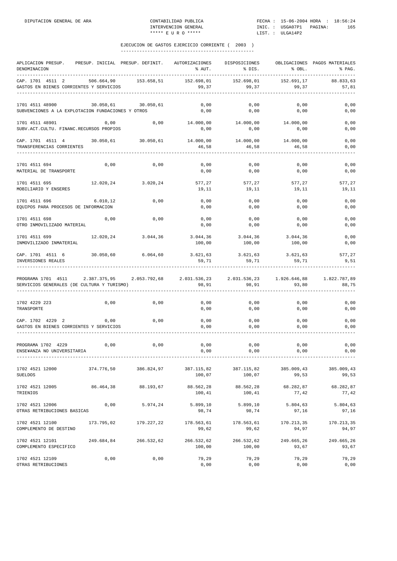| APLICACION PRESUP.<br>DENOMINACION                                                                                                             | PRESUP. INICIAL PRESUP. DEFINIT. |            | AUTORIZACIONES<br>% AUT. | DISPOSICIONES<br>% DIS.         | % OBL.              | OBLIGACIONES PAGOS MATERIALES<br>% PAG. |
|------------------------------------------------------------------------------------------------------------------------------------------------|----------------------------------|------------|--------------------------|---------------------------------|---------------------|-----------------------------------------|
| CAP. 1701 4511 2<br>GASTOS EN BIENES CORRIENTES Y SERVICIOS                                                                                    | 506.664.90                       | 153.658,51 | 152.698,01<br>99,37      | 152.698,01<br>99, 37            | 152.691,17<br>99,37 | 88.833,63<br>57,81                      |
| 1701 4511 48900<br>SUBVENCIONES A LA EXPLOTACION FUNDACIONES Y OTROS                                                                           | 30.050,61 30.050,61              |            | 0,00<br>0,00             | 0,00<br>0,00                    | 0,00<br>0,00        | 0,00<br>0,00                            |
| 1701 4511 48901<br>SUBV.ACT.CULTU. FINANC.RECURSOS PROPIOS                                                                                     | 0,00                             | 0,00       | 14.000,00<br>0,00        | 14.000,00<br>0,00               | 14.000,00<br>0,00   | 0,00<br>0,00                            |
| CAP. 1701 4511 4 30.050,61 30.050,61<br>TRANSFERENCIAS CORRIENTES                                                                              |                                  |            | 46,58                    | 14.000,00    14.000,00<br>46,58 | 14.000,00<br>46,58  | 0,00<br>0,00                            |
| 1701 4511 694<br>MATERIAL DE TRANSPORTE                                                                                                        | 0,00                             | 0,00       | 0,00<br>0,00             | 0,00<br>0,00                    | 0,00<br>0,00        | 0,00<br>0,00                            |
| 1701 4511 695<br>MOBILIARIO Y ENSERES                                                                                                          | 12.020,24                        | 3.020,24   | 577,27<br>19,11          | 577,27<br>19,11                 | 577,27<br>19,11     | 577,27<br>19,11                         |
| 1701 4511 696<br>EQUIPOS PARA PROCESOS DE INFORMACION                                                                                          | 6.010, 12                        | 0,00       | 0,00<br>0,00             | 0,00<br>0,00                    | 0,00<br>0,00        | 0,00<br>0,00                            |
| 1701 4511 698<br>OTRO INMOVILIZADO MATERIAL                                                                                                    | 0,00                             | 0,00       | 0,00<br>0,00             | 0,00<br>0,00                    | 0,00<br>0,00        | 0,00<br>0,00                            |
| 1701 4511 699<br>INMOVILIZADO INMATERIAL                                                                                                       | $12.020, 24$ 3.044,36            |            | 3.044,36<br>100,00       | 3.044,36<br>100,00              | 3.044,36<br>100,00  | 0,00<br>0,00                            |
| CAP. 1701 4511 6<br>INVERSIONES REALES                                                                                                         | 30.050,60                        | 6.064, 60  | 3.621,63<br>59,71        | 3.621,63<br>59,71               | 3.621,63<br>59,71   | 577,27<br>9,51                          |
| PROGRAMA 1701 4511 2.387.375,95 2.053.792,68 2.031.536,23 2.031.536,23 1.926.646,88 1.822.787,89<br>SERVICIOS GENERALES (DE CULTURA Y TURISMO) |                                  |            | 98,91                    | 98,91                           | 93,80               | 88,75                                   |
| 1702 4229 223<br>TRANSPORTE                                                                                                                    | 0,00                             | 0,00       | 0,00<br>0,00             | 0,00<br>0,00                    | 0,00<br>0,00        | 0,00<br>0,00                            |
| CAP. 1702 4229 2<br>GASTOS EN BIENES CORRIENTES Y SERVICIOS                                                                                    | 0,00                             | 0,00       | 0,00<br>0,00             | 0,00<br>0,00                    | 0,00<br>0,00        | 0,00<br>0,00                            |
| PROGRAMA 1702 4229<br>ENSE¥ANZA NO UNIVERSITARIA                                                                                               | 0,00                             | 0,00       | 0,00<br>0,00             | 0,00<br>0,00                    | 0,00<br>0,00        | 0,00<br>0,00                            |
| 1702 4521 12000<br><b>SUELDOS</b>                                                                                                              | 374.776,50                       | 386.824,97 | 387.115,82<br>100,07     | 387.115,82<br>100,07            | 385.009,43<br>99,53 | 385.009,43<br>99,53                     |
| 1702 4521 12005<br>TRIENIOS                                                                                                                    | 86.464,38                        | 88.193,67  | 88.562,28<br>100,41      | 88.562,28<br>100,41             | 68.282,87<br>77,42  | 68.282,87<br>77,42                      |
| 1702 4521 12006<br>OTRAS RETRIBUCIONES BASICAS                                                                                                 | 0,00                             | 5.974,24   | 5.899,10<br>98,74        | 5.899,10<br>98,74               | 5.804,63<br>97,16   | 5.804,63<br>97,16                       |
| 1702 4521 12100<br>COMPLEMENTO DE DESTINO                                                                                                      | 173.795,02                       | 179.227,22 | 178.563,61<br>99,62      | 178.563,61<br>99,62             | 170.213,35<br>94,97 | 170.213,35<br>94,97                     |
| 1702 4521 12101<br>COMPLEMENTO ESPECIFICO                                                                                                      | 249.684,84                       | 266.532,62 | 266.532,62<br>100,00     | 266.532,62<br>100,00            | 249.665,26<br>93,67 | 249.665,26<br>93,67                     |
| 1702 4521 12109<br>OTRAS RETRIBUCIONES                                                                                                         | 0,00                             | 0,00       | 79,29<br>0,00            | 79,29<br>0,00                   | 79,29<br>0,00       | 79,29<br>0,00                           |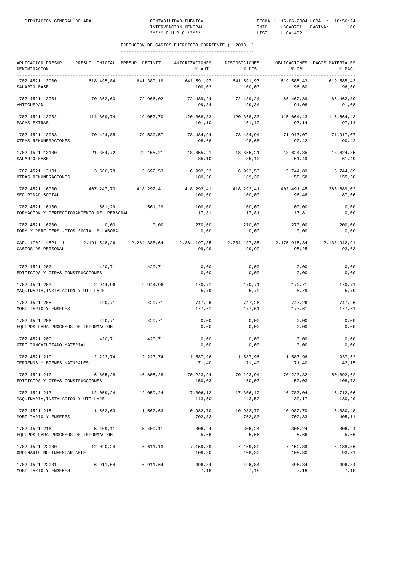| APLICACION PRESUP.<br>DENOMINACION                                                                      | PRESUP. INICIAL PRESUP. DEFINIT. |                   | AUTORIZACIONES<br>% AUT. | DISPOSICIONES<br>% DIS.         | % OBL.              | OBLIGACIONES PAGOS MATERIALES<br>% PAG. |
|---------------------------------------------------------------------------------------------------------|----------------------------------|-------------------|--------------------------|---------------------------------|---------------------|-----------------------------------------|
| 1702 4521 13000<br>SALARIO BASE                                                                         | 618.495,84                       | 641.380,19        | 641.591,97<br>100,03     | 641.591,97<br>100,03            | 619.585,43<br>96,60 | 619.585,43<br>96,60                     |
| 1702 4521 13001<br>ANTIGUEDAD                                                                           | 70.362,60                        | 72.966,02         | 99,34                    | 72.489,24 72.489,24<br>99,34    | 66.462,89<br>91,08  | 66.462,89<br>91,08                      |
| 1702 4521 13002<br>PAGAS EXTRAS                                                                         | 114.809,74                       | 119.057,70        | 101,10                   | 120.368,33 120.368,33<br>101,10 | 115.664,43<br>97,14 | 115.664,43<br>97,14                     |
| 1702 4521 13003<br>OTRAS REMUNERACIONES                                                                 | 70.424,85                        | 79.530,57         | 78.484,94<br>98,68       | 78.484,94<br>98,68              | 71.917,07<br>90,42  | 71.917,07<br>90,42                      |
| 1702 4521 13100<br>SALARIO BASE                                                                         | 21.364,72                        | 22.155,21         | 18.855,21<br>85,10       | 18.855,21<br>85,10              | 13.624,35<br>61,49  | 13.624,35<br>61,49                      |
| 1702 4521 13101<br>OTRAS REMUNERACIONES                                                                 | 3.560,78                         | 3.692,53          | 6.992,53<br>189,36       | 6.992,53<br>189,36              | 5.744,89<br>155,58  | 5.744,89<br>155,58                      |
| 1702 4521 16000<br>SEGURIDAD SOCIAL                                                                     | 407.247,70                       | 418.292,41        | 418.292,41<br>100,00     | 418.292,41<br>100,00            | 403.491,45<br>96,46 | 366.689,02<br>87,66                     |
| 1702 4521 16100<br>FORMACION Y PERFECCIONAMIENTO DEL PERSONAL                                           | 561,29                           | 561,29            | 100,00<br>17,81          | 100,00<br>17,81                 | 100,00<br>17,81     | 0,00<br>0,00                            |
| 1702 4521 16200<br>FORM.Y PERF. PERS. - GTOS. SOCIAL. P. LABORAL                                        | 0,00                             | 0,00              | 270,00<br>0,00           | 270,00<br>0,00                  | 270,00<br>0,00      | 200,00<br>0,00                          |
| CAP. 1702 4521 1 2.191.548,26 2.284.388,64 2.284.197,35 2.284.197,35 2.175.915,34<br>GASTOS DE PERSONAL |                                  |                   | 99,99                    | 99,99                           | 95,25               | 2.138.942,91<br>93,63                   |
|                                                                                                         |                                  |                   |                          |                                 |                     |                                         |
| 1702 4521 202<br>EDIFICIOS Y OTRAS CONSTRUCCIONES                                                       | 420,71                           | 420,71            | 0,00<br>0,00             | 0,00<br>0,00                    | 0,00<br>0,00        | 0,00<br>0,00                            |
| 1702 4521 203<br>MAQUINARIA, INSTALACION Y UTILLAJE                                                     | 2.944,96                         | 2.944,96          | 170,71<br>5,79           | 170,71<br>5,79                  | 170,71<br>5,79      | 170,71<br>5,79                          |
| 1702 4521 205<br>MOBILIARIO Y ENSERES                                                                   | 420,71                           | 420,71            | 747,26<br>177,61         | 747,26<br>177,61                | 747,26<br>177,61    | 747,26<br>177,61                        |
| 1702 4521 206<br>EQUIPOS PARA PROCESOS DE INFORMACION                                                   | 420,71                           | 420,71            | 0,00<br>0,00             | 0,00<br>0,00                    | 0,00<br>0,00        | 0,00<br>0,00                            |
| 1702 4521 209<br>OTRO INMOVILIZADO MATERIAL                                                             | 420,71                           | 420,71            | 0,00<br>0,00             | 0,00<br>0,00                    | 0,00<br>0,00        | 0,00<br>0,00                            |
| 1702 4521 210<br>TERRENOS Y BIENES NATURALES                                                            | 2.223,74                         | 2.223,74          | 1.587,96<br>71,40        | 1.587,96<br>71,40               | 1.587,96<br>71,40   | 937,52<br>42,15                         |
| 1702 4521 212<br>EDIFICIOS Y OTRAS CONSTRUCCIONES                                                       | 6.805, 28                        | 46.805,28         | 70.223,94<br>150,03      | 70.223,94<br>150,03             | 70.223,82<br>150,03 | 50.892,62<br>108,73                     |
| 1702 4521 213<br>MAQUINARIA, INSTALACION Y UTILLAJE                                                     | 12.059,24                        | 12.059,24         | 17.306,12<br>143,50      | 17.306,12<br>143,50             | 16.783,04<br>139,17 | 15.712,06<br>130,29                     |
| 1702 4521 215<br>MOBILIARIO Y ENSERES                                                                   |                                  | 1.562,63 1.562,63 | 10.982,70<br>702,83      | 10.982,70<br>702,83             | 10.982,70<br>702,83 | 6.330,48<br>405,11                      |
| 1702 4521 216<br>EQUIPOS PARA PROCESOS DE INFORMACION                                                   | 5.409,11                         | 5.409,11          | 306,24<br>5,66           | 306,24<br>5,66                  | 306,24<br>5,66      | 306,24<br>5,66                          |
| 1702 4521 22000<br>ORDINARIO NO INVENTARIABLE                                                           | 12.020,24                        | 6.611, 13         | 7.159,89<br>108,30       | 7.159,89<br>108,30              | 7.159,89<br>108,30  | 6.188,86<br>93,61                       |
| 1702 4521 22001<br>MOBILIARIO Y ENSERES                                                                 | 6.911, 64                        | 6.911, 64         | 496,84<br>7,18           | 496,84<br>7,18                  | 496,84<br>7,18      | 496,84<br>7,18                          |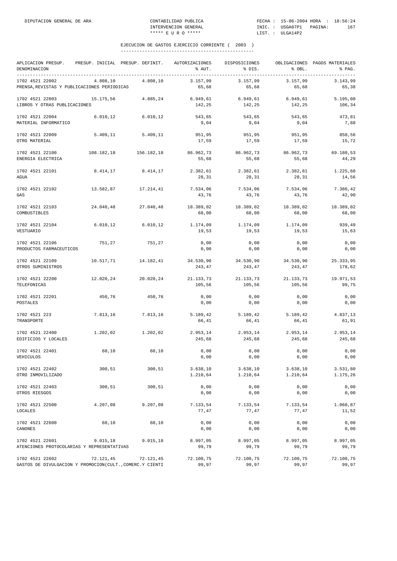| APLICACION PRESUP.<br>DENOMINACION                                          |            | PRESUP. INICIAL PRESUP. DEFINIT. | AUTORIZACIONES<br>% AUT. | DISPOSICIONES<br>% DIS. | % OBL.               | OBLIGACIONES PAGOS MATERIALES<br>% PAG. |
|-----------------------------------------------------------------------------|------------|----------------------------------|--------------------------|-------------------------|----------------------|-----------------------------------------|
| 1702 4521 22002<br>PRENSA, REVISTAS Y PUBLICACIONES PERIODICAS              | 4.808,10   | 4.808,10                         | 3.157,99<br>65,68        | 3.157,99<br>65,68       | 3.157,99<br>65,68    | 3.143,99<br>65,38                       |
| 1702 4521 22003<br>LIBROS Y OTRAS PUBLICACIONES                             | 15.175,56  | 4.885,24                         | 6.949,61<br>142,25       | 6.949,61<br>142,25      | 6.949, 61<br>142,25  | 5.195,00<br>106,34                      |
| 1702 4521 22004<br>MATERIAL INFORMATICO                                     | 6.010, 12  | 6.010, 12                        | 543,65<br>9,04           | 543,65<br>9,04          | 543,65<br>9,04       | 473,81<br>7,88                          |
| 1702 4521 22009<br>OTRO MATERIAL                                            | 5.409, 11  | 5.409, 11                        | 951,95<br>17,59          | 951,95<br>17,59         | 951,95<br>17,59      | 850,56<br>15,72                         |
| 1702 4521 22100<br>ENERGIA ELECTRICA                                        | 108.182,18 | 156.182,18                       | 86.962,73<br>55,68       | 86.962,73<br>55,68      | 86.962,73<br>55,68   | 69.180,53<br>44,29                      |
| 1702 4521 22101<br>AGUA                                                     | 8.414,17   | 8.414,17                         | 2.382,61<br>28,31        | 2.382,61<br>28,31       | 2.382,61<br>28,31    | 1.225,60<br>14,56                       |
| 1702 4521 22102<br>GAS                                                      | 13.582,87  | 17.214,41                        | 7.534,06<br>43,76        | 7.534,06<br>43,76       | 7.534,06<br>43,76    | 7.386,42<br>42,90                       |
| 1702 4521 22103<br>COMBUSTIBLES                                             | 24.040,48  | 27.040,48                        | 18.389,02<br>68,00       | 18.389,02<br>68,00      | 18.389,02<br>68,00   | 18.389,02<br>68,00                      |
| 1702 4521 22104<br>VESTUARIO                                                | 6.010, 12  | 6.010, 12                        | 1.174,09<br>19,53        | 1.174,09<br>19,53       | 1.174,09<br>19,53    | 939,49<br>15,63                         |
| 1702 4521 22106<br>PRODUCTOS FARMACEUTICOS                                  | 751,27     | 751,27                           | 0,00<br>0,00             | 0,00<br>0,00            | 0,00<br>0,00         | 0,00<br>0,00                            |
| 1702 4521 22109<br>OTROS SUMINISTROS                                        | 10.517,71  | 14.182,41                        | 34.530,90<br>243,47      | 34.530,90<br>243,47     | 34.530,90<br>243,47  | 25.333,95<br>178,62                     |
| 1702 4521 22200<br>TELEFONICAS                                              | 12.020,24  | 20.020,24                        | 21.133,73<br>105,56      | 21.133,73<br>105,56     | 21.133,73<br>105,56  | 19.971,53<br>99,75                      |
| 1702 4521 22201<br>POSTALES                                                 | 450,76     | 450,76                           | 0,00<br>0,00             | 0,00<br>0,00            | 0,00<br>0,00         | 0,00<br>0,00                            |
| 1702 4521 223<br>TRANSPORTE                                                 | 7.813,16   | 7.813,16                         | 5.189, 42<br>66,41       | 5.189,42<br>66,41       | 5.189,42<br>66,41    | 4.837,13<br>61,91                       |
| 1702 4521 22400<br>EDIFICIOS Y LOCALES                                      | 1.202,02   | 1.202,02                         | 2.953,14<br>245,68       | 2.953,14<br>245,68      | 2.953,14<br>245,68   | 2.953,14<br>245,68                      |
| 1702 4521 22401<br>VEHICULOS                                                | 60, 10     | 60,10                            | 0,00<br>0,00             | 0,00<br>0,00            | 0,00<br>0,00         | 0,00<br>0,00                            |
| 1702 4521 22402<br>OTRO INMOVILIZADO                                        | 300,51     | 300,51                           | 3.638,10<br>1.210,64     | 3.638,10<br>1.210,64    | 3.638,10<br>1.210,64 | 3.531,80<br>1.175,26                    |
| 1702 4521 22403<br>OTROS RIESGOS                                            | 300,51     | 300,51                           | 0,00<br>0,00             | 0,00<br>0,00            | 0,00<br>0,00         | 0,00<br>0,00                            |
| 1702 4521 22500<br>LOCALES                                                  | 4.207,08   | 9.207,08                         | 7.133,54<br>77,47        | 7.133,54<br>77,47       | 7.133,54<br>77,47    | 1.060,87<br>11,52                       |
| 1702 4521 22600<br>CANONES                                                  | 60,10      | 60,10                            | 0,00<br>0,00             | 0,00<br>0,00            | 0,00<br>0,00         | 0,00<br>0,00                            |
| 1702 4521 22601<br>ATENCIONES PROTOCOLARIAS Y REPRESENTATIVAS               | 9.015, 18  | 9.015,18                         | 8.997,05<br>99,79        | 8.997,05<br>99,79       | 8.997,05<br>99,79    | 8.997,05<br>99,79                       |
| 1702 4521 22602<br>GASTOS DE DIVULGACION Y PROMOCION(CULT., COMERC.Y CIENTI | 72.121,45  | 72.121,45                        | 72.100,75<br>99,97       | 72.100,75<br>99,97      | 72.100,75<br>99,97   | 72.100,75<br>99,97                      |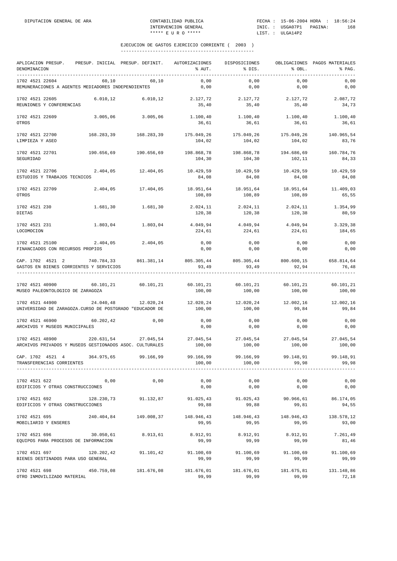| APLICACION PRESUP. PRESUP. INICIAL PRESUP. DEFINIT.<br>DENOMINACION<br>------------------------------------ |                      |                       | AUTORIZACIONES<br>% AUT.                                                                      | DISPOSICIONES<br>% DIS.                 | % OBL.               | OBLIGACIONES PAGOS MATERIALES<br>% PAG. |
|-------------------------------------------------------------------------------------------------------------|----------------------|-----------------------|-----------------------------------------------------------------------------------------------|-----------------------------------------|----------------------|-----------------------------------------|
| 1702 4521 22604<br>REMUNERACIONES A AGENTES MEDIADORES INDEPENDIENTES                                       | 60,10                | 60,10                 | 0,00<br>0,00                                                                                  | 0,00<br>0,00                            | 0,00<br>0,00         | 0,00<br>0,00                            |
| 1702 4521 22605<br>REUNIONES Y CONFERENCIAS                                                                 | 6.010, 12            | 6.010, 12             | 2.127,72<br>35,40                                                                             | 2.127,72<br>35,40                       | 2.127,72<br>35,40    | 2.087,72<br>34,73                       |
| 1702 4521 22609<br>OTROS                                                                                    | 3.005,06             | 3.005,06              | $1.100, 40$ $1.100, 40$ $1.100, 40$ $1.100, 40$<br>36,61                                      | 36,61                                   | 36,61                | 36,61                                   |
| 1702 4521 22700<br>LIMPIEZA Y ASEO                                                                          |                      | 168.283,39 168.283,39 | 175.049,26<br>104,02                                                                          | 175.049,26<br>104,02                    | 175.049,26<br>104,02 | 140.965,54<br>83,76                     |
| 1702 4521 22701<br>SEGURIDAD                                                                                | 190.656,69           | 190.656,69            | 198.868,78<br>104,30                                                                          | 198.868,78<br>104,30                    | 194.686,69<br>102,11 | 160.784,76<br>84,33                     |
| 1702 4521 22706<br>ESTUDIOS Y TRABAJOS TECNICOS                                                             | 2.404,05             | 12.404,05             | 10.429,59<br>84,08                                                                            | 10.429,59<br>84,08                      | 10.429,59<br>84,08   | 10.429,59<br>84,08                      |
| 1702 4521 22709<br>OTROS                                                                                    | 2.404,05             | 17.404,05             | 18.951,64<br>108,89                                                                           | 108,89                                  | 108,89               | 18.951,64 18.951,64 11.409,03<br>65,55  |
| 1702 4521 230<br>DIETAS                                                                                     | 1.681,30             | 1.681,30              | 2.024,11<br>120,38                                                                            | 2.024,11<br>120,38                      | 2.024,11<br>120,38   | 1.354,99<br>80,59                       |
| 1702 4521 231<br>LOCOMOCION                                                                                 | 1.803,04             | 1.803,04              | $4.049,94$ $4.049,94$<br>224,61                                                               | 224,61                                  | 4.049,94<br>224,61   | 3.329,38<br>184,65                      |
| 1702 4521 25100<br>FINANCIADOS CON RECURSOS PROPIOS                                                         | 2.404,05             | 2.404,05              | 0,00<br>0,00                                                                                  | 0,00<br>0,00                            | 0,00<br>0,00         | 0,00<br>0,00                            |
| CAP. 1702 4521 2 740.784,33 861.381,14<br>GASTOS EN BIENES CORRIENTES Y SERVICIOS                           |                      |                       | 805.305,44 805.305,44 800.600,15 658.814,64<br>93,49                                          | 93,49                                   | 92,94                | 76,48                                   |
| 1702 4521 40900<br>MUSEO PALEONTOLOGICO DE ZARAGOZA                                                         |                      |                       | $60.101.21$ $60.101.21$ $60.101.21$ $60.101.21$ $60.101.21$ $60.101.21$ $60.101.21$<br>100,00 | 100,00                                  | 100,00               | 100,00                                  |
| 1702 4521 44900<br>UNIVERSIDAD DE ZARAGOZA.CURSO DE POSTGRADO "EDUCADOR DE                                  | 24.040,48            | 12.020,24             | 12.020,24<br>100,00                                                                           | 12.020,24<br>100,00                     | 12.002,16<br>99,84   | 12.002,16<br>99,84                      |
| 1702 4521 46900<br>ARCHIVOS Y MUSEOS MUNICIPALES                                                            | 60.202,42            | 0,00                  | 0,00<br>0,00                                                                                  | 0,00<br>0,00                            | 0,00<br>0,00         | 0,00<br>0,00                            |
| 1702 4521 48900<br>ARCHIVOS PRIVADOS Y MUSEOS GESTIONADOS ASOC. CULTURALES                                  | 220.631,54 27.045,54 |                       | 100,00                                                                                        | 27.045,54 27.045,54 27.045,54<br>100,00 | 100,00               | 27.045,54<br>100,00                     |
| CAP. 1702 4521 4 364.975.65<br>TRANSFERENCIAS CORRIENTES                                                    |                      | 99.166,99             | 99.166,99<br>100,00                                                                           | 99.166.99<br>100,00                     | 99.148.91<br>99,98   | 99.148,91<br>99,98                      |
| 1702 4521 622<br>EDIFICIOS Y OTRAS CONSTRUCCIONES                                                           | 0,00                 | 0,00                  | 0,00<br>0,00                                                                                  | 0,00<br>0,00                            | 0,00<br>0,00         | 0,00<br>0,00                            |
| 1702 4521 692<br>EDIFICIOS Y OTRAS CONSTRUCCIONES                                                           | 128.230,73           | 91.132,87             | 91.025,43<br>99,88                                                                            | 91.025,43<br>99,88                      | 90.966,61<br>99,81   | 86.174,05<br>94,55                      |
| 1702 4521 695<br>MOBILIARIO Y ENSERES                                                                       | 240.404,84           | 149.008,37            | 148.946,43<br>99,95                                                                           | 148.946,43<br>99,95                     | 148.946,43<br>99,95  | 138.578,12<br>93,00                     |
| 1702 4521 696<br>EQUIPOS PARA PROCESOS DE INFORMACION                                                       | 30.050,61            | 8.913,61              | 8.912,91<br>99,99                                                                             | 8.912,91<br>99,99                       | 8.912,91<br>99,99    | 7.261,49<br>81,46                       |
| 1702 4521 697<br>BIENES DESTINADOS PARA USO GENERAL                                                         | 120.202,42           | 91.101,42             | 91.100,69<br>99,99                                                                            | 91.100,69<br>99,99                      | 91.100,69<br>99,99   | 91.100,69<br>99,99                      |
| 1702 4521 698<br>OTRO INMOVILIZADO MATERIAL                                                                 | 450.759,08           | 181.676,08            | 181.676,01<br>99,99                                                                           | 181.676,01<br>99,99                     | 181.675,81<br>99,99  | 131.148,86<br>72,18                     |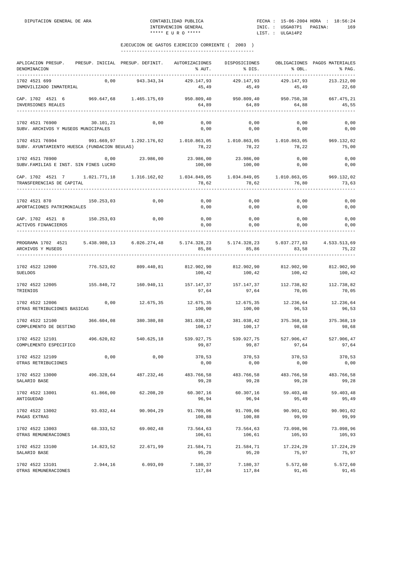| APLICACION PRESUP.<br>DENOMINACION<br>-----------                                                                              |            | PRESUP. INICIAL PRESUP. DEFINIT. | AUTORIZACIONES<br>% AUT. | DISPOSICIONES<br>% DIS.                    | % OBL.                         | OBLIGACIONES PAGOS MATERIALES<br>% PAG. |
|--------------------------------------------------------------------------------------------------------------------------------|------------|----------------------------------|--------------------------|--------------------------------------------|--------------------------------|-----------------------------------------|
| 1702 4521 699<br>INMOVILIZADO INMATERIAL                                                                                       | 0,00       | 943.343,34                       | 429.147,93<br>45,49      | 429.147,93<br>45,49                        | 429.147,93<br>45,49            | 213.212,00<br>22,60                     |
| CAP. 1702 4521 6 969.647,68 1.465.175,69 950.809,40 950.809,40 950.750,38<br>INVERSIONES REALES                                |            |                                  | 64,89                    | 64,89                                      | 64,88                          | 667.475,21<br>45,55                     |
| 1702 4521 76900<br>SUBV. ARCHIVOS Y MUSEOS MUNICIPALES                                                                         | 30.101,21  | 0,00                             | 0,00<br>0,00             | 0,00<br>0,00                               | 0,00<br>0,00                   | 0,00<br>0,00                            |
| 1702 4521 76904 391.669,97 1.292.176,02 1.010.863,05 1.010.863,05 1.010.863,05<br>SUBV. AYUNTAMIENTO HUESCA (FUNDACION BEULAS) |            |                                  | 78,22                    | 78,22                                      | 78,22                          | 969.132,02<br>75,00                     |
| 1702 4521 78900<br>SUBV. FAMILIAS E INST. SIN FINES LUCRO                                                                      | 0,00       | 23.986,00                        | 23.986,00<br>100,00      | 23.986,00<br>100,00                        | 0,00<br>0,00                   | 0,00<br>0,00                            |
| CAP. 1702 4521 7 1.021.771,18 1.316.162,02 1.034.849,05 1.034.849,05 1.010.863,05<br>TRANSFERENCIAS DE CAPITAL                 |            |                                  | 78,62                    | 78,62                                      | 76,80                          | 969.132,02<br>73,63                     |
| 1702 4521 870<br>APORTACIONES PATRIMONIALES                                                                                    | 150.253,03 | 0,00                             | 0,00<br>0,00             | 0,00<br>0,00                               | 0,00<br>0,00                   | 0,00<br>0,00                            |
| CAP. 1702 4521 8 150.253,03 0,00<br>ACTIVOS FINANCIEROS                                                                        |            |                                  | 0,00<br>0,00             | 0,00<br>0,00                               | 0,00<br>0,00                   | 0,00<br>0,00                            |
| PROGRAMA 1702 4521 5.438.980,13 6.026.274,48 5.174.328,23 5.174.328,23 5.037.277,83 4.533.513,69<br>ARCHIVOS Y MUSEOS          |            |                                  | 85,86                    | 85,86                                      | 83,58                          | 75,22                                   |
| 1702 4522 12000 776.523,02 809.440,81<br><b>SUELDOS</b>                                                                        |            |                                  | 100,42                   | 812.902,90 812.902,90 812.902,90<br>100,42 | 100,42                         | 812.902,90<br>100,42                    |
| 1702 4522 12005<br>TRIENIOS                                                                                                    | 155.840,72 | 160.940,11                       | 157.147,37<br>97,64      | 97,64                                      | 157.147,37 112.738,82<br>70,05 | 112.738,82<br>70,05                     |
| 1702 4522 12006<br>OTRAS RETRIBUCIONES BASICAS                                                                                 | 0,00       | 12.675,35                        | 12.675,35<br>100,00      | 12.675,35<br>100,00                        | 12.236,64<br>96,53             | 12.236,64<br>96,53                      |
| 1702 4522 12100<br>COMPLEMENTO DE DESTINO                                                                                      | 366.604,08 | 380.380,88                       | 381.038,42<br>100,17     | 381.038,42<br>100,17                       | 375.368,19<br>98,68            | 375.368,19<br>98,68                     |
| 1702 4522 12101<br>COMPLEMENTO ESPECIFICO                                                                                      |            | 496.620,82 540.625,18            | 99,87                    | 539.927,75 539.927,75 527.906,47<br>99,87  | 97,64                          | 527.906,47<br>97,64                     |
| 1702 4522 12109<br>OTRAS RETRIBUCIONES                                                                                         | 0,00       | $0$ , $00$                       | 370,53<br>0,00           | 370.53<br>0,00                             | 370,53<br>0,00                 | 370.53<br>0,00                          |
| 1702 4522 13000<br>SALARIO BASE                                                                                                | 496.328,64 | 487.232,46                       | 483.766,58<br>99,28      | 483.766,58<br>99,28                        | 483.766,58<br>99,28            | 483.766,58<br>99,28                     |
| 1702 4522 13001<br>ANTIGUEDAD                                                                                                  | 61.866,00  | 62.208,20                        | 60.307,16<br>96,94       | 60.307,16<br>96,94                         | 59.403,48<br>95,49             | 59.403,48<br>95,49                      |
| 1702 4522 13002<br>PAGAS EXTRAS                                                                                                | 93.032,44  | 90.904,29                        | 91.709,06<br>100,88      | 91.709,06<br>100,88                        | 90.901,02<br>99,99             | 90.901,02<br>99,99                      |
| 1702 4522 13003<br>OTRAS REMUNERACIONES                                                                                        | 68.333,52  | 69.002,48                        | 73.564,63<br>106,61      | 73.564,63<br>106,61                        | 73.098,96<br>105,93            | 73.098,96<br>105,93                     |
| 1702 4522 13100<br>SALARIO BASE                                                                                                | 14.823,52  | 22.671,99                        | 21.584,71<br>95,20       | 21.584,71<br>95,20                         | 17.224,29<br>75,97             | 17.224,29<br>75,97                      |
| 1702 4522 13101<br>OTRAS REMUNERACIONES                                                                                        | 2.944,16   | 6.093,09                         | 7.180,37<br>117,84       | 7.180,37<br>117,84                         | 5.572,60<br>91,45              | 5.572,60<br>91,45                       |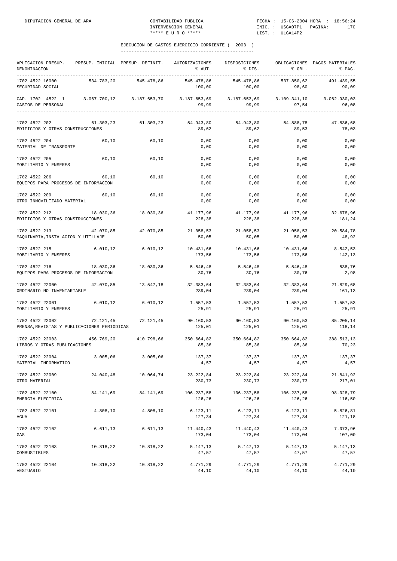| APLICACION PRESUP.<br>DENOMINACION                                                                                                        |            | PRESUP. INICIAL PRESUP. DEFINIT. | AUTORIZACIONES                                            | DISPOSICIONES<br>% AUT. % DIS.            | $8$ OBL.             | OBLIGACIONES PAGOS MATERIALES<br>8 PAG. |
|-------------------------------------------------------------------------------------------------------------------------------------------|------------|----------------------------------|-----------------------------------------------------------|-------------------------------------------|----------------------|-----------------------------------------|
| 1702 4522 16000<br>SEGURIDAD SOCIAL                                                                                                       | 534.783,20 | 545.478,86                       | 545.478,86<br>100,00                                      | 545.478,86<br>100,00                      | 537.850,62<br>98,60  | 491.439,55<br>90,09                     |
| CAP. 1702 4522 1 3.067.700,12 3.187.653,70 3.187.653,69 3.187.653,69 3.109.341,10 3.062.930,03<br>GASTOS DE PERSONAL<br>----------------- |            |                                  | 99,99                                                     |                                           | $99,99$ 97,54        | 96,08                                   |
| 1702 4522 202<br>EDIFICIOS Y OTRAS CONSTRUCCIONES                                                                                         |            | 61.303,23 61.303,23              | 54.943,80<br>89,62                                        | 54.943,80<br>89,62                        | 54.888,78<br>89,53   | 47.836,68<br>78,03                      |
| 1702 4522 204<br>MATERIAL DE TRANSPORTE                                                                                                   | 60,10      | 60, 10                           | 0,00<br>0,00                                              | 0,00<br>0,00                              | 0,00<br>0,00         | 0,00<br>0,00                            |
| 1702 4522 205<br>MOBILIARIO Y ENSERES                                                                                                     | 60,10      | 60,10                            | 0,00<br>0,00                                              | 0,00<br>0,00                              | 0,00<br>0,00         | 0,00<br>0,00                            |
| 1702 4522 206<br>EQUIPOS PARA PROCESOS DE INFORMACION                                                                                     | 60,10      | 60,10                            | 0,00<br>0,00                                              | 0,00<br>0,00                              | 0,00<br>0,00         | 0,00<br>0,00                            |
| 1702 4522 209<br>OTRO INMOVILIZADO MATERIAL                                                                                               | 60,10      | 60,10                            | 0,00<br>0,00                                              | 0,00<br>0,00                              | 0,00<br>0,00         | 0,00<br>0,00                            |
| 1702 4522 212 18.030,36 18.030,36 41.177,96 41.177,96 41.177,96 32.678,96<br>EDIFICIOS Y OTRAS CONSTRUCCIONES                             |            |                                  | 228,38                                                    | 228,38                                    | 228,38               | 181,24                                  |
| 1702 4522 213<br>MAQUINARIA, INSTALACION Y UTILLAJE                                                                                       |            | 42.070,85 42.070,85              | 21.058,53<br>50,05                                        | 21.058,53<br>50,05                        | 21.058,53<br>50,05   | 20.584,78<br>48,92                      |
| 1702 4522 215<br>MOBILIARIO Y ENSERES                                                                                                     | 6.010, 12  | 6.010, 12                        | 10.431,66 10.431,66<br>173,56                             | 173,56                                    | 10.431,66<br>173,56  | 8.542,53<br>142,13                      |
| 1702 4522 216<br>EQUIPOS PARA PROCESOS DE INFORMACION                                                                                     | 18.030,36  | 18.030,36                        | 5.546,48<br>30,76                                         | 5.546,48<br>30,76                         | 5.546,48<br>30,76    | 538,76<br>2,98                          |
| 1702 4522 22000<br>ORDINARIO NO INVENTARIABLE                                                                                             | 42.070,85  | 13.547,18                        | $32.383,64$ $32.383,64$ $32.383,64$<br>239,04             | 239,04                                    | 239,04               | 21.829,68<br>161,13                     |
| 1702 4522 22001<br>MOBILIARIO Y ENSERES                                                                                                   |            | 6.010,12 6.010,12                | 1.557,53<br>25,91                                         | 1.557,53<br>25,91                         | 1.557,53<br>25,91    | 1.557,53<br>25,91                       |
| 1702 4522 22002<br>PRENSA, REVISTAS Y PUBLICACIONES PERIODICAS                                                                            | 72.121,45  |                                  | $72.121,45$ $90.160,53$ $90.160,53$ $90.160,53$<br>125,01 | 125,01                                    | 125,01               | 85.205,14<br>118,14                     |
| 1702 4522 22003<br>LIBROS Y OTRAS PUBLICACIONES                                                                                           |            | 456.769,20 410.798,66            | 85,36                                                     | 350.664,82 350.664,82 350.664,82<br>85,36 | 85,36                | 288.513,13<br>70,23                     |
| 1702 4522 22004<br>MATERIAL INFORMATICO                                                                                                   | 3.005.06   | 3.005.06                         | 137,37<br>4,57                                            | 137,37<br>4,57                            | 137.37<br>4,57       | 137,37<br>4,57                          |
| 1702 4522 22009<br>OTRO MATERIAL                                                                                                          | 24.040,48  | 10.064,74                        | 23.222,84<br>230,73                                       | 23.222,84<br>230,73                       | 23.222,84<br>230,73  | 21.841,92<br>217,01                     |
| 1702 4522 22100<br>ENERGIA ELECTRICA                                                                                                      | 84.141,69  | 84.141,69                        | 106.237,58<br>126,26                                      | 106.237,58<br>126,26                      | 106.237,58<br>126,26 | 98.028,79<br>116,50                     |
| 1702 4522 22101<br>AGUA                                                                                                                   | 4.808,10   | 4.808,10                         | 6.123, 11<br>127,34                                       | 6.123, 11<br>127,34                       | 6.123, 11<br>127,34  | 5.826,81<br>121,18                      |
| 1702 4522 22102<br>GAS                                                                                                                    | 6.611,13   | 6.611, 13                        | 11.440,43<br>173,04                                       | 11.440,43<br>173,04                       | 11.440,43<br>173,04  | 7.073,96<br>107,00                      |
| 1702 4522 22103<br>COMBUSTIBLES                                                                                                           | 10.818,22  | 10.818,22                        | 5.147,13<br>47,57                                         | 5.147,13<br>47,57                         | 5.147,13<br>47,57    | 5.147,13<br>47,57                       |
| 1702 4522 22104<br>VESTUARIO                                                                                                              | 10.818,22  | 10.818,22                        | 4.771,29<br>44,10                                         | 4.771,29<br>44,10                         | 4.771,29<br>44,10    | 4.771,29<br>44,10                       |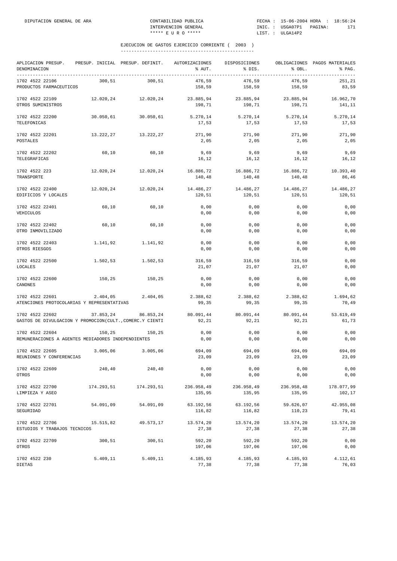| APLICACION PRESUP. PRESUP. INICIAL PRESUP. DEFINIT. AUTORIZACIONES<br>DENOMINACION |            |                     | % AUT.               | DISPOSICIONES<br>% DIS.       | % OBL.               | OBLIGACIONES PAGOS MATERIALES<br>% PAG. |
|------------------------------------------------------------------------------------|------------|---------------------|----------------------|-------------------------------|----------------------|-----------------------------------------|
| 1702 4522 22106<br>PRODUCTOS FARMACEUTICOS                                         | 300,51     | 300,51              | 476.59<br>158,59     | 476,59<br>158,59              | 476,59<br>158,59     | 251,21<br>83,59                         |
| 1702 4522 22109<br>OTROS SUMINISTROS                                               |            | 12.020,24 12.020,24 | 23.885,94<br>198,71  | 23.885,94 23.885,94<br>198,71 | 198,71               | 16.962,70<br>141,11                     |
| 1702 4522 22200<br>TELEFONICAS                                                     | 30.050,61  | 30.050, 61          | 5.270, 14<br>17,53   | 5.270,14 5.270,14<br>17,53    | 17,53                | 5.270,14<br>17,53                       |
| 1702 4522 22201<br><b>POSTALES</b>                                                 |            | 13.222,27 13.222,27 | 271,90<br>2,05       | 271,90<br>2,05                | 271,90<br>2,05       | 271,90<br>2,05                          |
| 1702 4522 22202<br>TELEGRAFICAS                                                    | 60,10      | 60,10               | 9,69<br>16,12        | 9,69<br>16,12                 | 9,69<br>16,12        | 9,69<br>16,12                           |
| 1702 4522 223<br>TRANSPORTE                                                        | 12.020,24  | 12.020,24           | 16.886,72<br>140,48  | 16.886,72<br>140,48           | 16.886,72<br>140,48  | 10.393,40<br>86,46                      |
| 1702 4522 22400<br>EDIFICIOS Y LOCALES                                             | 12.020,24  | 12.020,24           | 14.486,27<br>120,51  | 14.486,27<br>120,51           | 14.486,27<br>120,51  | 14.486,27<br>120,51                     |
| 1702 4522 22401<br>VEHICULOS                                                       | 60,10      | 60,10               | 0,00<br>0,00         | 0,00<br>0,00                  | 0,00<br>0,00         | 0,00<br>0,00                            |
| 1702 4522 22402<br>OTRO INMOVILIZADO                                               | 60,10      | 60,10               | 0,00<br>0,00         | 0,00<br>0,00                  | 0,00<br>0,00         | 0,00<br>0,00                            |
| 1702 4522 22403<br>OTROS RIESGOS                                                   | 1.141,92   | 1.141,92            | 0,00<br>0,00         | 0,00<br>0,00                  | 0,00<br>0,00         | 0,00<br>0,00                            |
| 1702 4522 22500<br>LOCALES                                                         | 1.502,53   | 1.502,53            | 316,59<br>21,07      | 316,59<br>21,07               | 316,59<br>21,07      | 0,00<br>0,00                            |
| 1702 4522 22600<br>CANONES                                                         | 150,25     | 150,25              | 0,00<br>0,00         | 0,00<br>0,00                  | 0,00<br>0,00         | 0,00<br>0,00                            |
| 1702 4522 22601<br>ATENCIONES PROTOCOLARIAS Y REPRESENTATIVAS                      | 2.404,05   | 2.404,05            | 2.388,62<br>99,35    | 2.388,62<br>99,35             | 2.388,62<br>99,35    | 1.694,62<br>70,49                       |
| 1702 4522 22602<br>GASTOS DE DIVULGACION Y PROMOCION(CULT., COMERC.Y CIENTI        | 37.853,24  | 86.853,24           | 80.091,44<br>92,21   | 80.091,44<br>92,21            | 80.091,44<br>92,21   | 53.619,49<br>61,73                      |
| 1702 4522 22604<br>REMUNERACIONES A AGENTES MEDIADORES INDEPENDIENTES              | 150,25     | 150,25              | 0,00<br>0,00         | 0,00<br>0,00                  | 0,00<br>0,00         | 0,00<br>0,00                            |
| 1702 4522 22605<br>REUNIONES Y CONFERENCIAS                                        | 3.005,06   | 3.005,06            | 694,09<br>23,09      | 694,09<br>23,09               | 694,09<br>23,09      | 694,09<br>23,09                         |
| 1702 4522 22609<br>OTROS                                                           | 240,40     | 240,40              | 0,00<br>0,00         | 0,00<br>0,00                  | 0,00<br>0,00         | 0,00<br>0,00                            |
| 1702 4522 22700<br>LIMPIEZA Y ASEO                                                 | 174.293,51 | 174.293,51          | 236.958,49<br>135,95 | 236.958,49<br>135,95          | 236.958,48<br>135,95 | 178.077,99<br>102,17                    |
| 1702 4522 22701<br>SEGURIDAD                                                       | 54.091,09  | 54.091,09           | 63.192,56<br>116,82  | 63.192,56<br>116,82           | 59.626,07<br>110,23  | 42.955,08<br>79,41                      |
| 1702 4522 22706<br>ESTUDIOS Y TRABAJOS TECNICOS                                    | 15.515,82  | 49.573,17           | 13.574,20<br>27,38   | 13.574,20<br>27,38            | 13.574,20<br>27,38   | 13.574,20<br>27,38                      |
| 1702 4522 22709<br>OTROS                                                           | 300,51     | 300,51              | 592,20<br>197,06     | 592,20<br>197,06              | 592,20<br>197,06     | 0,00<br>0,00                            |
| 1702 4522 230<br>DIETAS                                                            | 5.409,11   | 5.409,11            | 4.185,93<br>77,38    | 4.185,93<br>77,38             | 4.185,93<br>77,38    | 4.112,61<br>76,03                       |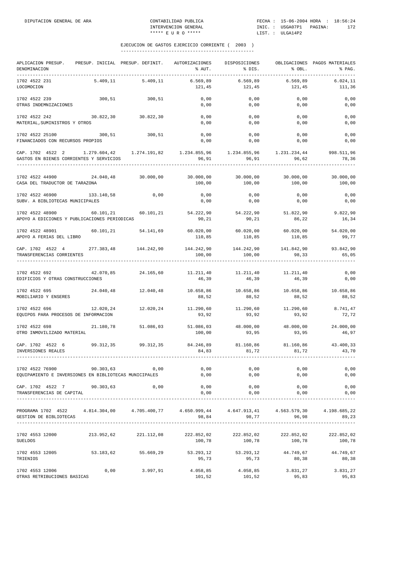| APLICACION PRESUP.<br>DENOMINACION<br>__________________________________                                                                                                               | PRESUP. INICIAL PRESUP. DEFINIT. |                       | AUTORIZACIONES<br>% AUT.                                                                                                                                                              | DISPOSICIONES<br>% DIS.                | % OBL.               | OBLIGACIONES PAGOS MATERIALES<br>% PAG. |
|----------------------------------------------------------------------------------------------------------------------------------------------------------------------------------------|----------------------------------|-----------------------|---------------------------------------------------------------------------------------------------------------------------------------------------------------------------------------|----------------------------------------|----------------------|-----------------------------------------|
| 1702 4522 231<br>LOCOMOCION                                                                                                                                                            | 5.409, 11                        | 5.409,11              | 6.569,89<br>121,45                                                                                                                                                                    | 6.569,89<br>121,45                     | 6.569,89<br>121,45   | 6.024,11<br>111,36                      |
| 1702 4522 239<br>OTRAS INDEMNIZACIONES                                                                                                                                                 |                                  | 300,51 300,51         | 0,00<br>0,00                                                                                                                                                                          | 0,00<br>0,00                           | 0,00<br>0,00         | 0,00<br>0,00                            |
| 1702 4522 242<br>MATERIAL, SUMINISTROS Y OTROS                                                                                                                                         | 30.822,30 30.822,30              |                       | 0,00<br>0,00                                                                                                                                                                          | 0,00<br>0,00                           | 0,00<br>0,00         | 0,00<br>0,00                            |
| 1702 4522 25100 300,51 300,51<br>FINANCIADOS CON RECURSOS PROPIOS                                                                                                                      |                                  |                       | 0,00<br>0,00                                                                                                                                                                          | 0,00<br>0,00                           | 0,00<br>0,00         | 0,00<br>0,00                            |
| CAP. 1702 4522 2 1.279.604,42 1.274.191,82 1.234.855,96 1.234.855,96 1.231.234,44 998.511,96<br>GASTOS EN BIENES CORRIENTES Y SERVICIOS                                                |                                  |                       |                                                                                                                                                                                       | 96,91 96,91 96,62                      |                      | 78,36                                   |
| 1702 4522 44900<br>CASA DEL TRADUCTOR DE TARAZONA                                                                                                                                      |                                  | 24.040,48 30.000,00   | 30.000,00 30.000,00<br>100,00                                                                                                                                                         | 100,00                                 | 30.000,00<br>100,00  | 30.000,00<br>100,00                     |
| 1702 4522 46900<br>SUBV. A BIBLIOTECAS MUNICIPALES                                                                                                                                     | 133.140,58                       | 0,00                  | 0,00<br>0,00                                                                                                                                                                          | 0,00<br>0,00                           | 0,00<br>0,00         | 0,00<br>0,00                            |
| $1702\ 4522\ 48900 \hskip 1.8cm 54.222,90 \hskip 1.8cm 54.222,90 \hskip 1.8cm 54.222,90 \hskip 1.8cm 54.222,90 \hskip 1.8cm 54.222,90$<br>APOYO A EDICIONES Y PUBLICACIONES PERIODICAS |                                  |                       | 90,21                                                                                                                                                                                 | 90,21                                  | 86,22                | 9.822,90<br>16,34                       |
| 1702 4522 48901<br>APOYO A FERIAS DEL LIBRO                                                                                                                                            | 60.101,21 54.141,69              |                       | 110,85                                                                                                                                                                                | $60.020,00$ $60.020,00$ $60.020,00$    | 110,85 110,85        | 54.020,00<br>99,77                      |
| CAP. 1702 4522 4<br>TRANSFERENCIAS CORRIENTES                                                                                                                                          |                                  | 277.383,48 144.242,90 | 144.242,90 144.242,90 141.842,90<br>100,00                                                                                                                                            | 100,00                                 | 98,33                | 93.842,90<br>65,05                      |
| 1702 4522 692<br>EDIFICIOS Y OTRAS CONSTRUCCIONES                                                                                                                                      |                                  |                       | ${\bf 42.070.85} \hspace{1.5cm} {\bf 24.165.60} \hspace{1.5cm} {\bf 11.211.40} \hspace{1.5cm} {\bf 11.211.40} \hspace{1.5cm} {\bf 11.211.40} \hspace{1.5cm} {\bf 11.211.40}$<br>46,39 | 46,39                                  | 46,39                | 0,00<br>0,00                            |
| 1702 4522 695<br>MOBILIARIO Y ENSERES                                                                                                                                                  | 24.040,48 12.040,48              |                       | 88,52                                                                                                                                                                                 | 10.658,86 10.658,86 10.658,86<br>88,52 | 88,52                | 10.658,86<br>88,52                      |
| 1702 4522 696<br>EQUIPOS PARA PROCESOS DE INFORMACION                                                                                                                                  | 12.020,24                        |                       | $12.020, 24$ $11.290, 60$ $11.290, 60$ $11.290, 60$<br>93,92                                                                                                                          | 93,92                                  | 93,92                | 8.741,47<br>72,72                       |
| 1702 4522 698<br>OTRO INMOVILIZADO MATERIAL                                                                                                                                            | 21.180,78                        | 51.086,03             | 51.086,03<br>100,00                                                                                                                                                                   | 48.000,00<br>93,95                     | 48.000,00<br>93,95   | 24.000,00<br>46,97                      |
| CAP. 1702 4522 6<br>INVERSIONES REALES                                                                                                                                                 |                                  |                       | 99.312,35  99.312,35  84.246,89  81.160,86  81.160,86<br>84,83                                                                                                                        | 81,72                                  | 81,72                | 43.400,33<br>43,70                      |
| 1702 4522 76900 90.303,63 0,00<br>EQUIPAMIENTO E INVERSIONES EN BIBLIOTECAS MUNICIPALES                                                                                                |                                  |                       | 0,00<br>0,00                                                                                                                                                                          | 0,00<br>0,00                           | 0,00<br>0,00         | 0,00<br>0,00                            |
| CAP. 1702 4522 7 90.303,63<br>TRANSFERENCIAS DE CAPITAL                                                                                                                                |                                  | 0,00                  | 0,00<br>0,00                                                                                                                                                                          | 0,00<br>0,00                           | 0,00<br>0,00         | 0,00<br>0,00                            |
| PROGRAMA 1702 4522 4.814.304,00 4.705.400,77 4.650.999,44 4.647.913,41 4.563.579,30 4.198.685,22<br>GESTION DE BIBLIOTECAS                                                             |                                  |                       |                                                                                                                                                                                       | 98,84 98,77 96,98                      |                      | 89,23                                   |
| 1702 4553 12000<br>SUELDOS                                                                                                                                                             |                                  | 213.952,62 221.112,08 | 100,78                                                                                                                                                                                | 222.852,02 222.852,02<br>100,78        | 222.852,02<br>100,78 | 222.852,02<br>100,78                    |
| $1702$ 4553 12005 $53.183,62$ 55.669,29 53.293,12 53.293,12 44.749,67 44.749,67<br>TRIENIOS                                                                                            |                                  |                       | 95,73                                                                                                                                                                                 | 95,73                                  | 80,38                | 80,38                                   |
| 1702 4553 12006<br>OTRAS RETRIBUCIONES BASICAS                                                                                                                                         | 0,00                             | 3.997,91              | 4.058,85<br>101,52                                                                                                                                                                    | 4.058,85<br>101,52                     | 3.831,27<br>95,83    | 3.831,27<br>95,83                       |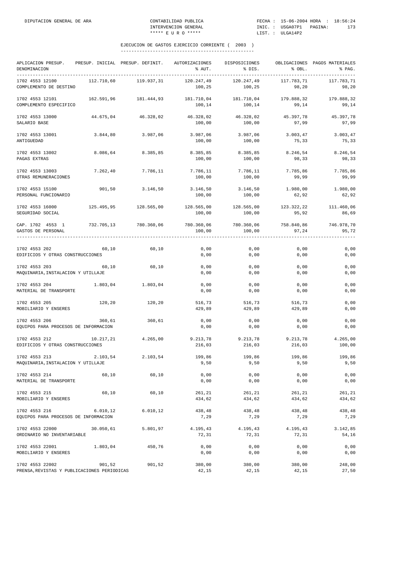| APLICACION PRESUP.<br>DENOMINACION<br>-------------            |            | PRESUP. INICIAL PRESUP. DEFINIT. | AUTORIZACIONES<br>% AUT. | DISPOSICIONES<br>% DIS. | % OBL.              | OBLIGACIONES PAGOS MATERIALES<br>% PAG.<br>--------- |
|----------------------------------------------------------------|------------|----------------------------------|--------------------------|-------------------------|---------------------|------------------------------------------------------|
| 1702 4553 12100<br>COMPLEMENTO DE DESTINO                      | 112.710,60 | 119.937,31                       | 120.247,49<br>100,25     | 120.247,49<br>100,25    | 117.783,71<br>98,20 | 117.783,71<br>98,20                                  |
| 1702 4553 12101<br>COMPLEMENTO ESPECIFICO                      | 162.591,96 | 181.444,93                       | 181.710,04<br>100,14     | 181.710,04<br>100,14    | 179.888,32<br>99,14 | 179.888,32<br>99,14                                  |
| 1702 4553 13000<br>SALARIO BASE                                | 44.675,04  | 46.328,02                        | 46.328,02<br>100,00      | 46.328,02<br>100,00     | 45.397,78<br>97,99  | 45.397,78<br>97,99                                   |
| 1702 4553 13001<br>ANTIGUEDAD                                  | 3.844,80   | 3.987,06                         | 3.987,06<br>100,00       | 3.987,06<br>100,00      | 3.003, 47<br>75,33  | 3.003,47<br>75,33                                    |
| 1702 4553 13002<br>PAGAS EXTRAS                                | 8.086,64   | 8.385,85                         | 8.385,85<br>100,00       | 8.385,85<br>100,00      | 8.246,54<br>98,33   | 8.246,54<br>98,33                                    |
| 1702 4553 13003<br>OTRAS REMUNERACIONES                        | 7.262,40   | 7.786,11                         | 7.786,11<br>100,00       | 7.786,11<br>100,00      | 7.785,86<br>99,99   | 7.785,86<br>99,99                                    |
| 1702 4553 15100<br>PERSONAL FUNCIONARIO                        | 901,50     | 3.146,50                         | 3.146,50<br>100,00       | 3.146,50<br>100,00      | 1.980,00<br>62,92   | 1.980,00<br>62,92                                    |
| 1702 4553 16000<br>SEGURIDAD SOCIAL                            | 125.495,95 | 128.565,00                       | 128.565,00<br>100,00     | 128.565,00<br>100,00    | 123.322,22<br>95,92 | 111.460,06<br>86,69                                  |
| CAP. 1702 4553 1<br>GASTOS DE PERSONAL                         | 732.705,13 | 780.360,06                       | 780.360,06<br>100,00     | 780.360,06<br>100,00    | 758.840,86<br>97,24 | 746.978,70<br>95,72                                  |
| 1702 4553 202<br>EDIFICIOS Y OTRAS CONSTRUCCIONES              | 60,10      | 60,10                            | 0,00<br>0,00             | 0,00<br>0,00            | 0,00<br>0,00        | 0,00<br>0,00                                         |
| 1702 4553 203<br>MAQUINARIA, INSTALACION Y UTILLAJE            | 60,10      | 60,10                            | 0,00<br>0,00             | 0,00<br>0,00            | 0,00<br>0,00        | 0,00<br>0,00                                         |
| 1702 4553 204<br>MATERIAL DE TRANSPORTE                        | 1.803,04   | 1.803,04                         | 0,00<br>0,00             | 0,00<br>0,00            | 0,00<br>0,00        | 0,00<br>0,00                                         |
| 1702 4553 205<br>MOBILIARIO Y ENSERES                          | 120,20     | 120,20                           | 516,73<br>429,89         | 516,73<br>429,89        | 516,73<br>429,89    | 0,00<br>0,00                                         |
| 1702 4553 206<br>EQUIPOS PARA PROCESOS DE INFORMACION          | 360,61     | 360.61                           | 0,00<br>0,00             | 0,00<br>0,00            | 0,00<br>0,00        | 0,00<br>0,00                                         |
| 1702 4553 212<br>EDIFICIOS Y OTRAS CONSTRUCCIONES              | 10.217,21  | 4.265,00                         | 9.213,78<br>216,03       | 9.213,78<br>216,03      | 9.213,78<br>216,03  | 4.265,00<br>100,00                                   |
| 1702 4553 213<br>MAQUINARIA, INSTALACION Y UTILLAJE            | 2.103,54   | 2.103,54                         | 199,86<br>9,50           | 199,86<br>9,50          | 199,86<br>9,50      | 199,86<br>9,50                                       |
| 1702 4553 214<br>MATERIAL DE TRANSPORTE                        | 60,10      | 60,10                            | 0,00<br>0,00             | 0,00<br>0,00            | 0,00<br>0,00        | 0,00<br>0,00                                         |
| 1702 4553 215<br>MOBILIARIO Y ENSERES                          | 60,10      | 60,10                            | 261,21<br>434,62         | 261,21<br>434,62        | 261,21<br>434,62    | 261,21<br>434,62                                     |
| 1702 4553 216<br>EQUIPOS PARA PROCESOS DE INFORMACION          | 6.010, 12  | 6.010, 12                        | 438,48<br>7,29           | 438,48<br>7,29          | 438,48<br>7,29      | 438,48<br>7,29                                       |
| 1702 4553 22000<br>ORDINARIO NO INVENTARIABLE                  | 30.050,61  | 5.801,97                         | 4.195,43<br>72,31        | 4.195,43<br>72,31       | 4.195,43<br>72,31   | 3.142,85<br>54,16                                    |
| 1702 4553 22001<br>MOBILIARIO Y ENSERES                        | 1.803,04   | 450,76                           | 0,00<br>0,00             | 0,00<br>0,00            | 0,00<br>0,00        | 0,00<br>0,00                                         |
| 1702 4553 22002<br>PRENSA, REVISTAS Y PUBLICACIONES PERIODICAS | 901,52     | 901,52                           | 380,00<br>42,15          | 380,00<br>42,15         | 380,00<br>42,15     | 248,00<br>27,50                                      |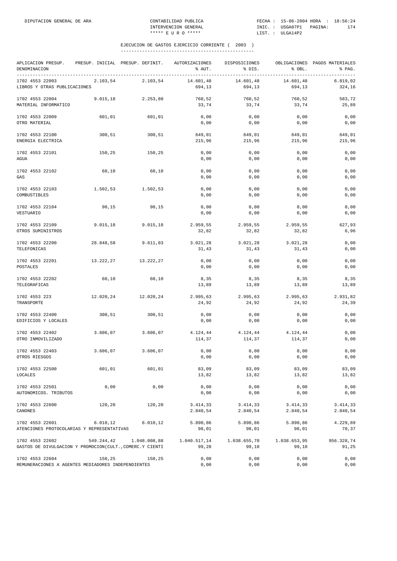| APLICACION PRESUP. PRESUP. INICIAL PRESUP. DEFINIT. AUTORIZACIONES<br>DENOMINACION |            |              | % AUT.                | DISPOSICIONES<br>% DIS. | % OBL.                | OBLIGACIONES PAGOS MATERIALES<br>% PAG.  |
|------------------------------------------------------------------------------------|------------|--------------|-----------------------|-------------------------|-----------------------|------------------------------------------|
| 1702 4553 22003<br>LIBROS Y OTRAS PUBLICACIONES                                    | 2.103,54   | 2.103,54     | 14.601,48<br>694,13   | 14.601,48<br>694,13     | 14.601,48<br>694,13   | 6.819,02<br>324,16                       |
| 1702 4553 22004<br>MATERIAL INFORMATICO                                            | 9.015, 18  | 2.253,80     | 760,52<br>33,74       | 760,52<br>33,74         | 760,52<br>33,74       | 583,72<br>25,89                          |
| 1702 4553 22009<br>OTRO MATERIAL                                                   | 601,01     | 601,01       | 0,00<br>0,00          | 0,00<br>0,00            | 0,00<br>0,00          | 0,00<br>0,00                             |
| 1702 4553 22100<br>ENERGIA ELECTRICA                                               | 300,51     | 300,51       | 649,01<br>215,96      | 649,01<br>215,96        | 649,01<br>215,96      | 649,01<br>215,96                         |
| 1702 4553 22101<br>AGUA                                                            | 150,25     | 150,25       | 0,00<br>0,00          | 0,00<br>0,00            | 0,00<br>0,00          | 0,00<br>0,00                             |
| 1702 4553 22102<br>GAS                                                             | 60,10      | 60,10        | 0,00<br>0,00          | 0,00<br>0,00            | 0,00<br>0,00          | 0,00<br>0,00                             |
| 1702 4553 22103<br>COMBUSTIBLES                                                    | 1.502,53   | 1.502,53     | 0,00<br>0,00          | 0,00<br>0,00            | 0,00<br>0,00          | 0,00<br>0,00                             |
| 1702 4553 22104<br>VESTUARIO                                                       | 90,15      | 90, 15       | 0,00<br>0,00          | 0,00<br>0,00            | 0,00<br>0,00          | 0,00<br>0,00                             |
| 1702 4553 22109<br>OTROS SUMINISTROS                                               | 9.015,18   | 9.015, 18    | 2.959,55<br>32,82     | 2.959,55<br>32,82       | 2.959,55<br>32,82     | 627,93<br>6,96                           |
| 1702 4553 22200<br>TELEFONICAS                                                     | 28.848,58  | 9.611,03     | 3.021,28<br>31,43     | 3.021,28<br>31,43       | 3.021,28<br>31,43     | 0,00<br>0,00                             |
| 1702 4553 22201<br>POSTALES                                                        | 13.222,27  | 13.222,27    | 0,00<br>0,00          | 0,00<br>0,00            | 0,00<br>0,00          | 0,00<br>0,00                             |
| 1702 4553 22202<br>TELEGRAFICAS                                                    | 60,10      | 60,10        | 8,35<br>13,89         | 8,35<br>13,89           | 8,35<br>13,89         | 8,35<br>13,89                            |
| 1702 4553 223<br>TRANSPORTE                                                        | 12.020,24  | 12.020,24    | 2.995,63<br>24,92     | 2.995,63<br>24,92       | 2.995,63<br>24,92     | 2.931,82<br>24,39                        |
| 1702 4553 22400<br>EDIFICIOS Y LOCALES                                             | 300,51     | 300,51       | 0,00<br>0,00          | 0,00<br>0,00            | 0,00<br>0,00          | 0,00<br>0,00                             |
| 1702 4553 22402                                                                    | 3.606,07   | 3.606,07     | 4.124,44              | 4.124,44                | 4.124.44              | 0,00                                     |
| OTRO INMOVILIZADO<br>1702 4553 22403                                               | 3.606,07   | 3.606,07     | 114,37<br>0,00        | 114,37<br>0,00          | 114,37<br>0,00        | 0,00<br>0,00                             |
| OTROS RIESGOS<br>1702 4553 22500                                                   | 601,01     | 601,01       | 0,00<br>83,09         | 0,00<br>83,09           | $0$ , $0\,0$<br>83,09 | ${\bf 0}$ , ${\bf 0}$ ${\bf 0}$<br>83,09 |
| LOCALES<br>1702 4553 22501                                                         | 0,00       | 0,00         | 13,82<br>0,00         | 13,82<br>0,00           | 13,82<br>0,00         | 13,82<br>0,00                            |
| AUTONOMICOS. TRIBUTOS                                                              |            |              | 0,00                  | 0,00                    | 0,00                  | 0,00                                     |
| 1702 4553 22600<br>CANONES                                                         | 120,20     | 120,20       | 3.414,33<br>2.840,54  | 3.414, 33<br>2.840,54   | 3.414,33<br>2.840,54  | 3.414,33<br>2.840,54                     |
| 1702 4553 22601<br>ATENCIONES PROTOCOLARIAS Y REPRESENTATIVAS                      | 6.010, 12  | 6.010, 12    | 5.890,86<br>98,01     | 5.890,86<br>98,01       | 5.890,86<br>98,01     | 4.229,89<br>70,37                        |
| 1702 4553 22602<br>GASTOS DE DIVULGACION Y PROMOCION(CULT., COMERC.Y CIENTI        | 549.244,42 | 1.048.008,88 | 1.040.517,14<br>99,28 | 1.038.655,70<br>99,10   | 1.038.653,95<br>99,10 | 956.328,74<br>91,25                      |
| 1702 4553 22604<br>REMUNERACIONES A AGENTES MEDIADORES INDEPENDIENTES              | 150,25     | 150,25       | 0,00<br>0,00          | 0,00<br>0,00            | 0,00<br>0,00          | 0,00<br>0,00                             |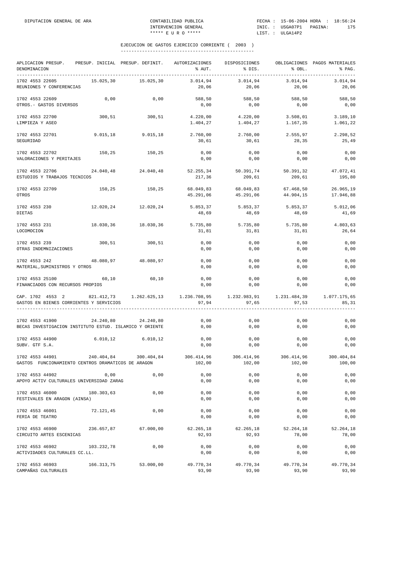| APLICACION PRESUP.<br>DENOMINACION<br>----------                           | PRESUP. INICIAL PRESUP. DEFINIT. |                       | AUTORIZACIONES<br>% AUT.                                                | DISPOSICIONES<br>$\frac{1}{2}$ DIS. | % OBL.                 | OBLIGACIONES PAGOS MATERIALES<br>% PAG. |
|----------------------------------------------------------------------------|----------------------------------|-----------------------|-------------------------------------------------------------------------|-------------------------------------|------------------------|-----------------------------------------|
| 1702 4553 22605<br>REUNIONES Y CONFERENCIAS                                | 15.025,30                        | 15.025,30             | 3.014,94<br>20,06                                                       | 3.014,94<br>20,06                   | 3.014,94<br>20,06      | 3.014,94<br>20,06                       |
| 1702 4553 22609<br>OTROS.- GASTOS DIVERSOS                                 | 0,00                             | 0,00                  | 588,50<br>0,00                                                          | 588,50<br>0,00                      | 588,50<br>0,00         | 588,50<br>0,00                          |
| 1702 4553 22700<br>LIMPIEZA Y ASEO                                         | 300,51                           | 300, 51               | 4.220,00<br>1.404,27                                                    | 4.220,00<br>1.404,27                | 3.508,01<br>1.167,35   | 3.189, 10<br>1.061,22                   |
| 1702 4553 22701<br>SEGURIDAD                                               | 9.015,18                         | 9.015, 18             | 2.760,00<br>30,61                                                       | 2.760,00<br>30,61                   | 2.555,97<br>28,35      | 2.298,52<br>25,49                       |
| 1702 4553 22702<br>VALORACIONES Y PERITAJES                                | 150,25                           | 150, 25               | 0,00<br>0,00                                                            | 0,00<br>0,00                        | 0,00<br>0,00           | 0,00<br>$0$ , $00$                      |
| 1702 4553 22706<br>ESTUDIOS Y TRABAJOS TECNICOS                            |                                  | 24.040,48 24.040,48   | 52.255,34<br>217,36                                                     | 50.391,74<br>209,61                 | 50.391,32<br>209,61    | 47.072,41<br>195,80                     |
| 1702 4553 22709<br><b>OTROS</b>                                            | 150, 25                          | 150, 25               | 68.049,83<br>45.291,06                                                  | 68.049,83<br>45.291,06              | 67.468,50<br>44.904,15 | 26.965,19<br>17.946,88                  |
| 1702 4553 230<br><b>DIETAS</b>                                             |                                  | 12.020,24 12.020,24   | 5.853,37<br>48,69                                                       | 5.853,37<br>48,69                   | 5.853,37<br>48,69      | 5.012,06<br>41,69                       |
| 1702 4553 231<br>LOCOMOCION                                                | 18.030,36                        | 18.030,36             | 5.735,80<br>31,81                                                       | 5.735,80<br>31,81                   | 5.735,80<br>31,81      | 4.803,63<br>26,64                       |
| 1702 4553 239<br>OTRAS INDEMNIZACIONES                                     | 300,51                           | 300,51                | 0,00<br>0,00                                                            | 0,00<br>0,00                        | 0,00<br>0,00           | 0,00<br>0,00                            |
| 1702 4553 242<br>MATERIAL, SUMINISTROS Y OTROS                             | 48.080,97 48.080,97              |                       | 0,00<br>0,00                                                            | 0,00<br>0,00                        | 0,00<br>0,00           | 0,00<br>0,00                            |
| 1702 4553 25100<br>FINANCIADOS CON RECURSOS PROPIOS                        | 60,10                            | 60,10                 | 0,00<br>0,00                                                            | 0,00<br>0,00                        | 0,00<br>0,00           | 0,00<br>0,00                            |
| CAP. 1702 4553 2<br>GASTOS EN BIENES CORRIENTES Y SERVICIOS                |                                  |                       | 821.412,73 1.262.625,13 1.236.708,95 1.232.983,91 1.231.484,39<br>97,94 | 97,65                               | 97,53                  | 1.077.175,65<br>85,31                   |
| 1702 4553 41900<br>BECAS INVESTIGACION INSTITUTO ESTUD. ISLAMICO Y ORIENTE | 24.240,80                        | 24.240,80             | 0,00<br>0,00                                                            | 0,00<br>0,00                        | 0,00<br>0,00           | 0,00<br>0,00                            |
| 1702 4553 44900<br>SUBV. GTF S.A.                                          |                                  | 6.010,12 6.010,12     | 0,00<br>0,00                                                            | 0,00<br>0,00                        | 0,00<br>0,00           | 0,00<br>0,00                            |
| 1702 4553 44901<br>GASTOS FUNCIONAMIENTO CENTROS DRAMATICOS DE ARAGON      |                                  | 240.404,84 300.404,84 | 306.414,96<br>102,00                                                    | 306.414,96<br>102,00                | 306.414,96<br>102,00   | 300.404,84<br>100,00                    |
| 1702 4553 44902<br>APOYO ACTIV CULTURALES UNIVERSIDAD ZARAG                | 0,00                             | 0,00                  | 0,00<br>0,00                                                            | 0,00<br>0,00                        | 0,00<br>0,00           | 0,00<br>0,00                            |
| 1702 4553 46000<br>FESTIVALES EN ARAGON (AINSA)                            | 180.303,63                       | 0,00                  | 0,00<br>0,00                                                            | 0,00<br>0,00                        | 0,00<br>0,00           | 0,00<br>0,00                            |
| 1702 4553 46001<br>FERIA DE TEATRO                                         | 72.121,45                        | 0,00                  | 0,00<br>0,00                                                            | 0,00<br>0,00                        | 0,00<br>0,00           | 0,00<br>0,00                            |
| 1702 4553 46900<br>CIRCUITO ARTES ESCENICAS                                | 236.657,87                       | 67.000,00             | 62.265,18<br>92,93                                                      | 62.265,18<br>92,93                  | 52.264,18<br>78,00     | 52.264,18<br>78,00                      |
| 1702 4553 46902<br>ACTIVIDADES CULTURALES CC.LL.                           | 103.232,78                       | 0,00                  | 0,00<br>0,00                                                            | 0,00<br>0,00                        | 0,00<br>0,00           | 0,00<br>0,00                            |
| 1702 4553 46903<br>CAMPAÑAS CULTURALES                                     | 166.313,75                       | 53.000,00             | 49.770,34<br>93,90                                                      | 49.770,34<br>93,90                  | 49.770,34<br>93,90     | 49.770,34<br>93,90                      |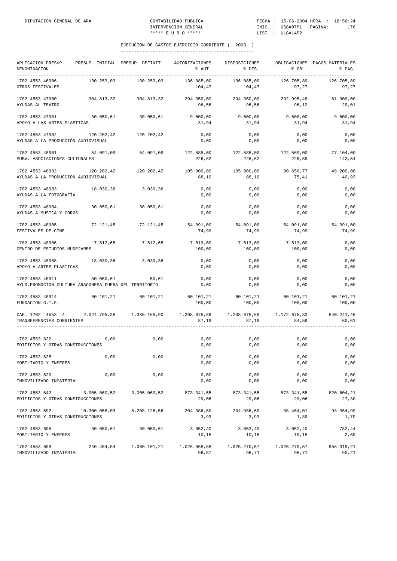| APLICACION PRESUP.<br>DENOMINACION<br>-----------                                                                         |               | PRESUP. INICIAL PRESUP. DEFINIT. | AUTORIZACIONES<br>% AUT.        | DISPOSICIONES<br>% DIS.       | % OBL.                | OBLIGACIONES PAGOS MATERIALES<br>% PAG. |
|---------------------------------------------------------------------------------------------------------------------------|---------------|----------------------------------|---------------------------------|-------------------------------|-----------------------|-----------------------------------------|
| 1702 4553 46906<br>OTROS FESTIVALES                                                                                       | 130.253,03    | 130.253,03                       | 136.085,00<br>104,47            | 136.085,00<br>104,47          | 126.705,89<br>97,27   | 126.705,89<br>97,27                     |
| 1702 4553 47900<br>AYUDAS AL TEATRO                                                                                       | 304.813,32    | 304.813,32                       | 294.350,00<br>96,56             | 294.350,00<br>96,56           | 292.995,48<br>96, 12  | 61.000,00<br>20,01                      |
| 1702 4553 47901<br>APOYO A LAS ARTES PLASTICAS                                                                            |               | $30.050,61$ 30.050,61            | 9.600,00<br>31,94               | 9.600,00<br>31,94             | 9.600,00<br>31,94     | 9.600,00<br>31,94                       |
| 1702 4553 47902<br>AYUDAS A LA PRODUCCIÓN AUDIOVISUAL                                                                     |               | 120.202,42 120.202,42            | 0,00<br>0,00                    | 0,00<br>0,00                  | 0,00<br>0,00          | 0,00<br>0,00                            |
| 1702 4553 48901<br>SUBV. ASOCIACIONES CULTURALES                                                                          | 54.091,09     | 54.091,09                        | 122.585,00 122.585,00<br>226,62 | 226,62                        | 122.569,00<br>226,59  | 77.104,00<br>142,54                     |
| 1702 4553 48902<br>AYUDAS A LA PRODUCCIÓN AUDIOVISUAL                                                                     | 120.202,42    | 120.202,42                       | 105.900,00<br>88,10             | 105.900,00<br>88,10           | 90.650,77<br>75,41    | 49.200,00<br>40,93                      |
| 1702 4553 48903<br>AYUDAS A LA FOTOGRAFÍA                                                                                 | 18.030,36     | 3.030,36                         | 0,00<br>0,00                    | 0,00<br>0,00                  | 0,00<br>0,00          | 0,00<br>0,00                            |
| 1702 4553 48904<br>AYUDAS A MUSICA Y COROS                                                                                | 30.050,61     | 30.050,61                        | 0,00<br>0,00                    | 0,00<br>0,00                  | 0,00<br>0,00          | 0,00<br>0,00                            |
| 1702 4553 48905<br>FESTIVALES DE CINE                                                                                     | 72.121,45     | 72.121,45                        | 54.091,00<br>74,99              | 54.091,00<br>74,99            | 54.091,00<br>74,99    | 54.091,00<br>74,99                      |
| 1702 4553 48906<br>CENTRO DE ESTUDIOS MUDEJARES                                                                           | 7.512,65      | 7.512,65                         | 7.513,00<br>100,00              | 7.513,00<br>100,00            | 7.513,00<br>100,00    | 0,00<br>0,00                            |
| 1702 4553 48908 18.030,36 3.030,36<br>APOYO A ARTES PLASTICAS                                                             |               |                                  | 0,00<br>0,00                    | 0,00<br>0,00                  | 0,00<br>0,00          | 0,00<br>0,00                            |
| 1702 4553 48911<br>AYUD. PROMOCION CULTURA ARAGONESA FUERA DEL TERRITORIO                                                 | 30.050,61     | 50,61                            | 0,00<br>0,00                    | 0,00<br>0,00                  | 0,00<br>0,00          | 0,00<br>0,00                            |
| 1702 4553 48914<br>FUNDACIÓN G.T.F.                                                                                       | 60.101,21     | 60.101,21                        | 100,00                          | 60.101,21 60.101,21<br>100,00 | 60.101,21<br>100,00   | 60.101,21<br>100,00                     |
| CAP. 1702 4553 4 2.024.795,38 1.386.165,90 1.208.675,69 1.208.675,69 1.172.675,83 840.241,46<br>TRANSFERENCIAS CORRIENTES |               |                                  | 87,19                           | 87,19                         | 84,59                 | 60,61                                   |
| 1702 4553 622<br>EDIFICIOS Y OTRAS CONSTRUCCIONES                                                                         | 0,00          | 0,00                             | 0,00<br>0,00                    | 0,00<br>0,00                  | 0,00<br>0,00          | 0,00<br>0,00                            |
| 1702 4553 625<br>MOBILIARIO Y ENSERES                                                                                     | 0,00          | 0,00                             | 0,00<br>$0,00$                  | 0,00<br>0,00                  | 0,00<br>0,00          | 0,00<br>0,00                            |
| 1702 4553 629<br>INMOVILIZADO INMATERIAL                                                                                  | 0,00          | 0,00                             | 0,00<br>0,00                    | 0,00<br>0,00                  | 0,00<br>0,00          | 0,00<br>0,00                            |
| 1702 4553 642<br>EDIFICIOS Y OTRAS CONSTRUCCIONES                                                                         | 3.005.060,52  | 3.005.060,52                     | 873.341,55<br>29,06             | 873.341,55<br>29,06           | 873.341,55<br>29,06   | 820.604,21<br>27,30                     |
| 1702 4553 692<br>EDIFICIOS Y OTRAS CONSTRUCCIONES                                                                         | 10.300.058,03 | 5.208.126,56                     | 204.986,60<br>3,93              | 204.986,60<br>3,93            | 98.464,01<br>1,89     | 93.364,99<br>1,79                       |
| 1702 4553 695<br>MOBILIARIO Y ENSERES                                                                                     | 30.050,61     | 30.050,61                        | 3.052, 40<br>10,15              | 3.052, 40<br>10,15            | 3.052, 40<br>10,15    | 782,44<br>2,60                          |
| 1702 4553 699<br>INMOVILIZADO INMATERIAL                                                                                  | 240.404,84    | 1.060.101,21                     | 1.026.968,88<br>96,87           | 1.025.270,57<br>96,71         | 1.025.270,57<br>96,71 | 956.319,21<br>90,21                     |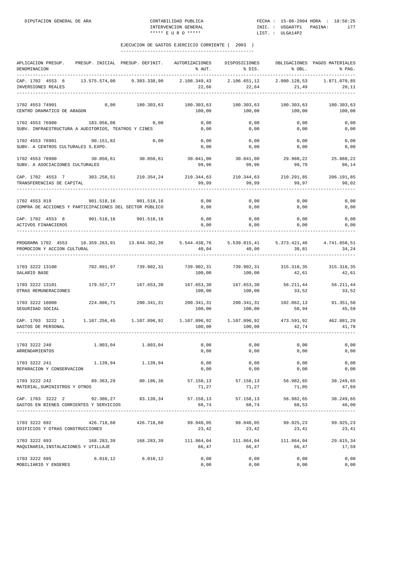| APLICACION PRESUP.<br>DENOMINACION                                       |               | PRESUP. INICIAL PRESUP. DEFINIT. | AUTORIZACIONES<br>% AUT. | DISPOSICIONES<br>% DIS.                  | % OBL.                | OBLIGACIONES PAGOS MATERIALES<br>% PAG. |
|--------------------------------------------------------------------------|---------------|----------------------------------|--------------------------|------------------------------------------|-----------------------|-----------------------------------------|
| CAP. 1702 4553 6<br>INVERSIONES REALES                                   | 13.575.574,00 | 9.303.338,90                     | 2.108.349,43<br>22,66    | 2.106.651,12<br>22,64                    | 2.000.128,53<br>21,49 | 1.871.070,85<br>20,11                   |
| 1702 4553 74901<br>CENTRO DRAMATICO DE ARAGON                            | 0,00          | 180.303,63                       | 180.303,63<br>100,00     | 180.303,63<br>100,00                     | 180.303,63<br>100,00  | 180.303,63<br>100,00                    |
| 1702 4553 76900<br>SUBV. INFRAESTRUCTURA A AUDITORIOS, TEATROS Y CINES   | 183.056,08    | 0,00                             | 0,00<br>0,00             | 0,00<br>0,00                             | 0,00<br>0,00          | 0,00<br>0,00                            |
| 1702 4553 76901<br>SUBV. A CENTROS CULTURALES S.EXPO.                    | 90.151,82     | 0,00                             | 0,00<br>0,00             | 0,00<br>0,00                             | 0,00<br>0,00          | 0,00<br>0,00                            |
| 1702 4553 78900<br>SUBV. A ASOCIACIONES CULTURALES                       | 30.050,61     | 30.050,61                        | 30.041,00<br>99,96       | 30.041,00<br>99,96                       | 29.988,22<br>99,79    | 25.888,22<br>86,14                      |
| CAP. 1702 4553 7<br>TRANSFERENCIAS DE CAPITAL                            |               | 303.258,51 210.354,24            | 210.344,63<br>99,99      | 210.344,63<br>99,99                      | 210.291,85<br>99,97   | 206.191,85<br>98,02                     |
| 1702 4553 819<br>COMPRA DE ACCIONES Y PARTICIPACIONES DEL SECTOR PÚBLICO | 901.518,16    | 901.518,16                       | 0,00<br>0,00             | 0,00<br>0,00                             | 0,00<br>0,00          | 0,00<br>0,00                            |
| CAP. 1702 4553 8<br>ACTIVOS FINANCIEROS                                  |               | 901.518,16 901.518,16            | 0,00<br>0,00             | 0,00<br>0,00                             | 0,00<br>0,00          | 0,00<br>0,00                            |
| PROGRAMA 1702 4553<br>PROMOCION Y ACCION CULTURAL                        |               | 18.359.263,91   13.844.362,39    | 5.544.438,76<br>40,04    | 5.539.015,41<br>40,00                    | 5.373.421,46<br>38,81 | 4.741.658,51<br>34,24                   |
| 1703 3222 13100<br>SALARIO BASE                                          | 782.891,97    | 739.902,31                       | 739.902,31<br>100,00     | 739.902,31<br>100,00                     | 315.318,35<br>42,61   | 315.318,35<br>42,61                     |
| 1703 3222 13101<br>OTRAS REMUNERACIONES                                  | 179.557,77    | 167.653,30                       | 167.653,30<br>100,00     | 167.653,30<br>100,00                     | 56.211,44<br>33,52    | 56.211,44<br>33,52                      |
| 1703 3222 16000<br>SEGURIDAD SOCIAL                                      | 224.806,71    | 200.341,31                       | 200.341,31<br>100,00     | 200.341,31<br>100,00                     | 102.062,13<br>50,94   | 91.351,50<br>45,59                      |
| CAP. 1703 3222 1<br>GASTOS DE PERSONAL                                   |               | 1.187.256,45 1.107.896,92        | 1.107.896,92<br>100,00   | 1.107.896,92<br>100,00                   | 473.591,92<br>42,74   | 462.881,29<br>41,78                     |
| 1703 3222 240<br>ARRENDAMIENTOS                                          |               | 1.803,04 1.803,04                | 0,00<br>0,00             | 0,00<br>0,00                             | 0,00<br>0,00          | 0,00<br>0,00                            |
| 1703 3222 241<br>REPARACION Y CONSERVACION                               | 1.139,94      | 1.139,94                         | 0,00<br>0,00             | 0,00<br>0,00                             | 0,00<br>0,00          | 0,00<br>0,00                            |
| 1703 3222 242<br>MATERIAL, SUMINISTROS Y OTROS                           | 89.363,29     | 80.196,36                        | 57.158,13<br>71,27       | 57.158,13<br>71,27                       | 56.982,65<br>71,05    | 38.249,65<br>47,69                      |
| CAP. 1703 3222 2<br>GASTOS EN BIENES CORRIENTES Y SERVICIOS              | 92.306,27     | 83.139,34                        | 57.158,13<br>68,74       | 57.158,13<br>68,74<br>------------------ | 56.982,65<br>68,53    | 38.249,65<br>46,00                      |
| 1703 3222 692<br>EDIFICIOS Y OTRAS CONSTRUCCIONES                        | 426.718,60    | 426.718,60                       | 99.940,05<br>23,42       | 99.940,05<br>23,42                       | 99.925,23<br>23,41    | 99.925,23<br>23,41                      |
| 1703 3222 693<br>MAQUINARIA, INSTALACIONES Y UTILLAJE                    | 168.283,39    | 168.283,39                       | 111.864,04<br>66,47      | 111.864,04<br>66,47                      | 111.864,04<br>66,47   | 29.615,34<br>17,59                      |
| 1703 3222 695<br>MOBILIARIO Y ENSERES                                    | 6.010, 12     | 6.010, 12                        | 0,00<br>0,00             | 0,00<br>0,00                             | 0,00<br>0,00          | 0,00<br>0,00                            |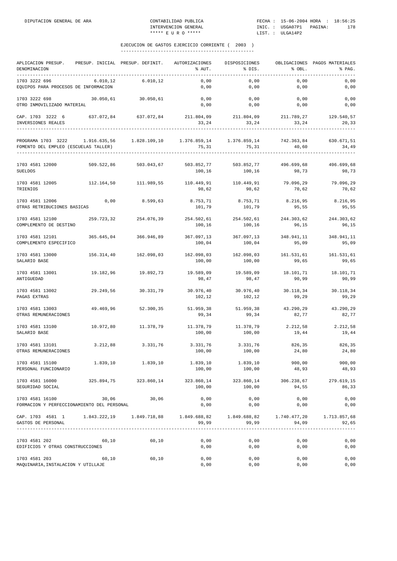| APLICACION PRESUP.<br>DENOMINACION<br>__________                                                                                     |            | PRESUP. INICIAL PRESUP. DEFINIT. | AUTORIZACIONES<br>% AUT.                   | DISPOSICIONES<br>% DIS. | % OBL.              | OBLIGACIONES PAGOS MATERIALES<br>% PAG. |
|--------------------------------------------------------------------------------------------------------------------------------------|------------|----------------------------------|--------------------------------------------|-------------------------|---------------------|-----------------------------------------|
| 1703 3222 696<br>EQUIPOS PARA PROCESOS DE INFORMACION                                                                                | 6.010, 12  | 6.010,12                         | 0,00<br>0,00                               | 0,00<br>0,00            | 0,00<br>0,00        | 0,00<br>0,00                            |
| 1703 3222 698<br>OTRO INMOVILIZADO MATERIAL                                                                                          |            | 30.050,61 30.050,61              | 0,00<br>0,00                               | 0,00<br>0,00            | 0,00<br>0,00        | 0,00<br>0,00                            |
| CAP. 1703 3222 6 637.072,84 637.072,84 211.804,09 211.804,09 211.789,27 129.540,57<br>INVERSIONES REALES                             |            |                                  | 33,24                                      | 33,24                   | 33,24               | 20,33                                   |
| PROGRAMA 1703 3222 1.916.635,56 1.828.109,10 1.376.859,14 1.376.859,14 742.363,84 630.671,51<br>FOMENTO DEL EMPLEO (ESCUELAS TALLER) |            |                                  | 75,31                                      | 75,31                   | 40,60               | 34,49                                   |
| 1703 4581 12000<br><b>SUELDOS</b>                                                                                                    |            | 509.522,86 503.043,67            | 503.852,77 503.852,77 496.699,68<br>100,16 | 100,16                  | 98,73               | 496.699,68<br>98,73                     |
| 1703 4581 12005<br>TRIENIOS                                                                                                          | 112.164,50 | 111.989,55                       | 110.449,91<br>98,62                        | 110.449,91<br>98,62     | 79.096,29<br>70,62  | 79.096,29<br>70,62                      |
| 1703 4581 12006<br>OTRAS RETRIBUCIONES BASICAS                                                                                       | 0,00       | 8.599,63                         | 8.753,71<br>101,79                         | 8.753,71<br>101,79      | 8.216,95<br>95,55   | 8.216,95<br>95,55                       |
| 1703 4581 12100<br>COMPLEMENTO DE DESTINO                                                                                            | 259.723,32 | 254.076,39                       | 254.502,61<br>100,16                       | 254.502,61<br>100,16    | 244.303,62<br>96,15 | 244.303,62<br>96,15                     |
| 1703 4581 12101<br>COMPLEMENTO ESPECIFICO                                                                                            |            | 365.645,04 366.946,89            | 367.097,13<br>100,04                       | 367.097,13<br>100,04    | 348.941,11<br>95,09 | 348.941,11<br>95,09                     |
| 1703 4581 13000<br>SALARIO BASE                                                                                                      | 156.314,40 | 162.098,03                       | 162.098,03<br>100,00                       | 162.098,03<br>100,00    | 161.531,61<br>99,65 | 161.531,61<br>99,65                     |
| 1703 4581 13001<br>ANTIGUEDAD                                                                                                        | 19.182,96  | 19.892,73                        | 19.589,09<br>98,47                         | 19.589,09<br>98,47      | 18.101,71<br>90,99  | 18.101,71<br>90,99                      |
| 1703 4581 13002<br>PAGAS EXTRAS                                                                                                      | 29.249,56  | 30.331,79                        | 30.976,40<br>102,12                        | 30.976,40<br>102,12     | 30.118,34<br>99,29  | 30.118,34<br>99,29                      |
| 1703 4581 13003<br>OTRAS REMUNERACIONES                                                                                              | 49.469,96  | 52.300,35                        | 51.959,38<br>99,34                         | 51.959,38<br>99,34      | 43.290,29<br>82,77  | 43.290,29<br>82,77                      |
| 1703 4581 13100<br>SALARIO BASE                                                                                                      | 10.972,80  | 11.378,79                        | 11.378,79<br>100,00                        | 11.378,79<br>100,00     | 2.212,58<br>19,44   | 2.212,58<br>19,44                       |
| 1703 4581 13101<br>OTRAS REMUNERACIONES                                                                                              | 3.212,88   | 3.331,76                         | 3.331,76<br>100,00                         | 3.331,76<br>100,00      | 826,35<br>24,80     | 826,35<br>24,80                         |
| 1703 4581 15100<br>PERSONAL FUNCIONARIO                                                                                              | 1.839,10   | 1.839, 10                        | 1.839,10<br>100,00                         | 1.839,10<br>100,00      | 900,00<br>48,93     | 900,00<br>48,93                         |
| 1703 4581 16000<br>SEGURIDAD SOCIAL                                                                                                  |            | 325.894,75 323.860,14            | 323.860,14<br>100,00                       | 323.860,14<br>100,00    | 306.238,67<br>94,55 | 279.619,15<br>86,33                     |
| 1703 4581 16100<br>FORMACION Y PERFECCIONAMIENTO DEL PERSONAL                                                                        | 30,06      | 30,06                            | 0,00<br>0,00                               | 0,00<br>0,00            | 0,00<br>0,00        | 0,00<br>0,00                            |
| CAP. 1703 4581 1 1.843.222,19 1.849.718,88 1.849.688,82 1.849.688,82 1.740.477,20 1.713.857,68<br>GASTOS DE PERSONAL                 |            |                                  | 99,99                                      | 99,99                   | 94,09               | 92,65                                   |
| 1703 4581 202<br>EDIFICIOS Y OTRAS CONSTRUCCIONES                                                                                    | 60, 10     | 60,10                            | 0,00<br>0,00                               | 0,00<br>0,00            | 0,00<br>0,00        | 0,00<br>0,00                            |
| 1703 4581 203<br>MAQUINARIA, INSTALACION Y UTILLAJE                                                                                  | 60,10      | 60,10                            | 0,00<br>0,00                               | 0,00<br>0,00            | 0,00<br>0,00        | 0,00<br>0,00                            |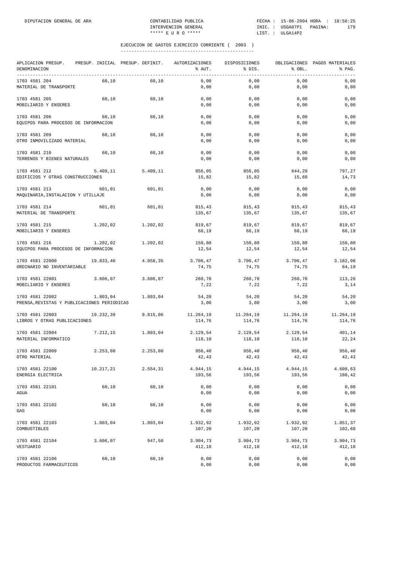| APLICACION PRESUP.<br>DENOMINACION<br>________________________________ |           | PRESUP. INICIAL PRESUP. DEFINIT. | AUTORIZACIONES<br>% AUT. | DISPOSICIONES<br>% DIS. | % OBL.              | OBLIGACIONES PAGOS MATERIALES<br>% PAG. |
|------------------------------------------------------------------------|-----------|----------------------------------|--------------------------|-------------------------|---------------------|-----------------------------------------|
| 1703 4581 204<br>MATERIAL DE TRANSPORTE                                | 60,10     | 60,10                            | 0,00<br>0,00             | 0,00<br>0,00            | 0,00<br>0,00        | 0,00<br>0,00                            |
| 1703 4581 205<br>MOBILIARIO Y ENSERES                                  | 60,10     | 60,10                            | 0,00<br>0,00             | 0,00<br>0,00            | 0,00<br>0,00        | 0,00<br>0,00                            |
| 1703 4581 206<br>EQUIPOS PARA PROCESOS DE INFORMACION                  | 60,10     | 60,10                            | 0,00<br>0,00             | 0,00<br>0,00            | 0,00<br>0,00        | 0,00<br>0,00                            |
| 1703 4581 209<br>OTRO INMOVILIZADO MATERIAL                            | 60,10     | 60,10                            | 0,00<br>0,00             | 0,00<br>0,00            | 0,00<br>0,00        | 0,00<br>0,00                            |
| 1703 4581 210<br>TERRENOS Y BIENES NATURALES                           | 60,10     | 60,10                            | 0,00<br>0,00             | 0,00<br>0,00            | 0,00<br>0,00        | 0,00<br>0,00                            |
| 1703 4581 212<br>EDIFICIOS Y OTRAS CONSTRUCCIONES                      | 5.409,11  | 5.409, 11                        | 856,05<br>15,82          | 856,05<br>15,82         | 844,29<br>15,60     | 797,27<br>14,73                         |
| 1703 4581 213<br>MAQUINARIA, INSTALACION Y UTILLAJE                    | 601,01    | 601,01                           | 0,00<br>0,00             | 0,00<br>0,00            | 0,00<br>0,00        | 0,00<br>0,00                            |
|                                                                        |           |                                  |                          |                         |                     | 815,43                                  |
| 1703 4581 214<br>MATERIAL DE TRANSPORTE                                | 601,01    | 601,01                           | 815,43<br>135,67         | 815,43<br>135,67        | 815,43<br>135,67    | 135,67                                  |
| 1703 4581 215<br>MOBILIARIO Y ENSERES                                  | 1.202,02  | 1.202,02                         | 819,67<br>68,19          | 819,67<br>68,19         | 819,67<br>68,19     | 819,67<br>68,19                         |
| 1703 4581 216<br>EQUIPOS PARA PROCESOS DE INFORMACION                  | 1.202,02  | 1,202,02                         | 150,80<br>12,54          | 150,80<br>12,54         | 150,80<br>12,54     | 150,80<br>12,54                         |
| 1703 4581 22000<br>ORDINARIO NO INVENTARIABLE                          | 19.833,40 | 4.958,35                         | 3.706,47<br>74,75        | 3.706,47<br>74,75       | 3.706,47<br>74,75   | 3.182,98<br>64,19                       |
| 1703 4581 22001<br>MOBILIARIO Y ENSERES                                | 3.606,07  | 3.606,07                         | 260,70<br>7,22           | 260,70<br>7,22          | 260,70<br>7,22      | 113,26<br>3,14                          |
| 1703 4581 22002<br>PRENSA, REVISTAS Y PUBLICACIONES PERIODICAS         | 1.803,04  | 1.803,04                         | 54,20<br>3,00            | 54,20<br>3,00           | 54,20<br>3,00       | 54,20<br>3,00                           |
| 1703 4581 22003<br>LIBROS Y OTRAS PUBLICACIONES                        | 19.232,39 | 9.815,06                         | 11.264,19<br>114,76      | 11.264,19<br>114,76     | 11.264,19<br>114,76 | 11.264,19<br>114,76                     |
| 1703 4581 22004<br>MATERIAL INFORMATICO                                | 7.212,15  | 1.803,04                         | 2.129,54<br>118,10       | 2.129,54<br>118,10      | 2.129,54<br>118,10  | 401,14<br>22,24                         |
| 1703 4581 22009<br>OTRO MATERIAL                                       | 2.253,80  | 2.253,80                         | 956,40<br>42,43          | 956,40<br>42,43         | 956,40<br>42,43     | 956,40<br>42,43                         |
| 1703 4581 22100<br>ENERGIA ELECTRICA                                   | 10.217,21 | 2.554,31                         | 4.944,15<br>193,56       | 4.944,15<br>193,56      | 4.944,15<br>193,56  | 4.608,63<br>180,42                      |
| 1703 4581 22101<br>AGUA                                                | 60,10     | 60,10                            | 0,00<br>0,00             | 0,00<br>0,00            | 0,00<br>0,00        | 0,00<br>0,00                            |
| 1703 4581 22102<br>GAS                                                 | 60,10     | 60,10                            | 0,00<br>0,00             | 0,00<br>0,00            | 0,00<br>0,00        | 0,00<br>0,00                            |
| 1703 4581 22103<br>COMBUSTIBLES                                        | 1.803,04  | 1.803,04                         | 1.932,92<br>107,20       | 1.932,92<br>107,20      | 1.932,92<br>107,20  | 1.851,37<br>102,68                      |
| 1703 4581 22104<br>VESTUARIO                                           | 3.606,07  | 947,50                           | 3.904,73<br>412,10       | 3.904,73<br>412,10      | 3.904,73<br>412,10  | 3.904,73<br>412,10                      |
| 1703 4581 22106<br>PRODUCTOS FARMACEUTICOS                             | 60,10     | 60,10                            | 0,00<br>0,00             | 0,00<br>0,00            | 0,00<br>0,00        | 0,00<br>0,00                            |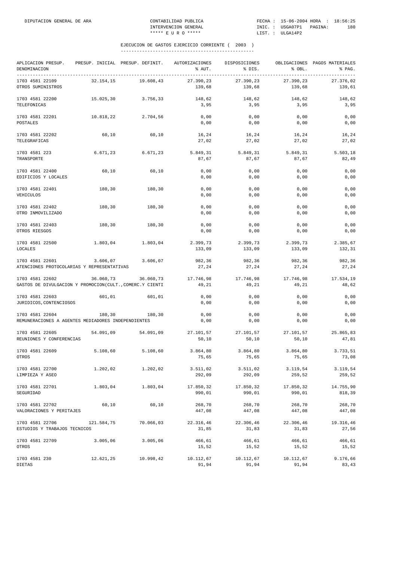| APLICACION PRESUP.<br>DENOMINACION                                           | PRESUP. INICIAL PRESUP. DEFINIT. |                    | AUTORIZACIONES<br>% AUT. | DISPOSICIONES<br>% DIS. | % OBL.              | OBLIGACIONES PAGOS MATERIALES<br>% PAG. |
|------------------------------------------------------------------------------|----------------------------------|--------------------|--------------------------|-------------------------|---------------------|-----------------------------------------|
| ____________________________________<br>1703 4581 22109<br>OTROS SUMINISTROS | 32.154,15                        | 19.608,43          | 27.390,23<br>139,68      | 27.390,23<br>139,68     | 27.390,23<br>139,68 | 27.376,02<br>139,61                     |
| 1703 4581 22200<br>TELEFONICAS                                               | 15.025,30                        | 3.756,33           | 148,62<br>3,95           | 148,62<br>3,95          | 148,62<br>3,95      | 148,62<br>3,95                          |
| 1703 4581 22201<br>POSTALES                                                  | 10.818,22                        | 2.704,56           | 0,00<br>0,00             | 0,00<br>0,00            | 0,00<br>0,00        | 0,00<br>0,00                            |
| 1703 4581 22202<br>TELEGRAFICAS                                              | 60,10                            | 60,10              | 16,24<br>27,02           | 16,24<br>27,02          | 16,24<br>27,02      | 16,24<br>27,02                          |
| 1703 4581 223<br>TRANSPORTE                                                  | 6.671,23                         | 6.671,23           | 5.849,31<br>87,67        | 5.849,31<br>87,67       | 5.849,31<br>87,67   | 5.503,18<br>82,49                       |
| 1703 4581 22400<br>EDIFICIOS Y LOCALES                                       | 60,10                            | 60,10              | 0,00<br>0,00             | 0,00<br>0,00            | 0,00<br>0,00        | 0,00<br>0,00                            |
| 1703 4581 22401<br>VEHICULOS                                                 | 180,30                           | 180,30             | 0,00<br>0,00             | 0,00<br>0,00            | 0,00<br>0,00        | 0,00<br>0,00                            |
| 1703 4581 22402<br>OTRO INMOVILIZADO                                         | 180,30                           | 180,30             | 0,00<br>0,00             | 0,00<br>0,00            | 0,00<br>0,00        | 0,00<br>0,00                            |
| 1703 4581 22403<br>OTROS RIESGOS                                             | 180,30                           | 180,30             | 0,00<br>0,00             | 0,00<br>0,00            | 0,00<br>0,00        | 0,00<br>0,00                            |
| 1703 4581 22500<br>LOCALES                                                   | 1.803,04                         | 1.803,04           | 2.399,73<br>133,09       | 2.399,73<br>133,09      | 2.399,73<br>133,09  | 2.385,67<br>132,31                      |
| 1703 4581 22601<br>ATENCIONES PROTOCOLARIAS Y REPRESENTATIVAS                | 3.606,07                         | 3.606,07           | 982,36<br>27,24          | 982,36<br>27,24         | 982,36<br>27,24     | 982,36<br>27,24                         |
| 1703 4581 22602<br>GASTOS DE DIVULGACION Y PROMOCION(CULT., COMERC.Y CIENTI  | 36.060,73                        | 36.060,73          | 17.746,98<br>49,21       | 17.746,98<br>49,21      | 17.746,98<br>49,21  | 17.534,19<br>48,62                      |
| 1703 4581 22603<br>JURIDICOS, CONTENCIOSOS                                   | 601,01                           | 601,01             | 0,00<br>0,00             | 0,00<br>0,00            | 0,00<br>0,00        | 0,00<br>0,00                            |
| 1703 4581 22604<br>REMUNERACIONES A AGENTES MEDIADORES INDEPENDIENTES        | 180,30                           | 180,30             | 0,00<br>0,00             | 0,00<br>0,00            | 0,00<br>0,00        | 0,00<br>0,00                            |
| 1703 4581 22605<br>REUNIONES Y CONFERENCIAS                                  | 54.091,09                        | 54.091,09          | 27.101,57<br>50, 10      | 27.101,57<br>50, 10     | 27.101,57<br>50, 10 | 25.865,83<br>47,81                      |
| 1703 4581 22609<br>OTROS                                                     | 5.108,60                         | 5.108,60           | 3.864,80<br>75,65        | 3.864,80<br>75,65       | 3.864,80<br>75,65   | 3.733,51<br>73,08                       |
| 1703 4581 22700<br>LIMPIEZA Y ASEO                                           | 1.202,02                         | 1.202,02           | 3.511,02<br>292,09       | 3.511,02<br>292,09      | 3.119,54<br>259,52  | 3.119,54<br>259,52                      |
| 1703 4581 22701<br>SEGURIDAD                                                 | 1.803,04                         | 1.803,04           | 17.850,32<br>990,01      | 17.850,32<br>990,01     | 17.850,32<br>990,01 | 14.755,90<br>818,39                     |
| 1703 4581 22702<br>VALORACIONES Y PERITAJES                                  | 60,10                            | 60,10              | 268,70<br>447,08         | 268,70<br>447,08        | 268,70<br>447,08    | 268,70<br>447,08                        |
| 1703 4581 22706<br>70.066,03<br>121.584,75<br>ESTUDIOS Y TRABAJOS TECNICOS   |                                  | 22.316,46<br>31,85 | 22.306,46<br>31,83       | 22.306,46<br>31,83      | 19.316,46<br>27,56  |                                         |
| 1703 4581 22709<br>OTROS                                                     | 3.005,06                         | 3.005,06           | 466,61<br>15,52          | 466,61<br>15,52         | 466,61<br>15,52     | 466,61<br>15,52                         |
| 1703 4581 230<br>DIETAS                                                      | 12.621,25                        | 10.998,42          | 10.112,67<br>91,94       | 10.112,67<br>91,94      | 10.112,67<br>91,94  | 9.176,66<br>83,43                       |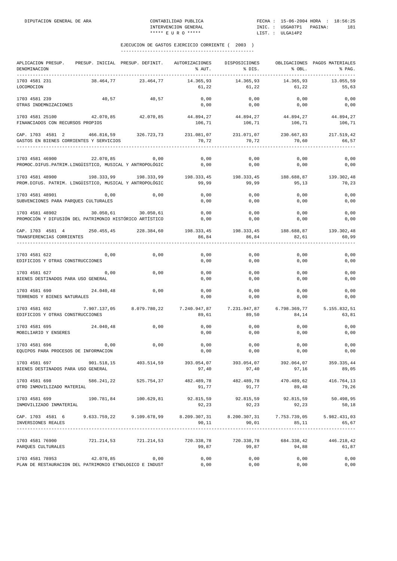| APLICACION PRESUP.<br>DENOMINACION                                                                                   |                       |                       | PRESUP. INICIAL PRESUP. DEFINIT. AUTORIZACIONES<br>% AUT. | DISPOSICIONES<br>% DIS.                   | % OBL.              | OBLIGACIONES PAGOS MATERIALES<br>% PAG. |
|----------------------------------------------------------------------------------------------------------------------|-----------------------|-----------------------|-----------------------------------------------------------|-------------------------------------------|---------------------|-----------------------------------------|
| 1703 4581 231<br>LOCOMOCION                                                                                          | 38.464,77             | 23.464,77             | 14.365,93<br>61,22                                        | 14.365,93<br>61,22                        | 14.365,93<br>61,22  | 13.055,59<br>55,63                      |
| 1703 4581 239<br>OTRAS INDEMNIZACIONES                                                                               | 40,57                 | 40,57                 | 0,00<br>0,00                                              | 0,00<br>0,00                              | 0,00<br>0,00        | 0,00<br>0,00                            |
| 1703 4581 25100<br>FINANCIADOS CON RECURSOS PROPIOS                                                                  | 42.070,85             | 42.070,85             | 44.894,27<br>106,71                                       | 44.894,27<br>106,71                       | 44.894,27<br>106,71 | 44.894,27<br>106,71                     |
| CAP. 1703 4581 2 466.816,59<br>GASTOS EN BIENES CORRIENTES Y SERVICIOS                                               |                       | 326.723,73            | 231.081,07<br>70,72                                       | 231.071,07<br>70,72                       | 230.667,83<br>70,60 | 217.519,42<br>66,57                     |
| 1703 4581 46900<br>PROMOC.DIFUS.PATRIM.LINGÜISTICO, MUSICAL Y ANTROPOLÓGIC                                           | 22.070,85             | 0,00                  | 0,00<br>0,00                                              | 0,00<br>0,00                              | 0,00<br>0,00        | 0,00<br>0,00                            |
| 1703 4581 48900<br>PROM.DIFUS. PATRIM. LINGÜISTICO, MUSICAL Y ANTROPOLÓGIC                                           | 198.333,99 198.333,99 |                       | 99,99                                                     | 198.333,45 198.333,45 188.688,87<br>99,99 | 95,13               | 139.302,48<br>70,23                     |
| 1703 4581 48901<br>SUBVENCIONES PARA PARQUES CULTURALES                                                              | 0,00                  | 0,00                  | 0,00<br>0,00                                              | 0,00<br>0,00                              | 0,00<br>0,00        | 0,00<br>0,00                            |
| 1703 4581 48902 30.050,61 30.050,61<br>PROMOCIÓN Y DIFUSIÓN DEL PATRIMONIO HISTÓRICO ARTÍSTICO                       |                       |                       | 0,00<br>0,00                                              | 0,00<br>0,00                              | 0,00<br>0,00        | 0,00<br>0,00                            |
| CAP. 1703 4581 4 250.455,45 228.384,60<br>TRANSFERENCIAS CORRIENTES                                                  |                       |                       | 86,84                                                     | 198.333,45 198.333,45 188.688,87<br>86,84 | 82,61               | 139.302,48<br>60,99                     |
| 1703 4581 622<br>EDIFICIOS Y OTRAS CONSTRUCCIONES                                                                    | 0,00                  | 0,00                  | 0,00<br>0,00                                              | 0,00<br>0,00                              | 0,00<br>0,00        | 0,00<br>0,00                            |
| 1703 4581 627<br>BIENES DESTINADOS PARA USO GENERAL                                                                  | 0,00                  | 0,00                  | 0,00<br>0,00                                              | 0,00<br>0,00                              | 0,00<br>0,00        | 0,00<br>0,00                            |
| 1703 4581 690<br>TERRENOS Y BIENES NATURALES                                                                         | 24.040,48             | 0,00                  | 0,00<br>0,00                                              | 0,00<br>0,00                              | 0,00<br>0,00        | 0,00<br>0,00                            |
| 1703 4581 692 7.907.137,05 8.079.780,22<br>EDIFICIOS Y OTRAS CONSTRUCCIONES                                          |                       |                       | 7.240.947,87 7.231.947,87<br>89,61                        | 89,50                                     | 84,14               | 6.798.369,77 5.155.832,51<br>63,81      |
| 1703 4581 695<br>MOBILIARIO Y ENSERES                                                                                | 24.040,48             | 0,00                  | 0,00<br>0,00                                              | 0,00<br>0,00                              | 0,00<br>0,00        | 0,00<br>0,00                            |
| 1703 4581 696<br>EQUIPOS PARA PROCESOS DE INFORMACION                                                                | 0,00                  | 0,00                  | 0,00<br>0,00                                              | 0,00<br>0,00                              | 0,00<br>0,00        | 0,00<br>0,00                            |
| 1703 4581 697<br>BIENES DESTINADOS PARA USO GENERAL                                                                  | 901.518,15            | 403.514,59            | 393.054,07<br>97,40                                       | 393.054,07<br>97,40                       | 392.064,07<br>97,16 | 359.335,44<br>89,05                     |
| 1703 4581 698<br>OTRO INMOVILIZADO MATERIAL                                                                          |                       | 586.241,22 525.754,37 | 482.489,78<br>91,77                                       | 482.489,78<br>91,77                       | 470.489,62<br>89,48 | 416.764,13<br>79,26                     |
| 1703 4581 699<br>INMOVILIZADO INMATERIAL                                                                             | 190.781,84            | 100.629,81            | 92.815,59<br>92,23                                        | 92.815,59<br>92,23                        | 92.815,59<br>92,23  | 50.498,95<br>50,18                      |
| CAP. 1703 4581 6 9.633.759,22 9.109.678,99 8.209.307,31 8.200.307,31 7.753.739,05 5.982.431,03<br>INVERSIONES REALES |                       |                       | 90,11                                                     | 90,01                                     | 85,11               | 65,67                                   |
| 1703 4581 76900<br>PARQUES CULTURALES                                                                                |                       | 721.214,53 721.214,53 | 720.338,78<br>99,87                                       | 720.338,78<br>99,87                       | 684.338,42<br>94,88 | 446.218,42<br>61,87                     |
| 1703 4581 78953<br>PLAN DE RESTAURACION DEL PATRIMONIO ETNOLOGICO E INDUST                                           | 42.070,85             | 0,00                  | 0,00<br>0,00                                              | 0,00<br>0,00                              | 0,00<br>0,00        | 0,00<br>0,00                            |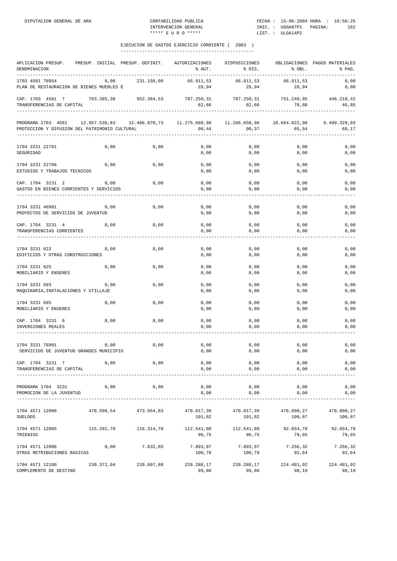| APLICACION PRESUP.<br>DENOMINACION                                  | PRESUP. INICIAL | PRESUP. DEFINIT.      | AUTORIZACIONES<br>% AUT.                | DISPOSICIONES<br>% DIS. | % OBL.                                  | OBLIGACIONES PAGOS MATERIALES<br>% PAG. |
|---------------------------------------------------------------------|-----------------|-----------------------|-----------------------------------------|-------------------------|-----------------------------------------|-----------------------------------------|
| 1703 4581 78954<br>PLAN DE RESTAURACION DE BIENES MUEBLES E         | 0,00            | 231.150,00            | 66.911,53<br>28,94                      | 66.911,53<br>28,94      | 66.911,53<br>28,94                      | 0,00<br>0,00                            |
| CAP. 1703 4581 7<br>TRANSFERENCIAS DE CAPITAL                       | 763.285,38      | 952.364,53            | 787.250,31<br>82,66                     | 787.250,31<br>82,66     | 751.249,95<br>78,88                     | 446.218,42<br>46,85                     |
| PROGRAMA 1703 4581<br>PROTECCION Y DIFUSION DEL PATRIMONIO CULTURAL | 12.957.538,83   |                       | 12.466.870,73    11.275.660,96<br>90,44 | 90,37                   | 11.266.650,96    10.664.822,90<br>85,54 | 8.499.329,03<br>68,17                   |
| 1704 3231 22701<br>SEGURIDAD                                        | 0,00            | 0,00                  | 0,00<br>0,00                            | 0,00<br>0,00            | 0,00<br>0,00                            | 0,00<br>0,00                            |
| 1704 3231 22706<br>ESTUDIOS Y TRABAJOS TECNICOS                     | 0,00            | 0,00                  | 0,00<br>0,00                            | 0,00<br>0,00            | 0,00<br>0,00                            | 0,00<br>0,00                            |
| CAP. 1704 3231 2<br>GASTOS EN BIENES CORRIENTES Y SERVICIOS         | 0,00            | 0,00                  | 0,00<br>0,00                            | 0,00<br>0,00            | 0,00<br>0,00                            | 0,00<br>0,00                            |
| 1704 3231 46901<br>PROYECTOS DE SERVICIOS DE JUVENTUD               | 0,00            | 0,00                  | 0,00<br>0,00                            | 0,00<br>0,00            | 0,00<br>0,00                            | 0,00<br>0,00                            |
| CAP. 1704 3231 4<br>TRANSFERENCIAS CORRIENTES                       | 0,00            | 0,00                  | 0,00<br>0,00                            | 0,00<br>0,00            | 0,00<br>0,00                            | 0,00<br>0,00                            |
| 1704 3231 622<br>EDIFICIOS Y OTRAS CONSTRUCCIONES                   | 0,00            | 0,00                  | 0,00<br>0,00                            | 0,00<br>0,00            | 0,00<br>0,00                            | 0,00<br>0,00                            |
| 1704 3231 625<br>MOBILIARIO Y ENSERES                               | 0,00            | 0,00                  | 0,00<br>0,00                            | 0,00<br>0,00            | 0,00<br>0,00                            | 0,00<br>0,00                            |
| 1704 3231 693<br>MAQUINARIA, INSTALACIONES Y UTILLAJE               | 0,00            | 0,00                  | 0,00<br>0,00                            | 0,00<br>0,00            | 0,00<br>0,00                            | 0,00<br>0,00                            |
| 1704 3231 695<br>MOBILIARIO Y ENSERES                               | 0,00            | 0,00                  | 0,00<br>0,00                            | 0,00<br>0,00            | 0,00<br>0,00                            | 0,00<br>0,00                            |
| CAP. 1704 3231 6<br>INVERSIONES REALES                              | 0,00            | 0,00                  | 0,00<br>0,00                            | 0,00<br>0,00            | 0,00<br>0,00                            | 0,00<br>0,00                            |
| 1704 3231 76901<br>SERVICIOS DE JUVENTUD GRANDES MUNICIPIO          | 0,00            | 0,00                  | 0,00<br>0,00                            | 0,00<br>0,00            | 0,00<br>0,00                            | 0,00<br>0,00                            |
| CAP. 1704 3231 7<br>TRANSFERENCIAS DE CAPITAL                       | 0,00            | 0,00                  | 0,00<br>0,00                            | 0,00<br>0,00            | 0,00<br>0,00                            | 0,00<br>0,00                            |
| PROGRAMA 1704 3231<br>PROMOCION DE LA JUVENTUD                      | 0,00            | 0,00                  | 0,00<br>0,00                            | 0,00<br>0,00            | 0,00<br>0,00                            | 0,00<br>0,00                            |
| 1704 4571 12000<br><b>SUELDOS</b>                                   | 478.598,54      | 473.954,83            | 478.817,39<br>101,02                    | 478.817,39<br>101,02    | 478.090,27<br>100,87                    | 478.090,27<br>100,87                    |
| 1704 4571 12005<br>TRIENIOS                                         | 115.292,70      | 116.314,70            | 112.541,80<br>96,75                     | 112.541,80<br>96,75     | 92.654,78<br>79,65                      | 92.654,78<br>79,65                      |
| 1704 4571 12006<br>OTRAS RETRIBUCIONES BASICAS                      | 0,00            | 7.832,65              | 7.893,97<br>100,78                      | 7.893,97<br>100,78      | 7.256,32<br>92,64                       | 7.256,32<br>92,64                       |
| 1704 4571 12100<br>COMPLEMENTO DE DESTINO                           |                 | 230.372,04 228.607,88 | 228.288,17<br>99,86                     | 228.288,17<br>99,86     | 224.481,92<br>98,19                     | 224.481,92<br>98,19                     |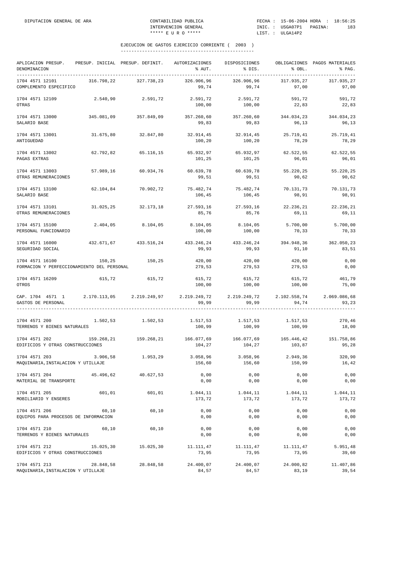| APLICACION PRESUP.<br>DENOMINACION<br>--------------------------------- |            | PRESUP. INICIAL PRESUP. DEFINIT. | AUTORIZACIONES<br>% AUT. | DISPOSICIONES<br>% DIS.                               | % OBL.              | OBLIGACIONES PAGOS MATERIALES<br>% PAG. |
|-------------------------------------------------------------------------|------------|----------------------------------|--------------------------|-------------------------------------------------------|---------------------|-----------------------------------------|
| 1704 4571 12101<br>COMPLEMENTO ESPECIFICO                               | 316.798,22 | 327.738,23                       | 326.906,96<br>99,74      | 326.906,96<br>99,74                                   | 317.935,27<br>97,00 | 317.935,27<br>97,00                     |
| 1704 4571 12109<br>OTRAS                                                | 2.540,90   | 2.591,72                         | 2.591,72<br>100,00       | 2.591,72<br>100,00                                    | 591,72<br>22,83     | 591,72<br>22,83                         |
| 1704 4571 13000<br>SALARIO BASE                                         | 345.081,09 | 357.849,09                       | 357.260,60<br>99,83      | 357.260,60<br>99,83                                   | 344.034,23<br>96,13 | 344.034,23<br>96,13                     |
| 1704 4571 13001<br>ANTIGUEDAD                                           | 31.675,80  | 32.847,80                        | 32.914,45<br>100,20      | 32.914,45<br>100,20                                   | 25.719,41<br>78,29  | 25.719,41<br>78,29                      |
| 1704 4571 13002<br>PAGAS EXTRAS                                         | 62.792,82  | 65.116,15                        | 65.932,97<br>101,25      | 65.932,97<br>101,25                                   | 62.522,55<br>96,01  | 62.522,55<br>96,01                      |
| 1704 4571 13003<br>OTRAS REMUNERACIONES                                 | 57.989,16  | 60.934,76                        | 60.639,78<br>99,51       | 60.639,78<br>99,51                                    | 55.220,25<br>90,62  | 55.220,25<br>90,62                      |
| 1704 4571 13100<br>SALARIO BASE                                         |            | 62.104,84 70.902,72              | 75.482,74<br>106,45      | 75.482,74<br>106,45                                   | 70.131,73<br>98,91  | 70.131,73<br>98,91                      |
| 1704 4571 13101<br>OTRAS REMUNERACIONES                                 | 31.025,25  | 32.173,18                        | 27.593,16<br>85,76       | 27.593,16<br>85,76                                    | 22.236,21<br>69,11  | 22.236,21<br>69,11                      |
| 1704 4571 15100<br>PERSONAL FUNCIONARIO                                 | 2.404,05   | 8.104,05                         | 8.104,05<br>100,00       | 8.104,05<br>100,00                                    | 5.700,00<br>70,33   | 5.700,00<br>70,33                       |
| 1704 4571 16000<br>SEGURIDAD SOCIAL                                     |            | 432.671.67 433.516.24            | 99,93                    | 433.246,24 433.246,24<br>99,93                        | 394.948,36<br>91,10 | 362.050,23<br>83,51                     |
| 1704 4571 16100<br>FORMACION Y PERFECCIONAMIENTO DEL PERSONAL           | 150,25     | 150, 25                          | 420,00<br>279,53         | 420,00<br>279,53                                      | 420,00<br>279,53    | 0,00<br>0,00                            |
| 1704 4571 16209<br>OTROS                                                | 615,72     | 615,72                           | 615,72<br>100,00         | 615,72<br>100,00                                      | 615,72<br>100,00    | 461,79<br>75,00                         |
| CAP. 1704 4571 1 2.170.113,05 2.219.249,97<br>GASTOS DE PERSONAL        |            |                                  | 99,99                    | $2.219.249,72$ $2.219.249,72$ $2.102.558,74$<br>99,99 | 94,74               | 2.069.086,68<br>93,23                   |
| 1704 4571 200<br>TERRENOS Y BIENES NATURALES                            |            | 1.502,53 1.502,53                | 1.517,53<br>100,99       | 1.517,53<br>100,99                                    | 1.517,53<br>100,99  | 270,46<br>18,00                         |
| 1704 4571 202<br>EDIFICIOS Y OTRAS CONSTRUCCIONES                       |            | 159.268,21 159.268,21            | 104,27                   | 166.077,69 166.077,69 165.446,42 151.758,86<br>104,27 | 103,87              | 95,28                                   |
| 1704 4571 203<br>MAQUINARIA, INSTALACION Y UTILLAJE                     | 3.906,58   | 1.953,29                         | 3.058,96<br>156,60       | 3.058,96<br>156,60                                    | 2.949,36<br>150,99  | 320,90<br>16,42                         |
| 1704 4571 204<br>MATERIAL DE TRANSPORTE                                 | 45.496,62  | 40.627,53                        | 0,00<br>0,00             | 0,00<br>0,00                                          | 0,00<br>0,00        | 0,00<br>0,00                            |
| 1704 4571 205<br>MOBILIARIO Y ENSERES                                   | 601,01     | 601,01                           | 1.044,11<br>173,72       | 1.044,11<br>173,72                                    | 1.044,11<br>173,72  | 1.044,11<br>173,72                      |
| 1704 4571 206<br>EQUIPOS PARA PROCESOS DE INFORMACION                   | 60,10      | 60,10                            | 0,00<br>0,00             | 0,00<br>0,00                                          | 0,00<br>0,00        | 0,00<br>0,00                            |
| 1704 4571 210<br>TERRENOS Y BIENES NATURALES                            | 60,10      | 60,10                            | 0,00<br>0,00             | 0,00<br>0,00                                          | 0,00<br>0,00        | 0,00<br>0,00                            |
| 1704 4571 212<br>EDIFICIOS Y OTRAS CONSTRUCCIONES                       | 15.025,30  | 15.025,30                        | 11.111,47<br>73,95       | 11.111,47<br>73,95                                    | 11.111,47<br>73,95  | 5.951,48<br>39,60                       |
| 1704 4571 213<br>MAQUINARIA, INSTALACION Y UTILLAJE                     | 28.848,58  | 28.848,58                        | 24.400,07<br>84,57       | 24.400,07<br>84,57                                    | 24.000,82<br>83,19  | 11.407,86<br>39,54                      |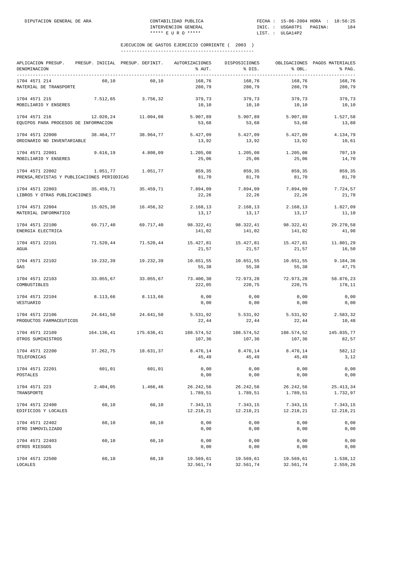| APLICACION PRESUP.<br>DENOMINACION                             | PRESUP. INICIAL PRESUP. DEFINIT. |            | AUTORIZACIONES<br>% AUT. | DISPOSICIONES<br>% DIS. | % OBL.                 | OBLIGACIONES PAGOS MATERIALES<br>% PAG. |
|----------------------------------------------------------------|----------------------------------|------------|--------------------------|-------------------------|------------------------|-----------------------------------------|
| 1704 4571 214<br>MATERIAL DE TRANSPORTE                        | 60,10                            | 60,10      | 168,76<br>280,79         | 168,76<br>280,79        | 168,76<br>280,79       | 168,76<br>280,79                        |
| 1704 4571 215<br>MOBILIARIO Y ENSERES                          | 7.512,65                         | 3.756,32   | 379,73<br>10,10          | 379,73<br>10,10         | 379,73<br>10,10        | 379,73<br>10,10                         |
| 1704 4571 216<br>EQUIPOS PARA PROCESOS DE INFORMACION          | 12.020,24                        | 11.004,08  | 5.907,89<br>53,68        | 5.907,89<br>53,68       | 5.907,89<br>53,68      | 1.527,58<br>13,88                       |
| 1704 4571 22000<br>ORDINARIO NO INVENTARIABLE                  | 38.464,77                        | 38.964,77  | 5.427,09<br>13,92        | 5.427,09<br>13,92       | 5.427,09<br>13,92      | 4.134,79<br>10,61                       |
| 1704 4571 22001<br>MOBILIARIO Y ENSERES                        | 9.616, 19                        | 4.808,09   | 1.205,08<br>25,06        | 1.205,08<br>25,06       | 1.205,08<br>25,06      | 707,19<br>14,70                         |
| 1704 4571 22002<br>PRENSA, REVISTAS Y PUBLICACIONES PERIODICAS | 1.051,77                         | 1.051,77   | 859,35<br>81,70          | 859,35<br>81,70         | 859,35<br>81,70        | 859,35<br>81,70                         |
| 1704 4571 22003<br>LIBROS Y OTRAS PUBLICACIONES                | 35.459,71                        | 35.459,71  | 7.894,09<br>22,26        | 7.894,09<br>22,26       | 7.894,09<br>22,26      | 7.724,57<br>21,78                       |
| 1704 4571 22004<br>MATERIAL INFORMATICO                        | 15.025,30                        | 16.456,32  | 2.168,13<br>13,17        | 2.168,13<br>13,17       | 2.168,13<br>13,17      | 1.827,09<br>11,10                       |
| 1704 4571 22100<br>ENERGIA ELECTRICA                           | 69.717,40                        | 69.717,40  | 98.322,41<br>141,02      | 98.322,41<br>141,02     | 98.322,41<br>141,02    | 29.270,58<br>41,98                      |
| 1704 4571 22101<br>AGUA                                        | 71.520,44                        | 71.520,44  | 15.427,81<br>21,57       | 15.427,81<br>21,57      | 15.427,81<br>21,57     | 11.801,29<br>16,50                      |
| 1704 4571 22102<br>GAS                                         | 19.232,39                        | 19.232,39  | 10.651,55<br>55,38       | 10.651,55<br>55,38      | 10.651,55<br>55,38     | 9.184,36<br>47,75                       |
| 1704 4571 22103<br>COMBUSTIBLES                                | 33.055,67                        | 33.055,67  | 73.400,30<br>222,05      | 72.973,28<br>220,75     | 72.973,28<br>220,75    | 58.876,23<br>178,11                     |
| 1704 4571 22104<br>VESTUARIO                                   | 8.113,66                         | 8.113,66   | 0,00<br>0,00             | 0,00<br>0,00            | 0,00<br>0,00           | 0,00<br>0,00                            |
| 1704 4571 22106<br>PRODUCTOS FARMACEUTICOS                     | 24.641,50                        | 24.641,50  | 5.531,92<br>22,44        | 5.531,92<br>22,44       | 5.531,92<br>22,44      | 2.583,32<br>10,48                       |
| 1704 4571 22109<br>OTROS SUMINISTROS                           | 164.136,41                       | 175.636,41 | 188.574,52<br>107,36     | 188.574,52<br>107,36    | 188.574,52<br>107,36   | 145.035,77<br>82,57                     |
| 1704 4571 22200<br>TELEFONICAS                                 | 37.262,75                        | 18.631,37  | 8.476,14<br>45,49        | 8.476,14<br>45,49       | 8.476,14<br>45,49      | 582,12<br>3,12                          |
| 1704 4571 22201<br>POSTALES                                    | 601,01                           | 601,01     | 0,00<br>0,00             | 0,00<br>0,00            | 0,00<br>0,00           | 0,00<br>0,00                            |
| 1704 4571 223<br>TRANSPORTE                                    | 2.404,05                         | 1.466,46   | 26.242,56<br>1.789,51    | 26.242,56<br>1.789,51   | 26.242,56<br>1.789,51  | 25.413,34<br>1.732,97                   |
| 1704 4571 22400<br>EDIFICIOS Y LOCALES                         | 60,10                            | 60,10      | 7.343,15<br>12.218,21    | 7.343,15<br>12.218,21   | 7.343,15<br>12.218,21  | 7.343,15<br>12.218,21                   |
| 1704 4571 22402<br>OTRO INMOVILIZADO                           | 60,10                            | 60,10      | 0,00<br>0,00             | 0,00<br>0,00            | 0,00<br>0,00           | 0,00<br>0,00                            |
| 1704 4571 22403<br>OTROS RIESGOS                               | 60,10                            | 60,10      | 0,00<br>0,00             | 0,00<br>0,00            | 0,00<br>0,00           | 0,00<br>0,00                            |
| 1704 4571 22500<br>LOCALES                                     | 60,10                            | 60,10      | 19.569,61<br>32.561,74   | 19.569,61<br>32.561,74  | 19.569,61<br>32.561,74 | 1.538,12<br>2.559,26                    |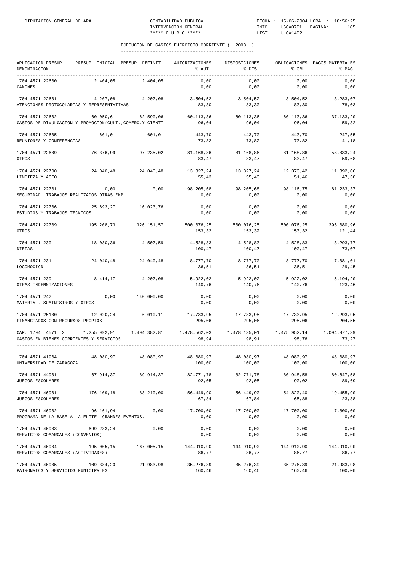| APLICACION PRESUP.<br>DENOMINACION                                                    | PRESUP. INICIAL PRESUP. DEFINIT. |                    | AUTORIZACIONES<br>% AUT. | DISPOSICIONES<br>% DIS.                               | % OBL.               | OBLIGACIONES PAGOS MATERIALES<br>% PAG. |
|---------------------------------------------------------------------------------------|----------------------------------|--------------------|--------------------------|-------------------------------------------------------|----------------------|-----------------------------------------|
| 1704 4571 22600<br>CANONES                                                            | 2.404,05                         | 2.404,05           | 0,00<br>0,00             | 0,00<br>0,00                                          | 0,00<br>0,00         | 0,00<br>0,00                            |
| 1704 4571 22601<br>ATENCIONES PROTOCOLARIAS Y REPRESENTATIVAS                         | 4.207,08                         | 4.207,08           | 3.504,52<br>83,30        | 3.504,52<br>83,30                                     | 3.504,52<br>83,30    | 3.283,07<br>78,03                       |
| 1704 4571 22602<br>GASTOS DE DIVULGACION Y PROMOCION(CULT., COMERC.Y CIENTI           | 60.050,61                        | 62.590,06          | 60.113,36<br>96,04       | 60.113,36<br>96,04                                    | 60.113,36<br>96,04   | 37.133,20<br>59,32                      |
| 1704 4571 22605<br>REUNIONES Y CONFERENCIAS                                           | 601,01                           | 601,01             | 443,70<br>73,82          | 443,70<br>73,82                                       | 443,70<br>73,82      | 247,55<br>41,18                         |
| 1704 4571 22609<br>OTROS                                                              | 76.376,99                        | 97.235,02          | 81.168,86<br>83,47       | 81.168,86<br>83,47                                    | 81.168,86<br>83,47   | 58.033.24<br>59,68                      |
| 1704 4571 22700<br>LIMPIEZA Y ASEO                                                    | 24.040,48                        | 24.040,48          | 13.327,24<br>55,43       | 13.327,24<br>55,43                                    | 12.373,42<br>51,46   | 11.392,06<br>47,38                      |
| 1704 4571 22701<br>SEGURIDAD. TRABAJOS REALIZADOS OTRAS EMP                           | 0,00                             | 0,00               | 98.205,68<br>0,00        | 98.205,68<br>0,00                                     | 98.116,75<br>0,00    | 81.233,37<br>0,00                       |
| 1704 4571 22706<br>ESTUDIOS Y TRABAJOS TECNICOS                                       | 25.693,27                        | 16.023,76          | 0,00<br>0,00             | 0,00<br>0,00                                          | 0,00<br>0,00         | 0,00<br>0,00                            |
| 1704 4571 22709<br>OTROS                                                              | 195.208,73                       | 326.151,57         | 500.076,25<br>153,32     | 500.076,25<br>153,32                                  | 500.076,25<br>153,32 | 396.080,96<br>121,44                    |
| 1704 4571 230<br><b>DIETAS</b>                                                        | 18.030,36                        | 4.507,59           | 4.528,83<br>100,47       | 4.528,83<br>100,47                                    | 4.528,83<br>100,47   | 3.293,77<br>73,07                       |
| 1704 4571 231<br>LOCOMOCION                                                           | 24.040,48                        | 24.040,48          | 8.777,70<br>36,51        | 8.777,70<br>36,51                                     | 8.777,70<br>36,51    | 7.081,01<br>29,45                       |
| 1704 4571 239<br>OTRAS INDEMNIZACIONES                                                | 8.414,17                         | 4.207,08           | 5.922,02<br>140,76       | 5.922,02<br>140,76                                    | 5.922,02<br>140,76   | 5.194,20<br>123,46                      |
| 1704 4571 242<br>MATERIAL, SUMINISTROS Y OTROS                                        | 0,00                             | 140.000,00         | 0,00<br>0,00             | 0,00<br>0,00                                          | 0,00<br>0,00         | 0,00<br>0,00                            |
| 1704 4571 25100<br>FINANCIADOS CON RECURSOS PROPIOS                                   |                                  | 12.020,24 6.010,11 | 17.733,95<br>295,06      | 17.733,95<br>295,06                                   | 17.733,95<br>295,06  | 12.293,95<br>204,55                     |
| CAP. 1704 4571 2 1.255.992,91 1.494.382,81<br>GASTOS EN BIENES CORRIENTES Y SERVICIOS |                                  |                    | 98,94                    | 1.478.562,03    1.478.135,01    1.475.952,14<br>98,91 | 98,76                | 1.094.977,39<br>73,27                   |
| 1704 4571 41904<br>UNIVERSIDAD DE ZARAGOZA                                            | 48.080,97                        | 48.080,97          | 48.080,97<br>100,00      | 48.080,97<br>100,00                                   | 48.080,97<br>100,00  | 48.080,97<br>100,00                     |
| 1704 4571 44901<br>JUEGOS ESCOLARES                                                   | 67.914,37                        | 89.914,37          | 82.771,78<br>92,05       | 82.771,78<br>92,05                                    | 80.948,58<br>90,02   | 80.647,58<br>89,69                      |
| 1704 4571 46901<br>JUEGOS ESCOLARES                                                   | 176.109,18                       | 83.210,00          | 56.449,90<br>67,84       | 56.449,90<br>67,84                                    | 54.820,40<br>65,88   | 19.455,90<br>23,38                      |
| 1704 4571 46902<br>PROGRAMA DE LA BASE A LA ELITE. GRANDES EVENTOS.                   | 96.161,94                        | 0,00               | 17.700,00<br>0,00        | 17.700,00<br>0,00                                     | 17.700,00<br>0,00    | 7.800,00<br>0,00                        |
| 1704 4571 46903<br>SERVICIOS COMARCALES (CONVENIOS)                                   | 699.233,24                       | 0,00               | 0,00<br>0,00             | 0,00<br>0,00                                          | 0,00<br>0,00         | 0,00<br>0,00                            |
| 1704 4571 46904<br>SERVICIOS COMARCALES (ACTIVIDADES)                                 | 195.005,15                       | 167.005,15         | 144.910,90<br>86,77      | 144.910,90<br>86,77                                   | 144.910,90<br>86,77  | 144.910,90<br>86,77                     |
| 1704 4571 46905<br>PATRONATOS Y SERVICIOS MUNICIPALES                                 | 109.384,20                       | 21.983,98          | 35.276,39<br>160,46      | 35.276,39<br>160,46                                   | 35.276,39<br>160,46  | 21.983,98<br>100,00                     |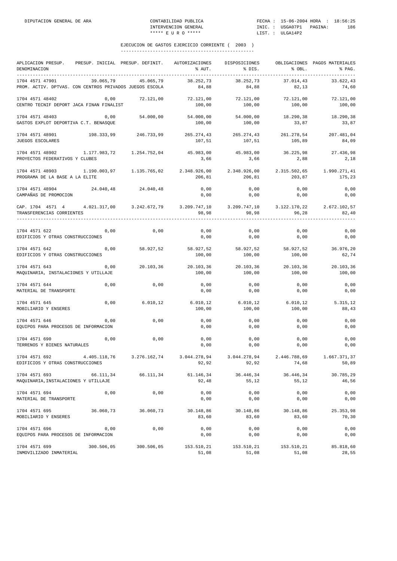| APLICACION PRESUP.<br>DENOMINACION<br>---------------------------------    | PRESUP. INICIAL PRESUP. DEFINIT. |                     | AUTORIZACIONES<br>% AUT. | DISPOSICIONES<br>% DIS.            | % OBL.                 | OBLIGACIONES PAGOS MATERIALES<br>% PAG. |
|----------------------------------------------------------------------------|----------------------------------|---------------------|--------------------------|------------------------------------|------------------------|-----------------------------------------|
| 1704 4571 47901<br>PROM. ACTIV. DPTVAS. CON CENTROS PRIVADOS JUEGOS ESCOLA | 39.065.79                        | 45.065,79           | 38.252,73<br>84,88       | 38.252,73<br>84,88                 | 37.014.43<br>82,13     | 33.622.43<br>74,60                      |
| 1704 4571 48402<br>CENTRO TECNIF DEPORT JACA FINAN FINALIST                | 0,00                             | 72.121,00           | 72.121,00<br>100,00      | 72.121,00<br>100,00                | 72.121,00<br>100,00    | 72.121,00<br>100,00                     |
| 1704 4571 48403<br>GASTOS EXPLOT DEPORTIVA C.T. BENASQUE                   | 0,00                             | 54.000,00           | 54.000,00<br>100,00      | 54.000,00<br>100,00                | 33,87                  | 18.290,38 18.290,38<br>33,87            |
| 1704 4571 48901<br>JUEGOS ESCOLARES                                        | 198.333,99                       | 246.733,99          | 265.274,43<br>107,51     | 265.274,43<br>107,51               | 261.278,54<br>105,89   | 207.481,04<br>84,09                     |
| 1704 4571 48902<br>PROYECTOS FEDERATIVOS Y CLUBES                          |                                  |                     | 45.983,00<br>3,66        | 45.983,00<br>3,66                  | 36.225,98<br>2,88      | 27.436,98<br>2,18                       |
| 1704 4571 48903<br>PROGRAMA DE LA BASE A LA ELITE                          |                                  |                     | 2.348.926,00<br>206,81   | 2.348.926,00<br>206,81             | 2.315.502,65<br>203,87 | 1.990.271,41<br>175,23                  |
| 1704 4571 48904<br>CAMPAÑAS DE PROMOCION                                   |                                  | 24.040.48 24.040.48 | 0,00<br>0,00             | 0,00<br>0,00                       | 0,00<br>0,00           | 0,00<br>0,00                            |
| CAP. 1704 4571 4 4.021.317,00 3.242.672,79<br>TRANSFERENCIAS CORRIENTES    |                                  |                     | 98,98                    | 3.209.747,10 3.209.747,10<br>98,98 | 3.122.170,22<br>96, 28 | 2.672.102,57<br>82,40                   |
| 1704 4571 622<br>EDIFICIOS Y OTRAS CONSTRUCCIONES                          | 0,00                             | 0,00                | 0,00<br>0,00             | 0,00<br>0,00                       | 0,00<br>0,00           | 0,00<br>0,00                            |
| 1704 4571 642<br>EDIFICIOS Y OTRAS CONSTRUCCIONES                          | 0,00                             | 58.927,52           | 58.927,52<br>100,00      | 58.927,52<br>100,00                | 58.927,52<br>100,00    | 36.976,20<br>62,74                      |
| 1704 4571 643<br>MAQUINARIA, INSTALACIONES Y UTILLAJE                      | 0,00                             | 20.103,36           | 20.103,36<br>100,00      | 20.103,36<br>100,00                | 20.103,36<br>100,00    | 20.103,36<br>100,00                     |
| 1704 4571 644<br>MATERIAL DE TRANSPORTE                                    | 0,00                             | 0,00                | 0,00<br>0,00             | 0,00<br>0,00                       | 0,00<br>0,00           | 0,00<br>0,00                            |
| 1704 4571 645<br>MOBILIARIO Y ENSERES                                      | 0,00                             | 6.010, 12           | 6.010, 12<br>100,00      | 6.010, 12<br>100,00                | 6.010, 12<br>100,00    | 5.315,12<br>88,43                       |
| 1704 4571 646<br>EQUIPOS PARA PROCESOS DE INFORMACION                      | 0,00                             | 0,00                | 0,00<br>0,00             | 0,00<br>0,00                       | 0,00<br>0,00           | 0,00<br>0,00                            |
| 1704 4571 690<br>TERRENOS Y BIENES NATURALES                               | 0,00                             | 0,00                | 0,00<br>0,00             | 0,00<br>0,00                       | 0,00<br>0,00           | 0,00<br>0,00                            |
| 1704 4571 692<br>EDIFICIOS Y OTRAS CONSTRUCCIONES                          | 4.405.118,76                     | 3.276.162,74        | 3.044.278,94<br>92,92    | 3.044.278,94<br>92,92              | 2.446.788,69<br>74,68  | 1.667.371,37<br>50,89                   |
| 1704 4571 693<br>MAQUINARIA, INSTALACIONES Y UTILLAJE                      | 66.111,34                        | 66.111,34           | 61.146,34<br>92,48       | 36.446,34<br>55,12                 | 36.446,34<br>55,12     | 30.785,29<br>46,56                      |
| 1704 4571 694<br>MATERIAL DE TRANSPORTE                                    | 0,00                             | 0,00                | 0,00<br>0,00             | 0,00<br>0,00                       | 0,00<br>0,00           | 0,00<br>0,00                            |
| 1704 4571 695<br>MOBILIARIO Y ENSERES                                      | 36.060,73                        | 36.060,73           | 30.148,86<br>83,60       | 30.148,86<br>83,60                 | 30.148,86<br>83,60     | 25.353,98<br>70,30                      |
| 1704 4571 696<br>EQUIPOS PARA PROCESOS DE INFORMACION                      | 0,00                             | 0,00                | 0,00<br>0,00             | 0,00<br>0,00                       | 0,00<br>0,00           | 0,00<br>0,00                            |
| 1704 4571 699<br>INMOVILIZADO INMATERIAL                                   | 300.506,05                       | 300.506,05          | 153.510,21<br>51,08      | 153.510,21<br>51,08                | 153.510,21<br>51,08    | 85.818,60<br>28,55                      |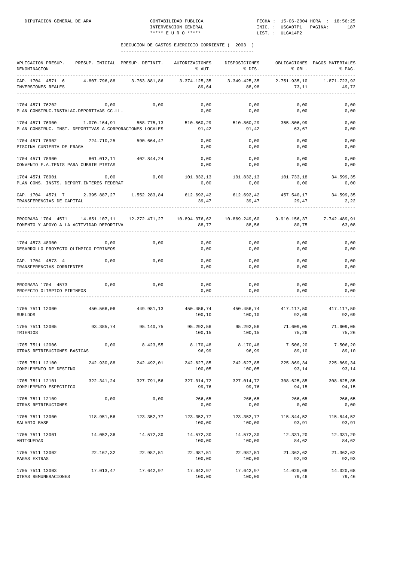| APLICACION PRESUP.<br>DENOMINACION                                         | PRESUP. INICIAL PRESUP. DEFINIT. |               | AUTORIZACIONES<br>% AUT. | DISPOSICIONES<br>% DIS. | % OBL.                | OBLIGACIONES PAGOS MATERIALES<br>% PAG. |
|----------------------------------------------------------------------------|----------------------------------|---------------|--------------------------|-------------------------|-----------------------|-----------------------------------------|
| CAP. 1704 4571 6<br>INVERSIONES REALES                                     | 4.807.796,88                     | 3.763.881,86  | 3.374.125,35<br>89,64    | 3.349.425,35<br>88,98   | 2.751.935,10<br>73,11 | 1.871.723,92<br>49,72                   |
| 1704 4571 76202<br>PLAN CONSTRUC. INSTALAC. DEPORTIVAS CC.LL.              | 0,00                             | 0,00          | 0,00<br>0,00             | 0,00<br>0,00            | 0,00<br>0,00          | 0,00<br>0,00                            |
| 1704 4571 76900<br>PLAN CONSTRUC. INST. DEPORTIVAS A CORPORACIONES LOCALES | 1.070.164,91                     | 558.775,13    | 510.860,29<br>91,42      | 510.860,29<br>91,42     | 355.806,99<br>63,67   | 0,00<br>0,00                            |
| 1704 4571 76902<br>PISCINA CUBIERTA DE FRAGA                               | 724.710,25                       | 590.664,47    | 0,00<br>0,00             | 0,00<br>0,00            | 0,00<br>0,00          | 0,00<br>0,00                            |
| 1704 4571 78900<br>CONVENIO F.A.TENIS PARA CUBRIR PISTAS                   | 601.012,11                       | 402.844,24    | 0,00<br>0,00             | 0,00<br>0,00            | 0,00<br>0,00          | 0,00<br>0,00                            |
| 1704 4571 78901<br>PLAN CONS. INSTS. DEPORT. INTERES FEDERAT               | 0,00                             | 0,00          | 101.832,13<br>0,00       | 101.832,13<br>0,00      | 101.733,18<br>0,00    | 34.599,35<br>0,00                       |
| CAP. 1704 4571 7<br>TRANSFERENCIAS DE CAPITAL                              | 2.395.887,27                     | 1.552.283,84  | 612.692,42<br>39,47      | 612.692,42<br>39,47     | 457.540,17<br>29,47   | 34.599,35<br>2,22                       |
| PROGRAMA 1704 4571<br>FOMENTO Y APOYO A LA ACTIVIDAD DEPORTIVA             | 14.651.107,11                    | 12.272.471,27 | 10.894.376,62<br>88,77   | 10.869.249,60<br>88,56  | 9.910.156,37<br>80,75 | 7.742.489,91<br>63,08                   |
| 1704 4573 48900<br>DESARROLLO PROYECTO OLÍMPICO PIRINEOS                   | 0,00                             | 0,00          | 0,00<br>0,00             | 0,00<br>0,00            | 0,00<br>0,00          | 0,00<br>0,00                            |
| CAP. 1704 4573 4<br>TRANSFERENCIAS CORRIENTES                              | 0,00                             | 0,00          | 0,00<br>0,00             | 0,00<br>0,00            | 0,00<br>0,00          | 0,00<br>0,00                            |
| PROGRAMA 1704 4573<br>PROYECTO OLIMPICO PIRINEOS                           | 0,00                             | 0,00          | 0,00<br>0,00             | 0,00<br>0,00            | 0,00<br>0,00          | 0,00<br>0,00                            |
| 1705 7511 12000<br><b>SUELDOS</b>                                          | 450.566,06                       | 449.981,13    | 450.456,74<br>100,10     | 450.456,74<br>100,10    | 417.117,50<br>92,69   | 417.117,50<br>92,69                     |
| 1705 7511 12005<br>TRIENIOS                                                | 93.385,74                        | 95.140,75     | 95.292,56<br>100,15      | 95.292,56<br>100,15     | 71.609,05<br>75,26    | 71.609,05<br>75,26                      |
| 1705 7511 12006<br>OTRAS RETRIBUCIONES BASICAS                             | 0,00                             | 8.423,55      | 8.170,48<br>96,99        | 8.170,48<br>96,99       | 7.506,20<br>89,10     | 7.506,20<br>89,10                       |
| 1705 7511 12100<br>COMPLEMENTO DE DESTINO                                  | 242.930,88                       | 242.492,01    | 242.627,85<br>100,05     | 242.627,85<br>100,05    | 225.869,34<br>93,14   | 225.869,34<br>93,14                     |
| 1705 7511 12101<br>COMPLEMENTO ESPECIFICO                                  | 322.341,24                       | 327.791,56    | 327.014,72<br>99,76      | 327.014,72<br>99,76     | 308.625,85<br>94,15   | 308.625,85<br>94,15                     |
| 1705 7511 12109<br>OTRAS RETRIBUCIONES                                     | 0,00                             | 0,00          | 266,65<br>0,00           | 266,65<br>0,00          | 266,65<br>0,00        | 266,65<br>0,00                          |
| 1705 7511 13000<br>SALARIO BASE                                            | 118.951,56                       | 123.352,77    | 123.352,77<br>100,00     | 123.352,77<br>100,00    | 115.844,52<br>93,91   | 115.844,52<br>93,91                     |
| 1705 7511 13001<br>ANTIGUEDAD                                              | 14.052,36                        | 14.572,30     | 14.572,30<br>100,00      | 14.572,30<br>100,00     | 12.331,20<br>84,62    | 12.331,20<br>84,62                      |
| 1705 7511 13002<br>PAGAS EXTRAS                                            | 22.167,32                        | 22.987,51     | 22.987,51<br>100,00      | 22.987,51<br>100,00     | 21.362,62<br>92,93    | 21.362,62<br>92,93                      |
| 1705 7511 13003<br>OTRAS REMUNERACIONES                                    | 17.013,47                        | 17.642,97     | 17.642,97<br>100,00      | 17.642,97<br>100,00     | 14.020,68<br>79,46    | 14.020,68<br>79,46                      |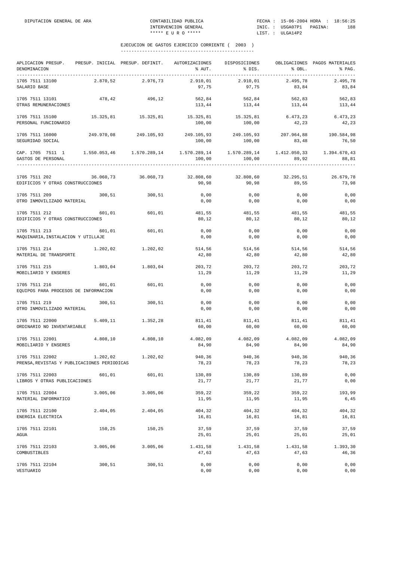| APLICACION PRESUP. PRESUP. INICIAL PRESUP. DEFINIT.<br>DENOMINACION                                                  |          |                                                           | AUTORIZACIONES<br>% AUT. | DISPOSICIONES<br>% DIS. | % OBL.              | OBLIGACIONES PAGOS MATERIALES<br>% PAG. |
|----------------------------------------------------------------------------------------------------------------------|----------|-----------------------------------------------------------|--------------------------|-------------------------|---------------------|-----------------------------------------|
| 1705 7511 13100<br>SALARIO BASE                                                                                      | 2.870,52 | 2.976,73                                                  | 2.910,01<br>97,75        | 2.910,01<br>97,75       | 2.495,78<br>83,84   | 2.495,78<br>83,84                       |
| 1705 7511 13101<br>OTRAS REMUNERACIONES                                                                              | 478,42   | 496,12                                                    | 562,84<br>113,44         | 562,84<br>113,44        | 562,83<br>113,44    | 562,83<br>113,44                        |
| 1705 7511 15100<br>PERSONAL FUNCIONARIO                                                                              |          | 15.325,81 15.325,81 15.325,81 15.325,81 6.473,23 6.473,23 | 100,00                   | 100,00                  | 42,23               | 42,23                                   |
| 1705 7511 16000<br>SEGURIDAD SOCIAL                                                                                  |          | 249.970,08 249.105,93                                     | 249.105,93<br>100,00     | 249.105,93<br>100,00    | 207.964,88<br>83,48 | 190.584,98<br>76,50                     |
| CAP. 1705 7511 1 1.550.053,46 1.570.289,14 1.570.289,14 1.570.289,14 1.412.050,33 1.394.670,43<br>GASTOS DE PERSONAL |          |                                                           | 100,00                   | 100,00                  | 89,92               | 88,81                                   |
| 1705 7511 202<br>EDIFICIOS Y OTRAS CONSTRUCCIONES                                                                    |          | 36.060,73 36.060,73                                       | 32.808,60<br>90,98       | 32.808,60<br>90,98      | 32.295,51<br>89,55  | 26.679,78<br>73,98                      |
| 1705 7511 209<br>OTRO INMOVILIZADO MATERIAL                                                                          | 300,51   | 300,51                                                    | 0,00<br>0,00             | 0,00<br>0,00            | 0,00<br>0,00        | 0,00<br>0,00                            |
| 1705 7511 212<br>EDIFICIOS Y OTRAS CONSTRUCCIONES                                                                    | 601,01   | 601,01                                                    | 80,12                    | 481,55 481,55<br>80,12  | 481,55<br>80,12     | 481,55<br>80,12                         |
| 1705 7511 213<br>MAQUINARIA, INSTALACION Y UTILLAJE                                                                  | 601,01   | 601,01                                                    | 0,00<br>0,00             | 0,00<br>0,00            | 0,00<br>0,00        | 0,00<br>0,00                            |
| 1705 7511 214<br>MATERIAL DE TRANSPORTE                                                                              | 1.202,02 | 1.202,02                                                  | 514,56<br>42,80          | 514,56<br>42,80         | 514,56<br>42,80     | 514,56<br>42,80                         |
| 1705 7511 215<br>MOBILIARIO Y ENSERES                                                                                | 1.803,04 | 1.803,04                                                  | 203,72<br>11,29          | 203,72<br>11,29         | 203,72<br>11,29     | 203,72<br>11,29                         |
| 1705 7511 216<br>EQUIPOS PARA PROCESOS DE INFORMACION                                                                | 601,01   | 601,01                                                    | 0,00<br>0,00             | 0,00<br>0,00            | 0,00<br>0,00        | 0,00<br>0,00                            |
| 1705 7511 219<br>OTRO INMOVILIZADO MATERIAL                                                                          | 300,51   | 300,51                                                    | 0,00<br>0,00             | 0,00<br>0,00            | 0,00<br>0,00        | 0,00<br>0,00                            |
| 1705 7511 22000<br>ORDINARIO NO INVENTARIABLE                                                                        | 5.409,11 | 1.352,28                                                  | 811,41<br>60,00          | 811,41<br>60,00         | 811,41<br>60,00     | 811,41<br>60,00                         |
| 1705 7511 22001<br>MOBILIARIO Y ENSERES                                                                              | 4.808,10 | 4.808,10                                                  | 4.082,09<br>84,90        | 4.082,09<br>84,90       | 4.082,09<br>84,90   | 4.082,09<br>84,90                       |
| 1705 7511 22002<br>PRENSA, REVISTAS Y PUBLICACIONES PERIODICAS                                                       | 1.202,02 | 1.202,02                                                  | 940,36<br>78,23          | 940,36<br>78,23         | 940,36<br>78,23     | 940,36<br>78,23                         |
| 1705 7511 22003<br>LIBROS Y OTRAS PUBLICACIONES                                                                      | 601,01   | 601,01                                                    | 130,89<br>21,77          | 130,89<br>21,77         | 130,89<br>21,77     | 0,00<br>0,00                            |
| 1705 7511 22004<br>MATERIAL INFORMATICO                                                                              | 3.005,06 | 3.005,06                                                  | 359,22<br>11,95          | 359,22<br>11,95         | 359,22<br>11,95     | 193,99<br>6,45                          |
| 1705 7511 22100<br>ENERGIA ELECTRICA                                                                                 | 2.404,05 | 2.404,05                                                  | 404,32<br>16,81          | 404,32<br>16,81         | 404,32<br>16,81     | 404,32<br>16,81                         |
| 1705 7511 22101<br>AGUA                                                                                              | 150,25   | 150,25                                                    | 37,59<br>25,01           | 37,59<br>25,01          | 37,59<br>25,01      | 37,59<br>25,01                          |
| 1705 7511 22103<br>COMBUSTIBLES                                                                                      | 3.005,06 | 3.005,06                                                  | 1.431,58<br>47,63        | 1.431,58<br>47,63       | 1.431,58<br>47,63   | 1.393,30<br>46,36                       |
| 1705 7511 22104<br>VESTUARIO                                                                                         | 300,51   | 300,51                                                    | 0,00<br>0,00             | 0,00<br>0,00            | 0,00<br>0,00        | 0,00<br>0,00                            |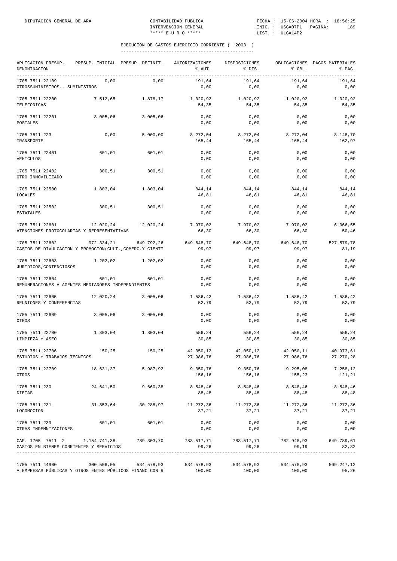| APLICACION PRESUP.<br>DENOMINACION                                                                                              | PRESUP. INICIAL PRESUP. DEFINIT. |                     | AUTORIZACIONES<br>% AUT.                                                   | DISPOSICIONES<br>% DIS. | % OBL.                 | OBLIGACIONES PAGOS MATERIALES<br>% PAG. |
|---------------------------------------------------------------------------------------------------------------------------------|----------------------------------|---------------------|----------------------------------------------------------------------------|-------------------------|------------------------|-----------------------------------------|
| 1705 7511 22109<br>OTROSSUMINISTROS. - SUMINISTROS                                                                              | 0,00                             | 0,00                | 191,64<br>0,00                                                             | 191,64<br>0,00          | 191,64<br>0,00         | 191,64<br>0,00                          |
| 1705 7511 22200<br>TELEFONICAS                                                                                                  | 7.512,65                         | 1.878,17            | 1.020,92<br>54,35                                                          | 1.020,92<br>54,35       | 1.020,92<br>54,35      | 1.020,92<br>54,35                       |
| 1705 7511 22201<br>POSTALES                                                                                                     | 3.005,06                         | 3.005,06            | 0,00<br>0,00                                                               | 0,00<br>0,00            | 0,00<br>0,00           | 0,00<br>0,00                            |
| 1705 7511 223<br>TRANSPORTE                                                                                                     | 0,00                             | 5.000,00            | 8.272,04<br>165,44                                                         | 8.272,04<br>165,44      | 8.272,04<br>165,44     | 8.148,70<br>162,97                      |
| 1705 7511 22401<br>VEHICULOS                                                                                                    | 601,01                           | 601,01              | 0,00<br>0,00                                                               | 0,00<br>0,00            | 0,00<br>0,00           | 0,00<br>0,00                            |
| 1705 7511 22402<br>OTRO INMOVILIZADO                                                                                            | 300,51                           | 300,51              | 0,00<br>0,00                                                               | 0,00<br>0,00            | 0,00<br>0,00           | 0,00<br>0,00                            |
| 1705 7511 22500<br>LOCALES                                                                                                      | 1.803,04                         | 1.803,04            | 844,14<br>46,81                                                            | 844,14<br>46,81         | 844,14<br>46,81        | 844,14<br>46,81                         |
| 1705 7511 22502<br><b>ESTATALES</b>                                                                                             | 300,51                           | 300,51              | 0,00<br>0,00                                                               | 0,00<br>0,00            | 0,00<br>0,00           | 0,00<br>0,00                            |
| 1705 7511 22601<br>ATENCIONES PROTOCOLARIAS Y REPRESENTATIVAS                                                                   | 12.020,24                        | 12.020,24           | 7.970,02<br>66,30                                                          | 7.970,02<br>66,30       | 7.970,02<br>66,30      | 6.066, 55<br>50,46                      |
| 1705 7511 22602<br>GASTOS DE DIVULGACION Y PROMOCION (CULT., COMERC.Y CIENTI                                                    | 972.334,21                       | 649.792,26          | 649.648,70<br>99,97                                                        | 649.648,70<br>99,97     | 649.648,70<br>99,97    | 527.579,78<br>81,19                     |
| 1705 7511 22603<br>JURIDICOS, CONTENCIOSOS                                                                                      |                                  | 1.202,02 1.202,02   | 0,00<br>0,00                                                               | 0,00<br>0,00            | 0,00<br>0,00           | 0,00<br>0,00                            |
| 1705 7511 22604<br>REMUNERACIONES A AGENTES MEDIADORES INDEPENDIENTES                                                           | 601,01                           | 601,01              | 0,00<br>0,00                                                               | 0,00<br>0,00            | 0,00<br>0,00           | 0,00<br>0,00                            |
| 1705 7511 22605<br>REUNIONES Y CONFERENCIAS                                                                                     | 12.020,24                        | 3.005,06            | 1.586,42<br>52,79                                                          | 1.586,42<br>52,79       | 1.586,42<br>52,79      | 1.586,42<br>52,79                       |
| 1705 7511 22609<br>OTROS                                                                                                        | 3.005,06                         | 3.005,06            | 0,00<br>0,00                                                               | 0,00<br>0,00            | 0,00<br>0,00           | 0,00<br>0,00                            |
| 1705 7511 22700<br>LIMPIEZA Y ASEO                                                                                              | 1.803,04                         | 1.803,04            | 556,24<br>30,85                                                            | 556,24<br>30,85         | 556,24<br>30,85        | 556,24<br>30,85                         |
| 1705 7511 22706<br>ESTUDIOS Y TRABAJOS TECNICOS                                                                                 | 150,25                           | 150,25              | 42.050,12<br>27.986,76                                                     | 42.050,12<br>27.986,76  | 42.050,11<br>27.986,76 | 40.973,61<br>27.270,28                  |
| 1705 7511 22709<br>OTROS                                                                                                        |                                  |                     | 18.631,37 5.987,92 9.350,76 9.350,76 9.295,08<br>156,16                    | 156,16                  | 155,23                 | 7.258,12<br>121,21                      |
| 1705 7511 230<br>DIETAS                                                                                                         | 24.641,50                        | 9.660,38            | 8.548,46<br>88,48                                                          | 8.548,46<br>88,48       | 8.548,46<br>88,48      | 8.548,46<br>88,48                       |
| 1705 7511 231<br>LOCOMOCION                                                                                                     |                                  | 31.853,64 30.288,97 | 11.272,36<br>37,21                                                         | 11.272,36<br>37,21      | 11.272,36<br>37,21     | 11.272,36<br>37,21                      |
| 1705 7511 239<br>OTRAS INDEMNIZACIONES                                                                                          | 601,01                           | 601,01              | 0,00<br>0,00                                                               | 0,00<br>0,00            | 0,00<br>0,00           | 0,00<br>0,00                            |
| CAP. 1705 7511 2 1.154.741,38 789.303,70 783.517,71 783.517,71 782.948,93 649.789,61<br>GASTOS EN BIENES CORRIENTES Y SERVICIOS |                                  |                     | 99,26                                                                      | 99,26                   | 99,19                  | 82,32                                   |
| 1705 7511 44900<br>A EMPRESAS PÚBLICAS Y OTROS ENTES PÚBLICOS FINANC CON R                                                      |                                  |                     | $300.506,05$ $534.578,93$ $534.578,93$ $534.578,93$ $534.578,93$<br>100,00 | 100,00                  | 100,00                 | 509.247,12<br>95,26                     |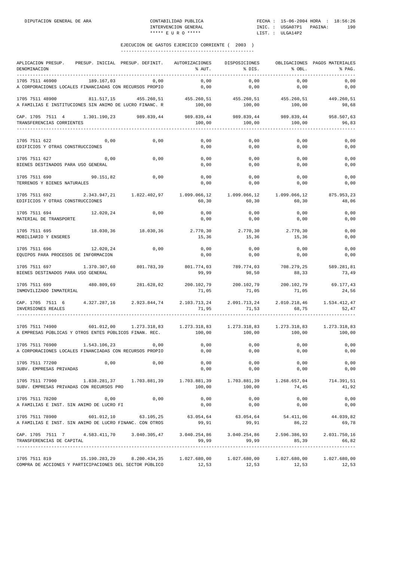| APLICACION PRESUP.<br>DENOMINACION                                                                                                                                                                                                                                                                                                                    | PRESUP. INICIAL PRESUP. DEFINIT. |                     | AUTORIZACIONES<br>% AUT.                                                              | DISPOSICIONES<br>$\text{S}$ DIS.          | 8 OBL.            | OBLIGACIONES PAGOS MATERIALES<br>$\mathcal{E}$ PAG. |
|-------------------------------------------------------------------------------------------------------------------------------------------------------------------------------------------------------------------------------------------------------------------------------------------------------------------------------------------------------|----------------------------------|---------------------|---------------------------------------------------------------------------------------|-------------------------------------------|-------------------|-----------------------------------------------------|
| 1705 7511 46900<br>A CORPORACIONES LOCALES FINANCIADAS CON RECURSOS PROPIO                                                                                                                                                                                                                                                                            | 189.167,03                       | 0,00                | 0,00<br>0,00                                                                          | 0,00<br>0,00                              | 0,00<br>0,00      | 0,00<br>0,00                                        |
| 1705 7511 48900<br>A FAMILIAS E INSTITUCIONES SIN ANIMO DE LUCRO FINANC. R                                                                                                                                                                                                                                                                            |                                  |                     | 811.517,15 455.260,51 455.260,51 455.260,51 455.260,51 449.260,51<br>100,00           | 100,00                                    | 100,00            | 98,68                                               |
| CAP. 1705 7511 4 1.301.190,23 989.839,44 989.839,44 989.839,44 989.839,44 989.839,44 958.507,63<br>TRANSFERENCIAS CORRIENTES                                                                                                                                                                                                                          |                                  |                     | 100,00                                                                                | 100,00                                    | 100,00            | 96,83                                               |
| 1705 7511 622<br>EDIFICIOS Y OTRAS CONSTRUCCIONES                                                                                                                                                                                                                                                                                                     | 0,00                             | 0,00                | 0,00<br>0,00                                                                          | 0,00<br>0,00                              | 0,00<br>0,00      | 0,00<br>0,00                                        |
| 1705 7511 627<br>BIENES DESTINADOS PARA USO GENERAL                                                                                                                                                                                                                                                                                                   | 0,00                             | 0,00                | 0,00<br>0,00                                                                          | 0,00<br>0,00                              | 0,00<br>0,00      | 0,00<br>0,00                                        |
| 1705 7511 690<br>TERRENOS Y BIENES NATURALES                                                                                                                                                                                                                                                                                                          | 90.151,82                        | 0,00                | 0,00<br>0,00                                                                          | 0,00<br>0,00                              | 0,00<br>0,00      | 0,00<br>0,00                                        |
| 1705 7511 692 2.343.947.21 1.822.402.97 1.099.066.12 1.099.066.12 1.099.066.12<br>EDIFICIOS Y OTRAS CONSTRUCCIONES                                                                                                                                                                                                                                    |                                  |                     | 60,30                                                                                 | 60,30                                     | 60,30             | 875.953,23<br>48,06                                 |
| 1705 7511 694 12.020,24<br>MATERIAL DE TRANSPORTE                                                                                                                                                                                                                                                                                                     |                                  | 0,00                | 0,00<br>0,00                                                                          | 0,00<br>0,00                              | 0,00<br>0,00      | 0,00<br>0,00                                        |
| 1705 7511 695<br>MOBILIARIO Y ENSERES                                                                                                                                                                                                                                                                                                                 |                                  | 18.030,36 18.030,36 | 2.770,30<br>15,36                                                                     | 2.770,30<br>15,36                         | 2.770,30<br>15,36 | 0,00<br>0,00                                        |
| 1705 7511 696<br>EQUIPOS PARA PROCESOS DE INFORMACION                                                                                                                                                                                                                                                                                                 | 12.020, 24                       | 0,00                | 0,00<br>0,00                                                                          | 0,00<br>0,00                              | 0,00<br>0,00      | 0,00<br>0,00                                        |
| 1705 7511 697 1.370.307,60<br>BIENES DESTINADOS PARA USO GENERAL                                                                                                                                                                                                                                                                                      |                                  | 801.783,39          | 99,99                                                                                 | 801.774,03 789.774,03 708.279,25<br>98,50 | 88,33             | 589.281,81<br>73,49                                 |
| 1705 7511 699<br>INMOVILIZADO INMATERIAL                                                                                                                                                                                                                                                                                                              |                                  |                     | $480.809.69$ $281.628.02$ $200.102.79$ $200.102.79$ $200.102.79$ $59.177.43$<br>71,05 | 71,05                                     | 71,05             | 24,56                                               |
| CAP. 1705 7511 6 4.327.287,16 2.923.844,74<br>INVERSIONES REALES                                                                                                                                                                                                                                                                                      |                                  |                     | 2.103.713,24 2.091.713,24 2.010.218,46<br>71,95                                       | 71, 53                                    | 68,75             | 1.534.412,47<br>52,47                               |
| 1705 7511 74900<br>A EMPRESAS PÚBLICAS Y OTROS ENTES PÚBLICOS FINAN. REC.                                                                                                                                                                                                                                                                             |                                  |                     | $601.012,00$ $1.273.318,83$ $1.273.318,83$ $1.273.318,83$ $1.273.318,83$<br>100,00    | $100,00$ $100,00$                         |                   | 1.273.318,83<br>100,00                              |
| 1705 7511 76900<br>A CORPORACIONES LOCALES FINANCIADAS CON RECURSOS PROPIO                                                                                                                                                                                                                                                                            | 1.543.106,23                     | 0,00                | 0,00<br>0,00                                                                          | 0,00<br>0,00                              | 0,00<br>0,00      | 0,00<br>0,00                                        |
| 1705 7511 77200<br>SUBV. EMPRESAS PRIVADAS                                                                                                                                                                                                                                                                                                            | 0,00                             | 0,00                | 0,00<br>0,00                                                                          | 0,00<br>0,00                              | 0,00<br>0,00      | 0,00<br>0,00                                        |
| SUBV. EMPRESAS PRIVADAS CON RECURSOS PRO                                                                                                                                                                                                                                                                                                              |                                  |                     | 100,00                                                                                | 100,00                                    | 74, 45            | 41,92                                               |
| 1705 7511 78200<br>A FAMILIAS E INST. SIN ANIMO DE LUCRO FI                                                                                                                                                                                                                                                                                           | 0,00                             | 0,00                | 0,00<br>0,00                                                                          | 0,00<br>0,00                              | 0,00<br>0,00      | 0,00<br>0,00                                        |
| $1705\ \ 7511\ \ 78900\qquad \qquad 601.012\,, 10\qquad \qquad 63.105\,, 25\qquad \qquad 63.054\,, 64\qquad \qquad 63.054\,, 64\qquad \qquad 54.411\,, 06\qquad \qquad 44.039\,, 82.001\,, 12.012\,, 10.022\,, 12.033\,, 12.044\,, 12.055\,, 12.055\,, 12.068\,, 12.072\,, 12.083\,, 12.0$<br>A FAMILIAS E INST. SIN ANIMO DE LUCRO FINANC. CON OTROS |                                  |                     | 99,91                                                                                 | 99,91                                     | 86,22             | 69,78                                               |
| CAP. 1705 7511 7 4.583.411,70 3.040.305,47 3.040.254,86 3.040.254,86 2.596.386,93<br>TRANSFERENCIAS DE CAPITAL                                                                                                                                                                                                                                        |                                  |                     | 99,99                                                                                 | 99,99                                     | 85,39             | 2.031.750,16<br>66,82                               |
| 1705 7511 819 15.190.283,29 8.200.434,35 1.027.680,00 1.027.680,00<br>COMPRA DE ACCIONES Y PARTICIPACIONES DEL SECTOR PÚBLICO $12,53$ $12,53$ $12,53$ $12,53$                                                                                                                                                                                         |                                  |                     |                                                                                       |                                           | 1.027.680,00      | 1.027.680,00<br>12,53                               |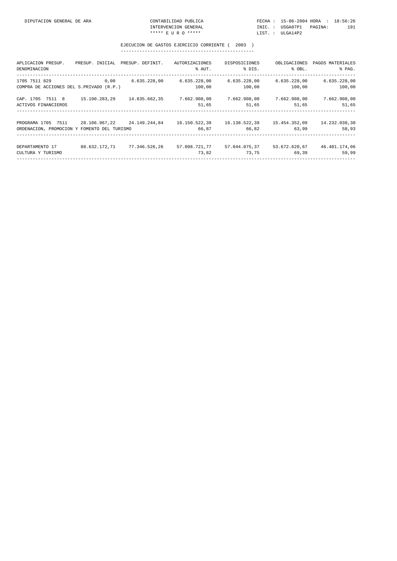| CONTABILIDAD PUBLICA |  | FECHA: 15-06-2004 HORA: 18:56:26 |  |     |
|----------------------|--|----------------------------------|--|-----|
| INTERVENCION GENERAL |  | INIC.: USGA07P1 PAGINA:          |  | 191 |
| ***** E II R O ***** |  | LIST.: ULGA14P2                  |  |     |

| APLICACION PRESUP.<br>DENOMINACION                                | PRESUP. INICIAL PRESUP. DEFINIT. |               | AUTORIZACIONES<br>% AUT. | DISPOSICIONES<br>% DIS. | OBLIGACIONES<br>% OBL. | PAGOS MATERIALES<br>% PAG. |
|-------------------------------------------------------------------|----------------------------------|---------------|--------------------------|-------------------------|------------------------|----------------------------|
| 1705 7511 829<br>COMPRA DE ACCIONES DEL S.PRIVADO (R.P.)          | 0,00                             | 6.635.228,00  | 6.635.228,00<br>100,00   | 6.635.228,00<br>100,00  | 6.635.228,00<br>100,00 | 6.635.228,00<br>100,00     |
| CAP. 1705 7511 8<br>ACTIVOS FINANCIEROS                           | 15.190.283,29                    | 14.835.662,35 | 7.662.908,00<br>51,65    | 7.662.908,00<br>51,65   | 7.662.908,00<br>51,65  | 7.662.908,00<br>51,65      |
| PROGRAMA 1705 7511<br>ORDENACION, PROMOCION Y FOMENTO DEL TURISMO | 28.106.967.22 24.149.244.84      |               | 16.150.522,39<br>66,87   | 16.138.522,39<br>66,82  | 15.454.352,09<br>63,99 | 14.232.038,30<br>58,93     |
| DEPARTAMENTO 17<br>CULTURA Y TURISMO                              | 88.632.172.71 77.346.526.26      |               | 57.098.721.77<br>73,82   | 57.044.075.37<br>73,75  | 53.672.620.67<br>69,39 | 46.401.174,06<br>59,99     |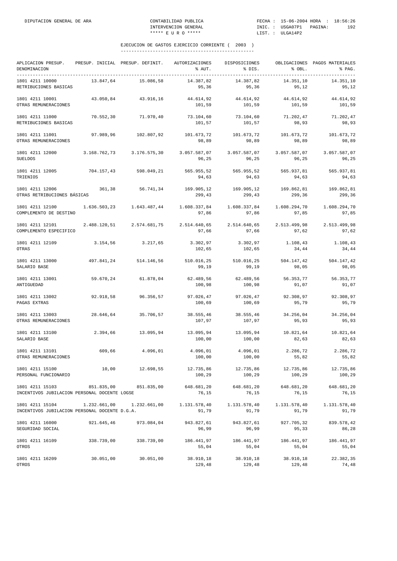| APLICACION PRESUP.<br>DENOMINACION<br>------------               |              | PRESUP. INICIAL PRESUP. DEFINIT. | AUTORIZACIONES<br>% AUT. | DISPOSICIONES<br>% DIS. | % OBL.                | OBLIGACIONES PAGOS MATERIALES<br>% PAG. |
|------------------------------------------------------------------|--------------|----------------------------------|--------------------------|-------------------------|-----------------------|-----------------------------------------|
| 1801 4211 10000<br>RETRIBUCIONES BASICAS                         | 13.847,64    | 15.086,58                        | 14.387,82<br>95,36       | 14.387,82<br>95,36      | 14.351,10<br>95,12    | 14.351,10<br>95,12                      |
| 1801 4211 10001<br>OTRAS REMUNERACIONES                          | 43.050.84    | 43.916,16                        | 44.614,92<br>101,59      | 44.614,92<br>101,59     | 44.614,92<br>101,59   | 44.614,92<br>101,59                     |
| 1801 4211 11000<br>RETRIBUCIONES BASICAS                         | 70.552,30    | 71.970,40                        | 73.104,60<br>101,57      | 73.104,60<br>101,57     | 71.202,47<br>98,93    | 71.202,47<br>98,93                      |
| 1801 4211 11001<br>OTRAS REMUNERACIONES                          | 97.989,96    | 102.807,92                       | 101.673,72<br>98,89      | 101.673,72<br>98,89     | 101.673,72<br>98,89   | 101.673,72<br>98,89                     |
| 1801 4211 12000<br><b>SUELDOS</b>                                | 3.168.762,73 | 3.176.575,30                     | 3.057.587,07<br>96,25    | 3.057.587,07<br>96,25   | 3.057.587,07<br>96,25 | 3.057.587,07<br>96,25                   |
| 1801 4211 12005<br>TRIENIOS                                      | 704.157,43   | 598.049,21                       | 565.955,52<br>94,63      | 565.955,52<br>94,63     | 565.937,81<br>94,63   | 565.937,81<br>94,63                     |
| 1801 4211 12006<br>OTRAS RETRIBUCIONES BÁSICAS                   | 361,38       | 56.741,34                        | 169.905,12<br>299,43     | 169.905,12<br>299,43    | 169.862,81<br>299,36  | 169.862,81<br>299,36                    |
| 1801 4211 12100<br>COMPLEMENTO DE DESTINO                        | 1.636.503,23 | 1.643.487,44                     | 1.608.337,84<br>97,86    | 1.608.337,84<br>97,86   | 1.608.294,70<br>97,85 | 1.608.294,70<br>97,85                   |
| 1801 4211 12101<br>COMPLEMENTO ESPECIFICO                        | 2.488.120,51 | 2.574.681,75                     | 2.514.640,65<br>97,66    | 2.514.640,65<br>97,66   | 2.513.499,98<br>97,62 | 2.513.499,98<br>97,62                   |
| 1801 4211 12109<br>OTRAS                                         | 3.154,56     | 3.217,65                         | 3.302,97<br>102,65       | 3.302,97<br>102,65      | 1.108,43<br>34,44     | 1.108,43<br>34,44                       |
| 1801 4211 13000<br>SALARIO BASE                                  | 497.841,24   | 514.146,56                       | 510.016,25<br>99,19      | 510.016,25<br>99,19     | 504.147,42<br>98,05   | 504.147,42<br>98,05                     |
| 1801 4211 13001<br>ANTIGUEDAD                                    | 59.670,24    | 61.878,04                        | 62.489,56<br>100,98      | 62.489,56<br>100,98     | 56.353,77<br>91,07    | 56.353,77<br>91,07                      |
| 1801 4211 13002<br>PAGAS EXTRAS                                  | 92.918,58    | 96.356,57                        | 97.026,47<br>100,69      | 97.026,47<br>100,69     | 92.308,97<br>95,79    | 92.308,97<br>95,79                      |
| 1801 4211 13003<br>OTRAS REMUNERACIONES                          | 28.646,64    | 35.706,57                        | 38.555,46<br>107,97      | 38.555,46<br>107,97     | 34.256,04<br>95,93    | 34.256,04<br>95,93                      |
| 1801 4211 13100<br>SALARIO BASE                                  | 2.394,66     | 13.095,94                        | 13.095,94<br>100,00      | 13.095,94<br>100,00     | 10.821,64<br>82,63    | 10.821,64<br>82,63                      |
| 1801 4211 13101<br>OTRAS REMUNERACIONES                          | 609,66       | 4.096,01                         | 4.096,01<br>100,00       | 4.096,01<br>100,00      | 2.286,72<br>55,82     | 2.286,72<br>55,82                       |
| 1801 4211 15100<br>PERSONAL FUNCIONARIO                          | 10,00        | 12.698,55                        | 12.735,86<br>100,29      | 12.735,86<br>100,29     | 12.735,86<br>100,29   | 12.735,86<br>100,29                     |
| 1801 4211 15103<br>INCENTIVOS JUBILACION PERSONAL DOCENTE LOGSE  | 851.835,00   | 851.835,00                       | 648.681,20<br>76,15      | 648.681,20<br>76,15     | 648.681,20<br>76,15   | 648.681,20<br>76,15                     |
| 1801 4211 15104<br>INCENTIVOS JUBILACION PERSONAL DOCENTE D.G.A. | 1.232.661,00 | 1.232.661,00                     | 1.131.578,40<br>91,79    | 1.131.578,40<br>91,79   | 1.131.578,40<br>91,79 | 1.131.578,40<br>91,79                   |
| 1801 4211 16000<br>SEGURIDAD SOCIAL                              | 921.645,46   | 973.084,04                       | 943.827,61<br>96,99      | 943.827,61<br>96,99     | 927.705,32<br>95,33   | 839.578,42<br>86,28                     |
| 1801 4211 16109<br>OTROS                                         | 338.739,00   | 338.739,00                       | 186.441,97<br>55,04      | 186.441,97<br>55,04     | 186.441,97<br>55,04   | 186.441,97<br>55,04                     |
| 1801 4211 16209<br>OTROS                                         | 30.051,00    | 30.051,00                        | 38.910,18<br>129,48      | 38.910,18<br>129,48     | 38.910,18<br>129,48   | 22.382,35<br>74,48                      |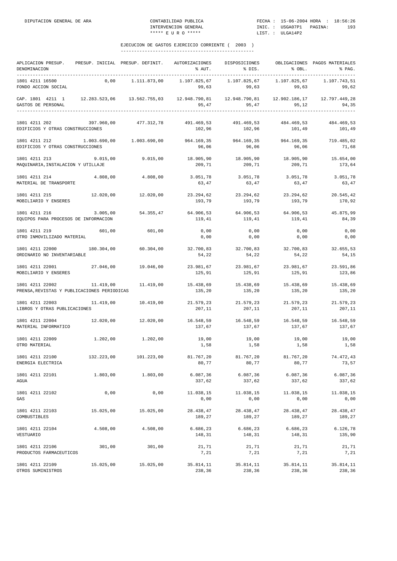| APLICACION PRESUP.<br>DENOMINACION                                                                                                                |            | PRESUP. INICIAL PRESUP. DEFINIT.                                                   | AUTORIZACIONES                                       | DISPOSICIONES<br>$\text{F}$ AUT. $\text{F}$ BIS.      | % OBL.              | OBLIGACIONES PAGOS MATERIALES<br>% PAG. |
|---------------------------------------------------------------------------------------------------------------------------------------------------|------------|------------------------------------------------------------------------------------|------------------------------------------------------|-------------------------------------------------------|---------------------|-----------------------------------------|
| 1801 4211 16500<br>FONDO ACCION SOCIAL                                                                                                            |            | $0,00$ 1.111.873,00                                                                | 1.107.825,67<br>99,63                                |                                                       | 99,63 99,63         | 1.107.743,51<br>99,62                   |
| CAP. 1801 4211 1 12.283.523,06 13.562.755,03 12.948.790,81 12.948.790,81 12.902.186,17 12.797.449,28<br>GASTOS DE PERSONAL<br>------------------- |            |                                                                                    | 95,47                                                | 95,47                                                 | 95,12               | 94.35                                   |
| 1801 4211 202<br>EDIFICIOS Y OTRAS CONSTRUCCIONES                                                                                                 |            | 397.960,00 477.312,78                                                              | 102,96                                               | 491.469,53 491.469,53 484.469,53 484.469,53<br>102,96 | 101,49              | 101,49                                  |
| 1801 4211 212 1.003.690,00 1.003.690,00<br>EDIFICIOS Y OTRAS CONSTRUCCIONES                                                                       |            |                                                                                    | 964.169,35 964.169,35 964.169,35 719.485,02<br>96,06 | 96,06                                                 | 96,06               | 71,68                                   |
| 1801 4211 213<br>MAQUINARIA, INSTALACION Y UTILLAJE                                                                                               |            | $9.015,00$ $9.015,00$                                                              | 18.905,90<br>209,71                                  | 18.905,90<br>209,71                                   | 18.905,90<br>209,71 | 15.654,00<br>173,64                     |
| 1801 4211 214<br>MATERIAL DE TRANSPORTE                                                                                                           | 4.808,00   | 4.808,00                                                                           | 3.051,78<br>63,47                                    | 3.051,78<br>63,47                                     | 3.051,78<br>63,47   | 3.051,78<br>63,47                       |
| 1801 4211 215<br>MOBILIARIO Y ENSERES                                                                                                             |            | 12.020,00 12.020,00                                                                | 193,79                                               | 23.294,62 23.294,62 23.294,62 20.545,42<br>193,79     | 193,79              | 170,92                                  |
| 1801 4211 216<br>EQUIPOS PARA PROCESOS DE INFORMACION                                                                                             |            | $3.005,00$ $54.355,47$ $64.906,53$ $64.906,53$ $64.906,53$ $64.906,53$ $45.875,99$ | 119,41                                               | 119,41                                                | 119,41              | 84,39                                   |
| 1801 4211 219<br>OTRO INMOVILIZADO MATERIAL                                                                                                       | 601,00     | 601,00                                                                             | 0,00<br>0,00                                         | 0,00<br>0,00                                          | 0,00<br>0,00        | 0,00<br>0,00                            |
| 1801 4211 22000<br>ORDINARIO NO INVENTARIABLE                                                                                                     | 180.304,00 |                                                                                    | 60.304,00 32.700,83 32.700,83<br>54,22               | 54,22                                                 | 54,22               | 32.700,83 32.655,53<br>54,15            |
| 1801 4211 22001 27.046,00 19.046,00<br>MOBILIARIO Y ENSERES                                                                                       |            |                                                                                    | 125,91                                               | 23.981,67 23.981,67 23.981,67 23.591,86<br>125,91     | 125,91              | 123,86                                  |
| 1801 4211 22002<br>PRENSA, REVISTAS Y PUBLICACIONES PERIODICAS                                                                                    |            | $11.419,00$ $11.419,00$                                                            | 15.438,69 15.438,69 15.438,69 15.438,69<br>135,20    | 135,20                                                | 135,20              | 135,20                                  |
| 1801 4211 22003<br>LIBROS Y OTRAS PUBLICACIONES                                                                                                   |            | 11.419,00 10.419,00                                                                | 207,11                                               | 21.579,23 21.579,23 21.579,23<br>207,11               | 207,11              | 21.579,23<br>207,11                     |
| 1801 4211 22004<br>MATERIAL INFORMATICO                                                                                                           |            | $12.020,00$ $12.020,00$                                                            | 16.548,59 16.548,59 16.548,59 16.548,59<br>137,67    | 137,67                                                | 137,67              | 137,67                                  |
| 1801 4211 22009<br>OTRO MATERIAL                                                                                                                  |            | $1.202,00$ $1.202,00$                                                              | 19,00<br>1,58                                        | 19,00<br>1,58                                         | 19,00<br>1,58       | 19,00<br>1,58                           |
| 1801 4211 22100<br>ENERGIA ELECTRICA                                                                                                              |            | $132.223.00$ $101.223.00$ $81.767.20$ $81.767.20$ $81.767.20$ $74.472.43$          | 80,77                                                | 80,77                                                 | 80,77               | 73,57                                   |
| 1801 4211 22101<br>AGUA                                                                                                                           | 1.803,00   | 1.803,00                                                                           | 6.087, 36<br>337,62                                  | 6.087,36<br>337,62                                    | 6.087, 36<br>337,62 | 6.087,36<br>337,62                      |
| 1801 4211 22102<br>GAS                                                                                                                            | 0,00       | 0,00                                                                               | 11.038,15<br>0,00                                    | 11.038,15<br>0,00                                     | 11.038,15<br>0,00   | 11.038,15<br>0,00                       |
| 1801 4211 22103<br>COMBUSTIBLES                                                                                                                   | 15.025,00  | 15.025,00                                                                          | 28.438,47<br>189,27                                  | 28.438,47<br>189,27                                   | 28.438,47<br>189,27 | 28.438,47<br>189,27                     |
| 1801 4211 22104<br>VESTUARIO                                                                                                                      | 4.508,00   | 4.508,00                                                                           | 6.686,23<br>148,31                                   | 6.686,23<br>148,31                                    | 6.686,23<br>148,31  | 6.126,78<br>135,90                      |
| 1801 4211 22106<br>PRODUCTOS FARMACEUTICOS                                                                                                        | 301,00     | 301,00                                                                             | 21,71<br>7,21                                        | 21,71<br>7,21                                         | 21,71<br>7,21       | 21,71<br>7,21                           |
| 1801 4211 22109<br>OTROS SUMINISTROS                                                                                                              | 15.025,00  | 15.025,00                                                                          | 35.814,11<br>238,36                                  | 35.814,11<br>238,36                                   | 35.814,11<br>238,36 | 35.814,11<br>238,36                     |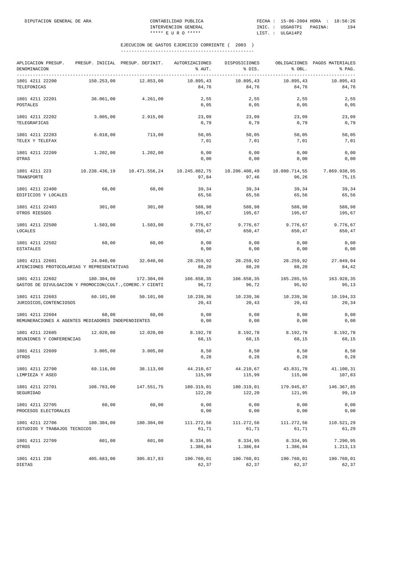| APLICACION PRESUP.<br>DENOMINACION                                          |               | PRESUP. INICIAL PRESUP. DEFINIT. | AUTORIZACIONES<br>% AUT. | DISPOSICIONES<br>% DIS. | % OBL.                 | OBLIGACIONES PAGOS MATERIALES<br>% PAG. |
|-----------------------------------------------------------------------------|---------------|----------------------------------|--------------------------|-------------------------|------------------------|-----------------------------------------|
| --------------<br>1801 4211 22200<br>TELEFONICAS                            | 150.253,00    | 12.853,00                        | 10.895,43<br>84,76       | 10.895,43<br>84,76      | 10.895,43<br>84,76     | ----------<br>10.895,43<br>84,76        |
| 1801 4211 22201<br>POSTALES                                                 | 36.061,00     | 4.261,00                         | 2,55<br>0,05             | 2,55<br>0,05            | 2,55<br>0,05           | 2,55<br>0,05                            |
| 1801 4211 22202<br>TELEGRAFICAS                                             | 3.005,00      | 2.915,00                         | 23,09<br>0,79            | 23,09<br>0,79           | 23,09<br>0,79          | 23,09<br>0,79                           |
| 1801 4211 22203<br>TELEX Y TELEFAX                                          | 6.010,00      | 713,00                           | 50,05<br>7,01            | 50,05<br>7,01           | 50,05<br>7,01          | 50,05<br>7,01                           |
| 1801 4211 22209<br>OTRAS                                                    | 1.202,00      | 1.202,00                         | 0,00<br>0,00             | 0,00<br>0,00            | 0,00<br>0,00           | 0,00<br>0,00                            |
| 1801 4211 223<br>TRANSPORTE                                                 | 10.238.436,19 | 10.471.556,24                    | 10.245.882,75<br>97,84   | 10.206.400,49<br>97,46  | 10.080.714,55<br>96,26 | 7.869.938,95<br>75,15                   |
| 1801 4211 22400<br>EDIFICIOS Y LOCALES                                      | 60,00         | 60,00                            | 39,34<br>65,56           | 39,34<br>65,56          | 39,34<br>65,56         | 39,34<br>65,56                          |
| 1801 4211 22403<br>OTROS RIESGOS                                            | 301,00        | 301,00                           | 588,98<br>195,67         | 588,98<br>195,67        | 588,98<br>195,67       | 588,98<br>195,67                        |
| 1801 4211 22500<br><b>LOCALES</b>                                           | 1.503,00      | 1.503,00                         | 9.776,67<br>650,47       | 9.776,67<br>650,47      | 9.776,67<br>650,47     | 9.776,67<br>650,47                      |
| 1801 4211 22502<br><b>ESTATALES</b>                                         | 60,00         | 60,00                            | 0,00<br>0,00             | 0,00<br>0,00            | 0,00<br>0,00           | 0,00<br>0,00                            |
| 1801 4211 22601<br>ATENCIONES PROTOCOLARIAS Y REPRESENTATIVAS               | 24.040,00     | 32.040,00                        | 28.259,92<br>88,20       | 28.259,92<br>88,20      | 28.259,92<br>88,20     | 27.049,04<br>84,42                      |
| 1801 4211 22602<br>GASTOS DE DIVULGACION Y PROMOCION(CULT., COMERC.Y CIENTI | 180.304,00    | 172.304,00                       | 166.658,35<br>96,72      | 166.658,35<br>96,72     | 165.285,55<br>95,92    | 163.928,35<br>95,13                     |
| 1801 4211 22603<br>JURIDICOS, CONTENCIOSOS                                  | 60.101,00     | 50.101,00                        | 10.239,36<br>20,43       | 10.239,36<br>20,43      | 10.239,36<br>20,43     | 10.194,33<br>20,34                      |
| 1801 4211 22604<br>REMUNERACIONES A AGENTES MEDIADORES INDEPENDIENTES       | 60,00         | 60,00                            | 0,00<br>0,00             | 0,00<br>0,00            | 0,00<br>0,00           | 0,00<br>0,00                            |
| 1801 4211 22605<br>REUNIONES Y CONFERENCIAS                                 | 12.020,00     | 12.020,00                        | 8.192,78<br>68,15        | 8.192,78<br>68,15       | 8.192,78<br>68,15      | 8.192,78<br>68,15                       |
| 1801 4211 22609<br>OTROS                                                    | 3.005,00      | 3.005,00                         | 8,50<br>0, 28            | 8,50<br>0,28            | 8,50<br>$0\, , 28$     | 8,50<br>0, 28                           |
| 1801 4211 22700<br>LIMPIEZA Y ASEO                                          | 69.116,00     | 38.113,00                        | 44.210,67<br>115,99      | 44.210,67<br>115,99     | 43.831,78<br>115,00    | 41.100,31<br>107,83                     |
| 1801 4211 22701<br>SEGURIDAD                                                | 108.783,00    | 147.551,75                       | 180.319,01<br>122,20     | 180.319,01<br>122,20    | 179.945,87<br>121,95   | 146.367,85<br>99,19                     |
| 1801 4211 22705<br>PROCESOS ELECTORALES                                     | 60,00         | 60,00                            | 0,00<br>0,00             | 0,00<br>0,00            | 0,00<br>0,00           | 0,00<br>0,00                            |
| 1801 4211 22706<br>ESTUDIOS Y TRABAJOS TECNICOS                             | 180.304,00    | 180.304,00                       | 111.272,56<br>61,71      | 111.272,56<br>61,71     | 111.272,56<br>61,71    | 110.521,29<br>61,29                     |
| 1801 4211 22709<br>OTROS                                                    | 601,00        | 601,00                           | 8.334,95<br>1.386,84     | 8.334,95<br>1.386,84    | 8.334,95<br>1.386,84   | 7.290,95<br>1.213,13                    |
| 1801 4211 230<br>DIETAS                                                     | 405.683,00    | 305.817,83                       | 190.760,01<br>62,37      | 190.760,01<br>62,37     | 190.760,01<br>62,37    | 190.760,01<br>62,37                     |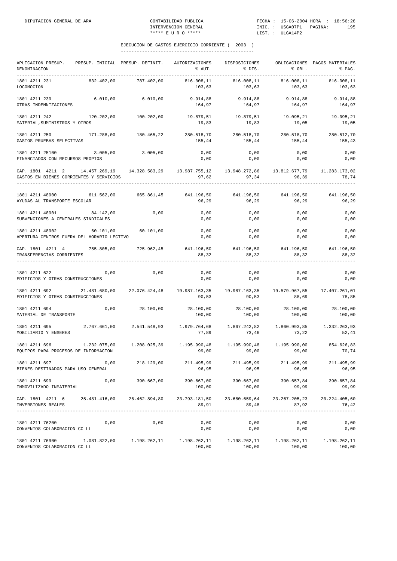| APLICACION PRESUP. PRESUP. INICIAL PRESUP. DEFINIT.<br>DENOMINACION<br>-------------------------------                                                                                                                                                                                                                  |              |                                                                   | AUTORIZACIONES<br>% AUT.                                             | DISPOSICIONES<br>% DIS.     | % OBL.                 | OBLIGACIONES PAGOS MATERIALES<br>% PAG. |
|-------------------------------------------------------------------------------------------------------------------------------------------------------------------------------------------------------------------------------------------------------------------------------------------------------------------------|--------------|-------------------------------------------------------------------|----------------------------------------------------------------------|-----------------------------|------------------------|-----------------------------------------|
| 1801 4211 231<br>LOCOMOCION                                                                                                                                                                                                                                                                                             | 832.402,00   | 787.402,00                                                        | 816.008,11<br>103,63                                                 | 816.008,11<br>103,63        | 816.008,11<br>103,63   | 816.008,11<br>103,63                    |
| 1801 4211 239<br>OTRAS INDEMNIZACIONES                                                                                                                                                                                                                                                                                  | 6.010,00     | 6.010,00                                                          | 164,97                                                               | 9.914,88 9.914,88<br>164,97 | 9.914,88<br>164,97     | 9.914,88<br>164,97                      |
| 1801 4211 242<br>MATERIAL, SUMINISTROS Y OTROS                                                                                                                                                                                                                                                                          |              | $120.202,00$ $100.202,00$                                         | 19.879,51 19.879,51 19.095,21<br>19,83                               | 19,83                       | 19,05                  | 19.095,21<br>19,05                      |
| 1801 4211 250 171.288,00 180.465,22 280.518,70 280.518,70 280.518,70<br>GASTOS PRUEBAS SELECTIVAS                                                                                                                                                                                                                       |              |                                                                   | 155,44                                                               |                             | 155,44 155,44          | 280.512,70<br>155,43                    |
| 1801 4211 25100<br>FINANCIADOS CON RECURSOS PROPIOS                                                                                                                                                                                                                                                                     |              | 3.005,00 3.005,00                                                 | 0,00<br>0,00                                                         | 0,00<br>0,00                | 0,00<br>0,00           | 0,00<br>0,00                            |
| CAP. 1801 4211 2 14.457.269,19 14.328.583,29 13.987.755,12 13.948.272,86 13.812.677,79 11.283.173,02<br>GASTOS EN BIENES CORRIENTES Y SERVICIOS                                                                                                                                                                         |              |                                                                   | 97,62                                                                | 97,34                       | 96,39                  | 78,74<br>------------                   |
| 1801 4211 48900 611.562,00 665.861,45 641.196,50 641.196,50 641.196,50 641.196,50<br>AYUDAS AL TRANSPORTE ESCOLAR                                                                                                                                                                                                       |              |                                                                   | 96,29                                                                | 96, 29                      | 96,29                  | 96,29                                   |
| 1801 4211 48901 84.142,00<br>SUBVENCIONES A CENTRALES SINDICALES                                                                                                                                                                                                                                                        |              | 0,00                                                              | 0,00<br>0,00                                                         | 0,00<br>0,00                | 0,00<br>0,00           | 0,00<br>0,00                            |
| 1801 4211 48902<br>APERTURA CENTROS FUERA DEL HORARIO LECTIVO                                                                                                                                                                                                                                                           |              | 60.101,00 60.101,00                                               | 0,00<br>0,00                                                         | 0,00<br>0,00                | 0,00<br>0,00           | 0,00<br>0,00                            |
| CAP. 1801 4211 4<br>TRANSFERENCIAS CORRIENTES                                                                                                                                                                                                                                                                           |              | 755.805,00 725.962,45 641.196,50 641.196,50 641.196,50 641.196,50 | 88,32                                                                | 88,32                       | 88,32                  | 88,32                                   |
| 1801 4211 622<br>EDIFICIOS Y OTRAS CONSTRUCCIONES                                                                                                                                                                                                                                                                       | 0,00         | 0,00                                                              | 0,00<br>0,00                                                         | $0,00$<br>0,00              | 0,00<br>0,00           | 0,00<br>0,00                            |
| 1801 4211 692   21.481.680,00   22.076.424,48   19.987.163,35   19.987.163,35   19.579.967,55   17.407.261,01<br>EDIFICIOS Y OTRAS CONSTRUCCIONES                                                                                                                                                                       |              |                                                                   | 90,53                                                                | 90,53                       | 88,69                  | 78,85                                   |
| 1801 4211 694<br>MATERIAL DE TRANSPORTE                                                                                                                                                                                                                                                                                 |              | $0,00$ 28.100,00                                                  | 28.100,00 28.100,00 28.100,00 28.100,00<br>100,00                    | 100,00                      | 100,00                 | 100,00                                  |
| 1801 4211 695<br>MOBILIARIO Y ENSERES                                                                                                                                                                                                                                                                                   |              | 2.767.661,00 2.541.548,93                                         | 77,89                                                                |                             | 73,46 73,22            | 52,41                                   |
| 1801 4211 696<br>EQUIPOS PARA PROCESOS DE INFORMACION                                                                                                                                                                                                                                                                   | 1.232.075,00 |                                                                   | $1.208.025,39$ $1.195.990,48$ $1.195.990,48$ $1.195.990,00$<br>99,00 | 99,00                       | 99,00                  | 854.626,83<br>70,74                     |
| 1801 4211 697<br>BIENES DESTINADOS PARA USO GENERAL                                                                                                                                                                                                                                                                     | 0,00         | 218.129,00                                                        | 211.495,99<br>96,95                                                  | 211.495,99<br>96,95         | 211.495,99<br>96,95    | 211.495,99<br>96,95                     |
| 1801 4211 699<br>INMOVILIZADO INMATERIAL                                                                                                                                                                                                                                                                                | 0,00         | 390.667,00                                                        | 390.667,00<br>100,00                                                 | 390.667,00<br>100,00        | 390.657,84<br>99,99    | 390.657,84<br>99,99                     |
| CAP. 1801 4211 6<br>INVERSIONES REALES                                                                                                                                                                                                                                                                                  |              | 25.481.416,00 26.462.894,80                                       | 23.793.181,50<br>89,91                                               | 23.680.659,64<br>89,48      | 23.267.205,23<br>87,92 | 20.224.405,60<br>76,42                  |
| 1801 4211 76200<br>CONVENIOS COLABORACION CC LL                                                                                                                                                                                                                                                                         | 0,00         | 0,00                                                              | 0,00<br>0,00                                                         | 0,00<br>0,00                | 0,00<br>0,00           | 0,00<br>0,00                            |
| $1801\hspace{0.1cm} 4211\hspace{0.1cm} 76900\hspace{1.8cm} 1.081.822\, , 00\hspace{1.8cm} 1.198.262\, , 11\hspace{1.8cm} 1.198.262\, , 11\hspace{1.8cm} 1.198.262\, , 11\hspace{1.8cm} 1.198.262\, , 11\hspace{1.8cm} 1.198.262\, , 11\hspace{1.8cm} 1.198.262\, , 11\hspace{1.8cm} 1.$<br>CONVENIOS COLABORACION CC LL |              |                                                                   | 100,00                                                               | 100,00                      | 100,00                 | 100,00                                  |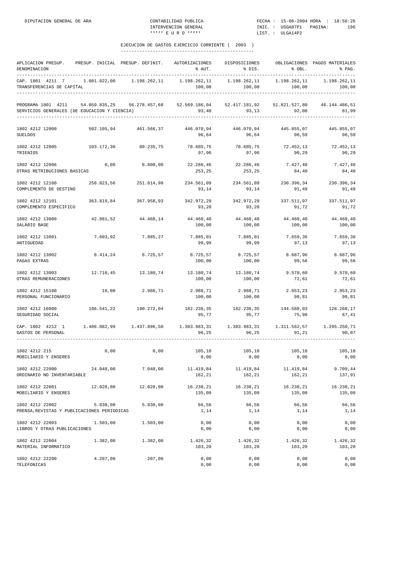| APLICACION PRESUP.<br>DENOMINACION                                                                                                                     |           | PRESUP. INICIAL PRESUP. DEFINIT. AUTORIZACIONES                                       |                                                 | DISPOSICIONES                  |                             | OBLIGACIONES PAGOS MATERIALES<br>% PAG. |
|--------------------------------------------------------------------------------------------------------------------------------------------------------|-----------|---------------------------------------------------------------------------------------|-------------------------------------------------|--------------------------------|-----------------------------|-----------------------------------------|
| CAP. 1801 4211 7 1.081.822,00 1.198.262,11 1.198.262,11<br>TRANSFERENCIAS DE CAPITAL                                                                   |           |                                                                                       |                                                 | 1.198.262,11 1.198.262,11      |                             | 1.198.262.11                            |
| PROGRAMA 1801 4211 54.059.835,25 56.278.457,68 52.569.186,04 52.417.181,92 51.821.527,80 46.144.486,51<br>SERVICIOS GENERALES (DE EDUCACION Y CIENCIA) |           |                                                                                       |                                                 |                                |                             | 81,99                                   |
| 1802 4212 12000<br><b>SUELDOS</b>                                                                                                                      |           | 502.105,94     461.566,37     446.070,94     446.070,94     445.855,07     445.855,07 | 96,64                                           | 96,64                          | 96,59                       | 96,59                                   |
| 1802 4212 12005 103.172,30<br>TRIENIOS                                                                                                                 |           | 80.235,75                                                                             | 78.605,75<br>97,96                              | 78.605,75<br>97,96             | 72.452,13<br>90,29          | 72.452,13<br>90,29                      |
| 1802 4212 12006<br>OTRAS RETRIBUCIONES BASICAS                                                                                                         | 0,00      | 8.800,00                                                                              | 22.286,46 22.286,46 7.427,48 7.427,48<br>253,25 | 253,25                         | 84,40                       | 84,40                                   |
| 1802 4212 12100<br>COMPLEMENTO DE DESTINO                                                                                                              |           | 258.823,56 251.814,98                                                                 | 234.561,09<br>93,14                             | 234.561,09<br>93,14            | 230.396,34<br>91,49         | 230.396,34<br>91,49                     |
| 1802 4212 12101<br>COMPLEMENTO ESPECIFICO                                                                                                              |           | 363.819,84 367.958,93                                                                 | 342.972,29<br>93,20                             | 342.972,29<br>93,20            | 337.511,97<br>91,72         | 337.511,97<br>91,72                     |
| 1802 4212 13000<br>SALARIO BASE                                                                                                                        | 42.881,52 | 44.468,14                                                                             | 44.468,40<br>100,00                             | 44.468,40<br>100,00            | 44.468,40<br>100,00         | 44.468,40<br>100,00                     |
| 1802 4212 13001<br>ANTIGUEDAD                                                                                                                          |           | 7.603.92 7.885.27                                                                     | 7.885,01<br>99,99                               | 7.885,01<br>99,99              | 7.659, 36<br>97,13          | 7.659,36<br>97,13                       |
| 1802 4212 13002<br>PAGAS EXTRAS                                                                                                                        |           | 8.414,24 8.725,57                                                                     | 8.725,57<br>100,00                              | 8.725,57<br>100,00             | 8.687,96<br>99,56           | 8.687,96<br>99,56                       |
| 1802 4212 13003<br>OTRAS REMUNERACIONES                                                                                                                |           | 12.710,45    13.180,74    13.180,74    13.180,74                                      | 100,00                                          | 100,00                         | 9.570,60<br>72,61           | 9.570,60<br>72,61                       |
| 1802 4212 15100<br>PERSONAL FUNCIONARIO                                                                                                                |           | 10,00 2.988,71                                                                        | 100,00                                          | 2.988,71 2.988,71<br>100,00    | 2.953,23<br>98,81           | 2.953,23<br>98,81                       |
| 1802 4212 16000<br>SEGURIDAD SOCIAL                                                                                                                    |           | 186.541,22 190.272,04 182.238,35 182.238,35 144.580,03 128.268,17                     | 95,77                                           | 95,77                          | 75,98                       | 67,41                                   |
| CAP. 1802 4212 1 1.486.082,99 1.437.896,50 1.383.983,31 1.383.983,31 1.311.562,57 1.295.250,71<br>GASTOS DE PERSONAL                                   |           |                                                                                       | 96,25                                           | 96, 25                         | 91, 21                      | 90,07                                   |
| 1802 4212 215<br>MOBILIARIO Y ENSERES                                                                                                                  | 0,00      | 0,00                                                                                  | 105,18                                          | 105,18<br>$0,00$ $0,00$ $0,00$ | 105,18                      | 105,18<br>0,00                          |
| 1802 4212 22000<br>ORDINARIO NO INVENTARIABLE                                                                                                          | 24.040,00 | 7.040,00                                                                              | 11.419,84<br>162,21                             | 11.419,84<br>162,21            | 11.419,84<br>162,21         | 9.709,44<br>137,91                      |
| 1802 4212 22001<br>MOBILIARIO Y ENSERES                                                                                                                |           | 12.020,00 12.020,00                                                                   | 16.238,21<br>135,09                             | 16.238,21<br>135,09            | 16.238,21<br>135,09         | 16.238,21<br>135,09                     |
| 1802 4212 22002<br>PRENSA, REVISTAS Y PUBLICACIONES PERIODICAS                                                                                         | 5.830,00  | 5.830,00                                                                              | 66,56<br>1,14                                   | 66,56<br>1,14                  | 66,56<br>1,14               | 66,56<br>1,14                           |
| 1802 4212 22003<br>LIBROS Y OTRAS PUBLICACIONES                                                                                                        | 1.503,00  | 1.503,00                                                                              | 0,00<br>0,00                                    | 0,00<br>0,00                   | 0,00<br>0,00                | 0,00<br>0,00                            |
| 1802 4212 22004<br>MATERIAL INFORMATICO                                                                                                                | 1.382,00  | 1.382,00                                                                              | 1.426,32<br>103,20                              | 103,20                         | 1.426,32 1.426,32<br>103,20 | 1.426,32<br>103,20                      |
| 1802 4212 22200<br>TELEFONICAS                                                                                                                         | 4.207,00  | 207,00                                                                                | 0,00<br>0,00                                    | 0,00<br>0,00                   | 0,00<br>0,00                | 0,00<br>0,00                            |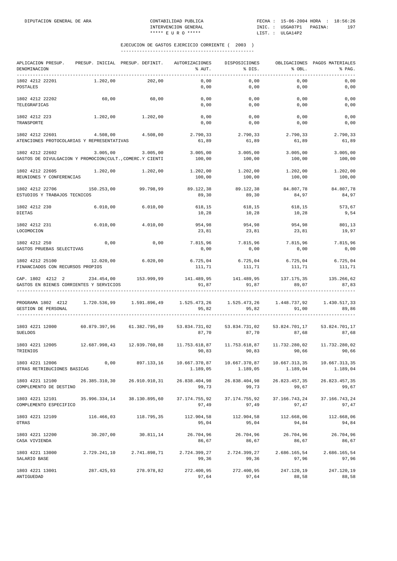| APLICACION PRESUP.<br>DENOMINACION                                                | PRESUP. INICIAL PRESUP. DEFINIT. |               | AUTORIZACIONES<br>% AUT.  | DISPOSICIONES<br>% DIS.   | % OBL.                                  | OBLIGACIONES PAGOS MATERIALES<br>% PAG. |
|-----------------------------------------------------------------------------------|----------------------------------|---------------|---------------------------|---------------------------|-----------------------------------------|-----------------------------------------|
| 1802 4212 22201<br>POSTALES                                                       | 1.202,00                         | 202,00        | 0,00<br>0,00              | 0,00<br>0,00              | 0,00<br>0,00                            | 0,00<br>0,00                            |
| 1802 4212 22202<br>TELEGRAFICAS                                                   | 60,00                            | 60,00         | 0,00<br>0,00              | 0,00<br>0,00              | 0,00<br>0,00                            | 0,00<br>0,00                            |
| 1802 4212 223<br>TRANSPORTE                                                       | 1.202,00                         | 1.202,00      | 0,00<br>0,00              | 0,00<br>0,00              | 0,00<br>0,00                            | 0,00<br>0,00                            |
| 1802 4212 22601<br>ATENCIONES PROTOCOLARIAS Y REPRESENTATIVAS                     | 4.508,00                         | 4.508,00      | 2.790,33<br>61,89         | 2.790,33<br>61,89         | 2.790,33<br>61,89                       | 2.790,33<br>61,89                       |
| 1802 4212 22602<br>GASTOS DE DIVULGACION Y PROMOCION(CULT., COMERC.Y CIENTI       | 3.005,00                         | 3.005,00      | 3.005,00<br>100,00        | 3.005,00<br>100,00        | 3.005,00<br>100,00                      | 3.005,00<br>100,00                      |
| 1802 4212 22605<br>REUNIONES Y CONFERENCIAS                                       | 1.202,00                         | 1.202,00      | 1.202,00<br>100,00        | 1.202,00<br>100,00        | 1.202,00<br>100,00                      | 1.202,00<br>100,00                      |
| 1802 4212 22706<br>ESTUDIOS Y TRABAJOS TECNICOS                                   | 150.253,00                       | 99.798,99     | 89.122,38<br>89,30        | 89.122,38<br>89,30        | 84.807,78<br>84,97                      | 84.807,78<br>84,97                      |
| 1802 4212 230<br>DIETAS                                                           | 6.010,00                         | 6.010,00      | 618,15<br>10,28           | 618,15<br>10,28           | 618,15<br>10,28                         | 573,67<br>9,54                          |
| 1802 4212 231<br>LOCOMOCION                                                       | 6.010,00                         | 4.010,00      | 954,98<br>23,81           | 954,98<br>23,81           | 954,98<br>23,81                         | 801,13<br>19,97                         |
| 1802 4212 250<br>GASTOS PRUEBAS SELECTIVAS                                        | 0,00                             | 0,00          | 7.815,96<br>0,00          | 7.815,96<br>0,00          | 7.815,96<br>0,00                        | 7.815,96<br>0,00                        |
| 1802 4212 25100<br>FINANCIADOS CON RECURSOS PROPIOS                               | 12.020,00                        | 6.020,00      | 6.725,04<br>111,71        | 6.725,04<br>111,71        | 6.725,04<br>111,71                      | 6.725,04<br>111,71                      |
| CAP. 1802 4212 2 234.454,00 153.999,99<br>GASTOS EN BIENES CORRIENTES Y SERVICIOS |                                  |               | 141.489,95<br>91,87       | 141.489,95<br>91,87       | 137.175,35<br>89,07                     | 135.266,62<br>87,83                     |
| PROGRAMA 1802 4212<br>GESTION DE PERSONAL                                         | 1.720.536,99 1.591.896,49        |               | 1.525.473,26<br>95,82     | 1.525.473,26<br>95,82     | 1.448.737,92<br>91,00                   | 1.430.517,33<br>89,86                   |
| 1803 4221 12000<br><b>SUELDOS</b>                                                 | 60.879.397,96    61.382.795,89   |               | 53.834.731,02<br>87,70    | 87,70                     | 53.834.731,02 53.824.701,17<br>87.68    | 53.824.701,17<br>87,68                  |
| 1803 4221 12005<br>TRIENIOS                                                       | 12.687.998,43                    | 12.939.760,88 | 11.753.618,87<br>90,83    | 90,83                     | 11.753.618.87    11.732.280.02<br>90,66 | 11.732.280,02<br>90,66                  |
| 1803 4221 12006<br>OTRAS RETRIBUCIONES BASICAS                                    | 0,00                             | 897.133,16    | 10.667.370,87<br>1.189,05 | 10.667.370,87<br>1.189,05 | 10.667.313,35<br>1.189,04               | 10.667.313,35<br>1.189,04               |
| 1803 4221 12100<br>COMPLEMENTO DE DESTINO                                         | 26.385.310,30                    | 26.910.910,31 | 26.838.404,98<br>99,73    | 26.838.404,98<br>99,73    | 26.823.457,35<br>99,67                  | 26.823.457,35<br>99,67                  |
| 1803 4221 12101<br>COMPLEMENTO ESPECIFICO                                         | 35.996.334,14                    | 38.130.895,60 | 37.174.755,92<br>97,49    | 37.174.755,92<br>97,49    | 37.166.743,24<br>97,47                  | 37.166.743,24<br>97,47                  |
| 1803 4221 12109<br>OTRAS                                                          | 116.466,03                       | 118.795,35    | 112.904,58<br>95,04       | 112.904,58<br>95,04       | 112,668,06<br>94,84                     | 112.668,06<br>94,84                     |
| 1803 4221 12200<br>CASA VIVIENDA                                                  | 30.207,00                        | 30.811,14     | 26.704,96<br>86,67        | 26.704,96<br>86,67        | 26.704,96<br>86,67                      | 26.704,96<br>86,67                      |
| 1803 4221 13000<br>SALARIO BASE                                                   | 2.729.241,10                     | 2.741.898,71  | 2.724.399,27<br>99,36     | 2.724.399,27<br>99,36     | 2.686.165,54<br>97,96                   | 2.686.165,54<br>97,96                   |
| 1803 4221 13001<br>ANTIGUEDAD                                                     | 287.425,93                       | 278.978,82    | 272.400,95<br>97,64       | 272.400,95<br>97,64       | 247.120,19<br>88,58                     | 247.120,19<br>88,58                     |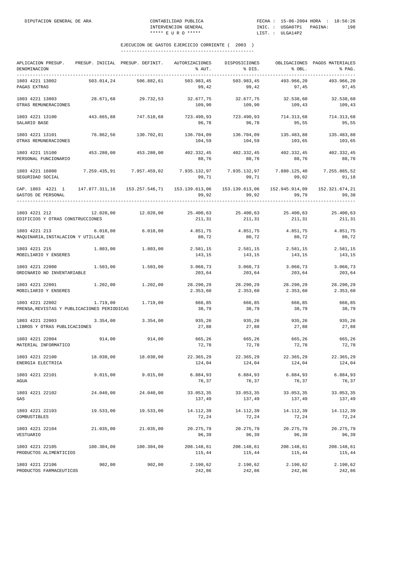| APLICACION PRESUP.<br>DENOMINACION<br>------------------------------------                                        |            | PRESUP. INICIAL PRESUP. DEFINIT. | AUTORIZACIONES<br>% AUT.                          | DISPOSICIONES<br>% DIS.                         | % OBL.                | OBLIGACIONES PAGOS MATERIALES<br>% PAG. |
|-------------------------------------------------------------------------------------------------------------------|------------|----------------------------------|---------------------------------------------------|-------------------------------------------------|-----------------------|-----------------------------------------|
| 1803 4221 13002<br>PAGAS EXTRAS                                                                                   | 503.014,24 | 506.882,61                       | 503.983,45<br>99,42                               | 503.983,45<br>99,42                             | 493.966,20<br>97,45   | 493.966,20<br>97,45                     |
| 1803 4221 13003<br>OTRAS REMUNERACIONES                                                                           | 28.671,68  | 29.732,53                        | 32.677,75<br>109,90                               | 32.677,75<br>109,90                             | 32.538,60<br>109,43   | 32.538,60<br>109,43                     |
| 1803 4221 13100<br>SALARIO BASE                                                                                   | 443.665,88 | 747.510,68                       | 723.490,93 723.490,93 714.313,68<br>96,78         | 96,78                                           | 95,55                 | 714.313,68<br>95,55                     |
| 1803 4221 13101<br>OTRAS REMUNERACIONES                                                                           | 76.862,56  | 130.702,01                       | 136.704,09<br>104,59                              | 136.704,09<br>104,59                            | 135.483,88<br>103,65  | 135.483,88<br>103,65                    |
| 1803 4221 15100<br>PERSONAL FUNCIONARIO                                                                           | 453.280,00 | 453.280,00                       | 402.332,45<br>88,76                               | 402.332,45<br>88,76                             | 402.332,45<br>88,76   | 402.332,45<br>88,76                     |
| 1803 4221 16000<br>SEGURIDAD SOCIAL                                                                               |            | 7.259.435,91 7.957.459,02        | 99,71                                             | 7.935.132,97 7.935.132,97 7.880.125,40<br>99,71 | 99,02                 | 7.255.885,52<br>91,18                   |
| CAP. 1803 4221 1 147.877.311.16 153.257.546.71 153.139.613.06 153.139.613.06 152.945.914.09<br>GASTOS DE PERSONAL |            |                                  | 99,92                                             | 99,92                                           | 99,79                 | 152.321.674,21<br>99,38                 |
| 1803 4221 212<br>EDIFICIOS Y OTRAS CONSTRUCCIONES                                                                 |            | $12.020,00$ $12.020,00$          | 25.400,63 25.400,63 25.400,63 25.400,63<br>211,31 | 211,31                                          | 211,31                | 211,31                                  |
| 1803 4221 213<br>MAQUINARIA, INSTALACION Y UTILLAJE                                                               | 6.010,00   | 6.010,00                         | 4.851,75<br>80,72                                 | 4.851,75<br>80,72                               | 4.851,75<br>80,72     | 4.851,75<br>80,72                       |
| 1803 4221 215<br>MOBILIARIO Y ENSERES                                                                             | 1.803,00   | 1.803,00                         | 2.581,15<br>143,15                                | 2.581,15<br>143,15                              | 2.581,15<br>143,15    | 2.581,15<br>143,15                      |
| 1803 4221 22000<br>ORDINARIO NO INVENTARIABLE                                                                     | 1.503,00   | 1.503,00                         | 3.060,73<br>203,64                                | 3.060, 73<br>203,64                             | 3.060, 73<br>203,64   | 3.060,73<br>203,64                      |
| 1803 4221 22001<br>MOBILIARIO Y ENSERES                                                                           | 1.202,00   | 1.202,00                         | 2.353,60                                          | 28.290,29 28.290,29<br>2.353,60                 | 28.290,29<br>2.353,60 | 28.290,29<br>2.353,60                   |
| 1803 4221 22002<br>PRENSA, REVISTAS Y PUBLICACIONES PERIODICAS                                                    | 1.719,00   | 1.719,00                         | 666,85<br>38,79                                   | 666,85<br>38,79                                 | 666,85<br>38,79       | 666,85<br>38,79                         |
| 1803 4221 22003<br>LIBROS Y OTRAS PUBLICACIONES                                                                   | 3.354,00   | 3.354,00                         | 935,26<br>27,88                                   | 935,26<br>27,88                                 | 935,26<br>27,88       | 935,26<br>27,88                         |
| 1803 4221 22004<br>MATERIAL INFORMATICO                                                                           | 914,00     | 914,00                           | 665,26<br>72,78                                   | 665,26<br>72,78                                 | 665,26<br>72,78       | 665,26<br>72,78                         |
| 1803 4221 22100<br>ENERGIA ELECTRICA                                                                              | 18.030,00  | 18.030,00                        | 22.365.29<br>124,04                               | 22.365.29<br>124,04                             | 22.365,29<br>124,04   | 22.365.29<br>124,04                     |
| 1803 4221 22101<br>AGUA                                                                                           | 9.015,00   | 9.015,00                         | 6.884,93<br>76,37                                 | 6.884,93<br>76,37                               | 6.884,93<br>76,37     | 6.884,93<br>76,37                       |
| 1803 4221 22102<br>GAS                                                                                            | 24.040,00  | 24.040,00                        | 33.053,35<br>137,49                               | 33.053,35<br>137,49                             | 33.053,35<br>137,49   | 33.053,35<br>137,49                     |
| 1803 4221 22103<br>COMBUSTIBLES                                                                                   | 19.533,00  | 19.533,00                        | 14.112,39<br>72,24                                | 14.112,39<br>72,24                              | 14.112,39<br>72,24    | 14.112,39<br>72,24                      |
| 1803 4221 22104<br>VESTUARIO                                                                                      | 21.035,00  | 21.035,00                        | 20.275,79<br>96,39                                | 20.275,79<br>96,39                              | 20.275,79<br>96,39    | 20.275,79<br>96,39                      |
| 1803 4221 22105<br>PRODUCTOS ALIMENTICIOS                                                                         | 180.304,00 | 180.304,00                       | 208.148,61<br>115,44                              | 208.148,61<br>115,44                            | 208.148,61<br>115,44  | 208.148,61<br>115,44                    |
| 1803 4221 22106<br>PRODUCTOS FARMACEUTICOS                                                                        | 902,00     | 902,00                           | 2.190,62<br>242,86                                | 2.190,62<br>242,86                              | 2.190,62<br>242,86    | 2.190,62<br>242,86                      |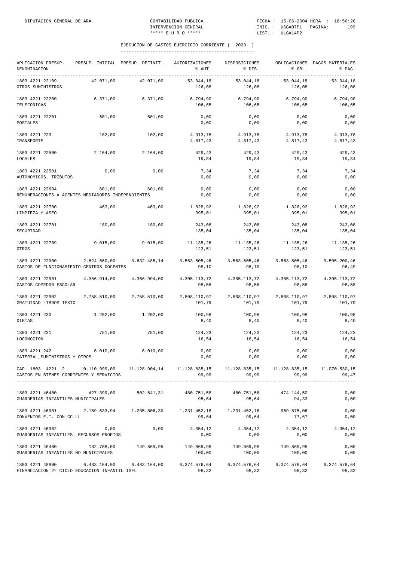| APLICACION PRESUP.<br>DENOMINACION                                                                                                              |              | PRESUP. INICIAL PRESUP. DEFINIT. | AUTORIZACIONES<br>% AUT. | DISPOSICIONES<br>% DIS.                         | % OBL.                 | OBLIGACIONES PAGOS MATERIALES<br>% PAG. |
|-------------------------------------------------------------------------------------------------------------------------------------------------|--------------|----------------------------------|--------------------------|-------------------------------------------------|------------------------|-----------------------------------------|
| 1803 4221 22109<br>OTROS SUMINISTROS                                                                                                            | 42.071,00    | 42.071,00                        | 53.044,18<br>126,08      | 53.044,18<br>126,08                             | 53.044,18<br>126,08    | 53.044,18<br>126,08                     |
| 1803 4221 22200<br>TELEFONICAS                                                                                                                  | 6.371,00     | 6.371,00                         | 6.794,90<br>106,65       | 6.794,90<br>106,65                              | 6.794,90<br>106,65     | 6.794,90<br>106,65                      |
| 1803 4221 22201<br>POSTALES                                                                                                                     | 601,00       | 601,00                           | 0,00<br>0,00             | 0,00<br>0,00                                    | 0,00<br>0,00           | 0,00<br>0,00                            |
| 1803 4221 223<br>TRANSPORTE                                                                                                                     | 102,00       | 102,00                           | 4.913,78<br>4.817,43     | 4.913,78<br>4.817,43                            | 4.913,78<br>4.817,43   | 4.913,78<br>4.817,43                    |
| 1803 4221 22500<br>LOCALES                                                                                                                      | 2.164,00     | 2.164,00                         | 429,43<br>19,84          | 429,43<br>19,84                                 | 429,43<br>19,84        | 429,43<br>19,84                         |
| 1803 4221 22501<br>AUTONOMICOS. TRIBUTOS                                                                                                        | 0,00         | 0,00                             | 7,34<br>0,00             | 7,34<br>0,00                                    | 7,34<br>0,00           | 7,34<br>0,00                            |
| 1803 4221 22604<br>REMUNERACIONES A AGENTES MEDIADORES INDEPENDIENTES                                                                           | 601,00       | 601,00                           | 0,00<br>0,00             | 0,00<br>0,00                                    | 0,00<br>0,00           | 0,00<br>0,00                            |
| 1803 4221 22700<br>LIMPIEZA Y ASEO                                                                                                              | 463,00       | 463,00                           | 1.828,92<br>395,01       | 1.828,92<br>395,01                              | 1.828,92<br>395,01     | 1.828,92<br>395,01                      |
| 1803 4221 22701<br>SEGURIDAD                                                                                                                    | 180,00       | 180,00                           | 243,08<br>135,04         | 243,08<br>135,04                                | 243,08<br>135,04       | 243,08<br>135,04                        |
| 1803 4221 22709<br>OTROS                                                                                                                        | 9.015,00     | 9.015,00                         | 11.135,26<br>123,51      | 11.135,26<br>123,51                             | 11.135,26<br>123,51    | 11.135,26<br>123,51                     |
| 1803 4221 22900<br>GASTOS DE FUNCIONAMIENTO CENTROS DOCENTES                                                                                    | 2.624.660,00 | 3.632.485,14                     | 98,10                    | 3.563.505,46 3.563.505,46 3.563.505,46<br>98,10 | 98,10                  | 3.505.200,46<br>96,49                   |
| 1803 4221 22901<br>GASTOS COMEDOR ESCOLAR                                                                                                       | 4.356.914,00 | 4.366.994,00                     | 4.305.113,72<br>98,58    | 4.305.113,72<br>98,58                           | 4.305.113,72<br>98,58  | 4.305.113,72<br>98,58                   |
| 1803 4221 22902<br>GRATUIDAD LIBROS TEXTO                                                                                                       | 2.758.510,00 | 2.758.510,00                     | 2.808.110,97<br>101,79   | 2.808.110,97<br>101,79                          | 2.808.110,97<br>101,79 | 2.808.110,97<br>101,79                  |
| 1803 4221 230<br>DIETAS                                                                                                                         | 1.202,00     | 1.202,00                         | 100,98<br>8,40           | 100,98<br>8,40                                  | 100,98<br>8,40         | 100,98<br>8,40                          |
| 1803 4221 231<br>LOCOMOCION                                                                                                                     | 751,00       | 751,00                           | 124,23<br>16,54          | 124,23<br>16,54                                 | 124,23<br>16,54        | 124,23<br>16,54                         |
| 1803 4221 242<br>MATERIAL, SUMINISTROS Y OTROS                                                                                                  | 6.010,00     | 6.010,00                         | 0,00<br>0,00             | 0,00<br>0,00                                    | 0,00<br>0,00           | 0,00<br>0,00                            |
| CAP. 1803 4221 2 10.110.999,00 11.128.904,14 11.128.835,15 11.128.835,15 11.128.835,15 11.070.530,15<br>GASTOS EN BIENES CORRIENTES Y SERVICIOS |              |                                  | 99,99                    | 99,99                                           | 99.99                  | 99,47                                   |
| 1803 4221 46400 427.399,00 502.641,31 480.751,58 480.751,58 474.144,50<br>GUARDERIAS INFANTILES MUNICIPALES                                     |              |                                  | 95,64                    | 95,64                                           | 94,33                  | 0,00<br>0,00                            |
| 1803 4221 46901 2.159.633,94 1.235.806,30 1.231.452,18 1.231.452,18<br>CONVENIOS E.I. CON CC.LL                                                 |              |                                  | 99,64                    | 99,64                                           | 959.875,06<br>77,67    | 0,00<br>0,00                            |
| 1803 4221 46902<br>GUARDERIAS INFANTILES. RECURSOS PROPIOS                                                                                      | 0,00         | 0,00                             | 4.354,12<br>0,00         | 4.354,12<br>0,00                                | 4.354,12<br>0,00       | 4.354,12<br>0,00                        |
| 1803 4221 48400 182.708,00<br>GUARDERIAS INFANTILES NO MUNICIPALES                                                                              |              | 149.869,95                       | 149.869,95<br>100,00     | 149.869,95<br>100,00                            | 149.869,95<br>100,00   | 0,00<br>0,00                            |
| 1803 4221 48900 6.483.164,00 6.483.164,00 6.374.576,64 6.374.576,64 6.374.576,64 6.374.576,64<br>FINANCIACION 2º CICLO EDUCACION INFANTIL ISFL  |              |                                  | 98,32                    | 98,32                                           | 98,32                  | 98,32                                   |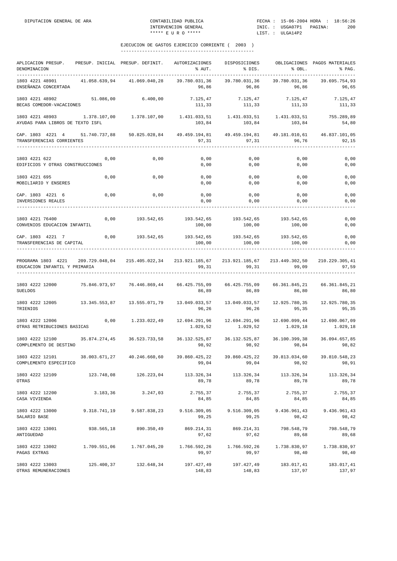| APLICACION PRESUP.<br>DENOMINACION                                                                                             |               | PRESUP. INICIAL PRESUP. DEFINIT.                                                         | AUTORIZACIONES<br>% AUT.  | DISPOSICIONES<br>% DIS.                                 | % OBL.                               | OBLIGACIONES PAGOS MATERIALES<br>% PAG.<br>---------------------------------- |
|--------------------------------------------------------------------------------------------------------------------------------|---------------|------------------------------------------------------------------------------------------|---------------------------|---------------------------------------------------------|--------------------------------------|-------------------------------------------------------------------------------|
| 1803 4221 48901<br>ENSEÑANZA CONCERTADA                                                                                        | 41.058.639,94 | 41.069.040,28                                                                            | 39.780.031,36<br>96,86    | 39.780.031,36<br>96,86                                  | 39.780.031,36<br>96,86               | 39.695.754,93<br>96,65                                                        |
| 1803 4221 48902<br>BECAS COMEDOR-VACACIONES                                                                                    | 51.086,00     | 6.400,00                                                                                 | 7.125,47                  | 7.125,47<br>111, 33 111, 33                             | 7.125,47<br>111,33                   | 7.125,47<br>111,33                                                            |
| 1803 4221 48903<br>AYUDAS PARA LIBROS DE TEXTO ISFL                                                                            | 1.378.107,00  | 1.378.107,00                                                                             | 103,84                    | 103,84                                                  | 103,84                               | 755.289,89<br>54,80                                                           |
| CAP. 1803 4221 4 51.740.737,88<br>TRANSFERENCIAS CORRIENTES                                                                    |               | 50.825.028,84                                                                            | 97,31                     | 49.459.194,81 49.459.194,81 49.181.010,61 46.837.101,05 | 97, 31 96, 76                        | 92,15                                                                         |
| 1803 4221 622<br>EDIFICIOS Y OTRAS CONSTRUCCIONES                                                                              | 0,00          | 0,00                                                                                     | 0,00<br>0,00              | 0,00<br>0,00                                            | 0,00<br>0,00                         | 0,00<br>0,00                                                                  |
| 1803 4221 695<br>MOBILIARIO Y ENSERES                                                                                          | 0,00          | 0,00                                                                                     | 0,00<br>0,00              | 0,00<br>0,00                                            | 0,00<br>0,00                         | 0,00<br>0,00                                                                  |
| CAP. 1803 4221 6<br>INVERSIONES REALES                                                                                         | 0,00          | 0,00                                                                                     | 0,00<br>0,00              | 0,00<br>0,00                                            | 0,00<br>0,00                         | 0,00<br>0,00                                                                  |
| 1803 4221 76400<br>CONVENIOS EDUCACION INFANTIL                                                                                |               | 0,00 193.542,65                                                                          | 100,00                    | 193.542,65 193.542,65 193.542,65<br>100,00              | 100,00                               | 0,00<br>0,00                                                                  |
| CAP. 1803 4221 7<br>TRANSFERENCIAS DE CAPITAL                                                                                  | 0,00          | 193.542,65 193.542,65 193.542,65 193.542,65                                              | 100,00                    | 100,00                                                  | 100,00                               | 0,00<br>0,00                                                                  |
| PROGRAMA 1803 4221 209.729.048,04 215.405.022,34 213.921.185,67 213.921.185,67 213.449.302,50<br>EDUCACION INFANTIL Y PRIMARIA |               |                                                                                          | 99,31                     | 99,31                                                   | 99,09                                | 210.229.305,41<br>97,59                                                       |
| 1803 4222 12000<br><b>SUELDOS</b>                                                                                              |               | 75.846.973,97  76.446.869,44  66.425.755,09  66.425.755,09  66.361.845,21  66.361.845,21 | 86,89                     | 86,89                                                   | 86,80                                | 86,80                                                                         |
| 1803 4222 12005<br>TRIENIOS                                                                                                    | 13.345.553,87 | 13.555.071,79                                                                            | 13.049.033,57<br>96,26    | 96,26                                                   | 13.049.033,57 12.925.780,35<br>95,35 | 12.925.780,35<br>95,35                                                        |
| 1803 4222 12006<br>OTRAS RETRIBUCIONES BASICAS                                                                                 | 0,00          | 1.233.022,49                                                                             | 12.694.291,96<br>1.029,52 | 1.029,52                                                | 1.029,18                             | 12.690.067,09<br>1.029,18                                                     |
| 1803 4222 12100 35.874.274,45<br>COMPLEMENTO DE DESTINO                                                                        |               | 36.523.733,58                                                                            | 36.132.525,87<br>98,92    | 98,92                                                   | 36.132.525,87 36.100.399,38<br>98,84 | 36.094.657,85<br>98,82                                                        |
| 1803 4222 12101<br>COMPLEMENTO ESPECIFICO                                                                                      | 38.003.671,27 | 40.246.660,60                                                                            | 39.860.425,22<br>99,04    | 39.860.425,22<br>99,04                                  | 39.813.034,60<br>98,92               | 39.810.548,23<br>98,91                                                        |
| 1803 4222 12109<br>OTRAS                                                                                                       | 123.748,08    | 126.223,04                                                                               | 113.326,34<br>89,78       | 113.326,34<br>89,78                                     | 113.326,34<br>89,78                  | 113.326,34<br>89,78                                                           |
| 1803 4222 12200<br>CASA VIVIENDA                                                                                               | 3.183,36      | 3.247,03                                                                                 | 2.755,37<br>84,85         | 2.755,37<br>84,85                                       | 2.755,37<br>84,85                    | 2.755,37<br>84,85                                                             |
| 1803 4222 13000<br>SALARIO BASE                                                                                                | 9.318.741,19  | 9.587.838,23                                                                             | 9.516.309,05<br>99,25     | 9.516.309,05<br>99,25                                   | 9.436.961,43<br>98,42                | 9.436.961,43<br>98,42                                                         |
| 1803 4222 13001<br>ANTIGUEDAD                                                                                                  | 938.565,18    | 890.350,49                                                                               | 869.214,31<br>97,62       | 869.214,31<br>97,62                                     | 798.548,79<br>89,68                  | 798.548,79<br>89,68                                                           |
| 1803 4222 13002<br>PAGAS EXTRAS                                                                                                | 1.709.551,06  | 1.767.045,20                                                                             | 1.766.592,26<br>99,97     | 1.766.592,26<br>99,97                                   | 1.738.830,97<br>98,40                | 1.738.830,97<br>98,40                                                         |
| 1803 4222 13003<br>OTRAS REMUNERACIONES                                                                                        | 125.400,37    | 132.648,34                                                                               | 197.427,49<br>148,83      | 197.427,49<br>148,83                                    | 183.017,41<br>137,97                 | 183.017,41<br>137,97                                                          |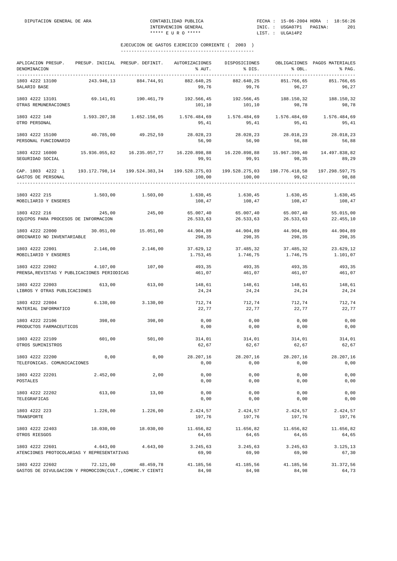| APLICACION PRESUP.<br>DENOMINACION                                          |            | PRESUP. INICIAL PRESUP. DEFINIT. | <b>AUTORIZACIONES</b><br>% AUT.                       | DISPOSICIONES<br>% DIS.         | % OBL.                  | OBLIGACIONES PAGOS MATERIALES<br>% PAG. |
|-----------------------------------------------------------------------------|------------|----------------------------------|-------------------------------------------------------|---------------------------------|-------------------------|-----------------------------------------|
| 1803 4222 13100<br>SALARIO BASE                                             | 243.946,13 | 884.744,91                       | 882.640,25<br>99,76                                   | 882.640,25<br>99,76             | 851.766,65<br>96,27     | 851.766,65<br>96,27                     |
| 1803 4222 13101<br>OTRAS REMUNERACIONES                                     | 69.141,01  | 190.461,79                       | 101,10                                                | 192.566,45 192.566,45<br>101,10 | 188.150,32<br>98,78     | 188.150,32<br>98,78                     |
| 1803 4222 140<br>OTRO PERSONAL                                              |            | 1.593.207,38 1.652.156,05        | $1.576.484,69$ $1.576.484,69$ $1.576.484,69$<br>95,41 | 95,41                           | 95,41                   | 1.576.484,69<br>95,41                   |
| 1803 4222 15100<br>PERSONAL FUNCIONARIO                                     |            | 40.785,00 49.252,59              | 28.028,23<br>56,90                                    | 28.028,23<br>56,90              | 28.018,23<br>56,88      | 28.018,23<br>56,88                      |
| 1803 4222 16000<br>SEGURIDAD SOCIAL                                         |            | 15.936.055,82 16.235.057,77      | 99,91                                                 | 99, 91                          | 98, 35                  | 15.967.399,40 14.497.838,82<br>89,29    |
| CAP. 1803 4222 1<br>GASTOS DE PERSONAL                                      |            | 193.172.798,14 199.524.383,34    | 100,00                                                | 100,00                          | 198.776.418,58<br>99,62 | 197.298.597,75<br>98,88                 |
| 1803 4222 215<br>MOBILIARIO Y ENSERES                                       |            | 1.503,00 1.503,00                | 1.630,45<br>108,47                                    | 1.630,45<br>108,47              | 1.630,45<br>108,47      | 1.630,45<br>108,47                      |
| 1803 4222 216<br>EQUIPOS PARA PROCESOS DE INFORMACION                       | 245,00     | 245,00                           | 65.007,40<br>26.533,63                                | 65.007,40<br>26.533,63          | 65.007,40<br>26.533,63  | 55.015,00<br>22.455,10                  |
| 1803 4222 22000<br>ORDINARIO NO INVENTARIABLE                               | 30.051,00  | 15.051,00                        | 44.904,89<br>298,35                                   | 44.904,89<br>298,35             | 44.904,89<br>298,35     | 44.904,89<br>298,35                     |
| 1803 4222 22001<br>MOBILIARIO Y ENSERES                                     | 2.146,00   | 2.146,00                         | 37.629,12<br>1.753,45                                 | 37.485,32<br>1.746,75           | 37.485,32<br>1.746,75   | 23.629,12<br>1.101,07                   |
| 1803 4222 22002<br>PRENSA, REVISTAS Y PUBLICACIONES PERIODICAS              | 4.107,00   | 107,00                           | 493,35<br>461,07                                      | 493,35<br>461,07                | 493,35<br>461,07        | 493,35<br>461,07                        |
| 1803 4222 22003<br>LIBROS Y OTRAS PUBLICACIONES                             | 613,00     | 613,00                           | 148,61<br>24,24                                       | 148,61<br>24,24                 | 148,61<br>24,24         | 148,61<br>24,24                         |
| 1803 4222 22004<br>MATERIAL INFORMATICO                                     | 6.130,00   | 3.130,00                         | 712,74<br>22,77                                       | 712,74<br>22,77                 | 712,74<br>22,77         | 712,74<br>22,77                         |
| 1803 4222 22106<br>PRODUCTOS FARMACEUTICOS                                  | 398,00     | 398,00                           | 0,00<br>0,00                                          | 0,00<br>0,00                    | 0,00<br>0,00            | 0,00<br>0,00                            |
| 1803 4222 22109<br>OTROS SUMINISTROS                                        | 601,00     | 501,00                           | 314,01<br>62,67                                       | 314,01<br>62,67                 | 314,01<br>62,67         | 314,01<br>62,67                         |
| 1803 4222 22200<br>TELEFONICAS. COMUNICACIONES                              | 0,00       | 0,00                             | 28.207,16<br>0,00                                     | 28.207,16<br>0,00               | 28.207,16<br>0,00       | 28.207,16<br>0,00                       |
| 1803 4222 22201<br>POSTALES                                                 | 2.452,00   | 2,00                             | 0,00<br>0,00                                          | 0,00<br>0,00                    | 0,00<br>0,00            | 0,00<br>0,00                            |
| 1803 4222 22202<br>TELEGRAFICAS                                             | 613,00     | 13,00                            | 0,00<br>0,00                                          | 0,00<br>0,00                    | 0,00<br>0,00            | 0,00<br>0,00                            |
| 1803 4222 223<br>TRANSPORTE                                                 | 1.226,00   | 1.226,00                         | 2.424,57<br>197,76                                    | 2.424,57<br>197,76              | 2.424,57<br>197,76      | 2.424,57<br>197,76                      |
| 1803 4222 22403<br>OTROS RIESGOS                                            | 18.030,00  | 18.030,00                        | 11.656,82<br>64,65                                    | 11.656,82<br>64,65              | 11.656,82<br>64,65      | 11.656,82<br>64,65                      |
| 1803 4222 22601<br>ATENCIONES PROTOCOLARIAS Y REPRESENTATIVAS               | 4.643,00   | 4.643,00                         | 3.245,63<br>69,90                                     | 3.245,63<br>69,90               | 3.245,63<br>69,90       | 3.125,13<br>67,30                       |
| 1803 4222 22602<br>GASTOS DE DIVULGACION Y PROMOCION(CULT., COMERC.Y CIENTI | 72.121,00  | 48.459,78                        | 41.185,56<br>84,98                                    | 41.185,56<br>84,98              | 41.185,56<br>84,98      | 31.372,56<br>64,73                      |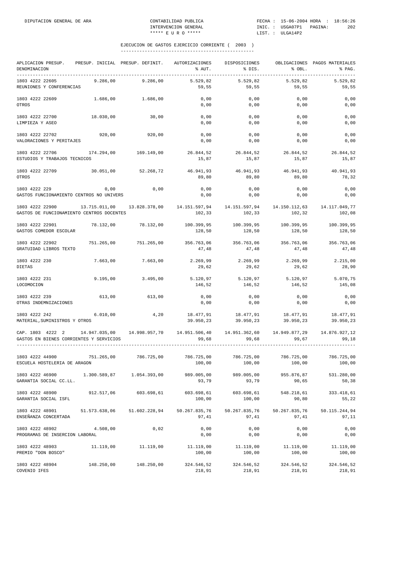| APLICACION PRESUP.<br>DENOMINACION<br>------------------------------------                      | PRESUP. INICIAL PRESUP. DEFINIT. |                       | AUTORIZACIONES<br>% AUT.                   | DISPOSICIONES<br>% DIS. | % OBL.                  | OBLIGACIONES PAGOS MATERIALES<br>% PAG. |
|-------------------------------------------------------------------------------------------------|----------------------------------|-----------------------|--------------------------------------------|-------------------------|-------------------------|-----------------------------------------|
| 1803 4222 22605<br>REUNIONES Y CONFERENCIAS                                                     | 9.286,00                         | 9.286,00              | 5.529,82<br>59,55                          | 5.529,82<br>59,55       | 5.529,82<br>59,55       | 5.529,82<br>59,55                       |
| 1803 4222 22609<br>OTROS                                                                        | 1.686,00                         | 1,686,00              | 0,00<br>0,00                               | 0,00<br>0,00            | 0,00<br>0,00            | 0,00<br>0,00                            |
| 1803 4222 22700<br>LIMPIEZA Y ASEO                                                              | 18.030,00                        | 30,00                 | 0,00<br>0,00                               | 0,00<br>0,00            | 0,00<br>0,00            | 0,00<br>0,00                            |
| 1803 4222 22702<br>VALORACIONES Y PERITAJES                                                     | 920,00                           | 920,00                | 0,00<br>0,00                               | 0,00<br>0,00            | 0,00<br>0,00            | 0,00<br>0,00                            |
| 1803 4222 22706<br>ESTUDIOS Y TRABAJOS TECNICOS                                                 | 174.294,00                       | 169.149,00            | 26.844,52<br>15,87                         | 26.844,52<br>15,87      | 26.844,52<br>15,87      | 26.844,52<br>15,87                      |
| 1803 4222 22709<br>OTROS                                                                        | 30.051,00                        | 52.268,72             | 46.941,93<br>89,80                         | 46.941,93<br>89,80      | 46.941,93<br>89,80      | 40.941,93<br>78,32                      |
| 1803 4222 229<br>GASTOS FUNCIONAMIENTO CENTROS NO UNIVERS                                       | 0,00                             | 0,00                  | 0,00<br>0,00                               | 0,00<br>0,00            | 0,00<br>0,00            | 0,00<br>0,00                            |
| 1803 4222 22900<br>GASTOS DE FUNCIONAMIENTO CENTROS DOCENTES                                    | 13.715.011,00                    | 13.828.378,00         | 14.151.597,94<br>102,33                    | 14.151.597,94<br>102,33 | 14.150.112,63<br>102,32 | 14.117.049,77<br>102,08                 |
| 1803 4222 22901<br>GASTOS COMEDOR ESCOLAR                                                       | 78.132,00                        | 78.132,00             | 100.399,95<br>128,50                       | 100.399,95<br>128,50    | 100.399,95<br>128,50    | 100.399,95<br>128,50                    |
| 1803 4222 22902<br>GRATUIDAD LIBROS TEXTO                                                       | 751.265,00                       | 751.265,00            | 356.763,06<br>47,48                        | 356.763,06<br>47,48     | 356.763,06<br>47,48     | 356.763,06<br>47,48                     |
| 1803 4222 230<br>DIETAS                                                                         | 7.663,00                         | 7.663,00              | 2.269,99<br>29,62                          | 2.269,99<br>29,62       | 2.269,99<br>29,62       | 2.215,00<br>28,90                       |
| 1803 4222 231<br>LOCOMOCION                                                                     | 9.195,00                         | 3.495,00              | 5.120,97<br>146,52                         | 5.120, 97<br>146,52     | 5.120,97<br>146,52      | 5.070,75<br>145,08                      |
| 1803 4222 239<br>OTRAS INDEMNIZACIONES                                                          | 613,00                           | 613,00                | 0,00<br>0,00                               | 0,00<br>0,00            | 0,00<br>0,00            | 0,00<br>0,00                            |
| 1803 4222 242<br>MATERIAL, SUMINISTROS Y OTROS                                                  | 6.010,00                         | 4,20                  | 18.477,91<br>39.950,23                     | 18.477,91<br>39.950,23  | 18.477,91<br>39.950,23  | 18.477,91<br>39.950,23                  |
| CAP. 1803 4222 2<br>GASTOS EN BIENES CORRIENTES Y SERVICIOS                                     | 14.947.035,00                    | 14.998.957,70         | 14.951.506,40<br>99,68                     | 14.951.362,60<br>99,68  | 14.949.877,29<br>99,67  | 14.876.927,12<br>99,18                  |
| 1803 4222 44900<br>ESCUELA HOSTELERIA DE ARAGON                                                 | 751.265,00                       | 786.725,00            | 786.725,00<br>100,00                       | 786.725,00<br>100,00    | 786.725,00<br>100,00    | 786.725.00<br>100,00                    |
| 1803 4222 46900<br>GARANTIA SOCIAL CC.LL.                                                       |                                  |                       | 989.005,00 989.005,00<br>93,79             | 93,79                   | 955.876,87<br>90,65     | 531.280,00<br>50,38                     |
| 1803 4222 48900 912.517,06 603.698,61<br>GARANTIA SOCIAL ISFL                                   |                                  |                       | 603.698,61 603.698,61 548.218,61<br>100,00 | 100,00                  | 90,80                   | 333.418,61<br>55,22                     |
| 1803 4222 48901 51.573.638,06 51.602.228,94 50.267.835,76 50.267.835,76<br>ENSEÑANZA CONCERTADA |                                  |                       | 97,41                                      | 97,41                   | 50.267.835,76<br>97,41  | 50.115.244,94<br>97,11                  |
| 1803 4222 48902<br>PROGRAMAS DE INSERCION LABORAL                                               | 4.508,00                         | 0,02                  | 0,00<br>0,00                               | 0,00<br>0,00            | 0,00<br>0,00            | 0,00<br>0,00                            |
| 1803 4222 48903<br>PREMIO "DON BOSCO"                                                           | 11.119,00                        | 11.119,00             | 11.119,00<br>100,00                        | 11.119,00<br>100,00     | 11.119,00<br>100,00     | 11.119,00<br>100,00                     |
| 1803 4222 48904<br>COVENIO IFES                                                                 |                                  | 148.250,00 148.250,00 | 324.546,52 324.546,52 324.546,52<br>218,91 | 218,91                  | 218,91                  | 324.546,52<br>218,91                    |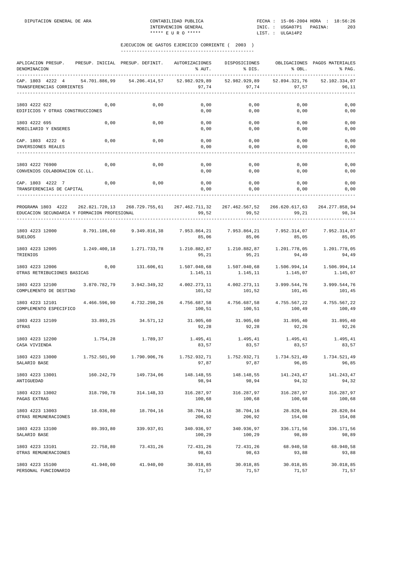| APLICACION PRESUP.<br>DENOMINACION                                                                           |               | PRESUP. INICIAL PRESUP. DEFINIT.                                     | AUTORIZACIONES<br>% AUT.                  | DISPOSICIONES<br>% DIS.       | % OBL.                                  | OBLIGACIONES PAGOS MATERIALES<br>% PAG. |
|--------------------------------------------------------------------------------------------------------------|---------------|----------------------------------------------------------------------|-------------------------------------------|-------------------------------|-----------------------------------------|-----------------------------------------|
| ------------<br>CAP. 1803 4222 4<br>TRANSFERENCIAS CORRIENTES                                                | 54.701.886,99 | 54.206.414,57                                                        | _______________<br>52.982.929,89<br>97,74 | 52.982.929,89<br>97,74        | .<br>--------<br>52.894.321,76<br>97,57 | -----<br>52.102.334,07<br>96,11         |
| 1803 4222 622                                                                                                | 0,00          | 0,00                                                                 | 0,00                                      | 0,00                          | 0,00                                    | 0,00                                    |
| EDIFICIOS Y OTRAS CONSTRUCCIONES                                                                             |               |                                                                      | 0,00                                      | 0,00                          | 0,00                                    | 0,00                                    |
| 1803 4222 695                                                                                                | 0,00          | 0,00                                                                 | 0,00                                      | 0,00                          | 0,00                                    | 0,00                                    |
| MOBILIARIO Y ENSERES                                                                                         |               |                                                                      | 0,00                                      | 0,00                          | 0,00                                    | 0,00                                    |
| CAP. 1803 4222 6                                                                                             | 0,00          | 0,00                                                                 | 0,00                                      | 0,00                          | 0,00                                    | 0,00                                    |
| INVERSIONES REALES<br>. <u>.</u> .                                                                           |               |                                                                      | 0,00                                      | 0,00                          | 0,00                                    | 0,00                                    |
| 1803 4222 76900                                                                                              | 0,00          | 0,00                                                                 | 0,00                                      | 0,00                          | 0,00                                    | 0,00                                    |
| CONVENIOS COLABORACION CC.LL.                                                                                |               |                                                                      | 0,00                                      | 0,00                          | 0,00                                    | 0,00                                    |
| CAP. 1803 4222 7<br>TRANSFERENCIAS DE CAPITAL                                                                | 0,00          | 0,00                                                                 | 0,00<br>0,00                              | 0,00<br>0,00                  | 0,00<br>0,00                            | 0,00<br>0,00                            |
|                                                                                                              |               |                                                                      |                                           |                               |                                         |                                         |
| PROGRAMA 1803 4222 262.821.720,13 268.729.755,61 267.462.711,32 267.462.567,52 266.620.617,63 264.277.858,94 |               |                                                                      |                                           |                               |                                         |                                         |
| EDUCACION SECUNDARIA Y FORMACION PROFESIONAL                                                                 |               |                                                                      | 99,52                                     | 99,52                         | 99,21                                   | 98,34                                   |
| 1803 4223 12000                                                                                              |               | 8.791.186,60  9.349.816,38  7.953.864,21  7.953.864,21  7.952.314,07 |                                           |                               |                                         | 7.952.314,07                            |
| SUELDOS                                                                                                      |               |                                                                      | 85,06                                     | 85,06                         | 85,05                                   | 85,05                                   |
| 1803 4223 12005                                                                                              | 1.249.400,18  | 1.271.733,78                                                         | 1.210.882,87                              |                               |                                         | 1.201.778,05                            |
| TRIENIOS                                                                                                     |               |                                                                      | 95,21                                     | 95,21                         | 94,49                                   | 94,49                                   |
| 1803 4223 12006                                                                                              | 0,00          | 131.606,61                                                           | 1.507.040,68                              |                               | 1.507.040,68 1.506.994,14               | 1.506.994,14                            |
| OTRAS RETRIBUCIONES BASICAS                                                                                  |               |                                                                      | 1.145,11                                  | 1.145,11                      | 1.145,07                                | 1.145,07                                |
| 1803 4223 12100 3.870.782,79 3.942.349,32                                                                    |               |                                                                      |                                           | $4.002.273,11$ $4.002.273,11$ | 3.999.544,76                            | 3.999.544,76                            |
| COMPLEMENTO DE DESTINO                                                                                       |               |                                                                      | 101,52                                    | 101,52                        | 101,45                                  | 101,45                                  |
| 1803 4223 12101                                                                                              | 4.466.596,90  | 4.732.298,26                                                         | 4.756.687,58                              | 4.756.687,58                  | 4.755.567,22                            | 4.755.567,22                            |
| COMPLEMENTO ESPECIFICO                                                                                       |               |                                                                      | 100,51                                    | 100,51                        | 100,49                                  | 100,49                                  |
| 1803 4223 12109                                                                                              | 33.893,25     | 34.571,12                                                            | 31.905,60                                 | 31.905,60                     | 31.895,40                               | 31.895,40                               |
| OTRAS                                                                                                        |               |                                                                      | 92,28                                     | 92,28                         | 92,26                                   | 92,26                                   |
| 1803 4223 12200                                                                                              | 1.754,28      | 1.789,37                                                             | 1.495,41                                  | 1.495,41                      | 1.495,41                                | 1.495,41                                |
| CASA VIVIENDA                                                                                                |               |                                                                      | 83,57                                     | 83,57                         | 83,57                                   | 83,57                                   |
| 1803 4223 13000                                                                                              | 1.752.501,90  | 1.790.906,76                                                         | 1.752.932,71                              | 1.752.932,71                  | 1.734.521,49                            | 1.734.521,49                            |
| SALARIO BASE                                                                                                 |               |                                                                      | 97,87                                     | 97,87                         | 96,85                                   | 96,85                                   |
| 1803 4223 13001                                                                                              | 160.242,79    | 149.734,06                                                           | 148.148,55                                | 148.148,55                    | 141.243,47                              | 141.243,47                              |
| ANTIGUEDAD                                                                                                   |               |                                                                      | 98,94                                     | 98,94                         | 94,32                                   | 94,32                                   |
| 1803 4223 13002                                                                                              | 318.790,78    | 314.148,33                                                           | 316.287,97                                | 316.287,97                    | 316.287,97                              | 316.287,97                              |
| PAGAS EXTRAS                                                                                                 |               |                                                                      | 100,68                                    | 100,68                        | 100,68                                  | 100,68                                  |
| 1803 4223 13003                                                                                              | 18.036,80     | 18.704,16                                                            | 38.704,16                                 | 38.704,16                     | 28.820,84                               | 28.820,84                               |
| OTRAS REMUNERACIONES                                                                                         |               |                                                                      | 206,92                                    | 206,92                        | 154,08                                  | 154,08                                  |
| 1803 4223 13100                                                                                              | 89.393,80     | 339.937,01                                                           | 340.936,97                                | 340.936,97                    | 336.171,56                              | 336.171,56                              |
| SALARIO BASE                                                                                                 |               |                                                                      | 100,29                                    | 100,29                        | 98,89                                   | 98,89                                   |
| 1803 4223 13101                                                                                              | 22.758,80     | 73.431,26                                                            | 72.431,26                                 | 72.431,26                     | 68.940,58                               | 68.940,58                               |
| OTRAS REMUNERACIONES                                                                                         |               |                                                                      | 98,63                                     | 98,63                         | 93,88                                   | 93,88                                   |
| 1803 4223 15100                                                                                              | 41.940,00     | 41.940,00                                                            | 30.018,85                                 | 30.018,85                     | 30.018,85                               | 30.018,85                               |
| PERSONAL FUNCIONARIO                                                                                         |               |                                                                      | 71,57                                     | 71,57                         | 71,57                                   | 71,57                                   |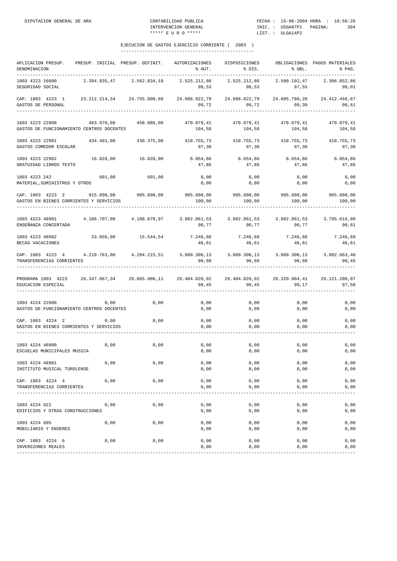| APLICACION PRESUP.<br>DENOMINACION                                                |              | PRESUP. INICIAL PRESUP. DEFINIT. | AUTORIZACIONES<br>% AUT.                              | DISPOSICIONES<br>% DIS.                         | % OBL.                 | OBLIGACIONES PAGOS MATERIALES<br>% PAG. |
|-----------------------------------------------------------------------------------|--------------|----------------------------------|-------------------------------------------------------|-------------------------------------------------|------------------------|-----------------------------------------|
| 1803 4223 16000<br>SEGURIDAD SOCIAL                                               | 2.394.935,47 | 2.562.834,18                     | 2.525.212,86<br>98,53                                 | 2.525.212,86<br>98,53                           | 2.500.192,47<br>97,55  | 2.306.852,86<br>90,01                   |
| CAP. 1803 4223 1<br>GASTOS DE PERSONAL                                            |              | 23.212.214,34 24.755.800,60      | 24.688.822,79<br>99,72                                | 24.688.822,79<br>99,72                          | 24.605.786,28<br>99,39 | 24.412.446,67<br>98,61                  |
| 1803 4223 22900<br>GASTOS DE FUNCIONAMIENTO CENTROS DOCENTES                      | 463.970,00   | 458.086,00                       | 479.079,41<br>104,58                                  | 479.079,41<br>104,58                            | 479.079,41<br>104,58   | 479.079,41<br>104,58                    |
| 1803 4223 22901<br>GASTOS COMEDOR ESCOLAR                                         | 434.491,00   | 430.375,00                       | 418.755,73 418.755,73<br>97,30                        | 97,30                                           | 418.755,73<br>97,30    | 418.755,73<br>97,30                     |
| 1803 4223 22902<br>GRATUIDAD LIBROS TEXTO                                         | 16.828,00    | 16.828,00                        | 8.054,86<br>47,86                                     | 8.054,86<br>47,86                               | 8.054,86<br>47,86      | 8.054,86<br>47,86                       |
| 1803 4223 242<br>MATERIAL, SUMINISTROS Y OTROS                                    | 601,00       | 601,00                           | 0,00<br>0,00                                          | 0,00<br>0,00                                    | 0,00<br>0,00           | 0,00<br>0,00                            |
| CAP. 1803 4223 2 915.890,00 905.890,00<br>GASTOS EN BIENES CORRIENTES Y SERVICIOS |              |                                  | 100,00                                                | 905.890,00 905.890,00<br>100,00                 | 905.890,00<br>100,00   | 905.890,00<br>100,00                    |
| 1803 4223 48901 4.186.707,00 4.188.670,97<br>ENSEÑANZA CONCERTADA                 |              |                                  | $3.802.061,53$ $3.802.061,53$ $3.802.061,53$<br>90,77 | 90,77                                           | 90,77                  | 3.795.616,80<br>90,61                   |
| 1803 4223 48902<br>BECAS VACACIONES                                               | 33.056,00    | 15.544,54                        | 7.246,60<br>46,61                                     | 7.246,60 7.246,60<br>46,61                      | 46,61                  | 7.246,60<br>46,61                       |
| CAP. 1803 4223 4 4.219.763,00 4.204.215,51<br>TRANSFERENCIAS CORRIENTES           |              |                                  | 90,60                                                 | 3.809.308,13 3.809.308,13 3.809.308,13<br>90,60 | 90,60                  | 3.802.863,40<br>90,45                   |
| PROGRAMA 1803 4223<br>EDUCACION ESPECIAL                                          |              | 28.347.867,34 29.865.906,11      | 29.404.020,92<br>98,45                                | 29.404.020,92<br>98,45                          | 29.320.984,41<br>98,17 | 29.121.200,07<br>97,50                  |
| 1803 4224 22900<br>GASTOS DE FUNCIONAMIENTO CENTROS DOCENTES                      | 0,00         | 0,00                             | 0,00<br>0,00                                          | 0,00<br>0,00                                    | 0,00<br>0,00           | 0,00<br>0,00                            |
| CAP. 1803 4224 2<br>GASTOS EN BIENES CORRIENTES Y SERVICIOS                       | 0,00         | 0,00                             | 0,00<br>0,00                                          | 0,00<br>0,00                                    | 0,00<br>0,00           | 0,00<br>0,00                            |
| 1803 4224 46900<br>ESCUELAS MUNICIPALES MUSICA                                    | 0,00         | 0,00                             | 0,00<br>0,00                                          | 0,00<br>0,00                                    | 0,00<br>0,00           | 0,00<br>0,00                            |
| 1803 4224 48901<br>INSTITUTO MUSICAL TUROLENSE                                    | 0,00         | 0,00                             | 0,00<br>0,00                                          | 0,00<br>0,00                                    | 0,00<br>0,00           | 0,00<br>0,00                            |
| CAP. 1803 4224 4<br>TRANSFERENCIAS CORRIENTES                                     | 0,00         | 0,00                             | 0,00<br>0,00                                          | 0,00<br>0,00                                    | 0,00<br>0,00           | 0,00<br>0,00                            |
| 1803 4224 622<br>EDIFICIOS Y OTRAS CONSTRUCCIONES                                 | 0,00         | 0,00                             | 0,00<br>0,00                                          | 0,00<br>0,00                                    | 0,00<br>0,00           | 0,00<br>0,00                            |
| 1803 4224 695<br>MOBILIARIO Y ENSERES                                             | 0,00         | 0,00                             | 0,00<br>0,00                                          | 0,00<br>0,00                                    | 0,00<br>0,00           | 0,00<br>0,00                            |
| CAP. 1803 4224 6<br>INVERSIONES REALES                                            | 0,00         | 0,00                             | 0,00<br>0,00                                          | 0,00<br>0,00                                    | 0,00<br>0,00           | 0,00<br>0,00                            |
|                                                                                   |              |                                  |                                                       |                                                 |                        |                                         |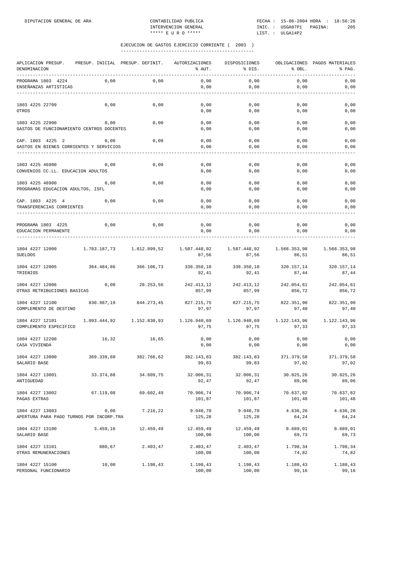| APLICACION PRESUP.<br>DENOMINACION                           | PRESUP. INICIAL PRESUP. DEFINIT. |              | AUTORIZACIONES<br>% AUT. | DISPOSICIONES<br>% DIS. | % OBL.                | OBLIGACIONES PAGOS MATERIALES<br>% PAG. |
|--------------------------------------------------------------|----------------------------------|--------------|--------------------------|-------------------------|-----------------------|-----------------------------------------|
| PROGRAMA 1803 4224<br>ENSEÑANZAS ARTISTICAS                  | 0,00                             | 0,00         | 0,00<br>0,00             | 0,00<br>0,00            | 0,00<br>0,00          | 0,00<br>0,00                            |
| 1803 4225 22709<br>OTROS                                     | 0,00                             | 0,00         | 0,00<br>0,00             | 0,00<br>0,00            | 0,00<br>0,00          | 0,00<br>0,00                            |
| 1803 4225 22900<br>GASTOS DE FUNCIONAMIENTO CENTROS DOCENTES | 0,00                             | 0,00         | 0,00<br>0,00             | 0,00<br>0,00            | 0,00<br>0,00          | 0,00<br>0,00                            |
| CAP. 1803 4225 2<br>GASTOS EN BIENES CORRIENTES Y SERVICIOS  | 0,00                             | 0,00         | 0,00<br>0,00             | 0,00<br>0,00            | 0,00<br>0,00          | 0,00<br>0,00                            |
| 1803 4225 46900<br>CONVENIOS CC.LL. EDUCACION ADULTOS        | 0,00                             | 0,00         | 0,00<br>0,00             | 0,00<br>0,00            | 0,00<br>0,00          | 0,00<br>0,00                            |
| 1803 4225 48900<br>PROGRAMAS EDUCACION ADULTOS, ISFL         | 0,00                             | 0,00         | 0,00<br>0,00             | 0,00<br>0,00            | 0,00<br>0,00          | 0,00<br>0,00                            |
| CAP. 1803 4225 4<br>TRANSFERENCIAS CORRIENTES                | 0,00                             | 0,00         | 0,00<br>0,00             | 0,00<br>0,00            | 0,00<br>0,00          | 0,00<br>0,00                            |
| PROGRAMA 1803 4225<br>EDUCACION PERMANENTE                   | 0,00                             | 0,00         | 0,00<br>0,00             | 0,00<br>0,00            | 0,00<br>0,00          | 0,00<br>0,00                            |
| 1804 4227 12000<br><b>SUELDOS</b>                            | 1.783.187,73                     | 1.812.899,52 | 1.587.448,02<br>87,56    | 1.587.448,02<br>87,56   | 1.568.353,98<br>86,51 | 1.568.353,98<br>86,51                   |
| 1804 4227 12005<br>TRIENIOS                                  | 364.484,86                       | 366.106,73   | 338.350,10<br>92,41      | 338.350,10<br>92,41     | 320.157,14<br>87,44   | 320.157,14<br>87,44                     |
| 1804 4227 12006<br>OTRAS RETRIBUCIONES BASICAS               | 0,00                             | 28.253,56    | 242.413,12<br>857,99     | 242.413,12<br>857,99    | 242.054,61<br>856,72  | 242.054,61<br>856,72                    |
| 1804 4227 12100<br>COMPLEMENTO DE DESTINO                    | 830.987,19                       | 844.273,45   | 827.215,75<br>97,97      | 827.215,75<br>97,97     | 822.351,90<br>97,40   | 822.351,90<br>97,40                     |
| 1804 4227 12101<br>COMPLEMENTO ESPECIFICO                    | 1.093.444,92                     | 1.152.830,93 | 1.126.940,69<br>97,75    | 1.126.940,69<br>97,75   | 1.122.143,96<br>97,33 | 1.122.143,96<br>97,33                   |
| 1804 4227 12200<br>CASA VIVIENDA                             | 16,32                            | 16,65        | 0,00<br>0,00             | 0,00<br>0,00            | 0,00<br>0,00          | 0,00<br>0,00                            |
| 1804 4227 13000<br>SALARIO BASE                              | 369.339,60                       | 382.766,62   | 382.143,83<br>99,83      | 382.143,83<br>99,83     | 371.379,58<br>97,02   | 371.379,58<br>97,02                     |
| 1804 4227 13001<br>ANTIGUEDAD                                | 33.374,88                        | 34.609,75    | 32.006,31<br>92,47       | 32.006,31<br>92,47      | 30.825,26<br>89,06    | 30.825,26<br>89,06                      |
| 1804 4227 13002<br>PAGAS EXTRAS                              | 67.119,08                        | 69.602,49    | 70.906,74<br>101,87      | 70.906,74<br>101,87     | 70.637,82<br>101,48   | 70.637,82<br>101, 48                    |
| 1804 4227 13003<br>APERTURA PARA PAGO TURNOS POR INCORP.TRA  | 0,00                             | 7.216,22     | 9.040,70<br>125,28       | 9.040,70<br>125,28      | 4.636,20<br>64,24     | 4.636,20<br>64,24                       |
| 1804 4227 13100<br>SALARIO BASE                              | 3.459, 16                        | 12.459,49    | 12.459,49<br>100,00      | 12.459,49<br>100,00     | 8.689,01<br>69,73     | 8.689,01<br>69,73                       |
| 1804 4227 13101<br>OTRAS REMUNERACIONES                      | 880,67                           | 2.403,47     | 2.403,47<br>100,00       | 2.403,47<br>100,00      | 1.798,34<br>74,82     | 1.798,34<br>74,82                       |
| 1804 4227 15100<br>PERSONAL FUNCIONARIO                      | 10,00                            | 1.198,43     | 1.198,43<br>100,00       | 1.198,43<br>100,00      | 1.188,43<br>99,16     | 1.188,43<br>99,16                       |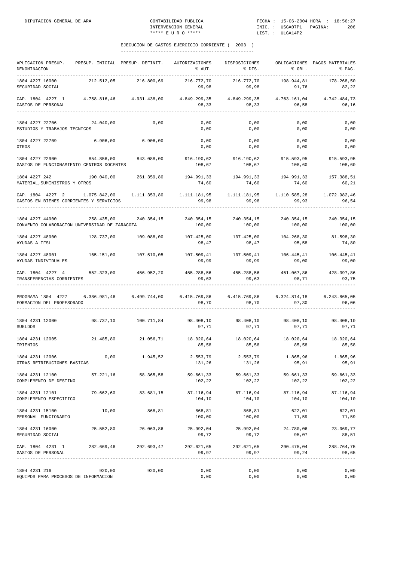| APLICACION PRESUP.<br>DENOMINACION                                                                                           |            | PRESUP. INICIAL PRESUP. DEFINIT.                                                    | AUTORIZACIONES<br>% AUT.                              | DISPOSICIONES<br>% DIS.                                              | % OBL.              | OBLIGACIONES PAGOS MATERIALES<br>% PAG. |
|------------------------------------------------------------------------------------------------------------------------------|------------|-------------------------------------------------------------------------------------|-------------------------------------------------------|----------------------------------------------------------------------|---------------------|-----------------------------------------|
| 1804 4227 16000<br>SEGURIDAD SOCIAL                                                                                          | 212.512,05 | 216.800,69                                                                          | 216.772,70<br>99,98                                   | 216.772,70<br>99,98                                                  | 198.944,81<br>91,76 | 178.268,50<br>82,22                     |
| CAP. 1804 4227 1 4.758.816,46 4.931.438,00<br>GASTOS DE PERSONAL                                                             |            |                                                                                     | $4.849.299,35$ $4.849.299,35$ $4.763.161,04$<br>98,33 | 98,33                                                                | 96,58               | 4.742.484,73<br>96,16                   |
| 1804 4227 22706<br>ESTUDIOS Y TRABAJOS TECNICOS                                                                              | 24.040,00  | 0,00                                                                                | 0,00<br>0,00                                          | 0,00<br>0,00                                                         | 0,00<br>0,00        | 0,00<br>0,00                            |
| 1804 4227 22709 6.906,00 6.906,00<br>OTROS                                                                                   |            |                                                                                     | 0,00<br>0,00                                          | 0,00<br>0,00                                                         | 0,00<br>0,00        | 0,00<br>0,00                            |
| 1804 4227 22900 854.856,00 843.088,00<br>GASTOS DE FUNCIONAMIENTO CENTROS DOCENTES                                           |            |                                                                                     | 108,67                                                | 916.190,62 916.190,62<br>108,67                                      | 108,60              | 915.593,95 915.593,95<br>108,60         |
| 1804 4227 242<br>MATERIAL, SUMINISTROS Y OTROS                                                                               |            | 190.040,00 261.359,80                                                               | 194.991,33 194.991,33 194.991,33 157.388,51<br>74,60  | 74,60                                                                | 74,60               | 60, 21                                  |
| CAP. 1804 4227 2 1.075.842,00 1.111.353,80 1.111.181,95 1.111.181,95 1.110.585,28<br>GASTOS EN BIENES CORRIENTES Y SERVICIOS |            |                                                                                     | 99,98                                                 | 99,98                                                                | 99,93               | 1.072.982,46<br>96,54                   |
| 1804 4227 44900<br>CONVENIO COLABORACION UNIVERSIDAD DE ZARAGOZA                                                             |            | 258.435,00 240.354,15 240.354,15 240.354,15 240.354,15 240.354,15 240.354,15        | 100,00                                                |                                                                      | 100,00 100,00       | 100,00                                  |
| 1804 4227 48900<br>AYUDAS A IFSL                                                                                             |            | 128.737,00 109.088,00                                                               | 98,47                                                 | 98,47                                                                | 95,58               | 74,80                                   |
| 1804 4227 48901<br>AYUDAS INDIVIDUALES                                                                                       | 165.151,00 | 107.510,05                                                                          | 107.509,41<br>99,99                                   | 107.509,41<br>99,99                                                  | 106.445,41<br>99,00 | 106.445,41<br>99,00                     |
| CAP. 1804 4227 4<br>TRANSFERENCIAS CORRIENTES                                                                                |            | 552.323,00 456.952,20                                                               | 99,63                                                 | 455.288,56 455.288,56<br>99,63                                       | 98,71               | 451.067,86 428.397,86<br>93,75          |
| PROGRAMA 1804 4227 6.386.981,46 6.499.744,00<br>FORMACION DEL PROFESORADO                                                    |            |                                                                                     | 98,70                                                 | $6.415.769,86$ $6.415.769,86$ $6.324.814,18$ $6.243.865,05$<br>98,70 | 97,30               | 96,06                                   |
| 1804 4231 12000<br><b>SUELDOS</b>                                                                                            |            |                                                                                     | 97,71                                                 | 98.408,10 98.408,10 98.408,10<br>97,71                               | 97,71               | 97,71                                   |
| 1804 4231 12005<br>TRIENIOS                                                                                                  |            | $21.485,80$ $21.056,71$ $18.020,64$ $18.020,64$ $18.020,64$ $18.020,64$ $18.020,64$ | 85,58                                                 | 85,58                                                                | 85,58               | 85,58                                   |
| 1804 4231 12006<br>OTRAS RETRIBUCIONES BASICAS                                                                               | 0,00       | 1.945,52                                                                            | 2.553,79<br>131,26                                    | 2.553,79<br>131,26                                                   | 1.865,96<br>95,91   | 1.865,96<br>95,91                       |
| 1804 4231 12100<br>COMPLEMENTO DE DESTINO                                                                                    | 57.221,16  | 58.365,58                                                                           | 59.661,33<br>102,22                                   | 59.661,33<br>102,22                                                  | 59.661,33<br>102,22 | 59.661,33<br>102,22                     |
| 1804 4231 12101<br>COMPLEMENTO ESPECIFICO                                                                                    |            | 79.662,60 83.681,15                                                                 | 87.116,94<br>104,10                                   | 104,10                                                               | 104,10              | 87.116,94 87.116,94 87.116,94<br>104,10 |
| 1804 4231 15100<br>PERSONAL FUNCIONARIO                                                                                      | 10,00      | 868,81                                                                              | 868,81<br>100,00                                      | 868,81<br>100,00                                                     | 622,01<br>71,59     | 622,01<br>71,59                         |
| 1804 4231 16000<br>SEGURIDAD SOCIAL                                                                                          |            | 25.552,80 26.063,86                                                                 | 99,72                                                 | 25.992,04 25.992,04<br>99,72                                         | 24.780,06<br>95,07  | 23.069,77<br>88,51                      |
| CAP. 1804 4231 1<br>GASTOS DE PERSONAL                                                                                       |            | 282.669,46 292.693,47                                                               | 292.621,65<br>99,97                                   | 292.621,65<br>99,97                                                  | 290.475,04<br>99,24 | 288.764,75<br>98,65                     |
| 1804 4231 216<br>EQUIPOS PARA PROCESOS DE INFORMACION                                                                        | 920,00     | 920,00                                                                              | 0,00<br>0,00                                          | 0,00<br>0,00                                                         | 0,00<br>0,00        | 0,00<br>0,00                            |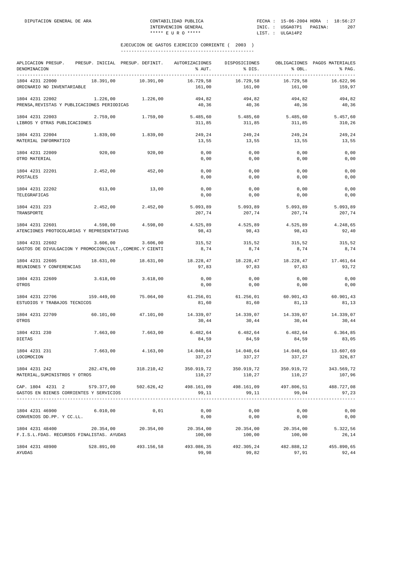| APLICACION PRESUP. PRESUP. INICIAL PRESUP. DEFINIT.<br>DENOMINACION                                   |                       |           | AUTORIZACIONES<br>% AUT.    | DISPOSICIONES<br>% DIS.                       | % OBL.                       | OBLIGACIONES PAGOS MATERIALES<br>% PAG. |
|-------------------------------------------------------------------------------------------------------|-----------------------|-----------|-----------------------------|-----------------------------------------------|------------------------------|-----------------------------------------|
| 1804 4231 22000<br>ORDINARIO NO INVENTARIABLE                                                         | 18.391,00             | 10.391,00 | 16.729,58<br>161,00         | 16.729,58<br>161,00                           | 16.729,58<br>161,00          | 16.622,96<br>159,97                     |
| 1804 4231 22002                                                                                       | 1.226,00              | 1.226,00  | 494,82                      | 494,82                                        | 494,82                       | 494,82                                  |
| PRENSA, REVISTAS Y PUBLICACIONES PERIODICAS                                                           |                       |           | 40,36                       | 40,36                                         | 40,36                        | 40,36                                   |
| 1804 4231 22003<br>LIBROS Y OTRAS PUBLICACIONES                                                       | 2.759,00              | 1.759,00  | 5.485,60 5.485,60<br>311,85 | 311,85                                        | 5.485,60<br>311,85           | 5.457,60<br>310,26                      |
| 1804 4231 22004<br>MATERIAL INFORMATICO                                                               | 1.839,00              | 1.839,00  | 249,24<br>13,55             | 249,24<br>13,55                               | 249,24<br>13,55              | 249,24<br>13,55                         |
| 1804 4231 22009<br>OTRO MATERIAL                                                                      | 920,00                | 920,00    | 0,00<br>0,00                | 0,00<br>0,00                                  | 0,00<br>0,00                 | 0,00<br>0,00                            |
| 1804 4231 22201<br>POSTALES                                                                           | 2.452,00              | 452,00    | 0,00<br>0,00                | 0,00<br>0,00                                  | 0,00<br>0,00                 | 0,00<br>0,00                            |
| 1804 4231 22202<br>TELEGRAFICAS                                                                       | 613,00                | 13,00     | 0,00<br>0,00                | 0,00<br>0,00                                  | 0,00<br>0,00                 | 0,00<br>0,00                            |
| 1804 4231 223<br>TRANSPORTE                                                                           | 2.452,00              | 2.452,00  | 5.093,89<br>207,74          | 5.093,89<br>207,74                            | 5.093,89<br>207,74           | 5.093,89<br>207,74                      |
| 1804 4231 22601<br>ATENCIONES PROTOCOLARIAS Y REPRESENTATIVAS                                         | 4.598,00              | 4.598,00  | 4.525,89<br>98,43           | 4.525,89<br>98,43                             | 4.525,89<br>98,43            | 4.248,65<br>92,40                       |
| 1804 4231 22602<br>GASTOS DE DIVULGACION Y PROMOCION(CULT., COMERC.Y CIENTI                           | 3.606,00              | 3.606,00  | 315,52<br>8,74              | 315,52<br>8,74                                | 315,52<br>8,74               | 315,52<br>8,74                          |
| 1804 4231 22605<br>REUNIONES Y CONFERENCIAS                                                           | 18.631,00 18.631,00   |           | 97,83                       | $18.228,47$ $18.228,47$ $18.228,47$<br>97,83  | 97,83                        | 17.461,64<br>93,72                      |
| 1804 4231 22609<br>OTROS                                                                              | 3.618,00              | 3.618,00  | 0,00<br>0,00                | 0,00<br>0,00                                  | 0,00<br>0,00                 | 0,00<br>0,00                            |
| 1804 4231 22706<br>ESTUDIOS Y TRABAJOS TECNICOS                                                       | 159.449,00            | 75.064,00 | 61.256,01<br>81,60          | 61.256,01<br>81,60                            | 60.901,43<br>81,13           | 60.901,43<br>81,13                      |
| 1804 4231 22709<br>OTROS                                                                              | 60.101,00             | 47.101,00 | 14.339,07<br>30,44          | 30,44                                         | 14.339,07 14.339,07<br>30,44 | 14.339,07<br>30,44                      |
| 1804 4231 230<br>DIETAS                                                                               | 7.663,00              | 7.663,00  | 84,59                       | 6.482,64 6.482,64 6.482,64<br>84,59           | 84,59                        | 6.364,85<br>83,05                       |
| 1804 4231 231<br>LOCOMOCION                                                                           | 7.663,00              | 4.163,00  | 14.040,64<br>337,27         | 14.040,64<br>337,27                           | 14.040,64<br>337,27          | 13.607,69<br>326,87                     |
| 1804 4231 242 282.476,00 318.210,42 350.919,72 350.919,72 350.919,72<br>MATERIAL, SUMINISTROS Y OTROS |                       |           | 110,27                      | 110,27                                        | 110,27                       | 343.569,72<br>107,96                    |
| CAP. 1804 4231 2 579.377,00 502.626,42 498.161,09<br>GASTOS EN BIENES CORRIENTES Y SERVICIOS          |                       |           | 99,11                       | 498.161,09<br>99,11                           | 497.806,51<br>99,04          | 488.727,08<br>97,23                     |
| 1804 4231 46900 6.010,00<br>CONVENIOS DD.PP. Y CC.LL.                                                 |                       | 0,01      | 0,00<br>0,00                | 0,00<br>0,00                                  | 0,00<br>0,00                 | 0,00<br>0,00                            |
| 1804 4231 48400<br>F.I.S.L.FDAS. RECURSOS FINALISTAS. AYUDAS                                          | 20.354,00 20.354,00   |           | 100,00                      | $20.354,00$ $20.354,00$ $20.354,00$<br>100,00 | 100,00                       | 5.322,56<br>26,14                       |
| 1804 4231 48900<br>AYUDAS                                                                             | 528.891,00 493.156,58 |           | 493.086,35<br>99,98         | 492.305,24<br>99,82                           | 482.888,12<br>97, 91         | 455.890,65<br>92,44                     |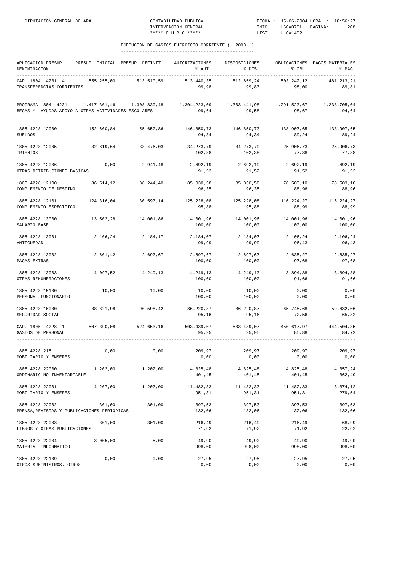| APLICACION PRESUP.<br>DENOMINACION                                        |            | PRESUP. INICIAL PRESUP. DEFINIT. AUTORIZACIONES                            | % AUT.                                           | DISPOSICIONES<br>$\frac{1}{2}$ DIS. | % OBL.              | OBLIGACIONES PAGOS MATERIALES<br>$\delta$ PAG. |
|---------------------------------------------------------------------------|------------|----------------------------------------------------------------------------|--------------------------------------------------|-------------------------------------|---------------------|------------------------------------------------|
| CAP. 1804 4231 4<br>TRANSFERENCIAS CORRIENTES                             | 555.255,00 | 513.510,59                                                                 | 513.440,35<br>99,98                              | 512.659,24<br>99,83                 | 503.242,12<br>98,00 | 461.213,21<br>89,81                            |
| PROGRAMA 1804 4231<br>BECAS Y AYUDAS. APOYO A OTRAS ACTIVIDADES ESCOLARES |            | $1.417.301,46$ $1.308.830,48$ $1.304.223,09$ $1.303.441,98$ $1.291.523,67$ | 99,64                                            | 99,58                               | 98,67               | 1.238.705,04<br>94,64                          |
| 1805 4228 12000<br><b>SUELDOS</b>                                         | 152.600,84 | 155.652,86                                                                 | 146.850,73<br>94,34                              | 146.850,73<br>94,34                 | 138.907,65<br>89,24 | 138.907,65<br>89,24                            |
| 1805 4228 12005<br>TRIENIOS                                               | 32.819,64  | 33.476,03                                                                  | 34.273,79<br>102,38                              | 34.273,79<br>102,38                 | 25.906,73<br>77,38  | 25.906,73<br>77,38                             |
| 1805 4228 12006<br>OTRAS RETRIBUCIONES BASICAS                            | 0,00       | 2.941,48                                                                   | 2.692,19<br>91,52                                | 2.692,19<br>91,52                   | 2.692,19<br>91,52   | 2.692,19<br>91,52                              |
| 1805 4228 12100<br>COMPLEMENTO DE DESTINO                                 |            | 86.514,12 88.244,40                                                        | 85.030,58<br>96,35                               | 85.030,58<br>96,35                  | 78.503,10<br>88,96  | 78.503,10<br>88,96                             |
| 1805 4228 12101<br>COMPLEMENTO ESPECIFICO                                 |            | 124.316,04 130.597,14 125.228,08                                           | 95,88                                            | 125.228,08<br>95,88                 | 116.224,27<br>88,99 | 116.224,27<br>88,99                            |
| 1805 4228 13000<br>SALARIO BASE                                           | 13.502,28  | 14.001,86                                                                  | 14.001,96<br>100,00                              | 14.001,96<br>100,00                 | 14.001,96<br>100,00 | 14.001,96<br>100,00                            |
| 1805 4228 13001<br>ANTIGUEDAD                                             | 2.106,24   | 2.184,17                                                                   | 2.184,07<br>99,99                                | 2.184,07<br>99,99                   | 2.106,24<br>96,43   | 2.106,24<br>96,43                              |
| 1805 4228 13002<br>PAGAS EXTRAS                                           | 2.601,42   | 2.697,67                                                                   | 2.697,67<br>100,00                               | 2.697,67<br>100,00                  | 2.635,27<br>97,68   | 2.635,27<br>97,68                              |
| 1805 4228 13003<br>OTRAS REMUNERACIONES                                   | 4.097,52   | 4.249,13                                                                   | 4.249,13<br>100,00                               | 4.249,13<br>100,00                  | 3.894,88<br>91,66   | 3.894,88<br>91,66                              |
| 1805 4228 15100<br>PERSONAL FUNCIONARIO                                   | 10,00      | 10,00                                                                      | 10,00<br>100,00                                  | 10,00<br>100,00                     | 0,00<br>0,00        | 0,00<br>0,00                                   |
| 1805 4228 16000<br>SEGURIDAD SOCIAL                                       | 88.821,98  | 90.598,42                                                                  | 86.220,87 86.220,87 65.745,68 59.632,06<br>95,16 | 95,16                               | 72,56               | 65,82                                          |
| CAP. 1805 4228 1<br>GASTOS DE PERSONAL                                    | 507.390,08 | 524.653,16                                                                 | 503.439,07<br>95,95                              | 503.439,07<br>95,95                 | 85,88               | 450.617,97 444.504,35<br>84,72                 |
| 1805 4228 215<br>MOBILIARIO Y ENSERES                                     | 0,00       | 0,00                                                                       | 209,97<br>0,00                                   | 209,97<br>0,00                      | 209,97<br>0,00      | 209,97<br>0,00                                 |
| 1805 4228 22000<br>ORDINARIO NO INVENTARIABLE                             | 1.202,00   | 1.202,00                                                                   | 4.825,48<br>401,45                               | 4.825,48<br>401,45                  | 4.825,48<br>401,45  | 4.357,24<br>362,49                             |
| 1805 4228 22001<br>MOBILIARIO Y ENSERES                                   | 4.207,00   | 1.207,00                                                                   | 11.482,33<br>951,31                              | 11.482,33<br>951,31                 | 11.482,33<br>951,31 | 3.374,12<br>279,54                             |
| 1805 4228 22002<br>PRENSA, REVISTAS Y PUBLICACIONES PERIODICAS            | 301,00     | 301,00                                                                     | 397,53<br>132,06                                 | 397,53<br>132,06                    | 397,53<br>132,06    | 397,53<br>132,06                               |
| 1805 4228 22003<br>LIBROS Y OTRAS PUBLICACIONES                           | 301,00     | 301,00                                                                     | 216,49<br>71,92                                  | 216,49<br>71,92                     | 216,49<br>71,92     | 68,99<br>22,92                                 |
| 1805 4228 22004<br>MATERIAL INFORMATICO                                   | 3.005,00   | 5,00                                                                       | 49,90<br>998,00                                  | 49,90<br>998,00                     | 49,90<br>998,00     | 49,90<br>998,00                                |
| 1805 4228 22109<br>OTROS SUMINISTROS. OTROS                               | 0,00       | 0,00                                                                       | 27,95<br>0,00                                    | 27,95<br>0,00                       | 27,95<br>0,00       | 27,95<br>0,00                                  |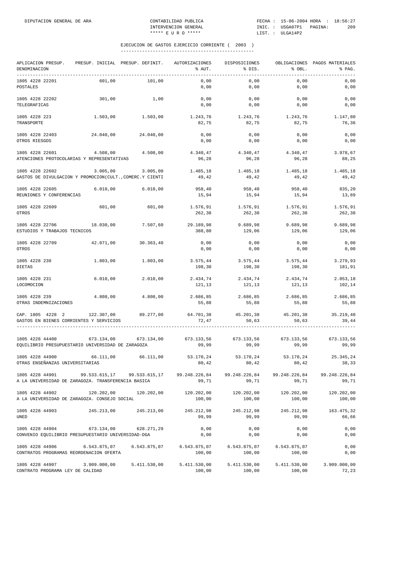| APLICACION PRESUP.<br>DENOMINACION<br>-------------                         | PRESUP. INICIAL PRESUP. DEFINIT. |                                                                                     | AUTORIZACIONES<br>% AUT. | DISPOSICIONES<br>% DIS. | % OBL.                 | OBLIGACIONES PAGOS MATERIALES<br>% PAG. |
|-----------------------------------------------------------------------------|----------------------------------|-------------------------------------------------------------------------------------|--------------------------|-------------------------|------------------------|-----------------------------------------|
| 1805 4228 22201<br>POSTALES                                                 | 601,00                           | 101,00                                                                              | 0,00<br>0,00             | 0,00<br>0,00            | 0,00<br>0,00           | 0,00<br>0,00                            |
| 1805 4228 22202<br>TELEGRAFICAS                                             | 301,00                           | 1,00                                                                                | 0,00<br>0,00             | 0,00<br>0,00            | 0,00<br>0,00           | 0,00<br>0,00                            |
| 1805 4228 223<br>TRANSPORTE                                                 | 1.503,00                         | 1.503,00                                                                            | 1.243,76<br>82,75        | 1.243,76<br>82,75       | 1.243,76<br>82,75      | 1.147,80<br>76,36                       |
| 1805 4228 22403<br>OTROS RIESGOS                                            | 24.040,00                        | 24.040,00                                                                           | 0,00<br>0,00             | 0,00<br>0,00            | 0,00<br>0,00           | 0,00<br>0,00                            |
| 1805 4228 22601<br>ATENCIONES PROTOCOLARIAS Y REPRESENTATIVAS               | 4.508,00                         | 4.508,00                                                                            | 4.340,47<br>96,28        | 4.340,47<br>96,28       | 4.340,47<br>96,28      | 3.978,67<br>88,25                       |
| 1805 4228 22602<br>GASTOS DE DIVULGACION Y PROMOCION(CULT., COMERC.Y CIENTI | 3.005,00                         | 3.005,00                                                                            | 1.485,18<br>49,42        | 1.485,18<br>49,42       | 1.485,18<br>49,42      | 1.485,18<br>49,42                       |
| 1805 4228 22605<br>REUNIONES Y CONFERENCIAS                                 | 6.010,00                         | 6.010,00                                                                            | 958,40<br>15,94          | 958,40<br>15,94         | 958,40<br>15,94        | 835,20<br>13,89                         |
| 1805 4228 22609<br>OTROS                                                    | 601,00                           | 601,00                                                                              | 1.576,91<br>262,38       | 1.576,91<br>262,38      | 1.576,91<br>262,38     | 1.576,91<br>262,38                      |
| 1805 4228 22706<br>ESTUDIOS Y TRABAJOS TECNICOS                             | 18.030,00                        | 7.507,60                                                                            | 29.189,98<br>388,80      | 9.689,98<br>129,06      | 9.689,98<br>129,06     | 9.689,98<br>129,06                      |
| 1805 4228 22709<br>OTROS                                                    | 42.071,00                        | 30.363,40                                                                           | 0,00<br>0,00             | 0,00<br>0,00            | 0,00<br>0,00           | 0,00<br>0,00                            |
| 1805 4228 230<br>DIETAS                                                     | 1.803,00                         | 1.803,00                                                                            | 3.575,44<br>198,30       | 3.575,44<br>198,30      | 3.575,44<br>198,30     | 3.279,93<br>181,91                      |
| 1805 4228 231<br>LOCOMOCION                                                 | 6.010,00                         | 2.010,00                                                                            | 2.434,74<br>121,13       | 2.434,74<br>121,13      | 2.434,74<br>121,13     | 2.053, 18<br>102,14                     |
| 1805 4228 239<br>OTRAS INDEMNIZACIONES                                      | 4.808,00                         | 4.808,00                                                                            | 2.686,85<br>55,88        | 2.686,85<br>55,88       | 2.686,85<br>55,88      | 2.686,85<br>55,88                       |
| CAP. 1805 4228 2<br>GASTOS EN BIENES CORRIENTES Y SERVICIOS                 | 122.307,00                       | 89.277,00                                                                           | 64.701,38<br>72,47       | 45.201,38<br>50,63      | 45.201,38<br>50,63     | 35.219,40<br>39,44                      |
| 1805 4228 44400<br>EQUILIBRIO PRESUPUESTARIO UNIVERSIDAD DE ZARAGOZA        | 673.134,00                       | 673.134,00                                                                          | 673.133,56<br>99,99      | 673.133,56<br>99,99     | 673.133,56<br>99,99    | 673.133,56<br>99,99                     |
| 1805 4228 44900<br>OTRAS ENSEÑANZAS UNIVERSITARIAS                          | 66.111,00                        | 66.111,00                                                                           | 53.170,24<br>80,42       | 53.170,24<br>80,42      | 53.170,24<br>80,42     | 25.345,24<br>38,33                      |
| 1805 4228 44901<br>A LA UNIVERSIDAD DE ZARAGOZA. TRANSFERENCIA BASICA       |                                  | 99.533.615,17 99.533.615,17 99.248.226,84 99.248.226,84 99.248.226,84 99.248.226,84 | 99,71                    | 99,71                   | 99,71                  | 99,71                                   |
| 1805 4228 44902<br>A LA UNIVERSIDAD DE ZARAGOZA. CONSEJO SOCIAL             |                                  | 120.202,00 120.202,00                                                               | 120.202,00<br>100,00     | 120.202,00<br>100,00    | 120.202,00<br>100,00   | 120.202,00<br>100,00                    |
| 1805 4228 44903<br>UNED                                                     |                                  | 245.213,00 245.213,00                                                               | 245.212,98<br>99,99      | 245.212,98<br>99,99     | 245.212,98<br>99,99    | 163.475,32<br>66,66                     |
| 1805 4228 44904<br>CONVENIO EQUILIBRIO PRESUPUESTARIO UNIVERSIDAD-DGA       | 673.134,00                       | 628.271,29                                                                          | 0,00<br>0,00             | 0,00<br>0,00            | 0,00<br>0,00           | 0,00<br>0,00                            |
| 1805 4228 44906<br>CONTRATOS PROGRAMAS REORDENACION OFERTA                  | 6.543.875,07                     | 6.543.875,07                                                                        | 100,00                   | 100,00                  | 100,00                 | 0,00<br>0,00                            |
| 1805 4228 44907<br>CONTRATO PROGRAMA LEY DE CALIDAD                         | 3.909.000,00                     | 5.411.530,00                                                                        | 5.411.530,00<br>100,00   | 5.411.530,00<br>100,00  | 5.411.530,00<br>100,00 | 3.909.000,00<br>72,23                   |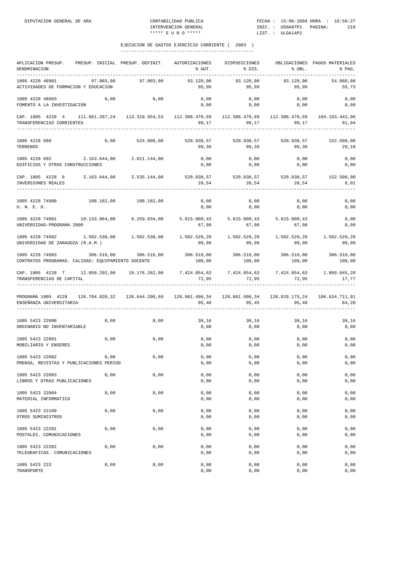| APLICACION PRESUP.<br>DENOMINACION<br>___________                                                                                       | PRESUP. INICIAL PRESUP. DEFINIT. |                                                                         | AUTORIZACIONES<br>% AUT.                             | DISPOSICIONES<br>$\frac{1}{2}$ BIS. | % OBL.               | OBLIGACIONES PAGOS MATERIALES<br>% PAG. |
|-----------------------------------------------------------------------------------------------------------------------------------------|----------------------------------|-------------------------------------------------------------------------|------------------------------------------------------|-------------------------------------|----------------------|-----------------------------------------|
| 1805 4228 48901<br>ACTIVIDADES DE FORMACION Y EDUCACION                                                                                 | 97.003,00                        | 97.003,00                                                               | 93.120,00<br>95,99                                   | 93.120,00<br>95,99                  | 93.120,00<br>95,99   | 54.060,00<br>55,73                      |
| 1805 4228 48903<br>FOMENTO A LA INVESTIGACION                                                                                           | 0,00                             | 0,00                                                                    | 0,00<br>0,00                                         | 0,00<br>0,00                        | 0,00<br>0,00         | 0,00<br>0,00                            |
| CAP. 1805 4228 4 111.861.287,24 113.318.954,53 112.388.470,69 112.388.470,69 112.388.470,69 104.193.442,96<br>TRANSFERENCIAS CORRIENTES |                                  |                                                                         | 99,17                                                | 99,17                               | 99, 17               | 91,94                                   |
| 1805 4228 690<br>TERRENOS                                                                                                               |                                  | $0,00$ $524.000,00$ $520.830,57$ $520.830,57$ $520.830,57$ $152.500,00$ | 99,39                                                | 99,39                               | 99,39                | 29,10                                   |
| 1805 4228 692 2.163.644,00 2.011.144,00<br>EDIFICIOS Y OTRAS CONSTRUCCIONES                                                             |                                  |                                                                         | 0,00<br>0,00                                         | 0,00<br>0,00                        | 0,00<br>0,00         | 0,00<br>0,00                            |
| CAP. 1805 4228 6 2.163.644,00 2.535.144,00<br>INVERSIONES REALES                                                                        |                                  |                                                                         | 520.830,57 520.830,57 520.830,57 152.500,00<br>20,54 | 20,54                               | 20,54                | 6,01                                    |
| 1805 4228 74900<br>U. N. E. D.                                                                                                          | 108.182,00 108.182,00            |                                                                         | 0,00<br>0,00                                         | 0,00<br>0,00                        | 0,00<br>0,00         | 0,00<br>0,00                            |
| 1805 4228 74901 10.133.064,00 8.259.034,00 5.615.009,43 5.615.009,43 5.615.009,43<br>UNIVERSIDAD-PROGRAMA 2000                          |                                  |                                                                         | 67,98                                                | 67,98                               | 67,98                | 0,00<br>0,00                            |
| 1805 4228 74902 1.502.530,00 1.502.530,00<br>UNIVERSIDAD DE ZARAGOZA (R.A.M.)                                                           |                                  |                                                                         | 99,99                                                | 99,99                               | 99,99                | 99,99                                   |
| 1805 4228 74903<br>CONTRATOS PROGRAMAS. CALIDAD: EQUIPAMIENTO DOCENTE                                                                   | 306.516,00                       | 306.516,00                                                              | 306.516,00<br>100,00                                 | 306.516,00<br>100,00                | 306.516,00<br>100,00 | 306.516,00<br>100,00                    |
| CAP. 1805 4228 7 12.050.292,00 10.176.262,00<br>TRANSFERENCIAS DE CAPITAL                                                               |                                  |                                                                         | 7.424.054,63 7.424.054,63 7.424.054,63<br>72,95      | 72,95                               | 72,95                | 1.809.045,20<br>17,77                   |
| PROGRAMA 1805 4228 126.704.920,32 126.644.290,69 120.901.496,34 120.881.996,34 120.829.175,24 106.634.711,91<br>ENSEÑANZA UNIVERSITARIA |                                  |                                                                         | 95,46                                                | 95,45                               | 95,40                | 84,20                                   |
| 1805 5423 22000<br>ORDINARIO NO INVENTARIABLE                                                                                           | 0,00                             | 0,00                                                                    | 30, 16<br>0,00                                       | 30,16<br>0,00                       | 30, 16<br>0,00       | 30,16<br>0,00                           |
| 1805 5423 22001<br>MOBILIARIO Y ENSERES                                                                                                 | 0,00                             | 0,00                                                                    | 0,00<br>0,00                                         | 0,00<br>0,00                        | 0,00<br>0,00         | 0,00<br>0,00                            |
| 1805 5423 22002<br>PRENSA, REVISTAS Y PUBLICACIONES PERIOD                                                                              | 0,00                             | 0,00                                                                    | 0,00<br>0,00                                         | 0,00<br>0,00                        | 0,00<br>0,00         | 0,00<br>0,00                            |
| 1805 5423 22003<br>LIBROS Y OTRAS PUBLICACIONES                                                                                         | 0,00                             | 0,00                                                                    | 0,00<br>0,00                                         | 0,00<br>0,00                        | 0,00<br>0,00         | 0,00<br>0,00                            |
| 1805 5423 22004<br>MATERIAL INFORMATICO                                                                                                 | 0,00                             | 0,00                                                                    | 0,00<br>0,00                                         | 0,00<br>0,00                        | 0,00<br>0,00         | 0,00<br>0,00                            |
| 1805 5423 22109<br>OTROS SUMINISTROS                                                                                                    | 0,00                             | 0,00                                                                    | 0,00<br>0,00                                         | 0,00<br>0,00                        | 0,00<br>0,00         | 0,00<br>0,00                            |
| 1805 5423 22201<br>POSTALES. COMUNICACIONES                                                                                             | 0,00                             | 0,00                                                                    | 0,00<br>0,00                                         | 0,00<br>0,00                        | 0,00<br>0,00         | 0,00<br>0,00                            |
| 1805 5423 22202<br>TELEGRAFICAS. COMUNICACIONES                                                                                         | 0,00                             | 0,00                                                                    | 0,00<br>0,00                                         | 0,00<br>0,00                        | 0,00<br>0,00         | 0,00<br>0,00                            |
| 1805 5423 223<br>TRANSPORTE                                                                                                             | 0,00                             | 0,00                                                                    | 0,00<br>0,00                                         | 0,00<br>0,00                        | 0,00<br>0,00         | 0,00<br>0,00                            |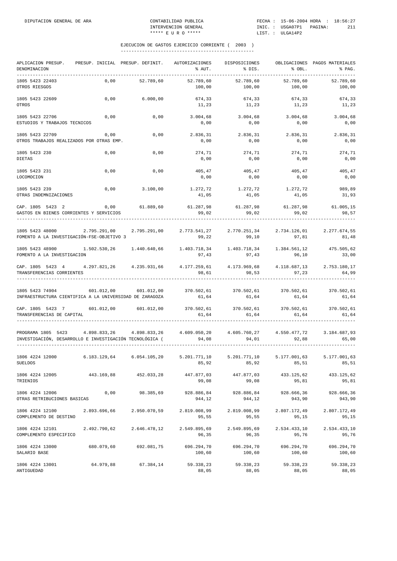| APLICACION PRESUP.<br>DENOMINACION                                                                                                             | PRESUP. INICIAL PRESUP. DEFINIT. |                  | AUTORIZACIONES<br>% AUT.                                     | DISPOSICIONES<br>% DIS.                                                                                   | % OBL.                | OBLIGACIONES PAGOS MATERIALES<br>% PAG.         |
|------------------------------------------------------------------------------------------------------------------------------------------------|----------------------------------|------------------|--------------------------------------------------------------|-----------------------------------------------------------------------------------------------------------|-----------------------|-------------------------------------------------|
| 1805 5423 22403<br>OTROS RIESGOS                                                                                                               | 0,00                             | 52.789,60        | 52.789,60<br>100,00                                          | 52.789,60<br>100,00                                                                                       | 52.789,60<br>100,00   | 52.789,60<br>100,00                             |
| 1805 5423 22609<br>OTROS                                                                                                                       | 0,00                             | 6.000,00         | 674,33<br>11,23                                              | 674,33<br>11,23                                                                                           | 674,33<br>11,23       | 674,33<br>11,23                                 |
| 1805 5423 22706<br>ESTUDIOS Y TRABAJOS TECNICOS                                                                                                | 0,00                             | 0,00             | 3.004,68<br>0,00                                             | 3.004,68<br>0,00                                                                                          | 3.004,68<br>0,00      | 3.004,68<br>0,00                                |
| 1805 5423 22709<br>OTROS TRABAJOS REALIZADOS POR OTRAS EMP.                                                                                    | 0,00                             | 0,00             | 2.836,31<br>0,00                                             | 2.836,31<br>0,00                                                                                          | 2.836,31<br>0,00      | 2.836,31<br>0,00                                |
| 1805 5423 230<br>DIETAS                                                                                                                        | 0,00                             | 0,00             | 274,71<br>0,00                                               | 274,71<br>0,00                                                                                            | 274,71<br>0,00        | 274,71<br>0,00                                  |
| 1805 5423 231<br>LOCOMOCION                                                                                                                    | 0,00                             | 0,00             | 405,47<br>0,00                                               | 405,47<br>0,00                                                                                            | 405,47<br>0,00        | 405,47<br>0,00                                  |
| 1805 5423 239<br>OTRAS INDEMNIZACIONES                                                                                                         | 0,00                             | 3.100,00         | $1.272, 72$ $1.272, 72$ $1.272, 72$<br>41,05                 | 41,05                                                                                                     | 41,05                 | 989,89<br>31,93                                 |
| CAP. 1805 5423 2<br>GASTOS EN BIENES CORRIENTES Y SERVICIOS                                                                                    |                                  | $0,00$ 61.889,60 | 61.287,98<br>99,02                                           | 61.287,98<br>99,02                                                                                        | 99,02                 | 61.287,98 61.005,15<br>98,57                    |
| 1805 5423 48000 2.795.291,00<br>FOMENTO A LA INVESTIGACIÓN-FSE-OBJETIVO 3                                                                      |                                  | 2.795.291,00     | 2.773.541,27<br>99,22                                        | 99,10                                                                                                     | 97,81                 | 2.770.251,34 2.734.126,01 2.277.674,55<br>81,48 |
| 1805 5423 48900<br>FOMENTO A LA INVESTIGACION                                                                                                  | 1.502.530,26 1.440.640,66        |                  | 97,43                                                        | $1.403.718,34 \qquad \quad 1.403.718,34 \qquad \quad 1.384.561,12 \qquad \quad \quad 475.505,62$<br>97,43 | 96,10                 | 33,00                                           |
| CAP. 1805 5423 4 4.297.821,26 4.235.931,66 4.177.259,61 4.173.969,68 4.118.687,13<br>TRANSFERENCIAS CORRIENTES                                 |                                  |                  | 98,61                                                        | 98,53                                                                                                     | 97,23                 | 2.753.180,17<br>64,99                           |
| 1805 5423 74904 601.012,00 601.012,00 370.502,61 370.502,61 370.502,61 370.502,61<br>INFRAESTRUCTURA CIENTIFICA A LA UNIVERSIDAD DE ZARAGOZA   |                                  |                  | 61,64                                                        | 61,64                                                                                                     | 61,64                 | 61,64                                           |
| CAP. 1805 5423 7 601.012,00 601.012,00<br>TRANSFERENCIAS DE CAPITAL                                                                            |                                  |                  | $370.502.61$ $370.502.61$ $370.502.61$ $370.502.61$<br>61,64 | 61,64                                                                                                     | 61,64                 | 61,64                                           |
| PROGRAMA 1805 5423 4.898.833,26 4.898.833,26 4.609.050,20 4.605.760,27 4.550.477,72<br>INVESTIGACIÓN, DESARROLLO E INVESTIGACIÓN TECNOLÓGICA ( |                                  |                  | 94,08                                                        | 94,01                                                                                                     | 92,88                 | 3.184.687,93<br>65,00                           |
| 1806 4224 12000<br><b>SUELDOS</b>                                                                                                              | 6.183.129,64                     | 6.054.105,20     | 5.201.771,10<br>85,92                                        | 5.201.771,10<br>85,92                                                                                     | 5.177.001,63<br>85,51 | 5.177.001,63<br>85,51                           |
| 1806 4224 12005<br>TRIENIOS                                                                                                                    | 443.169,88                       | 452.033,28       | 447.877,03<br>99,08                                          | 447.877,03<br>99,08                                                                                       | 433.125,62<br>95,81   | 433.125,62<br>95,81                             |
| 1806 4224 12006<br>OTRAS RETRIBUCIONES BASICAS                                                                                                 | 0,00                             | 98.385,69        | 928.886,84<br>944,12                                         | 928.886,84<br>944,12                                                                                      | 928.666,36<br>943,90  | 928.666,36<br>943,90                            |
| 1806 4224 12100<br>COMPLEMENTO DE DESTINO                                                                                                      | 2.893.696,66                     | 2.950.070,59     | 2.819.008,99<br>95,55                                        | 2.819.008,99<br>95,55                                                                                     | 2.807.172,49<br>95,15 | 2.807.172,49<br>95,15                           |
| 1806 4224 12101<br>COMPLEMENTO ESPECIFICO                                                                                                      | 2.492.790,62                     | 2.646.478,12     | 2.549.895,69<br>96,35                                        | 2.549.895,69<br>96,35                                                                                     | 2.534.433,10<br>95,76 | 2.534.433,10<br>95,76                           |
| 1806 4224 13000<br>SALARIO BASE                                                                                                                | 680.079,60                       | 692.081,75       | 696.294,70<br>100,60                                         | 696.294,70<br>100,60                                                                                      | 696.294,70<br>100,60  | 696.294,70<br>100,60                            |
| 1806 4224 13001<br>ANTIGUEDAD                                                                                                                  | 64.979,88                        | 67.384,14        | 59.338,23<br>88,05                                           | 59.338,23<br>88,05                                                                                        | 59.338,23<br>88,05    | 59.338,23<br>88,05                              |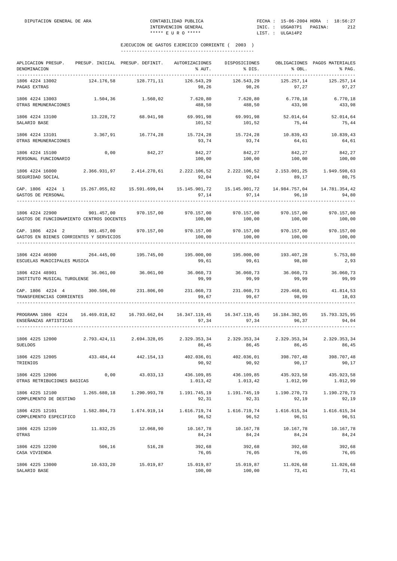| APLICACION PRESUP.<br>DENOMINACION                                                                                              | PRESUP. INICIAL PRESUP. DEFINIT. |                           | AUTORIZACIONES<br>% AUT.                                               | DISPOSICIONES<br>% DIS.                         | % OBL.                | OBLIGACIONES PAGOS MATERIALES<br>% PAG. |
|---------------------------------------------------------------------------------------------------------------------------------|----------------------------------|---------------------------|------------------------------------------------------------------------|-------------------------------------------------|-----------------------|-----------------------------------------|
| 1806 4224 13002<br>PAGAS EXTRAS                                                                                                 | 124.176,58                       | 128.771,11                | 126.543,29<br>98,26                                                    | 126.543,29<br>98,26                             | 125.257,14<br>97,27   | 125.257,14<br>97,27                     |
| 1806 4224 13003<br>OTRAS REMUNERACIONES                                                                                         | 1.504,36                         | 1.560,02                  | 7.620,80<br>488,50                                                     | 7.620,80<br>488,50                              | 6.770, 18<br>433,98   | 6.770, 18<br>433,98                     |
| 1806 4224 13100<br>SALARIO BASE                                                                                                 | 13.228,72                        | 68.941,98                 | 69.991,98<br>101,52                                                    | 69.991,98<br>101,52                             | 52.014,64<br>75,44    | 52.014,64<br>75,44                      |
| 1806 4224 13101<br>OTRAS REMUNERACIONES                                                                                         | 3.367,91                         | 16.774,28                 | 15.724,28<br>93,74                                                     | 15.724,28<br>93,74                              | 10.839,43<br>64,61    | 10.839,43<br>64,61                      |
| 1806 4224 15100<br>PERSONAL FUNCIONARIO                                                                                         | 0,00                             | 842,27                    | 842,27<br>100,00                                                       | 842,27<br>100,00                                | 842,27<br>100,00      | 842,27<br>100,00                        |
| 1806 4224 16000<br>SEGURIDAD SOCIAL                                                                                             |                                  | 2.366.931,97 2.414.270,61 | 92,04                                                                  | 2.222.106,52 2.222.106,52 2.153.001,25<br>92,04 | 89,17                 | 1.949.598,63<br>80,75                   |
| CAP. 1806 4224 1<br>GASTOS DE PERSONAL                                                                                          |                                  |                           | 15.145.901,72   15.145.901,72   14.984.757,04   14.781.354,42<br>97,14 | 97,14                                           | 96,10                 | 94,80                                   |
| 1806 4224 22900<br>GASTOS DE FUNCIONAMIENTO CENTROS DOCENTES                                                                    | 901.457,00 970.157,00            |                           | 970.157,00 970.157,00<br>100,00                                        | 100,00                                          | 970.157,00<br>100,00  | 970.157,00<br>100,00                    |
| CAP. 1806 4224 2 901.457,00<br>GASTOS EN BIENES CORRIENTES Y SERVICIOS                                                          |                                  | 970.157,00                | 970.157,00<br>100,00                                                   | 970.157,00<br>100,00                            | 970.157,00<br>100,00  | 970.157,00<br>100,00                    |
| 1806 4224 46900<br>ESCUELAS MUNICIPALES MUSICA                                                                                  | 264.445,00                       | 195.745,00                | 195.000,00<br>99,61                                                    | 195.000,00<br>99,61                             | 193.407,28<br>98,80   | 5.753,80<br>2,93                        |
| 1806 4224 48901<br>INSTITUTO MUSICAL TUROLENSE                                                                                  | 36.061,00                        | 36.061,00                 | 36.060,73<br>99,99                                                     | 36.060,73<br>99,99                              | 36.060,73<br>99,99    | 36.060,73<br>99,99                      |
| CAP. 1806 4224 4 300.506,00 231.806,00<br>TRANSFERENCIAS CORRIENTES<br>-------------------                                      |                                  |                           | 231.060,73<br>99,67                                                    | 231.060,73<br>99,67                             | 229.468,01<br>98,99   | 41.814,53<br>18,03                      |
| PROGRAMA 1806 4224 16.469.018,82 16.793.662,04 16.347.119,45 16.347.119,45 16.184.382,05 15.793.325,95<br>ENSEÑANZAS ARTISTICAS |                                  |                           | 97,34                                                                  | 97,34                                           | 96,37                 | 94,04                                   |
| 1806 4225 12000<br><b>SUELDOS</b>                                                                                               |                                  |                           | $2.793.424,11$ $2.694.328,05$ $2.329.353,34$ $2.329.353,34$<br>86,45   | 86,45                                           | 2.329.353,34<br>86,45 | 2.329.353,34<br>86,45                   |
| 1806 4225 12005<br>TRIENIOS                                                                                                     | 433.484,44                       | 442.154,13                | 402.036,01<br>90,92                                                    | 402.036,01<br>90,92                             | 398.707,48<br>90,17   | 398.707,48<br>90,17                     |
| 1806 4225 12006<br>OTRAS RETRIBUCIONES BASICAS                                                                                  | 0,00                             | 43.033,13                 | 436.109,85<br>1.013,42                                                 | 436.109,85 435.923,58<br>1.013,42               | 1.012,99              | 435.923,58<br>1.012,99                  |
| 1806 4225 12100 1.265.680,18 1.290.993,78<br>COMPLEMENTO DE DESTINO                                                             |                                  |                           | 92,31                                                                  | 92,31                                           | 92,19                 | 1.190.270,73<br>92,19                   |
| $1.616.719.74 \t 1.510.616.819.3 \t 1.674.919.14 \t 1.616.719.74 \t 1.616.719.74 \t 1.616.615.34$<br>COMPLEMENTO ESPECIFICO     |                                  |                           | 96,52                                                                  | 96,52                                           | 96,51                 | 1.616.615,34<br>96,51                   |
| 1806 4225 12109<br>OTRAS                                                                                                        |                                  | 11.832,25 12.068,90       | 10.167,78<br>84,24                                                     | 10.167,78<br>84,24                              | 10.167,78<br>84,24    | 10.167,78<br>84,24                      |
| 1806 4225 12200<br>CASA VIVIENDA                                                                                                | 506,16                           | 516,28                    | 392,68<br>76,05                                                        | 392,68<br>76,05                                 | 392,68<br>76,05       | 392,68<br>76,05                         |
| 1806 4225 13000<br>SALARIO BASE                                                                                                 |                                  | 10.633,20 15.019,87       | 15.019,87                                                              | 15.019,87<br>100,00 100,00                      | 11.026,68<br>73,41    | 11.026,68<br>73,41                      |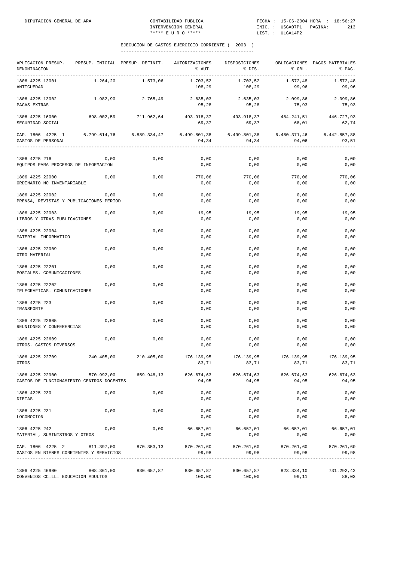| APLICACION PRESUP. PRESUP. INICIAL PRESUP. DEFINIT. AUTORIZACIONES<br>DENOMINACION |                              |            | % AUT.                                                                     | DISPOSICIONES<br>8 DIS. | % OBL.                | OBLIGACIONES PAGOS MATERIALES<br>% PAG. |
|------------------------------------------------------------------------------------|------------------------------|------------|----------------------------------------------------------------------------|-------------------------|-----------------------|-----------------------------------------|
| 1806 4225 13001<br>ANTIGUEDAD                                                      | 1.264,20                     | 1.573,06   | 1.703,52<br>108,29                                                         | 1.703,52<br>108,29      | 1.572,48<br>99,96     | 1.572,48<br>99,96                       |
| 1806 4225 13002<br>PAGAS EXTRAS                                                    | 1.982,90                     | 2.765,49   | 2.635,03<br>95,28                                                          | 2.635,03<br>95,28       | 2.099,86<br>75,93     | 2.099,86<br>75,93                       |
| 1806 4225 16000<br>SEGURIDAD SOCIAL                                                | 698.002,59 711.962,64        |            | 493.918,37 493.918,37 484.241,51 446.727,93<br>69,37                       | 69,37                   | 68,01                 | 62,74                                   |
| CAP. 1806 4225 1 6.799.614,76 6.889.334,47<br>GASTOS DE PERSONAL                   |                              |            | 6.499.801,38<br>94,34                                                      | 6.499.801,38<br>94,34   | 6.480.371,46<br>94,06 | 6.442.857,88<br>93,51                   |
|                                                                                    |                              |            |                                                                            |                         |                       |                                         |
| 1806 4225 216<br>EQUIPOS PARA PROCESOS DE INFORMACION                              | 0,00                         | 0,00       | 0,00<br>0,00                                                               | 0,00<br>0,00            | 0,00<br>0,00          | 0,00<br>0,00                            |
| 1806 4225 22000<br>ORDINARIO NO INVENTARIABLE                                      | 0,00                         | 0,00       | 770,06<br>0,00                                                             | 770,06<br>0,00          | 770,06<br>0,00        | 770,06<br>0,00                          |
| 1806 4225 22002<br>PRENSA, REVISTAS Y PUBLICACIONES PERIOD                         | 0,00                         | 0,00       | 0,00<br>0,00                                                               | 0,00<br>0,00            | 0,00<br>0,00          | 0,00<br>0,00                            |
| 1806 4225 22003<br>LIBROS Y OTRAS PUBLICACIONES                                    | 0,00                         | 0,00       | 19,95<br>0,00                                                              | 19,95<br>0,00           | 19,95<br>0,00         | 19,95<br>0,00                           |
| 1806 4225 22004<br>MATERIAL INFORMATICO                                            | 0,00                         | 0,00       | 0,00<br>0,00                                                               | 0,00<br>0,00            | 0,00<br>0,00          | 0,00<br>0,00                            |
| 1806 4225 22009<br>OTRO MATERIAL                                                   | 0,00                         | 0,00       | 0,00<br>0,00                                                               | 0,00<br>0,00            | 0,00<br>0,00          | 0,00<br>0,00                            |
| 1806 4225 22201<br>POSTALES. COMUNICACIONES                                        | 0,00                         | 0,00       | 0,00<br>0,00                                                               | 0,00<br>0,00            | 0,00<br>0,00          | 0,00<br>0,00                            |
| 1806 4225 22202<br>TELEGRAFICAS. COMUNICACIONES                                    | 0,00                         | 0,00       | 0,00<br>0,00                                                               | 0,00<br>0,00            | 0,00<br>0,00          | 0,00<br>0,00                            |
| 1806 4225 223<br>TRANSPORTE                                                        | 0,00                         | 0,00       | 0,00<br>0,00                                                               | 0,00<br>0,00            | 0,00<br>0,00          | 0,00<br>0,00                            |
| 1806 4225 22605<br>REUNIONES Y CONFERENCIAS                                        | 0,00                         | 0,00       | 0,00<br>0,00                                                               | 0,00<br>0,00            | 0,00<br>0,00          | 0,00<br>0,00                            |
| 1806 4225 22609<br>OTROS. GASTOS DIVERSOS                                          | 0,00                         | 0,00       | 0,00<br>0,00                                                               | 0,00<br>0,00            | 0,00<br>0,00          | 0,00<br>0,00                            |
| 1806 4225 22709<br>OTROS                                                           | 240.405,00                   |            | 210.405,00 176.139,95 176.139,95<br>83,71                                  | 83,71                   | 83,71                 | 176.139,95 176.139,95<br>83,71          |
| 1806 4225 22900<br>GASTOS DE FUNCIONAMIENTO CENTROS DOCENTES                       |                              |            | 570.992,00 659.948,13 626.674,63 626.674,63 626.674,63 626.674,63<br>94,95 | 94,95                   | 94,95                 | 94,95                                   |
| 1806 4225 230<br>DIETAS                                                            | 0,00                         | 0,00       | 0,00<br>0,00                                                               | 0,00<br>0,00            | 0,00<br>0,00          | 0,00<br>0,00                            |
| 1806 4225 231<br>LOCOMOCION                                                        | 0,00                         | 0,00       | 0,00<br>0,00                                                               | 0,00<br>0,00            | 0,00<br>0,00          | 0,00<br>0,00                            |
| 1806 4225 242<br>MATERIAL, SUMINISTROS Y OTROS                                     | 0,00                         | 0,00       | $66.657,01$ $66.657,01$ $66.657,01$<br>0,00                                | 0,00                    | 0,00                  | 66.657,01<br>0,00                       |
| CAP. 1806 4225 2 811.397,00 870.353,13<br>GASTOS EN BIENES CORRIENTES Y SERVICIOS  | ____________________________ |            | 870.261,60<br>99,98                                                        | 870.261,60<br>99,98     | 870.261,60<br>99,98   | 870.261,60<br>99,98                     |
| 1806 4225 46900<br>CONVENIOS CC.LL. EDUCACION ADULTOS                              | 808.361,00                   | 830.657,87 | 830.657,87<br>100,00                                                       | 830.657,87<br>100,00    | 823.334,10<br>99,11   | 731.292,42<br>88,03                     |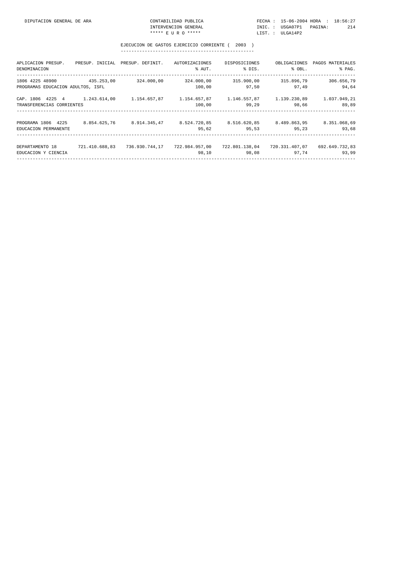| DIPUTACION GENERAL DE ARA | CONTABILIDAD PUBLICA | FECHA: 15-06-2004 HORA : 18:56:27 |     |
|---------------------------|----------------------|-----------------------------------|-----|
|                           | INTERVENCION GENERAL | INIC. : USGA07P1 PAGINA:          | 214 |
|                           | ***** R II R O ***** | LIST. : ULGA14P2                  |     |

| APLICACION PRESUP.<br>DENOMINACION                   |                | PRESUP. INICIAL PRESUP. DEFINIT. | AUTORIZACIONES<br>% AUT. | DISPOSICIONES<br>% DIS.            | OBLIGACIONES<br>% OBL.  | PAGOS MATERIALES<br>% PAG. |
|------------------------------------------------------|----------------|----------------------------------|--------------------------|------------------------------------|-------------------------|----------------------------|
| 1806 4225 48900<br>PROGRAMAS EDUCACION ADULTOS, ISFL | 435.253.00     | 324.000.00                       | 324.000,00<br>100,00     | 315.900,00<br>97.50                | 315.896,79<br>97.49     | 306.656,79<br>94,64        |
| CAP. 1806 4225 4<br>TRANSFERENCIAS CORRIENTES        | 1.243.614,00   | 1.154.657,87                     | 1.154.657,87<br>100,00   | 99.29                              | 98.66                   | 1.037.949,21<br>89,89      |
| PROGRAMA 1806 4225<br>EDUCACION PERMANENTE           | 8.854.625.76   | 8.914.345.47                     | 8.524.720,85<br>95,62    | 8.516.620.85 8.489.863.95<br>95,53 | 95,23                   | 8.351.068,69<br>93,68      |
| DEPARTAMENTO 18<br>EDUCACION Y CIENCIA               | 721.410.688.83 | 736.930.744.17                   | 722.984.957.00<br>98,10  | 722.801.138.04<br>98,08            | 720.331.407.07<br>97,74 | 692.649.732,83<br>93,99    |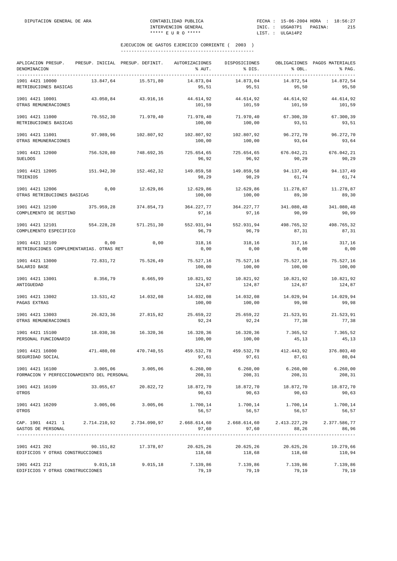| APLICACION PRESUP.<br>DENOMINACION<br>--------------                                                                              |            | PRESUP. INICIAL PRESUP. DEFINIT. | AUTORIZACIONES<br>% AUT.                                        | DISPOSICIONES<br>% DIS. | % OBL.              | OBLIGACIONES PAGOS MATERIALES<br>% PAG. |
|-----------------------------------------------------------------------------------------------------------------------------------|------------|----------------------------------|-----------------------------------------------------------------|-------------------------|---------------------|-----------------------------------------|
| 1901 4421 10000<br>RETRIBUCIONES BASICAS                                                                                          | 13.847,64  | 15.571,80                        | 14.873,04<br>95,51                                              | 14.873,04<br>95,51      | 14.872,54<br>95,50  | 14.872,54<br>95,50                      |
| 1901 4421 10001<br>OTRAS REMUNERACIONES                                                                                           | 43.050,84  | 43.916,16                        | 44.614,92<br>101,59                                             | 44.614,92<br>101,59     | 44.614,92<br>101,59 | 44.614,92<br>101,59                     |
| 1901 4421 11000<br>RETRIBUCIONES BASICAS                                                                                          | 70.552,30  | 71.970,40                        | 71.970,40<br>100,00                                             | 71.970,40<br>100,00     | 67.300,39<br>93,51  | 67.300,39<br>93,51                      |
| 1901 4421 11001<br>OTRAS REMUNERACIONES                                                                                           | 97.989,96  | 102.807,92                       | 102.807,92<br>100,00                                            | 102.807,92<br>100,00    | 96.272,70<br>93,64  | 96.272,70<br>93,64                      |
| 1901 4421 12000<br><b>SUELDOS</b>                                                                                                 | 756.520,80 | 748.692,35                       | 725.654,65<br>96,92                                             | 725.654,65<br>96,92     | 676.042,21<br>90,29 | 676.042,21<br>90,29                     |
| 1901 4421 12005<br>TRIENIOS                                                                                                       | 151.942,30 | 152.462,32                       | 149.859,58<br>98,29                                             | 149.859,58<br>98,29     | 94.137,49<br>61,74  | 94.137,49<br>61,74                      |
| 1901 4421 12006<br>OTRAS RETRIBUCIONES BASICAS                                                                                    | 0,00       | 12.629,86                        | 12.629,86<br>100,00                                             | 12.629,86<br>100,00     | 11.278,87<br>89,30  | 11.278,87<br>89,30                      |
| 1901 4421 12100<br>COMPLEMENTO DE DESTINO                                                                                         | 375.959,28 | 374.854,73                       | 364.227,77<br>97,16                                             | 364.227,77<br>97,16     | 341.080,48<br>90,99 | 341.080,48<br>90,99                     |
| 1901 4421 12101<br>COMPLEMENTO ESPECIFICO                                                                                         | 554.228,28 | 571.251,30                       | 552.931,94<br>96,79                                             | 552.931,94<br>96,79     | 498.765,32<br>87,31 | 498.765,32<br>87,31                     |
| 1901 4421 12109<br>RETRIBUCIONES COMPLEMENTARIAS. OTRAS RET                                                                       | 0,00       | 0,00                             | 318,16<br>0,00                                                  | 318,16<br>0,00          | 317,16<br>0,00      | 317,16<br>0,00                          |
| 1901 4421 13000<br>SALARIO BASE                                                                                                   | 72.831,72  | 75.526,49                        | 75.527,16<br>100,00                                             | 75.527,16<br>100,00     | 75.527,16<br>100,00 | 75.527,16<br>100,00                     |
| 1901 4421 13001<br>ANTIGUEDAD                                                                                                     | 8.356,79   | 8.665,99                         | 10.821,92<br>124,87                                             | 10.821,92<br>124,87     | 10.821,92<br>124,87 | 10.821,92<br>124,87                     |
| 1901 4421 13002<br>PAGAS EXTRAS                                                                                                   | 13.531,42  | 14.032,08                        | 14.032,08<br>100,00                                             | 14.032,08<br>100,00     | 14.029,94<br>99,98  | 14.029,94<br>99,98                      |
| 1901 4421 13003<br>OTRAS REMUNERACIONES                                                                                           | 26.823,36  | 27.815,82                        | 25.659,22<br>92,24                                              | 25.659,22<br>92,24      | 21.523,91<br>77,38  | 21.523,91<br>77,38                      |
| 1901 4421 15100<br>PERSONAL FUNCIONARIO                                                                                           | 18.030,36  | 16.320,36                        | 16.320,36<br>100,00                                             | 16.320,36<br>100,00     | 7.365,52<br>45,13   | 7.365,52<br>45,13                       |
| 1901 4421 16000<br>SEGURIDAD SOCIAL                                                                                               | 471.480,08 | 470.740,55                       | 459.532,78<br>97,61                                             | 459.532,78<br>97,61     | 412.443,92<br>87,61 | 376.803,40<br>80,04                     |
| $1901$ 4421 16100 $3.005,06$ $3.005,06$ $5.260,00$ $6.260,00$ $6.260,00$ $6.260,00$<br>FORMACION Y PERFECCIONAMIENTO DEL PERSONAL |            |                                  | 208,31                                                          | 208,31                  | 208,31              | 6.260,00<br>208,31                      |
| 1901 4421 16109 33.055,67 20.822,72<br>OTROS                                                                                      |            |                                  | 18.872,70<br>90,63                                              | 18.872,70<br>90,63      | 18.872,70<br>90,63  | 18.872,70<br>90,63                      |
| 1901 4421 16209<br>OTROS                                                                                                          |            | 3.005,06 3.005,06                | 1.700,14<br>56,57                                               | 1.700,14<br>56,57       | 1.700,14<br>56,57   | 1.700,14<br>56,57                       |
| CAP. 1901 4421 1 2.714.210,92 2.734.090,97 2.668.614,60 2.668.614,60 2.413.227,29<br>GASTOS DE PERSONAL                           |            |                                  | 97,60                                                           | 97,60                   | 88,26               | 2.377.586,77<br>86,96                   |
| 1901 4421 202<br>EDIFICIOS Y OTRAS CONSTRUCCIONES                                                                                 | 90.151,82  | 17.378,07                        | 20.625,26<br>118,68                                             | 20.625,26<br>118,68     | 20.625,26<br>118,68 | 19.279,66<br>110,94                     |
| 1901 4421 212 9.015,18<br>EDIFICIOS Y OTRAS CONSTRUCCIONES                                                                        |            | 9.015, 18                        | $7.139,86$ $7.139,86$ $7.139,86$ $7.139,86$ $7.139,86$<br>79,19 | 79,19                   | 79,19               | 79,19                                   |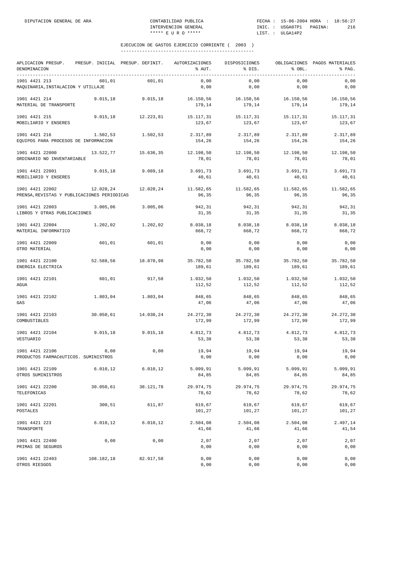| APLICACION PRESUP.<br>DENOMINACION                             | PRESUP. INICIAL PRESUP. DEFINIT. |                     | AUTORIZACIONES<br>% AUT. | DISPOSICIONES<br>% DIS. | % OBL.              | OBLIGACIONES PAGOS MATERIALES<br>% PAG. |
|----------------------------------------------------------------|----------------------------------|---------------------|--------------------------|-------------------------|---------------------|-----------------------------------------|
| 1901 4421 213<br>MAQUINARIA, INSTALACION Y UTILLAJE            | 601,01                           | 601.01              | 0,00<br>0,00             | 0,00<br>0,00            | 0,00<br>0,00        | 0,00<br>0,00                            |
| 1901 4421 214<br>MATERIAL DE TRANSPORTE                        | 9.015.18                         | 9.015, 18           | 16.150,56<br>179,14      | 16.150,56<br>179,14     | 16.150,56<br>179,14 | 16.150,56<br>179,14                     |
| 1901 4421 215<br>MOBILIARIO Y ENSERES                          | 9.015, 18                        | 12.223,81           | 15.117,31<br>123,67      | 15.117,31<br>123,67     | 15.117,31<br>123,67 | 15.117,31<br>123,67                     |
| 1901 4421 216<br>EQUIPOS PARA PROCESOS DE INFORMACION          | 1.502,53                         | 1.502,53            | 2.317,89<br>154,26       | 2.317,89<br>154,26      | 2.317,89<br>154,26  | 2.317,89<br>154,26                      |
| 1901 4421 22000<br>ORDINARIO NO INVENTARIABLE                  | 13.522,77                        | 15.636,35           | 12.198,50<br>78,01       | 12.198,50<br>78,01      | 12.198,50<br>78,01  | 12.198,50<br>78,01                      |
| 1901 4421 22001<br>MOBILIARIO Y ENSERES                        | 9.015, 18                        | 9.089,18            | 3.691,73<br>40,61        | 3.691,73<br>40,61       | 3.691,73<br>40,61   | 3.691,73<br>40,61                       |
| 1901 4421 22002<br>PRENSA, REVISTAS Y PUBLICACIONES PERIODICAS |                                  | 12.020.24 12.020.24 | 11.582,65<br>96,35       | 11.582,65<br>96,35      | 11.582,65<br>96,35  | 11.582,65<br>96,35                      |
| 1901 4421 22003<br>LIBROS Y OTRAS PUBLICACIONES                | 3.005,06                         | 3.005,06            | 942,31<br>31,35          | 942,31<br>31,35         | 942,31<br>31,35     | 942,31<br>31,35                         |
| 1901 4421 22004<br>MATERIAL INFORMATICO                        | 1.202,02                         | 1.202,02            | 8.038,18<br>668,72       | 8.038,18<br>668,72      | 8.038,18<br>668,72  | 8.038,18<br>668,72                      |
| 1901 4421 22009<br>OTRO MATERIAL                               | 601,01                           | 601,01              | 0,00<br>0,00             | 0,00<br>0,00            | 0,00<br>0,00        | 0,00<br>0,00                            |
| 1901 4421 22100<br>ENERGIA ELECTRICA                           | 52.588,56                        | 18.870,98           | 35.782,50<br>189,61      | 35.782,50<br>189,61     | 35.782,50<br>189,61 | 35.782,50<br>189,61                     |
| 1901 4421 22101<br>AGUA                                        | 601,01                           | 917,58              | 1.032,50<br>112,52       | 1.032,50<br>112,52      | 1.032,50<br>112,52  | 1.032,50<br>112,52                      |
| 1901 4421 22102<br>GAS                                         | 1.803,04                         | 1.803,04            | 848,65<br>47,06          | 848,65<br>47,06         | 848,65<br>47,06     | 848,65<br>47,06                         |
| 1901 4421 22103<br>COMBUSTIBLES                                | 30.050,61                        | 14.030,24           | 24.272,30<br>172,99      | 24.272,30<br>172,99     | 24.272,30<br>172,99 | 24.272,30<br>172,99                     |
| 1901 4421 22104<br>VESTUARIO                                   | 9.015, 18                        | 9.015, 18           | 4.812,73<br>53,38        | 4.812,73<br>53,38       | 4.812,73<br>53,38   | 4.812,73<br>53,38                       |
| 1901 4421 22106<br>PRODUCTOS FARMACéUTICOS. SUMINISTROS        | 0,00                             | 0,00                | 19,94<br>0,00            | 19,94<br>0,00           | 19,94<br>0,00       | 19,94<br>$0$ , $00$                     |
| 1901 4421 22109<br>OTROS SUMINISTROS                           | 6.010, 12                        | 6.010, 12           | 5.099, 91<br>84,85       | 5.099, 91<br>84,85      | 5.099,91<br>84,85   | 5.099,91<br>84,85                       |
| 1901 4421 22200<br>TELEFONICAS                                 | 30.050,61                        | 38.121,78           | 29.974,75<br>78,62       | 29.974,75<br>78,62      | 29.974,75<br>78,62  | 29.974,75<br>78,62                      |
| 1901 4421 22201<br>POSTALES                                    | 300,51                           | 611,87              | 619,67<br>101,27         | 619,67<br>101,27        | 619,67<br>101,27    | 619,67<br>101,27                        |
| 1901 4421 223<br>TRANSPORTE                                    | 6.010, 12                        | 6.010, 12           | 2.504,08<br>41,66        | 2.504,08<br>41,66       | 2.504,08<br>41,66   | 2.497,14<br>41,54                       |
| 1901 4421 22400<br>PRIMAS DE SEGUROS                           | 0,00                             | 0,00                | 2,07<br>0,00             | 2,07<br>0,00            | 2,07<br>0,00        | 2,07<br>0,00                            |
| 1901 4421 22403<br>OTROS RIESGOS                               | 108.182,18                       | 82.917,58           | 0,00<br>0,00             | 0,00<br>0,00            | 0,00<br>0,00        | 0,00<br>0,00                            |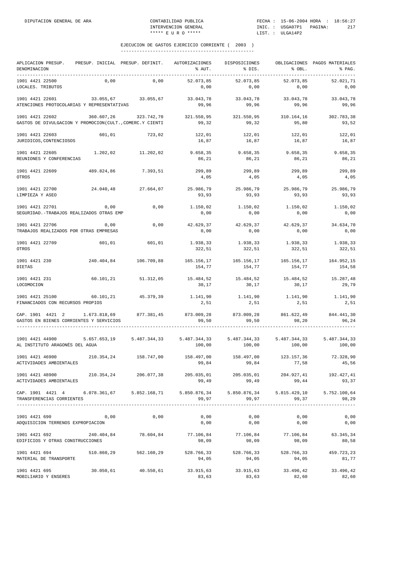| APLICACION PRESUP.<br>DENOMINACION<br>-----------                                                                                                                  | PRESUP. INICIAL PRESUP. DEFINIT. |                                                                  | AUTORIZACIONES<br>% AUT.       | DISPOSICIONES<br>% DIS.                               | % OBL.              | OBLIGACIONES PAGOS MATERIALES<br>% PAG.<br>------------------------------- |
|--------------------------------------------------------------------------------------------------------------------------------------------------------------------|----------------------------------|------------------------------------------------------------------|--------------------------------|-------------------------------------------------------|---------------------|----------------------------------------------------------------------------|
| 1901 4421 22500<br>LOCALES. TRIBUTOS                                                                                                                               | 0,00                             | 0,00                                                             | 52.073,85<br>0,00              | 52.073,85<br>0,00                                     | 52.073,85<br>0,00   | 52.021.71<br>0,00                                                          |
| 1901 4421 22601<br>ATENCIONES PROTOCOLARIAS Y REPRESENTATIVAS                                                                                                      |                                  | 33.055,67 33.055,67                                              | 33.043,78<br>99,96             | 33.043,78<br>99,96                                    | 33.043,78<br>99,96  | 33.043,78<br>99.96                                                         |
| 1901 4421 22602<br>GASTOS DE DIVULGACION Y PROMOCION (CULT., COMERC.Y CIENTI                                                                                       | 360.607,26                       | 323.742,70                                                       | 321.550,95 321.550,95<br>99,32 | 99,32                                                 | 310.164,16<br>95,80 | 302.783,38<br>93,52                                                        |
| 1901 4421 22603<br>JURIDICOS, CONTENCIOSOS                                                                                                                         | 601,01                           | 723,02                                                           | 122,01<br>16,87                | 122,01<br>16,87                                       | 122,01<br>16,87     | 122,01<br>16,87                                                            |
| 1901 4421 22605<br>REUNIONES Y CONFERENCIAS                                                                                                                        |                                  | 1.202,02 11.202,02                                               | 9.658, 35<br>86,21             | 9.658, 35<br>86,21                                    | 9.658,35<br>86,21   | 9.658,35<br>86,21                                                          |
| 1901 4421 22609<br>OTROS                                                                                                                                           | 489.824,86                       | 7.393,51                                                         | 299,89<br>4,05                 | 299,89<br>4,05                                        | 299,89<br>4,05      | 299,89<br>4,05                                                             |
| 1901 4421 22700<br>LIMPIEZA Y ASEO                                                                                                                                 |                                  | 24.040,48 27.664,07                                              | 93,93                          | 25.986,79 25.986,79 25.986,79<br>93,93                | 93,93               | 25.986,79<br>93,93                                                         |
| 1901 4421 22701<br>SEGURIDAD. - TRABAJOS REALIZADOS OTRAS EMP                                                                                                      | 0,00                             | 0,00                                                             | 1.150,02<br>0,00               | 1.150,02<br>0,00                                      | 1.150,02<br>0,00    | 1.150,02<br>0,00                                                           |
| 1901 4421 22706<br>TRABAJOS REALIZADOS POR OTRAS EMPRESAS                                                                                                          | 0,00                             | 0,00                                                             | 42.629,37<br>0,00              | 42.629,37<br>0,00                                     | 42.629,37<br>0,00   | 34.634.70<br>0,00                                                          |
| 1901 4421 22709<br>OTROS                                                                                                                                           | 601,01                           | 601,01                                                           | 1.938,33<br>322,51             | 1.938,33<br>322,51                                    | 1.938,33<br>322,51  | 1.938,33<br>322,51                                                         |
| 1901 4421 230<br>DIETAS                                                                                                                                            |                                  | 240.404,84 106.709,88                                            | 154,77                         | 165.156,17 165.156,17 165.156,17 164.952,15<br>154,77 | 154,77              | 154,58                                                                     |
| 1901 4421 231<br>LOCOMOCION                                                                                                                                        | 60.101,21                        | 51.312,05                                                        | 15.484,52<br>30,17             | 15.484,52<br>30,17                                    | 15.484,52<br>30,17  | 15.287,48<br>29,79                                                         |
| 1901 4421 25100<br>FINANCIADOS CON RECURSOS PROPIOS                                                                                                                | 60.101,21                        | 45.379,39                                                        | 1.141,90<br>2,51               | 1.141,90<br>2,51                                      | 1.141,90<br>2,51    | 1.141,90<br>2,51                                                           |
| CAP. 1901 4421 2 1.673.818,69 877.381,45<br>GASTOS EN BIENES CORRIENTES Y SERVICIOS                                                                                |                                  |                                                                  | 873.009,28<br>99,50            | 873.009,28 861.622,49<br>99,50                        | 98,20               | 844.441,30<br>96,24                                                        |
| 1901 4421 44900<br>AL INSTITUTO ARAGONÉS DEL AGUA                                                                                                                  |                                  | 5.657.653,19 5.487.344,33 5.487.344,33 5.487.344,33 5.487.344,33 | 100,00                         | 100,00                                                |                     | 5.487.344,33<br>100,00 100,00                                              |
| 1901 4421 46900<br>ACTIVIDADES AMBIENTALES                                                                                                                         | 210.354,24                       | 158.747,00                                                       | 158.497,00<br>99,84            | 158.497,00<br>99,84                                   | 123.157,36<br>77,58 | 72.328,90<br>45,56                                                         |
| 1901 4421 48900<br>ACTIVIDADES AMBIENTALES                                                                                                                         |                                  | 210.354,24 206.077,38                                            | 99,49                          | 99,49                                                 | 99,44               | 205.035,01 205.035,01 204.927,41 192.427,41<br>93,37                       |
| CAP. 1901 4421 4 6.078.361,67 5.852.168,71 5.850.876,34 5.850.876,34 5.815.429,10 5.752.100,64<br>TRANSFERENCIAS CORRIENTES<br>----------------------------------- |                                  | -------------                                                    | 99,97                          | 99,97                                                 | 99,37               | 98,29                                                                      |
| 1901 4421 690<br>ADQUISICION TERRENOS EXPROPIACION                                                                                                                 | 0,00                             | 0,00                                                             | 0,00<br>0,00                   | 0,00<br>0,00                                          | 0,00<br>0,00        | 0,00<br>0,00                                                               |
| 1901 4421 692<br>EDIFICIOS Y OTRAS CONSTRUCCIONES                                                                                                                  | 240.404,84                       | 78.604,84                                                        | 77.106,84<br>98,09             | 77.106,84<br>98,09                                    | 77.106,84<br>98,09  | 63.345,34<br>80,58                                                         |
| 1901 4421 694<br>MATERIAL DE TRANSPORTE                                                                                                                            | 510.860,29                       | 562.160,29                                                       | 528.766,33<br>94,05            | 528.766,33<br>94,05                                   | 528.766,33<br>94,05 | 459.723,23<br>81,77                                                        |
| 1901 4421 695<br>MOBILIARIO Y ENSERES                                                                                                                              |                                  | 30.050,61 40.550,61                                              | 33.915,63<br>83,63             | 33.915,63<br>83,63                                    | 33.496,42<br>82,60  | 33.496,42<br>82,60                                                         |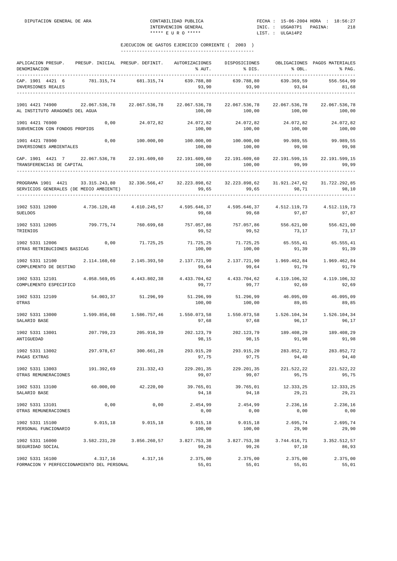| APLICACION PRESUP. PRESUP. INICIAL PRESUP. DEFINIT. AUTORIZACIONES DISPOSICIONES<br>DENOMINACION<br>-----------------------------------                     |               |                       | % AUT.                                                                                             | % DIS.                                          | % OBL.                  | OBLIGACIONES PAGOS MATERIALES<br>% PAG. |
|-------------------------------------------------------------------------------------------------------------------------------------------------------------|---------------|-----------------------|----------------------------------------------------------------------------------------------------|-------------------------------------------------|-------------------------|-----------------------------------------|
| CAP. 1901 4421 6<br>INVERSIONES REALES                                                                                                                      |               | 781.315,74 681.315,74 | 639.788,80<br>93,90                                                                                | 639.788,80<br>93,90                             | 639.369,59<br>93,84     | 556.564,99<br>81,68                     |
| 1901 4421 74900<br>AL INSTITUTO ARAGONÉS DEL AGUA                                                                                                           | 22.067.536,78 |                       | 22.067.536,78 22.067.536,78 22.067.536,78<br>100,00                                                | 100,00                                          | 22.067.536,78<br>100,00 | 22.067.536,78<br>100,00                 |
| 1901 4421 76900<br>SUBVENCION CON FONDOS PROPIOS                                                                                                            | 0,00          | 24.072,82             | 100,00                                                                                             | 24.072,82 24.072,82<br>100,00                   | 24.072,82<br>100,00     | 24.072,82<br>100,00                     |
| 1901 4421 78900<br>INVERSIONES AMBIENTALES                                                                                                                  | 0,00          | 100.000,00            | 100.000,00 100.000,00<br>100,00                                                                    | 100,00                                          | 99.989,55<br>99,98      | 99.989,55<br>99,98                      |
| CAP. 1901 4421 7 22.067.536,78 22.191.609,60 22.191.609,60 22.191.609,60 22.191.599,15 22.191.599,15<br>TRANSFERENCIAS DE CAPITAL<br>---------------------- |               |                       |                                                                                                    | 100,00 100,00                                   | 99,99                   | 99,99                                   |
| PROGRAMA 1901 4421 33.315.243,80 32.336.566,47 32.223.898,62 32.223.898,62 31.921.247,62 31.722.292,85<br>SERVICIOS GENERALES (DE MEDIO AMBIENTE)           |               |                       | 99,65                                                                                              | 99,65                                           |                         | 98,71 98,10                             |
| 1902 5331 12000<br><b>SUELDOS</b>                                                                                                                           |               |                       | $4.736.120.48$ $4.610.245.57$ $4.595.646.37$ $4.595.646.37$ $4.512.119.73$ $4.512.119.73$<br>99,68 | 99,68                                           | 97,87                   | 97,87                                   |
| 1902 5331 12005<br>TRIENIOS                                                                                                                                 | 799.775,74    | 760.699,68            | 757.057,86<br>99,52                                                                                | 757.057,86<br>99,52                             | 556.621,00<br>73,17     | 556.621,00<br>73,17                     |
| 1902 5331 12006<br>OTRAS RETRIBUCIONES BASICAS                                                                                                              |               | $0,00$ $71.725,25$    | 71.725,25<br>100,00                                                                                | 71.725,25<br>100,00                             | 65.555,41<br>91,39      | 65.555,41<br>91,39                      |
| 1902 5331 12100 2.114.160,60 2.145.393,50 2.137.721,90<br>COMPLEMENTO DE DESTINO                                                                            |               |                       | 99,64                                                                                              | 2.137.721,90   1.969.462,84<br>99,64            | 91,79                   | 1.969.462,84<br>91,79                   |
| 1902 5331 12101<br>COMPLEMENTO ESPECIFICO                                                                                                                   | 4.058.569,05  | 4.443.802,38          | 99,77                                                                                              | 4.433.704,62 4.433.704,62 4.119.106,32<br>99,77 | 92,69                   | 4.119.106,32<br>92,69                   |
| 1902 5331 12109<br>OTRAS                                                                                                                                    |               | 54.003,37 51.296,99   | 51.296,99<br>100,00                                                                                | 51.296,99<br>100,00                             | 46.095,09<br>89,85      | 46.095,09<br>89,85                      |
| 1902 5331 13000<br>SALARIO BASE                                                                                                                             |               |                       | $1.599.856.08$ $1.586.757.46$ $1.550.073.58$ $1.550.073.58$ $1.526.104.34$<br>97,68                | 97,68                                           | 96,17                   | 1.526.104,34<br>96,17                   |
| 1902 5331 13001<br>ANTIGUEDAD                                                                                                                               | 207.799,23    | 205.916,39            | 202.123,79 202.123,79 189.408,29<br>98,15                                                          | 98,15                                           | 91,98                   | 189.408,29<br>91,98                     |
| 1902 5331 13002<br>PAGAS EXTRAS                                                                                                                             | 297.978,67    | 300.661,28            | 293.915,20<br>97,75                                                                                | 293.915,20<br>97,75                             | 283.852,72<br>94,40     | 283.852,72<br>94,40                     |
| 1902 5331 13003<br>OTRAS REMUNERACIONES                                                                                                                     | 191.392,69    | 231.332,43            | 229.201,35<br>99,07                                                                                | 229.201,35<br>99,07                             | 221.522,22<br>95,75     | 221.522,22<br>95,75                     |
| 1902 5331 13100<br>SALARIO BASE                                                                                                                             | 60.000,00     | 42.220,00             | 39.765,01<br>94,18                                                                                 | 39.765,01<br>94,18                              | 12.333,25<br>29,21      | 12.333,25<br>29,21                      |
| 1902 5331 13101<br>OTRAS REMUNERACIONES                                                                                                                     | 0,00          | 0,00                  | 2.454,99<br>0,00                                                                                   | 2.454,99<br>0,00                                | 2.236,16<br>0,00        | 2.236,16<br>0,00                        |
| 1902 5331 15100<br>PERSONAL FUNCIONARIO                                                                                                                     | 9.015, 18     | 9.015, 18             | 9.015,18<br>100,00                                                                                 | 9.015, 18<br>100,00                             | 2.695,74<br>29,90       | 2.695,74<br>29,90                       |
| 1902 5331 16000<br>SEGURIDAD SOCIAL                                                                                                                         | 3.582.231,20  | 3.856.260,57          | 3.827.753,38<br>99,26                                                                              | 3.827.753,38<br>99,26                           | 3.744.616,71<br>97,10   | 3.352.512,57<br>86,93                   |
| 1902 5331 16100<br>FORMACION Y PERFECCIONAMIENTO DEL PERSONAL                                                                                               | 4.317,16      | 4.317,16              | 2.375,00<br>55,01                                                                                  | 2.375,00<br>55,01                               | 2.375,00<br>55,01       | 2.375,00<br>55,01                       |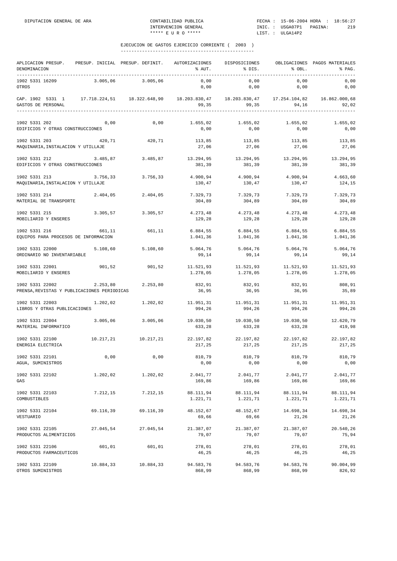| APLICACION PRESUP. PRESUP. INICIAL PRESUP. DEFINIT.<br>DENOMINACION                                                        |           |                     | AUTORIZACIONES<br>% AUT.             | DISPOSICIONES<br>% DIS.                 | % OBL.                        | OBLIGACIONES PAGOS MATERIALES<br>% PAG. |
|----------------------------------------------------------------------------------------------------------------------------|-----------|---------------------|--------------------------------------|-----------------------------------------|-------------------------------|-----------------------------------------|
| 1902 5331 16209<br>OTROS                                                                                                   | 3.005,06  | 3.005,06            | 0,00<br>0,00                         | 0,00<br>0,00                            | 0,00<br>0,00                  | 0,00<br>0,00                            |
| CAP. 1902 5331 1 17.718.224,51 18.322.648,90 18.203.830,47 18.203.830,47 17.254.104,82 16.862.000,68<br>GASTOS DE PERSONAL |           |                     | 99,35                                | 99,35                                   | 94,16                         | 92,02<br>____________                   |
| 1902 5331 202<br>EDIFICIOS Y OTRAS CONSTRUCCIONES                                                                          | 0,00      | 0,00                | 1.655,02                             | 1.655,02<br>$0,00$ 0,00                 | 1.655,02<br>0,00              | 1.655,02<br>0,00                        |
| 1902 5331 203<br>MAQUINARIA, INSTALACION Y UTILLAJE                                                                        | 420, 71   | 420,71              | 27,06                                | 113,85 113,85<br>27,06                  | 113,85<br>27,06               | 113,85<br>27,06                         |
| 1902 5331 212<br>EDIFICIOS Y OTRAS CONSTRUCCIONES                                                                          | 3.485,87  | 3.485,87            | 381,39                               | 13.294,95 13.294,95<br>381,39           | 13.294,95<br>381,39           | 13.294,95<br>381,39                     |
| 1902 5331 213<br>MAQUINARIA, INSTALACION Y UTILLAJE                                                                        | 3.756,33  | 3.756, 33           | $4.900, 94$ $4.900, 94$<br>130,47    | 130,47                                  | 4.900,94<br>130,47            | 4.663,60<br>124,15                      |
| 1902 5331 214<br>MATERIAL DE TRANSPORTE                                                                                    | 2.404,05  | 2.404,05            | 7.329,73<br>304,89                   | 7.329,73<br>304,89                      | 7.329,73<br>304,89            | 7.329,73<br>304,89                      |
| 1902 5331 215<br>MOBILIARIO Y ENSERES                                                                                      |           | 3.305,57 3.305,57   | 4.273,48 4.273,48 4.273,48<br>129,28 | 129,28                                  | 129,28                        | 4.273,48<br>129,28                      |
| 1902 5331 216<br>EQUIPOS PARA PROCESOS DE INFORMACION                                                                      | 661,11    | 661,11              | 6.884,55                             | 6.884,55<br>1.041,36 1.041,36           | 6.884,55<br>1.041,36          | 6.884,55<br>1.041,36                    |
| 1902 5331 22000<br>ORDINARIO NO INVENTARIABLE                                                                              | 5.108,60  | 5.108,60            | 5.064,76<br>99,14                    | 5.064,76<br>99,14                       | 5.064,76<br>99,14             | 5.064,76<br>99,14                       |
| 1902 5331 22001<br>MOBILIARIO Y ENSERES                                                                                    | 901,52    | 901,52              | 11.521,93                            | 1.278,05 1.278,05 1.278,05              | 11.521,93 11.521,93           | 11.521,93<br>1.278,05                   |
| 1902 5331 22002<br>PRENSA, REVISTAS Y PUBLICACIONES PERIODICAS                                                             | 2.253,80  | 2.253,80            | 832,91<br>36,95                      | 832,91<br>36,95                         | 832,91<br>36,95               | 808,91<br>35,89                         |
| 1902 5331 22003<br>LIBROS Y OTRAS PUBLICACIONES                                                                            | 1.202,02  | 1.202,02            | 11.951,31<br>994,26                  | 994,26                                  | 11.951,31 11.951,31<br>994,26 | 11.951,31<br>994,26                     |
| 1902 5331 22004<br>MATERIAL INFORMATICO                                                                                    | 3.005,06  | 3.005,06            | 19.030,50<br>633,28                  | 19.030,50<br>633,28                     | 19.030,50<br>633,28           | 12.620,79<br>419,98                     |
| 1902 5331 22100<br>ENERGIA ELECTRICA                                                                                       |           | 10.217,21 10.217,21 | 217,25                               | 22.197,82 22.197,82 22.197,82<br>217,25 | 217,25                        | 22.197,82<br>217,25                     |
| 1902 5331 22101<br>AGUA, SUMINISTROS                                                                                       | 0,00      | 0,00                | 810,79<br>0,00                       | 810,79<br>0,00                          | 810,79<br>0,00                | 810,79<br>0,00                          |
| 1902 5331 22102<br>GAS                                                                                                     | 1.202,02  | 1.202,02            | 2.041,77<br>169,86                   | 2.041,77<br>169,86                      | 2.041,77<br>169,86            | 2.041,77<br>169,86                      |
| 1902 5331 22103<br>COMBUSTIBLES                                                                                            | 7.212,15  | 7.212,15            | 88.111,94<br>1.221,71                | 88.111,94<br>1.221,71                   | 88.111,94<br>1.221,71         | 88.111,94<br>1.221,71                   |
| 1902 5331 22104<br>VESTUARIO                                                                                               | 69.116,39 | 69.116,39           | 48.152,67<br>69,66                   | 48.152,67<br>69,66                      | 14.698,34<br>21,26            | 14.698,34<br>21,26                      |
| 1902 5331 22105<br>PRODUCTOS ALIMENTICIOS                                                                                  | 27.045,54 | 27.045,54           | 21.387,07<br>79,07                   | 21.387,07<br>79,07                      | 21.387,07<br>79,07            | 20.540,26<br>75,94                      |
| 1902 5331 22106<br>PRODUCTOS FARMACEUTICOS                                                                                 | 601,01    | 601,01              | 278,01<br>46,25                      | 278,01<br>46,25                         | 278,01<br>46,25               | 278,01<br>46,25                         |
| 1902 5331 22109<br>OTROS SUMINISTROS                                                                                       | 10.884,33 | 10.884,33           | 94.583,76<br>868,99                  | 94.583,76<br>868,99                     | 94.583,76<br>868,99           | 90.004,99<br>826,92                     |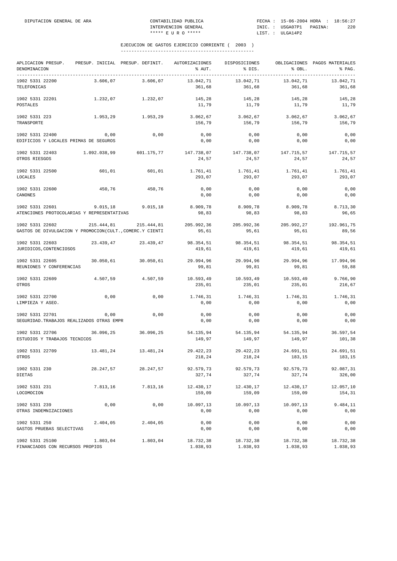| APLICACION PRESUP.<br>DENOMINACION                       |              | PRESUP. INICIAL PRESUP. DEFINIT. | <b>AUTORIZACIONES</b><br>% AUT. | DISPOSICIONES<br>% DIS. | % OBL.              | OBLIGACIONES PAGOS MATERIALES<br>% PAG. |
|----------------------------------------------------------|--------------|----------------------------------|---------------------------------|-------------------------|---------------------|-----------------------------------------|
| 1902 5331 22200<br>TELEFONICAS                           | 3.606,07     | 3.606.07                         | 13.042,71<br>361,68             | 13.042,71<br>361,68     | 13.042,71<br>361,68 | 13.042,71<br>361,68                     |
| 1902 5331 22201                                          | 1.232,07     | 1.232,07                         | 145,28                          | 145,28                  | 145,28              | 145,28                                  |
| POSTALES                                                 |              |                                  | 11,79                           | 11,79                   | 11,79               | 11,79                                   |
| 1902 5331 223                                            | 1.953,29     | 1.953,29                         | 3.062,67                        | 3.062,67                | 3.062,67            | 3.062,67                                |
| TRANSPORTE                                               |              |                                  | 156,79                          | 156,79                  | 156,79              | 156,79                                  |
| 1902 5331 22400                                          | 0,00         | 0,00                             | 0,00                            | 0,00                    | 0,00                | 0,00                                    |
| EDIFICIOS Y LOCALES PRIMAS DE SEGUROS                    |              |                                  | 0,00                            | 0,00                    | 0,00                | 0,00                                    |
| 1902 5331 22403                                          | 1.092.038,99 | 601.175,77                       | 147.738,07                      | 147.738,07              | 147.715,57          | 147.715,57                              |
| OTROS RIESGOS                                            |              |                                  | 24,57                           | 24,57                   | 24,57               | 24,57                                   |
| 1902 5331 22500                                          | 601,01       | 601,01                           | 1.761,41                        | 1.761,41                | 1.761,41            | 1.761,41                                |
| LOCALES                                                  |              |                                  | 293,07                          | 293,07                  | 293,07              | 293,07                                  |
| 1902 5331 22600                                          | 450,76       | 450,76                           | 0,00                            | 0,00                    | 0,00                | 0,00                                    |
| CANONES                                                  |              |                                  | 0,00                            | 0,00                    | 0,00                | 0,00                                    |
| 1902 5331 22601                                          | 9.015,18     | 9.015, 18                        | 8.909,78                        | 8.909,78                | 8.909,78            | 8.713,30                                |
| ATENCIONES PROTOCOLARIAS Y REPRESENTATIVAS               |              |                                  | 98,83                           | 98,83                   | 98,83               | 96,65                                   |
| 1902 5331 22602                                          | 215.444,81   | 215.444,81                       | 205.992,36                      | 205.992,36              | 205.992,27          | 192.961,75                              |
| GASTOS DE DIVULGACION Y PROMOCION(CULT., COMERC.Y CIENTI |              |                                  | 95,61                           | 95,61                   | 95,61               | 89,56                                   |
| 1902 5331 22603                                          | 23.439,47    | 23.439,47                        | 98.354,51                       | 98.354,51               | 98.354,51           | 98.354,51                               |
| JURIDICOS, CONTENCIOSOS                                  |              |                                  | 419,61                          | 419,61                  | 419,61              | 419,61                                  |
| 1902 5331 22605                                          | 30.050,61    | 30.050,61                        | 29.994,96                       | 29.994,96               | 29.994,96           | 17.994,96                               |
| REUNIONES Y CONFERENCIAS                                 |              |                                  | 99,81                           | 99,81                   | 99,81               | 59,88                                   |
| 1902 5331 22609                                          | 4.507,59     | 4.507,59                         | 10.593,49                       | 10.593,49               | 10.593,49           | 9.766,90                                |
| OTROS                                                    |              |                                  | 235,01                          | 235,01                  | 235,01              | 216,67                                  |
| 1902 5331 22700                                          | 0,00         | 0,00                             | 1.746,31                        | 1.746,31                | 1.746,31            | 1.746,31                                |
| LIMPIEZA Y ASEO.                                         |              |                                  | 0,00                            | 0,00                    | 0,00                | 0,00                                    |
| 1902 5331 22701                                          | 0,00         | 0,00                             | 0,00                            | 0,00                    | 0,00                | 0,00                                    |
| SEGURIDAD. TRABAJOS REALIZADOS OTRAS EMPR                |              |                                  | 0,00                            | 0,00                    | 0,00                | 0,00                                    |
| 1902 5331 22706                                          | 36.096,25    | 36.096,25                        | 54.135,94                       | 54.135,94               | 54.135,94           | 36.597,54                               |
| ESTUDIOS Y TRABAJOS TECNICOS                             |              |                                  | 149,97                          | 149,97                  | 149,97              | 101,38                                  |
| 1902 5331 22709                                          | 13.481,24    | 13.481,24                        | 29.422,23                       | 29.422,23               | 24.691,51           | 24.691,51                               |
| OTROS                                                    |              |                                  | 218,24                          | 218,24                  | 183,15              | 183,15                                  |
| 1902 5331 230                                            | 28.247,57    | 28.247,57                        | 92.579,73                       | 92.579,73               | 92.579,73           | 92.087,31                               |
| DIETAS                                                   |              |                                  | 327,74                          | 327,74                  | 327,74              | 326,00                                  |
| 1902 5331 231                                            | 7.813,16     | 7.813,16                         | 12.430,17                       | 12.430,17               | 12.430,17           | 12.057,10                               |
| LOCOMOCION                                               |              |                                  | 159,09                          | 159,09                  | 159,09              | 154,31                                  |
| 1902 5331 239                                            | 0,00         | 0,00                             | 10.097,13                       | 10.097,13               | 10.097,13           | 9.484,11                                |
| OTRAS INDEMNIZACIONES                                    |              |                                  | 0,00                            | 0,00                    | 0,00                | 0,00                                    |
| 1902 5331 250                                            | 2.404,05     | 2.404,05                         | 0,00                            | 0,00                    | 0,00                | 0,00                                    |
| GASTOS PRUEBAS SELECTIVAS                                |              |                                  | 0,00                            | 0,00                    | 0,00                | 0,00                                    |
| 1902 5331 25100                                          | 1.803,04     | 1.803,04                         | 18.732,38                       | 18.732,38               | 18.732,38           | 18.732,38                               |
| FINANCIADOS CON RECURSOS PROPIOS                         |              |                                  | 1.038,93                        | 1.038,93                | 1.038,93            | 1.038,93                                |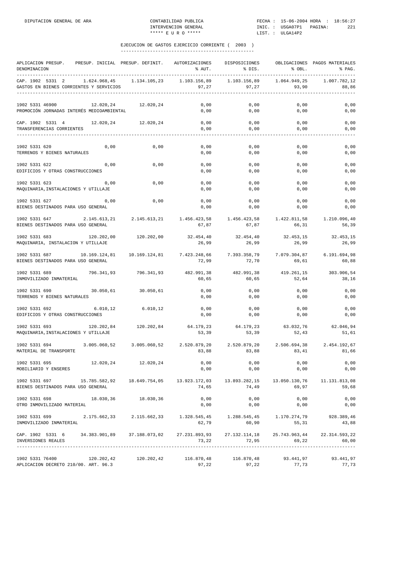| APLICACION PRESUP.<br>PRESUP. INICIAL PRESUP. DEFINIT.<br>DENOMINACION                                                                                                                                                                                                                                                                                                                         |                       | AUTORIZACIONES<br>% AUT.                  | DISPOSICIONES<br>% DIS.                         | % OBL.                | OBLIGACIONES PAGOS MATERIALES<br>% PAG. |
|------------------------------------------------------------------------------------------------------------------------------------------------------------------------------------------------------------------------------------------------------------------------------------------------------------------------------------------------------------------------------------------------|-----------------------|-------------------------------------------|-------------------------------------------------|-----------------------|-----------------------------------------|
| CAP. 1902 5331 2 1.624.968,45 1.134.105,23<br>GASTOS EN BIENES CORRIENTES Y SERVICIOS                                                                                                                                                                                                                                                                                                          |                       | 1.103.156,89<br>97,27                     | 1.103.156,89<br>97,27                           | 1.064.949,25<br>93,90 | 1.007.782,12<br>88,86                   |
| 1902 5331 46900<br>12.020,24<br>PROMOCIÓN JORNADAS INTERÉS MEDIOAMBIENTAL                                                                                                                                                                                                                                                                                                                      | 12.020,24             | 0,00<br>0,00                              | 0,00<br>0,00                                    | 0,00<br>0,00          | 0,00<br>0,00                            |
| CAP. 1902 5331 4<br>12.020,24 12.020,24<br>TRANSFERENCIAS CORRIENTES                                                                                                                                                                                                                                                                                                                           |                       | 0,00<br>0,00                              | 0,00<br>0,00                                    | 0,00<br>0,00          | 0,00<br>0,00                            |
| 1902 5331 620<br>0,00<br>TERRENOS Y BIENES NATURALES                                                                                                                                                                                                                                                                                                                                           | 0,00                  | 0,00<br>0,00                              | 0,00<br>0,00                                    | 0,00<br>0,00          | 0,00<br>0,00                            |
| 0,00<br>1902 5331 622<br>EDIFICIOS Y OTRAS CONSTRUCCIONES                                                                                                                                                                                                                                                                                                                                      | 0,00                  | 0,00<br>0,00                              | 0,00<br>0,00                                    | 0,00<br>0,00          | 0,00<br>0,00                            |
| 1902 5331 623<br>0,00<br>MAQUINARIA, INSTALACIONES Y UTILLAJE                                                                                                                                                                                                                                                                                                                                  | 0,00                  | 0,00<br>0,00                              | 0,00<br>0,00                                    | 0,00<br>0,00          | 0,00<br>0,00                            |
| 1902 5331 627<br>0,00<br>BIENES DESTINADOS PARA USO GENERAL                                                                                                                                                                                                                                                                                                                                    | 0,00                  | 0,00<br>0,00                              | 0,00<br>0,00                                    | 0,00<br>0,00          | 0,00<br>0,00                            |
| 1902 5331 647<br>2.145.613,21 2.145.613,21 1.456.423,58 1.456.423,58 1.422.811,58<br>BIENES DESTINADOS PARA USO GENERAL                                                                                                                                                                                                                                                                        |                       | 67,87                                     | 67,87                                           | 66,31                 | 1.210.096,40<br>56,39                   |
| 1902 5331 683 120.202,00<br>MAQUINARIA, INSTALACION Y UTILLAJE                                                                                                                                                                                                                                                                                                                                 | 120.202,00            | 32.454,40 32.454,40 32.453,15<br>26,99    | 26,99                                           | 26,99                 | 32.453,15<br>26,99                      |
| 1902 5331 687<br>BIENES DESTINADOS PARA USO GENERAL                                                                                                                                                                                                                                                                                                                                            |                       | 72,99                                     | 7.423.248,66 7.393.358,79 7.079.304,87<br>72,70 | 69,61                 | 6.191.694,98<br>60,88                   |
| 1902 5331 689<br>INMOVILIZADO INMATERIAL                                                                                                                                                                                                                                                                                                                                                       | 796.341,93 796.341,93 | 482.991,38<br>60,65                       | 482.991,38<br>60,65                             | 419.261,15<br>52,64   | 303.906,54<br>38,16                     |
| 1902 5331 690<br>TERRENOS Y BIENES NATURALES                                                                                                                                                                                                                                                                                                                                                   | 30.050,61 30.050,61   | 0,00<br>0,00                              | 0,00<br>0,00                                    | 0,00<br>0,00          | 0,00<br>0,00                            |
| 1902 5331 692<br>6.010,12<br>EDIFICIOS Y OTRAS CONSTRUCCIONES                                                                                                                                                                                                                                                                                                                                  | 6.010, 12             | 0,00<br>0,00                              | 0,00<br>0,00                                    | 0,00<br>0,00          | 0,00<br>0,00                            |
| 1902 5331 693<br>MAQUINARIA, INSTALACIONES Y UTILLAJE                                                                                                                                                                                                                                                                                                                                          | 120.202.84 120.202.84 | 64.179,23<br>53,39                        | 64.179,23<br>53,39                              | 63.032,76<br>52,43    | 62.046,94<br>51,61                      |
| $3.005.060,52$ $3.005.060,52$ $2.520.879,20$ $2.520.879,20$ $2.506.694,38$<br>1902 5331 694<br>MATERIAL DE TRANSPORTE                                                                                                                                                                                                                                                                          |                       | 83,88                                     | 83,88                                           | 83,41                 | 2.454.192,67<br>81,66                   |
| 1902 5331 695<br>MOBILIARIO Y ENSERES                                                                                                                                                                                                                                                                                                                                                          | 12.020,24 12.020,24   | 0,00<br>0,00                              | 0,00<br>0,00                                    | 0,00<br>0,00          | 0,00<br>0,00                            |
| 1902 5331 697 15.785.582,92 18.649.754,05 13.923.172,03 13.893.282,15 13.050.130,76 11.131.813,08<br>BIENES DESTINADOS PARA USO GENERAL                                                                                                                                                                                                                                                        |                       | 74,65                                     | 74,49                                           | 69,97                 | 59,68                                   |
| 1902 5331 698<br>OTRO INMOVILIZADO MATERIAL                                                                                                                                                                                                                                                                                                                                                    | 18.030,36 18.030,36   | 0,00<br>0,00                              | 0,00<br>0,00                                    | 0,00<br>0,00          | 0,00<br>0,00                            |
| $1902 \quad 5331 \quad 699 \qquad \qquad 2.175 \quad 662 \, , \quad 33 \qquad \qquad 2.115 \, . \, 662 \, , \quad 33 \qquad \qquad 1.328 \, . \, 545 \, , \quad 45 \qquad \qquad 1.288 \, . \, 545 \, , \quad 45 \qquad \qquad 1.170 \, . \, 274 \, , \quad 79 \qquad \qquad 928 \, . \, 389 \, , \quad 46 \qquad \qquad 46 \qquad \qquad 1.170 \, . \, 274 \, , \$<br>INMOVILIZADO INMATERIAL |                       | 62,79                                     | 60,90                                           | 55,31                 | 43,88                                   |
| CAP. 1902 5331 6 34.383.901,89 37.188.073,02 27.231.893,93 27.132.114,18 25.743.963,44 22.314.593,22<br>INVERSIONES REALES                                                                                                                                                                                                                                                                     |                       | 73,22                                     | 72,95                                           | 69,22                 | 60,00                                   |
| 1902 5331 76400<br>APLICACION DECRETO 210/00. ART. 96.3                                                                                                                                                                                                                                                                                                                                        |                       | 120.202,42 120.202,42 116.870,48<br>97,22 | 116.870,48<br>97,22                             | 93.441,97<br>77,73    | 93.441,97<br>77,73                      |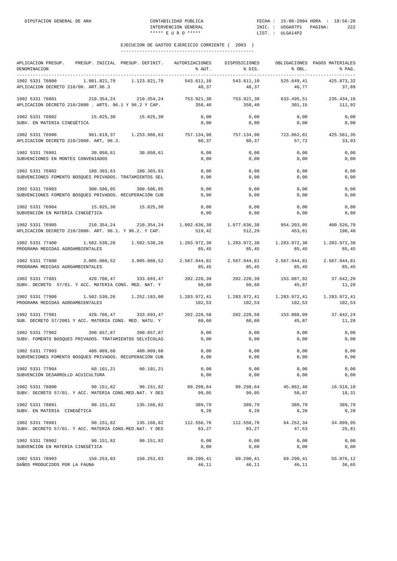| APLICACION PRESUP. PRESUP. INICIAL PRESUP. DEFINIT. AUTORIZACIONES<br>DENOMINACION                                                                                                                           |           | % AUT.                                                    | DISPOSICIONES<br>% DIS.                             | % OBL.              | OBLIGACIONES PAGOS MATERIALES<br>% PAG. |
|--------------------------------------------------------------------------------------------------------------------------------------------------------------------------------------------------------------|-----------|-----------------------------------------------------------|-----------------------------------------------------|---------------------|-----------------------------------------|
| 1902 5331 76800 1.081.821,79 1.123.821,79<br>APLICACION DECRETO 210/00. ART.96.3                                                                                                                             |           | 543.611,10<br>48,37                                       | 543.611,10<br>48,37                                 | 525.649,41<br>46,77 | 425.873,32<br>37,89                     |
| 210.354,24 210.354,24 753.921,38 753.921,38 633.495,51 235.434,16<br>1902 5331 76801<br>APLICACION DECRETO 210/2000 . ARTS. 96.1 Y 96.2 Y CAP.                                                               |           | 358,40                                                    | 358,40                                              | 301,15              | 111,92                                  |
| 1902 5331 76802 15.025,30 15.025,30<br>SUBV. EN MATERIA CINEGÉTICA                                                                                                                                           |           | 0,00<br>0,00                                              | 0,00<br>0,00                                        | 0,00<br>0,00        | 0,00<br>0,00                            |
| 1902 5331 76900 961.619,37 1.253.966,63 757.134,98<br>APLICACION DECRETO 210/2000. ART, 96.3.                                                                                                                |           | 60,37                                                     | 757.134,98 723.862,01<br>60,37                      | 57,72               | 425.561,35<br>33,93                     |
| 1902 5331 76901<br>30.050,61 30.050,61<br>SUBVENCIONES EN MONTES CONVENIADOS                                                                                                                                 |           | 0,00<br>0,00                                              | 0,00<br>0,00                                        | 0,00<br>0,00        | 0,00<br>0,00                            |
| 1902 5331 76902<br>180.303,63<br>180.303,63<br>SUBVENCIONES FOMENTO BOSQUES PRIVADOS. TRATAMIENTOS SEL                                                                                                       |           | 0,00<br>0,00                                              | 0,00<br>0,00                                        | 0,00<br>0,00        | 0,00<br>0,00                            |
| 1902 5331 76903 300.506,05 300.506,05<br>SUBVENCIONES FOMENTO BOSQUES PRIVADOS. RECUPERACIÓN CUB                                                                                                             |           | 0,00<br>0,00                                              | 0,00<br>0,00                                        | 0,00<br>0,00        | 0,00<br>0,00                            |
| 1902 5331 76904<br>15.025,30 15.025,30<br>SUBVENCIÓN EN MATERIA CINEGÉTICA                                                                                                                                   |           | 0,00<br>0,00                                              | 0,00<br>0,00                                        | 0,00<br>0,00        | 0,00<br>0,00                            |
| 1902 5331 76905<br>210.354,24<br>APLICACIÓN DECRETO 210/2000. ART. 96.1. Y 96.2. Y CAP.                                                                                                                      |           | 210.354,24 1.092.636,38 1.077.636,38 954.203,05<br>519,42 | 512,29                                              | 453,61              | 400.526,70<br>190,40                    |
| 1902 5331 77400 1.502.530,26 1.502.530,26<br>PROGRAMA MEDIDAS AGROAMBIENTALES                                                                                                                                |           | 85,45                                                     | 1.283.972,38 1.283.972,38 1.283.972,38<br>85,45     | 85,45               | 1.283.972,38<br>85,45                   |
| $1902\ \ 5331\ \ 77800 \qquad \qquad 3.005.060\, 52 \qquad \qquad 3.005.060\, 52 \qquad \qquad 2.567.944\, 81 \qquad \qquad 2.567.944\, 81 \qquad \qquad 2.567.944\, 81$<br>PROGRAMA MEDIDAS AGROAMBIENTALES |           | 85,45                                                     | 85,45                                               | 85,45               | 2.567.944,81<br>85,45                   |
| 1902 5331 77801<br>420.708,47 333.693,47<br>SUBV. DECRETO 57/01. Y ACC. MATERIA CONS. MED. NAT. Y                                                                                                            |           | 60,60                                                     | 202.228,39 202.228,39 153.087,92 37.642,20<br>60,60 | 45,87               | 11,28                                   |
| $1.502.530.26$ $1.252.183.00$ $1.283.972.41$ $1.283.972.41$ $1.283.972.41$<br>1902 5331 77900<br>PROGRAMA MEDIDAS AGROAMBIENTALES                                                                            |           | 102,53                                                    | 102,53                                              | 102,53              | 1.283.972,41<br>102,53                  |
| 1902 5331 77901 420.708,47 333.693,47 202.228,58 202.228,58 153.088,09<br>SUB. DECRETO 57/2001 Y ACC. MATERIA CONS. MED. NATU. Y                                                                             |           | 60,60                                                     | 60,60                                               | 45,87               | 37.642,24<br>11,28                      |
| 390.657,87 390.657,87<br>1902 5331 77902<br>SUBV. FOMENTO BOSQUES PRIVADOS. TRATAMIENTOS SELVÍCOLAS                                                                                                          |           | 0,00<br>0,00                                              | 0,00<br>0,00                                        | 0,00<br>0,00        | 0,00<br>0,00                            |
| 480.809,68<br>480.809,68<br>1902 5331 77903<br>SUBVENCIONES FOMENTO BOSQUES PRIVADOS. RECUPERACIÓN CUB                                                                                                       |           | 0,00<br>0,00                                              | 0,00<br>0,00                                        | 0,00<br>0,00        | 0,00<br>0,00                            |
| 1902 5331 77904 60.101,21 60.101,21<br>SUBVENCIÓN DESARROLLO ACUICULTURA                                                                                                                                     |           | 0,00<br>0,00                                              | 0,00<br>0,00                                        | 0,00<br>0,00        | 0,00<br>0,00                            |
| 1902 5331 78800<br>90.151,82<br>SUBV. DECRETO 57/01. Y ACC. MATERIA CONS.MED.NAT. Y DES                                                                                                                      | 90.151,82 | 89.298,64<br>99,05                                        | 89.298,64<br>99,05                                  | 45.862,46<br>50,87  | 16.510,10<br>18,31                      |
| 1902 5331 78801<br>90.151,82 135.166,82<br>SUBV. EN MATERIA CINEGÉTICA                                                                                                                                       |           | 389,79<br>0,28                                            | 389,79<br>0,28                                      | 389,79<br>0,28      | 389,79<br>0,28                          |
| 1902 5331 78901<br>90.151,82 135.166,82<br>SUBV. DECRETO 57/01. Y ACC. MATERIA CONS.MED.NAT. Y DES                                                                                                           |           | 112.556,76<br>83,27                                       | 112.556,76<br>83,27                                 | 64.252,34<br>47,53  | 34.899,95<br>25,81                      |
| 1902 5331 78902 90.151,82 90.151,82<br>SUBVENCIÓN EN MATERIA CINEGÉTICA                                                                                                                                      |           | 0,00<br>0,00                                              | 0,00<br>0,00                                        | 0,00<br>0,00        | 0,00<br>0,00                            |
| 1902 5331 78903<br>150.253,03 150.253,03<br>DAÑOS PRODUCIDOS POR LA FAUNA                                                                                                                                    |           | 69.290,41<br>46,11                                        | 69.290,41<br>46,11                                  | 69.290,41<br>46,11  | 55.076,12<br>36,65                      |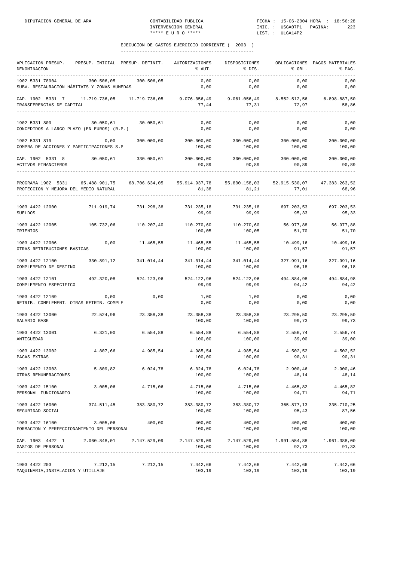| APLICACION PRESUP.                                                                             | PRESUP. INICIAL PRESUP. DEFINIT. |                       | AUTORIZACIONES            | DISPOSICIONES                   |                     | OBLIGACIONES PAGOS MATERIALES             |
|------------------------------------------------------------------------------------------------|----------------------------------|-----------------------|---------------------------|---------------------------------|---------------------|-------------------------------------------|
| DENOMINACION                                                                                   |                                  |                       | % AUT.                    | % DIS.                          | % OBL.              | % PAG.                                    |
| -----------                                                                                    |                                  |                       |                           |                                 |                     |                                           |
| 1902 5331 78904<br>SUBV. RESTAURACIÓN HÁBITATS Y ZONAS HUMEDAS                                 |                                  | 300.506,05 300.506,05 | 0,00<br>0,00              | 0,00<br>0,00                    | 0,00<br>0,00        | 0,00<br>0,00                              |
|                                                                                                |                                  |                       |                           |                                 |                     |                                           |
| CAP. 1902 5331 7 11.719.736,05 11.719.736,05 9.076.056,49 9.061.056,49 8.552.512,56            |                                  |                       |                           |                                 |                     | 6.898.887,50                              |
| TRANSFERENCIAS DE CAPITAL                                                                      |                                  |                       | 77,44                     | 77,31                           | 72,97               | 58,86                                     |
|                                                                                                |                                  |                       |                           |                                 |                     |                                           |
| 1902 5331 809                                                                                  | 30.050,61                        | 30.050,61             | 0,00                      | 0,00                            | 0,00                | 0,00                                      |
| CONCEDIDOS A LARGO PLAZO (EN EUROS) (R.P.)                                                     |                                  |                       | 0,00                      | 0,00                            | 0,00                | 0,00                                      |
|                                                                                                |                                  |                       |                           |                                 |                     |                                           |
| 1902 5331 819                                                                                  | 0,00                             | 300.000,00            | 300.000,00                | 300.000,00                      | 300.000,00          | 300.000,00                                |
| COMPRA DE ACCIONES Y PARTICIPACIONES S.P                                                       |                                  |                       | 100,00                    | 100,00                          | 100,00              | 100,00                                    |
| CAP. 1902 5331 8                                                                               | 30.050,61 330.050,61             |                       | $300.000,00$ $300.000,00$ |                                 | 300.000,00          | 300.000,00                                |
| ACTIVOS FINANCIEROS                                                                            |                                  |                       | 90,89                     | 90,89                           | 90,89               | 90,89                                     |
|                                                                                                |                                  |                       |                           |                                 |                     |                                           |
|                                                                                                |                                  |                       |                           |                                 |                     |                                           |
| PROGRAMA 1902 5331 65.488.901,75 68.706.634,05 55.914.937,78                                   |                                  |                       |                           |                                 |                     | 55.800.158,03 52.915.530,07 47.383.263,52 |
| PROTECCION Y MEJORA DEL MEDIO NATURAL                                                          |                                  |                       | 81,38                     | 81,21                           | 77,01               | 68,96                                     |
|                                                                                                |                                  |                       |                           |                                 |                     |                                           |
| 1903 4422 12000                                                                                | 711.919,74                       | 731.298,38            | 731.235,18 731.235,18     |                                 | 697.203,53          | 697.203,53                                |
| <b>SUELDOS</b>                                                                                 |                                  |                       | 99,99                     | 99,99                           | 95,33               | 95,33                                     |
| 1903 4422 12005                                                                                | 105.732,06                       | 110.207,40            | 110.270,60                | 110.270,60                      | 56.977,88           | 56.977,88                                 |
| TRIENIOS                                                                                       |                                  |                       | 100,05                    | 100,05                          | 51,70               | 51,70                                     |
|                                                                                                |                                  |                       |                           |                                 |                     |                                           |
| 1903 4422 12006                                                                                | 0,00                             | 11.465,55             | 11.465,55                 | 11.465,55                       | 10.499,16           | 10.499,16                                 |
| OTRAS RETRIBUCIONES BASICAS                                                                    |                                  |                       | 100,00                    | 100,00                          | 91,57               | 91,57                                     |
|                                                                                                |                                  |                       |                           |                                 |                     |                                           |
| 1903 4422 12100                                                                                | 330.891,12                       | 341.014,44            | 341.014,44                | 341.014,44                      | 327.991,16          | 327.991,16                                |
| COMPLEMENTO DE DESTINO                                                                         |                                  |                       | 100,00                    | 100,00                          | 96,18               | 96,18                                     |
| 1903 4422 12101                                                                                | 492.320,08                       | 524.123,96            | 524.122,96                | 524.122,96                      | 494.884,98          | 494.884,98                                |
| COMPLEMENTO ESPECIFICO                                                                         |                                  |                       | 99,99                     | 99,99                           | 94,42               | 94,42                                     |
|                                                                                                |                                  |                       |                           |                                 |                     |                                           |
| 1903 4422 12109<br>RETRIB. COMPLEMENT. OTRAS RETRIB. COMPLE                                    | 0,00                             | 0,00                  | 1,00<br>0,00              | 1,00<br>0,00                    | 0,00<br>0,00        | 0,00<br>0,00                              |
|                                                                                                |                                  |                       |                           |                                 |                     |                                           |
| 1903 4422 13000                                                                                |                                  | 22.524,96 23.358,38   | 23.358,38                 | 23.358,38                       | 23.295,50           | 23.295,50                                 |
| SALARIO BASE                                                                                   |                                  |                       | 100,00                    | 100,00                          | 99,73               | 99,73                                     |
|                                                                                                |                                  |                       |                           |                                 |                     |                                           |
| 1903 4422 13001<br>ANTIGUEDAD                                                                  | 6.321,00                         | 6.554,88              | 6.554,88<br>100,00        | 6.554,88<br>100,00              | 2.556,74<br>39,00   | 2.556,74<br>39,00                         |
|                                                                                                |                                  |                       |                           |                                 |                     |                                           |
| 1903 4422 13002                                                                                | 4.807,66                         | 4.985,54              | 4.985,54                  | 4.985,54                        | 4.502,52            | 4.502,52                                  |
| PAGAS EXTRAS                                                                                   |                                  |                       | 100,00                    | 100,00                          | 90,31               | 90,31                                     |
|                                                                                                |                                  |                       |                           |                                 |                     |                                           |
| 1903 4422 13003<br>OTRAS REMUNERACIONES                                                        | 5.809,82                         | 6.024,78              | 6.024,78<br>100,00        | 6.024,78<br>100,00              | 2.900, 46<br>48,14  | 2.900,46<br>48,14                         |
|                                                                                                |                                  |                       |                           |                                 |                     |                                           |
| 1903 4422 15100                                                                                | 3.005,06                         | 4.715,06              | 4.715,06                  | 4.715,06                        | 4.465,82            | 4.465,82                                  |
| PERSONAL FUNCIONARIO                                                                           |                                  |                       | 100,00                    | 100,00                          | 94,71               | 94,71                                     |
|                                                                                                |                                  |                       |                           |                                 |                     |                                           |
| 1903 4422 16000                                                                                |                                  | 374.511,45 383.380,72 | 100,00                    | 383.380,72 383.380,72<br>100,00 | 365.877,13<br>95,43 | 335.710,25<br>87,56                       |
| SEGURIDAD SOCIAL                                                                               |                                  |                       |                           |                                 |                     |                                           |
| 1903 4422 16100                                                                                | 3.005,06                         | 400,00                | 400,00                    | 400,00                          | 400,00              | 400,00                                    |
| FORMACION Y PERFECCIONAMIENTO DEL PERSONAL                                                     |                                  |                       | 100,00                    | 100,00                          | 100,00              | 100,00                                    |
|                                                                                                |                                  |                       |                           |                                 |                     |                                           |
| CAP. 1903 4422 1 2.060.848,01 2.147.529,09 2.147.529,09 2.147.529,09 1.991.554,88 1.961.388,00 |                                  |                       |                           |                                 |                     |                                           |
| GASTOS DE PERSONAL                                                                             |                                  |                       | 100,00                    | 100,00                          | 92,73               | 91,33                                     |
|                                                                                                |                                  |                       |                           |                                 |                     |                                           |
| 1903 4422 203                                                                                  | 7.212,15                         | 7.212,15              | 7.442,66                  | 7.442,66                        | 7.442,66            | 7.442,66                                  |
| MAQUINARIA, INSTALACION Y UTILLAJE                                                             |                                  |                       | 103,19                    | 103,19                          | 103,19              | 103,19                                    |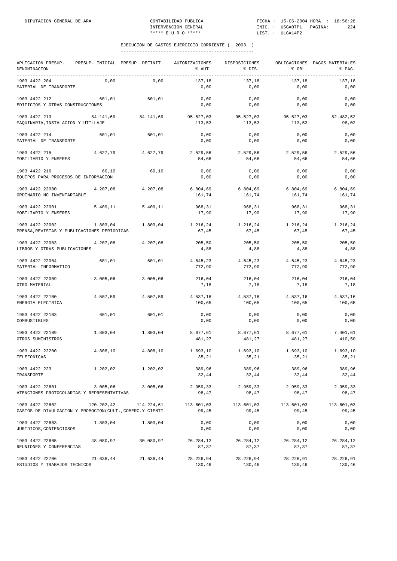| APLICACION PRESUP.<br>DENOMINACION<br>--------------                        |            | PRESUP. INICIAL PRESUP. DEFINIT. | AUTORIZACIONES<br>% AUT. | DISPOSICIONES<br>% DIS. | % OBL.              | OBLIGACIONES PAGOS MATERIALES<br>% PAG. |
|-----------------------------------------------------------------------------|------------|----------------------------------|--------------------------|-------------------------|---------------------|-----------------------------------------|
| 1903 4422 204<br>MATERIAL DE TRANSPORTE                                     | 0,00       | 0,00                             | 137,18<br>0,00           | 137,18<br>0,00          | 137,18<br>0,00      | 137,18<br>0,00                          |
| 1903 4422 212<br>EDIFICIOS Y OTRAS CONSTRUCCIONES                           | 601,01     | 601,01                           | 0,00<br>0,00             | 0,00<br>0,00            | 0,00<br>0,00        | 0,00<br>0,00                            |
| 1903 4422 213<br>MAQUINARIA, INSTALACION Y UTILLAJE                         | 84.141,69  | 84.141,69                        | 95.527,03<br>113,53      | 95.527,03<br>113,53     | 95.527,03<br>113,53 | 82.482,52<br>98,02                      |
| 1903 4422 214<br>MATERIAL DE TRANSPORTE                                     | 601,01     | 601,01                           | 0,00<br>0,00             | 0,00<br>0,00            | 0,00<br>0,00        | 0,00<br>0,00                            |
| 1903 4422 215<br>MOBILIARIO Y ENSERES                                       | 4.627,79   | 4.627,79                         | 2.529,56<br>54,66        | 2.529,56<br>54,66       | 2.529,56<br>54,66   | 2.529,56<br>54,66                       |
| 1903 4422 216<br>EQUIPOS PARA PROCESOS DE INFORMACION                       | 60,10      | 60,10                            | 0,00<br>0,00             | 0,00<br>0,00            | 0,00<br>0,00        | 0,00<br>0,00                            |
| 1903 4422 22000<br>ORDINARIO NO INVENTARIABLE                               | 4.207,08   | 4.207,08                         | 6.804, 69<br>161,74      | 6.804,69<br>161,74      | 6.804,69<br>161,74  | 6.804,69<br>161,74                      |
| 1903 4422 22001<br>MOBILIARIO Y ENSERES                                     | 5.409, 11  | 5.409, 11                        | 968,31<br>17,90          | 968,31<br>17,90         | 968,31<br>17,90     | 968,31<br>17,90                         |
| 1903 4422 22002<br>PRENSA, REVISTAS Y PUBLICACIONES PERIODICAS              | 1.803,04   | 1.803,04                         | 1.216,24<br>67,45        | 1.216,24<br>67,45       | 1.216,24<br>67,45   | 1.216,24<br>67,45                       |
| 1903 4422 22003<br>LIBROS Y OTRAS PUBLICACIONES                             | 4.207,08   | 4.207,08                         | 205,50<br>4,88           | 205,50<br>4,88          | 205,50<br>4,88      | 205,50<br>4,88                          |
| 1903 4422 22004<br>MATERIAL INFORMATICO                                     | 601,01     | 601,01                           | 4.645,23<br>772,90       | 4.645,23<br>772,90      | 4.645,23<br>772,90  | 4.645,23<br>772,90                      |
| 1903 4422 22009<br>OTRO MATERIAL                                            | 3.005,06   | 3.005,06                         | 216,04<br>7,18           | 216,04<br>7,18          | 216,04<br>7,18      | 216,04<br>7,18                          |
| 1903 4422 22100<br>ENERGIA ELECTRICA                                        | 4.507,59   | 4.507,59                         | 4.537,16<br>100,65       | 4.537,16<br>100,65      | 4.537,16<br>100,65  | 4.537,16<br>100,65                      |
| 1903 4422 22103<br>COMBUSTIBLES                                             | 601,01     | 601,01                           | 0,00<br>0,00             | 0,00<br>0,00            | 0,00<br>0,00        | 0,00<br>0,00                            |
| 1903 4422 22109<br>OTROS SUMINISTROS                                        | 1.803,04   | 1.803,04                         | 8.677,61<br>481,27       | 8.677,61<br>481,27      | 8.677,61<br>481,27  | 7.401,61<br>410,50                      |
| 1903 4422 22200<br>TELEFONICAS                                              | 4.808,10   | 4.808,10                         | 1.693,10<br>35,21        | 1.693,10<br>35,21       | 1.693,10<br>35,21   | 1.693,10<br>35,21                       |
| 1903 4422 223<br>TRANSPORTE                                                 | 1.202,02   | 1.202,02                         | 389,96<br>32,44          | 389,96<br>32,44         | 389,96<br>32,44     | 389,96<br>32,44                         |
| 1903 4422 22601<br>ATENCIONES PROTOCOLARIAS Y REPRESENTATIVAS               | 3.005,06   | 3.005,06                         | 2.959,33<br>98,47        | 2.959,33<br>98,47       | 2.959,33<br>98,47   | 2.959,33<br>98,47                       |
| 1903 4422 22602<br>GASTOS DE DIVULGACION Y PROMOCION(CULT., COMERC.Y CIENTI | 120.202,42 | 114.224,61                       | 113.601,03<br>99,45      | 113.601,03<br>99,45     | 113.601,03<br>99,45 | 113.601,03<br>99,45                     |
| 1903 4422 22603<br>JURIDICOS, CONTENCIOSOS                                  | 1.803,04   | 1.803,04                         | 0,00<br>0,00             | 0,00<br>0,00            | 0,00<br>0,00        | 0,00<br>0,00                            |
| 1903 4422 22605<br>REUNIONES Y CONFERENCIAS                                 | 48.080,97  | 30.080,97                        | 26.284,12<br>87,37       | 26.284,12<br>87,37      | 26.284,12<br>87,37  | 26.284,12<br>87,37                      |
| 1903 4422 22706<br>ESTUDIOS Y TRABAJOS TECNICOS                             | 21.636,44  | 21.636,44                        | 28.226,94<br>130,46      | 28.226,94<br>130,46     | 28.226,91<br>130,46 | 28.226,91<br>130,46                     |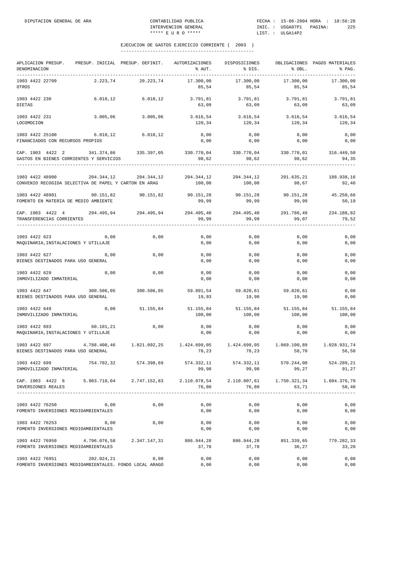| APLICACION PRESUP.<br>DENOMINACION<br>------------                         |              | PRESUP. INICIAL PRESUP. DEFINIT. | AUTORIZACIONES<br>% AUT. | DISPOSICIONES<br>% DIS. | % OBL.                | OBLIGACIONES PAGOS MATERIALES<br>% PAG. |
|----------------------------------------------------------------------------|--------------|----------------------------------|--------------------------|-------------------------|-----------------------|-----------------------------------------|
| 1903 4422 22709<br>OTROS                                                   | 2.223,74     | 20.223,74                        | 17.300,00<br>85,54       | 17.300,00<br>85,54      | 17.300,00<br>85,54    | 17.300,00<br>85,54                      |
| 1903 4422 230<br><b>DIETAS</b>                                             | 6.010, 12    | 6.010, 12                        | 3.791,81<br>63,09        | 3.791,81<br>63,09       | 3.791,81<br>63,09     | 3.791,81<br>63,09                       |
| 1903 4422 231<br>LOCOMOCION                                                | 3.005,06     | 3.005,06                         | 3.616,54<br>120,34       | 3.616,54<br>120,34      | 3.616,54<br>120,34    | 3.616,54<br>120,34                      |
| 1903 4422 25100<br>FINANCIADOS CON RECURSOS PROPIOS                        | 6.010, 12    | 6.010, 12                        | 0,00<br>0,00             | 0,00<br>0,00            | 0,00<br>0,00          | 0,00<br>0,00                            |
| CAP. 1903 4422 2<br>GASTOS EN BIENES CORRIENTES Y SERVICIOS                | 341.374,86   | 335.397,05                       | 330.770,04<br>98,62      | 330.770,04<br>98,62     | 330.770,01<br>98,62   | 316.449,50<br>94,35                     |
| 1903 4422 48900<br>CONVENIO RECOGIDA SELECTIVA DE PAPEL Y CARTON EN ARAG   | 204.344,12   | 204.344,12                       | 204.344,12<br>100,00     | 204.344,12<br>100,00    | 201.635,21<br>98,67   | 188.938,16<br>92,46                     |
| 1903 4422 48901<br>FOMENTO EN MATERIA DE MEDIO AMBIENTE                    | 90.151,82    | 90.151,82                        | 90.151,28<br>99,99       | 90.151,28<br>99,99      | 90.151,28<br>99,99    | 45.250,66<br>50,19                      |
| CAP. 1903 4422 4<br>TRANSFERENCIAS CORRIENTES                              | 294.495,94   | 294.495,94                       | 294.495,40<br>99,99      | 294.495,40<br>99,99     | 291.786,49<br>99,07   | 234.188,82<br>79,52                     |
| 1903 4422 623<br>MAQUINARIA, INSTALACIONES Y UTILLAJE                      | 0,00         | 0,00                             | 0,00<br>0,00             | 0,00<br>0,00            | 0,00<br>0,00          | 0,00<br>0,00                            |
| 1903 4422 627<br>BIENES DESTINADOS PARA USO GENERAL                        | 0,00         | 0,00                             | 0,00<br>0,00             | 0,00<br>0,00            | 0,00<br>0,00          | 0,00<br>0,00                            |
| 1903 4422 629<br>INMOVILIZADO INMATERIAL                                   | 0,00         | 0,00                             | 0,00<br>0,00             | 0,00<br>0,00            | 0,00<br>0,00          | 0,00<br>0,00                            |
| 1903 4422 647<br>BIENES DESTINADOS PARA USO GENERAL                        | 300.506,05   | 300.506,05                       | 59.891,54<br>19,93       | 59.820,61<br>19,90      | 59.820,61<br>19,90    | 0,00<br>0,00                            |
| 1903 4422 649<br>INMOVILIZADO INMATERIAL                                   | 0,00         | 51.155,84                        | 51.155,84<br>100,00      | 51.155,84<br>100,00     | 51.155,84<br>100,00   | 51.155,84<br>100,00                     |
| 1903 4422 693<br>MAQUINARIA, INSTALACIONES Y UTILLAJE                      | 60.101,21    | 0,00                             | 0,00<br>0,00             | 0,00<br>0,00            | 0,00<br>0,00          | 0,00<br>0,00                            |
| 1903 4422 697<br>BIENES DESTINADOS PARA USO GENERAL                        | 4.788.400,46 | 1.821.092,25                     | 1.424.699,05<br>78,23    | 1.424.699,05<br>78,23   | 1.069.100,89<br>58,70 | 1.028.931,74<br>56,50                   |
| 1903 4422 699<br>INMOVILIZADO INMATERIAL                                   | 754.702,32   | 574.398,69                       | 574.332,11<br>99,98      | 574.332,11<br>99,98     | 570.244,00<br>99,27   | 524.289,21<br>91,27                     |
| CAP. 1903 4422 6<br>INVERSIONES REALES                                     | 5.903.710,04 | 2.747.152,83                     | 2.110.078,54<br>76,80    | 2.110.007,61<br>76,80   | 1.750.321,34<br>63,71 | 1.604.376,79<br>58,40                   |
| 1903 4422 76250<br>FOMENTO INVERSIONES MEDIOAMBIENTALES                    | 0,00         | 0,00                             | 0,00<br>0,00             | 0,00<br>0,00            | 0,00<br>0,00          | 0,00<br>0,00                            |
| 1903 4422 76253<br>FOMENTO INVERSIONES MEDIOAMBIENTALES                    | 0,00         | 0,00                             | 0,00<br>0,00             | 0,00<br>0,00            | 0,00<br>0,00          | 0,00<br>0,00                            |
| 1903 4422 76950<br>FOMENTO INVERSIONES MEDIOAMBIENTALES                    | 4.796.076,58 | 2.347.147,31                     | 886.944,28<br>37,78      | 886.944,28<br>37,78     | 851.339,65<br>36,27   | 779.282,33<br>33,20                     |
| 1903 4422 76951<br>FOMENTO INVERSIONES MEDIOAMBIENTALES. FONDO LOCAL ARAGO | 202.024,21   | 0,00                             | 0,00<br>0,00             | 0,00<br>0,00            | 0,00<br>0,00          | 0,00<br>0,00                            |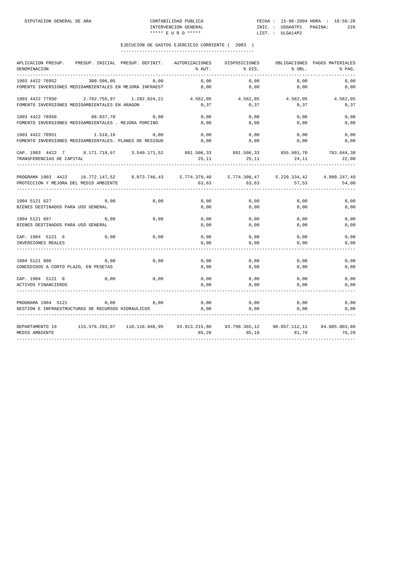| APLICACION PRESUP.                                      |            | PRESUP. INICIAL PRESUP. DEFINIT. | AUTORIZACIONES | DISPOSICIONES             |               | OBLIGACIONES PAGOS MATERIALES |
|---------------------------------------------------------|------------|----------------------------------|----------------|---------------------------|---------------|-------------------------------|
| DENOMINACION                                            |            |                                  | % AUT.         | % DIS.                    | % OBL.        | % PAG.                        |
| 1903 4422 76952                                         | 300.506,05 | 0,00                             | 0,00           | 0,00                      | 0,00          | 0,00                          |
| FOMENTO INVERSIONES MEDIOAMBIENTALES EN MEJORA INFRAEST |            |                                  | 0,00           | 0,00                      | 0,00          | 0,00                          |
| 1903 4422 77950 2.782.755,97 1.202.024,21               |            |                                  | 4.562,05       | 4.562,05                  | 4.562,05      | 4.562,05                      |
| FOMENTO INVERSIONES MEDIOAMBIENTALES EN ARAGON          |            |                                  | 0, 37          | 0,37                      | 0, 37         | 0, 37                         |
| 1903 4422 78950                                         | 88.837,70  | 0,00                             | 0.00           | 0,00                      | 0,00          | 0,00                          |
| FOMENTO INVERSIONES MEDIOAMBIENTALES . MEJORA PORCINO   |            |                                  | 0,00           | 0,00                      | 0,00          | 0,00                          |
| 1903 4422 78951                                         | 1.518,16   | 0,00                             | 0,00           | 0,00                      | 0,00          | 0,00                          |
| FOMENTO INVERSIONES MEDIOAMBIENTALES. PLANES DE RESIDUO |            |                                  | 0,00           | 0,00                      | 0,00          | 0,00                          |
| CAP. 1903 4422 7 8.171.718,67 3.549.171,52              |            |                                  |                | 891.506,33 891.506,33     | 855.901,70    | 783.844,38                    |
| TRANSFERENCIAS DE CAPITAL                               |            |                                  | 25,11          | 25,11                     | 24,11         | 22,08                         |
| PROGRAMA 1903 4422 16.772.147,52 9.073.746,43           |            |                                  |                | 5.774.379,40 5.774.308,47 | 5.220.334,42  | 4.900.247,49                  |
| PROTECCION Y MEJORA DEL MEDIO AMBIENTE                  |            |                                  | 63,63          | 63,63                     | 57,53         | 54,00                         |
| 1904 5121 627                                           | 0,00       | 0,00                             | 0,00           | 0,00                      | 0,00          | 0,00                          |
| BIENES DESTINADOS PARA USO GENERAL                      |            |                                  | 0.00           | 0,00                      | 0,00          | 0,00                          |
| 1904 5121 697                                           | 0,00       | 0,00                             | 0,00           | 0,00                      | 0,00          | 0,00                          |
| BIENES DESTINADOS PARA USO GENERAL                      |            |                                  | 0,00           | 0,00                      | 0,00          | 0,00                          |
| CAP. 1904 5121 6                                        | 0,00       | 0,00                             | 0,00           | 0,00                      | 0,00          | 0,00                          |
| INVERSIONES REALES                                      |            |                                  | 0,00           | 0,00                      | 0,00          | 0,00                          |
| 1904 5121 800                                           | 0,00       | 0,00                             | 0,00           | 0,00                      | 0,00          | 0,00                          |
| CONCEDIDOS A CORTO PLAZO, EN PESETAS                    |            |                                  | 0,00           | 0,00                      | 0,00          | 0,00                          |
| CAP. 1904 5121 8                                        | 0,00       | 0,00                             | 0,00           | 0,00                      | 0,00          | 0,00                          |
| ACTIVOS FINANCIEROS                                     |            |                                  | 0,00           | 0,00                      | 0,00          | 0,00                          |
| PROGRAMA 1904 5121                                      | 0,00       | 0,00                             | 0,00           | 0,00                      | 0,00          | 0,00                          |
| GESTION E INFRAESTRUCTURAS DE RECURSOS HIDRAULICOS      |            |                                  | 0,00           | 0,00                      | 0,00          | 0,00                          |
| DEPARTAMENTO 19                                         |            |                                  |                | 93.798.365,12             | 90.057.112,11 | 84.005.803,86                 |
| MEDIO AMBIENTE                                          |            |                                  | 85,28          | 85,18                     | 81,78         | 76,28                         |
|                                                         |            |                                  |                |                           |               |                               |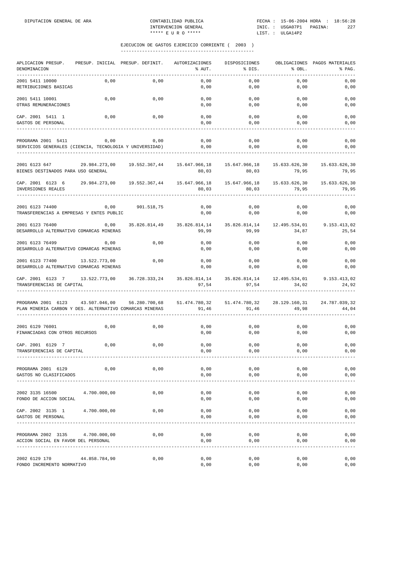| APLICACION PRESUP.<br>DENOMINACION                                                                                                      |               | PRESUP. INICIAL PRESUP. DEFINIT. | AUTORIZACIONES<br>% AUT.                                            | DISPOSICIONES<br>% DIS.              | % OBL.                 | OBLIGACIONES PAGOS MATERIALES<br>% PAG. |
|-----------------------------------------------------------------------------------------------------------------------------------------|---------------|----------------------------------|---------------------------------------------------------------------|--------------------------------------|------------------------|-----------------------------------------|
| 2001 5411 10000<br>RETRIBUCIONES BASICAS                                                                                                | 0,00          | 0,00                             | 0,00<br>0,00                                                        | 0,00<br>0,00                         | 0,00<br>0,00           | 0,00<br>0,00                            |
| 2001 5411 10001<br>OTRAS REMUNERACIONES                                                                                                 | 0,00          | 0,00                             | 0,00<br>0,00                                                        | 0,00<br>0,00                         | 0,00<br>0,00           | 0,00<br>0,00                            |
| CAP. 2001 5411 1<br>GASTOS DE PERSONAL                                                                                                  | 0,00          | 0,00                             | 0,00<br>0,00                                                        | 0,00<br>0,00                         | 0,00<br>0,00           | 0,00<br>0,00                            |
| PROGRAMA 2001 5411<br>SERVICIOS GENERALES (CIENCIA, TECNOLOGIA Y UNIVERSIDAD)                                                           | 0,00          | 0,00                             | 0,00<br>0,00                                                        | 0,00<br>0,00                         | 0,00<br>0,00           | 0,00<br>0,00                            |
| 2001 6123 647 29.984.273,00 19.552.367,44 15.647.966,18 15.647.966,18 15.633.626,30 15.633.626,30<br>BIENES DESTINADOS PARA USO GENERAL |               |                                  | 80,03                                                               | 80,03                                | 79,95                  | 79,95                                   |
| CAP. 2001 6123 6 29.984.273,00 19.552.367,44 15.647.966,18 15.647.966,18<br>INVERSIONES REALES                                          |               |                                  | 80,03                                                               | 80,03                                | 15.633.626,30<br>79,95 | 15.633.626,30<br>79,95                  |
| 2001 6123 74400<br>TRANSFERENCIAS A EMPRESAS Y ENTES PUBLIC                                                                             | 0,00          | 901.518,75                       | 0,00<br>0,00                                                        | 0,00<br>0,00                         | 0,00<br>0,00           | 0,00<br>0,00                            |
| 2001 6123 76400<br>DESARROLLO ALTERNATIVO COMARCAS MINERAS                                                                              | 0,00          |                                  | 35.826.814,49  35.826.814,14  35.826.814,14  12.495.534,01<br>99.99 | 99,99                                | 34,87                  | 9.153.413,02<br>25,54                   |
| 2001 6123 76499<br>DESARROLLO ALTERNATIVO COMARCAS MINERAS                                                                              | 0,00          | 0,00                             | 0,00<br>0,00                                                        | 0,00<br>0,00                         | 0,00<br>0,00           | 0,00<br>0,00                            |
| 2001 6123 77400<br>DESARROLLO ALTERNATIVO COMARCAS MINERAS                                                                              | 13.522.773,00 | 0,00                             | 0,00<br>0,00                                                        | 0,00<br>0,00                         | 0,00<br>0,00           | 0,00<br>0,00                            |
| CAP. 2001 6123 7 13.522.773,00 36.728.333,24 35.826.814,14 35.826.814,14 12.495.534,01<br>TRANSFERENCIAS DE CAPITAL                     |               |                                  | 97,54                                                               | 97,54                                | 34,02                  | 9.153.413,02<br>24,92                   |
| PROGRAMA 2001 6123 43.507.046,00<br>PLAN MINERIA CARBON Y DES. ALTERNATIVO COMARCAS MINERAS                                             |               | 56.280.700,68                    | 91,46                                                               | 51.474.780,32 51.474.780,32<br>91,46 | 28.129.160,31<br>49,98 | 24.787.039,32<br>44,04                  |
| 2001 6129 76001<br>FINANCIADAS CON OTROS RECURSOS                                                                                       | 0,00          | 0,00                             | 0,00<br>0,00                                                        | $0$ , $00$<br>0,00                   | 0,00<br>0,00           | 0,00<br>0,00                            |
| CAP. 2001 6129 7<br>TRANSFERENCIAS DE CAPITAL                                                                                           | 0,00          | 0,00                             | 0,00<br>0,00                                                        | 0,00<br>0,00                         | 0,00<br>0,00           | 0,00<br>0,00                            |
| PROGRAMA 2001 6129<br>GASTOS NO CLASIFICADOS                                                                                            | 0,00          | 0,00                             | 0,00<br>0,00                                                        | 0,00<br>0,00                         | 0,00<br>0,00           | 0,00<br>0,00                            |
| 2002 3135 16500<br>FONDO DE ACCION SOCIAL                                                                                               | 4.700.000,00  | 0,00                             | 0,00<br>0,00                                                        | 0,00<br>0,00                         | 0,00<br>0,00           | 0,00<br>0,00                            |
| CAP. 2002 3135 1<br>GASTOS DE PERSONAL                                                                                                  | 4.700.000,00  | 0,00                             | 0,00<br>0,00                                                        | 0,00<br>0,00                         | 0,00<br>0,00           | 0,00<br>0,00                            |
| PROGRAMA 2002 3135 4.700.000,00<br>ACCION SOCIAL EN FAVOR DEL PERSONAL                                                                  |               | 0,00                             | 0,00<br>0,00                                                        | 0,00<br>0,00                         | 0,00<br>0,00           | 0,00<br>0,00                            |
| 2002 6129 170<br>FONDO INCREMENTO NORMATIVO                                                                                             | 44.858.784,90 | 0,00                             | 0,00<br>0,00                                                        | 0,00<br>0,00                         | 0,00<br>0,00           | 0,00<br>0,00                            |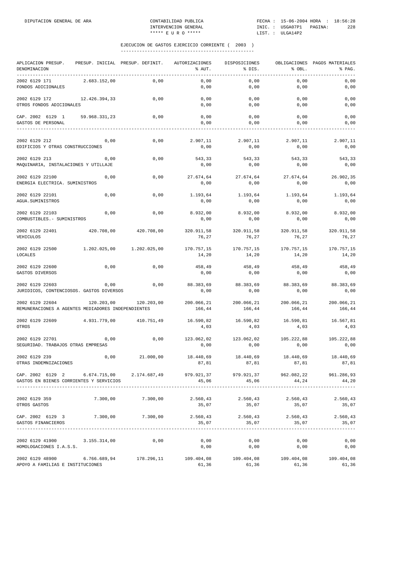| APLICACION PRESUP. PRESUP. INICIAL PRESUP. DEFINIT.<br>DENOMINACION<br>---------------------------------                                                                                  |                                    |                       | AUTORIZACIONES<br>% AUT.                     | DISPOSICIONES<br>% DIS.                                        | % OBL.                      | OBLIGACIONES PAGOS MATERIALES<br>% PAG. |
|-------------------------------------------------------------------------------------------------------------------------------------------------------------------------------------------|------------------------------------|-----------------------|----------------------------------------------|----------------------------------------------------------------|-----------------------------|-----------------------------------------|
| 2002 6129 171<br>FONDOS ADICIONALES                                                                                                                                                       | 2.683.152,00                       | 0,00                  | 0,00<br>0,00                                 | 0,00<br>0,00                                                   | 0,00<br>0,00                | 0,00<br>0,00                            |
| 2002 6129 172 12.426.394,33<br>OTROS FONDOS ADICIONALES                                                                                                                                   |                                    | 0,00                  | 0,00<br>0,00                                 | 0,00<br>0,00                                                   | 0,00<br>0,00                | 0,00<br>0,00                            |
| CAP. 2002 6129 1 59.968.331,23<br>GASTOS DE PERSONAL                                                                                                                                      |                                    | 0,00                  | 0,00<br>0,00                                 | 0,00<br>0,00                                                   | 0,00<br>0,00                | 0,00<br>0,00                            |
| 2002 6129 212<br>EDIFICIOS Y OTRAS CONSTRUCCIONES                                                                                                                                         | 0,00                               | 0,00                  | 0,00                                         | $2.907,11$ $2.907,11$ $2.907,11$ $2.907,11$ $2.907,11$<br>0,00 | 0,00                        | 0,00                                    |
| 2002 6129 213<br>MAQUINARIA, INSTALACIONES Y UTILLAJE                                                                                                                                     | 0,00                               | 0,00                  | 543,33<br>0,00                               | 543,33<br>0,00                                                 | 543,33<br>0,00              | 543,33<br>0,00                          |
| 2002 6129 22100<br>ENERGIA ELECTRICA. SUMINISTROS                                                                                                                                         | 0,00                               | 0,00                  | 27.674,64<br>0,00                            | 0,00                                                           | 27.674,64 27.674,64<br>0,00 | 26.902,35<br>0,00                       |
| 2002 6129 22101<br>AGUA.SUMINISTROS                                                                                                                                                       | 0,00                               | 0,00                  | 1.193,64<br>0,00                             | 1.193,64<br>0,00                                               | 1.193,64<br>0,00            | 1.193,64<br>0,00                        |
| 2002 6129 22103<br>COMBUSTIBLES. - SUMINISTROS                                                                                                                                            | 0,00                               | 0,00                  | 0,00                                         | $8.932,00$ $8.932,00$ $8.932,00$ $8.932,00$ $8.932,00$<br>0,00 | 0,00                        | 0,00                                    |
| 2002 6129 22401<br>VEHICULOS                                                                                                                                                              |                                    | 420.708,00 420.708,00 | 320.911,58<br>76,27                          | 320.911,58<br>76,27                                            | 320.911,58<br>76,27         | 320.911,58<br>76,27                     |
| 2002 6129 22500<br>LOCALES                                                                                                                                                                | 1.202.025,00   1.202.025,00        |                       | 170.757,15<br>14,20                          | 170.757,15<br>14,20                                            | 170.757,15<br>14,20         | 170.757,15<br>14,20                     |
| 2002 6129 22600<br>GASTOS DIVERSOS                                                                                                                                                        | 0,00                               | 0,00                  | 458,49<br>0,00                               | 458,49<br>0,00                                                 | 458,49<br>0,00              | 458,49<br>0,00                          |
| 2002 6129 22603<br>JURIDICOS, CONTENCIOSOS. GASTOS DIVERSOS                                                                                                                               | 0,00                               | 0,00                  | 0,00                                         | 88.383,69 88.383,69 88.383,69 88.383,69<br>0,00                | 0,00                        | 0,00                                    |
| 2002 6129 22604<br>REMUNERACIONES A AGENTES MEDIADORES INDEPENDIENTES                                                                                                                     | 120.203,00                         | 120.203,00            | 200.066,21<br>166,44                         | 200.066,21<br>166,44                                           | 200.066,21<br>166,44        | 200.066,21<br>166,44                    |
| 2002 6129 22609<br>OTROS                                                                                                                                                                  | 4.931.779,00 410.751,49            |                       | 16.590,82<br>4,03                            | 16.590,82<br>4,03                                              | 16.590,81<br>4,03           | 16.567,81<br>4,03                       |
| 2002 6129 22701<br>SEGURIDAD. TRABAJOS OTRAS EMPRESAS                                                                                                                                     | 0,00                               | 0,00                  | 0,00                                         | 123.062,02 123.062,02<br>0,00                                  | 0,00                        | 105.222,88 105.222,88<br>0,00           |
| 2002 6129 239<br>OTRAS INDEMNIZACIONES                                                                                                                                                    | 0,00                               | 21.000,00             | 18.440,69<br>87,81                           | 18.440,69<br>87,81                                             | 18.440,69<br>87,81          | 18.440,69<br>87,81                      |
| CAP. 2002 6129 2 6.674.715,00 2.174.687,49 979.921,37 979.921,37 962.082,22 961.286,93<br>GASTOS EN BIENES CORRIENTES Y SERVICIOS                                                         | ----------------------------       |                       | 45,06                                        | 45,06                                                          | 44, 24                      | 44,20                                   |
| 2002 6129 359<br>OTROS GASTOS                                                                                                                                                             |                                    | 7.300,00 7.300,00     | 2.560,43<br>35,07                            | 2.560,43 2.560,43<br>35,07                                     | 35,07                       | 2.560,43<br>35,07                       |
| CAP. 2002 6129 3 7.300,00 7.300,00<br>GASTOS FINANCIEROS                                                                                                                                  | ---------------------------------- |                       | 2.560,43 2.560,43 2.560,43 2.560,43<br>35,07 | 35,07                                                          | 35,07                       | 35,07                                   |
| 2002 6129 41900 3.155.314,00<br>HOMOLOGACIONES I.A.S.S.                                                                                                                                   |                                    | 0,00                  | 0,00<br>0,00                                 | 0,00<br>0,00                                                   | 0,00<br>0,00                | 0,00<br>0,00                            |
| $2002 \hspace{.1cm} 6129 \hspace{.1cm} 48900 \hspace{1.7cm} 109.404,08 \hspace{1.7cm} 109.404,08 \hspace{1.7cm} 109.404,08 \hspace{1.7cm} 109.404,08$<br>APOYO A FAMILIAS E INSTITUCIONES |                                    |                       | 61,36                                        | 61,36                                                          | 61,36                       | 61,36                                   |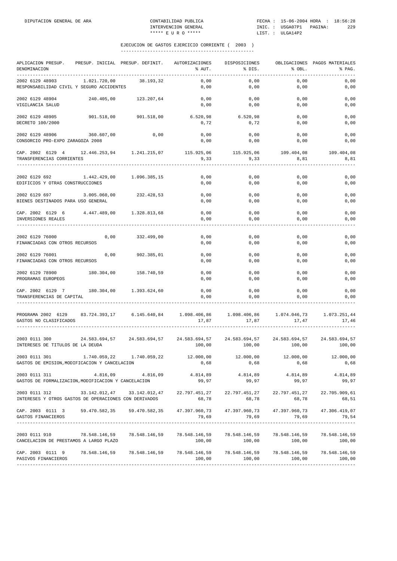| APLICACION PRESUP.<br>DENOMINACION                                                                                                                                                                                                                                                |              | PRESUP. INICIAL PRESUP. DEFINIT. | AUTORIZACIONES<br>% AUT.      | DISPOSICIONES<br>% DIS. | 8 OBL.                     | OBLIGACIONES PAGOS MATERIALES<br>% PAG. |
|-----------------------------------------------------------------------------------------------------------------------------------------------------------------------------------------------------------------------------------------------------------------------------------|--------------|----------------------------------|-------------------------------|-------------------------|----------------------------|-----------------------------------------|
| 2002 6129 48903<br>RESPONSABILIDAD CIVIL Y SEGURO ACCIDENTES                                                                                                                                                                                                                      | 1.021.720,00 | 38.193,32                        | 0,00<br>0,00                  | 0,00<br>0,00            | 0,00<br>0,00               | 0,00<br>0,00                            |
| 2002 6129 48904<br>VIGILANCIA SALUD                                                                                                                                                                                                                                               |              | 240.405,00 123.207,64            | 0,00<br>0,00                  | 0,00<br>0,00            | 0,00<br>0,00               | 0,00<br>0,00                            |
| 2002 6129 48905<br>DECRETO 100/2000                                                                                                                                                                                                                                               |              | 901.518,00 901.518,00            | $6.520,98$ $6.520,98$<br>0,72 | 0,72                    | 0,00<br>0,00               | 0,00<br>0,00                            |
| 2002 6129 48906<br>CONSORCIO PRO-EXPO ZARAGOZA 2008                                                                                                                                                                                                                               | 360.607,00   | 0,00                             | 0,00<br>0,00                  | 0,00<br>0,00            | 0,00<br>0,00               | 0,00<br>0,00                            |
| $\verb CAP. 2002 6129 4   12.446.253.94   1.241.215.07   115.925.06   115.925.06   109.404.08   109.404.08   109.404.08   109.404.08   109.404.08   109.404.08   109.404.08   109.404.08   109.404.08   109.404.08   109.404.08   109.404.08   109.$<br>TRANSFERENCIAS CORRIENTES |              |                                  | 9,33                          | 9, 33                   | 8,81                       | 8,81                                    |
| 2002 6129 692<br>EDIFICIOS Y OTRAS CONSTRUCCIONES                                                                                                                                                                                                                                 |              | 1.442.429,00 1.096.385,15        | 0,00<br>0,00                  | 0,00<br>0,00            | 0,00<br>0,00               | 0,00<br>0,00                            |
| 2002 6129 697 3.005.060,00<br>BIENES DESTINADOS PARA USO GENERAL                                                                                                                                                                                                                  |              | 232.428,53                       | 0,00<br>0,00                  | 0,00<br>0,00            | 0,00<br>0,00               | 0,00<br>0,00                            |
| CAP. 2002 6129 6 4.447.489,00 1.328.813,68<br>INVERSIONES REALES                                                                                                                                                                                                                  |              |                                  | 0,00<br>0,00                  | 0,00<br>0,00            | 0,00<br>0,00               | 0,00<br>0,00                            |
| 2002 6129 76000<br>FINANCIADAS CON OTROS RECURSOS                                                                                                                                                                                                                                 | 0,00         | 332.499,00                       | 0,00<br>0,00                  | 0,00<br>0,00            | 0,00<br>0,00               | 0,00<br>0,00                            |
| 2002 6129 76001<br>FINANCIADAS CON OTROS RECURSOS                                                                                                                                                                                                                                 | 0,00         | 902.385,01                       | 0,00<br>0,00                  | 0,00<br>0,00            | 0,00<br>0,00               | 0,00<br>0,00                            |
| 2002 6129 78900<br>PROGRAMAS EUROPEOS                                                                                                                                                                                                                                             |              | 180.304,00 158.740,59            | 0,00<br>0,00                  | 0,00<br>0,00            | 0,00<br>0,00               | 0,00<br>0,00                            |
| CAP. 2002 6129 7 180.304,00 1.393.624,60<br>TRANSFERENCIAS DE CAPITAL                                                                                                                                                                                                             |              |                                  | 0,00<br>0,00                  | 0,00<br>0,00            | 0,00<br>0,00               | 0,00<br>0,00                            |
| PROGRAMA 2002 6129 83.724.393,17 6.145.640,84 1.098.406,86 1.098.406,86 1.074.046,73<br>GASTOS NO CLASIFICADOS                                                                                                                                                                    |              |                                  | 17,87                         | 17,87                   | 17,47                      | 1.073.251,44<br>17,46                   |
| 2003 0111 300 24.583.694,57 24.583.694,57 24.583.694,57 24.583.694,57 24.583.694,57 24.583.694,57 24.583.694,57<br>INTERESES DE TITULOS DE LA DEUDA                                                                                                                               |              |                                  | 100,00                        | 100,00                  | 100,00                     | 100,00                                  |
| 2003 0111 301<br>GASTOS DE EMISION, MODIFICACION Y CANCELACION                                                                                                                                                                                                                    | 1.740.059,22 | 1.740.059,22                     | 12.000,00<br>0,68             | 12.000,00<br>0,68       | 12.000,00<br>0,68          | 12.000,00<br>0,68                       |
| 2003 0111 311<br>GASTOS DE FORMALIZACION, MODIFICACION Y CANCELACION                                                                                                                                                                                                              |              | 4.816,09 4.816,09 4.814,89       | 99,97                         | 99,97                   | 4.814,89 4.814,89<br>99,97 | 4.814,89<br>99,97                       |
| 2003 0111 312 33.142.012,47 33.142.012,47 22.797.451,27 22.797.451,27 22.797.451,27 22.705.909,61<br>INTERESES Y OTROS GASTOS DE OPERACIONES CON DERIVADOS                                                                                                                        |              |                                  | 68,78                         | 68,78                   | 68,78                      | 68,51                                   |
| CAP. 2003 0111 3 59.470.582,35 59.470.582,35 47.397.960,73 47.397.960,73 47.397.960,73 47.306.419,07<br>GASTOS FINANCIEROS                                                                                                                                                        |              | ________________                 |                               | 79,69 79,69 79,69       |                            | 79,54                                   |
| 2003 0111 910 78.548.146,59 78.548.146,59 78.548.146,59 78.548.146,59 78.548.146,59 78.548.146,59<br>CANCELACION DE PRESTAMOS A LARGO PLAZO                                                                                                                                       |              |                                  | 100,00                        |                         |                            | $100,00$ $100,00$ $100,00$              |
| CAP. 2003 0111 9 78.548.146,59 78.548.146,59 78.548.146,59 78.548.146,59 78.548.146,59 78.548.146,59<br>PASIVOS FINANCIEROS                                                                                                                                                       |              |                                  |                               | ------------------      |                            |                                         |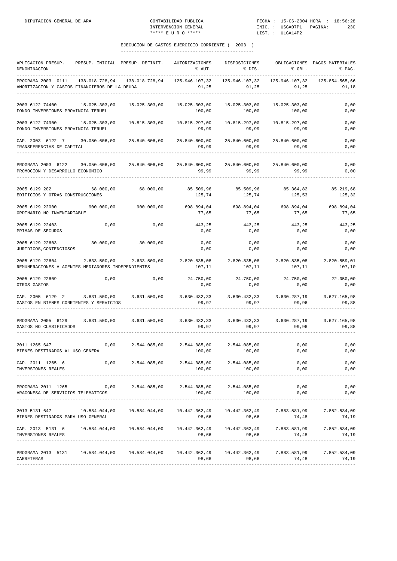| APLICACION PRESUP.<br>DENOMINACION<br>--------------                                                                                                                  | PRESUP. INICIAL PRESUP. DEFINIT. |                               | AUTORIZACIONES<br>% AUT.                                      | DISPOSICIONES<br>% DIS.                                             | % OBL.                   | OBLIGACIONES PAGOS MATERIALES<br>% PAG. |
|-----------------------------------------------------------------------------------------------------------------------------------------------------------------------|----------------------------------|-------------------------------|---------------------------------------------------------------|---------------------------------------------------------------------|--------------------------|-----------------------------------------|
| PROGRAMA 2003 0111<br>AMORTIZACION Y GASTOS FINANCIEROS DE LA DEUDA                                                                                                   |                                  | 138.018.728,94 138.018.728,94 | 125.946.107,32                                                | 125.946.107.32<br>91,25 91,25                                       | 125.946.107,32<br>91, 25 | 125.854.565,66<br>91,18                 |
| 2003 6122 74400 15.025.303.00<br>FONDO INVERSIONES PROVINCIA TERUEL                                                                                                   |                                  | 15.025.303,00                 | 15.025.303,00<br>100,00                                       | 15.025.303,00<br>100,00                                             | 15.025.303,00<br>100,00  | 0,00<br>0,00                            |
| 2003 6122 74900<br>FONDO INVERSIONES PROVINCIA TERUEL                                                                                                                 | 15.025.303,00                    |                               | 99,99                                                         | 10.815.297,00<br>99.99                                              | 10.815.297,00<br>99,99   | 0,00<br>0,00                            |
| CAP. 2003 6122 7 30.050.606,00 25.840.606,00<br>TRANSFERENCIAS DE CAPITAL<br>-----------------------------                                                            |                                  |                               | 99,99                                                         | 25.840.600,00 25.840.600,00 25.840.600,00<br>99,99                  | 99,99                    | 0,00<br>0,00                            |
| PROGRAMA 2003 6122 30.050.606,00 25.840.606,00 25.840.600,00 25.840.600,00 25.840.600,00<br>PROMOCION Y DESARROLLO ECONOMICO<br>___________________________________   |                                  |                               | 99,99                                                         | 99,99                                                               | 99,99                    | 0,00<br>0,00                            |
| 2005 6129 202<br>EDIFICIOS Y OTRAS CONSTRUCCIONES                                                                                                                     | 68.000,00 68.000,00              |                               | 85.509,96<br>125,74                                           | 85.509,96<br>125,74                                                 | 85.364,82<br>125,53      | 85.219,68<br>125,32                     |
| 2005 6129 22000 900.000,00<br>ORDINARIO NO INVENTARIABLE                                                                                                              |                                  | 900.000,00                    | $698.894.04$ $698.894.04$ $698.894.04$ $698.894.04$<br>77,65  | 77,65                                                               | 77,65                    | 77,65                                   |
| 2005 6129 22403<br>PRIMAS DE SEGUROS                                                                                                                                  | 0,00                             | 0,00                          | 443,25<br>0,00                                                | 443,25<br>0,00                                                      | 443,25<br>0,00           | 443,25<br>0,00                          |
| 2005 6129 22603<br>JURIDICOS, CONTENCIOSOS                                                                                                                            | $30.000,00$ $30.000,00$          |                               | 0,00<br>0,00                                                  | 0,00<br>0,00                                                        | 0,00<br>0,00             | 0,00<br>0,00                            |
| $2005 \t6129 \t22604 \t2.633.500,00 \t2.633.500,00 \t2.820.835,08 \t2.820.835,08 \t2.820.835,08 \t2.820.835,08$<br>REMUNERACIONES A AGENTES MEDIADORES INDEPENDIENTES |                                  |                               | 107,11                                                        | 107,11                                                              | 107,11                   | 107,10                                  |
| 2005 6129 22609<br>OTROS GASTOS                                                                                                                                       | 0,00                             | 0,00                          | 0,00                                                          | $24.750,00$ $24.750,00$ $24.750,00$ $24.750,00$ $22.050,00$<br>0,00 | 0,00                     | 0,00                                    |
| CAP. 2005 6129 2 3.631.500,00 3.631.500,00 3.630.432,33 3.630.432,33 3.630.287,19<br>GASTOS EN BIENES CORRIENTES Y SERVICIOS                                          |                                  |                               | 99,97                                                         | 99,97                                                               | 99,96                    | 3.627.165,98<br>99,88                   |
| PROGRAMA 2005 6129 3.631.500,00 3.631.500,00<br>GASTOS NO CLASIFICADOS                                                                                                |                                  |                               | 99,97                                                         | 3.630.432,33 3.630.432,33 3.630.287,19<br>99,97                     | 99,96                    | 3.627.165,98<br>99,88                   |
| 2011 1265 647<br>BIENES DESTINADOS AL USO GENERAL                                                                                                                     | 0,00                             | 2.544.085,00                  | 2.544.085,00 2.544.085,00<br>100,00                           | 100,00                                                              | 0,00<br>0,00             | 0,00<br>0,00                            |
| CAP. 2011 1265 6<br>INVERSIONES REALES                                                                                                                                |                                  |                               | $0,00$ $2.544.085,00$ $2.544.085,00$ $2.544.085,00$<br>100,00 | 100,00                                                              | 0,00<br>0,00             | 0,00<br>0,00                            |
| PROGRAMA 2011 1265 0,00 2.544.085,00 2.544.085,00 2.544.085,00<br>ARAGONESA DE SERVICIOS TELEMATICOS                                                                  |                                  |                               | 100,00                                                        | 100,00                                                              | 0,00<br>0,00             | 0,00<br>0,00                            |
| 2013 5131 647 10.584.044,00 10.584.044,00 10.442.362,49 10.442.362,49 7.883.581,99<br>BIENES DESTINADOS PARA USO GENERAL                                              |                                  |                               | 98,66                                                         | 98,66                                                               | 74,48                    | 7.852.534,09<br>74,19                   |
| CAP. 2013 5131 6 10.584.044,00 10.584.044,00 10.442.362,49 10.442.362,49 7.883.581,99<br>INVERSIONES REALES                                                           |                                  |                               | 98,66                                                         | 98,66                                                               | 74,48                    | 7.852.534,09<br>74,19                   |
| PROGRAMA 2013 5131 10.584.044,00 10.584.044,00 10.442.362,49 10.442.362,49 7.883.581,99<br>CARRETERAS                                                                 |                                  |                               | 98,66                                                         | 98,66                                                               | 74,48                    | 7.852.534,09<br>74,19                   |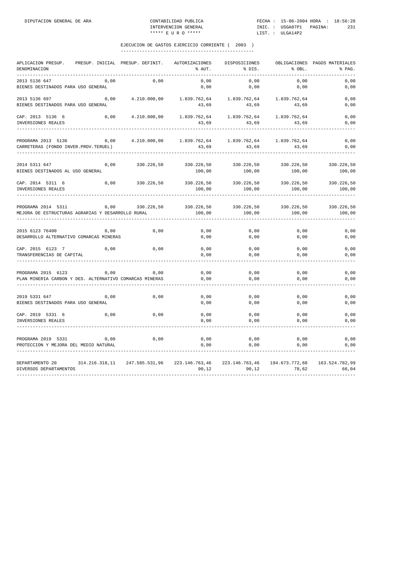| APLICACION PRESUP.<br>DENOMINACION<br>-----------                             | PRESUP. INICIAL PRESUP. DEFINIT. |              | AUTORIZACIONES<br>% AUT.                               | DISPOSICIONES<br>% DIS.  | % OBL.                  | OBLIGACIONES PAGOS MATERIALES<br>% PAG. |
|-------------------------------------------------------------------------------|----------------------------------|--------------|--------------------------------------------------------|--------------------------|-------------------------|-----------------------------------------|
| 2013 5136 647<br>BIENES DESTINADOS PARA USO GENERAL                           | 0,00                             | 0,00         | 0,00<br>0,00                                           | 0,00<br>0,00             | 0,00<br>0,00            | 0,00<br>0,00                            |
| 2013 5136 697<br>BIENES DESTINADOS PARA USO GENERAL                           | 0,00                             | 4.210.000,00 | 1.839.762,64<br>43,69                                  | 1.839.762,64<br>43,69    | 1.839.762,64<br>43,69   | 0,00<br>0,00                            |
| CAP. 2013 5136 6<br>INVERSIONES REALES                                        | 0,00                             | 4.210.000,00 | 1.839.762,64<br>43,69                                  | 1.839.762,64<br>43,69    | 1.839.762,64<br>43,69   | 0,00<br>0,00                            |
| PROGRAMA 2013 5136<br>CARRETERAS (FONDO INVER.PROV.TERUEL)                    | 0,00                             | 4.210.000,00 | 1.839.762,64<br>43,69                                  | 1.839.762,64<br>43,69    | 1.839.762,64<br>43,69   | 0,00<br>0,00                            |
| 2014 5311 647<br>BIENES DESTINADOS AL USO GENERAL                             | 0,00                             | 330.226,50   | 330.226,50<br>100,00                                   | 330.226,50<br>100,00     | 330.226,50<br>100,00    | 330.226,50<br>100,00                    |
| CAP. 2014 5311 6<br>INVERSIONES REALES                                        | 0,00                             | 330.226,50   | 330.226,50<br>100,00                                   | 330.226,50<br>100,00     | 330.226,50<br>100,00    | 330.226,50<br>100,00                    |
| PROGRAMA 2014 5311<br>MEJORA DE ESTRUCTURAS AGRARIAS Y DESARROLLO RURAL       | 0,00                             | 330.226,50   | 330.226,50<br>100,00                                   | 330.226,50<br>100,00     | 330.226,50<br>100,00    | 330.226,50<br>100,00                    |
| 2015 6123 76400<br>DESARROLLO ALTERNATIVO COMARCAS MINERAS                    | 0,00                             | 0,00         | 0,00<br>0,00                                           | 0,00<br>0,00             | 0,00<br>0,00            | 0,00<br>0,00                            |
| CAP. 2015 6123 7<br>TRANSFERENCIAS DE CAPITAL                                 | 0,00                             | 0,00         | 0,00<br>0,00                                           | 0,00<br>0,00             | 0,00<br>0,00            | 0,00<br>0,00                            |
| PROGRAMA 2015 6123<br>PLAN MINERIA CARBON Y DES. ALTERNATIVO COMARCAS MINERAS | 0,00                             | 0,00         | 0,00<br>0,00                                           | 0,00<br>0,00             | 0,00<br>0,00            | 0,00<br>0,00                            |
| 2019 5331 647<br>BIENES DESTINADOS PARA USO GENERAL                           | 0,00                             | 0,00         | 0,00<br>0,00                                           | 0,00<br>0,00             | 0,00<br>0,00            | 0,00<br>0,00                            |
| CAP. 2019 5331 6<br>INVERSIONES REALES                                        | 0,00                             | 0,00         | 0,00<br>0,00                                           | 0,00<br>0,00             | 0,00<br>0,00            | 0,00<br>0,00                            |
| PROGRAMA 2019 5331<br>PROTECCION Y MEJORA DEL MEDIO NATURAL                   | 0,00                             | 0,00         | 0,00<br>0,00                                           | 0,00<br>0,00             | 0,00<br>0,00            | 0,00<br>0,00                            |
| DEPARTAMENTO 20<br>DIVERSOS DEPARTAMENTOS                                     |                                  |              | 314.216.318,11 247.585.531,96 223.146.763,46<br>90, 12 | 223.146.763,46<br>90, 12 | 194.673.772,68<br>78,62 | 163.524.782,99<br>66,04                 |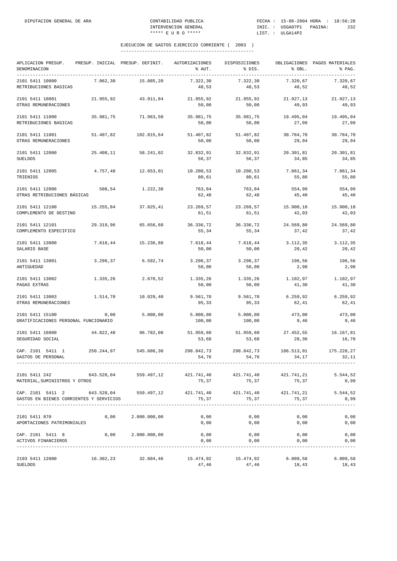| APLICACION PRESUP.<br>DENOMINACION<br>------------------------------------                                          |            | PRESUP. INICIAL PRESUP. DEFINIT. | <b>AUTORIZACIONES</b><br>% AUT. | DISPOSICIONES<br>% DIS. | % OBL.              | OBLIGACIONES PAGOS MATERIALES<br>% PAG. |
|---------------------------------------------------------------------------------------------------------------------|------------|----------------------------------|---------------------------------|-------------------------|---------------------|-----------------------------------------|
| 2101 5411 10000<br>RETRIBUCIONES BASICAS                                                                            | 7.062,30   | 15.085,20                        | 7.322,30<br>48,53               | 7.322,30<br>48,53       | 7.320,67<br>48,52   | 7.320,67<br>48,52                       |
| 2101 5411 10001<br>OTRAS REMUNERACIONES                                                                             | 21.955,92  | 43.911,84                        | 21.955,92<br>50,00              | 21.955,92<br>50,00      | 21.927,13<br>49,93  | 21.927,13<br>49,93                      |
| 2101 5411 11000<br>RETRIBUCIONES BASICAS                                                                            | 35.981,75  | 71.963,50                        | 35.981,75<br>50,00              | 35.981,75<br>50,00      | 19.495,04<br>27,09  | 19.495,04<br>27,09                      |
| 2101 5411 11001<br>OTRAS REMUNERACIONES                                                                             | 51.407,82  | 102.815,64                       | 51.407,82<br>50,00              | 51.407,82<br>50,00      | 30.784,70<br>29,94  | 30.784,70<br>29,94                      |
| 2101 5411 12000<br><b>SUELDOS</b>                                                                                   | 25.408,11  | 58.241,02                        | 32.832,91<br>56,37              | 32.832,91<br>56,37      | 20.301,81<br>34,85  | 20.301,81<br>34,85                      |
| 2101 5411 12005<br>TRIENIOS                                                                                         | 4.757,48   | 12.653,01                        | 10.200,53<br>80,61              | 10.200,53<br>80,61      | 7.061,34<br>55,80   | 7.061,34<br>55,80                       |
| 2101 5411 12006<br>OTRAS RETRIBUCIONES BÁSICAS                                                                      | 508,54     | 1.222,38                         | 763,84<br>62,48                 | 763,84<br>62,48         | 554,99<br>45,40     | 554,99<br>45,40                         |
| 2101 5411 12100<br>COMPLEMENTO DE DESTINO                                                                           | 15.255,84  | 37.825,41                        | 23.269,57<br>61, 51             | 23.269,57<br>61, 51     | 15.900,18<br>42,03  | 15.900,18<br>42,03                      |
| 2101 5411 12101<br>COMPLEMENTO ESPECIFICO                                                                           | 29.319,96  | 65.656,68                        | 36.336,72<br>55,34              | 36.336,72<br>55,34      | 24.569,80<br>37,42  | 24.569,80<br>37,42                      |
| 2101 5411 13000<br>SALARIO BASE                                                                                     | 7.618,44   | 15.236,88                        | 7.618,44<br>50,00               | 7.618,44<br>50,00       | 3.112,35<br>20,42   | 3.112,35<br>20,42                       |
| 2101 5411 13001<br>ANTIGUEDAD                                                                                       | 3.296,37   | 6.592,74                         | 3.296,37<br>50,00               | 3.296,37<br>50,00       | 196,56<br>2,98      | 196,56<br>2,98                          |
| 2101 5411 13002<br>PAGAS EXTRAS                                                                                     | 1.335,26   | 2.670,52                         | 1.335,26<br>50,00               | 1.335,26<br>50,00       | 1.102,97<br>41,30   | 1.102,97<br>41,30                       |
| 2101 5411 13003<br>OTRAS REMUNERACIONES                                                                             | 1.514,70   | 10.029,40                        | 9.561,70<br>95,33               | 9.561,70<br>95,33       | 6.259, 92<br>62,41  | 6.259,92<br>62,41                       |
| 2101 5411 15100<br>GRATIFICACIONES PERSONAL FUNCIONARIO                                                             | 0,00       | 5.000,00                         | 5.000,00<br>100,00              | 5.000,00<br>100,00      | 473,00<br>9,46      | 473,00<br>9,46                          |
| 2101 5411 16000<br>SEGURIDAD SOCIAL                                                                                 | 44.822.48  | 96.782,08                        | 51.959,60<br>53,68              | 51.959,60<br>53,68      | 27.452,55<br>28,36  | 16.167,81<br>16,70                      |
| CAP. 2101 5411 1<br>GASTOS DE PERSONAL                                                                              | 250.244,97 | 545.686,30                       | 298.842,73<br>54,76             | 298.842,73<br>54,76     | 186.513,01<br>34,17 | 175.228,27<br>32,11                     |
| 2101 5411 242<br>MATERIAL, SUMINISTROS Y OTROS                                                                      | 643.528,04 | 559.497,12                       | 421.741,40<br>75,37             | 421.741,40<br>75,37     | 421.741,21<br>75,37 | 5.544,52<br>0,99                        |
| CAP. 2101 5411 2 643.528,04 559.497,12 421.741,40 421.741,40 421.741,740<br>GASTOS EN BIENES CORRIENTES Y SERVICIOS |            |                                  | 75,37                           | 75,37                   | 75,37               | 5.544,52<br>0,99                        |
| 2101 5411 870<br>APORTACIONES PATRIMONIALES                                                                         | 0,00       | 2.000.000,00                     | 0,00<br>0,00                    | 0,00<br>0,00            | 0,00<br>0,00        | 0,00<br>0,00                            |
| CAP. 2101 5411 8<br>ACTIVOS FINANCIEROS                                                                             |            | $0,00$ 2.000.000,00              | 0,00<br>0,00                    | 0,00<br>0,00            | 0,00<br>0,00        | 0,00<br>0,00                            |
| 2103 5411 12000<br><b>SUELDOS</b>                                                                                   |            | 16.302,23 32.604,46              | 15.474,92<br>47,46              | 15.474,92<br>47,46      | 6.009,58<br>18,43   | 6.009,58<br>18,43                       |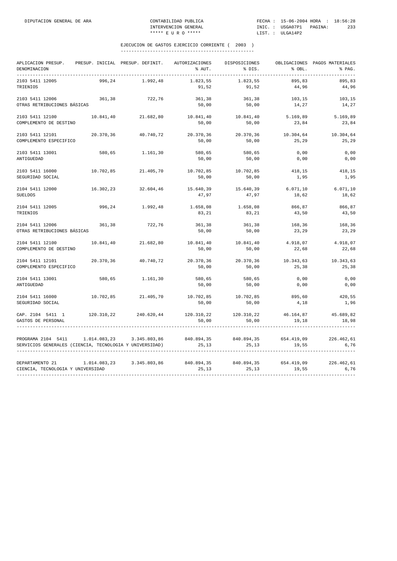| APLICACION PRESUP. PRESUP. INICIAL PRESUP. DEFINIT. AUTORIZACIONES DISPOSICIONES<br>DENOMINACION<br>___________                                     |           |                           | % AUT.                                 | % DIS.                                                                   | % OBL.             | OBLIGACIONES PAGOS MATERIALES<br>% PAG. |
|-----------------------------------------------------------------------------------------------------------------------------------------------------|-----------|---------------------------|----------------------------------------|--------------------------------------------------------------------------|--------------------|-----------------------------------------|
| 2103 5411 12005<br>TRIENIOS                                                                                                                         |           | 996,24 1.992,48           | 1.823,55<br>91,52                      | 1.823,55<br>91,52                                                        | 895,83<br>44,96    | 895,83<br>44,96                         |
| 2103 5411 12006<br>OTRAS RETRIBUCIONES BÁSICAS                                                                                                      | 361,38    | 722,76                    | 361,38<br>50,00                        | 361,38<br>50,00                                                          | 103,15<br>14,27    | 103,15<br>14,27                         |
| 2103 5411 12100<br>COMPLEMENTO DE DESTINO                                                                                                           |           |                           | 10.841,40 21.682,80 10.841,40<br>50,00 | 10.841,40<br>50,00                                                       | 5.169,89<br>23,84  | 5.169,89<br>23,84                       |
| 2103 5411 12101<br>COMPLEMENTO ESPECIFICO                                                                                                           | 20.370,36 | 40.740,72                 | 20.370,36<br>50,00                     | 20.370,36<br>50,00                                                       | 10.304,64<br>25,29 | 10.304,64<br>25,29                      |
| 2103 5411 13001<br>ANTIGUEDAD                                                                                                                       | 580,65    | 1.161,30                  | 580,65<br>50,00                        | 580,65<br>50,00                                                          | 0,00<br>0,00       | 0,00<br>0,00                            |
| 2103 5411 16000<br>SEGURIDAD SOCIAL                                                                                                                 |           | 10.702,85 21.405,70       | 50,00                                  | 10.702,85 10.702,85<br>50,00                                             | 418,15<br>1,95     | 418,15<br>1,95                          |
| 2104 5411 12000<br>SUELDOS                                                                                                                          |           |                           | 47,97                                  | $16.302, 23$ $32.604, 46$ $15.640, 39$ $15.640, 39$ $6.071, 10$<br>47,97 | 18,62              | 6.071, 10<br>18,62                      |
| 2104 5411 12005<br>TRIENIOS                                                                                                                         |           | 996,24 1.992,48           | 1.658,08<br>83,21                      | 1.658,08<br>83,21                                                        | 866,87<br>43,50    | 866,87<br>43,50                         |
| 2104 5411 12006<br>OTRAS RETRIBUCIONES BÁSICAS                                                                                                      | 361,38    | 722,76                    | 361,38<br>50,00                        | 361,38<br>50,00                                                          | 168,36<br>23,29    | 168,36<br>23,29                         |
| 2104 5411 12100<br>COMPLEMENTO DE DESTINO                                                                                                           |           | $10.841, 40$ $21.682, 80$ | 10.841,40<br>50,00                     | 10.841,40<br>50,00                                                       | 4.918,07<br>22,68  | 4.918,07<br>22,68                       |
| 2104 5411 12101<br>COMPLEMENTO ESPECIFICO                                                                                                           | 20.370,36 | 40.740,72                 | 20.370,36<br>50,00                     | 20.370,36<br>50,00                                                       | 10.343,63<br>25,38 | 10.343,63<br>25,38                      |
| 2104 5411 13001<br>ANTIGUEDAD                                                                                                                       | 580,65    | 1.161,30                  | 580,65<br>50,00                        | 580,65<br>50,00                                                          | 0,00<br>0,00       | 0,00<br>0,00                            |
| 2104 5411 16000<br>SEGURIDAD SOCIAL                                                                                                                 |           | 10.702,85 21.405,70       | 50,00                                  | 10.702,85 10.702,85<br>50,00                                             | 895,60<br>4,18     | 420,55<br>1,96                          |
| CAP. 2104 5411 1 120.310,22 240.620,44 120.310,22 120.310,22 46.164,87 45.689,82<br>GASTOS DE PERSONAL                                              |           |                           | 50,00                                  | 50,00                                                                    | 19,18              | 18,98                                   |
| PROGRAMA 2104 5411 1.014.083,23 3.345.803,86 840.894,35 840.894,35 654.419,09 226.462,61<br>SERVICIOS GENERALES (CIENCIA, TECNOLOGIA Y UNIVERSIDAD) |           |                           | 25, 13                                 | 25,13                                                                    | 19,55              | 6,76                                    |
| DEPARTAMENTO 21<br>CIENCIA, TECNOLOGIA Y UNIVERSIDAD                                                                                                |           | 1.014.083,23 3.345.803,86 | 25,13                                  | 840.894,35 840.894,35 654.419,09 226.462,61<br>25,13                     | 19,55              | 6,76                                    |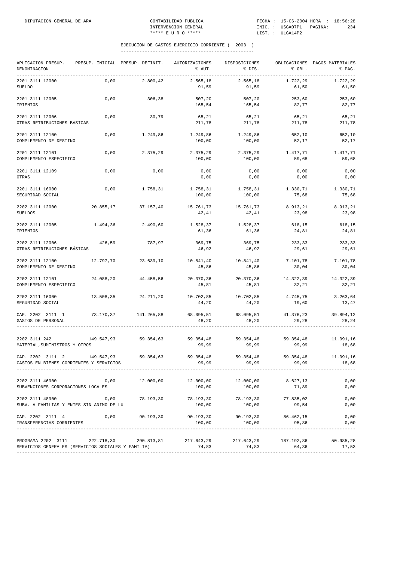| APLICACION PRESUP.<br>DENOMINACION                                                                        | PRESUP. INICIAL PRESUP. DEFINIT. | AUTORIZACIONES<br>% AUT. | DISPOSICIONES<br>% DIS.                 | % OBL.              | OBLIGACIONES PAGOS MATERIALES<br>% PAG. |
|-----------------------------------------------------------------------------------------------------------|----------------------------------|--------------------------|-----------------------------------------|---------------------|-----------------------------------------|
| 2201 3111 12000                                                                                           | 0,00                             | 2.565,18                 | 2.565,18                                | 1.722,29            | 1.722,29                                |
| <b>SUELDO</b>                                                                                             | 2.800,42                         | 91,59                    | 91,59                                   | 61,50               | 61,50                                   |
| 2201 3111 12005                                                                                           | 0,00                             | 507,20                   | 507,20                                  | 253,60              | 253,60                                  |
| TRIENIOS                                                                                                  | 306,38                           | 165,54                   | 165,54                                  | 82,77               | 82,77                                   |
| 2201 3111 12006                                                                                           | 0,00                             | 65,21                    | 65,21                                   | 65,21               | 65,21                                   |
| OTRAS RETRIBUCIONES BASICAS                                                                               | 30,79                            | 211,78                   | 211,78                                  | 211,78              | 211,78                                  |
| 2201 3111 12100                                                                                           | 0,00                             | 1.249,86                 | 1.249,86                                | 652,10              | 652,10                                  |
| COMPLEMENTO DE DESTINO                                                                                    | 1.249,86                         | 100,00                   | 100,00                                  | 52,17               | 52,17                                   |
| 2201 3111 12101                                                                                           | 0,00                             | 2.375,29                 | 2.375,29                                | 1.417,71            | 1.417,71                                |
| COMPLEMENTO ESPECIFICO                                                                                    | 2.375,29                         | 100,00                   | 100,00                                  | 59,68               | 59,68                                   |
| 2201 3111 12109                                                                                           | 0,00                             | 0,00                     | 0,00                                    | 0,00                | 0,00                                    |
| <b>OTRAS</b>                                                                                              | 0,00                             | 0,00                     | 0,00                                    | 0,00                | 0,00                                    |
| 2201 3111 16000                                                                                           | 0,00                             | 1.758,31                 | 1.758,31                                | 1.330,71            | 1.330,71                                |
| SEGURIDAD SOCIAL                                                                                          | 1.758,31                         | 100,00                   | 100,00                                  | 75,68               | 75,68                                   |
| 2202 3111 12000<br>20.855,17<br><b>SUELDOS</b>                                                            | 37.157,40                        | 15.761,73<br>42,41       | 15.761,73<br>42,41                      | 8.913,21<br>23,98   | 8.913,21<br>23,98                       |
| 2202 3111 12005<br>1.494,36<br>TRIENIOS                                                                   | 2.490,60                         | 1.528,37<br>61,36        | 1.528,37<br>61,36                       | 618,15<br>24,81     | 618,15<br>24,81                         |
| 2202 3111 12006                                                                                           | 426,59                           | 369,75                   | 369,75                                  | 233,33              | 233,33                                  |
| OTRAS RETRIBUCIONES BÁSICAS                                                                               | 787,97                           | 46,92                    | 46,92                                   | 29,61               | 29,61                                   |
| 2202 3111 12100<br>12.797,70<br>COMPLEMENTO DE DESTINO                                                    | 23.639,10                        | 10.841,40<br>45,86       | 10.841,40<br>45,86                      | 7.101,78<br>30,04   | 7.101,78<br>30,04                       |
| 2202 3111 12101<br>24.088,20<br>COMPLEMENTO ESPECIFICO                                                    | 44.458,56                        | 20.370,36<br>45,81       | 20.370,36<br>45,81                      | 14.322,39<br>32,21  | 14.322,39<br>32,21                      |
| 2202 3111 16000<br>13.508,35<br>SEGURIDAD SOCIAL                                                          | 24.211,20                        | 10.702,85<br>44,20       | 10.702,85<br>44,20                      | 4.745,75<br>19,60   | 3.263,64<br>13,47                       |
| CAP. 2202 3111 1                                                                                          | 73.170,37 141.265,88             | 68.095,51                | 68.095,51                               | 41.376,23           | 39.894,12                               |
| GASTOS DE PERSONAL                                                                                        |                                  | 48,20                    | 48,20                                   | 29,28               | 28,24                                   |
| 2202 3111 242                                                                                             | 149.547,93 59.354,63             | 59.354,48                | 59.354,48                               | 59.354,48           | 11.091,16                               |
| MATERIAL, SUMINISTROS Y OTROS                                                                             |                                  | 99,99                    | 99,99                                   | 99,99               | 18,68                                   |
| CAP. 2202 3111 2<br>149.547.93<br>GASTOS EN BIENES CORRIENTES Y SERVICIOS                                 | 59.354,63                        | 59.354,48<br>99,99       | 59.354,48<br>99,99                      | 59.354,48<br>99,99  | 11.091,16<br>18,68                      |
| 2202 3111 46900                                                                                           | 0,00                             | 12.000,00                | 12.000,00                               | 8.627, 13           | 0,00                                    |
| SUBVENCIONES CORPORACIONES LOCALES                                                                        | 12.000,00                        | 100,00                   | 100,00                                  | 71,89               | 0,00                                    |
| 2202 3111 48900                                                                                           | 0,00                             | 78.193,30                | 78.193,30                               | 77.835,02           | 0,00                                    |
| SUBV. A FAMILIAS Y ENTES SIN ANIMO DE LU                                                                  | 78.193,30                        | 100,00                   | 100,00                                  | 99,54               | 0,00                                    |
| CAP. 2202 3111 4<br>TRANSFERENCIAS CORRIENTES                                                             | $0,00$ 90.193,30                 | 100,00                   | 90.193,30 90.193,30 86.462,15<br>100,00 | 95,86               | 0,00<br>0,00                            |
| PROGRAMA 2202 3111 222.718,30 290.813,81 217.643,29<br>SERVICIOS GENERALES (SERVICIOS SOCIALES Y FAMILIA) |                                  | 74,83                    | 217.643,29<br>74,83                     | 187.192,86<br>64,36 | 50.985,28<br>17,53                      |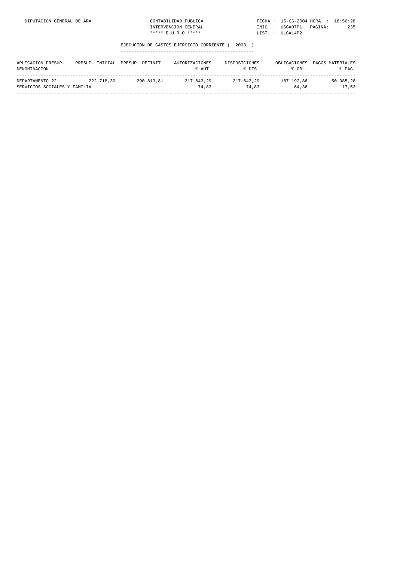| DIPUTACION GENERAL DE ARA | LIDAD PUBLICA<br>70NTARTI. | FECHA          | 15-06-2004 HORA :             | 18:56:28 |
|---------------------------|----------------------------|----------------|-------------------------------|----------|
|                           | INTERVENCION GENERAL       | INIC.<br>_____ | IISGA07P1<br>PAGINA :<br>____ | つつに      |
|                           | ***** E II R O *****       | LIST           | ULGA14P2                      |          |

| APLICACION PRESUP.<br>DENOMINACION              | PRESUP. INICIAL | PRESUP, DEFINIT, | AUTORIZACIONES<br>% AUT. | DISPOSICIONES<br>% DIS. | OBLIGACIONES<br>% OBL. | PAGOS MATERIALES<br>% PAG. |
|-------------------------------------------------|-----------------|------------------|--------------------------|-------------------------|------------------------|----------------------------|
| DEPARTAMENTO 22<br>SERVICIOS SOCIALES Y FAMILIA | 222.718.30      | 290.813.81       | 217.643.29<br>74.83      | 217.643.29<br>74.83     | 187.192.86<br>64.36    | 50.985.28<br>17.53         |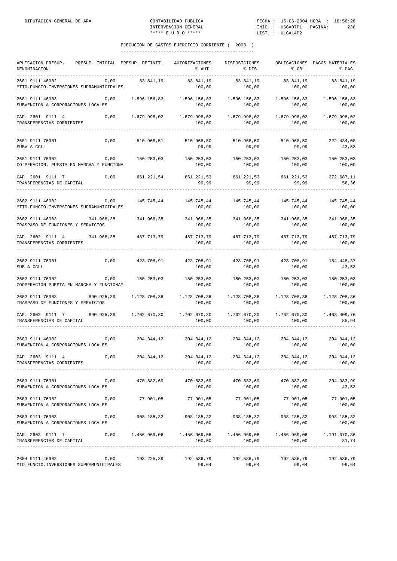| APLICACION PRESUP. PRESUP. INICIAL PRESUP. DEFINIT.<br>DENOMINACION<br>-----------                                         |      |            | AUTORIZACIONES DISPOSICIONES<br>% AUT.                                                                                                                                                                             | % DIS.                                     | % OBL.                 | OBLIGACIONES PAGOS MATERIALES<br>% PAG. |
|----------------------------------------------------------------------------------------------------------------------------|------|------------|--------------------------------------------------------------------------------------------------------------------------------------------------------------------------------------------------------------------|--------------------------------------------|------------------------|-----------------------------------------|
| 2601 9111 46902<br>MTTO.FUNCTO.INVERSIONES SUPRAMUNICIPALES                                                                | 0,00 | 83.841,19  | 83.841,19<br>100,00                                                                                                                                                                                                | 83.841,19<br>100,00                        | 83.841,19<br>100,00    | 83.841,19<br>100,00                     |
| 2601 9111 46903<br>SUBVENCION A CORPORACIONES LOCALES                                                                      | 0,00 |            | $1.596.156.83$ $1.596.156.83$ $1.596.156.83$ $1.596.156.83$ $1.596.156.83$<br>100,00                                                                                                                               |                                            | 100,00 100,00          | 100,00                                  |
| CAP. 2601 9111 4 0,00<br>TRANSFERENCIAS CORRIENTES<br>--------------------                                                 |      |            | $1.679.998,02$ $1.679.998,02$ $1.679.998,02$ $1.679.998,02$ $1.679.998,02$<br>100,00                                                                                                                               | 100,00                                     | 100,00                 | 100,00                                  |
| 2601 9111 76901<br>SUBV A CCLL                                                                                             | 0,00 |            | 510.968,51 510.968,50 510.968,50 510.968,50<br>99,99                                                                                                                                                               | 99,99                                      | 99,99                  | 222.434,08<br>43,53                     |
| 2601 9111 76902<br>CO`PERACION. PUESTA EN MARCHA Y FUNCIONA                                                                | 0,00 |            | 150.253,03 150.253,03 150.253,03 150.253,03 150.253,03<br>100,00                                                                                                                                                   | 100,00                                     | 100,00                 | 100,00                                  |
| CAP. 2601 9111 7<br>TRANSFERENCIAS DE CAPITAL                                                                              | 0,00 |            | 661.221,54 661.221,53 661.221,53 661.221,53<br>99,99                                                                                                                                                               | 99,99                                      | 99,99                  | 372.687,11<br>56,36                     |
| 2602 9111 46902<br>MTTO. FUNCTO. INVERSIONES SUPRAMUNICIPALES                                                              | 0,00 |            | 145.745,44 145.745,44 145.745,44 145.745,44<br>100,00                                                                                                                                                              | 100,00                                     | 100,00                 | 145.745,44<br>100,00                    |
| 2602 9111 46903<br>TRASPASO DE FUNCIONES Y SERVICIOS                                                                       |      |            | 341.968,35 341.968,35 341.968,35 341.968,35 341.968,35                                                                                                                                                             | 100,00 100,00                              | 100,00                 | 341.968,35<br>100,00                    |
| CAP. 2602 9111 4 341.968,35 487.713,79 487.713,79 487.713,79 487.713,79 487.713,79 487.713,79<br>TRANSFERENCIAS CORRIENTES |      |            | 100,00                                                                                                                                                                                                             | 100,00                                     | 100,00                 | 100,00                                  |
| 2602 9111 76901 184.448,37 0,00 423.708,91 423.708,91 423.708,91 423.708,91 184.448,37<br>SUB A CCLL                       |      |            | 100,00                                                                                                                                                                                                             | 100,00                                     | 100,00                 | 43,53                                   |
| 2602 9111 76902<br>COOPERACION PUESTA EN MARCHA Y FUNCIONAM                                                                | 0,00 |            | 150.253,03 150.253,03 150.253,03 150.253,03 150.253,03<br>100,00                                                                                                                                                   | 100,00                                     | 100,00                 | 100,00                                  |
| 2602 9111 76903<br>TRASPASO DE FUNCIONES Y SERVICIOS                                                                       |      |            | 890.925,39 1.128.708,36 1.128.708,36 1.128.708,36 1.128.709,36<br>100,00                                                                                                                                           | 100,00                                     | 100,00                 | 1.128.708,36<br>100,00                  |
| CAP. 2602 9111 7 890.925,39 1.702.670,30 1.702.670,30 1.702.670,30 1.702.670,30<br>TRANSFERENCIAS DE CAPITAL               |      |            | 100,00                                                                                                                                                                                                             | 100,00                                     | 100,00                 | 1.463.409,76<br>85,94<br>-------------- |
| 2603 9111 46902<br>SUBVENCION A CORPORACIONES LOCALES                                                                      |      |            | $0\, , 00 \qquad \qquad 204 \, . \, 344 \, , 12 \qquad \qquad 204 \, . \, 344 \, , 12 \qquad \qquad 204 \, . \, 344 \, , 12 \qquad \qquad 204 \, . \, 344 \, , 12 \qquad \qquad 204 \, . \, 344 \, , 12$<br>100,00 | $100,00$ 100,00                            |                        | 100,00                                  |
| CAP. 2603 9111 4<br>TRANSFERENCIAS CORRIENTES                                                                              | 0,00 | 204.344,12 | 204.344,12<br>100,00                                                                                                                                                                                               | 204.344,12<br>100,00                       | 204.344,12<br>100,00   | 204.344,12<br>100,00                    |
| 2603 9111 76901<br>SUBVENCION A CORPORACIONES LOCALES                                                                      | 0,00 | 470.882,69 | 470.882,69<br>100,00                                                                                                                                                                                               | 470.882,69<br>100,00                       | 470.882,69<br>100,00   | 204.983,99<br>43,53                     |
| 2603 9111 76902<br>SUBVENCION A CORPORACIONES LOCALES                                                                      | 0,00 | 77.901,05  | 77.901,05<br>100,00                                                                                                                                                                                                | 77.901,05<br>100,00                        | 77.901,05<br>100,00    | 77.901,05<br>100,00                     |
| 2603 9111 76903<br>SUBVENCION A CORPORACIONES LOCALES                                                                      | 0,00 | 908.185,32 | 100,00                                                                                                                                                                                                             | 908.185,32 908.185,32 908.185,32<br>100,00 | 100,00                 | 908.185,32<br>100,00                    |
| CAP. 2603 9111 7<br>TRANSFERENCIAS DE CAPITAL                                                                              |      |            | $0,00$ 1.456.969,06 1.456.969,06<br>100,00                                                                                                                                                                         | 1.456.969,06<br>100,00                     | 1.456.969,06<br>100,00 | 1.191.070,36<br>81,74                   |
| 2604 9111 46902<br>MTO. FUNCTO. INVERSIONES SUPRAMUNICIPALES                                                               | 0,00 | 193.225,39 | 192.536,79<br>99,64                                                                                                                                                                                                | 192.536,79<br>99,64                        | 192.536,79<br>99,64    | 192.536,79<br>99,64                     |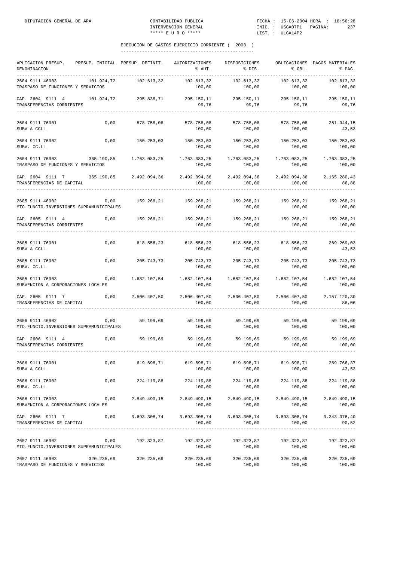| APLICACION PRESUP.<br>DENOMINACION                                    | PRESUP. INICIAL PRESUP. DEFINIT. |                       | AUTORIZACIONES<br>% AUT.                              | DISPOSICIONES<br>% DIS.         | % OBL.                 | OBLIGACIONES PAGOS MATERIALES<br>% PAG. |
|-----------------------------------------------------------------------|----------------------------------|-----------------------|-------------------------------------------------------|---------------------------------|------------------------|-----------------------------------------|
| 2604 9111 46903<br>TRASPASO DE FUNCIONES Y SERVICIOS                  | 101.924,72                       | 102.613,32            | 102.613,32<br>100,00                                  | 102.613,32<br>100,00            | 102.613,32<br>100,00   | 102.613,32<br>100,00                    |
| CAP. 2604 9111 4<br>TRANSFERENCIAS CORRIENTES                         |                                  | 101.924,72 295.838,71 | 295.150,11<br>99,76                                   | 295.150,11<br>99,76             | 295.150,11<br>99,76    | 295.150,11<br>99,76                     |
| 2604 9111 76901<br>SUBV A CCLL                                        | 0,00                             | 578.758,08            | 578.758,08<br>100,00                                  | 578.758,08<br>100,00            | 578.758,08<br>100,00   | 251.944,15<br>43,53                     |
| 2604 9111 76902<br>SUBV. CC.LL                                        | 0,00                             | 150.253,03            | 150.253,03 150.253,03 150.253,03 150.253,03<br>100,00 | 100,00                          | 100,00                 | 100,00                                  |
| 2604 9111 76903<br>TRASPASO DE FUNCIONES Y SERVICIOS                  | 365.190,85                       | 1.763.083,25          | 1.763.083,25<br>100,00                                | 1.763.083,25<br>100,00          | 1.763.083,25<br>100,00 | 1.763.083,25<br>100,00                  |
| CAP. 2604 9111 7 365.190,85 2.492.094,36<br>TRANSFERENCIAS DE CAPITAL |                                  |                       | 2.492.094,36<br>100,00                                | 2.492.094,36<br>100,00          | 2.492.094,36<br>100,00 | 2.165.280,43<br>86,88                   |
| 2605 9111 46902<br>MTO. FUNCTO. INVERSIONES SUPRAMUNICIPALES          | 0,00                             | 159.268,21            | 159.268,21<br>100,00                                  | 159.268,21<br>100,00            | 159.268,21<br>100,00   | 159.268,21<br>100,00                    |
| CAP. 2605 9111 4<br>TRANSFERENCIAS CORRIENTES                         | 0,00                             | 159.268,21            | 100,00                                                | 159.268,21 159.268,21<br>100,00 | 159.268,21<br>100,00   | 159.268,21<br>100,00                    |
| 2605 9111 76901<br>SUBV A CCLL                                        | 0,00                             | 618.556,23            | 618.556,23<br>100,00                                  | 618.556,23<br>100,00            | 618.556,23<br>100,00   | 269.269,03<br>43,53                     |
| 2605 9111 76902<br>SUBV. CC.LL                                        | 0,00                             | 205.743,73            | 205.743,73 205.743,73<br>100,00                       | 100,00                          | 100,00                 | 205.743,73 205.743,73<br>100,00         |
| 2605 9111 76903<br>SUBVENCION A CORPORACIONES LOCALES                 | 0,00                             | 1.682.107,54          | 1.682.107,54<br>100,00                                | 1.682.107,54<br>100,00          | 1.682.107,54<br>100,00 | 1.682.107,54<br>100,00                  |
| CAP. 2605 9111 7<br>TRANSFERENCIAS DE CAPITAL                         | 0,00                             | 2.506.407,50          | 2.506.407,50<br>100,00                                | 2.506.407,50<br>100,00          | 2.506.407,50<br>100,00 | 2.157.120,30<br>86,06                   |
| 2606 9111 46902<br>MTO. FUNCTO. INVERSIONES SUPRAMUNICIPALES          | 0,00                             | 59.199,69             | 59.199,69<br>100,00                                   | 59.199,69<br>100,00             | 59.199,69<br>100,00    | 59.199,69<br>100,00                     |
| CAP. 2606 9111 4<br>TRANSFERENCIAS CORRIENTES                         | 0,00                             | 59.199,69             | 59.199,69<br>100,00                                   | 59.199,69<br>100,00             | 59.199,69<br>100,00    | 59.199,69<br>100,00                     |
| 2606 9111 76901<br>SUBV A CCLL                                        | 0,00                             | 619.698,71            | 619.698,71<br>100,00                                  | 619.698,71<br>100,00            | 619.698,71<br>100,00   | 269.766,37<br>43,53                     |
| 2606 9111 76902<br>SUBV. CC.LL                                        | 0,00                             | 224.119,88            | 224.119,88<br>100,00                                  | 224.119,88<br>100,00            | 224.119,88<br>100,00   | 224.119,88<br>100,00                    |
| 2606 9111 76903<br>SUBVENCION A CORPORACIONES LOCALES                 | 0,00                             | 2.849.490,15          | 2.849.490,15<br>100,00                                | 2.849.490,15<br>100,00          | 2.849.490,15<br>100,00 | 2.849.490,15<br>100,00                  |
| CAP. 2606 9111 7<br>TRANSFERENCIAS DE CAPITAL                         | 0,00                             | 3.693.308,74          | 3.693.308,74<br>100,00                                | 3.693.308,74<br>100,00          | 3.693.308,74<br>100,00 | 3.343.376,40<br>90,52                   |
| 2607 9111 46902<br>MTO. FUNCTO. INVERSIONES SUPRAMUNICIPALES          | 0,00                             | 192.323,87            | 192.323,87<br>100,00                                  | 192.323,87<br>100,00            | 192.323,87<br>100,00   | 192.323,87<br>100,00                    |
| 2607 9111 46903<br>TRASPASO DE FUNCIONES Y SERVICIOS                  | 320.235,69                       | 320.235,69            | 320.235,69<br>100,00                                  | 320.235,69<br>100,00            | 320.235,69<br>100,00   | 320.235,69<br>100,00                    |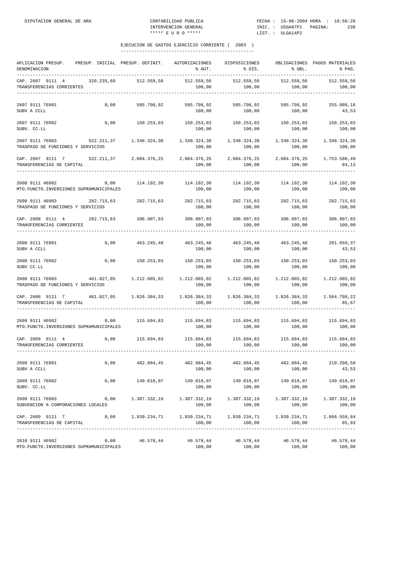| APLICACION PRESUP.<br>DENOMINACION                                                                                   | PRESUP. INICIAL PRESUP. DEFINIT. |                         | AUTORIZACIONES<br>% AUT. | DISPOSICIONES<br>% DIS.                                   | % OBL.                 | OBLIGACIONES PAGOS MATERIALES<br>% PAG. |
|----------------------------------------------------------------------------------------------------------------------|----------------------------------|-------------------------|--------------------------|-----------------------------------------------------------|------------------------|-----------------------------------------|
| CAP. 2607 9111 4<br>TRANSFERENCIAS CORRIENTES                                                                        | 320.235,69                       | 512.559,56              | 512.559,56<br>100,00     | 512.559,56<br>100,00                                      | 512.559,56<br>100,00   | 512.559,56<br>100,00                    |
| 2607 9111 76901<br>SUBV A CCLL                                                                                       | 0,00                             | 585.798,92              | 585.798,92<br>100,00     | 585.798,92<br>100,00                                      | 585.798,92<br>100,00   | 255.009,16<br>43,53                     |
| 2607 9111 76902<br>SUBV. CC.LL                                                                                       | 0,00                             | 150.253,03              | 150.253,03<br>100,00     | 150.253,03<br>100,00                                      | 150.253,03<br>100,00   | 150.253,03<br>100,00                    |
| 2607 9111 76903 522.211,37<br>TRASPASO DE FUNCIONES Y SERVICIOS                                                      |                                  | 1.348.324,30            | 100,00                   | 1.348.324,30 1.348.324,30<br>100,00                       | 1.348.324,30<br>100,00 | 1.348.324,30<br>100,00                  |
| CAP. 2607 9111 7<br>TRANSFERENCIAS DE CAPITAL                                                                        |                                  | 522.211,37 2.084.376,25 | 2.084.376,25<br>100,00   | 2.084.376,25<br>100,00                                    | 2.084.376,25<br>100,00 | 1.753.586,49<br>84,13                   |
| 2608 9111 46902<br>MTO. FUNCTO. INVERSIONES SUPRAMUNICIPALES                                                         | 0,00                             | 114.192,30              | 114.192,30<br>100,00     | 114.192,30<br>100,00                                      | 114.192,30<br>100,00   | 114.192,30<br>100,00                    |
| 2608 9111 46903<br>TRASPASO DE FUNCIONES Y SERVICIOS                                                                 | 282.715,63                       | 282.715,63              | 282.715,63<br>100,00     | 282.715,63<br>100,00                                      | 282.715,63<br>100,00   | 282.715,63<br>100,00                    |
| CAP. 2608 9111 4<br>TRANSFERENCIAS CORRIENTES                                                                        |                                  | 282.715,63 396.907,93   | 396.907,93<br>100,00     | 396.907,93<br>100,00                                      | 396.907,93<br>100,00   | 396.907,93<br>100,00                    |
| 2608 9111 76901<br>SUBV A CCLL                                                                                       | 0,00                             | 463.245,48              | 463.245,48<br>100,00     | 463.245,48<br>100,00                                      | 463.245,48<br>100,00   | 201.659,37<br>43,53                     |
| 2608 9111 76902<br>SUBV CC.LL                                                                                        | 0,00                             | 150.253,03              | 100,00                   | 150.253,03 150.253,03 150.253,03 150.253,03<br>100,00     | 100,00                 | 100,00                                  |
| 2608 9111 76903<br>TRASPASO DE FUNCIONES Y SERVICIOS                                                                 | 461.027,05                       | 1.212.885,82            | 1.212.885,82<br>100,00   | 1.212.885,82<br>100,00                                    | 1.212.885,82<br>100,00 | 1.212.885,82<br>100,00                  |
| CAP. 2608 9111 7 461.027,05 1.826.384,33<br>TRANSFERENCIAS DE CAPITAL                                                |                                  |                         | 1.826.384,33<br>100,00   | 1.826.384,33<br>100,00                                    | 1.826.384,33<br>100,00 | 1.564.798,22<br>85,67                   |
| 2609 9111 46902<br>MTO. FUNCTO. INVERSIONES SUPRAMUNICIPALES                                                         | 0,00                             | 115.694,83              | 115.694,83<br>100,00     | 115.694,83<br>100,00                                      | 100,00                 | 115.694,83 115.694,83<br>100,00         |
| CAP. 2609 9111 4 0,00 115.694,83 115.694,83 115.694,83 115.694,83 115.694,83 115.694,83<br>TRANSFERENCIAS CORRIENTES |                                  |                         | 100,00                   | 100,00                                                    | 100,00                 | 100,00                                  |
| 2609 9111 76901<br>SUBV A CCLL                                                                                       | 0,00                             | 482.884,45              | 482.884,45<br>100,00     | 482.884,45<br>100,00                                      | 482.884,45<br>100,00   | 210.208,58<br>43,53                     |
| 2609 9111 76902<br>SUBV. CC.LL                                                                                       | 0,00                             | 149.018,07              | 149.018,07<br>100,00     | 149.018,07<br>100,00                                      | 149.018,07<br>100,00   | 149.018,07<br>100,00                    |
| 2609 9111 76903<br>SUBVENCION A CORPORACIONES LOCALES                                                                | 0,00                             | 1.307.332,19            | 1.307.332,19<br>100,00   | 1.307.332,19<br>100,00                                    | 1.307.332,19<br>100,00 | 1.307.332,19<br>100,00                  |
| CAP. 2609 9111 7<br>TRANSFERENCIAS DE CAPITAL                                                                        | 0,00                             | 1.939.234,71            | 100,00                   | $1.939.234, 71$ $1.939.234, 71$ $1.939.234, 71$<br>100,00 | 100,00                 | 1.666.558,84<br>85,93                   |
| 2610 9111 46902<br>MTO. FUNCTO. INVERSIONES SUPRAMUNICIPALES                                                         | 0,00                             | 46.578,44               | 46.578,44<br>100,00      | 46.578,44<br>100,00                                       | 46.578,44<br>100,00    | 46.578,44<br>100,00                     |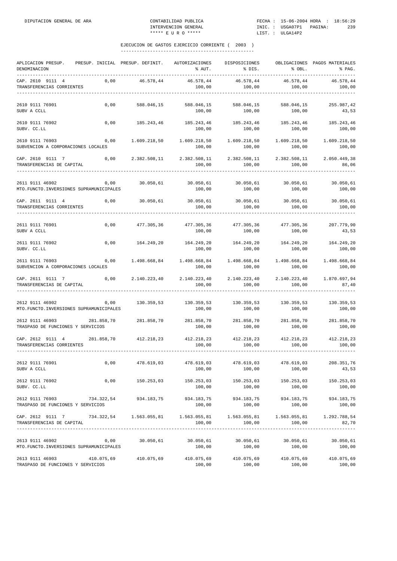| APLICACION PRESUP.<br>DENOMINACION                                    |            | PRESUP. INICIAL PRESUP. DEFINIT. | AUTORIZACIONES<br>% AUT. | DISPOSICIONES<br>% DIS. | % OBL.                 | OBLIGACIONES PAGOS MATERIALES<br>% PAG. |
|-----------------------------------------------------------------------|------------|----------------------------------|--------------------------|-------------------------|------------------------|-----------------------------------------|
| CAP. 2610 9111 4<br>TRANSFERENCIAS CORRIENTES                         | 0,00       | 46.578,44                        | 46.578,44<br>100,00      | 46.578,44<br>100,00     | 46.578,44<br>100,00    | 46.578,44<br>100,00                     |
| 2610 9111 76901<br>SUBV A CCLL                                        | 0,00       | 588.046,15                       | 588.046,15<br>100,00     | 588.046,15<br>100,00    | 588.046,15<br>100,00   | 255.987,42<br>43,53                     |
| 2610 9111 76902<br>SUBV. CC.LL                                        | 0,00       | 185.243,46                       | 185.243,46<br>100,00     | 185.243,46<br>100,00    | 185.243,46<br>100,00   | 185.243,46<br>100,00                    |
| 2610 9111 76903<br>SUBVENCION A CORPORACIONES LOCALES                 | 0,00       | 1.609.218,50                     | 1.609.218,50<br>100,00   | 1.609.218,50<br>100,00  | 1.609.218,50<br>100,00 | 1.609.218,50<br>100,00                  |
| CAP. 2610 9111 7<br>TRANSFERENCIAS DE CAPITAL                         | 0,00       | 2.382.508,11                     | 2.382.508,11<br>100,00   | 2.382.508,11<br>100,00  | 2.382.508,11<br>100,00 | 2.050.449,38<br>86,06                   |
| 2611 9111 46902<br>MTO. FUNCTO. INVERSIONES SUPRAMUNICIPALES          | 0,00       | 30.050,61                        | 30.050,61<br>100,00      | 30.050,61<br>100,00     | 30.050,61<br>100,00    | 30.050,61<br>100,00                     |
| CAP. 2611 9111 4<br>TRANSFERENCIAS CORRIENTES                         | 0,00       | 30.050,61                        | 30.050,61<br>100,00      | 30.050,61<br>100,00     | 30.050,61<br>100,00    | 30.050,61<br>100,00                     |
| 2611 9111 76901<br>SUBV A CCLL                                        | 0,00       | 477.305,36                       | 477.305,36<br>100,00     | 477.305,36<br>100,00    | 477.305,36<br>100,00   | 207.779,90<br>43,53                     |
| 2611 9111 76902<br>SUBV. CC.LL                                        | 0,00       | 164.249,20                       | 164.249,20<br>100,00     | 164.249,20<br>100,00    | 164.249,20<br>100,00   | 164.249,20<br>100,00                    |
| 2611 9111 76903<br>SUBVENCION A CORPORACIONES LOCALES                 | 0,00       | 1.498.668,84                     | 1.498.668,84<br>100,00   | 1.498.668,84<br>100,00  | 1.498.668,84<br>100,00 | 1.498.668,84<br>100,00                  |
| CAP. 2611 9111 7<br>TRANSFERENCIAS DE CAPITAL                         | 0,00       | 2.140.223,40                     | 2.140.223,40<br>100,00   | 2.140.223,40<br>100,00  | 2.140.223,40<br>100,00 | 1.870.697,94<br>87,40                   |
| 2612 9111 46902<br>MTO. FUNCTO. INVERSIONES SUPRAMUNICIPALES          | 0,00       | 130.359,53                       | 130.359,53<br>100,00     | 130.359,53<br>100,00    | 130.359,53<br>100,00   | 130.359,53<br>100,00                    |
| 2612 9111 46903<br>TRASPASO DE FUNCIONES Y SERVICIOS                  | 281.858,70 | 281.858,70                       | 281.858,70<br>100,00     | 281.858,70<br>100,00    | 281.858,70<br>100,00   | 281.858,70<br>100,00                    |
| CAP. 2612 9111 4<br>TRANSFERENCIAS CORRIENTES                         | 281.858,70 | 412.218,23                       | 412.218,23<br>100,00     | 412.218,23<br>100,00    | 412.218,23<br>100,00   | 412.218,23<br>100,00                    |
| 2612 9111 76901<br>SUBV A CCLL                                        | 0,00       | 478.619,03                       | 478.619,03<br>100,00     | 478.619,03<br>100,00    | 478.619,03<br>100,00   | 208.351,76<br>43,53                     |
| 2612 9111 76902<br>SUBV. CC.LL                                        | 0,00       | 150.253,03                       | 150.253,03<br>100,00     | 150.253,03<br>100,00    | 150.253,03<br>100,00   | 150.253,03<br>100,00                    |
| 2612 9111 76903<br>TRASPASO DE FUNCIONES Y SERVICIOS                  | 734.322,54 | 934.183,75                       | 934.183,75<br>100,00     | 934.183,75<br>100,00    | 934.183,75<br>100,00   | 934.183,75<br>100,00                    |
| CAP. 2612 9111 7 734.322,54 1.563.055,81<br>TRANSFERENCIAS DE CAPITAL |            |                                  | 100,00                   | 100,00                  | 1.563.055,81<br>100,00 | 1.292.788,54<br>82,70                   |
| 2613 9111 46902<br>MTO. FUNCTO. INVERSIONES SUPRAMUNICIPALES          | 0,00       | 30.050,61                        | 30.050,61<br>100,00      | 30.050,61<br>100,00     | 30.050,61<br>100,00    | 30.050,61<br>100,00                     |
| 2613 9111 46903<br>TRASPASO DE FUNCIONES Y SERVICIOS                  | 410.075,69 | 410.075,69                       | 410.075,69<br>100,00     | 410.075,69<br>100,00    | 410.075,69<br>100,00   | 410.075,69<br>100,00                    |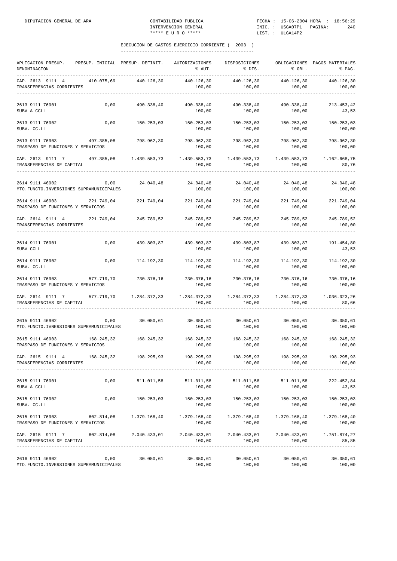| APLICACION PRESUP.<br>DENOMINACION<br>______________                                                                              |            | PRESUP. INICIAL PRESUP. DEFINIT. | % AUT.                                                                                               | AUTORIZACIONES DISPOSICIONES<br>% DIS.                | % OBL.                 | OBLIGACIONES PAGOS MATERIALES<br>% PAG. |
|-----------------------------------------------------------------------------------------------------------------------------------|------------|----------------------------------|------------------------------------------------------------------------------------------------------|-------------------------------------------------------|------------------------|-----------------------------------------|
| CAP. 2613 9111 4<br>TRANSFERENCIAS CORRIENTES                                                                                     | 410.075,69 | 440.126,30                       | 440.126,30<br>100,00                                                                                 | 440.126,30<br>100,00                                  | 440.126,30<br>100,00   | 440.126,30<br>100,00                    |
| 2613 9111 76901<br>SUBV A CCLL                                                                                                    | 0,00       | 490.338,40                       | 490.338,40<br>100,00                                                                                 | 490.338,40<br>100,00                                  | 490.338,40<br>100,00   | 213.453,42<br>43,53                     |
| 2613 9111 76902<br>SUBV. CC.LL                                                                                                    | 0,00       | 150.253,03                       | 100,00                                                                                               | 150.253,03 150.253,03 150.253,03 150.253,03<br>100,00 | 100,00                 | 100,00                                  |
| 2613 9111 76903 497.385,08<br>TRASPASO DE FUNCIONES Y SERVICIOS                                                                   |            | 798.962,30                       | 798.962,30 798.962,30 798.962,30 798.962,30<br>100,00                                                | 100,00                                                | 100,00                 | 100,00                                  |
| CAP. 2613 9111 7 497.385,08 1.439.553,73<br>TRANSFERENCIAS DE CAPITAL                                                             |            |                                  | 100,00                                                                                               | 100,00                                                | 100,00                 | 80,76                                   |
| 2614 9111 46902<br>MTO. FUNCTO. INVERSIONES SUPRAMUNICIPALES                                                                      | 0,00       | 24.040,48                        | 24.040,48<br>100,00                                                                                  | 24.040,48<br>100,00                                   | 24.040,48              | 24.040,48<br>100,00 100,00              |
| 2614 9111 46903<br>TRASPASO DE FUNCIONES Y SERVICIOS                                                                              |            |                                  | $221.749.04$ $221.749.04$ $221.749.04$ $221.749.04$ $221.749.04$ $221.749.04$ $221.749.04$<br>100,00 | 100,00                                                | 100,00                 | 100,00                                  |
| CAP. 2614 9111 4 221.749,04 245.789,52<br>TRANSFERENCIAS CORRIENTES                                                               |            |                                  | 100,00                                                                                               | 245.789,52 245.789,52 245.789,52 245.789,52<br>100,00 | 100,00                 | 100,00                                  |
| 2614 9111 76901<br>SUBV CCLL                                                                                                      |            | $0,00$ 439.803,87                | 100,00                                                                                               | 439.803,87 439.803,87 439.803,87 191.454,80<br>100,00 | 100,00                 | 43,53                                   |
| 2614 9111 76902<br>SUBV. CC.LL                                                                                                    | 0,00       | 114.192,30                       | $114.192,30$ $114.192,30$ $114.192,30$ $114.192,30$<br>100,00                                        | 100,00                                                | 100,00                 | 100,00                                  |
| 2614 9111 76903 577.719,70 730.376,16<br>TRASPASO DE FUNCIONES Y SERVICIOS                                                        |            |                                  | 730.376,16<br>100,00                                                                                 | 730.376,16<br>100,00                                  | 730.376,16<br>100,00   | 730.376,16<br>100,00                    |
| CAP. 2614 9111 7 577.719,70 1.284.372,33<br>TRANSFERENCIAS DE CAPITAL                                                             |            |                                  | $1.284.372.33$ $1.284.372.33$ $1.284.372.33$<br>100,00                                               | 100,00                                                | 100,00                 | 1.036.023,26<br>80,66                   |
| 2615 9111 46902<br>MTO. FUNCTO. IVNERSIONES SUPRAMUNICIPALES                                                                      |            | $0,00$ 30.050,61                 | $30.050,61$ $30.050,61$ $30.050,61$ $30.050,61$ $30.050,61$<br>100,00                                | 100,00                                                | 100,00                 | 100,00                                  |
| 2615 9111 46903 168.245,32 168.245,32 168.245,32 168.245,32 168.245,32 168.245,32 168.245,32<br>TRASPASO DE FUNCIONES Y SERVICIOS |            |                                  | 100,00                                                                                               | 100,00                                                | 100,00                 | 100,00                                  |
| CAP. 2615 9111 4<br>TRANSFERENCIAS CORRIENTES                                                                                     | 168.245,32 | 198.295,93                       | 198.295,93<br>100,00                                                                                 | 198.295,93<br>100,00                                  | 198.295,93<br>100,00   | 198.295,93<br>100,00                    |
| 2615 9111 76901<br>SUBV A CCLL                                                                                                    | 0,00       | 511.011,58                       | 511.011,58<br>100,00                                                                                 | 511.011,58<br>100,00                                  | 511.011,58<br>100,00   | 222.452,84<br>43,53                     |
| 2615 9111 76902<br>SUBV. CC.LL                                                                                                    | 0,00       | 150.253,03                       | 150.253,03<br>100,00                                                                                 | 150.253,03<br>100,00                                  | 150.253,03<br>100,00   | 150.253,03<br>100,00                    |
| 2615 9111 76903 602.814,08<br>TRASPASO DE FUNCIONES Y SERVICIOS                                                                   |            | 1.379.168,40                     | 1.379.168,40<br>100,00                                                                               | 1.379.168,40<br>100,00                                | 1.379.168,40<br>100,00 | 1.379.168,40<br>100,00                  |
| CAP. 2615 9111 7 602.814,08<br>TRANSFERENCIAS DE CAPITAL                                                                          |            | 2.040.433,01                     | 2.040.433,01<br>100,00                                                                               | 2.040.433,01<br>100,00                                | 2.040.433,01<br>100,00 | 1.751.874,27<br>85,85                   |
| 2616 9111 46902<br>MTO. FUNCTO. INVERSIONES SUPRAMUNICIPALES                                                                      | 0,00       | 30.050,61                        | 30.050,61<br>100,00                                                                                  | 30.050, 61<br>100,00                                  | 30.050,61<br>100,00    | 30.050,61<br>100,00                     |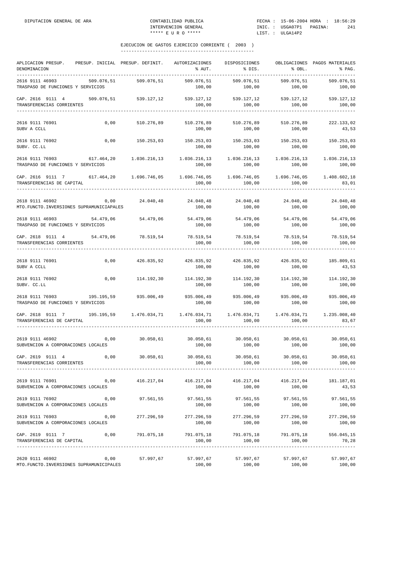| APLICACION PRESUP.<br>DENOMINACION                                                                                                                                      | PRESUP. INICIAL PRESUP. DEFINIT. |                       | AUTORIZACIONES<br>% AUT.                                                   | DISPOSICIONES<br>$\frac{1}{2}$ DIS.                                   | $\&$ OBL.              | OBLIGACIONES PAGOS MATERIALES<br>$\mathcal{E}$ $\mathcal{E}$ $\mathcal{E}$ $\mathcal{E}$ $\mathcal{E}$ $\mathcal{E}$ $\mathcal{E}$ $\mathcal{E}$ $\mathcal{E}$ $\mathcal{E}$ $\mathcal{E}$ $\mathcal{E}$ $\mathcal{E}$ $\mathcal{E}$ $\mathcal{E}$ $\mathcal{E}$ $\mathcal{E}$ $\mathcal{E}$ $\mathcal{E}$ $\mathcal{E}$ $\mathcal{E}$ $\mathcal{E}$ $\mathcal{E}$ $\mathcal{E}$ $\mathcal{$ |
|-------------------------------------------------------------------------------------------------------------------------------------------------------------------------|----------------------------------|-----------------------|----------------------------------------------------------------------------|-----------------------------------------------------------------------|------------------------|----------------------------------------------------------------------------------------------------------------------------------------------------------------------------------------------------------------------------------------------------------------------------------------------------------------------------------------------------------------------------------------------|
| 2616 9111 46903<br>TRASPASO DE FUNCIONES Y SERVICIOS                                                                                                                    | 509.076,51                       | 509.076,51            | 509.076,51<br>100,00                                                       | 509.076,51<br>100,00                                                  | 509.076,51<br>100,00   | 509.076,51<br>100,00                                                                                                                                                                                                                                                                                                                                                                         |
| CAP. 2616 9111 4<br>TRANSFERENCIAS CORRIENTES<br>--------------------                                                                                                   |                                  | 509.076,51 539.127,12 | 100,00                                                                     | 539.127,12 539.127,12 539.127,12 539.127,12<br>100,00                 | 100,00                 | 100,00                                                                                                                                                                                                                                                                                                                                                                                       |
| 2616 9111 76901<br>SUBV A CCLL                                                                                                                                          | 0,00                             | 510.276,89            | 510.276,89<br>100,00                                                       | 510.276,89<br>100,00                                                  | 510.276,89<br>100,00   | 222.133,02<br>43,53                                                                                                                                                                                                                                                                                                                                                                          |
| 2616 9111 76902<br>SUBV. CC.LL                                                                                                                                          |                                  | $0,00$ 150.253,03     | 150.253,03 150.253,03 150.253,03 150.253,03<br>100,00                      | 100,00                                                                | 100,00                 | 100,00                                                                                                                                                                                                                                                                                                                                                                                       |
| 2616 9111 76903<br>TRASPASO DE FUNCIONES Y SERVICIOS                                                                                                                    | 617.464,20 1.036.216,13          |                       | 100,00                                                                     | 1.036.216,13 1.036.216,13<br>100,00                                   | 1.036.216,13<br>100,00 | 1.036.216,13<br>100,00                                                                                                                                                                                                                                                                                                                                                                       |
| CAP. 2616 9111 7<br>TRANSFERENCIAS DE CAPITAL                                                                                                                           | 617.464,20   1.696.746,05        |                       | 100,00                                                                     | $1.696.746.05$ $1.696.746.05$ $1.696.746.05$ $1.408.602.18$<br>100,00 | 100,00<br>__________   | 83,01                                                                                                                                                                                                                                                                                                                                                                                        |
| 2618 9111 46902<br>MTO. FUNCTO. INVERSIONES SUPRAMUNICIAPALES                                                                                                           | 0,00                             | 24.040,48             | 24.040,48<br>100,00                                                        | 24.040,48<br>100,00                                                   | 24.040,48<br>100,00    | 24.040,48<br>100,00                                                                                                                                                                                                                                                                                                                                                                          |
| 2618 9111 46903<br>TRASPASO DE FUNCIONES Y SERVICIOS                                                                                                                    | 54.479,06                        | 54.479,06             | 54.479,06<br>100,00                                                        | 54.479,06 54.479,06 54.479,06<br>100,00                               | 100,00                 | 100,00                                                                                                                                                                                                                                                                                                                                                                                       |
| CAP. 2618 9111 4 54.479,06 78.519,54<br>TRANSFERENCIAS CORRIENTES                                                                                                       |                                  |                       | 78.519,54 78.519,54 78.519,54 78.519,54<br>100,00                          | 100,00                                                                | 100,00                 | 100,00                                                                                                                                                                                                                                                                                                                                                                                       |
| 2618 9111 76901<br>SUBV A CCLL                                                                                                                                          | 0,00                             |                       | $426.835,92$ $426.835,92$ $426.835,92$ $426.835,92$ $185.809,61$<br>100,00 | 100,00                                                                | 100,00                 | 43,53                                                                                                                                                                                                                                                                                                                                                                                        |
| 2618 9111 76902<br>SUBV. CC.LL                                                                                                                                          | 0,00                             | 114.192,30            | 114.192,30<br>100,00                                                       | 114.192,30<br>100,00                                                  | 114.192,30<br>100,00   | 114.192,30<br>100,00                                                                                                                                                                                                                                                                                                                                                                         |
| 2618 9111 76903<br>TRASPASO DE FUNCIONES Y SERVICIOS                                                                                                                    | 195.195,59                       | 935.006,49            | 935.006,49<br>100,00                                                       | 935.006,49<br>100,00                                                  | 935.006,49<br>100,00   | 935.006,49<br>100,00                                                                                                                                                                                                                                                                                                                                                                         |
| $\verb CAP. 2618 9111 7hs 195.195,59 1.476.034,71 1.476.034,71 1.476.034,71 1.476.034,71 1.476.034,71 1.235.008,40]$<br>TRANSFERENCIAS DE CAPITAL<br>------------------ |                                  |                       | 100,00                                                                     | 100,00                                                                | 100,00                 | 83,67                                                                                                                                                                                                                                                                                                                                                                                        |
| 2619 9111 46902<br>SUBVENCION A CORPORACIONES LOCALES                                                                                                                   | 0,00                             | 30.050,61             | 100,00                                                                     | $30.050,61$ $30.050,61$ $30.050,61$ $30.050,61$<br>100,00             | 100,00                 | 100,00                                                                                                                                                                                                                                                                                                                                                                                       |
| CAP. 2619 9111 4<br>TRANSFERENCIAS CORRIENTES                                                                                                                           | 0,00                             | 30.050,61             | 30.050,61<br>100,00                                                        | 30.050,61<br>100,00                                                   | 30.050,61<br>100,00    | 30.050,61<br>100,00                                                                                                                                                                                                                                                                                                                                                                          |
| 2619 9111 76901<br>SUBVENCION A CORPORACIONES LOCALES                                                                                                                   | 0,00                             | 416.217,04            | 416.217,04<br>100,00                                                       | 416.217,04<br>100,00                                                  | 416.217,04<br>100,00   | 181.187,01<br>43,53                                                                                                                                                                                                                                                                                                                                                                          |
| 2619 9111 76902<br>SUBVENCION A CORPORACIONES LOCALES                                                                                                                   | 0,00                             | 97.561,55             | 97.561,55<br>100,00                                                        | 97.561,55<br>100,00                                                   | 97.561,55<br>100,00    | 97.561,55<br>100,00                                                                                                                                                                                                                                                                                                                                                                          |
| 2619 9111 76903<br>SUBVENCION A CORPORACIONES LOCALES                                                                                                                   | 0,00                             | 277.296,59            | 277.296,59<br>100,00                                                       | 277.296,59<br>100,00                                                  | 277.296,59<br>100,00   | 277.296,59<br>100,00                                                                                                                                                                                                                                                                                                                                                                         |
| CAP. 2619 9111 7<br>TRANSFERENCIAS DE CAPITAL                                                                                                                           | 0,00                             | 791.075,18            | 791.075,18<br>100,00                                                       | 791.075,18<br>100,00                                                  | 791.075,18<br>100,00   | 556.045,15<br>70,28                                                                                                                                                                                                                                                                                                                                                                          |
| 2620 9111 46902<br>MTO. FUNCTO. INVERSIONES SUPRAMUNICIPALES                                                                                                            | 0,00                             | 57.997,67             | 57.997,67<br>100,00                                                        | 57.997,67<br>100,00                                                   | 57.997,67<br>100,00    | 57.997,67<br>100,00                                                                                                                                                                                                                                                                                                                                                                          |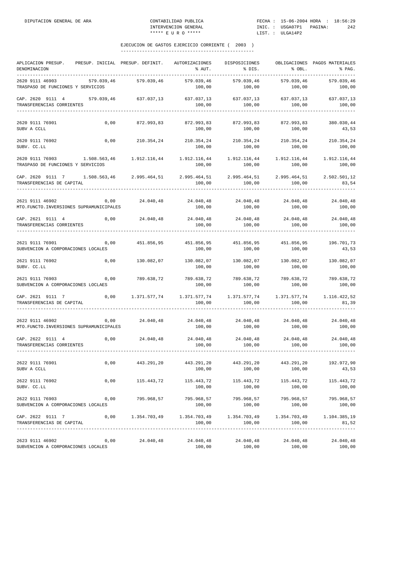| APLICACION PRESUP.<br>DENOMINACION                                                                                                                                                                                                                                | PRESUP. INICIAL PRESUP. DEFINIT. |                       | AUTORIZACIONES<br>% AUT.                                              | DISPOSICIONES<br>% DIS.                          | % OBL.                 | OBLIGACIONES PAGOS MATERIALES<br>% PAG. |
|-------------------------------------------------------------------------------------------------------------------------------------------------------------------------------------------------------------------------------------------------------------------|----------------------------------|-----------------------|-----------------------------------------------------------------------|--------------------------------------------------|------------------------|-----------------------------------------|
| 2620 9111 46903<br>TRASPASO DE FUNCIONES Y SERVICIOS                                                                                                                                                                                                              | 579.039,46                       | 579.039,46            | 579.039,46<br>100,00                                                  | 579.039.46<br>100,00                             | 579.039,46<br>100,00   | 579.039,46<br>100,00                    |
| CAP. 2620 9111 4<br>TRANSFERENCIAS CORRIENTES                                                                                                                                                                                                                     |                                  | 579.039,46 637.037,13 | 100,00                                                                | 637.037,13 637.037,13<br>100,00                  | 637.037,13<br>100,00   | 637.037,13<br>100,00                    |
| 2620 9111 76901<br>SUBV A CCLL                                                                                                                                                                                                                                    | 0,00                             | 872.993,83            | 872.993,83<br>100,00                                                  | 872.993,83<br>100,00                             | 872.993,83<br>100,00   | 380.030,44<br>43,53                     |
| 2620 9111 76902<br>SUBV. CC.LL                                                                                                                                                                                                                                    | 0,00                             | 210.354,24            | 210.354,24 210.354,24 210.354,24<br>100,00                            | 100,00                                           | 100,00                 | 210.354,24<br>100,00                    |
| 2620 9111 76903 1.508.563,46<br>TRASPASO DE FUNCIONES Y SERVICIOS                                                                                                                                                                                                 |                                  | 1.912.116,44          | 1.912.116,44<br>100,00                                                | 1.912.116,44<br>100,00                           | 1.912.116,44<br>100,00 | 1.912.116,44<br>100,00                  |
| CAP. 2620 9111 7 1.508.563,46 2.995.464,51<br>TRANSFERENCIAS DE CAPITAL                                                                                                                                                                                           |                                  |                       | 100,00                                                                | 2.995.464,51 2.995.464,51 2.995.464,51<br>100,00 | 100,00                 | 2.502.501,12<br>83,54                   |
| 2621 9111 46902<br>MTO. FUNCTO. INVERSIONES SUPRAMUNICIPALES                                                                                                                                                                                                      | 0,00                             | 24.040,48             | 24.040,48<br>100,00                                                   | 24.040,48<br>100,00                              | 24.040,48<br>100,00    | 24.040,48<br>100,00                     |
| CAP. 2621 9111 4 0,00<br>TRANSFERENCIAS CORRIENTES                                                                                                                                                                                                                |                                  | 24.040,48             | 100,00                                                                | 24.040,48 24.040,48 24.040,48<br>100,00          | 100,00                 | 24.040,48<br>100,00                     |
| 2621 9111 76901<br>SUBVENCION A CORPORACIONES LOCALES                                                                                                                                                                                                             | 0,00                             |                       | 451.856,95 451.856,95 451.856,95 451.856,95<br>100,00                 | 100,00                                           | 100,00                 | 196.701,73<br>43,53                     |
| 2621 9111 76902<br>SUBV. CC.LL                                                                                                                                                                                                                                    | 0,00                             | 130.082,07            | 100,00                                                                | 130.082,07 130.082,07<br>100,00                  | 130.082,07<br>100,00   | 130.082,07<br>100,00                    |
| 2621 9111 76903<br>SUBVENCION A CORPORACIONES LOCLAES                                                                                                                                                                                                             | 0,00                             | 789.638,72            | 789.638,72<br>100,00                                                  | 789.638,72<br>100,00                             | 789.638,72<br>100,00   | 789.638,72<br>100,00                    |
| CAP. 2621 9111 7<br>TRANSFERENCIAS DE CAPITAL                                                                                                                                                                                                                     |                                  |                       | $0,00$ 1.371.577,74 1.371.577,74 1.371.577,74 1.371.577,74<br>100,00  | 100,00                                           | 100,00                 | 1.116.422,52<br>81,39                   |
| 2622 9111 46902<br>MTO. FUNCTO. INVERSIONES SUPRAMUNICIPALES                                                                                                                                                                                                      | 0,00                             | 24.040,48             | 24.040,48<br>100,00                                                   | 24.040,48<br>100,00                              | 24.040,48<br>100,00    | 24.040,48<br>100,00                     |
| $\verb CAP. 2622 9111 4   0,00 24.040,48 24.040,48 24.040,48 24.040,48 24.040,48 24.040,48 24.040,48 24.040,48 24.040,48 24.040,48 24.040,48 24.040,48 24.040,48 24.040,48 24.040,48 24.040,48 24.040,48 24.040,48 24.040,48 24.040$<br>TRANSFERENCIAS CORRIENTES |                                  |                       | 100,00                                                                | 100,00                                           | 100,00                 | 100,00                                  |
| 2622 9111 76901<br>SUBV A CCLL                                                                                                                                                                                                                                    | 0,00                             | 443.291,20            | 443.291,20<br>100,00                                                  | 443.291,20<br>100,00                             | 443.291,20<br>100,00   | 192.972,90<br>43,53                     |
| 2622 9111 76902<br>SUBV. CC.LL                                                                                                                                                                                                                                    | 0,00                             | 115.443,72            | 115.443,72<br>100,00                                                  | 115.443,72<br>100,00                             | 115.443,72<br>100,00   | 115.443,72<br>100,00                    |
| 2622 9111 76903<br>SUBVENCION A CORPORACIONES LOCALES                                                                                                                                                                                                             | 0,00                             | 795.968,57            | 795.968,57<br>100,00                                                  | 795.968,57<br>100,00                             | 795.968,57<br>100,00   | 795.968,57<br>100,00                    |
| CAP. 2622 9111 7<br>TRANSFERENCIAS DE CAPITAL                                                                                                                                                                                                                     | 0,00                             |                       | $1.354.703.49$ $1.354.703.49$ $1.354.703.49$ $1.354.703.49$<br>100,00 | 100,00                                           | 100,00                 | 1.104.385,19<br>81,52                   |
| 2623 9111 46902<br>SUBVENCION A CORPORACIONES LOCALES                                                                                                                                                                                                             | 0,00                             | 24.040,48             | 24.040,48<br>100,00                                                   | 24.040,48<br>100,00                              | 24.040,48<br>100,00    | 24.040,48<br>100,00                     |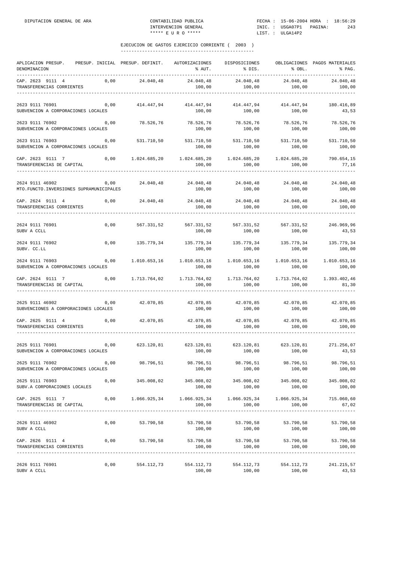| APLICACION PRESUP.<br>DENOMINACION                           |      | PRESUP. INICIAL PRESUP. DEFINIT. | AUTORIZACIONES<br>% AUT.                                             | DISPOSICIONES<br>% DIS.                    | % OBL.                          | OBLIGACIONES PAGOS MATERIALES<br>% PAG. |
|--------------------------------------------------------------|------|----------------------------------|----------------------------------------------------------------------|--------------------------------------------|---------------------------------|-----------------------------------------|
| CAP. 2623 9111 4<br>TRANSFERENCIAS CORRIENTES                | 0,00 | 24.040,48                        | 24.040,48<br>100,00                                                  | 24.040,48<br>100,00                        | 24.040,48<br>100,00             | 24.040,48<br>100,00                     |
| 2623 9111 76901<br>SUBVENCION A CORPORACIONES LOCALES        | 0,00 | 414.447,94                       | 414.447,94<br>100,00                                                 | 414.447,94<br>100,00                       | 414.447,94<br>100,00            | 180.416,89<br>43,53                     |
| 2623 9111 76902<br>SUBVENCION A CORPORACIONES LOCALES        | 0,00 | 78.526,76                        | 78.526,76<br>100,00                                                  | 78.526,76<br>100,00                        | 78.526,76<br>100,00             | 78.526,76<br>100,00                     |
| 2623 9111 76903<br>SUBVENCION A CORPORACIONES LOCALES        | 0,00 | 531.710,50                       | 531.710,50<br>100,00                                                 | 531.710,50<br>100,00                       | 531.710,50<br>100,00            | 531.710,50<br>100,00                    |
| CAP. 2623 9111 7<br>TRANSFERENCIAS DE CAPITAL                | 0,00 | 1.024.685,20                     | 1.024.685,20<br>100,00                                               | 1.024.685,20<br>100,00                     | 1.024.685,20<br>100,00          | 790.654,15<br>77,16                     |
| 2624 9111 46902<br>MTO. FUNCTO. INVERSIONES SUPRAMUNICIPALES | 0,00 | 24.040,48                        | 24.040,48<br>100,00                                                  | 24.040,48<br>100,00                        | 24.040,48<br>100,00             | 24.040,48<br>100,00                     |
| CAP. 2624 9111 4<br>TRANSFERENCIAS CORRIENTES                | 0,00 | 24.040,48                        | 24.040,48<br>100,00                                                  | 24.040,48<br>100,00                        | 24.040, 48<br>100,00            | 24.040,48<br>100,00                     |
| 2624 9111 76901<br>SUBV A CCLL                               | 0,00 | 567.331,52                       | 567.331,52<br>100,00                                                 | 567.331,52<br>100,00                       | 567.331,52<br>100,00            | 246.969,96<br>43,53                     |
| 2624 9111 76902<br>SUBV. CC.LL                               | 0,00 | 135.779,34                       | 135.779,34<br>100,00                                                 | 135.779,34<br>100,00                       | 135.779,34<br>100,00            | 135.779,34<br>100,00                    |
| 2624 9111 76903<br>SUBVENCION A CORPORACIONES LOCALES        | 0,00 | 1.010.653,16                     | 1.010.653,16<br>100,00                                               | 1.010.653,16<br>100,00                     | 1.010.653,16<br>100,00          | 1.010.653,16<br>100,00                  |
| CAP. 2624 9111 7<br>TRANSFERENCIAS DE CAPITAL                | 0,00 | 1.713.764,02                     | 1.713.764,02<br>100,00                                               | 1.713.764,02<br>100,00                     | 1.713.764,02<br>100,00          | 1.393.402,46<br>81,30                   |
| 2625 9111 46902<br>SUBVENCIONES A CORPORACIONES LOCALES      | 0,00 | 42.070,85                        | 42.070,85<br>100,00                                                  | 42.070,85<br>100,00                        | 42.070,85<br>100,00             | 42.070,85<br>100,00                     |
| CAP. 2625 9111 4<br>TRANSFERENCIAS CORRIENTES                | 0,00 | 42.070,85                        | 42.070,85<br>100,00                                                  | 42.070,85<br>100,00                        | 42.070,85<br>100,00             | 42.070,85<br>100,00                     |
| 2625 9111 76901<br>SUBVENCION A CORPORACIONES LOCALES        | 0,00 | 623.120,81                       | 623.120,81<br>100,00                                                 | 623.120,81<br>100,00                       | 623.120,81<br>100,00            | 271.256,07<br>43,53                     |
| 2625 9111 76902<br>SUBVENCION A CORPORACIONES LOCALES        | 0,00 | 98.796,51                        | 98.796,51<br>100,00                                                  | 98.796,51<br>100,00                        | 98.796,51<br>100,00             | 98.796,51<br>100,00                     |
| 2625 9111 76903<br>SUBV.A CORPORACIONES LOCALES              | 0,00 | 345.008,02                       | 100,00                                                               | 345.008,02 345.008,02 345.008,02<br>100,00 | 100,00                          | 345.008,02<br>100,00                    |
| CAP. 2625 9111 7<br>TRANSFERENCIAS DE CAPITAL                |      |                                  | $0,00$ 1.066.925,34 1.066.925,34 1.066.925,34 1.066.925,34<br>100,00 | 100,00                                     | 100,00                          | 715.060,60<br>67,02                     |
| 2626 9111 46902<br>SUBV A CCLL                               | 0,00 | 53.790,58                        | 53.790,58<br>100,00                                                  | 53.790,58<br>100,00                        | 53.790,58<br>100,00             | 53.790,58<br>100,00                     |
| CAP. 2626 9111 4<br>TRANSFERENCIAS CORRIENTES                |      | 0,00 53.790,58                   | 53.790,58                                                            | 53.790,58 53.790,58 53.790,58              |                                 | 100,00                                  |
| 2626 9111 76901<br>SUBV A CCLL                               | 0,00 | 554.112,73                       | 554.112,73<br>100,00                                                 | 100,00                                     | 554.112,73 554.112,73<br>100,00 | 241.215,57<br>43,53                     |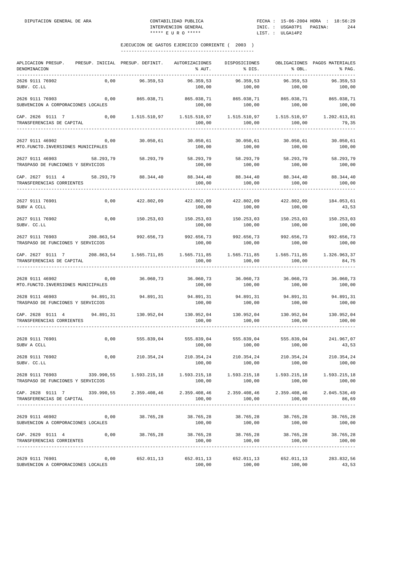| APLICACION PRESUP.<br>DENOMINACION<br>___________                                                                                              |      | PRESUP. INICIAL PRESUP. DEFINIT.                                               | AUTORIZACIONES DISPOSICIONES<br>% AUT.                                | % DIS.                                  | % OBL.                          | OBLIGACIONES PAGOS MATERIALES<br>% PAG. |
|------------------------------------------------------------------------------------------------------------------------------------------------|------|--------------------------------------------------------------------------------|-----------------------------------------------------------------------|-----------------------------------------|---------------------------------|-----------------------------------------|
| 2626 9111 76902<br>SUBV. CC.LL                                                                                                                 |      | 0,00 96.359,53                                                                 | 96.359,53<br>100,00                                                   | 96.359,53<br>100,00                     | 96.359,53<br>100,00             | 96.359,53<br>100,00                     |
| 2626 9111 76903<br>SUBVENCION A CORPORACIONES LOCALES                                                                                          | 0,00 |                                                                                | 865.038,71 865.038,71 865.038,71 865.038,71 865.038,71                | 100,00 100,00                           | 100,00                          | 100,00                                  |
| CAP. 2626 9111 7 0,00 1.515.510,97 1.515.510,97 1.515.510,97 1.515.510,97 1.202.613,81<br>TRANSFERENCIAS DE CAPITAL<br>_______________________ |      |                                                                                | 100,00                                                                | 100,00                                  | 100,00                          | 79,35                                   |
| 2627 9111 46902 0,00<br>MTO. FUNCTO. INVERSIONES MUNICIPALES                                                                                   |      |                                                                                | $30.050,61$ $30.050,61$ $30.050,61$ $30.050,61$ $30.050,61$<br>100,00 | 100,00                                  | 100,00                          | 30.050,61<br>100,00                     |
| 2627 9111 46903 58.293,79 58.293,79 58.293,79 58.293,79<br>TRASPASO DE FUNCIONES Y SERVICIOS                                                   |      |                                                                                | 100,00                                                                | 100,00                                  | 100,00                          | 58.293,79 58.293,79<br>100,00           |
| CAP. 2627 9111 4 58.293,79 88.344,40<br>TRANSFERENCIAS CORRIENTES                                                                              |      |                                                                                | 88.344,40 88.344,40 88.344,40<br>100,00                               | 100,00                                  | 100,00                          | 88.344,40<br>100,00                     |
| 2627 9111 76901<br>SUBV A CCLL                                                                                                                 | 0,00 | 422.802,09                                                                     | 422.802,09 422.802,09 422.802,09<br>100,00                            | 100,00                                  | 100,00                          | 184.053,61<br>43,53                     |
| 2627 9111 76902<br>SUBV. CC.LL                                                                                                                 | 0,00 |                                                                                | 150.253,03 150.253,03 150.253,03 150.253,03<br>100,00                 | 100,00                                  | 100,00                          | 150.253,03<br>100,00                    |
| 2627 9111 76903 208.863,54 992.656,73 992.656,73 992.656,73 992.656,73<br>TRASPASO DE FUNCIONES Y SERVICIOS                                    |      |                                                                                | 100,00                                                                | 100,00                                  | 100,00                          | 992.656,73<br>100,00                    |
| CAP. 2627 9111 7 208.863,54 1.565.711,85 1.565.711,85 1.565.711,85 1.565.711,85 1.565.711,85 1.326.963,37<br>TRANSFERENCIAS DE CAPITAL         |      |                                                                                | 100,00                                                                | 100,00                                  | 100,00                          | 84,75                                   |
| 2628 9111 46902<br>MTO. FUNCTO. INVERSIONES MUNICIPALES                                                                                        |      | $0,00$ $36.060,73$ $36.060,73$ $36.060,73$ $36.060,73$ $36.060,73$ $36.060,73$ |                                                                       |                                         |                                 | 100,00                                  |
| 2628 9111 46903<br>TRASPASO DE FUNCIONES Y SERVICIOS                                                                                           |      | 94.891,31 94.891,31 94.891,31 94.891,31 94.891,31                              | 100,00                                                                | 100,00                                  | 100,00                          | 94.891,31<br>100,00                     |
| CAP. 2628 9111 4 94.891,31 130.952,04 130.952,04 130.952,04 130.952,04 130.952,04<br>TRANSFERENCIAS CORRIENTES                                 |      |                                                                                | 100,00                                                                | 100,00                                  | 100,00                          | 100,00                                  |
| 2628 9111 76901<br>SUBV A CCLL                                                                                                                 |      | $0,00$ 555.839,04 555.839,04 555.839,04 555.839,04 241.967,07                  | 100,00                                                                | $100,00$ 100,00                         |                                 | 43,53                                   |
| 2628 9111 76902<br>SUBV. CC.LL                                                                                                                 | 0,00 | 210.354,24                                                                     | 210.354,24<br>100,00                                                  | 210.354,24<br>100,00                    | 210.354,24<br>100,00            | 210.354,24<br>100,00                    |
| 2628 9111 76903 339.990,55 1.593.215,18 1.593.215,18 1.593.215,18 1.593.215,18 1.593.215,18 1.593.215,18<br>TRASPASO DE FUNCIONES Y SERVICIOS  |      |                                                                                | 100,00                                                                |                                         | 100,00 100,00                   | 100,00                                  |
| CAP. 2628 9111 7 339.990,55 2.359.408,46 2.359.408,46 2.359.408,46 2.359.408,46 2.045.536,49<br>TRANSFERENCIAS DE CAPITAL                      |      |                                                                                | 100,00                                                                | 100,00                                  | 100,00                          | 86,69                                   |
| 2629 9111 46902 0,00 38.765,28 38.765,28 38.765,28<br>SUBVENCION A CORPORACIONES LOCALES                                                       |      |                                                                                | 100,00                                                                | 100,00                                  | 38.765,28<br>100,00             | 38.765,28<br>100,00                     |
| CAP. 2629 9111 4 0,00 38.765,28<br>TRANSFERENCIAS CORRIENTES                                                                                   |      |                                                                                | 100,00                                                                | 38.765,28 38.765,28 38.765,28<br>100,00 | 100,00                          | 38.765,28<br>100,00                     |
| 2629 9111 76901<br>SUBVENCION A CORPORACIONES LOCALES                                                                                          | 0,00 |                                                                                | 652.011,13 652.011,13<br>100,00                                       | 100,00                                  | 652.011,13 652.011,13<br>100,00 | 283.832,56<br>43,53                     |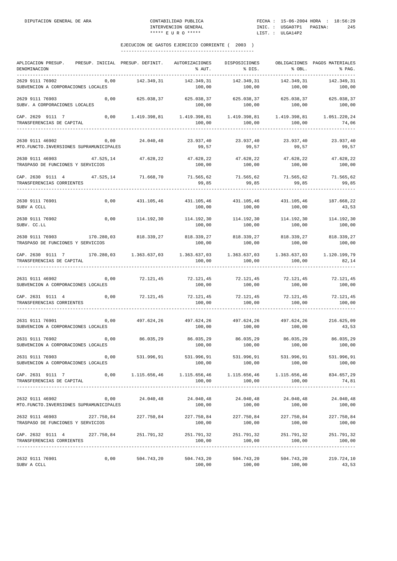| APLICACION PRESUP.<br>DENOMINACION                                                                                                                                                                                                                                                                                                              | PRESUP. INICIAL PRESUP. DEFINIT. |            | AUTORIZACIONES<br>% AUT.                                                         | DISPOSICIONES<br>% DIS.                               | % OBL.                     | OBLIGACIONES PAGOS MATERIALES<br>% PAG. |
|-------------------------------------------------------------------------------------------------------------------------------------------------------------------------------------------------------------------------------------------------------------------------------------------------------------------------------------------------|----------------------------------|------------|----------------------------------------------------------------------------------|-------------------------------------------------------|----------------------------|-----------------------------------------|
| 2629 9111 76902<br>SUBVENCION A CORPORACIONES LOCALES                                                                                                                                                                                                                                                                                           | 0,00                             | 142.349,31 | 142.349,31<br>100,00                                                             | 142.349,31<br>100,00                                  | 142.349,31<br>100,00       | 142.349,31<br>100,00                    |
| 2629 9111 76903<br>SUBV. A CORPORACIONES LOCALES                                                                                                                                                                                                                                                                                                | 0,00                             |            | 100,00                                                                           | 100,00                                                | 100,00                     | 100,00                                  |
| $\verb CAP. 2629 9111 7   0,00 1.419.398,81 1.419.398,81 1.419.398,81 1.419.398,81 1.419.398,81 1.651.220,241.233.243,81 1.652.253,81 1.653.253,81 1.654.253,81 1.655.253,81 1.654.253,81 1.655.253,81 1.654.253,81 1.655.253,81 1.$<br>TRANSFERENCIAS DE CAPITAL                                                                               |                                  |            | 100,00                                                                           | 100,00                                                | 100,00                     | 74,06                                   |
| 2630 9111 46902<br>MTO. FUNCTO. INVERSIONES SUPRAMUNICIPALES                                                                                                                                                                                                                                                                                    |                                  |            | $0,00$ $24.040,48$ $23.937,40$ $23.937,40$ $23.937,40$<br>99,57                  | 99,57                                                 | 99,57                      | 23.937,40<br>99,57                      |
| 2630 9111 46903 47.525,14 47.628,22<br>TRASPASO DE FUNCIONES Y SERVICIOS                                                                                                                                                                                                                                                                        |                                  |            | 47.628,22<br>100,00                                                              | 47.628,22<br>100,00                                   | 47.628,22<br>100,00        | 47.628,22<br>100,00                     |
| CAP. 2630 9111 4 47.525,14 71.668,70<br>TRANSFERENCIAS CORRIENTES                                                                                                                                                                                                                                                                               |                                  |            | 71.565,62 71.565,62 71.565,62<br>99,85                                           | 99,85                                                 | 99,85                      | 71.565,62<br>99,85                      |
| 2630 9111 76901<br>SUBV A CCLL                                                                                                                                                                                                                                                                                                                  | 0,00                             | 431.105,46 | 431.105,46<br>100,00                                                             | 431.105,46<br>100,00                                  | 431.105,46<br>100,00       | 187.668,22<br>43,53                     |
| 2630 9111 76902<br>SUBV. CC.LL                                                                                                                                                                                                                                                                                                                  | 0,00                             | 114.192,30 | 100,00                                                                           | 114.192,30 114.192,30 114.192,30<br>100,00            | 100,00                     | 114.192,30<br>100,00                    |
| ${\bf 2630\  \  9111\  \  76903} \hskip 1.0cm {\bf 170.280.03} \hskip 1.0cm {\bf 818.339.27} \hskip 1.0cm {\bf 818.339.27} \hskip 1.0cm {\bf 818.339.27} \hskip 1.0cm {\bf 818.339.27} \hskip 1.0cm {\bf 818.339.27} \hskip 1.0cm {\bf 818.339.27} \hskip 1.0cm {\bf 818.339.27} \hskip 1.0cm {\bf 818.33$<br>TRASPASO DE FUNCIONES Y SERVICIOS |                                  |            | 100,00                                                                           | 100,00                                                | 100,00                     | 818.339,27<br>100,00                    |
| CAP. 2630 9111 7 170.280,03 1.363.637,03<br>TRANSFERENCIAS DE CAPITAL                                                                                                                                                                                                                                                                           |                                  |            | 100,00                                                                           | 100,00                                                | 100,00                     | 1.120.199,79<br>82,14                   |
| 2631 9111 46902<br>SUBVENCION A CORPORACIONES LOCALES                                                                                                                                                                                                                                                                                           | 0,00                             |            | 72.121,45 72.121,45 72.121,45<br>100,00                                          |                                                       | 72.121,45<br>100,00 100,00 | 72.121,45<br>100,00                     |
| CAP. 2631 9111 4<br>TRANSFERENCIAS CORRIENTES                                                                                                                                                                                                                                                                                                   | $0,00$ $72.121,45$               |            | 72.121,45 72.121,45 72.121,45<br>100,00                                          | 100,00                                                | 100,00                     | 72.121,45<br>100,00                     |
| 2631 9111 76901<br>SUBVENCION A CORPORACIONES LOCALES                                                                                                                                                                                                                                                                                           | 0,00                             | 497.624,26 | 497.624,26<br>100,00                                                             | 497.624,26<br>100,00                                  | 497.624,26<br>100,00       | 216.625,09<br>43,53                     |
| 2631 9111 76902<br>SUBVENCION A CORPORACIONES LOCALES                                                                                                                                                                                                                                                                                           | 0,00                             | 86.035,29  | 100,00                                                                           | 86.035,29 86.035,29 86.035,29<br>100,00               | 100,00                     | 86.035,29<br>100,00                     |
| 2631 9111 76903<br>SUBVENCION A CORPORACIONES LOCALES                                                                                                                                                                                                                                                                                           | 0,00                             | 531.996,91 | 531.996,91<br>100,00                                                             | 531.996,91<br>100,00                                  | 531.996,91<br>100,00       | 531.996,91<br>100,00                    |
| CAP. 2631 9111 7<br>TRANSFERENCIAS DE CAPITAL                                                                                                                                                                                                                                                                                                   | 0,00                             |            | 1.115.656,46   1.115.656,46   1.115.656,46   1.115.656,46   834.657,29<br>100,00 |                                                       | 100,00 100,00              | 74,81                                   |
| 2632 9111 46902<br>MTO. FUNCTO. INVERSIONES SUPRAMUNICIPALES                                                                                                                                                                                                                                                                                    | 0,00                             | 24.040,48  | 24.040,48<br>100,00                                                              | 24.040,48<br>100,00                                   | 24.040,48<br>100,00        | 24.040,48<br>100,00                     |
| 2632 9111 46903 227.750,84 227.750,84 227.750,84 227.750,84 227.750,84 227.750,84<br>TRASPASO DE FUNCIONES Y SERVICIOS                                                                                                                                                                                                                          |                                  |            | 100,00                                                                           | 100,00                                                | 100,00                     | 227.750,84<br>100,00                    |
| CAP. 2632 9111 4 227.750,84 251.791,32<br>TRANSFERENCIAS CORRIENTES                                                                                                                                                                                                                                                                             |                                  |            | 100,00                                                                           | 251.791,32 251.791,32 251.791,32 251.791,32<br>100,00 | 100,00                     | 100,00                                  |
| 2632 9111 76901<br>SUBV A CCLL                                                                                                                                                                                                                                                                                                                  | 0,00                             | 504.743,20 | 504.743,20<br>100,00                                                             | 504.743,20<br>100,00                                  | 504.743,20<br>100,00       | 219.724,10<br>43,53                     |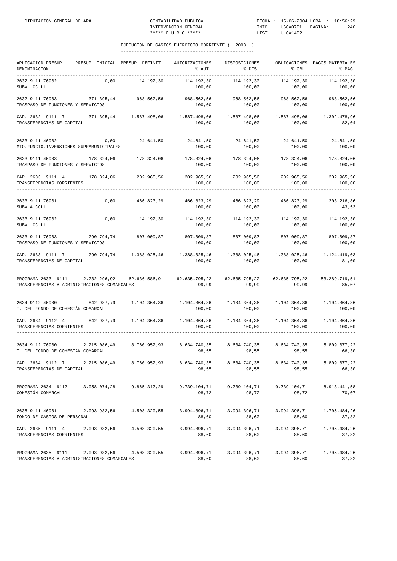| APLICACION PRESUP.<br>DENOMINACION                                                                                                               | PRESUP. INICIAL PRESUP. DEFINIT. |               | AUTORIZACIONES<br>% AUT.                                     | DISPOSICIONES<br>% DIS.                                     | % OBL.                               | OBLIGACIONES PAGOS MATERIALES<br>% PAG. |
|--------------------------------------------------------------------------------------------------------------------------------------------------|----------------------------------|---------------|--------------------------------------------------------------|-------------------------------------------------------------|--------------------------------------|-----------------------------------------|
| 2632 9111 76902<br>SUBV. CC.LL                                                                                                                   | 0,00                             | 114.192,30    | 114.192,30<br>100,00                                         | 114.192,30<br>100,00                                        | 114.192,30<br>100,00                 | 114.192,30<br>100,00                    |
| 2632 9111 76903<br>TRASPASO DE FUNCIONES Y SERVICIOS                                                                                             | 371.395,44                       |               | 968.562,56 968.562,56<br>100,00                              | 968.562,56<br>100,00                                        | 968.562,56<br>100,00                 | 968.562,56<br>100,00                    |
| CAP. 2632 9111 7 371.395,44 1.587.498,06 1.587.498,06 1.587.498,06 1.587.498,06<br>TRANSFERENCIAS DE CAPITAL                                     |                                  |               | 100,00                                                       | 100,00                                                      | 100,00                               | 1.302.478,96<br>82,04                   |
| 2633 9111 46902 0,00<br>MTO. FUNCTO. INVERSIONES SUPRAMUNICIPALES                                                                                |                                  | 24.641,50     | 24.641,50<br>100,00                                          | 24.641,50<br>100,00                                         | 24.641,50<br>100,00                  | 24.641,50<br>100,00                     |
| 2633 9111 46903 178.324,06<br>TRASPASO DE FUNCIONES Y SERVICIOS                                                                                  |                                  | 178.324,06    | 100,00                                                       | 178.324,06 178.324,06<br>100,00                             | 178.324,06<br>100,00                 | 178.324,06<br>100,00                    |
| CAP. 2633 9111 4<br>TRANSFERENCIAS CORRIENTES                                                                                                    | 178.324,06 202.965,56            |               | 202.965,56<br>100,00                                         | 202.965,56<br>100,00                                        | 202.965,56<br>100,00                 | 202.965,56<br>100,00                    |
| 2633 9111 76901<br>SUBV A CCLL                                                                                                                   | 0,00                             | 466.823,29    | 466.823,29<br>100,00                                         | 466.823,29<br>100,00                                        | 466.823,29<br>100,00                 | 203.216,86<br>43,53                     |
| 2633 9111 76902<br>SUBV. CC.LL                                                                                                                   | 0,00                             | 114.192,30    | 114.192,30<br>100,00                                         | 114.192,30<br>100,00                                        | 114.192,30<br>100,00                 | 114.192,30<br>100,00                    |
| 2633 9111 76903 290.794,74<br>TRASPASO DE FUNCIONES Y SERVICIOS                                                                                  |                                  | 807.009,87    | 100,00                                                       | 807.009,87 807.009,87 807.009,87<br>100,00                  | 100,00                               | 807.009,87<br>100,00                    |
| CAP. 2633 9111 7 290.794,74 1.388.025,46<br>TRANSFERENCIAS DE CAPITAL                                                                            |                                  |               | 100,00                                                       | 100,00                                                      | 100,00                               | 1.124.419,03<br>81,00                   |
| PROGRAMA 2633 9111<br>TRANSFERENCIAS A ADMINISTRACIONES COMARCALES                                                                               | 12.232.296,92                    | 62.636.586,91 | 62.635.795,22<br>99,99                                       | 99,99                                                       | 62.635.795,22 62.635.795,22<br>99,99 | 53.289.719,51<br>85,07                  |
| 2634 9112 46900<br>T. DEL FONDO DE COHESIÀN COMARCAL                                                                                             | 842.987,79                       | 1.104.364,36  | 100,00                                                       | $1.104.364,36$ $1.104.364,36$ $1.104.364,36$<br>100,00      | 100,00                               | 1.104.364,36<br>100,00                  |
| CAP. 2634 9112 4<br>TRANSFERENCIAS CORRIENTES                                                                                                    | 842.987,79 1.104.364,36          |               | 100,00                                                       | $1.104.364,36$ $1.104.364,36$ $1.104.364,36$<br>100,00      | 100,00                               | 1.104.364,36<br>100,00                  |
| 2634 9112 76900<br>T. DEL FONDO DE COHESIÀN COMARCAL                                                                                             | 2.215.086,49                     |               | 8.760.952,93 8.634.740,35 8.634.740,35 8.634.740,35<br>98,55 | 98,55                                                       | 98,55                                | 5.809.077,22<br>66,30                   |
| CAP. 2634 9112 7 2.215.086,49 8.760.952,93 8.634.740,35 8.634.740,35 8.634.740,35 5.809.077,22<br>TRANSFERENCIAS DE CAPITAL                      |                                  |               |                                                              | 98,55 98,55 98,55                                           |                                      | 66,30                                   |
| PROGRAMA 2634 9112 3.058.074,28 9.865.317,29 9.739.104,71 9.739.104,71 9.739.104,71 6.913.441,58<br>COHESIÓN COMARCAL                            |                                  |               |                                                              | 98,72 98,72 98,72                                           |                                      | 70,07                                   |
| 2635 9111 46901 2.093.932,56 4.508.320,55<br>FONDO DE GASTOS DE PERSONAL                                                                         |                                  |               | 88,60                                                        | $3.994.396,71$ $3.994.396,71$ $3.994.396,71$ $1.705.484,26$ | 88,60 88,60                          | 37,82                                   |
| CAP. 2635 9111 4 2.093.932,56 4.508.320,55 3.994.396,71 3.994.396,71 3.994.396,71 1.705.484,26<br>TRANSFERENCIAS CORRIENTES                      |                                  |               |                                                              | 88,60 88,60 88,60 88,60                                     |                                      | 37,82                                   |
| PROGRAMA 2635 9111 2.093.932,56 4.508.320,55 3.994.396,71 3.994.396,71 3.994.396,71 1.705.484,26<br>TRANSFERENCIAS A ADMINISTRACIONES COMARCALES |                                  |               | 88,60                                                        |                                                             | 88,60 88,60                          | 37,82                                   |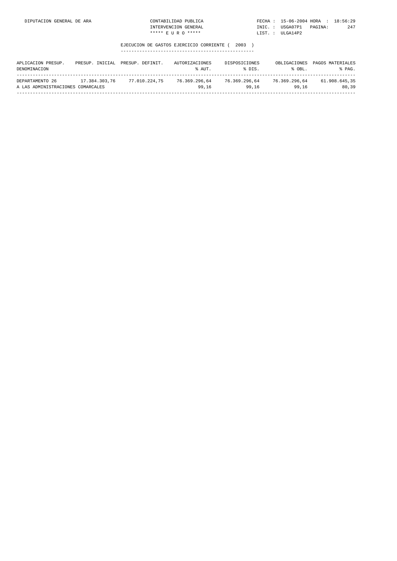| DIPUTACION GENERAL DE ARA | CONTABILIDAD PUBLICA | FECHA: 15-06-2004 HORA : 18:56:29 |         |     |
|---------------------------|----------------------|-----------------------------------|---------|-----|
|                           | INTERVENCION GENERAL | INIC. : USGA07P1                  | PAGINA: | 247 |
|                           | ***** E II R O ***** | LIST. : ULGA14P2                  |         |     |

| APLICACION PRESUP.<br>PRESUP.<br>DENOMINACION        | TNTCTAL       | PRESUP, DEFINIT, | AUTORIZACIONES<br>% AUT. | DISPOSICIONES<br>% DTS. | OBLIGACIONES<br>$8$ OBI. | PAGOS MATERIALES<br>% PAG. |
|------------------------------------------------------|---------------|------------------|--------------------------|-------------------------|--------------------------|----------------------------|
| DEPARTAMENTO 26<br>A LAS ADMINISTRACIONES COMARCALES | 17.384.303.76 | 77.010.224.75    | 76.369.296.64<br>99.16   | 76.369.296.64<br>99.16  | 76.369.296.64<br>99.16   | 61.908.645.35<br>80.39     |